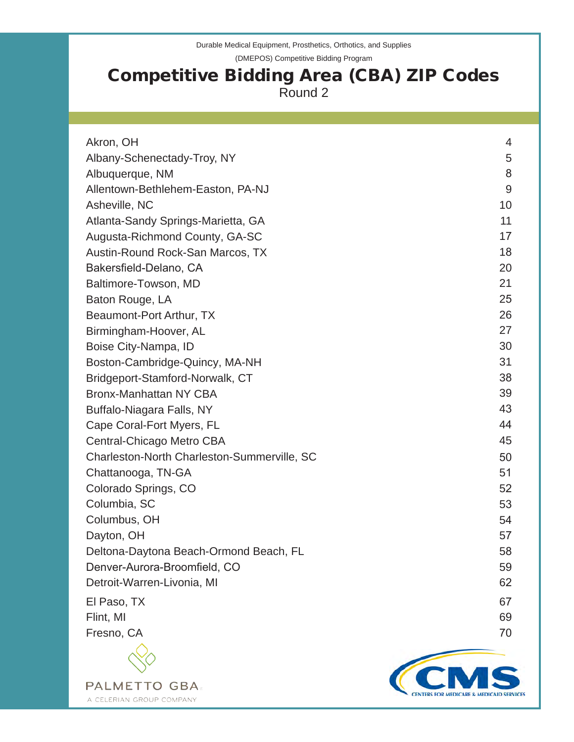Durable Medical Equipment, Prosthetics, Orthotics, and Supplies (DMEPOS) Competitive Bidding Program

# Competitive Bidding Area (CBA) ZIP Codes Round 2

| Akron, OH                                   | 4  |
|---------------------------------------------|----|
| Albany-Schenectady-Troy, NY                 | 5  |
| Albuquerque, NM                             | 8  |
| Allentown-Bethlehem-Easton, PA-NJ           | 9  |
| Asheville, NC                               | 10 |
| Atlanta-Sandy Springs-Marietta, GA          | 11 |
| Augusta-Richmond County, GA-SC              | 17 |
| Austin-Round Rock-San Marcos, TX            | 18 |
| Bakersfield-Delano, CA                      | 20 |
| Baltimore-Towson, MD                        | 21 |
| Baton Rouge, LA                             | 25 |
| Beaumont-Port Arthur, TX                    | 26 |
| Birmingham-Hoover, AL                       | 27 |
| Boise City-Nampa, ID                        | 30 |
| Boston-Cambridge-Quincy, MA-NH              | 31 |
| Bridgeport-Stamford-Norwalk, CT             | 38 |
| <b>Bronx-Manhattan NY CBA</b>               | 39 |
| Buffalo-Niagara Falls, NY                   | 43 |
| Cape Coral-Fort Myers, FL                   | 44 |
| Central-Chicago Metro CBA                   | 45 |
| Charleston-North Charleston-Summerville, SC | 50 |
| Chattanooga, TN-GA                          | 51 |
| Colorado Springs, CO                        | 52 |
| Columbia, SC                                | 53 |
| Columbus, OH                                | 54 |
| Dayton, OH                                  | 57 |
| Deltona-Daytona Beach-Ormond Beach, FL      | 58 |
| Denver-Aurora-Broomfield, CO                | 59 |
| Detroit-Warren-Livonia, MI                  | 62 |
| El Paso, TX                                 | 67 |
| Flint, MI                                   | 69 |
| Fresno, CA                                  | 70 |
|                                             |    |

**PALMETTO GBA** A CELERIAN GROUP COMPANY

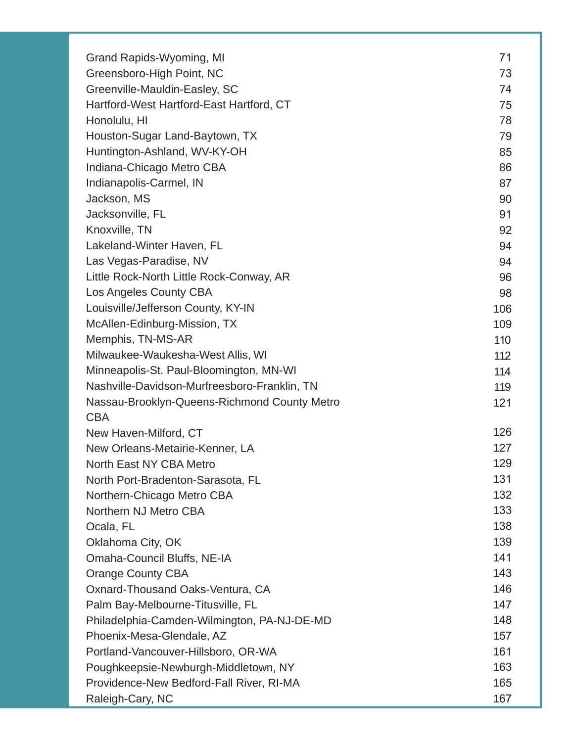| Grand Rapids-Wyoming, MI                     | 71  |
|----------------------------------------------|-----|
| Greensboro-High Point, NC                    | 73  |
| Greenville-Mauldin-Easley, SC                | 74  |
| Hartford-West Hartford-East Hartford, CT     | 75  |
| Honolulu, HI                                 | 78  |
| Houston-Sugar Land-Baytown, TX               | 79  |
| Huntington-Ashland, WV-KY-OH                 | 85  |
| Indiana-Chicago Metro CBA                    | 86  |
| Indianapolis-Carmel, IN                      | 87  |
| Jackson, MS                                  | 90  |
| Jacksonville, FL                             | 91  |
| Knoxville, TN                                | 92  |
| Lakeland-Winter Haven, FL                    | 94  |
| Las Vegas-Paradise, NV                       | 94  |
| Little Rock-North Little Rock-Conway, AR     | 96  |
| Los Angeles County CBA                       | 98  |
| Louisville/Jefferson County, KY-IN           | 106 |
| McAllen-Edinburg-Mission, TX                 | 109 |
| Memphis, TN-MS-AR                            | 110 |
| Milwaukee-Waukesha-West Allis, WI            | 112 |
| Minneapolis-St. Paul-Bloomington, MN-WI      | 114 |
| Nashville-Davidson-Murfreesboro-Franklin, TN | 119 |
| Nassau-Brooklyn-Queens-Richmond County Metro | 121 |
| <b>CBA</b>                                   |     |
| New Haven-Milford, CT                        | 126 |
| New Orleans-Metairie-Kenner, LA              | 127 |
| North East NY CBA Metro                      | 129 |
| North Port-Bradenton-Sarasota, FL            | 131 |
| Northern-Chicago Metro CBA                   | 132 |
| Northern NJ Metro CBA                        | 133 |
| Ocala, FL                                    | 138 |
| Oklahoma City, OK                            | 139 |
| Omaha-Council Bluffs, NE-IA                  | 141 |
| <b>Orange County CBA</b>                     | 143 |
| Oxnard-Thousand Oaks-Ventura, CA             | 146 |
| Palm Bay-Melbourne-Titusville, FL            | 147 |
| Philadelphia-Camden-Wilmington, PA-NJ-DE-MD  | 148 |
| Phoenix-Mesa-Glendale, AZ                    | 157 |
| Portland-Vancouver-Hillsboro, OR-WA          | 161 |
| Poughkeepsie-Newburgh-Middletown, NY         | 163 |
| Providence-New Bedford-Fall River, RI-MA     | 165 |
| Raleigh-Cary, NC                             | 167 |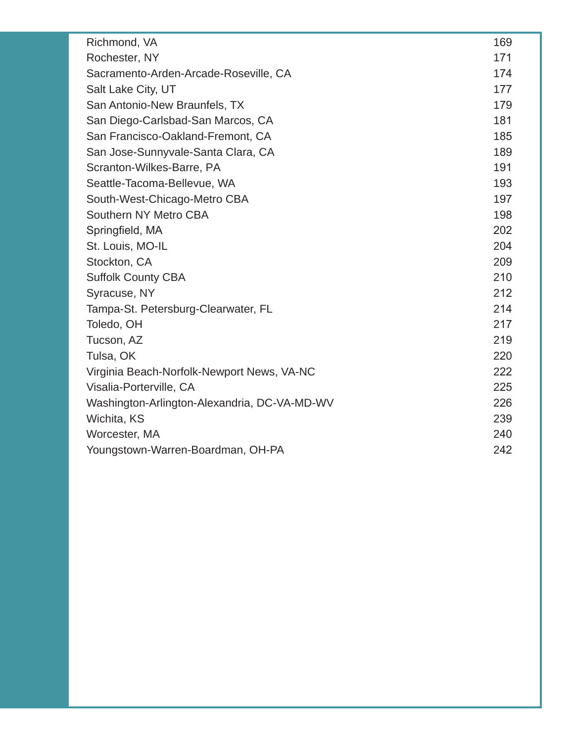| Richmond, VA                                 | 169 |
|----------------------------------------------|-----|
| Rochester, NY                                | 171 |
| Sacramento-Arden-Arcade-Roseville, CA        | 174 |
| Salt Lake City, UT                           | 177 |
| San Antonio-New Braunfels, TX                | 179 |
| San Diego-Carlsbad-San Marcos, CA            | 181 |
| San Francisco-Oakland-Fremont, CA            | 185 |
| San Jose-Sunnyvale-Santa Clara, CA           | 189 |
| Scranton-Wilkes-Barre, PA                    | 191 |
| Seattle-Tacoma-Bellevue, WA                  | 193 |
| South-West-Chicago-Metro CBA                 | 197 |
| Southern NY Metro CBA                        | 198 |
| Springfield, MA                              | 202 |
| St. Louis, MO-IL                             | 204 |
| Stockton, CA                                 | 209 |
| <b>Suffolk County CBA</b>                    | 210 |
| Syracuse, NY                                 | 212 |
| Tampa-St. Petersburg-Clearwater, FL          | 214 |
| Toledo, OH                                   | 217 |
| Tucson, AZ                                   | 219 |
| Tulsa, OK                                    | 220 |
| Virginia Beach-Norfolk-Newport News, VA-NC   | 222 |
| Visalia-Porterville, CA                      | 225 |
| Washington-Arlington-Alexandria, DC-VA-MD-WV | 226 |
| Wichita, KS                                  | 239 |
| Worcester, MA                                | 240 |
| Youngstown-Warren-Boardman, OH-PA            | 242 |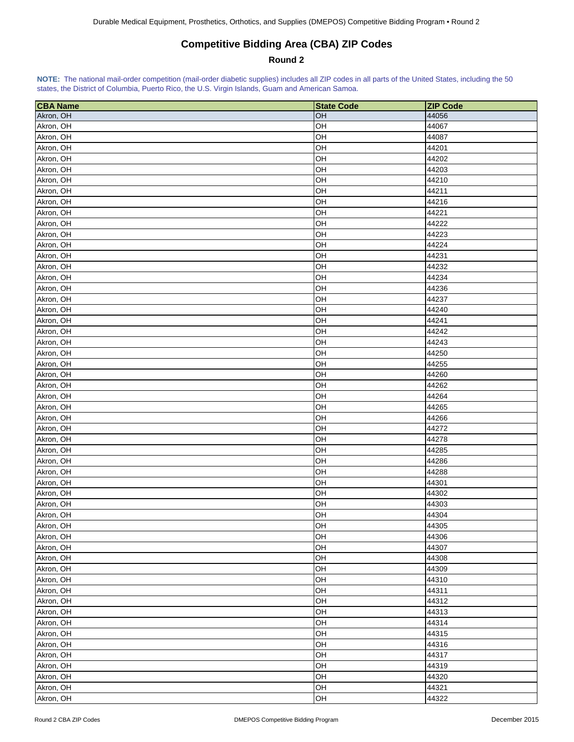## **Competitive Bidding Area (CBA) ZIP Codes**

### **Round 2**

<span id="page-3-0"></span>

| <b>CBA Name</b> | <b>State Code</b> | <b>ZIP Code</b> |
|-----------------|-------------------|-----------------|
| Akron, OH       | OH                | 44056           |
| Akron, OH       | OH                | 44067           |
| Akron, OH       | OH                | 44087           |
| Akron, OH       | OH                | 44201           |
| Akron, OH       | OH                | 44202           |
| Akron, OH       | OH                | 44203           |
| Akron, OH       | OH                | 44210           |
| Akron, OH       | OH                | 44211           |
| Akron, OH       | OH                | 44216           |
| Akron, OH       | OH                | 44221           |
| Akron, OH       | OH                | 44222           |
| Akron, OH       | OH                | 44223           |
| Akron, OH       | OH                | 44224           |
| Akron, OH       | OH                | 44231           |
| Akron, OH       | OH                | 44232           |
| Akron, OH       | OH                | 44234           |
| Akron, OH       | OH                | 44236           |
| Akron, OH       | OH                | 44237           |
| Akron, OH       | OH                | 44240           |
| Akron, OH       | OH                | 44241           |
| Akron, OH       | OH                | 44242           |
| Akron, OH       | OH                | 44243           |
| Akron, OH       | OH                | 44250           |
| Akron, OH       | OH                | 44255           |
| Akron, OH       | OH                | 44260           |
| Akron, OH       | OH                | 44262           |
| Akron, OH       | OH                | 44264           |
| Akron, OH       | OH                | 44265           |
| Akron, OH       | OH                | 44266           |
| Akron, OH       | OH                | 44272           |
| Akron, OH       | OH                | 44278           |
| Akron, OH       | OH                | 44285           |
| Akron, OH       | OH                | 44286           |
| Akron, OH       | OH                | 44288           |
| Akron, OH       | OH                | 44301           |
| Akron, OH       | OH                | 44302           |
| Akron, OH       | OH                | 44303           |
| Akron, OH       | OH                | 44304           |
| Akron, OH       | OH                | 44305           |
| Akron, OH       | OH                | 44306           |
| Akron, OH       | OH                | 44307           |
| Akron, OH       | OH                | 44308           |
| Akron, OH       | OH                | 44309           |
| Akron, OH       | OH                | 44310           |
| Akron, OH       | OH                | 44311           |
| Akron, OH       | OH                | 44312           |
| Akron, OH       | OH                | 44313           |
| Akron, OH       | OH                | 44314           |
| Akron, OH       | OH                | 44315           |
| Akron, OH       | OH                | 44316           |
| Akron, OH       | OH                | 44317           |
| Akron, OH       | OH                | 44319           |
| Akron, OH       | OH                | 44320           |
| Akron, OH       | OH                | 44321           |
| Akron, OH       | OH                | 44322           |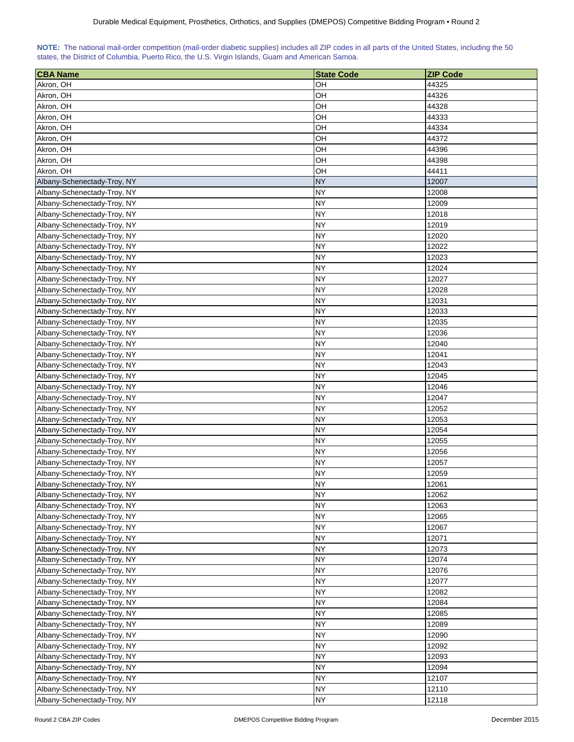<span id="page-4-0"></span>

|  |  | NOTE: The national mail-order competition (mail-order diabetic supplies) includes all ZIP codes in all parts of the United States, including the 50 |  |  |
|--|--|-----------------------------------------------------------------------------------------------------------------------------------------------------|--|--|
|  |  | states, the District of Columbia, Puerto Rico, the U.S. Virgin Islands, Guam and American Samoa.                                                    |  |  |

| <b>CBA Name</b>             | <b>State Code</b> | <b>ZIP Code</b> |
|-----------------------------|-------------------|-----------------|
| Akron, OH                   | OН                | 44325           |
| Akron, OH                   | OН                | 44326           |
| Akron, OH                   | OН                | 44328           |
| Akron, OH                   | OН                | 44333           |
| Akron, OH                   | OН                | 44334           |
| Akron, OH                   | OН                | 44372           |
| Akron, OH                   | OН                | 44396           |
| Akron, OH                   | OH                | 44398           |
| Akron, OH                   | OH                | 44411           |
| Albany-Schenectady-Troy, NY | <b>NY</b>         | 12007           |
| Albany-Schenectady-Troy, NY | NY                | 12008           |
| Albany-Schenectady-Troy, NY | <b>NY</b>         | 12009           |
| Albany-Schenectady-Troy, NY | NY                | 12018           |
| Albany-Schenectady-Troy, NY | <b>NY</b>         | 12019           |
| Albany-Schenectady-Troy, NY | <b>NY</b>         | 12020           |
| Albany-Schenectady-Troy, NY | <b>NY</b>         | 12022           |
| Albany-Schenectady-Troy, NY | <b>NY</b>         | 12023           |
| Albany-Schenectady-Troy, NY | NY.               | 12024           |
| Albany-Schenectady-Troy, NY | NY                | 12027           |
| Albany-Schenectady-Troy, NY | NY                | 12028           |
| Albany-Schenectady-Troy, NY | <b>NY</b>         | 12031           |
| Albany-Schenectady-Troy, NY | <b>NY</b>         | 12033           |
| Albany-Schenectady-Troy, NY | <b>NY</b>         | 12035           |
| Albany-Schenectady-Troy, NY | <b>NY</b>         | 12036           |
| Albany-Schenectady-Troy, NY | <b>NY</b>         | 12040           |
| Albany-Schenectady-Troy, NY | <b>NY</b>         | 12041           |
| Albany-Schenectady-Troy, NY | <b>NY</b>         | 12043           |
| Albany-Schenectady-Troy, NY | <b>NY</b>         | 12045           |
| Albany-Schenectady-Troy, NY | <b>NY</b>         | 12046           |
| Albany-Schenectady-Troy, NY | NY                | 12047           |
| Albany-Schenectady-Troy, NY | NY                | 12052           |
| Albany-Schenectady-Troy, NY | NY                | 12053           |
| Albany-Schenectady-Troy, NY | <b>NY</b>         | 12054           |
| Albany-Schenectady-Troy, NY | <b>NY</b>         | 12055           |
| Albany-Schenectady-Troy, NY | <b>NY</b>         | 12056           |
| Albany-Schenectady-Troy, NY | <b>NY</b>         | 12057           |
| Albany-Schenectady-Troy, NY | <b>NY</b>         | 12059           |
| Albany-Schenectady-Troy, NY | <b>NY</b>         | 12061           |
| Albany-Schenectady-Troy, NY | <b>NY</b>         | 12062           |
| Albany-Schenectady-Troy, NY | <b>NY</b>         | 12063           |
| Albany-Schenectady-Troy, NY | <b>NY</b>         | 12065           |
| Albany-Schenectady-Troy, NY | <b>NY</b>         | 12067           |
| Albany-Schenectady-Troy, NY | <b>NY</b>         | 12071           |
| Albany-Schenectady-Troy, NY | <b>NY</b>         | 12073           |
| Albany-Schenectady-Troy, NY | <b>NY</b>         | 12074           |
| Albany-Schenectady-Troy, NY | <b>NY</b>         | 12076           |
| Albany-Schenectady-Troy, NY | <b>NY</b>         | 12077           |
| Albany-Schenectady-Troy, NY | <b>NY</b>         | 12082           |
| Albany-Schenectady-Troy, NY | <b>NY</b>         | 12084           |
| Albany-Schenectady-Troy, NY | <b>NY</b>         | 12085           |
| Albany-Schenectady-Troy, NY | <b>NY</b>         | 12089           |
| Albany-Schenectady-Troy, NY | <b>NY</b>         | 12090           |
| Albany-Schenectady-Troy, NY | <b>NY</b>         | 12092           |
| Albany-Schenectady-Troy, NY | <b>NY</b>         | 12093           |
| Albany-Schenectady-Troy, NY | <b>NY</b>         | 12094           |
| Albany-Schenectady-Troy, NY | <b>NY</b>         | 12107           |
| Albany-Schenectady-Troy, NY | <b>NY</b>         | 12110           |
| Albany-Schenectady-Troy, NY | <b>NY</b>         | 12118           |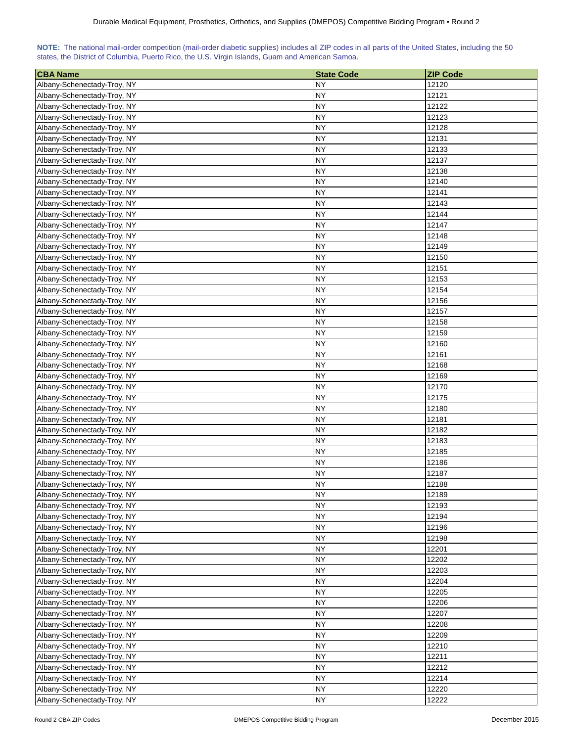| NOTE: The national mail-order competition (mail-order diabetic supplies) includes all ZIP codes in all parts of the United States, including the 50 |  |  |  |  |  |  |  |
|-----------------------------------------------------------------------------------------------------------------------------------------------------|--|--|--|--|--|--|--|
| states, the District of Columbia, Puerto Rico, the U.S. Virgin Islands, Guam and American Samoa.                                                    |  |  |  |  |  |  |  |

| <b>CBA Name</b>             | <b>State Code</b> | <b>ZIP Code</b> |
|-----------------------------|-------------------|-----------------|
| Albany-Schenectady-Troy, NY | <b>NY</b>         | 12120           |
| Albany-Schenectady-Troy, NY | <b>NY</b>         | 12121           |
| Albany-Schenectady-Troy, NY | <b>NY</b>         | 12122           |
| Albany-Schenectady-Troy, NY | <b>NY</b>         | 12123           |
| Albany-Schenectady-Troy, NY | NY.               | 12128           |
| Albany-Schenectady-Troy, NY | NY.               | 12131           |
| Albany-Schenectady-Troy, NY | NY                | 12133           |
| Albany-Schenectady-Troy, NY | ΝY                | 12137           |
| Albany-Schenectady-Troy, NY | <b>NY</b>         | 12138           |
| Albany-Schenectady-Troy, NY | <b>NY</b>         | 12140           |
| Albany-Schenectady-Troy, NY | <b>NY</b>         | 12141           |
| Albany-Schenectady-Troy, NY | NY                | 12143           |
| Albany-Schenectady-Troy, NY | <b>NY</b>         | 12144           |
| Albany-Schenectady-Troy, NY | <b>NY</b>         | 12147           |
| Albany-Schenectady-Troy, NY | <b>NY</b>         | 12148           |
| Albany-Schenectady-Troy, NY | <b>NY</b>         | 12149           |
| Albany-Schenectady-Troy, NY | <b>NY</b>         | 12150           |
| Albany-Schenectady-Troy, NY | NY.               | 12151           |
| Albany-Schenectady-Troy, NY | NY.               | 12153           |
| Albany-Schenectady-Troy, NY | NY                | 12154           |
| Albany-Schenectady-Troy, NY | NY                | 12156           |
| Albany-Schenectady-Troy, NY | <b>NY</b>         | 12157           |
| Albany-Schenectady-Troy, NY | <b>NY</b>         | 12158           |
| Albany-Schenectady-Troy, NY | <b>NY</b>         | 12159           |
| Albany-Schenectady-Troy, NY | <b>NY</b>         | 12160           |
| Albany-Schenectady-Troy, NY | <b>NY</b>         | 12161           |
| Albany-Schenectady-Troy, NY | <b>NY</b>         | 12168           |
| Albany-Schenectady-Troy, NY | <b>NY</b>         | 12169           |
| Albany-Schenectady-Troy, NY | <b>NY</b>         | 12170           |
| Albany-Schenectady-Troy, NY | NY                | 12175           |
| Albany-Schenectady-Troy, NY | NY                | 12180           |
| Albany-Schenectady-Troy, NY | <b>NY</b>         | 12181           |
| Albany-Schenectady-Troy, NY | NY                | 12182           |
| Albany-Schenectady-Troy, NY | NY                | 12183           |
| Albany-Schenectady-Troy, NY | <b>NY</b>         | 12185           |
| Albany-Schenectady-Troy, NY | <b>NY</b>         | 12186           |
| Albany-Schenectady-Troy, NY | NY                | 12187           |
| Albany-Schenectady-Troy, NY | <b>NY</b>         | 12188           |
| Albany-Schenectady-Troy, NY | <b>NY</b>         | 12189           |
| Albany-Schenectady-Troy, NY | <b>NY</b>         | 12193           |
| Albany-Schenectady-Troy, NY | <b>NY</b>         | 12194           |
| Albany-Schenectady-Troy, NY | <b>NY</b>         | 12196           |
| Albany-Schenectady-Troy, NY | <b>NY</b>         | 12198           |
| Albany-Schenectady-Troy, NY | <b>NY</b>         | 12201           |
| Albany-Schenectady-Troy, NY | <b>NY</b>         | 12202           |
| Albany-Schenectady-Troy, NY | <b>NY</b>         | 12203           |
| Albany-Schenectady-Troy, NY | <b>NY</b>         | 12204           |
| Albany-Schenectady-Troy, NY | <b>NY</b>         | 12205           |
| Albany-Schenectady-Troy, NY | <b>NY</b>         | 12206           |
| Albany-Schenectady-Troy, NY | <b>NY</b>         | 12207           |
| Albany-Schenectady-Troy, NY | <b>NY</b>         | 12208           |
| Albany-Schenectady-Troy, NY | <b>NY</b>         | 12209           |
| Albany-Schenectady-Troy, NY | <b>NY</b>         | 12210           |
| Albany-Schenectady-Troy, NY | <b>NY</b>         | 12211           |
| Albany-Schenectady-Troy, NY | <b>NY</b>         | 12212           |
| Albany-Schenectady-Troy, NY | <b>NY</b>         | 12214           |
| Albany-Schenectady-Troy, NY | <b>NY</b>         | 12220           |
| Albany-Schenectady-Troy, NY | <b>NY</b>         | 12222           |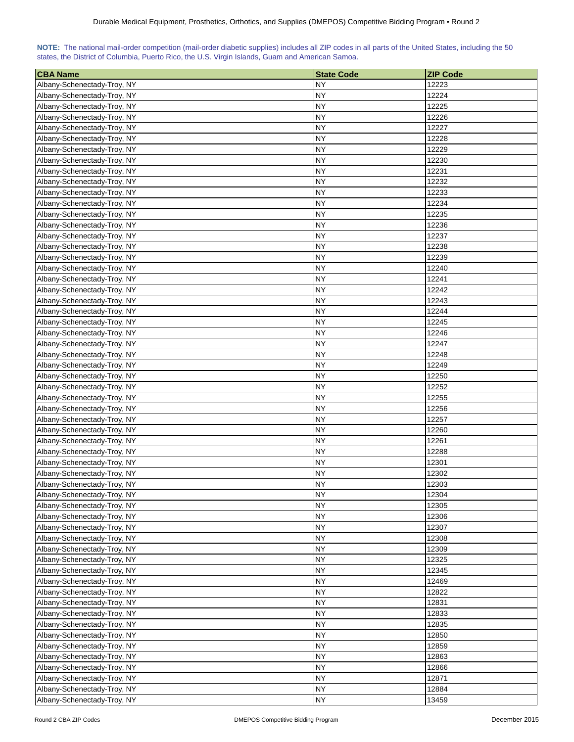| NOTE: The national mail-order competition (mail-order diabetic supplies) includes all ZIP codes in all parts of the United States, including the 50 |  |  |  |  |  |  |  |
|-----------------------------------------------------------------------------------------------------------------------------------------------------|--|--|--|--|--|--|--|
| states, the District of Columbia, Puerto Rico, the U.S. Virgin Islands, Guam and American Samoa.                                                    |  |  |  |  |  |  |  |

| <b>CBA Name</b>             | <b>State Code</b> | <b>ZIP Code</b> |
|-----------------------------|-------------------|-----------------|
| Albany-Schenectady-Troy, NY | <b>NY</b>         | 12223           |
| Albany-Schenectady-Troy, NY | <b>NY</b>         | 12224           |
| Albany-Schenectady-Troy, NY | NY                | 12225           |
| Albany-Schenectady-Troy, NY | NY                | 12226           |
| Albany-Schenectady-Troy, NY | NY.               | 12227           |
| Albany-Schenectady-Troy, NY | NY                | 12228           |
| Albany-Schenectady-Troy, NY | NY                | 12229           |
| Albany-Schenectady-Troy, NY | ΝY                | 12230           |
| Albany-Schenectady-Troy, NY | <b>NY</b>         | 12231           |
| Albany-Schenectady-Troy, NY | <b>NY</b>         | 12232           |
| Albany-Schenectady-Troy, NY | <b>NY</b>         | 12233           |
| Albany-Schenectady-Troy, NY | NY                | 12234           |
| Albany-Schenectady-Troy, NY | <b>NY</b>         | 12235           |
|                             |                   |                 |
| Albany-Schenectady-Troy, NY | <b>NY</b>         | 12236           |
| Albany-Schenectady-Troy, NY | <b>NY</b>         | 12237           |
| Albany-Schenectady-Troy, NY | <b>NY</b>         | 12238           |
| Albany-Schenectady-Troy, NY | <b>NY</b>         | 12239           |
| Albany-Schenectady-Troy, NY | NY.               | 12240           |
| Albany-Schenectady-Troy, NY | NY                | 12241           |
| Albany-Schenectady-Troy, NY | NY                | 12242           |
| Albany-Schenectady-Troy, NY | NY                | 12243           |
| Albany-Schenectady-Troy, NY | <b>NY</b>         | 12244           |
| Albany-Schenectady-Troy, NY | <b>NY</b>         | 12245           |
| Albany-Schenectady-Troy, NY | <b>NY</b>         | 12246           |
| Albany-Schenectady-Troy, NY | <b>NY</b>         | 12247           |
| Albany-Schenectady-Troy, NY | <b>NY</b>         | 12248           |
| Albany-Schenectady-Troy, NY | <b>NY</b>         | 12249           |
| Albany-Schenectady-Troy, NY | <b>NY</b>         | 12250           |
| Albany-Schenectady-Troy, NY | <b>NY</b>         | 12252           |
| Albany-Schenectady-Troy, NY | NY                | 12255           |
| Albany-Schenectady-Troy, NY | NY                | 12256           |
| Albany-Schenectady-Troy, NY | <b>NY</b>         | 12257           |
| Albany-Schenectady-Troy, NY | NY                | 12260           |
| Albany-Schenectady-Troy, NY | NY                | 12261           |
| Albany-Schenectady-Troy, NY | <b>NY</b>         | 12288           |
| Albany-Schenectady-Troy, NY | <b>NY</b>         | 12301           |
| Albany-Schenectady-Troy, NY | NY                | 12302           |
| Albany-Schenectady-Troy, NY | <b>NY</b>         | 12303           |
| Albany-Schenectady-Troy, NY | <b>NY</b>         | 12304           |
| Albany-Schenectady-Troy, NY | <b>NY</b>         | 12305           |
| Albany-Schenectady-Troy, NY | <b>NY</b>         | 12306           |
| Albany-Schenectady-Troy, NY | <b>NY</b>         | 12307           |
| Albany-Schenectady-Troy, NY | <b>NY</b>         | 12308           |
| Albany-Schenectady-Troy, NY | <b>NY</b>         | 12309           |
| Albany-Schenectady-Troy, NY | <b>NY</b>         | 12325           |
| Albany-Schenectady-Troy, NY | <b>NY</b>         | 12345           |
|                             |                   |                 |
| Albany-Schenectady-Troy, NY | <b>NY</b>         | 12469           |
| Albany-Schenectady-Troy, NY | <b>NY</b>         | 12822           |
| Albany-Schenectady-Troy, NY | <b>NY</b>         | 12831           |
| Albany-Schenectady-Troy, NY | <b>NY</b>         | 12833           |
| Albany-Schenectady-Troy, NY | <b>NY</b>         | 12835           |
| Albany-Schenectady-Troy, NY | <b>NY</b>         | 12850           |
| Albany-Schenectady-Troy, NY | <b>NY</b>         | 12859           |
| Albany-Schenectady-Troy, NY | <b>NY</b>         | 12863           |
| Albany-Schenectady-Troy, NY | <b>NY</b>         | 12866           |
| Albany-Schenectady-Troy, NY | <b>NY</b>         | 12871           |
| Albany-Schenectady-Troy, NY | <b>NY</b>         | 12884           |
| Albany-Schenectady-Troy, NY | <b>NY</b>         | 13459           |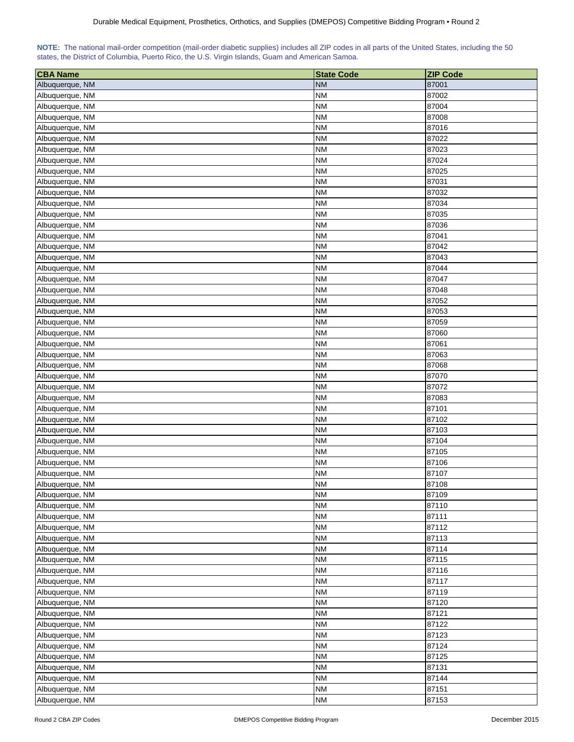<span id="page-7-0"></span>

| NOTE: The national mail-order competition (mail-order diabetic supplies) includes all ZIP codes in all parts of the United States, including the 50 |  |  |  |  |  |
|-----------------------------------------------------------------------------------------------------------------------------------------------------|--|--|--|--|--|
| states, the District of Columbia, Puerto Rico, the U.S. Virgin Islands, Guam and American Samoa.                                                    |  |  |  |  |  |

| <b>CBA Name</b> | <b>State Code</b> | <b>ZIP Code</b> |
|-----------------|-------------------|-----------------|
| Albuquerque, NM | <b>NM</b>         | 87001           |
| Albuquerque, NM | <b>NM</b>         | 87002           |
| Albuquerque, NM | <b>NM</b>         | 87004           |
| Albuquerque, NM | <b>NM</b>         | 87008           |
| Albuquerque, NM | <b>NM</b>         | 87016           |
| Albuquerque, NM | <b>NM</b>         | 87022           |
| Albuquerque, NM | <b>NM</b>         | 87023           |
| Albuquerque, NM | NΜ                | 87024           |
| Albuquerque, NM | NΜ                | 87025           |
| Albuquerque, NM | <b>NM</b>         | 87031           |
| Albuquerque, NM | <b>NM</b>         | 87032           |
| Albuquerque, NM | <b>NM</b>         | 87034           |
| Albuquerque, NM | <b>NM</b>         | 87035           |
| Albuquerque, NM | <b>NM</b>         | 87036           |
| Albuquerque, NM | <b>NM</b>         | 87041           |
| Albuquerque, NM | <b>NM</b>         | 87042           |
| Albuquerque, NM | <b>NM</b>         | 87043           |
| Albuquerque, NM | <b>NM</b>         | 87044           |
| Albuquerque, NM |                   |                 |
|                 | <b>NM</b>         | 87047           |
| Albuquerque, NM | <b>NM</b>         | 87048           |
| Albuquerque, NM | NΜ                | 87052           |
| Albuquerque, NM | <b>NM</b>         | 87053           |
| Albuquerque, NM | <b>NM</b>         | 87059           |
| Albuquerque, NM | <b>NM</b>         | 87060           |
| Albuquerque, NM | <b>NM</b>         | 87061           |
| Albuquerque, NM | <b>NM</b>         | 87063           |
| Albuquerque, NM | <b>NM</b>         | 87068           |
| Albuquerque, NM | <b>NM</b>         | 87070           |
| Albuquerque, NM | <b>NM</b>         | 87072           |
| Albuquerque, NM | <b>NM</b>         | 87083           |
| Albuquerque, NM | <b>NM</b>         | 87101           |
| Albuquerque, NM | <b>NM</b>         | 87102           |
| Albuquerque, NM | NΜ                | 87103           |
| Albuquerque, NM | NΜ                | 87104           |
| Albuquerque, NM | <b>NM</b>         | 87105           |
| Albuquerque, NM | <b>NM</b>         | 87106           |
| Albuquerque, NM | <b>NM</b>         | 87107           |
| Albuquerque, NM | <b>NM</b>         | 87108           |
| Albuquerque, NM | <b>NM</b>         | 87109           |
| Albuquerque, NM | <b>NM</b>         | 87110           |
| Albuquerque, NM | <b>NM</b>         | 87111           |
| Albuquerque, NM | <b>NM</b>         | 87112           |
|                 |                   |                 |
| Albuquerque, NM | <b>NM</b>         | 87113           |
| Albuquerque, NM | <b>NM</b>         | 87114           |
| Albuquerque, NM | <b>NM</b>         | 87115           |
| Albuquerque, NM | <b>NM</b>         | 87116           |
| Albuquerque, NM | <b>NM</b>         | 87117           |
| Albuquerque, NM | <b>NM</b>         | 87119           |
| Albuquerque, NM | <b>NM</b>         | 87120           |
| Albuquerque, NM | <b>NM</b>         | 87121           |
| Albuquerque, NM | <b>NM</b>         | 87122           |
| Albuquerque, NM | <b>NM</b>         | 87123           |
| Albuquerque, NM | <b>NM</b>         | 87124           |
| Albuquerque, NM | <b>NM</b>         | 87125           |
| Albuquerque, NM | <b>NM</b>         | 87131           |
| Albuquerque, NM | <b>NM</b>         | 87144           |
| Albuquerque, NM | <b>NM</b>         | 87151           |
| Albuquerque, NM | <b>NM</b>         | 87153           |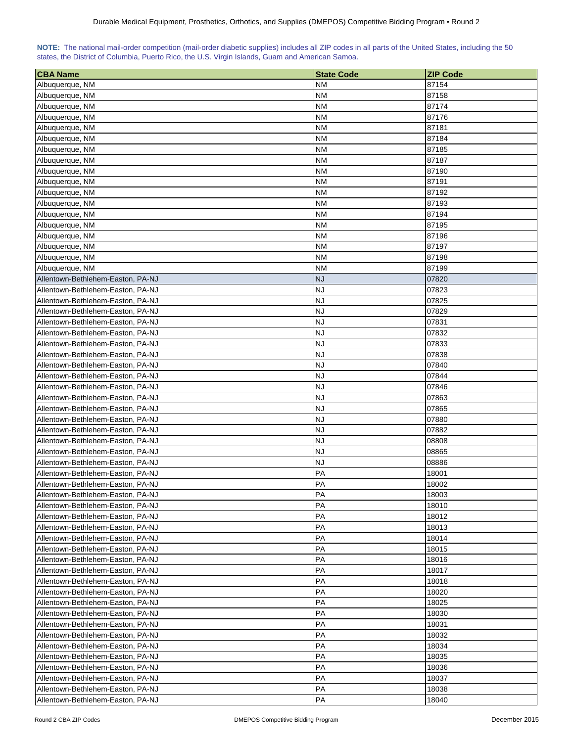<span id="page-8-0"></span>

| NOTE: The national mail-order competition (mail-order diabetic supplies) includes all ZIP codes in all parts of the United States, including the 50 |  |  |  |  |  |  |  |
|-----------------------------------------------------------------------------------------------------------------------------------------------------|--|--|--|--|--|--|--|
| states, the District of Columbia, Puerto Rico, the U.S. Virgin Islands, Guam and American Samoa.                                                    |  |  |  |  |  |  |  |

| <b>CBA Name</b>                   | <b>State Code</b> | <b>ZIP Code</b> |
|-----------------------------------|-------------------|-----------------|
| Albuquerque, NM                   | <b>NM</b>         | 87154           |
| Albuquerque, NM                   | <b>NM</b>         | 87158           |
| Albuquerque, NM                   | <b>NM</b>         | 87174           |
| Albuquerque, NM                   | <b>NM</b>         | 87176           |
| Albuquerque, NM                   | <b>NM</b>         | 87181           |
| Albuquerque, NM                   | NΜ                | 87184           |
| Albuquerque, NM                   | NM                | 87185           |
| Albuquerque, NM                   | ΝM                | 87187           |
| Albuquerque, NM                   | ΝM                | 87190           |
| Albuquerque, NM                   | ΝM                | 87191           |
| Albuquerque, NM                   | <b>NM</b>         | 87192           |
| Albuquerque, NM                   | <b>NM</b>         | 87193           |
| Albuquerque, NM                   | <b>NM</b>         | 87194           |
| Albuquerque, NM                   | <b>NM</b>         | 87195           |
| Albuquerque, NM                   | <b>NM</b>         | 87196           |
| Albuquerque, NM                   | <b>NM</b>         | 87197           |
| Albuquerque, NM                   | <b>NM</b>         | 87198           |
| Albuquerque, NM                   | <b>NM</b>         | 87199           |
| Allentown-Bethlehem-Easton, PA-NJ | <b>NJ</b>         | 07820           |
| Allentown-Bethlehem-Easton, PA-NJ | <b>NJ</b>         | 07823           |
| Allentown-Bethlehem-Easton, PA-NJ | <b>NJ</b>         | 07825           |
| Allentown-Bethlehem-Easton, PA-NJ | <b>NJ</b>         | 07829           |
| Allentown-Bethlehem-Easton, PA-NJ | <b>NJ</b>         | 07831           |
| Allentown-Bethlehem-Easton, PA-NJ | <b>NJ</b>         | 07832           |
| Allentown-Bethlehem-Easton, PA-NJ | <b>NJ</b>         | 07833           |
| Allentown-Bethlehem-Easton, PA-NJ | <b>NJ</b>         | 07838           |
| Allentown-Bethlehem-Easton, PA-NJ | <b>NJ</b>         | 07840           |
| Allentown-Bethlehem-Easton, PA-NJ | <b>NJ</b>         | 07844           |
| Allentown-Bethlehem-Easton, PA-NJ | <b>NJ</b>         | 07846           |
| Allentown-Bethlehem-Easton, PA-NJ | <b>NJ</b>         | 07863           |
| Allentown-Bethlehem-Easton, PA-NJ | <b>NJ</b>         | 07865           |
| Allentown-Bethlehem-Easton, PA-NJ | <b>NJ</b>         | 07880           |
| Allentown-Bethlehem-Easton, PA-NJ | <b>NJ</b>         | 07882           |
| Allentown-Bethlehem-Easton, PA-NJ | <b>NJ</b>         | 08808           |
| Allentown-Bethlehem-Easton, PA-NJ | <b>NJ</b>         | 08865           |
| Allentown-Bethlehem-Easton, PA-NJ | <b>NJ</b>         | 08886           |
| Allentown-Bethlehem-Easton, PA-NJ | PA                | 18001           |
| Allentown-Bethlehem-Easton, PA-NJ | PA                | 18002           |
| Allentown-Bethlehem-Easton, PA-NJ | PA                | 18003           |
| Allentown-Bethlehem-Easton, PA-NJ | PA                | 18010           |
| Allentown-Bethlehem-Easton, PA-NJ | PA                | 18012           |
| Allentown-Bethlehem-Easton, PA-NJ | <b>PA</b>         | 18013           |
| Allentown-Bethlehem-Easton, PA-NJ | PA                | 18014           |
| Allentown-Bethlehem-Easton, PA-NJ | PA                | 18015           |
| Allentown-Bethlehem-Easton, PA-NJ | PA                | 18016           |
| Allentown-Bethlehem-Easton, PA-NJ | PA                | 18017           |
| Allentown-Bethlehem-Easton, PA-NJ | PA                | 18018           |
| Allentown-Bethlehem-Easton, PA-NJ | PA                | 18020           |
| Allentown-Bethlehem-Easton, PA-NJ | PA                | 18025           |
| Allentown-Bethlehem-Easton, PA-NJ | PA                | 18030           |
| Allentown-Bethlehem-Easton, PA-NJ | PA                | 18031           |
| Allentown-Bethlehem-Easton, PA-NJ | PA                | 18032           |
| Allentown-Bethlehem-Easton, PA-NJ | PA                | 18034           |
| Allentown-Bethlehem-Easton, PA-NJ | PA                | 18035           |
| Allentown-Bethlehem-Easton, PA-NJ | PA                | 18036           |
| Allentown-Bethlehem-Easton, PA-NJ | PA                | 18037           |
| Allentown-Bethlehem-Easton, PA-NJ | PA                | 18038           |
| Allentown-Bethlehem-Easton, PA-NJ | PA                | 18040           |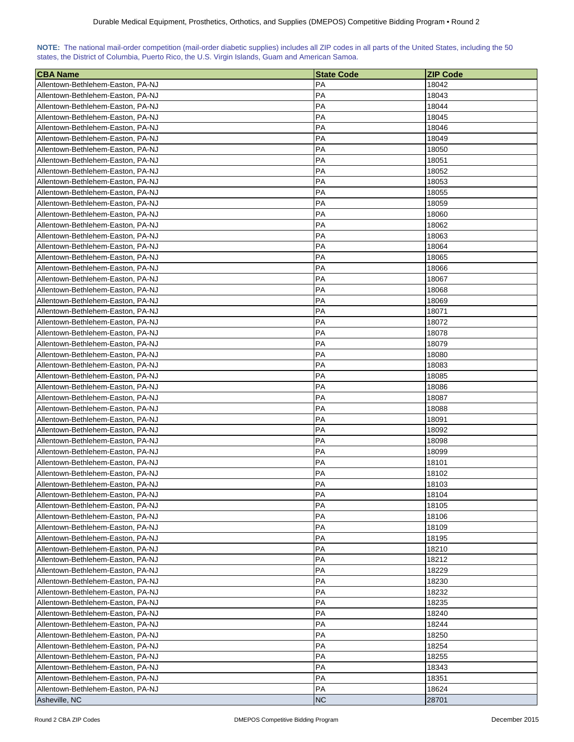<span id="page-9-0"></span>

| NOTE: The national mail-order competition (mail-order diabetic supplies) includes all ZIP codes in all parts of the United States, including the 50 |  |  |  |  |  |  |  |
|-----------------------------------------------------------------------------------------------------------------------------------------------------|--|--|--|--|--|--|--|
| states, the District of Columbia, Puerto Rico, the U.S. Virgin Islands, Guam and American Samoa.                                                    |  |  |  |  |  |  |  |

| <b>CBA Name</b>                                                        | <b>State Code</b> | <b>ZIP Code</b> |
|------------------------------------------------------------------------|-------------------|-----------------|
| Allentown-Bethlehem-Easton, PA-NJ                                      | PA                | 18042           |
| Allentown-Bethlehem-Easton, PA-NJ                                      | PA                | 18043           |
| Allentown-Bethlehem-Easton, PA-NJ                                      | PA                | 18044           |
| Allentown-Bethlehem-Easton, PA-NJ                                      | PA                | 18045           |
| Allentown-Bethlehem-Easton, PA-NJ                                      | РA                | 18046           |
| Allentown-Bethlehem-Easton, PA-NJ                                      | РA                | 18049           |
| Allentown-Bethlehem-Easton, PA-NJ                                      | РA                | 18050           |
|                                                                        | PA                |                 |
| Allentown-Bethlehem-Easton, PA-NJ<br>Allentown-Bethlehem-Easton, PA-NJ | РA                | 18051<br>18052  |
| Allentown-Bethlehem-Easton, PA-NJ                                      | РA                | 18053           |
|                                                                        | PA                | 18055           |
| Allentown-Bethlehem-Easton, PA-NJ                                      |                   |                 |
| Allentown-Bethlehem-Easton, PA-NJ                                      | PA                | 18059           |
| Allentown-Bethlehem-Easton, PA-NJ                                      | PA                | 18060           |
| Allentown-Bethlehem-Easton, PA-NJ                                      | PA                | 18062           |
| Allentown-Bethlehem-Easton, PA-NJ                                      | PA                | 18063           |
| Allentown-Bethlehem-Easton, PA-NJ                                      | PA                | 18064           |
| Allentown-Bethlehem-Easton, PA-NJ                                      | PA                | 18065           |
| Allentown-Bethlehem-Easton, PA-NJ                                      | РA                | 18066           |
| Allentown-Bethlehem-Easton, PA-NJ                                      | РA                | 18067           |
| Allentown-Bethlehem-Easton, PA-NJ                                      | PA                | 18068           |
| Allentown-Bethlehem-Easton, PA-NJ                                      | PA                | 18069           |
| Allentown-Bethlehem-Easton, PA-NJ                                      | РA                | 18071           |
| Allentown-Bethlehem-Easton, PA-NJ                                      | PA                | 18072           |
| Allentown-Bethlehem-Easton, PA-NJ                                      | PA                | 18078           |
| Allentown-Bethlehem-Easton, PA-NJ                                      | PA                | 18079           |
| Allentown-Bethlehem-Easton, PA-NJ                                      | PA                | 18080           |
| Allentown-Bethlehem-Easton, PA-NJ                                      | PA                | 18083           |
| Allentown-Bethlehem-Easton, PA-NJ                                      | PA                | 18085           |
| Allentown-Bethlehem-Easton, PA-NJ                                      | PA                | 18086           |
| Allentown-Bethlehem-Easton, PA-NJ                                      | PA                | 18087           |
| Allentown-Bethlehem-Easton, PA-NJ                                      | РA                | 18088           |
| Allentown-Bethlehem-Easton, PA-NJ                                      | PA                | 18091           |
| Allentown-Bethlehem-Easton, PA-NJ                                      | PA                | 18092           |
| Allentown-Bethlehem-Easton, PA-NJ                                      | PA                | 18098           |
| Allentown-Bethlehem-Easton, PA-NJ                                      | PA                | 18099           |
| Allentown-Bethlehem-Easton, PA-NJ                                      | PA                | 18101           |
| Allentown-Bethlehem-Easton, PA-NJ                                      | PA                | 18102           |
| Allentown-Bethlehem-Easton, PA-NJ                                      | PA                | 18103           |
| Allentown-Bethlehem-Easton, PA-NJ                                      | <b>PA</b>         | 18104           |
| Allentown-Bethlehem-Easton, PA-NJ                                      | PA                | 18105           |
| Allentown-Bethlehem-Easton, PA-NJ                                      | PA                | 18106           |
| Allentown-Bethlehem-Easton, PA-NJ                                      | PA<br>PA          | 18109           |
| Allentown-Bethlehem-Easton, PA-NJ                                      |                   | 18195           |
| Allentown-Bethlehem-Easton, PA-NJ                                      | PA                | 18210           |
| Allentown-Bethlehem-Easton, PA-NJ                                      | PA                | 18212           |
| Allentown-Bethlehem-Easton, PA-NJ                                      | PA                | 18229           |
| Allentown-Bethlehem-Easton, PA-NJ                                      | PA                | 18230           |
| Allentown-Bethlehem-Easton, PA-NJ                                      | PA                | 18232           |
| Allentown-Bethlehem-Easton, PA-NJ                                      | PA                | 18235           |
| Allentown-Bethlehem-Easton, PA-NJ                                      | PA                | 18240           |
| Allentown-Bethlehem-Easton, PA-NJ                                      | PA                | 18244           |
| Allentown-Bethlehem-Easton, PA-NJ                                      | PA<br>PA          | 18250           |
| Allentown-Bethlehem-Easton, PA-NJ                                      |                   | 18254           |
| Allentown-Bethlehem-Easton, PA-NJ                                      | PA                | 18255           |
| Allentown-Bethlehem-Easton, PA-NJ                                      | PA<br>PA          | 18343           |
| Allentown-Bethlehem-Easton, PA-NJ<br>Allentown-Bethlehem-Easton, PA-NJ | PA                | 18351<br>18624  |
| Asheville, NC                                                          | <b>NC</b>         | 28701           |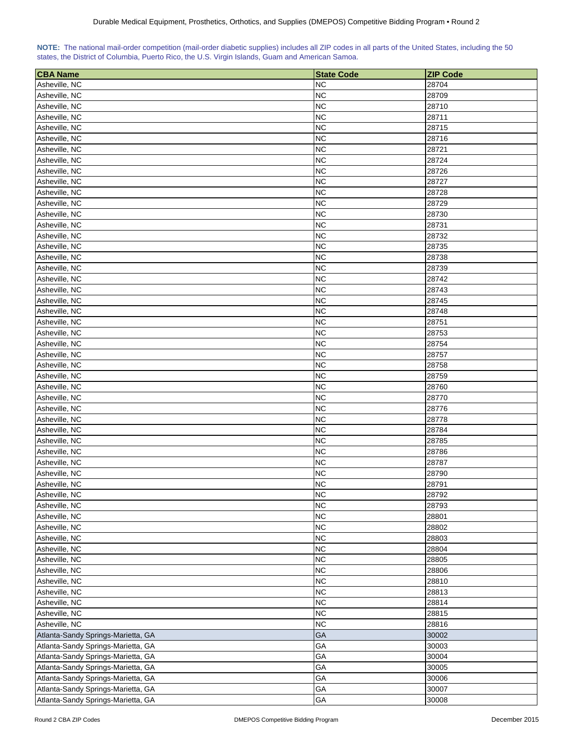<span id="page-10-0"></span>

|  | NOTE: The national mail-order competition (mail-order diabetic supplies) includes all ZIP codes in all parts of the United States, including the 50 |  |  |  |  |
|--|-----------------------------------------------------------------------------------------------------------------------------------------------------|--|--|--|--|
|  | states, the District of Columbia, Puerto Rico, the U.S. Virgin Islands, Guam and American Samoa.                                                    |  |  |  |  |

| <b>CBA Name</b>                    | <b>State Code</b> | <b>ZIP Code</b> |
|------------------------------------|-------------------|-----------------|
| Asheville, NC                      | <b>NC</b>         | 28704           |
| Asheville, NC                      | <b>NC</b>         | 28709           |
| Asheville, NC                      | <b>NC</b>         | 28710           |
| Asheville, NC                      | <b>NC</b>         | 28711           |
| Asheville, NC                      | <b>NC</b>         | 28715           |
| Asheville, NC                      | <b>NC</b>         | 28716           |
| Asheville, NC                      | <b>NC</b>         | 28721           |
| Asheville, NC                      | <b>NC</b>         | 28724           |
| Asheville, NC                      | <b>NC</b>         | 28726           |
| Asheville, NC                      | <b>NC</b>         | 28727           |
| Asheville, NC                      | <b>NC</b>         | 28728           |
| Asheville, NC                      | <b>NC</b>         | 28729           |
| Asheville, NC                      | <b>NC</b>         | 28730           |
| Asheville, NC                      | <b>NC</b>         | 28731           |
| Asheville, NC                      | <b>NC</b>         | 28732           |
| Asheville, NC                      | <b>NC</b>         | 28735           |
| Asheville, NC                      | <b>NC</b>         | 28738           |
| Asheville, NC                      | <b>NC</b>         | 28739           |
| Asheville, NC                      | <b>NC</b>         | 28742           |
| Asheville, NC                      | <b>NC</b>         | 28743           |
| Asheville, NC                      | <b>NC</b>         | 28745           |
| Asheville, NC                      | <b>NC</b>         | 28748           |
| Asheville, NC                      | <b>NC</b>         | 28751           |
| Asheville, NC                      | <b>NC</b>         | 28753           |
| Asheville, NC                      | <b>NC</b>         | 28754           |
| Asheville, NC                      | <b>NC</b>         | 28757           |
| Asheville, NC                      | <b>NC</b>         | 28758           |
| Asheville, NC                      | <b>NC</b>         | 28759           |
| Asheville, NC                      | <b>NC</b>         | 28760           |
| Asheville, NC                      | <b>NC</b>         | 28770           |
| Asheville, NC                      | <b>NC</b>         | 28776           |
| Asheville, NC                      | <b>NC</b>         | 28778           |
| Asheville, NC                      | <b>NC</b>         | 28784           |
| Asheville, NC                      | <b>NC</b>         | 28785           |
| Asheville, NC                      | <b>NC</b>         | 28786           |
| Asheville, NC                      | <b>NC</b>         | 28787           |
| Asheville, NC                      | <b>NC</b>         | 28790           |
| Asheville, NC                      | <b>NC</b>         | 28791           |
| Asheville, NC                      | <b>NC</b>         | 28792           |
| Asheville, NC                      | <b>NC</b>         | 28793           |
| Asheville, NC                      | <b>NC</b>         | 28801           |
| Asheville, NC                      | <b>NC</b>         | 28802           |
| Asheville, NC                      | <b>NC</b>         | 28803           |
| Asheville, NC                      | <b>NC</b>         | 28804           |
| Asheville, NC                      | <b>NC</b>         | 28805           |
| Asheville, NC                      | <b>NC</b>         | 28806           |
| Asheville, NC                      | <b>NC</b>         | 28810           |
| Asheville, NC                      | <b>NC</b>         | 28813           |
| Asheville, NC                      | <b>NC</b>         | 28814           |
| Asheville, NC                      | <b>NC</b>         | 28815           |
| Asheville, NC                      | <b>NC</b>         | 28816           |
| Atlanta-Sandy Springs-Marietta, GA | GA                | 30002           |
| Atlanta-Sandy Springs-Marietta, GA | GA                | 30003           |
| Atlanta-Sandy Springs-Marietta, GA | GA                | 30004           |
| Atlanta-Sandy Springs-Marietta, GA | GA                | 30005           |
| Atlanta-Sandy Springs-Marietta, GA | GA                | 30006           |
| Atlanta-Sandy Springs-Marietta, GA | GA                | 30007           |
| Atlanta-Sandy Springs-Marietta, GA | GA                | 30008           |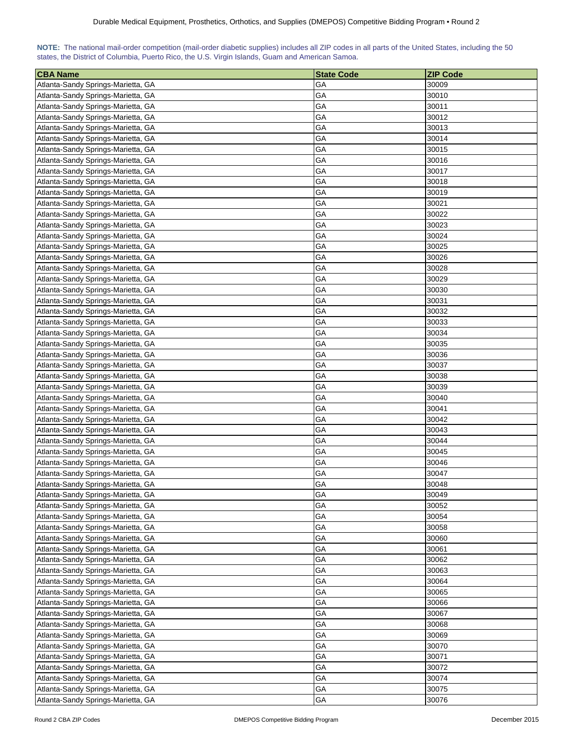| NOTE: The national mail-order competition (mail-order diabetic supplies) includes all ZIP codes in all parts of the United States, including the 50 |  |  |  |  |  |  |  |
|-----------------------------------------------------------------------------------------------------------------------------------------------------|--|--|--|--|--|--|--|
| states, the District of Columbia, Puerto Rico, the U.S. Virgin Islands, Guam and American Samoa.                                                    |  |  |  |  |  |  |  |

| <b>CBA Name</b>                    | <b>State Code</b> | <b>ZIP Code</b> |
|------------------------------------|-------------------|-----------------|
| Atlanta-Sandy Springs-Marietta, GA | GА                | 30009           |
| Atlanta-Sandy Springs-Marietta, GA | GА                | 30010           |
| Atlanta-Sandy Springs-Marietta, GA | GA                | 30011           |
| Atlanta-Sandy Springs-Marietta, GA | GА                | 30012           |
| Atlanta-Sandy Springs-Marietta, GA | GА                | 30013           |
| Atlanta-Sandy Springs-Marietta, GA | GA                | 30014           |
| Atlanta-Sandy Springs-Marietta, GA | GA                | 30015           |
| Atlanta-Sandy Springs-Marietta, GA | GA                | 30016           |
| Atlanta-Sandy Springs-Marietta, GA | GA                | 30017           |
| Atlanta-Sandy Springs-Marietta, GA | GА                | 30018           |
| Atlanta-Sandy Springs-Marietta, GA | GA                | 30019           |
| Atlanta-Sandy Springs-Marietta, GA | GА                | 30021           |
| Atlanta-Sandy Springs-Marietta, GA | GA                | 30022           |
| Atlanta-Sandy Springs-Marietta, GA | GА                | 30023           |
| Atlanta-Sandy Springs-Marietta, GA | GA                | 30024           |
| Atlanta-Sandy Springs-Marietta, GA | GA                | 30025           |
| Atlanta-Sandy Springs-Marietta, GA | GA                | 30026           |
| Atlanta-Sandy Springs-Marietta, GA | GА                | 30028           |
| Atlanta-Sandy Springs-Marietta, GA | GA                | 30029           |
| Atlanta-Sandy Springs-Marietta, GA | GA                | 30030           |
| Atlanta-Sandy Springs-Marietta, GA | GA                | 30031           |
| Atlanta-Sandy Springs-Marietta, GA | GA                | 30032           |
|                                    | GА                | 30033           |
| Atlanta-Sandy Springs-Marietta, GA | GA                | 30034           |
| Atlanta-Sandy Springs-Marietta, GA | GA                | 30035           |
| Atlanta-Sandy Springs-Marietta, GA |                   |                 |
| Atlanta-Sandy Springs-Marietta, GA | GА                | 30036           |
| Atlanta-Sandy Springs-Marietta, GA | GА                | 30037           |
| Atlanta-Sandy Springs-Marietta, GA | GА                | 30038           |
| Atlanta-Sandy Springs-Marietta, GA | GА                | 30039           |
| Atlanta-Sandy Springs-Marietta, GA | GА                | 30040           |
| Atlanta-Sandy Springs-Marietta, GA | GА                | 30041           |
| Atlanta-Sandy Springs-Marietta, GA | GА                | 30042           |
| Atlanta-Sandy Springs-Marietta, GA | GА                | 30043           |
| Atlanta-Sandy Springs-Marietta, GA | GA                | 30044           |
| Atlanta-Sandy Springs-Marietta, GA | GA                | 30045           |
| Atlanta-Sandy Springs-Marietta, GA | GA                | 30046           |
| Atlanta-Sandy Springs-Marietta, GA | GA                | 30047           |
| Atlanta-Sandy Springs-Marietta, GA | GA                | 30048           |
| Atlanta-Sandy Springs-Marietta, GA | GA                | 30049           |
| Atlanta-Sandy Springs-Marietta, GA | GA                | 30052           |
| Atlanta-Sandy Springs-Marietta, GA | GA                | 30054           |
| Atlanta-Sandy Springs-Marietta, GA | GA                | 30058           |
| Atlanta-Sandy Springs-Marietta, GA | GA                | 30060           |
| Atlanta-Sandy Springs-Marietta, GA | GA                | 30061           |
| Atlanta-Sandy Springs-Marietta, GA | GA                | 30062           |
| Atlanta-Sandy Springs-Marietta, GA | GA                | 30063           |
| Atlanta-Sandy Springs-Marietta, GA | GA                | 30064           |
| Atlanta-Sandy Springs-Marietta, GA | GA                | 30065           |
| Atlanta-Sandy Springs-Marietta, GA | GA                | 30066           |
| Atlanta-Sandy Springs-Marietta, GA | GA                | 30067           |
| Atlanta-Sandy Springs-Marietta, GA | GA                | 30068           |
| Atlanta-Sandy Springs-Marietta, GA | GA                | 30069           |
| Atlanta-Sandy Springs-Marietta, GA | GA                | 30070           |
| Atlanta-Sandy Springs-Marietta, GA | GА                | 30071           |
| Atlanta-Sandy Springs-Marietta, GA | GА                | 30072           |
| Atlanta-Sandy Springs-Marietta, GA | GA                | 30074           |
| Atlanta-Sandy Springs-Marietta, GA | GA                | 30075           |
| Atlanta-Sandy Springs-Marietta, GA | GA                | 30076           |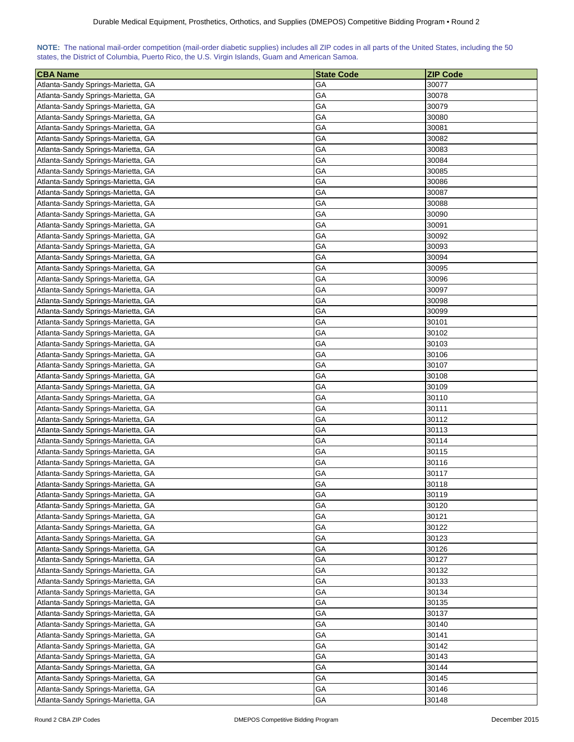| NOTE: The national mail-order competition (mail-order diabetic supplies) includes all ZIP codes in all parts of the United States, including the 50 |  |  |  |  |  |  |  |
|-----------------------------------------------------------------------------------------------------------------------------------------------------|--|--|--|--|--|--|--|
| states, the District of Columbia, Puerto Rico, the U.S. Virgin Islands, Guam and American Samoa.                                                    |  |  |  |  |  |  |  |

| <b>CBA Name</b>                    | <b>State Code</b> | <b>ZIP Code</b> |
|------------------------------------|-------------------|-----------------|
| Atlanta-Sandy Springs-Marietta, GA | GА                | 30077           |
| Atlanta-Sandy Springs-Marietta, GA | GА                | 30078           |
| Atlanta-Sandy Springs-Marietta, GA | GA                | 30079           |
| Atlanta-Sandy Springs-Marietta, GA | GА                | 30080           |
| Atlanta-Sandy Springs-Marietta, GA | GА                | 30081           |
| Atlanta-Sandy Springs-Marietta, GA | GA                | 30082           |
| Atlanta-Sandy Springs-Marietta, GA | GA                | 30083           |
| Atlanta-Sandy Springs-Marietta, GA | GA                | 30084           |
| Atlanta-Sandy Springs-Marietta, GA | GA                | 30085           |
| Atlanta-Sandy Springs-Marietta, GA | GA                | 30086           |
| Atlanta-Sandy Springs-Marietta, GA | GA                | 30087           |
| Atlanta-Sandy Springs-Marietta, GA | GА                | 30088           |
| Atlanta-Sandy Springs-Marietta, GA | GA                | 30090           |
| Atlanta-Sandy Springs-Marietta, GA | GА                | 30091           |
| Atlanta-Sandy Springs-Marietta, GA | GA                | 30092           |
| Atlanta-Sandy Springs-Marietta, GA | GA                | 30093           |
| Atlanta-Sandy Springs-Marietta, GA | GA                | 30094           |
| Atlanta-Sandy Springs-Marietta, GA | GА                | 30095           |
| Atlanta-Sandy Springs-Marietta, GA | GA                | 30096           |
| Atlanta-Sandy Springs-Marietta, GA | GA                | 30097           |
| Atlanta-Sandy Springs-Marietta, GA | GA                | 30098           |
| Atlanta-Sandy Springs-Marietta, GA | GA                | 30099           |
|                                    | GА                | 30101           |
| Atlanta-Sandy Springs-Marietta, GA | GA                | 30102           |
| Atlanta-Sandy Springs-Marietta, GA | GA                | 30103           |
| Atlanta-Sandy Springs-Marietta, GA |                   |                 |
| Atlanta-Sandy Springs-Marietta, GA | GА                | 30106           |
| Atlanta-Sandy Springs-Marietta, GA | GА                | 30107           |
| Atlanta-Sandy Springs-Marietta, GA | GА                | 30108           |
| Atlanta-Sandy Springs-Marietta, GA | GА                | 30109           |
| Atlanta-Sandy Springs-Marietta, GA | GА                | 30110           |
| Atlanta-Sandy Springs-Marietta, GA | GА                | 30111           |
| Atlanta-Sandy Springs-Marietta, GA | GА                | 30112           |
| Atlanta-Sandy Springs-Marietta, GA | GА                | 30113           |
| Atlanta-Sandy Springs-Marietta, GA | GA                | 30114           |
| Atlanta-Sandy Springs-Marietta, GA | GA                | 30115           |
| Atlanta-Sandy Springs-Marietta, GA | GA                | 30116           |
| Atlanta-Sandy Springs-Marietta, GA | GA                | 30117           |
| Atlanta-Sandy Springs-Marietta, GA | GA                | 30118           |
| Atlanta-Sandy Springs-Marietta, GA | GA                | 30119           |
| Atlanta-Sandy Springs-Marietta, GA | GA                | 30120           |
| Atlanta-Sandy Springs-Marietta, GA | GA                | 30121           |
| Atlanta-Sandy Springs-Marietta, GA | GA                | 30122           |
| Atlanta-Sandy Springs-Marietta, GA | GA                | 30123           |
| Atlanta-Sandy Springs-Marietta, GA | GA                | 30126           |
| Atlanta-Sandy Springs-Marietta, GA | GA                | 30127           |
| Atlanta-Sandy Springs-Marietta, GA | GA                | 30132           |
| Atlanta-Sandy Springs-Marietta, GA | GA                | 30133           |
| Atlanta-Sandy Springs-Marietta, GA | GA                | 30134           |
| Atlanta-Sandy Springs-Marietta, GA | GA                | 30135           |
| Atlanta-Sandy Springs-Marietta, GA | GA                | 30137           |
| Atlanta-Sandy Springs-Marietta, GA | GA                | 30140           |
| Atlanta-Sandy Springs-Marietta, GA | GA                | 30141           |
| Atlanta-Sandy Springs-Marietta, GA | GA                | 30142           |
| Atlanta-Sandy Springs-Marietta, GA | GА                | 30143           |
| Atlanta-Sandy Springs-Marietta, GA | GА                | 30144           |
| Atlanta-Sandy Springs-Marietta, GA | GA                | 30145           |
| Atlanta-Sandy Springs-Marietta, GA | GA                | 30146           |
| Atlanta-Sandy Springs-Marietta, GA | GA                | 30148           |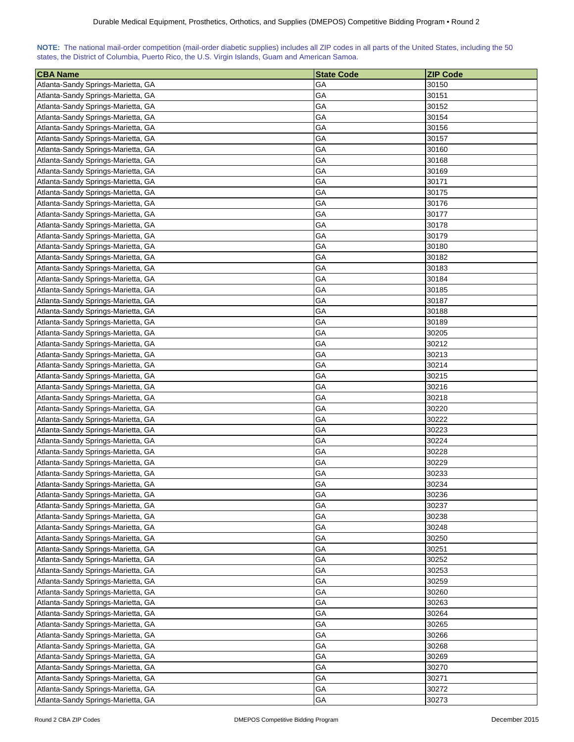| NOTE: The national mail-order competition (mail-order diabetic supplies) includes all ZIP codes in all parts of the United States, including the 50 |  |  |  |  |  |  |  |
|-----------------------------------------------------------------------------------------------------------------------------------------------------|--|--|--|--|--|--|--|
| states, the District of Columbia, Puerto Rico, the U.S. Virgin Islands, Guam and American Samoa.                                                    |  |  |  |  |  |  |  |

| <b>CBA Name</b>                    | <b>State Code</b> | <b>ZIP Code</b> |
|------------------------------------|-------------------|-----------------|
| Atlanta-Sandy Springs-Marietta, GA | GА                | 30150           |
| Atlanta-Sandy Springs-Marietta, GA | GА                | 30151           |
| Atlanta-Sandy Springs-Marietta, GA | GA                | 30152           |
| Atlanta-Sandy Springs-Marietta, GA | GА                | 30154           |
| Atlanta-Sandy Springs-Marietta, GA | GА                | 30156           |
| Atlanta-Sandy Springs-Marietta, GA | GA                | 30157           |
| Atlanta-Sandy Springs-Marietta, GA | GA                | 30160           |
| Atlanta-Sandy Springs-Marietta, GA | GA                | 30168           |
| Atlanta-Sandy Springs-Marietta, GA | GA                | 30169           |
| Atlanta-Sandy Springs-Marietta, GA | GA                | 30171           |
| Atlanta-Sandy Springs-Marietta, GA | GA                | 30175           |
| Atlanta-Sandy Springs-Marietta, GA | GА                | 30176           |
| Atlanta-Sandy Springs-Marietta, GA | GA                | 30177           |
| Atlanta-Sandy Springs-Marietta, GA | GA                | 30178           |
| Atlanta-Sandy Springs-Marietta, GA | GA                | 30179           |
| Atlanta-Sandy Springs-Marietta, GA | GA                | 30180           |
| Atlanta-Sandy Springs-Marietta, GA | GA                | 30182           |
| Atlanta-Sandy Springs-Marietta, GA | GА                | 30183           |
| Atlanta-Sandy Springs-Marietta, GA | GA                | 30184           |
| Atlanta-Sandy Springs-Marietta, GA | GA                | 30185           |
| Atlanta-Sandy Springs-Marietta, GA | GA                | 30187           |
| Atlanta-Sandy Springs-Marietta, GA | GA                | 30188           |
| Atlanta-Sandy Springs-Marietta, GA | GА                | 30189           |
|                                    | GA                | 30205           |
| Atlanta-Sandy Springs-Marietta, GA | GA                | 30212           |
| Atlanta-Sandy Springs-Marietta, GA |                   |                 |
| Atlanta-Sandy Springs-Marietta, GA | GА                | 30213           |
| Atlanta-Sandy Springs-Marietta, GA | GА                | 30214           |
| Atlanta-Sandy Springs-Marietta, GA | GА                | 30215           |
| Atlanta-Sandy Springs-Marietta, GA | GА                | 30216           |
| Atlanta-Sandy Springs-Marietta, GA | GА                | 30218           |
| Atlanta-Sandy Springs-Marietta, GA | GА                | 30220           |
| Atlanta-Sandy Springs-Marietta, GA | GA                | 30222           |
| Atlanta-Sandy Springs-Marietta, GA | GА                | 30223           |
| Atlanta-Sandy Springs-Marietta, GA | GA                | 30224           |
| Atlanta-Sandy Springs-Marietta, GA | GA                | 30228           |
| Atlanta-Sandy Springs-Marietta, GA | GA                | 30229           |
| Atlanta-Sandy Springs-Marietta, GA | GA                | 30233           |
| Atlanta-Sandy Springs-Marietta, GA | GA                | 30234           |
| Atlanta-Sandy Springs-Marietta, GA | GA                | 30236           |
| Atlanta-Sandy Springs-Marietta, GA | GA                | 30237           |
| Atlanta-Sandy Springs-Marietta, GA | GA                | 30238           |
| Atlanta-Sandy Springs-Marietta, GA | GA                | 30248           |
| Atlanta-Sandy Springs-Marietta, GA | GA                | 30250           |
| Atlanta-Sandy Springs-Marietta, GA | GA                | 30251           |
| Atlanta-Sandy Springs-Marietta, GA | GA                | 30252           |
| Atlanta-Sandy Springs-Marietta, GA | GA                | 30253           |
| Atlanta-Sandy Springs-Marietta, GA | GA                | 30259           |
| Atlanta-Sandy Springs-Marietta, GA | GA                | 30260           |
| Atlanta-Sandy Springs-Marietta, GA | GA                | 30263           |
| Atlanta-Sandy Springs-Marietta, GA | GA                | 30264           |
| Atlanta-Sandy Springs-Marietta, GA | GА                | 30265           |
| Atlanta-Sandy Springs-Marietta, GA | GА                | 30266           |
| Atlanta-Sandy Springs-Marietta, GA | GA                | 30268           |
| Atlanta-Sandy Springs-Marietta, GA | GА                | 30269           |
| Atlanta-Sandy Springs-Marietta, GA | GА                | 30270           |
| Atlanta-Sandy Springs-Marietta, GA | GA                | 30271           |
| Atlanta-Sandy Springs-Marietta, GA | GA                | 30272           |
| Atlanta-Sandy Springs-Marietta, GA | GA                | 30273           |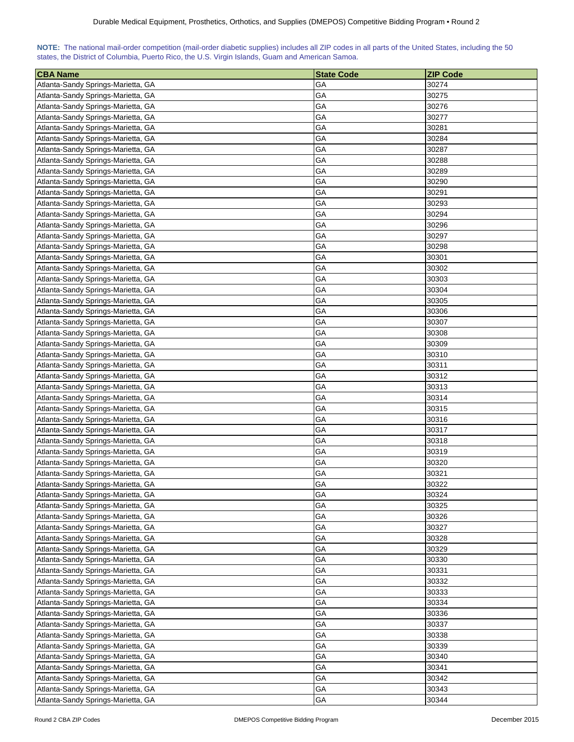| NOTE: The national mail-order competition (mail-order diabetic supplies) includes all ZIP codes in all parts of the United States, including the 50 |  |  |  |  |  |  |  |
|-----------------------------------------------------------------------------------------------------------------------------------------------------|--|--|--|--|--|--|--|
| states, the District of Columbia, Puerto Rico, the U.S. Virgin Islands, Guam and American Samoa.                                                    |  |  |  |  |  |  |  |

| <b>CBA Name</b>                    | <b>State Code</b> | <b>ZIP Code</b> |
|------------------------------------|-------------------|-----------------|
| Atlanta-Sandy Springs-Marietta, GA | GА                | 30274           |
| Atlanta-Sandy Springs-Marietta, GA | GА                | 30275           |
| Atlanta-Sandy Springs-Marietta, GA | GA                | 30276           |
| Atlanta-Sandy Springs-Marietta, GA | GА                | 30277           |
| Atlanta-Sandy Springs-Marietta, GA | GА                | 30281           |
| Atlanta-Sandy Springs-Marietta, GA | GA                | 30284           |
| Atlanta-Sandy Springs-Marietta, GA | GA                | 30287           |
| Atlanta-Sandy Springs-Marietta, GA | GA                | 30288           |
| Atlanta-Sandy Springs-Marietta, GA | GA                | 30289           |
| Atlanta-Sandy Springs-Marietta, GA | GA                | 30290           |
| Atlanta-Sandy Springs-Marietta, GA | GA                | 30291           |
| Atlanta-Sandy Springs-Marietta, GA | GА                | 30293           |
| Atlanta-Sandy Springs-Marietta, GA | GA                | 30294           |
| Atlanta-Sandy Springs-Marietta, GA | GА                | 30296           |
| Atlanta-Sandy Springs-Marietta, GA | GA                | 30297           |
| Atlanta-Sandy Springs-Marietta, GA | GA                | 30298           |
| Atlanta-Sandy Springs-Marietta, GA | GA                | 30301           |
| Atlanta-Sandy Springs-Marietta, GA | GА                | 30302           |
| Atlanta-Sandy Springs-Marietta, GA | GA                | 30303           |
| Atlanta-Sandy Springs-Marietta, GA | GA                | 30304           |
| Atlanta-Sandy Springs-Marietta, GA | GA                | 30305           |
| Atlanta-Sandy Springs-Marietta, GA | GA                | 30306           |
| Atlanta-Sandy Springs-Marietta, GA | GА                | 30307           |
|                                    | GA                | 30308           |
| Atlanta-Sandy Springs-Marietta, GA | GA                | 30309           |
| Atlanta-Sandy Springs-Marietta, GA |                   |                 |
| Atlanta-Sandy Springs-Marietta, GA | GА                | 30310           |
| Atlanta-Sandy Springs-Marietta, GA | GА                | 30311           |
| Atlanta-Sandy Springs-Marietta, GA | GА                | 30312           |
| Atlanta-Sandy Springs-Marietta, GA | GА                | 30313           |
| Atlanta-Sandy Springs-Marietta, GA | GА                | 30314           |
| Atlanta-Sandy Springs-Marietta, GA | GА                | 30315           |
| Atlanta-Sandy Springs-Marietta, GA | GА                | 30316           |
| Atlanta-Sandy Springs-Marietta, GA | GА                | 30317           |
| Atlanta-Sandy Springs-Marietta, GA | GA                | 30318           |
| Atlanta-Sandy Springs-Marietta, GA | GA                | 30319           |
| Atlanta-Sandy Springs-Marietta, GA | GA                | 30320           |
| Atlanta-Sandy Springs-Marietta, GA | GA                | 30321           |
| Atlanta-Sandy Springs-Marietta, GA | GA                | 30322           |
| Atlanta-Sandy Springs-Marietta, GA | GA                | 30324           |
| Atlanta-Sandy Springs-Marietta, GA | GA                | 30325           |
| Atlanta-Sandy Springs-Marietta, GA | GA                | 30326           |
| Atlanta-Sandy Springs-Marietta, GA | GA                | 30327           |
| Atlanta-Sandy Springs-Marietta, GA | GA                | 30328           |
| Atlanta-Sandy Springs-Marietta, GA | GA                | 30329           |
| Atlanta-Sandy Springs-Marietta, GA | GA                | 30330           |
| Atlanta-Sandy Springs-Marietta, GA | GA                | 30331           |
| Atlanta-Sandy Springs-Marietta, GA | GA                | 30332           |
| Atlanta-Sandy Springs-Marietta, GA | GA                | 30333           |
| Atlanta-Sandy Springs-Marietta, GA | GA                | 30334           |
| Atlanta-Sandy Springs-Marietta, GA | GA                | 30336           |
| Atlanta-Sandy Springs-Marietta, GA | GА                | 30337           |
| Atlanta-Sandy Springs-Marietta, GA | GA                | 30338           |
| Atlanta-Sandy Springs-Marietta, GA | GA                | 30339           |
| Atlanta-Sandy Springs-Marietta, GA | GА                | 30340           |
| Atlanta-Sandy Springs-Marietta, GA | GА                | 30341           |
| Atlanta-Sandy Springs-Marietta, GA | GA                | 30342           |
| Atlanta-Sandy Springs-Marietta, GA | GA                | 30343           |
| Atlanta-Sandy Springs-Marietta, GA | GA                | 30344           |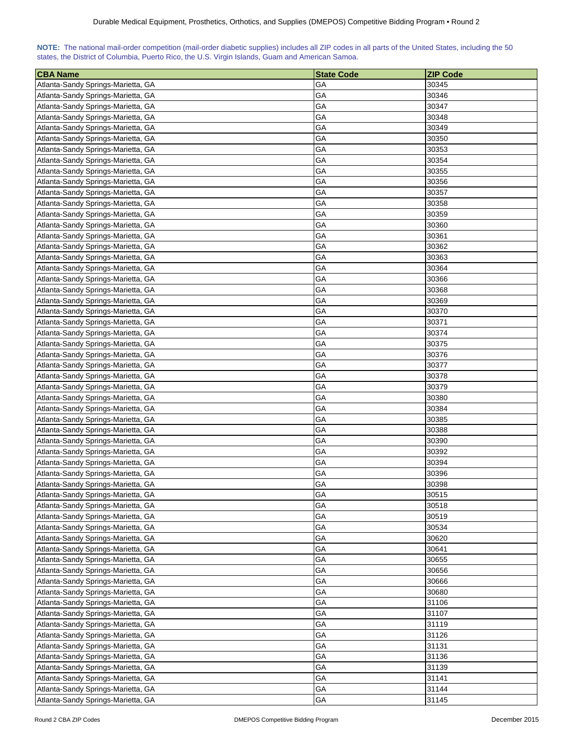| NOTE: The national mail-order competition (mail-order diabetic supplies) includes all ZIP codes in all parts of the United States, including the 50 |  |  |  |  |  |  |  |
|-----------------------------------------------------------------------------------------------------------------------------------------------------|--|--|--|--|--|--|--|
| states, the District of Columbia, Puerto Rico, the U.S. Virgin Islands, Guam and American Samoa.                                                    |  |  |  |  |  |  |  |

| <b>CBA Name</b>                    | <b>State Code</b> | <b>ZIP Code</b> |
|------------------------------------|-------------------|-----------------|
| Atlanta-Sandy Springs-Marietta, GA | GА                | 30345           |
| Atlanta-Sandy Springs-Marietta, GA | GА                | 30346           |
| Atlanta-Sandy Springs-Marietta, GA | GA                | 30347           |
| Atlanta-Sandy Springs-Marietta, GA | GА                | 30348           |
| Atlanta-Sandy Springs-Marietta, GA | GА                | 30349           |
| Atlanta-Sandy Springs-Marietta, GA | GA                | 30350           |
| Atlanta-Sandy Springs-Marietta, GA | GA                | 30353           |
| Atlanta-Sandy Springs-Marietta, GA | GA                | 30354           |
| Atlanta-Sandy Springs-Marietta, GA | GA                | 30355           |
| Atlanta-Sandy Springs-Marietta, GA | GА                | 30356           |
| Atlanta-Sandy Springs-Marietta, GA | GA                | 30357           |
| Atlanta-Sandy Springs-Marietta, GA | GА                | 30358           |
| Atlanta-Sandy Springs-Marietta, GA | GA                | 30359           |
| Atlanta-Sandy Springs-Marietta, GA | GА                | 30360           |
| Atlanta-Sandy Springs-Marietta, GA | GA                | 30361           |
| Atlanta-Sandy Springs-Marietta, GA | GA                | 30362           |
| Atlanta-Sandy Springs-Marietta, GA | GA                | 30363           |
| Atlanta-Sandy Springs-Marietta, GA | GА                | 30364           |
| Atlanta-Sandy Springs-Marietta, GA | GA                | 30366           |
| Atlanta-Sandy Springs-Marietta, GA | GA                | 30368           |
| Atlanta-Sandy Springs-Marietta, GA | GA                | 30369           |
| Atlanta-Sandy Springs-Marietta, GA | GA                | 30370           |
| Atlanta-Sandy Springs-Marietta, GA | GА                | 30371           |
|                                    | GA                | 30374           |
| Atlanta-Sandy Springs-Marietta, GA | GA                | 30375           |
| Atlanta-Sandy Springs-Marietta, GA |                   |                 |
| Atlanta-Sandy Springs-Marietta, GA | GА                | 30376           |
| Atlanta-Sandy Springs-Marietta, GA | GА                | 30377           |
| Atlanta-Sandy Springs-Marietta, GA | GА                | 30378           |
| Atlanta-Sandy Springs-Marietta, GA | GА                | 30379           |
| Atlanta-Sandy Springs-Marietta, GA | GА                | 30380           |
| Atlanta-Sandy Springs-Marietta, GA | GА                | 30384           |
| Atlanta-Sandy Springs-Marietta, GA | GА                | 30385           |
| Atlanta-Sandy Springs-Marietta, GA | GА                | 30388           |
| Atlanta-Sandy Springs-Marietta, GA | GA                | 30390           |
| Atlanta-Sandy Springs-Marietta, GA | GA                | 30392           |
| Atlanta-Sandy Springs-Marietta, GA | GA                | 30394           |
| Atlanta-Sandy Springs-Marietta, GA | GA                | 30396           |
| Atlanta-Sandy Springs-Marietta, GA | GA                | 30398           |
| Atlanta-Sandy Springs-Marietta, GA | GA                | 30515           |
| Atlanta-Sandy Springs-Marietta, GA | GA                | 30518           |
| Atlanta-Sandy Springs-Marietta, GA | GA                | 30519           |
| Atlanta-Sandy Springs-Marietta, GA | GA                | 30534           |
| Atlanta-Sandy Springs-Marietta, GA | GA                | 30620           |
| Atlanta-Sandy Springs-Marietta, GA | GA                | 30641           |
| Atlanta-Sandy Springs-Marietta, GA | GA                | 30655           |
| Atlanta-Sandy Springs-Marietta, GA | GA                | 30656           |
| Atlanta-Sandy Springs-Marietta, GA | GA                | 30666           |
| Atlanta-Sandy Springs-Marietta, GA | GA                | 30680           |
| Atlanta-Sandy Springs-Marietta, GA | GA                | 31106           |
| Atlanta-Sandy Springs-Marietta, GA | GA                | 31107           |
| Atlanta-Sandy Springs-Marietta, GA | GA                | 31119           |
| Atlanta-Sandy Springs-Marietta, GA | GA                | 31126           |
| Atlanta-Sandy Springs-Marietta, GA | GA                | 31131           |
| Atlanta-Sandy Springs-Marietta, GA | GА                | 31136           |
| Atlanta-Sandy Springs-Marietta, GA | GА                | 31139           |
| Atlanta-Sandy Springs-Marietta, GA | GA                | 31141           |
| Atlanta-Sandy Springs-Marietta, GA | GA                | 31144           |
| Atlanta-Sandy Springs-Marietta, GA | GA                | 31145           |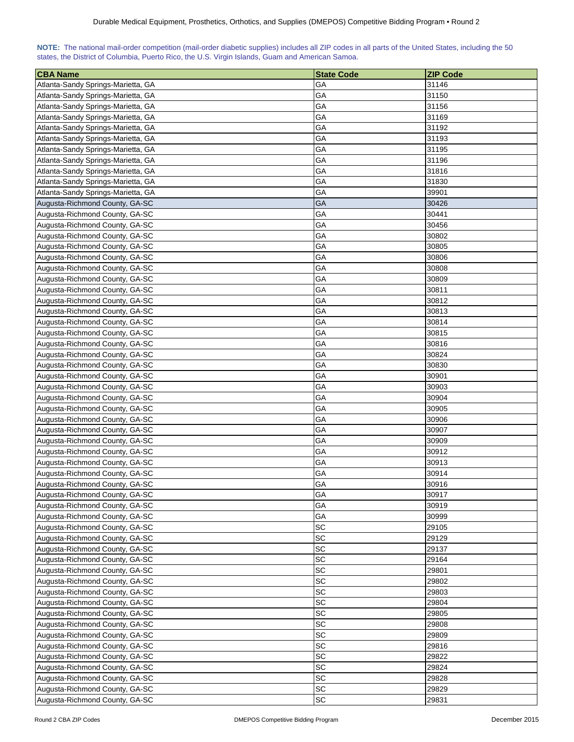<span id="page-16-0"></span>

| NOTE: The national mail-order competition (mail-order diabetic supplies) includes all ZIP codes in all parts of the United States, including the 50 |  |  |  |  |  |  |  |
|-----------------------------------------------------------------------------------------------------------------------------------------------------|--|--|--|--|--|--|--|
| states, the District of Columbia, Puerto Rico, the U.S. Virgin Islands, Guam and American Samoa.                                                    |  |  |  |  |  |  |  |

| <b>CBA Name</b>                                                  | <b>State Code</b> | <b>ZIP Code</b> |
|------------------------------------------------------------------|-------------------|-----------------|
| Atlanta-Sandy Springs-Marietta, GA                               | GА                | 31146           |
| Atlanta-Sandy Springs-Marietta, GA                               | GA                | 31150           |
| Atlanta-Sandy Springs-Marietta, GA                               | GА                | 31156           |
| Atlanta-Sandy Springs-Marietta, GA                               | GА                | 31169           |
| Atlanta-Sandy Springs-Marietta, GA                               | GА                | 31192           |
| Atlanta-Sandy Springs-Marietta, GA                               | GA                | 31193           |
| Atlanta-Sandy Springs-Marietta, GA                               | GA                | 31195           |
| Atlanta-Sandy Springs-Marietta, GA                               | GA                | 31196           |
| Atlanta-Sandy Springs-Marietta, GA                               | GA                | 31816           |
| Atlanta-Sandy Springs-Marietta, GA                               | GA                | 31830           |
| Atlanta-Sandy Springs-Marietta, GA                               | GA                | 39901           |
| Augusta-Richmond County, GA-SC                                   | GA                | 30426           |
| Augusta-Richmond County, GA-SC                                   | GA                | 30441           |
| Augusta-Richmond County, GA-SC                                   | GA                | 30456           |
| Augusta-Richmond County, GA-SC                                   | GА                | 30802           |
| Augusta-Richmond County, GA-SC                                   | GА                | 30805           |
| Augusta-Richmond County, GA-SC                                   | GА                | 30806           |
| Augusta-Richmond County, GA-SC                                   | GA                | 30808           |
| Augusta-Richmond County, GA-SC                                   | GA                | 30809           |
| Augusta-Richmond County, GA-SC                                   | GА                | 30811           |
| Augusta-Richmond County, GA-SC                                   | GA                | 30812           |
| Augusta-Richmond County, GA-SC                                   | GA                | 30813           |
|                                                                  | GA                |                 |
| Augusta-Richmond County, GA-SC<br>Augusta-Richmond County, GA-SC | GA                | 30814<br>30815  |
|                                                                  | GA                | 30816           |
| Augusta-Richmond County, GA-SC                                   | GA                | 30824           |
| Augusta-Richmond County, GA-SC                                   |                   |                 |
| Augusta-Richmond County, GA-SC                                   | GA                | 30830           |
| Augusta-Richmond County, GA-SC                                   | GА                | 30901           |
| Augusta-Richmond County, GA-SC                                   | GА                | 30903           |
| Augusta-Richmond County, GA-SC                                   | GА                | 30904           |
| Augusta-Richmond County, GA-SC                                   | GА                | 30905           |
| Augusta-Richmond County, GA-SC                                   | GA                | 30906           |
| Augusta-Richmond County, GA-SC                                   | GА                | 30907           |
| Augusta-Richmond County, GA-SC                                   | GA                | 30909           |
| Augusta-Richmond County, GA-SC                                   | GA                | 30912           |
| Augusta-Richmond County, GA-SC                                   | GA                | 30913           |
| Augusta-Richmond County, GA-SC                                   | GA                | 30914           |
| Augusta-Richmond County, GA-SC                                   | GA                | 30916           |
| Augusta-Richmond County, GA-SC                                   | GA                | 30917           |
| Augusta-Richmond County, GA-SC                                   | GA                | 30919           |
| Augusta-Richmond County, GA-SC                                   | GA                | 30999           |
| Augusta-Richmond County, GA-SC                                   | SC                | 29105           |
| Augusta-Richmond County, GA-SC                                   | SC                | 29129           |
| Augusta-Richmond County, GA-SC                                   | SC                | 29137           |
| Augusta-Richmond County, GA-SC                                   | SC                | 29164           |
| Augusta-Richmond County, GA-SC                                   | SC                | 29801           |
| Augusta-Richmond County, GA-SC                                   | SC                | 29802           |
| Augusta-Richmond County, GA-SC                                   | SC                | 29803           |
| Augusta-Richmond County, GA-SC                                   | SC                | 29804           |
| Augusta-Richmond County, GA-SC                                   | SC                | 29805           |
| Augusta-Richmond County, GA-SC                                   | SC                | 29808           |
| Augusta-Richmond County, GA-SC                                   | SC                | 29809           |
| Augusta-Richmond County, GA-SC                                   | SC                | 29816           |
| Augusta-Richmond County, GA-SC                                   | SC                | 29822           |
| Augusta-Richmond County, GA-SC                                   | SC                | 29824           |
| Augusta-Richmond County, GA-SC                                   | SC                | 29828           |
| Augusta-Richmond County, GA-SC                                   | SC                | 29829           |
| Augusta-Richmond County, GA-SC                                   | <b>SC</b>         | 29831           |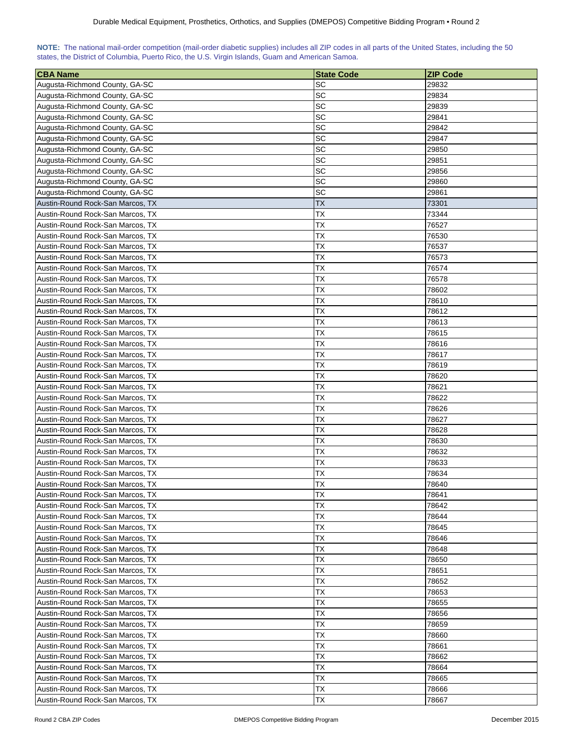<span id="page-17-0"></span>

| NOTE: The national mail-order competition (mail-order diabetic supplies) includes all ZIP codes in all parts of the United States, including the 50 |  |  |  |  |  |  |  |
|-----------------------------------------------------------------------------------------------------------------------------------------------------|--|--|--|--|--|--|--|
| states, the District of Columbia, Puerto Rico, the U.S. Virgin Islands, Guam and American Samoa.                                                    |  |  |  |  |  |  |  |

| <b>CBA Name</b>                  | <b>State Code</b> | <b>ZIP Code</b> |
|----------------------------------|-------------------|-----------------|
| Augusta-Richmond County, GA-SC   | SC                | 29832           |
| Augusta-Richmond County, GA-SC   | SC                | 29834           |
| Augusta-Richmond County, GA-SC   | SC                | 29839           |
| Augusta-Richmond County, GA-SC   | SC                | 29841           |
| Augusta-Richmond County, GA-SC   | SC                | 29842           |
| Augusta-Richmond County, GA-SC   | SC                | 29847           |
| Augusta-Richmond County, GA-SC   | SC                | 29850           |
| Augusta-Richmond County, GA-SC   | SC                | 29851           |
| Augusta-Richmond County, GA-SC   | SC                | 29856           |
| Augusta-Richmond County, GA-SC   | SC                | 29860           |
| Augusta-Richmond County, GA-SC   | SC                | 29861           |
| Austin-Round Rock-San Marcos, TX | <b>TX</b>         | 73301           |
| Austin-Round Rock-San Marcos, TX | ТX                | 73344           |
| Austin-Round Rock-San Marcos, TX | <b>TX</b>         | 76527           |
| Austin-Round Rock-San Marcos, TX | ТX                | 76530           |
| Austin-Round Rock-San Marcos, TX | TX                | 76537           |
| Austin-Round Rock-San Marcos, TX | TX                | 76573           |
| Austin-Round Rock-San Marcos, TX | <b>TX</b>         | 76574           |
| Austin-Round Rock-San Marcos, TX | ТX                | 76578           |
| Austin-Round Rock-San Marcos, TX | TX                | 78602           |
| Austin-Round Rock-San Marcos, TX | TX                | 78610           |
| Austin-Round Rock-San Marcos, TX | TX                | 78612           |
| Austin-Round Rock-San Marcos, TX | TX                | 78613           |
| Austin-Round Rock-San Marcos, TX | <b>TX</b>         | 78615           |
| Austin-Round Rock-San Marcos, TX | <b>TX</b>         | 78616           |
| Austin-Round Rock-San Marcos, TX | <b>TX</b>         | 78617           |
| Austin-Round Rock-San Marcos, TX | <b>TX</b>         | 78619           |
| Austin-Round Rock-San Marcos, TX | <b>TX</b>         | 78620           |
| Austin-Round Rock-San Marcos, TX | <b>TX</b>         | 78621           |
| Austin-Round Rock-San Marcos, TX | ТX                | 78622           |
| Austin-Round Rock-San Marcos, TX | ТX                | 78626           |
| Austin-Round Rock-San Marcos, TX | ТX                | 78627           |
| Austin-Round Rock-San Marcos, TX | ТX                | 78628           |
| Austin-Round Rock-San Marcos, TX | <b>ΤX</b>         | 78630           |
| Austin-Round Rock-San Marcos, TX | <b>ΤX</b>         | 78632           |
| Austin-Round Rock-San Marcos, TX | <b>TX</b>         | 78633           |
| Austin-Round Rock-San Marcos, TX | ТX                | 78634           |
| Austin-Round Rock-San Marcos, TX | <b>TX</b>         | 78640           |
| Austin-Round Rock-San Marcos, TX | <b>TX</b>         | 78641           |
| Austin-Round Rock-San Marcos, TX | ТX                | 78642           |
| Austin-Round Rock-San Marcos, TX | ТX                | 78644           |
| Austin-Round Rock-San Marcos, TX | ТX                | 78645           |
| Austin-Round Rock-San Marcos, TX | ТX                | 78646           |
| Austin-Round Rock-San Marcos, TX | ТX                | 78648           |
| Austin-Round Rock-San Marcos, TX | ТX                | 78650           |
| Austin-Round Rock-San Marcos, TX | ТX                | 78651           |
| Austin-Round Rock-San Marcos, TX | ТX                | 78652           |
| Austin-Round Rock-San Marcos, TX | ТX                | 78653           |
| Austin-Round Rock-San Marcos, TX | ТX                | 78655           |
| Austin-Round Rock-San Marcos, TX | ТX                | 78656           |
| Austin-Round Rock-San Marcos, TX | ТX                | 78659           |
| Austin-Round Rock-San Marcos, TX | ТX                | 78660           |
| Austin-Round Rock-San Marcos, TX | ТX                | 78661           |
| Austin-Round Rock-San Marcos, TX | ТX                | 78662           |
| Austin-Round Rock-San Marcos, TX | TХ                | 78664           |
| Austin-Round Rock-San Marcos, TX | ТX                | 78665           |
| Austin-Round Rock-San Marcos, TX | ТX                | 78666           |
| Austin-Round Rock-San Marcos, TX | ТX                | 78667           |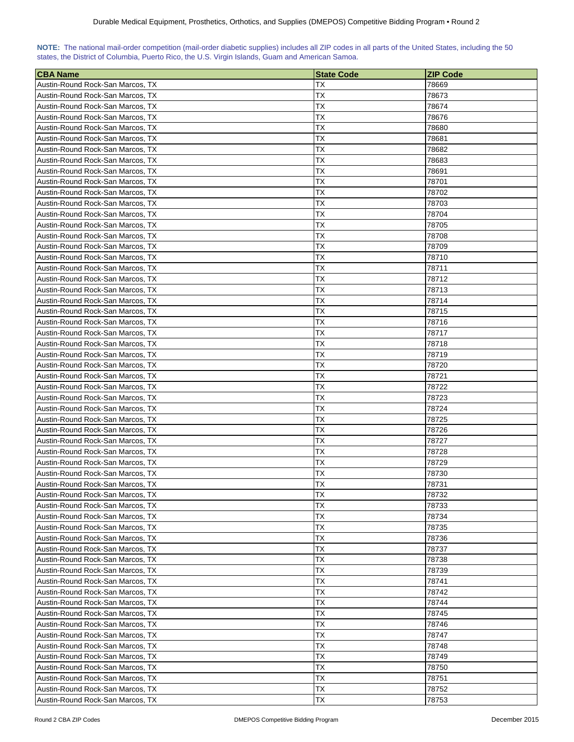| NOTE: The national mail-order competition (mail-order diabetic supplies) includes all ZIP codes in all parts of the United States, including the 50 |  |  |  |  |  |  |  |
|-----------------------------------------------------------------------------------------------------------------------------------------------------|--|--|--|--|--|--|--|
| states, the District of Columbia, Puerto Rico, the U.S. Virgin Islands, Guam and American Samoa.                                                    |  |  |  |  |  |  |  |

| ∣CBA Name                                                            | <b>State Code</b>      | <b>ZIP Code</b> |
|----------------------------------------------------------------------|------------------------|-----------------|
| Austin-Round Rock-San Marcos, TX                                     | ТX                     | 78669           |
| Austin-Round Rock-San Marcos, TX                                     | ТX                     | 78673           |
| Austin-Round Rock-San Marcos, TX                                     | ТX                     | 78674           |
| Austin-Round Rock-San Marcos, TX                                     | ТX                     | 78676           |
| Austin-Round Rock-San Marcos, TX                                     | ТX                     | 78680           |
| Austin-Round Rock-San Marcos, TX                                     | ТX                     | 78681           |
| Austin-Round Rock-San Marcos, TX                                     | ТX                     | 78682           |
| Austin-Round Rock-San Marcos, TX                                     | ТX                     | 78683           |
| Austin-Round Rock-San Marcos, TX                                     | ТX                     | 78691           |
| Austin-Round Rock-San Marcos, TX                                     | ТX                     | 78701           |
| Austin-Round Rock-San Marcos, TX                                     | ТX                     | 78702           |
| Austin-Round Rock-San Marcos, TX                                     | ТX                     | 78703           |
| Austin-Round Rock-San Marcos, TX                                     | ТX                     | 78704           |
| Austin-Round Rock-San Marcos, TX                                     | ТX                     | 78705           |
| Austin-Round Rock-San Marcos, TX                                     | ТX                     | 78708           |
| Austin-Round Rock-San Marcos, TX                                     | ТX                     | 78709           |
| Austin-Round Rock-San Marcos, TX                                     | ТX                     | 78710           |
| Austin-Round Rock-San Marcos, TX                                     | ТX                     | 78711           |
| Austin-Round Rock-San Marcos, TX                                     | ТX                     | 78712           |
| Austin-Round Rock-San Marcos, TX                                     | ТX                     | 78713           |
| Austin-Round Rock-San Marcos, TX                                     | ТX                     | 78714           |
| Austin-Round Rock-San Marcos, TX                                     | ТX                     | 78715           |
| Austin-Round Rock-San Marcos, TX                                     | ТX                     | 78716           |
| Austin-Round Rock-San Marcos, TX                                     | ТX                     | 78717           |
| Austin-Round Rock-San Marcos, TX                                     | ТX                     | 78718           |
| Austin-Round Rock-San Marcos, TX                                     | ТX                     | 78719           |
|                                                                      |                        |                 |
| Austin-Round Rock-San Marcos, TX                                     | TХ                     | 78720           |
| Austin-Round Rock-San Marcos, TX                                     | TХ                     | 78721           |
| Austin-Round Rock-San Marcos, TX                                     | ТX                     | 78722           |
| Austin-Round Rock-San Marcos, TX<br>Austin-Round Rock-San Marcos, TX | ТX<br>ТX               | 78723<br>78724  |
|                                                                      | ТX                     |                 |
| Austin-Round Rock-San Marcos, TX<br>Austin-Round Rock-San Marcos, TX | TХ                     | 78725<br>78726  |
| Austin-Round Rock-San Marcos, TX                                     | ТX                     | 78727           |
| Austin-Round Rock-San Marcos, TX                                     | ТX                     | 78728           |
|                                                                      | ТX                     |                 |
| Austin-Round Rock-San Marcos, TX<br>Austin-Round Rock-San Marcos, TX |                        | 78729           |
|                                                                      | ТX<br>ТX               | 78730           |
| Austin-Round Rock-San Marcos, TX<br>Austin-Round Rock-San Marcos, TX | ТX                     | 78731<br>78732  |
| Austin-Round Rock-San Marcos, TX                                     | ТX                     | 78733           |
| Austin-Round Rock-San Marcos, TX                                     | ТX                     | 78734           |
| Austin-Round Rock-San Marcos, TX                                     | ТX                     | 78735           |
| Austin-Round Rock-San Marcos, TX                                     | ТX                     | 78736           |
|                                                                      | ТX                     | 78737           |
| Austin-Round Rock-San Marcos, TX<br>Austin-Round Rock-San Marcos, TX |                        |                 |
| Austin-Round Rock-San Marcos, TX                                     | ТX<br>ТX               | 78738           |
|                                                                      | ТX                     | 78739<br>78741  |
| Austin-Round Rock-San Marcos, TX<br>Austin-Round Rock-San Marcos, TX | ТX                     | 78742           |
|                                                                      |                        | 78744           |
| Austin-Round Rock-San Marcos, TX                                     | ТX<br><b>TX</b>        |                 |
| Austin-Round Rock-San Marcos, TX                                     |                        | 78745           |
| Austin-Round Rock-San Marcos, TX                                     | ТX                     | 78746           |
| Austin-Round Rock-San Marcos, TX                                     | ТX                     | 78747           |
| Austin-Round Rock-San Marcos, TX                                     | ТX                     | 78748           |
| Austin-Round Rock-San Marcos, TX                                     | ТX                     | 78749           |
| Austin-Round Rock-San Marcos, TX                                     | ТX                     | 78750           |
| Austin-Round Rock-San Marcos, TX                                     | TX                     | 78751           |
| Austin-Round Rock-San Marcos, TX                                     | <b>TX</b><br><b>TX</b> | 78752           |
| Austin-Round Rock-San Marcos, TX                                     |                        | 78753           |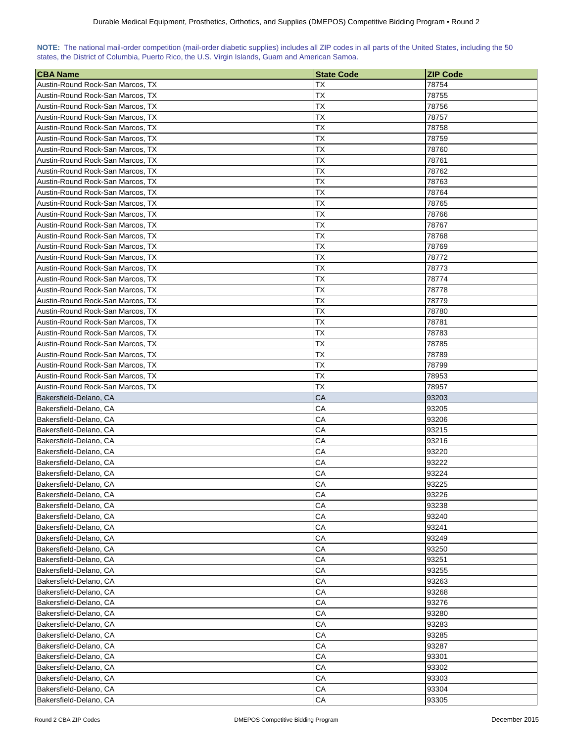<span id="page-19-0"></span>

| NOTE: The national mail-order competition (mail-order diabetic supplies) includes all ZIP codes in all parts of the United States, including the 50 |  |  |  |  |  |  |  |
|-----------------------------------------------------------------------------------------------------------------------------------------------------|--|--|--|--|--|--|--|
| states, the District of Columbia, Puerto Rico, the U.S. Virgin Islands, Guam and American Samoa.                                                    |  |  |  |  |  |  |  |

| <b>CBA Name</b>                                  | <b>State Code</b> | <b>ZIP Code</b> |
|--------------------------------------------------|-------------------|-----------------|
| Austin-Round Rock-San Marcos, TX                 | ТX                | 78754           |
| Austin-Round Rock-San Marcos, TX                 | ТX                | 78755           |
| Austin-Round Rock-San Marcos, TX                 | ТX                | 78756           |
| Austin-Round Rock-San Marcos, TX                 | ТX                | 78757           |
| Austin-Round Rock-San Marcos, TX                 | ТX                | 78758           |
|                                                  | ТX                | 78759           |
| Austin-Round Rock-San Marcos, TX                 |                   |                 |
| Austin-Round Rock-San Marcos, TX                 | <b>TX</b>         | 78760           |
| Austin-Round Rock-San Marcos, TX                 | ТX                | 78761           |
| Austin-Round Rock-San Marcos, TX                 | ТX                | 78762           |
| Austin-Round Rock-San Marcos, TX                 | ТX                | 78763           |
| Austin-Round Rock-San Marcos, TX                 | ТX                | 78764           |
| Austin-Round Rock-San Marcos, TX                 | ТX                | 78765           |
| Austin-Round Rock-San Marcos, TX                 | ТX                | 78766           |
| Austin-Round Rock-San Marcos, TX                 | ТX                | 78767           |
| Austin-Round Rock-San Marcos, TX                 | ТX                | 78768           |
| Austin-Round Rock-San Marcos, TX                 | ТX                | 78769           |
| Austin-Round Rock-San Marcos, TX                 | ТX                | 78772           |
| Austin-Round Rock-San Marcos, TX                 | ТX                | 78773           |
| Austin-Round Rock-San Marcos, TX                 | ТX                | 78774           |
| Austin-Round Rock-San Marcos, TX                 | ТX                | 78778           |
| Austin-Round Rock-San Marcos, TX                 | ТX                | 78779           |
| Austin-Round Rock-San Marcos, TX                 | ТX                | 78780           |
| Austin-Round Rock-San Marcos, TX                 | ТX                | 78781           |
| Austin-Round Rock-San Marcos, TX                 | ТX                | 78783           |
| Austin-Round Rock-San Marcos, TX                 | ТX                | 78785           |
| Austin-Round Rock-San Marcos, TX                 | ТX                | 78789           |
| Austin-Round Rock-San Marcos, TX                 | ТX                | 78799           |
| Austin-Round Rock-San Marcos, TX                 | ТX                | 78953           |
| Austin-Round Rock-San Marcos, TX                 | ТX                | 78957           |
| Bakersfield-Delano, CA                           | CA                | 93203           |
| Bakersfield-Delano, CA                           | СA                | 93205           |
| Bakersfield-Delano, CA                           | СA                | 93206           |
| Bakersfield-Delano, CA                           | СA                | 93215           |
| Bakersfield-Delano, CA                           | CA                | 93216           |
| Bakersfield-Delano, CA                           | СA                | 93220           |
| Bakersfield-Delano, CA                           | CА                | 93222           |
| Bakersfield-Delano, CA                           | СA                | 93224           |
|                                                  | CA                | 93225           |
| Bakersfield-Delano, CA<br>Bakersfield-Delano, CA | CA                | 93226           |
| Bakersfield-Delano, CA                           | CA                | 93238           |
|                                                  | СA                |                 |
| Bakersfield-Delano, CA                           | CA                | 93240           |
| Bakersfield-Delano, CA                           |                   | 93241           |
| Bakersfield-Delano, CA                           | CA                | 93249           |
| Bakersfield-Delano, CA                           | CA                | 93250           |
| Bakersfield-Delano, CA                           | CA                | 93251           |
| Bakersfield-Delano, CA                           | CA                | 93255           |
| Bakersfield-Delano, CA                           | CA                | 93263           |
| Bakersfield-Delano, CA                           | СA                | 93268           |
| Bakersfield-Delano, CA                           | CA                | 93276           |
| Bakersfield-Delano, CA                           | CA                | 93280           |
| Bakersfield-Delano, CA                           | CA                | 93283           |
| Bakersfield-Delano, CA                           | CA                | 93285           |
| Bakersfield-Delano, CA                           | CA                | 93287           |
| Bakersfield-Delano, CA                           | CA                | 93301           |
| Bakersfield-Delano, CA                           | CA                | 93302           |
| Bakersfield-Delano, CA                           | CA                | 93303           |
| Bakersfield-Delano, CA                           | ${\sf CA}$        | 93304           |
| Bakersfield-Delano, CA                           | CA                | 93305           |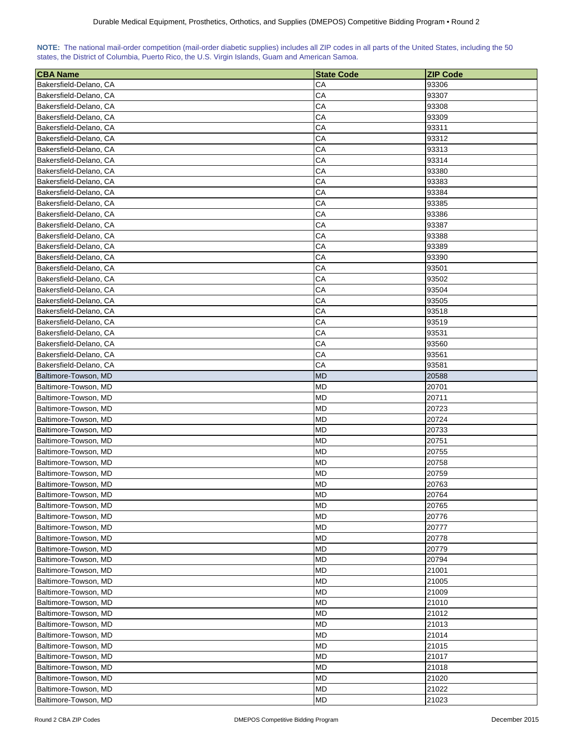<span id="page-20-0"></span>

| NOTE: The national mail-order competition (mail-order diabetic supplies) includes all ZIP codes in all parts of the United States, including the 50 |  |  |  |  |  |  |
|-----------------------------------------------------------------------------------------------------------------------------------------------------|--|--|--|--|--|--|
| states, the District of Columbia, Puerto Rico, the U.S. Virgin Islands, Guam and American Samoa.                                                    |  |  |  |  |  |  |

| <b>CBA Name</b>        | <b>State Code</b> | <b>ZIP Code</b> |
|------------------------|-------------------|-----------------|
| Bakersfield-Delano, CA | CА                | 93306           |
| Bakersfield-Delano, CA | CА                | 93307           |
| Bakersfield-Delano, CA | CA                | 93308           |
| Bakersfield-Delano, CA | СA                | 93309           |
| Bakersfield-Delano, CA | CА                | 93311           |
| Bakersfield-Delano, CA | CA                | 93312           |
| Bakersfield-Delano, CA | CA                | 93313           |
| Bakersfield-Delano, CA | CА                | 93314           |
| Bakersfield-Delano, CA | CA                | 93380           |
| Bakersfield-Delano, CA | CA                | 93383           |
| Bakersfield-Delano, CA | CA                | 93384           |
| Bakersfield-Delano, CA | CA                | 93385           |
| Bakersfield-Delano, CA | СA                | 93386           |
| Bakersfield-Delano, CA | СA                | 93387           |
| Bakersfield-Delano, CA | СA                | 93388           |
| Bakersfield-Delano, CA | CA                | 93389           |
| Bakersfield-Delano, CA | CА                | 93390           |
| Bakersfield-Delano, CA | CA                | 93501           |
| Bakersfield-Delano, CA | СA                | 93502           |
| Bakersfield-Delano, CA | CА                | 93504           |
| Bakersfield-Delano, CA | CA                | 93505           |
| Bakersfield-Delano, CA | CA                | 93518           |
| Bakersfield-Delano, CA | CА                |                 |
|                        | CA                | 93519<br>93531  |
| Bakersfield-Delano, CA | СA                | 93560           |
| Bakersfield-Delano, CA |                   |                 |
| Bakersfield-Delano, CA | CA                | 93561           |
| Bakersfield-Delano, CA | СA                | 93581           |
| Baltimore-Towson, MD   | MD                | 20588           |
| Baltimore-Towson, MD   | MD                | 20701           |
| Baltimore-Towson, MD   | MD                | 20711           |
| Baltimore-Towson, MD   | MD                | 20723           |
| Baltimore-Towson, MD   | MD                | 20724           |
| Baltimore-Towson, MD   | MD                | 20733           |
| Baltimore-Towson, MD   | MD                | 20751           |
| Baltimore-Towson, MD   | MD                | 20755           |
| Baltimore-Towson, MD   | MD                | 20758           |
| Baltimore-Towson, MD   | <b>MD</b>         | 20759           |
| Baltimore-Towson, MD   | <b>MD</b>         | 20763           |
| Baltimore-Towson, MD   | <b>MD</b>         | 20764           |
| Baltimore-Towson, MD   | MD                | 20765           |
| Baltimore-Towson, MD   | <b>MD</b>         | 20776           |
| Baltimore-Towson, MD   | MD                | 20777           |
| Baltimore-Towson, MD   | <b>MD</b>         | 20778           |
| Baltimore-Towson, MD   | MD                | 20779           |
| Baltimore-Towson, MD   | MD                | 20794           |
| Baltimore-Towson, MD   | <b>MD</b>         | 21001           |
| Baltimore-Towson, MD   | MD                | 21005           |
| Baltimore-Towson, MD   | MD                | 21009           |
| Baltimore-Towson, MD   | <b>MD</b>         | 21010           |
| Baltimore-Towson, MD   | <b>MD</b>         | 21012           |
| Baltimore-Towson, MD   | MD                | 21013           |
| Baltimore-Towson, MD   | <b>MD</b>         | 21014           |
| Baltimore-Towson, MD   | MD                | 21015           |
| Baltimore-Towson, MD   | MD                | 21017           |
| Baltimore-Towson, MD   | MD                | 21018           |
| Baltimore-Towson, MD   | <b>MD</b>         | 21020           |
| Baltimore-Towson, MD   | MD                | 21022           |
| Baltimore-Towson, MD   | <b>MD</b>         | 21023           |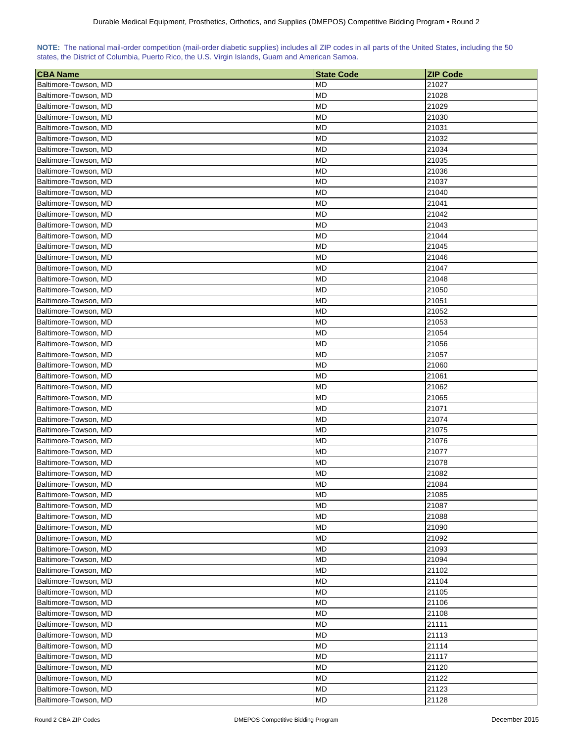| NOTE: The national mail-order competition (mail-order diabetic supplies) includes all ZIP codes in all parts of the United States, including the 50 |  |  |  |  |  |  |  |
|-----------------------------------------------------------------------------------------------------------------------------------------------------|--|--|--|--|--|--|--|
| states, the District of Columbia, Puerto Rico, the U.S. Virgin Islands, Guam and American Samoa.                                                    |  |  |  |  |  |  |  |

| <b>CBA Name</b>      | <b>State Code</b> | <b>ZIP Code</b> |
|----------------------|-------------------|-----------------|
| Baltimore-Towson, MD | <b>MD</b>         | 21027           |
| Baltimore-Towson, MD | MD                | 21028           |
| Baltimore-Towson, MD | <b>MD</b>         | 21029           |
| Baltimore-Towson, MD | MD                | 21030           |
| Baltimore-Towson, MD | <b>MD</b>         | 21031           |
| Baltimore-Towson, MD | MD                | 21032           |
| Baltimore-Towson, MD | <b>MD</b>         | 21034           |
| Baltimore-Towson, MD | MD                | 21035           |
| Baltimore-Towson, MD | МD                | 21036           |
| Baltimore-Towson, MD | MD                | 21037           |
| Baltimore-Towson, MD | MD                | 21040           |
| Baltimore-Towson, MD | MD                | 21041           |
| Baltimore-Towson, MD | <b>MD</b>         | 21042           |
| Baltimore-Towson, MD | <b>MD</b>         | 21043           |
| Baltimore-Towson, MD | <b>MD</b>         | 21044           |
| Baltimore-Towson, MD | MD                | 21045           |
| Baltimore-Towson, MD | MD                | 21046           |
| Baltimore-Towson, MD | MD                | 21047           |
| Baltimore-Towson, MD | MD                | 21048           |
| Baltimore-Towson, MD | MD                | 21050           |
| Baltimore-Towson, MD | MD                | 21051           |
| Baltimore-Towson, MD | MD                | 21052           |
|                      | MD                | 21053           |
| Baltimore-Towson, MD | MD                | 21054           |
| Baltimore-Towson, MD |                   |                 |
| Baltimore-Towson, MD | MD                | 21056           |
| Baltimore-Towson, MD | <b>MD</b>         | 21057           |
| Baltimore-Towson, MD | MD                | 21060           |
| Baltimore-Towson, MD | MD                | 21061           |
| Baltimore-Towson, MD | MD                | 21062           |
| Baltimore-Towson, MD | MD                | 21065           |
| Baltimore-Towson, MD | MD                | 21071           |
| Baltimore-Towson, MD | MD                | 21074           |
| Baltimore-Towson, MD | MD                | 21075           |
| Baltimore-Towson, MD | MD                | 21076           |
| Baltimore-Towson, MD | MD                | 21077           |
| Baltimore-Towson, MD | MD                | 21078           |
| Baltimore-Towson, MD | MD                | 21082           |
| Baltimore-Towson, MD | <b>MD</b>         | 21084           |
| Baltimore-Towson, MD | <b>MD</b>         | 21085           |
| Baltimore-Towson, MD | MD                | 21087           |
| Baltimore-Towson, MD | MD                | 21088           |
| Baltimore-Towson, MD | MD                | 21090           |
| Baltimore-Towson, MD | MD                | 21092           |
| Baltimore-Towson, MD | <b>MD</b>         | 21093           |
| Baltimore-Towson, MD | <b>MD</b>         | 21094           |
| Baltimore-Towson, MD | MD                | 21102           |
| Baltimore-Towson, MD | MD                | 21104           |
| Baltimore-Towson, MD | MD                | 21105           |
| Baltimore-Towson, MD | <b>MD</b>         | 21106           |
| Baltimore-Towson, MD | MD                | 21108           |
| Baltimore-Towson, MD | <b>MD</b>         | 21111           |
| Baltimore-Towson, MD | MD                | 21113           |
| Baltimore-Towson, MD | MD                | 21114           |
| Baltimore-Towson, MD | <b>MD</b>         | 21117           |
| Baltimore-Towson, MD | MD                | 21120           |
| Baltimore-Towson, MD | <b>MD</b>         | 21122           |
| Baltimore-Towson, MD | <b>MD</b>         | 21123           |
| Baltimore-Towson, MD | <b>MD</b>         | 21128           |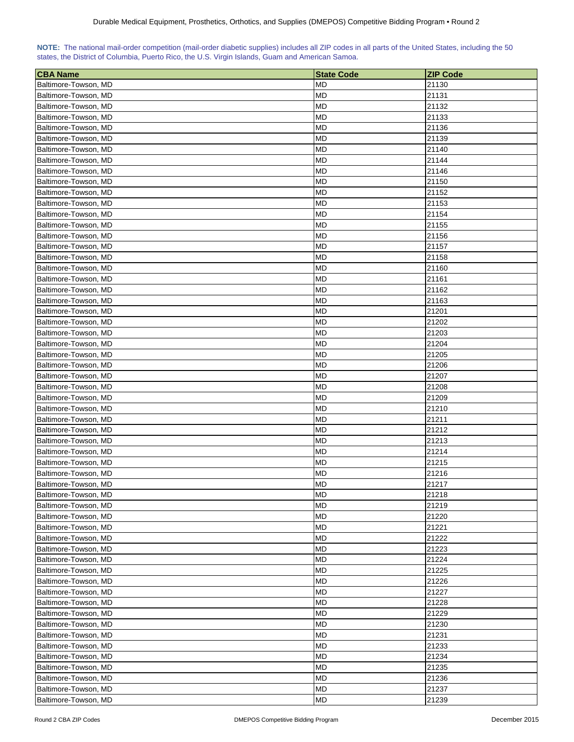| NOTE: The national mail-order competition (mail-order diabetic supplies) includes all ZIP codes in all parts of the United States, including the 50 |  |  |  |  |  |  |  |
|-----------------------------------------------------------------------------------------------------------------------------------------------------|--|--|--|--|--|--|--|
| states, the District of Columbia, Puerto Rico, the U.S. Virgin Islands, Guam and American Samoa.                                                    |  |  |  |  |  |  |  |

| <b>CBA Name</b>      | <b>State Code</b> | <b>ZIP Code</b> |
|----------------------|-------------------|-----------------|
| Baltimore-Towson, MD | <b>MD</b>         | 21130           |
| Baltimore-Towson, MD | MD                | 21131           |
| Baltimore-Towson, MD | MD                | 21132           |
| Baltimore-Towson, MD | MD                | 21133           |
| Baltimore-Towson, MD | MD                | 21136           |
| Baltimore-Towson, MD | <b>MD</b>         | 21139           |
| Baltimore-Towson, MD | MD                | 21140           |
| Baltimore-Towson, MD | MD                | 21144           |
| Baltimore-Towson, MD | MD                | 21146           |
| Baltimore-Towson, MD | MD                | 21150           |
| Baltimore-Towson, MD | MD                | 21152           |
| Baltimore-Towson, MD | <b>MD</b>         | 21153           |
| Baltimore-Towson, MD | <b>MD</b>         | 21154           |
| Baltimore-Towson, MD | <b>MD</b>         | 21155           |
| Baltimore-Towson, MD | MD                | 21156           |
| Baltimore-Towson, MD | MD                | 21157           |
| Baltimore-Towson, MD | <b>MD</b>         | 21158           |
| Baltimore-Towson, MD | MD                | 21160           |
| Baltimore-Towson, MD | MD                | 21161           |
| Baltimore-Towson, MD | MD                | 21162           |
| Baltimore-Towson, MD | MD                | 21163           |
| Baltimore-Towson, MD | MD                | 21201           |
| Baltimore-Towson, MD | MD                | 21202           |
| Baltimore-Towson, MD | MD                | 21203           |
| Baltimore-Towson, MD | MD                | 21204           |
| Baltimore-Towson, MD | MD                | 21205           |
| Baltimore-Towson, MD | MD                | 21206           |
| Baltimore-Towson, MD | MD                | 21207           |
| Baltimore-Towson, MD | MD                | 21208           |
| Baltimore-Towson, MD | MD                | 21209           |
| Baltimore-Towson, MD | MD                | 21210           |
| Baltimore-Towson, MD | MD                | 21211           |
| Baltimore-Towson, MD | MD                | 21212           |
| Baltimore-Towson, MD | MD                | 21213           |
| Baltimore-Towson, MD | MD                | 21214           |
| Baltimore-Towson, MD | MD                | 21215           |
| Baltimore-Towson, MD | <b>MD</b>         | 21216           |
| Baltimore-Towson, MD | <b>MD</b>         | 21217           |
| Baltimore-Towson, MD | <b>MD</b>         | 21218           |
| Baltimore-Towson, MD | MD                | 21219           |
| Baltimore-Towson, MD | MD                | 21220           |
| Baltimore-Towson, MD | MD                | 21221           |
| Baltimore-Towson, MD | <b>MD</b>         | 21222           |
| Baltimore-Towson, MD | MD                | 21223           |
| Baltimore-Towson, MD | MD                | 21224           |
| Baltimore-Towson, MD | <b>MD</b>         | 21225           |
| Baltimore-Towson, MD | MD                | 21226           |
| Baltimore-Towson, MD | MD                | 21227           |
| Baltimore-Towson, MD | <b>MD</b>         | 21228           |
| Baltimore-Towson, MD | <b>MD</b>         | 21229           |
| Baltimore-Towson, MD | MD                | 21230           |
| Baltimore-Towson, MD | MD                | 21231           |
| Baltimore-Towson, MD | MD                | 21233           |
| Baltimore-Towson, MD | MD                | 21234           |
| Baltimore-Towson, MD | MD                | 21235           |
| Baltimore-Towson, MD | <b>MD</b>         | 21236           |
| Baltimore-Towson, MD | MD                | 21237           |
| Baltimore-Towson, MD | <b>MD</b>         | 21239           |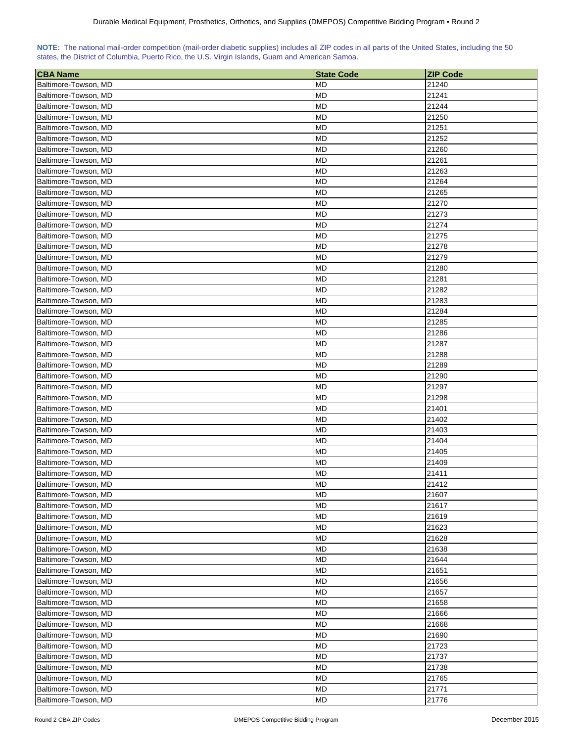| NOTE: The national mail-order competition (mail-order diabetic supplies) includes all ZIP codes in all parts of the United States, including the 50 |  |  |  |  |  |  |  |
|-----------------------------------------------------------------------------------------------------------------------------------------------------|--|--|--|--|--|--|--|
| states, the District of Columbia, Puerto Rico, the U.S. Virgin Islands, Guam and American Samoa.                                                    |  |  |  |  |  |  |  |

| <b>CBA Name</b>      | <b>State Code</b> | <b>ZIP Code</b> |
|----------------------|-------------------|-----------------|
| Baltimore-Towson, MD | <b>MD</b>         | 21240           |
| Baltimore-Towson, MD | MD                | 21241           |
| Baltimore-Towson, MD | MD                | 21244           |
| Baltimore-Towson, MD | MD                | 21250           |
| Baltimore-Towson, MD | <b>MD</b>         | 21251           |
| Baltimore-Towson, MD | MD                | 21252           |
| Baltimore-Towson, MD | <b>MD</b>         | 21260           |
| Baltimore-Towson, MD | MD                | 21261           |
| Baltimore-Towson, MD | МD                | 21263           |
| Baltimore-Towson, MD | MD                | 21264           |
| Baltimore-Towson, MD | MD                | 21265           |
| Baltimore-Towson, MD | MD                | 21270           |
| Baltimore-Towson, MD | <b>MD</b>         | 21273           |
| Baltimore-Towson, MD | <b>MD</b>         | 21274           |
| Baltimore-Towson, MD | MD                | 21275           |
| Baltimore-Towson, MD | MD                | 21278           |
| Baltimore-Towson, MD | MD                | 21279           |
| Baltimore-Towson, MD | MD                | 21280           |
| Baltimore-Towson, MD | MD                | 21281           |
| Baltimore-Towson, MD | MD                | 21282           |
| Baltimore-Towson, MD | <b>MD</b>         | 21283           |
|                      |                   |                 |
| Baltimore-Towson, MD | MD                | 21284           |
| Baltimore-Towson, MD | MD                | 21285           |
| Baltimore-Towson, MD | MD                | 21286           |
| Baltimore-Towson, MD | MD                | 21287           |
| Baltimore-Towson, MD | <b>MD</b>         | 21288           |
| Baltimore-Towson, MD | MD                | 21289           |
| Baltimore-Towson, MD | MD                | 21290           |
| Baltimore-Towson, MD | MD                | 21297           |
| Baltimore-Towson, MD | MD                | 21298           |
| Baltimore-Towson, MD | MD                | 21401           |
| Baltimore-Towson, MD | MD                | 21402           |
| Baltimore-Towson, MD | MD                | 21403           |
| Baltimore-Towson, MD | MD                | 21404           |
| Baltimore-Towson, MD | MD                | 21405           |
| Baltimore-Towson, MD | MD                | 21409           |
| Baltimore-Towson, MD | MD                | 21411           |
| Baltimore-Towson, MD | MD                | 21412           |
| Baltimore-Towson, MD | <b>MD</b>         | 21607           |
| Baltimore-Towson, MD | MD                | 21617           |
| Baltimore-Towson, MD | MD                | 21619           |
| Baltimore-Towson, MD | MD                | 21623           |
| Baltimore-Towson, MD | MD                | 21628           |
| Baltimore-Towson, MD | <b>MD</b>         | 21638           |
| Baltimore-Towson, MD | <b>MD</b>         | 21644           |
| Baltimore-Towson, MD | MD                | 21651           |
| Baltimore-Towson, MD | MD                | 21656           |
| Baltimore-Towson, MD | MD                | 21657           |
| Baltimore-Towson, MD | <b>MD</b>         | 21658           |
| Baltimore-Towson, MD | MD                | 21666           |
| Baltimore-Towson, MD | <b>MD</b>         | 21668           |
| Baltimore-Towson, MD | MD                | 21690           |
| Baltimore-Towson, MD | MD                | 21723           |
| Baltimore-Towson, MD | <b>MD</b>         | 21737           |
| Baltimore-Towson, MD | MD                | 21738           |
| Baltimore-Towson, MD | <b>MD</b>         | 21765           |
| Baltimore-Towson, MD | <b>MD</b>         | 21771           |
| Baltimore-Towson, MD | <b>MD</b>         | 21776           |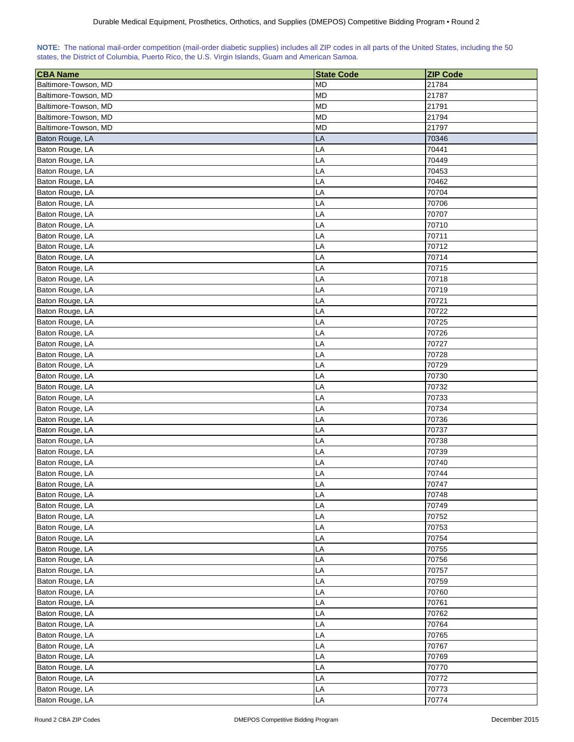<span id="page-24-0"></span>

| NOTE: The national mail-order competition (mail-order diabetic supplies) includes all ZIP codes in all parts of the United States, including the 50 |  |  |  |  |  |  |  |
|-----------------------------------------------------------------------------------------------------------------------------------------------------|--|--|--|--|--|--|--|
| states, the District of Columbia, Puerto Rico, the U.S. Virgin Islands, Guam and American Samoa.                                                    |  |  |  |  |  |  |  |

| <b>CBA Name</b>      | <b>State Code</b> | <b>ZIP Code</b> |
|----------------------|-------------------|-----------------|
| Baltimore-Towson, MD | <b>MD</b>         | 21784           |
| Baltimore-Towson, MD | <b>MD</b>         | 21787           |
| Baltimore-Towson, MD | <b>MD</b>         | 21791           |
| Baltimore-Towson, MD | <b>MD</b>         | 21794           |
| Baltimore-Towson, MD | <b>MD</b>         | 21797           |
| Baton Rouge, LA      | LA                | 70346           |
| Baton Rouge, LA      | LA                | 70441           |
| Baton Rouge, LA      | LA                | 70449           |
| Baton Rouge, LA      | LA                | 70453           |
| Baton Rouge, LA      | LA                | 70462           |
| Baton Rouge, LA      | LA                | 70704           |
| Baton Rouge, LA      | LA                | 70706           |
| Baton Rouge, LA      | LA                | 70707           |
| Baton Rouge, LA      | LA                | 70710           |
| Baton Rouge, LA      | LA                | 70711           |
| Baton Rouge, LA      | LA                | 70712           |
| Baton Rouge, LA      | LA                | 70714           |
| Baton Rouge, LA      | LA                | 70715           |
|                      |                   |                 |
| Baton Rouge, LA      | LA                | 70718           |
| Baton Rouge, LA      | LA                | 70719           |
| Baton Rouge, LA      | LA                | 70721           |
| Baton Rouge, LA      | LA                | 70722           |
| Baton Rouge, LA      | LA                | 70725           |
| Baton Rouge, LA      | LA                | 70726           |
| Baton Rouge, LA      | LA                | 70727           |
| Baton Rouge, LA      | LA                | 70728           |
| Baton Rouge, LA      | LA                | 70729           |
| Baton Rouge, LA      | LA                | 70730           |
| Baton Rouge, LA      | LA                | 70732           |
| Baton Rouge, LA      | LA                | 70733           |
| Baton Rouge, LA      | LA                | 70734           |
| Baton Rouge, LA      | LA                | 70736           |
| Baton Rouge, LA      | LA                | 70737           |
| Baton Rouge, LA      | LA                | 70738           |
| Baton Rouge, LA      | LA                | 70739           |
| Baton Rouge, LA      | LA                | 70740           |
| Baton Rouge, LA      | LA                | 70744           |
| Baton Rouge, LA      | LA                | 70747           |
| Baton Rouge, LA      | LA                | 70748           |
| Baton Rouge, LA      | LA                | 70749           |
| Baton Rouge, LA      |                   | 70752           |
|                      | LA                |                 |
| Baton Rouge, LA      | LA                | 70753           |
| Baton Rouge, LA      | LA                | 70754           |
| Baton Rouge, LA      | LA                | 70755           |
| Baton Rouge, LA      | LA                | 70756           |
| Baton Rouge, LA      | LA                | 70757           |
| Baton Rouge, LA      | LA                | 70759           |
| Baton Rouge, LA      | LA                | 70760           |
| Baton Rouge, LA      | LA                | 70761           |
| Baton Rouge, LA      | LA                | 70762           |
| Baton Rouge, LA      | LA                | 70764           |
| Baton Rouge, LA      | LA                | 70765           |
| Baton Rouge, LA      | LA                | 70767           |
| Baton Rouge, LA      | LA                | 70769           |
| Baton Rouge, LA      | LA                | 70770           |
| Baton Rouge, LA      | LA                | 70772           |
| Baton Rouge, LA      | LA                | 70773           |
| Baton Rouge, LA      | LA                | 70774           |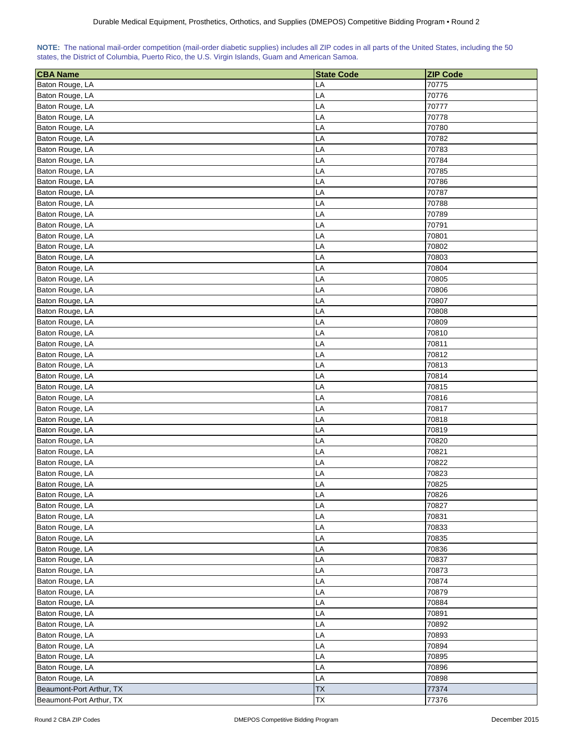<span id="page-25-0"></span>

| NOTE: The national mail-order competition (mail-order diabetic supplies) includes all ZIP codes in all parts of the United States, including the 50 |  |  |  |  |  |  |
|-----------------------------------------------------------------------------------------------------------------------------------------------------|--|--|--|--|--|--|
| states, the District of Columbia, Puerto Rico, the U.S. Virgin Islands, Guam and American Samoa.                                                    |  |  |  |  |  |  |

| <b>CBA Name</b>                    | <b>State Code</b> | <b>ZIP Code</b> |
|------------------------------------|-------------------|-----------------|
| Baton Rouge, LA                    | LA                | 70775           |
| Baton Rouge, LA                    | LA                | 70776           |
| Baton Rouge, LA                    | LA                | 70777           |
| Baton Rouge, LA                    | LA                | 70778           |
| Baton Rouge, LA                    | LA                | 70780           |
| Baton Rouge, LA                    | LA                | 70782           |
| Baton Rouge, LA                    | LA                | 70783           |
|                                    |                   | 70784           |
| Baton Rouge, LA<br>Baton Rouge, LA | LA<br>LA          | 70785           |
|                                    |                   |                 |
| Baton Rouge, LA                    | LA                | 70786           |
| Baton Rouge, LA                    | LA                | 70787           |
| Baton Rouge, LA                    | LA                | 70788           |
| Baton Rouge, LA                    | LA                | 70789           |
| Baton Rouge, LA                    | LA                | 70791           |
| Baton Rouge, LA                    | LA                | 70801           |
| Baton Rouge, LA                    | LA                | 70802           |
| Baton Rouge, LA                    | LA                | 70803           |
| Baton Rouge, LA                    | LA                | 70804           |
| Baton Rouge, LA                    | LA                | 70805           |
| Baton Rouge, LA                    | LA                | 70806           |
| Baton Rouge, LA                    | LA                | 70807           |
| Baton Rouge, LA                    | LA                | 70808           |
| Baton Rouge, LA                    | LA                | 70809           |
| Baton Rouge, LA                    | LA                | 70810           |
| Baton Rouge, LA                    | LA                | 70811           |
| Baton Rouge, LA                    | LA                | 70812           |
| Baton Rouge, LA                    | LA                | 70813           |
| Baton Rouge, LA                    | LA                | 70814           |
| Baton Rouge, LA                    | LA                | 70815           |
| Baton Rouge, LA                    | LA                | 70816           |
| Baton Rouge, LA                    | LA                | 70817           |
| Baton Rouge, LA                    | LA                | 70818           |
| Baton Rouge, LA                    | LA                | 70819           |
| Baton Rouge, LA                    | LA                | 70820           |
| Baton Rouge, LA                    | LA                | 70821           |
| Baton Rouge, LA                    | LA                | 70822           |
| Baton Rouge, LA                    | LA                | 70823           |
| Baton Rouge, LA                    | LA                | 70825           |
| Baton Rouge, LA                    | LA                | 70826           |
| Baton Rouge, LA                    | LA                | 70827           |
| Baton Rouge, LA                    | LA                | 70831           |
| Baton Rouge, LA                    | LA                | 70833           |
| Baton Rouge, LA                    | LA                | 70835           |
| Baton Rouge, LA                    | LA                | 70836           |
| Baton Rouge, LA                    | LA                | 70837           |
| Baton Rouge, LA                    | LA                | 70873           |
| Baton Rouge, LA                    | LA                | 70874           |
| Baton Rouge, LA                    | LA                | 70879           |
| Baton Rouge, LA                    | LA                | 70884           |
| Baton Rouge, LA                    | LA                | 70891           |
| Baton Rouge, LA                    | LA                | 70892           |
| Baton Rouge, LA                    | LA                | 70893           |
| Baton Rouge, LA                    | LA                | 70894           |
| Baton Rouge, LA                    | LA                | 70895           |
| Baton Rouge, LA                    | LA                | 70896           |
| Baton Rouge, LA                    | LA                | 70898           |
| Beaumont-Port Arthur, TX           | <b>TX</b>         | 77374           |
| Beaumont-Port Arthur, TX           | TX                | 77376           |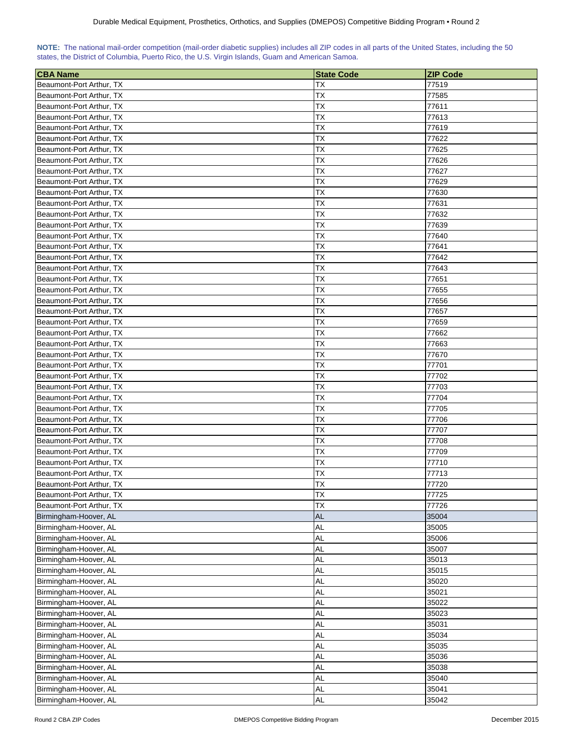<span id="page-26-0"></span>

| NOTE: The national mail-order competition (mail-order diabetic supplies) includes all ZIP codes in all parts of the United States, including the 50 |  |  |  |  |  |  |  |
|-----------------------------------------------------------------------------------------------------------------------------------------------------|--|--|--|--|--|--|--|
| states, the District of Columbia, Puerto Rico, the U.S. Virgin Islands, Guam and American Samoa.                                                    |  |  |  |  |  |  |  |

| <b>CBA Name</b>          | <b>State Code</b> | <b>ZIP Code</b> |
|--------------------------|-------------------|-----------------|
| Beaumont-Port Arthur, TX | ТX                | 77519           |
| Beaumont-Port Arthur, TX | ТX                | 77585           |
| Beaumont-Port Arthur, TX | ТX                | 77611           |
| Beaumont-Port Arthur, TX | ТX                | 77613           |
| Beaumont-Port Arthur, TX | ТX                | 77619           |
| Beaumont-Port Arthur, TX | ТX                | 77622           |
| Beaumont-Port Arthur, TX | ТX                | 77625           |
| Beaumont-Port Arthur, TX | ТX                | 77626           |
| Beaumont-Port Arthur, TX | ТX                | 77627           |
| Beaumont-Port Arthur, TX | ТX                | 77629           |
| Beaumont-Port Arthur, TX | ТX                | 77630           |
| Beaumont-Port Arthur, TX | ТX                | 77631           |
| Beaumont-Port Arthur, TX | ТX                | 77632           |
| Beaumont-Port Arthur, TX | ТX                | 77639           |
| Beaumont-Port Arthur, TX | ТX                | 77640           |
| Beaumont-Port Arthur, TX | ТX                | 77641           |
| Beaumont-Port Arthur, TX | ТX                | 77642           |
| Beaumont-Port Arthur, TX | ТX                | 77643           |
| Beaumont-Port Arthur, TX | ТX                | 77651           |
| Beaumont-Port Arthur, TX | ТX                | 77655           |
| Beaumont-Port Arthur, TX | ТX                | 77656           |
| Beaumont-Port Arthur, TX | TX                | 77657           |
|                          |                   |                 |
| Beaumont-Port Arthur, TX | ТX<br>ТX          | 77659<br>77662  |
| Beaumont-Port Arthur, TX | TX                | 77663           |
| Beaumont-Port Arthur, TX | TX                |                 |
| Beaumont-Port Arthur, TX |                   | 77670           |
| Beaumont-Port Arthur, TX | ТX                | 77701           |
| Beaumont-Port Arthur, TX | <b>TX</b>         | 77702           |
| Beaumont-Port Arthur, TX | TХ                | 77703           |
| Beaumont-Port Arthur, TX | ТX                | 77704           |
| Beaumont-Port Arthur, TX | ТX                | 77705           |
| Beaumont-Port Arthur, TX | ТX                | 77706           |
| Beaumont-Port Arthur, TX | ТX                | 77707           |
| Beaumont-Port Arthur, TX | TХ                | 77708           |
| Beaumont-Port Arthur, TX | TХ                | 77709           |
| Beaumont-Port Arthur, TX | ТX                | 77710           |
| Beaumont-Port Arthur, TX | TХ                | 77713           |
| Beaumont-Port Arthur, TX | <b>TX</b>         | 77720           |
| Beaumont-Port Arthur, TX | <b>TX</b>         | 77725           |
| Beaumont-Port Arthur, TX | <b>TX</b>         | 77726           |
| Birmingham-Hoover, AL    | <b>AL</b>         | 35004           |
| Birmingham-Hoover, AL    | <b>AL</b>         | 35005           |
| Birmingham-Hoover, AL    | <b>AL</b>         | 35006           |
| Birmingham-Hoover, AL    | <b>AL</b>         | 35007           |
| Birmingham-Hoover, AL    | <b>AL</b>         | 35013           |
| Birmingham-Hoover, AL    | <b>AL</b>         | 35015           |
| Birmingham-Hoover, AL    | <b>AL</b>         | 35020           |
| Birmingham-Hoover, AL    | <b>AL</b>         | 35021           |
| Birmingham-Hoover, AL    | <b>AL</b>         | 35022           |
| Birmingham-Hoover, AL    | <b>AL</b>         | 35023           |
| Birmingham-Hoover, AL    | <b>AL</b>         | 35031           |
| Birmingham-Hoover, AL    | <b>AL</b>         | 35034           |
| Birmingham-Hoover, AL    | <b>AL</b>         | 35035           |
| Birmingham-Hoover, AL    | <b>AL</b>         | 35036           |
| Birmingham-Hoover, AL    | <b>AL</b>         | 35038           |
| Birmingham-Hoover, AL    | <b>AL</b>         | 35040           |
| Birmingham-Hoover, AL    | <b>AL</b>         | 35041           |
| Birmingham-Hoover, AL    | <b>AL</b>         | 35042           |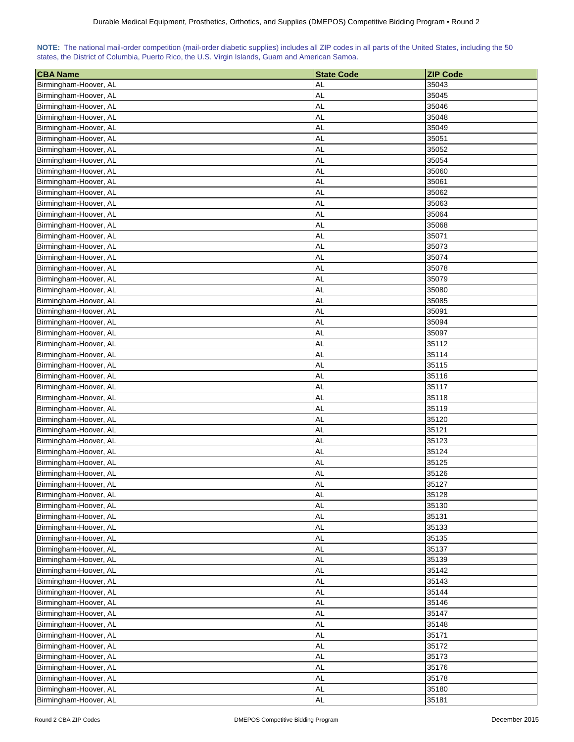| 35043<br><b>AL</b><br><b>AL</b><br>35045<br>AL<br>35046<br><b>AL</b><br>35048<br><b>AL</b><br>35049<br>Birmingham-Hoover, AL<br>AL<br>35051<br>Birmingham-Hoover, AL<br>Birmingham-Hoover, AL<br>AL<br>35052<br>Birmingham-Hoover, AL<br>AL<br>35054<br><b>AL</b><br>Birmingham-Hoover, AL<br>35060<br>AL<br>Birmingham-Hoover, AL<br>35061<br>AL<br>Birmingham-Hoover, AL<br>35062<br>Birmingham-Hoover, AL<br>AL<br>35063<br><b>AL</b><br>35064<br>Birmingham-Hoover, AL<br><b>AL</b><br>35068<br>Birmingham-Hoover, AL<br><b>AL</b><br>35071<br>Birmingham-Hoover, AL<br><b>AL</b><br>35073<br>Birmingham-Hoover, AL<br><b>AL</b><br>Birmingham-Hoover, AL<br>35074<br>Birmingham-Hoover, AL<br><b>AL</b><br>35078<br>Birmingham-Hoover, AL<br>AL<br>35079<br><b>AL</b><br>35080<br>Birmingham-Hoover, AL<br><b>AL</b><br>35085<br>Birmingham-Hoover, AL<br>AL<br>Birmingham-Hoover, AL<br>35091<br><b>AL</b><br>Birmingham-Hoover, AL<br>35094<br>AL<br>Birmingham-Hoover, AL<br>35097<br>AL<br>35112<br>Birmingham-Hoover, AL<br>35114<br><b>AL</b><br>Birmingham-Hoover, AL<br>35115<br>Birmingham-Hoover, AL<br><b>AL</b><br><b>AL</b><br>35116<br>Birmingham-Hoover, AL<br>Birmingham-Hoover, AL<br><b>AL</b><br>35117<br><b>AL</b><br>35118<br>Birmingham-Hoover, AL<br><b>AL</b><br>35119<br>Birmingham-Hoover, AL<br><b>AL</b><br>35120<br>Birmingham-Hoover, AL<br><b>AL</b><br>Birmingham-Hoover, AL<br>35121<br><b>AL</b><br>Birmingham-Hoover, AL<br>35123<br><b>AL</b><br>35124<br>Birmingham-Hoover, AL<br><b>AL</b><br>35125<br>Birmingham-Hoover, AL<br>Birmingham-Hoover, AL<br><b>AL</b><br>35126<br><b>AL</b><br>35127<br>Birmingham-Hoover, AL<br><b>AL</b><br>35128<br>Birmingham-Hoover, AL<br>AL<br>35130<br>Birmingham-Hoover, AL<br><b>AL</b><br>35131<br>Birmingham-Hoover, AL<br><b>AL</b><br>Birmingham-Hoover, AL<br>35133<br>Birmingham-Hoover, AL<br><b>AL</b><br>35135<br>35137<br>Birmingham-Hoover, AL<br><b>AL</b><br>Birmingham-Hoover, AL<br><b>AL</b><br>35139<br><b>AL</b><br>Birmingham-Hoover, AL<br>35142<br><b>AL</b><br>Birmingham-Hoover, AL<br>35143<br><b>AL</b><br>Birmingham-Hoover, AL<br>35144<br><b>AL</b><br>Birmingham-Hoover, AL<br>35146<br>Birmingham-Hoover, AL<br><b>AL</b><br>35147<br><b>AL</b><br>35148<br>Birmingham-Hoover, AL<br>Birmingham-Hoover, AL<br><b>AL</b><br>35171<br><b>AL</b><br>35172<br>Birmingham-Hoover, AL<br>Birmingham-Hoover, AL<br><b>AL</b><br>35173<br>Birmingham-Hoover, AL<br><b>AL</b><br>35176<br>Birmingham-Hoover, AL<br><b>AL</b><br>35178<br><b>AL</b><br>Birmingham-Hoover, AL<br>35180 | <b>CBA Name</b>       | <b>State Code</b> | <b>ZIP Code</b> |
|---------------------------------------------------------------------------------------------------------------------------------------------------------------------------------------------------------------------------------------------------------------------------------------------------------------------------------------------------------------------------------------------------------------------------------------------------------------------------------------------------------------------------------------------------------------------------------------------------------------------------------------------------------------------------------------------------------------------------------------------------------------------------------------------------------------------------------------------------------------------------------------------------------------------------------------------------------------------------------------------------------------------------------------------------------------------------------------------------------------------------------------------------------------------------------------------------------------------------------------------------------------------------------------------------------------------------------------------------------------------------------------------------------------------------------------------------------------------------------------------------------------------------------------------------------------------------------------------------------------------------------------------------------------------------------------------------------------------------------------------------------------------------------------------------------------------------------------------------------------------------------------------------------------------------------------------------------------------------------------------------------------------------------------------------------------------------------------------------------------------------------------------------------------------------------------------------------------------------------------------------------------------------------------------------------------------------------------------------------------------------------------------------------------------------------------------------------------------------------------------------------------------------------------------------------------------------------------------|-----------------------|-------------------|-----------------|
|                                                                                                                                                                                                                                                                                                                                                                                                                                                                                                                                                                                                                                                                                                                                                                                                                                                                                                                                                                                                                                                                                                                                                                                                                                                                                                                                                                                                                                                                                                                                                                                                                                                                                                                                                                                                                                                                                                                                                                                                                                                                                                                                                                                                                                                                                                                                                                                                                                                                                                                                                                                             | Birmingham-Hoover, AL |                   |                 |
|                                                                                                                                                                                                                                                                                                                                                                                                                                                                                                                                                                                                                                                                                                                                                                                                                                                                                                                                                                                                                                                                                                                                                                                                                                                                                                                                                                                                                                                                                                                                                                                                                                                                                                                                                                                                                                                                                                                                                                                                                                                                                                                                                                                                                                                                                                                                                                                                                                                                                                                                                                                             | Birmingham-Hoover, AL |                   |                 |
|                                                                                                                                                                                                                                                                                                                                                                                                                                                                                                                                                                                                                                                                                                                                                                                                                                                                                                                                                                                                                                                                                                                                                                                                                                                                                                                                                                                                                                                                                                                                                                                                                                                                                                                                                                                                                                                                                                                                                                                                                                                                                                                                                                                                                                                                                                                                                                                                                                                                                                                                                                                             | Birmingham-Hoover, AL |                   |                 |
|                                                                                                                                                                                                                                                                                                                                                                                                                                                                                                                                                                                                                                                                                                                                                                                                                                                                                                                                                                                                                                                                                                                                                                                                                                                                                                                                                                                                                                                                                                                                                                                                                                                                                                                                                                                                                                                                                                                                                                                                                                                                                                                                                                                                                                                                                                                                                                                                                                                                                                                                                                                             | Birmingham-Hoover, AL |                   |                 |
|                                                                                                                                                                                                                                                                                                                                                                                                                                                                                                                                                                                                                                                                                                                                                                                                                                                                                                                                                                                                                                                                                                                                                                                                                                                                                                                                                                                                                                                                                                                                                                                                                                                                                                                                                                                                                                                                                                                                                                                                                                                                                                                                                                                                                                                                                                                                                                                                                                                                                                                                                                                             |                       |                   |                 |
|                                                                                                                                                                                                                                                                                                                                                                                                                                                                                                                                                                                                                                                                                                                                                                                                                                                                                                                                                                                                                                                                                                                                                                                                                                                                                                                                                                                                                                                                                                                                                                                                                                                                                                                                                                                                                                                                                                                                                                                                                                                                                                                                                                                                                                                                                                                                                                                                                                                                                                                                                                                             |                       |                   |                 |
|                                                                                                                                                                                                                                                                                                                                                                                                                                                                                                                                                                                                                                                                                                                                                                                                                                                                                                                                                                                                                                                                                                                                                                                                                                                                                                                                                                                                                                                                                                                                                                                                                                                                                                                                                                                                                                                                                                                                                                                                                                                                                                                                                                                                                                                                                                                                                                                                                                                                                                                                                                                             |                       |                   |                 |
|                                                                                                                                                                                                                                                                                                                                                                                                                                                                                                                                                                                                                                                                                                                                                                                                                                                                                                                                                                                                                                                                                                                                                                                                                                                                                                                                                                                                                                                                                                                                                                                                                                                                                                                                                                                                                                                                                                                                                                                                                                                                                                                                                                                                                                                                                                                                                                                                                                                                                                                                                                                             |                       |                   |                 |
|                                                                                                                                                                                                                                                                                                                                                                                                                                                                                                                                                                                                                                                                                                                                                                                                                                                                                                                                                                                                                                                                                                                                                                                                                                                                                                                                                                                                                                                                                                                                                                                                                                                                                                                                                                                                                                                                                                                                                                                                                                                                                                                                                                                                                                                                                                                                                                                                                                                                                                                                                                                             |                       |                   |                 |
|                                                                                                                                                                                                                                                                                                                                                                                                                                                                                                                                                                                                                                                                                                                                                                                                                                                                                                                                                                                                                                                                                                                                                                                                                                                                                                                                                                                                                                                                                                                                                                                                                                                                                                                                                                                                                                                                                                                                                                                                                                                                                                                                                                                                                                                                                                                                                                                                                                                                                                                                                                                             |                       |                   |                 |
|                                                                                                                                                                                                                                                                                                                                                                                                                                                                                                                                                                                                                                                                                                                                                                                                                                                                                                                                                                                                                                                                                                                                                                                                                                                                                                                                                                                                                                                                                                                                                                                                                                                                                                                                                                                                                                                                                                                                                                                                                                                                                                                                                                                                                                                                                                                                                                                                                                                                                                                                                                                             |                       |                   |                 |
|                                                                                                                                                                                                                                                                                                                                                                                                                                                                                                                                                                                                                                                                                                                                                                                                                                                                                                                                                                                                                                                                                                                                                                                                                                                                                                                                                                                                                                                                                                                                                                                                                                                                                                                                                                                                                                                                                                                                                                                                                                                                                                                                                                                                                                                                                                                                                                                                                                                                                                                                                                                             |                       |                   |                 |
|                                                                                                                                                                                                                                                                                                                                                                                                                                                                                                                                                                                                                                                                                                                                                                                                                                                                                                                                                                                                                                                                                                                                                                                                                                                                                                                                                                                                                                                                                                                                                                                                                                                                                                                                                                                                                                                                                                                                                                                                                                                                                                                                                                                                                                                                                                                                                                                                                                                                                                                                                                                             |                       |                   |                 |
|                                                                                                                                                                                                                                                                                                                                                                                                                                                                                                                                                                                                                                                                                                                                                                                                                                                                                                                                                                                                                                                                                                                                                                                                                                                                                                                                                                                                                                                                                                                                                                                                                                                                                                                                                                                                                                                                                                                                                                                                                                                                                                                                                                                                                                                                                                                                                                                                                                                                                                                                                                                             |                       |                   |                 |
|                                                                                                                                                                                                                                                                                                                                                                                                                                                                                                                                                                                                                                                                                                                                                                                                                                                                                                                                                                                                                                                                                                                                                                                                                                                                                                                                                                                                                                                                                                                                                                                                                                                                                                                                                                                                                                                                                                                                                                                                                                                                                                                                                                                                                                                                                                                                                                                                                                                                                                                                                                                             |                       |                   |                 |
|                                                                                                                                                                                                                                                                                                                                                                                                                                                                                                                                                                                                                                                                                                                                                                                                                                                                                                                                                                                                                                                                                                                                                                                                                                                                                                                                                                                                                                                                                                                                                                                                                                                                                                                                                                                                                                                                                                                                                                                                                                                                                                                                                                                                                                                                                                                                                                                                                                                                                                                                                                                             |                       |                   |                 |
|                                                                                                                                                                                                                                                                                                                                                                                                                                                                                                                                                                                                                                                                                                                                                                                                                                                                                                                                                                                                                                                                                                                                                                                                                                                                                                                                                                                                                                                                                                                                                                                                                                                                                                                                                                                                                                                                                                                                                                                                                                                                                                                                                                                                                                                                                                                                                                                                                                                                                                                                                                                             |                       |                   |                 |
|                                                                                                                                                                                                                                                                                                                                                                                                                                                                                                                                                                                                                                                                                                                                                                                                                                                                                                                                                                                                                                                                                                                                                                                                                                                                                                                                                                                                                                                                                                                                                                                                                                                                                                                                                                                                                                                                                                                                                                                                                                                                                                                                                                                                                                                                                                                                                                                                                                                                                                                                                                                             |                       |                   |                 |
|                                                                                                                                                                                                                                                                                                                                                                                                                                                                                                                                                                                                                                                                                                                                                                                                                                                                                                                                                                                                                                                                                                                                                                                                                                                                                                                                                                                                                                                                                                                                                                                                                                                                                                                                                                                                                                                                                                                                                                                                                                                                                                                                                                                                                                                                                                                                                                                                                                                                                                                                                                                             |                       |                   |                 |
|                                                                                                                                                                                                                                                                                                                                                                                                                                                                                                                                                                                                                                                                                                                                                                                                                                                                                                                                                                                                                                                                                                                                                                                                                                                                                                                                                                                                                                                                                                                                                                                                                                                                                                                                                                                                                                                                                                                                                                                                                                                                                                                                                                                                                                                                                                                                                                                                                                                                                                                                                                                             |                       |                   |                 |
|                                                                                                                                                                                                                                                                                                                                                                                                                                                                                                                                                                                                                                                                                                                                                                                                                                                                                                                                                                                                                                                                                                                                                                                                                                                                                                                                                                                                                                                                                                                                                                                                                                                                                                                                                                                                                                                                                                                                                                                                                                                                                                                                                                                                                                                                                                                                                                                                                                                                                                                                                                                             |                       |                   |                 |
|                                                                                                                                                                                                                                                                                                                                                                                                                                                                                                                                                                                                                                                                                                                                                                                                                                                                                                                                                                                                                                                                                                                                                                                                                                                                                                                                                                                                                                                                                                                                                                                                                                                                                                                                                                                                                                                                                                                                                                                                                                                                                                                                                                                                                                                                                                                                                                                                                                                                                                                                                                                             |                       |                   |                 |
|                                                                                                                                                                                                                                                                                                                                                                                                                                                                                                                                                                                                                                                                                                                                                                                                                                                                                                                                                                                                                                                                                                                                                                                                                                                                                                                                                                                                                                                                                                                                                                                                                                                                                                                                                                                                                                                                                                                                                                                                                                                                                                                                                                                                                                                                                                                                                                                                                                                                                                                                                                                             |                       |                   |                 |
|                                                                                                                                                                                                                                                                                                                                                                                                                                                                                                                                                                                                                                                                                                                                                                                                                                                                                                                                                                                                                                                                                                                                                                                                                                                                                                                                                                                                                                                                                                                                                                                                                                                                                                                                                                                                                                                                                                                                                                                                                                                                                                                                                                                                                                                                                                                                                                                                                                                                                                                                                                                             |                       |                   |                 |
|                                                                                                                                                                                                                                                                                                                                                                                                                                                                                                                                                                                                                                                                                                                                                                                                                                                                                                                                                                                                                                                                                                                                                                                                                                                                                                                                                                                                                                                                                                                                                                                                                                                                                                                                                                                                                                                                                                                                                                                                                                                                                                                                                                                                                                                                                                                                                                                                                                                                                                                                                                                             |                       |                   |                 |
|                                                                                                                                                                                                                                                                                                                                                                                                                                                                                                                                                                                                                                                                                                                                                                                                                                                                                                                                                                                                                                                                                                                                                                                                                                                                                                                                                                                                                                                                                                                                                                                                                                                                                                                                                                                                                                                                                                                                                                                                                                                                                                                                                                                                                                                                                                                                                                                                                                                                                                                                                                                             |                       |                   |                 |
|                                                                                                                                                                                                                                                                                                                                                                                                                                                                                                                                                                                                                                                                                                                                                                                                                                                                                                                                                                                                                                                                                                                                                                                                                                                                                                                                                                                                                                                                                                                                                                                                                                                                                                                                                                                                                                                                                                                                                                                                                                                                                                                                                                                                                                                                                                                                                                                                                                                                                                                                                                                             |                       |                   |                 |
|                                                                                                                                                                                                                                                                                                                                                                                                                                                                                                                                                                                                                                                                                                                                                                                                                                                                                                                                                                                                                                                                                                                                                                                                                                                                                                                                                                                                                                                                                                                                                                                                                                                                                                                                                                                                                                                                                                                                                                                                                                                                                                                                                                                                                                                                                                                                                                                                                                                                                                                                                                                             |                       |                   |                 |
|                                                                                                                                                                                                                                                                                                                                                                                                                                                                                                                                                                                                                                                                                                                                                                                                                                                                                                                                                                                                                                                                                                                                                                                                                                                                                                                                                                                                                                                                                                                                                                                                                                                                                                                                                                                                                                                                                                                                                                                                                                                                                                                                                                                                                                                                                                                                                                                                                                                                                                                                                                                             |                       |                   |                 |
|                                                                                                                                                                                                                                                                                                                                                                                                                                                                                                                                                                                                                                                                                                                                                                                                                                                                                                                                                                                                                                                                                                                                                                                                                                                                                                                                                                                                                                                                                                                                                                                                                                                                                                                                                                                                                                                                                                                                                                                                                                                                                                                                                                                                                                                                                                                                                                                                                                                                                                                                                                                             |                       |                   |                 |
|                                                                                                                                                                                                                                                                                                                                                                                                                                                                                                                                                                                                                                                                                                                                                                                                                                                                                                                                                                                                                                                                                                                                                                                                                                                                                                                                                                                                                                                                                                                                                                                                                                                                                                                                                                                                                                                                                                                                                                                                                                                                                                                                                                                                                                                                                                                                                                                                                                                                                                                                                                                             |                       |                   |                 |
|                                                                                                                                                                                                                                                                                                                                                                                                                                                                                                                                                                                                                                                                                                                                                                                                                                                                                                                                                                                                                                                                                                                                                                                                                                                                                                                                                                                                                                                                                                                                                                                                                                                                                                                                                                                                                                                                                                                                                                                                                                                                                                                                                                                                                                                                                                                                                                                                                                                                                                                                                                                             |                       |                   |                 |
|                                                                                                                                                                                                                                                                                                                                                                                                                                                                                                                                                                                                                                                                                                                                                                                                                                                                                                                                                                                                                                                                                                                                                                                                                                                                                                                                                                                                                                                                                                                                                                                                                                                                                                                                                                                                                                                                                                                                                                                                                                                                                                                                                                                                                                                                                                                                                                                                                                                                                                                                                                                             |                       |                   |                 |
|                                                                                                                                                                                                                                                                                                                                                                                                                                                                                                                                                                                                                                                                                                                                                                                                                                                                                                                                                                                                                                                                                                                                                                                                                                                                                                                                                                                                                                                                                                                                                                                                                                                                                                                                                                                                                                                                                                                                                                                                                                                                                                                                                                                                                                                                                                                                                                                                                                                                                                                                                                                             |                       |                   |                 |
|                                                                                                                                                                                                                                                                                                                                                                                                                                                                                                                                                                                                                                                                                                                                                                                                                                                                                                                                                                                                                                                                                                                                                                                                                                                                                                                                                                                                                                                                                                                                                                                                                                                                                                                                                                                                                                                                                                                                                                                                                                                                                                                                                                                                                                                                                                                                                                                                                                                                                                                                                                                             |                       |                   |                 |
|                                                                                                                                                                                                                                                                                                                                                                                                                                                                                                                                                                                                                                                                                                                                                                                                                                                                                                                                                                                                                                                                                                                                                                                                                                                                                                                                                                                                                                                                                                                                                                                                                                                                                                                                                                                                                                                                                                                                                                                                                                                                                                                                                                                                                                                                                                                                                                                                                                                                                                                                                                                             |                       |                   |                 |
|                                                                                                                                                                                                                                                                                                                                                                                                                                                                                                                                                                                                                                                                                                                                                                                                                                                                                                                                                                                                                                                                                                                                                                                                                                                                                                                                                                                                                                                                                                                                                                                                                                                                                                                                                                                                                                                                                                                                                                                                                                                                                                                                                                                                                                                                                                                                                                                                                                                                                                                                                                                             |                       |                   |                 |
|                                                                                                                                                                                                                                                                                                                                                                                                                                                                                                                                                                                                                                                                                                                                                                                                                                                                                                                                                                                                                                                                                                                                                                                                                                                                                                                                                                                                                                                                                                                                                                                                                                                                                                                                                                                                                                                                                                                                                                                                                                                                                                                                                                                                                                                                                                                                                                                                                                                                                                                                                                                             |                       |                   |                 |
|                                                                                                                                                                                                                                                                                                                                                                                                                                                                                                                                                                                                                                                                                                                                                                                                                                                                                                                                                                                                                                                                                                                                                                                                                                                                                                                                                                                                                                                                                                                                                                                                                                                                                                                                                                                                                                                                                                                                                                                                                                                                                                                                                                                                                                                                                                                                                                                                                                                                                                                                                                                             |                       |                   |                 |
|                                                                                                                                                                                                                                                                                                                                                                                                                                                                                                                                                                                                                                                                                                                                                                                                                                                                                                                                                                                                                                                                                                                                                                                                                                                                                                                                                                                                                                                                                                                                                                                                                                                                                                                                                                                                                                                                                                                                                                                                                                                                                                                                                                                                                                                                                                                                                                                                                                                                                                                                                                                             |                       |                   |                 |
|                                                                                                                                                                                                                                                                                                                                                                                                                                                                                                                                                                                                                                                                                                                                                                                                                                                                                                                                                                                                                                                                                                                                                                                                                                                                                                                                                                                                                                                                                                                                                                                                                                                                                                                                                                                                                                                                                                                                                                                                                                                                                                                                                                                                                                                                                                                                                                                                                                                                                                                                                                                             |                       |                   |                 |
|                                                                                                                                                                                                                                                                                                                                                                                                                                                                                                                                                                                                                                                                                                                                                                                                                                                                                                                                                                                                                                                                                                                                                                                                                                                                                                                                                                                                                                                                                                                                                                                                                                                                                                                                                                                                                                                                                                                                                                                                                                                                                                                                                                                                                                                                                                                                                                                                                                                                                                                                                                                             |                       |                   |                 |
|                                                                                                                                                                                                                                                                                                                                                                                                                                                                                                                                                                                                                                                                                                                                                                                                                                                                                                                                                                                                                                                                                                                                                                                                                                                                                                                                                                                                                                                                                                                                                                                                                                                                                                                                                                                                                                                                                                                                                                                                                                                                                                                                                                                                                                                                                                                                                                                                                                                                                                                                                                                             |                       |                   |                 |
|                                                                                                                                                                                                                                                                                                                                                                                                                                                                                                                                                                                                                                                                                                                                                                                                                                                                                                                                                                                                                                                                                                                                                                                                                                                                                                                                                                                                                                                                                                                                                                                                                                                                                                                                                                                                                                                                                                                                                                                                                                                                                                                                                                                                                                                                                                                                                                                                                                                                                                                                                                                             |                       |                   |                 |
|                                                                                                                                                                                                                                                                                                                                                                                                                                                                                                                                                                                                                                                                                                                                                                                                                                                                                                                                                                                                                                                                                                                                                                                                                                                                                                                                                                                                                                                                                                                                                                                                                                                                                                                                                                                                                                                                                                                                                                                                                                                                                                                                                                                                                                                                                                                                                                                                                                                                                                                                                                                             |                       |                   |                 |
|                                                                                                                                                                                                                                                                                                                                                                                                                                                                                                                                                                                                                                                                                                                                                                                                                                                                                                                                                                                                                                                                                                                                                                                                                                                                                                                                                                                                                                                                                                                                                                                                                                                                                                                                                                                                                                                                                                                                                                                                                                                                                                                                                                                                                                                                                                                                                                                                                                                                                                                                                                                             |                       |                   |                 |
|                                                                                                                                                                                                                                                                                                                                                                                                                                                                                                                                                                                                                                                                                                                                                                                                                                                                                                                                                                                                                                                                                                                                                                                                                                                                                                                                                                                                                                                                                                                                                                                                                                                                                                                                                                                                                                                                                                                                                                                                                                                                                                                                                                                                                                                                                                                                                                                                                                                                                                                                                                                             |                       |                   |                 |
|                                                                                                                                                                                                                                                                                                                                                                                                                                                                                                                                                                                                                                                                                                                                                                                                                                                                                                                                                                                                                                                                                                                                                                                                                                                                                                                                                                                                                                                                                                                                                                                                                                                                                                                                                                                                                                                                                                                                                                                                                                                                                                                                                                                                                                                                                                                                                                                                                                                                                                                                                                                             |                       |                   |                 |
|                                                                                                                                                                                                                                                                                                                                                                                                                                                                                                                                                                                                                                                                                                                                                                                                                                                                                                                                                                                                                                                                                                                                                                                                                                                                                                                                                                                                                                                                                                                                                                                                                                                                                                                                                                                                                                                                                                                                                                                                                                                                                                                                                                                                                                                                                                                                                                                                                                                                                                                                                                                             |                       |                   |                 |
|                                                                                                                                                                                                                                                                                                                                                                                                                                                                                                                                                                                                                                                                                                                                                                                                                                                                                                                                                                                                                                                                                                                                                                                                                                                                                                                                                                                                                                                                                                                                                                                                                                                                                                                                                                                                                                                                                                                                                                                                                                                                                                                                                                                                                                                                                                                                                                                                                                                                                                                                                                                             |                       |                   |                 |
|                                                                                                                                                                                                                                                                                                                                                                                                                                                                                                                                                                                                                                                                                                                                                                                                                                                                                                                                                                                                                                                                                                                                                                                                                                                                                                                                                                                                                                                                                                                                                                                                                                                                                                                                                                                                                                                                                                                                                                                                                                                                                                                                                                                                                                                                                                                                                                                                                                                                                                                                                                                             |                       |                   |                 |
|                                                                                                                                                                                                                                                                                                                                                                                                                                                                                                                                                                                                                                                                                                                                                                                                                                                                                                                                                                                                                                                                                                                                                                                                                                                                                                                                                                                                                                                                                                                                                                                                                                                                                                                                                                                                                                                                                                                                                                                                                                                                                                                                                                                                                                                                                                                                                                                                                                                                                                                                                                                             |                       |                   |                 |
|                                                                                                                                                                                                                                                                                                                                                                                                                                                                                                                                                                                                                                                                                                                                                                                                                                                                                                                                                                                                                                                                                                                                                                                                                                                                                                                                                                                                                                                                                                                                                                                                                                                                                                                                                                                                                                                                                                                                                                                                                                                                                                                                                                                                                                                                                                                                                                                                                                                                                                                                                                                             |                       |                   |                 |
|                                                                                                                                                                                                                                                                                                                                                                                                                                                                                                                                                                                                                                                                                                                                                                                                                                                                                                                                                                                                                                                                                                                                                                                                                                                                                                                                                                                                                                                                                                                                                                                                                                                                                                                                                                                                                                                                                                                                                                                                                                                                                                                                                                                                                                                                                                                                                                                                                                                                                                                                                                                             |                       |                   |                 |
|                                                                                                                                                                                                                                                                                                                                                                                                                                                                                                                                                                                                                                                                                                                                                                                                                                                                                                                                                                                                                                                                                                                                                                                                                                                                                                                                                                                                                                                                                                                                                                                                                                                                                                                                                                                                                                                                                                                                                                                                                                                                                                                                                                                                                                                                                                                                                                                                                                                                                                                                                                                             |                       |                   |                 |
|                                                                                                                                                                                                                                                                                                                                                                                                                                                                                                                                                                                                                                                                                                                                                                                                                                                                                                                                                                                                                                                                                                                                                                                                                                                                                                                                                                                                                                                                                                                                                                                                                                                                                                                                                                                                                                                                                                                                                                                                                                                                                                                                                                                                                                                                                                                                                                                                                                                                                                                                                                                             |                       |                   |                 |
|                                                                                                                                                                                                                                                                                                                                                                                                                                                                                                                                                                                                                                                                                                                                                                                                                                                                                                                                                                                                                                                                                                                                                                                                                                                                                                                                                                                                                                                                                                                                                                                                                                                                                                                                                                                                                                                                                                                                                                                                                                                                                                                                                                                                                                                                                                                                                                                                                                                                                                                                                                                             |                       |                   |                 |
| <b>AL</b><br>35181                                                                                                                                                                                                                                                                                                                                                                                                                                                                                                                                                                                                                                                                                                                                                                                                                                                                                                                                                                                                                                                                                                                                                                                                                                                                                                                                                                                                                                                                                                                                                                                                                                                                                                                                                                                                                                                                                                                                                                                                                                                                                                                                                                                                                                                                                                                                                                                                                                                                                                                                                                          | Birmingham-Hoover, AL |                   |                 |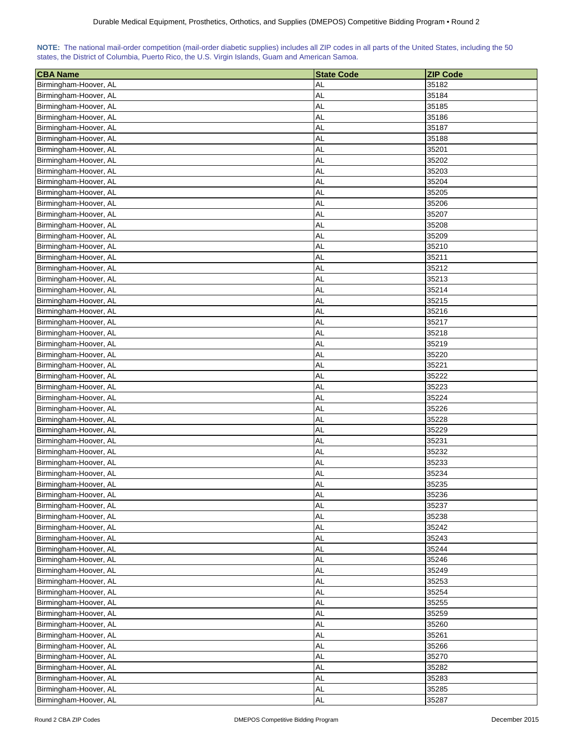| 35182<br>Birmingham-Hoover, AL<br>AL<br><b>AL</b><br>35184<br>Birmingham-Hoover, AL<br>AL<br>35185<br>Birmingham-Hoover, AL<br>AL<br>35186<br>Birmingham-Hoover, AL |  |
|---------------------------------------------------------------------------------------------------------------------------------------------------------------------|--|
|                                                                                                                                                                     |  |
|                                                                                                                                                                     |  |
|                                                                                                                                                                     |  |
|                                                                                                                                                                     |  |
| <b>AL</b><br>35187<br>Birmingham-Hoover, AL                                                                                                                         |  |
| <b>AL</b><br>Birmingham-Hoover, AL<br>35188                                                                                                                         |  |
| Birmingham-Hoover, AL<br>AL<br>35201                                                                                                                                |  |
| <b>AL</b><br>35202<br>Birmingham-Hoover, AL                                                                                                                         |  |
| <b>AL</b><br>Birmingham-Hoover, AL<br>35203                                                                                                                         |  |
| <b>AL</b><br>Birmingham-Hoover, AL<br>35204                                                                                                                         |  |
| Birmingham-Hoover, AL<br><b>AL</b><br>35205                                                                                                                         |  |
| <b>AL</b><br>Birmingham-Hoover, AL<br>35206                                                                                                                         |  |
| AL<br>35207<br>Birmingham-Hoover, AL                                                                                                                                |  |
| <b>AL</b><br>35208<br>Birmingham-Hoover, AL                                                                                                                         |  |
| <b>AL</b><br>35209<br>Birmingham-Hoover, AL                                                                                                                         |  |
| <b>AL</b><br>35210<br>Birmingham-Hoover, AL                                                                                                                         |  |
| <b>AL</b><br>35211<br>Birmingham-Hoover, AL                                                                                                                         |  |
| <b>AL</b><br>Birmingham-Hoover, AL<br>35212                                                                                                                         |  |
| Birmingham-Hoover, AL<br><b>AL</b><br>35213                                                                                                                         |  |
| Birmingham-Hoover, AL<br>AL<br>35214                                                                                                                                |  |
| <b>AL</b><br>35215<br>Birmingham-Hoover, AL                                                                                                                         |  |
| <b>AL</b><br>Birmingham-Hoover, AL<br>35216                                                                                                                         |  |
| <b>AL</b><br>Birmingham-Hoover, AL<br>35217                                                                                                                         |  |
| <b>AL</b><br>35218<br>Birmingham-Hoover, AL                                                                                                                         |  |
| <b>AL</b><br>35219<br>Birmingham-Hoover, AL                                                                                                                         |  |
| Birmingham-Hoover, AL<br>AL<br>35220                                                                                                                                |  |
| 35221<br>Birmingham-Hoover, AL<br><b>AL</b>                                                                                                                         |  |
| <b>AL</b><br>35222<br>Birmingham-Hoover, AL                                                                                                                         |  |
| <b>AL</b><br>35223<br>Birmingham-Hoover, AL                                                                                                                         |  |
| <b>AL</b><br>35224<br>Birmingham-Hoover, AL                                                                                                                         |  |
| <b>AL</b><br>Birmingham-Hoover, AL<br>35226                                                                                                                         |  |
| <b>AL</b><br>35228<br>Birmingham-Hoover, AL                                                                                                                         |  |
| <b>AL</b><br>35229<br>Birmingham-Hoover, AL                                                                                                                         |  |
| AL<br>35231<br>Birmingham-Hoover, AL                                                                                                                                |  |
| AL<br>Birmingham-Hoover, AL<br>35232                                                                                                                                |  |
| <b>AL</b><br>35233<br>Birmingham-Hoover, AL                                                                                                                         |  |
| Birmingham-Hoover, AL<br><b>AL</b><br>35234                                                                                                                         |  |
| <b>AL</b><br>Birmingham-Hoover, AL<br>35235                                                                                                                         |  |
| <b>AL</b><br>Birmingham-Hoover, AL<br>35236                                                                                                                         |  |
| AL<br>35237<br>Birmingham-Hoover, AL                                                                                                                                |  |
| <b>AL</b><br>35238<br>Birmingham-Hoover, AL                                                                                                                         |  |
| <b>AL</b><br>35242<br>Birmingham-Hoover, AL                                                                                                                         |  |
| <b>AL</b><br>Birmingham-Hoover, AL<br>35243                                                                                                                         |  |
| <b>AL</b><br>35244<br>Birmingham-Hoover, AL                                                                                                                         |  |
| Birmingham-Hoover, AL<br><b>AL</b><br>35246                                                                                                                         |  |
| <b>AL</b><br>35249<br>Birmingham-Hoover, AL                                                                                                                         |  |
| <b>AL</b><br>Birmingham-Hoover, AL<br>35253                                                                                                                         |  |
| <b>AL</b><br>35254<br>Birmingham-Hoover, AL                                                                                                                         |  |
| <b>AL</b><br>Birmingham-Hoover, AL<br>35255                                                                                                                         |  |
| <b>AL</b><br>35259<br>Birmingham-Hoover, AL                                                                                                                         |  |
| <b>AL</b><br>35260<br>Birmingham-Hoover, AL                                                                                                                         |  |
| <b>AL</b><br>35261<br>Birmingham-Hoover, AL                                                                                                                         |  |
| <b>AL</b><br>35266<br>Birmingham-Hoover, AL                                                                                                                         |  |
| <b>AL</b><br>Birmingham-Hoover, AL<br>35270                                                                                                                         |  |
| Birmingham-Hoover, AL<br><b>AL</b><br>35282                                                                                                                         |  |
| <b>AL</b><br>Birmingham-Hoover, AL<br>35283                                                                                                                         |  |
| Birmingham-Hoover, AL<br><b>AL</b><br>35285                                                                                                                         |  |
| Birmingham-Hoover, AL<br><b>AL</b><br>35287                                                                                                                         |  |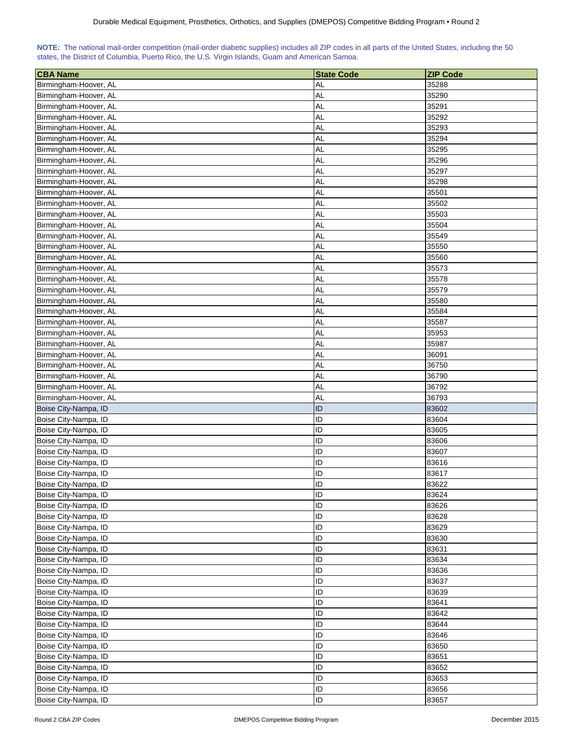<span id="page-29-0"></span>

| <b>CBA Name</b>                              | <b>State Code</b> | <b>ZIP Code</b> |
|----------------------------------------------|-------------------|-----------------|
| Birmingham-Hoover, AL                        | <b>AL</b>         | 35288           |
| Birmingham-Hoover, AL                        | <b>AL</b>         | 35290           |
| Birmingham-Hoover, AL                        | AL                | 35291           |
| Birmingham-Hoover, AL                        | <b>AL</b>         | 35292           |
| Birmingham-Hoover, AL                        | <b>AL</b>         | 35293           |
| Birmingham-Hoover, AL                        | <b>AL</b>         | 35294           |
| Birmingham-Hoover, AL                        | AL                | 35295           |
| Birmingham-Hoover, AL                        | <b>AL</b>         | 35296           |
| Birmingham-Hoover, AL                        | <b>AL</b>         | 35297           |
| Birmingham-Hoover, AL                        | AL                | 35298           |
| Birmingham-Hoover, AL                        | AL                | 35501           |
| Birmingham-Hoover, AL                        | <b>AL</b>         | 35502           |
| Birmingham-Hoover, AL                        | <b>AL</b>         | 35503           |
| Birmingham-Hoover, AL                        | <b>AL</b>         | 35504           |
| Birmingham-Hoover, AL                        | <b>AL</b>         | 35549           |
| Birmingham-Hoover, AL                        | <b>AL</b>         | 35550           |
| Birmingham-Hoover, AL                        | <b>AL</b>         | 35560           |
| Birmingham-Hoover, AL                        | <b>AL</b>         | 35573           |
| Birmingham-Hoover, AL                        | AL                | 35578           |
|                                              | <b>AL</b>         | 35579           |
| Birmingham-Hoover, AL                        |                   |                 |
| Birmingham-Hoover, AL                        | <b>AL</b>         | 35580           |
| Birmingham-Hoover, AL                        | <b>AL</b>         | 35584           |
| Birmingham-Hoover, AL                        | <b>AL</b>         | 35587           |
| Birmingham-Hoover, AL                        | AL                | 35953           |
| Birmingham-Hoover, AL                        | AL                | 35987           |
| Birmingham-Hoover, AL                        | <b>AL</b>         | 36091           |
| Birmingham-Hoover, AL                        | <b>AL</b>         | 36750           |
| Birmingham-Hoover, AL                        | <b>AL</b>         | 36790           |
| Birmingham-Hoover, AL                        | <b>AL</b>         | 36792           |
| Birmingham-Hoover, AL                        | <b>AL</b>         | 36793           |
| Boise City-Nampa, ID                         | ID                | 83602           |
| Boise City-Nampa, ID                         | ID                | 83604           |
| Boise City-Nampa, ID                         | ID                | 83605<br>83606  |
| Boise City-Nampa, ID<br>Boise City-Nampa, ID | ID<br>ID          | 83607           |
| Boise City-Nampa, ID                         | ID                | 83616           |
| Boise City-Nampa, ID                         | ID                | 83617           |
| Boise City-Nampa, ID                         | ID                | 83622           |
| Boise City-Nampa, ID                         | ID                | 83624           |
|                                              | ID                | 83626           |
| Boise City-Nampa, ID                         | ID                |                 |
| Boise City-Nampa, ID                         | ID                | 83628           |
| Boise City-Nampa, ID                         |                   | 83629           |
| Boise City-Nampa, ID                         | ID                | 83630           |
| Boise City-Nampa, ID                         | ID                | 83631           |
| Boise City-Nampa, ID                         | ID                | 83634           |
| Boise City-Nampa, ID                         | ID                | 83636           |
| Boise City-Nampa, ID                         | ID                | 83637           |
| Boise City-Nampa, ID                         | ID                | 83639           |
| Boise City-Nampa, ID                         | ID                | 83641           |
| Boise City-Nampa, ID                         | ID                | 83642           |
| Boise City-Nampa, ID                         | ID                | 83644           |
| Boise City-Nampa, ID                         | ID                | 83646           |
| Boise City-Nampa, ID                         | ID                | 83650           |
| Boise City-Nampa, ID                         | ID                | 83651           |
| Boise City-Nampa, ID                         | ID                | 83652           |
| Boise City-Nampa, ID                         | ID                | 83653           |
| Boise City-Nampa, ID                         | ID                | 83656           |
| Boise City-Nampa, ID                         | ID                | 83657           |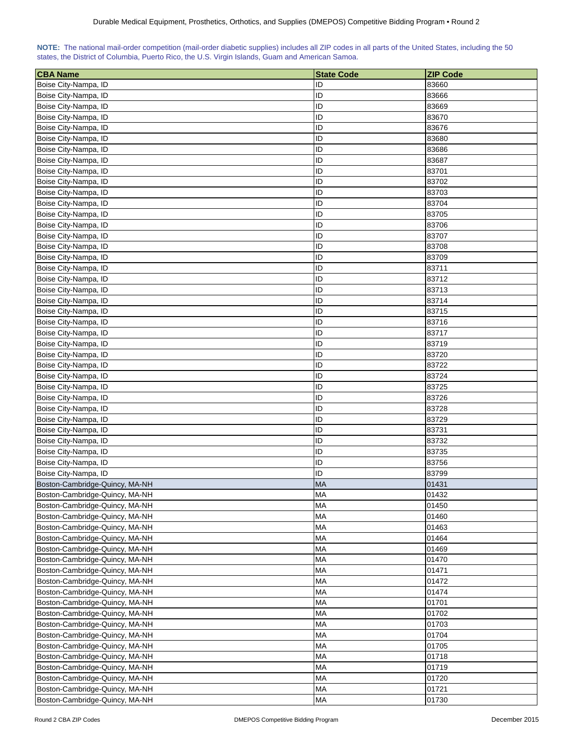<span id="page-30-0"></span>

| <b>CBA Name</b>                | <b>State Code</b> | <b>ZIP Code</b> |
|--------------------------------|-------------------|-----------------|
| Boise City-Nampa, ID           | ID                | 83660           |
| Boise City-Nampa, ID           | ID                | 83666           |
| Boise City-Nampa, ID           | ID                | 83669           |
| Boise City-Nampa, ID           | ID                | 83670           |
| Boise City-Nampa, ID           | ID                | 83676           |
| Boise City-Nampa, ID           | ID                | 83680           |
| Boise City-Nampa, ID           | ID                | 83686           |
| Boise City-Nampa, ID           | ID                | 83687           |
| Boise City-Nampa, ID           | ID                | 83701           |
| Boise City-Nampa, ID           | ID                | 83702           |
| Boise City-Nampa, ID           | ID                | 83703           |
| Boise City-Nampa, ID           | ID                | 83704           |
| Boise City-Nampa, ID           | ID                | 83705           |
| Boise City-Nampa, ID           | ID                | 83706           |
| Boise City-Nampa, ID           | ID                | 83707           |
| Boise City-Nampa, ID           | ID                | 83708           |
| Boise City-Nampa, ID           | ID                | 83709           |
| Boise City-Nampa, ID           | ID                | 83711           |
|                                | ID                |                 |
| Boise City-Nampa, ID           |                   | 83712           |
| Boise City-Nampa, ID           | ID                | 83713           |
| Boise City-Nampa, ID           | ID                | 83714           |
| Boise City-Nampa, ID           | ID                | 83715           |
| Boise City-Nampa, ID           | ID                | 83716           |
| Boise City-Nampa, ID           | ID                | 83717           |
| Boise City-Nampa, ID           | ID                | 83719           |
| Boise City-Nampa, ID           | ID                | 83720           |
| Boise City-Nampa, ID           | ID                | 83722           |
| Boise City-Nampa, ID           | ID                | 83724           |
| Boise City-Nampa, ID           | ID                | 83725           |
| Boise City-Nampa, ID           | ID                | 83726           |
| Boise City-Nampa, ID           | ID                | 83728           |
| Boise City-Nampa, ID           | ID                | 83729           |
| Boise City-Nampa, ID           | ID                | 83731           |
| Boise City-Nampa, ID           | ID                | 83732           |
| Boise City-Nampa, ID           | ID                | 83735           |
| Boise City-Nampa, ID           | ID                | 83756           |
| Boise City-Nampa, ID           | ID                | 83799           |
| Boston-Cambridge-Quincy, MA-NH | <b>MA</b>         | 01431           |
| Boston-Cambridge-Quincy, MA-NH | <b>MA</b>         | 01432           |
| Boston-Cambridge-Quincy, MA-NH | <b>MA</b>         | 01450           |
| Boston-Cambridge-Quincy, MA-NH | <b>MA</b>         | 01460           |
| Boston-Cambridge-Quincy, MA-NH | MA                | 01463           |
| Boston-Cambridge-Quincy, MA-NH | MA                | 01464           |
| Boston-Cambridge-Quincy, MA-NH | <b>MA</b>         | 01469           |
| Boston-Cambridge-Quincy, MA-NH | MA                | 01470           |
| Boston-Cambridge-Quincy, MA-NH | <b>MA</b>         | 01471           |
| Boston-Cambridge-Quincy, MA-NH | MA                | 01472           |
| Boston-Cambridge-Quincy, MA-NH | <b>MA</b>         | 01474           |
| Boston-Cambridge-Quincy, MA-NH | MA                | 01701           |
| Boston-Cambridge-Quincy, MA-NH | <b>MA</b>         | 01702           |
| Boston-Cambridge-Quincy, MA-NH | <b>MA</b>         | 01703           |
| Boston-Cambridge-Quincy, MA-NH | MA                | 01704           |
| Boston-Cambridge-Quincy, MA-NH | <b>MA</b>         | 01705           |
| Boston-Cambridge-Quincy, MA-NH | <b>MA</b>         | 01718           |
| Boston-Cambridge-Quincy, MA-NH | <b>MA</b>         | 01719           |
| Boston-Cambridge-Quincy, MA-NH | <b>MA</b>         | 01720           |
| Boston-Cambridge-Quincy, MA-NH | <b>MA</b>         | 01721           |
| Boston-Cambridge-Quincy, MA-NH | MA                | 01730           |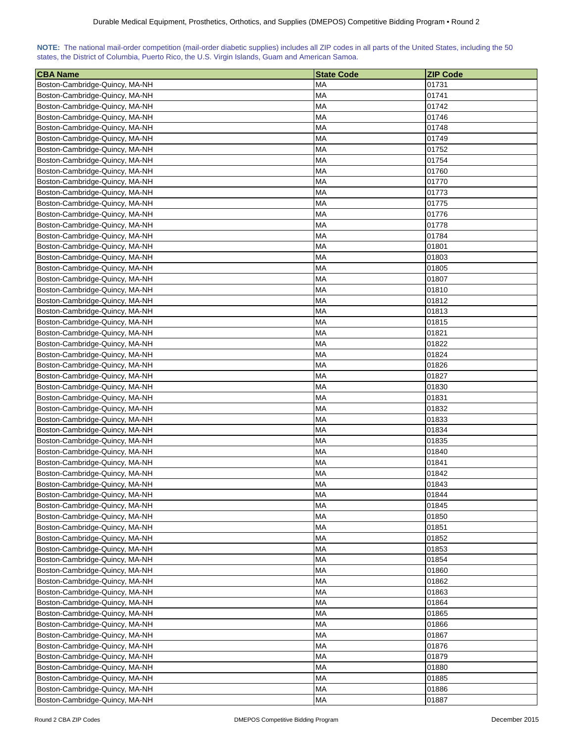| NOTE: The national mail-order competition (mail-order diabetic supplies) includes all ZIP codes in all parts of the United States, including the 50 |  |  |  |
|-----------------------------------------------------------------------------------------------------------------------------------------------------|--|--|--|
| states, the District of Columbia, Puerto Rico, the U.S. Virgin Islands, Guam and American Samoa.                                                    |  |  |  |

| <b>CBA Name</b>                | <b>State Code</b> | <b>ZIP Code</b> |
|--------------------------------|-------------------|-----------------|
| Boston-Cambridge-Quincy, MA-NH | MA                | 01731           |
| Boston-Cambridge-Quincy, MA-NH | MA                | 01741           |
| Boston-Cambridge-Quincy, MA-NH | <b>MA</b>         | 01742           |
| Boston-Cambridge-Quincy, MA-NH | <b>MA</b>         | 01746           |
| Boston-Cambridge-Quincy, MA-NH | MA                | 01748           |
| Boston-Cambridge-Quincy, MA-NH | <b>MA</b>         | 01749           |
| Boston-Cambridge-Quincy, MA-NH | <b>MA</b>         | 01752           |
| Boston-Cambridge-Quincy, MA-NH | МA                | 01754           |
| Boston-Cambridge-Quincy, MA-NH | <b>MA</b>         | 01760           |
| Boston-Cambridge-Quincy, MA-NH | MA                | 01770           |
| Boston-Cambridge-Quincy, MA-NH | MA                | 01773           |
| Boston-Cambridge-Quincy, MA-NH | MA                | 01775           |
| Boston-Cambridge-Quincy, MA-NH | <b>MA</b>         | 01776           |
| Boston-Cambridge-Quincy, MA-NH | <b>MA</b>         | 01778           |
| Boston-Cambridge-Quincy, MA-NH | MA                | 01784           |
| Boston-Cambridge-Quincy, MA-NH | <b>MA</b>         | 01801           |
| Boston-Cambridge-Quincy, MA-NH | MA                | 01803           |
| Boston-Cambridge-Quincy, MA-NH | MA                | 01805           |
| Boston-Cambridge-Quincy, MA-NH | MA                | 01807           |
| Boston-Cambridge-Quincy, MA-NH | МA                | 01810           |
| Boston-Cambridge-Quincy, MA-NH | МA                | 01812           |
| Boston-Cambridge-Quincy, MA-NH | <b>MA</b>         | 01813           |
| Boston-Cambridge-Quincy, MA-NH | <b>MA</b>         | 01815           |
| Boston-Cambridge-Quincy, MA-NH | MA                | 01821           |
| Boston-Cambridge-Quincy, MA-NH | <b>MA</b>         | 01822           |
| Boston-Cambridge-Quincy, MA-NH | MA                | 01824           |
| Boston-Cambridge-Quincy, MA-NH | MA                | 01826           |
| Boston-Cambridge-Quincy, MA-NH | MA                | 01827           |
| Boston-Cambridge-Quincy, MA-NH | MA                | 01830           |
| Boston-Cambridge-Quincy, MA-NH | МA                | 01831           |
| Boston-Cambridge-Quincy, MA-NH | МA                | 01832           |
| Boston-Cambridge-Quincy, MA-NH | <b>MA</b>         | 01833           |
| Boston-Cambridge-Quincy, MA-NH | МA                | 01834           |
| Boston-Cambridge-Quincy, MA-NH | <b>MA</b>         | 01835           |
| Boston-Cambridge-Quincy, MA-NH | <b>MA</b>         | 01840           |
| Boston-Cambridge-Quincy, MA-NH | <b>MA</b>         | 01841           |
| Boston-Cambridge-Quincy, MA-NH | MA                | 01842           |
| Boston-Cambridge-Quincy, MA-NH | <b>MA</b>         | 01843           |
| Boston-Cambridge-Quincy, MA-NH | <b>MA</b>         | 01844           |
| Boston-Cambridge-Quincy, MA-NH | <b>MA</b>         | 01845           |
| Boston-Cambridge-Quincy, MA-NH | <b>MA</b>         | 01850           |
| Boston-Cambridge-Quincy, MA-NH | <b>MA</b>         | 01851           |
| Boston-Cambridge-Quincy, MA-NH | <b>MA</b>         | 01852           |
| Boston-Cambridge-Quincy, MA-NH | MA                | 01853           |
| Boston-Cambridge-Quincy, MA-NH | <b>MA</b>         | 01854           |
| Boston-Cambridge-Quincy, MA-NH | MA                | 01860           |
| Boston-Cambridge-Quincy, MA-NH | <b>MA</b>         | 01862           |
| Boston-Cambridge-Quincy, MA-NH | MA                | 01863           |
| Boston-Cambridge-Quincy, MA-NH | MA                | 01864           |
| Boston-Cambridge-Quincy, MA-NH | MA                | 01865           |
| Boston-Cambridge-Quincy, MA-NH | <b>MA</b>         | 01866           |
| Boston-Cambridge-Quincy, MA-NH | <b>MA</b>         | 01867           |
| Boston-Cambridge-Quincy, MA-NH | <b>MA</b>         | 01876           |
| Boston-Cambridge-Quincy, MA-NH | <b>MA</b>         | 01879           |
| Boston-Cambridge-Quincy, MA-NH | <b>MA</b>         | 01880           |
| Boston-Cambridge-Quincy, MA-NH | <b>MA</b>         | 01885           |
| Boston-Cambridge-Quincy, MA-NH | MA                | 01886           |
| Boston-Cambridge-Quincy, MA-NH | MA                | 01887           |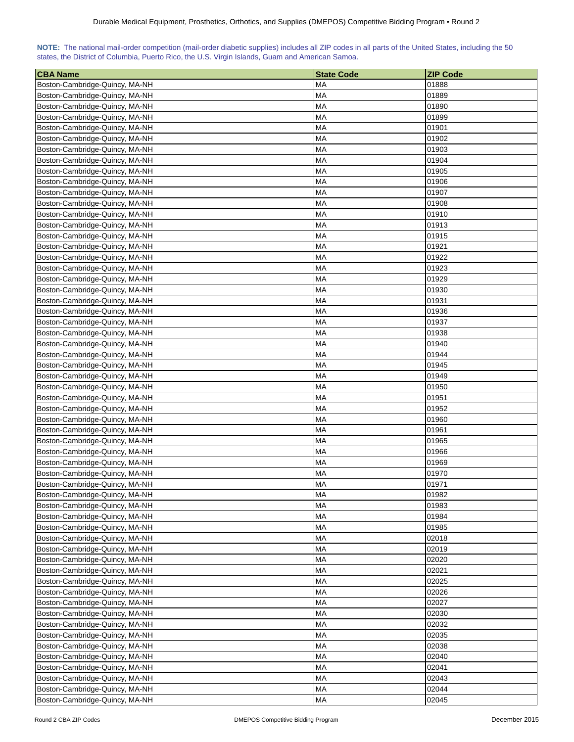| NOTE: The national mail-order competition (mail-order diabetic supplies) includes all ZIP codes in all parts of the United States, including the 50 |  |  |  |
|-----------------------------------------------------------------------------------------------------------------------------------------------------|--|--|--|
| states, the District of Columbia, Puerto Rico, the U.S. Virgin Islands, Guam and American Samoa.                                                    |  |  |  |

| <b>CBA Name</b>                                                  | <b>State Code</b> | <b>ZIP Code</b> |
|------------------------------------------------------------------|-------------------|-----------------|
| Boston-Cambridge-Quincy, MA-NH                                   | MA                | 01888           |
| Boston-Cambridge-Quincy, MA-NH                                   | MA                | 01889           |
| Boston-Cambridge-Quincy, MA-NH                                   | <b>MA</b>         | 01890           |
| Boston-Cambridge-Quincy, MA-NH                                   | <b>MA</b>         | 01899           |
| Boston-Cambridge-Quincy, MA-NH                                   | MA                | 01901           |
| Boston-Cambridge-Quincy, MA-NH                                   | <b>MA</b>         | 01902           |
| Boston-Cambridge-Quincy, MA-NH                                   | <b>MA</b>         | 01903           |
| Boston-Cambridge-Quincy, MA-NH                                   | МA                | 01904           |
| Boston-Cambridge-Quincy, MA-NH                                   | <b>MA</b>         | 01905           |
| Boston-Cambridge-Quincy, MA-NH                                   | <b>MA</b>         | 01906           |
| Boston-Cambridge-Quincy, MA-NH                                   | MA                | 01907           |
| Boston-Cambridge-Quincy, MA-NH                                   | MA                | 01908           |
| Boston-Cambridge-Quincy, MA-NH                                   | <b>MA</b>         | 01910           |
| Boston-Cambridge-Quincy, MA-NH                                   | <b>MA</b>         | 01913           |
| Boston-Cambridge-Quincy, MA-NH                                   | MA                | 01915           |
| Boston-Cambridge-Quincy, MA-NH                                   | <b>MA</b>         | 01921           |
| Boston-Cambridge-Quincy, MA-NH                                   | MA                | 01922           |
| Boston-Cambridge-Quincy, MA-NH                                   | MA                | 01923           |
| Boston-Cambridge-Quincy, MA-NH                                   | MA                | 01929           |
| Boston-Cambridge-Quincy, MA-NH                                   | МA                | 01930           |
| Boston-Cambridge-Quincy, MA-NH                                   | МA                | 01931           |
| Boston-Cambridge-Quincy, MA-NH                                   | <b>MA</b>         | 01936           |
| Boston-Cambridge-Quincy, MA-NH                                   | <b>MA</b>         | 01937           |
| Boston-Cambridge-Quincy, MA-NH                                   | MA                | 01938           |
| Boston-Cambridge-Quincy, MA-NH                                   | MA                | 01940           |
| Boston-Cambridge-Quincy, MA-NH                                   | MA                | 01944           |
| Boston-Cambridge-Quincy, MA-NH                                   | MA                | 01945           |
| Boston-Cambridge-Quincy, MA-NH                                   | MA                | 01949           |
| Boston-Cambridge-Quincy, MA-NH                                   | MA                | 01950           |
| Boston-Cambridge-Quincy, MA-NH                                   | МA                | 01951           |
| Boston-Cambridge-Quincy, MA-NH                                   | МA                | 01952           |
| Boston-Cambridge-Quincy, MA-NH                                   | <b>MA</b>         | 01960           |
| Boston-Cambridge-Quincy, MA-NH                                   | МA                | 01961           |
| Boston-Cambridge-Quincy, MA-NH                                   | MA                | 01965           |
| Boston-Cambridge-Quincy, MA-NH                                   | <b>MA</b>         | 01966           |
| Boston-Cambridge-Quincy, MA-NH                                   | <b>MA</b>         | 01969           |
|                                                                  | MA                | 01970           |
| Boston-Cambridge-Quincy, MA-NH<br>Boston-Cambridge-Quincy, MA-NH | <b>MA</b>         | 01971           |
| Boston-Cambridge-Quincy, MA-NH                                   | <b>MA</b>         | 01982           |
| Boston-Cambridge-Quincy, MA-NH                                   | <b>MA</b>         | 01983           |
| Boston-Cambridge-Quincy, MA-NH                                   | <b>MA</b>         | 01984           |
| Boston-Cambridge-Quincy, MA-NH                                   | <b>MA</b>         | 01985           |
|                                                                  | <b>MA</b>         | 02018           |
| Boston-Cambridge-Quincy, MA-NH<br>Boston-Cambridge-Quincy, MA-NH |                   | 02019           |
|                                                                  | MA                |                 |
| Boston-Cambridge-Quincy, MA-NH                                   | <b>MA</b>         | 02020           |
| Boston-Cambridge-Quincy, MA-NH                                   | MA                | 02021           |
| Boston-Cambridge-Quincy, MA-NH                                   | <b>MA</b>         | 02025           |
| Boston-Cambridge-Quincy, MA-NH                                   | MA                | 02026           |
| Boston-Cambridge-Quincy, MA-NH                                   | MA                | 02027           |
| Boston-Cambridge-Quincy, MA-NH                                   | MA                | 02030           |
| Boston-Cambridge-Quincy, MA-NH                                   | <b>MA</b>         | 02032           |
| Boston-Cambridge-Quincy, MA-NH                                   | <b>MA</b>         | 02035           |
| Boston-Cambridge-Quincy, MA-NH                                   | <b>MA</b>         | 02038           |
| Boston-Cambridge-Quincy, MA-NH                                   | <b>MA</b>         | 02040           |
| Boston-Cambridge-Quincy, MA-NH                                   | <b>MA</b>         | 02041           |
| Boston-Cambridge-Quincy, MA-NH                                   | <b>MA</b>         | 02043           |
| Boston-Cambridge-Quincy, MA-NH                                   | MA                | 02044           |
| Boston-Cambridge-Quincy, MA-NH                                   | MA                | 02045           |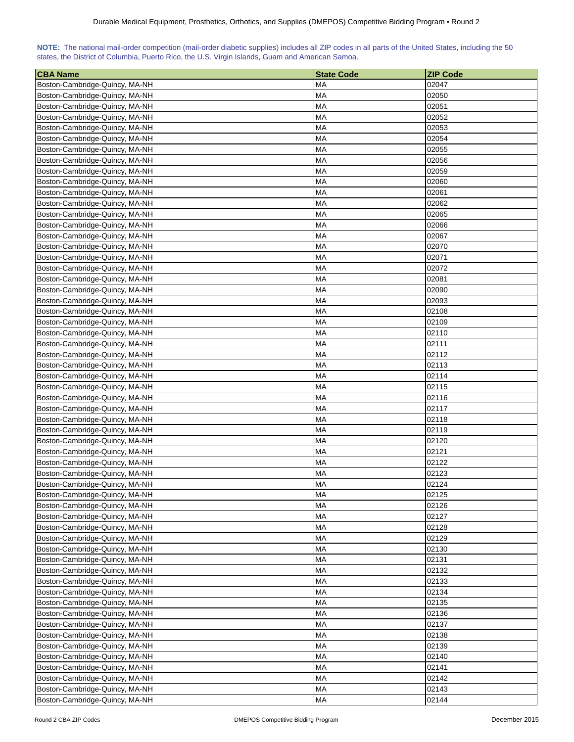| NOTE: The national mail-order competition (mail-order diabetic supplies) includes all ZIP codes in all parts of the United States, including the 50 |  |  |  |  |  |  |  |
|-----------------------------------------------------------------------------------------------------------------------------------------------------|--|--|--|--|--|--|--|
| states, the District of Columbia, Puerto Rico, the U.S. Virgin Islands, Guam and American Samoa.                                                    |  |  |  |  |  |  |  |

| <b>CBA Name</b>                                                  | <b>State Code</b> | <b>ZIP Code</b> |
|------------------------------------------------------------------|-------------------|-----------------|
| Boston-Cambridge-Quincy, MA-NH                                   | МA                | 02047           |
| Boston-Cambridge-Quincy, MA-NH                                   | МA                | 02050           |
| Boston-Cambridge-Quincy, MA-NH                                   | МA                | 02051           |
| Boston-Cambridge-Quincy, MA-NH                                   | MA                | 02052           |
| Boston-Cambridge-Quincy, MA-NH                                   | МA                | 02053           |
| Boston-Cambridge-Quincy, MA-NH                                   | МA                | 02054           |
| Boston-Cambridge-Quincy, MA-NH                                   | МA                | 02055           |
| Boston-Cambridge-Quincy, MA-NH                                   | МA                | 02056           |
| Boston-Cambridge-Quincy, MA-NH                                   | МA                | 02059           |
| Boston-Cambridge-Quincy, MA-NH                                   | MA                | 02060           |
| Boston-Cambridge-Quincy, MA-NH                                   | MA                | 02061           |
| Boston-Cambridge-Quincy, MA-NH                                   | МA                | 02062           |
| Boston-Cambridge-Quincy, MA-NH                                   | <b>MA</b>         | 02065           |
| Boston-Cambridge-Quincy, MA-NH                                   | <b>MA</b>         | 02066           |
| Boston-Cambridge-Quincy, MA-NH                                   | MA                | 02067           |
| Boston-Cambridge-Quincy, MA-NH                                   | MA                | 02070           |
| Boston-Cambridge-Quincy, MA-NH                                   | МA                | 02071           |
| Boston-Cambridge-Quincy, MA-NH                                   | МA                | 02072           |
| Boston-Cambridge-Quincy, MA-NH                                   | MA                | 02081           |
| Boston-Cambridge-Quincy, MA-NH                                   | МA                | 02090           |
| Boston-Cambridge-Quincy, MA-NH                                   | МA                | 02093           |
| Boston-Cambridge-Quincy, MA-NH                                   | MA                | 02108           |
| Boston-Cambridge-Quincy, MA-NH                                   | MA                | 02109           |
| Boston-Cambridge-Quincy, MA-NH                                   | MA                | 02110           |
| Boston-Cambridge-Quincy, MA-NH                                   | <b>MA</b>         | 02111           |
| Boston-Cambridge-Quincy, MA-NH                                   | <b>MA</b>         | 02112           |
| Boston-Cambridge-Quincy, MA-NH                                   | МA                | 02113           |
| Boston-Cambridge-Quincy, MA-NH                                   | MA                | 02114           |
| Boston-Cambridge-Quincy, MA-NH                                   | MA                | 02115           |
| Boston-Cambridge-Quincy, MA-NH                                   | МA                | 02116           |
| Boston-Cambridge-Quincy, MA-NH                                   | МA                | 02117           |
| Boston-Cambridge-Quincy, MA-NH                                   | MA                | 02118           |
| Boston-Cambridge-Quincy, MA-NH                                   | МA                | 02119           |
| Boston-Cambridge-Quincy, MA-NH                                   | МA                | 02120           |
| Boston-Cambridge-Quincy, MA-NH                                   | <b>MA</b>         | 02121           |
| Boston-Cambridge-Quincy, MA-NH                                   | MA                | 02122           |
| Boston-Cambridge-Quincy, MA-NH                                   | MA                | 02123           |
| Boston-Cambridge-Quincy, MA-NH                                   | MA                | 02124           |
|                                                                  | <b>MA</b>         | 02125           |
| Boston-Cambridge-Quincy, MA-NH<br>Boston-Cambridge-Quincy, MA-NH | <b>MA</b>         | 02126           |
|                                                                  | <b>MA</b>         | 02127           |
| Boston-Cambridge-Quincy, MA-NH                                   | <b>MA</b>         | 02128           |
| Boston-Cambridge-Quincy, MA-NH                                   | <b>MA</b>         | 02129           |
| Boston-Cambridge-Quincy, MA-NH                                   |                   | 02130           |
| Boston-Cambridge-Quincy, MA-NH                                   | MA                |                 |
| Boston-Cambridge-Quincy, MA-NH                                   | <b>MA</b>         | 02131           |
| Boston-Cambridge-Quincy, MA-NH                                   | MA                | 02132           |
| Boston-Cambridge-Quincy, MA-NH                                   | MA                | 02133           |
| Boston-Cambridge-Quincy, MA-NH                                   | MA                | 02134           |
| Boston-Cambridge-Quincy, MA-NH                                   | MA                | 02135           |
| Boston-Cambridge-Quincy, MA-NH                                   | MA                | 02136           |
| Boston-Cambridge-Quincy, MA-NH                                   | MA                | 02137           |
| Boston-Cambridge-Quincy, MA-NH                                   | МA                | 02138           |
| Boston-Cambridge-Quincy, MA-NH                                   | <b>MA</b>         | 02139           |
| Boston-Cambridge-Quincy, MA-NH                                   | <b>MA</b>         | 02140           |
| Boston-Cambridge-Quincy, MA-NH                                   | <b>MA</b>         | 02141           |
| Boston-Cambridge-Quincy, MA-NH                                   | MA                | 02142           |
| Boston-Cambridge-Quincy, MA-NH                                   | MA                | 02143           |
| Boston-Cambridge-Quincy, MA-NH                                   | MA                | 02144           |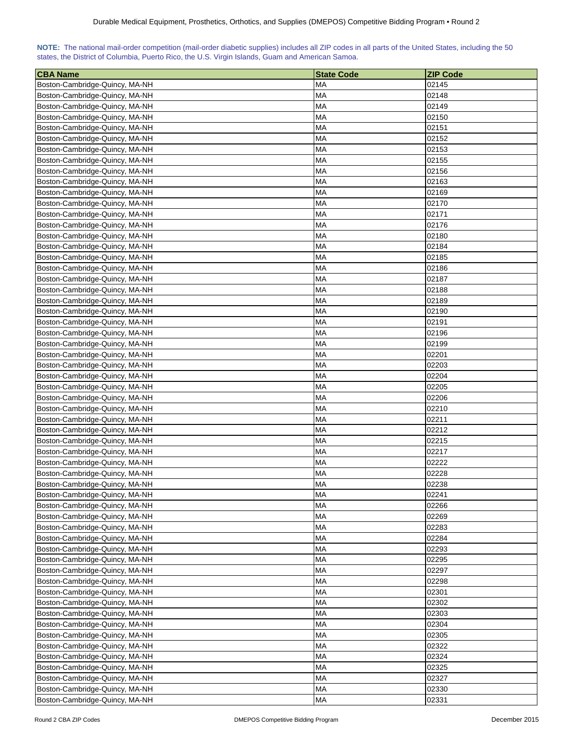| NOTE: The national mail-order competition (mail-order diabetic supplies) includes all ZIP codes in all parts of the United States, including the 50 |  |  |  |  |
|-----------------------------------------------------------------------------------------------------------------------------------------------------|--|--|--|--|
| states, the District of Columbia, Puerto Rico, the U.S. Virgin Islands, Guam and American Samoa.                                                    |  |  |  |  |

| <b>CBA Name</b>                | <b>State Code</b> | <b>ZIP Code</b> |
|--------------------------------|-------------------|-----------------|
| Boston-Cambridge-Quincy, MA-NH | MA                | 02145           |
| Boston-Cambridge-Quincy, MA-NH | MA                | 02148           |
| Boston-Cambridge-Quincy, MA-NH | <b>MA</b>         | 02149           |
| Boston-Cambridge-Quincy, MA-NH | <b>MA</b>         | 02150           |
| Boston-Cambridge-Quincy, MA-NH | MA                | 02151           |
| Boston-Cambridge-Quincy, MA-NH | <b>MA</b>         | 02152           |
| Boston-Cambridge-Quincy, MA-NH | MA                | 02153           |
| Boston-Cambridge-Quincy, MA-NH | МA                | 02155           |
| Boston-Cambridge-Quincy, MA-NH | <b>MA</b>         | 02156           |
| Boston-Cambridge-Quincy, MA-NH | <b>MA</b>         | 02163           |
| Boston-Cambridge-Quincy, MA-NH | MA                | 02169           |
| Boston-Cambridge-Quincy, MA-NH | MA                | 02170           |
| Boston-Cambridge-Quincy, MA-NH | <b>MA</b>         | 02171           |
| Boston-Cambridge-Quincy, MA-NH | <b>MA</b>         | 02176           |
| Boston-Cambridge-Quincy, MA-NH | MA                | 02180           |
| Boston-Cambridge-Quincy, MA-NH | <b>MA</b>         | 02184           |
| Boston-Cambridge-Quincy, MA-NH | MA                | 02185           |
| Boston-Cambridge-Quincy, MA-NH | MA                | 02186           |
| Boston-Cambridge-Quincy, MA-NH | MA                | 02187           |
| Boston-Cambridge-Quincy, MA-NH | МA                | 02188           |
| Boston-Cambridge-Quincy, MA-NH | МA                | 02189           |
| Boston-Cambridge-Quincy, MA-NH | <b>MA</b>         | 02190           |
| Boston-Cambridge-Quincy, MA-NH | <b>MA</b>         | 02191           |
| Boston-Cambridge-Quincy, MA-NH | MA                | 02196           |
| Boston-Cambridge-Quincy, MA-NH | <b>MA</b>         | 02199           |
| Boston-Cambridge-Quincy, MA-NH | MA                | 02201           |
| Boston-Cambridge-Quincy, MA-NH | MA                | 02203           |
| Boston-Cambridge-Quincy, MA-NH | MA                | 02204           |
| Boston-Cambridge-Quincy, MA-NH | <b>MA</b>         | 02205           |
| Boston-Cambridge-Quincy, MA-NH | МA                | 02206           |
| Boston-Cambridge-Quincy, MA-NH | МA                | 02210           |
| Boston-Cambridge-Quincy, MA-NH | <b>MA</b>         | 02211           |
| Boston-Cambridge-Quincy, MA-NH | МA                | 02212           |
| Boston-Cambridge-Quincy, MA-NH | <b>MA</b>         | 02215           |
| Boston-Cambridge-Quincy, MA-NH | <b>MA</b>         | 02217           |
| Boston-Cambridge-Quincy, MA-NH | <b>MA</b>         | 02222           |
| Boston-Cambridge-Quincy, MA-NH | MA                | 02228           |
| Boston-Cambridge-Quincy, MA-NH | <b>MA</b>         | 02238           |
| Boston-Cambridge-Quincy, MA-NH | <b>MA</b>         | 02241           |
| Boston-Cambridge-Quincy, MA-NH | <b>MA</b>         | 02266           |
| Boston-Cambridge-Quincy, MA-NH | <b>MA</b>         | 02269           |
| Boston-Cambridge-Quincy, MA-NH | <b>MA</b>         | 02283           |
| Boston-Cambridge-Quincy, MA-NH | <b>MA</b>         | 02284           |
| Boston-Cambridge-Quincy, MA-NH | MA                | 02293           |
| Boston-Cambridge-Quincy, MA-NH | <b>MA</b>         | 02295           |
| Boston-Cambridge-Quincy, MA-NH | MA                | 02297           |
| Boston-Cambridge-Quincy, MA-NH | <b>MA</b>         | 02298           |
| Boston-Cambridge-Quincy, MA-NH | MA                | 02301           |
| Boston-Cambridge-Quincy, MA-NH | MA                | 02302           |
| Boston-Cambridge-Quincy, MA-NH | MA                | 02303           |
| Boston-Cambridge-Quincy, MA-NH | <b>MA</b>         | 02304           |
| Boston-Cambridge-Quincy, MA-NH | <b>MA</b>         | 02305           |
| Boston-Cambridge-Quincy, MA-NH | <b>MA</b>         | 02322           |
| Boston-Cambridge-Quincy, MA-NH | <b>MA</b>         | 02324           |
| Boston-Cambridge-Quincy, MA-NH | <b>MA</b>         | 02325           |
| Boston-Cambridge-Quincy, MA-NH | <b>MA</b>         | 02327           |
| Boston-Cambridge-Quincy, MA-NH | MA                | 02330           |
| Boston-Cambridge-Quincy, MA-NH | MA                | 02331           |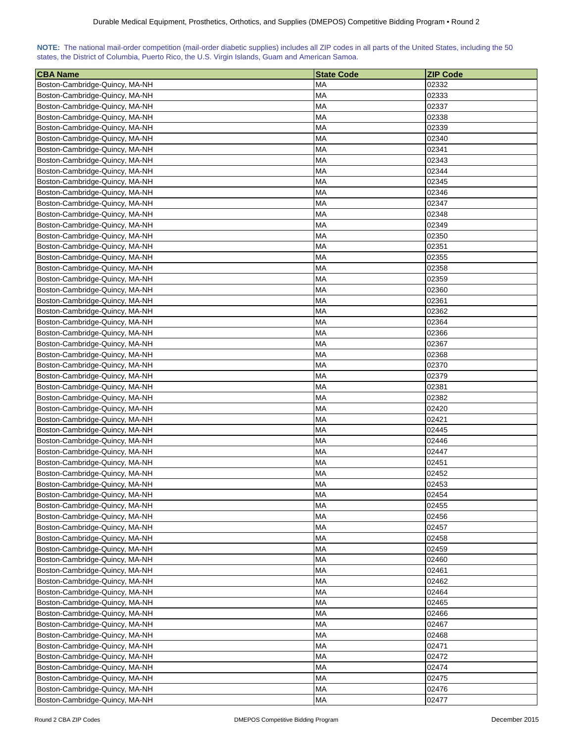| NOTE: The national mail-order competition (mail-order diabetic supplies) includes all ZIP codes in all parts of the United States, including the 50 |  |  |  |  |
|-----------------------------------------------------------------------------------------------------------------------------------------------------|--|--|--|--|
| states, the District of Columbia, Puerto Rico, the U.S. Virgin Islands, Guam and American Samoa.                                                    |  |  |  |  |

| <b>CBA Name</b>                | <b>State Code</b> | <b>ZIP Code</b> |
|--------------------------------|-------------------|-----------------|
| Boston-Cambridge-Quincy, MA-NH | МA                | 02332           |
| Boston-Cambridge-Quincy, MA-NH | MA                | 02333           |
| Boston-Cambridge-Quincy, MA-NH | МA                | 02337           |
| Boston-Cambridge-Quincy, MA-NH | МA                | 02338           |
| Boston-Cambridge-Quincy, MA-NH | MA                | 02339           |
| Boston-Cambridge-Quincy, MA-NH | МA                | 02340           |
| Boston-Cambridge-Quincy, MA-NH | МA                | 02341           |
| Boston-Cambridge-Quincy, MA-NH | МA                | 02343           |
| Boston-Cambridge-Quincy, MA-NH | МA                | 02344           |
| Boston-Cambridge-Quincy, MA-NH | МA                | 02345           |
| Boston-Cambridge-Quincy, MA-NH | MA                | 02346           |
| Boston-Cambridge-Quincy, MA-NH | MA                | 02347           |
| Boston-Cambridge-Quincy, MA-NH | МA                | 02348           |
| Boston-Cambridge-Quincy, MA-NH | <b>MA</b>         | 02349           |
| Boston-Cambridge-Quincy, MA-NH | MA                | 02350           |
| Boston-Cambridge-Quincy, MA-NH | МA                | 02351           |
| Boston-Cambridge-Quincy, MA-NH | MA                | 02355           |
| Boston-Cambridge-Quincy, MA-NH | МA                | 02358           |
| Boston-Cambridge-Quincy, MA-NH | МA                | 02359           |
| Boston-Cambridge-Quincy, MA-NH | МA                | 02360           |
| Boston-Cambridge-Quincy, MA-NH | МA                | 02361           |
| Boston-Cambridge-Quincy, MA-NH | МA                | 02362           |
|                                | <b>MA</b>         |                 |
| Boston-Cambridge-Quincy, MA-NH | MA                | 02364           |
| Boston-Cambridge-Quincy, MA-NH |                   | 02366           |
| Boston-Cambridge-Quincy, MA-NH | МA                | 02367           |
| Boston-Cambridge-Quincy, MA-NH | MA                | 02368           |
| Boston-Cambridge-Quincy, MA-NH | MA                | 02370           |
| Boston-Cambridge-Quincy, MA-NH | MA                | 02379           |
| Boston-Cambridge-Quincy, MA-NH | MA                | 02381           |
| Boston-Cambridge-Quincy, MA-NH | MA                | 02382           |
| Boston-Cambridge-Quincy, MA-NH | МA                | 02420           |
| Boston-Cambridge-Quincy, MA-NH | MA                | 02421           |
| Boston-Cambridge-Quincy, MA-NH | МA                | 02445           |
| Boston-Cambridge-Quincy, MA-NH | МA                | 02446           |
| Boston-Cambridge-Quincy, MA-NH | MA                | 02447           |
| Boston-Cambridge-Quincy, MA-NH | MA                | 02451           |
| Boston-Cambridge-Quincy, MA-NH | МA                | 02452           |
| Boston-Cambridge-Quincy, MA-NH | <b>MA</b>         | 02453           |
| Boston-Cambridge-Quincy, MA-NH | <b>MA</b>         | 02454           |
| Boston-Cambridge-Quincy, MA-NH | <b>MA</b>         | 02455           |
| Boston-Cambridge-Quincy, MA-NH | <b>MA</b>         | 02456           |
| Boston-Cambridge-Quincy, MA-NH | <b>MA</b>         | 02457           |
| Boston-Cambridge-Quincy, MA-NH | <b>MA</b>         | 02458           |
| Boston-Cambridge-Quincy, MA-NH | <b>MA</b>         | 02459           |
| Boston-Cambridge-Quincy, MA-NH | MA                | 02460           |
| Boston-Cambridge-Quincy, MA-NH | МA                | 02461           |
| Boston-Cambridge-Quincy, MA-NH | MA                | 02462           |
| Boston-Cambridge-Quincy, MA-NH | MA                | 02464           |
| Boston-Cambridge-Quincy, MA-NH | MA                | 02465           |
| Boston-Cambridge-Quincy, MA-NH | MA                | 02466           |
| Boston-Cambridge-Quincy, MA-NH | MA                | 02467           |
| Boston-Cambridge-Quincy, MA-NH | МA                | 02468           |
| Boston-Cambridge-Quincy, MA-NH | <b>MA</b>         | 02471           |
| Boston-Cambridge-Quincy, MA-NH | <b>MA</b>         | 02472           |
| Boston-Cambridge-Quincy, MA-NH | <b>MA</b>         | 02474           |
| Boston-Cambridge-Quincy, MA-NH | МA                | 02475           |
| Boston-Cambridge-Quincy, MA-NH | MA                | 02476           |
| Boston-Cambridge-Quincy, MA-NH | MA                | 02477           |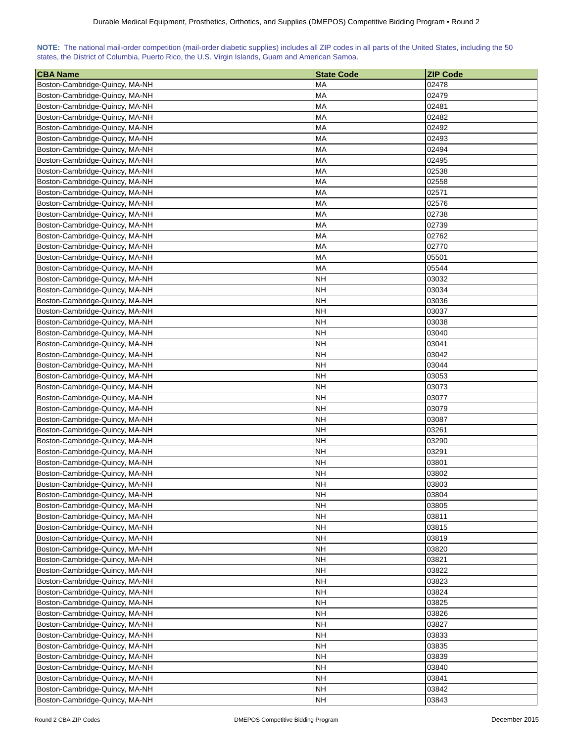| NOTE: The national mail-order competition (mail-order diabetic supplies) includes all ZIP codes in all parts of the United States, including the 50 |  |  |  |  |  |  |  |
|-----------------------------------------------------------------------------------------------------------------------------------------------------|--|--|--|--|--|--|--|
| states, the District of Columbia, Puerto Rico, the U.S. Virgin Islands, Guam and American Samoa.                                                    |  |  |  |  |  |  |  |

| <b>CBA Name</b>                | <b>State Code</b>      | <b>ZIP Code</b> |
|--------------------------------|------------------------|-----------------|
| Boston-Cambridge-Quincy, MA-NH | МA                     | 02478           |
| Boston-Cambridge-Quincy, MA-NH | МA                     | 02479           |
| Boston-Cambridge-Quincy, MA-NH | MA                     | 02481           |
| Boston-Cambridge-Quincy, MA-NH | МA                     | 02482           |
| Boston-Cambridge-Quincy, MA-NH | МA                     | 02492           |
| Boston-Cambridge-Quincy, MA-NH | <b>MA</b>              | 02493           |
| Boston-Cambridge-Quincy, MA-NH | МA                     | 02494           |
| Boston-Cambridge-Quincy, MA-NH | MA                     | 02495           |
| Boston-Cambridge-Quincy, MA-NH | MA                     | 02538           |
| Boston-Cambridge-Quincy, MA-NH | MA                     | 02558           |
| Boston-Cambridge-Quincy, MA-NH | МA                     | 02571           |
| Boston-Cambridge-Quincy, MA-NH | МA                     | 02576           |
| Boston-Cambridge-Quincy, MA-NH | MA                     | 02738           |
| Boston-Cambridge-Quincy, MA-NH | MA                     | 02739           |
| Boston-Cambridge-Quincy, MA-NH | MA                     | 02762           |
| Boston-Cambridge-Quincy, MA-NH | <b>MA</b>              | 02770           |
| Boston-Cambridge-Quincy, MA-NH | МA                     | 05501           |
| Boston-Cambridge-Quincy, MA-NH | MA                     | 05544           |
| Boston-Cambridge-Quincy, MA-NH | NΗ                     | 03032           |
| Boston-Cambridge-Quincy, MA-NH | NΗ                     | 03034           |
|                                | <b>NH</b>              |                 |
| Boston-Cambridge-Quincy, MA-NH |                        | 03036           |
| Boston-Cambridge-Quincy, MA-NH | NΗ                     | 03037           |
| Boston-Cambridge-Quincy, MA-NH | <b>NH</b>              | 03038           |
| Boston-Cambridge-Quincy, MA-NH | NΗ<br><b>NH</b>        | 03040           |
| Boston-Cambridge-Quincy, MA-NH |                        | 03041           |
| Boston-Cambridge-Quincy, MA-NH | <b>NH</b>              | 03042           |
| Boston-Cambridge-Quincy, MA-NH | <b>NH</b>              | 03044           |
| Boston-Cambridge-Quincy, MA-NH | <b>NH</b>              | 03053           |
| Boston-Cambridge-Quincy, MA-NH | NΗ                     | 03073           |
| Boston-Cambridge-Quincy, MA-NH | NΗ                     | 03077           |
| Boston-Cambridge-Quincy, MA-NH | NΗ                     | 03079           |
| Boston-Cambridge-Quincy, MA-NH | NΗ                     | 03087           |
| Boston-Cambridge-Quincy, MA-NH | NΗ<br>NΗ               | 03261<br>03290  |
| Boston-Cambridge-Quincy, MA-NH | NΗ                     | 03291           |
| Boston-Cambridge-Quincy, MA-NH | NΗ                     | 03801           |
| Boston-Cambridge-Quincy, MA-NH | <b>NH</b>              | 03802           |
| Boston-Cambridge-Quincy, MA-NH |                        |                 |
| Boston-Cambridge-Quincy, MA-NH | <b>NH</b><br><b>NH</b> | 03803           |
| Boston-Cambridge-Quincy, MA-NH | <b>NH</b>              | 03804           |
| Boston-Cambridge-Quincy, MA-NH | <b>NH</b>              | 03805<br>03811  |
| Boston-Cambridge-Quincy, MA-NH |                        |                 |
| Boston-Cambridge-Quincy, MA-NH | <b>NH</b>              | 03815           |
| Boston-Cambridge-Quincy, MA-NH | <b>NH</b>              | 03819           |
| Boston-Cambridge-Quincy, MA-NH | NH                     | 03820           |
| Boston-Cambridge-Quincy, MA-NH | NH                     | 03821           |
| Boston-Cambridge-Quincy, MA-NH | <b>NH</b>              | 03822           |
| Boston-Cambridge-Quincy, MA-NH | <b>NH</b>              | 03823           |
| Boston-Cambridge-Quincy, MA-NH | <b>NH</b>              | 03824           |
| Boston-Cambridge-Quincy, MA-NH | <b>NH</b>              | 03825           |
| Boston-Cambridge-Quincy, MA-NH | NΗ                     | 03826           |
| Boston-Cambridge-Quincy, MA-NH | NΗ                     | 03827           |
| Boston-Cambridge-Quincy, MA-NH | <b>NH</b>              | 03833           |
| Boston-Cambridge-Quincy, MA-NH | NΗ                     | 03835           |
| Boston-Cambridge-Quincy, MA-NH | NΗ                     | 03839           |
| Boston-Cambridge-Quincy, MA-NH | <b>NH</b>              | 03840           |
| Boston-Cambridge-Quincy, MA-NH | <b>NH</b>              | 03841           |
| Boston-Cambridge-Quincy, MA-NH | <b>NH</b>              | 03842           |
| Boston-Cambridge-Quincy, MA-NH | <b>NH</b>              | 03843           |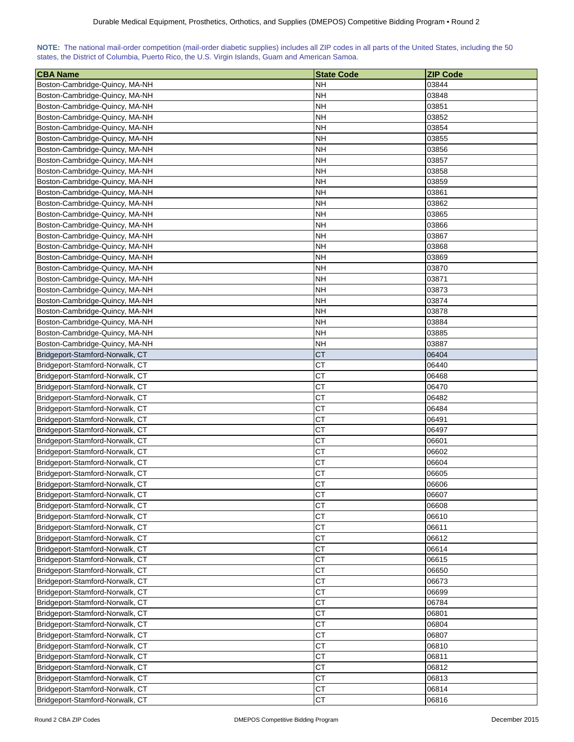| NOTE: The national mail-order competition (mail-order diabetic supplies) includes all ZIP codes in all parts of the United States, including the 50 |  |  |  |  |  |  |  |
|-----------------------------------------------------------------------------------------------------------------------------------------------------|--|--|--|--|--|--|--|
| states, the District of Columbia, Puerto Rico, the U.S. Virgin Islands, Guam and American Samoa.                                                    |  |  |  |  |  |  |  |

| <b>CBA Name</b>                                                    | <b>State Code</b> | <b>ZIP Code</b> |
|--------------------------------------------------------------------|-------------------|-----------------|
| Boston-Cambridge-Quincy, MA-NH                                     | <b>NH</b>         | 03844           |
| Boston-Cambridge-Quincy, MA-NH                                     | <b>NH</b>         | 03848           |
| Boston-Cambridge-Quincy, MA-NH                                     | <b>NH</b>         | 03851           |
| Boston-Cambridge-Quincy, MA-NH                                     | <b>NH</b>         | 03852           |
| Boston-Cambridge-Quincy, MA-NH                                     | <b>NH</b>         | 03854           |
| Boston-Cambridge-Quincy, MA-NH                                     | NΗ                | 03855           |
| Boston-Cambridge-Quincy, MA-NH                                     | <b>NH</b>         | 03856           |
| Boston-Cambridge-Quincy, MA-NH                                     | NΗ                | 03857           |
| Boston-Cambridge-Quincy, MA-NH                                     | <b>NH</b>         | 03858           |
| Boston-Cambridge-Quincy, MA-NH                                     | <b>NH</b>         | 03859           |
| Boston-Cambridge-Quincy, MA-NH                                     | <b>NH</b>         | 03861           |
| Boston-Cambridge-Quincy, MA-NH                                     | <b>NH</b>         | 03862           |
| Boston-Cambridge-Quincy, MA-NH                                     | <b>NH</b>         | 03865           |
| Boston-Cambridge-Quincy, MA-NH                                     | <b>NH</b>         | 03866           |
| Boston-Cambridge-Quincy, MA-NH                                     | <b>NH</b>         | 03867           |
| Boston-Cambridge-Quincy, MA-NH                                     | <b>NH</b>         | 03868           |
| Boston-Cambridge-Quincy, MA-NH                                     | <b>NH</b>         | 03869           |
| Boston-Cambridge-Quincy, MA-NH                                     | NΗ                | 03870           |
| Boston-Cambridge-Quincy, MA-NH                                     | <b>NH</b>         | 03871           |
| Boston-Cambridge-Quincy, MA-NH                                     | NH                | 03873           |
| Boston-Cambridge-Quincy, MA-NH                                     | <b>NH</b>         | 03874           |
| Boston-Cambridge-Quincy, MA-NH                                     | <b>NH</b>         | 03878           |
| Boston-Cambridge-Quincy, MA-NH                                     | <b>NH</b>         | 03884           |
| Boston-Cambridge-Quincy, MA-NH                                     | <b>NH</b>         | 03885           |
| Boston-Cambridge-Quincy, MA-NH                                     | <b>NH</b>         | 03887           |
| Bridgeport-Stamford-Norwalk, CT                                    | <b>CT</b>         | 06404           |
| Bridgeport-Stamford-Norwalk, CT                                    | <b>CT</b>         | 06440           |
| Bridgeport-Stamford-Norwalk, CT                                    | <b>CT</b>         | 06468           |
| Bridgeport-Stamford-Norwalk, CT                                    | <b>CT</b>         | 06470           |
| Bridgeport-Stamford-Norwalk, CT                                    | <b>CT</b>         | 06482           |
| Bridgeport-Stamford-Norwalk, CT                                    | СT                | 06484           |
| Bridgeport-Stamford-Norwalk, CT                                    | <b>CT</b>         | 06491           |
| Bridgeport-Stamford-Norwalk, CT                                    | <b>CT</b>         | 06497           |
| Bridgeport-Stamford-Norwalk, CT                                    | CT                | 06601           |
| Bridgeport-Stamford-Norwalk, CT                                    | <b>CT</b>         | 06602           |
| Bridgeport-Stamford-Norwalk, CT                                    | <b>CT</b>         | 06604           |
|                                                                    | CT                | 06605           |
| Bridgeport-Stamford-Norwalk, CT<br>Bridgeport-Stamford-Norwalk, CT | <b>CT</b>         | 06606           |
| Bridgeport-Stamford-Norwalk, CT                                    | <b>CT</b>         | 06607           |
| Bridgeport-Stamford-Norwalk, CT                                    | CT                | 06608           |
| Bridgeport-Stamford-Norwalk, CT                                    | <b>CT</b>         | 06610           |
| Bridgeport-Stamford-Norwalk, CT                                    | <b>CT</b>         | 06611           |
| Bridgeport-Stamford-Norwalk, CT                                    | CT                | 06612           |
|                                                                    | <b>CT</b>         |                 |
| Bridgeport-Stamford-Norwalk, CT                                    |                   | 06614           |
| Bridgeport-Stamford-Norwalk, CT                                    | CT                | 06615           |
| Bridgeport-Stamford-Norwalk, CT                                    | <b>CT</b>         | 06650           |
| Bridgeport-Stamford-Norwalk, CT                                    | <b>CT</b>         | 06673           |
| Bridgeport-Stamford-Norwalk, CT                                    | <b>CT</b>         | 06699           |
| Bridgeport-Stamford-Norwalk, CT                                    | <b>CT</b>         | 06784           |
| Bridgeport-Stamford-Norwalk, CT                                    | CT                | 06801           |
| Bridgeport-Stamford-Norwalk, CT                                    | <b>CT</b>         | 06804           |
| Bridgeport-Stamford-Norwalk, CT                                    | <b>CT</b>         | 06807           |
| Bridgeport-Stamford-Norwalk, CT                                    | <b>CT</b>         | 06810           |
| Bridgeport-Stamford-Norwalk, CT                                    | <b>CT</b>         | 06811           |
| Bridgeport-Stamford-Norwalk, CT                                    | <b>CT</b>         | 06812           |
| Bridgeport-Stamford-Norwalk, CT                                    | <b>CT</b>         | 06813           |
| Bridgeport-Stamford-Norwalk, CT                                    | <b>CT</b>         | 06814           |
| Bridgeport-Stamford-Norwalk, CT                                    | CT                | 06816           |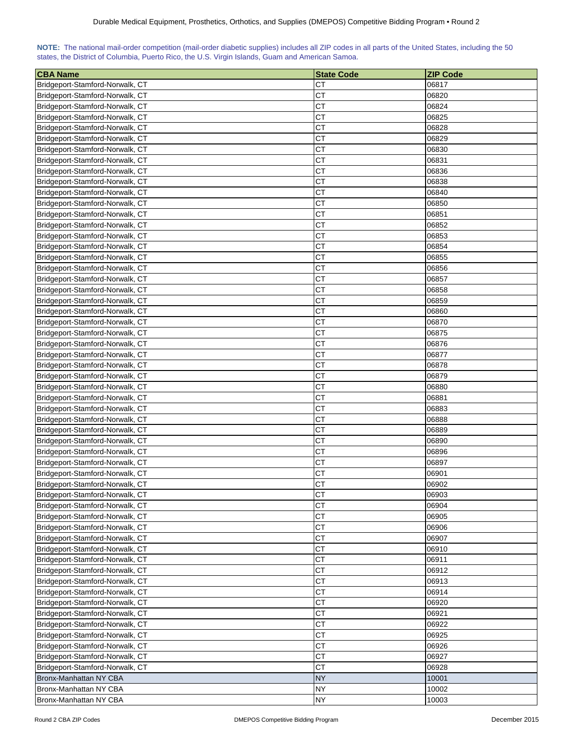| NOTE: The national mail-order competition (mail-order diabetic supplies) includes all ZIP codes in all parts of the United States, including the 50 |  |  |  |  |  |  |  |
|-----------------------------------------------------------------------------------------------------------------------------------------------------|--|--|--|--|--|--|--|
| states, the District of Columbia, Puerto Rico, the U.S. Virgin Islands, Guam and American Samoa.                                                    |  |  |  |  |  |  |  |

| ∣CBA Name                                                          | <b>State Code</b> | <b>ZIP Code</b> |
|--------------------------------------------------------------------|-------------------|-----------------|
| Bridgeport-Stamford-Norwalk, CT                                    | СT                | 06817           |
| Bridgeport-Stamford-Norwalk, CT                                    | СT                | 06820           |
| Bridgeport-Stamford-Norwalk, CT                                    | <b>CT</b>         | 06824           |
| Bridgeport-Stamford-Norwalk, CT                                    | <b>CT</b>         | 06825           |
| Bridgeport-Stamford-Norwalk, CT                                    | CT                | 06828           |
| Bridgeport-Stamford-Norwalk, CT                                    | <b>CT</b>         | 06829           |
| Bridgeport-Stamford-Norwalk, CT                                    | CT                | 06830           |
| Bridgeport-Stamford-Norwalk, CT                                    | <b>CT</b>         | 06831           |
| Bridgeport-Stamford-Norwalk, CT                                    | <b>CT</b>         | 06836           |
| Bridgeport-Stamford-Norwalk, CT                                    | <b>CT</b>         | 06838           |
| Bridgeport-Stamford-Norwalk, CT                                    | <b>CT</b>         | 06840           |
| Bridgeport-Stamford-Norwalk, CT                                    | <b>CT</b>         | 06850           |
| Bridgeport-Stamford-Norwalk, CT                                    | СT                | 06851           |
| Bridgeport-Stamford-Norwalk, CT                                    | <b>CT</b>         | 06852           |
| Bridgeport-Stamford-Norwalk, CT                                    | <b>CT</b>         | 06853           |
| Bridgeport-Stamford-Norwalk, CT                                    | <b>CT</b>         | 06854           |
| Bridgeport-Stamford-Norwalk, CT                                    | <b>CT</b>         | 06855           |
| Bridgeport-Stamford-Norwalk, CT                                    | <b>CT</b>         | 06856           |
| Bridgeport-Stamford-Norwalk, CT                                    | <b>CT</b>         | 06857           |
| Bridgeport-Stamford-Norwalk, CT                                    | <b>CT</b>         | 06858           |
| Bridgeport-Stamford-Norwalk, CT                                    | <b>CT</b>         | 06859           |
| Bridgeport-Stamford-Norwalk, CT                                    | <b>CT</b>         | 06860           |
| Bridgeport-Stamford-Norwalk, CT                                    | <b>CT</b>         | 06870           |
| Bridgeport-Stamford-Norwalk, CT                                    | СT                | 06875           |
| Bridgeport-Stamford-Norwalk, CT                                    | <b>CT</b>         | 06876           |
| Bridgeport-Stamford-Norwalk, CT                                    | <b>CT</b>         | 06877           |
|                                                                    | <b>CT</b>         | 06878           |
| Bridgeport-Stamford-Norwalk, CT                                    | <b>CT</b>         | 06879           |
| Bridgeport-Stamford-Norwalk, CT<br>Bridgeport-Stamford-Norwalk, CT | <b>CT</b>         | 06880           |
| Bridgeport-Stamford-Norwalk, CT                                    | СT                | 06881           |
| Bridgeport-Stamford-Norwalk, CT                                    | <b>CT</b>         | 06883           |
| Bridgeport-Stamford-Norwalk, CT                                    | <b>CT</b>         | 06888           |
| Bridgeport-Stamford-Norwalk, CT                                    | CT                | 06889           |
| Bridgeport-Stamford-Norwalk, CT                                    | <b>CT</b>         | 06890           |
| Bridgeport-Stamford-Norwalk, CT                                    | <b>CT</b>         | 06896           |
| Bridgeport-Stamford-Norwalk, CT                                    | <b>CT</b>         | 06897           |
| Bridgeport-Stamford-Norwalk, CT                                    | CT                | 06901           |
| Bridgeport-Stamford-Norwalk, CT                                    | CT                | 06902           |
| Bridgeport-Stamford-Norwalk, CT                                    | <b>CT</b>         | 06903           |
| Bridgeport-Stamford-Norwalk, CT                                    | <b>CT</b>         | 06904           |
| Bridgeport-Stamford-Norwalk, CT                                    | CT                | 06905           |
| Bridgeport-Stamford-Norwalk, CT                                    | <b>CT</b>         | 06906           |
| Bridgeport-Stamford-Norwalk, CT                                    | CT                | 06907           |
| Bridgeport-Stamford-Norwalk, CT                                    | CT                | 06910           |
| Bridgeport-Stamford-Norwalk, CT                                    | <b>CT</b>         | 06911           |
| Bridgeport-Stamford-Norwalk, CT                                    | <b>CT</b>         | 06912           |
| Bridgeport-Stamford-Norwalk, CT                                    | <b>CT</b>         | 06913           |
| Bridgeport-Stamford-Norwalk, CT                                    | <b>CT</b>         | 06914           |
| Bridgeport-Stamford-Norwalk, CT                                    | CT                | 06920           |
| Bridgeport-Stamford-Norwalk, CT                                    | CT                | 06921           |
| Bridgeport-Stamford-Norwalk, CT                                    | <b>CT</b>         | 06922           |
| Bridgeport-Stamford-Norwalk, CT                                    | <b>CT</b>         | 06925           |
| Bridgeport-Stamford-Norwalk, CT                                    | <b>CT</b>         | 06926           |
| Bridgeport-Stamford-Norwalk, CT                                    | <b>CT</b>         | 06927           |
| Bridgeport-Stamford-Norwalk, CT                                    | CT                | 06928           |
| Bronx-Manhattan NY CBA                                             | <b>NY</b>         | 10001           |
| Bronx-Manhattan NY CBA                                             | <b>NY</b>         | 10002           |
| Bronx-Manhattan NY CBA                                             | <b>NY</b>         | 10003           |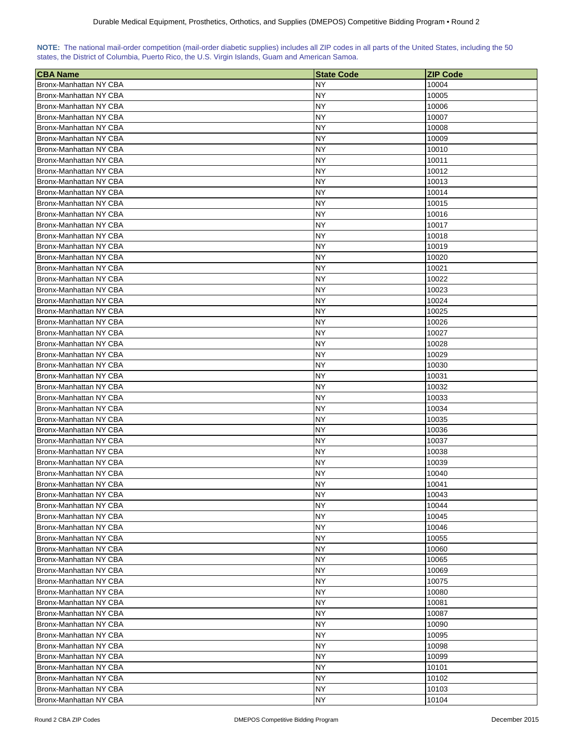| NOTE: The national mail-order competition (mail-order diabetic supplies) includes all ZIP codes in all parts of the United States, including the 50 |  |  |  |  |  |  |  |
|-----------------------------------------------------------------------------------------------------------------------------------------------------|--|--|--|--|--|--|--|
| states, the District of Columbia, Puerto Rico, the U.S. Virgin Islands, Guam and American Samoa.                                                    |  |  |  |  |  |  |  |

| <b>CBA Name</b>               | <b>State Code</b> | <b>ZIP Code</b> |
|-------------------------------|-------------------|-----------------|
| Bronx-Manhattan NY CBA        | NY                | 10004           |
| Bronx-Manhattan NY CBA        | NΥ                | 10005           |
| Bronx-Manhattan NY CBA        | NY                | 10006           |
| Bronx-Manhattan NY CBA        | NΥ                | 10007           |
| Bronx-Manhattan NY CBA        | NΥ                | 10008           |
| Bronx-Manhattan NY CBA        | NY.               | 10009           |
| Bronx-Manhattan NY CBA        | NΥ                | 10010           |
| Bronx-Manhattan NY CBA        | NY                | 10011           |
| Bronx-Manhattan NY CBA        | <b>NY</b>         | 10012           |
| Bronx-Manhattan NY CBA        | <b>NY</b>         | 10013           |
| Bronx-Manhattan NY CBA        | NY                | 10014           |
| Bronx-Manhattan NY CBA        | <b>NY</b>         | 10015           |
| Bronx-Manhattan NY CBA        | NY                | 10016           |
| Bronx-Manhattan NY CBA        | NY                | 10017           |
| Bronx-Manhattan NY CBA        | <b>NY</b>         | 10018           |
| Bronx-Manhattan NY CBA        | NY                | 10019           |
| Bronx-Manhattan NY CBA        | NY                | 10020           |
| Bronx-Manhattan NY CBA        | <b>NY</b>         | 10021           |
| Bronx-Manhattan NY CBA        | <b>NY</b>         | 10022           |
| Bronx-Manhattan NY CBA        | <b>NY</b>         | 10023           |
| Bronx-Manhattan NY CBA        | NY                | 10024           |
| Bronx-Manhattan NY CBA        | NY                | 10025           |
| Bronx-Manhattan NY CBA        | <b>NY</b>         | 10026           |
| Bronx-Manhattan NY CBA        | <b>NY</b>         | 10027           |
| Bronx-Manhattan NY CBA        | <b>NY</b>         | 10028           |
| Bronx-Manhattan NY CBA        | <b>NY</b>         | 10029           |
| Bronx-Manhattan NY CBA        | <b>NY</b>         | 10030           |
| Bronx-Manhattan NY CBA        | <b>NY</b>         | 10031           |
| Bronx-Manhattan NY CBA        | NY                | 10032           |
| Bronx-Manhattan NY CBA        | ΝY                | 10033           |
| Bronx-Manhattan NY CBA        | <b>NY</b>         | 10034           |
| Bronx-Manhattan NY CBA        | NY                | 10035           |
| Bronx-Manhattan NY CBA        | NY                | 10036           |
| Bronx-Manhattan NY CBA        | NY                | 10037           |
| Bronx-Manhattan NY CBA        | <b>NY</b>         | 10038           |
| Bronx-Manhattan NY CBA        | <b>NY</b>         | 10039           |
| Bronx-Manhattan NY CBA        | <b>NY</b>         | 10040           |
| Bronx-Manhattan NY CBA        | <b>NY</b>         | 10041           |
| Bronx-Manhattan NY CBA        | NY                | 10043           |
| <b>Bronx-Manhattan NY CBA</b> | <b>NY</b>         | 10044           |
| Bronx-Manhattan NY CBA        | <b>NY</b>         | 10045           |
| Bronx-Manhattan NY CBA        | NY                | 10046           |
| Bronx-Manhattan NY CBA        | NY                | 10055           |
| Bronx-Manhattan NY CBA        | NY                | 10060           |
|                               | NY                |                 |
| Bronx-Manhattan NY CBA        | <b>NY</b>         | 10065           |
| Bronx-Manhattan NY CBA        | <b>NY</b>         | 10069           |
| Bronx-Manhattan NY CBA        | <b>NY</b>         | 10075           |
| Bronx-Manhattan NY CBA        |                   | 10080           |
| Bronx-Manhattan NY CBA        | <b>NY</b>         | 10081           |
| Bronx-Manhattan NY CBA        | <b>NY</b>         | 10087           |
| Bronx-Manhattan NY CBA        | <b>NY</b>         | 10090           |
| Bronx-Manhattan NY CBA        | <b>NY</b>         | 10095           |
| Bronx-Manhattan NY CBA        | <b>NY</b>         | 10098           |
| Bronx-Manhattan NY CBA        | <b>NY</b>         | 10099           |
| Bronx-Manhattan NY CBA        | NY                | 10101           |
| Bronx-Manhattan NY CBA        | <b>NY</b>         | 10102           |
| Bronx-Manhattan NY CBA        | <b>NY</b>         | 10103           |
| Bronx-Manhattan NY CBA        | <b>NY</b>         | 10104           |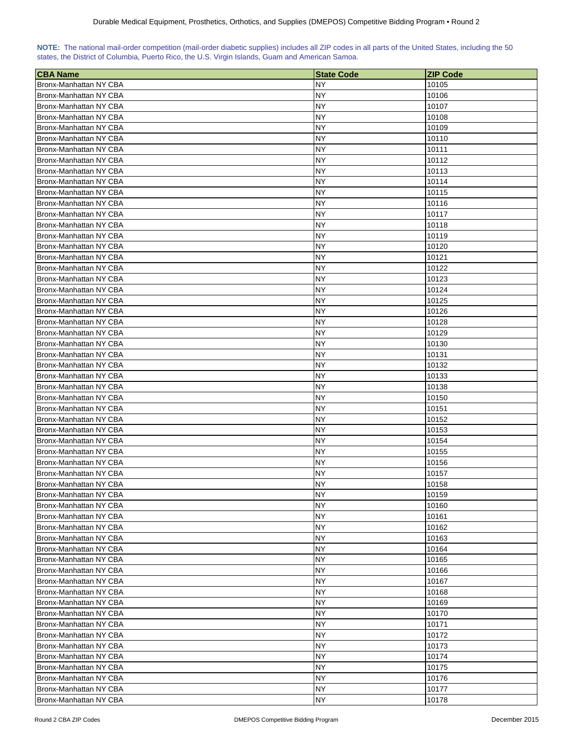| NOTE: The national mail-order competition (mail-order diabetic supplies) includes all ZIP codes in all parts of the United States, including the 50 |  |  |  |  |  |  |  |
|-----------------------------------------------------------------------------------------------------------------------------------------------------|--|--|--|--|--|--|--|
| states, the District of Columbia, Puerto Rico, the U.S. Virgin Islands, Guam and American Samoa.                                                    |  |  |  |  |  |  |  |

| <b>CBA Name</b>        | <b>State Code</b> | <b>ZIP Code</b> |
|------------------------|-------------------|-----------------|
| Bronx-Manhattan NY CBA | NY                | 10105           |
| Bronx-Manhattan NY CBA | NY                | 10106           |
| Bronx-Manhattan NY CBA | NY                | 10107           |
| Bronx-Manhattan NY CBA | NY                | 10108           |
| Bronx-Manhattan NY CBA | NΥ                | 10109           |
| Bronx-Manhattan NY CBA | NΥ                | 10110           |
| Bronx-Manhattan NY CBA | NΥ                | 10111           |
| Bronx-Manhattan NY CBA | NY                | 10112           |
| Bronx-Manhattan NY CBA | NY                | 10113           |
| Bronx-Manhattan NY CBA | <b>NY</b>         | 10114           |
| Bronx-Manhattan NY CBA | NY                | 10115           |
| Bronx-Manhattan NY CBA | NY                | 10116           |
| Bronx-Manhattan NY CBA | <b>NY</b>         | 10117           |
| Bronx-Manhattan NY CBA | <b>NY</b>         | 10118           |
| Bronx-Manhattan NY CBA | <b>NY</b>         | 10119           |
| Bronx-Manhattan NY CBA | <b>NY</b>         | 10120           |
| Bronx-Manhattan NY CBA | NY                | 10121           |
| Bronx-Manhattan NY CBA | NY                | 10122           |
| Bronx-Manhattan NY CBA | <b>NY</b>         | 10123           |
| Bronx-Manhattan NY CBA | NY                | 10124           |
| Bronx-Manhattan NY CBA | <b>NY</b>         | 10125           |
| Bronx-Manhattan NY CBA | <b>NY</b>         | 10126           |
| Bronx-Manhattan NY CBA | <b>NY</b>         | 10128           |
| Bronx-Manhattan NY CBA | <b>NY</b>         | 10129           |
| Bronx-Manhattan NY CBA | <b>NY</b>         | 10130           |
| Bronx-Manhattan NY CBA | <b>NY</b>         | 10131           |
| Bronx-Manhattan NY CBA | <b>NY</b>         | 10132           |
| Bronx-Manhattan NY CBA | <b>NY</b>         | 10133           |
| Bronx-Manhattan NY CBA | <b>NY</b>         | 10138           |
| Bronx-Manhattan NY CBA | <b>NY</b>         | 10150           |
| Bronx-Manhattan NY CBA | ΝY                | 10151           |
| Bronx-Manhattan NY CBA | <b>NY</b>         | 10152           |
| Bronx-Manhattan NY CBA | NY                | 10153           |
| Bronx-Manhattan NY CBA | NY                | 10154           |
| Bronx-Manhattan NY CBA | <b>NY</b>         | 10155           |
| Bronx-Manhattan NY CBA | <b>NY</b>         | 10156           |
| Bronx-Manhattan NY CBA | NY                | 10157           |
| Bronx-Manhattan NY CBA | <b>NY</b>         | 10158           |
| Bronx-Manhattan NY CBA | NY                | 10159           |
| Bronx-Manhattan NY CBA | <b>NY</b>         | 10160           |
| Bronx-Manhattan NY CBA | <b>NY</b>         | 10161           |
| Bronx-Manhattan NY CBA | <b>NY</b>         | 10162           |
| Bronx-Manhattan NY CBA | NY                | 10163           |
| Bronx-Manhattan NY CBA | NY                | 10164           |
| Bronx-Manhattan NY CBA | NY                | 10165           |
| Bronx-Manhattan NY CBA | <b>NY</b>         | 10166           |
| Bronx-Manhattan NY CBA | <b>NY</b>         | 10167           |
| Bronx-Manhattan NY CBA | <b>NY</b>         | 10168           |
| Bronx-Manhattan NY CBA | <b>NY</b>         | 10169           |
| Bronx-Manhattan NY CBA | <b>NY</b>         | 10170           |
| Bronx-Manhattan NY CBA | NY.               | 10171           |
| Bronx-Manhattan NY CBA | <b>NY</b>         | 10172           |
| Bronx-Manhattan NY CBA | <b>NY</b>         | 10173           |
| Bronx-Manhattan NY CBA | <b>NY</b>         | 10174           |
| Bronx-Manhattan NY CBA | <b>NY</b>         | 10175           |
| Bronx-Manhattan NY CBA | <b>NY</b>         | 10176           |
| Bronx-Manhattan NY CBA | <b>NY</b>         | 10177           |
| Bronx-Manhattan NY CBA | <b>NY</b>         | 10178           |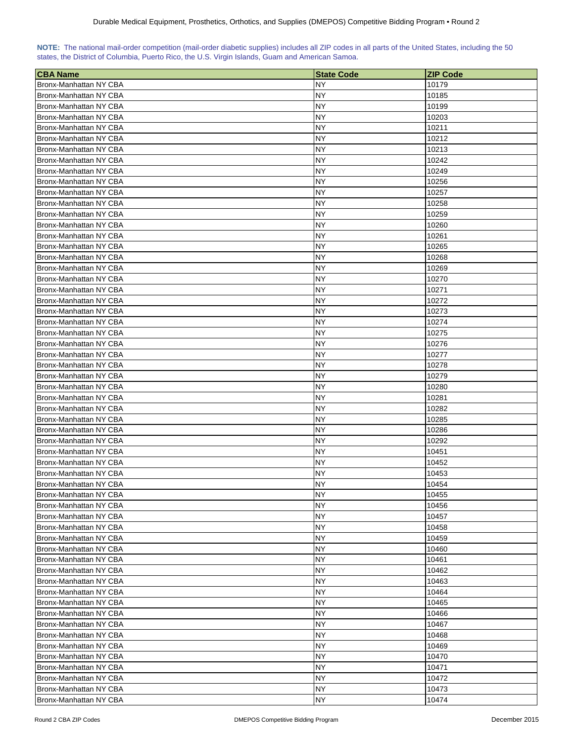| NOTE: The national mail-order competition (mail-order diabetic supplies) includes all ZIP codes in all parts of the United States, including the 50 |  |  |  |  |  |  |  |
|-----------------------------------------------------------------------------------------------------------------------------------------------------|--|--|--|--|--|--|--|
| states, the District of Columbia, Puerto Rico, the U.S. Virgin Islands, Guam and American Samoa.                                                    |  |  |  |  |  |  |  |

| <b>CBA Name</b>        | <b>State Code</b> | <b>ZIP Code</b> |
|------------------------|-------------------|-----------------|
| Bronx-Manhattan NY CBA | NY                | 10179           |
| Bronx-Manhattan NY CBA | NY                | 10185           |
| Bronx-Manhattan NY CBA | NY                | 10199           |
| Bronx-Manhattan NY CBA | NY                | 10203           |
| Bronx-Manhattan NY CBA | NΥ                | 10211           |
| Bronx-Manhattan NY CBA | NY                | 10212           |
| Bronx-Manhattan NY CBA | NΥ                | 10213           |
| Bronx-Manhattan NY CBA | ΝY                | 10242           |
| Bronx-Manhattan NY CBA | NY                | 10249           |
| Bronx-Manhattan NY CBA | <b>NY</b>         | 10256           |
| Bronx-Manhattan NY CBA | NY                | 10257           |
|                        |                   |                 |
| Bronx-Manhattan NY CBA | NY                | 10258           |
| Bronx-Manhattan NY CBA | <b>NY</b>         | 10259           |
| Bronx-Manhattan NY CBA | <b>NY</b>         | 10260           |
| Bronx-Manhattan NY CBA | <b>NY</b>         | 10261           |
| Bronx-Manhattan NY CBA | <b>NY</b>         | 10265           |
| Bronx-Manhattan NY CBA | NY                | 10268           |
| Bronx-Manhattan NY CBA | ΝY                | 10269           |
| Bronx-Manhattan NY CBA | <b>NY</b>         | 10270           |
| Bronx-Manhattan NY CBA | NY                | 10271           |
| Bronx-Manhattan NY CBA | <b>NY</b>         | 10272           |
| Bronx-Manhattan NY CBA | <b>NY</b>         | 10273           |
| Bronx-Manhattan NY CBA | <b>NY</b>         | 10274           |
| Bronx-Manhattan NY CBA | NY                | 10275           |
| Bronx-Manhattan NY CBA | <b>NY</b>         | 10276           |
| Bronx-Manhattan NY CBA | <b>NY</b>         | 10277           |
| Bronx-Manhattan NY CBA | <b>NY</b>         | 10278           |
| Bronx-Manhattan NY CBA | <b>NY</b>         | 10279           |
| Bronx-Manhattan NY CBA | <b>NY</b>         | 10280           |
| Bronx-Manhattan NY CBA | <b>NY</b>         | 10281           |
| Bronx-Manhattan NY CBA | ΝY                | 10282           |
| Bronx-Manhattan NY CBA | <b>NY</b>         | 10285           |
| Bronx-Manhattan NY CBA | NY                | 10286           |
| Bronx-Manhattan NY CBA | NY                | 10292           |
| Bronx-Manhattan NY CBA | <b>NY</b>         | 10451           |
| Bronx-Manhattan NY CBA | <b>NY</b>         | 10452           |
|                        | NY                |                 |
| Bronx-Manhattan NY CBA |                   | 10453           |
| Bronx-Manhattan NY CBA | <b>NY</b>         | 10454           |
| Bronx-Manhattan NY CBA | NY                | 10455           |
| Bronx-Manhattan NY CBA | <b>NY</b>         | 10456           |
| Bronx-Manhattan NY CBA | <b>NY</b>         | 10457           |
| Bronx-Manhattan NY CBA | <b>NY</b>         | 10458           |
| Bronx-Manhattan NY CBA | ΝY                | 10459           |
| Bronx-Manhattan NY CBA | NY                | 10460           |
| Bronx-Manhattan NY CBA | NY                | 10461           |
| Bronx-Manhattan NY CBA | <b>NY</b>         | 10462           |
| Bronx-Manhattan NY CBA | <b>NY</b>         | 10463           |
| Bronx-Manhattan NY CBA | <b>NY</b>         | 10464           |
| Bronx-Manhattan NY CBA | <b>NY</b>         | 10465           |
| Bronx-Manhattan NY CBA | <b>NY</b>         | 10466           |
| Bronx-Manhattan NY CBA | NY.               | 10467           |
| Bronx-Manhattan NY CBA | <b>NY</b>         | 10468           |
| Bronx-Manhattan NY CBA | <b>NY</b>         | 10469           |
| Bronx-Manhattan NY CBA | <b>NY</b>         | 10470           |
| Bronx-Manhattan NY CBA | NY                | 10471           |
| Bronx-Manhattan NY CBA | <b>NY</b>         | 10472           |
| Bronx-Manhattan NY CBA | <b>NY</b>         | 10473           |
| Bronx-Manhattan NY CBA | <b>NY</b>         | 10474           |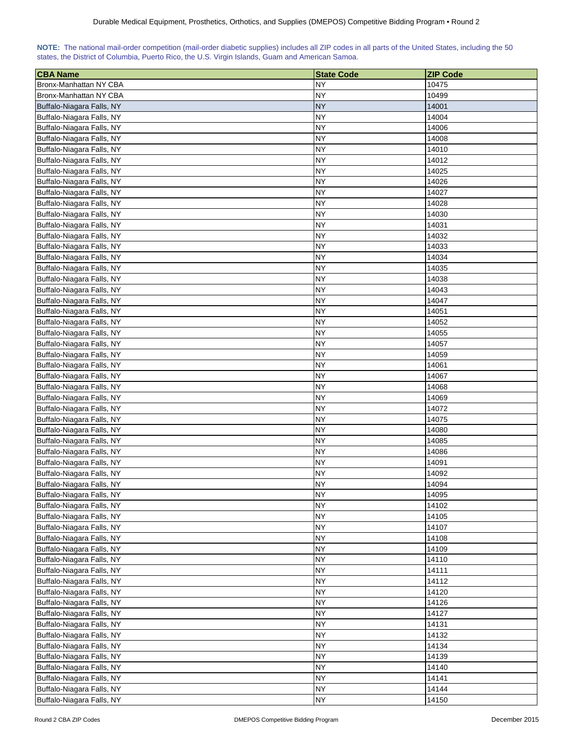| NOTE: The national mail-order competition (mail-order diabetic supplies) includes all ZIP codes in all parts of the United States, including the 50 |  |  |  |  |  |  |  |
|-----------------------------------------------------------------------------------------------------------------------------------------------------|--|--|--|--|--|--|--|
| states, the District of Columbia, Puerto Rico, the U.S. Virgin Islands, Guam and American Samoa.                                                    |  |  |  |  |  |  |  |

| <b>CBA Name</b>           | <b>State Code</b> | <b>ZIP Code</b> |
|---------------------------|-------------------|-----------------|
| Bronx-Manhattan NY CBA    | <b>NY</b>         | 10475           |
| Bronx-Manhattan NY CBA    | NY                | 10499           |
| Buffalo-Niagara Falls, NY | <b>NY</b>         | 14001           |
| Buffalo-Niagara Falls, NY | <b>NY</b>         | 14004           |
| Buffalo-Niagara Falls, NY | <b>NY</b>         | 14006           |
| Buffalo-Niagara Falls, NY | NΥ                | 14008           |
| Buffalo-Niagara Falls, NY | NΥ                | 14010           |
| Buffalo-Niagara Falls, NY | NY                | 14012           |
| Buffalo-Niagara Falls, NY | <b>NY</b>         | 14025           |
| Buffalo-Niagara Falls, NY | <b>NY</b>         | 14026           |
| Buffalo-Niagara Falls, NY | <b>NY</b>         | 14027           |
|                           | <b>NY</b>         |                 |
| Buffalo-Niagara Falls, NY | <b>NY</b>         | 14028           |
| Buffalo-Niagara Falls, NY |                   | 14030           |
| Buffalo-Niagara Falls, NY | <b>NY</b>         | 14031           |
| Buffalo-Niagara Falls, NY | <b>NY</b>         | 14032           |
| Buffalo-Niagara Falls, NY | <b>NY</b>         | 14033           |
| Buffalo-Niagara Falls, NY | <b>NY</b>         | 14034           |
| Buffalo-Niagara Falls, NY | NY                | 14035           |
| Buffalo-Niagara Falls, NY | <b>NY</b>         | 14038           |
| Buffalo-Niagara Falls, NY | NY                | 14043           |
| Buffalo-Niagara Falls, NY | <b>NY</b>         | 14047           |
| Buffalo-Niagara Falls, NY | <b>NY</b>         | 14051           |
| Buffalo-Niagara Falls, NY | <b>NY</b>         | 14052           |
| Buffalo-Niagara Falls, NY | <b>NY</b>         | 14055           |
| Buffalo-Niagara Falls, NY | <b>NY</b>         | 14057           |
| Buffalo-Niagara Falls, NY | <b>NY</b>         | 14059           |
| Buffalo-Niagara Falls, NY | <b>NY</b>         | 14061           |
| Buffalo-Niagara Falls, NY | <b>NY</b>         | 14067           |
| Buffalo-Niagara Falls, NY | <b>NY</b>         | 14068           |
| Buffalo-Niagara Falls, NY | <b>NY</b>         | 14069           |
| Buffalo-Niagara Falls, NY | NY                | 14072           |
| Buffalo-Niagara Falls, NY | <b>NY</b>         | 14075           |
| Buffalo-Niagara Falls, NY | NY                | 14080           |
| Buffalo-Niagara Falls, NY | <b>NY</b>         | 14085           |
| Buffalo-Niagara Falls, NY | <b>NY</b>         | 14086           |
| Buffalo-Niagara Falls, NY | <b>NY</b>         | 14091           |
|                           | <b>NY</b>         | 14092           |
| Buffalo-Niagara Falls, NY | <b>NY</b>         | 14094           |
| Buffalo-Niagara Falls, NY |                   |                 |
| Buffalo-Niagara Falls, NY | <b>NY</b>         | 14095           |
| Buffalo-Niagara Falls, NY | <b>NY</b>         | 14102           |
| Buffalo-Niagara Falls, NY | <b>NY</b>         | 14105           |
| Buffalo-Niagara Falls, NY | <b>NY</b>         | 14107           |
| Buffalo-Niagara Falls, NY | <b>NY</b>         | 14108           |
| Buffalo-Niagara Falls, NY | <b>NY</b>         | 14109           |
| Buffalo-Niagara Falls, NY | NY                | 14110           |
| Buffalo-Niagara Falls, NY | <b>NY</b>         | 14111           |
| Buffalo-Niagara Falls, NY | <b>NY</b>         | 14112           |
| Buffalo-Niagara Falls, NY | <b>NY</b>         | 14120           |
| Buffalo-Niagara Falls, NY | <b>NY</b>         | 14126           |
| Buffalo-Niagara Falls, NY | <b>NY</b>         | 14127           |
| Buffalo-Niagara Falls, NY | <b>NY</b>         | 14131           |
| Buffalo-Niagara Falls, NY | <b>NY</b>         | 14132           |
| Buffalo-Niagara Falls, NY | <b>NY</b>         | 14134           |
| Buffalo-Niagara Falls, NY | <b>NY</b>         | 14139           |
| Buffalo-Niagara Falls, NY | <b>NY</b>         | 14140           |
| Buffalo-Niagara Falls, NY | <b>NY</b>         | 14141           |
| Buffalo-Niagara Falls, NY | <b>NY</b>         | 14144           |
| Buffalo-Niagara Falls, NY | <b>NY</b>         | 14150           |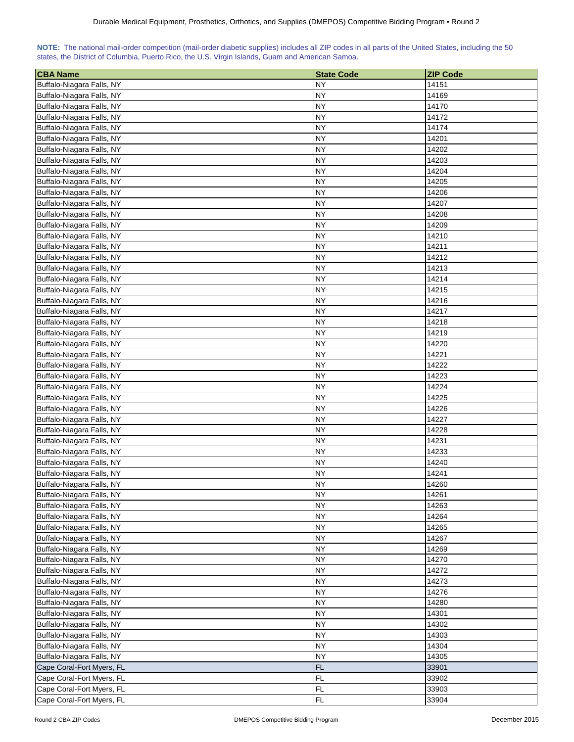| NOTE: The national mail-order competition (mail-order diabetic supplies) includes all ZIP codes in all parts of the United States, including the 50 |  |  |  |  |  |  |  |
|-----------------------------------------------------------------------------------------------------------------------------------------------------|--|--|--|--|--|--|--|
| states, the District of Columbia, Puerto Rico, the U.S. Virgin Islands, Guam and American Samoa.                                                    |  |  |  |  |  |  |  |

| <b>CBA Name</b>           | <b>State Code</b> | <b>ZIP Code</b> |
|---------------------------|-------------------|-----------------|
| Buffalo-Niagara Falls, NY | <b>NY</b>         | 14151           |
| Buffalo-Niagara Falls, NY | NY                | 14169           |
| Buffalo-Niagara Falls, NY | <b>NY</b>         | 14170           |
| Buffalo-Niagara Falls, NY | <b>NY</b>         | 14172           |
| Buffalo-Niagara Falls, NY | <b>NY</b>         | 14174           |
| Buffalo-Niagara Falls, NY | NΥ                | 14201           |
| Buffalo-Niagara Falls, NY | <b>NY</b>         | 14202           |
| Buffalo-Niagara Falls, NY | NY                | 14203           |
| Buffalo-Niagara Falls, NY | <b>NY</b>         | 14204           |
| Buffalo-Niagara Falls, NY | <b>NY</b>         | 14205           |
| Buffalo-Niagara Falls, NY | <b>NY</b>         | 14206           |
| Buffalo-Niagara Falls, NY | <b>NY</b>         | 14207           |
| Buffalo-Niagara Falls, NY | <b>NY</b>         | 14208           |
|                           | <b>NY</b>         |                 |
| Buffalo-Niagara Falls, NY |                   | 14209           |
| Buffalo-Niagara Falls, NY | <b>NY</b>         | 14210           |
| Buffalo-Niagara Falls, NY | <b>NY</b>         | 14211           |
| Buffalo-Niagara Falls, NY | <b>NY</b>         | 14212           |
| Buffalo-Niagara Falls, NY | NY                | 14213           |
| Buffalo-Niagara Falls, NY | <b>NY</b>         | 14214           |
| Buffalo-Niagara Falls, NY | NY                | 14215           |
| Buffalo-Niagara Falls, NY | <b>NY</b>         | 14216           |
| Buffalo-Niagara Falls, NY | <b>NY</b>         | 14217           |
| Buffalo-Niagara Falls, NY | <b>NY</b>         | 14218           |
| Buffalo-Niagara Falls, NY | <b>NY</b>         | 14219           |
| Buffalo-Niagara Falls, NY | <b>NY</b>         | 14220           |
| Buffalo-Niagara Falls, NY | <b>NY</b>         | 14221           |
| Buffalo-Niagara Falls, NY | <b>NY</b>         | 14222           |
| Buffalo-Niagara Falls, NY | <b>NY</b>         | 14223           |
| Buffalo-Niagara Falls, NY | <b>NY</b>         | 14224           |
| Buffalo-Niagara Falls, NY | <b>NY</b>         | 14225           |
| Buffalo-Niagara Falls, NY | NY                | 14226           |
| Buffalo-Niagara Falls, NY | <b>NY</b>         | 14227           |
| Buffalo-Niagara Falls, NY | <b>NY</b>         | 14228           |
| Buffalo-Niagara Falls, NY | <b>NY</b>         | 14231           |
| Buffalo-Niagara Falls, NY | <b>NY</b>         | 14233           |
| Buffalo-Niagara Falls, NY | <b>NY</b>         | 14240           |
| Buffalo-Niagara Falls, NY | <b>NY</b>         | 14241           |
| Buffalo-Niagara Falls, NY | <b>NY</b>         | 14260           |
| Buffalo-Niagara Falls, NY | <b>NY</b>         | 14261           |
| Buffalo-Niagara Falls, NY | <b>NY</b>         | 14263           |
| Buffalo-Niagara Falls, NY | <b>NY</b>         | 14264           |
| Buffalo-Niagara Falls, NY | <b>NY</b>         | 14265           |
| Buffalo-Niagara Falls, NY | <b>NY</b>         | 14267           |
| Buffalo-Niagara Falls, NY | <b>NY</b>         | 14269           |
| Buffalo-Niagara Falls, NY | ΝY                | 14270           |
| Buffalo-Niagara Falls, NY | <b>NY</b>         | 14272           |
|                           |                   |                 |
| Buffalo-Niagara Falls, NY | <b>NY</b>         | 14273           |
| Buffalo-Niagara Falls, NY | <b>NY</b>         | 14276           |
| Buffalo-Niagara Falls, NY | <b>NY</b>         | 14280           |
| Buffalo-Niagara Falls, NY | <b>NY</b>         | 14301           |
| Buffalo-Niagara Falls, NY | <b>NY</b>         | 14302           |
| Buffalo-Niagara Falls, NY | <b>NY</b>         | 14303           |
| Buffalo-Niagara Falls, NY | <b>NY</b>         | 14304           |
| Buffalo-Niagara Falls, NY | <b>NY</b>         | 14305           |
| Cape Coral-Fort Myers, FL | <b>FL</b>         | 33901           |
| Cape Coral-Fort Myers, FL | <b>FL</b>         | 33902           |
| Cape Coral-Fort Myers, FL | <b>FL</b>         | 33903           |
| Cape Coral-Fort Myers, FL | <b>FL</b>         | 33904           |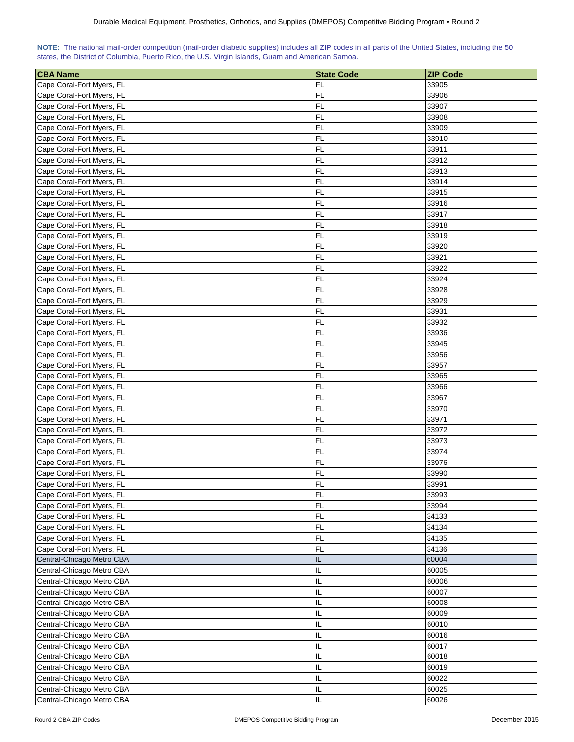| NOTE: The national mail-order competition (mail-order diabetic supplies) includes all ZIP codes in all parts of the United States, including the 50 |  |  |  |  |  |  |  |
|-----------------------------------------------------------------------------------------------------------------------------------------------------|--|--|--|--|--|--|--|
| states, the District of Columbia, Puerto Rico, the U.S. Virgin Islands, Guam and American Samoa.                                                    |  |  |  |  |  |  |  |

| <b>CBA Name</b>           | <b>State Code</b> | <b>ZIP Code</b> |
|---------------------------|-------------------|-----------------|
| Cape Coral-Fort Myers, FL | FL                | 33905           |
| Cape Coral-Fort Myers, FL | FL                | 33906           |
| Cape Coral-Fort Myers, FL | FL                | 33907           |
| Cape Coral-Fort Myers, FL | FL                | 33908           |
| Cape Coral-Fort Myers, FL | FL                | 33909           |
| Cape Coral-Fort Myers, FL | FL                | 33910           |
| Cape Coral-Fort Myers, FL | FL                | 33911           |
| Cape Coral-Fort Myers, FL | FL                | 33912           |
| Cape Coral-Fort Myers, FL | FL                | 33913           |
| Cape Coral-Fort Myers, FL | FL                | 33914           |
| Cape Coral-Fort Myers, FL | FL                | 33915           |
| Cape Coral-Fort Myers, FL | FL                | 33916           |
| Cape Coral-Fort Myers, FL | FL                | 33917           |
| Cape Coral-Fort Myers, FL | FL                | 33918           |
| Cape Coral-Fort Myers, FL | FL                | 33919           |
| Cape Coral-Fort Myers, FL | FL                | 33920           |
| Cape Coral-Fort Myers, FL | FL                | 33921           |
| Cape Coral-Fort Myers, FL | FL                | 33922           |
| Cape Coral-Fort Myers, FL | FL                | 33924           |
| Cape Coral-Fort Myers, FL | FL                | 33928           |
| Cape Coral-Fort Myers, FL | <b>FL</b>         | 33929           |
| Cape Coral-Fort Myers, FL | FL                | 33931           |
| Cape Coral-Fort Myers, FL | FL                | 33932           |
| Cape Coral-Fort Myers, FL | FL                | 33936           |
| Cape Coral-Fort Myers, FL | FL                | 33945           |
| Cape Coral-Fort Myers, FL | FL                | 33956           |
| Cape Coral-Fort Myers, FL | FL                | 33957           |
| Cape Coral-Fort Myers, FL | FL                | 33965           |
| Cape Coral-Fort Myers, FL | FL                | 33966           |
| Cape Coral-Fort Myers, FL | FL                | 33967           |
| Cape Coral-Fort Myers, FL | FL                | 33970           |
| Cape Coral-Fort Myers, FL | FL                | 33971           |
| Cape Coral-Fort Myers, FL | FL                | 33972           |
| Cape Coral-Fort Myers, FL | FL                | 33973           |
| Cape Coral-Fort Myers, FL | FL                | 33974           |
| Cape Coral-Fort Myers, FL | FL                | 33976           |
| Cape Coral-Fort Myers, FL | <b>FL</b>         | 33990           |
| Cape Coral-Fort Myers, FL | FL                | 33991           |
| Cape Coral-Fort Myers, FL | <b>FL</b>         | 33993           |
| Cape Coral-Fort Myers, FL | FL                | 33994           |
| Cape Coral-Fort Myers, FL | <b>FL</b>         | 34133           |
| Cape Coral-Fort Myers, FL | <b>FL</b>         | 34134           |
| Cape Coral-Fort Myers, FL | FL                | 34135           |
| Cape Coral-Fort Myers, FL | <b>FL</b>         | 34136           |
| Central-Chicago Metro CBA | IL                | 60004           |
| Central-Chicago Metro CBA | IL                | 60005           |
| Central-Chicago Metro CBA | IL                | 60006           |
| Central-Chicago Metro CBA | IL                | 60007           |
| Central-Chicago Metro CBA | IL                | 60008           |
| Central-Chicago Metro CBA | IL                | 60009           |
| Central-Chicago Metro CBA | IL                | 60010           |
| Central-Chicago Metro CBA | IL                | 60016           |
| Central-Chicago Metro CBA | IL                | 60017           |
| Central-Chicago Metro CBA | IL                | 60018           |
| Central-Chicago Metro CBA | IL                | 60019           |
| Central-Chicago Metro CBA | IL                | 60022           |
| Central-Chicago Metro CBA | IL                | 60025           |
| Central-Chicago Metro CBA | IL                | 60026           |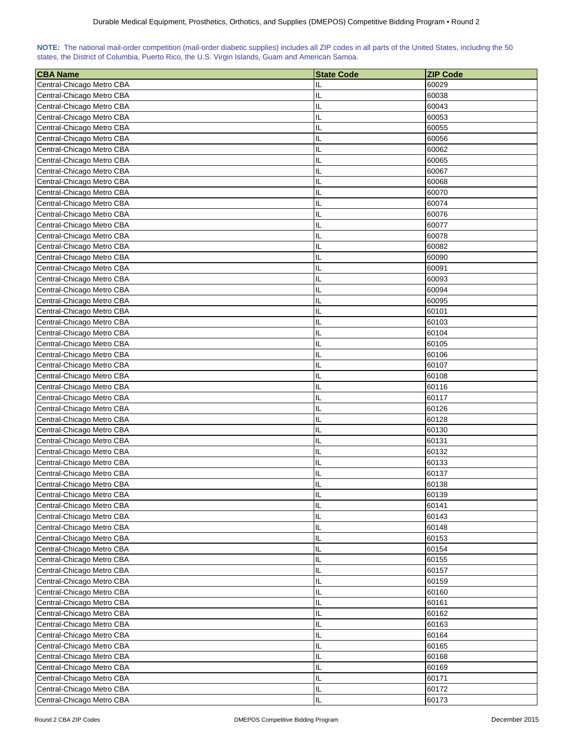| NOTE: The national mail-order competition (mail-order diabetic supplies) includes all ZIP codes in all parts of the United States, including the 50 |  |  |  |  |  |  |  |
|-----------------------------------------------------------------------------------------------------------------------------------------------------|--|--|--|--|--|--|--|
| states, the District of Columbia, Puerto Rico, the U.S. Virgin Islands, Guam and American Samoa.                                                    |  |  |  |  |  |  |  |

| <b>CBA Name</b>                                        | <b>State Code</b> | <b>ZIP Code</b> |
|--------------------------------------------------------|-------------------|-----------------|
| Central-Chicago Metro CBA                              | IL                | 60029           |
| Central-Chicago Metro CBA                              | IL                | 60038           |
| Central-Chicago Metro CBA                              | IL                | 60043           |
| Central-Chicago Metro CBA                              | IL                | 60053           |
| Central-Chicago Metro CBA                              | IL                | 60055           |
| Central-Chicago Metro CBA                              | IL                | 60056           |
| Central-Chicago Metro CBA                              | IL                | 60062           |
|                                                        | IL                |                 |
| Central-Chicago Metro CBA<br>Central-Chicago Metro CBA | IL                | 60065<br>60067  |
| Central-Chicago Metro CBA                              | IL                | 60068           |
|                                                        |                   |                 |
| Central-Chicago Metro CBA                              | IL                | 60070           |
| Central-Chicago Metro CBA                              | IL                | 60074           |
| Central-Chicago Metro CBA                              | IL                | 60076           |
| Central-Chicago Metro CBA                              | IL                | 60077           |
| Central-Chicago Metro CBA                              | IL                | 60078           |
| Central-Chicago Metro CBA                              | IL                | 60082           |
| Central-Chicago Metro CBA                              | IL                | 60090           |
| Central-Chicago Metro CBA                              | IL                | 60091           |
| Central-Chicago Metro CBA                              | IL                | 60093           |
| Central-Chicago Metro CBA                              | IL                | 60094           |
| Central-Chicago Metro CBA                              | IL                | 60095           |
| Central-Chicago Metro CBA                              | IL                | 60101           |
| Central-Chicago Metro CBA                              | IL                | 60103           |
| Central-Chicago Metro CBA                              | IL                | 60104           |
| Central-Chicago Metro CBA                              | IL                | 60105           |
| Central-Chicago Metro CBA                              | IL                | 60106           |
| Central-Chicago Metro CBA                              | IL                | 60107           |
| Central-Chicago Metro CBA                              | IL                | 60108           |
| Central-Chicago Metro CBA                              | IL                | 60116           |
| Central-Chicago Metro CBA                              | IL                | 60117           |
| Central-Chicago Metro CBA                              | IL                | 60126           |
| Central-Chicago Metro CBA                              | IL                | 60128           |
| Central-Chicago Metro CBA                              | IL                | 60130           |
| Central-Chicago Metro CBA                              | IL                | 60131           |
| Central-Chicago Metro CBA                              | IL                | 60132           |
| Central-Chicago Metro CBA                              | IL                | 60133           |
| Central-Chicago Metro CBA                              | IL                | 60137           |
| Central-Chicago Metro CBA                              | Ш                 | 60138           |
| Central-Chicago Metro CBA                              | IL                | 60139           |
| Central-Chicago Metro CBA                              | IL                | 60141           |
| Central-Chicago Metro CBA                              | IL                | 60143           |
| Central-Chicago Metro CBA                              | IL                | 60148           |
| Central-Chicago Metro CBA                              | IL                | 60153           |
| Central-Chicago Metro CBA                              | IL                | 60154           |
| Central-Chicago Metro CBA                              | IL                | 60155           |
| Central-Chicago Metro CBA                              | IL                | 60157           |
| Central-Chicago Metro CBA                              | IL                | 60159           |
| Central-Chicago Metro CBA                              | IL                | 60160           |
| Central-Chicago Metro CBA                              | IL                | 60161           |
| Central-Chicago Metro CBA                              | IL                | 60162           |
| Central-Chicago Metro CBA                              | IL                | 60163           |
| Central-Chicago Metro CBA                              | IL                | 60164           |
| Central-Chicago Metro CBA                              | IL                | 60165           |
| Central-Chicago Metro CBA                              | IL                | 60168           |
| Central-Chicago Metro CBA                              | IL                | 60169           |
| Central-Chicago Metro CBA                              | IL                | 60171           |
| Central-Chicago Metro CBA                              | IL                | 60172           |
| Central-Chicago Metro CBA                              | IL                | 60173           |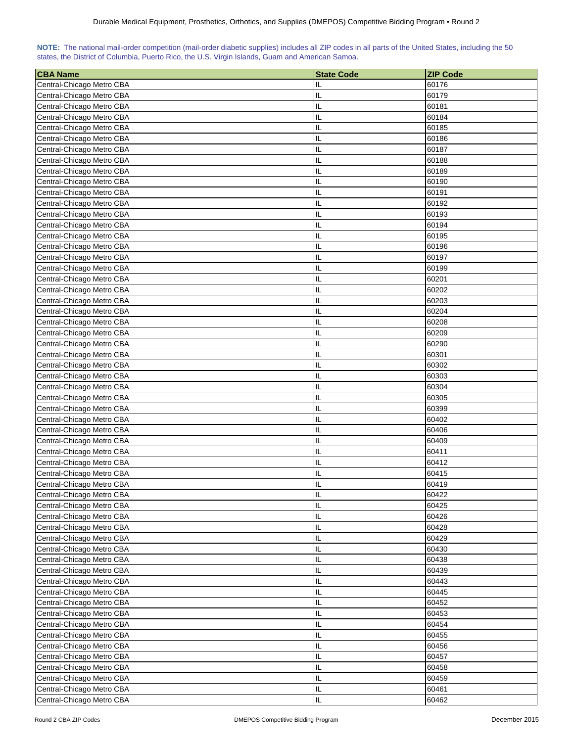| NOTE: The national mail-order competition (mail-order diabetic supplies) includes all ZIP codes in all parts of the United States, including the 50 |  |  |  |  |  |  |  |
|-----------------------------------------------------------------------------------------------------------------------------------------------------|--|--|--|--|--|--|--|
| states, the District of Columbia, Puerto Rico, the U.S. Virgin Islands, Guam and American Samoa.                                                    |  |  |  |  |  |  |  |

| <b>CBA Name</b>           | <b>State Code</b> | <b>ZIP Code</b> |
|---------------------------|-------------------|-----------------|
| Central-Chicago Metro CBA | IL                | 60176           |
| Central-Chicago Metro CBA | IL                | 60179           |
| Central-Chicago Metro CBA | IL                | 60181           |
| Central-Chicago Metro CBA | IL                | 60184           |
| Central-Chicago Metro CBA | IL                | 60185           |
| Central-Chicago Metro CBA | IL                | 60186           |
| Central-Chicago Metro CBA | IL                | 60187           |
| Central-Chicago Metro CBA | IL                | 60188           |
| Central-Chicago Metro CBA | IL                | 60189           |
| Central-Chicago Metro CBA | IL                | 60190           |
| Central-Chicago Metro CBA | IL                | 60191           |
| Central-Chicago Metro CBA | IL                | 60192           |
|                           |                   | 60193           |
| Central-Chicago Metro CBA | IL                |                 |
| Central-Chicago Metro CBA | IL                | 60194           |
| Central-Chicago Metro CBA | IL                | 60195           |
| Central-Chicago Metro CBA | IL                | 60196           |
| Central-Chicago Metro CBA | IL                | 60197           |
| Central-Chicago Metro CBA | IL                | 60199           |
| Central-Chicago Metro CBA | IL                | 60201           |
| Central-Chicago Metro CBA | IL                | 60202           |
| Central-Chicago Metro CBA | IL                | 60203           |
| Central-Chicago Metro CBA | IL                | 60204           |
| Central-Chicago Metro CBA | IL                | 60208           |
| Central-Chicago Metro CBA | IL                | 60209           |
| Central-Chicago Metro CBA | IL                | 60290           |
| Central-Chicago Metro CBA | IL                | 60301           |
| Central-Chicago Metro CBA | IL                | 60302           |
| Central-Chicago Metro CBA | IL                | 60303           |
| Central-Chicago Metro CBA | IL                | 60304           |
| Central-Chicago Metro CBA | IL                | 60305           |
| Central-Chicago Metro CBA | IL                | 60399           |
| Central-Chicago Metro CBA | IL                | 60402           |
| Central-Chicago Metro CBA | IL                | 60406           |
| Central-Chicago Metro CBA | IL                | 60409           |
| Central-Chicago Metro CBA | IL                | 60411           |
| Central-Chicago Metro CBA | IL                | 60412           |
| Central-Chicago Metro CBA | IL                | 60415           |
| Central-Chicago Metro CBA | П                 | 60419           |
| Central-Chicago Metro CBA | IL                | 60422           |
| Central-Chicago Metro CBA | IL                | 60425           |
| Central-Chicago Metro CBA | IL                | 60426           |
| Central-Chicago Metro CBA | IL                | 60428           |
| Central-Chicago Metro CBA | IL                | 60429           |
| Central-Chicago Metro CBA | IL                | 60430           |
| Central-Chicago Metro CBA | IL                | 60438           |
| Central-Chicago Metro CBA | IL                | 60439           |
| Central-Chicago Metro CBA | IL                | 60443           |
| Central-Chicago Metro CBA | IL                | 60445           |
| Central-Chicago Metro CBA | IL                | 60452           |
| Central-Chicago Metro CBA | IL                | 60453           |
| Central-Chicago Metro CBA | IL                | 60454           |
| Central-Chicago Metro CBA | IL                | 60455           |
| Central-Chicago Metro CBA | IL                | 60456           |
| Central-Chicago Metro CBA | IL                | 60457           |
| Central-Chicago Metro CBA | IL                | 60458           |
| Central-Chicago Metro CBA | IL                | 60459           |
| Central-Chicago Metro CBA | IL                | 60461           |
| Central-Chicago Metro CBA | IL                | 60462           |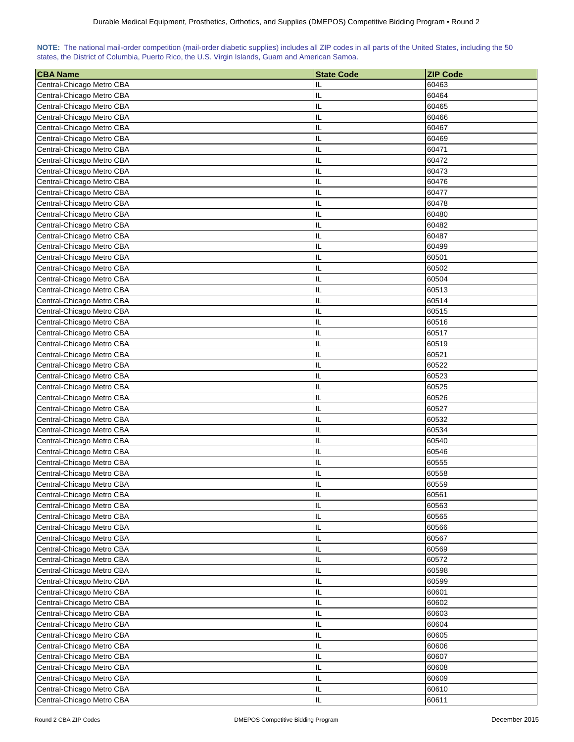| NOTE: The national mail-order competition (mail-order diabetic supplies) includes all ZIP codes in all parts of the United States, including the 50 |  |  |  |  |  |  |  |
|-----------------------------------------------------------------------------------------------------------------------------------------------------|--|--|--|--|--|--|--|
| states, the District of Columbia, Puerto Rico, the U.S. Virgin Islands, Guam and American Samoa.                                                    |  |  |  |  |  |  |  |

| <b>CBA Name</b>                                        | <b>State Code</b> | <b>ZIP Code</b> |
|--------------------------------------------------------|-------------------|-----------------|
| Central-Chicago Metro CBA                              | IL                | 60463           |
| Central-Chicago Metro CBA                              | IL                | 60464           |
| Central-Chicago Metro CBA                              | IL                | 60465           |
| Central-Chicago Metro CBA                              | IL                | 60466           |
| Central-Chicago Metro CBA                              | IL                | 60467           |
| Central-Chicago Metro CBA                              | IL                | 60469           |
| Central-Chicago Metro CBA                              | IL                | 60471           |
|                                                        | IL                |                 |
| Central-Chicago Metro CBA<br>Central-Chicago Metro CBA | IL                | 60472<br>60473  |
|                                                        |                   |                 |
| Central-Chicago Metro CBA                              | IL                | 60476           |
| Central-Chicago Metro CBA                              | IL                | 60477           |
| Central-Chicago Metro CBA                              | IL                | 60478           |
| Central-Chicago Metro CBA                              | IL                | 60480           |
| Central-Chicago Metro CBA                              | IL                | 60482           |
| Central-Chicago Metro CBA                              | IL                | 60487           |
| Central-Chicago Metro CBA                              | IL                | 60499           |
| Central-Chicago Metro CBA                              | IL                | 60501           |
| Central-Chicago Metro CBA                              | IL                | 60502           |
| Central-Chicago Metro CBA                              | IL                | 60504           |
| Central-Chicago Metro CBA                              | IL                | 60513           |
| Central-Chicago Metro CBA                              | IL                | 60514           |
| Central-Chicago Metro CBA                              | IL                | 60515           |
| Central-Chicago Metro CBA                              | IL                | 60516           |
| Central-Chicago Metro CBA                              | IL                | 60517           |
| Central-Chicago Metro CBA                              | IL                | 60519           |
| Central-Chicago Metro CBA                              | IL                | 60521           |
| Central-Chicago Metro CBA                              | IL                | 60522           |
| Central-Chicago Metro CBA                              | IL                | 60523           |
| Central-Chicago Metro CBA                              | IL                | 60525           |
| Central-Chicago Metro CBA                              | IL                | 60526           |
| Central-Chicago Metro CBA                              | IL                | 60527           |
| Central-Chicago Metro CBA                              | IL                | 60532           |
| Central-Chicago Metro CBA                              | IL                | 60534           |
| Central-Chicago Metro CBA                              | IL                | 60540           |
| Central-Chicago Metro CBA                              | IL                | 60546           |
| Central-Chicago Metro CBA                              | IL                | 60555           |
| Central-Chicago Metro CBA                              | IL                | 60558           |
| Central-Chicago Metro CBA                              | Ш                 | 60559           |
| Central-Chicago Metro CBA                              | IL                | 60561           |
| Central-Chicago Metro CBA                              | IL                | 60563           |
| Central-Chicago Metro CBA                              | IL                | 60565           |
| Central-Chicago Metro CBA                              | IL                | 60566           |
| Central-Chicago Metro CBA                              | IL                | 60567           |
| Central-Chicago Metro CBA                              | IL                | 60569           |
| Central-Chicago Metro CBA                              | IL                | 60572           |
| Central-Chicago Metro CBA                              | IL                | 60598           |
| Central-Chicago Metro CBA                              | IL                | 60599           |
| Central-Chicago Metro CBA                              | IL                | 60601           |
| Central-Chicago Metro CBA                              | IL                | 60602           |
| Central-Chicago Metro CBA                              | IL                | 60603           |
| Central-Chicago Metro CBA                              | IL                | 60604           |
| Central-Chicago Metro CBA                              | IL                | 60605           |
| Central-Chicago Metro CBA                              | IL                | 60606           |
| Central-Chicago Metro CBA                              | IL                | 60607           |
| Central-Chicago Metro CBA                              | IL                | 60608           |
| Central-Chicago Metro CBA                              | IL                | 60609           |
| Central-Chicago Metro CBA                              | IL                | 60610           |
| Central-Chicago Metro CBA                              | IL                | 60611           |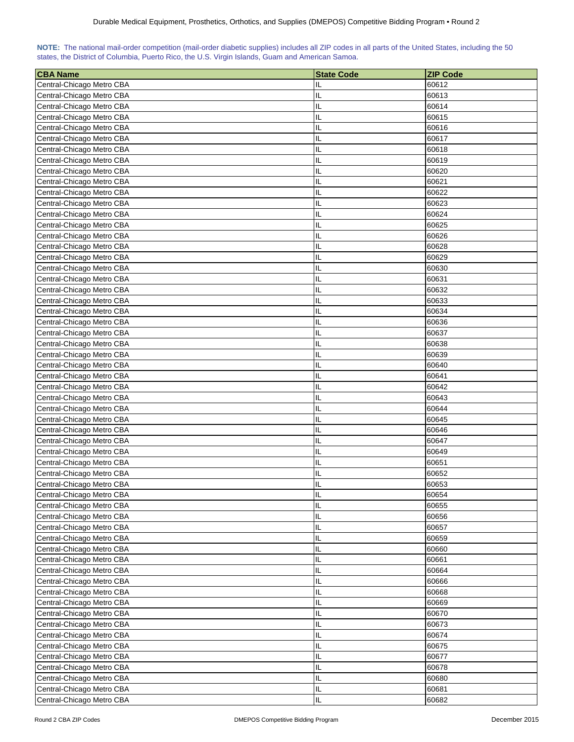| NOTE: The national mail-order competition (mail-order diabetic supplies) includes all ZIP codes in all parts of the United States, including the 50 |  |  |  |  |  |  |  |
|-----------------------------------------------------------------------------------------------------------------------------------------------------|--|--|--|--|--|--|--|
| states, the District of Columbia, Puerto Rico, the U.S. Virgin Islands, Guam and American Samoa.                                                    |  |  |  |  |  |  |  |

| <b>CBA Name</b>           | <b>State Code</b> | <b>ZIP Code</b> |
|---------------------------|-------------------|-----------------|
| Central-Chicago Metro CBA | IL                | 60612           |
| Central-Chicago Metro CBA | IL                | 60613           |
| Central-Chicago Metro CBA | IL                | 60614           |
| Central-Chicago Metro CBA | IL                | 60615           |
| Central-Chicago Metro CBA | IL                | 60616           |
| Central-Chicago Metro CBA | IL                | 60617           |
| Central-Chicago Metro CBA | IL                | 60618           |
| Central-Chicago Metro CBA | IL                | 60619           |
| Central-Chicago Metro CBA | IL                | 60620           |
| Central-Chicago Metro CBA | IL                | 60621           |
| Central-Chicago Metro CBA | IL                | 60622           |
| Central-Chicago Metro CBA | IL                | 60623           |
|                           |                   | 60624           |
| Central-Chicago Metro CBA | IL                |                 |
| Central-Chicago Metro CBA | IL                | 60625           |
| Central-Chicago Metro CBA | IL                | 60626           |
| Central-Chicago Metro CBA | IL                | 60628           |
| Central-Chicago Metro CBA | IL                | 60629           |
| Central-Chicago Metro CBA | IL                | 60630           |
| Central-Chicago Metro CBA | IL                | 60631           |
| Central-Chicago Metro CBA | IL                | 60632           |
| Central-Chicago Metro CBA | IL                | 60633           |
| Central-Chicago Metro CBA | IL                | 60634           |
| Central-Chicago Metro CBA | IL                | 60636           |
| Central-Chicago Metro CBA | IL                | 60637           |
| Central-Chicago Metro CBA | IL                | 60638           |
| Central-Chicago Metro CBA | IL                | 60639           |
| Central-Chicago Metro CBA | IL                | 60640           |
| Central-Chicago Metro CBA | IL                | 60641           |
| Central-Chicago Metro CBA | IL                | 60642           |
| Central-Chicago Metro CBA | IL                | 60643           |
| Central-Chicago Metro CBA | IL                | 60644           |
| Central-Chicago Metro CBA | IL                | 60645           |
| Central-Chicago Metro CBA | IL                | 60646           |
| Central-Chicago Metro CBA | IL                | 60647           |
| Central-Chicago Metro CBA | IL                | 60649           |
| Central-Chicago Metro CBA | IL                | 60651           |
| Central-Chicago Metro CBA | IL<br>Ш           | 60652           |
| Central-Chicago Metro CBA |                   | 60653           |
| Central-Chicago Metro CBA | IL                | 60654           |
| Central-Chicago Metro CBA | IL                | 60655           |
| Central-Chicago Metro CBA | IL                | 60656           |
| Central-Chicago Metro CBA | IL                | 60657           |
| Central-Chicago Metro CBA | IL                | 60659           |
| Central-Chicago Metro CBA | IL                | 60660           |
| Central-Chicago Metro CBA | IL                | 60661           |
| Central-Chicago Metro CBA | IL                | 60664           |
| Central-Chicago Metro CBA | IL                | 60666           |
| Central-Chicago Metro CBA | IL                | 60668           |
| Central-Chicago Metro CBA | IL                | 60669           |
| Central-Chicago Metro CBA | IL                | 60670           |
| Central-Chicago Metro CBA | IL                | 60673           |
| Central-Chicago Metro CBA | IL                | 60674           |
| Central-Chicago Metro CBA | IL                | 60675           |
| Central-Chicago Metro CBA | IL                | 60677           |
| Central-Chicago Metro CBA | IL                | 60678           |
| Central-Chicago Metro CBA | IL                | 60680           |
| Central-Chicago Metro CBA | IL                | 60681           |
| Central-Chicago Metro CBA | IL                | 60682           |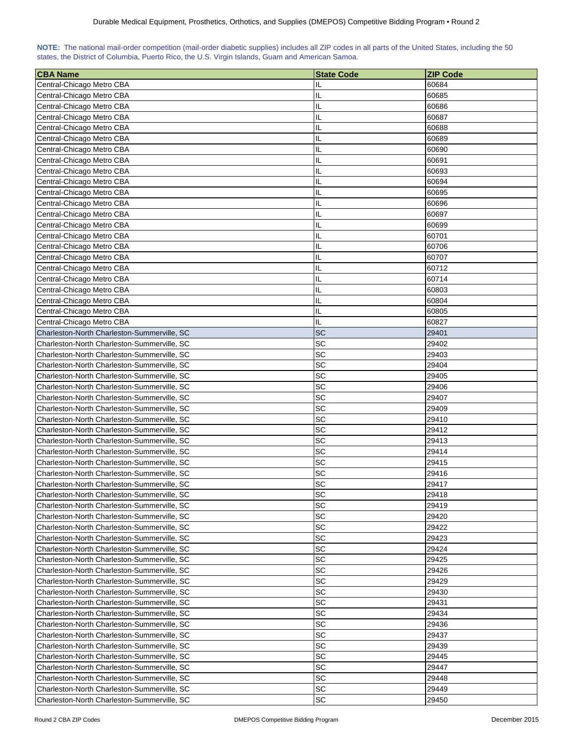| NOTE: The national mail-order competition (mail-order diabetic supplies) includes all ZIP codes in all parts of the United States, including the 50 |  |  |  |  |  |  |  |
|-----------------------------------------------------------------------------------------------------------------------------------------------------|--|--|--|--|--|--|--|
| states, the District of Columbia, Puerto Rico, the U.S. Virgin Islands, Guam and American Samoa.                                                    |  |  |  |  |  |  |  |

| <b>CBA Name</b>                             | <b>State Code</b> | <b>ZIP Code</b> |
|---------------------------------------------|-------------------|-----------------|
| Central-Chicago Metro CBA                   | IL                | 60684           |
| Central-Chicago Metro CBA                   | IL                | 60685           |
| Central-Chicago Metro CBA                   | IL                | 60686           |
| Central-Chicago Metro CBA                   | IL                | 60687           |
| Central-Chicago Metro CBA                   | IL                | 60688           |
| Central-Chicago Metro CBA                   | IL                | 60689           |
| Central-Chicago Metro CBA                   | IL                | 60690           |
| Central-Chicago Metro CBA                   | IL                | 60691           |
| Central-Chicago Metro CBA                   | IL                | 60693           |
| Central-Chicago Metro CBA                   | IL                | 60694           |
| Central-Chicago Metro CBA                   | IL                | 60695           |
| Central-Chicago Metro CBA                   | IL                | 60696           |
|                                             | IL                | 60697           |
| Central-Chicago Metro CBA                   | IL                |                 |
| Central-Chicago Metro CBA                   |                   | 60699           |
| Central-Chicago Metro CBA                   | IL                | 60701           |
| Central-Chicago Metro CBA                   | IL                | 60706           |
| Central-Chicago Metro CBA                   | IL                | 60707           |
| Central-Chicago Metro CBA                   | IL                | 60712           |
| Central-Chicago Metro CBA                   | IL                | 60714           |
| Central-Chicago Metro CBA                   | IL                | 60803           |
| Central-Chicago Metro CBA                   | IL                | 60804           |
| Central-Chicago Metro CBA                   | IL                | 60805           |
| Central-Chicago Metro CBA                   | IL                | 60827           |
| Charleston-North Charleston-Summerville, SC | <b>SC</b>         | 29401           |
| Charleston-North Charleston-Summerville, SC | SC                | 29402           |
| Charleston-North Charleston-Summerville, SC | SC                | 29403           |
| Charleston-North Charleston-Summerville, SC | SC                | 29404           |
| Charleston-North Charleston-Summerville, SC | SC                | 29405           |
| Charleston-North Charleston-Summerville, SC | SC                | 29406           |
| Charleston-North Charleston-Summerville, SC | SC                | 29407           |
| Charleston-North Charleston-Summerville, SC | SC                | 29409           |
| Charleston-North Charleston-Summerville, SC | SC                | 29410           |
| Charleston-North Charleston-Summerville, SC | SC                | 29412           |
| Charleston-North Charleston-Summerville, SC | SC                | 29413           |
| Charleston-North Charleston-Summerville, SC | SC                | 29414           |
| Charleston-North Charleston-Summerville, SC | SC                | 29415           |
| Charleston-North Charleston-Summerville, SC | SC                | 29416           |
| Charleston-North Charleston-Summerville, SC | SC                | 29417           |
| Charleston-North Charleston-Summerville, SC | SC                | 29418           |
| Charleston-North Charleston-Summerville, SC | SC                | 29419           |
| Charleston-North Charleston-Summerville, SC | SC                | 29420           |
| Charleston-North Charleston-Summerville, SC | SC                | 29422           |
| Charleston-North Charleston-Summerville, SC | SC                | 29423           |
| Charleston-North Charleston-Summerville, SC | SC                | 29424           |
| Charleston-North Charleston-Summerville, SC | SC                | 29425           |
| Charleston-North Charleston-Summerville, SC | SC                | 29426           |
| Charleston-North Charleston-Summerville, SC | SC                | 29429           |
| Charleston-North Charleston-Summerville, SC | SC                | 29430           |
| Charleston-North Charleston-Summerville, SC | SC                | 29431           |
| Charleston-North Charleston-Summerville, SC | SC                | 29434           |
| Charleston-North Charleston-Summerville, SC | SC                | 29436           |
| Charleston-North Charleston-Summerville, SC | SC                | 29437           |
| Charleston-North Charleston-Summerville, SC | SC                | 29439           |
| Charleston-North Charleston-Summerville, SC | SC                | 29445           |
| Charleston-North Charleston-Summerville, SC | SC                | 29447           |
| Charleston-North Charleston-Summerville, SC | SC                | 29448           |
| Charleston-North Charleston-Summerville, SC | <b>SC</b>         | 29449           |
| Charleston-North Charleston-Summerville, SC | SC                | 29450           |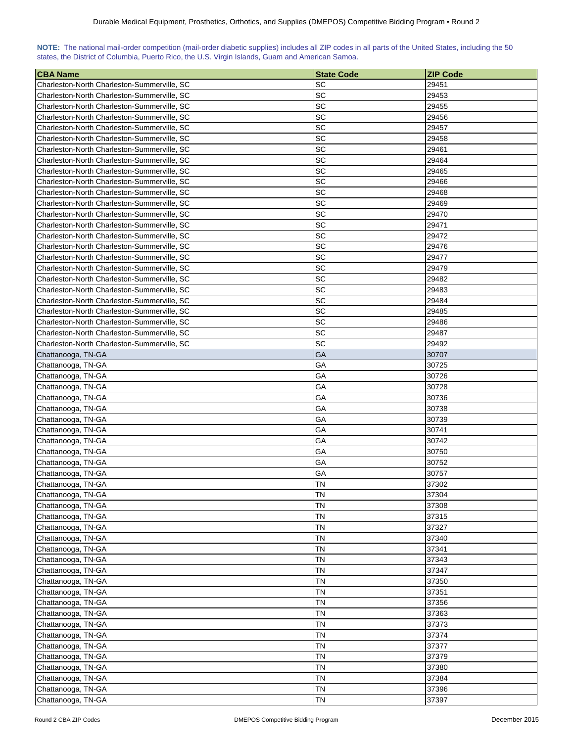| NOTE: The national mail-order competition (mail-order diabetic supplies) includes all ZIP codes in all parts of the United States, including the 50 |  |  |  |  |  |  |  |
|-----------------------------------------------------------------------------------------------------------------------------------------------------|--|--|--|--|--|--|--|
| states, the District of Columbia, Puerto Rico, the U.S. Virgin Islands, Guam and American Samoa.                                                    |  |  |  |  |  |  |  |

| <b>CBA Name</b>                             | <b>State Code</b> | <b>ZIP Code</b> |
|---------------------------------------------|-------------------|-----------------|
| Charleston-North Charleston-Summerville, SC | SC                | 29451           |
| Charleston-North Charleston-Summerville, SC | SC                | 29453           |
| Charleston-North Charleston-Summerville, SC | SC                | 29455           |
| Charleston-North Charleston-Summerville, SC | SC                | 29456           |
| Charleston-North Charleston-Summerville, SC | SC                | 29457           |
| Charleston-North Charleston-Summerville, SC | SC                | 29458           |
| Charleston-North Charleston-Summerville, SC | SC                | 29461           |
| Charleston-North Charleston-Summerville, SC | SC                | 29464           |
| Charleston-North Charleston-Summerville, SC | SC                | 29465           |
| Charleston-North Charleston-Summerville, SC | SC                | 29466           |
| Charleston-North Charleston-Summerville, SC | SC                | 29468           |
| Charleston-North Charleston-Summerville, SC | <b>SC</b>         | 29469           |
| Charleston-North Charleston-Summerville, SC | <b>SC</b>         | 29470           |
| Charleston-North Charleston-Summerville, SC | SC                | 29471           |
| Charleston-North Charleston-Summerville, SC | SC                | 29472           |
| Charleston-North Charleston-Summerville, SC | <b>SC</b>         | 29476           |
| Charleston-North Charleston-Summerville, SC | SC                | 29477           |
| Charleston-North Charleston-Summerville, SC | SC                | 29479           |
| Charleston-North Charleston-Summerville, SC | <b>SC</b>         | 29482           |
| Charleston-North Charleston-Summerville, SC | SC                | 29483           |
| Charleston-North Charleston-Summerville, SC | SC                | 29484           |
|                                             | <b>SC</b>         | 29485           |
| Charleston-North Charleston-Summerville, SC | <b>SC</b>         | 29486           |
| Charleston-North Charleston-Summerville, SC | SC                |                 |
| Charleston-North Charleston-Summerville, SC |                   | 29487           |
| Charleston-North Charleston-Summerville, SC | SC                | 29492           |
| Chattanooga, TN-GA                          | GA                | 30707           |
| Chattanooga, TN-GA                          | GА                | 30725           |
| Chattanooga, TN-GA                          | GА                | 30726           |
| Chattanooga, TN-GA                          | GА                | 30728           |
| Chattanooga, TN-GA                          | GА                | 30736           |
| Chattanooga, TN-GA                          | GА                | 30738           |
| Chattanooga, TN-GA                          | GА                | 30739           |
| Chattanooga, TN-GA                          | GА                | 30741           |
| Chattanooga, TN-GA                          | GА                | 30742           |
| Chattanooga, TN-GA                          | GА                | 30750           |
| Chattanooga, TN-GA                          | GА                | 30752           |
| Chattanooga, TN-GA                          | GА                | 30757           |
| Chattanooga, TN-GA                          | <b>TN</b>         | 37302           |
| Chattanooga, TN-GA                          | <b>TN</b>         | 37304           |
| Chattanooga, TN-GA                          | <b>TN</b>         | 37308           |
| Chattanooga, TN-GA                          | <b>TN</b>         | 37315           |
| Chattanooga, TN-GA                          | ΤN                | 37327           |
| Chattanooga, TN-GA                          | ΤN                | 37340           |
| Chattanooga, TN-GA                          | TN                | 37341           |
| Chattanooga, TN-GA                          | ΤN                | 37343           |
| Chattanooga, TN-GA                          | ΤN                | 37347           |
| Chattanooga, TN-GA                          | <b>TN</b>         | 37350           |
| Chattanooga, TN-GA                          | <b>TN</b>         | 37351           |
| Chattanooga, TN-GA                          | <b>TN</b>         | 37356           |
| Chattanooga, TN-GA                          | ΤN                | 37363           |
| Chattanooga, TN-GA                          | ΤN                | 37373           |
| Chattanooga, TN-GA                          | ΤN                | 37374           |
| Chattanooga, TN-GA                          | ΤN                | 37377           |
| Chattanooga, TN-GA                          | ΤN                | 37379           |
| Chattanooga, TN-GA                          | ΤN                | 37380           |
| Chattanooga, TN-GA                          | ΤN                | 37384           |
| Chattanooga, TN-GA                          | ΤN                | 37396           |
| Chattanooga, TN-GA                          | TN                | 37397           |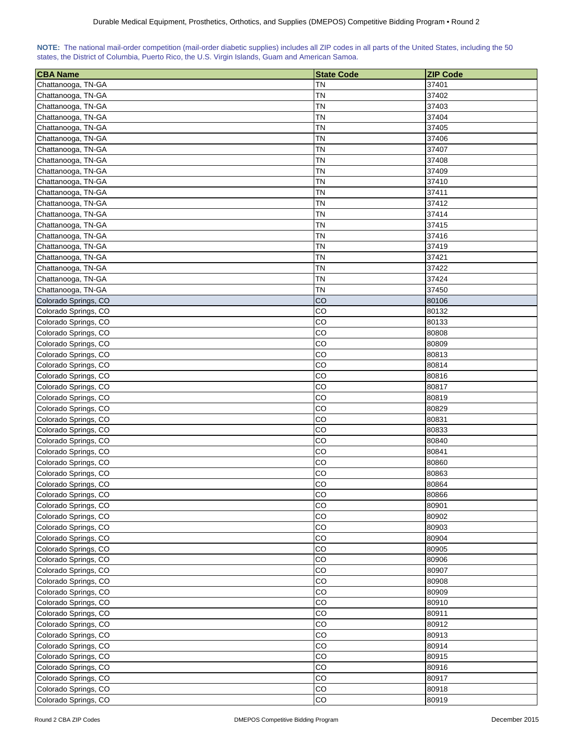| NOTE: The national mail-order competition (mail-order diabetic supplies) includes all ZIP codes in all parts of the United States, including the 50 |  |  |  |  |  |  |  |
|-----------------------------------------------------------------------------------------------------------------------------------------------------|--|--|--|--|--|--|--|
| states, the District of Columbia, Puerto Rico, the U.S. Virgin Islands, Guam and American Samoa.                                                    |  |  |  |  |  |  |  |

| <b>CBA Name</b>      | <b>State Code</b> | <b>ZIP Code</b> |
|----------------------|-------------------|-----------------|
| Chattanooga, TN-GA   | ΤN                | 37401           |
| Chattanooga, TN-GA   | ΤN                | 37402           |
| Chattanooga, TN-GA   | <b>TN</b>         | 37403           |
| Chattanooga, TN-GA   | ΤN                | 37404           |
| Chattanooga, TN-GA   | ΤN                | 37405           |
| Chattanooga, TN-GA   | ΤN                | 37406           |
| Chattanooga, TN-GA   | ΤN                | 37407           |
| Chattanooga, TN-GA   | ΤN                | 37408           |
| Chattanooga, TN-GA   | <b>TN</b>         | 37409           |
| Chattanooga, TN-GA   | <b>TN</b>         | 37410           |
| Chattanooga, TN-GA   | ΤN                | 37411           |
| Chattanooga, TN-GA   | <b>TN</b>         | 37412           |
| Chattanooga, TN-GA   | ΤN                | 37414           |
| Chattanooga, TN-GA   | ΤN                | 37415           |
| Chattanooga, TN-GA   | <b>TN</b>         | 37416           |
| Chattanooga, TN-GA   | ΤN                | 37419           |
| Chattanooga, TN-GA   | ΤN                | 37421           |
| Chattanooga, TN-GA   | ΤN                | 37422           |
| Chattanooga, TN-GA   | TΝ                | 37424           |
| Chattanooga, TN-GA   | TΝ                | 37450           |
| Colorado Springs, CO | CO                | 80106           |
| Colorado Springs, CO | CO                | 80132           |
| Colorado Springs, CO | CO                | 80133           |
| Colorado Springs, CO | CO                | 80808           |
| Colorado Springs, CO | CO                | 80809           |
| Colorado Springs, CO | CO                | 80813           |
|                      |                   |                 |
| Colorado Springs, CO | CO<br>CO          | 80814           |
| Colorado Springs, CO |                   | 80816           |
| Colorado Springs, CO | CO                | 80817           |
| Colorado Springs, CO | CO<br>CO          | 80819           |
| Colorado Springs, CO |                   | 80829           |
| Colorado Springs, CO | CO                | 80831           |
| Colorado Springs, CO | CO                | 80833           |
| Colorado Springs, CO | CO<br>CO          | 80840           |
| Colorado Springs, CO |                   | 80841           |
| Colorado Springs, CO | CO                | 80860           |
| Colorado Springs, CO | CO                | 80863           |
| Colorado Springs, CO | CO                | 80864           |
| Colorado Springs, CO | CO                | 80866           |
| Colorado Springs, CO | CO                | 80901           |
| Colorado Springs, CO | CO                | 80902           |
| Colorado Springs, CO | CO                | 80903           |
| Colorado Springs, CO | CO                | 80904           |
| Colorado Springs, CO | $_{\rm CO}$       | 80905           |
| Colorado Springs, CO | CO                | 80906           |
| Colorado Springs, CO | CO                | 80907           |
| Colorado Springs, CO | CO                | 80908           |
| Colorado Springs, CO | CO                | 80909           |
| Colorado Springs, CO | CO                | 80910           |
| Colorado Springs, CO | CO                | 80911           |
| Colorado Springs, CO | CO                | 80912           |
| Colorado Springs, CO | CO                | 80913           |
| Colorado Springs, CO | CO                | 80914           |
| Colorado Springs, CO | CO                | 80915           |
| Colorado Springs, CO | CO                | 80916           |
| Colorado Springs, CO | CO                | 80917           |
| Colorado Springs, CO | CO                | 80918           |
| Colorado Springs, CO | CO                | 80919           |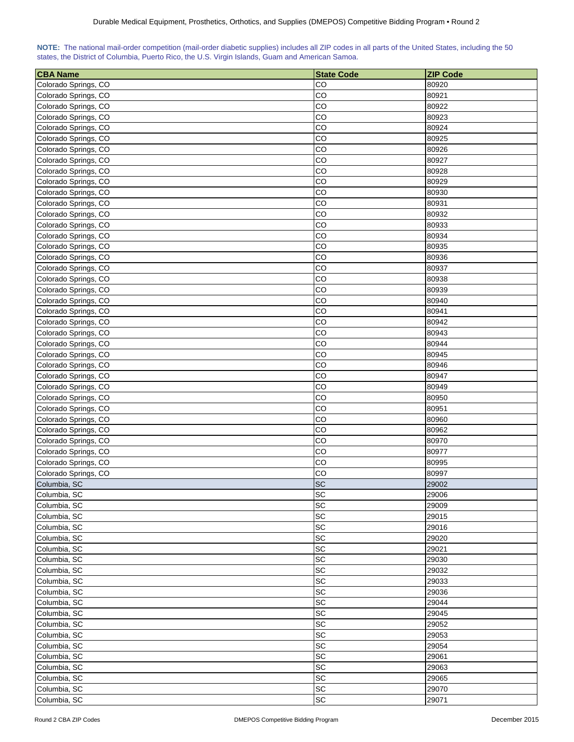| <b>CBA Name</b>                              | <b>State Code</b>            | <b>ZIP Code</b> |
|----------------------------------------------|------------------------------|-----------------|
| Colorado Springs, CO                         | CO                           | 80920           |
| Colorado Springs, CO                         | CO                           | 80921           |
| Colorado Springs, CO                         | CO                           | 80922           |
| Colorado Springs, CO                         | CO                           | 80923           |
| Colorado Springs, CO                         | CO                           | 80924           |
| Colorado Springs, CO                         | CO                           | 80925           |
| Colorado Springs, CO                         | CO                           | 80926           |
| Colorado Springs, CO                         | CO                           | 80927           |
| Colorado Springs, CO                         | CO                           | 80928           |
| Colorado Springs, CO                         | CO                           | 80929           |
| Colorado Springs, CO                         | CO                           | 80930           |
| Colorado Springs, CO                         | CO                           | 80931           |
| Colorado Springs, CO                         | CO                           | 80932           |
| Colorado Springs, CO                         | CO                           | 80933           |
| Colorado Springs, CO                         | CO                           | 80934           |
| Colorado Springs, CO                         | CO                           | 80935           |
| Colorado Springs, CO                         | CO                           | 80936           |
| Colorado Springs, CO                         | CO                           | 80937           |
| Colorado Springs, CO                         | CO                           | 80938           |
| Colorado Springs, CO                         | CO                           | 80939           |
|                                              |                              | 80940           |
| Colorado Springs, CO                         | CO                           |                 |
| Colorado Springs, CO                         | CO                           | 80941           |
| Colorado Springs, CO<br>Colorado Springs, CO | CO                           | 80942           |
|                                              | CO                           | 80943<br>80944  |
| Colorado Springs, CO<br>Colorado Springs, CO | CO<br>CO                     |                 |
|                                              |                              | 80945           |
| Colorado Springs, CO                         | CO<br>CO                     | 80946<br>80947  |
| Colorado Springs, CO                         | CO                           | 80949           |
| Colorado Springs, CO<br>Colorado Springs, CO | CO                           | 80950           |
| Colorado Springs, CO                         | CO                           | 80951           |
| Colorado Springs, CO                         | CO                           | 80960           |
| Colorado Springs, CO                         | CO                           | 80962           |
| Colorado Springs, CO                         | CO                           | 80970           |
| Colorado Springs, CO                         | CO                           | 80977           |
| Colorado Springs, CO                         | CO                           | 80995           |
| Colorado Springs, CO                         | CO                           | 80997           |
| Columbia, SC                                 | <b>SC</b>                    | 29002           |
| Columbia, SC                                 | SC                           | 29006           |
| Columbia, SC                                 | SC                           | 29009           |
| Columbia, SC                                 | SC                           | 29015           |
| Columbia, SC                                 | SC                           | 29016           |
| Columbia, SC                                 | SC                           | 29020           |
| Columbia, SC                                 | SC                           | 29021           |
| Columbia, SC                                 | <b>SC</b>                    | 29030           |
| Columbia, SC                                 | SC                           | 29032           |
| Columbia, SC                                 | $\operatorname{\textsf{SC}}$ | 29033           |
| Columbia, SC                                 | SC                           | 29036           |
| Columbia, SC                                 | $\operatorname{\textsf{SC}}$ | 29044           |
| Columbia, SC                                 | <b>SC</b>                    | 29045           |
| Columbia, SC                                 | <b>SC</b>                    | 29052           |
| Columbia, SC                                 | SC                           | 29053           |
| Columbia, SC                                 | SC                           | 29054           |
| Columbia, SC                                 | SC                           | 29061           |
| Columbia, SC                                 | <b>SC</b>                    | 29063           |
| Columbia, SC                                 | <b>SC</b>                    | 29065           |
| Columbia, SC                                 | SC                           | 29070           |
| Columbia, SC                                 | SC                           | 29071           |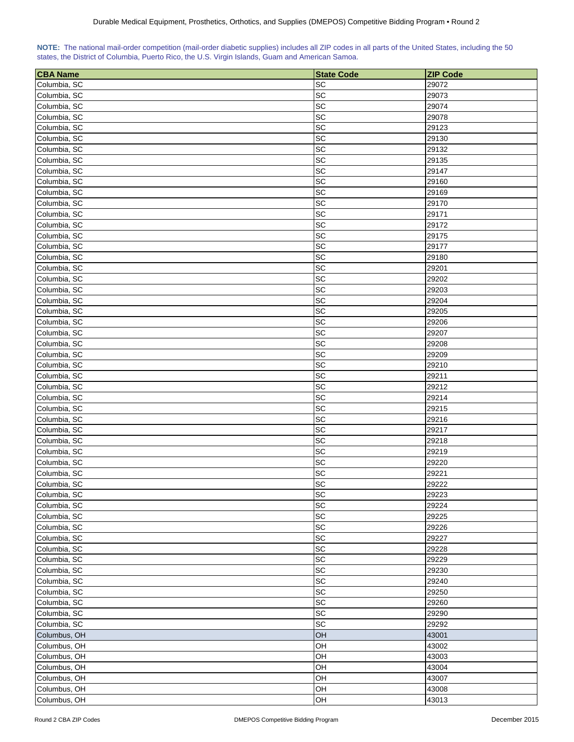|  | NOTE: The national mail-order competition (mail-order diabetic supplies) includes all ZIP codes in all parts of the United States, including the 50 |  |  |  |  |
|--|-----------------------------------------------------------------------------------------------------------------------------------------------------|--|--|--|--|
|  | states, the District of Columbia, Puerto Rico, the U.S. Virgin Islands, Guam and American Samoa.                                                    |  |  |  |  |

| <b>CBA Name</b> | <b>State Code</b>            | <b>ZIP Code</b> |
|-----------------|------------------------------|-----------------|
| Columbia, SC    | <b>SC</b>                    | 29072           |
| Columbia, SC    | SC                           | 29073           |
| Columbia, SC    | SC                           | 29074           |
| Columbia, SC    | SC                           | 29078           |
| Columbia, SC    | SC                           | 29123           |
| Columbia, SC    | $\operatorname{\textsf{SC}}$ | 29130           |
| Columbia, SC    | $\operatorname{\textsf{SC}}$ | 29132           |
| Columbia, SC    | SC                           | 29135           |
| Columbia, SC    | SC                           | 29147           |
| Columbia, SC    | SC                           | 29160           |
| Columbia, SC    | SC                           |                 |
|                 |                              | 29169           |
| Columbia, SC    | SC                           | 29170           |
| Columbia, SC    | SC                           | 29171           |
| Columbia, SC    | SC                           | 29172           |
| Columbia, SC    | SC                           | 29175           |
| Columbia, SC    | SC                           | 29177           |
| Columbia, SC    | <b>SC</b>                    | 29180           |
| Columbia, SC    | <b>SC</b>                    | 29201           |
| Columbia, SC    | SC                           | 29202           |
| Columbia, SC    | SC                           | 29203           |
| Columbia, SC    | SC                           | 29204           |
| Columbia, SC    | SC                           | 29205           |
| Columbia, SC    | <b>SC</b>                    | 29206           |
| Columbia, SC    | SC                           | 29207           |
| Columbia, SC    | SC                           | 29208           |
| Columbia, SC    | SC                           | 29209           |
| Columbia, SC    | SC                           | 29210           |
| Columbia, SC    | SC                           | 29211           |
| Columbia, SC    | SC                           | 29212           |
| Columbia, SC    | SC                           | 29214           |
| Columbia, SC    | SC                           | 29215           |
| Columbia, SC    | SC                           | 29216           |
| Columbia, SC    | SC                           | 29217           |
| Columbia, SC    | SC                           |                 |
|                 |                              | 29218           |
| Columbia, SC    | SC                           | 29219           |
| Columbia, SC    | SC                           | 29220           |
| Columbia, SC    | SC                           | 29221           |
| Columbia, SC    | SC                           | 29222           |
| Columbia, SC    | <b>SC</b>                    | 29223           |
| Columbia, SC    | SC                           | 29224           |
| Columbia, SC    | <b>SC</b>                    | 29225           |
| Columbia, SC    | <b>SC</b>                    | 29226           |
| Columbia, SC    | SC                           | 29227           |
| Columbia, SC    | SC                           | 29228           |
| Columbia, SC    | SC                           | 29229           |
| Columbia, SC    | SC                           | 29230           |
| Columbia, SC    | SC                           | 29240           |
| Columbia, SC    | SC                           | 29250           |
| Columbia, SC    | SC                           | 29260           |
| Columbia, SC    | SC                           | 29290           |
| Columbia, SC    | SC                           | 29292           |
| Columbus, OH    | OH                           | 43001           |
| Columbus, OH    | OH                           | 43002           |
| Columbus, OH    | OH                           | 43003           |
| Columbus, OH    | OH                           | 43004           |
| Columbus, OH    | OH                           | 43007           |
| Columbus, OH    | OH                           | 43008           |
| Columbus, OH    | OH                           | 43013           |
|                 |                              |                 |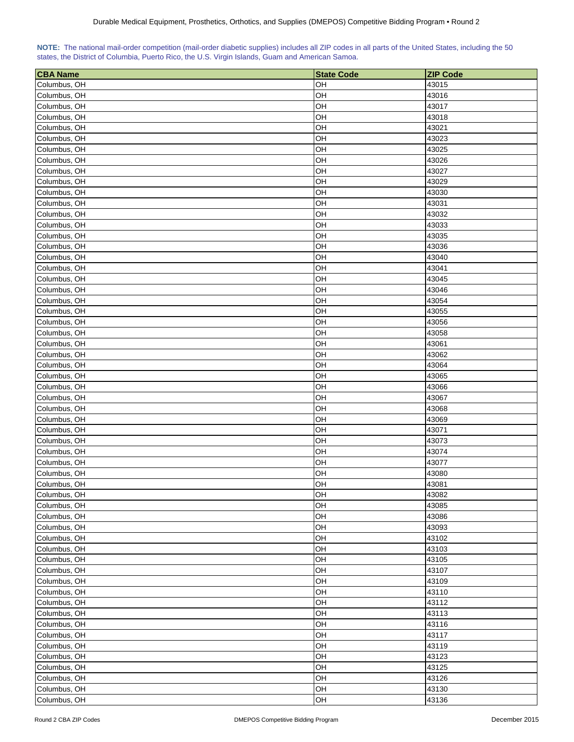|  | NOTE: The national mail-order competition (mail-order diabetic supplies) includes all ZIP codes in all parts of the United States, including the 50 |  |  |  |  |
|--|-----------------------------------------------------------------------------------------------------------------------------------------------------|--|--|--|--|
|  | states, the District of Columbia, Puerto Rico, the U.S. Virgin Islands, Guam and American Samoa.                                                    |  |  |  |  |

| <b>CBA Name</b>              | <b>State Code</b> | <b>ZIP Code</b> |
|------------------------------|-------------------|-----------------|
| Columbus, OH                 | OH                | 43015           |
| Columbus, OH                 | OH                | 43016           |
| Columbus, OH                 | OH                | 43017           |
| Columbus, OH                 | OН                | 43018           |
| Columbus, OH                 | OH                | 43021           |
| Columbus, OH                 | OH                | 43023           |
| Columbus, OH                 | OH                | 43025           |
| Columbus, OH                 | OH                | 43026           |
| Columbus, OH                 | OH                | 43027           |
| Columbus, OH                 | OН                | 43029           |
| Columbus, OH                 | OH                | 43030           |
| Columbus, OH                 | OH                | 43031           |
| Columbus, OH                 | OH                | 43032           |
| Columbus, OH                 | OH                | 43033           |
| Columbus, OH                 | OH                | 43035           |
| Columbus, OH                 | OH                | 43036           |
| Columbus, OH                 | OH                | 43040           |
| Columbus, OH                 | OH                | 43041           |
| Columbus, OH                 | OH                | 43045           |
| Columbus, OH                 | OH                | 43046           |
| Columbus, OH                 | OH                | 43054           |
| Columbus, OH                 | OH                | 43055           |
| Columbus, OH                 | OН                | 43056           |
| Columbus, OH                 | OH                | 43058           |
| Columbus, OH                 | OH                | 43061           |
| Columbus, OH                 | OH                | 43062           |
|                              | OH                | 43064           |
| Columbus, OH                 | OH                | 43065           |
| Columbus, OH<br>Columbus, OH | OН                | 43066           |
|                              |                   |                 |
| Columbus, OH                 | OH<br>OH          | 43067<br>43068  |
| Columbus, OH                 | OH                |                 |
| Columbus, OH<br>Columbus, OH | OH                | 43069<br>43071  |
|                              | OH                |                 |
| Columbus, OH                 | OН                | 43073<br>43074  |
| Columbus, OH                 | OH                | 43077           |
| Columbus, OH                 |                   | 43080           |
| Columbus, OH                 | OH                |                 |
| Columbus, OH                 | OH                | 43081           |
| Columbus, OH                 | OH                | 43082           |
| Columbus, OH                 | OH                | 43085           |
| Columbus, OH                 | OH                | 43086           |
| Columbus, OH                 | OH                | 43093           |
| Columbus, OH                 | OH                | 43102           |
| Columbus, OH                 | OH                | 43103           |
| Columbus, OH                 | OH                | 43105           |
| Columbus, OH                 | OH                | 43107           |
| Columbus, OH                 | OH                | 43109           |
| Columbus, OH                 | OH                | 43110           |
| Columbus, OH                 | OH                | 43112           |
| Columbus, OH                 | OH                | 43113           |
| Columbus, OH                 | OH                | 43116           |
| Columbus, OH                 | OH                | 43117           |
| Columbus, OH                 | OH                | 43119           |
| Columbus, OH                 | OH                | 43123           |
| Columbus, OH                 | OH                | 43125           |
| Columbus, OH                 | OH                | 43126           |
| Columbus, OH                 | OH                | 43130           |
| Columbus, OH                 | OH                | 43136           |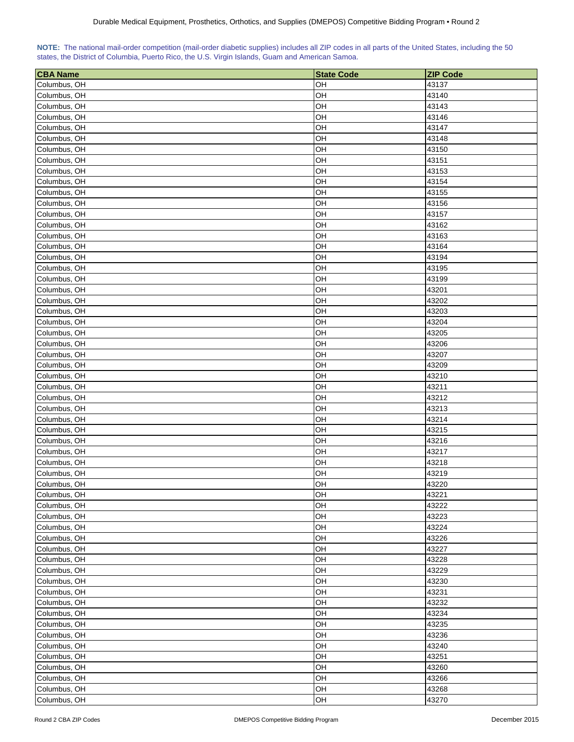|  | NOTE: The national mail-order competition (mail-order diabetic supplies) includes all ZIP codes in all parts of the United States, including the 50 |  |  |  |  |
|--|-----------------------------------------------------------------------------------------------------------------------------------------------------|--|--|--|--|
|  | states, the District of Columbia, Puerto Rico, the U.S. Virgin Islands, Guam and American Samoa.                                                    |  |  |  |  |

| <b>CBA Name</b> | <b>State Code</b> | <b>ZIP Code</b> |
|-----------------|-------------------|-----------------|
| Columbus, OH    | OH                | 43137           |
| Columbus, OH    | OH                | 43140           |
| Columbus, OH    | OH                | 43143           |
| Columbus, OH    | OН                | 43146           |
| Columbus, OH    | OH                | 43147           |
| Columbus, OH    | OH                | 43148           |
| Columbus, OH    | OH                | 43150           |
| Columbus, OH    | OH                | 43151           |
| Columbus, OH    | OH                | 43153           |
| Columbus, OH    | OН                | 43154           |
| Columbus, OH    | OH                | 43155           |
| Columbus, OH    | OH                | 43156           |
| Columbus, OH    | OH                | 43157           |
| Columbus, OH    | OH                | 43162           |
| Columbus, OH    | OH                | 43163           |
| Columbus, OH    | OH                | 43164           |
| Columbus, OH    | OH                | 43194           |
| Columbus, OH    | OH                | 43195           |
| Columbus, OH    | OH                | 43199           |
| Columbus, OH    | OH                | 43201           |
| Columbus, OH    | OH                | 43202           |
| Columbus, OH    | OH                | 43203           |
| Columbus, OH    | OН                | 43204           |
| Columbus, OH    | OH                | 43205           |
| Columbus, OH    | OH                | 43206           |
| Columbus, OH    | OH                | 43207           |
| Columbus, OH    | OH                | 43209           |
| Columbus, OH    | OH                | 43210           |
| Columbus, OH    | OН                | 43211           |
| Columbus, OH    | OH                | 43212           |
| Columbus, OH    | OH                | 43213           |
| Columbus, OH    | OH                | 43214           |
| Columbus, OH    | OH                | 43215           |
| Columbus, OH    | OH                | 43216           |
| Columbus, OH    | OН                | 43217           |
| Columbus, OH    | OH                | 43218           |
| Columbus, OH    | OH                | 43219           |
| Columbus, OH    | OH                | 43220           |
| Columbus, OH    | OH                | 43221           |
| Columbus, OH    | OH                | 43222           |
| Columbus, OH    | OH                | 43223           |
| Columbus, OH    | OH                | 43224           |
| Columbus, OH    | OH                | 43226           |
| Columbus, OH    | OH                | 43227           |
| Columbus, OH    | OH                | 43228           |
| Columbus, OH    | OH                | 43229           |
| Columbus, OH    | OH                | 43230           |
| Columbus, OH    | OH                | 43231           |
| Columbus, OH    | OH                | 43232           |
| Columbus, OH    | OH                | 43234           |
| Columbus, OH    | OH                | 43235           |
| Columbus, OH    | OH                | 43236           |
| Columbus, OH    | OH                | 43240           |
| Columbus, OH    | OH                | 43251           |
| Columbus, OH    | OH                | 43260           |
| Columbus, OH    | OH                | 43266           |
| Columbus, OH    | OH                | 43268           |
| Columbus, OH    | OH                | 43270           |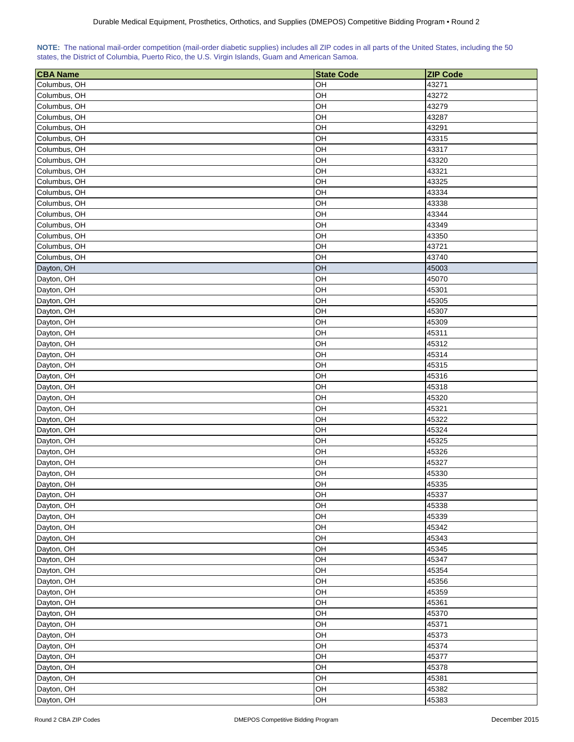|  | NOTE: The national mail-order competition (mail-order diabetic supplies) includes all ZIP codes in all parts of the United States, including the 50 |  |  |  |  |
|--|-----------------------------------------------------------------------------------------------------------------------------------------------------|--|--|--|--|
|  | states, the District of Columbia, Puerto Rico, the U.S. Virgin Islands, Guam and American Samoa.                                                    |  |  |  |  |

| <b>CBA Name</b> | <b>State Code</b> | <b>ZIP Code</b> |
|-----------------|-------------------|-----------------|
| Columbus, OH    | OH                | 43271           |
| Columbus, OH    | OH                | 43272           |
| Columbus, OH    | OH                | 43279           |
| Columbus, OH    | OH                | 43287           |
| Columbus, OH    | OH                | 43291           |
| Columbus, OH    | OH                | 43315           |
| Columbus, OH    | OH                | 43317           |
| Columbus, OH    | OH                | 43320           |
| Columbus, OH    | OH                | 43321           |
| Columbus, OH    | OH                | 43325           |
| Columbus, OH    | OH                | 43334           |
| Columbus, OH    | OH                | 43338           |
| Columbus, OH    | OH                | 43344           |
| Columbus, OH    | OH                | 43349           |
| Columbus, OH    | OH                | 43350           |
| Columbus, OH    | OH                | 43721           |
| Columbus, OH    | OH                | 43740           |
| Dayton, OH      | OH                | 45003           |
| Dayton, OH      | OH                | 45070           |
| Dayton, OH      | OH                | 45301           |
| Dayton, OH      | OH                | 45305           |
| Dayton, OH      | OH                | 45307           |
| Dayton, OH      | OH                | 45309           |
| Dayton, OH      | OH                | 45311           |
| Dayton, OH      | OH                | 45312           |
| Dayton, OH      | OH                | 45314           |
| Dayton, OH      | OH                | 45315           |
| Dayton, OH      | OH                | 45316           |
| Dayton, OH      | OH                | 45318           |
| Dayton, OH      | OH                | 45320           |
| Dayton, OH      | OH                | 45321           |
| Dayton, OH      | OH                | 45322           |
| Dayton, OH      | OH                | 45324           |
| Dayton, OH      | OH                | 45325           |
| Dayton, OH      | OH                | 45326           |
| Dayton, OH      | OH                | 45327           |
| Dayton, OH      | OH                | 45330           |
| Dayton, OH      | OH                | 45335           |
| Dayton, OH      | OH                | 45337           |
| Dayton, OH      | OH                | 45338           |
| Dayton, OH      | OH                | 45339           |
| Dayton, OH      | OH                | 45342           |
| Dayton, OH      | OH                | 45343           |
| Dayton, OH      | OH                | 45345           |
| Dayton, OH      | OH                | 45347           |
| Dayton, OH      | OH                | 45354           |
| Dayton, OH      | OH                | 45356           |
| Dayton, OH      | OH                | 45359           |
| Dayton, OH      | OH                | 45361           |
| Dayton, OH      | OH                | 45370           |
| Dayton, OH      | OH                | 45371           |
| Dayton, OH      | OH                | 45373           |
| Dayton, OH      | OH                | 45374           |
| Dayton, OH      | OH                | 45377           |
| Dayton, OH      | OH                | 45378           |
| Dayton, OH      | OH                | 45381           |
| Dayton, OH      | OH                | 45382           |
| Dayton, OH      | OH                | 45383           |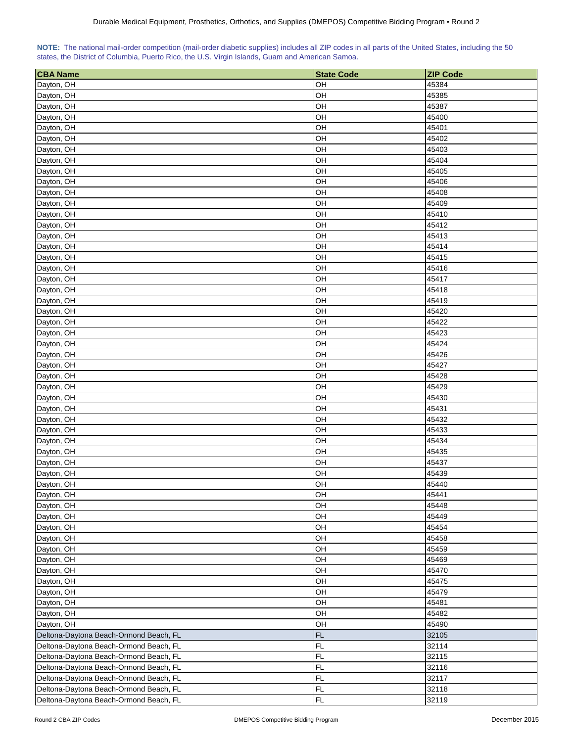| NOTE: The national mail-order competition (mail-order diabetic supplies) includes all ZIP codes in all parts of the United States, including the 50 |  |  |  |  |  |  |
|-----------------------------------------------------------------------------------------------------------------------------------------------------|--|--|--|--|--|--|
| states, the District of Columbia, Puerto Rico, the U.S. Virgin Islands, Guam and American Samoa.                                                    |  |  |  |  |  |  |

| <b>CBA Name</b>                        | <b>State Code</b> | <b>ZIP Code</b> |
|----------------------------------------|-------------------|-----------------|
| Dayton, OH                             | OH                | 45384           |
| Dayton, OH                             | OH                | 45385           |
| Dayton, OH                             | OH                | 45387           |
| Dayton, OH                             | OH                | 45400           |
| Dayton, OH                             | OH                | 45401           |
| Dayton, OH                             | OH                | 45402           |
| Dayton, OH                             | OH                | 45403           |
| Dayton, OH                             | OH                | 45404           |
| Dayton, OH                             | OH                | 45405           |
| Dayton, OH                             | OH                | 45406           |
| Dayton, OH                             | OH                | 45408           |
| Dayton, OH                             | OH                | 45409           |
| Dayton, OH                             | OH                | 45410           |
| Dayton, OH                             | OH                | 45412           |
| Dayton, OH                             | OH                | 45413           |
| Dayton, OH                             | OH                | 45414           |
| Dayton, OH                             | OH                | 45415           |
| Dayton, OH                             | OH                | 45416           |
| Dayton, OH                             | OH                | 45417           |
| Dayton, OH                             | OH                | 45418           |
| Dayton, OH                             | OH                | 45419           |
| Dayton, OH                             | OH                | 45420           |
| Dayton, OH                             | OH                | 45422           |
| Dayton, OH                             | OH                | 45423           |
| Dayton, OH                             | OH                | 45424           |
| Dayton, OH                             | OH                | 45426           |
|                                        | OH                | 45427           |
| Dayton, OH<br>Dayton, OH               | OH                | 45428           |
| Dayton, OH                             | OH                | 45429           |
|                                        |                   |                 |
| Dayton, OH                             | OH<br>OH          | 45430<br>45431  |
| Dayton, OH                             | OH                | 45432           |
| Dayton, OH                             | OH                | 45433           |
| Dayton, OH                             | OH                | 45434           |
| Dayton, OH                             | OH                | 45435           |
| Dayton, OH                             |                   |                 |
| Dayton, OH                             | OH                | 45437           |
| Dayton, OH                             | OH                | 45439           |
| Dayton, OH                             | OH                | 45440           |
| Dayton, OH                             | OH                | 45441           |
| Dayton, OH                             | OH                | 45448           |
| Dayton, OH                             | OH                | 45449           |
| Dayton, OH                             | OH                | 45454           |
| Dayton, OH                             | OH                | 45458           |
| Dayton, OH                             | OH                | 45459           |
| Dayton, OH                             | OH                | 45469           |
| Dayton, OH                             | OH                | 45470           |
| Dayton, OH                             | OH                | 45475           |
| Dayton, OH                             | OH                | 45479           |
| Dayton, OH                             | OH                | 45481           |
| Dayton, OH                             | OH                | 45482           |
| Dayton, OH                             | OH                | 45490           |
| Deltona-Daytona Beach-Ormond Beach, FL | FL                | 32105           |
| Deltona-Daytona Beach-Ormond Beach, FL | FL                | 32114           |
| Deltona-Daytona Beach-Ormond Beach, FL | FL.               | 32115           |
| Deltona-Daytona Beach-Ormond Beach, FL | FL                | 32116           |
| Deltona-Daytona Beach-Ormond Beach, FL | FL                | 32117           |
| Deltona-Daytona Beach-Ormond Beach, FL | FL                | 32118           |
| Deltona-Daytona Beach-Ormond Beach, FL | <b>FL</b>         | 32119           |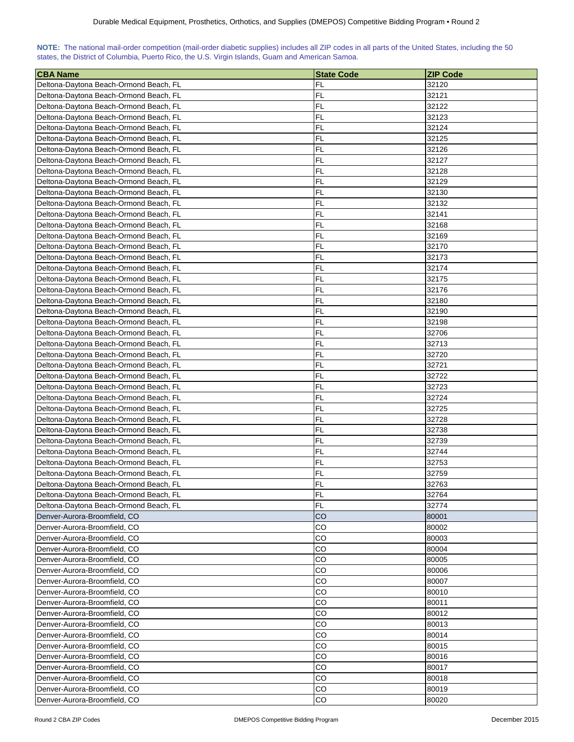| NOTE: The national mail-order competition (mail-order diabetic supplies) includes all ZIP codes in all parts of the United States, including the 50 |  |  |  |  |  |  |  |
|-----------------------------------------------------------------------------------------------------------------------------------------------------|--|--|--|--|--|--|--|
| states, the District of Columbia, Puerto Rico, the U.S. Virgin Islands, Guam and American Samoa.                                                    |  |  |  |  |  |  |  |

| <b>CBA Name</b>                        | <b>State Code</b> | <b>ZIP Code</b> |
|----------------------------------------|-------------------|-----------------|
| Deltona-Daytona Beach-Ormond Beach, FL | FL                | 32120           |
| Deltona-Daytona Beach-Ormond Beach, FL | FL                | 32121           |
| Deltona-Daytona Beach-Ormond Beach, FL | <b>FL</b>         | 32122           |
| Deltona-Daytona Beach-Ormond Beach, FL | FL                | 32123           |
| Deltona-Daytona Beach-Ormond Beach, FL | FL                | 32124           |
| Deltona-Daytona Beach-Ormond Beach, FL | FL                | 32125           |
| Deltona-Daytona Beach-Ormond Beach, FL | FL                | 32126           |
| Deltona-Daytona Beach-Ormond Beach, FL | FL                | 32127           |
| Deltona-Daytona Beach-Ormond Beach, FL | FL                | 32128           |
| Deltona-Daytona Beach-Ormond Beach, FL | <b>FL</b>         | 32129           |
| Deltona-Daytona Beach-Ormond Beach, FL | FL                | 32130           |
| Deltona-Daytona Beach-Ormond Beach, FL | FL                | 32132           |
| Deltona-Daytona Beach-Ormond Beach, FL | <b>FL</b>         | 32141           |
| Deltona-Daytona Beach-Ormond Beach, FL | <b>FL</b>         | 32168           |
| Deltona-Daytona Beach-Ormond Beach, FL | FL                | 32169           |
| Deltona-Daytona Beach-Ormond Beach, FL | FL                | 32170           |
| Deltona-Daytona Beach-Ormond Beach, FL | FL                | 32173           |
| Deltona-Daytona Beach-Ormond Beach, FL | FL                | 32174           |
| Deltona-Daytona Beach-Ormond Beach, FL | FL                | 32175           |
| Deltona-Daytona Beach-Ormond Beach, FL | FL                | 32176           |
| Deltona-Daytona Beach-Ormond Beach, FL | FL                | 32180           |
| Deltona-Daytona Beach-Ormond Beach, FL | <b>FL</b>         | 32190           |
| Deltona-Daytona Beach-Ormond Beach, FL | <b>FL</b>         | 32198           |
| Deltona-Daytona Beach-Ormond Beach, FL | FL                | 32706           |
| Deltona-Daytona Beach-Ormond Beach, FL | FL                | 32713           |
| Deltona-Daytona Beach-Ormond Beach, FL | FL                | 32720           |
| Deltona-Daytona Beach-Ormond Beach, FL | FL                | 32721           |
| Deltona-Daytona Beach-Ormond Beach, FL | FL                | 32722           |
| Deltona-Daytona Beach-Ormond Beach, FL | FL                | 32723           |
| Deltona-Daytona Beach-Ormond Beach, FL | FL                | 32724           |
| Deltona-Daytona Beach-Ormond Beach, FL | FL                | 32725           |
| Deltona-Daytona Beach-Ormond Beach, FL | <b>FL</b>         | 32728           |
| Deltona-Daytona Beach-Ormond Beach, FL | FL                | 32738           |
| Deltona-Daytona Beach-Ormond Beach, FL | FL                | 32739           |
| Deltona-Daytona Beach-Ormond Beach, FL | <b>FL</b>         | 32744           |
| Deltona-Daytona Beach-Ormond Beach, FL | FL                | 32753           |
| Deltona-Daytona Beach-Ormond Beach, FL | FL                | 32759           |
| Deltona-Daytona Beach-Ormond Beach, FL | FL                | 32763           |
| Deltona-Daytona Beach-Ormond Beach, FL | <b>FL</b>         | 32764           |
| Deltona-Daytona Beach-Ormond Beach, FL | FL                | 32774           |
| Denver-Aurora-Broomfield, CO           | <b>CO</b>         | 80001           |
| Denver-Aurora-Broomfield, CO           | CO                | 80002           |
| Denver-Aurora-Broomfield, CO           | CO                | 80003           |
| Denver-Aurora-Broomfield, CO           | CO                | 80004           |
| Denver-Aurora-Broomfield, CO           | CO                | 80005           |
| Denver-Aurora-Broomfield, CO           | CO                | 80006           |
| Denver-Aurora-Broomfield, CO           | CO                | 80007           |
| Denver-Aurora-Broomfield, CO           | CO                | 80010           |
| Denver-Aurora-Broomfield, CO           | CO                | 80011           |
| Denver-Aurora-Broomfield, CO           | CO                | 80012           |
| Denver-Aurora-Broomfield, CO           | CO                | 80013           |
| Denver-Aurora-Broomfield, CO           | CO                | 80014           |
| Denver-Aurora-Broomfield, CO           | CO                | 80015           |
| Denver-Aurora-Broomfield, CO           | CO                | 80016           |
| Denver-Aurora-Broomfield, CO           | CO                | 80017           |
| Denver-Aurora-Broomfield, CO           | CO                | 80018           |
| Denver-Aurora-Broomfield, CO           | CO                | 80019           |
| Denver-Aurora-Broomfield, CO           | CO                | 80020           |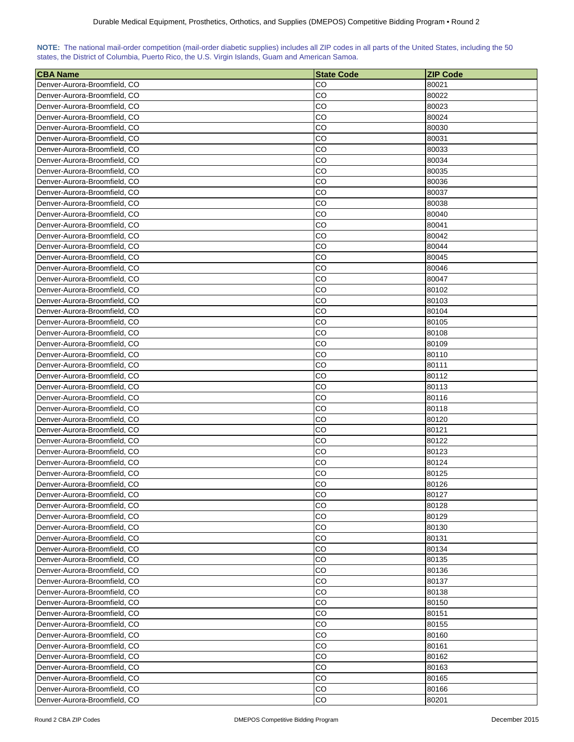| NOTE: The national mail-order competition (mail-order diabetic supplies) includes all ZIP codes in all parts of the United States, including the 50 |  |  |  |  |  |  |  |
|-----------------------------------------------------------------------------------------------------------------------------------------------------|--|--|--|--|--|--|--|
| states, the District of Columbia, Puerto Rico, the U.S. Virgin Islands, Guam and American Samoa.                                                    |  |  |  |  |  |  |  |

| <b>CBA Name</b>              | <b>State Code</b> | <b>ZIP Code</b> |
|------------------------------|-------------------|-----------------|
| Denver-Aurora-Broomfield, CO | CO                | 80021           |
| Denver-Aurora-Broomfield, CO | CO                | 80022           |
| Denver-Aurora-Broomfield, CO | CO                | 80023           |
| Denver-Aurora-Broomfield, CO | CO                | 80024           |
| Denver-Aurora-Broomfield, CO | CO                | 80030           |
| Denver-Aurora-Broomfield, CO | CO                | 80031           |
| Denver-Aurora-Broomfield, CO | CO                | 80033           |
| Denver-Aurora-Broomfield, CO | CO                | 80034           |
| Denver-Aurora-Broomfield, CO | CO                | 80035           |
| Denver-Aurora-Broomfield, CO | CO                | 80036           |
| Denver-Aurora-Broomfield, CO | CO                | 80037           |
| Denver-Aurora-Broomfield, CO | CO                | 80038           |
| Denver-Aurora-Broomfield, CO | CO                | 80040           |
| Denver-Aurora-Broomfield, CO | CO                | 80041           |
| Denver-Aurora-Broomfield, CO | CO                | 80042           |
| Denver-Aurora-Broomfield, CO | CO                | 80044           |
| Denver-Aurora-Broomfield, CO | CO                | 80045           |
| Denver-Aurora-Broomfield, CO | CO                | 80046           |
| Denver-Aurora-Broomfield, CO | CO                | 80047           |
| Denver-Aurora-Broomfield, CO | CO                | 80102           |
| Denver-Aurora-Broomfield, CO | CO                | 80103           |
| Denver-Aurora-Broomfield, CO | CO                | 80104           |
| Denver-Aurora-Broomfield, CO | CO                | 80105           |
| Denver-Aurora-Broomfield, CO | CО                | 80108           |
| Denver-Aurora-Broomfield, CO | CO                | 80109           |
| Denver-Aurora-Broomfield, CO | CO                | 80110           |
| Denver-Aurora-Broomfield, CO | CO                | 80111           |
| Denver-Aurora-Broomfield, CO | CO                | 80112           |
| Denver-Aurora-Broomfield, CO | CO                | 80113           |
| Denver-Aurora-Broomfield, CO | CO                | 80116           |
| Denver-Aurora-Broomfield, CO | CO                | 80118           |
| Denver-Aurora-Broomfield, CO | CO                | 80120           |
| Denver-Aurora-Broomfield, CO | CO                | 80121           |
| Denver-Aurora-Broomfield, CO | CO                | 80122           |
| Denver-Aurora-Broomfield, CO | CO                | 80123           |
| Denver-Aurora-Broomfield, CO | CO                | 80124           |
| Denver-Aurora-Broomfield, CO | CO                | 80125           |
| Denver-Aurora-Broomfield, CO | CO                | 80126           |
| Denver-Aurora-Broomfield, CO | CO                | 80127           |
| Denver-Aurora-Broomfield, CO | CO                | 80128           |
| Denver-Aurora-Broomfield, CO | CO                | 80129           |
| Denver-Aurora-Broomfield, CO | CO                | 80130           |
| Denver-Aurora-Broomfield, CO | CO                | 80131           |
| Denver-Aurora-Broomfield, CO | CO                | 80134           |
| Denver-Aurora-Broomfield, CO | CO                | 80135           |
| Denver-Aurora-Broomfield, CO | CO                | 80136           |
| Denver-Aurora-Broomfield, CO | CO                | 80137           |
| Denver-Aurora-Broomfield, CO | CO                | 80138           |
| Denver-Aurora-Broomfield, CO | CO                | 80150           |
| Denver-Aurora-Broomfield, CO | CO                | 80151           |
| Denver-Aurora-Broomfield, CO | CO                | 80155           |
| Denver-Aurora-Broomfield, CO | CO                | 80160           |
| Denver-Aurora-Broomfield, CO | CO                | 80161           |
| Denver-Aurora-Broomfield, CO | CO                | 80162           |
| Denver-Aurora-Broomfield, CO | CO                | 80163           |
| Denver-Aurora-Broomfield, CO | CO                | 80165           |
| Denver-Aurora-Broomfield, CO | CO                | 80166           |
| Denver-Aurora-Broomfield, CO | CO                | 80201           |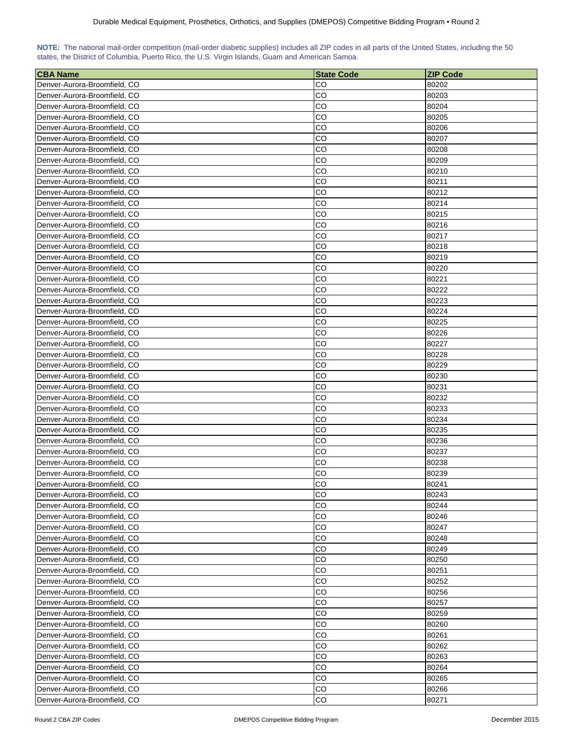| NOTE: The national mail-order competition (mail-order diabetic supplies) includes all ZIP codes in all parts of the United States, including the 50 |  |  |  |  |  |  |  |
|-----------------------------------------------------------------------------------------------------------------------------------------------------|--|--|--|--|--|--|--|
| states, the District of Columbia, Puerto Rico, the U.S. Virgin Islands, Guam and American Samoa.                                                    |  |  |  |  |  |  |  |

| <b>CBA Name</b>              | <b>State Code</b> | <b>ZIP Code</b> |
|------------------------------|-------------------|-----------------|
| Denver-Aurora-Broomfield, CO | CO                | 80202           |
| Denver-Aurora-Broomfield, CO | CO                | 80203           |
| Denver-Aurora-Broomfield, CO | CO                | 80204           |
| Denver-Aurora-Broomfield, CO | CO                | 80205           |
| Denver-Aurora-Broomfield, CO | CO                | 80206           |
| Denver-Aurora-Broomfield, CO | CO                | 80207           |
| Denver-Aurora-Broomfield, CO | CO                | 80208           |
| Denver-Aurora-Broomfield, CO | CO                | 80209           |
| Denver-Aurora-Broomfield, CO | CO                | 80210           |
| Denver-Aurora-Broomfield, CO | CO                | 80211           |
| Denver-Aurora-Broomfield, CO | CO                | 80212           |
| Denver-Aurora-Broomfield, CO | CO                | 80214           |
| Denver-Aurora-Broomfield, CO | CO                | 80215           |
| Denver-Aurora-Broomfield, CO | CO                | 80216           |
| Denver-Aurora-Broomfield, CO | CO                | 80217           |
| Denver-Aurora-Broomfield, CO | CO                | 80218           |
| Denver-Aurora-Broomfield, CO | CO                | 80219           |
| Denver-Aurora-Broomfield, CO | CO                | 80220           |
| Denver-Aurora-Broomfield, CO | CO                | 80221           |
| Denver-Aurora-Broomfield, CO | CO                | 80222           |
|                              | CO                |                 |
| Denver-Aurora-Broomfield, CO |                   | 80223           |
| Denver-Aurora-Broomfield, CO | CO                | 80224           |
| Denver-Aurora-Broomfield, CO | CO                | 80225           |
| Denver-Aurora-Broomfield, CO | CO                | 80226           |
| Denver-Aurora-Broomfield, CO | CO                | 80227           |
| Denver-Aurora-Broomfield, CO | CO                | 80228           |
| Denver-Aurora-Broomfield, CO | CO                | 80229           |
| Denver-Aurora-Broomfield, CO | CO                | 80230           |
| Denver-Aurora-Broomfield, CO | CO                | 80231           |
| Denver-Aurora-Broomfield, CO | CO                | 80232           |
| Denver-Aurora-Broomfield, CO | CO                | 80233           |
| Denver-Aurora-Broomfield, CO | CO                | 80234           |
| Denver-Aurora-Broomfield, CO | CO                | 80235           |
| Denver-Aurora-Broomfield, CO | CO                | 80236           |
| Denver-Aurora-Broomfield, CO | CO                | 80237           |
| Denver-Aurora-Broomfield, CO | CO                | 80238           |
| Denver-Aurora-Broomfield, CO | CO                | 80239           |
| Denver-Aurora-Broomfield, CO | CO                | 80241           |
| Denver-Aurora-Broomfield, CO | СO                | 80243           |
| Denver-Aurora-Broomfield, CO | CO                | 80244           |
| Denver-Aurora-Broomfield, CO | CO                | 80246           |
| Denver-Aurora-Broomfield, CO | CO                | 80247           |
| Denver-Aurora-Broomfield, CO | CO                | 80248           |
| Denver-Aurora-Broomfield, CO | CO                | 80249           |
| Denver-Aurora-Broomfield, CO | CO                | 80250           |
| Denver-Aurora-Broomfield, CO | CO                | 80251           |
| Denver-Aurora-Broomfield, CO | CO                | 80252           |
| Denver-Aurora-Broomfield, CO | CO                | 80256           |
| Denver-Aurora-Broomfield, CO | CO                | 80257           |
| Denver-Aurora-Broomfield, CO | CO                | 80259           |
| Denver-Aurora-Broomfield, CO | CO                | 80260           |
| Denver-Aurora-Broomfield, CO | CO                | 80261           |
| Denver-Aurora-Broomfield, CO | CO                | 80262           |
| Denver-Aurora-Broomfield, CO | CO                | 80263           |
| Denver-Aurora-Broomfield, CO | CO                | 80264           |
| Denver-Aurora-Broomfield, CO | CO                | 80265           |
| Denver-Aurora-Broomfield, CO | CO                | 80266           |
| Denver-Aurora-Broomfield, CO | CO                | 80271           |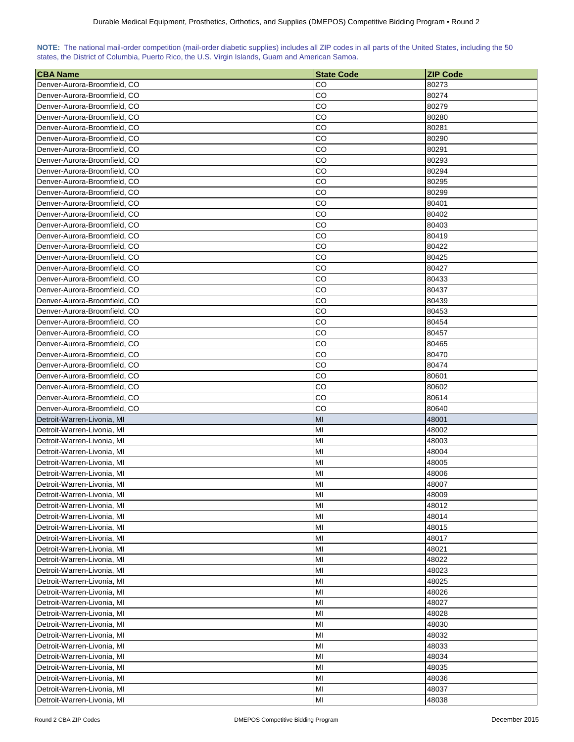| NOTE: The national mail-order competition (mail-order diabetic supplies) includes all ZIP codes in all parts of the United States, including the 50 |  |  |  |  |  |  |  |
|-----------------------------------------------------------------------------------------------------------------------------------------------------|--|--|--|--|--|--|--|
| states, the District of Columbia, Puerto Rico, the U.S. Virgin Islands, Guam and American Samoa.                                                    |  |  |  |  |  |  |  |

| <b>CBA Name</b>                                          | <b>State Code</b> | <b>ZIP Code</b> |
|----------------------------------------------------------|-------------------|-----------------|
| Denver-Aurora-Broomfield, CO                             | CO                | 80273           |
| Denver-Aurora-Broomfield, CO                             | CO                | 80274           |
| Denver-Aurora-Broomfield, CO                             | CO                | 80279           |
| Denver-Aurora-Broomfield, CO                             | CO                | 80280           |
| Denver-Aurora-Broomfield, CO                             | CO                | 80281           |
| Denver-Aurora-Broomfield, CO                             | CO                | 80290           |
| Denver-Aurora-Broomfield, CO                             | CO                | 80291           |
| Denver-Aurora-Broomfield, CO                             | CO                | 80293           |
| Denver-Aurora-Broomfield, CO                             | CO                | 80294           |
| Denver-Aurora-Broomfield, CO                             | CO                | 80295           |
| Denver-Aurora-Broomfield, CO                             | CO                | 80299           |
| Denver-Aurora-Broomfield, CO                             | CO                | 80401           |
| Denver-Aurora-Broomfield, CO                             | CO                | 80402           |
| Denver-Aurora-Broomfield, CO                             | CO                | 80403           |
| Denver-Aurora-Broomfield, CO                             | CO                | 80419           |
| Denver-Aurora-Broomfield, CO                             | CO                | 80422           |
| Denver-Aurora-Broomfield, CO                             | CO                | 80425           |
| Denver-Aurora-Broomfield, CO                             | CO                | 80427           |
| Denver-Aurora-Broomfield, CO                             | CO                | 80433           |
| Denver-Aurora-Broomfield, CO                             | CO                | 80437           |
| Denver-Aurora-Broomfield, CO                             | CO                | 80439           |
| Denver-Aurora-Broomfield, CO                             | CO                | 80453           |
| Denver-Aurora-Broomfield, CO                             | CO                | 80454           |
| Denver-Aurora-Broomfield, CO                             | CO                | 80457           |
| Denver-Aurora-Broomfield, CO                             | CO                | 80465           |
| Denver-Aurora-Broomfield, CO                             | CO                | 80470           |
| Denver-Aurora-Broomfield, CO                             | CO                | 80474           |
| Denver-Aurora-Broomfield, CO                             | CO                | 80601           |
| Denver-Aurora-Broomfield, CO                             | CO                | 80602           |
| Denver-Aurora-Broomfield, CO                             | CO                | 80614           |
| Denver-Aurora-Broomfield, CO                             | CO                | 80640           |
| Detroit-Warren-Livonia, MI                               | MI                | 48001           |
| Detroit-Warren-Livonia, MI                               | MI                | 48002           |
| Detroit-Warren-Livonia, MI                               | MI                | 48003           |
| Detroit-Warren-Livonia, MI                               | MI                | 48004           |
| Detroit-Warren-Livonia, MI                               | MI                | 48005           |
| Detroit-Warren-Livonia, MI                               | MI                | 48006           |
| Detroit-Warren-Livonia, MI                               | MI                | 48007           |
| Detroit-Warren-Livonia, MI                               | MI                | 48009           |
| Detroit-Warren-Livonia, MI                               | MI                | 48012           |
| Detroit-Warren-Livonia, MI                               | MI                | 48014           |
| Detroit-Warren-Livonia, MI                               | MI                | 48015           |
| Detroit-Warren-Livonia, MI                               | MI                | 48017           |
| Detroit-Warren-Livonia, MI                               | MI                | 48021           |
| Detroit-Warren-Livonia, MI                               | MI                | 48022           |
|                                                          | MI                |                 |
| Detroit-Warren-Livonia, MI                               | MI                | 48023           |
| Detroit-Warren-Livonia, MI<br>Detroit-Warren-Livonia, MI | MI                | 48025<br>48026  |
|                                                          | MI                |                 |
| Detroit-Warren-Livonia, MI                               |                   | 48027           |
| Detroit-Warren-Livonia, MI                               | MI                | 48028           |
| Detroit-Warren-Livonia, MI                               | MI                | 48030           |
| Detroit-Warren-Livonia, MI                               | MI                | 48032           |
| Detroit-Warren-Livonia, MI                               | MI                | 48033           |
| Detroit-Warren-Livonia, MI                               | MI                | 48034           |
| Detroit-Warren-Livonia, MI                               | MI                | 48035           |
| Detroit-Warren-Livonia, MI                               | MI                | 48036           |
| Detroit-Warren-Livonia, MI                               | MI                | 48037           |
| Detroit-Warren-Livonia, MI                               | MI                | 48038           |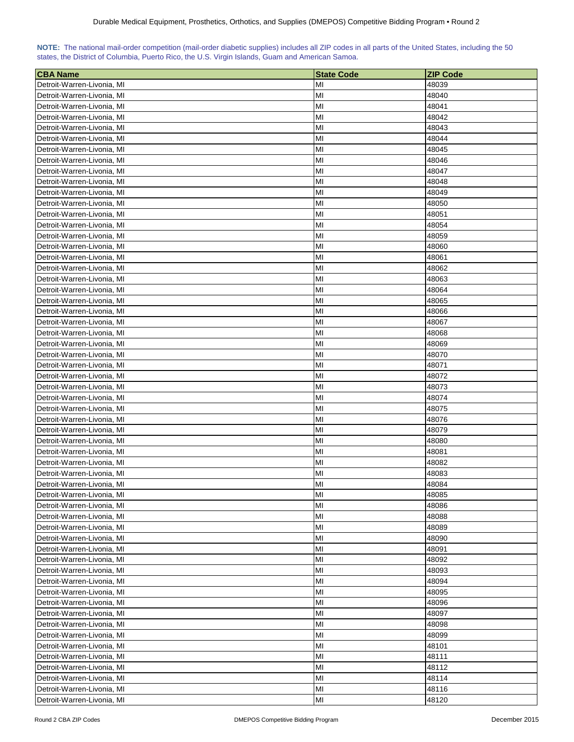| <b>CBA Name</b>            | <b>State Code</b> | <b>ZIP Code</b> |
|----------------------------|-------------------|-----------------|
| Detroit-Warren-Livonia, MI | ΜI                | 48039           |
| Detroit-Warren-Livonia, MI | MI                | 48040           |
| Detroit-Warren-Livonia, MI | MI                | 48041           |
| Detroit-Warren-Livonia, MI | MI                | 48042           |
| Detroit-Warren-Livonia, MI | MI                | 48043           |
| Detroit-Warren-Livonia, MI | MI                | 48044           |
| Detroit-Warren-Livonia, MI | MI                | 48045           |
| Detroit-Warren-Livonia, MI | MI                | 48046           |
| Detroit-Warren-Livonia, MI | MI                | 48047           |
| Detroit-Warren-Livonia, MI | MI                | 48048           |
| Detroit-Warren-Livonia, MI | MI                | 48049           |
| Detroit-Warren-Livonia, MI | MI                | 48050           |
| Detroit-Warren-Livonia, MI | MI                | 48051           |
| Detroit-Warren-Livonia, MI | MI                | 48054           |
| Detroit-Warren-Livonia, MI | MI                | 48059           |
| Detroit-Warren-Livonia, MI | MI                | 48060           |
| Detroit-Warren-Livonia, MI | MI                | 48061           |
| Detroit-Warren-Livonia, MI | MI                | 48062           |
| Detroit-Warren-Livonia, MI | MI                | 48063           |
| Detroit-Warren-Livonia, MI | MI                | 48064           |
| Detroit-Warren-Livonia, MI | MI                | 48065           |
| Detroit-Warren-Livonia, MI | MI                | 48066           |
| Detroit-Warren-Livonia, MI | MI                | 48067           |
| Detroit-Warren-Livonia, MI | MI                | 48068           |
| Detroit-Warren-Livonia, MI | MI                | 48069           |
| Detroit-Warren-Livonia, MI | MI                | 48070           |
| Detroit-Warren-Livonia, MI | MI                | 48071           |
| Detroit-Warren-Livonia, MI | MI                | 48072           |
| Detroit-Warren-Livonia, MI | MI                | 48073           |
| Detroit-Warren-Livonia, MI | MI                | 48074           |
| Detroit-Warren-Livonia, MI | MI                | 48075           |
| Detroit-Warren-Livonia, MI | MI                | 48076           |
| Detroit-Warren-Livonia, MI | MI                | 48079           |
| Detroit-Warren-Livonia, MI | MI                | 48080           |
| Detroit-Warren-Livonia, MI | MI                | 48081           |
| Detroit-Warren-Livonia, MI | MI                | 48082           |
| Detroit-Warren-Livonia, MI | MI                | 48083           |
| Detroit-Warren-Livonia, MI | MI                | 48084           |
| Detroit-Warren-Livonia, MI | MI                | 48085           |
| Detroit-Warren-Livonia, MI | MI                | 48086           |
| Detroit-Warren-Livonia, MI | MI                | 48088           |
| Detroit-Warren-Livonia, MI | MI                | 48089           |
| Detroit-Warren-Livonia, MI | MI                | 48090           |
| Detroit-Warren-Livonia, MI | MI                | 48091           |
| Detroit-Warren-Livonia, MI | MI                | 48092           |
| Detroit-Warren-Livonia, MI | MI                | 48093           |
| Detroit-Warren-Livonia, MI | MI                | 48094           |
| Detroit-Warren-Livonia, MI | MI                | 48095           |
| Detroit-Warren-Livonia, MI | MI                | 48096           |
| Detroit-Warren-Livonia, MI | MI                | 48097           |
| Detroit-Warren-Livonia, MI | MI                | 48098           |
| Detroit-Warren-Livonia, MI | MI                | 48099           |
| Detroit-Warren-Livonia, MI | MI                | 48101           |
| Detroit-Warren-Livonia, MI | MI                | 48111           |
| Detroit-Warren-Livonia, MI | MI                | 48112           |
| Detroit-Warren-Livonia, MI | MI                | 48114           |
| Detroit-Warren-Livonia, MI | MI                | 48116           |
| Detroit-Warren-Livonia, MI | MI                | 48120           |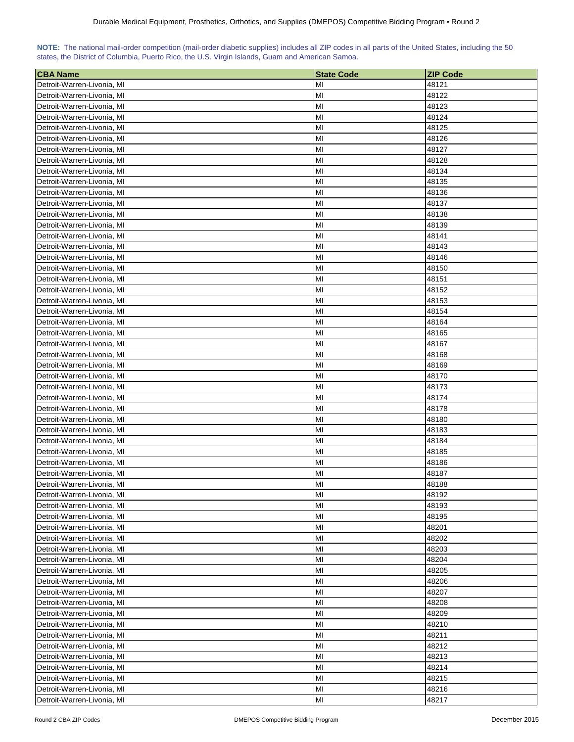| <b>CBA Name</b>                                          | <b>State Code</b> | <b>ZIP Code</b> |
|----------------------------------------------------------|-------------------|-----------------|
| Detroit-Warren-Livonia, MI                               | ΜI                | 48121           |
| Detroit-Warren-Livonia, MI                               | ΜI                | 48122           |
| Detroit-Warren-Livonia, MI                               | MI                | 48123           |
| Detroit-Warren-Livonia, MI                               | MI                | 48124           |
| Detroit-Warren-Livonia, MI                               | MI                | 48125           |
| Detroit-Warren-Livonia, MI                               | MI                | 48126           |
| Detroit-Warren-Livonia, MI                               | MI                | 48127           |
| Detroit-Warren-Livonia, MI                               | MI                | 48128           |
| Detroit-Warren-Livonia, MI                               | MI                | 48134           |
| Detroit-Warren-Livonia, MI                               | MI                | 48135           |
| Detroit-Warren-Livonia, MI                               | MI                | 48136           |
| Detroit-Warren-Livonia, MI                               | MI                | 48137           |
| Detroit-Warren-Livonia, MI                               | MI                | 48138           |
| Detroit-Warren-Livonia, MI                               | MI                | 48139           |
| Detroit-Warren-Livonia, MI                               | MI                | 48141           |
| Detroit-Warren-Livonia, MI                               | MI                | 48143           |
| Detroit-Warren-Livonia, MI                               | MI                | 48146           |
| Detroit-Warren-Livonia, MI                               | MI                | 48150           |
|                                                          | MI                |                 |
| Detroit-Warren-Livonia, MI<br>Detroit-Warren-Livonia, MI | MI                | 48151<br>48152  |
| Detroit-Warren-Livonia, MI                               | MI                |                 |
|                                                          | MI                | 48153           |
| Detroit-Warren-Livonia, MI<br>Detroit-Warren-Livonia, MI |                   | 48154           |
| Detroit-Warren-Livonia, MI                               | MI<br>MI          | 48164           |
| Detroit-Warren-Livonia, MI                               | MI                | 48165<br>48167  |
| Detroit-Warren-Livonia, MI                               | MI                | 48168           |
|                                                          | MI                |                 |
| Detroit-Warren-Livonia, MI<br>Detroit-Warren-Livonia, MI | MI                | 48169<br>48170  |
| Detroit-Warren-Livonia, MI                               | MI                | 48173           |
| Detroit-Warren-Livonia, MI                               | MI                | 48174           |
| Detroit-Warren-Livonia, MI                               | MI                | 48178           |
| Detroit-Warren-Livonia, MI                               | MI                | 48180           |
| Detroit-Warren-Livonia, MI                               | MI                | 48183           |
| Detroit-Warren-Livonia, MI                               | MI                | 48184           |
| Detroit-Warren-Livonia, MI                               | MI                | 48185           |
| Detroit-Warren-Livonia, MI                               | MI                | 48186           |
| Detroit-Warren-Livonia, MI                               | MI                | 48187           |
| Detroit-Warren-Livonia, MI                               | MI                | 48188           |
| Detroit-Warren-Livonia, MI                               | MI                | 48192           |
| Detroit-Warren-Livonia, MI                               | MI                | 48193           |
| Detroit-Warren-Livonia, MI                               | MI                | 48195           |
| Detroit-Warren-Livonia, MI                               | MI                | 48201           |
| Detroit-Warren-Livonia, MI                               | MI                | 48202           |
| Detroit-Warren-Livonia, MI                               | MI                | 48203           |
| Detroit-Warren-Livonia, MI                               | MI                | 48204           |
| Detroit-Warren-Livonia, MI                               | MI                | 48205           |
| Detroit-Warren-Livonia, MI                               | MI                | 48206           |
| Detroit-Warren-Livonia, MI                               | MI                | 48207           |
| Detroit-Warren-Livonia, MI                               | MI                | 48208           |
| Detroit-Warren-Livonia, MI                               | MI                | 48209           |
| Detroit-Warren-Livonia, MI                               | MI                | 48210           |
| Detroit-Warren-Livonia, MI                               | MI                | 48211           |
| Detroit-Warren-Livonia, MI                               | MI                | 48212           |
| Detroit-Warren-Livonia, MI                               | MI                | 48213           |
| Detroit-Warren-Livonia, MI                               | MI                | 48214           |
| Detroit-Warren-Livonia, MI                               | MI                | 48215           |
| Detroit-Warren-Livonia, MI                               | MI                | 48216           |
| Detroit-Warren-Livonia, MI                               | MI                | 48217           |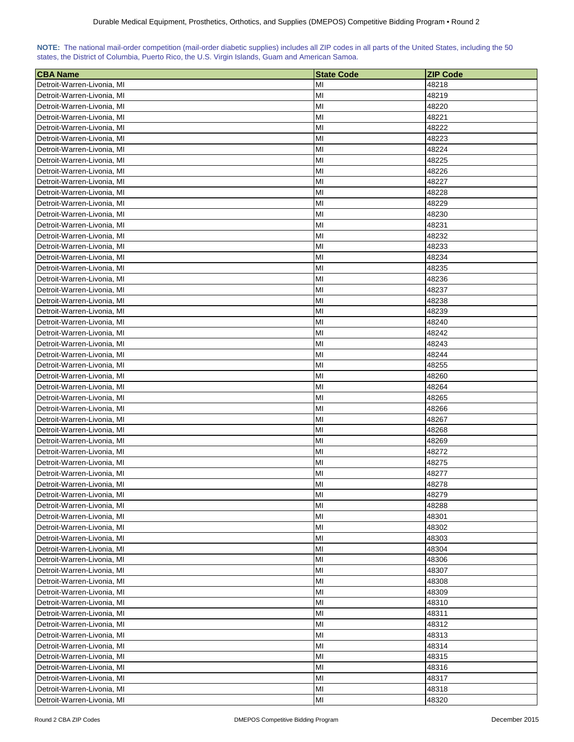| <b>CBA Name</b>            | <b>State Code</b> | <b>ZIP Code</b> |
|----------------------------|-------------------|-----------------|
| Detroit-Warren-Livonia, MI | ΜI                | 48218           |
| Detroit-Warren-Livonia, MI | MI                | 48219           |
| Detroit-Warren-Livonia, MI | MI                | 48220           |
| Detroit-Warren-Livonia, MI | MI                | 48221           |
| Detroit-Warren-Livonia, MI | MI                | 48222           |
| Detroit-Warren-Livonia, MI | MI                | 48223           |
| Detroit-Warren-Livonia, MI | MI                | 48224           |
| Detroit-Warren-Livonia, MI | MI                | 48225           |
| Detroit-Warren-Livonia, MI | MI                | 48226           |
| Detroit-Warren-Livonia, MI | MI                | 48227           |
| Detroit-Warren-Livonia, MI | MI                | 48228           |
| Detroit-Warren-Livonia, MI | MI                | 48229           |
| Detroit-Warren-Livonia, MI | MI                | 48230           |
| Detroit-Warren-Livonia, MI | MI                | 48231           |
| Detroit-Warren-Livonia, MI | MI                | 48232           |
| Detroit-Warren-Livonia, MI | MI                | 48233           |
| Detroit-Warren-Livonia, MI | MI                | 48234           |
| Detroit-Warren-Livonia, MI | MI                | 48235           |
| Detroit-Warren-Livonia, MI | MI                | 48236           |
| Detroit-Warren-Livonia, MI | MI                | 48237           |
| Detroit-Warren-Livonia, MI | MI                | 48238           |
| Detroit-Warren-Livonia, MI | MI                | 48239           |
| Detroit-Warren-Livonia, MI | MI                | 48240           |
| Detroit-Warren-Livonia, MI | MI                | 48242           |
| Detroit-Warren-Livonia, MI | MI                | 48243           |
| Detroit-Warren-Livonia, MI | MI                | 48244           |
| Detroit-Warren-Livonia, MI | MI                | 48255           |
| Detroit-Warren-Livonia, MI | MI                | 48260           |
| Detroit-Warren-Livonia, MI | MI                | 48264           |
| Detroit-Warren-Livonia, MI | MI                | 48265           |
| Detroit-Warren-Livonia, MI | MI                | 48266           |
| Detroit-Warren-Livonia, MI | MI                | 48267           |
| Detroit-Warren-Livonia, MI | MI                | 48268           |
| Detroit-Warren-Livonia, MI | MI                | 48269           |
| Detroit-Warren-Livonia, MI | MI                | 48272           |
| Detroit-Warren-Livonia, MI | MI                | 48275           |
| Detroit-Warren-Livonia, MI | MI                | 48277           |
| Detroit-Warren-Livonia. MI | MI                | 48278           |
| Detroit-Warren-Livonia, MI | MI                | 48279           |
| Detroit-Warren-Livonia, MI | MI                | 48288           |
| Detroit-Warren-Livonia, MI | MI                | 48301           |
| Detroit-Warren-Livonia, MI | MI                | 48302           |
| Detroit-Warren-Livonia, MI | MI                | 48303           |
| Detroit-Warren-Livonia, MI | MI                | 48304           |
| Detroit-Warren-Livonia, MI | MI                | 48306           |
| Detroit-Warren-Livonia, MI | MI                | 48307           |
| Detroit-Warren-Livonia, MI | MI                | 48308           |
| Detroit-Warren-Livonia, MI | MI                | 48309           |
| Detroit-Warren-Livonia, MI | MI                | 48310           |
| Detroit-Warren-Livonia, MI | MI                | 48311           |
| Detroit-Warren-Livonia, MI | MI                | 48312           |
| Detroit-Warren-Livonia, MI | MI                | 48313           |
| Detroit-Warren-Livonia, MI | MI                | 48314           |
| Detroit-Warren-Livonia, MI | MI                | 48315           |
| Detroit-Warren-Livonia, MI | MI                | 48316           |
| Detroit-Warren-Livonia, MI | MI                | 48317           |
| Detroit-Warren-Livonia, MI | MI                | 48318           |
| Detroit-Warren-Livonia, MI | MI                | 48320           |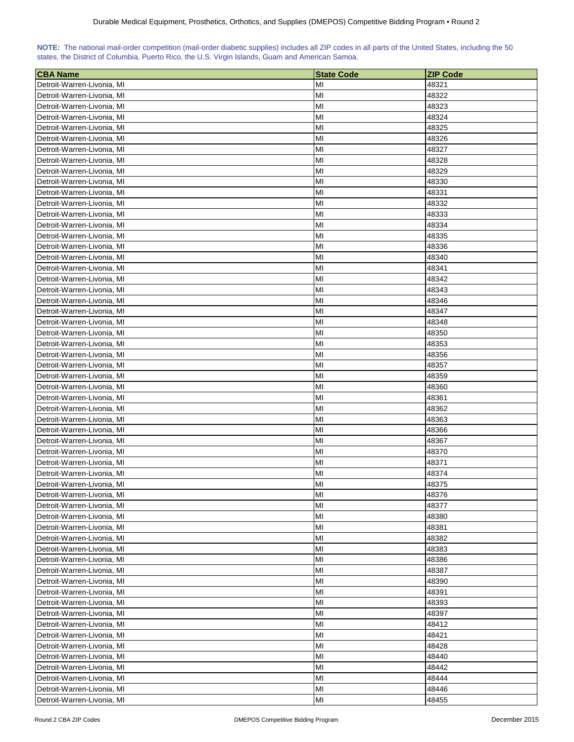| <b>CBA Name</b>                                          | <b>State Code</b> | <b>ZIP Code</b> |
|----------------------------------------------------------|-------------------|-----------------|
| Detroit-Warren-Livonia, MI                               | ΜI                | 48321           |
| Detroit-Warren-Livonia, MI                               | MI                | 48322           |
| Detroit-Warren-Livonia, MI                               | MI                | 48323           |
| Detroit-Warren-Livonia, MI                               | MI                | 48324           |
| Detroit-Warren-Livonia, MI                               | MI                | 48325           |
| Detroit-Warren-Livonia, MI                               | MI                | 48326           |
| Detroit-Warren-Livonia, MI                               | MI                | 48327           |
| Detroit-Warren-Livonia, MI                               | MI                | 48328           |
| Detroit-Warren-Livonia, MI                               | MI                | 48329           |
| Detroit-Warren-Livonia, MI                               | MI                | 48330           |
| Detroit-Warren-Livonia, MI                               | MI                | 48331           |
| Detroit-Warren-Livonia, MI                               | MI                | 48332           |
| Detroit-Warren-Livonia, MI                               | MI                | 48333           |
| Detroit-Warren-Livonia, MI                               | MI                | 48334           |
| Detroit-Warren-Livonia, MI                               | MI                | 48335           |
| Detroit-Warren-Livonia, MI                               | MI                | 48336           |
| Detroit-Warren-Livonia, MI                               | MI                | 48340           |
| Detroit-Warren-Livonia, MI                               | MI                | 48341           |
|                                                          | MI                | 48342           |
| Detroit-Warren-Livonia, MI<br>Detroit-Warren-Livonia, MI | MI                | 48343           |
| Detroit-Warren-Livonia, MI                               | MI                |                 |
|                                                          | MI                | 48346           |
| Detroit-Warren-Livonia, MI                               |                   | 48347           |
| Detroit-Warren-Livonia, MI<br>Detroit-Warren-Livonia, MI | MI<br>MI          | 48348<br>48350  |
| Detroit-Warren-Livonia, MI                               | MI                |                 |
|                                                          | MI                | 48353           |
| Detroit-Warren-Livonia, MI                               | MI                | 48356           |
| Detroit-Warren-Livonia, MI                               | MI                | 48357           |
| Detroit-Warren-Livonia, MI<br>Detroit-Warren-Livonia, MI | MI                | 48359<br>48360  |
| Detroit-Warren-Livonia, MI                               | MI                | 48361           |
| Detroit-Warren-Livonia, MI                               | MI                | 48362           |
| Detroit-Warren-Livonia, MI                               | MI                | 48363           |
| Detroit-Warren-Livonia, MI                               | MI                | 48366           |
| Detroit-Warren-Livonia, MI                               | MI                | 48367           |
| Detroit-Warren-Livonia, MI                               | MI                | 48370           |
| Detroit-Warren-Livonia, MI                               | MI                | 48371           |
| Detroit-Warren-Livonia, MI                               | MI                | 48374           |
| Detroit-Warren-Livonia. MI                               | MI                | 48375           |
| Detroit-Warren-Livonia, MI                               | MI                | 48376           |
| Detroit-Warren-Livonia, MI                               | MI                | 48377           |
| Detroit-Warren-Livonia, MI                               | MI                | 48380           |
| Detroit-Warren-Livonia, MI                               | MI                | 48381           |
| Detroit-Warren-Livonia, MI                               | MI                | 48382           |
| Detroit-Warren-Livonia, MI                               | MI                | 48383           |
| Detroit-Warren-Livonia, MI                               | MI                | 48386           |
| Detroit-Warren-Livonia, MI                               | MI                | 48387           |
| Detroit-Warren-Livonia, MI                               | MI                | 48390           |
| Detroit-Warren-Livonia, MI                               | MI                | 48391           |
| Detroit-Warren-Livonia, MI                               | MI                | 48393           |
| Detroit-Warren-Livonia, MI                               | MI                | 48397           |
| Detroit-Warren-Livonia, MI                               | MI                | 48412           |
| Detroit-Warren-Livonia, MI                               | MI                | 48421           |
| Detroit-Warren-Livonia, MI                               | MI                | 48428           |
| Detroit-Warren-Livonia, MI                               | MI                | 48440           |
| Detroit-Warren-Livonia, MI                               | MI                | 48442           |
| Detroit-Warren-Livonia, MI                               | MI                | 48444           |
| Detroit-Warren-Livonia, MI                               | MI                | 48446           |
| Detroit-Warren-Livonia, MI                               | MI                | 48455           |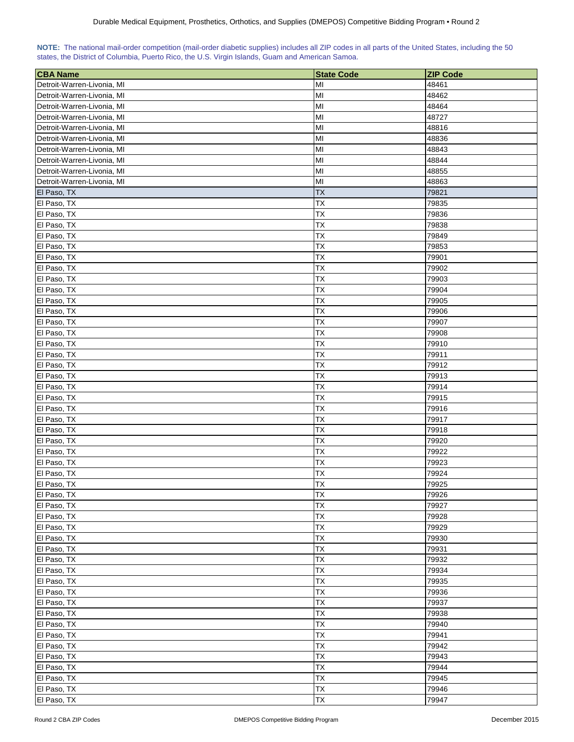| <b>CBA Name</b>            | <b>State Code</b>      | <b>ZIP Code</b> |
|----------------------------|------------------------|-----------------|
| Detroit-Warren-Livonia, MI | MI                     | 48461           |
| Detroit-Warren-Livonia, MI | MI                     | 48462           |
| Detroit-Warren-Livonia, MI | MI                     | 48464           |
| Detroit-Warren-Livonia, MI | MI                     | 48727           |
| Detroit-Warren-Livonia, MI | MI                     | 48816           |
| Detroit-Warren-Livonia, MI | MI                     | 48836           |
| Detroit-Warren-Livonia, MI | MI                     | 48843           |
| Detroit-Warren-Livonia, MI | MI                     | 48844           |
| Detroit-Warren-Livonia, MI | MI                     | 48855           |
| Detroit-Warren-Livonia, MI | MI                     | 48863           |
| El Paso, TX                | <b>TX</b>              | 79821           |
| El Paso, TX                | <b>TX</b>              | 79835           |
| El Paso, TX                | TX                     | 79836           |
| El Paso, TX                | TX                     | 79838           |
| El Paso, TX                | <b>TX</b>              | 79849           |
| El Paso, TX                | <b>TX</b>              | 79853           |
| El Paso, TX                | <b>TX</b>              | 79901           |
| El Paso, TX                | <b>TX</b>              | 79902           |
| El Paso, TX                | TX                     | 79903           |
| El Paso, TX                | TX                     | 79904           |
| El Paso, TX                | TX                     | 79905           |
|                            |                        |                 |
| El Paso, TX                | TХ                     | 79906           |
| El Paso, TX                | TХ<br>TX               | 79907           |
| El Paso, TX                |                        | 79908           |
| El Paso, TX                | TХ                     | 79910           |
| El Paso, TX                | TX                     | 79911           |
| El Paso, TX                | TX                     | 79912           |
| El Paso, TX                | <b>TX</b>              | 79913           |
| El Paso, TX                | <b>TX</b>              | 79914           |
| El Paso, TX                | <b>TX</b><br><b>TX</b> | 79915<br>79916  |
| El Paso, TX                |                        |                 |
| El Paso, TX                | <b>TX</b>              | 79917<br>79918  |
| El Paso, TX                | ТX<br>TX               | 79920           |
| El Paso, TX<br>El Paso, TX | ТX                     | 79922           |
| El Paso, TX                | <b>TX</b>              | 79923           |
| El Paso, TX                | <b>TX</b>              | 79924           |
|                            | <b>TX</b>              | 79925           |
| El Paso, TX<br>El Paso, TX | TX                     | 79926           |
| El Paso, TX                | <b>TX</b>              | 79927           |
| El Paso, TX                | TX                     | 79928           |
| El Paso, TX                | <b>TX</b>              | 79929           |
| El Paso, TX                | <b>TX</b>              | 79930           |
|                            |                        | 79931           |
| El Paso, TX                | TХ                     |                 |
| El Paso, TX                | ТX                     | 79932           |
| El Paso, TX                | ТX                     | 79934           |
| El Paso, TX                | TX                     | 79935           |
| El Paso, TX                | TX                     | 79936           |
| El Paso, TX                | <b>TX</b>              | 79937           |
| El Paso, TX                | <b>TX</b>              | 79938           |
| El Paso, TX                | TX                     | 79940           |
| El Paso, TX                | TX                     | 79941           |
| El Paso, TX                | TX                     | 79942           |
| El Paso, TX                | <b>TX</b>              | 79943           |
| El Paso, TX                | <b>TX</b>              | 79944           |
| El Paso, TX                | <b>TX</b>              | 79945           |
| El Paso, TX                | TX                     | 79946           |
| El Paso, TX                | TX                     | 79947           |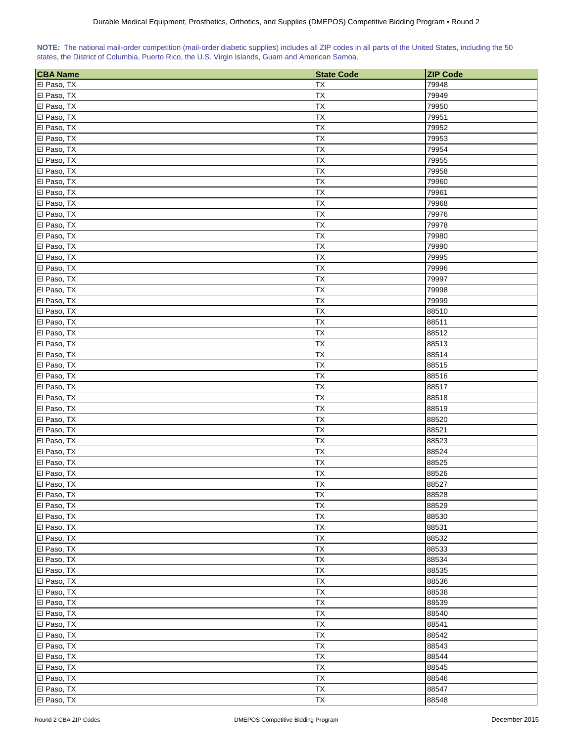| NOTE: The national mail-order competition (mail-order diabetic supplies) includes all ZIP codes in all parts of the United States, including the 50 |  |  |  |  |  |  |
|-----------------------------------------------------------------------------------------------------------------------------------------------------|--|--|--|--|--|--|
| states, the District of Columbia, Puerto Rico, the U.S. Virgin Islands, Guam and American Samoa.                                                    |  |  |  |  |  |  |

| <b>CBA Name</b> | <b>State Code</b> | <b>ZIP Code</b> |
|-----------------|-------------------|-----------------|
| El Paso, TX     | ТX                | 79948           |
| El Paso, TX     | TX                | 79949           |
| El Paso, TX     | TX                | 79950           |
| El Paso, TX     | TX                | 79951           |
| El Paso, TX     | ТX                | 79952           |
| El Paso, TX     | TX                | 79953           |
| El Paso, TX     | TX                | 79954           |
| El Paso, TX     | TX                | 79955           |
| El Paso, TX     | TX                | 79958           |
| El Paso, TX     | <b>TX</b>         | 79960           |
| El Paso, TX     | ТX                | 79961           |
| El Paso, TX     | ТX                | 79968           |
| El Paso, TX     | TX                | 79976           |
| El Paso, TX     | <b>TX</b>         | 79978           |
| El Paso, TX     | TX                | 79980           |
| El Paso, TX     | <b>TX</b>         | 79990           |
| El Paso, TX     | TX                | 79995           |
| El Paso, TX     | ТX                | 79996           |
| El Paso, TX     | TX                | 79997           |
| El Paso, TX     | TX                | 79998           |
| El Paso, TX     | TX                | 79999           |
| El Paso, TX     | <b>ΤX</b>         | 88510           |
| El Paso, TX     | TX                | 88511           |
| El Paso, TX     | ТX                | 88512           |
| El Paso, TX     | TX                | 88513           |
| El Paso, TX     | TX                | 88514           |
| El Paso, TX     | <b>TX</b>         | 88515           |
| El Paso, TX     | <b>TX</b>         | 88516           |
| El Paso, TX     | TX                | 88517           |
| El Paso, TX     | TX                | 88518           |
| El Paso, TX     | TX                | 88519           |
| El Paso, TX     | TX                | 88520           |
| El Paso, TX     | ТX                | 88521           |
| El Paso, TX     | TХ                | 88523           |
| El Paso, TX     | TX                | 88524           |
| El Paso, TX     | TX                | 88525           |
| El Paso, TX     | ТX                | 88526           |
| El Paso, TX     | <b>TX</b>         | 88527           |
| El Paso, TX     | <b>TX</b>         | 88528           |
| El Paso, TX     | <b>TX</b>         | 88529           |
| El Paso, TX     | <b>TX</b>         | 88530           |
| El Paso, TX     | <b>TX</b>         | 88531           |
| El Paso, TX     | ТX                | 88532           |
| El Paso, TX     | TX                | 88533           |
| El Paso, TX     | TX                | 88534           |
| El Paso, TX     | <b>TX</b>         | 88535           |
| El Paso, TX     | TX                | 88536           |
| El Paso, TX     | TX                | 88538           |
| El Paso, TX     | TX                | 88539           |
| El Paso, TX     | <b>TX</b>         | 88540           |
| El Paso, TX     | TX                | 88541           |
| El Paso, TX     | <b>TX</b>         | 88542           |
| El Paso, TX     | <b>TX</b>         | 88543           |
| El Paso, TX     | TX                | 88544           |
| El Paso, TX     | TX                | 88545           |
| El Paso, TX     | TX                | 88546           |
| El Paso, TX     | TX                | 88547           |
| El Paso, TX     | <b>TX</b>         | 88548           |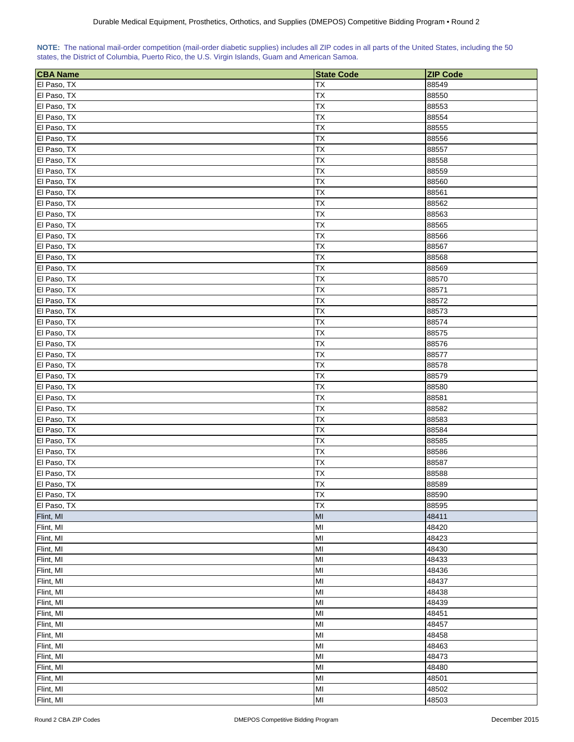| NOTE: The national mail-order competition (mail-order diabetic supplies) includes all ZIP codes in all parts of the United States, including the 50 |  |  |  |  |  |  |
|-----------------------------------------------------------------------------------------------------------------------------------------------------|--|--|--|--|--|--|
| states, the District of Columbia, Puerto Rico, the U.S. Virgin Islands, Guam and American Samoa.                                                    |  |  |  |  |  |  |

| <b>CBA Name</b> | <b>State Code</b> | <b>ZIP Code</b> |
|-----------------|-------------------|-----------------|
| El Paso, TX     | TX                | 88549           |
| El Paso, TX     | TX                | 88550           |
| El Paso, TX     | <b>TX</b>         | 88553           |
| El Paso, TX     | <b>TX</b>         | 88554           |
| El Paso, TX     | TX                | 88555           |
| El Paso, TX     | ТX                | 88556           |
| El Paso, TX     | TX                | 88557           |
| El Paso, TX     | ТX                | 88558           |
| El Paso, TX     | TX                | 88559           |
| El Paso, TX     | TX                | 88560           |
| El Paso, TX     | TХ                | 88561           |
| El Paso, TX     | TX                | 88562           |
| El Paso, TX     | TX                | 88563           |
| El Paso, TX     | TX                | 88565           |
| El Paso, TX     | TX                | 88566           |
| El Paso, TX     | ТX                | 88567           |
| El Paso, TX     | TX                | 88568           |
| El Paso, TX     | TX                | 88569           |
| El Paso, TX     | ТX                | 88570           |
| El Paso, TX     | TX                | 88571           |
| El Paso, TX     | TX                | 88572           |
| El Paso, TX     | ТX                | 88573           |
| El Paso, TX     | <b>ΤX</b>         | 88574           |
| El Paso, TX     | TX                | 88575           |
| El Paso, TX     | TX                | 88576           |
| El Paso, TX     | TX                | 88577           |
| El Paso, TX     | TX                | 88578           |
| El Paso, TX     | <b>TX</b>         | 88579           |
| El Paso, TX     | <b>TX</b>         | 88580           |
| El Paso, TX     | TX                | 88581           |
| El Paso, TX     | ТX                | 88582           |
| El Paso, TX     | TX                | 88583           |
| El Paso, TX     | ТX                | 88584           |
| El Paso, TX     | TX                | 88585           |
| El Paso, TX     | TX                | 88586           |
| El Paso, TX     | TX                | 88587           |
| El Paso, TX     | TX                | 88588           |
| El Paso, TX     | <b>TX</b>         | 88589           |
| El Paso, TX     | <b>TX</b>         | 88590           |
| El Paso, TX     | <b>TX</b>         | 88595           |
| Flint, MI       | MI                | 48411           |
| Flint, MI       | MI                | 48420           |
| Flint, MI       | MI                | 48423           |
| Flint, MI       | MI                | 48430           |
| Flint, MI       | MI                | 48433           |
| Flint, MI       | MI                | 48436           |
| Flint, MI       | MI                | 48437           |
| Flint, MI       | MI                | 48438           |
| Flint, MI       | MI                | 48439           |
| Flint, MI       | MI                | 48451           |
| Flint, MI       | MI                | 48457           |
| Flint, MI       | MI                | 48458           |
| Flint, MI       | MI                | 48463           |
| Flint, MI       | MI                | 48473           |
| Flint, MI       | MI                | 48480           |
| Flint, MI       | MI                | 48501           |
| Flint, MI       | MI                | 48502           |
| Flint, MI       | MI                | 48503           |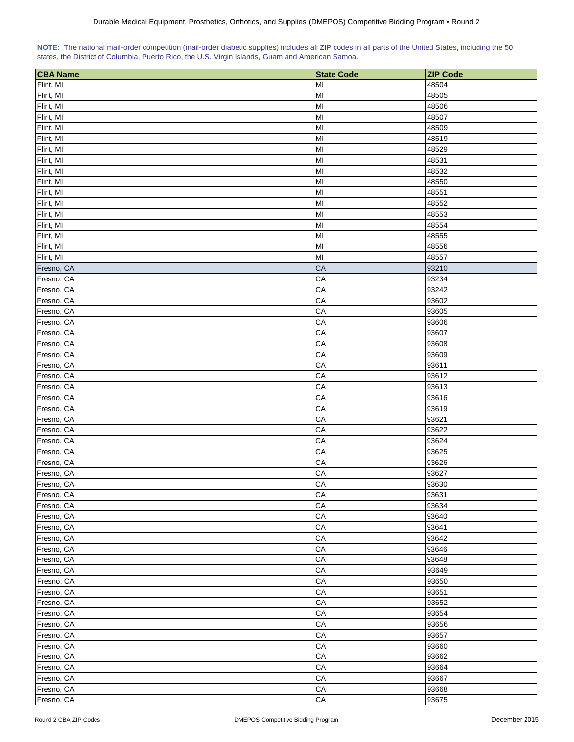| NOTE: The national mail-order competition (mail-order diabetic supplies) includes all ZIP codes in all parts of the United States, including the 50 |  |  |  |
|-----------------------------------------------------------------------------------------------------------------------------------------------------|--|--|--|
| states, the District of Columbia, Puerto Rico, the U.S. Virgin Islands, Guam and American Samoa.                                                    |  |  |  |

| <b>CBA Name</b> | <b>State Code</b> | <b>ZIP Code</b> |
|-----------------|-------------------|-----------------|
| Flint, MI       | MI                | 48504           |
| Flint, MI       | MI                | 48505           |
| Flint, MI       | MI                | 48506           |
| Flint, MI       | MI                | 48507           |
| Flint, MI       | MI                | 48509           |
| Flint, MI       | MI                | 48519           |
| Flint, MI       | MI                | 48529           |
| Flint, MI       | MI                | 48531           |
| Flint, MI       | MI                | 48532           |
| Flint, MI       | MI                | 48550           |
| Flint, MI       | MI                | 48551           |
| Flint, MI       | MI                | 48552           |
| Flint, MI       | MI                | 48553           |
| Flint, MI       | MI                | 48554           |
| Flint, MI       | MI                | 48555           |
| Flint, MI       | MI                | 48556           |
| Flint, MI       | MI                | 48557           |
| Fresno, CA      | CA                | 93210           |
| Fresno, CA      | CA                | 93234           |
| Fresno, CA      | CA                | 93242           |
| Fresno, CA      | CA                | 93602           |
| Fresno, CA      | CA                | 93605           |
| Fresno, CA      | CA                | 93606           |
| Fresno, CA      | CA                | 93607           |
| Fresno, CA      | CA                | 93608           |
| Fresno, CA      | CA                | 93609           |
| Fresno, CA      | CA                | 93611           |
| Fresno, CA      | CA                | 93612           |
| Fresno, CA      | CA                | 93613           |
| Fresno, CA      | CA                | 93616           |
| Fresno, CA      | CA                | 93619           |
| Fresno, CA      | CA                | 93621           |
| Fresno, CA      | CA                | 93622           |
| Fresno, CA      | CA                | 93624           |
| Fresno, CA      | CA                | 93625           |
| Fresno, CA      | CA                | 93626           |
| Fresno, CA      | CA                | 93627           |
| Fresno, CA      | CA                | 93630           |
| Fresno, CA      | CA                | 93631           |
| Fresno, CA      | CA                | 93634           |
| Fresno, CA      | CA                | 93640           |
| Fresno, CA      | CA                | 93641           |
| Fresno, CA      | CA                | 93642           |
| Fresno, CA      | CA                | 93646           |
| Fresno, CA      | CA                | 93648           |
| Fresno, CA      | CA                | 93649           |
| Fresno, CA      | CA                | 93650           |
| Fresno, CA      | CA                | 93651           |
| Fresno, CA      | CA                | 93652           |
| Fresno, CA      | CA                | 93654           |
| Fresno, CA      | CA                | 93656           |
| Fresno, CA      | CA                | 93657           |
| Fresno, CA      | CA                | 93660           |
| Fresno, CA      | CA                | 93662           |
| Fresno, CA      | CA                | 93664           |
| Fresno, CA      | CA                | 93667           |
| Fresno, CA      | CA                | 93668           |
| Fresno, CA      | ${\sf CA}$        | 93675           |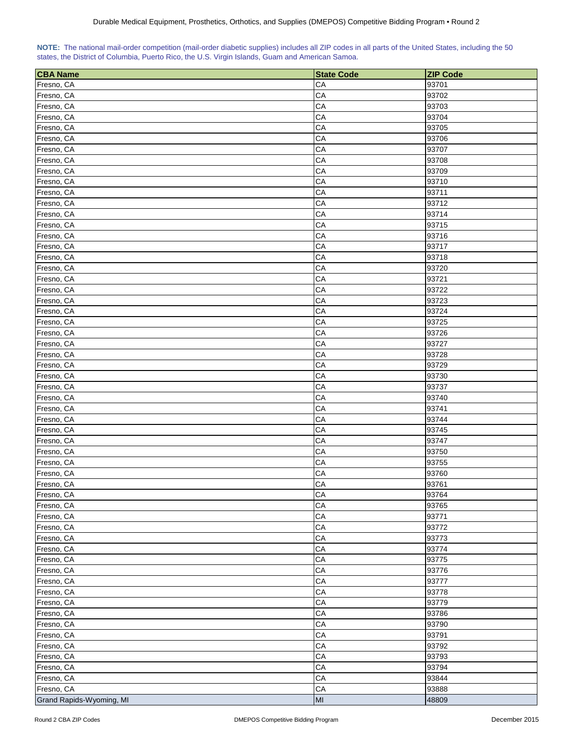|  |  | NOTE: The national mail-order competition (mail-order diabetic supplies) includes all ZIP codes in all parts of the United States, including the 50 |  |  |
|--|--|-----------------------------------------------------------------------------------------------------------------------------------------------------|--|--|
|  |  | states, the District of Columbia, Puerto Rico, the U.S. Virgin Islands, Guam and American Samoa.                                                    |  |  |

| <b>CBA Name</b>          | <b>State Code</b> | <b>ZIP Code</b> |
|--------------------------|-------------------|-----------------|
| Fresno, CA               | CA                | 93701           |
| Fresno, CA               | CA                | 93702           |
| Fresno, CA               | CA                | 93703           |
| Fresno, CA               | CA                | 93704           |
| Fresno, CA               | CA                | 93705           |
| Fresno, CA               | CA                | 93706           |
| Fresno, CA               | CA                | 93707           |
| Fresno, CA               | CA                | 93708           |
| Fresno, CA               | CA                | 93709           |
| Fresno, CA               | CA                | 93710           |
| Fresno, CA               | CA                | 93711           |
| Fresno, CA               | CA                | 93712           |
| Fresno, CA               | CA                | 93714           |
| Fresno, CA               | CA                | 93715           |
| Fresno, CA               | CA                | 93716           |
| Fresno, CA               | CA                | 93717           |
| Fresno, CA               | CA                | 93718           |
| Fresno, CA               | CA                | 93720           |
| Fresno, CA               | CA                | 93721           |
| Fresno, CA               | CA                | 93722           |
| Fresno, CA               | CA                | 93723           |
| Fresno, CA               | CA                | 93724           |
|                          | CA                |                 |
| Fresno, CA               | CA                | 93725           |
| Fresno, CA               | CA                | 93726           |
| Fresno, CA               |                   | 93727           |
| Fresno, CA               | CA                | 93728           |
| Fresno, CA               | CA                | 93729           |
| Fresno, CA               | CA                | 93730           |
| Fresno, CA               | CA                | 93737           |
| Fresno, CA               | CA                | 93740           |
| Fresno, CA               | CA                | 93741           |
| Fresno, CA               | CA                | 93744           |
| Fresno, CA               | CA                | 93745           |
| Fresno, CA               | CA                | 93747           |
| Fresno, CA               | CA                | 93750           |
| Fresno, CA               | CA                | 93755           |
| Fresno, CA               | CA                | 93760           |
| Fresno, CA               | CA                | 93761           |
| Fresno, CA               | CA                | 93764           |
| Fresno, CA               | CA                | 93765           |
| Fresno, CA               | CA                | 93771           |
| Fresno, CA               | CA                | 93772           |
| Fresno, CA               | CA                | 93773           |
| Fresno, CA               | CA                | 93774           |
| Fresno, CA               | CA                | 93775           |
| Fresno, CA               | CA                | 93776           |
| Fresno, CA               | CA                | 93777           |
| Fresno, CA               | CA                | 93778           |
| Fresno, CA               | CA                | 93779           |
| Fresno, CA               | CA                | 93786           |
| Fresno, CA               | CA                | 93790           |
| Fresno, CA               | CA                | 93791           |
| Fresno, CA               | CA                | 93792           |
| Fresno, CA               | CA                | 93793           |
| Fresno, CA               | CA                | 93794           |
| Fresno, CA               | CA                | 93844           |
| Fresno, CA               | ${\sf CA}$        | 93888           |
| Grand Rapids-Wyoming, MI | $\mathsf{MI}$     | 48809           |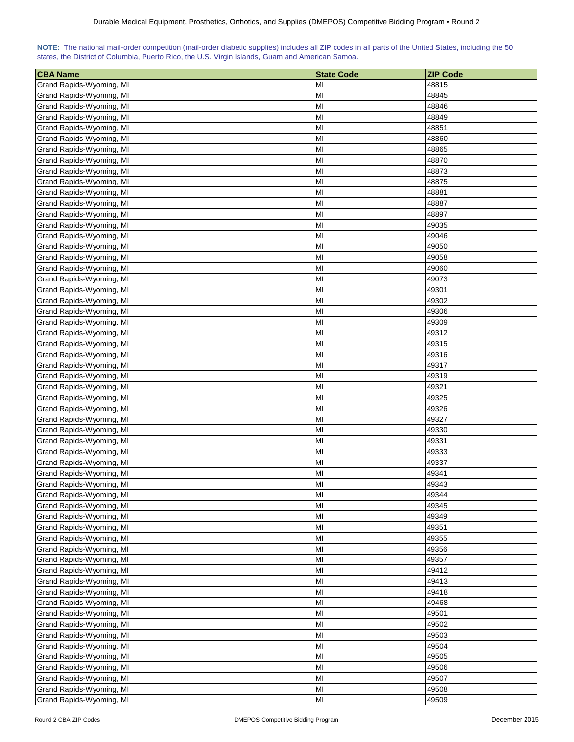| <b>CBA Name</b>          | <b>State Code</b> | <b>ZIP Code</b> |
|--------------------------|-------------------|-----------------|
| Grand Rapids-Wyoming, MI | MI                | 48815           |
| Grand Rapids-Wyoming, MI | MI                | 48845           |
| Grand Rapids-Wyoming, MI | MI                | 48846           |
| Grand Rapids-Wyoming, MI | MI                | 48849           |
| Grand Rapids-Wyoming, MI | MI                | 48851           |
| Grand Rapids-Wyoming, MI | MI                | 48860           |
| Grand Rapids-Wyoming, MI | MI                | 48865           |
| Grand Rapids-Wyoming, MI | MI                | 48870           |
| Grand Rapids-Wyoming, MI | MI                | 48873           |
| Grand Rapids-Wyoming, MI | MI                | 48875           |
| Grand Rapids-Wyoming, MI | MI                | 48881           |
| Grand Rapids-Wyoming, MI | MI                | 48887           |
| Grand Rapids-Wyoming, MI | MI                | 48897           |
| Grand Rapids-Wyoming, MI | MI                | 49035           |
| Grand Rapids-Wyoming, MI | MI                | 49046           |
| Grand Rapids-Wyoming, MI | MI                | 49050           |
|                          | MI                |                 |
| Grand Rapids-Wyoming, MI |                   | 49058           |
| Grand Rapids-Wyoming, MI | MI                | 49060           |
| Grand Rapids-Wyoming, MI | MI                | 49073           |
| Grand Rapids-Wyoming, MI | MI                | 49301           |
| Grand Rapids-Wyoming, MI | MI                | 49302           |
| Grand Rapids-Wyoming, MI | MI                | 49306           |
| Grand Rapids-Wyoming, MI | MI                | 49309           |
| Grand Rapids-Wyoming, MI | MI                | 49312           |
| Grand Rapids-Wyoming, MI | MI                | 49315           |
| Grand Rapids-Wyoming, MI | MI                | 49316           |
| Grand Rapids-Wyoming, MI | MI                | 49317           |
| Grand Rapids-Wyoming, MI | MI                | 49319           |
| Grand Rapids-Wyoming, MI | MI                | 49321           |
| Grand Rapids-Wyoming, MI | MI                | 49325           |
| Grand Rapids-Wyoming, MI | MI                | 49326           |
| Grand Rapids-Wyoming, MI | MI                | 49327           |
| Grand Rapids-Wyoming, MI | MI                | 49330           |
| Grand Rapids-Wyoming, MI | MI<br>MI          | 49331<br>49333  |
| Grand Rapids-Wyoming, MI |                   |                 |
| Grand Rapids-Wyoming, MI | MI                | 49337           |
| Grand Rapids-Wyoming, MI | MI<br>MI          | 49341<br>49343  |
| Grand Rapids-Wyoming, MI | MI                | 49344           |
| Grand Rapids-Wyoming, MI |                   |                 |
| Grand Rapids-Wyoming, MI | MI                | 49345           |
| Grand Rapids-Wyoming, MI | MI                | 49349           |
| Grand Rapids-Wyoming, MI | MI                | 49351           |
| Grand Rapids-Wyoming, MI | MI                | 49355           |
| Grand Rapids-Wyoming, MI | MI                | 49356           |
| Grand Rapids-Wyoming, MI | MI                | 49357           |
| Grand Rapids-Wyoming, MI | MI                | 49412           |
| Grand Rapids-Wyoming, MI | MI                | 49413           |
| Grand Rapids-Wyoming, MI | MI                | 49418           |
| Grand Rapids-Wyoming, MI | MI                | 49468           |
| Grand Rapids-Wyoming, MI | MI                | 49501           |
| Grand Rapids-Wyoming, MI | MI                | 49502           |
| Grand Rapids-Wyoming, MI | MI                | 49503           |
| Grand Rapids-Wyoming, MI | MI                | 49504           |
| Grand Rapids-Wyoming, MI | MI                | 49505           |
| Grand Rapids-Wyoming, MI | MI                | 49506           |
| Grand Rapids-Wyoming, MI | MI                | 49507           |
| Grand Rapids-Wyoming, MI | MI                | 49508           |
| Grand Rapids-Wyoming, MI | MI                | 49509           |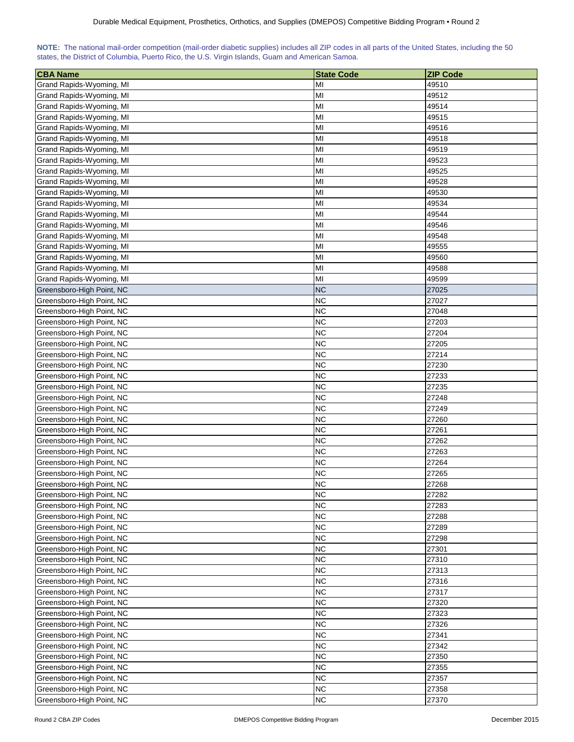| <b>CBA Name</b>                                        | <b>State Code</b>      | <b>ZIP Code</b> |
|--------------------------------------------------------|------------------------|-----------------|
| Grand Rapids-Wyoming, MI                               | MI                     | 49510           |
| Grand Rapids-Wyoming, MI                               | MI                     | 49512           |
| Grand Rapids-Wyoming, MI                               | MI                     | 49514           |
| Grand Rapids-Wyoming, MI                               | MI                     | 49515           |
| Grand Rapids-Wyoming, MI                               | MI                     | 49516           |
| Grand Rapids-Wyoming, MI                               | MI                     | 49518           |
| Grand Rapids-Wyoming, MI                               | MI                     | 49519           |
| Grand Rapids-Wyoming, MI                               | MI                     | 49523           |
| Grand Rapids-Wyoming, MI                               | MI                     | 49525           |
| Grand Rapids-Wyoming, MI                               | MI                     | 49528           |
| Grand Rapids-Wyoming, MI                               | MI                     | 49530           |
| Grand Rapids-Wyoming, MI                               | MI                     | 49534           |
| Grand Rapids-Wyoming, MI                               | MI                     | 49544           |
| Grand Rapids-Wyoming, MI                               | MI                     | 49546           |
| Grand Rapids-Wyoming, MI                               | MI                     | 49548           |
| Grand Rapids-Wyoming, MI                               | MI                     | 49555           |
| Grand Rapids-Wyoming, MI                               | MI                     | 49560           |
| Grand Rapids-Wyoming, MI                               | MI                     | 49588           |
| Grand Rapids-Wyoming, MI                               | MI                     | 49599           |
| Greensboro-High Point, NC                              | <b>NC</b>              | 27025           |
|                                                        |                        |                 |
| Greensboro-High Point, NC                              | <b>NC</b><br><b>NC</b> | 27027           |
| Greensboro-High Point, NC                              |                        | 27048           |
| Greensboro-High Point, NC                              | <b>NC</b>              | 27203           |
| Greensboro-High Point, NC                              | <b>NC</b><br><b>NC</b> | 27204<br>27205  |
| Greensboro-High Point, NC                              | <b>NC</b>              | 27214           |
| Greensboro-High Point, NC                              |                        |                 |
| Greensboro-High Point, NC                              | <b>NC</b><br><b>NC</b> | 27230<br>27233  |
| Greensboro-High Point, NC                              | <b>NC</b>              | 27235           |
| Greensboro-High Point, NC<br>Greensboro-High Point, NC | <b>NC</b>              | 27248           |
| Greensboro-High Point, NC                              | <b>NC</b>              | 27249           |
| Greensboro-High Point, NC                              | <b>NC</b>              | 27260           |
| Greensboro-High Point, NC                              | <b>NC</b>              | 27261           |
| Greensboro-High Point, NC                              | <b>NC</b>              | 27262           |
| Greensboro-High Point, NC                              | <b>NC</b>              | 27263           |
| Greensboro-High Point, NC                              | <b>NC</b>              | 27264           |
| Greensboro-High Point, NC                              | <b>NC</b>              | 27265           |
| Greensboro-High Point, NC                              | <b>NC</b>              | 27268           |
| Greensboro-High Point, NC                              | <b>NC</b>              | 27282           |
| Greensboro-High Point, NC                              | <b>NC</b>              | 27283           |
| Greensboro-High Point, NC                              | <b>NC</b>              | 27288           |
| Greensboro-High Point, NC                              | <b>NC</b>              | 27289           |
| Greensboro-High Point, NC                              | <b>NC</b>              | 27298           |
| Greensboro-High Point, NC                              | <b>NC</b>              | 27301           |
| Greensboro-High Point, NC                              | <b>NC</b>              | 27310           |
| Greensboro-High Point, NC                              | <b>NC</b>              | 27313           |
| Greensboro-High Point, NC                              | <b>NC</b>              | 27316           |
| Greensboro-High Point, NC                              | <b>NC</b>              | 27317           |
| Greensboro-High Point, NC                              | <b>NC</b>              | 27320           |
| Greensboro-High Point, NC                              | <b>NC</b>              | 27323           |
| Greensboro-High Point, NC                              | <b>NC</b>              | 27326           |
| Greensboro-High Point, NC                              | <b>NC</b>              | 27341           |
| Greensboro-High Point, NC                              | <b>NC</b>              | 27342           |
| Greensboro-High Point, NC                              | <b>NC</b>              | 27350           |
| Greensboro-High Point, NC                              | <b>NC</b>              | 27355           |
| Greensboro-High Point, NC                              | <b>NC</b>              | 27357           |
| Greensboro-High Point, NC                              | <b>NC</b>              | 27358           |
| Greensboro-High Point, NC                              | <b>NC</b>              | 27370           |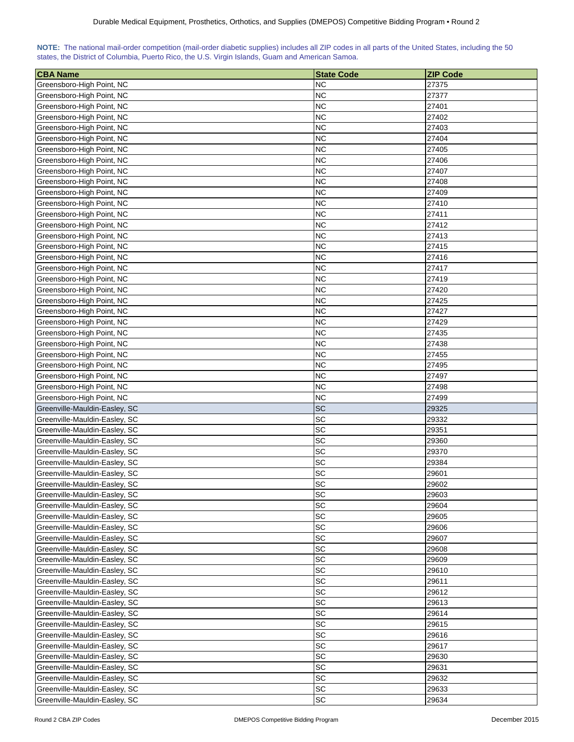| NOTE: The national mail-order competition (mail-order diabetic supplies) includes all ZIP codes in all parts of the United States, including the 50 |  |  |  |  |  |  |  |
|-----------------------------------------------------------------------------------------------------------------------------------------------------|--|--|--|--|--|--|--|
| states, the District of Columbia, Puerto Rico, the U.S. Virgin Islands, Guam and American Samoa.                                                    |  |  |  |  |  |  |  |

| <b>CBA Name</b>                                                | <b>State Code</b> | <b>ZIP Code</b> |
|----------------------------------------------------------------|-------------------|-----------------|
| Greensboro-High Point, NC                                      | <b>NC</b>         | 27375           |
| Greensboro-High Point, NC                                      | <b>NC</b>         | 27377           |
| Greensboro-High Point, NC                                      | <b>NC</b>         | 27401           |
| Greensboro-High Point, NC                                      | <b>NC</b>         | 27402           |
| Greensboro-High Point, NC                                      | <b>NC</b>         | 27403           |
| Greensboro-High Point, NC                                      | ΝC                | 27404           |
| Greensboro-High Point, NC                                      | <b>NC</b>         | 27405           |
| Greensboro-High Point, NC                                      | <b>NC</b>         | 27406           |
| Greensboro-High Point, NC                                      | <b>NC</b>         | 27407           |
| Greensboro-High Point, NC                                      | <b>NC</b>         | 27408           |
| Greensboro-High Point, NC                                      | <b>NC</b>         | 27409           |
| Greensboro-High Point, NC                                      | <b>NC</b>         | 27410           |
| Greensboro-High Point, NC                                      | <b>NC</b>         | 27411           |
| Greensboro-High Point, NC                                      | <b>NC</b>         | 27412           |
| Greensboro-High Point, NC                                      | <b>NC</b>         | 27413           |
| Greensboro-High Point, NC                                      | <b>NC</b>         | 27415           |
| Greensboro-High Point, NC                                      | <b>NC</b>         | 27416           |
| Greensboro-High Point, NC                                      | <b>NC</b>         | 27417           |
| Greensboro-High Point, NC                                      | <b>NC</b>         | 27419           |
| Greensboro-High Point, NC                                      | <b>NC</b>         | 27420           |
| Greensboro-High Point, NC                                      | <b>NC</b>         | 27425           |
| Greensboro-High Point, NC                                      | <b>NC</b>         | 27427           |
| Greensboro-High Point, NC                                      | <b>NC</b>         | 27429           |
| Greensboro-High Point, NC                                      | <b>NC</b>         | 27435           |
| Greensboro-High Point, NC                                      | <b>NC</b>         | 27438           |
| Greensboro-High Point, NC                                      | <b>NC</b>         | 27455           |
|                                                                | <b>NC</b>         |                 |
| Greensboro-High Point, NC                                      | <b>NC</b>         | 27495           |
| Greensboro-High Point, NC                                      | <b>NC</b>         | 27497           |
| Greensboro-High Point, NC                                      | <b>NC</b>         | 27498           |
| Greensboro-High Point, NC<br>Greenville-Mauldin-Easley, SC     | <b>SC</b>         | 27499<br>29325  |
| Greenville-Mauldin-Easley, SC                                  | SC                | 29332           |
| Greenville-Mauldin-Easley, SC                                  | <b>SC</b>         |                 |
| Greenville-Mauldin-Easley, SC                                  | SC                | 29351<br>29360  |
| Greenville-Mauldin-Easley, SC                                  | SC                | 29370           |
| Greenville-Mauldin-Easley, SC                                  | SC                | 29384           |
| Greenville-Mauldin-Easley, SC                                  | SC                | 29601           |
| Greenville-Mauldin-Easley, SC                                  | SC                | 29602           |
| Greenville-Mauldin-Easley, SC                                  | <b>SC</b>         | 29603           |
|                                                                | SC                | 29604           |
| Greenville-Mauldin-Easley, SC<br>Greenville-Mauldin-Easley, SC | <b>SC</b>         | 29605           |
| Greenville-Mauldin-Easley, SC                                  | SC                | 29606           |
|                                                                | SC                |                 |
| Greenville-Mauldin-Easley, SC                                  |                   | 29607           |
| Greenville-Mauldin-Easley, SC                                  | SC                | 29608           |
| Greenville-Mauldin-Easley, SC                                  | SC<br>SC          | 29609           |
| Greenville-Mauldin-Easley, SC                                  |                   | 29610           |
| Greenville-Mauldin-Easley, SC                                  | SC<br><b>SC</b>   | 29611           |
| Greenville-Mauldin-Easley, SC                                  |                   | 29612           |
| Greenville-Mauldin-Easley, SC                                  | <b>SC</b>         | 29613           |
| Greenville-Mauldin-Easley, SC                                  | <b>SC</b>         | 29614           |
| Greenville-Mauldin-Easley, SC                                  | <b>SC</b>         | 29615           |
| Greenville-Mauldin-Easley, SC                                  | <b>SC</b>         | 29616           |
| Greenville-Mauldin-Easley, SC                                  | <b>SC</b>         | 29617           |
| Greenville-Mauldin-Easley, SC                                  | SC                | 29630           |
| Greenville-Mauldin-Easley, SC                                  | SC                | 29631           |
| Greenville-Mauldin-Easley, SC                                  | <b>SC</b>         | 29632           |
| Greenville-Mauldin-Easley, SC                                  | SC<br><b>SC</b>   | 29633           |
| Greenville-Mauldin-Easley, SC                                  |                   | 29634           |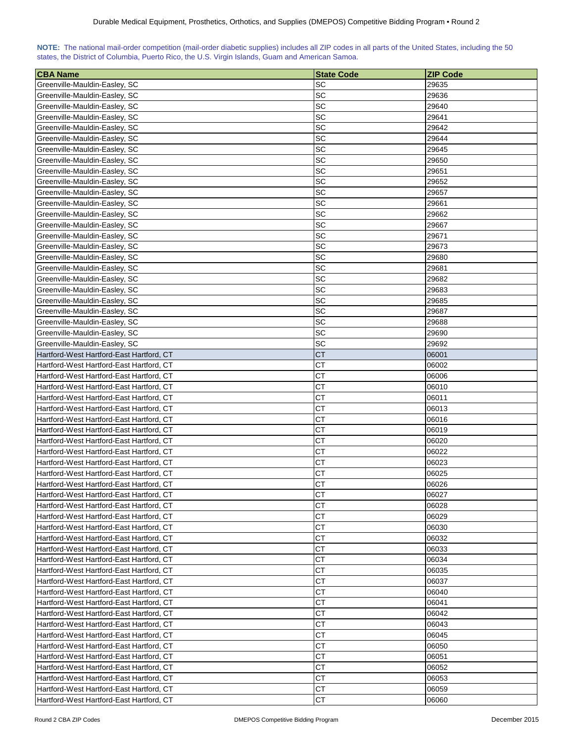| NOTE: The national mail-order competition (mail-order diabetic supplies) includes all ZIP codes in all parts of the United States, including the 50 |  |  |  |  |  |  |  |
|-----------------------------------------------------------------------------------------------------------------------------------------------------|--|--|--|--|--|--|--|
| states, the District of Columbia, Puerto Rico, the U.S. Virgin Islands, Guam and American Samoa.                                                    |  |  |  |  |  |  |  |

| ∣CBA Name                                | <b>State Code</b> | <b>ZIP Code</b> |
|------------------------------------------|-------------------|-----------------|
| Greenville-Mauldin-Easley, SC            | SC                | 29635           |
| Greenville-Mauldin-Easley, SC            | SC                | 29636           |
| Greenville-Mauldin-Easley, SC            | SC                | 29640           |
| Greenville-Mauldin-Easley, SC            | SC                | 29641           |
| Greenville-Mauldin-Easley, SC            | SC                | 29642           |
| Greenville-Mauldin-Easley, SC            | SC                | 29644           |
| Greenville-Mauldin-Easley, SC            | SC                | 29645           |
| Greenville-Mauldin-Easley, SC            | SC                | 29650           |
| Greenville-Mauldin-Easley, SC            | SC                | 29651           |
| Greenville-Mauldin-Easley, SC            | SC                | 29652           |
| Greenville-Mauldin-Easley, SC            | SC                | 29657           |
| Greenville-Mauldin-Easley, SC            | SC                | 29661           |
| Greenville-Mauldin-Easley, SC            | SC                | 29662           |
| Greenville-Mauldin-Easley, SC            | SC                | 29667           |
| Greenville-Mauldin-Easley, SC            | <b>SC</b>         | 29671           |
| Greenville-Mauldin-Easley, SC            | SC                | 29673           |
| Greenville-Mauldin-Easley, SC            | SC                | 29680           |
| Greenville-Mauldin-Easley, SC            | SC                | 29681           |
| Greenville-Mauldin-Easley, SC            | SC                | 29682           |
| Greenville-Mauldin-Easley, SC            | SC                | 29683           |
| Greenville-Mauldin-Easley, SC            | <b>SC</b>         | 29685           |
| Greenville-Mauldin-Easley, SC            | SC                | 29687           |
| Greenville-Mauldin-Easley, SC            | SC                | 29688           |
| Greenville-Mauldin-Easley, SC            | SC                | 29690           |
| Greenville-Mauldin-Easley, SC            | SC                | 29692           |
| Hartford-West Hartford-East Hartford, CT | <b>CT</b>         | 06001           |
| Hartford-West Hartford-East Hartford, CT | СT                | 06002           |
| Hartford-West Hartford-East Hartford, CT | СT                | 06006           |
| Hartford-West Hartford-East Hartford, CT | СT                | 06010           |
| Hartford-West Hartford-East Hartford, CT | <b>CT</b>         | 06011           |
| Hartford-West Hartford-East Hartford, CT | СT                | 06013           |
| Hartford-West Hartford-East Hartford, CT | СT                | 06016           |
| Hartford-West Hartford-East Hartford, CT | <b>CT</b>         | 06019           |
| Hartford-West Hartford-East Hartford, CT | <b>CT</b>         | 06020           |
| Hartford-West Hartford-East Hartford, CT | <b>CT</b>         | 06022           |
| Hartford-West Hartford-East Hartford, CT | СT                | 06023           |
| Hartford-West Hartford-East Hartford, CT | CT                | 06025           |
| Hartford-West Hartford-East Hartford, CT | CT                | 06026           |
| Hartford-West Hartford-East Hartford, CT | <b>CT</b>         | 06027           |
| Hartford-West Hartford-East Hartford, CT | <b>CT</b>         | 06028           |
| Hartford-West Hartford-East Hartford, CT | CT                | 06029           |
| Hartford-West Hartford-East Hartford, CT | CT                | 06030           |
| Hartford-West Hartford-East Hartford, CT | CT                | 06032           |
| Hartford-West Hartford-East Hartford, CT | CT                | 06033           |
| Hartford-West Hartford-East Hartford, CT | CT                | 06034           |
| Hartford-West Hartford-East Hartford, CT | CT                | 06035           |
| Hartford-West Hartford-East Hartford, CT | СT                | 06037           |
| Hartford-West Hartford-East Hartford, CT | <b>CT</b>         | 06040           |
| Hartford-West Hartford-East Hartford, CT | CT                | 06041           |
| Hartford-West Hartford-East Hartford, CT | <b>CT</b>         | 06042           |
| Hartford-West Hartford-East Hartford, CT | СT                | 06043           |
| Hartford-West Hartford-East Hartford, CT | <b>CT</b>         | 06045           |
| Hartford-West Hartford-East Hartford, CT | СT                | 06050           |
| Hartford-West Hartford-East Hartford, CT | СT                | 06051           |
| Hartford-West Hartford-East Hartford, CT | <b>CT</b>         | 06052           |
| Hartford-West Hartford-East Hartford, CT | СT                | 06053           |
| Hartford-West Hartford-East Hartford, CT | CT                | 06059           |
| Hartford-West Hartford-East Hartford, CT | CT                | 06060           |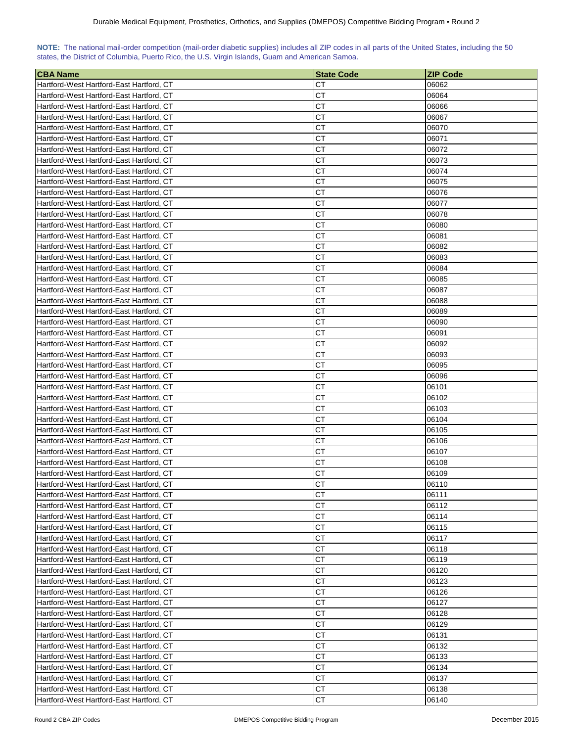| NOTE: The national mail-order competition (mail-order diabetic supplies) includes all ZIP codes in all parts of the United States, including the 50 |  |  |  |  |  |  |  |
|-----------------------------------------------------------------------------------------------------------------------------------------------------|--|--|--|--|--|--|--|
| states, the District of Columbia, Puerto Rico, the U.S. Virgin Islands, Guam and American Samoa.                                                    |  |  |  |  |  |  |  |

| <b>CBA Name</b>                          | <b>State Code</b> | <b>ZIP Code</b> |
|------------------------------------------|-------------------|-----------------|
| Hartford-West Hartford-East Hartford, CT | CТ                | 06062           |
| Hartford-West Hartford-East Hartford, CT | CТ                | 06064           |
| Hartford-West Hartford-East Hartford, CT | CТ                | 06066           |
| Hartford-West Hartford-East Hartford, CT | СT                | 06067           |
| Hartford-West Hartford-East Hartford, CT | CТ                | 06070           |
| Hartford-West Hartford-East Hartford, CT | CТ                | 06071           |
| Hartford-West Hartford-East Hartford, CT | CТ                | 06072           |
| Hartford-West Hartford-East Hartford, CT | CТ                | 06073           |
| Hartford-West Hartford-East Hartford, CT | CТ                | 06074           |
| Hartford-West Hartford-East Hartford, CT | CТ                | 06075           |
| Hartford-West Hartford-East Hartford, CT | CТ                | 06076           |
| Hartford-West Hartford-East Hartford, CT | СT                | 06077           |
| Hartford-West Hartford-East Hartford, CT | СT                | 06078           |
| Hartford-West Hartford-East Hartford, CT | CТ                | 06080           |
| Hartford-West Hartford-East Hartford, CT | CТ                | 06081           |
| Hartford-West Hartford-East Hartford, CT | CТ                | 06082           |
| Hartford-West Hartford-East Hartford, CT | CТ                | 06083           |
| Hartford-West Hartford-East Hartford, CT | CТ                | 06084           |
| Hartford-West Hartford-East Hartford, CT | CТ                | 06085           |
| Hartford-West Hartford-East Hartford, CT | CТ                | 06087           |
| Hartford-West Hartford-East Hartford, CT | СT                | 06088           |
| Hartford-West Hartford-East Hartford, CT | CТ                | 06089           |
| Hartford-West Hartford-East Hartford, CT | СT                | 06090           |
| Hartford-West Hartford-East Hartford, CT | CТ                | 06091           |
| Hartford-West Hartford-East Hartford, CT | CТ                | 06092           |
| Hartford-West Hartford-East Hartford, CT | CТ                | 06093           |
| Hartford-West Hartford-East Hartford, CT | CТ                | 06095           |
| Hartford-West Hartford-East Hartford, CT | CТ                | 06096           |
| Hartford-West Hartford-East Hartford, CT | CТ                | 06101           |
| Hartford-West Hartford-East Hartford, CT | CТ                | 06102           |
| Hartford-West Hartford-East Hartford, CT | CТ                | 06103           |
| Hartford-West Hartford-East Hartford, CT | CТ                | 06104           |
| Hartford-West Hartford-East Hartford, CT | CТ                | 06105           |
| Hartford-West Hartford-East Hartford, CT | CТ                | 06106           |
| Hartford-West Hartford-East Hartford, CT | CТ                | 06107           |
| Hartford-West Hartford-East Hartford, CT | CТ                | 06108           |
| Hartford-West Hartford-East Hartford, CT | CТ                | 06109           |
| Hartford-West Hartford-East Hartford, CT | CТ                | 06110           |
| Hartford-West Hartford-East Hartford, CT | <b>CT</b>         | 06111           |
| Hartford-West Hartford-East Hartford, CT | СT                | 06112           |
| Hartford-West Hartford-East Hartford, CT | СT                | 06114           |
| Hartford-West Hartford-East Hartford, CT | СT                | 06115           |
| Hartford-West Hartford-East Hartford, CT | СT                | 06117           |
| Hartford-West Hartford-East Hartford, CT | СT                | 06118           |
| Hartford-West Hartford-East Hartford, CT | СT                | 06119           |
| Hartford-West Hartford-East Hartford, CT | СT                | 06120           |
| Hartford-West Hartford-East Hartford, CT | СT                | 06123           |
| Hartford-West Hartford-East Hartford, CT | СT                | 06126           |
| Hartford-West Hartford-East Hartford, CT | СT                | 06127           |
| Hartford-West Hartford-East Hartford, CT | СT                | 06128           |
| Hartford-West Hartford-East Hartford, CT | СT                | 06129           |
| Hartford-West Hartford-East Hartford, CT | СT                | 06131           |
| Hartford-West Hartford-East Hartford, CT | СT                | 06132           |
| Hartford-West Hartford-East Hartford, CT | СT                | 06133           |
| Hartford-West Hartford-East Hartford, CT | СT                | 06134           |
| Hartford-West Hartford-East Hartford, CT | СT                | 06137           |
| Hartford-West Hartford-East Hartford, CT | СT                | 06138           |
| Hartford-West Hartford-East Hartford, CT | СT                | 06140           |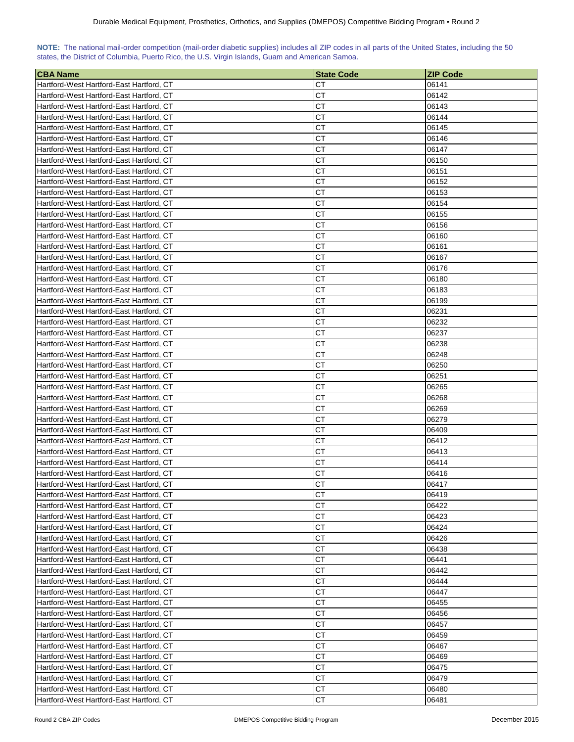| NOTE: The national mail-order competition (mail-order diabetic supplies) includes all ZIP codes in all parts of the United States, including the 50 |  |  |  |  |  |  |  |
|-----------------------------------------------------------------------------------------------------------------------------------------------------|--|--|--|--|--|--|--|
| states, the District of Columbia, Puerto Rico, the U.S. Virgin Islands, Guam and American Samoa.                                                    |  |  |  |  |  |  |  |

| <b>CBA Name</b>                          | <b>State Code</b> | ZIP Code |
|------------------------------------------|-------------------|----------|
| Hartford-West Hartford-East Hartford, CT | CТ                | 06141    |
| Hartford-West Hartford-East Hartford, CT | CТ                | 06142    |
| Hartford-West Hartford-East Hartford, CT | CТ                | 06143    |
| Hartford-West Hartford-East Hartford, CT | СT                | 06144    |
| Hartford-West Hartford-East Hartford, CT | СT                | 06145    |
| Hartford-West Hartford-East Hartford, CT | СT                | 06146    |
| Hartford-West Hartford-East Hartford, CT | СT                | 06147    |
| Hartford-West Hartford-East Hartford, CT | СT                | 06150    |
| Hartford-West Hartford-East Hartford, CT | СT                | 06151    |
| Hartford-West Hartford-East Hartford, CT | СT                | 06152    |
| Hartford-West Hartford-East Hartford, CT | СT                | 06153    |
| Hartford-West Hartford-East Hartford, CT | СT                | 06154    |
| Hartford-West Hartford-East Hartford, CT | CТ                | 06155    |
| Hartford-West Hartford-East Hartford, CT | CТ                | 06156    |
| Hartford-West Hartford-East Hartford, CT | СT                | 06160    |
| Hartford-West Hartford-East Hartford, CT | СT                | 06161    |
| Hartford-West Hartford-East Hartford, CT | СT                | 06167    |
| Hartford-West Hartford-East Hartford, CT | СT                | 06176    |
| Hartford-West Hartford-East Hartford, CT | СT                | 06180    |
| Hartford-West Hartford-East Hartford, CT | СT                | 06183    |
| Hartford-West Hartford-East Hartford, CT | CТ                | 06199    |
| Hartford-West Hartford-East Hartford, CT | СT                | 06231    |
| Hartford-West Hartford-East Hartford, CT | СT                | 06232    |
| Hartford-West Hartford-East Hartford, CT | CТ                | 06237    |
| Hartford-West Hartford-East Hartford, CT | CТ                | 06238    |
| Hartford-West Hartford-East Hartford, CT | СT                | 06248    |
| Hartford-West Hartford-East Hartford, CT | CТ                | 06250    |
| Hartford-West Hartford-East Hartford, CT | СT                | 06251    |
| Hartford-West Hartford-East Hartford, CT | CТ                | 06265    |
| Hartford-West Hartford-East Hartford, CT | CТ                | 06268    |
| Hartford-West Hartford-East Hartford, CT | CТ                | 06269    |
| Hartford-West Hartford-East Hartford, CT | CТ                | 06279    |
| Hartford-West Hartford-East Hartford, CT | CТ                | 06409    |
| Hartford-West Hartford-East Hartford, CT | СT                | 06412    |
| Hartford-West Hartford-East Hartford, CT | СT                | 06413    |
| Hartford-West Hartford-East Hartford, CT | CТ                | 06414    |
| Hartford-West Hartford-East Hartford, CT | СT                | 06416    |
| Hartford-West Hartford-East Hartford, CT | CТ                | 06417    |
| Hartford-West Hartford-East Hartford, CT | <b>CT</b>         | 06419    |
| Hartford-West Hartford-East Hartford, CT | СT                | 06422    |
| Hartford-West Hartford-East Hartford, CT | CТ                | 06423    |
| Hartford-West Hartford-East Hartford, CT | СT                | 06424    |
| Hartford-West Hartford-East Hartford, CT | СT                | 06426    |
| Hartford-West Hartford-East Hartford, CT | СT                | 06438    |
| Hartford-West Hartford-East Hartford, CT | СT                | 06441    |
| Hartford-West Hartford-East Hartford, CT | СT                | 06442    |
| Hartford-West Hartford-East Hartford, CT | СT                | 06444    |
| Hartford-West Hartford-East Hartford, CT | <b>CT</b>         | 06447    |
| Hartford-West Hartford-East Hartford, CT | СT                | 06455    |
| Hartford-West Hartford-East Hartford, CT | СT                | 06456    |
| Hartford-West Hartford-East Hartford, CT | СT                | 06457    |
| Hartford-West Hartford-East Hartford, CT | CТ                | 06459    |
| Hartford-West Hartford-East Hartford, CT | СT                | 06467    |
| Hartford-West Hartford-East Hartford, CT | СT                | 06469    |
| Hartford-West Hartford-East Hartford, CT | СT                | 06475    |
| Hartford-West Hartford-East Hartford, CT | СT                | 06479    |
| Hartford-West Hartford-East Hartford, CT | СT                | 06480    |
| Hartford-West Hartford-East Hartford, CT | CT                | 06481    |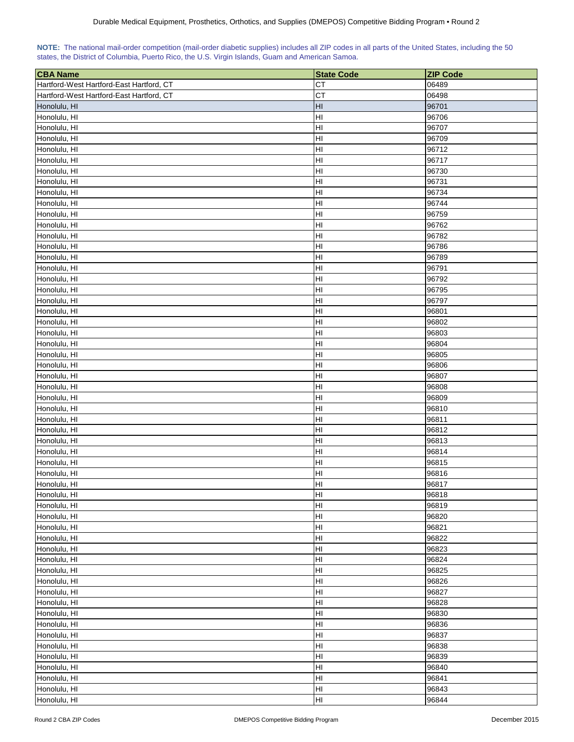|                                                                                                  |  |  |  |  | NOTE: The national mail-order competition (mail-order diabetic supplies) includes all ZIP codes in all parts of the United States, including the 50 |  |
|--------------------------------------------------------------------------------------------------|--|--|--|--|-----------------------------------------------------------------------------------------------------------------------------------------------------|--|
| states, the District of Columbia, Puerto Rico, the U.S. Virgin Islands, Guam and American Samoa. |  |  |  |  |                                                                                                                                                     |  |

| <b>CT</b><br>06489<br>Hartford-West Hartford-East Hartford, CT<br>CT<br>Hartford-West Hartford-East Hartford, CT<br>06498<br>H <sub>II</sub><br>Honolulu, HI<br>96701<br>HI<br>Honolulu, HI<br>96706<br>HI<br>96707<br>Honolulu, HI<br>HI<br>96709<br>Honolulu, HI<br>HI<br>Honolulu, HI<br>96712<br>HI<br>Honolulu, HI<br>96717<br>H <sub>II</sub><br>Honolulu, HI<br>96730<br>HI<br>Honolulu, HI<br>96731<br>HI<br>96734<br>Honolulu, HI<br>HI<br>Honolulu, HI<br>96744<br>HI<br>96759<br>Honolulu, HI<br>HI<br>96762<br>Honolulu, HI<br>HI<br>Honolulu, HI<br>96782<br>H <sub>l</sub><br>Honolulu, HI<br>96786<br>H <sub>II</sub><br>96789<br>Honolulu, HI<br>H <sub>II</sub><br>Honolulu, HI<br>96791<br>H <sub>II</sub><br>96792<br>Honolulu, HI<br>H <sub>II</sub><br>Honolulu, HI<br>96795<br>HI<br>Honolulu, HI<br>96797<br>HI<br>Honolulu, HI<br>96801<br>HI<br>Honolulu, HI<br>96802<br>HI<br>96803<br>Honolulu, HI<br>HI<br>96804<br>Honolulu, HI<br>HI<br>96805<br>Honolulu, HI<br>HI<br>96806<br>Honolulu, HI<br>HI<br>Honolulu, HI<br>96807<br>HI<br>Honolulu, HI<br>96808<br>HI<br>96809<br>Honolulu, HI<br>HI<br>96810<br>Honolulu, HI<br>HI<br>Honolulu, HI<br>96811<br>HI<br>Honolulu, HI<br>96812<br>НI<br>Honolulu, HI<br>96813<br>HI<br>Honolulu, HI<br>96814<br>HI<br>Honolulu, HI<br>96815<br>HI<br>Honolulu, HI<br>96816<br>HІ<br>Honolulu, HI<br>96817<br>ŀШ<br>96818<br>Honolulu, HI<br>HI<br>96819<br>Honolulu, HI<br>Honolulu, HI<br>HI<br>96820<br>HI<br>96821<br>Honolulu, HI<br>HI<br>Honolulu, HI<br>96822<br>HI<br>Honolulu, HI<br>96823<br>HI<br>Honolulu, HI<br>96824<br>HI<br>Honolulu, HI<br>96825<br>HI<br>Honolulu, HI<br>96826<br>HI<br>96827<br>Honolulu, HI<br>HI<br>Honolulu, HI<br>96828<br>HI<br>Honolulu, HI<br>96830<br>HI<br>Honolulu, HI<br>96836<br>HI<br>Honolulu, HI<br>96837<br>HI<br>96838<br>Honolulu, HI<br>HI<br>Honolulu, HI<br>96839<br>HI<br>Honolulu, HI<br>96840<br>H <sub>l</sub><br>Honolulu, HI<br>96841<br>H <sub>II</sub><br>96843<br>Honolulu, HI | <b>CBA Name</b> | <b>State Code</b> | <b>ZIP Code</b> |
|-----------------------------------------------------------------------------------------------------------------------------------------------------------------------------------------------------------------------------------------------------------------------------------------------------------------------------------------------------------------------------------------------------------------------------------------------------------------------------------------------------------------------------------------------------------------------------------------------------------------------------------------------------------------------------------------------------------------------------------------------------------------------------------------------------------------------------------------------------------------------------------------------------------------------------------------------------------------------------------------------------------------------------------------------------------------------------------------------------------------------------------------------------------------------------------------------------------------------------------------------------------------------------------------------------------------------------------------------------------------------------------------------------------------------------------------------------------------------------------------------------------------------------------------------------------------------------------------------------------------------------------------------------------------------------------------------------------------------------------------------------------------------------------------------------------------------------------------------------------------------------------------------------------------------------------------------------------------------------------------------------------------------|-----------------|-------------------|-----------------|
|                                                                                                                                                                                                                                                                                                                                                                                                                                                                                                                                                                                                                                                                                                                                                                                                                                                                                                                                                                                                                                                                                                                                                                                                                                                                                                                                                                                                                                                                                                                                                                                                                                                                                                                                                                                                                                                                                                                                                                                                                       |                 |                   |                 |
|                                                                                                                                                                                                                                                                                                                                                                                                                                                                                                                                                                                                                                                                                                                                                                                                                                                                                                                                                                                                                                                                                                                                                                                                                                                                                                                                                                                                                                                                                                                                                                                                                                                                                                                                                                                                                                                                                                                                                                                                                       |                 |                   |                 |
|                                                                                                                                                                                                                                                                                                                                                                                                                                                                                                                                                                                                                                                                                                                                                                                                                                                                                                                                                                                                                                                                                                                                                                                                                                                                                                                                                                                                                                                                                                                                                                                                                                                                                                                                                                                                                                                                                                                                                                                                                       |                 |                   |                 |
|                                                                                                                                                                                                                                                                                                                                                                                                                                                                                                                                                                                                                                                                                                                                                                                                                                                                                                                                                                                                                                                                                                                                                                                                                                                                                                                                                                                                                                                                                                                                                                                                                                                                                                                                                                                                                                                                                                                                                                                                                       |                 |                   |                 |
|                                                                                                                                                                                                                                                                                                                                                                                                                                                                                                                                                                                                                                                                                                                                                                                                                                                                                                                                                                                                                                                                                                                                                                                                                                                                                                                                                                                                                                                                                                                                                                                                                                                                                                                                                                                                                                                                                                                                                                                                                       |                 |                   |                 |
|                                                                                                                                                                                                                                                                                                                                                                                                                                                                                                                                                                                                                                                                                                                                                                                                                                                                                                                                                                                                                                                                                                                                                                                                                                                                                                                                                                                                                                                                                                                                                                                                                                                                                                                                                                                                                                                                                                                                                                                                                       |                 |                   |                 |
|                                                                                                                                                                                                                                                                                                                                                                                                                                                                                                                                                                                                                                                                                                                                                                                                                                                                                                                                                                                                                                                                                                                                                                                                                                                                                                                                                                                                                                                                                                                                                                                                                                                                                                                                                                                                                                                                                                                                                                                                                       |                 |                   |                 |
|                                                                                                                                                                                                                                                                                                                                                                                                                                                                                                                                                                                                                                                                                                                                                                                                                                                                                                                                                                                                                                                                                                                                                                                                                                                                                                                                                                                                                                                                                                                                                                                                                                                                                                                                                                                                                                                                                                                                                                                                                       |                 |                   |                 |
|                                                                                                                                                                                                                                                                                                                                                                                                                                                                                                                                                                                                                                                                                                                                                                                                                                                                                                                                                                                                                                                                                                                                                                                                                                                                                                                                                                                                                                                                                                                                                                                                                                                                                                                                                                                                                                                                                                                                                                                                                       |                 |                   |                 |
|                                                                                                                                                                                                                                                                                                                                                                                                                                                                                                                                                                                                                                                                                                                                                                                                                                                                                                                                                                                                                                                                                                                                                                                                                                                                                                                                                                                                                                                                                                                                                                                                                                                                                                                                                                                                                                                                                                                                                                                                                       |                 |                   |                 |
|                                                                                                                                                                                                                                                                                                                                                                                                                                                                                                                                                                                                                                                                                                                                                                                                                                                                                                                                                                                                                                                                                                                                                                                                                                                                                                                                                                                                                                                                                                                                                                                                                                                                                                                                                                                                                                                                                                                                                                                                                       |                 |                   |                 |
|                                                                                                                                                                                                                                                                                                                                                                                                                                                                                                                                                                                                                                                                                                                                                                                                                                                                                                                                                                                                                                                                                                                                                                                                                                                                                                                                                                                                                                                                                                                                                                                                                                                                                                                                                                                                                                                                                                                                                                                                                       |                 |                   |                 |
|                                                                                                                                                                                                                                                                                                                                                                                                                                                                                                                                                                                                                                                                                                                                                                                                                                                                                                                                                                                                                                                                                                                                                                                                                                                                                                                                                                                                                                                                                                                                                                                                                                                                                                                                                                                                                                                                                                                                                                                                                       |                 |                   |                 |
|                                                                                                                                                                                                                                                                                                                                                                                                                                                                                                                                                                                                                                                                                                                                                                                                                                                                                                                                                                                                                                                                                                                                                                                                                                                                                                                                                                                                                                                                                                                                                                                                                                                                                                                                                                                                                                                                                                                                                                                                                       |                 |                   |                 |
|                                                                                                                                                                                                                                                                                                                                                                                                                                                                                                                                                                                                                                                                                                                                                                                                                                                                                                                                                                                                                                                                                                                                                                                                                                                                                                                                                                                                                                                                                                                                                                                                                                                                                                                                                                                                                                                                                                                                                                                                                       |                 |                   |                 |
|                                                                                                                                                                                                                                                                                                                                                                                                                                                                                                                                                                                                                                                                                                                                                                                                                                                                                                                                                                                                                                                                                                                                                                                                                                                                                                                                                                                                                                                                                                                                                                                                                                                                                                                                                                                                                                                                                                                                                                                                                       |                 |                   |                 |
|                                                                                                                                                                                                                                                                                                                                                                                                                                                                                                                                                                                                                                                                                                                                                                                                                                                                                                                                                                                                                                                                                                                                                                                                                                                                                                                                                                                                                                                                                                                                                                                                                                                                                                                                                                                                                                                                                                                                                                                                                       |                 |                   |                 |
|                                                                                                                                                                                                                                                                                                                                                                                                                                                                                                                                                                                                                                                                                                                                                                                                                                                                                                                                                                                                                                                                                                                                                                                                                                                                                                                                                                                                                                                                                                                                                                                                                                                                                                                                                                                                                                                                                                                                                                                                                       |                 |                   |                 |
|                                                                                                                                                                                                                                                                                                                                                                                                                                                                                                                                                                                                                                                                                                                                                                                                                                                                                                                                                                                                                                                                                                                                                                                                                                                                                                                                                                                                                                                                                                                                                                                                                                                                                                                                                                                                                                                                                                                                                                                                                       |                 |                   |                 |
|                                                                                                                                                                                                                                                                                                                                                                                                                                                                                                                                                                                                                                                                                                                                                                                                                                                                                                                                                                                                                                                                                                                                                                                                                                                                                                                                                                                                                                                                                                                                                                                                                                                                                                                                                                                                                                                                                                                                                                                                                       |                 |                   |                 |
|                                                                                                                                                                                                                                                                                                                                                                                                                                                                                                                                                                                                                                                                                                                                                                                                                                                                                                                                                                                                                                                                                                                                                                                                                                                                                                                                                                                                                                                                                                                                                                                                                                                                                                                                                                                                                                                                                                                                                                                                                       |                 |                   |                 |
|                                                                                                                                                                                                                                                                                                                                                                                                                                                                                                                                                                                                                                                                                                                                                                                                                                                                                                                                                                                                                                                                                                                                                                                                                                                                                                                                                                                                                                                                                                                                                                                                                                                                                                                                                                                                                                                                                                                                                                                                                       |                 |                   |                 |
|                                                                                                                                                                                                                                                                                                                                                                                                                                                                                                                                                                                                                                                                                                                                                                                                                                                                                                                                                                                                                                                                                                                                                                                                                                                                                                                                                                                                                                                                                                                                                                                                                                                                                                                                                                                                                                                                                                                                                                                                                       |                 |                   |                 |
|                                                                                                                                                                                                                                                                                                                                                                                                                                                                                                                                                                                                                                                                                                                                                                                                                                                                                                                                                                                                                                                                                                                                                                                                                                                                                                                                                                                                                                                                                                                                                                                                                                                                                                                                                                                                                                                                                                                                                                                                                       |                 |                   |                 |
|                                                                                                                                                                                                                                                                                                                                                                                                                                                                                                                                                                                                                                                                                                                                                                                                                                                                                                                                                                                                                                                                                                                                                                                                                                                                                                                                                                                                                                                                                                                                                                                                                                                                                                                                                                                                                                                                                                                                                                                                                       |                 |                   |                 |
|                                                                                                                                                                                                                                                                                                                                                                                                                                                                                                                                                                                                                                                                                                                                                                                                                                                                                                                                                                                                                                                                                                                                                                                                                                                                                                                                                                                                                                                                                                                                                                                                                                                                                                                                                                                                                                                                                                                                                                                                                       |                 |                   |                 |
|                                                                                                                                                                                                                                                                                                                                                                                                                                                                                                                                                                                                                                                                                                                                                                                                                                                                                                                                                                                                                                                                                                                                                                                                                                                                                                                                                                                                                                                                                                                                                                                                                                                                                                                                                                                                                                                                                                                                                                                                                       |                 |                   |                 |
|                                                                                                                                                                                                                                                                                                                                                                                                                                                                                                                                                                                                                                                                                                                                                                                                                                                                                                                                                                                                                                                                                                                                                                                                                                                                                                                                                                                                                                                                                                                                                                                                                                                                                                                                                                                                                                                                                                                                                                                                                       |                 |                   |                 |
|                                                                                                                                                                                                                                                                                                                                                                                                                                                                                                                                                                                                                                                                                                                                                                                                                                                                                                                                                                                                                                                                                                                                                                                                                                                                                                                                                                                                                                                                                                                                                                                                                                                                                                                                                                                                                                                                                                                                                                                                                       |                 |                   |                 |
|                                                                                                                                                                                                                                                                                                                                                                                                                                                                                                                                                                                                                                                                                                                                                                                                                                                                                                                                                                                                                                                                                                                                                                                                                                                                                                                                                                                                                                                                                                                                                                                                                                                                                                                                                                                                                                                                                                                                                                                                                       |                 |                   |                 |
|                                                                                                                                                                                                                                                                                                                                                                                                                                                                                                                                                                                                                                                                                                                                                                                                                                                                                                                                                                                                                                                                                                                                                                                                                                                                                                                                                                                                                                                                                                                                                                                                                                                                                                                                                                                                                                                                                                                                                                                                                       |                 |                   |                 |
|                                                                                                                                                                                                                                                                                                                                                                                                                                                                                                                                                                                                                                                                                                                                                                                                                                                                                                                                                                                                                                                                                                                                                                                                                                                                                                                                                                                                                                                                                                                                                                                                                                                                                                                                                                                                                                                                                                                                                                                                                       |                 |                   |                 |
|                                                                                                                                                                                                                                                                                                                                                                                                                                                                                                                                                                                                                                                                                                                                                                                                                                                                                                                                                                                                                                                                                                                                                                                                                                                                                                                                                                                                                                                                                                                                                                                                                                                                                                                                                                                                                                                                                                                                                                                                                       |                 |                   |                 |
|                                                                                                                                                                                                                                                                                                                                                                                                                                                                                                                                                                                                                                                                                                                                                                                                                                                                                                                                                                                                                                                                                                                                                                                                                                                                                                                                                                                                                                                                                                                                                                                                                                                                                                                                                                                                                                                                                                                                                                                                                       |                 |                   |                 |
|                                                                                                                                                                                                                                                                                                                                                                                                                                                                                                                                                                                                                                                                                                                                                                                                                                                                                                                                                                                                                                                                                                                                                                                                                                                                                                                                                                                                                                                                                                                                                                                                                                                                                                                                                                                                                                                                                                                                                                                                                       |                 |                   |                 |
|                                                                                                                                                                                                                                                                                                                                                                                                                                                                                                                                                                                                                                                                                                                                                                                                                                                                                                                                                                                                                                                                                                                                                                                                                                                                                                                                                                                                                                                                                                                                                                                                                                                                                                                                                                                                                                                                                                                                                                                                                       |                 |                   |                 |
|                                                                                                                                                                                                                                                                                                                                                                                                                                                                                                                                                                                                                                                                                                                                                                                                                                                                                                                                                                                                                                                                                                                                                                                                                                                                                                                                                                                                                                                                                                                                                                                                                                                                                                                                                                                                                                                                                                                                                                                                                       |                 |                   |                 |
|                                                                                                                                                                                                                                                                                                                                                                                                                                                                                                                                                                                                                                                                                                                                                                                                                                                                                                                                                                                                                                                                                                                                                                                                                                                                                                                                                                                                                                                                                                                                                                                                                                                                                                                                                                                                                                                                                                                                                                                                                       |                 |                   |                 |
|                                                                                                                                                                                                                                                                                                                                                                                                                                                                                                                                                                                                                                                                                                                                                                                                                                                                                                                                                                                                                                                                                                                                                                                                                                                                                                                                                                                                                                                                                                                                                                                                                                                                                                                                                                                                                                                                                                                                                                                                                       |                 |                   |                 |
|                                                                                                                                                                                                                                                                                                                                                                                                                                                                                                                                                                                                                                                                                                                                                                                                                                                                                                                                                                                                                                                                                                                                                                                                                                                                                                                                                                                                                                                                                                                                                                                                                                                                                                                                                                                                                                                                                                                                                                                                                       |                 |                   |                 |
|                                                                                                                                                                                                                                                                                                                                                                                                                                                                                                                                                                                                                                                                                                                                                                                                                                                                                                                                                                                                                                                                                                                                                                                                                                                                                                                                                                                                                                                                                                                                                                                                                                                                                                                                                                                                                                                                                                                                                                                                                       |                 |                   |                 |
|                                                                                                                                                                                                                                                                                                                                                                                                                                                                                                                                                                                                                                                                                                                                                                                                                                                                                                                                                                                                                                                                                                                                                                                                                                                                                                                                                                                                                                                                                                                                                                                                                                                                                                                                                                                                                                                                                                                                                                                                                       |                 |                   |                 |
|                                                                                                                                                                                                                                                                                                                                                                                                                                                                                                                                                                                                                                                                                                                                                                                                                                                                                                                                                                                                                                                                                                                                                                                                                                                                                                                                                                                                                                                                                                                                                                                                                                                                                                                                                                                                                                                                                                                                                                                                                       |                 |                   |                 |
|                                                                                                                                                                                                                                                                                                                                                                                                                                                                                                                                                                                                                                                                                                                                                                                                                                                                                                                                                                                                                                                                                                                                                                                                                                                                                                                                                                                                                                                                                                                                                                                                                                                                                                                                                                                                                                                                                                                                                                                                                       |                 |                   |                 |
|                                                                                                                                                                                                                                                                                                                                                                                                                                                                                                                                                                                                                                                                                                                                                                                                                                                                                                                                                                                                                                                                                                                                                                                                                                                                                                                                                                                                                                                                                                                                                                                                                                                                                                                                                                                                                                                                                                                                                                                                                       |                 |                   |                 |
|                                                                                                                                                                                                                                                                                                                                                                                                                                                                                                                                                                                                                                                                                                                                                                                                                                                                                                                                                                                                                                                                                                                                                                                                                                                                                                                                                                                                                                                                                                                                                                                                                                                                                                                                                                                                                                                                                                                                                                                                                       |                 |                   |                 |
|                                                                                                                                                                                                                                                                                                                                                                                                                                                                                                                                                                                                                                                                                                                                                                                                                                                                                                                                                                                                                                                                                                                                                                                                                                                                                                                                                                                                                                                                                                                                                                                                                                                                                                                                                                                                                                                                                                                                                                                                                       |                 |                   |                 |
|                                                                                                                                                                                                                                                                                                                                                                                                                                                                                                                                                                                                                                                                                                                                                                                                                                                                                                                                                                                                                                                                                                                                                                                                                                                                                                                                                                                                                                                                                                                                                                                                                                                                                                                                                                                                                                                                                                                                                                                                                       |                 |                   |                 |
|                                                                                                                                                                                                                                                                                                                                                                                                                                                                                                                                                                                                                                                                                                                                                                                                                                                                                                                                                                                                                                                                                                                                                                                                                                                                                                                                                                                                                                                                                                                                                                                                                                                                                                                                                                                                                                                                                                                                                                                                                       |                 |                   |                 |
|                                                                                                                                                                                                                                                                                                                                                                                                                                                                                                                                                                                                                                                                                                                                                                                                                                                                                                                                                                                                                                                                                                                                                                                                                                                                                                                                                                                                                                                                                                                                                                                                                                                                                                                                                                                                                                                                                                                                                                                                                       |                 |                   |                 |
|                                                                                                                                                                                                                                                                                                                                                                                                                                                                                                                                                                                                                                                                                                                                                                                                                                                                                                                                                                                                                                                                                                                                                                                                                                                                                                                                                                                                                                                                                                                                                                                                                                                                                                                                                                                                                                                                                                                                                                                                                       |                 |                   |                 |
|                                                                                                                                                                                                                                                                                                                                                                                                                                                                                                                                                                                                                                                                                                                                                                                                                                                                                                                                                                                                                                                                                                                                                                                                                                                                                                                                                                                                                                                                                                                                                                                                                                                                                                                                                                                                                                                                                                                                                                                                                       |                 |                   |                 |
|                                                                                                                                                                                                                                                                                                                                                                                                                                                                                                                                                                                                                                                                                                                                                                                                                                                                                                                                                                                                                                                                                                                                                                                                                                                                                                                                                                                                                                                                                                                                                                                                                                                                                                                                                                                                                                                                                                                                                                                                                       |                 |                   |                 |
|                                                                                                                                                                                                                                                                                                                                                                                                                                                                                                                                                                                                                                                                                                                                                                                                                                                                                                                                                                                                                                                                                                                                                                                                                                                                                                                                                                                                                                                                                                                                                                                                                                                                                                                                                                                                                                                                                                                                                                                                                       |                 |                   |                 |
|                                                                                                                                                                                                                                                                                                                                                                                                                                                                                                                                                                                                                                                                                                                                                                                                                                                                                                                                                                                                                                                                                                                                                                                                                                                                                                                                                                                                                                                                                                                                                                                                                                                                                                                                                                                                                                                                                                                                                                                                                       |                 |                   |                 |
|                                                                                                                                                                                                                                                                                                                                                                                                                                                                                                                                                                                                                                                                                                                                                                                                                                                                                                                                                                                                                                                                                                                                                                                                                                                                                                                                                                                                                                                                                                                                                                                                                                                                                                                                                                                                                                                                                                                                                                                                                       |                 |                   |                 |
|                                                                                                                                                                                                                                                                                                                                                                                                                                                                                                                                                                                                                                                                                                                                                                                                                                                                                                                                                                                                                                                                                                                                                                                                                                                                                                                                                                                                                                                                                                                                                                                                                                                                                                                                                                                                                                                                                                                                                                                                                       |                 |                   |                 |
|                                                                                                                                                                                                                                                                                                                                                                                                                                                                                                                                                                                                                                                                                                                                                                                                                                                                                                                                                                                                                                                                                                                                                                                                                                                                                                                                                                                                                                                                                                                                                                                                                                                                                                                                                                                                                                                                                                                                                                                                                       | Honolulu, HI    | HI                | 96844           |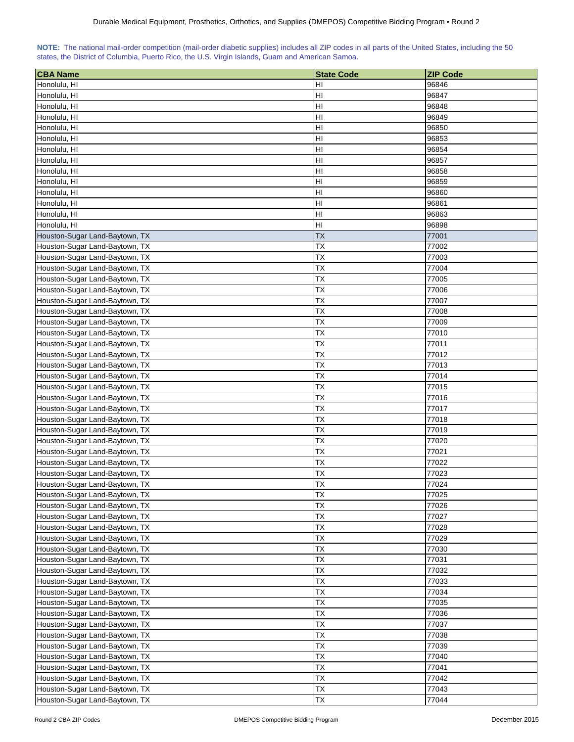| NOTE: The national mail-order competition (mail-order diabetic supplies) includes all ZIP codes in all parts of the United States, including the 50 |  |  |  |  |  |  |  |
|-----------------------------------------------------------------------------------------------------------------------------------------------------|--|--|--|--|--|--|--|
| states, the District of Columbia, Puerto Rico, the U.S. Virgin Islands, Guam and American Samoa.                                                    |  |  |  |  |  |  |  |

| <b>CBA Name</b>                | <b>State Code</b> | <b>ZIP Code</b> |
|--------------------------------|-------------------|-----------------|
| Honolulu, HI                   | HI                | 96846           |
| Honolulu, HI                   | HI                | 96847           |
| Honolulu, HI                   | HI                | 96848           |
| Honolulu, HI                   | HI                | 96849           |
| Honolulu, HI                   | HI                | 96850           |
| Honolulu, HI                   | H <sub>l</sub>    | 96853           |
| Honolulu, HI                   | HI                | 96854           |
| Honolulu, HI                   | HI                | 96857           |
| Honolulu, HI                   | HI                | 96858           |
|                                | HI                | 96859           |
| Honolulu, HI                   |                   |                 |
| Honolulu, HI                   | HI<br>HI          | 96860<br>96861  |
| Honolulu, HI                   | HI                |                 |
| Honolulu, HI                   |                   | 96863           |
| Honolulu, HI                   | HI                | 96898           |
| Houston-Sugar Land-Baytown, TX | <b>TX</b>         | 77001           |
| Houston-Sugar Land-Baytown, TX | TX                | 77002           |
| Houston-Sugar Land-Baytown, TX | ТX                | 77003           |
| Houston-Sugar Land-Baytown, TX | TX                | 77004           |
| Houston-Sugar Land-Baytown, TX | TX                | 77005           |
| Houston-Sugar Land-Baytown, TX | ТX                | 77006           |
| Houston-Sugar Land-Baytown, TX | ТX                | 77007           |
| Houston-Sugar Land-Baytown, TX | ТX                | 77008           |
| Houston-Sugar Land-Baytown, TX | <b>TX</b>         | 77009           |
| Houston-Sugar Land-Baytown, TX | <b>TX</b>         | 77010           |
| Houston-Sugar Land-Baytown, TX | ТX                | 77011           |
| Houston-Sugar Land-Baytown, TX | <b>TX</b>         | 77012           |
| Houston-Sugar Land-Baytown, TX | ТX                | 77013           |
| Houston-Sugar Land-Baytown, TX | ТX                | 77014           |
| Houston-Sugar Land-Baytown, TX | ТX                | 77015           |
| Houston-Sugar Land-Baytown, TX | ТX                | 77016           |
| Houston-Sugar Land-Baytown, TX | ТX                | 77017           |
| Houston-Sugar Land-Baytown, TX | <b>TX</b>         | 77018           |
| Houston-Sugar Land-Baytown, TX | ТX                | 77019           |
| Houston-Sugar Land-Baytown, TX | <b>TX</b>         | 77020           |
| Houston-Sugar Land-Baytown, TX | <b>TX</b>         | 77021           |
| Houston-Sugar Land-Baytown, TX | ТX                | 77022           |
| Houston-Sugar Land-Baytown, TX | <b>TX</b>         | 77023           |
| Houston-Sugar Land-Baytown, TX | <b>TX</b>         | 77024           |
| Houston-Sugar Land-Baytown, TX | TX                | 77025           |
| Houston-Sugar Land-Baytown, TX | ТX                | 77026           |
| Houston-Sugar Land-Baytown, TX | ТX                | 77027           |
| Houston-Sugar Land-Baytown, TX | ТX                | 77028           |
| Houston-Sugar Land-Baytown, TX | TX                | 77029           |
| Houston-Sugar Land-Baytown, TX | ТX                | 77030           |
| Houston-Sugar Land-Baytown, TX | TX                | 77031           |
| Houston-Sugar Land-Baytown, TX | TX                | 77032           |
| Houston-Sugar Land-Baytown, TX | TX                | 77033           |
| Houston-Sugar Land-Baytown, TX | <b>TX</b>         | 77034           |
| Houston-Sugar Land-Baytown, TX | TX                | 77035           |
| Houston-Sugar Land-Baytown, TX | TX                | 77036           |
| Houston-Sugar Land-Baytown, TX | ТX                | 77037           |
| Houston-Sugar Land-Baytown, TX | ТX                | 77038           |
| Houston-Sugar Land-Baytown, TX | TX                | 77039           |
| Houston-Sugar Land-Baytown, TX | ТX                | 77040           |
| Houston-Sugar Land-Baytown, TX | TX                | 77041           |
| Houston-Sugar Land-Baytown, TX | TX                | 77042           |
| Houston-Sugar Land-Baytown, TX | <b>TX</b>         | 77043           |
| Houston-Sugar Land-Baytown, TX | TX                | 77044           |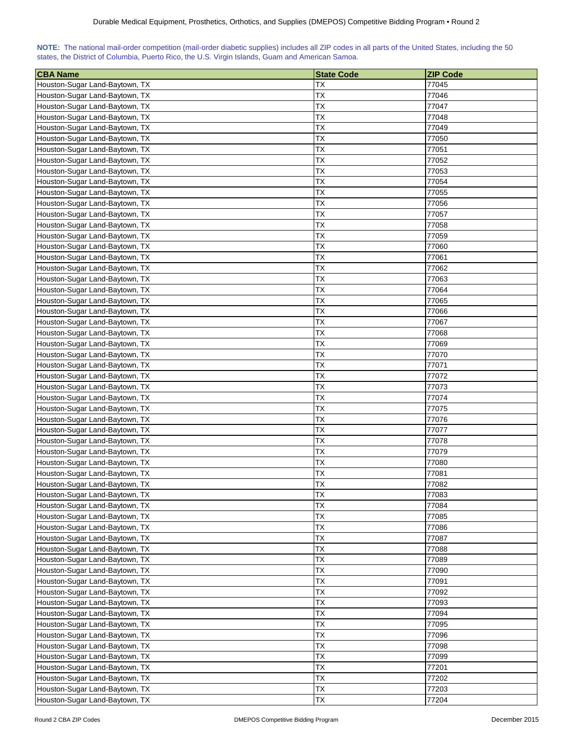| NOTE: The national mail-order competition (mail-order diabetic supplies) includes all ZIP codes in all parts of the United States, including the 50 |  |  |  |  |  |  |  |
|-----------------------------------------------------------------------------------------------------------------------------------------------------|--|--|--|--|--|--|--|
| states, the District of Columbia, Puerto Rico, the U.S. Virgin Islands, Guam and American Samoa.                                                    |  |  |  |  |  |  |  |

| <b>CBA Name</b>                | <b>State Code</b> | <b>ZIP Code</b> |
|--------------------------------|-------------------|-----------------|
| Houston-Sugar Land-Baytown, TX | ТX                | 77045           |
| Houston-Sugar Land-Baytown, TX | ТX                | 77046           |
| Houston-Sugar Land-Baytown, TX | <b>TX</b>         | 77047           |
| Houston-Sugar Land-Baytown, TX | <b>TX</b>         | 77048           |
| Houston-Sugar Land-Baytown, TX | ТX                | 77049           |
| Houston-Sugar Land-Baytown, TX | <b>TX</b>         | 77050           |
| Houston-Sugar Land-Baytown, TX | <b>TX</b>         | 77051           |
| Houston-Sugar Land-Baytown, TX | ТX                | 77052           |
| Houston-Sugar Land-Baytown, TX | <b>TX</b>         | 77053           |
| Houston-Sugar Land-Baytown, TX | TX                | 77054           |
| Houston-Sugar Land-Baytown, TX | TX                | 77055           |
| Houston-Sugar Land-Baytown, TX | <b>TX</b>         | 77056           |
| Houston-Sugar Land-Baytown, TX | <b>TX</b>         | 77057           |
| Houston-Sugar Land-Baytown, TX | <b>TX</b>         | 77058           |
| Houston-Sugar Land-Baytown, TX | <b>TX</b>         | 77059           |
| Houston-Sugar Land-Baytown, TX | ТX                | 77060           |
| Houston-Sugar Land-Baytown, TX | <b>TX</b>         | 77061           |
| Houston-Sugar Land-Baytown, TX | ТX                | 77062           |
| Houston-Sugar Land-Baytown, TX | ТX                | 77063           |
| Houston-Sugar Land-Baytown, TX | ТX                | 77064           |
| Houston-Sugar Land-Baytown, TX | TX                | 77065           |
| Houston-Sugar Land-Baytown, TX | <b>TX</b>         | 77066           |
| Houston-Sugar Land-Baytown, TX | <b>TX</b>         | 77067           |
| Houston-Sugar Land-Baytown, TX | <b>TX</b>         | 77068           |
| Houston-Sugar Land-Baytown, TX | <b>TX</b>         | 77069           |
| Houston-Sugar Land-Baytown, TX | <b>TX</b>         | 77070           |
| Houston-Sugar Land-Baytown, TX | ТX                | 77071           |
| Houston-Sugar Land-Baytown, TX | <b>TX</b>         | 77072           |
| Houston-Sugar Land-Baytown, TX | <b>TX</b>         | 77073           |
| Houston-Sugar Land-Baytown, TX | ТX                | 77074           |
| Houston-Sugar Land-Baytown, TX | ТX                | 77075           |
| Houston-Sugar Land-Baytown, TX | ТX                | 77076           |
| Houston-Sugar Land-Baytown, TX | ТX                | 77077           |
| Houston-Sugar Land-Baytown, TX | <b>ΤΧ</b>         | 77078           |
| Houston-Sugar Land-Baytown, TX | <b>ΤX</b>         | 77079           |
| Houston-Sugar Land-Baytown, TX | <b>TX</b>         | 77080           |
| Houston-Sugar Land-Baytown, TX | ТX                | 77081           |
| Houston-Sugar Land-Baytown, TX | TX                | 77082           |
| Houston-Sugar Land-Baytown, TX | <b>TX</b>         | 77083           |
| Houston-Sugar Land-Baytown, TX | <b>TX</b>         | 77084           |
| Houston-Sugar Land-Baytown, TX | ТX                | 77085           |
| Houston-Sugar Land-Baytown, TX | ТX                | 77086           |
| Houston-Sugar Land-Baytown, TX | TX                | 77087           |
| Houston-Sugar Land-Baytown, TX | ТX                | 77088           |
| Houston-Sugar Land-Baytown, TX | ТX                | 77089           |
| Houston-Sugar Land-Baytown, TX | ТX                | 77090           |
| Houston-Sugar Land-Baytown, TX | TX                | 77091           |
| Houston-Sugar Land-Baytown, TX | TX                | 77092           |
| Houston-Sugar Land-Baytown, TX | TX                | 77093           |
| Houston-Sugar Land-Baytown, TX | TX                | 77094           |
| Houston-Sugar Land-Baytown, TX | <b>TX</b>         | 77095           |
| Houston-Sugar Land-Baytown, TX | <b>TX</b>         | 77096           |
| Houston-Sugar Land-Baytown, TX | <b>TX</b>         | 77098           |
| Houston-Sugar Land-Baytown, TX | <b>TX</b>         | 77099           |
| Houston-Sugar Land-Baytown, TX | ТX                | 77201           |
| Houston-Sugar Land-Baytown, TX | <b>TX</b>         | 77202           |
| Houston-Sugar Land-Baytown, TX | <b>TX</b>         | 77203           |
| Houston-Sugar Land-Baytown, TX | TX                | 77204           |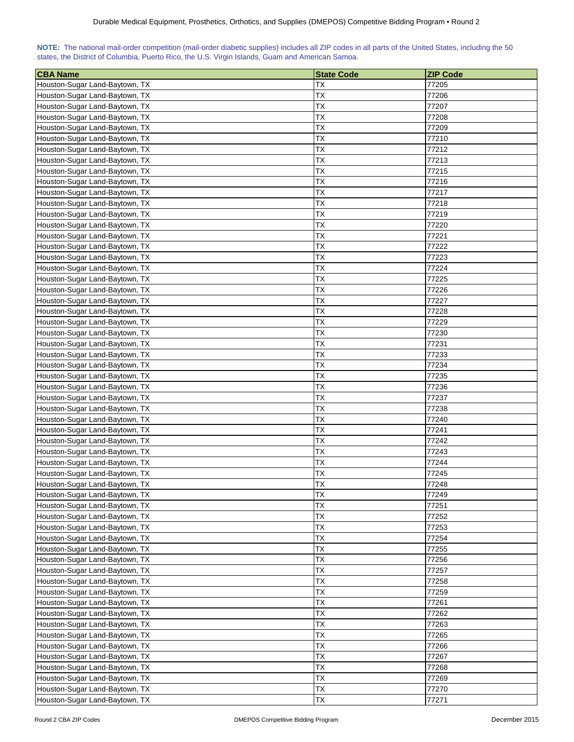| NOTE: The national mail-order competition (mail-order diabetic supplies) includes all ZIP codes in all parts of the United States, including the 50 |  |  |  |  |  |  |  |
|-----------------------------------------------------------------------------------------------------------------------------------------------------|--|--|--|--|--|--|--|
| states, the District of Columbia, Puerto Rico, the U.S. Virgin Islands, Guam and American Samoa.                                                    |  |  |  |  |  |  |  |

| <b>CBA Name</b>                                                  | <b>State Code</b> | <b>ZIP Code</b> |
|------------------------------------------------------------------|-------------------|-----------------|
| Houston-Sugar Land-Baytown, TX                                   | ТX                | 77205           |
| Houston-Sugar Land-Baytown, TX                                   | ТX                | 77206           |
| Houston-Sugar Land-Baytown, TX                                   | ТX                | 77207           |
| Houston-Sugar Land-Baytown, TX                                   | ТX                | 77208           |
| Houston-Sugar Land-Baytown, TX                                   | ТX                | 77209           |
| Houston-Sugar Land-Baytown, TX                                   | ТX                | 77210           |
| Houston-Sugar Land-Baytown, TX                                   | ТX                | 77212           |
| Houston-Sugar Land-Baytown, TX                                   | ТX                | 77213           |
| Houston-Sugar Land-Baytown, TX                                   | TX                | 77215           |
| Houston-Sugar Land-Baytown, TX                                   | ТX                | 77216           |
| Houston-Sugar Land-Baytown, TX                                   | ТX                | 77217           |
| Houston-Sugar Land-Baytown, TX                                   | ТX                | 77218           |
| Houston-Sugar Land-Baytown, TX                                   | ТX                | 77219           |
| Houston-Sugar Land-Baytown, TX                                   | ТX                | 77220           |
| Houston-Sugar Land-Baytown, TX                                   | ТX                | 77221           |
| Houston-Sugar Land-Baytown, TX                                   | ТX                | 77222           |
| Houston-Sugar Land-Baytown, TX                                   | ТX                | 77223           |
| Houston-Sugar Land-Baytown, TX                                   | ТX                | 77224           |
| Houston-Sugar Land-Baytown, TX                                   | ТX                | 77225           |
| Houston-Sugar Land-Baytown, TX                                   | TX                | 77226           |
| Houston-Sugar Land-Baytown, TX                                   | TX                | 77227           |
| Houston-Sugar Land-Baytown, TX                                   | ТX                | 77228           |
| Houston-Sugar Land-Baytown, TX                                   | TX                | 77229           |
| Houston-Sugar Land-Baytown, TX                                   | ТX                | 77230           |
| Houston-Sugar Land-Baytown, TX                                   | ТX                | 77231           |
| Houston-Sugar Land-Baytown, TX                                   | ТX                | 77233           |
|                                                                  | ТX                | 77234           |
| Houston-Sugar Land-Baytown, TX<br>Houston-Sugar Land-Baytown, TX | ТX                | 77235           |
| Houston-Sugar Land-Baytown, TX                                   | ТX                | 77236           |
|                                                                  |                   | 77237           |
| Houston-Sugar Land-Baytown, TX<br>Houston-Sugar Land-Baytown, TX | ТX<br>ТX          | 77238           |
| Houston-Sugar Land-Baytown, TX                                   | TХ                | 77240           |
| Houston-Sugar Land-Baytown, TX                                   | TХ                | 77241           |
| Houston-Sugar Land-Baytown, TX                                   | TХ                | 77242           |
| Houston-Sugar Land-Baytown, TX                                   | ТX                | 77243           |
| Houston-Sugar Land-Baytown, TX                                   | ТX                | 77244           |
| Houston-Sugar Land-Baytown, TX                                   | ТX                | 77245           |
| Houston-Sugar Land-Baytown, TX                                   | ТX                | 77248           |
| Houston-Sugar Land-Baytown, TX                                   | TX                | 77249           |
| Houston-Sugar Land-Baytown, TX                                   | <b>TX</b>         | 77251           |
| Houston-Sugar Land-Baytown, TX                                   | TX                | 77252           |
| Houston-Sugar Land-Baytown, TX                                   | ТX                | 77253           |
|                                                                  | ТX                | 77254           |
| Houston-Sugar Land-Baytown, TX                                   |                   |                 |
| Houston-Sugar Land-Baytown, TX                                   | ТX                | 77255           |
| Houston-Sugar Land-Baytown, TX                                   | ТX                | 77256           |
| Houston-Sugar Land-Baytown, TX                                   | ТX                | 77257           |
| Houston-Sugar Land-Baytown, TX                                   | ТX<br>TX          | 77258           |
| Houston-Sugar Land-Baytown, TX                                   |                   | 77259           |
| Houston-Sugar Land-Baytown, TX                                   | ТX                | 77261           |
| Houston-Sugar Land-Baytown, TX                                   | ТX                | 77262           |
| Houston-Sugar Land-Baytown, TX                                   | ТX                | 77263           |
| Houston-Sugar Land-Baytown, TX                                   | <b>TX</b>         | 77265           |
| Houston-Sugar Land-Baytown, TX                                   | ТX                | 77266           |
| Houston-Sugar Land-Baytown, TX                                   | ТX                | 77267           |
| Houston-Sugar Land-Baytown, TX                                   | ТX                | 77268           |
| Houston-Sugar Land-Baytown, TX                                   | ТX                | 77269           |
| Houston-Sugar Land-Baytown, TX                                   | ТX                | 77270           |
| Houston-Sugar Land-Baytown, TX                                   | ТX                | 77271           |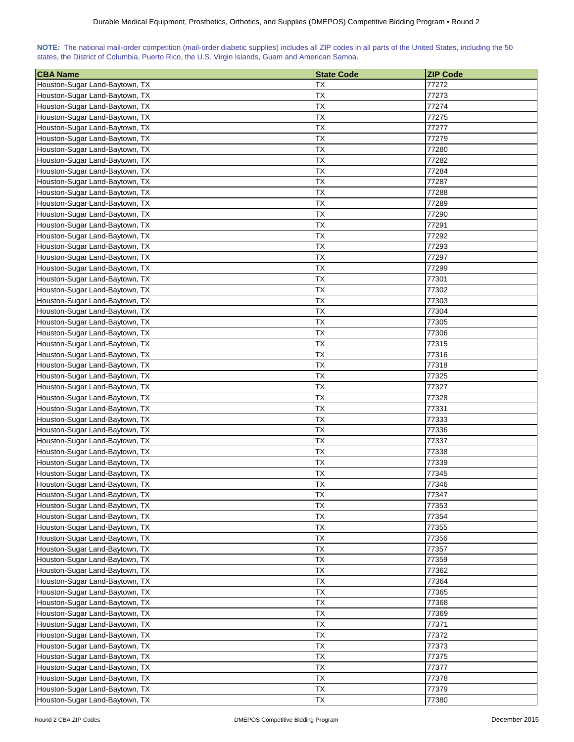| NOTE: The national mail-order competition (mail-order diabetic supplies) includes all ZIP codes in all parts of the United States, including the 50 |  |  |  |  |  |  |  |
|-----------------------------------------------------------------------------------------------------------------------------------------------------|--|--|--|--|--|--|--|
| states, the District of Columbia, Puerto Rico, the U.S. Virgin Islands, Guam and American Samoa.                                                    |  |  |  |  |  |  |  |

| <b>CBA Name</b>                                                  | <b>State Code</b> | <b>ZIP Code</b> |
|------------------------------------------------------------------|-------------------|-----------------|
| Houston-Sugar Land-Baytown, TX                                   | ТX                | 77272           |
| Houston-Sugar Land-Baytown, TX                                   | ТX                | 77273           |
| Houston-Sugar Land-Baytown, TX                                   | ТX                | 77274           |
| Houston-Sugar Land-Baytown, TX                                   | ТX                | 77275           |
| Houston-Sugar Land-Baytown, TX                                   | ТX                | 77277           |
| Houston-Sugar Land-Baytown, TX                                   | ТX                | 77279           |
| Houston-Sugar Land-Baytown, TX                                   | ТX                | 77280           |
| Houston-Sugar Land-Baytown, TX                                   | ТX                | 77282           |
| Houston-Sugar Land-Baytown, TX                                   | TX                | 77284           |
| Houston-Sugar Land-Baytown, TX                                   | TX                | 77287           |
| Houston-Sugar Land-Baytown, TX                                   | TX                | 77288           |
| Houston-Sugar Land-Baytown, TX                                   | ТX                | 77289           |
| Houston-Sugar Land-Baytown, TX                                   | TX                | 77290           |
| Houston-Sugar Land-Baytown, TX                                   | ТX                | 77291           |
| Houston-Sugar Land-Baytown, TX                                   | ТX                | 77292           |
| Houston-Sugar Land-Baytown, TX                                   | ТX                | 77293           |
| Houston-Sugar Land-Baytown, TX                                   | ТX                | 77297           |
| Houston-Sugar Land-Baytown, TX                                   | ТX                | 77299           |
| Houston-Sugar Land-Baytown, TX                                   | ТX                | 77301           |
| Houston-Sugar Land-Baytown, TX                                   | ТX                | 77302           |
| Houston-Sugar Land-Baytown, TX                                   | TX                | 77303           |
| Houston-Sugar Land-Baytown, TX                                   | TX                | 77304           |
| Houston-Sugar Land-Baytown, TX                                   | ТX                | 77305           |
| Houston-Sugar Land-Baytown, TX                                   | ТX                | 77306           |
| Houston-Sugar Land-Baytown, TX                                   | <b>TX</b>         | 77315           |
| Houston-Sugar Land-Baytown, TX                                   | ТX                | 77316           |
| Houston-Sugar Land-Baytown, TX                                   | ТX                | 77318           |
| Houston-Sugar Land-Baytown, TX                                   | ТX                | 77325           |
| Houston-Sugar Land-Baytown, TX                                   | ТX                | 77327           |
| Houston-Sugar Land-Baytown, TX                                   | ТX                | 77328           |
| Houston-Sugar Land-Baytown, TX                                   | ТX                | 77331           |
| Houston-Sugar Land-Baytown, TX                                   | ТX                | 77333           |
| Houston-Sugar Land-Baytown, TX                                   | ТX                | 77336           |
| Houston-Sugar Land-Baytown, TX                                   | TХ                | 77337           |
| Houston-Sugar Land-Baytown, TX                                   | ТX                | 77338           |
| Houston-Sugar Land-Baytown, TX                                   | <b>TX</b>         | 77339           |
| Houston-Sugar Land-Baytown, TX                                   | ТX                |                 |
|                                                                  | <b>TX</b>         | 77345<br>77346  |
| Houston-Sugar Land-Baytown, TX                                   | TX                | 77347           |
| Houston-Sugar Land-Baytown, TX<br>Houston-Sugar Land-Baytown, TX | TX                | 77353           |
|                                                                  | <b>TX</b>         | 77354           |
| Houston-Sugar Land-Baytown, TX<br>Houston-Sugar Land-Baytown, TX | TX                | 77355           |
|                                                                  |                   |                 |
| Houston-Sugar Land-Baytown, TX                                   | ТX                | 77356           |
| Houston-Sugar Land-Baytown, TX                                   | ТX                | 77357           |
| Houston-Sugar Land-Baytown, TX                                   | ТX                | 77359           |
| Houston-Sugar Land-Baytown, TX                                   | ТX                | 77362           |
| Houston-Sugar Land-Baytown, TX                                   | ТX                | 77364           |
| Houston-Sugar Land-Baytown, TX                                   | ТX                | 77365           |
| Houston-Sugar Land-Baytown, TX                                   | TX                | 77368           |
| Houston-Sugar Land-Baytown, TX                                   | TX                | 77369           |
| Houston-Sugar Land-Baytown, TX                                   | ТX                | 77371           |
| Houston-Sugar Land-Baytown, TX                                   | <b>TX</b>         | 77372           |
| Houston-Sugar Land-Baytown, TX                                   | TX                | 77373           |
| Houston-Sugar Land-Baytown, TX                                   | ТX                | 77375           |
| Houston-Sugar Land-Baytown, TX                                   | ТX                | 77377           |
| Houston-Sugar Land-Baytown, TX                                   | ТX                | 77378           |
| Houston-Sugar Land-Baytown, TX                                   | ТX                | 77379           |
| Houston-Sugar Land-Baytown, TX                                   | TX                | 77380           |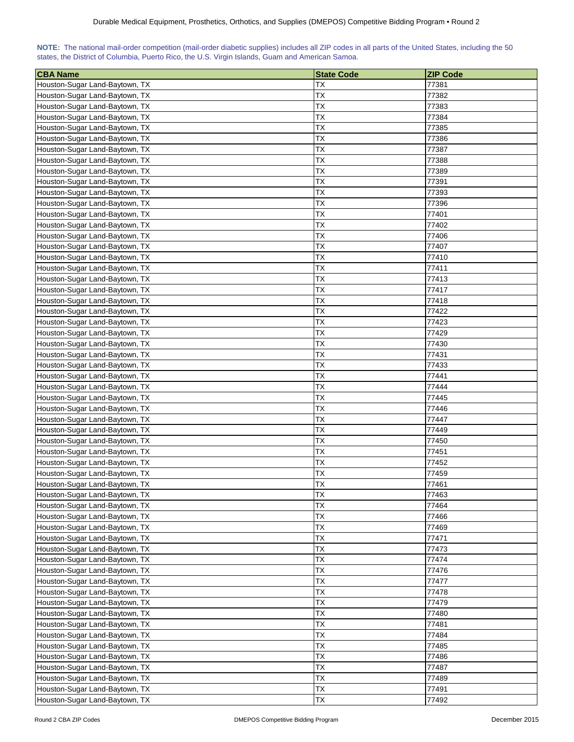| NOTE: The national mail-order competition (mail-order diabetic supplies) includes all ZIP codes in all parts of the United States, including the 50 |  |  |  |
|-----------------------------------------------------------------------------------------------------------------------------------------------------|--|--|--|
| states, the District of Columbia, Puerto Rico, the U.S. Virgin Islands, Guam and American Samoa.                                                    |  |  |  |

| <b>CBA Name</b>                | <b>State Code</b> | <b>ZIP Code</b> |
|--------------------------------|-------------------|-----------------|
| Houston-Sugar Land-Baytown, TX | ТX                | 77381           |
| Houston-Sugar Land-Baytown, TX | ТX                | 77382           |
| Houston-Sugar Land-Baytown, TX | <b>TX</b>         | 77383           |
| Houston-Sugar Land-Baytown, TX | <b>TX</b>         | 77384           |
| Houston-Sugar Land-Baytown, TX | ТX                | 77385           |
| Houston-Sugar Land-Baytown, TX | <b>TX</b>         | 77386           |
| Houston-Sugar Land-Baytown, TX | <b>TX</b>         | 77387           |
| Houston-Sugar Land-Baytown, TX | ТX                | 77388           |
| Houston-Sugar Land-Baytown, TX | <b>TX</b>         | 77389           |
| Houston-Sugar Land-Baytown, TX | TX                | 77391           |
| Houston-Sugar Land-Baytown, TX | TX                | 77393           |
| Houston-Sugar Land-Baytown, TX | <b>TX</b>         | 77396           |
| Houston-Sugar Land-Baytown, TX | <b>TX</b>         | 77401           |
| Houston-Sugar Land-Baytown, TX | ТX                | 77402           |
| Houston-Sugar Land-Baytown, TX | <b>TX</b>         | 77406           |
| Houston-Sugar Land-Baytown, TX | ТX                | 77407           |
| Houston-Sugar Land-Baytown, TX | ТX                | 77410           |
| Houston-Sugar Land-Baytown, TX | ТX                | 77411           |
| Houston-Sugar Land-Baytown, TX | ТX                | 77413           |
| Houston-Sugar Land-Baytown, TX | ТX                | 77417           |
| Houston-Sugar Land-Baytown, TX | TX                | 77418           |
| Houston-Sugar Land-Baytown, TX | <b>TX</b>         | 77422           |
| Houston-Sugar Land-Baytown, TX | <b>ΤX</b>         | 77423           |
| Houston-Sugar Land-Baytown, TX | <b>TX</b>         | 77429           |
| Houston-Sugar Land-Baytown, TX | <b>TX</b>         | 77430           |
| Houston-Sugar Land-Baytown, TX | <b>TX</b>         | 77431           |
| Houston-Sugar Land-Baytown, TX | ТX                | 77433           |
| Houston-Sugar Land-Baytown, TX | <b>TX</b>         | 77441           |
| Houston-Sugar Land-Baytown, TX | ТX                | 77444           |
| Houston-Sugar Land-Baytown, TX | ТX                | 77445           |
| Houston-Sugar Land-Baytown, TX | ТX                | 77446           |
| Houston-Sugar Land-Baytown, TX | ТX                | 77447           |
| Houston-Sugar Land-Baytown, TX | ТX                | 77449           |
| Houston-Sugar Land-Baytown, TX | <b>ΤΧ</b>         | 77450           |
| Houston-Sugar Land-Baytown, TX | <b>TX</b>         | 77451           |
| Houston-Sugar Land-Baytown, TX | <b>TX</b>         | 77452           |
| Houston-Sugar Land-Baytown, TX | ТX                | 77459           |
| Houston-Sugar Land-Baytown, TX | TX                | 77461           |
| Houston-Sugar Land-Baytown, TX | <b>TX</b>         | 77463           |
| Houston-Sugar Land-Baytown, TX | <b>TX</b>         | 77464           |
| Houston-Sugar Land-Baytown, TX | ТX                | 77466           |
| Houston-Sugar Land-Baytown, TX | ТX                | 77469           |
| Houston-Sugar Land-Baytown, TX | TX                | 77471           |
| Houston-Sugar Land-Baytown, TX | ТX                | 77473           |
| Houston-Sugar Land-Baytown, TX | ТX                | 77474           |
| Houston-Sugar Land-Baytown, TX | ТX                | 77476           |
| Houston-Sugar Land-Baytown, TX | TX                | 77477           |
| Houston-Sugar Land-Baytown, TX | TX                | 77478           |
| Houston-Sugar Land-Baytown, TX | TX                | 77479           |
| Houston-Sugar Land-Baytown, TX | TX                | 77480           |
| Houston-Sugar Land-Baytown, TX | <b>TX</b>         | 77481           |
| Houston-Sugar Land-Baytown, TX | TX                | 77484           |
| Houston-Sugar Land-Baytown, TX | <b>TX</b>         | 77485           |
| Houston-Sugar Land-Baytown, TX | <b>TX</b>         | 77486           |
| Houston-Sugar Land-Baytown, TX | ТX                | 77487           |
| Houston-Sugar Land-Baytown, TX | <b>TX</b>         | 77489           |
| Houston-Sugar Land-Baytown, TX | <b>TX</b>         | 77491           |
| Houston-Sugar Land-Baytown, TX | TX                | 77492           |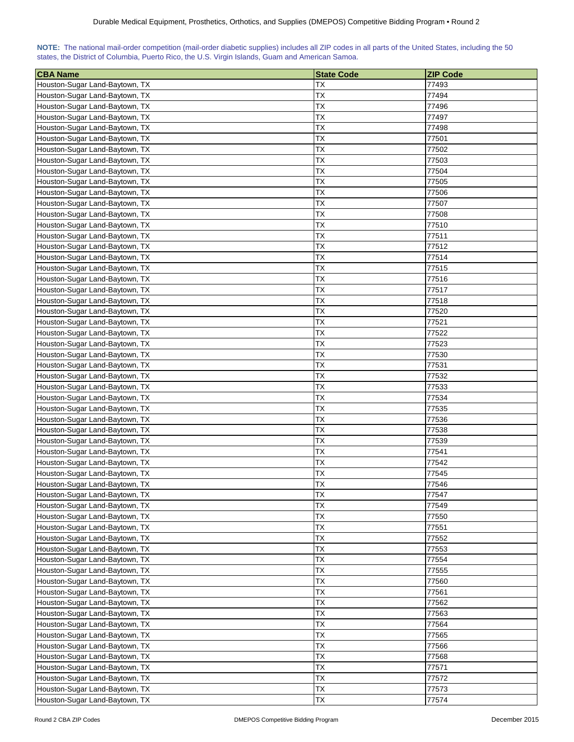| NOTE: The national mail-order competition (mail-order diabetic supplies) includes all ZIP codes in all parts of the United States, including the 50 |  |  |  |  |  |  |  |
|-----------------------------------------------------------------------------------------------------------------------------------------------------|--|--|--|--|--|--|--|
| states, the District of Columbia, Puerto Rico, the U.S. Virgin Islands, Guam and American Samoa.                                                    |  |  |  |  |  |  |  |

| <b>CBA Name</b>                                                  | <b>State Code</b> | <b>ZIP Code</b> |
|------------------------------------------------------------------|-------------------|-----------------|
| Houston-Sugar Land-Baytown, TX                                   | ТX                | 77493           |
| Houston-Sugar Land-Baytown, TX                                   | ТX                | 77494           |
| Houston-Sugar Land-Baytown, TX                                   | ТX                | 77496           |
| Houston-Sugar Land-Baytown, TX                                   | ТX                | 77497           |
| Houston-Sugar Land-Baytown, TX                                   | ТX                | 77498           |
| Houston-Sugar Land-Baytown, TX                                   | ТX                | 77501           |
| Houston-Sugar Land-Baytown, TX                                   | ТX                | 77502           |
| Houston-Sugar Land-Baytown, TX                                   | ТX                | 77503           |
| Houston-Sugar Land-Baytown, TX                                   | TX                | 77504           |
| Houston-Sugar Land-Baytown, TX                                   | ТX                | 77505           |
| Houston-Sugar Land-Baytown, TX                                   | ТX                | 77506           |
| Houston-Sugar Land-Baytown, TX                                   | ТX                | 77507           |
| Houston-Sugar Land-Baytown, TX                                   | ТX                | 77508           |
| Houston-Sugar Land-Baytown, TX                                   | ТX                | 77510           |
| Houston-Sugar Land-Baytown, TX                                   | ТX                | 77511           |
| Houston-Sugar Land-Baytown, TX                                   | ТX                | 77512           |
| Houston-Sugar Land-Baytown, TX                                   | ТX                | 77514           |
| Houston-Sugar Land-Baytown, TX                                   | ТX                | 77515           |
| Houston-Sugar Land-Baytown, TX                                   | ТX                | 77516           |
| Houston-Sugar Land-Baytown, TX                                   | TX                | 77517           |
| Houston-Sugar Land-Baytown, TX                                   | TX                | 77518           |
| Houston-Sugar Land-Baytown, TX                                   | ТX                | 77520           |
| Houston-Sugar Land-Baytown, TX                                   | TX                | 77521           |
| Houston-Sugar Land-Baytown, TX                                   | ТX                | 77522           |
| Houston-Sugar Land-Baytown, TX                                   | ТX                | 77523           |
| Houston-Sugar Land-Baytown, TX                                   | ТX                | 77530           |
|                                                                  | ТX                | 77531           |
| Houston-Sugar Land-Baytown, TX<br>Houston-Sugar Land-Baytown, TX | ТX                | 77532           |
| Houston-Sugar Land-Baytown, TX                                   | ТX                | 77533           |
|                                                                  |                   |                 |
| Houston-Sugar Land-Baytown, TX<br>Houston-Sugar Land-Baytown, TX | ТX<br>ТX          | 77534<br>77535  |
| Houston-Sugar Land-Baytown, TX                                   | TХ                | 77536           |
| Houston-Sugar Land-Baytown, TX                                   | TХ                | 77538           |
| Houston-Sugar Land-Baytown, TX                                   | TХ                | 77539           |
| Houston-Sugar Land-Baytown, TX                                   | TХ                | 77541           |
| Houston-Sugar Land-Baytown, TX                                   | ТX                | 77542           |
| Houston-Sugar Land-Baytown, TX                                   | ТX                | 77545           |
| Houston-Sugar Land-Baytown, TX                                   | ТX                | 77546           |
| Houston-Sugar Land-Baytown, TX                                   | TX                | 77547           |
| Houston-Sugar Land-Baytown, TX                                   | <b>TX</b>         | 77549           |
| Houston-Sugar Land-Baytown, TX                                   | ТX                | 77550           |
| Houston-Sugar Land-Baytown, TX                                   | ТX                | 77551           |
|                                                                  | ТX                | 77552           |
| Houston-Sugar Land-Baytown, TX                                   |                   |                 |
| Houston-Sugar Land-Baytown, TX                                   | ТX                | 77553           |
| Houston-Sugar Land-Baytown, TX                                   | ТX                | 77554           |
| Houston-Sugar Land-Baytown, TX                                   | ТX                | 77555           |
| Houston-Sugar Land-Baytown, TX                                   | ТX<br>TX          | 77560           |
| Houston-Sugar Land-Baytown, TX                                   |                   | 77561           |
| Houston-Sugar Land-Baytown, TX                                   | ТX                | 77562           |
| Houston-Sugar Land-Baytown, TX                                   | ТX                | 77563           |
| Houston-Sugar Land-Baytown, TX                                   | ТX                | 77564           |
| Houston-Sugar Land-Baytown, TX                                   | <b>TX</b>         | 77565           |
| Houston-Sugar Land-Baytown, TX                                   | ТX                | 77566           |
| Houston-Sugar Land-Baytown, TX                                   | ТX                | 77568           |
| Houston-Sugar Land-Baytown, TX                                   | ТX                | 77571           |
| Houston-Sugar Land-Baytown, TX                                   | ТX                | 77572           |
| Houston-Sugar Land-Baytown, TX                                   | ТX                | 77573           |
| Houston-Sugar Land-Baytown, TX                                   | ТX                | 77574           |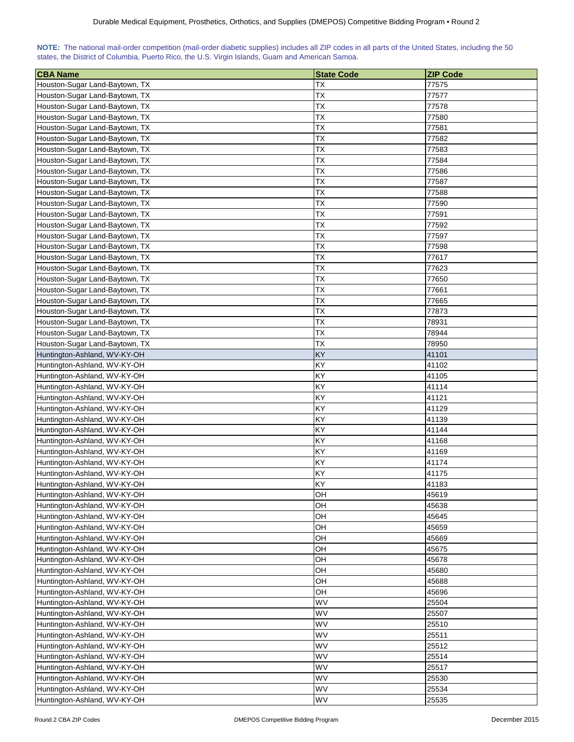| NOTE: The national mail-order competition (mail-order diabetic supplies) includes all ZIP codes in all parts of the United States, including the 50 |  |  |  |  |  |  |  |
|-----------------------------------------------------------------------------------------------------------------------------------------------------|--|--|--|--|--|--|--|
| states, the District of Columbia, Puerto Rico, the U.S. Virgin Islands, Guam and American Samoa.                                                    |  |  |  |  |  |  |  |

| <b>CBA Name</b>                | <b>State Code</b> | <b>ZIP Code</b> |
|--------------------------------|-------------------|-----------------|
| Houston-Sugar Land-Baytown, TX | ТX                | 77575           |
| Houston-Sugar Land-Baytown, TX | ТX                | 77577           |
| Houston-Sugar Land-Baytown, TX | <b>TX</b>         | 77578           |
| Houston-Sugar Land-Baytown, TX | <b>TX</b>         | 77580           |
| Houston-Sugar Land-Baytown, TX | ТX                | 77581           |
| Houston-Sugar Land-Baytown, TX | <b>TX</b>         | 77582           |
| Houston-Sugar Land-Baytown, TX | <b>TX</b>         | 77583           |
| Houston-Sugar Land-Baytown, TX | ТX                | 77584           |
| Houston-Sugar Land-Baytown, TX | <b>TX</b>         | 77586           |
| Houston-Sugar Land-Baytown, TX | TX                | 77587           |
| Houston-Sugar Land-Baytown, TX | TX                | 77588           |
| Houston-Sugar Land-Baytown, TX | <b>TX</b>         | 77590           |
| Houston-Sugar Land-Baytown, TX | <b>TX</b>         | 77591           |
| Houston-Sugar Land-Baytown, TX | <b>TX</b>         | 77592           |
| Houston-Sugar Land-Baytown, TX | <b>TX</b>         | 77597           |
| Houston-Sugar Land-Baytown, TX | ТX                | 77598           |
| Houston-Sugar Land-Baytown, TX | <b>TX</b>         | 77617           |
| Houston-Sugar Land-Baytown, TX | TX                | 77623           |
| Houston-Sugar Land-Baytown, TX | ТX                | 77650           |
| Houston-Sugar Land-Baytown, TX | ТX                | 77661           |
| Houston-Sugar Land-Baytown, TX | TX                | 77665           |
| Houston-Sugar Land-Baytown, TX | TX                | 77873           |
| Houston-Sugar Land-Baytown, TX | <b>TX</b>         | 78931           |
| Houston-Sugar Land-Baytown, TX | <b>TX</b>         | 78944           |
| Houston-Sugar Land-Baytown, TX | <b>TX</b>         | 78950           |
| Huntington-Ashland, WV-KY-OH   | KY                | 41101           |
| Huntington-Ashland, WV-KY-OH   | KY                | 41102           |
| Huntington-Ashland, WV-KY-OH   | KY                | 41105           |
| Huntington-Ashland, WV-KY-OH   | ΚY                | 41114           |
| Huntington-Ashland, WV-KY-OH   | KY                | 41121           |
| Huntington-Ashland, WV-KY-OH   | ΚY                | 41129           |
| Huntington-Ashland, WV-KY-OH   | KY                | 41139           |
| Huntington-Ashland, WV-KY-OH   | KY                | 41144           |
| Huntington-Ashland, WV-KY-OH   | KY                | 41168           |
| Huntington-Ashland, WV-KY-OH   | KY                | 41169           |
| Huntington-Ashland, WV-KY-OH   | KY                | 41174           |
| Huntington-Ashland, WV-KY-OH   | KY                | 41175           |
| Huntington-Ashland, WV-KY-OH   | KY                | 41183           |
| Huntington-Ashland, WV-KY-OH   | OH                | 45619           |
| Huntington-Ashland, WV-KY-OH   | OH                | 45638           |
| Huntington-Ashland, WV-KY-OH   | OН                | 45645           |
| Huntington-Ashland, WV-KY-OH   | OH                | 45659           |
| Huntington-Ashland, WV-KY-OH   | OH                | 45669           |
| Huntington-Ashland, WV-KY-OH   | OН                | 45675           |
| Huntington-Ashland, WV-KY-OH   | OН                | 45678           |
| Huntington-Ashland, WV-KY-OH   | OH                | 45680           |
| Huntington-Ashland, WV-KY-OH   | OН                | 45688           |
| Huntington-Ashland, WV-KY-OH   | OH                | 45696           |
| Huntington-Ashland, WV-KY-OH   | WV                | 25504           |
| Huntington-Ashland, WV-KY-OH   | WV                | 25507           |
| Huntington-Ashland, WV-KY-OH   | WV                | 25510           |
| Huntington-Ashland, WV-KY-OH   | WV                | 25511           |
| Huntington-Ashland, WV-KY-OH   | WV                | 25512           |
| Huntington-Ashland, WV-KY-OH   | WV                | 25514           |
| Huntington-Ashland, WV-KY-OH   | WV                | 25517           |
| Huntington-Ashland, WV-KY-OH   | WV                | 25530           |
| Huntington-Ashland, WV-KY-OH   | WV                | 25534           |
| Huntington-Ashland, WV-KY-OH   | WV                | 25535           |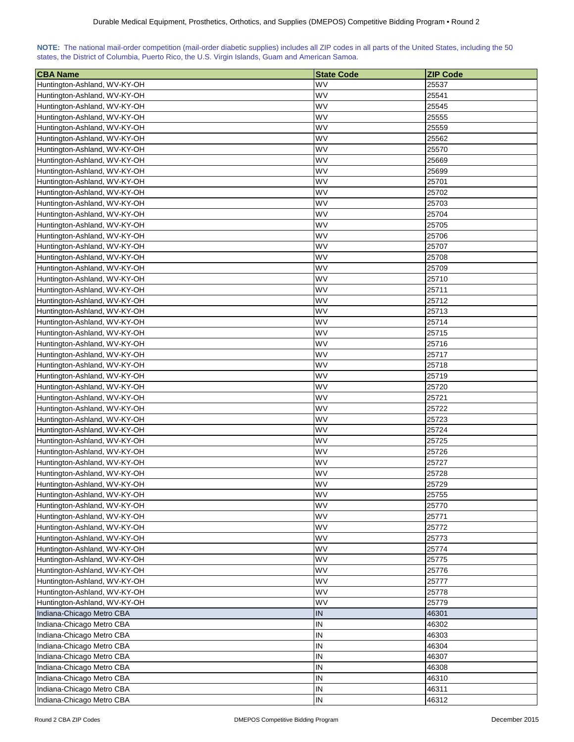| NOTE: The national mail-order competition (mail-order diabetic supplies) includes all ZIP codes in all parts of the United States, including the 50 |  |  |  |  |  |  |  |
|-----------------------------------------------------------------------------------------------------------------------------------------------------|--|--|--|--|--|--|--|
| states, the District of Columbia, Puerto Rico, the U.S. Virgin Islands, Guam and American Samoa.                                                    |  |  |  |  |  |  |  |

| <b>CBA Name</b>                                              | <b>State Code</b> | <b>ZIP Code</b> |
|--------------------------------------------------------------|-------------------|-----------------|
| Huntington-Ashland, WV-KY-OH                                 | WV                | 25537           |
| Huntington-Ashland, WV-KY-OH                                 | WV                | 25541           |
| Huntington-Ashland, WV-KY-OH                                 | WV                | 25545           |
| Huntington-Ashland, WV-KY-OH                                 | WV                | 25555           |
| Huntington-Ashland, WV-KY-OH                                 | WV                | 25559           |
| Huntington-Ashland, WV-KY-OH                                 | WV                | 25562           |
| Huntington-Ashland, WV-KY-OH                                 | W٧                | 25570           |
| Huntington-Ashland, WV-KY-OH                                 | W٧                | 25669           |
| Huntington-Ashland, WV-KY-OH                                 | WV                | 25699           |
| Huntington-Ashland, WV-KY-OH                                 | WV                | 25701           |
| Huntington-Ashland, WV-KY-OH                                 | WV                | 25702           |
| Huntington-Ashland, WV-KY-OH                                 | WV                | 25703           |
| Huntington-Ashland, WV-KY-OH                                 | WV                | 25704           |
| Huntington-Ashland, WV-KY-OH                                 | WV                | 25705           |
| Huntington-Ashland, WV-KY-OH                                 | WV                | 25706           |
| Huntington-Ashland, WV-KY-OH                                 | WV                | 25707           |
| Huntington-Ashland, WV-KY-OH                                 | WV                | 25708           |
| Huntington-Ashland, WV-KY-OH                                 | WV                | 25709           |
| Huntington-Ashland, WV-KY-OH                                 | WV                | 25710           |
| Huntington-Ashland, WV-KY-OH                                 | WV                | 25711           |
| Huntington-Ashland, WV-KY-OH                                 | WV                | 25712           |
| Huntington-Ashland, WV-KY-OH                                 | WV                | 25713           |
| Huntington-Ashland, WV-KY-OH                                 | WV                | 25714           |
| Huntington-Ashland, WV-KY-OH                                 | WV                | 25715           |
| Huntington-Ashland, WV-KY-OH                                 | WV                | 25716           |
| Huntington-Ashland, WV-KY-OH                                 | WV                | 25717           |
|                                                              | WV                | 25718           |
| Huntington-Ashland, WV-KY-OH                                 | WV                | 25719           |
| Huntington-Ashland, WV-KY-OH<br>Huntington-Ashland, WV-KY-OH | WV                | 25720           |
| Huntington-Ashland, WV-KY-OH                                 | WV                | 25721           |
| Huntington-Ashland, WV-KY-OH                                 | WV                | 25722           |
| Huntington-Ashland, WV-KY-OH                                 | WV                | 25723           |
| Huntington-Ashland, WV-KY-OH                                 | WV                | 25724           |
| Huntington-Ashland, WV-KY-OH                                 | W٧                | 25725           |
| Huntington-Ashland, WV-KY-OH                                 | W٧                | 25726           |
| Huntington-Ashland, WV-KY-OH                                 | WV                | 25727           |
| Huntington-Ashland, WV-KY-OH                                 | WV                | 25728           |
| Huntington-Ashland, WV-KY-OH                                 | <b>WV</b>         | 25729           |
| Huntington-Ashland, WV-KY-OH                                 | <b>WV</b>         | 25755           |
| Huntington-Ashland, WV-KY-OH                                 | WV                | 25770           |
| Huntington-Ashland, WV-KY-OH                                 | WV                | 25771           |
| Huntington-Ashland, WV-KY-OH                                 | WV                | 25772           |
| Huntington-Ashland, WV-KY-OH                                 | WV                | 25773           |
|                                                              | WV                |                 |
| Huntington-Ashland, WV-KY-OH                                 |                   | 25774           |
| Huntington-Ashland, WV-KY-OH                                 | WV                | 25775           |
| Huntington-Ashland, WV-KY-OH                                 | WV                | 25776           |
| Huntington-Ashland, WV-KY-OH                                 | WV                | 25777           |
| Huntington-Ashland, WV-KY-OH                                 | WV                | 25778           |
| Huntington-Ashland, WV-KY-OH                                 | WV                | 25779           |
| Indiana-Chicago Metro CBA                                    | IN                | 46301           |
| Indiana-Chicago Metro CBA                                    | IN                | 46302           |
| Indiana-Chicago Metro CBA                                    | IN                | 46303           |
| Indiana-Chicago Metro CBA                                    | IN                | 46304           |
| Indiana-Chicago Metro CBA                                    | IN                | 46307           |
| Indiana-Chicago Metro CBA                                    | IN                | 46308           |
| Indiana-Chicago Metro CBA                                    | IN                | 46310           |
| Indiana-Chicago Metro CBA                                    | IN                | 46311           |
| Indiana-Chicago Metro CBA                                    | IN                | 46312           |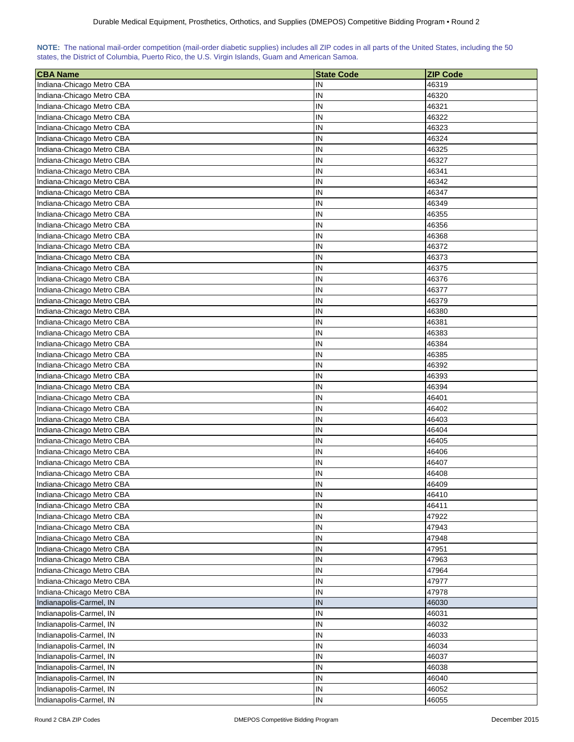| NOTE: The national mail-order competition (mail-order diabetic supplies) includes all ZIP codes in all parts of the United States, including the 50 |  |  |  |  |  |  |  |
|-----------------------------------------------------------------------------------------------------------------------------------------------------|--|--|--|--|--|--|--|
| states, the District of Columbia, Puerto Rico, the U.S. Virgin Islands, Guam and American Samoa.                                                    |  |  |  |  |  |  |  |

| <b>CBA Name</b>                                        | <b>State Code</b> | <b>ZIP Code</b> |
|--------------------------------------------------------|-------------------|-----------------|
| Indiana-Chicago Metro CBA                              | IN                | 46319           |
| Indiana-Chicago Metro CBA                              | IN                | 46320           |
| Indiana-Chicago Metro CBA                              | IN                | 46321           |
| Indiana-Chicago Metro CBA                              | IN                | 46322           |
| Indiana-Chicago Metro CBA                              | IN                | 46323           |
| Indiana-Chicago Metro CBA                              | IN                | 46324           |
| Indiana-Chicago Metro CBA                              | IN                | 46325           |
| Indiana-Chicago Metro CBA                              | IN                | 46327           |
| Indiana-Chicago Metro CBA                              | IN                | 46341           |
| Indiana-Chicago Metro CBA                              | IN                | 46342           |
| Indiana-Chicago Metro CBA                              | IN                | 46347           |
| Indiana-Chicago Metro CBA                              | IN                | 46349           |
| Indiana-Chicago Metro CBA                              | IN                | 46355           |
| Indiana-Chicago Metro CBA                              | IN                | 46356           |
| Indiana-Chicago Metro CBA                              | IN                | 46368           |
| Indiana-Chicago Metro CBA                              | IN                | 46372           |
| Indiana-Chicago Metro CBA                              | IN                | 46373           |
| Indiana-Chicago Metro CBA                              | IN                | 46375           |
| Indiana-Chicago Metro CBA                              | IN                | 46376           |
| Indiana-Chicago Metro CBA                              | IN                | 46377           |
| Indiana-Chicago Metro CBA                              | IN                | 46379           |
| Indiana-Chicago Metro CBA                              | IN                | 46380           |
| Indiana-Chicago Metro CBA                              | IN                | 46381           |
| Indiana-Chicago Metro CBA                              | IN                | 46383           |
| Indiana-Chicago Metro CBA                              | IN                | 46384           |
| Indiana-Chicago Metro CBA                              | IN                | 46385           |
|                                                        | IN                | 46392           |
| Indiana-Chicago Metro CBA                              | IN                | 46393           |
| Indiana-Chicago Metro CBA                              | IN                |                 |
| Indiana-Chicago Metro CBA                              | IN                | 46394           |
| Indiana-Chicago Metro CBA<br>Indiana-Chicago Metro CBA | IN                | 46401<br>46402  |
|                                                        | IN                | 46403           |
| Indiana-Chicago Metro CBA                              |                   |                 |
| Indiana-Chicago Metro CBA                              | IN<br>IN          | 46404           |
| Indiana-Chicago Metro CBA                              | IN                | 46405<br>46406  |
| Indiana-Chicago Metro CBA                              | IN                |                 |
| Indiana-Chicago Metro CBA                              |                   | 46407           |
| Indiana-Chicago Metro CBA                              | IN                | 46408           |
| Indiana-Chicago Metro CBA                              | IN                | 46409           |
| Indiana-Chicago Metro CBA                              | IN                | 46410           |
| Indiana-Chicago Metro CBA                              | IN                | 46411           |
| Indiana-Chicago Metro CBA                              | IN                | 47922           |
| Indiana-Chicago Metro CBA                              | IN                | 47943           |
| Indiana-Chicago Metro CBA                              | IN                | 47948           |
| Indiana-Chicago Metro CBA                              | IN                | 47951           |
| Indiana-Chicago Metro CBA                              | IN                | 47963           |
| Indiana-Chicago Metro CBA                              | IN                | 47964           |
| Indiana-Chicago Metro CBA                              | IN                | 47977           |
| Indiana-Chicago Metro CBA                              | IN                | 47978           |
| Indianapolis-Carmel, IN                                | IN                | 46030           |
| Indianapolis-Carmel, IN                                | IN                | 46031           |
| Indianapolis-Carmel, IN                                | IN                | 46032           |
| Indianapolis-Carmel, IN                                | IN                | 46033           |
| Indianapolis-Carmel, IN                                | IN                | 46034           |
| Indianapolis-Carmel, IN                                | IN                | 46037           |
| Indianapolis-Carmel, IN                                | IN                | 46038           |
| Indianapolis-Carmel, IN                                | IN                | 46040           |
| Indianapolis-Carmel, IN                                | IN                | 46052           |
| Indianapolis-Carmel, IN                                | IN                | 46055           |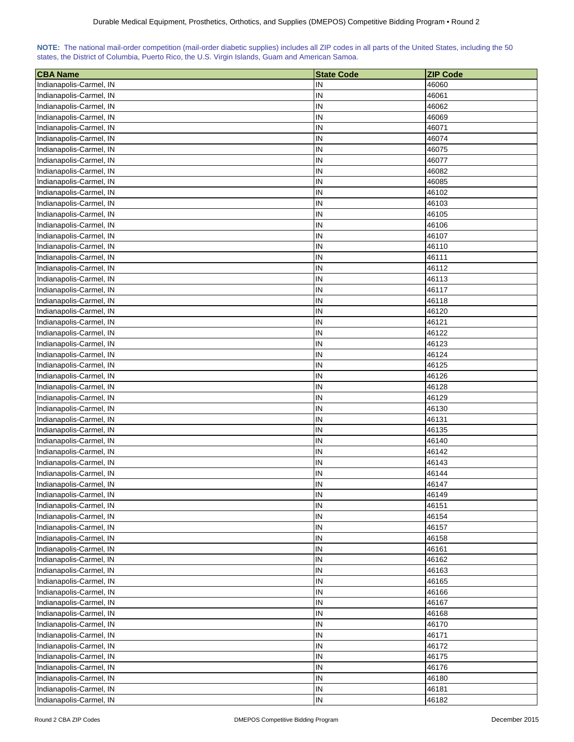| <b>CBA Name</b>                                    | <b>State Code</b> | <b>ZIP Code</b> |
|----------------------------------------------------|-------------------|-----------------|
| Indianapolis-Carmel, IN                            | IN                | 46060           |
| Indianapolis-Carmel, IN                            | IN                | 46061           |
| Indianapolis-Carmel, IN                            | IN                | 46062           |
| Indianapolis-Carmel, IN                            | IN                | 46069           |
| Indianapolis-Carmel, IN                            | IN                | 46071           |
| Indianapolis-Carmel, IN                            | IN                | 46074           |
| Indianapolis-Carmel, IN                            | IN                | 46075           |
| Indianapolis-Carmel, IN                            | IN                | 46077           |
| Indianapolis-Carmel, IN                            | IN                | 46082           |
| Indianapolis-Carmel, IN                            | IN                | 46085           |
| Indianapolis-Carmel, IN                            | IN                | 46102           |
| Indianapolis-Carmel, IN                            | IN                | 46103           |
| Indianapolis-Carmel, IN                            | IN                | 46105           |
| Indianapolis-Carmel, IN                            | IN                | 46106           |
| Indianapolis-Carmel, IN                            | $\sf IN$          | 46107           |
| Indianapolis-Carmel, IN                            | IN                | 46110           |
| Indianapolis-Carmel, IN                            | IN                | 46111           |
| Indianapolis-Carmel, IN                            | $\sf IN$          | 46112           |
| Indianapolis-Carmel, IN                            | IN                | 46113           |
| Indianapolis-Carmel, IN                            | IN                | 46117           |
|                                                    | $\sf IN$          | 46118           |
| Indianapolis-Carmel, IN                            |                   | 46120           |
| Indianapolis-Carmel, IN                            | IN<br>IN          |                 |
| Indianapolis-Carmel, IN                            | IN                | 46121<br>46122  |
| Indianapolis-Carmel, IN                            | IN                | 46123           |
| Indianapolis-Carmel, IN<br>Indianapolis-Carmel, IN | IN                | 46124           |
|                                                    | IN                | 46125           |
| Indianapolis-Carmel, IN<br>Indianapolis-Carmel, IN | IN                | 46126           |
| Indianapolis-Carmel, IN                            | IN                | 46128           |
| Indianapolis-Carmel, IN                            | IN                | 46129           |
| Indianapolis-Carmel, IN                            | IN                | 46130           |
| Indianapolis-Carmel, IN                            | IN                | 46131           |
| Indianapolis-Carmel, IN                            | IN                | 46135           |
| Indianapolis-Carmel, IN                            | ${\sf IN}$        | 46140           |
| Indianapolis-Carmel, IN                            | IN                | 46142           |
| Indianapolis-Carmel, IN                            | IN                | 46143           |
| Indianapolis-Carmel, IN                            | IN                | 46144           |
| Indianapolis-Carmel, IN                            | IN                | 46147           |
| Indianapolis-Carmel, IN                            | IN                | 46149           |
| Indianapolis-Carmel, IN                            | IN                | 46151           |
| Indianapolis-Carmel, IN                            | IN                | 46154           |
| Indianapolis-Carmel, IN                            | IN                | 46157           |
| Indianapolis-Carmel, IN                            | IN                | 46158           |
| Indianapolis-Carmel, IN                            | IN                | 46161           |
| Indianapolis-Carmel, IN                            | IN                | 46162           |
| Indianapolis-Carmel, IN                            | IN                | 46163           |
| Indianapolis-Carmel, IN                            | IN                | 46165           |
| Indianapolis-Carmel, IN                            | IN                | 46166           |
| Indianapolis-Carmel, IN                            | IN                | 46167           |
| Indianapolis-Carmel, IN                            | IN                | 46168           |
| Indianapolis-Carmel, IN                            | IN                | 46170           |
| Indianapolis-Carmel, IN                            | IN                | 46171           |
| Indianapolis-Carmel, IN                            | IN                | 46172           |
| Indianapolis-Carmel, IN                            | IN                | 46175           |
| Indianapolis-Carmel, IN                            | IN                | 46176           |
| Indianapolis-Carmel, IN                            | IN                | 46180           |
| Indianapolis-Carmel, IN                            | IN                | 46181           |
| Indianapolis-Carmel, IN                            | $\sf IN$          | 46182           |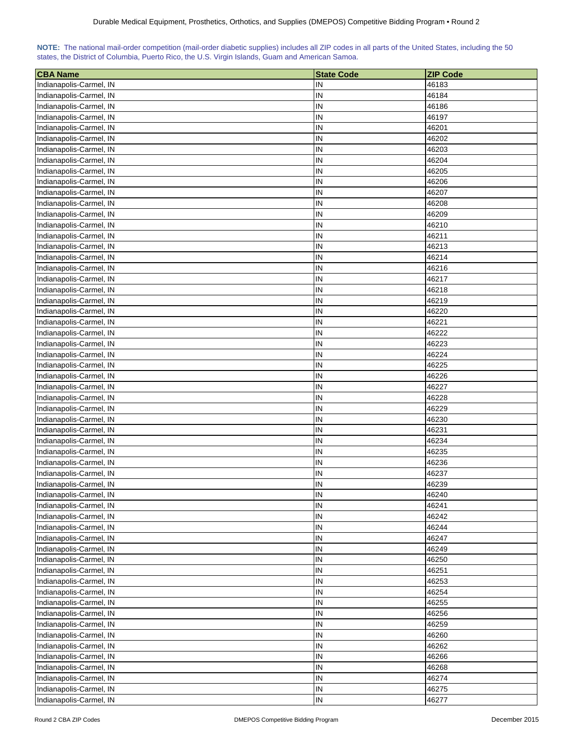| <b>CBA Name</b>                                    | <b>State Code</b> | <b>ZIP Code</b> |
|----------------------------------------------------|-------------------|-----------------|
| Indianapolis-Carmel, IN                            | IN                | 46183           |
| Indianapolis-Carmel, IN                            | IN                | 46184           |
| Indianapolis-Carmel, IN                            | IN                | 46186           |
| Indianapolis-Carmel, IN                            | IN                | 46197           |
| Indianapolis-Carmel, IN                            | IN                | 46201           |
| Indianapolis-Carmel, IN                            | IN                | 46202           |
| Indianapolis-Carmel, IN                            | IN                | 46203           |
| Indianapolis-Carmel, IN                            | IN                | 46204           |
| Indianapolis-Carmel, IN                            | IN                | 46205           |
| Indianapolis-Carmel, IN                            | IN                | 46206           |
| Indianapolis-Carmel, IN                            | IN                | 46207           |
| Indianapolis-Carmel, IN                            | IN                | 46208           |
| Indianapolis-Carmel, IN                            | IN                | 46209           |
| Indianapolis-Carmel, IN                            | IN                | 46210           |
| Indianapolis-Carmel, IN                            | IN                | 46211           |
| Indianapolis-Carmel, IN                            | IN                | 46213           |
| Indianapolis-Carmel, IN                            | IN                | 46214           |
| Indianapolis-Carmel, IN                            | $\sf IN$          | 46216           |
| Indianapolis-Carmel, IN                            | IN                | 46217           |
| Indianapolis-Carmel, IN                            | IN                | 46218           |
|                                                    | $\sf IN$          | 46219           |
| Indianapolis-Carmel, IN                            |                   | 46220           |
| Indianapolis-Carmel, IN                            | IN<br>IN          |                 |
| Indianapolis-Carmel, IN                            | IN                | 46221           |
| Indianapolis-Carmel, IN                            | IN                | 46222<br>46223  |
| Indianapolis-Carmel, IN                            | IN                | 46224           |
| Indianapolis-Carmel, IN                            |                   |                 |
| Indianapolis-Carmel, IN<br>Indianapolis-Carmel, IN | IN<br>IN          | 46225<br>46226  |
| Indianapolis-Carmel, IN                            | IN                | 46227           |
| Indianapolis-Carmel, IN                            | IN                | 46228           |
| Indianapolis-Carmel, IN                            | IN                | 46229           |
| Indianapolis-Carmel, IN                            | IN                | 46230           |
| Indianapolis-Carmel, IN                            | IN                | 46231           |
| Indianapolis-Carmel, IN                            | ${\sf IN}$        | 46234           |
| Indianapolis-Carmel, IN                            | IN                | 46235           |
| Indianapolis-Carmel, IN                            | IN                | 46236           |
| Indianapolis-Carmel, IN                            | IN                | 46237           |
| Indianapolis-Carmel, IN                            | IN                | 46239           |
| Indianapolis-Carmel, IN                            | IN                | 46240           |
| Indianapolis-Carmel, IN                            | IN                | 46241           |
| Indianapolis-Carmel, IN                            | IN                | 46242           |
| Indianapolis-Carmel, IN                            | IN                | 46244           |
| Indianapolis-Carmel, IN                            | IN                | 46247           |
| Indianapolis-Carmel, IN                            | IN                | 46249           |
| Indianapolis-Carmel, IN                            | IN                | 46250           |
| Indianapolis-Carmel, IN                            | IN                | 46251           |
| Indianapolis-Carmel, IN                            | IN                | 46253           |
| Indianapolis-Carmel, IN                            | IN                | 46254           |
| Indianapolis-Carmel, IN                            | IN                | 46255           |
| Indianapolis-Carmel, IN                            | IN                | 46256           |
| Indianapolis-Carmel, IN                            | IN                | 46259           |
| Indianapolis-Carmel, IN                            | IN                | 46260           |
| Indianapolis-Carmel, IN                            | IN                | 46262           |
| Indianapolis-Carmel, IN                            | IN                | 46266           |
| Indianapolis-Carmel, IN                            | IN                | 46268           |
| Indianapolis-Carmel, IN                            | IN                | 46274           |
| Indianapolis-Carmel, IN                            | IN                | 46275           |
| Indianapolis-Carmel, IN                            | $\sf IN$          | 46277           |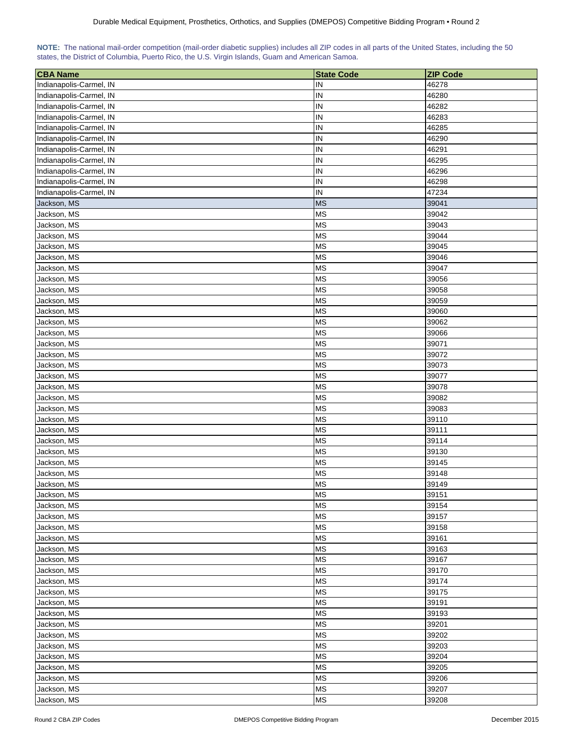| <b>CBA Name</b>            | <b>State Code</b>      | <b>ZIP Code</b> |
|----------------------------|------------------------|-----------------|
| Indianapolis-Carmel, IN    | IN                     | 46278           |
| Indianapolis-Carmel, IN    | IN                     | 46280           |
| Indianapolis-Carmel, IN    | IN                     | 46282           |
| Indianapolis-Carmel, IN    | IN                     | 46283           |
| Indianapolis-Carmel, IN    | IN                     | 46285           |
| Indianapolis-Carmel, IN    | IN                     | 46290           |
| Indianapolis-Carmel, IN    | IN                     | 46291           |
| Indianapolis-Carmel, IN    | IN                     | 46295           |
| Indianapolis-Carmel, IN    | IN                     | 46296           |
| Indianapolis-Carmel, IN    | IN                     | 46298           |
| Indianapolis-Carmel, IN    | IN                     | 47234           |
| Jackson, MS                | <b>MS</b>              | 39041           |
| Jackson, MS                | <b>MS</b>              | 39042           |
| Jackson, MS                | <b>MS</b>              | 39043           |
| Jackson, MS                | <b>MS</b>              | 39044           |
| Jackson, MS                | <b>MS</b>              | 39045           |
| Jackson, MS                | <b>MS</b>              | 39046           |
| Jackson, MS                | <b>MS</b>              | 39047           |
| Jackson, MS                |                        | 39056           |
|                            | <b>MS</b>              |                 |
| Jackson, MS                | <b>MS</b>              | 39058           |
| Jackson, MS                | <b>MS</b>              | 39059           |
| Jackson, MS                | <b>MS</b>              | 39060           |
| Jackson, MS                | <b>MS</b>              | 39062           |
| Jackson, MS                | <b>MS</b>              | 39066           |
| Jackson, MS                | <b>MS</b>              | 39071           |
| Jackson, MS                | <b>MS</b>              | 39072           |
| Jackson, MS                | <b>MS</b>              | 39073           |
| Jackson, MS                | <b>MS</b>              | 39077           |
| Jackson, MS                | <b>MS</b>              | 39078           |
| Jackson, MS                | <b>MS</b><br><b>MS</b> | 39082           |
| Jackson, MS                |                        | 39083           |
| Jackson, MS                | <b>MS</b>              | 39110           |
| Jackson, MS                | <b>MS</b>              | 39111           |
| Jackson, MS                | <b>MS</b>              | 39114           |
| Jackson, MS                | <b>MS</b><br><b>MS</b> | 39130           |
| Jackson, MS                | <b>MS</b>              | 39145<br>39148  |
| Jackson, MS<br>Jackson, MS | <b>MS</b>              |                 |
|                            | <b>MS</b>              | 39149<br>39151  |
| Jackson, MS<br>Jackson, MS | <b>MS</b>              | 39154           |
|                            | <b>MS</b>              | 39157           |
| Jackson, MS                | <b>MS</b>              |                 |
| Jackson, MS                |                        | 39158           |
| Jackson, MS                | <b>MS</b>              | 39161           |
| Jackson, MS                | <b>MS</b>              | 39163           |
| Jackson, MS                | <b>MS</b>              | 39167           |
| Jackson, MS                | <b>MS</b>              | 39170           |
| Jackson, MS                | <b>MS</b>              | 39174           |
| Jackson, MS                | <b>MS</b>              | 39175           |
| Jackson, MS                | <b>MS</b>              | 39191           |
| Jackson, MS                | <b>MS</b>              | 39193           |
| Jackson, MS                | <b>MS</b>              | 39201           |
| Jackson, MS                | <b>MS</b>              | 39202           |
| Jackson, MS                | <b>MS</b>              | 39203           |
| Jackson, MS                | <b>MS</b>              | 39204           |
| Jackson, MS                | <b>MS</b>              | 39205           |
| Jackson, MS                | <b>MS</b>              | 39206           |
| Jackson, MS                | <b>MS</b>              | 39207           |
| Jackson, MS                | <b>MS</b>              | 39208           |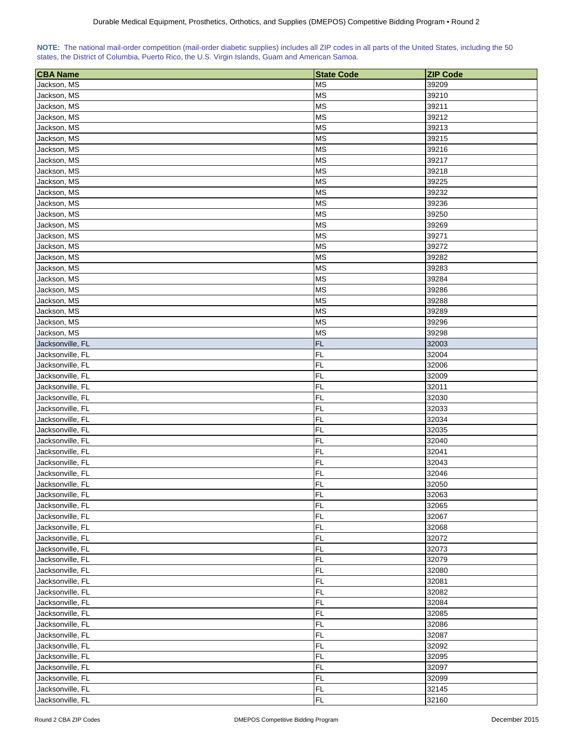|  | NOTE: The national mail-order competition (mail-order diabetic supplies) includes all ZIP codes in all parts of the United States, including the 50 |  |  |  |  |
|--|-----------------------------------------------------------------------------------------------------------------------------------------------------|--|--|--|--|
|  | states, the District of Columbia, Puerto Rico, the U.S. Virgin Islands, Guam and American Samoa.                                                    |  |  |  |  |

| <b>CBA Name</b>  | <b>State Code</b> | <b>ZIP Code</b> |
|------------------|-------------------|-----------------|
| Jackson, MS      | <b>MS</b>         | 39209           |
| Jackson, MS      | <b>MS</b>         | 39210           |
| Jackson, MS      | <b>MS</b>         | 39211           |
| Jackson, MS      | <b>MS</b>         | 39212           |
| Jackson, MS      | <b>MS</b>         | 39213           |
| Jackson, MS      | <b>MS</b>         | 39215           |
| Jackson, MS      | <b>MS</b>         | 39216           |
| Jackson, MS      | <b>MS</b>         | 39217           |
| Jackson, MS      | <b>MS</b>         | 39218           |
| Jackson, MS      | <b>MS</b>         | 39225           |
| Jackson, MS      | <b>MS</b>         | 39232           |
| Jackson, MS      | <b>MS</b>         | 39236           |
| Jackson, MS      | <b>MS</b>         | 39250           |
| Jackson, MS      | <b>MS</b>         | 39269           |
| Jackson, MS      | <b>MS</b>         | 39271           |
| Jackson, MS      | <b>MS</b>         | 39272           |
| Jackson, MS      | <b>MS</b>         | 39282           |
| Jackson, MS      | <b>MS</b>         | 39283           |
| Jackson, MS      | <b>MS</b>         | 39284           |
| Jackson, MS      | <b>MS</b>         | 39286           |
| Jackson, MS      | <b>MS</b>         | 39288           |
| Jackson, MS      | <b>MS</b>         | 39289           |
| Jackson, MS      | <b>MS</b>         | 39296           |
| Jackson, MS      | <b>MS</b>         | 39298           |
| Jacksonville, FL | <b>FL</b>         | 32003           |
| Jacksonville, FL | FL                | 32004           |
| Jacksonville, FL | FL                | 32006           |
| Jacksonville, FL | FL                | 32009           |
| Jacksonville, FL | FL                | 32011           |
| Jacksonville, FL | <b>FL</b>         | 32030           |
| Jacksonville, FL | FL                | 32033           |
| Jacksonville, FL | FL                | 32034           |
| Jacksonville, FL | FL                | 32035           |
| Jacksonville, FL | FL                | 32040           |
| Jacksonville, FL | FL                | 32041           |
| Jacksonville, FL | <b>FL</b>         | 32043           |
| Jacksonville, FL | FL                | 32046           |
| Jacksonville, FL | FL                | 32050           |
| Jacksonville, FL | FL                | 32063           |
| Jacksonville, FL | FL                | 32065           |
| Jacksonville, FL | FL                | 32067           |
| Jacksonville, FL | FL                | 32068           |
| Jacksonville, FL | FL                | 32072           |
| Jacksonville, FL | FL                | 32073           |
| Jacksonville, FL | FL                | 32079           |
| Jacksonville, FL | FL                | 32080           |
| Jacksonville, FL | <b>FL</b>         | 32081           |
| Jacksonville, FL | FL                | 32082           |
| Jacksonville, FL | FL                | 32084           |
| Jacksonville, FL | <b>FL</b>         | 32085           |
| Jacksonville, FL | FL                | 32086           |
| Jacksonville, FL | FL                | 32087           |
| Jacksonville, FL | <b>FL</b>         | 32092           |
| Jacksonville, FL | FL                | 32095           |
| Jacksonville, FL | <b>FL</b>         | 32097           |
| Jacksonville, FL | FL                | 32099           |
| Jacksonville, FL | FL                | 32145           |
| Jacksonville, FL | FL                | 32160           |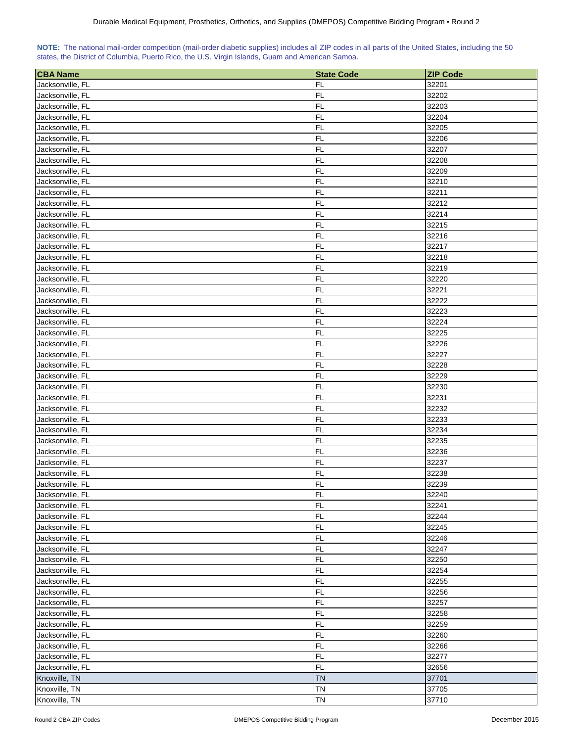|  | NOTE: The national mail-order competition (mail-order diabetic supplies) includes all ZIP codes in all parts of the United States, including the 50 |  |  |  |  |
|--|-----------------------------------------------------------------------------------------------------------------------------------------------------|--|--|--|--|
|  | states, the District of Columbia, Puerto Rico, the U.S. Virgin Islands, Guam and American Samoa.                                                    |  |  |  |  |

| <b>CBA Name</b>  | <b>State Code</b> | <b>ZIP Code</b> |
|------------------|-------------------|-----------------|
| Jacksonville, FL | FL                | 32201           |
| Jacksonville, FL | FL                | 32202           |
| Jacksonville, FL | <b>FL</b>         | 32203           |
| Jacksonville, FL | FL                | 32204           |
| Jacksonville, FL | FL                | 32205           |
| Jacksonville, FL | FL                | 32206           |
| Jacksonville, FL | FL                | 32207           |
|                  | <b>FL</b>         |                 |
| Jacksonville, FL | FL                | 32208<br>32209  |
| Jacksonville, FL | FL                |                 |
| Jacksonville, FL |                   | 32210           |
| Jacksonville, FL | FL                | 32211           |
| Jacksonville, FL | FL                | 32212           |
| Jacksonville, FL | FL                | 32214           |
| Jacksonville, FL | <b>FL</b>         | 32215           |
| Jacksonville, FL | FL                | 32216           |
| Jacksonville, FL | <b>FL</b>         | 32217           |
| Jacksonville, FL | <b>FL</b>         | 32218           |
| Jacksonville, FL | <b>FL</b>         | 32219           |
| Jacksonville, FL | <b>FL</b>         | 32220           |
| Jacksonville, FL | <b>FL</b>         | 32221           |
| Jacksonville, FL | <b>FL</b>         | 32222           |
| Jacksonville, FL | FL                | 32223           |
| Jacksonville, FL | FL                | 32224           |
| Jacksonville, FL | FL                | 32225           |
| Jacksonville, FL | FL                | 32226           |
| Jacksonville, FL | FL                | 32227           |
| Jacksonville, FL | FL                | 32228           |
| Jacksonville, FL | FL                | 32229           |
| Jacksonville, FL | FL                | 32230           |
| Jacksonville, FL | <b>FL</b>         | 32231           |
| Jacksonville, FL | FL                | 32232           |
| Jacksonville, FL | FL                | 32233           |
| Jacksonville, FL | FL                | 32234           |
| Jacksonville, FL | FL                | 32235           |
| Jacksonville, FL | FL                | 32236           |
| Jacksonville, FL | <b>FL</b>         | 32237           |
| Jacksonville, FL | FL                | 32238           |
| Jacksonville, FL | FL                | 32239           |
| Jacksonville, FL | <b>FL</b>         | 32240           |
| Jacksonville, FL | FL                | 32241           |
| Jacksonville, FL | FL                | 32244           |
| Jacksonville, FL | FL                | 32245           |
| Jacksonville, FL | FL                | 32246           |
| Jacksonville, FL | FL                | 32247           |
| Jacksonville, FL | FL                | 32250           |
| Jacksonville, FL | FL                | 32254           |
| Jacksonville, FL | <b>FL</b>         | 32255           |
| Jacksonville, FL | FL                | 32256           |
| Jacksonville, FL | FL                | 32257           |
| Jacksonville, FL | FL                | 32258           |
| Jacksonville, FL | <b>FL</b>         | 32259           |
| Jacksonville, FL | FL                | 32260           |
| Jacksonville, FL | <b>FL</b>         | 32266           |
| Jacksonville, FL | <b>FL</b>         | 32277           |
| Jacksonville, FL | <b>FL</b>         | 32656           |
| Knoxville, TN    | <b>TN</b>         | 37701           |
| Knoxville, TN    | <b>TN</b>         | 37705           |
| Knoxville, TN    | <b>TN</b>         | 37710           |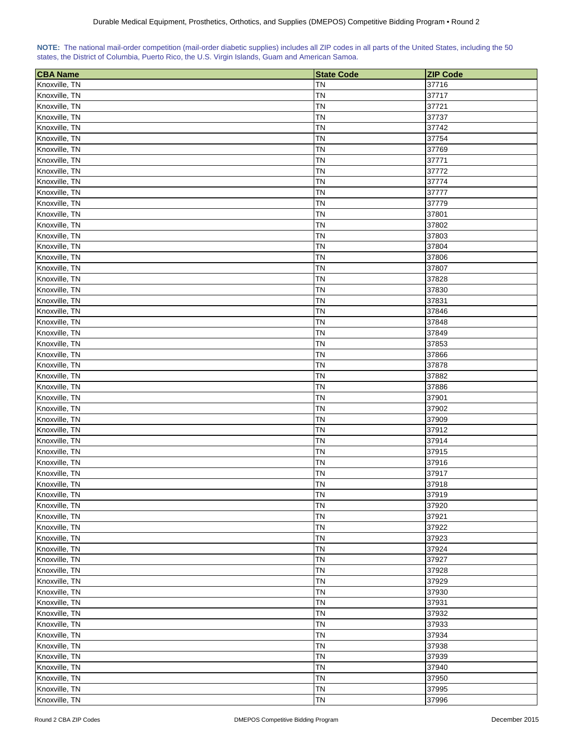| NOTE: The national mail-order competition (mail-order diabetic supplies) includes all ZIP codes in all parts of the United States, including the 50 |  |  |  |  |  |
|-----------------------------------------------------------------------------------------------------------------------------------------------------|--|--|--|--|--|
| states, the District of Columbia, Puerto Rico, the U.S. Virgin Islands, Guam and American Samoa.                                                    |  |  |  |  |  |

| <b>CBA</b> Name | <b>State Code</b> | <b>ZIP Code</b> |
|-----------------|-------------------|-----------------|
| Knoxville, TN   | <b>TN</b>         | 37716           |
| Knoxville, TN   | <b>TN</b>         | 37717           |
| Knoxville, TN   | <b>TN</b>         | 37721           |
| Knoxville, TN   | <b>TN</b>         | 37737           |
| Knoxville, TN   | <b>TN</b>         | 37742           |
| Knoxville, TN   | <b>TN</b>         | 37754           |
| Knoxville, TN   | <b>TN</b>         | 37769           |
| Knoxville, TN   | <b>TN</b>         | 37771           |
| Knoxville, TN   | <b>TN</b>         | 37772           |
| Knoxville, TN   | <b>TN</b>         | 37774           |
| Knoxville, TN   | <b>TN</b>         | 37777           |
| Knoxville, TN   | <b>TN</b>         | 37779           |
| Knoxville, TN   | <b>TN</b>         | 37801           |
| Knoxville, TN   | <b>TN</b>         | 37802           |
| Knoxville, TN   | <b>TN</b>         | 37803           |
| Knoxville, TN   | <b>TN</b>         | 37804           |
| Knoxville, TN   | <b>TN</b>         | 37806           |
| Knoxville, TN   | <b>TN</b>         | 37807           |
| Knoxville, TN   | <b>TN</b>         | 37828           |
| Knoxville, TN   | <b>TN</b>         | 37830           |
| Knoxville, TN   | <b>TN</b>         | 37831           |
| Knoxville, TN   | <b>TN</b>         | 37846           |
| Knoxville, TN   | <b>TN</b>         | 37848           |
| Knoxville, TN   | <b>TN</b>         | 37849           |
| Knoxville, TN   | <b>TN</b>         | 37853           |
| Knoxville, TN   | <b>TN</b>         | 37866           |
| Knoxville, TN   | <b>TN</b>         | 37878           |
| Knoxville, TN   | <b>TN</b>         | 37882           |
| Knoxville, TN   | <b>TN</b>         | 37886           |
| Knoxville, TN   | <b>TN</b>         | 37901           |
| Knoxville, TN   | <b>TN</b>         | 37902           |
| Knoxville, TN   | <b>TN</b>         | 37909           |
| Knoxville, TN   | <b>TN</b>         | 37912           |
| Knoxville, TN   | <b>TN</b>         | 37914           |
| Knoxville, TN   | <b>TN</b>         | 37915           |
| Knoxville, TN   | <b>TN</b>         | 37916           |
| Knoxville, TN   | <b>TN</b>         | 37917           |
| Knoxville, TN   | <b>TN</b>         | 37918           |
| Knoxville, TN   | <b>TN</b>         | 37919           |
| Knoxville, TN   | <b>TN</b>         | 37920           |
| Knoxville, TN   | <b>TN</b>         | 37921           |
| Knoxville, TN   | <b>TN</b>         | 37922           |
| Knoxville, TN   | <b>TN</b>         | 37923           |
| Knoxville, TN   | <b>TN</b>         | 37924           |
| Knoxville, TN   | <b>TN</b>         | 37927           |
| Knoxville, TN   | <b>TN</b>         | 37928           |
| Knoxville, TN   | <b>TN</b>         | 37929           |
| Knoxville, TN   | <b>TN</b>         | 37930           |
| Knoxville, TN   | TN                | 37931           |
| Knoxville, TN   | <b>TN</b>         | 37932           |
| Knoxville, TN   | <b>TN</b>         | 37933           |
| Knoxville, TN   | <b>TN</b>         | 37934           |
| Knoxville, TN   | <b>TN</b>         | 37938           |
| Knoxville, TN   | <b>TN</b>         | 37939           |
| Knoxville, TN   | <b>TN</b>         | 37940           |
| Knoxville, TN   | <b>TN</b>         | 37950           |
| Knoxville, TN   | <b>TN</b>         | 37995           |
| Knoxville, TN   | <b>TN</b>         | 37996           |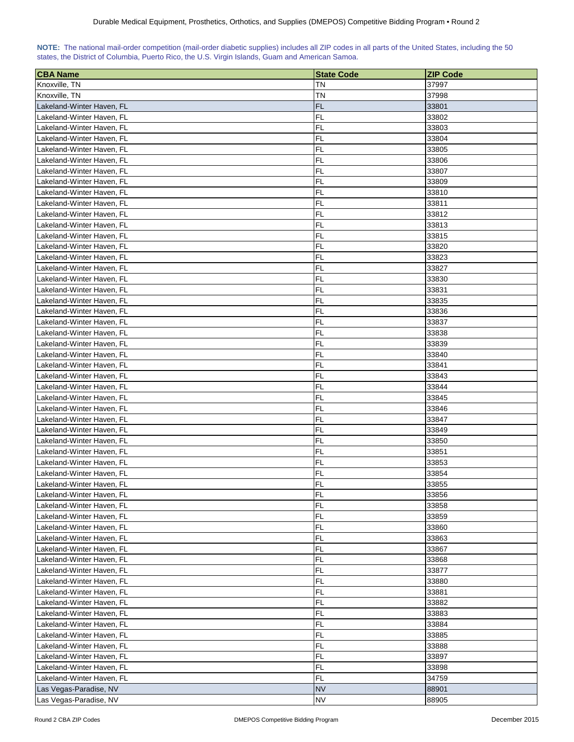| <b>CBA Name</b>                                        | <b>State Code</b> | <b>ZIP Code</b> |
|--------------------------------------------------------|-------------------|-----------------|
| Knoxville, TN                                          | TN                | 37997           |
| Knoxville, TN                                          | ΤN                | 37998           |
| Lakeland-Winter Haven, FL                              | <b>FL</b>         | 33801           |
| Lakeland-Winter Haven, FL                              | FL                | 33802           |
| Lakeland-Winter Haven, FL                              | <b>FL</b>         | 33803           |
| Lakeland-Winter Haven, FL                              | <b>FL</b>         | 33804           |
| Lakeland-Winter Haven, FL                              | <b>FL</b>         | 33805           |
| Lakeland-Winter Haven, FL                              | <b>FL</b>         | 33806           |
| Lakeland-Winter Haven, FL                              | <b>FL</b>         | 33807           |
| Lakeland-Winter Haven, FL                              | FL                | 33809           |
| Lakeland-Winter Haven, FL                              | <b>FL</b>         | 33810           |
| Lakeland-Winter Haven, FL                              | <b>FL</b>         | 33811           |
| Lakeland-Winter Haven, FL                              | <b>FL</b>         | 33812           |
| Lakeland-Winter Haven, FL                              | <b>FL</b>         | 33813           |
| Lakeland-Winter Haven, FL                              | <b>FL</b>         | 33815           |
|                                                        | <b>FL</b>         | 33820           |
| Lakeland-Winter Haven, FL                              |                   |                 |
| Lakeland-Winter Haven, FL                              | FL                | 33823           |
| Lakeland-Winter Haven, FL<br>Lakeland-Winter Haven, FL | <b>FL</b>         | 33827           |
|                                                        | <b>FL</b>         | 33830           |
| Lakeland-Winter Haven, FL                              | FL                | 33831           |
| Lakeland-Winter Haven, FL                              | <b>FL</b>         | 33835           |
| Lakeland-Winter Haven, FL                              | <b>FL</b>         | 33836           |
| Lakeland-Winter Haven, FL                              | <b>FL</b>         | 33837           |
| Lakeland-Winter Haven, FL                              | <b>FL</b>         | 33838           |
| Lakeland-Winter Haven, FL                              | <b>FL</b>         | 33839           |
| Lakeland-Winter Haven, FL                              | <b>FL</b>         | 33840           |
| Lakeland-Winter Haven, FL                              | <b>FL</b>         | 33841           |
| Lakeland-Winter Haven, FL                              | <b>FL</b>         | 33843           |
| Lakeland-Winter Haven, FL                              | <b>FL</b>         | 33844           |
| Lakeland-Winter Haven, FL                              | <b>FL</b>         | 33845           |
| Lakeland-Winter Haven, FL                              | <b>FL</b>         | 33846           |
| Lakeland-Winter Haven, FL                              | <b>FL</b>         | 33847           |
| Lakeland-Winter Haven, FL                              | <b>FL</b>         | 33849           |
| Lakeland-Winter Haven, FL                              | <b>FL</b>         | 33850           |
| Lakeland-Winter Haven, FL                              | <b>FL</b>         | 33851           |
| Lakeland-Winter Haven, FL                              | <b>FL</b>         | 33853           |
| Lakeland-Winter Haven. FL                              | <b>FL</b>         | 33854           |
| Lakeland-Winter Haven, FL                              | <b>FL</b>         | 33855           |
| Lakeland-Winter Haven, FL                              | FL                | 33856           |
| Lakeland-Winter Haven, FL                              | <b>FL</b>         | 33858           |
| Lakeland-Winter Haven, FL                              | FL                | 33859           |
| Lakeland-Winter Haven, FL                              | FL                | 33860           |
| Lakeland-Winter Haven, FL                              | FL                | 33863           |
| Lakeland-Winter Haven, FL                              | FL                | 33867           |
| Lakeland-Winter Haven, FL                              | FL                | 33868           |
| Lakeland-Winter Haven, FL                              | FL                | 33877           |
| Lakeland-Winter Haven, FL                              | <b>FL</b>         | 33880           |
| Lakeland-Winter Haven, FL                              | <b>FL</b>         | 33881           |
| Lakeland-Winter Haven, FL                              | <b>FL</b>         | 33882           |
| Lakeland-Winter Haven, FL                              | <b>FL</b>         | 33883           |
| Lakeland-Winter Haven, FL                              | <b>FL</b>         | 33884           |
| Lakeland-Winter Haven, FL                              | <b>FL</b>         | 33885           |
| Lakeland-Winter Haven, FL                              | <b>FL</b>         | 33888           |
| Lakeland-Winter Haven, FL                              | <b>FL</b>         | 33897           |
| Lakeland-Winter Haven, FL                              | FL                | 33898           |
| Lakeland-Winter Haven, FL                              | FL                | 34759           |
| Las Vegas-Paradise, NV                                 | <b>NV</b>         | 88901           |
| Las Vegas-Paradise, NV                                 | <b>NV</b>         | 88905           |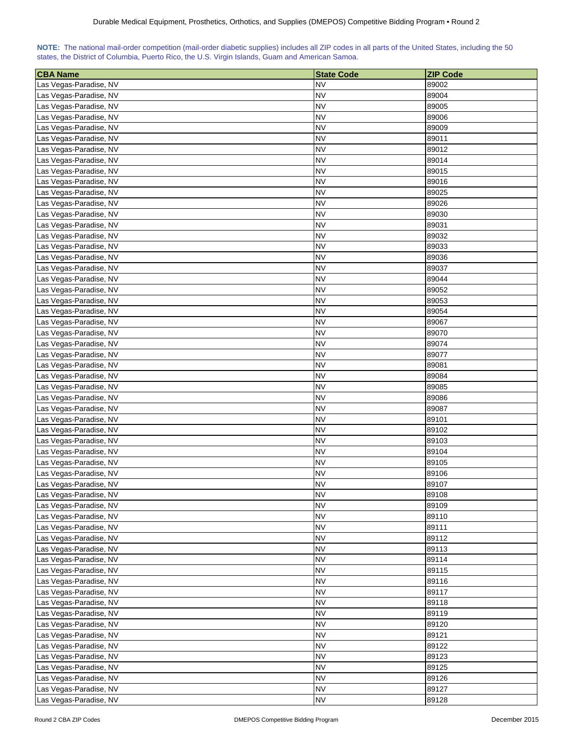| NOTE: The national mail-order competition (mail-order diabetic supplies) includes all ZIP codes in all parts of the United States, including the 50 |  |  |  |  |  |  |  |
|-----------------------------------------------------------------------------------------------------------------------------------------------------|--|--|--|--|--|--|--|
| states, the District of Columbia, Puerto Rico, the U.S. Virgin Islands, Guam and American Samoa.                                                    |  |  |  |  |  |  |  |

| <b>CBA Name</b>        | <b>State Code</b>      | <b>ZIP Code</b> |
|------------------------|------------------------|-----------------|
| Las Vegas-Paradise, NV | <b>NV</b>              | 89002           |
| Las Vegas-Paradise, NV | <b>NV</b>              | 89004           |
| Las Vegas-Paradise, NV | <b>NV</b>              | 89005           |
| Las Vegas-Paradise, NV | <b>NV</b>              | 89006           |
| Las Vegas-Paradise, NV | <b>NV</b>              | 89009           |
| Las Vegas-Paradise, NV | NV                     | 89011           |
| Las Vegas-Paradise, NV | <b>NV</b>              | 89012           |
| Las Vegas-Paradise, NV | NV                     | 89014           |
| Las Vegas-Paradise, NV | NV                     | 89015           |
| Las Vegas-Paradise, NV | <b>NV</b>              | 89016           |
| Las Vegas-Paradise, NV | <b>NV</b>              | 89025           |
| Las Vegas-Paradise, NV | <b>NV</b>              | 89026           |
| Las Vegas-Paradise, NV | <b>NV</b>              | 89030           |
| Las Vegas-Paradise, NV | <b>NV</b>              | 89031           |
| Las Vegas-Paradise, NV | <b>NV</b>              | 89032           |
| Las Vegas-Paradise, NV | <b>NV</b>              | 89033           |
| Las Vegas-Paradise, NV | <b>NV</b>              | 89036           |
| Las Vegas-Paradise, NV | <b>NV</b>              | 89037           |
| Las Vegas-Paradise, NV | <b>NV</b>              | 89044           |
| Las Vegas-Paradise, NV | NV                     | 89052           |
|                        | <b>NV</b>              | 89053           |
| Las Vegas-Paradise, NV | <b>NV</b>              |                 |
| Las Vegas-Paradise, NV |                        | 89054           |
| Las Vegas-Paradise, NV | <b>NV</b><br><b>NV</b> | 89067           |
| Las Vegas-Paradise, NV |                        | 89070           |
| Las Vegas-Paradise, NV | <b>NV</b>              | 89074           |
| Las Vegas-Paradise, NV | <b>NV</b>              | 89077           |
| Las Vegas-Paradise, NV | <b>NV</b>              | 89081           |
| Las Vegas-Paradise, NV | <b>NV</b>              | 89084           |
| Las Vegas-Paradise, NV | <b>NV</b>              | 89085           |
| Las Vegas-Paradise, NV | <b>NV</b>              | 89086           |
| Las Vegas-Paradise, NV | NV                     | 89087           |
| Las Vegas-Paradise, NV | <b>NV</b>              | 89101           |
| Las Vegas-Paradise, NV | <b>NV</b>              | 89102           |
| Las Vegas-Paradise, NV | <b>NV</b>              | 89103           |
| Las Vegas-Paradise, NV | <b>NV</b>              | 89104           |
| Las Vegas-Paradise, NV | <b>NV</b>              | 89105           |
| Las Vegas-Paradise, NV | <b>NV</b>              | 89106           |
| Las Vegas-Paradise, NV | <b>NV</b><br><b>NV</b> | 89107           |
| Las Vegas-Paradise, NV |                        | 89108           |
| Las Vegas-Paradise, NV | <b>NV</b>              | 89109           |
| Las Vegas-Paradise, NV | <b>NV</b>              | 89110           |
| Las Vegas-Paradise, NV | <b>NV</b>              | 89111           |
| Las Vegas-Paradise, NV | <b>NV</b>              | 89112           |
| Las Vegas-Paradise, NV | <b>NV</b>              | 89113           |
| Las Vegas-Paradise, NV | <b>NV</b>              | 89114           |
| Las Vegas-Paradise, NV | <b>NV</b>              | 89115           |
| Las Vegas-Paradise, NV | <b>NV</b>              | 89116           |
| Las Vegas-Paradise, NV | <b>NV</b>              | 89117           |
| Las Vegas-Paradise, NV | <b>NV</b>              | 89118           |
| Las Vegas-Paradise, NV | <b>NV</b>              | 89119           |
| Las Vegas-Paradise, NV | <b>NV</b>              | 89120           |
| Las Vegas-Paradise, NV | <b>NV</b>              | 89121           |
| Las Vegas-Paradise, NV | <b>NV</b>              | 89122           |
| Las Vegas-Paradise, NV | <b>NV</b>              | 89123           |
| Las Vegas-Paradise, NV | <b>NV</b>              | 89125           |
| Las Vegas-Paradise, NV | <b>NV</b>              | 89126           |
| Las Vegas-Paradise, NV | <b>NV</b>              | 89127           |
| Las Vegas-Paradise, NV | <b>NV</b>              | 89128           |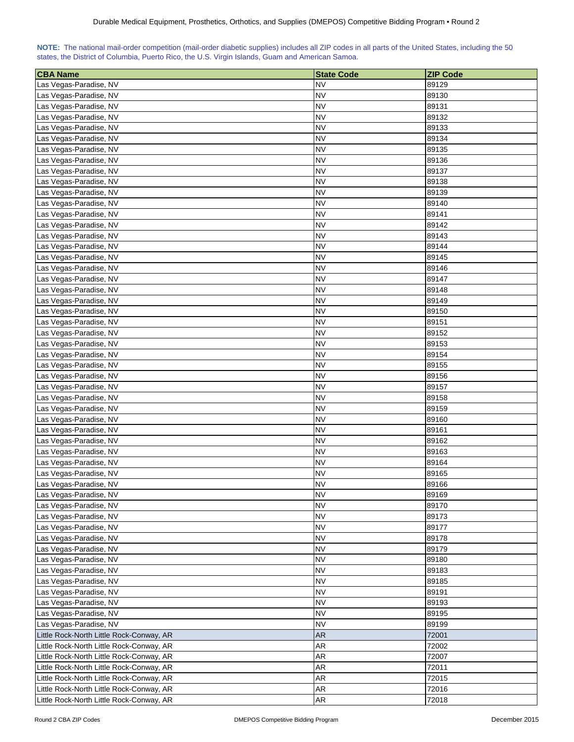| NOTE: The national mail-order competition (mail-order diabetic supplies) includes all ZIP codes in all parts of the United States, including the 50 |  |  |  |  |  |  |  |
|-----------------------------------------------------------------------------------------------------------------------------------------------------|--|--|--|--|--|--|--|
| states, the District of Columbia, Puerto Rico, the U.S. Virgin Islands, Guam and American Samoa.                                                    |  |  |  |  |  |  |  |

| <b>CBA Name</b>                          | <b>State Code</b> | <b>ZIP Code</b> |
|------------------------------------------|-------------------|-----------------|
| Las Vegas-Paradise, NV                   | <b>NV</b>         | 89129           |
| Las Vegas-Paradise, NV                   | <b>NV</b>         | 89130           |
| Las Vegas-Paradise, NV                   | <b>NV</b>         | 89131           |
| Las Vegas-Paradise, NV                   | NV                | 89132           |
| Las Vegas-Paradise, NV                   | <b>NV</b>         | 89133           |
| Las Vegas-Paradise, NV                   | <b>NV</b>         | 89134           |
| Las Vegas-Paradise, NV                   | NV                | 89135           |
| Las Vegas-Paradise, NV                   | ΝV                | 89136           |
| Las Vegas-Paradise, NV                   | <b>NV</b>         | 89137           |
| Las Vegas-Paradise, NV                   | ΝV                | 89138           |
| Las Vegas-Paradise, NV                   | <b>NV</b>         | 89139           |
| Las Vegas-Paradise, NV                   | <b>NV</b>         | 89140           |
| Las Vegas-Paradise, NV                   | <b>NV</b>         | 89141           |
| Las Vegas-Paradise, NV                   | <b>NV</b>         | 89142           |
| Las Vegas-Paradise, NV                   | <b>NV</b>         | 89143           |
| Las Vegas-Paradise, NV                   | <b>NV</b>         | 89144           |
| Las Vegas-Paradise, NV                   | <b>NV</b>         | 89145           |
| Las Vegas-Paradise, NV                   | <b>NV</b>         | 89146           |
| Las Vegas-Paradise, NV                   | <b>NV</b>         | 89147           |
| Las Vegas-Paradise, NV                   | <b>NV</b>         | 89148           |
| Las Vegas-Paradise, NV                   | ΝV                | 89149           |
| Las Vegas-Paradise, NV                   | ΝV                | 89150           |
| Las Vegas-Paradise, NV                   | <b>NV</b>         | 89151           |
| Las Vegas-Paradise, NV                   | NV                | 89152           |
|                                          | <b>NV</b>         |                 |
| Las Vegas-Paradise, NV                   |                   | 89153           |
| Las Vegas-Paradise, NV                   | <b>NV</b>         | 89154           |
| Las Vegas-Paradise, NV                   | <b>NV</b>         | 89155           |
| Las Vegas-Paradise, NV                   | <b>NV</b>         | 89156           |
| Las Vegas-Paradise, NV                   | <b>NV</b>         | 89157           |
| Las Vegas-Paradise, NV                   | <b>NV</b>         | 89158           |
| Las Vegas-Paradise, NV                   | <b>NV</b>         | 89159           |
| Las Vegas-Paradise, NV                   | NV                | 89160           |
| Las Vegas-Paradise, NV                   | NV                | 89161           |
| Las Vegas-Paradise, NV                   | <b>NV</b>         | 89162           |
| Las Vegas-Paradise, NV                   | NV                | 89163           |
| Las Vegas-Paradise, NV                   | <b>NV</b>         | 89164           |
| Las Vegas-Paradise, NV                   | <b>NV</b>         | 89165           |
| Las Vegas-Paradise, NV                   | <b>NV</b>         | 89166           |
| Las Vegas-Paradise, NV                   | <b>NV</b>         | 89169           |
| Las Vegas-Paradise, NV                   | <b>NV</b>         | 89170           |
| Las Vegas-Paradise, NV                   | <b>NV</b>         | 89173           |
| Las Vegas-Paradise, NV                   | <b>NV</b>         | 89177           |
| Las Vegas-Paradise, NV                   | <b>NV</b>         | 89178           |
| Las Vegas-Paradise, NV                   | <b>NV</b>         | 89179           |
| Las Vegas-Paradise, NV                   | <b>NV</b>         | 89180           |
| Las Vegas-Paradise, NV                   | <b>NV</b>         | 89183           |
| Las Vegas-Paradise, NV                   | <b>NV</b>         | 89185           |
| Las Vegas-Paradise, NV                   | <b>NV</b>         | 89191           |
| Las Vegas-Paradise, NV                   | <b>NV</b>         | 89193           |
| Las Vegas-Paradise, NV                   | <b>NV</b>         | 89195           |
| Las Vegas-Paradise, NV                   | <b>NV</b>         | 89199           |
| Little Rock-North Little Rock-Conway, AR | <b>AR</b>         | 72001           |
| Little Rock-North Little Rock-Conway, AR | <b>AR</b>         | 72002           |
| Little Rock-North Little Rock-Conway, AR | AR                | 72007           |
| Little Rock-North Little Rock-Conway, AR | <b>AR</b>         | 72011           |
| Little Rock-North Little Rock-Conway, AR | AR                | 72015           |
| Little Rock-North Little Rock-Conway, AR | <b>AR</b>         | 72016           |
| Little Rock-North Little Rock-Conway, AR | <b>AR</b>         | 72018           |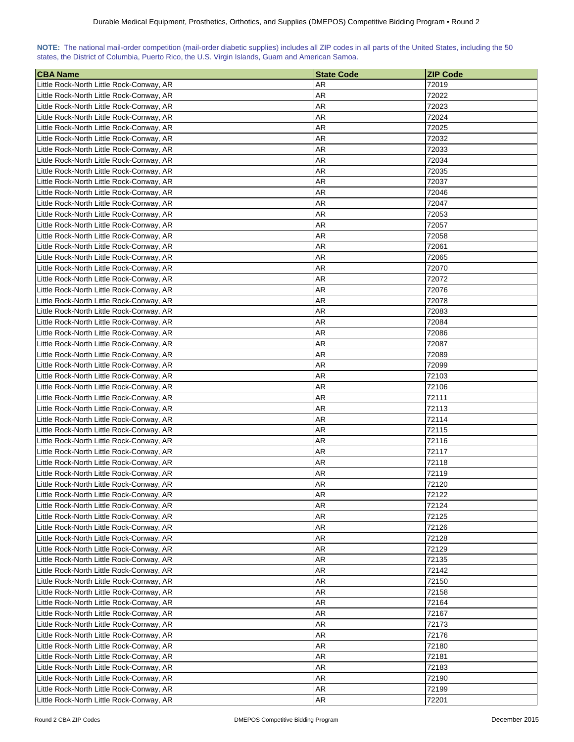| NOTE: The national mail-order competition (mail-order diabetic supplies) includes all ZIP codes in all parts of the United States, including the 50 |  |  |  |  |
|-----------------------------------------------------------------------------------------------------------------------------------------------------|--|--|--|--|
| states, the District of Columbia, Puerto Rico, the U.S. Virgin Islands, Guam and American Samoa.                                                    |  |  |  |  |

| <b>CBA Name</b>                          | <b>State Code</b> | <b>ZIP Code</b> |
|------------------------------------------|-------------------|-----------------|
| Little Rock-North Little Rock-Conway, AR | AR                | 72019           |
| Little Rock-North Little Rock-Conway, AR | AR                | 72022           |
| Little Rock-North Little Rock-Conway, AR | AR                | 72023           |
| Little Rock-North Little Rock-Conway, AR | AR                | 72024           |
| Little Rock-North Little Rock-Conway, AR | AR                | 72025           |
| Little Rock-North Little Rock-Conway, AR | AR                | 72032           |
| Little Rock-North Little Rock-Conway, AR | AR                | 72033           |
| Little Rock-North Little Rock-Conway, AR | AR                | 72034           |
| Little Rock-North Little Rock-Conway, AR | AR                | 72035           |
| Little Rock-North Little Rock-Conway, AR | AR                | 72037           |
| Little Rock-North Little Rock-Conway, AR | AR                | 72046           |
| Little Rock-North Little Rock-Conway, AR | AR                | 72047           |
| Little Rock-North Little Rock-Conway, AR | AR                | 72053           |
|                                          |                   |                 |
| Little Rock-North Little Rock-Conway, AR | AR<br>AR          | 72057           |
| Little Rock-North Little Rock-Conway, AR |                   | 72058           |
| Little Rock-North Little Rock-Conway, AR | AR                | 72061           |
| Little Rock-North Little Rock-Conway, AR | AR                | 72065           |
| Little Rock-North Little Rock-Conway, AR | AR                | 72070           |
| Little Rock-North Little Rock-Conway, AR | AR                | 72072           |
| Little Rock-North Little Rock-Conway, AR | AR                | 72076           |
| Little Rock-North Little Rock-Conway, AR | AR                | 72078           |
| Little Rock-North Little Rock-Conway, AR | AR                | 72083           |
| Little Rock-North Little Rock-Conway, AR | AR                | 72084           |
| Little Rock-North Little Rock-Conway, AR | AR                | 72086           |
| Little Rock-North Little Rock-Conway, AR | AR                | 72087           |
| Little Rock-North Little Rock-Conway, AR | AR                | 72089           |
| Little Rock-North Little Rock-Conway, AR | AR                | 72099           |
| Little Rock-North Little Rock-Conway, AR | AR                | 72103           |
| Little Rock-North Little Rock-Conway, AR | AR                | 72106           |
| Little Rock-North Little Rock-Conway, AR | AR                | 72111           |
| Little Rock-North Little Rock-Conway, AR | <b>AR</b>         | 72113           |
| Little Rock-North Little Rock-Conway, AR | AR                | 72114           |
| Little Rock-North Little Rock-Conway, AR | AR                | 72115           |
| Little Rock-North Little Rock-Conway, AR | <b>AR</b>         | 72116           |
| Little Rock-North Little Rock-Conway, AR | AR                | 72117           |
| Little Rock-North Little Rock-Conway, AR | AR                | 72118           |
| Little Rock-North Little Rock-Conway, AR | AR                | 72119           |
| Little Rock-North Little Rock-Conway, AR | <b>AR</b>         | 72120           |
| Little Rock-North Little Rock-Conway, AR | AR                | 72122           |
| Little Rock-North Little Rock-Conway, AR | AR                | 72124           |
| Little Rock-North Little Rock-Conway, AR | AR                | 72125           |
| Little Rock-North Little Rock-Conway, AR | AR                | 72126           |
| Little Rock-North Little Rock-Conway, AR | <b>AR</b>         | 72128           |
| Little Rock-North Little Rock-Conway, AR | <b>AR</b>         | 72129           |
| Little Rock-North Little Rock-Conway, AR | AR                | 72135           |
| Little Rock-North Little Rock-Conway, AR | AR                | 72142           |
| Little Rock-North Little Rock-Conway, AR | AR                | 72150           |
| Little Rock-North Little Rock-Conway, AR | AR                | 72158           |
| Little Rock-North Little Rock-Conway, AR | AR                | 72164           |
| Little Rock-North Little Rock-Conway, AR | AR                | 72167           |
| Little Rock-North Little Rock-Conway, AR | AR                | 72173           |
| Little Rock-North Little Rock-Conway, AR | AR                | 72176           |
| Little Rock-North Little Rock-Conway, AR | AR                | 72180           |
| Little Rock-North Little Rock-Conway, AR | AR                | 72181           |
| Little Rock-North Little Rock-Conway, AR | AR                | 72183           |
| Little Rock-North Little Rock-Conway, AR | AR                | 72190           |
| Little Rock-North Little Rock-Conway, AR | AR                | 72199           |
| Little Rock-North Little Rock-Conway, AR | AR                | 72201           |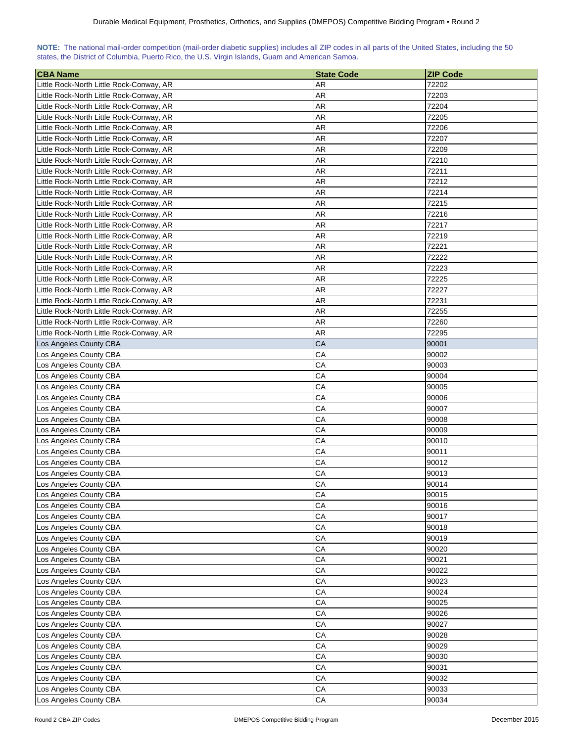| NOTE: The national mail-order competition (mail-order diabetic supplies) includes all ZIP codes in all parts of the United States, including the 50 |  |  |  |  |  |  |  |
|-----------------------------------------------------------------------------------------------------------------------------------------------------|--|--|--|--|--|--|--|
| states, the District of Columbia, Puerto Rico, the U.S. Virgin Islands, Guam and American Samoa.                                                    |  |  |  |  |  |  |  |

| <b>CBA Name</b>                          | <b>State Code</b> | <b>ZIP Code</b> |
|------------------------------------------|-------------------|-----------------|
| Little Rock-North Little Rock-Conway, AR | AR                | 72202           |
| Little Rock-North Little Rock-Conway, AR | AR                | 72203           |
| Little Rock-North Little Rock-Conway, AR | AR                | 72204           |
| Little Rock-North Little Rock-Conway, AR | AR                | 72205           |
| Little Rock-North Little Rock-Conway, AR | <b>AR</b>         | 72206           |
| Little Rock-North Little Rock-Conway, AR | AR                | 72207           |
| Little Rock-North Little Rock-Conway, AR | AR                | 72209           |
| Little Rock-North Little Rock-Conway, AR | AR                | 72210           |
| Little Rock-North Little Rock-Conway, AR | <b>AR</b>         | 72211           |
| Little Rock-North Little Rock-Conway, AR | AR                | 72212           |
|                                          | AR                | 72214           |
| Little Rock-North Little Rock-Conway, AR |                   | 72215           |
| Little Rock-North Little Rock-Conway, AR | AR                |                 |
| Little Rock-North Little Rock-Conway, AR | AR                | 72216           |
| Little Rock-North Little Rock-Conway, AR | AR                | 72217           |
| Little Rock-North Little Rock-Conway, AR | AR                | 72219           |
| Little Rock-North Little Rock-Conway, AR | AR                | 72221           |
| Little Rock-North Little Rock-Conway, AR | AR                | 72222           |
| Little Rock-North Little Rock-Conway, AR | AR                | 72223           |
| Little Rock-North Little Rock-Conway, AR | AR                | 72225           |
| Little Rock-North Little Rock-Conway, AR | AR                | 72227           |
| Little Rock-North Little Rock-Conway, AR | AR                | 72231           |
| Little Rock-North Little Rock-Conway, AR | AR                | 72255           |
| Little Rock-North Little Rock-Conway, AR | AR                | 72260           |
| Little Rock-North Little Rock-Conway, AR | AR                | 72295           |
| Los Angeles County CBA                   | CA                | 90001           |
| Los Angeles County CBA                   | СA                | 90002           |
| Los Angeles County CBA                   | СA                | 90003           |
| Los Angeles County CBA                   | CA                | 90004           |
| Los Angeles County CBA                   | СA                | 90005           |
| Los Angeles County CBA                   | CA                | 90006           |
| Los Angeles County CBA                   | CA                | 90007           |
| Los Angeles County CBA                   | CA                | 90008           |
| Los Angeles County CBA                   | CA                | 90009           |
| Los Angeles County CBA                   | CA                | 90010           |
| Los Angeles County CBA                   | CA                | 90011           |
| Los Angeles County CBA                   | CA                | 90012           |
| Los Angeles County CBA                   | CA                | 90013           |
| Los Angeles County CBA                   | CA                | 90014           |
| Los Angeles County CBA                   | CA                | 90015           |
| Los Angeles County CBA                   | CA                | 90016           |
| Los Angeles County CBA                   | CA                | 90017           |
| Los Angeles County CBA                   | CA                | 90018           |
| Los Angeles County CBA                   | CA                | 90019           |
| Los Angeles County CBA                   | CA                | 90020           |
| Los Angeles County CBA                   | CA                | 90021           |
| Los Angeles County CBA                   | CA                | 90022           |
| Los Angeles County CBA                   | CA                | 90023           |
| Los Angeles County CBA                   | CA                | 90024           |
| Los Angeles County CBA                   | CA                | 90025           |
| Los Angeles County CBA                   | CA                | 90026           |
| Los Angeles County CBA                   | CA                | 90027           |
| Los Angeles County CBA                   | CA                | 90028           |
| Los Angeles County CBA                   | CA                | 90029           |
| Los Angeles County CBA                   | CA                | 90030           |
| Los Angeles County CBA                   | CA                | 90031           |
| Los Angeles County CBA                   | CA                | 90032           |
| Los Angeles County CBA                   | CA                | 90033           |
| Los Angeles County CBA                   | CA                | 90034           |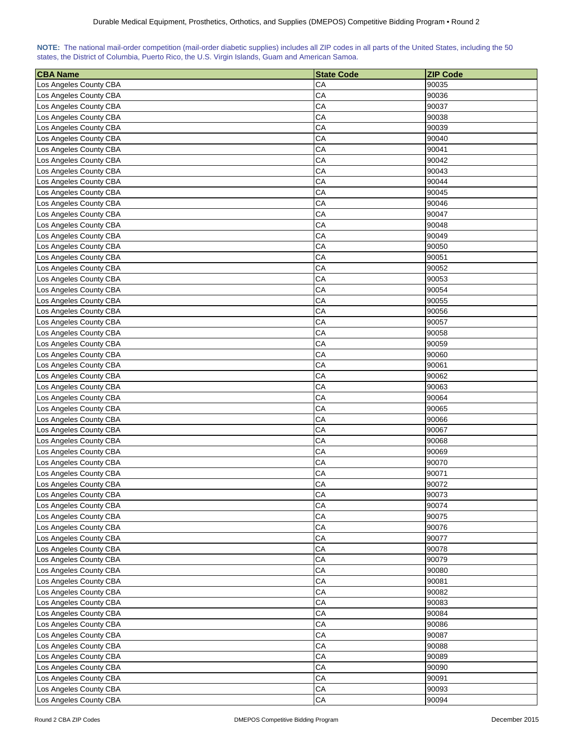| NOTE: The national mail-order competition (mail-order diabetic supplies) includes all ZIP codes in all parts of the United States, including the 50 |  |  |  |  |  |  |  |
|-----------------------------------------------------------------------------------------------------------------------------------------------------|--|--|--|--|--|--|--|
| states, the District of Columbia, Puerto Rico, the U.S. Virgin Islands, Guam and American Samoa.                                                    |  |  |  |  |  |  |  |

| <b>CBA Name</b>        | <b>State Code</b> | <b>ZIP Code</b> |
|------------------------|-------------------|-----------------|
| Los Angeles County CBA | CA                | 90035           |
| Los Angeles County CBA | CA                | 90036           |
| Los Angeles County CBA | CA                | 90037           |
| Los Angeles County CBA | CA                | 90038           |
| Los Angeles County CBA | CA                | 90039           |
| Los Angeles County CBA | CA                | 90040           |
| Los Angeles County CBA | CA                | 90041           |
| Los Angeles County CBA | CA                | 90042           |
| Los Angeles County CBA | CA                | 90043           |
| Los Angeles County CBA | CA                | 90044           |
| Los Angeles County CBA | СA                | 90045           |
| Los Angeles County CBA | CA                | 90046           |
| Los Angeles County CBA | CA                | 90047           |
| Los Angeles County CBA | CA                | 90048           |
| Los Angeles County CBA | CA                | 90049           |
| Los Angeles County CBA | CA                | 90050           |
| Los Angeles County CBA | CA                | 90051           |
| Los Angeles County CBA | CA                | 90052           |
| Los Angeles County CBA | CA                | 90053           |
| Los Angeles County CBA | CA                | 90054           |
| Los Angeles County CBA | CA                | 90055           |
| Los Angeles County CBA | CA                | 90056           |
| Los Angeles County CBA | CA                | 90057           |
| Los Angeles County CBA | CA                | 90058           |
| Los Angeles County CBA | CA                | 90059           |
| Los Angeles County CBA | CA                | 90060           |
| Los Angeles County CBA | CA                | 90061           |
| Los Angeles County CBA | CA                | 90062           |
| Los Angeles County CBA | CA                | 90063           |
| Los Angeles County CBA | CA                | 90064           |
| Los Angeles County CBA | CA                | 90065           |
| Los Angeles County CBA | CA                | 90066           |
| Los Angeles County CBA | CA                | 90067           |
| Los Angeles County CBA | CA                | 90068           |
| Los Angeles County CBA | CA                | 90069           |
| Los Angeles County CBA | CA                | 90070           |
| Los Angeles County CBA | CA                | 90071           |
| Los Angeles County CBA | CA                | 90072           |
| Los Angeles County CBA | CA                | 90073           |
| Los Angeles County CBA | CA                | 90074           |
| Los Angeles County CBA | CA                | 90075           |
| Los Angeles County CBA | CA                | 90076           |
| Los Angeles County CBA | CA                | 90077           |
| Los Angeles County CBA | CA                | 90078           |
| Los Angeles County CBA | CA                | 90079           |
| Los Angeles County CBA | CA                | 90080           |
| Los Angeles County CBA | CA                | 90081           |
| Los Angeles County CBA | CA                | 90082           |
| Los Angeles County CBA | CA                | 90083           |
| Los Angeles County CBA | CA                | 90084           |
| Los Angeles County CBA | CA                | 90086           |
| Los Angeles County CBA | CA                | 90087           |
| Los Angeles County CBA | CA                | 90088           |
| Los Angeles County CBA | CA                | 90089           |
| Los Angeles County CBA | CA                | 90090           |
| Los Angeles County CBA | CA                | 90091           |
| Los Angeles County CBA | CA                | 90093           |
| Los Angeles County CBA | CA                | 90094           |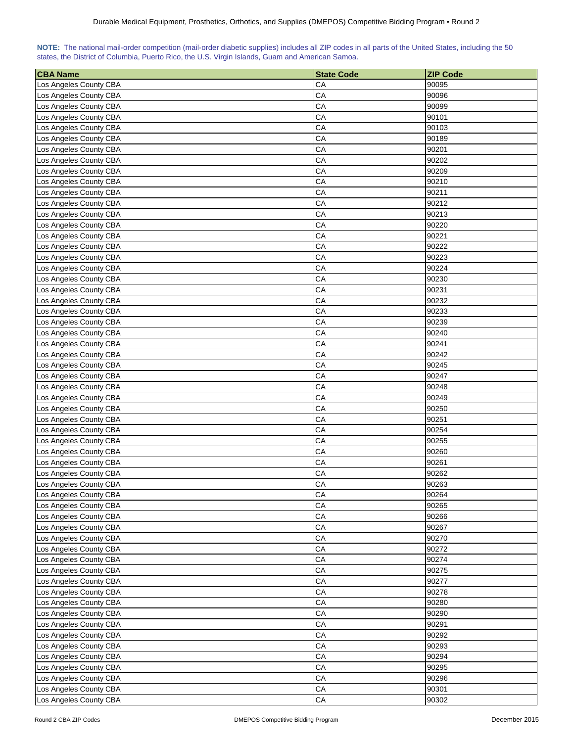| NOTE: The national mail-order competition (mail-order diabetic supplies) includes all ZIP codes in all parts of the United States, including the 50 |  |  |  |  |  |  |  |
|-----------------------------------------------------------------------------------------------------------------------------------------------------|--|--|--|--|--|--|--|
| states, the District of Columbia, Puerto Rico, the U.S. Virgin Islands, Guam and American Samoa.                                                    |  |  |  |  |  |  |  |

| <b>CBA Name</b>        | <b>State Code</b> | <b>ZIP Code</b> |
|------------------------|-------------------|-----------------|
| Los Angeles County CBA | CA                | 90095           |
| Los Angeles County CBA | CA                | 90096           |
| Los Angeles County CBA | CA                | 90099           |
| Los Angeles County CBA | CA                | 90101           |
| Los Angeles County CBA | CA                | 90103           |
| Los Angeles County CBA | CA                | 90189           |
| Los Angeles County CBA | CA                | 90201           |
| Los Angeles County CBA | CA                | 90202           |
| Los Angeles County CBA | CA                | 90209           |
| Los Angeles County CBA | CA                | 90210           |
| Los Angeles County CBA | CA                | 90211           |
| Los Angeles County CBA | CA                | 90212           |
| Los Angeles County CBA | CA                | 90213           |
| Los Angeles County CBA | CA                | 90220           |
| Los Angeles County CBA | CA                | 90221           |
| Los Angeles County CBA | CA                | 90222           |
| Los Angeles County CBA | CA                | 90223           |
| Los Angeles County CBA | CA                | 90224           |
| Los Angeles County CBA | CA                | 90230           |
| Los Angeles County CBA | CA                | 90231           |
| Los Angeles County CBA | CA                | 90232           |
| Los Angeles County CBA | CA                | 90233           |
| Los Angeles County CBA | CA                | 90239           |
| Los Angeles County CBA | CA                | 90240           |
| Los Angeles County CBA | CA                | 90241           |
| Los Angeles County CBA | CA                | 90242           |
| Los Angeles County CBA | CA                | 90245           |
| Los Angeles County CBA | CA                | 90247           |
| Los Angeles County CBA | CA                | 90248           |
| Los Angeles County CBA | CA                | 90249           |
| Los Angeles County CBA | CA                | 90250           |
| Los Angeles County CBA | CA                | 90251           |
| Los Angeles County CBA | CA                | 90254           |
| Los Angeles County CBA | CA                | 90255           |
| Los Angeles County CBA | CA                | 90260           |
| Los Angeles County CBA | CA                | 90261           |
| Los Angeles County CBA | CA                | 90262           |
| Los Angeles County CBA | CA                | 90263           |
| Los Angeles County CBA | CA                | 90264           |
| Los Angeles County CBA | CA                | 90265           |
| Los Angeles County CBA | CA                | 90266           |
| Los Angeles County CBA | CA                | 90267           |
| Los Angeles County CBA | CA                | 90270           |
|                        | CA                | 90272           |
| Los Angeles County CBA |                   |                 |
| Los Angeles County CBA | CA                | 90274           |
| Los Angeles County CBA | CA                | 90275           |
| Los Angeles County CBA | CA                | 90277           |
| Los Angeles County CBA | CA                | 90278           |
| Los Angeles County CBA | CA                | 90280           |
| Los Angeles County CBA | CA                | 90290           |
| Los Angeles County CBA | CA                | 90291           |
| Los Angeles County CBA | CA                | 90292           |
| Los Angeles County CBA | CA                | 90293           |
| Los Angeles County CBA | CA                | 90294           |
| Los Angeles County CBA | CA                | 90295           |
| Los Angeles County CBA | CA                | 90296           |
| Los Angeles County CBA | CA                | 90301           |
| Los Angeles County CBA | ${\sf CA}$        | 90302           |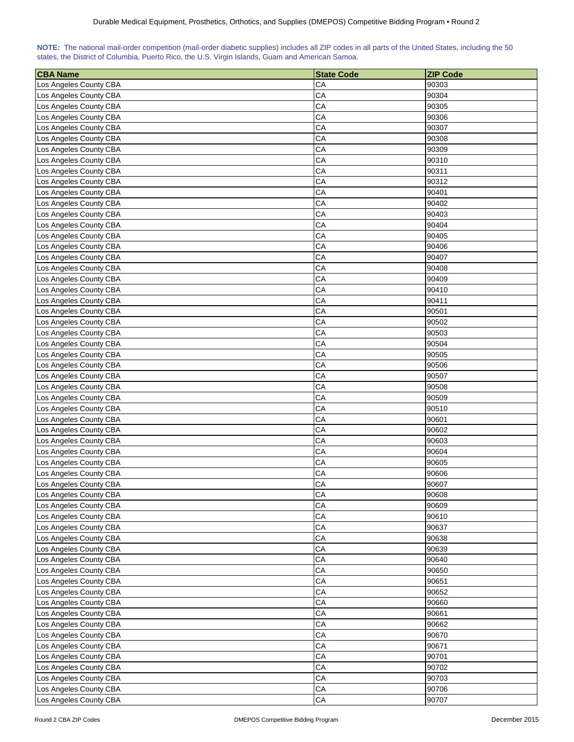| NOTE: The national mail-order competition (mail-order diabetic supplies) includes all ZIP codes in all parts of the United States, including the 50 |  |  |  |  |  |  |  |
|-----------------------------------------------------------------------------------------------------------------------------------------------------|--|--|--|--|--|--|--|
| states, the District of Columbia, Puerto Rico, the U.S. Virgin Islands, Guam and American Samoa.                                                    |  |  |  |  |  |  |  |

| <b>CBA Name</b>                                  | <b>State Code</b> | <b>ZIP Code</b> |
|--------------------------------------------------|-------------------|-----------------|
| Los Angeles County CBA                           | CA                | 90303           |
| Los Angeles County CBA                           | CA                | 90304           |
| Los Angeles County CBA                           | CA                | 90305           |
| Los Angeles County CBA                           | CA                | 90306           |
| Los Angeles County CBA                           | CA                | 90307           |
| Los Angeles County CBA                           | CA                | 90308           |
| Los Angeles County CBA                           | CA                | 90309           |
| Los Angeles County CBA                           | CA                | 90310           |
| Los Angeles County CBA                           | CA                | 90311           |
| Los Angeles County CBA                           | CA                | 90312           |
| Los Angeles County CBA                           | CA                | 90401           |
| Los Angeles County CBA                           | CA                | 90402           |
| Los Angeles County CBA                           | CA                | 90403           |
| Los Angeles County CBA                           | CA                | 90404           |
| Los Angeles County CBA                           | CA                | 90405           |
| Los Angeles County CBA                           | CA                | 90406           |
| Los Angeles County CBA                           | CA                | 90407           |
| Los Angeles County CBA                           | CA                | 90408           |
| Los Angeles County CBA                           | CA                | 90409           |
| Los Angeles County CBA                           | CA                | 90410           |
| Los Angeles County CBA                           | CA                | 90411           |
| Los Angeles County CBA                           | CA                | 90501           |
| Los Angeles County CBA                           | CA                | 90502           |
| Los Angeles County CBA                           | CA                | 90503           |
| Los Angeles County CBA                           | CA                | 90504           |
| Los Angeles County CBA                           | CA                | 90505           |
| Los Angeles County CBA                           | CA                | 90506           |
| Los Angeles County CBA                           | CA                | 90507           |
| Los Angeles County CBA                           | CA                | 90508           |
| Los Angeles County CBA                           | CA                | 90509           |
| Los Angeles County CBA                           | CA                | 90510           |
| Los Angeles County CBA                           | CA                | 90601           |
| Los Angeles County CBA                           | CA                | 90602           |
| Los Angeles County CBA                           | CA                | 90603           |
| Los Angeles County CBA                           | CA                | 90604           |
| Los Angeles County CBA                           | CA                | 90605           |
| Los Angeles County CBA                           | CA                | 90606           |
| Los Angeles County CBA                           | CA                | 90607           |
| Los Angeles County CBA                           | CA                | 90608           |
| Los Angeles County CBA                           | CA                | 90609           |
| Los Angeles County CBA                           | CA                | 90610           |
| Los Angeles County CBA                           | CA                | 90637           |
|                                                  |                   |                 |
| Los Angeles County CBA<br>Los Angeles County CBA | CA<br>CA          | 90638<br>90639  |
|                                                  |                   |                 |
| Los Angeles County CBA                           | CA                | 90640           |
| Los Angeles County CBA                           | CA                | 90650           |
| Los Angeles County CBA                           | CA                | 90651           |
| Los Angeles County CBA                           | CA                | 90652           |
| Los Angeles County CBA                           | CA                | 90660           |
| Los Angeles County CBA                           | CA                | 90661           |
| Los Angeles County CBA                           | CA                | 90662           |
| Los Angeles County CBA                           | CA                | 90670           |
| Los Angeles County CBA                           | CA                | 90671           |
| Los Angeles County CBA                           | CA                | 90701           |
| Los Angeles County CBA                           | CA                | 90702           |
| Los Angeles County CBA                           | CA                | 90703           |
| Los Angeles County CBA                           | CA                | 90706           |
| Los Angeles County CBA                           | ${\sf CA}$        | 90707           |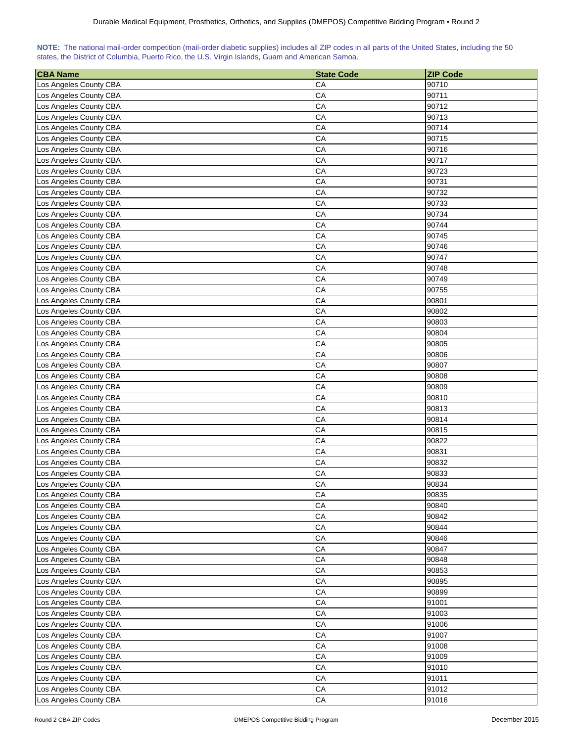| NOTE: The national mail-order competition (mail-order diabetic supplies) includes all ZIP codes in all parts of the United States, including the 50 |  |  |  |  |  |  |  |
|-----------------------------------------------------------------------------------------------------------------------------------------------------|--|--|--|--|--|--|--|
| states, the District of Columbia, Puerto Rico, the U.S. Virgin Islands, Guam and American Samoa.                                                    |  |  |  |  |  |  |  |

| <b>CBA Name</b>                                  | <b>State Code</b> | <b>ZIP Code</b> |
|--------------------------------------------------|-------------------|-----------------|
| Los Angeles County CBA                           | CA                | 90710           |
| Los Angeles County CBA                           | CA                | 90711           |
| Los Angeles County CBA                           | CA                | 90712           |
| Los Angeles County CBA                           | CA                | 90713           |
| Los Angeles County CBA                           | CA                | 90714           |
| Los Angeles County CBA                           | CA                | 90715           |
| Los Angeles County CBA                           | CA                | 90716           |
| Los Angeles County CBA                           | CA                | 90717           |
| Los Angeles County CBA                           | CA                | 90723           |
| Los Angeles County CBA                           | CA                | 90731           |
| Los Angeles County CBA                           | CA                | 90732           |
| Los Angeles County CBA                           | CA                | 90733           |
| Los Angeles County CBA                           | CA                | 90734           |
| Los Angeles County CBA                           | CA                | 90744           |
| Los Angeles County CBA                           | CA                | 90745           |
| Los Angeles County CBA                           | CA                | 90746           |
| Los Angeles County CBA                           | CA                | 90747           |
| Los Angeles County CBA                           | CA                | 90748           |
| Los Angeles County CBA                           | CA                | 90749           |
| Los Angeles County CBA                           | CA                | 90755           |
| Los Angeles County CBA                           | CA                | 90801           |
| Los Angeles County CBA                           | CA                | 90802           |
| Los Angeles County CBA                           | CA                | 90803           |
| Los Angeles County CBA                           | CA                | 90804           |
| Los Angeles County CBA                           | CA                | 90805           |
| Los Angeles County CBA                           | CA                | 90806           |
| Los Angeles County CBA                           | CA                | 90807           |
| Los Angeles County CBA                           | CA                | 90808           |
| Los Angeles County CBA                           | CA                | 90809           |
| Los Angeles County CBA                           | CA                | 90810           |
| Los Angeles County CBA                           | CA                | 90813           |
| Los Angeles County CBA                           | CA                | 90814           |
| Los Angeles County CBA                           | CA                | 90815           |
| Los Angeles County CBA                           | CA                | 90822           |
| Los Angeles County CBA                           | CA                | 90831           |
| Los Angeles County CBA                           | CA                | 90832           |
|                                                  | CA                | 90833           |
| Los Angeles County CBA<br>Los Angeles County CBA | CA                | 90834           |
|                                                  | CA                | 90835           |
| Los Angeles County CBA<br>Los Angeles County CBA | CA                | 90840           |
| Los Angeles County CBA                           | CA                | 90842           |
| Los Angeles County CBA                           | CA                | 90844           |
| Los Angeles County CBA                           | CA                | 90846           |
|                                                  | CA                | 90847           |
| Los Angeles County CBA<br>Los Angeles County CBA | CA                |                 |
|                                                  | CA                | 90848           |
| Los Angeles County CBA                           | CA                | 90853           |
| Los Angeles County CBA<br>Los Angeles County CBA | CA                | 90895           |
|                                                  | CA                | 90899           |
| Los Angeles County CBA                           | CA                | 91001<br>91003  |
| Los Angeles County CBA                           |                   |                 |
| Los Angeles County CBA                           | CA                | 91006           |
| Los Angeles County CBA                           | CA                | 91007           |
| Los Angeles County CBA                           | CA                | 91008           |
| Los Angeles County CBA                           | CA                | 91009           |
| Los Angeles County CBA                           | CA<br>CA          | 91010           |
| Los Angeles County CBA                           | CA                | 91011           |
| Los Angeles County CBA<br>Los Angeles County CBA | ${\sf CA}$        | 91012<br>91016  |
|                                                  |                   |                 |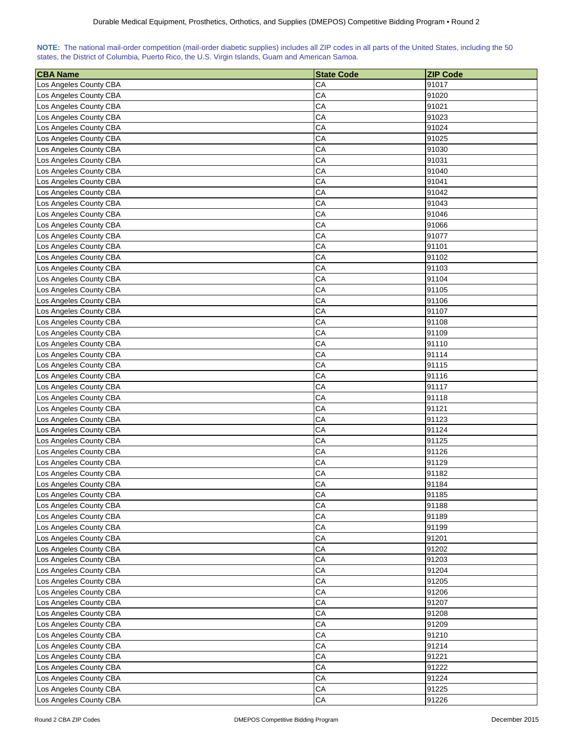| NOTE: The national mail-order competition (mail-order diabetic supplies) includes all ZIP codes in all parts of the United States, including the 50 |  |  |  |  |  |  |  |
|-----------------------------------------------------------------------------------------------------------------------------------------------------|--|--|--|--|--|--|--|
| states, the District of Columbia, Puerto Rico, the U.S. Virgin Islands, Guam and American Samoa.                                                    |  |  |  |  |  |  |  |

| <b>CBA Name</b>        | <b>State Code</b> | <b>ZIP Code</b> |
|------------------------|-------------------|-----------------|
| Los Angeles County CBA | CA                | 91017           |
| Los Angeles County CBA | CA                | 91020           |
| Los Angeles County CBA | CA                | 91021           |
| Los Angeles County CBA | CA                | 91023           |
| Los Angeles County CBA | CA                | 91024           |
| Los Angeles County CBA | CA                | 91025           |
| Los Angeles County CBA | CA                | 91030           |
| Los Angeles County CBA | CA                | 91031           |
| Los Angeles County CBA | CA                | 91040           |
| Los Angeles County CBA | CA                | 91041           |
| Los Angeles County CBA | CA                | 91042           |
| Los Angeles County CBA | CA                | 91043           |
| Los Angeles County CBA | CA                | 91046           |
| Los Angeles County CBA | CA                | 91066           |
| Los Angeles County CBA | CA                | 91077           |
| Los Angeles County CBA | CA                | 91101           |
| Los Angeles County CBA | CA                | 91102           |
| Los Angeles County CBA | CA                | 91103           |
| Los Angeles County CBA | CA                | 91104           |
| Los Angeles County CBA | CA                | 91105           |
|                        | CA                | 91106           |
| Los Angeles County CBA | CA                | 91107           |
| Los Angeles County CBA |                   |                 |
| Los Angeles County CBA | CA<br>CA          | 91108<br>91109  |
| Los Angeles County CBA |                   |                 |
| Los Angeles County CBA | CA                | 91110           |
| Los Angeles County CBA | CA                | 91114           |
| Los Angeles County CBA | CA                | 91115           |
| Los Angeles County CBA | CA                | 91116           |
| Los Angeles County CBA | CA                | 91117           |
| Los Angeles County CBA | CA                | 91118           |
| Los Angeles County CBA | CA                | 91121           |
| Los Angeles County CBA | CA                | 91123           |
| Los Angeles County CBA | CA                | 91124           |
| Los Angeles County CBA | CA                | 91125           |
| Los Angeles County CBA | CA                | 91126           |
| Los Angeles County CBA | CA                | 91129           |
| Los Angeles County CBA | CA                | 91182           |
| Los Angeles County CBA | CA                | 91184           |
| Los Angeles County CBA | CA                | 91185           |
| Los Angeles County CBA | CA                | 91188           |
| Los Angeles County CBA | CA                | 91189           |
| Los Angeles County CBA | CA                | 91199           |
| Los Angeles County CBA | CA                | 91201           |
| Los Angeles County CBA | CA                | 91202           |
| Los Angeles County CBA | CA                | 91203           |
| Los Angeles County CBA | CA                | 91204           |
| Los Angeles County CBA | CA                | 91205           |
| Los Angeles County CBA | CA                | 91206           |
| Los Angeles County CBA | CA                | 91207           |
| Los Angeles County CBA | CA                | 91208           |
| Los Angeles County CBA | CA                | 91209           |
| Los Angeles County CBA | CA                | 91210           |
| Los Angeles County CBA | CA                | 91214           |
| Los Angeles County CBA | CA                | 91221           |
| Los Angeles County CBA | CA                | 91222           |
| Los Angeles County CBA | CA                | 91224           |
| Los Angeles County CBA | CA                | 91225           |
| Los Angeles County CBA | ${\sf CA}$        | 91226           |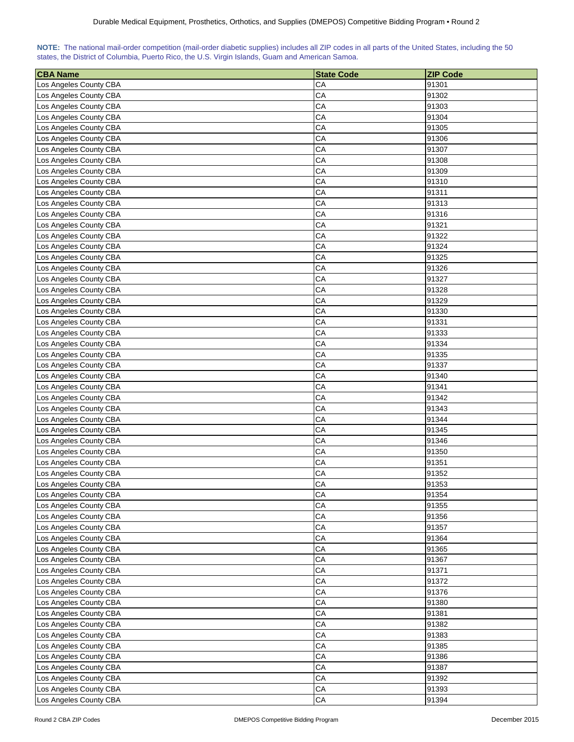| NOTE: The national mail-order competition (mail-order diabetic supplies) includes all ZIP codes in all parts of the United States, including the 50 |  |  |  |  |  |  |  |
|-----------------------------------------------------------------------------------------------------------------------------------------------------|--|--|--|--|--|--|--|
| states, the District of Columbia, Puerto Rico, the U.S. Virgin Islands, Guam and American Samoa.                                                    |  |  |  |  |  |  |  |

| <b>CBA Name</b>                                  | <b>State Code</b> | <b>ZIP Code</b> |
|--------------------------------------------------|-------------------|-----------------|
| Los Angeles County CBA                           | CA                | 91301           |
| Los Angeles County CBA                           | CA                | 91302           |
| Los Angeles County CBA                           | CA                | 91303           |
| Los Angeles County CBA                           | CA                | 91304           |
| Los Angeles County CBA                           | CA                | 91305           |
| Los Angeles County CBA                           | CA                | 91306           |
| Los Angeles County CBA                           | CA                | 91307           |
| Los Angeles County CBA                           | CA                | 91308           |
| Los Angeles County CBA                           | CA                | 91309           |
| Los Angeles County CBA                           | CA                | 91310           |
| Los Angeles County CBA                           | СA                | 91311           |
| Los Angeles County CBA                           | CA                | 91313           |
| Los Angeles County CBA                           | CA                | 91316           |
| Los Angeles County CBA                           | CA                | 91321           |
| Los Angeles County CBA                           | CA                | 91322           |
| Los Angeles County CBA                           | CA                | 91324           |
| Los Angeles County CBA                           | CA                | 91325           |
| Los Angeles County CBA                           | CA                | 91326           |
| Los Angeles County CBA                           | CA                | 91327           |
| Los Angeles County CBA                           | CA                | 91328           |
| Los Angeles County CBA                           | CA                | 91329           |
| Los Angeles County CBA                           | CA                | 91330           |
| Los Angeles County CBA                           | CA                | 91331           |
| Los Angeles County CBA                           | CA                | 91333           |
| Los Angeles County CBA                           | CA                | 91334           |
| Los Angeles County CBA                           | CA                | 91335           |
| Los Angeles County CBA                           | CA                | 91337           |
| Los Angeles County CBA                           | CA                | 91340           |
| Los Angeles County CBA                           | CA                | 91341           |
| Los Angeles County CBA                           | CA                | 91342           |
| Los Angeles County CBA                           | CA                | 91343           |
| Los Angeles County CBA                           | CA                | 91344           |
| Los Angeles County CBA                           | CA                | 91345           |
| Los Angeles County CBA                           | CA                | 91346           |
| Los Angeles County CBA                           | CA                | 91350           |
| Los Angeles County CBA                           | CA                | 91351           |
| Los Angeles County CBA                           | CA                | 91352           |
| Los Angeles County CBA                           | CA                | 91353           |
| Los Angeles County CBA                           | CA                | 91354           |
| Los Angeles County CBA                           | CA                | 91355           |
| Los Angeles County CBA                           | CA                | 91356           |
| Los Angeles County CBA                           | CA                | 91357           |
| Los Angeles County CBA                           | CA                | 91364           |
| Los Angeles County CBA                           | CA                | 91365           |
|                                                  | CA                |                 |
| Los Angeles County CBA<br>Los Angeles County CBA | CA                | 91367<br>91371  |
|                                                  | CA                | 91372           |
| Los Angeles County CBA                           | CA                |                 |
| Los Angeles County CBA                           | CA                | 91376           |
| Los Angeles County CBA                           | CA                | 91380           |
| Los Angeles County CBA                           |                   | 91381           |
| Los Angeles County CBA                           | CA                | 91382           |
| Los Angeles County CBA                           | CA                | 91383           |
| Los Angeles County CBA                           | CA                | 91385           |
| Los Angeles County CBA                           | CA                | 91386           |
| Los Angeles County CBA                           | CA<br>CA          | 91387<br>91392  |
| Los Angeles County CBA                           | CA                |                 |
| Los Angeles County CBA<br>Los Angeles County CBA | CA                | 91393<br>91394  |
|                                                  |                   |                 |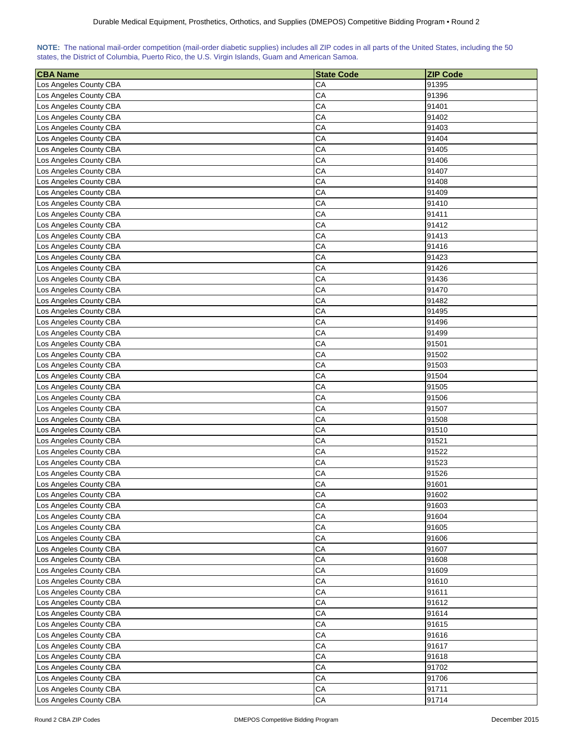| NOTE: The national mail-order competition (mail-order diabetic supplies) includes all ZIP codes in all parts of the United States, including the 50 |  |  |  |  |  |  |  |
|-----------------------------------------------------------------------------------------------------------------------------------------------------|--|--|--|--|--|--|--|
| states, the District of Columbia, Puerto Rico, the U.S. Virgin Islands, Guam and American Samoa.                                                    |  |  |  |  |  |  |  |

| <b>CBA Name</b>        | <b>State Code</b> | <b>ZIP Code</b> |
|------------------------|-------------------|-----------------|
| Los Angeles County CBA | CA                | 91395           |
| Los Angeles County CBA | CA                | 91396           |
| Los Angeles County CBA | CA                | 91401           |
| Los Angeles County CBA | CA                | 91402           |
| Los Angeles County CBA | CA                | 91403           |
| Los Angeles County CBA | CA                | 91404           |
| Los Angeles County CBA | CA                | 91405           |
| Los Angeles County CBA | CA                | 91406           |
| Los Angeles County CBA | CA                | 91407           |
| Los Angeles County CBA | CA                | 91408           |
| Los Angeles County CBA | СA                | 91409           |
| Los Angeles County CBA | CA                | 91410           |
| Los Angeles County CBA | CA                | 91411           |
| Los Angeles County CBA | CA                | 91412           |
| Los Angeles County CBA | CA                | 91413           |
| Los Angeles County CBA | CA                | 91416           |
| Los Angeles County CBA | CA                | 91423           |
| Los Angeles County CBA | CA                | 91426           |
| Los Angeles County CBA | CA                | 91436           |
| Los Angeles County CBA | CA                | 91470           |
| Los Angeles County CBA | CA                | 91482           |
| Los Angeles County CBA | CA                | 91495           |
| Los Angeles County CBA | CA                | 91496           |
| Los Angeles County CBA | CA                | 91499           |
| Los Angeles County CBA | CA                | 91501           |
| Los Angeles County CBA | CA                | 91502           |
| Los Angeles County CBA | CA                | 91503           |
| Los Angeles County CBA | CA                | 91504           |
| Los Angeles County CBA | CA                | 91505           |
| Los Angeles County CBA | CA                | 91506           |
| Los Angeles County CBA | CA                | 91507           |
| Los Angeles County CBA | CA                | 91508           |
| Los Angeles County CBA | CA                | 91510           |
| Los Angeles County CBA | CA                | 91521           |
| Los Angeles County CBA | CA                | 91522           |
| Los Angeles County CBA | CA                | 91523           |
| Los Angeles County CBA | CA                | 91526           |
| Los Angeles County CBA | CA                | 91601           |
| Los Angeles County CBA | CA                | 91602           |
| Los Angeles County CBA | CA                | 91603           |
| Los Angeles County CBA | CA                | 91604           |
| Los Angeles County CBA | CA                | 91605           |
| Los Angeles County CBA | CA                | 91606           |
| Los Angeles County CBA | CA                | 91607           |
| Los Angeles County CBA | CA                | 91608           |
| Los Angeles County CBA | CA                | 91609           |
| Los Angeles County CBA | CA                | 91610           |
| Los Angeles County CBA | CA                | 91611           |
| Los Angeles County CBA | CA                | 91612           |
| Los Angeles County CBA | CA                | 91614           |
| Los Angeles County CBA | CA                | 91615           |
| Los Angeles County CBA | CA                | 91616           |
| Los Angeles County CBA | CA                | 91617           |
| Los Angeles County CBA | CA                | 91618           |
| Los Angeles County CBA | CA                | 91702           |
| Los Angeles County CBA | CA                | 91706           |
| Los Angeles County CBA | CA                | 91711           |
| Los Angeles County CBA | CA                | 91714           |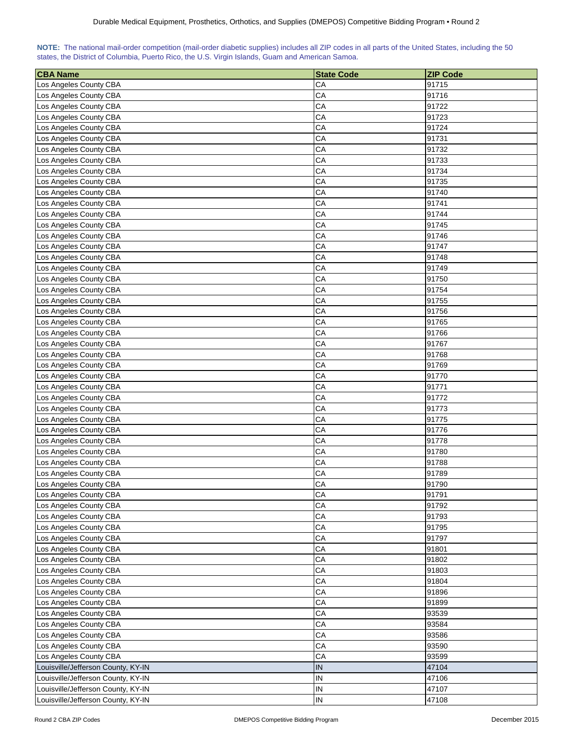| NOTE: The national mail-order competition (mail-order diabetic supplies) includes all ZIP codes in all parts of the United States, including the 50 |  |  |  |  |  |  |  |
|-----------------------------------------------------------------------------------------------------------------------------------------------------|--|--|--|--|--|--|--|
| states, the District of Columbia, Puerto Rico, the U.S. Virgin Islands, Guam and American Samoa.                                                    |  |  |  |  |  |  |  |

| <b>CBA Name</b>                                  | <b>State Code</b> | <b>ZIP Code</b> |
|--------------------------------------------------|-------------------|-----------------|
| Los Angeles County CBA                           | CA                | 91715           |
| Los Angeles County CBA                           | CA                | 91716           |
| Los Angeles County CBA                           | CA                | 91722           |
| Los Angeles County CBA                           | CA                | 91723           |
| Los Angeles County CBA                           | CA                | 91724           |
| Los Angeles County CBA                           | CA                | 91731           |
| Los Angeles County CBA                           | CA                | 91732           |
| Los Angeles County CBA                           | CA                | 91733           |
| Los Angeles County CBA                           | CA                | 91734           |
| Los Angeles County CBA                           | CA                | 91735           |
| Los Angeles County CBA                           | CA                | 91740           |
| Los Angeles County CBA                           | CA                | 91741           |
| Los Angeles County CBA                           | CA                | 91744           |
| Los Angeles County CBA                           | CA                | 91745           |
| Los Angeles County CBA                           | CA                | 91746           |
| Los Angeles County CBA                           | CA                | 91747           |
| Los Angeles County CBA                           | CA                | 91748           |
| Los Angeles County CBA                           | CA                | 91749           |
| Los Angeles County CBA                           | CA                | 91750           |
| Los Angeles County CBA                           | CA                | 91754           |
| Los Angeles County CBA                           | CA                | 91755           |
| Los Angeles County CBA                           | CA                | 91756           |
| Los Angeles County CBA                           | CA                | 91765           |
| Los Angeles County CBA                           | CA                | 91766           |
| Los Angeles County CBA                           | CA                | 91767           |
| Los Angeles County CBA                           | CA                | 91768           |
| Los Angeles County CBA                           | CA                | 91769           |
| Los Angeles County CBA                           | CA                | 91770           |
| Los Angeles County CBA                           | CA                | 91771           |
| Los Angeles County CBA                           | CA                | 91772           |
| Los Angeles County CBA                           | CA                | 91773           |
| Los Angeles County CBA                           | CA                | 91775           |
| Los Angeles County CBA                           | CA                | 91776           |
| Los Angeles County CBA                           | CA                | 91778           |
| Los Angeles County CBA                           | CA                | 91780           |
| Los Angeles County CBA                           | CA                | 91788           |
|                                                  | CA                | 91789           |
| Los Angeles County CBA<br>Los Angeles County CBA | CA                | 91790           |
| Los Angeles County CBA                           | CA                | 91791           |
| Los Angeles County CBA                           | CA                | 91792           |
| Los Angeles County CBA                           | CA                |                 |
| Los Angeles County CBA                           | CA                | 91793<br>91795  |
|                                                  |                   |                 |
| Los Angeles County CBA<br>Los Angeles County CBA | CA<br>CA          | 91797           |
|                                                  |                   | 91801           |
| Los Angeles County CBA                           | CA                | 91802           |
| Los Angeles County CBA                           | CA                | 91803           |
| Los Angeles County CBA                           | CA                | 91804           |
| Los Angeles County CBA                           | CA                | 91896           |
| Los Angeles County CBA                           | CA                | 91899           |
| Los Angeles County CBA                           | CA                | 93539           |
| Los Angeles County CBA                           | CA                | 93584           |
| Los Angeles County CBA                           | CA                | 93586           |
| Los Angeles County CBA                           | CA                | 93590           |
| Los Angeles County CBA                           | CA                | 93599           |
| Louisville/Jefferson County, KY-IN               | IN                | 47104           |
| Louisville/Jefferson County, KY-IN               | IN                | 47106           |
| Louisville/Jefferson County, KY-IN               | IN                | 47107           |
| Louisville/Jefferson County, KY-IN               | IN                | 47108           |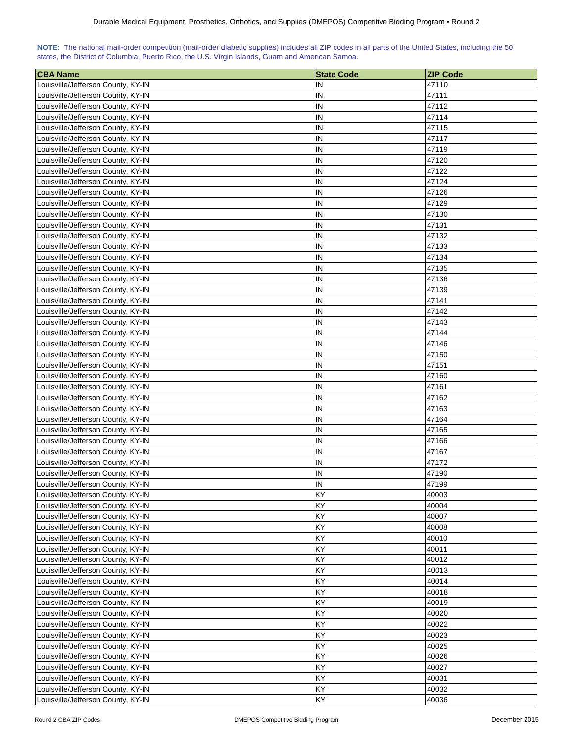| NOTE: The national mail-order competition (mail-order diabetic supplies) includes all ZIP codes in all parts of the United States, including the 50 |  |  |  |
|-----------------------------------------------------------------------------------------------------------------------------------------------------|--|--|--|
| states, the District of Columbia, Puerto Rico, the U.S. Virgin Islands, Guam and American Samoa.                                                    |  |  |  |

| <b>CBA Name</b>                    | <b>State Code</b> | <b>ZIP Code</b> |
|------------------------------------|-------------------|-----------------|
| Louisville/Jefferson County, KY-IN | IN                | 47110           |
| Louisville/Jefferson County, KY-IN | IN                | 47111           |
| Louisville/Jefferson County, KY-IN | IN                | 47112           |
| Louisville/Jefferson County, KY-IN | IN                | 47114           |
| Louisville/Jefferson County, KY-IN | IN                | 47115           |
| Louisville/Jefferson County, KY-IN | IN                | 47117           |
| Louisville/Jefferson County, KY-IN | IN                | 47119           |
| Louisville/Jefferson County, KY-IN | IN                | 47120           |
| Louisville/Jefferson County, KY-IN | IN                | 47122           |
| Louisville/Jefferson County, KY-IN | IN                | 47124           |
| Louisville/Jefferson County, KY-IN | IN                | 47126           |
| Louisville/Jefferson County, KY-IN | IN                | 47129           |
| Louisville/Jefferson County, KY-IN | IN                | 47130           |
| Louisville/Jefferson County, KY-IN | IN                | 47131           |
| Louisville/Jefferson County, KY-IN | IN                | 47132           |
| Louisville/Jefferson County, KY-IN | IN                | 47133           |
| Louisville/Jefferson County, KY-IN | IN                | 47134           |
| Louisville/Jefferson County, KY-IN | IN                | 47135           |
| Louisville/Jefferson County, KY-IN | IN                | 47136           |
| Louisville/Jefferson County, KY-IN | IN                | 47139           |
| Louisville/Jefferson County, KY-IN | IN                | 47141           |
| Louisville/Jefferson County, KY-IN | IN                | 47142           |
| Louisville/Jefferson County, KY-IN | IN                | 47143           |
| Louisville/Jefferson County, KY-IN | IN                | 47144           |
| Louisville/Jefferson County, KY-IN | IN                | 47146           |
| Louisville/Jefferson County, KY-IN | IN                | 47150           |
| Louisville/Jefferson County, KY-IN | IN                | 47151           |
| Louisville/Jefferson County, KY-IN | IN                | 47160           |
| Louisville/Jefferson County, KY-IN | IN                | 47161           |
| Louisville/Jefferson County, KY-IN | IN                | 47162           |
| Louisville/Jefferson County, KY-IN | IN                | 47163           |
| Louisville/Jefferson County, KY-IN | IN                | 47164           |
| Louisville/Jefferson County, KY-IN | IN                | 47165           |
| Louisville/Jefferson County, KY-IN | IN                | 47166           |
| Louisville/Jefferson County, KY-IN | IN                | 47167           |
| Louisville/Jefferson County, KY-IN | IN                | 47172           |
| Louisville/Jefferson County, KY-IN | IN                | 47190           |
| Louisville/Jefferson County, KY-IN | IN                | 47199           |
| Louisville/Jefferson County, KY-IN | KY                | 40003           |
| Louisville/Jefferson County, KY-IN | KY                | 40004           |
| Louisville/Jefferson County, KY-IN | KY                | 40007           |
| Louisville/Jefferson County, KY-IN | KY                | 40008           |
| Louisville/Jefferson County, KY-IN | KY                | 40010           |
| Louisville/Jefferson County, KY-IN | KY                | 40011           |
| Louisville/Jefferson County, KY-IN | KY                | 40012           |
| Louisville/Jefferson County, KY-IN | KY                | 40013           |
| Louisville/Jefferson County, KY-IN | KY                | 40014           |
| Louisville/Jefferson County, KY-IN | KY                | 40018           |
| Louisville/Jefferson County, KY-IN | KY                | 40019           |
| Louisville/Jefferson County, KY-IN | KY                | 40020           |
| Louisville/Jefferson County, KY-IN | KY                | 40022           |
| Louisville/Jefferson County, KY-IN | KY                | 40023           |
| Louisville/Jefferson County, KY-IN | KY                | 40025           |
| Louisville/Jefferson County, KY-IN | KY                | 40026           |
| Louisville/Jefferson County, KY-IN | KY                | 40027           |
| Louisville/Jefferson County, KY-IN | <b>KY</b>         | 40031           |
| Louisville/Jefferson County, KY-IN | KY                | 40032           |
| Louisville/Jefferson County, KY-IN | KY                | 40036           |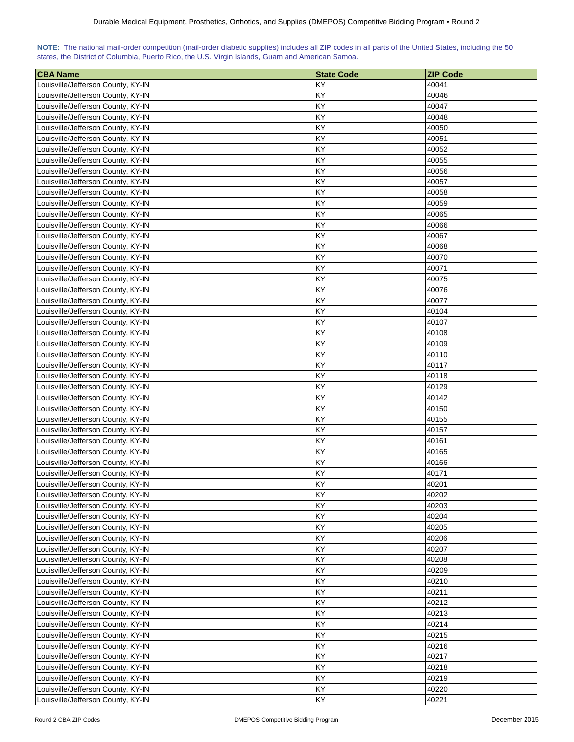| NOTE: The national mail-order competition (mail-order diabetic supplies) includes all ZIP codes in all parts of the United States, including the 50 |  |  |  |  |  |  |  |
|-----------------------------------------------------------------------------------------------------------------------------------------------------|--|--|--|--|--|--|--|
| states, the District of Columbia, Puerto Rico, the U.S. Virgin Islands, Guam and American Samoa.                                                    |  |  |  |  |  |  |  |

| <b>CBA Name</b>                    | <b>State Code</b> | <b>ZIP Code</b> |
|------------------------------------|-------------------|-----------------|
| Louisville/Jefferson County, KY-IN | KY                | 40041           |
| Louisville/Jefferson County, KY-IN | KY                | 40046           |
| Louisville/Jefferson County, KY-IN | KY                | 40047           |
| Louisville/Jefferson County, KY-IN | KY                | 40048           |
| Louisville/Jefferson County, KY-IN | KY                | 40050           |
| Louisville/Jefferson County, KY-IN | KY                | 40051           |
| Louisville/Jefferson County, KY-IN | KY                | 40052           |
| Louisville/Jefferson County, KY-IN | KY                | 40055           |
| Louisville/Jefferson County, KY-IN | KY                | 40056           |
| Louisville/Jefferson County, KY-IN | KY                | 40057           |
| Louisville/Jefferson County, KY-IN | KY                | 40058           |
| Louisville/Jefferson County, KY-IN | KY                | 40059           |
| Louisville/Jefferson County, KY-IN | KY                | 40065           |
| Louisville/Jefferson County, KY-IN | KY                | 40066           |
| Louisville/Jefferson County, KY-IN | KY                | 40067           |
| Louisville/Jefferson County, KY-IN | KY                | 40068           |
| Louisville/Jefferson County, KY-IN | KY                | 40070           |
| Louisville/Jefferson County, KY-IN | KY                | 40071           |
| Louisville/Jefferson County, KY-IN | KY                | 40075           |
| Louisville/Jefferson County, KY-IN | KY                | 40076           |
| Louisville/Jefferson County, KY-IN | KY                | 40077           |
| Louisville/Jefferson County, KY-IN | KY                | 40104           |
| Louisville/Jefferson County, KY-IN | KY                | 40107           |
| Louisville/Jefferson County, KY-IN | KY                | 40108           |
| Louisville/Jefferson County, KY-IN | KY                | 40109           |
| Louisville/Jefferson County, KY-IN | KY                | 40110           |
| Louisville/Jefferson County, KY-IN | KY                | 40117           |
| Louisville/Jefferson County, KY-IN | KY                | 40118           |
| Louisville/Jefferson County, KY-IN | KY                | 40129           |
| Louisville/Jefferson County, KY-IN | KY                | 40142           |
| Louisville/Jefferson County, KY-IN | KY                | 40150           |
| Louisville/Jefferson County, KY-IN | KY                | 40155           |
| Louisville/Jefferson County, KY-IN | KY                | 40157           |
| Louisville/Jefferson County, KY-IN | KY                | 40161           |
| Louisville/Jefferson County, KY-IN | KY                | 40165           |
| Louisville/Jefferson County, KY-IN | KY                | 40166           |
| Louisville/Jefferson County, KY-IN | KY                | 40171           |
| Louisville/Jefferson County, KY-IN | KY                | 40201           |
| Louisville/Jefferson County, KY-IN | KY                | 40202           |
| Louisville/Jefferson County, KY-IN | KY                | 40203           |
| Louisville/Jefferson County, KY-IN | KY                | 40204           |
| Louisville/Jefferson County, KY-IN | KY                | 40205           |
| Louisville/Jefferson County, KY-IN | KY                | 40206           |
| Louisville/Jefferson County, KY-IN | KY                | 40207           |
| Louisville/Jefferson County, KY-IN | KY                | 40208           |
| Louisville/Jefferson County, KY-IN | KY                | 40209           |
| Louisville/Jefferson County, KY-IN | KY                | 40210           |
| Louisville/Jefferson County, KY-IN | KY                | 40211           |
| Louisville/Jefferson County, KY-IN | KY                | 40212           |
| Louisville/Jefferson County, KY-IN | KY                | 40213           |
| Louisville/Jefferson County, KY-IN | KY                | 40214           |
| Louisville/Jefferson County, KY-IN | KY                | 40215           |
| Louisville/Jefferson County, KY-IN | KY                | 40216           |
| Louisville/Jefferson County, KY-IN | KY                | 40217           |
| Louisville/Jefferson County, KY-IN | KY                | 40218           |
| Louisville/Jefferson County, KY-IN | <b>KY</b>         | 40219           |
| Louisville/Jefferson County, KY-IN | KY                | 40220           |
| Louisville/Jefferson County, KY-IN | KY                | 40221           |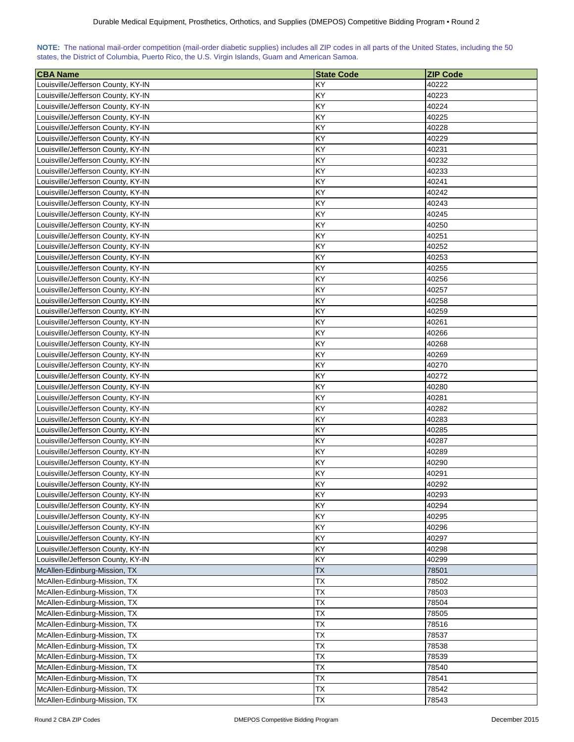| NOTE: The national mail-order competition (mail-order diabetic supplies) includes all ZIP codes in all parts of the United States, including the 50 |  |  |  |
|-----------------------------------------------------------------------------------------------------------------------------------------------------|--|--|--|
| states, the District of Columbia, Puerto Rico, the U.S. Virgin Islands, Guam and American Samoa.                                                    |  |  |  |

| <b>CBA Name</b>                    | <b>State Code</b> | <b>ZIP Code</b> |
|------------------------------------|-------------------|-----------------|
| Louisville/Jefferson County, KY-IN | KY                | 40222           |
| Louisville/Jefferson County, KY-IN | KY                | 40223           |
| Louisville/Jefferson County, KY-IN | KY                | 40224           |
| Louisville/Jefferson County, KY-IN | KY                | 40225           |
| Louisville/Jefferson County, KY-IN | KY                | 40228           |
| Louisville/Jefferson County, KY-IN | KY                | 40229           |
| Louisville/Jefferson County, KY-IN | KY                | 40231           |
| Louisville/Jefferson County, KY-IN | KY                | 40232           |
| Louisville/Jefferson County, KY-IN | KY                | 40233           |
| Louisville/Jefferson County, KY-IN | KY                | 40241           |
| Louisville/Jefferson County, KY-IN | KY                | 40242           |
| Louisville/Jefferson County, KY-IN | KY                | 40243           |
| Louisville/Jefferson County, KY-IN | KY                | 40245           |
| Louisville/Jefferson County, KY-IN | KY                | 40250           |
| Louisville/Jefferson County, KY-IN | KY                | 40251           |
| Louisville/Jefferson County, KY-IN | KY                | 40252           |
| Louisville/Jefferson County, KY-IN | KY                | 40253           |
| Louisville/Jefferson County, KY-IN | KY                | 40255           |
| Louisville/Jefferson County, KY-IN | KY                | 40256           |
| Louisville/Jefferson County, KY-IN | KY                | 40257           |
| Louisville/Jefferson County, KY-IN | KY                | 40258           |
| Louisville/Jefferson County, KY-IN | KY                | 40259           |
| Louisville/Jefferson County, KY-IN | KY                | 40261           |
| Louisville/Jefferson County, KY-IN | KY                | 40266           |
| Louisville/Jefferson County, KY-IN | KY                | 40268           |
| Louisville/Jefferson County, KY-IN | KY                | 40269           |
| Louisville/Jefferson County, KY-IN | KY                | 40270           |
| Louisville/Jefferson County, KY-IN | KY                | 40272           |
| Louisville/Jefferson County, KY-IN | KY                | 40280           |
| Louisville/Jefferson County, KY-IN | KY                | 40281           |
| Louisville/Jefferson County, KY-IN | KY                | 40282           |
| Louisville/Jefferson County, KY-IN | KY                | 40283           |
| Louisville/Jefferson County, KY-IN | KY                | 40285           |
| Louisville/Jefferson County, KY-IN | KY                | 40287           |
| Louisville/Jefferson County, KY-IN | KY                | 40289           |
| Louisville/Jefferson County, KY-IN | KY                | 40290           |
| Louisville/Jefferson County, KY-IN | KY                | 40291           |
| Louisville/Jefferson County, KY-IN | KY                | 40292           |
| Louisville/Jefferson County, KY-IN | KY                | 40293           |
| Louisville/Jefferson County, KY-IN | KY                | 40294           |
| Louisville/Jefferson County, KY-IN | KY                | 40295           |
| Louisville/Jefferson County, KY-IN | KY                | 40296           |
| Louisville/Jefferson County, KY-IN | KY                | 40297           |
| Louisville/Jefferson County, KY-IN | KY                | 40298           |
| Louisville/Jefferson County, KY-IN | KY                | 40299           |
| McAllen-Edinburg-Mission, TX       | <b>TX</b>         | 78501           |
| McAllen-Edinburg-Mission, TX       | <b>TX</b>         | 78502           |
| McAllen-Edinburg-Mission, TX       | <b>TX</b>         | 78503           |
| McAllen-Edinburg-Mission, TX       | TX                | 78504           |
| McAllen-Edinburg-Mission, TX       | TX                | 78505           |
| McAllen-Edinburg-Mission, TX       | <b>TX</b>         | 78516           |
| McAllen-Edinburg-Mission, TX       | <b>TX</b>         | 78537           |
| McAllen-Edinburg-Mission, TX       | TX                | 78538           |
| McAllen-Edinburg-Mission, TX       | ТX                | 78539           |
| McAllen-Edinburg-Mission, TX       | TX                | 78540           |
| McAllen-Edinburg-Mission, TX       | <b>TX</b>         | 78541           |
| McAllen-Edinburg-Mission, TX       | TX                | 78542           |
| McAllen-Edinburg-Mission, TX       | TX                | 78543           |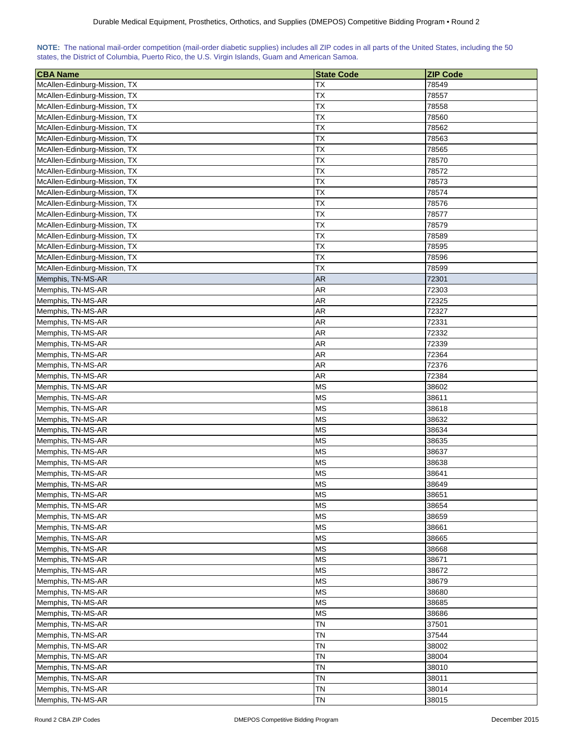| NOTE: The national mail-order competition (mail-order diabetic supplies) includes all ZIP codes in all parts of the United States, including the 50 |  |  |  |  |  |  |  |
|-----------------------------------------------------------------------------------------------------------------------------------------------------|--|--|--|--|--|--|--|
| states, the District of Columbia, Puerto Rico, the U.S. Virgin Islands, Guam and American Samoa.                                                    |  |  |  |  |  |  |  |

| <b>CBA Name</b>              | <b>State Code</b> | <b>ZIP Code</b> |
|------------------------------|-------------------|-----------------|
| McAllen-Edinburg-Mission, TX | ТX                | 78549           |
| McAllen-Edinburg-Mission, TX | <b>TX</b>         | 78557           |
| McAllen-Edinburg-Mission, TX | <b>TX</b>         | 78558           |
| McAllen-Edinburg-Mission, TX | <b>TX</b>         | 78560           |
| McAllen-Edinburg-Mission, TX | ТX                | 78562           |
| McAllen-Edinburg-Mission, TX | <b>TX</b>         | 78563           |
| McAllen-Edinburg-Mission, TX | TX                | 78565           |
| McAllen-Edinburg-Mission, TX | TX                | 78570           |
| McAllen-Edinburg-Mission, TX | <b>TX</b>         | 78572           |
| McAllen-Edinburg-Mission, TX | <b>TX</b>         | 78573           |
| McAllen-Edinburg-Mission, TX | ТX                | 78574           |
| McAllen-Edinburg-Mission, TX | TX                | 78576           |
| McAllen-Edinburg-Mission, TX | <b>TX</b>         | 78577           |
| McAllen-Edinburg-Mission, TX | <b>TX</b>         | 78579           |
| McAllen-Edinburg-Mission, TX | <b>TX</b>         | 78589           |
| McAllen-Edinburg-Mission, TX | ТX                | 78595           |
| McAllen-Edinburg-Mission, TX | TX                | 78596           |
| McAllen-Edinburg-Mission, TX | TX                | 78599           |
| Memphis, TN-MS-AR            | AR                | 72301           |
| Memphis, TN-MS-AR            | AR                | 72303           |
| Memphis, TN-MS-AR            | AR                | 72325           |
| Memphis, TN-MS-AR            | AR                | 72327           |
| Memphis, TN-MS-AR            | AR                | 72331           |
| Memphis, TN-MS-AR            | AR                | 72332           |
| Memphis, TN-MS-AR            | <b>AR</b>         | 72339           |
| Memphis, TN-MS-AR            | AR                | 72364           |
| Memphis, TN-MS-AR            | <b>AR</b>         | 72376           |
| Memphis, TN-MS-AR            | <b>AR</b>         | 72384           |
| Memphis, TN-MS-AR            | <b>MS</b>         | 38602           |
| Memphis, TN-MS-AR            | <b>MS</b>         | 38611           |
| Memphis, TN-MS-AR            | <b>MS</b>         | 38618           |
| Memphis, TN-MS-AR            | МS                | 38632           |
| Memphis, TN-MS-AR            | <b>MS</b>         | 38634           |
| Memphis, TN-MS-AR            | <b>MS</b>         | 38635           |
| Memphis, TN-MS-AR            | <b>MS</b>         | 38637           |
| Memphis, TN-MS-AR            | <b>MS</b>         | 38638           |
| Memphis, TN-MS-AR            | <b>MS</b>         | 38641           |
| Memphis, TN-MS-AR            | <b>MS</b>         | 38649           |
| Memphis, TN-MS-AR            | <b>MS</b>         | 38651           |
| Memphis, TN-MS-AR            | <b>MS</b>         | 38654           |
| Memphis, TN-MS-AR            | <b>MS</b>         | 38659           |
| Memphis, TN-MS-AR            | <b>MS</b>         | 38661           |
| Memphis, TN-MS-AR            | <b>MS</b>         | 38665           |
| Memphis, TN-MS-AR            | <b>MS</b>         | 38668           |
| Memphis, TN-MS-AR            | <b>MS</b>         | 38671           |
| Memphis, TN-MS-AR            | <b>MS</b>         | 38672           |
| Memphis, TN-MS-AR            | <b>MS</b>         | 38679           |
| Memphis, TN-MS-AR            | <b>MS</b>         | 38680           |
| Memphis, TN-MS-AR            | <b>MS</b>         | 38685           |
| Memphis, TN-MS-AR            | <b>MS</b>         | 38686           |
| Memphis, TN-MS-AR            | TN                | 37501           |
| Memphis, TN-MS-AR            | TN                | 37544           |
| Memphis, TN-MS-AR            | <b>TN</b>         | 38002           |
| Memphis, TN-MS-AR            | TN                | 38004           |
| Memphis, TN-MS-AR            | TN                | 38010           |
| Memphis, TN-MS-AR            | TN                | 38011           |
| Memphis, TN-MS-AR            | <b>TN</b>         | 38014           |
| Memphis, TN-MS-AR            | <b>TN</b>         | 38015           |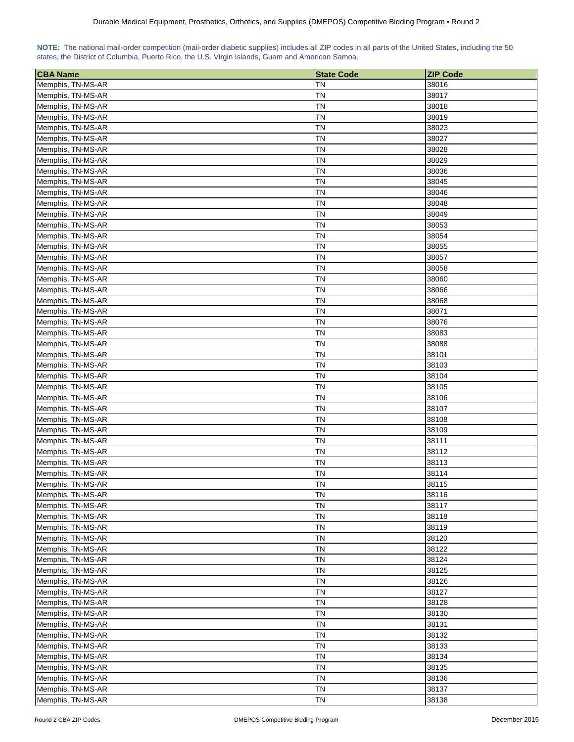| NOTE: The national mail-order competition (mail-order diabetic supplies) includes all ZIP codes in all parts of the United States, including the 50 |  |  |  |  |  |  |  |
|-----------------------------------------------------------------------------------------------------------------------------------------------------|--|--|--|--|--|--|--|
| states, the District of Columbia, Puerto Rico, the U.S. Virgin Islands, Guam and American Samoa.                                                    |  |  |  |  |  |  |  |

| <b>CBA Name</b>                        | <b>State Code</b>      | <b>ZIP Code</b> |
|----------------------------------------|------------------------|-----------------|
| Memphis, TN-MS-AR                      | ΤN                     | 38016           |
| Memphis, TN-MS-AR                      | ΤN                     | 38017           |
| Memphis, TN-MS-AR                      | ΤN                     | 38018           |
| Memphis, TN-MS-AR                      | ΤN                     | 38019           |
| Memphis, TN-MS-AR                      | <b>TN</b>              | 38023           |
|                                        | <b>TN</b>              | 38027           |
| Memphis, TN-MS-AR<br>Memphis, TN-MS-AR | <b>TN</b>              | 38028           |
|                                        |                        |                 |
| Memphis, TN-MS-AR<br>Memphis, TN-MS-AR | <b>TN</b><br><b>TN</b> | 38029<br>38036  |
|                                        |                        | 38045           |
| Memphis, TN-MS-AR                      | ΤN                     |                 |
| Memphis, TN-MS-AR                      | ΤN                     | 38046           |
| Memphis, TN-MS-AR                      | <b>TN</b>              | 38048           |
| Memphis, TN-MS-AR                      | ΤN                     | 38049           |
| Memphis, TN-MS-AR                      | ΤN                     | 38053           |
| Memphis, TN-MS-AR                      | ΤN                     | 38054           |
| Memphis, TN-MS-AR                      | ΤN                     | 38055           |
| Memphis, TN-MS-AR                      | ΤN                     | 38057           |
| Memphis, TN-MS-AR                      | <b>TN</b>              | 38058           |
| Memphis, TN-MS-AR                      | <b>TN</b>              | 38060           |
| Memphis, TN-MS-AR                      | <b>TN</b>              | 38066           |
| Memphis, TN-MS-AR                      | ΤN                     | 38068           |
| Memphis, TN-MS-AR                      | ΤN                     | 38071           |
| Memphis, TN-MS-AR                      | <b>TN</b>              | 38076           |
| Memphis, TN-MS-AR                      | <b>TN</b>              | 38083           |
| Memphis, TN-MS-AR                      | <b>TN</b>              | 38088           |
| Memphis, TN-MS-AR                      | <b>TN</b>              | 38101           |
| Memphis, TN-MS-AR                      | ΤN                     | 38103           |
| Memphis, TN-MS-AR                      | ΤN                     | 38104           |
| Memphis, TN-MS-AR                      | ΤN                     | 38105           |
| Memphis, TN-MS-AR                      | TN                     | 38106           |
| Memphis, TN-MS-AR                      | <b>TN</b>              | 38107           |
| Memphis, TN-MS-AR                      | <b>TN</b>              | 38108           |
| Memphis, TN-MS-AR                      | <b>TN</b>              | 38109           |
| Memphis, TN-MS-AR                      | <b>TN</b>              | 38111           |
| Memphis, TN-MS-AR                      | <b>TN</b>              | 38112           |
| Memphis, TN-MS-AR                      | <b>TN</b>              | 38113           |
| Memphis, TN-MS-AR                      | <b>TN</b>              | 38114           |
| Memphis, TN-MS-AR                      | TN                     | 38115           |
| Memphis, TN-MS-AR                      | <b>TN</b>              | 38116           |
| Memphis, TN-MS-AR                      | TN                     | 38117           |
| Memphis, TN-MS-AR                      | TN                     | 38118           |
| Memphis, TN-MS-AR                      | TN                     | 38119           |
| Memphis, TN-MS-AR                      | <b>TN</b>              | 38120           |
| Memphis, TN-MS-AR                      | TN                     | 38122           |
| Memphis, TN-MS-AR                      | <b>TN</b>              | 38124           |
| Memphis, TN-MS-AR                      | <b>TN</b>              | 38125           |
| Memphis, TN-MS-AR                      | <b>TN</b>              | 38126           |
| Memphis, TN-MS-AR                      | <b>TN</b>              | 38127           |
| Memphis, TN-MS-AR                      | ΤN                     | 38128           |
| Memphis, TN-MS-AR                      | ΤN                     | 38130           |
| Memphis, TN-MS-AR                      | <b>TN</b>              | 38131           |
| Memphis, TN-MS-AR                      | ΤN                     | 38132           |
| Memphis, TN-MS-AR                      | TN                     | 38133           |
| Memphis, TN-MS-AR                      | ΤN                     | 38134           |
| Memphis, TN-MS-AR                      | TN                     | 38135           |
| Memphis, TN-MS-AR                      | <b>TN</b>              | 38136           |
| Memphis, TN-MS-AR                      | <b>TN</b>              | 38137           |
| Memphis, TN-MS-AR                      | TN                     | 38138           |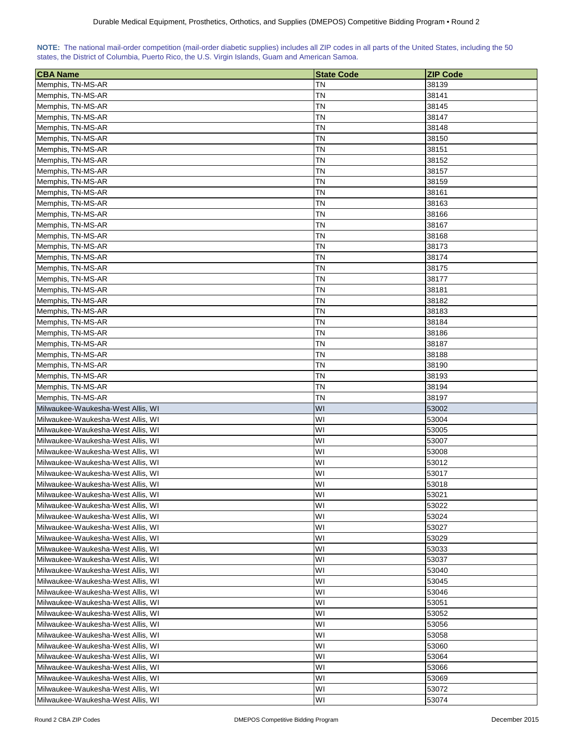| NOTE: The national mail-order competition (mail-order diabetic supplies) includes all ZIP codes in all parts of the United States, including the 50 |  |  |  |  |  |  |
|-----------------------------------------------------------------------------------------------------------------------------------------------------|--|--|--|--|--|--|
| states, the District of Columbia, Puerto Rico, the U.S. Virgin Islands, Guam and American Samoa.                                                    |  |  |  |  |  |  |

| <b>CBA Name</b>                   | <b>State Code</b> | <b>ZIP Code</b> |
|-----------------------------------|-------------------|-----------------|
| Memphis, TN-MS-AR                 | ΤN                | 38139           |
| Memphis, TN-MS-AR                 | ΤN                | 38141           |
| Memphis, TN-MS-AR                 | ΤN                | 38145           |
| Memphis, TN-MS-AR                 | ΤN                | 38147           |
| Memphis, TN-MS-AR                 | ΤN                | 38148           |
| Memphis, TN-MS-AR                 | ΤN                | 38150           |
| Memphis, TN-MS-AR                 | ΤN                | 38151           |
| Memphis, TN-MS-AR                 | ΤN                | 38152           |
| Memphis, TN-MS-AR                 | ΤN                | 38157           |
| Memphis, TN-MS-AR                 | ΤN                | 38159           |
| Memphis, TN-MS-AR                 | ΤN                | 38161           |
| Memphis, TN-MS-AR                 | ΤN                | 38163           |
| Memphis, TN-MS-AR                 | ΤN                | 38166           |
| Memphis, TN-MS-AR                 | ΤN                | 38167           |
| Memphis, TN-MS-AR                 | <b>TN</b>         | 38168           |
| Memphis, TN-MS-AR                 | ΤN                | 38173           |
| Memphis, TN-MS-AR                 | ΤN                | 38174           |
| Memphis, TN-MS-AR                 | ΤN                | 38175           |
| Memphis, TN-MS-AR                 | ΤN                | 38177           |
| Memphis, TN-MS-AR                 | TΝ                | 38181           |
| Memphis, TN-MS-AR                 | TΝ                | 38182           |
| Memphis, TN-MS-AR                 | TΝ                | 38183           |
| Memphis, TN-MS-AR                 | TΝ                | 38184           |
| Memphis, TN-MS-AR                 | ΤN                | 38186           |
| Memphis, TN-MS-AR                 | ΤN                | 38187           |
| Memphis, TN-MS-AR                 | ΤN                | 38188           |
| Memphis, TN-MS-AR                 | ΤN                | 38190           |
| Memphis, TN-MS-AR                 | ΤN                | 38193           |
| Memphis, TN-MS-AR                 | ΤN                | 38194           |
| Memphis, TN-MS-AR                 | ΤN                | 38197           |
| Milwaukee-Waukesha-West Allis, WI | <b>WI</b>         | 53002           |
| Milwaukee-Waukesha-West Allis, WI | W١                | 53004           |
| Milwaukee-Waukesha-West Allis, WI | WI                | 53005           |
| Milwaukee-Waukesha-West Allis, WI | WI                | 53007           |
| Milwaukee-Waukesha-West Allis, WI | WI                | 53008           |
| Milwaukee-Waukesha-West Allis, WI | WI                | 53012           |
| Milwaukee-Waukesha-West Allis, WI | WI                | 53017           |
| Milwaukee-Waukesha-West Allis, WI | WI                | 53018           |
| Milwaukee-Waukesha-West Allis, WI | WI                | 53021           |
| Milwaukee-Waukesha-West Allis, WI | WI                | 53022           |
| Milwaukee-Waukesha-West Allis, WI | WI                | 53024           |
| Milwaukee-Waukesha-West Allis, WI | WI                | 53027           |
| Milwaukee-Waukesha-West Allis, WI | WI                | 53029           |
| Milwaukee-Waukesha-West Allis, WI | WI                | 53033           |
| Milwaukee-Waukesha-West Allis, WI | WI                | 53037           |
| Milwaukee-Waukesha-West Allis, WI | WI                | 53040           |
| Milwaukee-Waukesha-West Allis, WI | WI                | 53045           |
| Milwaukee-Waukesha-West Allis, WI | WI                | 53046           |
| Milwaukee-Waukesha-West Allis, WI | WI                | 53051           |
| Milwaukee-Waukesha-West Allis, WI | WI                | 53052           |
| Milwaukee-Waukesha-West Allis, WI | WI                | 53056           |
| Milwaukee-Waukesha-West Allis, WI | WI                | 53058           |
| Milwaukee-Waukesha-West Allis, WI | WI                | 53060           |
| Milwaukee-Waukesha-West Allis, WI | WI                | 53064           |
| Milwaukee-Waukesha-West Allis, WI | WI                | 53066           |
| Milwaukee-Waukesha-West Allis, WI | WI                | 53069           |
| Milwaukee-Waukesha-West Allis, WI | WI                | 53072           |
| Milwaukee-Waukesha-West Allis, WI | W١                | 53074           |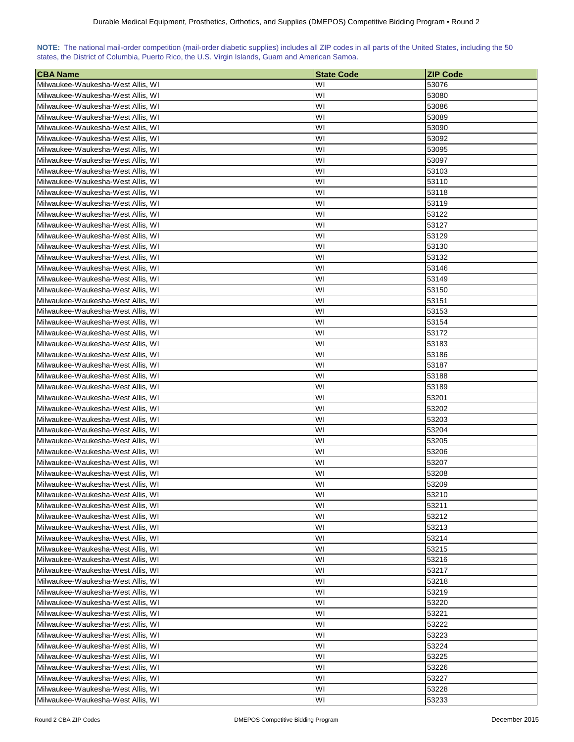| NOTE: The national mail-order competition (mail-order diabetic supplies) includes all ZIP codes in all parts of the United States, including the 50 |  |  |  |  |  |  |  |
|-----------------------------------------------------------------------------------------------------------------------------------------------------|--|--|--|--|--|--|--|
| states, the District of Columbia, Puerto Rico, the U.S. Virgin Islands, Guam and American Samoa.                                                    |  |  |  |  |  |  |  |

| <b>CBA Name</b>                   | <b>State Code</b> | <b>ZIP Code</b> |
|-----------------------------------|-------------------|-----------------|
| Milwaukee-Waukesha-West Allis, WI | WI                | 53076           |
| Milwaukee-Waukesha-West Allis, WI | WI                | 53080           |
| Milwaukee-Waukesha-West Allis, WI | WI                | 53086           |
| Milwaukee-Waukesha-West Allis, WI | WI                | 53089           |
| Milwaukee-Waukesha-West Allis, WI | WI                | 53090           |
| Milwaukee-Waukesha-West Allis, WI | WI                | 53092           |
| Milwaukee-Waukesha-West Allis, WI | WI                | 53095           |
| Milwaukee-Waukesha-West Allis, WI | WI                | 53097           |
| Milwaukee-Waukesha-West Allis, WI | WI                | 53103           |
| Milwaukee-Waukesha-West Allis, WI | WI                | 53110           |
| Milwaukee-Waukesha-West Allis, WI | WI                | 53118           |
| Milwaukee-Waukesha-West Allis, WI | WI                | 53119           |
| Milwaukee-Waukesha-West Allis, WI | WI                | 53122           |
| Milwaukee-Waukesha-West Allis, WI | WI                | 53127           |
| Milwaukee-Waukesha-West Allis, WI | WI                | 53129           |
| Milwaukee-Waukesha-West Allis, WI | WI                | 53130           |
| Milwaukee-Waukesha-West Allis, WI | WI                | 53132           |
| Milwaukee-Waukesha-West Allis, WI | WI                | 53146           |
| Milwaukee-Waukesha-West Allis, WI | WI                | 53149           |
| Milwaukee-Waukesha-West Allis, WI | WI                | 53150           |
| Milwaukee-Waukesha-West Allis, WI | WI                | 53151           |
| Milwaukee-Waukesha-West Allis, WI | WI                | 53153           |
| Milwaukee-Waukesha-West Allis, WI | WI                | 53154           |
| Milwaukee-Waukesha-West Allis, WI | WI                | 53172           |
| Milwaukee-Waukesha-West Allis, WI | WI                | 53183           |
| Milwaukee-Waukesha-West Allis, WI | WI                | 53186           |
| Milwaukee-Waukesha-West Allis, WI | WI                | 53187           |
| Milwaukee-Waukesha-West Allis, WI | WI                | 53188           |
| Milwaukee-Waukesha-West Allis, WI | WI                | 53189           |
| Milwaukee-Waukesha-West Allis, WI | WI                | 53201           |
| Milwaukee-Waukesha-West Allis, WI | WI                | 53202           |
| Milwaukee-Waukesha-West Allis, WI | WI                | 53203           |
| Milwaukee-Waukesha-West Allis, WI | WI                | 53204           |
| Milwaukee-Waukesha-West Allis, WI | WI                | 53205           |
| Milwaukee-Waukesha-West Allis, WI | WI                | 53206           |
| Milwaukee-Waukesha-West Allis, WI | WI                | 53207           |
| Milwaukee-Waukesha-West Allis, WI | WI                | 53208           |
| Milwaukee-Waukesha-West Allis, WI | WI                | 53209           |
| Milwaukee-Waukesha-West Allis, WI | WI                | 53210           |
| Milwaukee-Waukesha-West Allis, WI | WI                | 53211           |
| Milwaukee-Waukesha-West Allis, WI | WI                | 53212           |
| Milwaukee-Waukesha-West Allis, WI | WI                | 53213           |
| Milwaukee-Waukesha-West Allis, WI | WI                | 53214           |
| Milwaukee-Waukesha-West Allis, WI | WI                | 53215           |
| Milwaukee-Waukesha-West Allis, WI | WI                | 53216           |
| Milwaukee-Waukesha-West Allis, WI | WI                | 53217           |
| Milwaukee-Waukesha-West Allis, WI | WI                | 53218           |
| Milwaukee-Waukesha-West Allis, WI | WI                | 53219           |
| Milwaukee-Waukesha-West Allis, WI | WI                | 53220           |
| Milwaukee-Waukesha-West Allis, WI | WI                | 53221           |
| Milwaukee-Waukesha-West Allis, WI | WI                | 53222           |
| Milwaukee-Waukesha-West Allis, WI | WI                | 53223           |
| Milwaukee-Waukesha-West Allis, WI | WI                | 53224           |
| Milwaukee-Waukesha-West Allis, WI | WI                | 53225           |
| Milwaukee-Waukesha-West Allis, WI | WI                | 53226           |
| Milwaukee-Waukesha-West Allis, WI | WI                | 53227           |
| Milwaukee-Waukesha-West Allis, WI | WI                | 53228           |
| Milwaukee-Waukesha-West Allis, WI | WI                | 53233           |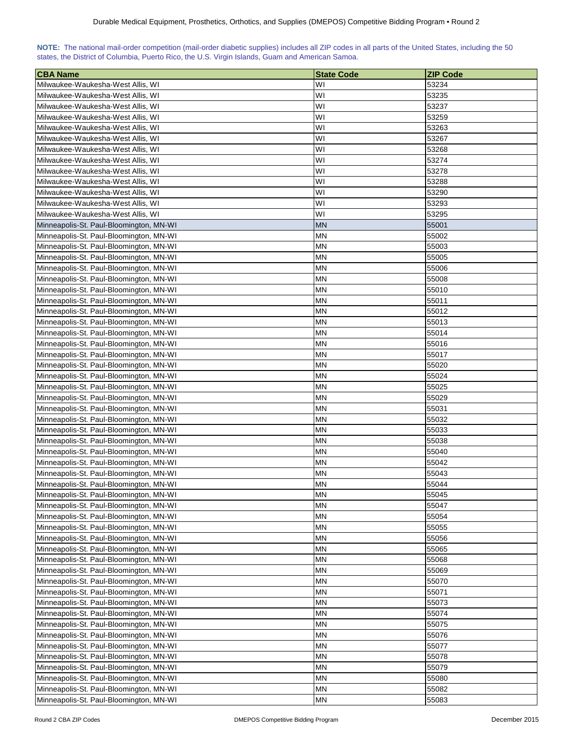| NOTE: The national mail-order competition (mail-order diabetic supplies) includes all ZIP codes in all parts of the United States, including the 50 |  |  |  |  |  |  |  |
|-----------------------------------------------------------------------------------------------------------------------------------------------------|--|--|--|--|--|--|--|
| states, the District of Columbia, Puerto Rico, the U.S. Virgin Islands, Guam and American Samoa.                                                    |  |  |  |  |  |  |  |

| <b>CBA Name</b>                         | <b>State Code</b> | <b>ZIP Code</b> |
|-----------------------------------------|-------------------|-----------------|
| Milwaukee-Waukesha-West Allis, WI       | W١                | 53234           |
| Milwaukee-Waukesha-West Allis, WI       | WI                | 53235           |
| Milwaukee-Waukesha-West Allis, WI       | WI                | 53237           |
| Milwaukee-Waukesha-West Allis, WI       | W١                | 53259           |
| Milwaukee-Waukesha-West Allis, WI       | W١                | 53263           |
| Milwaukee-Waukesha-West Allis, WI       | WI                | 53267           |
| Milwaukee-Waukesha-West Allis, WI       | W١                | 53268           |
| Milwaukee-Waukesha-West Allis, WI       | W١                | 53274           |
| Milwaukee-Waukesha-West Allis, WI       | W١                | 53278           |
| Milwaukee-Waukesha-West Allis, WI       | WI                | 53288           |
| Milwaukee-Waukesha-West Allis, WI       | W١                | 53290           |
| Milwaukee-Waukesha-West Allis, WI       | W١                | 53293           |
| Milwaukee-Waukesha-West Allis, WI       | W١                | 53295           |
| Minneapolis-St. Paul-Bloomington, MN-WI | <b>MN</b>         | 55001           |
| Minneapolis-St. Paul-Bloomington, MN-WI | ΜN                | 55002           |
| Minneapolis-St. Paul-Bloomington, MN-WI | ΜN                | 55003           |
| Minneapolis-St. Paul-Bloomington, MN-WI | ΜN                | 55005           |
| Minneapolis-St. Paul-Bloomington, MN-WI | ΜN                | 55006           |
| Minneapolis-St. Paul-Bloomington, MN-WI | ΜN                | 55008           |
| Minneapolis-St. Paul-Bloomington, MN-WI | ΜN                | 55010           |
| Minneapolis-St. Paul-Bloomington, MN-WI | ΜN                | 55011           |
| Minneapolis-St. Paul-Bloomington, MN-WI | <b>MN</b>         | 55012           |
| Minneapolis-St. Paul-Bloomington, MN-WI | MN                | 55013           |
| Minneapolis-St. Paul-Bloomington, MN-WI | MN                | 55014           |
| Minneapolis-St. Paul-Bloomington, MN-WI | ΜN                | 55016           |
| Minneapolis-St. Paul-Bloomington, MN-WI | MN                | 55017           |
| Minneapolis-St. Paul-Bloomington, MN-WI | ΜN                | 55020           |
| Minneapolis-St. Paul-Bloomington, MN-WI | ΜN                | 55024           |
| Minneapolis-St. Paul-Bloomington, MN-WI | ΜN                | 55025           |
| Minneapolis-St. Paul-Bloomington, MN-WI | ΜN                | 55029           |
| Minneapolis-St. Paul-Bloomington, MN-WI | ΜN                | 55031           |
| Minneapolis-St. Paul-Bloomington, MN-WI | ΜN                | 55032           |
| Minneapolis-St. Paul-Bloomington, MN-WI | ΜN                | 55033           |
| Minneapolis-St. Paul-Bloomington, MN-WI | ΜN                | 55038           |
| Minneapolis-St. Paul-Bloomington, MN-WI | MN                | 55040           |
| Minneapolis-St. Paul-Bloomington, MN-WI | MN                | 55042           |
| Minneapolis-St. Paul-Bloomington, MN-WI | ΜN                | 55043           |
| Minneapolis-St. Paul-Bloomington, MN-WI | <b>MN</b>         | 55044           |
| Minneapolis-St. Paul-Bloomington, MN-WI | <b>MN</b>         | 55045           |
| Minneapolis-St. Paul-Bloomington, MN-WI | <b>MN</b>         | 55047           |
| Minneapolis-St. Paul-Bloomington, MN-WI | <b>MN</b>         | 55054           |
| Minneapolis-St. Paul-Bloomington, MN-WI | MN                | 55055           |
| Minneapolis-St. Paul-Bloomington, MN-WI | ΜN                | 55056           |
| Minneapolis-St. Paul-Bloomington, MN-WI | ΜN                | 55065           |
| Minneapolis-St. Paul-Bloomington, MN-WI | ΜN                | 55068           |
| Minneapolis-St. Paul-Bloomington, MN-WI | MN                | 55069           |
| Minneapolis-St. Paul-Bloomington, MN-WI | ΜN                | 55070           |
| Minneapolis-St. Paul-Bloomington, MN-WI | <b>MN</b>         | 55071           |
| Minneapolis-St. Paul-Bloomington, MN-WI | ΜN                | 55073           |
| Minneapolis-St. Paul-Bloomington, MN-WI | ΜN                | 55074           |
| Minneapolis-St. Paul-Bloomington, MN-WI | MN                | 55075           |
| Minneapolis-St. Paul-Bloomington, MN-WI | ΜN                | 55076           |
| Minneapolis-St. Paul-Bloomington, MN-WI | MN                | 55077           |
| Minneapolis-St. Paul-Bloomington, MN-WI | MN                | 55078           |
| Minneapolis-St. Paul-Bloomington, MN-WI | MN                | 55079           |
| Minneapolis-St. Paul-Bloomington, MN-WI | ΜN                | 55080           |
| Minneapolis-St. Paul-Bloomington, MN-WI | ΜN                | 55082           |
| Minneapolis-St. Paul-Bloomington, MN-WI | <b>MN</b>         | 55083           |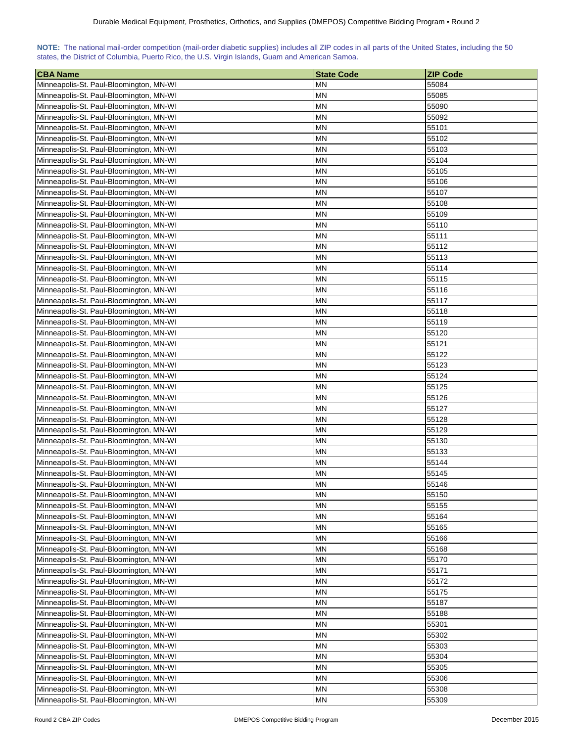| NOTE: The national mail-order competition (mail-order diabetic supplies) includes all ZIP codes in all parts of the United States, including the 50 |  |  |  |  |  |  |  |
|-----------------------------------------------------------------------------------------------------------------------------------------------------|--|--|--|--|--|--|--|
| states, the District of Columbia, Puerto Rico, the U.S. Virgin Islands, Guam and American Samoa.                                                    |  |  |  |  |  |  |  |

| <b>CBA Name</b>                         | <b>State Code</b> | <b>ZIP Code</b> |
|-----------------------------------------|-------------------|-----------------|
| Minneapolis-St. Paul-Bloomington, MN-WI | MN                | 55084           |
| Minneapolis-St. Paul-Bloomington, MN-WI | ΜN                | 55085           |
| Minneapolis-St. Paul-Bloomington, MN-WI | <b>MN</b>         | 55090           |
| Minneapolis-St. Paul-Bloomington, MN-WI | ΜN                | 55092           |
| Minneapolis-St. Paul-Bloomington, MN-WI | ΜN                | 55101           |
| Minneapolis-St. Paul-Bloomington, MN-WI | ΜN                | 55102           |
| Minneapolis-St. Paul-Bloomington, MN-WI | ΜN                | 55103           |
| Minneapolis-St. Paul-Bloomington, MN-WI | ΜN                | 55104           |
| Minneapolis-St. Paul-Bloomington, MN-WI | ΜN                | 55105           |
| Minneapolis-St. Paul-Bloomington, MN-WI | ΜN                | 55106           |
| Minneapolis-St. Paul-Bloomington, MN-WI | MΝ                | 55107           |
| Minneapolis-St. Paul-Bloomington, MN-WI | MΝ                | 55108           |
| Minneapolis-St. Paul-Bloomington, MN-WI | MΝ                | 55109           |
| Minneapolis-St. Paul-Bloomington, MN-WI | MN                | 55110           |
| Minneapolis-St. Paul-Bloomington, MN-WI | ΜN                | 55111           |
| Minneapolis-St. Paul-Bloomington, MN-WI | ΜN                | 55112           |
| Minneapolis-St. Paul-Bloomington, MN-WI | <b>MN</b>         | 55113           |
| Minneapolis-St. Paul-Bloomington, MN-WI | ΜN                | 55114           |
| Minneapolis-St. Paul-Bloomington, MN-WI | ΜN                | 55115           |
| Minneapolis-St. Paul-Bloomington, MN-WI | ΜN                | 55116           |
| Minneapolis-St. Paul-Bloomington, MN-WI | MΝ                | 55117           |
|                                         | MΝ                | 55118           |
| Minneapolis-St. Paul-Bloomington, MN-WI |                   |                 |
| Minneapolis-St. Paul-Bloomington, MN-WI | MN                | 55119           |
| Minneapolis-St. Paul-Bloomington, MN-WI | ΜN                | 55120           |
| Minneapolis-St. Paul-Bloomington, MN-WI | MN                | 55121           |
| Minneapolis-St. Paul-Bloomington, MN-WI | ΜN                | 55122           |
| Minneapolis-St. Paul-Bloomington, MN-WI | ΜN                | 55123           |
| Minneapolis-St. Paul-Bloomington, MN-WI | MN                | 55124           |
| Minneapolis-St. Paul-Bloomington, MN-WI | ΜN                | 55125           |
| Minneapolis-St. Paul-Bloomington, MN-WI | <b>MN</b>         | 55126           |
| Minneapolis-St. Paul-Bloomington, MN-WI | ΜN                | 55127           |
| Minneapolis-St. Paul-Bloomington, MN-WI | ΜN                | 55128           |
| Minneapolis-St. Paul-Bloomington, MN-WI | ΜN                | 55129           |
| Minneapolis-St. Paul-Bloomington, MN-WI | ΜN                | 55130           |
| Minneapolis-St. Paul-Bloomington, MN-WI | ΜN                | 55133           |
| Minneapolis-St. Paul-Bloomington, MN-WI | MN                | 55144           |
| Minneapolis-St. Paul-Bloomington, MN-WI | ΜN                | 55145           |
| Minneapolis-St. Paul-Bloomington, MN-WI | MN                | 55146           |
| Minneapolis-St. Paul-Bloomington, MN-WI | <b>MN</b>         | 55150           |
| Minneapolis-St. Paul-Bloomington, MN-WI | <b>MN</b>         | 55155           |
| Minneapolis-St. Paul-Bloomington, MN-WI | <b>MN</b>         | 55164           |
| Minneapolis-St. Paul-Bloomington, MN-WI | <b>MN</b>         | 55165           |
| Minneapolis-St. Paul-Bloomington, MN-WI | ΜN                | 55166           |
| Minneapolis-St. Paul-Bloomington, MN-WI | ΜN                | 55168           |
| Minneapolis-St. Paul-Bloomington, MN-WI | <b>MN</b>         | 55170           |
| Minneapolis-St. Paul-Bloomington, MN-WI | ΜN                | 55171           |
| Minneapolis-St. Paul-Bloomington, MN-WI | ΜN                | 55172           |
| Minneapolis-St. Paul-Bloomington, MN-WI | ΜN                | 55175           |
| Minneapolis-St. Paul-Bloomington, MN-WI | ΜN                | 55187           |
| Minneapolis-St. Paul-Bloomington, MN-WI | ΜN                | 55188           |
| Minneapolis-St. Paul-Bloomington, MN-WI | ΜN                | 55301           |
| Minneapolis-St. Paul-Bloomington, MN-WI | MN                | 55302           |
| Minneapolis-St. Paul-Bloomington, MN-WI | MN                | 55303           |
| Minneapolis-St. Paul-Bloomington, MN-WI | MN                | 55304           |
| Minneapolis-St. Paul-Bloomington, MN-WI | MN                | 55305           |
| Minneapolis-St. Paul-Bloomington, MN-WI | ΜN                | 55306           |
| Minneapolis-St. Paul-Bloomington, MN-WI | <b>MN</b>         | 55308           |
| Minneapolis-St. Paul-Bloomington, MN-WI | <b>MN</b>         | 55309           |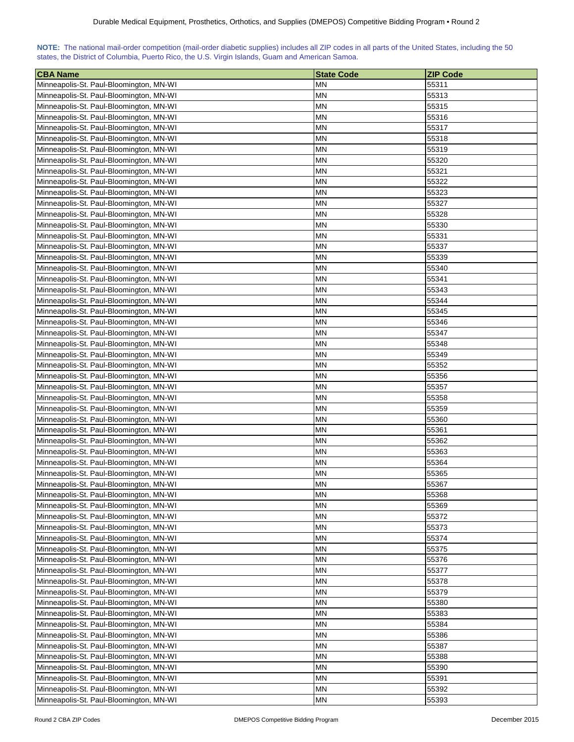| NOTE: The national mail-order competition (mail-order diabetic supplies) includes all ZIP codes in all parts of the United States, including the 50 |  |  |  |  |  |  |  |
|-----------------------------------------------------------------------------------------------------------------------------------------------------|--|--|--|--|--|--|--|
| states, the District of Columbia, Puerto Rico, the U.S. Virgin Islands, Guam and American Samoa.                                                    |  |  |  |  |  |  |  |

| <b>CBA Name</b>                                                                    | <b>State Code</b>      | <b>ZIP Code</b> |
|------------------------------------------------------------------------------------|------------------------|-----------------|
| Minneapolis-St. Paul-Bloomington, MN-WI                                            | ΜN                     | 55311           |
| Minneapolis-St. Paul-Bloomington, MN-WI                                            | ΜN                     | 55313           |
| Minneapolis-St. Paul-Bloomington, MN-WI                                            | ΜN                     | 55315           |
| Minneapolis-St. Paul-Bloomington, MN-WI                                            | ΜN                     | 55316           |
| Minneapolis-St. Paul-Bloomington, MN-WI                                            | ΜN                     | 55317           |
| Minneapolis-St. Paul-Bloomington, MN-WI                                            | ΜN                     | 55318           |
| Minneapolis-St. Paul-Bloomington, MN-WI                                            | ΜN                     | 55319           |
| Minneapolis-St. Paul-Bloomington, MN-WI                                            | ΜN                     | 55320           |
| Minneapolis-St. Paul-Bloomington, MN-WI                                            | MΝ                     | 55321           |
| Minneapolis-St. Paul-Bloomington, MN-WI                                            | ΜN                     | 55322           |
| Minneapolis-St. Paul-Bloomington, MN-WI                                            | MN                     | 55323           |
| Minneapolis-St. Paul-Bloomington, MN-WI                                            | ΜN                     | 55327           |
| Minneapolis-St. Paul-Bloomington, MN-WI                                            | ΜN                     | 55328           |
| Minneapolis-St. Paul-Bloomington, MN-WI                                            | <b>MN</b>              | 55330           |
| Minneapolis-St. Paul-Bloomington, MN-WI                                            | ΜN                     | 55331           |
| Minneapolis-St. Paul-Bloomington, MN-WI                                            | ΜN                     | 55337           |
| Minneapolis-St. Paul-Bloomington, MN-WI                                            | ΜN                     | 55339           |
| Minneapolis-St. Paul-Bloomington, MN-WI                                            | ΜN                     | 55340           |
| Minneapolis-St. Paul-Bloomington, MN-WI                                            | MΝ                     | 55341           |
| Minneapolis-St. Paul-Bloomington, MN-WI                                            | ΜN                     | 55343           |
|                                                                                    |                        |                 |
| Minneapolis-St. Paul-Bloomington, MN-WI                                            | ΜN                     | 55344           |
| Minneapolis-St. Paul-Bloomington, MN-WI                                            | ΜN                     | 55345           |
| Minneapolis-St. Paul-Bloomington, MN-WI                                            | ΜN                     | 55346           |
| Minneapolis-St. Paul-Bloomington, MN-WI                                            | MΝ                     | 55347           |
| Minneapolis-St. Paul-Bloomington, MN-WI                                            | MΝ                     | 55348           |
| Minneapolis-St. Paul-Bloomington, MN-WI                                            | MN                     | 55349           |
| Minneapolis-St. Paul-Bloomington, MN-WI                                            | MN                     | 55352           |
| Minneapolis-St. Paul-Bloomington, MN-WI                                            | MN                     | 55356           |
| Minneapolis-St. Paul-Bloomington, MN-WI                                            | MN                     | 55357           |
| Minneapolis-St. Paul-Bloomington, MN-WI                                            | ΜN                     | 55358           |
| Minneapolis-St. Paul-Bloomington, MN-WI                                            | ΜN                     | 55359           |
| Minneapolis-St. Paul-Bloomington, MN-WI                                            | ΜN                     | 55360           |
| Minneapolis-St. Paul-Bloomington, MN-WI                                            | ΜN                     | 55361           |
| Minneapolis-St. Paul-Bloomington, MN-WI                                            | ΜN<br>ΜN               | 55362           |
| Minneapolis-St. Paul-Bloomington, MN-WI                                            | <b>MN</b>              | 55363<br>55364  |
| Minneapolis-St. Paul-Bloomington, MN-WI                                            |                        |                 |
| Minneapolis-St. Paul-Bloomington, MN-WI                                            | ΜN                     | 55365           |
| Minneapolis-St. Paul-Bloomington, MN-WI                                            | <b>MN</b><br><b>MN</b> | 55367<br>55368  |
| Minneapolis-St. Paul-Bloomington, MN-WI<br>Minneapolis-St. Paul-Bloomington, MN-WI | MN                     | 55369           |
| Minneapolis-St. Paul-Bloomington, MN-WI                                            |                        |                 |
| Minneapolis-St. Paul-Bloomington, MN-WI                                            | MN<br>MN               | 55372<br>55373  |
| Minneapolis-St. Paul-Bloomington, MN-WI                                            | MN                     | 55374           |
|                                                                                    |                        |                 |
| Minneapolis-St. Paul-Bloomington, MN-WI                                            | ΜN                     | 55375           |
| Minneapolis-St. Paul-Bloomington, MN-WI                                            | ΜN                     | 55376           |
| Minneapolis-St. Paul-Bloomington, MN-WI                                            | ΜN                     | 55377           |
| Minneapolis-St. Paul-Bloomington, MN-WI                                            | ΜN                     | 55378           |
| Minneapolis-St. Paul-Bloomington, MN-WI                                            | ΜN                     | 55379           |
| Minneapolis-St. Paul-Bloomington, MN-WI                                            | ΜN                     | 55380           |
| Minneapolis-St. Paul-Bloomington, MN-WI                                            | MΝ                     | 55383           |
| Minneapolis-St. Paul-Bloomington, MN-WI                                            | ΜN                     | 55384           |
| Minneapolis-St. Paul-Bloomington, MN-WI                                            | ΜN                     | 55386           |
| Minneapolis-St. Paul-Bloomington, MN-WI                                            | ΜN                     | 55387           |
| Minneapolis-St. Paul-Bloomington, MN-WI                                            | <b>MN</b>              | 55388           |
| Minneapolis-St. Paul-Bloomington, MN-WI                                            | ΜN                     | 55390           |
| Minneapolis-St. Paul-Bloomington, MN-WI                                            | ΜN                     | 55391           |
| Minneapolis-St. Paul-Bloomington, MN-WI<br>Minneapolis-St. Paul-Bloomington, MN-WI | ΜN<br>MN               | 55392<br>55393  |
|                                                                                    |                        |                 |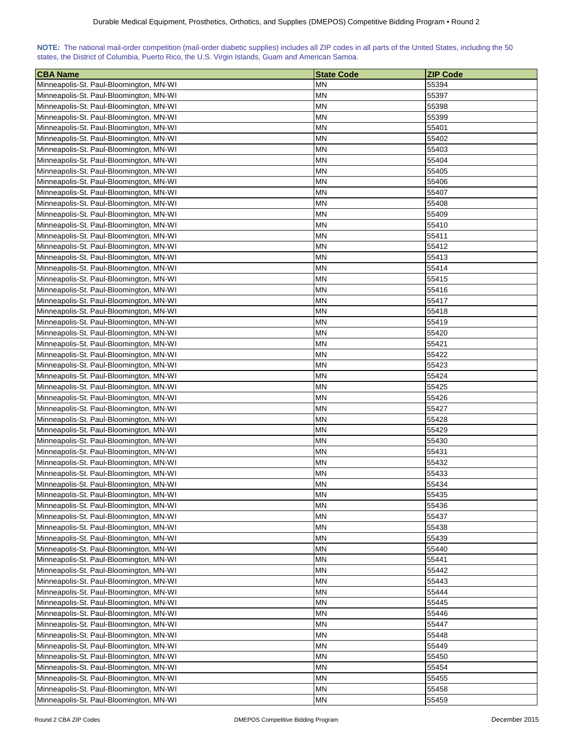| NOTE: The national mail-order competition (mail-order diabetic supplies) includes all ZIP codes in all parts of the United States, including the 50 |  |  |  |  |  |  |  |
|-----------------------------------------------------------------------------------------------------------------------------------------------------|--|--|--|--|--|--|--|
| states, the District of Columbia, Puerto Rico, the U.S. Virgin Islands, Guam and American Samoa.                                                    |  |  |  |  |  |  |  |

| <b>CBA Name</b>                         | <b>State Code</b> | <b>ZIP Code</b> |
|-----------------------------------------|-------------------|-----------------|
| Minneapolis-St. Paul-Bloomington, MN-WI | MN                | 55394           |
| Minneapolis-St. Paul-Bloomington, MN-WI | MN                | 55397           |
| Minneapolis-St. Paul-Bloomington, MN-WI | <b>MN</b>         | 55398           |
| Minneapolis-St. Paul-Bloomington, MN-WI | ΜN                | 55399           |
| Minneapolis-St. Paul-Bloomington, MN-WI | ΜN                | 55401           |
| Minneapolis-St. Paul-Bloomington, MN-WI | ΜN                | 55402           |
| Minneapolis-St. Paul-Bloomington, MN-WI | ΜN                | 55403           |
| Minneapolis-St. Paul-Bloomington, MN-WI | ΜN                | 55404           |
| Minneapolis-St. Paul-Bloomington, MN-WI | ΜN                | 55405           |
| Minneapolis-St. Paul-Bloomington, MN-WI | ΜN                | 55406           |
| Minneapolis-St. Paul-Bloomington, MN-WI | MΝ                | 55407           |
| Minneapolis-St. Paul-Bloomington, MN-WI | MΝ                | 55408           |
| Minneapolis-St. Paul-Bloomington, MN-WI | MΝ                | 55409           |
| Minneapolis-St. Paul-Bloomington, MN-WI | MN                | 55410           |
| Minneapolis-St. Paul-Bloomington, MN-WI | ΜN                | 55411           |
| Minneapolis-St. Paul-Bloomington, MN-WI | ΜN                | 55412           |
| Minneapolis-St. Paul-Bloomington, MN-WI | <b>MN</b>         | 55413           |
| Minneapolis-St. Paul-Bloomington, MN-WI | ΜN                | 55414           |
| Minneapolis-St. Paul-Bloomington, MN-WI | ΜN                | 55415           |
| Minneapolis-St. Paul-Bloomington, MN-WI | ΜN                | 55416           |
| Minneapolis-St. Paul-Bloomington, MN-WI | ΜN                | 55417           |
| Minneapolis-St. Paul-Bloomington, MN-WI | MΝ                | 55418           |
|                                         | MN                | 55419           |
| Minneapolis-St. Paul-Bloomington, MN-WI | MΝ                | 55420           |
| Minneapolis-St. Paul-Bloomington, MN-WI |                   |                 |
| Minneapolis-St. Paul-Bloomington, MN-WI | MN                | 55421           |
| Minneapolis-St. Paul-Bloomington, MN-WI | ΜN                | 55422           |
| Minneapolis-St. Paul-Bloomington, MN-WI | ΜN                | 55423           |
| Minneapolis-St. Paul-Bloomington, MN-WI | MN                | 55424           |
| Minneapolis-St. Paul-Bloomington, MN-WI | ΜN                | 55425           |
| Minneapolis-St. Paul-Bloomington, MN-WI | <b>MN</b>         | 55426           |
| Minneapolis-St. Paul-Bloomington, MN-WI | ΜN                | 55427           |
| Minneapolis-St. Paul-Bloomington, MN-WI | ΜN                | 55428           |
| Minneapolis-St. Paul-Bloomington, MN-WI | ΜN                | 55429           |
| Minneapolis-St. Paul-Bloomington, MN-WI | ΜN                | 55430           |
| Minneapolis-St. Paul-Bloomington, MN-WI | ΜN                | 55431           |
| Minneapolis-St. Paul-Bloomington, MN-WI | MN                | 55432           |
| Minneapolis-St. Paul-Bloomington, MN-WI | ΜN                | 55433           |
| Minneapolis-St. Paul-Bloomington, MN-WI | MN                | 55434           |
| Minneapolis-St. Paul-Bloomington, MN-WI | <b>MN</b>         | 55435           |
| Minneapolis-St. Paul-Bloomington, MN-WI | <b>MN</b>         | 55436           |
| Minneapolis-St. Paul-Bloomington, MN-WI | <b>MN</b>         | 55437           |
| Minneapolis-St. Paul-Bloomington, MN-WI | <b>MN</b>         | 55438           |
| Minneapolis-St. Paul-Bloomington, MN-WI | ΜN                | 55439           |
| Minneapolis-St. Paul-Bloomington, MN-WI | ΜN                | 55440           |
| Minneapolis-St. Paul-Bloomington, MN-WI | <b>MN</b>         | 55441           |
| Minneapolis-St. Paul-Bloomington, MN-WI | ΜN                | 55442           |
| Minneapolis-St. Paul-Bloomington, MN-WI | ΜN                | 55443           |
| Minneapolis-St. Paul-Bloomington, MN-WI | MN                | 55444           |
| Minneapolis-St. Paul-Bloomington, MN-WI | MN                | 55445           |
| Minneapolis-St. Paul-Bloomington, MN-WI | ΜN                | 55446           |
| Minneapolis-St. Paul-Bloomington, MN-WI | ΜN                | 55447           |
| Minneapolis-St. Paul-Bloomington, MN-WI | MN                | 55448           |
| Minneapolis-St. Paul-Bloomington, MN-WI | MN                | 55449           |
| Minneapolis-St. Paul-Bloomington, MN-WI | MN                | 55450           |
| Minneapolis-St. Paul-Bloomington, MN-WI | MN                | 55454           |
| Minneapolis-St. Paul-Bloomington, MN-WI | ΜN                | 55455           |
| Minneapolis-St. Paul-Bloomington, MN-WI | <b>MN</b>         | 55458           |
| Minneapolis-St. Paul-Bloomington, MN-WI | <b>MN</b>         | 55459           |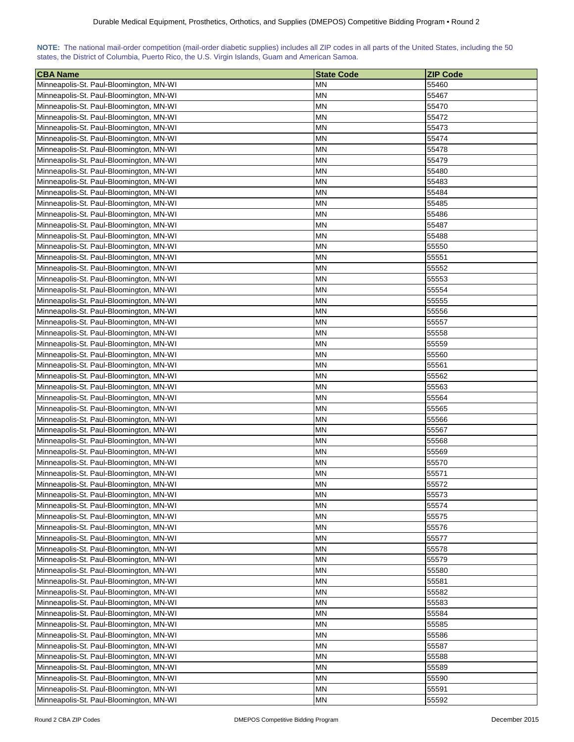| NOTE: The national mail-order competition (mail-order diabetic supplies) includes all ZIP codes in all parts of the United States, including the 50 |  |  |  |
|-----------------------------------------------------------------------------------------------------------------------------------------------------|--|--|--|
| states, the District of Columbia, Puerto Rico, the U.S. Virgin Islands, Guam and American Samoa.                                                    |  |  |  |

| <b>CBA Name</b>                         | <b>State Code</b> | <b>ZIP Code</b> |
|-----------------------------------------|-------------------|-----------------|
| Minneapolis-St. Paul-Bloomington, MN-WI | ΜN                | 55460           |
| Minneapolis-St. Paul-Bloomington, MN-WI | ΜN                | 55467           |
| Minneapolis-St. Paul-Bloomington, MN-WI | ΜN                | 55470           |
| Minneapolis-St. Paul-Bloomington, MN-WI | <b>MN</b>         | 55472           |
| Minneapolis-St. Paul-Bloomington, MN-WI | ΜN                | 55473           |
| Minneapolis-St. Paul-Bloomington, MN-WI | ΜN                | 55474           |
| Minneapolis-St. Paul-Bloomington, MN-WI | ΜN                | 55478           |
| Minneapolis-St. Paul-Bloomington, MN-WI | ΜN                | 55479           |
| Minneapolis-St. Paul-Bloomington, MN-WI | ΜN                | 55480           |
| Minneapolis-St. Paul-Bloomington, MN-WI | MΝ                | 55483           |
| Minneapolis-St. Paul-Bloomington, MN-WI | ΜN                | 55484           |
| Minneapolis-St. Paul-Bloomington, MN-WI | ΜN                | 55485           |
| Minneapolis-St. Paul-Bloomington, MN-WI | <b>MN</b>         | 55486           |
| Minneapolis-St. Paul-Bloomington, MN-WI | MN                | 55487           |
| Minneapolis-St. Paul-Bloomington, MN-WI | ΜN                | 55488           |
| Minneapolis-St. Paul-Bloomington, MN-WI | ΜN                | 55550           |
| Minneapolis-St. Paul-Bloomington, MN-WI | ΜN                | 55551           |
| Minneapolis-St. Paul-Bloomington, MN-WI | ΜN                | 55552           |
| Minneapolis-St. Paul-Bloomington, MN-WI | ΜN                | 55553           |
| Minneapolis-St. Paul-Bloomington, MN-WI | ΜN                | 55554           |
| Minneapolis-St. Paul-Bloomington, MN-WI | ΜN                | 55555           |
| Minneapolis-St. Paul-Bloomington, MN-WI | MN                | 55556           |
| Minneapolis-St. Paul-Bloomington, MN-WI | MΝ                | 55557           |
| Minneapolis-St. Paul-Bloomington, MN-WI | MN                | 55558           |
|                                         | ΜN                | 55559           |
| Minneapolis-St. Paul-Bloomington, MN-WI |                   |                 |
| Minneapolis-St. Paul-Bloomington, MN-WI | ΜN                | 55560           |
| Minneapolis-St. Paul-Bloomington, MN-WI | ΜN                | 55561           |
| Minneapolis-St. Paul-Bloomington, MN-WI | ΜN                | 55562           |
| Minneapolis-St. Paul-Bloomington, MN-WI | ΜN                | 55563           |
| Minneapolis-St. Paul-Bloomington, MN-WI | ΜN                | 55564           |
| Minneapolis-St. Paul-Bloomington, MN-WI | ΜN                | 55565           |
| Minneapolis-St. Paul-Bloomington, MN-WI | ΜN                | 55566           |
| Minneapolis-St. Paul-Bloomington, MN-WI | ΜN                | 55567           |
| Minneapolis-St. Paul-Bloomington, MN-WI | ΜN                | 55568           |
| Minneapolis-St. Paul-Bloomington, MN-WI | ΜN                | 55569           |
| Minneapolis-St. Paul-Bloomington, MN-WI | MN                | 55570           |
| Minneapolis-St. Paul-Bloomington, MN-WI | ΜN                | 55571           |
| Minneapolis-St. Paul-Bloomington, MN-WI | <b>MN</b>         | 55572           |
| Minneapolis-St. Paul-Bloomington, MN-WI | <b>MN</b>         | 55573           |
| Minneapolis-St. Paul-Bloomington, MN-WI | <b>MN</b>         | 55574           |
| Minneapolis-St. Paul-Bloomington, MN-WI | <b>MN</b>         | 55575           |
| Minneapolis-St. Paul-Bloomington, MN-WI | MN                | 55576           |
| Minneapolis-St. Paul-Bloomington, MN-WI | ΜN                | 55577           |
| Minneapolis-St. Paul-Bloomington, MN-WI | ΜN                | 55578           |
| Minneapolis-St. Paul-Bloomington, MN-WI | ΜN                | 55579           |
| Minneapolis-St. Paul-Bloomington, MN-WI | MN                | 55580           |
| Minneapolis-St. Paul-Bloomington, MN-WI | ΜN                | 55581           |
| Minneapolis-St. Paul-Bloomington, MN-WI | <b>MN</b>         | 55582           |
| Minneapolis-St. Paul-Bloomington, MN-WI | MN                | 55583           |
| Minneapolis-St. Paul-Bloomington, MN-WI | ΜN                | 55584           |
| Minneapolis-St. Paul-Bloomington, MN-WI | MN                | 55585           |
| Minneapolis-St. Paul-Bloomington, MN-WI | ΜN                | 55586           |
| Minneapolis-St. Paul-Bloomington, MN-WI | MN                | 55587           |
| Minneapolis-St. Paul-Bloomington, MN-WI | MN                | 55588           |
| Minneapolis-St. Paul-Bloomington, MN-WI | MN                | 55589           |
| Minneapolis-St. Paul-Bloomington, MN-WI | ΜN                | 55590           |
| Minneapolis-St. Paul-Bloomington, MN-WI | ΜN                | 55591           |
| Minneapolis-St. Paul-Bloomington, MN-WI | <b>MN</b>         | 55592           |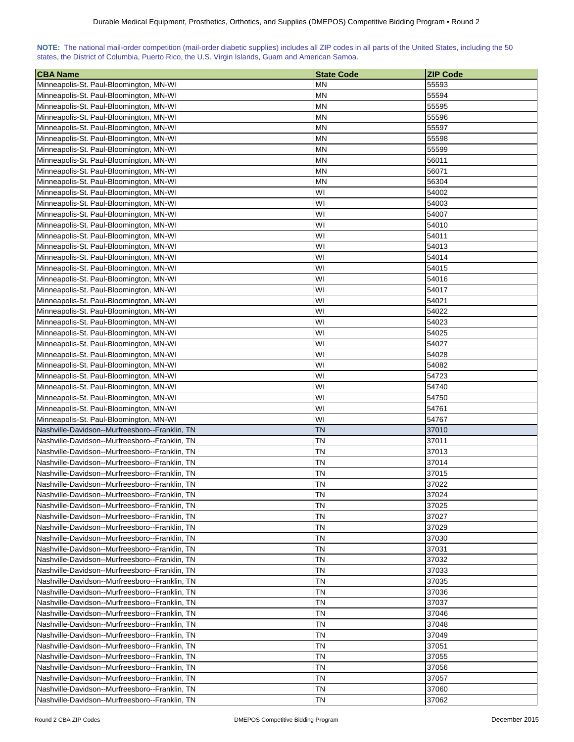| NOTE: The national mail-order competition (mail-order diabetic supplies) includes all ZIP codes in all parts of the United States, including the 50 |  |  |  |  |  |  |  |
|-----------------------------------------------------------------------------------------------------------------------------------------------------|--|--|--|--|--|--|--|
| states, the District of Columbia, Puerto Rico, the U.S. Virgin Islands, Guam and American Samoa.                                                    |  |  |  |  |  |  |  |

| <b>CBA Name</b>                                                                    | <b>State Code</b> | <b>ZIP Code</b> |
|------------------------------------------------------------------------------------|-------------------|-----------------|
| Minneapolis-St. Paul-Bloomington, MN-WI                                            | ΜN                | 55593           |
| Minneapolis-St. Paul-Bloomington, MN-WI                                            | <b>MN</b>         | 55594           |
| Minneapolis-St. Paul-Bloomington, MN-WI                                            | ΜN                | 55595           |
| Minneapolis-St. Paul-Bloomington, MN-WI                                            | <b>MN</b>         | 55596           |
| Minneapolis-St. Paul-Bloomington, MN-WI                                            | ΜN                | 55597           |
| Minneapolis-St. Paul-Bloomington, MN-WI                                            | ΜN                | 55598           |
| Minneapolis-St. Paul-Bloomington, MN-WI                                            | ΜN                | 55599           |
| Minneapolis-St. Paul-Bloomington, MN-WI                                            | ΜN                | 56011           |
| Minneapolis-St. Paul-Bloomington, MN-WI                                            | ΜN                | 56071           |
| Minneapolis-St. Paul-Bloomington, MN-WI                                            | MΝ                | 56304           |
| Minneapolis-St. Paul-Bloomington, MN-WI                                            | W١                | 54002           |
| Minneapolis-St. Paul-Bloomington, MN-WI                                            | W١                | 54003           |
| Minneapolis-St. Paul-Bloomington, MN-WI                                            | W١                | 54007           |
| Minneapolis-St. Paul-Bloomington, MN-WI                                            | WI                | 54010           |
| Minneapolis-St. Paul-Bloomington, MN-WI                                            | W١                | 54011           |
| Minneapolis-St. Paul-Bloomington, MN-WI                                            | WI                | 54013           |
| Minneapolis-St. Paul-Bloomington, MN-WI                                            | W١                | 54014           |
| Minneapolis-St. Paul-Bloomington, MN-WI                                            | WI                | 54015           |
| Minneapolis-St. Paul-Bloomington, MN-WI                                            | W١                | 54016           |
| Minneapolis-St. Paul-Bloomington, MN-WI                                            | WI                | 54017           |
| Minneapolis-St. Paul-Bloomington, MN-WI                                            | W١                | 54021           |
| Minneapolis-St. Paul-Bloomington, MN-WI                                            | WI                | 54022           |
|                                                                                    | W١                | 54023           |
| Minneapolis-St. Paul-Bloomington, MN-WI<br>Minneapolis-St. Paul-Bloomington, MN-WI | WI                | 54025           |
|                                                                                    | WI                | 54027           |
| Minneapolis-St. Paul-Bloomington, MN-WI                                            |                   |                 |
| Minneapolis-St. Paul-Bloomington, MN-WI                                            | WI                | 54028           |
| Minneapolis-St. Paul-Bloomington, MN-WI                                            | WI                | 54082           |
| Minneapolis-St. Paul-Bloomington, MN-WI                                            | WI                | 54723           |
| Minneapolis-St. Paul-Bloomington, MN-WI                                            | WI                | 54740           |
| Minneapolis-St. Paul-Bloomington, MN-WI                                            | W١                | 54750           |
| Minneapolis-St. Paul-Bloomington, MN-WI                                            | W١                | 54761           |
| Minneapolis-St. Paul-Bloomington, MN-WI                                            | WI                | 54767           |
| Nashville-Davidson--Murfreesboro--Franklin, TN                                     | ΤN                | 37010           |
| Nashville-Davidson--Murfreesboro--Franklin, TN                                     | ΤN                | 37011           |
| Nashville-Davidson--Murfreesboro--Franklin, TN                                     | TN                | 37013           |
| Nashville-Davidson--Murfreesboro--Franklin, TN                                     | TN                | 37014           |
| Nashville-Davidson--Murfreesboro--Franklin, TN                                     | ΤN                | 37015           |
| Nashville-Davidson--Murfreesboro--Franklin, TN                                     | <b>TN</b>         | 37022           |
| Nashville-Davidson--Murfreesboro--Franklin, TN                                     | TN                | 37024           |
| Nashville-Davidson--Murfreesboro--Franklin, TN                                     | ΤN                | 37025           |
| Nashville-Davidson--Murfreesboro--Franklin, TN                                     | <b>TN</b>         | 37027           |
| Nashville-Davidson--Murfreesboro--Franklin, TN                                     | ΤN                | 37029           |
| Nashville-Davidson--Murfreesboro--Franklin, TN                                     | ΤN                | 37030           |
| Nashville-Davidson--Murfreesboro--Franklin, TN                                     | ΤN                | 37031           |
| Nashville-Davidson--Murfreesboro--Franklin, TN                                     | ΤN                | 37032           |
| Nashville-Davidson--Murfreesboro--Franklin, TN                                     | ΤN                | 37033           |
| Nashville-Davidson--Murfreesboro--Franklin, TN                                     | ΤN                | 37035           |
| Nashville-Davidson--Murfreesboro--Franklin, TN                                     | ΤN                | 37036           |
| Nashville-Davidson--Murfreesboro--Franklin, TN                                     | ΤN                | 37037           |
| Nashville-Davidson--Murfreesboro--Franklin, TN                                     | ΤN                | 37046           |
| Nashville-Davidson--Murfreesboro--Franklin, TN                                     | ΤN                | 37048           |
| Nashville-Davidson--Murfreesboro--Franklin, TN                                     | ΤN                | 37049           |
| Nashville-Davidson--Murfreesboro--Franklin, TN                                     | ΤN                | 37051           |
| Nashville-Davidson--Murfreesboro--Franklin, TN                                     | ΤN                | 37055           |
| Nashville-Davidson--Murfreesboro--Franklin, TN                                     | ΤN                | 37056           |
| Nashville-Davidson--Murfreesboro--Franklin, TN                                     | ΤN                | 37057           |
| Nashville-Davidson--Murfreesboro--Franklin, TN                                     | ΤN                | 37060           |
| Nashville-Davidson--Murfreesboro--Franklin, TN                                     | ΤN                | 37062           |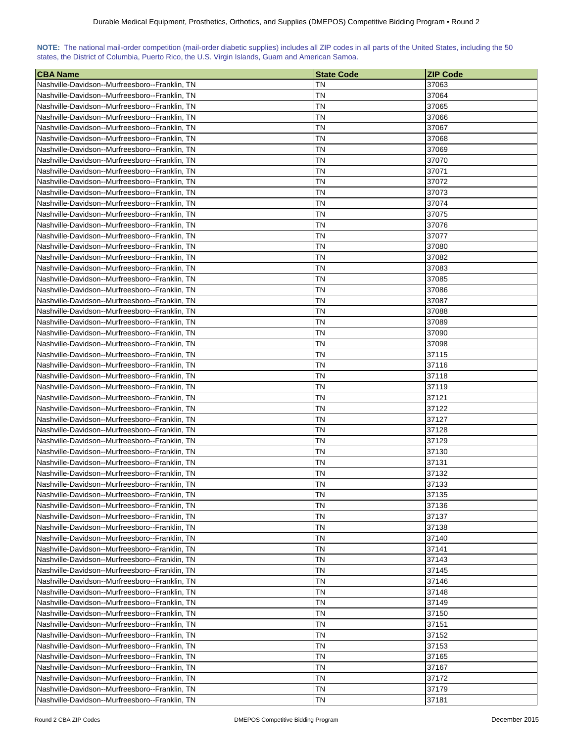| NOTE: The national mail-order competition (mail-order diabetic supplies) includes all ZIP codes in all parts of the United States, including the 50 |  |  |  |  |
|-----------------------------------------------------------------------------------------------------------------------------------------------------|--|--|--|--|
| states, the District of Columbia, Puerto Rico, the U.S. Virgin Islands, Guam and American Samoa.                                                    |  |  |  |  |

| <b>CBA Name</b>                                                                                  | <b>State Code</b> | <b>ZIP Code</b> |
|--------------------------------------------------------------------------------------------------|-------------------|-----------------|
| Nashville-Davidson--Murfreesboro--Franklin, TN                                                   | TN                | 37063           |
| Nashville-Davidson--Murfreesboro--Franklin, TN                                                   | TN                | 37064           |
| Nashville-Davidson--Murfreesboro--Franklin, TN                                                   | ΤN                | 37065           |
| Nashville-Davidson--Murfreesboro--Franklin. TN                                                   | TN                | 37066           |
| Nashville-Davidson--Murfreesboro--Franklin, TN                                                   | ΤN                | 37067           |
| Nashville-Davidson--Murfreesboro--Franklin, TN                                                   | ΤN                | 37068           |
| Nashville-Davidson--Murfreesboro--Franklin, TN                                                   | TN                | 37069           |
| Nashville-Davidson--Murfreesboro--Franklin, TN                                                   | ΤN                | 37070           |
| Nashville-Davidson--Murfreesboro--Franklin, TN                                                   | ΤN                | 37071           |
| Nashville-Davidson--Murfreesboro--Franklin, TN                                                   | TΝ                | 37072           |
| Nashville-Davidson--Murfreesboro--Franklin, TN                                                   | ΤN                | 37073           |
| Nashville-Davidson--Murfreesboro--Franklin, TN                                                   | ΤN                | 37074           |
|                                                                                                  | ΤN                | 37075           |
| Nashville-Davidson--Murfreesboro--Franklin, TN                                                   |                   |                 |
| Nashville-Davidson--Murfreesboro--Franklin, TN                                                   | ΤN                | 37076           |
| Nashville-Davidson--Murfreesboro--Franklin, TN                                                   | ΤN                | 37077           |
| Nashville-Davidson--Murfreesboro--Franklin, TN                                                   | ΤN                | 37080           |
| Nashville-Davidson--Murfreesboro--Franklin, TN                                                   | ΤN                | 37082           |
| Nashville-Davidson--Murfreesboro--Franklin, TN                                                   | ΤN                | 37083           |
| Nashville-Davidson--Murfreesboro--Franklin, TN                                                   | ΤN                | 37085           |
| Nashville-Davidson--Murfreesboro--Franklin, TN                                                   | ΤN                | 37086           |
| Nashville-Davidson--Murfreesboro--Franklin, TN                                                   | ΤN                | 37087           |
| Nashville-Davidson--Murfreesboro--Franklin, TN                                                   | ΤN                | 37088           |
| Nashville-Davidson--Murfreesboro--Franklin, TN                                                   | TΝ                | 37089           |
| Nashville-Davidson--Murfreesboro--Franklin, TN                                                   | ΤN                | 37090           |
| Nashville-Davidson--Murfreesboro--Franklin, TN                                                   | ΤN                | 37098           |
| Nashville-Davidson--Murfreesboro--Franklin, TN                                                   | ΤN                | 37115           |
| Nashville-Davidson--Murfreesboro--Franklin, TN                                                   | ΤN                | 37116           |
| Nashville-Davidson--Murfreesboro--Franklin, TN                                                   | ΤN                | 37118           |
| Nashville-Davidson--Murfreesboro--Franklin, TN                                                   | TN                | 37119           |
| Nashville-Davidson--Murfreesboro--Franklin, TN                                                   | ΤN                | 37121           |
| Nashville-Davidson--Murfreesboro--Franklin, TN                                                   | ΤN                | 37122           |
| Nashville-Davidson--Murfreesboro--Franklin, TN                                                   | TN                | 37127           |
| Nashville-Davidson--Murfreesboro--Franklin, TN                                                   | ΤN                | 37128           |
| Nashville-Davidson--Murfreesboro--Franklin, TN                                                   | ΤN                | 37129           |
| Nashville-Davidson--Murfreesboro--Franklin, TN                                                   | TΝ                | 37130           |
| Nashville-Davidson--Murfreesboro--Franklin, TN                                                   | ΤN                | 37131           |
| Nashville-Davidson--Murfreesboro--Franklin, TN                                                   | ΤN                | 37132           |
| Nashville-Davidson--Murfreesboro--Franklin, TN                                                   | ΤN                | 37133           |
| Nashville-Davidson--Murfreesboro--Franklin, TN                                                   | TN                | 37135           |
| Nashville-Davidson--Murfreesboro--Franklin, TN                                                   | ΤN                | 37136           |
| Nashville-Davidson--Murfreesboro--Franklin, TN                                                   | ΤN                | 37137           |
| Nashville-Davidson--Murfreesboro--Franklin, TN                                                   | ΤN                | 37138           |
| Nashville-Davidson--Murfreesboro--Franklin, TN                                                   | ΤN                | 37140           |
| Nashville-Davidson--Murfreesboro--Franklin, TN                                                   | ΤN                | 37141           |
| Nashville-Davidson--Murfreesboro--Franklin, TN                                                   | ΤN                | 37143           |
|                                                                                                  | ΤN                | 37145           |
| Nashville-Davidson--Murfreesboro--Franklin, TN                                                   | ΤN                |                 |
| Nashville-Davidson--Murfreesboro--Franklin, TN<br>Nashville-Davidson--Murfreesboro--Franklin, TN | ΤN                | 37146<br>37148  |
|                                                                                                  |                   |                 |
| Nashville-Davidson--Murfreesboro--Franklin, TN                                                   | ΤN                | 37149           |
| Nashville-Davidson--Murfreesboro--Franklin, TN                                                   | ΤN                | 37150           |
| Nashville-Davidson--Murfreesboro--Franklin, TN                                                   | ΤN                | 37151           |
| Nashville-Davidson--Murfreesboro--Franklin, TN                                                   | ΤN                | 37152           |
| Nashville-Davidson--Murfreesboro--Franklin, TN                                                   | ΤN                | 37153           |
| Nashville-Davidson--Murfreesboro--Franklin, TN                                                   | ΤN                | 37165           |
| Nashville-Davidson--Murfreesboro--Franklin, TN                                                   | ΤN                | 37167           |
| Nashville-Davidson--Murfreesboro--Franklin, TN                                                   | ΤN                | 37172           |
| Nashville-Davidson--Murfreesboro--Franklin, TN                                                   | ΤN                | 37179           |
| Nashville-Davidson--Murfreesboro--Franklin, TN                                                   | ΤN                | 37181           |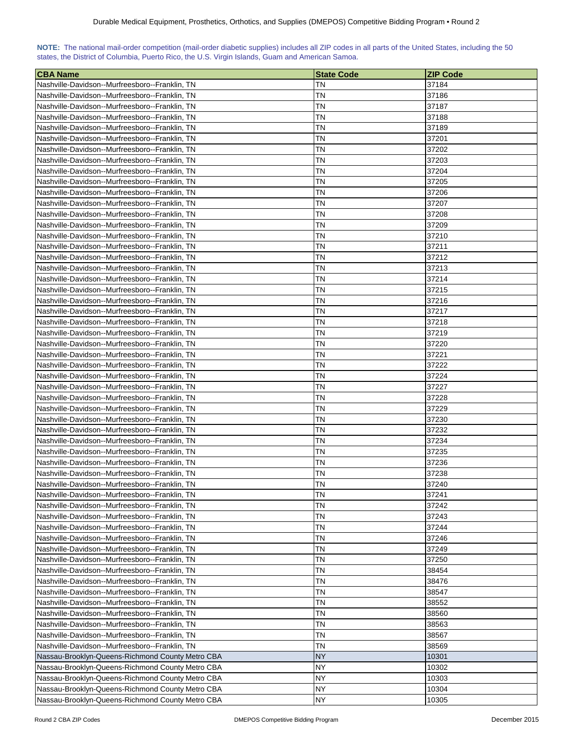|  | NOTE: The national mail-order competition (mail-order diabetic supplies) includes all ZIP codes in all parts of the United States, including the 50 |  |  |  |  |
|--|-----------------------------------------------------------------------------------------------------------------------------------------------------|--|--|--|--|
|  | states, the District of Columbia, Puerto Rico, the U.S. Virgin Islands, Guam and American Samoa.                                                    |  |  |  |  |

| <b>CBA Name</b>                                  | <b>State Code</b> | <b>ZIP Code</b> |
|--------------------------------------------------|-------------------|-----------------|
| Nashville-Davidson--Murfreesboro--Franklin, TN   | ΤN                | 37184           |
| Nashville-Davidson--Murfreesboro--Franklin, TN   | TN                | 37186           |
| Nashville-Davidson--Murfreesboro--Franklin, TN   | ΤN                | 37187           |
| Nashville-Davidson--Murfreesboro--Franklin, TN   | TN                | 37188           |
| Nashville-Davidson--Murfreesboro--Franklin, TN   | ΤN                | 37189           |
| Nashville-Davidson--Murfreesboro--Franklin, TN   | TN                | 37201           |
| Nashville-Davidson--Murfreesboro--Franklin, TN   | ΤN                | 37202           |
| Nashville-Davidson--Murfreesboro--Franklin, TN   | TN                | 37203           |
| Nashville-Davidson--Murfreesboro--Franklin, TN   | ΤN                | 37204           |
| Nashville-Davidson--Murfreesboro--Franklin, TN   | ΤN                | 37205           |
| Nashville-Davidson--Murfreesboro--Franklin, TN   | ΤN                | 37206           |
| Nashville-Davidson--Murfreesboro--Franklin, TN   | ΤN                | 37207           |
| Nashville-Davidson--Murfreesboro--Franklin, TN   | ΤN                | 37208           |
| Nashville-Davidson--Murfreesboro--Franklin, TN   | ΤN                | 37209           |
| Nashville-Davidson--Murfreesboro--Franklin, TN   | ΤN                | 37210           |
| Nashville-Davidson--Murfreesboro--Franklin, TN   | ΤN                | 37211           |
| Nashville-Davidson--Murfreesboro--Franklin, TN   | ΤN                | 37212           |
| Nashville-Davidson--Murfreesboro--Franklin, TN   | ΤN                | 37213           |
| Nashville-Davidson--Murfreesboro--Franklin, TN   | ΤN                | 37214           |
| Nashville-Davidson--Murfreesboro--Franklin, TN   | ΤN                | 37215           |
| Nashville-Davidson--Murfreesboro--Franklin, TN   | ΤN                | 37216           |
| Nashville-Davidson--Murfreesboro--Franklin, TN   | ΤN                | 37217           |
| Nashville-Davidson--Murfreesboro--Franklin, TN   | ΤN                | 37218           |
| Nashville-Davidson--Murfreesboro--Franklin, TN   | ΤN                | 37219           |
| Nashville-Davidson--Murfreesboro--Franklin, TN   | ΤN                | 37220           |
| Nashville-Davidson--Murfreesboro--Franklin, TN   | ΤN                | 37221           |
| Nashville-Davidson--Murfreesboro--Franklin, TN   | ΤN                | 37222           |
| Nashville-Davidson--Murfreesboro--Franklin, TN   | ΤN                | 37224           |
| Nashville-Davidson--Murfreesboro--Franklin, TN   | ΤN                | 37227           |
| Nashville-Davidson--Murfreesboro--Franklin, TN   | ΤN                | 37228           |
| Nashville-Davidson--Murfreesboro--Franklin, TN   | ΤN                | 37229           |
| Nashville-Davidson--Murfreesboro--Franklin, TN   | TN                | 37230           |
| Nashville-Davidson--Murfreesboro--Franklin, TN   | ΤN                | 37232           |
| Nashville-Davidson--Murfreesboro--Franklin, TN   | ΤN                | 37234           |
| Nashville-Davidson--Murfreesboro--Franklin, TN   | ΤN                | 37235           |
| Nashville-Davidson--Murfreesboro--Franklin, TN   | ΤN                | 37236           |
| Nashville-Davidson--Murfreesboro--Franklin, TN   | ΤN                | 37238           |
| Nashville-Davidson--Murfreesboro--Franklin, TN   | ΤN                | 37240           |
| Nashville-Davidson--Murfreesboro--Franklin, TN   | <b>TN</b>         | 37241           |
| Nashville-Davidson--Murfreesboro--Franklin, TN   | <b>TN</b>         | 37242           |
| Nashville-Davidson--Murfreesboro--Franklin, TN   | <b>TN</b>         | 37243           |
| Nashville-Davidson--Murfreesboro--Franklin, TN   | ΤN                | 37244           |
| Nashville-Davidson--Murfreesboro--Franklin, TN   | ΤN                | 37246           |
| Nashville-Davidson--Murfreesboro--Franklin, TN   | ΤN                | 37249           |
| Nashville-Davidson--Murfreesboro--Franklin, TN   | ΤN                | 37250           |
| Nashville-Davidson--Murfreesboro--Franklin, TN   | ΤN                | 38454           |
| Nashville-Davidson--Murfreesboro--Franklin, TN   | ΤN                | 38476           |
| Nashville-Davidson--Murfreesboro--Franklin, TN   | <b>TN</b>         | 38547           |
| Nashville-Davidson--Murfreesboro--Franklin, TN   | ΤN                | 38552           |
| Nashville-Davidson--Murfreesboro--Franklin, TN   | ΤN                | 38560           |
| Nashville-Davidson--Murfreesboro--Franklin, TN   | ΤN                | 38563           |
| Nashville-Davidson--Murfreesboro--Franklin, TN   | ΤN                | 38567           |
| Nashville-Davidson--Murfreesboro--Franklin, TN   | ΤN                | 38569           |
| Nassau-Brooklyn-Queens-Richmond County Metro CBA | <b>NY</b>         | 10301           |
| Nassau-Brooklyn-Queens-Richmond County Metro CBA | NY                | 10302           |
| Nassau-Brooklyn-Queens-Richmond County Metro CBA | NY                | 10303           |
| Nassau-Brooklyn-Queens-Richmond County Metro CBA | <b>NY</b>         | 10304           |
| Nassau-Brooklyn-Queens-Richmond County Metro CBA | <b>NY</b>         | 10305           |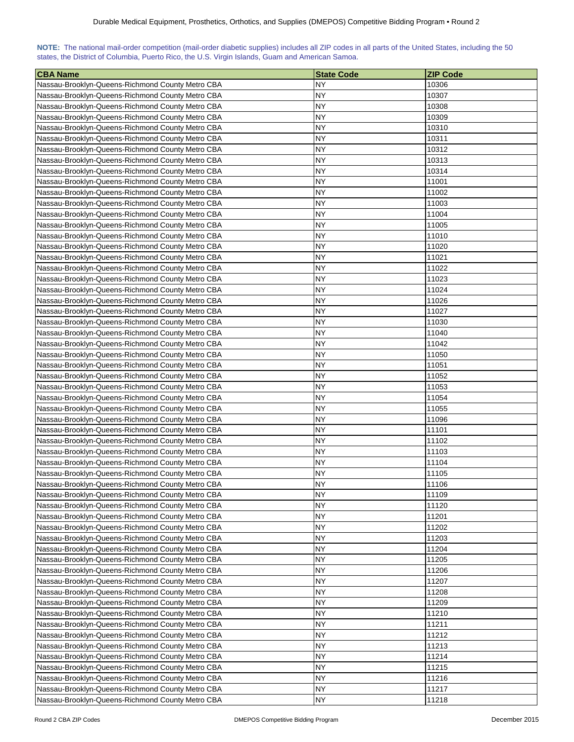|                                                                                                  |  |  |  |  | NOTE: The national mail-order competition (mail-order diabetic supplies) includes all ZIP codes in all parts of the United States, including the 50 |
|--------------------------------------------------------------------------------------------------|--|--|--|--|-----------------------------------------------------------------------------------------------------------------------------------------------------|
| states, the District of Columbia, Puerto Rico, the U.S. Virgin Islands, Guam and American Samoa. |  |  |  |  |                                                                                                                                                     |

| <b>CBA Name</b>                                  | <b>State Code</b> | <b>ZIP Code</b> |
|--------------------------------------------------|-------------------|-----------------|
| Nassau-Brooklyn-Queens-Richmond County Metro CBA | NY.               | 10306           |
| Nassau-Brooklyn-Queens-Richmond County Metro CBA | NΥ                | 10307           |
| Nassau-Brooklyn-Queens-Richmond County Metro CBA | <b>NY</b>         | 10308           |
| Nassau-Brooklyn-Queens-Richmond County Metro CBA | NY                | 10309           |
| Nassau-Brooklyn-Queens-Richmond County Metro CBA | NY                | 10310           |
| Nassau-Brooklyn-Queens-Richmond County Metro CBA | <b>NY</b>         | 10311           |
| Nassau-Brooklyn-Queens-Richmond County Metro CBA | NY                | 10312           |
| Nassau-Brooklyn-Queens-Richmond County Metro CBA | NY                | 10313           |
| Nassau-Brooklyn-Queens-Richmond County Metro CBA | <b>NY</b>         | 10314           |
| Nassau-Brooklyn-Queens-Richmond County Metro CBA | NY                | 11001           |
| Nassau-Brooklyn-Queens-Richmond County Metro CBA | NY                | 11002           |
| Nassau-Brooklyn-Queens-Richmond County Metro CBA | NΥ                | 11003           |
| Nassau-Brooklyn-Queens-Richmond County Metro CBA | NΥ                | 11004           |
| Nassau-Brooklyn-Queens-Richmond County Metro CBA | NΥ                | 11005           |
| Nassau-Brooklyn-Queens-Richmond County Metro CBA | NΥ                | 11010           |
| Nassau-Brooklyn-Queens-Richmond County Metro CBA | NΥ                | 11020           |
| Nassau-Brooklyn-Queens-Richmond County Metro CBA | NY                | 11021           |
| Nassau-Brooklyn-Queens-Richmond County Metro CBA | NY                | 11022           |
| Nassau-Brooklyn-Queens-Richmond County Metro CBA | <b>NY</b>         | 11023           |
| Nassau-Brooklyn-Queens-Richmond County Metro CBA | <b>NY</b>         | 11024           |
| Nassau-Brooklyn-Queens-Richmond County Metro CBA | NY                | 11026           |
| Nassau-Brooklyn-Queens-Richmond County Metro CBA | NΥ                | 11027           |
| Nassau-Brooklyn-Queens-Richmond County Metro CBA | NY                | 11030           |
| Nassau-Brooklyn-Queens-Richmond County Metro CBA | NΥ                | 11040           |
| Nassau-Brooklyn-Queens-Richmond County Metro CBA | NΥ                | 11042           |
| Nassau-Brooklyn-Queens-Richmond County Metro CBA | <b>NY</b>         | 11050           |
| Nassau-Brooklyn-Queens-Richmond County Metro CBA | NΥ                | 11051           |
| Nassau-Brooklyn-Queens-Richmond County Metro CBA | <b>NY</b>         | 11052           |
| Nassau-Brooklyn-Queens-Richmond County Metro CBA | <b>NY</b>         | 11053           |
| Nassau-Brooklyn-Queens-Richmond County Metro CBA | <b>NY</b>         | 11054           |
| Nassau-Brooklyn-Queens-Richmond County Metro CBA | <b>NY</b>         | 11055           |
| Nassau-Brooklyn-Queens-Richmond County Metro CBA | <b>NY</b>         | 11096           |
| Nassau-Brooklyn-Queens-Richmond County Metro CBA | <b>NY</b>         | 11101           |
| Nassau-Brooklyn-Queens-Richmond County Metro CBA | <b>NY</b>         | 11102           |
| Nassau-Brooklyn-Queens-Richmond County Metro CBA | NY                | 11103           |
| Nassau-Brooklyn-Queens-Richmond County Metro CBA | NY                | 11104           |
| Nassau-Brooklyn-Queens-Richmond County Metro CBA | NΥ                | 11105           |
| Nassau-Brooklyn-Queens-Richmond County Metro CBA | <b>NY</b>         | 11106           |
| Nassau-Brooklyn-Queens-Richmond County Metro CBA | <b>NY</b>         | 11109           |
| Nassau-Brooklyn-Queens-Richmond County Metro CBA | NΥ                | 11120           |
| Nassau-Brooklyn-Queens-Richmond County Metro CBA | NY                | 11201           |
| Nassau-Brooklyn-Queens-Richmond County Metro CBA | <b>NY</b>         | 11202           |
| Nassau-Brooklyn-Queens-Richmond County Metro CBA | <b>NY</b>         | 11203           |
| Nassau-Brooklyn-Queens-Richmond County Metro CBA | <b>NY</b>         | 11204           |
| Nassau-Brooklyn-Queens-Richmond County Metro CBA | <b>NY</b>         | 11205           |
| Nassau-Brooklyn-Queens-Richmond County Metro CBA | NY                | 11206           |
| Nassau-Brooklyn-Queens-Richmond County Metro CBA | NΥ                | 11207           |
| Nassau-Brooklyn-Queens-Richmond County Metro CBA | NY                | 11208           |
| Nassau-Brooklyn-Queens-Richmond County Metro CBA | NΥ                | 11209           |
| Nassau-Brooklyn-Queens-Richmond County Metro CBA | ΝY                | 11210           |
| Nassau-Brooklyn-Queens-Richmond County Metro CBA | ΝY                | 11211           |
| Nassau-Brooklyn-Queens-Richmond County Metro CBA | NΥ                | 11212           |
| Nassau-Brooklyn-Queens-Richmond County Metro CBA | NY                | 11213           |
| Nassau-Brooklyn-Queens-Richmond County Metro CBA | NΥ                | 11214           |
| Nassau-Brooklyn-Queens-Richmond County Metro CBA | NΥ                | 11215           |
| Nassau-Brooklyn-Queens-Richmond County Metro CBA | <b>NY</b>         | 11216           |
| Nassau-Brooklyn-Queens-Richmond County Metro CBA | NY                | 11217           |
| Nassau-Brooklyn-Queens-Richmond County Metro CBA | <b>NY</b>         | 11218           |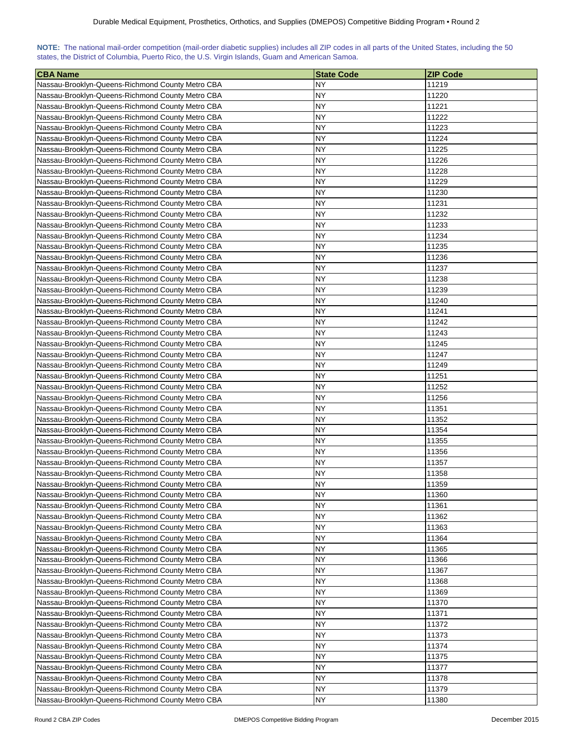|                                                                                                  |  |  |  |  | NOTE: The national mail-order competition (mail-order diabetic supplies) includes all ZIP codes in all parts of the United States, including the 50 |
|--------------------------------------------------------------------------------------------------|--|--|--|--|-----------------------------------------------------------------------------------------------------------------------------------------------------|
| states, the District of Columbia, Puerto Rico, the U.S. Virgin Islands, Guam and American Samoa. |  |  |  |  |                                                                                                                                                     |

| <b>CBA Name</b>                                  | <b>State Code</b> | <b>ZIP Code</b> |
|--------------------------------------------------|-------------------|-----------------|
| Nassau-Brooklyn-Queens-Richmond County Metro CBA | <b>NY</b>         | 11219           |
| Nassau-Brooklyn-Queens-Richmond County Metro CBA | NΥ                | 11220           |
| Nassau-Brooklyn-Queens-Richmond County Metro CBA | <b>NY</b>         | 11221           |
| Nassau-Brooklyn-Queens-Richmond County Metro CBA | NY                | 11222           |
| Nassau-Brooklyn-Queens-Richmond County Metro CBA | NY                | 11223           |
| Nassau-Brooklyn-Queens-Richmond County Metro CBA | <b>NY</b>         | 11224           |
| Nassau-Brooklyn-Queens-Richmond County Metro CBA | NY                | 11225           |
| Nassau-Brooklyn-Queens-Richmond County Metro CBA | NY                | 11226           |
| Nassau-Brooklyn-Queens-Richmond County Metro CBA | <b>NY</b>         | 11228           |
| Nassau-Brooklyn-Queens-Richmond County Metro CBA | NY                | 11229           |
| Nassau-Brooklyn-Queens-Richmond County Metro CBA | NY                | 11230           |
| Nassau-Brooklyn-Queens-Richmond County Metro CBA | NΥ                | 11231           |
| Nassau-Brooklyn-Queens-Richmond County Metro CBA | NΥ                | 11232           |
| Nassau-Brooklyn-Queens-Richmond County Metro CBA | NΥ                | 11233           |
| Nassau-Brooklyn-Queens-Richmond County Metro CBA | ΝY                | 11234           |
| Nassau-Brooklyn-Queens-Richmond County Metro CBA | NΥ                | 11235           |
| Nassau-Brooklyn-Queens-Richmond County Metro CBA | <b>NY</b>         | 11236           |
| Nassau-Brooklyn-Queens-Richmond County Metro CBA | <b>NY</b>         | 11237           |
| Nassau-Brooklyn-Queens-Richmond County Metro CBA | NΥ                | 11238           |
| Nassau-Brooklyn-Queens-Richmond County Metro CBA | <b>NY</b>         | 11239           |
| Nassau-Brooklyn-Queens-Richmond County Metro CBA | NY                | 11240           |
| Nassau-Brooklyn-Queens-Richmond County Metro CBA | NΥ                | 11241           |
| Nassau-Brooklyn-Queens-Richmond County Metro CBA | NY                | 11242           |
| Nassau-Brooklyn-Queens-Richmond County Metro CBA | NΥ                | 11243           |
| Nassau-Brooklyn-Queens-Richmond County Metro CBA | NΥ                | 11245           |
| Nassau-Brooklyn-Queens-Richmond County Metro CBA | NY.               | 11247           |
| Nassau-Brooklyn-Queens-Richmond County Metro CBA | NY                | 11249           |
| Nassau-Brooklyn-Queens-Richmond County Metro CBA | <b>NY</b>         | 11251           |
| Nassau-Brooklyn-Queens-Richmond County Metro CBA | <b>NY</b>         | 11252           |
| Nassau-Brooklyn-Queens-Richmond County Metro CBA | NY                | 11256           |
| Nassau-Brooklyn-Queens-Richmond County Metro CBA | <b>NY</b>         | 11351           |
| Nassau-Brooklyn-Queens-Richmond County Metro CBA | <b>NY</b>         | 11352           |
| Nassau-Brooklyn-Queens-Richmond County Metro CBA | NY                | 11354           |
| Nassau-Brooklyn-Queens-Richmond County Metro CBA | <b>NY</b>         | 11355           |
| Nassau-Brooklyn-Queens-Richmond County Metro CBA | NY                | 11356           |
| Nassau-Brooklyn-Queens-Richmond County Metro CBA | NΥ                | 11357           |
| Nassau-Brooklyn-Queens-Richmond County Metro CBA | NΥ                | 11358           |
| Nassau-Brooklyn-Queens-Richmond County Metro CBA | <b>NY</b>         | 11359           |
| Nassau-Brooklyn-Queens-Richmond County Metro CBA | <b>NY</b>         | 11360           |
| Nassau-Brooklyn-Queens-Richmond County Metro CBA | NY                | 11361           |
| Nassau-Brooklyn-Queens-Richmond County Metro CBA | <b>NY</b>         | 11362           |
| Nassau-Brooklyn-Queens-Richmond County Metro CBA | <b>NY</b>         | 11363           |
| Nassau-Brooklyn-Queens-Richmond County Metro CBA | <b>NY</b>         | 11364           |
| Nassau-Brooklyn-Queens-Richmond County Metro CBA | <b>NY</b>         | 11365           |
| Nassau-Brooklyn-Queens-Richmond County Metro CBA | <b>NY</b>         | 11366           |
| Nassau-Brooklyn-Queens-Richmond County Metro CBA | NY                | 11367           |
| Nassau-Brooklyn-Queens-Richmond County Metro CBA | NY                | 11368           |
| Nassau-Brooklyn-Queens-Richmond County Metro CBA | <b>NY</b>         | 11369           |
| Nassau-Brooklyn-Queens-Richmond County Metro CBA | NY                | 11370           |
| Nassau-Brooklyn-Queens-Richmond County Metro CBA | ΝY                | 11371           |
| Nassau-Brooklyn-Queens-Richmond County Metro CBA | NY                | 11372           |
| Nassau-Brooklyn-Queens-Richmond County Metro CBA | NY                | 11373           |
| Nassau-Brooklyn-Queens-Richmond County Metro CBA | <b>NY</b>         | 11374           |
| Nassau-Brooklyn-Queens-Richmond County Metro CBA | NΥ                | 11375           |
| Nassau-Brooklyn-Queens-Richmond County Metro CBA | NΥ                | 11377           |
| Nassau-Brooklyn-Queens-Richmond County Metro CBA | <b>NY</b>         | 11378           |
| Nassau-Brooklyn-Queens-Richmond County Metro CBA | NΥ                | 11379           |
| Nassau-Brooklyn-Queens-Richmond County Metro CBA | <b>NY</b>         | 11380           |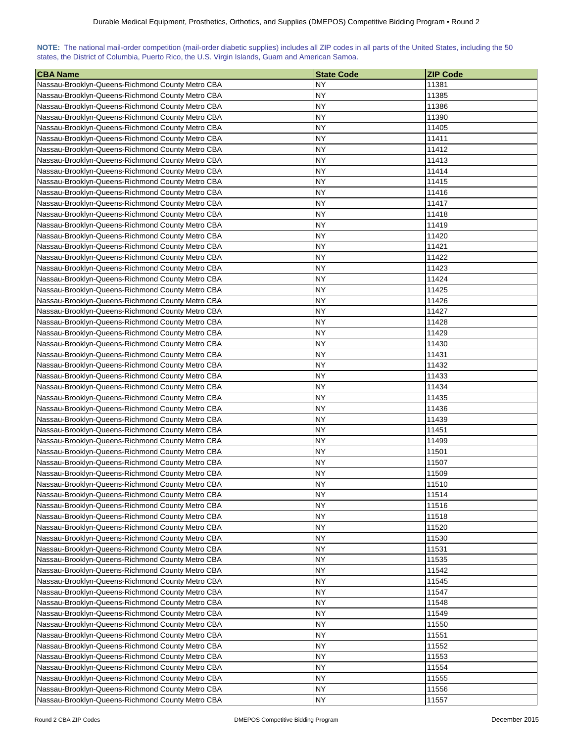|                                                                                                  |  |  |  |  | NOTE: The national mail-order competition (mail-order diabetic supplies) includes all ZIP codes in all parts of the United States, including the 50 |
|--------------------------------------------------------------------------------------------------|--|--|--|--|-----------------------------------------------------------------------------------------------------------------------------------------------------|
| states, the District of Columbia, Puerto Rico, the U.S. Virgin Islands, Guam and American Samoa. |  |  |  |  |                                                                                                                                                     |

| <b>CBA Name</b>                                  | <b>State Code</b> | <b>ZIP Code</b> |
|--------------------------------------------------|-------------------|-----------------|
| Nassau-Brooklyn-Queens-Richmond County Metro CBA | <b>NY</b>         | 11381           |
| Nassau-Brooklyn-Queens-Richmond County Metro CBA | NΥ                | 11385           |
| Nassau-Brooklyn-Queens-Richmond County Metro CBA | <b>NY</b>         | 11386           |
| Nassau-Brooklyn-Queens-Richmond County Metro CBA | NY                | 11390           |
| Nassau-Brooklyn-Queens-Richmond County Metro CBA | NY                | 11405           |
| Nassau-Brooklyn-Queens-Richmond County Metro CBA | <b>NY</b>         | 11411           |
| Nassau-Brooklyn-Queens-Richmond County Metro CBA | NY                | 11412           |
| Nassau-Brooklyn-Queens-Richmond County Metro CBA | NY                | 11413           |
| Nassau-Brooklyn-Queens-Richmond County Metro CBA | <b>NY</b>         | 11414           |
| Nassau-Brooklyn-Queens-Richmond County Metro CBA | NY                | 11415           |
| Nassau-Brooklyn-Queens-Richmond County Metro CBA | NY                | 11416           |
| Nassau-Brooklyn-Queens-Richmond County Metro CBA | NΥ                | 11417           |
| Nassau-Brooklyn-Queens-Richmond County Metro CBA | NΥ                | 11418           |
| Nassau-Brooklyn-Queens-Richmond County Metro CBA | NΥ                | 11419           |
| Nassau-Brooklyn-Queens-Richmond County Metro CBA | ΝY                | 11420           |
| Nassau-Brooklyn-Queens-Richmond County Metro CBA | NΥ                | 11421           |
| Nassau-Brooklyn-Queens-Richmond County Metro CBA | <b>NY</b>         | 11422           |
| Nassau-Brooklyn-Queens-Richmond County Metro CBA | <b>NY</b>         | 11423           |
| Nassau-Brooklyn-Queens-Richmond County Metro CBA | NΥ                | 11424           |
| Nassau-Brooklyn-Queens-Richmond County Metro CBA | <b>NY</b>         | 11425           |
| Nassau-Brooklyn-Queens-Richmond County Metro CBA | NY                | 11426           |
| Nassau-Brooklyn-Queens-Richmond County Metro CBA | NΥ                | 11427           |
| Nassau-Brooklyn-Queens-Richmond County Metro CBA | NY                | 11428           |
| Nassau-Brooklyn-Queens-Richmond County Metro CBA | NΥ                | 11429           |
| Nassau-Brooklyn-Queens-Richmond County Metro CBA | NΥ                | 11430           |
| Nassau-Brooklyn-Queens-Richmond County Metro CBA | NY.               | 11431           |
| Nassau-Brooklyn-Queens-Richmond County Metro CBA | NY                | 11432           |
| Nassau-Brooklyn-Queens-Richmond County Metro CBA | <b>NY</b>         | 11433           |
| Nassau-Brooklyn-Queens-Richmond County Metro CBA | <b>NY</b>         | 11434           |
| Nassau-Brooklyn-Queens-Richmond County Metro CBA | NY                | 11435           |
| Nassau-Brooklyn-Queens-Richmond County Metro CBA | <b>NY</b>         | 11436           |
| Nassau-Brooklyn-Queens-Richmond County Metro CBA | <b>NY</b>         | 11439           |
| Nassau-Brooklyn-Queens-Richmond County Metro CBA | NY                | 11451           |
| Nassau-Brooklyn-Queens-Richmond County Metro CBA | <b>NY</b>         | 11499           |
| Nassau-Brooklyn-Queens-Richmond County Metro CBA | NY                | 11501           |
| Nassau-Brooklyn-Queens-Richmond County Metro CBA | NΥ                | 11507           |
| Nassau-Brooklyn-Queens-Richmond County Metro CBA | NΥ                | 11509           |
| Nassau-Brooklyn-Queens-Richmond County Metro CBA | <b>NY</b>         | 11510           |
| Nassau-Brooklyn-Queens-Richmond County Metro CBA | <b>NY</b>         | 11514           |
| Nassau-Brooklyn-Queens-Richmond County Metro CBA | NY                | 11516           |
| Nassau-Brooklyn-Queens-Richmond County Metro CBA | <b>NY</b>         | 11518           |
| Nassau-Brooklyn-Queens-Richmond County Metro CBA | <b>NY</b>         | 11520           |
| Nassau-Brooklyn-Queens-Richmond County Metro CBA | <b>NY</b>         | 11530           |
| Nassau-Brooklyn-Queens-Richmond County Metro CBA | NY                | 11531           |
| Nassau-Brooklyn-Queens-Richmond County Metro CBA | <b>NY</b>         | 11535           |
| Nassau-Brooklyn-Queens-Richmond County Metro CBA | NY                | 11542           |
| Nassau-Brooklyn-Queens-Richmond County Metro CBA | NY                | 11545           |
| Nassau-Brooklyn-Queens-Richmond County Metro CBA | <b>NY</b>         | 11547           |
| Nassau-Brooklyn-Queens-Richmond County Metro CBA | NY                | 11548           |
| Nassau-Brooklyn-Queens-Richmond County Metro CBA | ΝY                | 11549           |
| Nassau-Brooklyn-Queens-Richmond County Metro CBA | NY                | 11550           |
| Nassau-Brooklyn-Queens-Richmond County Metro CBA | NY                | 11551           |
| Nassau-Brooklyn-Queens-Richmond County Metro CBA | <b>NY</b>         | 11552           |
| Nassau-Brooklyn-Queens-Richmond County Metro CBA | NΥ                | 11553           |
| Nassau-Brooklyn-Queens-Richmond County Metro CBA | NΥ                | 11554           |
| Nassau-Brooklyn-Queens-Richmond County Metro CBA | <b>NY</b>         | 11555           |
| Nassau-Brooklyn-Queens-Richmond County Metro CBA | NΥ                | 11556           |
| Nassau-Brooklyn-Queens-Richmond County Metro CBA | <b>NY</b>         | 11557           |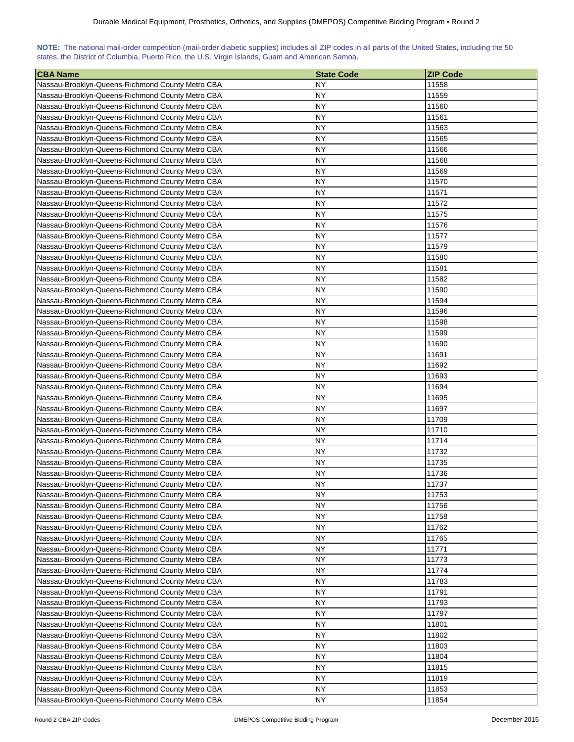|                                                                                                  |  |  |  |  | NOTE: The national mail-order competition (mail-order diabetic supplies) includes all ZIP codes in all parts of the United States, including the 50 |
|--------------------------------------------------------------------------------------------------|--|--|--|--|-----------------------------------------------------------------------------------------------------------------------------------------------------|
| states, the District of Columbia, Puerto Rico, the U.S. Virgin Islands, Guam and American Samoa. |  |  |  |  |                                                                                                                                                     |

| <b>CBA Name</b>                                  | <b>State Code</b> | <b>ZIP Code</b> |
|--------------------------------------------------|-------------------|-----------------|
| Nassau-Brooklyn-Queens-Richmond County Metro CBA | NY.               | 11558           |
| Nassau-Brooklyn-Queens-Richmond County Metro CBA | NΥ                | 11559           |
| Nassau-Brooklyn-Queens-Richmond County Metro CBA | <b>NY</b>         | 11560           |
| Nassau-Brooklyn-Queens-Richmond County Metro CBA | NY                | 11561           |
| Nassau-Brooklyn-Queens-Richmond County Metro CBA | NY                | 11563           |
| Nassau-Brooklyn-Queens-Richmond County Metro CBA | <b>NY</b>         | 11565           |
| Nassau-Brooklyn-Queens-Richmond County Metro CBA | NY                | 11566           |
| Nassau-Brooklyn-Queens-Richmond County Metro CBA | NY                | 11568           |
| Nassau-Brooklyn-Queens-Richmond County Metro CBA | <b>NY</b>         | 11569           |
| Nassau-Brooklyn-Queens-Richmond County Metro CBA | NY                | 11570           |
| Nassau-Brooklyn-Queens-Richmond County Metro CBA | NY                | 11571           |
| Nassau-Brooklyn-Queens-Richmond County Metro CBA | NΥ                | 11572           |
| Nassau-Brooklyn-Queens-Richmond County Metro CBA | NΥ                | 11575           |
| Nassau-Brooklyn-Queens-Richmond County Metro CBA | NΥ                | 11576           |
| Nassau-Brooklyn-Queens-Richmond County Metro CBA | NΥ                | 11577           |
| Nassau-Brooklyn-Queens-Richmond County Metro CBA | NΥ                | 11579           |
| Nassau-Brooklyn-Queens-Richmond County Metro CBA | NY                | 11580           |
| Nassau-Brooklyn-Queens-Richmond County Metro CBA | NY                | 11581           |
| Nassau-Brooklyn-Queens-Richmond County Metro CBA | <b>NY</b>         | 11582           |
| Nassau-Brooklyn-Queens-Richmond County Metro CBA | <b>NY</b>         | 11590           |
| Nassau-Brooklyn-Queens-Richmond County Metro CBA | NY                | 11594           |
| Nassau-Brooklyn-Queens-Richmond County Metro CBA | NΥ                | 11596           |
| Nassau-Brooklyn-Queens-Richmond County Metro CBA | NY                | 11598           |
| Nassau-Brooklyn-Queens-Richmond County Metro CBA | NΥ                | 11599           |
| Nassau-Brooklyn-Queens-Richmond County Metro CBA | NΥ                | 11690           |
| Nassau-Brooklyn-Queens-Richmond County Metro CBA | <b>NY</b>         | 11691           |
| Nassau-Brooklyn-Queens-Richmond County Metro CBA | NΥ                | 11692           |
| Nassau-Brooklyn-Queens-Richmond County Metro CBA | <b>NY</b>         | 11693           |
| Nassau-Brooklyn-Queens-Richmond County Metro CBA | <b>NY</b>         | 11694           |
| Nassau-Brooklyn-Queens-Richmond County Metro CBA | <b>NY</b>         | 11695           |
| Nassau-Brooklyn-Queens-Richmond County Metro CBA | <b>NY</b>         | 11697           |
| Nassau-Brooklyn-Queens-Richmond County Metro CBA | <b>NY</b>         | 11709           |
| Nassau-Brooklyn-Queens-Richmond County Metro CBA | <b>NY</b>         | 11710           |
| Nassau-Brooklyn-Queens-Richmond County Metro CBA | <b>NY</b>         | 11714           |
| Nassau-Brooklyn-Queens-Richmond County Metro CBA | NY                | 11732           |
| Nassau-Brooklyn-Queens-Richmond County Metro CBA | NY                | 11735           |
| Nassau-Brooklyn-Queens-Richmond County Metro CBA | NΥ                | 11736           |
| Nassau-Brooklyn-Queens-Richmond County Metro CBA | <b>NY</b>         | 11737           |
| Nassau-Brooklyn-Queens-Richmond County Metro CBA | <b>NY</b>         | 11753           |
| Nassau-Brooklyn-Queens-Richmond County Metro CBA | NΥ                | 11756           |
| Nassau-Brooklyn-Queens-Richmond County Metro CBA | NY                | 11758           |
| Nassau-Brooklyn-Queens-Richmond County Metro CBA | <b>NY</b>         | 11762           |
| Nassau-Brooklyn-Queens-Richmond County Metro CBA | <b>NY</b>         | 11765           |
| Nassau-Brooklyn-Queens-Richmond County Metro CBA | <b>NY</b>         | 11771           |
| Nassau-Brooklyn-Queens-Richmond County Metro CBA | <b>NY</b>         | 11773           |
| Nassau-Brooklyn-Queens-Richmond County Metro CBA | <b>NY</b>         | 11774           |
| Nassau-Brooklyn-Queens-Richmond County Metro CBA | NΥ                | 11783           |
| Nassau-Brooklyn-Queens-Richmond County Metro CBA | NY                | 11791           |
| Nassau-Brooklyn-Queens-Richmond County Metro CBA | NΥ                | 11793           |
| Nassau-Brooklyn-Queens-Richmond County Metro CBA | ΝY                | 11797           |
| Nassau-Brooklyn-Queens-Richmond County Metro CBA | ΝY                | 11801           |
| Nassau-Brooklyn-Queens-Richmond County Metro CBA | NΥ                | 11802           |
| Nassau-Brooklyn-Queens-Richmond County Metro CBA | NΥ                | 11803           |
| Nassau-Brooklyn-Queens-Richmond County Metro CBA | NΥ                | 11804           |
| Nassau-Brooklyn-Queens-Richmond County Metro CBA | NΥ                | 11815           |
| Nassau-Brooklyn-Queens-Richmond County Metro CBA | <b>NY</b>         | 11819           |
| Nassau-Brooklyn-Queens-Richmond County Metro CBA | NY                | 11853           |
| Nassau-Brooklyn-Queens-Richmond County Metro CBA | <b>NY</b>         | 11854           |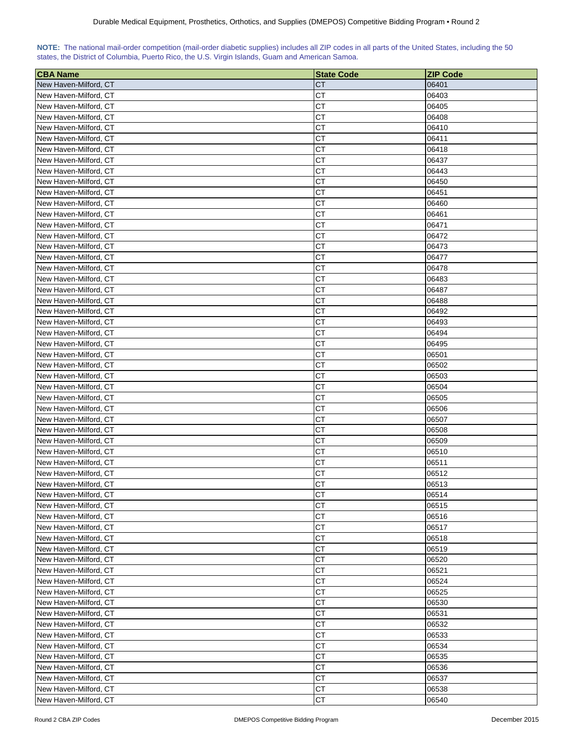|  | NOTE: The national mail-order competition (mail-order diabetic supplies) includes all ZIP codes in all parts of the United States, including the 50 |  |  |  |  |
|--|-----------------------------------------------------------------------------------------------------------------------------------------------------|--|--|--|--|
|  | states, the District of Columbia, Puerto Rico, the U.S. Virgin Islands, Guam and American Samoa.                                                    |  |  |  |  |

| <b>CBA Name</b>       | <b>State Code</b> | <b>ZIP Code</b> |
|-----------------------|-------------------|-----------------|
| New Haven-Milford, CT | СT                | 06401           |
| New Haven-Milford, CT | <b>CT</b>         | 06403           |
| New Haven-Milford, CT | <b>CT</b>         | 06405           |
| New Haven-Milford, CT | CT                | 06408           |
| New Haven-Milford, CT | <b>CT</b>         | 06410           |
| New Haven-Milford, CT | <b>CT</b>         | 06411           |
| New Haven-Milford, CT | СT                | 06418           |
| New Haven-Milford, CT | СT                | 06437           |
| New Haven-Milford, CT | <b>CT</b>         | 06443           |
| New Haven-Milford, CT | CT                | 06450           |
| New Haven-Milford, CT | <b>CT</b>         | 06451           |
| New Haven-Milford, CT | <b>CT</b>         | 06460           |
| New Haven-Milford, CT | CT                | 06461           |
| New Haven-Milford, CT | CT                | 06471           |
| New Haven-Milford, CT | СT                | 06472           |
| New Haven-Milford, CT | СT                | 06473           |
| New Haven-Milford, CT | <b>CT</b>         | 06477           |
| New Haven-Milford, CT | <b>CT</b>         | 06478           |
| New Haven-Milford, CT | <b>CT</b>         | 06483           |
| New Haven-Milford, CT | СT                | 06487           |
| New Haven-Milford, CT | <b>CT</b>         | 06488           |
| New Haven-Milford, CT | <b>CT</b>         | 06492           |
| New Haven-Milford, CT | CT                |                 |
| New Haven-Milford, CT | <b>CT</b>         | 06493<br>06494  |
|                       | <b>CT</b>         |                 |
| New Haven-Milford, CT |                   | 06495           |
| New Haven-Milford, CT | СT                | 06501           |
| New Haven-Milford, CT | СT                | 06502           |
| New Haven-Milford, CT | СT                | 06503           |
| New Haven-Milford, CT | СT                | 06504           |
| New Haven-Milford, CT | CТ                | 06505           |
| New Haven-Milford, CT | <b>CT</b>         | 06506           |
| New Haven-Milford, CT | СT                | 06507           |
| New Haven-Milford, CT | CТ                | 06508           |
| New Haven-Milford, CT | <b>CT</b>         | 06509           |
| New Haven-Milford, CT | СT                | 06510           |
| New Haven-Milford, CT | <b>CT</b>         | 06511           |
| New Haven-Milford, CT | <b>CT</b>         | 06512           |
| New Haven-Milford, CT | <b>CT</b>         | 06513           |
| New Haven-Milford, CT | <b>CT</b>         | 06514           |
| New Haven-Milford, CT | <b>CT</b>         | 06515           |
| New Haven-Milford, CT | CT                | 06516           |
| New Haven-Milford, CT | <b>CT</b>         | 06517           |
| New Haven-Milford, CT | <b>CT</b>         | 06518           |
| New Haven-Milford, CT | СT                | 06519           |
| New Haven-Milford, CT | CT                | 06520           |
| New Haven-Milford, CT | CT                | 06521           |
| New Haven-Milford, CT | CT                | 06524           |
| New Haven-Milford, CT | <b>CT</b>         | 06525           |
| New Haven-Milford, CT | <b>CT</b>         | 06530           |
| New Haven-Milford, CT | СT                | 06531           |
| New Haven-Milford, CT | CT                | 06532           |
| New Haven-Milford, CT | <b>CT</b>         | 06533           |
| New Haven-Milford, CT | CT                | 06534           |
| New Haven-Milford, CT | <b>CT</b>         | 06535           |
| New Haven-Milford, CT | <b>CT</b>         | 06536           |
| New Haven-Milford, CT | <b>CT</b>         | 06537           |
| New Haven-Milford, CT | <b>CT</b>         | 06538           |
| New Haven-Milford, CT | CT                | 06540           |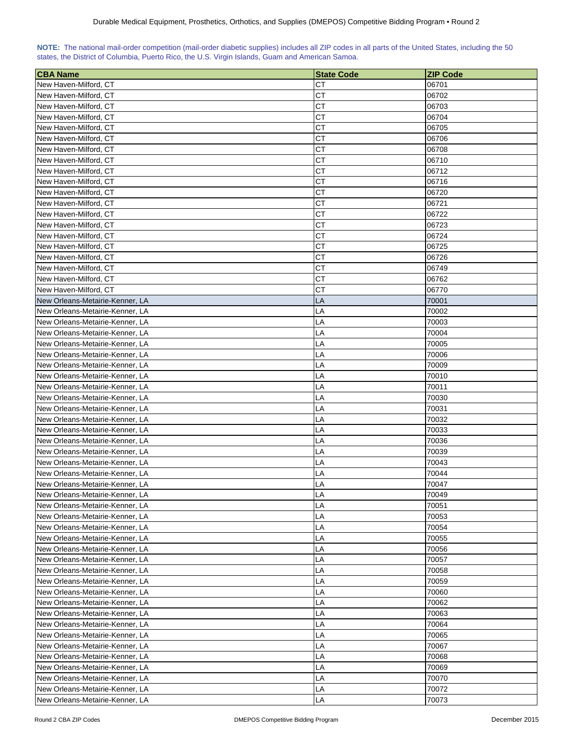| NOTE: The national mail-order competition (mail-order diabetic supplies) includes all ZIP codes in all parts of the United States, including the 50 |  |  |  |  |  |  |  |
|-----------------------------------------------------------------------------------------------------------------------------------------------------|--|--|--|--|--|--|--|
| states, the District of Columbia, Puerto Rico, the U.S. Virgin Islands, Guam and American Samoa.                                                    |  |  |  |  |  |  |  |

| <b>CBA Name</b>                                | <b>State Code</b> | <b>ZIP Code</b> |
|------------------------------------------------|-------------------|-----------------|
| New Haven-Milford, CT                          | CТ                | 06701           |
| New Haven-Milford, CT                          | СT                | 06702           |
| New Haven-Milford, CT                          | СT                | 06703           |
| New Haven-Milford, CT                          | СT                | 06704           |
| New Haven-Milford, CT                          | <b>CT</b>         | 06705           |
|                                                | <b>CT</b>         |                 |
| New Haven-Milford, CT                          | CТ                | 06706           |
| New Haven-Milford, CT                          |                   | 06708           |
| New Haven-Milford, CT<br>New Haven-Milford, CT | CТ<br>CТ          | 06710           |
|                                                |                   | 06712           |
| New Haven-Milford, CT                          | CТ                | 06716           |
| New Haven-Milford, CT                          | СT                | 06720           |
| New Haven-Milford, CT                          | <b>CT</b>         | 06721           |
| New Haven-Milford, CT                          | CT                | 06722           |
| New Haven-Milford, CT                          | CТ                | 06723           |
| New Haven-Milford, CT                          | CТ                | 06724           |
| New Haven-Milford, CT                          | СT                | 06725           |
| New Haven-Milford, CT                          | CТ                | 06726           |
| New Haven-Milford, CT                          | <b>CT</b>         | 06749           |
| New Haven-Milford, CT                          | СT                | 06762           |
| New Haven-Milford, CT                          | CТ                | 06770           |
| New Orleans-Metairie-Kenner, LA                | LA                | 70001           |
| New Orleans-Metairie-Kenner, LA                | LA                | 70002           |
| New Orleans-Metairie-Kenner, LA                | LA                | 70003           |
| New Orleans-Metairie-Kenner, LA                | LA                | 70004           |
| New Orleans-Metairie-Kenner, LA                | LA                | 70005           |
| New Orleans-Metairie-Kenner, LA                | LA                | 70006           |
| New Orleans-Metairie-Kenner, LA                | LA                | 70009           |
| New Orleans-Metairie-Kenner, LA                | LA                | 70010           |
| New Orleans-Metairie-Kenner, LA                | LA                | 70011           |
| New Orleans-Metairie-Kenner, LA                | LA                | 70030           |
| New Orleans-Metairie-Kenner, LA                | LA                | 70031           |
| New Orleans-Metairie-Kenner, LA                | LA                | 70032           |
| New Orleans-Metairie-Kenner, LA                | LA                | 70033           |
| New Orleans-Metairie-Kenner, LA                | LA                | 70036           |
| New Orleans-Metairie-Kenner, LA                | LA                | 70039           |
| New Orleans-Metairie-Kenner, LA                | LA                | 70043           |
| New Orleans-Metairie-Kenner, LA                | LA                | 70044           |
| New Orleans-Metairie-Kenner, LA                | LA                | 70047           |
| New Orleans-Metairie-Kenner, LA                | LA                | 70049           |
| New Orleans-Metairie-Kenner, LA                | LA                | 70051           |
| New Orleans-Metairie-Kenner, LA                | LA                | 70053           |
| New Orleans-Metairie-Kenner, LA                | LA                | 70054           |
| New Orleans-Metairie-Kenner, LA                | LA                | 70055           |
| New Orleans-Metairie-Kenner, LA                | LA                | 70056           |
| New Orleans-Metairie-Kenner, LA                | LA                | 70057           |
| New Orleans-Metairie-Kenner, LA                | LA                | 70058           |
| New Orleans-Metairie-Kenner, LA                | LA                | 70059           |
| New Orleans-Metairie-Kenner, LA                | LA                | 70060           |
| New Orleans-Metairie-Kenner, LA                | LA                | 70062           |
| New Orleans-Metairie-Kenner, LA                | LA                | 70063           |
| New Orleans-Metairie-Kenner, LA                | LA                | 70064           |
| New Orleans-Metairie-Kenner, LA                | LA                | 70065           |
| New Orleans-Metairie-Kenner, LA                | LA                | 70067           |
| New Orleans-Metairie-Kenner, LA                | LA                | 70068           |
| New Orleans-Metairie-Kenner, LA                | LA                | 70069           |
| New Orleans-Metairie-Kenner, LA                | LA                | 70070           |
| New Orleans-Metairie-Kenner, LA                | LA                | 70072           |
| New Orleans-Metairie-Kenner, LA                | LA                | 70073           |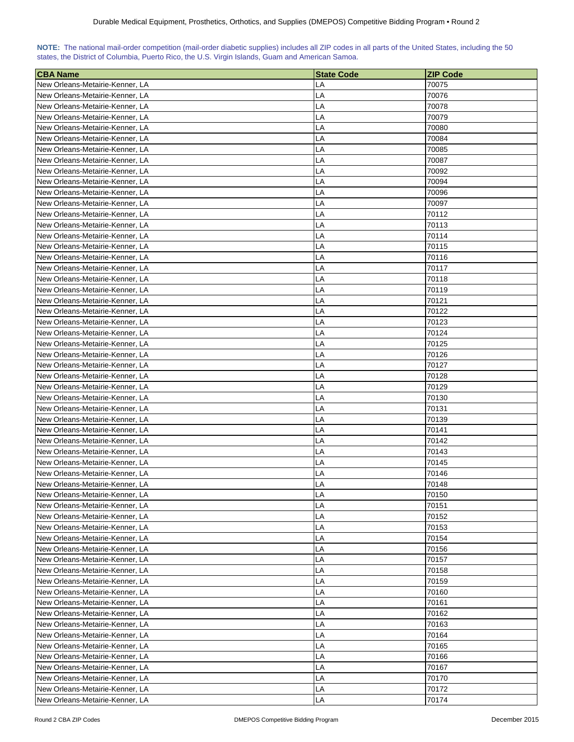| NOTE: The national mail-order competition (mail-order diabetic supplies) includes all ZIP codes in all parts of the United States, including the 50 |  |  |  |  |  |  |  |
|-----------------------------------------------------------------------------------------------------------------------------------------------------|--|--|--|--|--|--|--|
| states, the District of Columbia, Puerto Rico, the U.S. Virgin Islands, Guam and American Samoa.                                                    |  |  |  |  |  |  |  |

| <b>CBA Name</b>                 | <b>State Code</b> | <b>ZIP Code</b> |
|---------------------------------|-------------------|-----------------|
| New Orleans-Metairie-Kenner, LA | LA                | 70075           |
| New Orleans-Metairie-Kenner, LA | LA                | 70076           |
| New Orleans-Metairie-Kenner, LA | LA                | 70078           |
| New Orleans-Metairie-Kenner, LA | LA                | 70079           |
| New Orleans-Metairie-Kenner, LA | LA                | 70080           |
| New Orleans-Metairie-Kenner, LA | LA                | 70084           |
| New Orleans-Metairie-Kenner, LA | LA                | 70085           |
| New Orleans-Metairie-Kenner, LA | LA                | 70087           |
| New Orleans-Metairie-Kenner, LA | LA                | 70092           |
| New Orleans-Metairie-Kenner, LA | LA                | 70094           |
| New Orleans-Metairie-Kenner, LA | LA                | 70096           |
| New Orleans-Metairie-Kenner, LA | LA                | 70097           |
| New Orleans-Metairie-Kenner, LA | LA                | 70112           |
| New Orleans-Metairie-Kenner, LA | LA                | 70113           |
| New Orleans-Metairie-Kenner, LA | LA                | 70114           |
| New Orleans-Metairie-Kenner, LA | LA                | 70115           |
| New Orleans-Metairie-Kenner, LA | LA                | 70116           |
| New Orleans-Metairie-Kenner, LA | LA                | 70117           |
| New Orleans-Metairie-Kenner, LA | LA                | 70118           |
| New Orleans-Metairie-Kenner, LA | LA                | 70119           |
| New Orleans-Metairie-Kenner, LA | LA                | 70121           |
| New Orleans-Metairie-Kenner, LA | LA                | 70122           |
| New Orleans-Metairie-Kenner, LA | LA                | 70123           |
| New Orleans-Metairie-Kenner, LA | LA                | 70124           |
| New Orleans-Metairie-Kenner, LA | LA                | 70125           |
| New Orleans-Metairie-Kenner, LA | LA                | 70126           |
| New Orleans-Metairie-Kenner, LA | LA                | 70127           |
| New Orleans-Metairie-Kenner, LA | LA                | 70128           |
| New Orleans-Metairie-Kenner, LA | LA                | 70129           |
| New Orleans-Metairie-Kenner, LA | LA                | 70130           |
| New Orleans-Metairie-Kenner, LA | LA                | 70131           |
| New Orleans-Metairie-Kenner, LA | LA                | 70139           |
| New Orleans-Metairie-Kenner, LA | LA                | 70141           |
| New Orleans-Metairie-Kenner, LA | LA                | 70142           |
| New Orleans-Metairie-Kenner, LA | LA                | 70143           |
| New Orleans-Metairie-Kenner, LA | LA                | 70145           |
| New Orleans-Metairie-Kenner, LA | LA                | 70146           |
| New Orleans-Metairie-Kenner, LA | LA                | 70148           |
| New Orleans-Metairie-Kenner, LA | LA                | 70150           |
| New Orleans-Metairie-Kenner, LA | LA                | 70151           |
| New Orleans-Metairie-Kenner, LA | LA                | 70152           |
| New Orleans-Metairie-Kenner, LA | LA                | 70153           |
| New Orleans-Metairie-Kenner, LA | LA                | 70154           |
| New Orleans-Metairie-Kenner, LA | LA                | 70156           |
| New Orleans-Metairie-Kenner, LA | LA                | 70157           |
| New Orleans-Metairie-Kenner, LA | LA                | 70158           |
| New Orleans-Metairie-Kenner, LA | LA                | 70159           |
| New Orleans-Metairie-Kenner, LA | LA                | 70160           |
| New Orleans-Metairie-Kenner, LA | LA                | 70161           |
| New Orleans-Metairie-Kenner, LA | LA                | 70162           |
| New Orleans-Metairie-Kenner, LA | LA                | 70163           |
| New Orleans-Metairie-Kenner, LA | LA                | 70164           |
| New Orleans-Metairie-Kenner, LA | LA                | 70165           |
| New Orleans-Metairie-Kenner, LA | LA                | 70166           |
| New Orleans-Metairie-Kenner, LA | LA                | 70167           |
| New Orleans-Metairie-Kenner, LA | LA                | 70170           |
| New Orleans-Metairie-Kenner, LA | LA                | 70172           |
| New Orleans-Metairie-Kenner, LA | LA                | 70174           |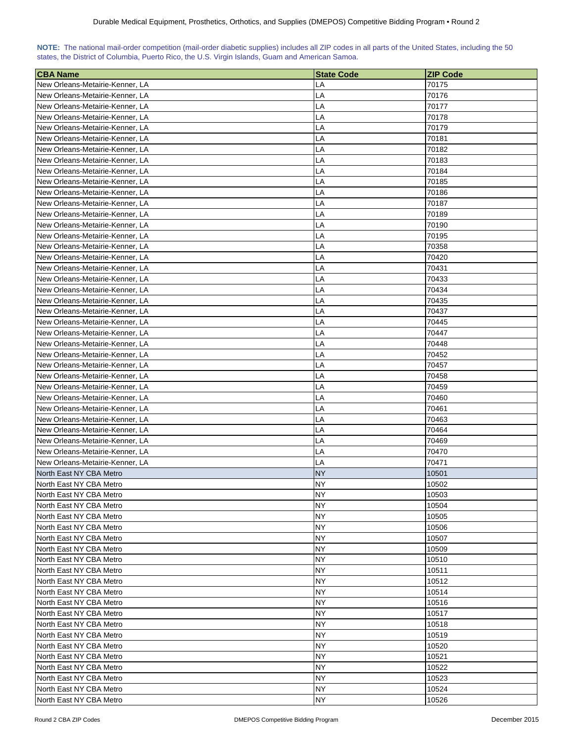| NOTE: The national mail-order competition (mail-order diabetic supplies) includes all ZIP codes in all parts of the United States, including the 50 |  |  |  |  |  |  |  |
|-----------------------------------------------------------------------------------------------------------------------------------------------------|--|--|--|--|--|--|--|
| states, the District of Columbia, Puerto Rico, the U.S. Virgin Islands, Guam and American Samoa.                                                    |  |  |  |  |  |  |  |

| <b>CBA Name</b>                 | <b>State Code</b> | <b>ZIP Code</b> |
|---------------------------------|-------------------|-----------------|
| New Orleans-Metairie-Kenner, LA | LA                | 70175           |
| New Orleans-Metairie-Kenner, LA | LA                | 70176           |
| New Orleans-Metairie-Kenner, LA | LA                | 70177           |
| New Orleans-Metairie-Kenner, LA | LA                | 70178           |
| New Orleans-Metairie-Kenner, LA | LA                | 70179           |
| New Orleans-Metairie-Kenner, LA | LA                | 70181           |
| New Orleans-Metairie-Kenner, LA | LA                | 70182           |
| New Orleans-Metairie-Kenner, LA | LA                | 70183           |
| New Orleans-Metairie-Kenner, LA | LA                | 70184           |
| New Orleans-Metairie-Kenner, LA | LA                | 70185           |
|                                 | LA                |                 |
| New Orleans-Metairie-Kenner, LA |                   | 70186           |
| New Orleans-Metairie-Kenner, LA | LA                | 70187           |
| New Orleans-Metairie-Kenner, LA | LA                | 70189           |
| New Orleans-Metairie-Kenner, LA | LA                | 70190           |
| New Orleans-Metairie-Kenner, LA | LA                | 70195           |
| New Orleans-Metairie-Kenner, LA | LA                | 70358           |
| New Orleans-Metairie-Kenner, LA | LA                | 70420           |
| New Orleans-Metairie-Kenner, LA | LA                | 70431           |
| New Orleans-Metairie-Kenner, LA | LA                | 70433           |
| New Orleans-Metairie-Kenner, LA | LA                | 70434           |
| New Orleans-Metairie-Kenner, LA | LA                | 70435           |
| New Orleans-Metairie-Kenner, LA | LA                | 70437           |
| New Orleans-Metairie-Kenner, LA | LA                | 70445           |
| New Orleans-Metairie-Kenner, LA | LA                | 70447           |
| New Orleans-Metairie-Kenner, LA | LA                | 70448           |
| New Orleans-Metairie-Kenner, LA | LA                | 70452           |
| New Orleans-Metairie-Kenner, LA | LA                | 70457           |
| New Orleans-Metairie-Kenner, LA | LA                | 70458           |
| New Orleans-Metairie-Kenner, LA | LA                | 70459           |
| New Orleans-Metairie-Kenner, LA | LA                | 70460           |
| New Orleans-Metairie-Kenner, LA | LA                | 70461           |
| New Orleans-Metairie-Kenner, LA | LA                | 70463           |
| New Orleans-Metairie-Kenner, LA | LA                | 70464           |
| New Orleans-Metairie-Kenner, LA | LA                | 70469           |
| New Orleans-Metairie-Kenner, LA | LA                | 70470           |
| New Orleans-Metairie-Kenner, LA | LA                | 70471           |
| North East NY CBA Metro         | <b>NY</b>         | 10501           |
| North East NY CBA Metro         | <b>NY</b>         | 10502           |
| North East NY CBA Metro         | NΥ                | 10503           |
| North East NY CBA Metro         | NY.               | 10504           |
| North East NY CBA Metro         | NY                | 10505           |
| North East NY CBA Metro         | NY                | 10506           |
| North East NY CBA Metro         | <b>NY</b>         | 10507           |
| North East NY CBA Metro         | NY                | 10509           |
| North East NY CBA Metro         | NY                | 10510           |
| North East NY CBA Metro         | NY                | 10511           |
| North East NY CBA Metro         | ΝY                | 10512           |
| North East NY CBA Metro         | ΝY                | 10514           |
| North East NY CBA Metro         | NΥ                | 10516           |
| North East NY CBA Metro         | NΥ                | 10517           |
| North East NY CBA Metro         | NY.               | 10518           |
| North East NY CBA Metro         | NY.               | 10519           |
| North East NY CBA Metro         | ΝY                | 10520           |
| North East NY CBA Metro         | NY                | 10521           |
| North East NY CBA Metro         | ΝY                | 10522           |
| North East NY CBA Metro         | ΝY                | 10523           |
| North East NY CBA Metro         | ΝY                | 10524           |
| North East NY CBA Metro         | NY                | 10526           |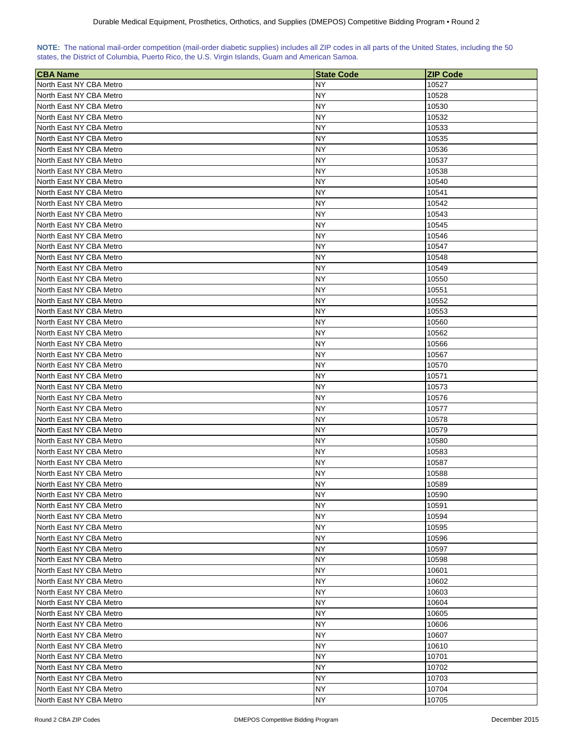| NOTE: The national mail-order competition (mail-order diabetic supplies) includes all ZIP codes in all parts of the United States, including the 50 |  |  |  |
|-----------------------------------------------------------------------------------------------------------------------------------------------------|--|--|--|
| states, the District of Columbia, Puerto Rico, the U.S. Virgin Islands, Guam and American Samoa.                                                    |  |  |  |

| <b>CBA Name</b>         | <b>State Code</b> | <b>ZIP Code</b> |
|-------------------------|-------------------|-----------------|
| North East NY CBA Metro | NY                | 10527           |
| North East NY CBA Metro | NY                | 10528           |
| North East NY CBA Metro | NY                | 10530           |
| North East NY CBA Metro | NΥ                | 10532           |
| North East NY CBA Metro | NΥ                | 10533           |
| North East NY CBA Metro | NY.               | 10535           |
| North East NY CBA Metro | NΥ                | 10536           |
| North East NY CBA Metro | NΥ                | 10537           |
| North East NY CBA Metro | ΝY                | 10538           |
| North East NY CBA Metro | NY                | 10540           |
| North East NY CBA Metro | NY                | 10541           |
| North East NY CBA Metro | NY                | 10542           |
| North East NY CBA Metro | NY                | 10543           |
| North East NY CBA Metro | NΥ                | 10545           |
| North East NY CBA Metro | NY                | 10546           |
| North East NY CBA Metro | NY                | 10547           |
| North East NY CBA Metro | NY                | 10548           |
| North East NY CBA Metro | NΥ                | 10549           |
| North East NY CBA Metro | NΥ                | 10550           |
| North East NY CBA Metro | NΥ                | 10551           |
| North East NY CBA Metro | ΝY                | 10552           |
| North East NY CBA Metro | NΥ                | 10553           |
| North East NY CBA Metro | NΥ                | 10560           |
| North East NY CBA Metro | NY                | 10562           |
| North East NY CBA Metro | NY.               | 10566           |
| North East NY CBA Metro | ΝY                | 10567           |
| North East NY CBA Metro | NY                | 10570           |
| North East NY CBA Metro | <b>NY</b>         | 10571           |
| North East NY CBA Metro | ΝY                | 10573           |
| North East NY CBA Metro | ΝY                | 10576           |
| North East NY CBA Metro | ΝY                | 10577           |
| North East NY CBA Metro | NY                | 10578           |
| North East NY CBA Metro | NY                | 10579           |
| North East NY CBA Metro | <b>NY</b>         | 10580           |
| North East NY CBA Metro | NY                | 10583           |
| North East NY CBA Metro | ΝY                | 10587           |
| North East NY CBA Metro | NY                | 10588           |
| North East NY CBA Metro | NY                | 10589           |
| North East NY CBA Metro | <b>NY</b>         | 10590           |
| North East NY CBA Metro | <b>NY</b>         | 10591           |
| North East NY CBA Metro | NY                | 10594           |
| North East NY CBA Metro | NY                | 10595           |
| North East NY CBA Metro | NY                | 10596           |
| North East NY CBA Metro | NY                | 10597           |
| North East NY CBA Metro | NY                | 10598           |
| North East NY CBA Metro | <b>NY</b>         | 10601           |
| North East NY CBA Metro | NY                | 10602           |
| North East NY CBA Metro | <b>NY</b>         | 10603           |
| North East NY CBA Metro | ΝY                | 10604           |
| North East NY CBA Metro | NΥ                | 10605           |
| North East NY CBA Metro | NΥ                | 10606           |
| North East NY CBA Metro | NΥ                | 10607           |
| North East NY CBA Metro | NΥ                | 10610           |
| North East NY CBA Metro | ΝY                | 10701           |
| North East NY CBA Metro | ΝY                | 10702           |
| North East NY CBA Metro | ΝY                | 10703           |
| North East NY CBA Metro | NΥ                | 10704           |
| North East NY CBA Metro | <b>NY</b>         | 10705           |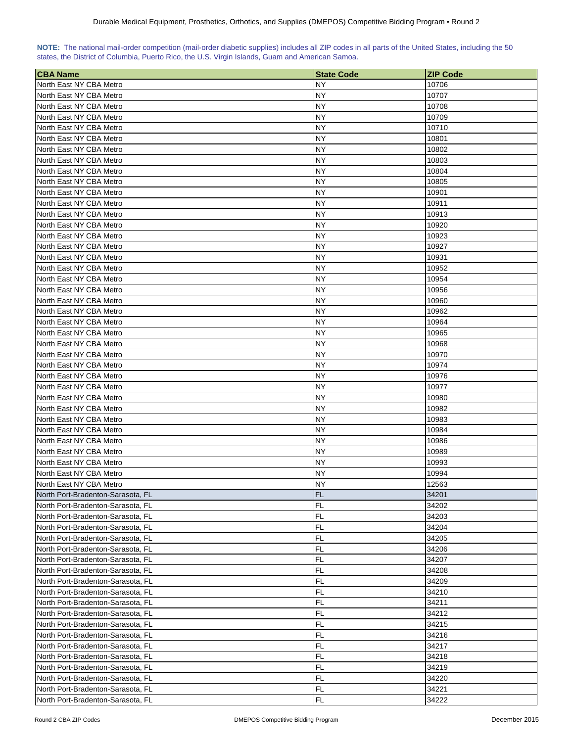| NOTE: The national mail-order competition (mail-order diabetic supplies) includes all ZIP codes in all parts of the United States, including the 50 |  |  |  |
|-----------------------------------------------------------------------------------------------------------------------------------------------------|--|--|--|
| states, the District of Columbia, Puerto Rico, the U.S. Virgin Islands, Guam and American Samoa.                                                    |  |  |  |

| <b>CBA Name</b>                   | <b>State Code</b> | <b>ZIP Code</b> |
|-----------------------------------|-------------------|-----------------|
| North East NY CBA Metro           | NY                | 10706           |
| North East NY CBA Metro           | NY.               | 10707           |
| North East NY CBA Metro           | NY                | 10708           |
| North East NY CBA Metro           | NY                | 10709           |
| North East NY CBA Metro           | NY.               | 10710           |
| North East NY CBA Metro           | NΥ                | 10801           |
| North East NY CBA Metro           | NΥ                | 10802           |
| North East NY CBA Metro           | NΥ                | 10803           |
| North East NY CBA Metro           | NY                | 10804           |
| North East NY CBA Metro           | NY                | 10805           |
| North East NY CBA Metro           | NY                | 10901           |
| North East NY CBA Metro           | NY                | 10911           |
| North East NY CBA Metro           | NY                | 10913           |
| North East NY CBA Metro           | NY                | 10920           |
| North East NY CBA Metro           | NY                | 10923           |
| North East NY CBA Metro           | NY                | 10927           |
| North East NY CBA Metro           | NY                | 10931           |
| North East NY CBA Metro           | NY                | 10952           |
| North East NY CBA Metro           | NY                | 10954           |
| North East NY CBA Metro           | NY                | 10956           |
| North East NY CBA Metro           | NΥ                | 10960           |
| North East NY CBA Metro           | NY                | 10962           |
| North East NY CBA Metro           | NY                | 10964           |
| North East NY CBA Metro           | NΥ                | 10965           |
| North East NY CBA Metro           | NY.               | 10968           |
| North East NY CBA Metro           | NY.               | 10970           |
|                                   |                   |                 |
| North East NY CBA Metro           | ΝY<br>NY          | 10974           |
| North East NY CBA Metro           |                   | 10976           |
| North East NY CBA Metro           | ΝY                | 10977           |
| North East NY CBA Metro           | ΝY                | 10980           |
| North East NY CBA Metro           | ΝY                | 10982           |
| North East NY CBA Metro           | NY                | 10983           |
| North East NY CBA Metro           | ΝY                | 10984           |
| North East NY CBA Metro           | NY                | 10986           |
| North East NY CBA Metro           | NY.               | 10989           |
| North East NY CBA Metro           | NY.               | 10993           |
| North East NY CBA Metro           | NY                | 10994           |
| North East NY CBA Metro           | <b>NY</b>         | 12563           |
| North Port-Bradenton-Sarasota, FL | <b>FL</b>         | 34201           |
| North Port-Bradenton-Sarasota, FL | FL                | 34202           |
| North Port-Bradenton-Sarasota, FL | FL                | 34203           |
| North Port-Bradenton-Sarasota, FL | FL                | 34204           |
| North Port-Bradenton-Sarasota, FL | FL                | 34205           |
| North Port-Bradenton-Sarasota, FL | <b>FL</b>         | 34206           |
| North Port-Bradenton-Sarasota, FL | FL                | 34207           |
| North Port-Bradenton-Sarasota, FL | <b>FL</b>         | 34208           |
| North Port-Bradenton-Sarasota, FL | FL                | 34209           |
| North Port-Bradenton-Sarasota, FL | FL                | 34210           |
| North Port-Bradenton-Sarasota, FL | FL                | 34211           |
| North Port-Bradenton-Sarasota, FL | FL                | 34212           |
| North Port-Bradenton-Sarasota, FL | FL                | 34215           |
| North Port-Bradenton-Sarasota, FL | FL                | 34216           |
| North Port-Bradenton-Sarasota, FL | FL                | 34217           |
| North Port-Bradenton-Sarasota, FL | FL                | 34218           |
| North Port-Bradenton-Sarasota, FL | FL                | 34219           |
| North Port-Bradenton-Sarasota, FL | FL                | 34220           |
| North Port-Bradenton-Sarasota, FL | FL                | 34221           |
| North Port-Bradenton-Sarasota, FL | FL                | 34222           |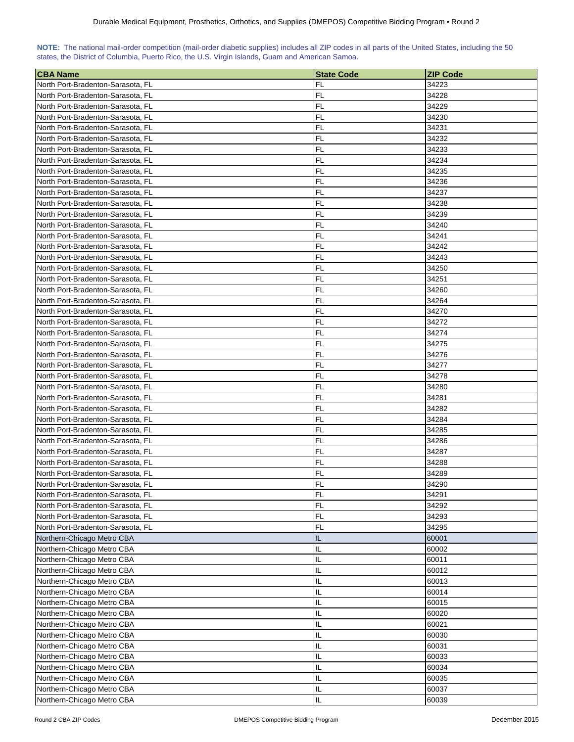| NOTE: The national mail-order competition (mail-order diabetic supplies) includes all ZIP codes in all parts of the United States, including the 50 |  |  |  |  |  |  |  |
|-----------------------------------------------------------------------------------------------------------------------------------------------------|--|--|--|--|--|--|--|
| states, the District of Columbia, Puerto Rico, the U.S. Virgin Islands, Guam and American Samoa.                                                    |  |  |  |  |  |  |  |

| <b>CBA Name</b>                                                        | <b>State Code</b> | <b>ZIP Code</b> |
|------------------------------------------------------------------------|-------------------|-----------------|
| North Port-Bradenton-Sarasota, FL                                      | FL                | 34223           |
| North Port-Bradenton-Sarasota, FL                                      | FL                | 34228           |
| North Port-Bradenton-Sarasota, FL                                      | FL                | 34229           |
| North Port-Bradenton-Sarasota, FL                                      | FL                | 34230           |
| North Port-Bradenton-Sarasota, FL                                      | FL                | 34231           |
| North Port-Bradenton-Sarasota, FL                                      | FL                | 34232           |
| North Port-Bradenton-Sarasota, FL                                      | FL                | 34233           |
| North Port-Bradenton-Sarasota, FL                                      | FL                | 34234           |
| North Port-Bradenton-Sarasota, FL                                      | FL                | 34235           |
| North Port-Bradenton-Sarasota, FL                                      | FL                | 34236           |
| North Port-Bradenton-Sarasota, FL                                      | FL                | 34237           |
| North Port-Bradenton-Sarasota, FL                                      | FL                | 34238           |
| North Port-Bradenton-Sarasota, FL                                      | FL                | 34239           |
| North Port-Bradenton-Sarasota, FL                                      | FL                | 34240           |
| North Port-Bradenton-Sarasota, FL                                      | FL                | 34241           |
| North Port-Bradenton-Sarasota, FL                                      | FL                | 34242           |
| North Port-Bradenton-Sarasota, FL                                      | FL                | 34243           |
| North Port-Bradenton-Sarasota, FL                                      | FL                | 34250           |
| North Port-Bradenton-Sarasota, FL                                      | FL                | 34251           |
| North Port-Bradenton-Sarasota, FL                                      | FL                | 34260           |
| North Port-Bradenton-Sarasota, FL                                      | FL                | 34264           |
| North Port-Bradenton-Sarasota, FL                                      | FL                | 34270           |
| North Port-Bradenton-Sarasota, FL                                      | FL                | 34272           |
|                                                                        | FL                | 34274           |
| North Port-Bradenton-Sarasota, FL                                      | FL                | 34275           |
| North Port-Bradenton-Sarasota, FL<br>North Port-Bradenton-Sarasota, FL | FL                | 34276           |
|                                                                        |                   |                 |
| North Port-Bradenton-Sarasota, FL                                      | FL<br>FL          | 34277           |
| North Port-Bradenton-Sarasota, FL                                      | FL                | 34278           |
| North Port-Bradenton-Sarasota, FL                                      | FL                | 34280           |
| North Port-Bradenton-Sarasota, FL<br>North Port-Bradenton-Sarasota, FL | FL                | 34281<br>34282  |
| North Port-Bradenton-Sarasota, FL                                      | FL                | 34284           |
| North Port-Bradenton-Sarasota, FL                                      | FL                | 34285           |
| North Port-Bradenton-Sarasota, FL                                      | <b>FL</b>         | 34286           |
| North Port-Bradenton-Sarasota, FL                                      | FL                | 34287           |
| North Port-Bradenton-Sarasota, FL                                      | FL                | 34288           |
| North Port-Bradenton-Sarasota, FL                                      | FL                | 34289           |
| North Port-Bradenton-Sarasota, FL                                      | FL                | 34290           |
| North Port-Bradenton-Sarasota, FL                                      | <b>FL</b>         | 34291           |
| North Port-Bradenton-Sarasota, FL                                      | FL                | 34292           |
| North Port-Bradenton-Sarasota, FL                                      | <b>FL</b>         | 34293           |
| North Port-Bradenton-Sarasota, FL                                      | <b>FL</b>         | 34295           |
| Northern-Chicago Metro CBA                                             | IL                | 60001           |
| Northern-Chicago Metro CBA                                             | IL.               | 60002           |
| Northern-Chicago Metro CBA                                             | IL                | 60011           |
| Northern-Chicago Metro CBA                                             | IL.               | 60012           |
| Northern-Chicago Metro CBA                                             | IL                | 60013           |
| Northern-Chicago Metro CBA                                             | IL                | 60014           |
| Northern-Chicago Metro CBA                                             | IL.               | 60015           |
| Northern-Chicago Metro CBA                                             | IL                | 60020           |
| Northern-Chicago Metro CBA                                             | IL                | 60021           |
| Northern-Chicago Metro CBA                                             | IL                | 60030           |
| Northern-Chicago Metro CBA                                             | IL                | 60031           |
| Northern-Chicago Metro CBA                                             | IL                | 60033           |
| Northern-Chicago Metro CBA                                             | IL                | 60034           |
| Northern-Chicago Metro CBA                                             | IL                | 60035           |
| Northern-Chicago Metro CBA                                             | IL                | 60037           |
| Northern-Chicago Metro CBA                                             | IL                | 60039           |
|                                                                        |                   |                 |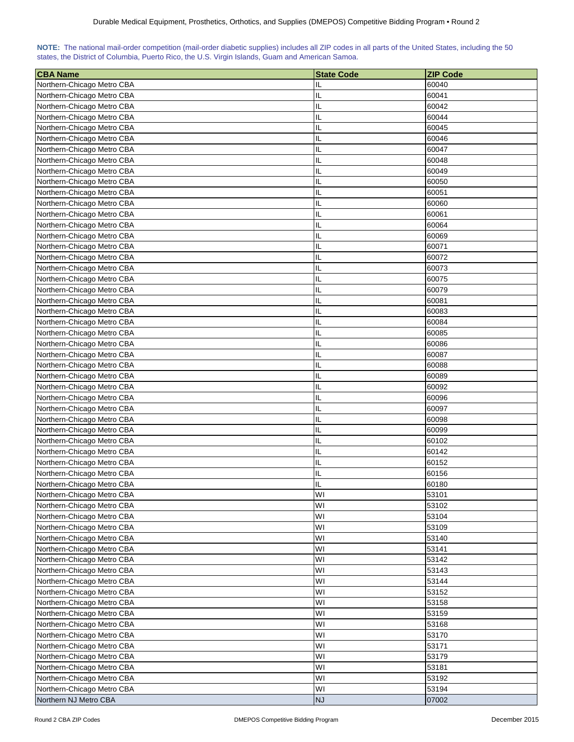| NOTE: The national mail-order competition (mail-order diabetic supplies) includes all ZIP codes in all parts of the United States, including the 50 |  |  |  |  |  |  |  |
|-----------------------------------------------------------------------------------------------------------------------------------------------------|--|--|--|--|--|--|--|
| states, the District of Columbia, Puerto Rico, the U.S. Virgin Islands, Guam and American Samoa.                                                    |  |  |  |  |  |  |  |

| <b>CBA Name</b>            | <b>State Code</b> | <b>ZIP Code</b> |
|----------------------------|-------------------|-----------------|
| Northern-Chicago Metro CBA | IL                | 60040           |
| Northern-Chicago Metro CBA | IL                | 60041           |
| Northern-Chicago Metro CBA | IL                | 60042           |
| Northern-Chicago Metro CBA | IL                | 60044           |
| Northern-Chicago Metro CBA | IL                | 60045           |
| Northern-Chicago Metro CBA | IL                | 60046           |
| Northern-Chicago Metro CBA | IL                | 60047           |
| Northern-Chicago Metro CBA | IL                | 60048           |
| Northern-Chicago Metro CBA | IL                | 60049           |
| Northern-Chicago Metro CBA | IL                | 60050           |
| Northern-Chicago Metro CBA | IL                | 60051           |
| Northern-Chicago Metro CBA | IL                | 60060           |
| Northern-Chicago Metro CBA | IL                | 60061           |
| Northern-Chicago Metro CBA | IL                | 60064           |
| Northern-Chicago Metro CBA | IL                | 60069           |
| Northern-Chicago Metro CBA | IL                | 60071           |
| Northern-Chicago Metro CBA | IL                | 60072           |
| Northern-Chicago Metro CBA | IL                | 60073           |
| Northern-Chicago Metro CBA | IL                | 60075           |
| Northern-Chicago Metro CBA | IL                | 60079           |
| Northern-Chicago Metro CBA | IL                | 60081           |
| Northern-Chicago Metro CBA | IL                | 60083           |
| Northern-Chicago Metro CBA | IL                | 60084           |
| Northern-Chicago Metro CBA | IL                | 60085           |
| Northern-Chicago Metro CBA | IL                | 60086           |
| Northern-Chicago Metro CBA | IL                | 60087           |
| Northern-Chicago Metro CBA | IL                | 60088           |
| Northern-Chicago Metro CBA | IL                | 60089           |
| Northern-Chicago Metro CBA | IL                | 60092           |
| Northern-Chicago Metro CBA | IL                | 60096           |
| Northern-Chicago Metro CBA | IL                | 60097           |
| Northern-Chicago Metro CBA | IL                | 60098           |
| Northern-Chicago Metro CBA | IL                | 60099           |
| Northern-Chicago Metro CBA | IL                | 60102           |
| Northern-Chicago Metro CBA | IL                | 60142           |
| Northern-Chicago Metro CBA | IL                | 60152           |
| Northern-Chicago Metro CBA | IL                | 60156           |
| Northern-Chicago Metro CBA | П                 | 60180           |
| Northern-Chicago Metro CBA | WI                | 53101           |
| Northern-Chicago Metro CBA | WI                | 53102           |
| Northern-Chicago Metro CBA | WI                | 53104           |
| Northern-Chicago Metro CBA | WI                | 53109           |
| Northern-Chicago Metro CBA | WI                | 53140           |
| Northern-Chicago Metro CBA | WI                | 53141           |
| Northern-Chicago Metro CBA | WI                | 53142           |
| Northern-Chicago Metro CBA | WI                | 53143           |
| Northern-Chicago Metro CBA | WI                | 53144           |
| Northern-Chicago Metro CBA | WI                | 53152           |
| Northern-Chicago Metro CBA | WI                | 53158           |
| Northern-Chicago Metro CBA | W١                | 53159           |
| Northern-Chicago Metro CBA | W١                | 53168           |
| Northern-Chicago Metro CBA | WI                | 53170           |
| Northern-Chicago Metro CBA | WI                | 53171           |
| Northern-Chicago Metro CBA | W١                | 53179           |
| Northern-Chicago Metro CBA | WI                | 53181           |
| Northern-Chicago Metro CBA | WI                | 53192           |
| Northern-Chicago Metro CBA | WI                | 53194           |
| Northern NJ Metro CBA      | <b>NJ</b>         | 07002           |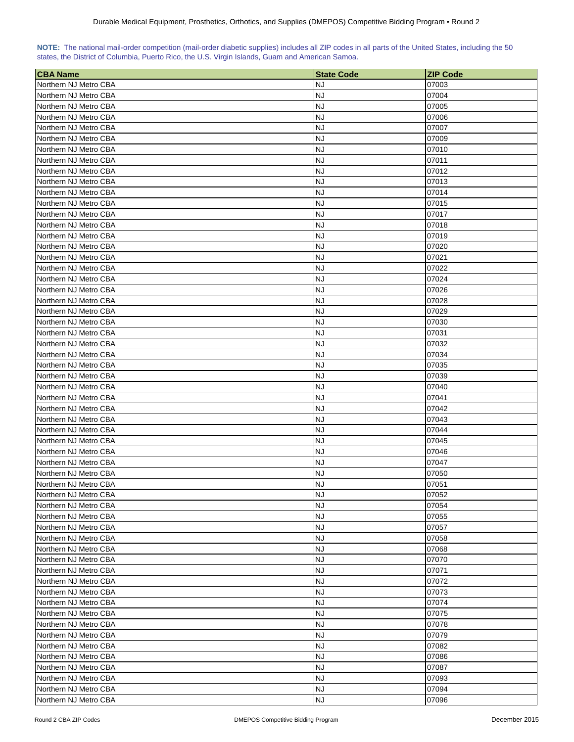| NOTE: The national mail-order competition (mail-order diabetic supplies) includes all ZIP codes in all parts of the United States, including the 50 |  |  |  |  |  |  |  |
|-----------------------------------------------------------------------------------------------------------------------------------------------------|--|--|--|--|--|--|--|
| states, the District of Columbia, Puerto Rico, the U.S. Virgin Islands, Guam and American Samoa.                                                    |  |  |  |  |  |  |  |

| <b>CBA Name</b>                                | <b>State Code</b>      | <b>ZIP Code</b> |
|------------------------------------------------|------------------------|-----------------|
| Northern NJ Metro CBA                          | NJ                     | 07003           |
| Northern NJ Metro CBA                          | <b>NJ</b>              | 07004           |
| Northern NJ Metro CBA                          | <b>NJ</b>              | 07005           |
| Northern NJ Metro CBA                          | <b>NJ</b>              | 07006           |
| Northern NJ Metro CBA                          | <b>NJ</b>              | 07007           |
| Northern NJ Metro CBA                          | <b>NJ</b>              | 07009           |
| Northern NJ Metro CBA                          | <b>NJ</b>              | 07010           |
| Northern NJ Metro CBA                          | <b>NJ</b>              | 07011           |
| Northern NJ Metro CBA                          | <b>NJ</b>              | 07012           |
| Northern NJ Metro CBA                          | <b>NJ</b>              | 07013           |
| Northern NJ Metro CBA                          | <b>NJ</b>              | 07014           |
| Northern NJ Metro CBA                          | <b>NJ</b>              | 07015           |
| Northern NJ Metro CBA                          | <b>NJ</b>              | 07017           |
| Northern NJ Metro CBA                          | <b>NJ</b>              | 07018           |
| Northern NJ Metro CBA                          | <b>NJ</b>              | 07019           |
| Northern NJ Metro CBA                          | <b>NJ</b>              | 07020           |
| Northern NJ Metro CBA                          | <b>NJ</b>              | 07021           |
| Northern NJ Metro CBA                          | <b>NJ</b>              | 07022           |
| Northern NJ Metro CBA                          | <b>NJ</b>              | 07024           |
| Northern NJ Metro CBA                          | <b>NJ</b>              | 07026           |
| Northern NJ Metro CBA                          | <b>NJ</b>              | 07028           |
| Northern NJ Metro CBA                          | <b>NJ</b>              | 07029           |
| Northern NJ Metro CBA                          | <b>NJ</b>              | 07030           |
| Northern NJ Metro CBA                          | <b>NJ</b>              | 07031           |
| Northern NJ Metro CBA                          | <b>NJ</b>              | 07032           |
| Northern NJ Metro CBA                          | <b>NJ</b>              | 07034           |
|                                                | <b>NJ</b>              |                 |
| Northern NJ Metro CBA                          | <b>NJ</b>              | 07035           |
| Northern NJ Metro CBA                          | <b>NJ</b>              | 07039           |
| Northern NJ Metro CBA                          | <b>NJ</b>              | 07040<br>07041  |
| Northern NJ Metro CBA<br>Northern NJ Metro CBA | <b>NJ</b>              | 07042           |
| Northern NJ Metro CBA                          | <b>NJ</b>              | 07043           |
| Northern NJ Metro CBA                          | <b>NJ</b>              | 07044           |
| Northern NJ Metro CBA                          | <b>NJ</b>              | 07045           |
| Northern NJ Metro CBA                          | <b>NJ</b>              | 07046           |
| Northern NJ Metro CBA                          | <b>NJ</b>              | 07047           |
| Northern NJ Metro CBA                          | <b>NJ</b>              | 07050           |
| Northern NJ Metro CBA                          | <b>NJ</b>              | 07051           |
| Northern NJ Metro CBA                          | <b>NJ</b>              | 07052           |
| Northern NJ Metro CBA                          | <b>NJ</b>              | 07054           |
| Northern NJ Metro CBA                          | <b>NJ</b>              | 07055           |
| Northern NJ Metro CBA                          | <b>NJ</b>              | 07057           |
| Northern NJ Metro CBA                          | <b>NJ</b>              | 07058           |
| Northern NJ Metro CBA                          | <b>NJ</b>              | 07068           |
|                                                | <b>NJ</b>              |                 |
| Northern NJ Metro CBA                          | <b>NJ</b>              | 07070           |
| Northern NJ Metro CBA<br>Northern NJ Metro CBA | <b>NJ</b>              | 07071<br>07072  |
| Northern NJ Metro CBA                          | <b>NJ</b>              | 07073           |
| Northern NJ Metro CBA                          | <b>NJ</b>              |                 |
|                                                |                        | 07074           |
| Northern NJ Metro CBA                          | <b>NJ</b>              | 07075           |
| Northern NJ Metro CBA<br>Northern NJ Metro CBA | <b>NJ</b><br><b>NJ</b> | 07078<br>07079  |
|                                                |                        |                 |
| Northern NJ Metro CBA                          | <b>NJ</b>              | 07082           |
| Northern NJ Metro CBA                          | <b>NJ</b>              | 07086           |
| Northern NJ Metro CBA                          | <b>NJ</b>              | 07087           |
| Northern NJ Metro CBA                          | <b>NJ</b>              | 07093           |
| Northern NJ Metro CBA                          | <b>NJ</b>              | 07094           |
| Northern NJ Metro CBA                          | <b>NJ</b>              | 07096           |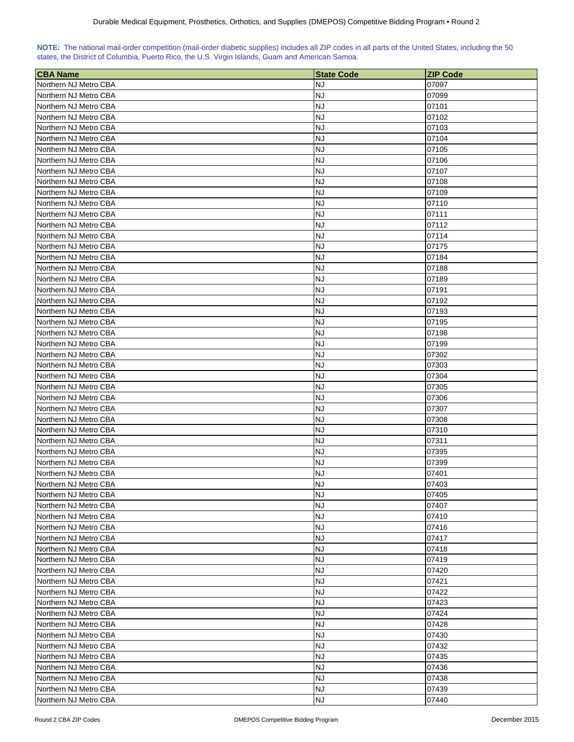| NOTE: The national mail-order competition (mail-order diabetic supplies) includes all ZIP codes in all parts of the United States, including the 50 |  |  |  |  |  |  |  |
|-----------------------------------------------------------------------------------------------------------------------------------------------------|--|--|--|--|--|--|--|
| states, the District of Columbia, Puerto Rico, the U.S. Virgin Islands, Guam and American Samoa.                                                    |  |  |  |  |  |  |  |

| <b>CBA Name</b>       | <b>State Code</b> | <b>ZIP Code</b> |
|-----------------------|-------------------|-----------------|
| Northern NJ Metro CBA | NJ                | 07097           |
| Northern NJ Metro CBA | NJ                | 07099           |
| Northern NJ Metro CBA | NJ                | 07101           |
| Northern NJ Metro CBA | <b>NJ</b>         | 07102           |
| Northern NJ Metro CBA | <b>NJ</b>         | 07103           |
| Northern NJ Metro CBA | NJ                | 07104           |
| Northern NJ Metro CBA | NJ                | 07105           |
| Northern NJ Metro CBA | NJ                | 07106           |
| Northern NJ Metro CBA | <b>NJ</b>         | 07107           |
| Northern NJ Metro CBA | <b>NJ</b>         | 07108           |
| Northern NJ Metro CBA | <b>NJ</b>         | 07109           |
| Northern NJ Metro CBA | NJ                | 07110           |
| Northern NJ Metro CBA | NJ                | 07111           |
| Northern NJ Metro CBA | NJ                | 07112           |
| Northern NJ Metro CBA | NJ                | 07114           |
| Northern NJ Metro CBA | <b>NJ</b>         | 07175           |
| Northern NJ Metro CBA | <b>NJ</b>         | 07184           |
| Northern NJ Metro CBA | NJ                | 07188           |
| Northern NJ Metro CBA | NJ                | 07189           |
| Northern NJ Metro CBA | NJ                | 07191           |
| Northern NJ Metro CBA | <b>NJ</b>         | 07192           |
|                       |                   |                 |
| Northern NJ Metro CBA | <b>NJ</b>         | 07193           |
| Northern NJ Metro CBA | <b>NJ</b>         | 07195           |
| Northern NJ Metro CBA | <b>NJ</b>         | 07198           |
| Northern NJ Metro CBA | <b>NJ</b>         | 07199           |
| Northern NJ Metro CBA | <b>NJ</b>         | 07302           |
| Northern NJ Metro CBA | <b>NJ</b>         | 07303           |
| Northern NJ Metro CBA | <b>NJ</b>         | 07304           |
| Northern NJ Metro CBA | <b>NJ</b>         | 07305           |
| Northern NJ Metro CBA | NJ                | 07306           |
| Northern NJ Metro CBA | <b>NJ</b>         | 07307           |
| Northern NJ Metro CBA | <b>NJ</b>         | 07308           |
| Northern NJ Metro CBA | <b>NJ</b>         | 07310           |
| Northern NJ Metro CBA | NJ                | 07311           |
| Northern NJ Metro CBA | <b>NJ</b>         | 07395           |
| Northern NJ Metro CBA | <b>NJ</b>         | 07399           |
| Northern NJ Metro CBA | <b>NJ</b>         | 07401           |
| Northern NJ Metro CBA | <b>NJ</b>         | 07403           |
| Northern NJ Metro CBA | <b>NJ</b>         | 07405           |
| Northern NJ Metro CBA | <b>NJ</b>         | 07407           |
| Northern NJ Metro CBA | <b>NJ</b>         | 07410           |
| Northern NJ Metro CBA | <b>NJ</b>         | 07416           |
| Northern NJ Metro CBA | <b>NJ</b>         | 07417           |
| Northern NJ Metro CBA | <b>NJ</b>         | 07418           |
| Northern NJ Metro CBA | <b>NJ</b>         | 07419           |
| Northern NJ Metro CBA | <b>NJ</b>         | 07420           |
| Northern NJ Metro CBA | NJ                | 07421           |
| Northern NJ Metro CBA | <b>NJ</b>         | 07422           |
| Northern NJ Metro CBA | <b>NJ</b>         | 07423           |
| Northern NJ Metro CBA | NJ                | 07424           |
| Northern NJ Metro CBA | NJ                | 07428           |
| Northern NJ Metro CBA | <b>NJ</b>         | 07430           |
| Northern NJ Metro CBA | <b>NJ</b>         | 07432           |
| Northern NJ Metro CBA | <b>NJ</b>         | 07435           |
| Northern NJ Metro CBA | NJ                | 07436           |
| Northern NJ Metro CBA | <b>NJ</b>         | 07438           |
| Northern NJ Metro CBA | NJ                | 07439           |
| Northern NJ Metro CBA | <b>NJ</b>         | 07440           |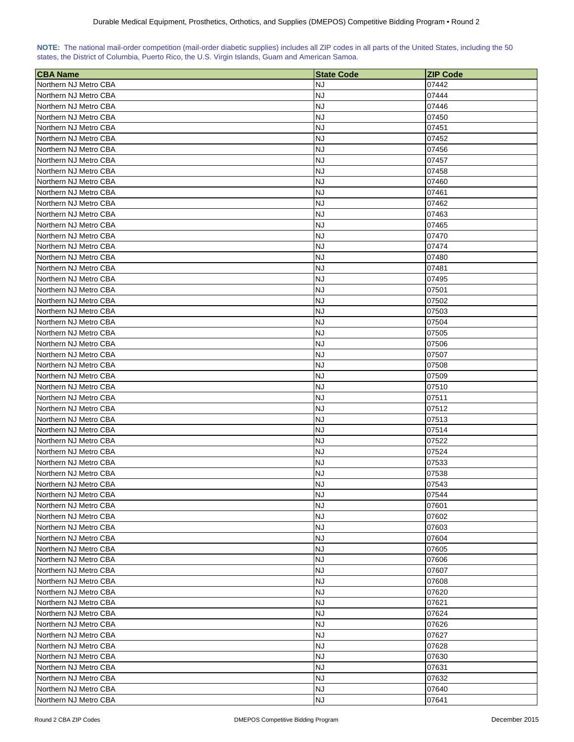|  | NOTE: The national mail-order competition (mail-order diabetic supplies) includes all ZIP codes in all parts of the United States, including the 50 |  |  |  |  |
|--|-----------------------------------------------------------------------------------------------------------------------------------------------------|--|--|--|--|
|  | states, the District of Columbia, Puerto Rico, the U.S. Virgin Islands, Guam and American Samoa.                                                    |  |  |  |  |

| <b>CBA Name</b>       | <b>State Code</b> | <b>ZIP Code</b> |
|-----------------------|-------------------|-----------------|
| Northern NJ Metro CBA | NJ                | 07442           |
| Northern NJ Metro CBA | NJ                | 07444           |
| Northern NJ Metro CBA | <b>NJ</b>         | 07446           |
| Northern NJ Metro CBA | <b>NJ</b>         | 07450           |
| Northern NJ Metro CBA | NJ                | 07451           |
| Northern NJ Metro CBA | NJ                | 07452           |
| Northern NJ Metro CBA | NJ                | 07456           |
| Northern NJ Metro CBA | <b>NJ</b>         | 07457           |
| Northern NJ Metro CBA | <b>NJ</b>         | 07458           |
| Northern NJ Metro CBA | NJ                | 07460           |
| Northern NJ Metro CBA | NJ                | 07461           |
| Northern NJ Metro CBA | NJ                | 07462           |
| Northern NJ Metro CBA | NJ                | 07463           |
| Northern NJ Metro CBA | <b>NJ</b>         | 07465           |
| Northern NJ Metro CBA | <b>NJ</b>         | 07470           |
| Northern NJ Metro CBA | <b>NJ</b>         | 07474           |
| Northern NJ Metro CBA | <b>NJ</b>         | 07480           |
| Northern NJ Metro CBA | <b>NJ</b>         | 07481           |
| Northern NJ Metro CBA | NJ                | 07495           |
| Northern NJ Metro CBA | NJ                | 07501           |
| Northern NJ Metro CBA | <b>NJ</b>         | 07502           |
| Northern NJ Metro CBA | NJ                | 07503           |
| Northern NJ Metro CBA | <b>NJ</b>         | 07504           |
| Northern NJ Metro CBA | <b>NJ</b>         | 07505           |
| Northern NJ Metro CBA | NJ                | 07506           |
| Northern NJ Metro CBA | NJ                | 07507           |
| Northern NJ Metro CBA | <b>NJ</b>         | 07508           |
| Northern NJ Metro CBA | <b>NJ</b>         | 07509           |
| Northern NJ Metro CBA | NJ                | 07510           |
| Northern NJ Metro CBA | <b>NJ</b>         | 07511           |
| Northern NJ Metro CBA | NJ                | 07512           |
| Northern NJ Metro CBA | NJ                | 07513           |
| Northern NJ Metro CBA | <b>NJ</b>         | 07514           |
| Northern NJ Metro CBA | <b>NJ</b>         | 07522           |
| Northern NJ Metro CBA | <b>NJ</b>         | 07524           |
| Northern NJ Metro CBA | NJ                | 07533           |
| Northern NJ Metro CBA | NJ                | 07538           |
| Northern NJ Metro CBA | <b>NJ</b>         | 07543           |
| Northern NJ Metro CBA | <b>NJ</b>         | 07544           |
| Northern NJ Metro CBA | <b>NJ</b>         | 07601           |
| Northern NJ Metro CBA | <b>NJ</b>         | 07602           |
| Northern NJ Metro CBA | <b>NJ</b>         | 07603           |
| Northern NJ Metro CBA | <b>NJ</b>         | 07604           |
| Northern NJ Metro CBA | <b>NJ</b>         | 07605           |
| Northern NJ Metro CBA | NJ                | 07606           |
| Northern NJ Metro CBA | <b>NJ</b>         | 07607           |
| Northern NJ Metro CBA | <b>NJ</b>         | 07608           |
| Northern NJ Metro CBA | <b>NJ</b>         | 07620           |
| Northern NJ Metro CBA | <b>NJ</b>         | 07621           |
| Northern NJ Metro CBA | NJ                | 07624           |
| Northern NJ Metro CBA | NJ                | 07626           |
| Northern NJ Metro CBA | <b>NJ</b>         | 07627           |
| Northern NJ Metro CBA | <b>NJ</b>         | 07628           |
| Northern NJ Metro CBA | NJ                | 07630           |
| Northern NJ Metro CBA | <b>NJ</b>         | 07631           |
| Northern NJ Metro CBA | <b>NJ</b>         | 07632           |
| Northern NJ Metro CBA | <b>NJ</b>         | 07640           |
| Northern NJ Metro CBA | <b>NJ</b>         | 07641           |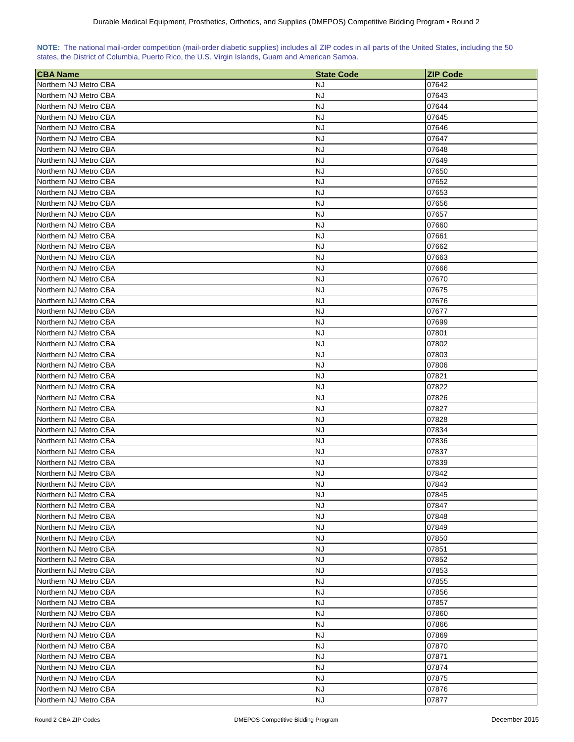|  | NOTE: The national mail-order competition (mail-order diabetic supplies) includes all ZIP codes in all parts of the United States, including the 50 |  |  |  |  |
|--|-----------------------------------------------------------------------------------------------------------------------------------------------------|--|--|--|--|
|  | states, the District of Columbia, Puerto Rico, the U.S. Virgin Islands, Guam and American Samoa.                                                    |  |  |  |  |

| <b>CBA Name</b>                                | <b>State Code</b> | <b>ZIP Code</b> |
|------------------------------------------------|-------------------|-----------------|
| Northern NJ Metro CBA                          | NJ                | 07642           |
| Northern NJ Metro CBA                          | NJ                | 07643           |
| Northern NJ Metro CBA                          | <b>NJ</b>         | 07644           |
| Northern NJ Metro CBA                          | <b>NJ</b>         | 07645           |
| Northern NJ Metro CBA                          | NJ                | 07646           |
| Northern NJ Metro CBA                          | NJ                | 07647           |
| Northern NJ Metro CBA                          | NJ                | 07648           |
| Northern NJ Metro CBA                          | NJ                | 07649           |
| Northern NJ Metro CBA                          | <b>NJ</b>         | 07650           |
| Northern NJ Metro CBA                          | <b>NJ</b>         | 07652           |
| Northern NJ Metro CBA                          | NJ                | 07653           |
| Northern NJ Metro CBA                          | <b>NJ</b>         | 07656           |
| Northern NJ Metro CBA                          | NJ                | 07657           |
| Northern NJ Metro CBA                          | NJ                | 07660           |
| Northern NJ Metro CBA                          | <b>NJ</b>         | 07661           |
| Northern NJ Metro CBA                          | <b>NJ</b>         | 07662           |
| Northern NJ Metro CBA                          | <b>NJ</b>         | 07663           |
| Northern NJ Metro CBA                          | NJ                | 07666           |
| Northern NJ Metro CBA                          | NJ                | 07670           |
| Northern NJ Metro CBA                          | NJ                | 07675           |
| Northern NJ Metro CBA                          | NJ                | 07676           |
| Northern NJ Metro CBA                          | <b>NJ</b>         | 07677           |
| Northern NJ Metro CBA                          | <b>NJ</b>         | 07699           |
| Northern NJ Metro CBA                          | <b>NJ</b>         | 07801           |
| Northern NJ Metro CBA                          | <b>NJ</b>         | 07802           |
| Northern NJ Metro CBA                          | <b>NJ</b>         | 07803           |
| Northern NJ Metro CBA                          | <b>NJ</b>         | 07806           |
| Northern NJ Metro CBA                          | <b>NJ</b>         | 07821           |
| Northern NJ Metro CBA                          | NJ                | 07822           |
| Northern NJ Metro CBA                          | <b>NJ</b>         | 07826           |
| Northern NJ Metro CBA                          | NJ                | 07827           |
| Northern NJ Metro CBA                          | NJ                | 07828           |
| Northern NJ Metro CBA                          | NJ                | 07834           |
| Northern NJ Metro CBA                          | <b>NJ</b>         | 07836           |
| Northern NJ Metro CBA                          | <b>NJ</b>         | 07837           |
| Northern NJ Metro CBA                          | NJ                | 07839           |
| Northern NJ Metro CBA                          | <b>NJ</b>         | 07842           |
| Northern NJ Metro CBA                          | <b>NJ</b>         | 07843           |
| Northern NJ Metro CBA                          | <b>NJ</b>         | 07845           |
| Northern NJ Metro CBA                          | <b>NJ</b>         | 07847           |
| Northern NJ Metro CBA                          | <b>NJ</b>         | 07848           |
| Northern NJ Metro CBA                          | <b>NJ</b>         | 07849           |
| Northern NJ Metro CBA                          | <b>NJ</b>         | 07850           |
| Northern NJ Metro CBA                          | <b>NJ</b>         | 07851           |
| Northern NJ Metro CBA                          | <b>NJ</b>         | 07852           |
|                                                | <b>NJ</b>         |                 |
| Northern NJ Metro CBA<br>Northern NJ Metro CBA | <b>NJ</b>         | 07853<br>07855  |
| Northern NJ Metro CBA                          | <b>NJ</b>         | 07856           |
|                                                |                   |                 |
| Northern NJ Metro CBA                          | <b>NJ</b>         | 07857           |
| Northern NJ Metro CBA                          | NJ                | 07860           |
| Northern NJ Metro CBA                          | NJ<br><b>NJ</b>   | 07866           |
| Northern NJ Metro CBA                          |                   | 07869           |
| Northern NJ Metro CBA                          | <b>NJ</b>         | 07870           |
| Northern NJ Metro CBA                          | <b>NJ</b>         | 07871           |
| Northern NJ Metro CBA                          | NJ                | 07874           |
| Northern NJ Metro CBA                          | NJ                | 07875           |
| Northern NJ Metro CBA                          | NJ                | 07876           |
| Northern NJ Metro CBA                          | NJ                | 07877           |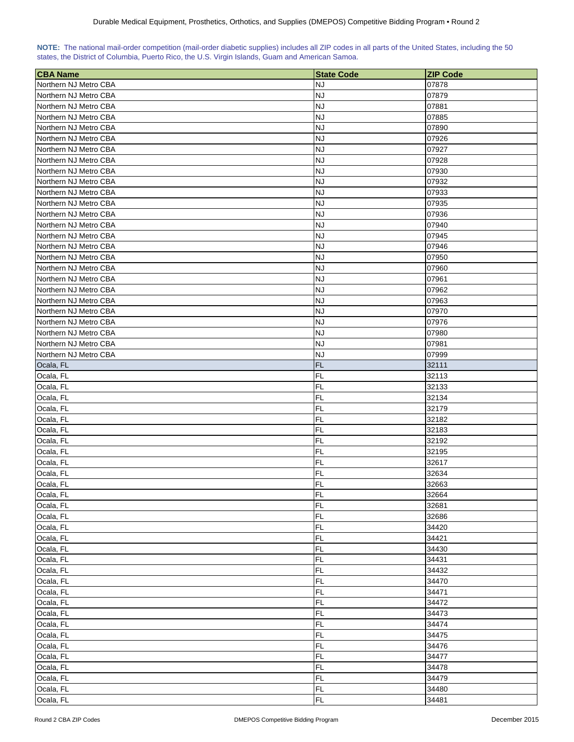|  | NOTE: The national mail-order competition (mail-order diabetic supplies) includes all ZIP codes in all parts of the United States, including the 50 |  |  |  |  |
|--|-----------------------------------------------------------------------------------------------------------------------------------------------------|--|--|--|--|
|  | states, the District of Columbia, Puerto Rico, the U.S. Virgin Islands, Guam and American Samoa.                                                    |  |  |  |  |

| <b>CBA Name</b>       | <b>State Code</b> | <b>ZIP Code</b> |
|-----------------------|-------------------|-----------------|
| Northern NJ Metro CBA | <b>NJ</b>         | 07878           |
| Northern NJ Metro CBA | <b>NJ</b>         | 07879           |
| Northern NJ Metro CBA | <b>NJ</b>         | 07881           |
| Northern NJ Metro CBA | <b>NJ</b>         | 07885           |
| Northern NJ Metro CBA | <b>NJ</b>         | 07890           |
| Northern NJ Metro CBA | <b>NJ</b>         | 07926           |
| Northern NJ Metro CBA | <b>NJ</b>         | 07927           |
| Northern NJ Metro CBA | <b>NJ</b>         | 07928           |
| Northern NJ Metro CBA | <b>NJ</b>         | 07930           |
| Northern NJ Metro CBA | <b>NJ</b>         | 07932           |
| Northern NJ Metro CBA | <b>NJ</b>         | 07933           |
| Northern NJ Metro CBA | <b>NJ</b>         | 07935           |
| Northern NJ Metro CBA | <b>NJ</b>         | 07936           |
| Northern NJ Metro CBA | <b>NJ</b>         | 07940           |
| Northern NJ Metro CBA | <b>NJ</b>         | 07945           |
| Northern NJ Metro CBA | <b>NJ</b>         | 07946           |
| Northern NJ Metro CBA | <b>NJ</b>         | 07950           |
| Northern NJ Metro CBA | <b>NJ</b>         | 07960           |
| Northern NJ Metro CBA | <b>NJ</b>         | 07961           |
| Northern NJ Metro CBA | <b>NJ</b>         | 07962           |
| Northern NJ Metro CBA | <b>NJ</b>         | 07963           |
| Northern NJ Metro CBA | <b>NJ</b>         | 07970           |
| Northern NJ Metro CBA | <b>NJ</b>         | 07976           |
| Northern NJ Metro CBA | <b>NJ</b>         | 07980           |
| Northern NJ Metro CBA | <b>NJ</b>         | 07981           |
| Northern NJ Metro CBA | <b>NJ</b>         | 07999           |
| Ocala, FL             | <b>FL</b>         | 32111           |
| Ocala, FL             | <b>FL</b>         | 32113           |
| Ocala, FL             | <b>FL</b>         | 32133           |
| Ocala, FL             | <b>FL</b>         | 32134           |
| Ocala, FL             | FL                | 32179           |
| Ocala, FL             | <b>FL</b>         | 32182           |
| Ocala, FL             | <b>FL</b>         | 32183           |
| Ocala, FL             | FL                | 32192           |
| Ocala, FL             | <b>FL</b>         | 32195           |
| Ocala, FL             | <b>FL</b>         | 32617           |
| Ocala, FL             | FL                | 32634           |
| Ocala, FL             | FL                | 32663           |
| Ocala, FL             | FL                | 32664           |
| Ocala, FL             | FL                | 32681           |
| Ocala, FL             | FL                | 32686           |
| Ocala, FL             | FL                | 34420           |
| Ocala, FL             | FL                | 34421           |
| Ocala, FL             | FL                | 34430           |
| Ocala, FL             | FL                | 34431           |
| Ocala, FL             | FL                | 34432           |
| Ocala, FL             | FL                | 34470           |
| Ocala, FL             | FL                | 34471           |
| Ocala, FL             | FL                | 34472           |
| Ocala, FL             | FL                | 34473           |
| Ocala, FL             | <b>FL</b>         | 34474           |
| Ocala, FL             | FL                | 34475           |
| Ocala, FL             | FL                | 34476           |
| Ocala, FL             | FL                | 34477           |
| Ocala, FL             | FL                | 34478           |
| Ocala, FL             | FL                | 34479           |
| Ocala, FL             | <b>FL</b>         | 34480           |
| Ocala, FL             | FL                | 34481           |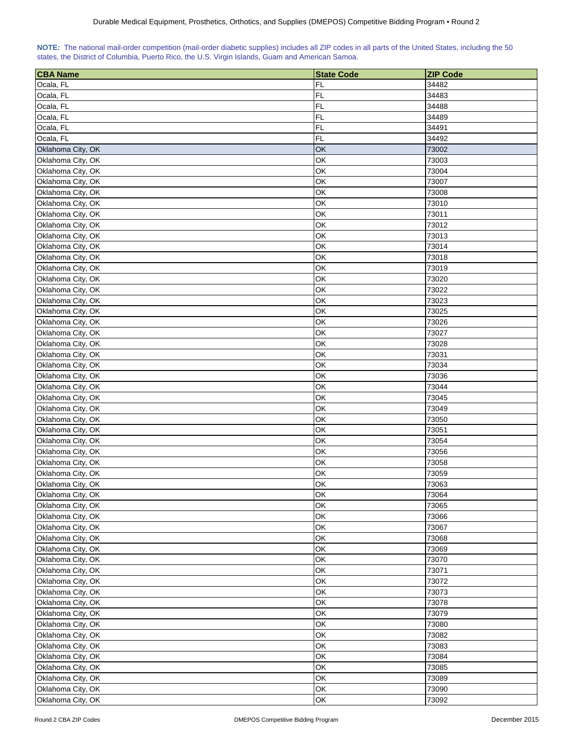| NOTE: The national mail-order competition (mail-order diabetic supplies) includes all ZIP codes in all parts of the United States, including the 50 |  |  |  |  |  |  |  |
|-----------------------------------------------------------------------------------------------------------------------------------------------------|--|--|--|--|--|--|--|
| states, the District of Columbia, Puerto Rico, the U.S. Virgin Islands, Guam and American Samoa.                                                    |  |  |  |  |  |  |  |

| <b>CBA Name</b>   | <b>State Code</b> | <b>ZIP Code</b> |
|-------------------|-------------------|-----------------|
| Ocala, FL         | FL                | 34482           |
| Ocala, FL         | <b>FL</b>         | 34483           |
| Ocala, FL         | <b>FL</b>         | 34488           |
| Ocala, FL         | FL                | 34489           |
| Ocala, FL         | <b>FL</b>         | 34491           |
| Ocala, FL         | <b>FL</b>         | 34492           |
| Oklahoma City, OK | OK                | 73002           |
| Oklahoma City, OK | OK                | 73003           |
| Oklahoma City, OK | ОΚ                | 73004           |
| Oklahoma City, OK | OK                | 73007           |
| Oklahoma City, OK | ОΚ                | 73008           |
| Oklahoma City, OK | OK                | 73010           |
| Oklahoma City, OK | OK                | 73011           |
| Oklahoma City, OK | ОΚ                | 73012           |
| Oklahoma City, OK | OK                | 73013           |
|                   | ОК                | 73014           |
| Oklahoma City, OK | ОК                |                 |
| Oklahoma City, OK |                   | 73018<br>73019  |
| Oklahoma City, OK | OK                |                 |
| Oklahoma City, OK | OK                | 73020           |
| Oklahoma City, OK | OK                | 73022           |
| Oklahoma City, OK | OK                | 73023           |
| Oklahoma City, OK | OK                | 73025           |
| Oklahoma City, OK | OK                | 73026           |
| Oklahoma City, OK | OK                | 73027           |
| Oklahoma City, OK | OK                | 73028           |
| Oklahoma City, OK | OK                | 73031           |
| Oklahoma City, OK | ОΚ                | 73034           |
| Oklahoma City, OK | ОΚ                | 73036           |
| Oklahoma City, OK | ОΚ                | 73044           |
| Oklahoma City, OK | OK                | 73045           |
| Oklahoma City, OK | OK                | 73049           |
| Oklahoma City, OK | OK                | 73050           |
| Oklahoma City, OK | OK                | 73051           |
| Oklahoma City, OK | OK                | 73054           |
| Oklahoma City, OK | OK                | 73056           |
| Oklahoma City, OK | OK                | 73058           |
| Oklahoma City, OK | OK                | 73059           |
| Oklahoma City, OK | OK                | 73063           |
| Oklahoma City, OK | OK                | 73064           |
| Oklahoma City, OK | OK                | 73065           |
| Oklahoma City, OK | OK                | 73066           |
| Oklahoma City, OK | OK                | 73067           |
| Oklahoma City, OK | OK                | 73068           |
| Oklahoma City, OK | OK                | 73069           |
| Oklahoma City, OK | OK                | 73070           |
| Oklahoma City, OK | OK                | 73071           |
| Oklahoma City, OK | OK                | 73072           |
| Oklahoma City, OK | OK                | 73073           |
| Oklahoma City, OK | OK                | 73078           |
| Oklahoma City, OK | OK                | 73079           |
| Oklahoma City, OK | OK                | 73080           |
| Oklahoma City, OK | OK                | 73082           |
| Oklahoma City, OK | OK                | 73083           |
| Oklahoma City, OK | OK                | 73084           |
| Oklahoma City, OK | ОК                | 73085           |
| Oklahoma City, OK | OK                | 73089           |
| Oklahoma City, OK | OK                | 73090           |
| Oklahoma City, OK | OK                | 73092           |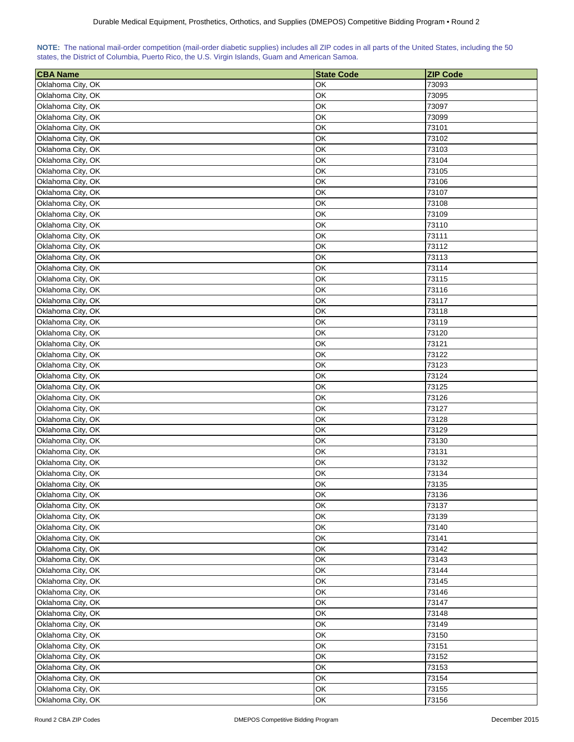|  | NOTE: The national mail-order competition (mail-order diabetic supplies) includes all ZIP codes in all parts of the United States, including the 50 |  |  |  |  |
|--|-----------------------------------------------------------------------------------------------------------------------------------------------------|--|--|--|--|
|  | states, the District of Columbia, Puerto Rico, the U.S. Virgin Islands, Guam and American Samoa.                                                    |  |  |  |  |

| <b>CBA Name</b>   | <b>State Code</b> | <b>ZIP Code</b> |
|-------------------|-------------------|-----------------|
| Oklahoma City, OK | ОΚ                | 73093           |
| Oklahoma City, OK | OK                | 73095           |
| Oklahoma City, OK | OK                | 73097           |
| Oklahoma City, OK | OK                | 73099           |
| Oklahoma City, OK | OK                | 73101           |
| Oklahoma City, OK | OK                | 73102           |
| Oklahoma City, OK | OK                | 73103           |
| Oklahoma City, OK | ОК                | 73104           |
| Oklahoma City, OK | OK                | 73105           |
| Oklahoma City, OK | OK                | 73106           |
| Oklahoma City, OK | OK                | 73107           |
| Oklahoma City, OK | OK                | 73108           |
| Oklahoma City, OK | OK                | 73109           |
| Oklahoma City, OK | OK                | 73110           |
| Oklahoma City, OK | OK                | 73111           |
| Oklahoma City, OK | OK                | 73112           |
| Oklahoma City, OK | ОΚ                | 73113           |
| Oklahoma City, OK | OK                | 73114           |
| Oklahoma City, OK | OK                | 73115           |
| Oklahoma City, OK | ОΚ                | 73116           |
| Oklahoma City, OK | OK                | 73117           |
|                   |                   |                 |
| Oklahoma City, OK | OK                | 73118           |
| Oklahoma City, OK | OK<br>OK          | 73119           |
| Oklahoma City, OK |                   | 73120           |
| Oklahoma City, OK | OK                | 73121           |
| Oklahoma City, OK | OK                | 73122           |
| Oklahoma City, OK | OK                | 73123           |
| Oklahoma City, OK | OK                | 73124           |
| Oklahoma City, OK | ОΚ                | 73125           |
| Oklahoma City, OK | OK                | 73126           |
| Oklahoma City, OK | ОΚ                | 73127           |
| Oklahoma City, OK | OK                | 73128           |
| Oklahoma City, OK | OK                | 73129           |
| Oklahoma City, OK | OK<br>OK          | 73130           |
| Oklahoma City, OK | OK                | 73131           |
| Oklahoma City, OK |                   | 73132           |
| Oklahoma City, OK | OK                | 73134           |
| Oklahoma City, OK | OK                | 73135<br>73136  |
| Oklahoma City, OK | OK                |                 |
| Oklahoma City, OK | OK                | 73137           |
| Oklahoma City, OK | OK                | 73139           |
| Oklahoma City, OK | OK                | 73140           |
| Oklahoma City, OK | OK                | 73141           |
| Oklahoma City, OK | OK                | 73142           |
| Oklahoma City, OK | OK                | 73143           |
| Oklahoma City, OK | OK                | 73144           |
| Oklahoma City, OK | OK                | 73145           |
| Oklahoma City, OK | OK                | 73146           |
| Oklahoma City, OK | OK                | 73147           |
| Oklahoma City, OK | OK                | 73148           |
| Oklahoma City, OK | OK                | 73149           |
| Oklahoma City, OK | OK                | 73150           |
| Oklahoma City, OK | OK                | 73151           |
| Oklahoma City, OK | ОК                | 73152           |
| Oklahoma City, OK | OK                | 73153           |
| Oklahoma City, OK | OK                | 73154           |
| Oklahoma City, OK | OK                | 73155           |
| Oklahoma City, OK | OK                | 73156           |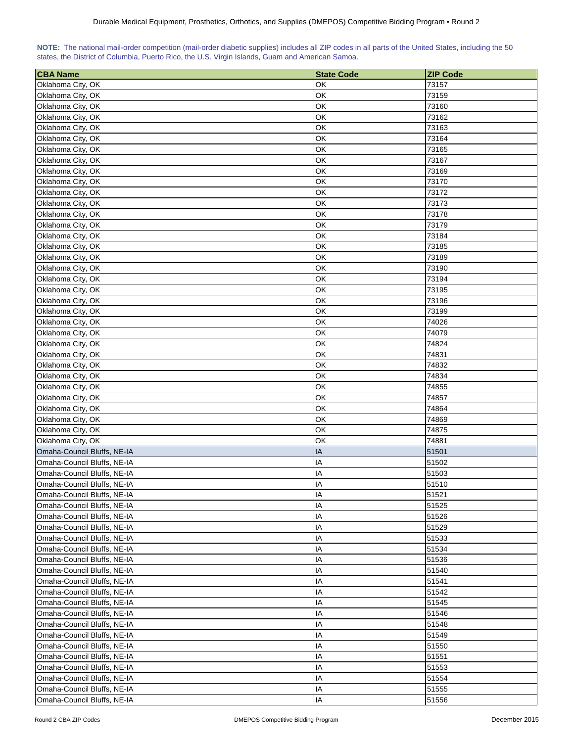| NOTE: The national mail-order competition (mail-order diabetic supplies) includes all ZIP codes in all parts of the United States, including the 50 |  |  |  |  |  |  |
|-----------------------------------------------------------------------------------------------------------------------------------------------------|--|--|--|--|--|--|
| states, the District of Columbia, Puerto Rico, the U.S. Virgin Islands, Guam and American Samoa.                                                    |  |  |  |  |  |  |

| <b>CBA Name</b>             | <b>State Code</b> | <b>ZIP Code</b> |
|-----------------------------|-------------------|-----------------|
| Oklahoma City, OK           | ОΚ                | 73157           |
| Oklahoma City, OK           | OK                | 73159           |
| Oklahoma City, OK           | OK                | 73160           |
| Oklahoma City, OK           | OK                | 73162           |
| Oklahoma City, OK           | OK                | 73163           |
| Oklahoma City, OK           | OK                | 73164           |
| Oklahoma City, OK           | OK                | 73165           |
| Oklahoma City, OK           | ОΚ                | 73167           |
| Oklahoma City, OK           | OK                | 73169           |
| Oklahoma City, OK           | OK                | 73170           |
| Oklahoma City, OK           | OK                | 73172           |
| Oklahoma City, OK           | OK                | 73173           |
| Oklahoma City, OK           | OK                | 73178           |
| Oklahoma City, OK           | OK                | 73179           |
| Oklahoma City, OK           | OK                | 73184           |
| Oklahoma City, OK           | OK                | 73185           |
| Oklahoma City, OK           | ОΚ                | 73189           |
| Oklahoma City, OK           | ОΚ                | 73190           |
| Oklahoma City, OK           | ОK                | 73194           |
| Oklahoma City, OK           | ОΚ                | 73195           |
| Oklahoma City, OK           | OK                | 73196           |
| Oklahoma City, OK           | OK                | 73199           |
|                             | OK                | 74026           |
| Oklahoma City, OK           | OK                | 74079           |
| Oklahoma City, OK           | OK                | 74824           |
| Oklahoma City, OK           | OK                |                 |
| Oklahoma City, OK           |                   | 74831           |
| Oklahoma City, OK           | OK                | 74832           |
| Oklahoma City, OK           | OK                | 74834           |
| Oklahoma City, OK           | ОΚ                | 74855           |
| Oklahoma City, OK           | ОΚ                | 74857           |
| Oklahoma City, OK           | ОΚ                | 74864           |
| Oklahoma City, OK           | OK                | 74869           |
| Oklahoma City, OK           | OK                | 74875           |
| Oklahoma City, OK           | OK                | 74881           |
| Omaha-Council Bluffs, NE-IA | IA                | 51501           |
| Omaha-Council Bluffs, NE-IA | IA                | 51502           |
| Omaha-Council Bluffs, NE-IA | IA                | 51503           |
| Omaha-Council Bluffs, NE-IA | IA                | 51510           |
| Omaha-Council Bluffs, NE-IA | IA                | 51521           |
| Omaha-Council Bluffs, NE-IA | IA                | 51525           |
| Omaha-Council Bluffs, NE-IA | IA                | 51526           |
| Omaha-Council Bluffs, NE-IA | ΙA                | 51529           |
| Omaha-Council Bluffs, NE-IA | ΙA                | 51533           |
| Omaha-Council Bluffs, NE-IA | ΙA                | 51534           |
| Omaha-Council Bluffs, NE-IA | ΙA                | 51536           |
| Omaha-Council Bluffs, NE-IA | IA                | 51540           |
| Omaha-Council Bluffs, NE-IA | IA                | 51541           |
| Omaha-Council Bluffs, NE-IA | IA                | 51542           |
| Omaha-Council Bluffs, NE-IA | IA                | 51545           |
| Omaha-Council Bluffs, NE-IA | ΙA                | 51546           |
| Omaha-Council Bluffs, NE-IA | IA                | 51548           |
| Omaha-Council Bluffs, NE-IA | IA                | 51549           |
| Omaha-Council Bluffs, NE-IA | IA                | 51550           |
| Omaha-Council Bluffs, NE-IA | IA                | 51551           |
| Omaha-Council Bluffs, NE-IA | IA                | 51553           |
| Omaha-Council Bluffs, NE-IA | IA                | 51554           |
| Omaha-Council Bluffs, NE-IA | IA                | 51555           |
| Omaha-Council Bluffs, NE-IA | IA                | 51556           |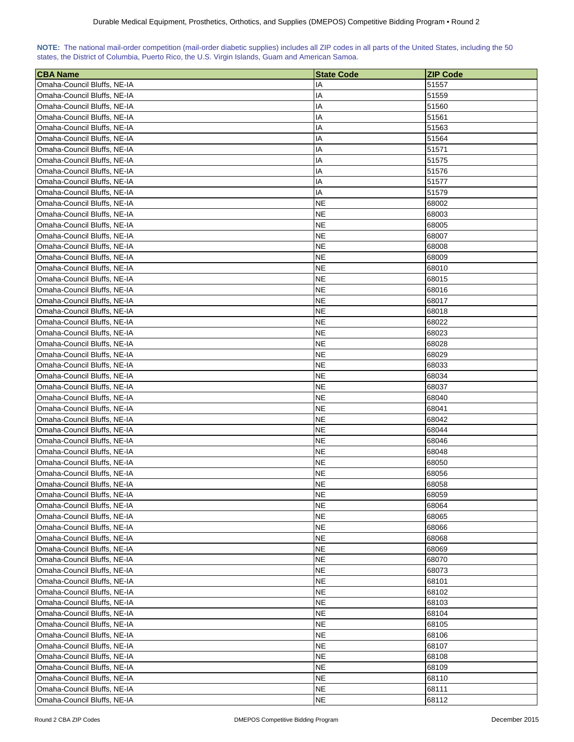| NOTE: The national mail-order competition (mail-order diabetic supplies) includes all ZIP codes in all parts of the United States, including the 50 |  |  |  |  |  |  |  |
|-----------------------------------------------------------------------------------------------------------------------------------------------------|--|--|--|--|--|--|--|
| states, the District of Columbia, Puerto Rico, the U.S. Virgin Islands, Guam and American Samoa.                                                    |  |  |  |  |  |  |  |

| <b>CBA Name</b>             | <b>State Code</b>      | <b>ZIP Code</b> |
|-----------------------------|------------------------|-----------------|
| Omaha-Council Bluffs, NE-IA | ΙA                     | 51557           |
| Omaha-Council Bluffs, NE-IA | IA                     | 51559           |
| Omaha-Council Bluffs, NE-IA | ΙA                     | 51560           |
| Omaha-Council Bluffs, NE-IA | ΙA                     | 51561           |
| Omaha-Council Bluffs, NE-IA | ΙA                     | 51563           |
| Omaha-Council Bluffs, NE-IA | ΙA                     | 51564           |
| Omaha-Council Bluffs, NE-IA | ΙA                     | 51571           |
| Omaha-Council Bluffs, NE-IA | ΙA                     | 51575           |
| Omaha-Council Bluffs, NE-IA | ΙA                     | 51576           |
| Omaha-Council Bluffs, NE-IA | IA                     | 51577           |
| Omaha-Council Bluffs, NE-IA | IA                     | 51579           |
| Omaha-Council Bluffs, NE-IA | NE                     | 68002           |
| Omaha-Council Bluffs, NE-IA | <b>NE</b>              | 68003           |
| Omaha-Council Bluffs, NE-IA | <b>NE</b>              | 68005           |
| Omaha-Council Bluffs, NE-IA | <b>NE</b>              | 68007           |
| Omaha-Council Bluffs, NE-IA | <b>NE</b>              | 68008           |
| Omaha-Council Bluffs, NE-IA | NE                     | 68009           |
| Omaha-Council Bluffs, NE-IA | NE.                    | 68010           |
| Omaha-Council Bluffs, NE-IA | <b>NE</b>              | 68015           |
| Omaha-Council Bluffs, NE-IA | NE.                    | 68016           |
| Omaha-Council Bluffs, NE-IA | <b>NE</b>              | 68017           |
| Omaha-Council Bluffs, NE-IA | <b>NE</b>              | 68018           |
| Omaha-Council Bluffs, NE-IA | <b>NE</b>              | 68022           |
| Omaha-Council Bluffs, NE-IA | <b>NE</b>              | 68023           |
| Omaha-Council Bluffs, NE-IA | <b>NE</b>              | 68028           |
| Omaha-Council Bluffs, NE-IA | <b>NE</b>              | 68029           |
|                             |                        |                 |
| Omaha-Council Bluffs, NE-IA | <b>NE</b><br><b>NE</b> | 68033           |
| Omaha-Council Bluffs, NE-IA |                        | 68034           |
| Omaha-Council Bluffs, NE-IA | <b>NE</b>              | 68037           |
| Omaha-Council Bluffs, NE-IA | NE                     | 68040           |
| Omaha-Council Bluffs, NE-IA | NE                     | 68041           |
| Omaha-Council Bluffs, NE-IA | NE.                    | 68042           |
| Omaha-Council Bluffs, NE-IA | NE                     | 68044           |
| Omaha-Council Bluffs, NE-IA | NE                     | 68046           |
| Omaha-Council Bluffs, NE-IA | <b>NE</b>              | 68048           |
| Omaha-Council Bluffs, NE-IA | <b>NE</b>              | 68050           |
| Omaha-Council Bluffs, NE-IA | <b>NE</b>              | 68056           |
| Omaha-Council Bluffs, NE-IA | <b>NE</b>              | 68058           |
| Omaha-Council Bluffs, NE-IA | NE                     | 68059           |
| Omaha-Council Bluffs, NE-IA | <b>NE</b>              | 68064           |
| Omaha-Council Bluffs, NE-IA | <b>NE</b>              | 68065           |
| Omaha-Council Bluffs, NE-IA | <b>NE</b>              | 68066           |
| Omaha-Council Bluffs, NE-IA | <b>NE</b>              | 68068           |
| Omaha-Council Bluffs, NE-IA | <b>NE</b>              | 68069           |
| Omaha-Council Bluffs, NE-IA | <b>NE</b>              | 68070           |
| Omaha-Council Bluffs, NE-IA | <b>NE</b>              | 68073           |
| Omaha-Council Bluffs, NE-IA | <b>NE</b>              | 68101           |
| Omaha-Council Bluffs, NE-IA | <b>NE</b>              | 68102           |
| Omaha-Council Bluffs, NE-IA | <b>NE</b>              | 68103           |
| Omaha-Council Bluffs, NE-IA | <b>NE</b>              | 68104           |
| Omaha-Council Bluffs, NE-IA | <b>NE</b>              | 68105           |
| Omaha-Council Bluffs, NE-IA | <b>NE</b>              | 68106           |
| Omaha-Council Bluffs, NE-IA | <b>NE</b>              | 68107           |
| Omaha-Council Bluffs, NE-IA | <b>NE</b>              | 68108           |
| Omaha-Council Bluffs, NE-IA | <b>NE</b>              | 68109           |
| Omaha-Council Bluffs, NE-IA | <b>NE</b>              | 68110           |
| Omaha-Council Bluffs, NE-IA | <b>NE</b>              | 68111           |
| Omaha-Council Bluffs, NE-IA | <b>NE</b>              | 68112           |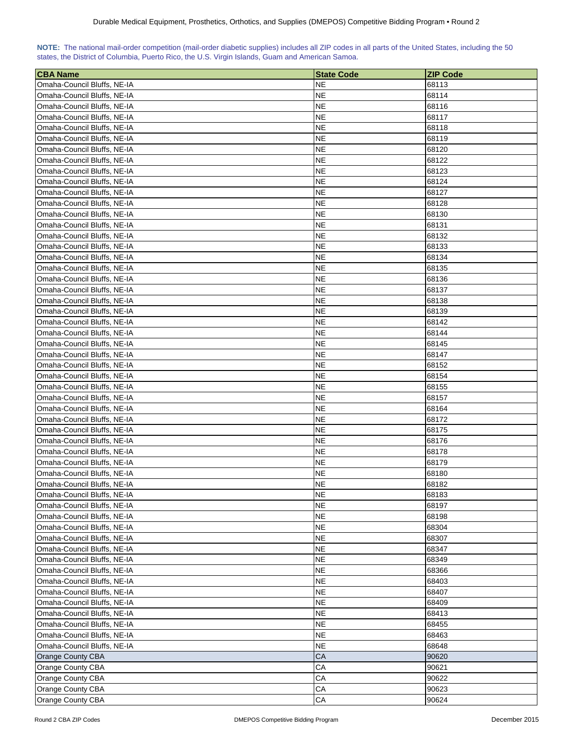| NOTE: The national mail-order competition (mail-order diabetic supplies) includes all ZIP codes in all parts of the United States, including the 50 |  |  |  |  |  |  |  |
|-----------------------------------------------------------------------------------------------------------------------------------------------------|--|--|--|--|--|--|--|
| states, the District of Columbia, Puerto Rico, the U.S. Virgin Islands, Guam and American Samoa.                                                    |  |  |  |  |  |  |  |

| <b>CBA Name</b>                                            | <b>State Code</b>      | <b>ZIP Code</b> |
|------------------------------------------------------------|------------------------|-----------------|
| Omaha-Council Bluffs, NE-IA                                | <b>NE</b>              | 68113           |
| Omaha-Council Bluffs, NE-IA                                | <b>NE</b>              | 68114           |
| Omaha-Council Bluffs, NE-IA                                | <b>NE</b>              | 68116           |
| Omaha-Council Bluffs, NE-IA                                | <b>NE</b>              | 68117           |
| Omaha-Council Bluffs, NE-IA                                | NE.                    | 68118           |
| Omaha-Council Bluffs, NE-IA                                | NE                     | 68119           |
| Omaha-Council Bluffs, NE-IA                                | <b>NE</b>              | 68120           |
| Omaha-Council Bluffs, NE-IA                                | NE                     | 68122           |
| Omaha-Council Bluffs, NE-IA                                | <b>NE</b>              | 68123           |
| Omaha-Council Bluffs, NE-IA                                | <b>NE</b>              | 68124           |
| Omaha-Council Bluffs, NE-IA                                | <b>NE</b>              | 68127           |
| Omaha-Council Bluffs, NE-IA                                | NE.                    | 68128           |
| Omaha-Council Bluffs, NE-IA                                | <b>NE</b>              | 68130           |
| Omaha-Council Bluffs, NE-IA                                | <b>NE</b>              | 68131           |
| Omaha-Council Bluffs, NE-IA                                | <b>NE</b>              | 68132           |
| Omaha-Council Bluffs, NE-IA                                | <b>NE</b>              | 68133           |
| Omaha-Council Bluffs, NE-IA                                | NE                     | 68134           |
| Omaha-Council Bluffs, NE-IA                                | NE.                    | 68135           |
| Omaha-Council Bluffs, NE-IA                                | <b>NE</b>              | 68136           |
| Omaha-Council Bluffs, NE-IA                                | NE.                    | 68137           |
| Omaha-Council Bluffs, NE-IA                                | <b>NE</b>              | 68138           |
| Omaha-Council Bluffs, NE-IA                                | <b>NE</b>              | 68139           |
| Omaha-Council Bluffs, NE-IA                                | <b>NE</b>              | 68142           |
| Omaha-Council Bluffs, NE-IA                                | <b>NE</b>              | 68144           |
| Omaha-Council Bluffs, NE-IA                                | <b>NE</b>              | 68145           |
| Omaha-Council Bluffs, NE-IA                                | <b>NE</b>              | 68147           |
| Omaha-Council Bluffs, NE-IA                                | <b>NE</b>              | 68152           |
|                                                            | <b>NE</b>              | 68154           |
| Omaha-Council Bluffs, NE-IA<br>Omaha-Council Bluffs, NE-IA | NE                     | 68155           |
| Omaha-Council Bluffs, NE-IA                                | NE                     | 68157           |
| Omaha-Council Bluffs, NE-IA                                | NE                     | 68164           |
| Omaha-Council Bluffs, NE-IA                                | NE                     | 68172           |
| Omaha-Council Bluffs, NE-IA                                | NE                     | 68175           |
| Omaha-Council Bluffs, NE-IA                                | NE                     | 68176           |
| Omaha-Council Bluffs, NE-IA                                | <b>NE</b>              | 68178           |
| Omaha-Council Bluffs, NE-IA                                | <b>NE</b>              | 68179           |
|                                                            |                        |                 |
| Omaha-Council Bluffs, NE-IA                                | NE<br><b>NE</b>        | 68180<br>68182  |
| Omaha-Council Bluffs, NE-IA<br>Omaha-Council Bluffs, NE-IA | NE                     | 68183           |
| Omaha-Council Bluffs, NE-IA                                | <b>NE</b>              | 68197           |
|                                                            | <b>NE</b>              |                 |
| Omaha-Council Bluffs, NE-IA                                | <b>NE</b>              | 68198<br>68304  |
| Omaha-Council Bluffs, NE-IA                                |                        |                 |
| Omaha-Council Bluffs, NE-IA<br>Omaha-Council Bluffs, NE-IA | <b>NE</b><br><b>NE</b> | 68307           |
|                                                            |                        | 68347           |
| Omaha-Council Bluffs, NE-IA                                | <b>NE</b>              | 68349           |
| Omaha-Council Bluffs, NE-IA                                | <b>NE</b>              | 68366           |
| Omaha-Council Bluffs, NE-IA                                | <b>NE</b>              | 68403           |
| Omaha-Council Bluffs, NE-IA                                | <b>NE</b>              | 68407           |
| Omaha-Council Bluffs, NE-IA                                | <b>NE</b>              | 68409           |
| Omaha-Council Bluffs, NE-IA                                | <b>NE</b>              | 68413           |
| Omaha-Council Bluffs, NE-IA                                | <b>NE</b>              | 68455           |
| Omaha-Council Bluffs, NE-IA                                | <b>NE</b>              | 68463           |
| Omaha-Council Bluffs, NE-IA                                | <b>NE</b>              | 68648           |
| Orange County CBA                                          | CA                     | 90620           |
| Orange County CBA                                          | CA                     | 90621           |
| Orange County CBA                                          | CA                     | 90622           |
| Orange County CBA                                          | ${\sf CA}$             | 90623           |
| Orange County CBA                                          | ${\sf CA}$             | 90624           |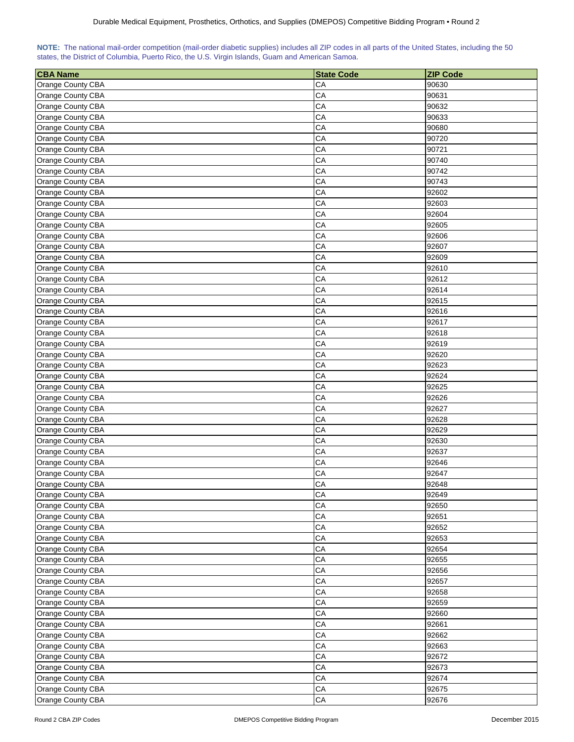|  | NOTE: The national mail-order competition (mail-order diabetic supplies) includes all ZIP codes in all parts of the United States, including the 50 |  |  |  |  |
|--|-----------------------------------------------------------------------------------------------------------------------------------------------------|--|--|--|--|
|  | states, the District of Columbia, Puerto Rico, the U.S. Virgin Islands, Guam and American Samoa.                                                    |  |  |  |  |

| <b>CBA Name</b>   | <b>State Code</b> | <b>ZIP Code</b> |
|-------------------|-------------------|-----------------|
| Orange County CBA | CA                | 90630           |
| Orange County CBA | CA                | 90631           |
| Orange County CBA | CA                | 90632           |
| Orange County CBA | CA                | 90633           |
| Orange County CBA | CA                | 90680           |
| Orange County CBA | CA                | 90720           |
| Orange County CBA | CA                | 90721           |
| Orange County CBA | CA                | 90740           |
| Orange County CBA | CA                | 90742           |
| Orange County CBA | CA                | 90743           |
| Orange County CBA | CA                | 92602           |
| Orange County CBA | CA                | 92603           |
| Orange County CBA | CA                | 92604           |
| Orange County CBA | CA                | 92605           |
| Orange County CBA | CA                | 92606           |
| Orange County CBA | CA                | 92607           |
| Orange County CBA | CA                | 92609           |
| Orange County CBA | CA                | 92610           |
| Orange County CBA | CA                | 92612           |
| Orange County CBA | CA                | 92614           |
| Orange County CBA | CA                | 92615           |
| Orange County CBA | CA                | 92616           |
| Orange County CBA | CA                | 92617           |
| Orange County CBA | CA                | 92618           |
| Orange County CBA | CA                | 92619           |
| Orange County CBA | CA                | 92620           |
| Orange County CBA | CA                | 92623           |
| Orange County CBA | CA                | 92624           |
| Orange County CBA | CA                | 92625           |
| Orange County CBA | СA                | 92626           |
| Orange County CBA | CA                | 92627           |
| Orange County CBA | CA                | 92628           |
| Orange County CBA | CA                | 92629           |
| Orange County CBA | CA                | 92630           |
| Orange County CBA | CA                | 92637           |
| Orange County CBA | CA                | 92646           |
| Orange County CBA | CA                | 92647           |
| Orange County CBA | CA                | 92648           |
| Orange County CBA | CA                | 92649           |
| Orange County CBA | CA                | 92650           |
| Orange County CBA | CA                | 92651           |
| Orange County CBA | CA                | 92652           |
| Orange County CBA | CA                | 92653           |
| Orange County CBA | СA                | 92654           |
| Orange County CBA | CA                | 92655           |
| Orange County CBA | CA                | 92656           |
| Orange County CBA | CA                | 92657           |
| Orange County CBA | CA                | 92658           |
| Orange County CBA | CA                | 92659           |
| Orange County CBA | CA                | 92660           |
| Orange County CBA | CA                | 92661           |
| Orange County CBA | CA                | 92662           |
| Orange County CBA | CA                | 92663           |
| Orange County CBA | CA                | 92672           |
| Orange County CBA | CA                | 92673           |
| Orange County CBA | CA                | 92674           |
| Orange County CBA | CA                | 92675           |
| Orange County CBA | CA                | 92676           |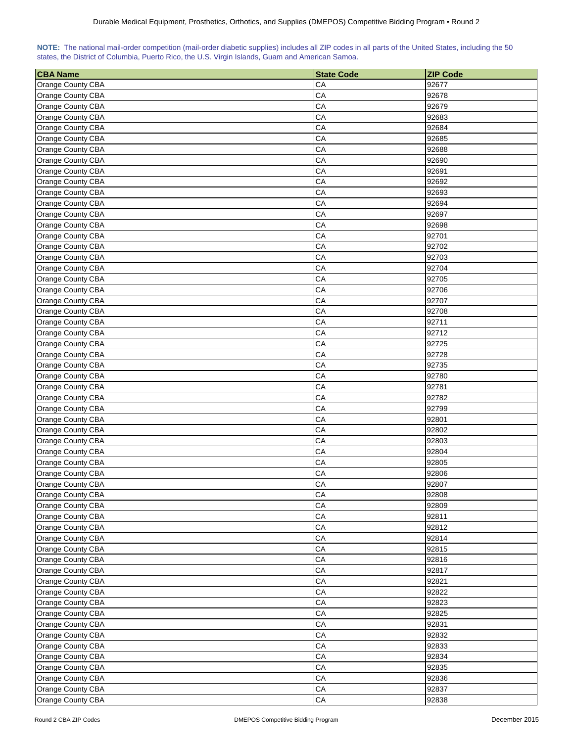|  | NOTE: The national mail-order competition (mail-order diabetic supplies) includes all ZIP codes in all parts of the United States, including the 50 |  |  |  |  |
|--|-----------------------------------------------------------------------------------------------------------------------------------------------------|--|--|--|--|
|  | states, the District of Columbia, Puerto Rico, the U.S. Virgin Islands, Guam and American Samoa.                                                    |  |  |  |  |

| <b>CBA Name</b>   | <b>State Code</b> | <b>ZIP Code</b> |
|-------------------|-------------------|-----------------|
| Orange County CBA | CA                | 92677           |
| Orange County CBA | CA                | 92678           |
| Orange County CBA | CA                | 92679           |
| Orange County CBA | CA                | 92683           |
| Orange County CBA | CA                | 92684           |
| Orange County CBA | CA                | 92685           |
| Orange County CBA | CA                | 92688           |
|                   | CA                |                 |
| Orange County CBA | CA                | 92690<br>92691  |
| Orange County CBA |                   |                 |
| Orange County CBA | CA                | 92692           |
| Orange County CBA | CA                | 92693           |
| Orange County CBA | CA                | 92694           |
| Orange County CBA | CA                | 92697           |
| Orange County CBA | CA                | 92698           |
| Orange County CBA | CA                | 92701           |
| Orange County CBA | CA                | 92702           |
| Orange County CBA | CA                | 92703           |
| Orange County CBA | CA                | 92704           |
| Orange County CBA | CA                | 92705           |
| Orange County CBA | CA                | 92706           |
| Orange County CBA | CA                | 92707           |
| Orange County CBA | CA                | 92708           |
| Orange County CBA | CA                | 92711           |
| Orange County CBA | CA                | 92712           |
| Orange County CBA | CA                | 92725           |
| Orange County CBA | CA                | 92728           |
| Orange County CBA | CA                | 92735           |
| Orange County CBA | CA                | 92780           |
| Orange County CBA | CA                | 92781           |
| Orange County CBA | CA                | 92782           |
| Orange County CBA | CA                | 92799           |
| Orange County CBA | CA                | 92801           |
| Orange County CBA | CA                | 92802           |
| Orange County CBA | CA                | 92803           |
| Orange County CBA | CA                | 92804           |
| Orange County CBA | CA                | 92805           |
| Orange County CBA | CA                | 92806           |
| Orange County CBA | CA                | 92807           |
| Orange County CBA | CA                | 92808           |
| Orange County CBA | ${\sf CA}$        | 92809           |
| Orange County CBA | CA                | 92811           |
| Orange County CBA | CA                | 92812           |
| Orange County CBA | CA                | 92814           |
| Orange County CBA | CA                | 92815           |
| Orange County CBA | CA                | 92816           |
| Orange County CBA | CA                | 92817           |
| Orange County CBA | CA                | 92821           |
| Orange County CBA | CA                | 92822           |
| Orange County CBA | CA                | 92823           |
| Orange County CBA | CA                | 92825           |
| Orange County CBA | CA                | 92831           |
| Orange County CBA | ${\sf CA}$        | 92832           |
| Orange County CBA | CA                | 92833           |
| Orange County CBA | CA                | 92834           |
| Orange County CBA | CA                | 92835           |
| Orange County CBA | CA                | 92836           |
| Orange County CBA | CA                | 92837           |
| Orange County CBA | ${\sf CA}$        | 92838           |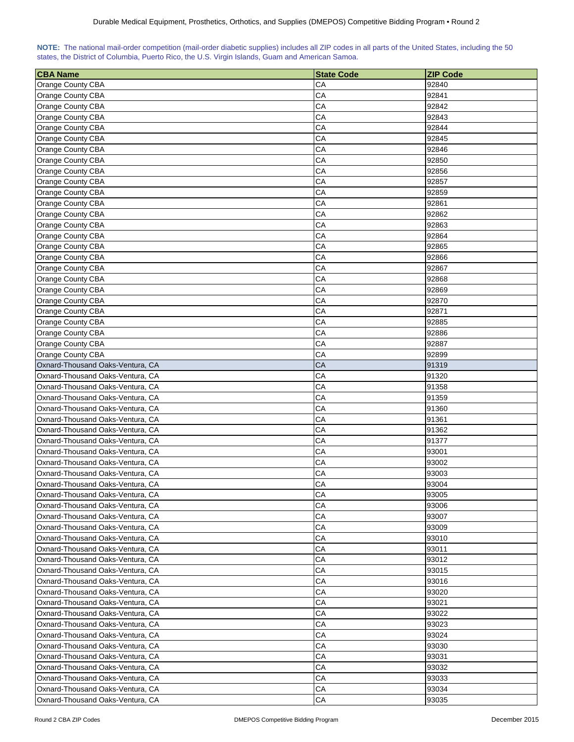| NOTE: The national mail-order competition (mail-order diabetic supplies) includes all ZIP codes in all parts of the United States, including the 50 |  |  |  |  |  |  |  |
|-----------------------------------------------------------------------------------------------------------------------------------------------------|--|--|--|--|--|--|--|
| states, the District of Columbia, Puerto Rico, the U.S. Virgin Islands, Guam and American Samoa.                                                    |  |  |  |  |  |  |  |

| CA<br>92840<br><b>Orange County CBA</b><br>CA<br>92841<br>Orange County CBA<br>CA<br>92842<br>Orange County CBA<br>CA<br>92843<br>Orange County CBA<br>CA<br>92844<br>Orange County CBA<br>CA<br>Orange County CBA<br>92845<br>CA<br>Orange County CBA<br>92846<br>CA<br>Orange County CBA<br>92850<br>CA<br>Orange County CBA<br>92856<br>CA<br>Orange County CBA<br>92857<br>CA<br>Orange County CBA<br>92859<br>CA<br>92861<br>Orange County CBA<br>СA<br>92862<br>Orange County CBA<br>CA<br>92863<br>Orange County CBA<br>CA<br>Orange County CBA<br>92864<br>Orange County CBA<br>CA<br>92865<br>CA<br>Orange County CBA<br>92866<br>CA<br>Orange County CBA<br>92867<br>CA<br>Orange County CBA<br>92868<br>CA<br>Orange County CBA<br>92869<br>CA<br>Orange County CBA<br>92870<br>CA<br>Orange County CBA<br>92871<br>CA<br>92885<br>Orange County CBA<br>CA<br>92886<br>Orange County CBA<br>CA<br>92887<br>Orange County CBA<br>CA<br>92899<br>Orange County CBA<br>CA<br>Oxnard-Thousand Oaks-Ventura, CA<br>91319<br>CA<br>91320<br>Oxnard-Thousand Oaks-Ventura, CA<br>CA<br>Oxnard-Thousand Oaks-Ventura, CA<br>91358<br>CA<br>Oxnard-Thousand Oaks-Ventura, CA<br>91359<br>CA<br>Oxnard-Thousand Oaks-Ventura, CA<br>91360<br>CA<br>91361<br>Oxnard-Thousand Oaks-Ventura, CA<br>CA<br>Oxnard-Thousand Oaks-Ventura, CA<br>91362<br>CA<br>Oxnard-Thousand Oaks-Ventura, CA<br>91377<br>CA<br>Oxnard-Thousand Oaks-Ventura, CA<br>93001<br>CA<br>Oxnard-Thousand Oaks-Ventura, CA<br>93002<br>СA<br>93003<br>Oxnard-Thousand Oaks-Ventura, CA<br>CA<br>93004<br>Oxnard-Thousand Oaks-Ventura, CA<br>CA<br>Oxnard-Thousand Oaks-Ventura, CA<br>93005<br>CA<br>Oxnard-Thousand Oaks-Ventura, CA<br>93006<br>Oxnard-Thousand Oaks-Ventura, CA<br>CA<br>93007<br>Oxnard-Thousand Oaks-Ventura, CA<br>CА<br>93009<br>CA<br>Oxnard-Thousand Oaks-Ventura, CA<br>93010<br>Oxnard-Thousand Oaks-Ventura, CA<br>CА<br>93011<br>CА<br>Oxnard-Thousand Oaks-Ventura, CA<br>93012<br>CA<br>Oxnard-Thousand Oaks-Ventura, CA<br>93015<br>CA<br>Oxnard-Thousand Oaks-Ventura, CA<br>93016<br>CA<br>Oxnard-Thousand Oaks-Ventura, CA<br>93020<br>CA<br>93021<br>Oxnard-Thousand Oaks-Ventura, CA<br>CA<br>Oxnard-Thousand Oaks-Ventura, CA<br>93022<br>CA<br>93023<br>Oxnard-Thousand Oaks-Ventura, CA<br>CA<br>93024<br>Oxnard-Thousand Oaks-Ventura, CA<br>Oxnard-Thousand Oaks-Ventura, CA<br>CA<br>93030<br>Oxnard-Thousand Oaks-Ventura, CA<br>CA<br>93031<br>Oxnard-Thousand Oaks-Ventura, CA<br>CА<br>93032<br>CA<br>Oxnard-Thousand Oaks-Ventura, CA<br>93033<br>CA<br>Oxnard-Thousand Oaks-Ventura, CA<br>93034 | <b>CBA Name</b>                  | <b>State Code</b> | <b>ZIP Code</b> |
|--------------------------------------------------------------------------------------------------------------------------------------------------------------------------------------------------------------------------------------------------------------------------------------------------------------------------------------------------------------------------------------------------------------------------------------------------------------------------------------------------------------------------------------------------------------------------------------------------------------------------------------------------------------------------------------------------------------------------------------------------------------------------------------------------------------------------------------------------------------------------------------------------------------------------------------------------------------------------------------------------------------------------------------------------------------------------------------------------------------------------------------------------------------------------------------------------------------------------------------------------------------------------------------------------------------------------------------------------------------------------------------------------------------------------------------------------------------------------------------------------------------------------------------------------------------------------------------------------------------------------------------------------------------------------------------------------------------------------------------------------------------------------------------------------------------------------------------------------------------------------------------------------------------------------------------------------------------------------------------------------------------------------------------------------------------------------------------------------------------------------------------------------------------------------------------------------------------------------------------------------------------------------------------------------------------------------------------------------------------------------------------------------------------------------------------------------------------------------------------------------------------------------------------------------------------------------------------------------------------------------|----------------------------------|-------------------|-----------------|
|                                                                                                                                                                                                                                                                                                                                                                                                                                                                                                                                                                                                                                                                                                                                                                                                                                                                                                                                                                                                                                                                                                                                                                                                                                                                                                                                                                                                                                                                                                                                                                                                                                                                                                                                                                                                                                                                                                                                                                                                                                                                                                                                                                                                                                                                                                                                                                                                                                                                                                                                                                                                                          |                                  |                   |                 |
|                                                                                                                                                                                                                                                                                                                                                                                                                                                                                                                                                                                                                                                                                                                                                                                                                                                                                                                                                                                                                                                                                                                                                                                                                                                                                                                                                                                                                                                                                                                                                                                                                                                                                                                                                                                                                                                                                                                                                                                                                                                                                                                                                                                                                                                                                                                                                                                                                                                                                                                                                                                                                          |                                  |                   |                 |
|                                                                                                                                                                                                                                                                                                                                                                                                                                                                                                                                                                                                                                                                                                                                                                                                                                                                                                                                                                                                                                                                                                                                                                                                                                                                                                                                                                                                                                                                                                                                                                                                                                                                                                                                                                                                                                                                                                                                                                                                                                                                                                                                                                                                                                                                                                                                                                                                                                                                                                                                                                                                                          |                                  |                   |                 |
|                                                                                                                                                                                                                                                                                                                                                                                                                                                                                                                                                                                                                                                                                                                                                                                                                                                                                                                                                                                                                                                                                                                                                                                                                                                                                                                                                                                                                                                                                                                                                                                                                                                                                                                                                                                                                                                                                                                                                                                                                                                                                                                                                                                                                                                                                                                                                                                                                                                                                                                                                                                                                          |                                  |                   |                 |
|                                                                                                                                                                                                                                                                                                                                                                                                                                                                                                                                                                                                                                                                                                                                                                                                                                                                                                                                                                                                                                                                                                                                                                                                                                                                                                                                                                                                                                                                                                                                                                                                                                                                                                                                                                                                                                                                                                                                                                                                                                                                                                                                                                                                                                                                                                                                                                                                                                                                                                                                                                                                                          |                                  |                   |                 |
|                                                                                                                                                                                                                                                                                                                                                                                                                                                                                                                                                                                                                                                                                                                                                                                                                                                                                                                                                                                                                                                                                                                                                                                                                                                                                                                                                                                                                                                                                                                                                                                                                                                                                                                                                                                                                                                                                                                                                                                                                                                                                                                                                                                                                                                                                                                                                                                                                                                                                                                                                                                                                          |                                  |                   |                 |
|                                                                                                                                                                                                                                                                                                                                                                                                                                                                                                                                                                                                                                                                                                                                                                                                                                                                                                                                                                                                                                                                                                                                                                                                                                                                                                                                                                                                                                                                                                                                                                                                                                                                                                                                                                                                                                                                                                                                                                                                                                                                                                                                                                                                                                                                                                                                                                                                                                                                                                                                                                                                                          |                                  |                   |                 |
|                                                                                                                                                                                                                                                                                                                                                                                                                                                                                                                                                                                                                                                                                                                                                                                                                                                                                                                                                                                                                                                                                                                                                                                                                                                                                                                                                                                                                                                                                                                                                                                                                                                                                                                                                                                                                                                                                                                                                                                                                                                                                                                                                                                                                                                                                                                                                                                                                                                                                                                                                                                                                          |                                  |                   |                 |
|                                                                                                                                                                                                                                                                                                                                                                                                                                                                                                                                                                                                                                                                                                                                                                                                                                                                                                                                                                                                                                                                                                                                                                                                                                                                                                                                                                                                                                                                                                                                                                                                                                                                                                                                                                                                                                                                                                                                                                                                                                                                                                                                                                                                                                                                                                                                                                                                                                                                                                                                                                                                                          |                                  |                   |                 |
|                                                                                                                                                                                                                                                                                                                                                                                                                                                                                                                                                                                                                                                                                                                                                                                                                                                                                                                                                                                                                                                                                                                                                                                                                                                                                                                                                                                                                                                                                                                                                                                                                                                                                                                                                                                                                                                                                                                                                                                                                                                                                                                                                                                                                                                                                                                                                                                                                                                                                                                                                                                                                          |                                  |                   |                 |
|                                                                                                                                                                                                                                                                                                                                                                                                                                                                                                                                                                                                                                                                                                                                                                                                                                                                                                                                                                                                                                                                                                                                                                                                                                                                                                                                                                                                                                                                                                                                                                                                                                                                                                                                                                                                                                                                                                                                                                                                                                                                                                                                                                                                                                                                                                                                                                                                                                                                                                                                                                                                                          |                                  |                   |                 |
|                                                                                                                                                                                                                                                                                                                                                                                                                                                                                                                                                                                                                                                                                                                                                                                                                                                                                                                                                                                                                                                                                                                                                                                                                                                                                                                                                                                                                                                                                                                                                                                                                                                                                                                                                                                                                                                                                                                                                                                                                                                                                                                                                                                                                                                                                                                                                                                                                                                                                                                                                                                                                          |                                  |                   |                 |
|                                                                                                                                                                                                                                                                                                                                                                                                                                                                                                                                                                                                                                                                                                                                                                                                                                                                                                                                                                                                                                                                                                                                                                                                                                                                                                                                                                                                                                                                                                                                                                                                                                                                                                                                                                                                                                                                                                                                                                                                                                                                                                                                                                                                                                                                                                                                                                                                                                                                                                                                                                                                                          |                                  |                   |                 |
|                                                                                                                                                                                                                                                                                                                                                                                                                                                                                                                                                                                                                                                                                                                                                                                                                                                                                                                                                                                                                                                                                                                                                                                                                                                                                                                                                                                                                                                                                                                                                                                                                                                                                                                                                                                                                                                                                                                                                                                                                                                                                                                                                                                                                                                                                                                                                                                                                                                                                                                                                                                                                          |                                  |                   |                 |
|                                                                                                                                                                                                                                                                                                                                                                                                                                                                                                                                                                                                                                                                                                                                                                                                                                                                                                                                                                                                                                                                                                                                                                                                                                                                                                                                                                                                                                                                                                                                                                                                                                                                                                                                                                                                                                                                                                                                                                                                                                                                                                                                                                                                                                                                                                                                                                                                                                                                                                                                                                                                                          |                                  |                   |                 |
|                                                                                                                                                                                                                                                                                                                                                                                                                                                                                                                                                                                                                                                                                                                                                                                                                                                                                                                                                                                                                                                                                                                                                                                                                                                                                                                                                                                                                                                                                                                                                                                                                                                                                                                                                                                                                                                                                                                                                                                                                                                                                                                                                                                                                                                                                                                                                                                                                                                                                                                                                                                                                          |                                  |                   |                 |
|                                                                                                                                                                                                                                                                                                                                                                                                                                                                                                                                                                                                                                                                                                                                                                                                                                                                                                                                                                                                                                                                                                                                                                                                                                                                                                                                                                                                                                                                                                                                                                                                                                                                                                                                                                                                                                                                                                                                                                                                                                                                                                                                                                                                                                                                                                                                                                                                                                                                                                                                                                                                                          |                                  |                   |                 |
|                                                                                                                                                                                                                                                                                                                                                                                                                                                                                                                                                                                                                                                                                                                                                                                                                                                                                                                                                                                                                                                                                                                                                                                                                                                                                                                                                                                                                                                                                                                                                                                                                                                                                                                                                                                                                                                                                                                                                                                                                                                                                                                                                                                                                                                                                                                                                                                                                                                                                                                                                                                                                          |                                  |                   |                 |
|                                                                                                                                                                                                                                                                                                                                                                                                                                                                                                                                                                                                                                                                                                                                                                                                                                                                                                                                                                                                                                                                                                                                                                                                                                                                                                                                                                                                                                                                                                                                                                                                                                                                                                                                                                                                                                                                                                                                                                                                                                                                                                                                                                                                                                                                                                                                                                                                                                                                                                                                                                                                                          |                                  |                   |                 |
|                                                                                                                                                                                                                                                                                                                                                                                                                                                                                                                                                                                                                                                                                                                                                                                                                                                                                                                                                                                                                                                                                                                                                                                                                                                                                                                                                                                                                                                                                                                                                                                                                                                                                                                                                                                                                                                                                                                                                                                                                                                                                                                                                                                                                                                                                                                                                                                                                                                                                                                                                                                                                          |                                  |                   |                 |
|                                                                                                                                                                                                                                                                                                                                                                                                                                                                                                                                                                                                                                                                                                                                                                                                                                                                                                                                                                                                                                                                                                                                                                                                                                                                                                                                                                                                                                                                                                                                                                                                                                                                                                                                                                                                                                                                                                                                                                                                                                                                                                                                                                                                                                                                                                                                                                                                                                                                                                                                                                                                                          |                                  |                   |                 |
|                                                                                                                                                                                                                                                                                                                                                                                                                                                                                                                                                                                                                                                                                                                                                                                                                                                                                                                                                                                                                                                                                                                                                                                                                                                                                                                                                                                                                                                                                                                                                                                                                                                                                                                                                                                                                                                                                                                                                                                                                                                                                                                                                                                                                                                                                                                                                                                                                                                                                                                                                                                                                          |                                  |                   |                 |
|                                                                                                                                                                                                                                                                                                                                                                                                                                                                                                                                                                                                                                                                                                                                                                                                                                                                                                                                                                                                                                                                                                                                                                                                                                                                                                                                                                                                                                                                                                                                                                                                                                                                                                                                                                                                                                                                                                                                                                                                                                                                                                                                                                                                                                                                                                                                                                                                                                                                                                                                                                                                                          |                                  |                   |                 |
|                                                                                                                                                                                                                                                                                                                                                                                                                                                                                                                                                                                                                                                                                                                                                                                                                                                                                                                                                                                                                                                                                                                                                                                                                                                                                                                                                                                                                                                                                                                                                                                                                                                                                                                                                                                                                                                                                                                                                                                                                                                                                                                                                                                                                                                                                                                                                                                                                                                                                                                                                                                                                          |                                  |                   |                 |
|                                                                                                                                                                                                                                                                                                                                                                                                                                                                                                                                                                                                                                                                                                                                                                                                                                                                                                                                                                                                                                                                                                                                                                                                                                                                                                                                                                                                                                                                                                                                                                                                                                                                                                                                                                                                                                                                                                                                                                                                                                                                                                                                                                                                                                                                                                                                                                                                                                                                                                                                                                                                                          |                                  |                   |                 |
|                                                                                                                                                                                                                                                                                                                                                                                                                                                                                                                                                                                                                                                                                                                                                                                                                                                                                                                                                                                                                                                                                                                                                                                                                                                                                                                                                                                                                                                                                                                                                                                                                                                                                                                                                                                                                                                                                                                                                                                                                                                                                                                                                                                                                                                                                                                                                                                                                                                                                                                                                                                                                          |                                  |                   |                 |
|                                                                                                                                                                                                                                                                                                                                                                                                                                                                                                                                                                                                                                                                                                                                                                                                                                                                                                                                                                                                                                                                                                                                                                                                                                                                                                                                                                                                                                                                                                                                                                                                                                                                                                                                                                                                                                                                                                                                                                                                                                                                                                                                                                                                                                                                                                                                                                                                                                                                                                                                                                                                                          |                                  |                   |                 |
|                                                                                                                                                                                                                                                                                                                                                                                                                                                                                                                                                                                                                                                                                                                                                                                                                                                                                                                                                                                                                                                                                                                                                                                                                                                                                                                                                                                                                                                                                                                                                                                                                                                                                                                                                                                                                                                                                                                                                                                                                                                                                                                                                                                                                                                                                                                                                                                                                                                                                                                                                                                                                          |                                  |                   |                 |
|                                                                                                                                                                                                                                                                                                                                                                                                                                                                                                                                                                                                                                                                                                                                                                                                                                                                                                                                                                                                                                                                                                                                                                                                                                                                                                                                                                                                                                                                                                                                                                                                                                                                                                                                                                                                                                                                                                                                                                                                                                                                                                                                                                                                                                                                                                                                                                                                                                                                                                                                                                                                                          |                                  |                   |                 |
|                                                                                                                                                                                                                                                                                                                                                                                                                                                                                                                                                                                                                                                                                                                                                                                                                                                                                                                                                                                                                                                                                                                                                                                                                                                                                                                                                                                                                                                                                                                                                                                                                                                                                                                                                                                                                                                                                                                                                                                                                                                                                                                                                                                                                                                                                                                                                                                                                                                                                                                                                                                                                          |                                  |                   |                 |
|                                                                                                                                                                                                                                                                                                                                                                                                                                                                                                                                                                                                                                                                                                                                                                                                                                                                                                                                                                                                                                                                                                                                                                                                                                                                                                                                                                                                                                                                                                                                                                                                                                                                                                                                                                                                                                                                                                                                                                                                                                                                                                                                                                                                                                                                                                                                                                                                                                                                                                                                                                                                                          |                                  |                   |                 |
|                                                                                                                                                                                                                                                                                                                                                                                                                                                                                                                                                                                                                                                                                                                                                                                                                                                                                                                                                                                                                                                                                                                                                                                                                                                                                                                                                                                                                                                                                                                                                                                                                                                                                                                                                                                                                                                                                                                                                                                                                                                                                                                                                                                                                                                                                                                                                                                                                                                                                                                                                                                                                          |                                  |                   |                 |
|                                                                                                                                                                                                                                                                                                                                                                                                                                                                                                                                                                                                                                                                                                                                                                                                                                                                                                                                                                                                                                                                                                                                                                                                                                                                                                                                                                                                                                                                                                                                                                                                                                                                                                                                                                                                                                                                                                                                                                                                                                                                                                                                                                                                                                                                                                                                                                                                                                                                                                                                                                                                                          |                                  |                   |                 |
|                                                                                                                                                                                                                                                                                                                                                                                                                                                                                                                                                                                                                                                                                                                                                                                                                                                                                                                                                                                                                                                                                                                                                                                                                                                                                                                                                                                                                                                                                                                                                                                                                                                                                                                                                                                                                                                                                                                                                                                                                                                                                                                                                                                                                                                                                                                                                                                                                                                                                                                                                                                                                          |                                  |                   |                 |
|                                                                                                                                                                                                                                                                                                                                                                                                                                                                                                                                                                                                                                                                                                                                                                                                                                                                                                                                                                                                                                                                                                                                                                                                                                                                                                                                                                                                                                                                                                                                                                                                                                                                                                                                                                                                                                                                                                                                                                                                                                                                                                                                                                                                                                                                                                                                                                                                                                                                                                                                                                                                                          |                                  |                   |                 |
|                                                                                                                                                                                                                                                                                                                                                                                                                                                                                                                                                                                                                                                                                                                                                                                                                                                                                                                                                                                                                                                                                                                                                                                                                                                                                                                                                                                                                                                                                                                                                                                                                                                                                                                                                                                                                                                                                                                                                                                                                                                                                                                                                                                                                                                                                                                                                                                                                                                                                                                                                                                                                          |                                  |                   |                 |
|                                                                                                                                                                                                                                                                                                                                                                                                                                                                                                                                                                                                                                                                                                                                                                                                                                                                                                                                                                                                                                                                                                                                                                                                                                                                                                                                                                                                                                                                                                                                                                                                                                                                                                                                                                                                                                                                                                                                                                                                                                                                                                                                                                                                                                                                                                                                                                                                                                                                                                                                                                                                                          |                                  |                   |                 |
|                                                                                                                                                                                                                                                                                                                                                                                                                                                                                                                                                                                                                                                                                                                                                                                                                                                                                                                                                                                                                                                                                                                                                                                                                                                                                                                                                                                                                                                                                                                                                                                                                                                                                                                                                                                                                                                                                                                                                                                                                                                                                                                                                                                                                                                                                                                                                                                                                                                                                                                                                                                                                          |                                  |                   |                 |
|                                                                                                                                                                                                                                                                                                                                                                                                                                                                                                                                                                                                                                                                                                                                                                                                                                                                                                                                                                                                                                                                                                                                                                                                                                                                                                                                                                                                                                                                                                                                                                                                                                                                                                                                                                                                                                                                                                                                                                                                                                                                                                                                                                                                                                                                                                                                                                                                                                                                                                                                                                                                                          |                                  |                   |                 |
|                                                                                                                                                                                                                                                                                                                                                                                                                                                                                                                                                                                                                                                                                                                                                                                                                                                                                                                                                                                                                                                                                                                                                                                                                                                                                                                                                                                                                                                                                                                                                                                                                                                                                                                                                                                                                                                                                                                                                                                                                                                                                                                                                                                                                                                                                                                                                                                                                                                                                                                                                                                                                          |                                  |                   |                 |
|                                                                                                                                                                                                                                                                                                                                                                                                                                                                                                                                                                                                                                                                                                                                                                                                                                                                                                                                                                                                                                                                                                                                                                                                                                                                                                                                                                                                                                                                                                                                                                                                                                                                                                                                                                                                                                                                                                                                                                                                                                                                                                                                                                                                                                                                                                                                                                                                                                                                                                                                                                                                                          |                                  |                   |                 |
|                                                                                                                                                                                                                                                                                                                                                                                                                                                                                                                                                                                                                                                                                                                                                                                                                                                                                                                                                                                                                                                                                                                                                                                                                                                                                                                                                                                                                                                                                                                                                                                                                                                                                                                                                                                                                                                                                                                                                                                                                                                                                                                                                                                                                                                                                                                                                                                                                                                                                                                                                                                                                          |                                  |                   |                 |
|                                                                                                                                                                                                                                                                                                                                                                                                                                                                                                                                                                                                                                                                                                                                                                                                                                                                                                                                                                                                                                                                                                                                                                                                                                                                                                                                                                                                                                                                                                                                                                                                                                                                                                                                                                                                                                                                                                                                                                                                                                                                                                                                                                                                                                                                                                                                                                                                                                                                                                                                                                                                                          |                                  |                   |                 |
|                                                                                                                                                                                                                                                                                                                                                                                                                                                                                                                                                                                                                                                                                                                                                                                                                                                                                                                                                                                                                                                                                                                                                                                                                                                                                                                                                                                                                                                                                                                                                                                                                                                                                                                                                                                                                                                                                                                                                                                                                                                                                                                                                                                                                                                                                                                                                                                                                                                                                                                                                                                                                          |                                  |                   |                 |
|                                                                                                                                                                                                                                                                                                                                                                                                                                                                                                                                                                                                                                                                                                                                                                                                                                                                                                                                                                                                                                                                                                                                                                                                                                                                                                                                                                                                                                                                                                                                                                                                                                                                                                                                                                                                                                                                                                                                                                                                                                                                                                                                                                                                                                                                                                                                                                                                                                                                                                                                                                                                                          |                                  |                   |                 |
|                                                                                                                                                                                                                                                                                                                                                                                                                                                                                                                                                                                                                                                                                                                                                                                                                                                                                                                                                                                                                                                                                                                                                                                                                                                                                                                                                                                                                                                                                                                                                                                                                                                                                                                                                                                                                                                                                                                                                                                                                                                                                                                                                                                                                                                                                                                                                                                                                                                                                                                                                                                                                          |                                  |                   |                 |
|                                                                                                                                                                                                                                                                                                                                                                                                                                                                                                                                                                                                                                                                                                                                                                                                                                                                                                                                                                                                                                                                                                                                                                                                                                                                                                                                                                                                                                                                                                                                                                                                                                                                                                                                                                                                                                                                                                                                                                                                                                                                                                                                                                                                                                                                                                                                                                                                                                                                                                                                                                                                                          |                                  |                   |                 |
|                                                                                                                                                                                                                                                                                                                                                                                                                                                                                                                                                                                                                                                                                                                                                                                                                                                                                                                                                                                                                                                                                                                                                                                                                                                                                                                                                                                                                                                                                                                                                                                                                                                                                                                                                                                                                                                                                                                                                                                                                                                                                                                                                                                                                                                                                                                                                                                                                                                                                                                                                                                                                          |                                  |                   |                 |
|                                                                                                                                                                                                                                                                                                                                                                                                                                                                                                                                                                                                                                                                                                                                                                                                                                                                                                                                                                                                                                                                                                                                                                                                                                                                                                                                                                                                                                                                                                                                                                                                                                                                                                                                                                                                                                                                                                                                                                                                                                                                                                                                                                                                                                                                                                                                                                                                                                                                                                                                                                                                                          |                                  |                   |                 |
|                                                                                                                                                                                                                                                                                                                                                                                                                                                                                                                                                                                                                                                                                                                                                                                                                                                                                                                                                                                                                                                                                                                                                                                                                                                                                                                                                                                                                                                                                                                                                                                                                                                                                                                                                                                                                                                                                                                                                                                                                                                                                                                                                                                                                                                                                                                                                                                                                                                                                                                                                                                                                          |                                  |                   |                 |
|                                                                                                                                                                                                                                                                                                                                                                                                                                                                                                                                                                                                                                                                                                                                                                                                                                                                                                                                                                                                                                                                                                                                                                                                                                                                                                                                                                                                                                                                                                                                                                                                                                                                                                                                                                                                                                                                                                                                                                                                                                                                                                                                                                                                                                                                                                                                                                                                                                                                                                                                                                                                                          |                                  |                   |                 |
|                                                                                                                                                                                                                                                                                                                                                                                                                                                                                                                                                                                                                                                                                                                                                                                                                                                                                                                                                                                                                                                                                                                                                                                                                                                                                                                                                                                                                                                                                                                                                                                                                                                                                                                                                                                                                                                                                                                                                                                                                                                                                                                                                                                                                                                                                                                                                                                                                                                                                                                                                                                                                          |                                  |                   |                 |
|                                                                                                                                                                                                                                                                                                                                                                                                                                                                                                                                                                                                                                                                                                                                                                                                                                                                                                                                                                                                                                                                                                                                                                                                                                                                                                                                                                                                                                                                                                                                                                                                                                                                                                                                                                                                                                                                                                                                                                                                                                                                                                                                                                                                                                                                                                                                                                                                                                                                                                                                                                                                                          |                                  |                   |                 |
|                                                                                                                                                                                                                                                                                                                                                                                                                                                                                                                                                                                                                                                                                                                                                                                                                                                                                                                                                                                                                                                                                                                                                                                                                                                                                                                                                                                                                                                                                                                                                                                                                                                                                                                                                                                                                                                                                                                                                                                                                                                                                                                                                                                                                                                                                                                                                                                                                                                                                                                                                                                                                          |                                  |                   |                 |
|                                                                                                                                                                                                                                                                                                                                                                                                                                                                                                                                                                                                                                                                                                                                                                                                                                                                                                                                                                                                                                                                                                                                                                                                                                                                                                                                                                                                                                                                                                                                                                                                                                                                                                                                                                                                                                                                                                                                                                                                                                                                                                                                                                                                                                                                                                                                                                                                                                                                                                                                                                                                                          |                                  |                   |                 |
|                                                                                                                                                                                                                                                                                                                                                                                                                                                                                                                                                                                                                                                                                                                                                                                                                                                                                                                                                                                                                                                                                                                                                                                                                                                                                                                                                                                                                                                                                                                                                                                                                                                                                                                                                                                                                                                                                                                                                                                                                                                                                                                                                                                                                                                                                                                                                                                                                                                                                                                                                                                                                          |                                  |                   |                 |
|                                                                                                                                                                                                                                                                                                                                                                                                                                                                                                                                                                                                                                                                                                                                                                                                                                                                                                                                                                                                                                                                                                                                                                                                                                                                                                                                                                                                                                                                                                                                                                                                                                                                                                                                                                                                                                                                                                                                                                                                                                                                                                                                                                                                                                                                                                                                                                                                                                                                                                                                                                                                                          |                                  |                   |                 |
|                                                                                                                                                                                                                                                                                                                                                                                                                                                                                                                                                                                                                                                                                                                                                                                                                                                                                                                                                                                                                                                                                                                                                                                                                                                                                                                                                                                                                                                                                                                                                                                                                                                                                                                                                                                                                                                                                                                                                                                                                                                                                                                                                                                                                                                                                                                                                                                                                                                                                                                                                                                                                          | Oxnard-Thousand Oaks-Ventura, CA | ${\sf CA}$        | 93035           |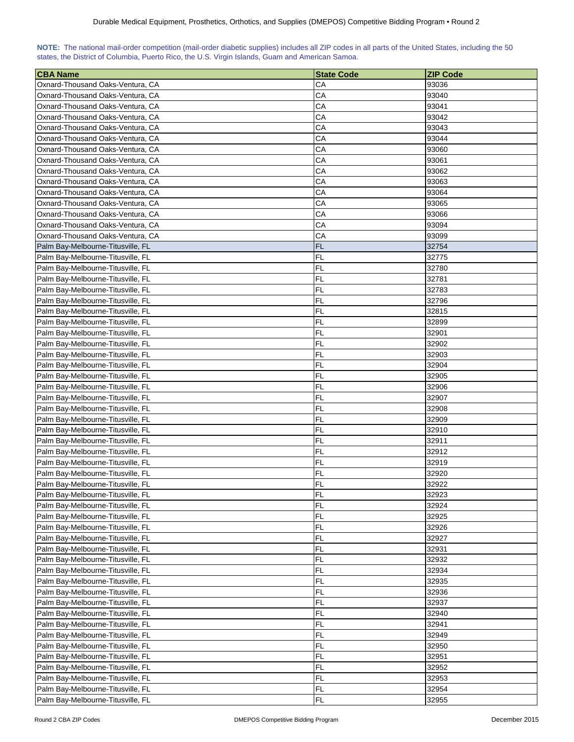| NOTE: The national mail-order competition (mail-order diabetic supplies) includes all ZIP codes in all parts of the United States, including the 50 |  |  |  |  |  |  |  |
|-----------------------------------------------------------------------------------------------------------------------------------------------------|--|--|--|--|--|--|--|
| states, the District of Columbia, Puerto Rico, the U.S. Virgin Islands, Guam and American Samoa.                                                    |  |  |  |  |  |  |  |

| <b>CBA Name</b>                   | <b>State Code</b> | <b>ZIP Code</b> |
|-----------------------------------|-------------------|-----------------|
| Oxnard-Thousand Oaks-Ventura, CA  | CА                | 93036           |
| Oxnard-Thousand Oaks-Ventura, CA  | CA                | 93040           |
| Oxnard-Thousand Oaks-Ventura, CA  | CA                | 93041           |
| Oxnard-Thousand Oaks-Ventura, CA  | СA                | 93042           |
| Oxnard-Thousand Oaks-Ventura, CA  | CA                | 93043           |
| Oxnard-Thousand Oaks-Ventura, CA  | CA                | 93044           |
| Oxnard-Thousand Oaks-Ventura, CA  | CA                | 93060           |
|                                   |                   |                 |
| Oxnard-Thousand Oaks-Ventura, CA  | CA<br>CA          | 93061<br>93062  |
| Oxnard-Thousand Oaks-Ventura, CA  |                   | 93063           |
| Oxnard-Thousand Oaks-Ventura, CA  | CА                |                 |
| Oxnard-Thousand Oaks-Ventura, CA  | СA                | 93064           |
| Oxnard-Thousand Oaks-Ventura, CA  | CA                | 93065           |
| Oxnard-Thousand Oaks-Ventura, CA  | CA                | 93066           |
| Oxnard-Thousand Oaks-Ventura, CA  | CA                | 93094           |
| Oxnard-Thousand Oaks-Ventura, CA  | CA                | 93099           |
| Palm Bay-Melbourne-Titusville, FL | <b>FL</b>         | 32754           |
| Palm Bay-Melbourne-Titusville, FL | <b>FL</b>         | 32775           |
| Palm Bay-Melbourne-Titusville, FL | FL                | 32780           |
| Palm Bay-Melbourne-Titusville, FL | FL                | 32781           |
| Palm Bay-Melbourne-Titusville, FL | FL                | 32783           |
| Palm Bay-Melbourne-Titusville, FL | FL                | 32796           |
| Palm Bay-Melbourne-Titusville, FL | FL                | 32815           |
| Palm Bay-Melbourne-Titusville, FL | FL                | 32899           |
| Palm Bay-Melbourne-Titusville, FL | FL                | 32901           |
| Palm Bay-Melbourne-Titusville, FL | FL                | 32902           |
| Palm Bay-Melbourne-Titusville, FL | FL                | 32903           |
| Palm Bay-Melbourne-Titusville, FL | FL                | 32904           |
| Palm Bay-Melbourne-Titusville, FL | FL                | 32905           |
| Palm Bay-Melbourne-Titusville, FL | FL                | 32906           |
| Palm Bay-Melbourne-Titusville, FL | FL                | 32907           |
| Palm Bay-Melbourne-Titusville, FL | FL                | 32908           |
| Palm Bay-Melbourne-Titusville, FL | FL                | 32909           |
| Palm Bay-Melbourne-Titusville, FL | FL                | 32910           |
| Palm Bay-Melbourne-Titusville, FL | FL                | 32911           |
| Palm Bay-Melbourne-Titusville, FL | FL                | 32912           |
| Palm Bay-Melbourne-Titusville, FL | FL                | 32919           |
| Palm Bay-Melbourne-Titusville, FL | FL                | 32920           |
| Palm Bay-Melbourne-Titusville, FL | FI                | 32922           |
| Palm Bay-Melbourne-Titusville, FL | FL                | 32923           |
| Palm Bay-Melbourne-Titusville, FL | <b>FL</b>         | 32924           |
| Palm Bay-Melbourne-Titusville, FL | <b>FL</b>         | 32925           |
| Palm Bay-Melbourne-Titusville, FL | FL                | 32926           |
| Palm Bay-Melbourne-Titusville, FL | FL                | 32927           |
| Palm Bay-Melbourne-Titusville, FL | FL                | 32931           |
| Palm Bay-Melbourne-Titusville, FL | FL                | 32932           |
| Palm Bay-Melbourne-Titusville, FL | FL                | 32934           |
| Palm Bay-Melbourne-Titusville, FL | FL                | 32935           |
| Palm Bay-Melbourne-Titusville, FL | FL                | 32936           |
| Palm Bay-Melbourne-Titusville, FL | <b>FL</b>         | 32937           |
| Palm Bay-Melbourne-Titusville, FL | FL                | 32940           |
| Palm Bay-Melbourne-Titusville, FL | FL                | 32941           |
| Palm Bay-Melbourne-Titusville, FL | FL                | 32949           |
| Palm Bay-Melbourne-Titusville, FL | FL                | 32950           |
| Palm Bay-Melbourne-Titusville, FL | FL                | 32951           |
| Palm Bay-Melbourne-Titusville, FL | FL                | 32952           |
| Palm Bay-Melbourne-Titusville, FL | FL                | 32953           |
| Palm Bay-Melbourne-Titusville, FL | FL                | 32954           |
| Palm Bay-Melbourne-Titusville, FL | FL                | 32955           |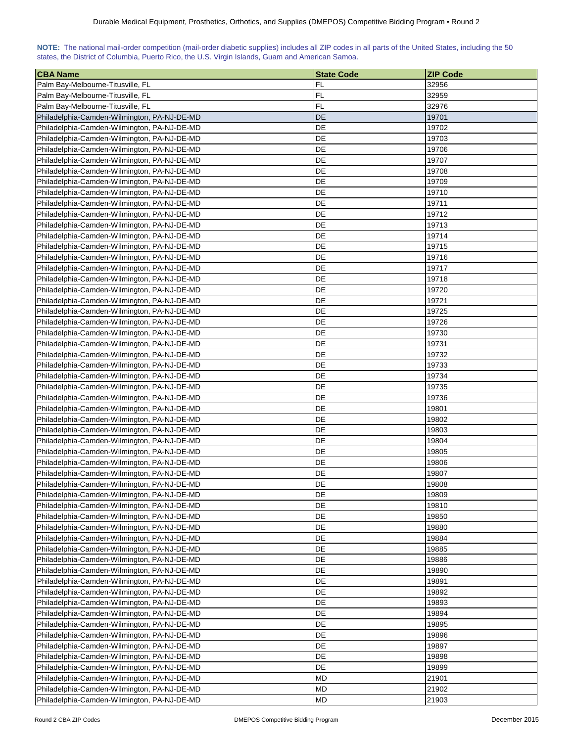| NOTE: The national mail-order competition (mail-order diabetic supplies) includes all ZIP codes in all parts of the United States, including the 50 |  |  |  |  |  |  |  |
|-----------------------------------------------------------------------------------------------------------------------------------------------------|--|--|--|--|--|--|--|
| states, the District of Columbia, Puerto Rico, the U.S. Virgin Islands, Guam and American Samoa.                                                    |  |  |  |  |  |  |  |

| <b>CBA Name</b>                             | <b>State Code</b> | <b>ZIP Code</b> |
|---------------------------------------------|-------------------|-----------------|
| Palm Bay-Melbourne-Titusville, FL           | FL                | 32956           |
| Palm Bay-Melbourne-Titusville, FL           | <b>FL</b>         | 32959           |
| Palm Bay-Melbourne-Titusville, FL           | <b>FL</b>         | 32976           |
| Philadelphia-Camden-Wilmington, PA-NJ-DE-MD | <b>DE</b>         | 19701           |
| Philadelphia-Camden-Wilmington, PA-NJ-DE-MD | DE                | 19702           |
| Philadelphia-Camden-Wilmington, PA-NJ-DE-MD | DE                | 19703           |
| Philadelphia-Camden-Wilmington, PA-NJ-DE-MD | DE                | 19706           |
| Philadelphia-Camden-Wilmington, PA-NJ-DE-MD | DE                | 19707           |
| Philadelphia-Camden-Wilmington, PA-NJ-DE-MD | DE                | 19708           |
| Philadelphia-Camden-Wilmington, PA-NJ-DE-MD | DE                | 19709           |
| Philadelphia-Camden-Wilmington, PA-NJ-DE-MD | DE                | 19710           |
| Philadelphia-Camden-Wilmington, PA-NJ-DE-MD | DE                | 19711           |
| Philadelphia-Camden-Wilmington, PA-NJ-DE-MD | DE                | 19712           |
| Philadelphia-Camden-Wilmington, PA-NJ-DE-MD | DE                | 19713           |
| Philadelphia-Camden-Wilmington, PA-NJ-DE-MD | DE                | 19714           |
| Philadelphia-Camden-Wilmington, PA-NJ-DE-MD | DE                | 19715           |
| Philadelphia-Camden-Wilmington, PA-NJ-DE-MD | DE                | 19716           |
| Philadelphia-Camden-Wilmington, PA-NJ-DE-MD | DE                | 19717           |
| Philadelphia-Camden-Wilmington, PA-NJ-DE-MD | DE                | 19718           |
| Philadelphia-Camden-Wilmington, PA-NJ-DE-MD | DE                | 19720           |
| Philadelphia-Camden-Wilmington, PA-NJ-DE-MD | DE                | 19721           |
| Philadelphia-Camden-Wilmington, PA-NJ-DE-MD | DE                | 19725           |
| Philadelphia-Camden-Wilmington, PA-NJ-DE-MD | DE                | 19726           |
| Philadelphia-Camden-Wilmington, PA-NJ-DE-MD | DE                | 19730           |
| Philadelphia-Camden-Wilmington, PA-NJ-DE-MD | DE                | 19731           |
| Philadelphia-Camden-Wilmington, PA-NJ-DE-MD | DE                | 19732           |
| Philadelphia-Camden-Wilmington, PA-NJ-DE-MD | DE                | 19733           |
| Philadelphia-Camden-Wilmington, PA-NJ-DE-MD | DE                | 19734           |
| Philadelphia-Camden-Wilmington, PA-NJ-DE-MD | DE                | 19735           |
| Philadelphia-Camden-Wilmington, PA-NJ-DE-MD | DE                | 19736           |
| Philadelphia-Camden-Wilmington, PA-NJ-DE-MD | DE                | 19801           |
| Philadelphia-Camden-Wilmington, PA-NJ-DE-MD | DE                | 19802           |
| Philadelphia-Camden-Wilmington, PA-NJ-DE-MD | DE                | 19803           |
| Philadelphia-Camden-Wilmington, PA-NJ-DE-MD | DE                | 19804           |
| Philadelphia-Camden-Wilmington, PA-NJ-DE-MD | DE                | 19805           |
| Philadelphia-Camden-Wilmington, PA-NJ-DE-MD | DE                | 19806           |
| Philadelphia-Camden-Wilmington, PA-NJ-DE-MD | DE                | 19807           |
| Philadelphia-Camden-Wilmington, PA-NJ-DE-MD | DE                | 19808           |
| Philadelphia-Camden-Wilmington, PA-NJ-DE-MD | DE                | 19809           |
| Philadelphia-Camden-Wilmington, PA-NJ-DE-MD | DE                | 19810           |
| Philadelphia-Camden-Wilmington, PA-NJ-DE-MD | <b>DE</b>         | 19850           |
| Philadelphia-Camden-Wilmington, PA-NJ-DE-MD | DE                | 19880           |
| Philadelphia-Camden-Wilmington, PA-NJ-DE-MD | DE                | 19884           |
| Philadelphia-Camden-Wilmington, PA-NJ-DE-MD | DE                | 19885           |
| Philadelphia-Camden-Wilmington, PA-NJ-DE-MD | DE                | 19886           |
| Philadelphia-Camden-Wilmington, PA-NJ-DE-MD | DE                | 19890           |
| Philadelphia-Camden-Wilmington, PA-NJ-DE-MD | DE                | 19891           |
| Philadelphia-Camden-Wilmington, PA-NJ-DE-MD | DE                | 19892           |
| Philadelphia-Camden-Wilmington, PA-NJ-DE-MD | DE                | 19893           |
| Philadelphia-Camden-Wilmington, PA-NJ-DE-MD | DE                | 19894           |
| Philadelphia-Camden-Wilmington, PA-NJ-DE-MD | DE                | 19895           |
| Philadelphia-Camden-Wilmington, PA-NJ-DE-MD | DE                | 19896           |
| Philadelphia-Camden-Wilmington, PA-NJ-DE-MD | DE                | 19897           |
| Philadelphia-Camden-Wilmington, PA-NJ-DE-MD | DE                | 19898           |
| Philadelphia-Camden-Wilmington, PA-NJ-DE-MD | DE                | 19899           |
| Philadelphia-Camden-Wilmington, PA-NJ-DE-MD | MD                | 21901           |
| Philadelphia-Camden-Wilmington, PA-NJ-DE-MD | MD                | 21902           |
| Philadelphia-Camden-Wilmington, PA-NJ-DE-MD | <b>MD</b>         | 21903           |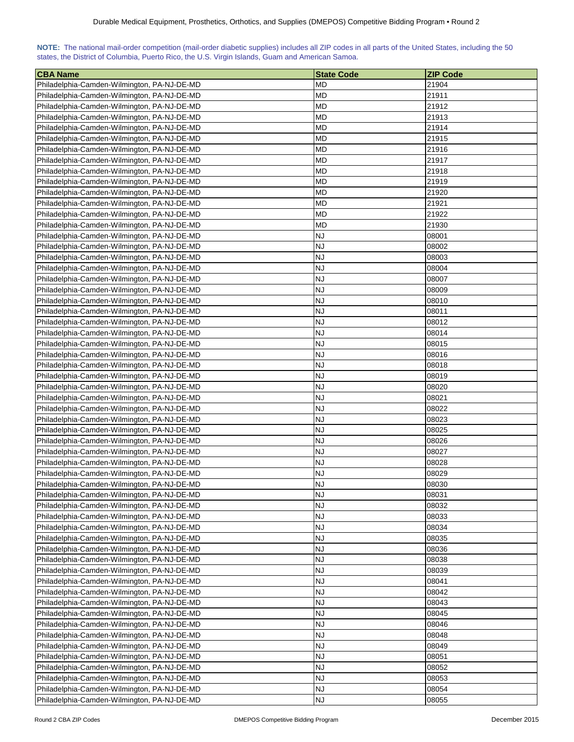| NOTE: The national mail-order competition (mail-order diabetic supplies) includes all ZIP codes in all parts of the United States, including the 50 |  |  |  |  |  |  |  |
|-----------------------------------------------------------------------------------------------------------------------------------------------------|--|--|--|--|--|--|--|
| states, the District of Columbia, Puerto Rico, the U.S. Virgin Islands, Guam and American Samoa.                                                    |  |  |  |  |  |  |  |

| <b>CBA Name</b>                                                                            | <b>State Code</b>      | <b>ZIP Code</b> |
|--------------------------------------------------------------------------------------------|------------------------|-----------------|
| Philadelphia-Camden-Wilmington, PA-NJ-DE-MD                                                | MD                     | 21904           |
| Philadelphia-Camden-Wilmington, PA-NJ-DE-MD                                                | <b>MD</b>              | 21911           |
| Philadelphia-Camden-Wilmington, PA-NJ-DE-MD                                                | <b>MD</b>              | 21912           |
| Philadelphia-Camden-Wilmington, PA-NJ-DE-MD                                                | <b>MD</b>              | 21913           |
| Philadelphia-Camden-Wilmington, PA-NJ-DE-MD                                                | <b>MD</b>              | 21914           |
| Philadelphia-Camden-Wilmington, PA-NJ-DE-MD                                                | MD                     | 21915           |
| Philadelphia-Camden-Wilmington, PA-NJ-DE-MD                                                | МD                     | 21916           |
| Philadelphia-Camden-Wilmington, PA-NJ-DE-MD                                                | MD                     | 21917           |
| Philadelphia-Camden-Wilmington, PA-NJ-DE-MD                                                | <b>MD</b>              | 21918           |
| Philadelphia-Camden-Wilmington, PA-NJ-DE-MD                                                | <b>MD</b>              | 21919           |
| Philadelphia-Camden-Wilmington, PA-NJ-DE-MD                                                | <b>MD</b>              | 21920           |
| Philadelphia-Camden-Wilmington, PA-NJ-DE-MD                                                | <b>MD</b>              | 21921           |
| Philadelphia-Camden-Wilmington, PA-NJ-DE-MD                                                | <b>MD</b>              | 21922           |
| Philadelphia-Camden-Wilmington, PA-NJ-DE-MD                                                | <b>MD</b>              | 21930           |
| Philadelphia-Camden-Wilmington, PA-NJ-DE-MD                                                | <b>NJ</b>              | 08001           |
| Philadelphia-Camden-Wilmington, PA-NJ-DE-MD                                                | <b>NJ</b>              | 08002           |
| Philadelphia-Camden-Wilmington, PA-NJ-DE-MD                                                | <b>NJ</b>              | 08003           |
| Philadelphia-Camden-Wilmington, PA-NJ-DE-MD                                                | <b>NJ</b>              | 08004           |
| Philadelphia-Camden-Wilmington, PA-NJ-DE-MD                                                | <b>NJ</b>              | 08007           |
| Philadelphia-Camden-Wilmington, PA-NJ-DE-MD                                                | <b>NJ</b>              | 08009           |
| Philadelphia-Camden-Wilmington, PA-NJ-DE-MD                                                | <b>NJ</b>              | 08010           |
|                                                                                            | <b>NJ</b>              |                 |
| Philadelphia-Camden-Wilmington, PA-NJ-DE-MD                                                |                        | 08011           |
| Philadelphia-Camden-Wilmington, PA-NJ-DE-MD<br>Philadelphia-Camden-Wilmington, PA-NJ-DE-MD | <b>NJ</b><br><b>NJ</b> | 08012           |
|                                                                                            | <b>NJ</b>              | 08014<br>08015  |
| Philadelphia-Camden-Wilmington, PA-NJ-DE-MD                                                | <b>NJ</b>              | 08016           |
| Philadelphia-Camden-Wilmington, PA-NJ-DE-MD                                                |                        |                 |
| Philadelphia-Camden-Wilmington, PA-NJ-DE-MD                                                | <b>NJ</b>              | 08018           |
| Philadelphia-Camden-Wilmington, PA-NJ-DE-MD                                                | <b>NJ</b>              | 08019           |
| Philadelphia-Camden-Wilmington, PA-NJ-DE-MD                                                | <b>NJ</b>              | 08020           |
| Philadelphia-Camden-Wilmington, PA-NJ-DE-MD                                                | <b>NJ</b><br><b>NJ</b> | 08021           |
| Philadelphia-Camden-Wilmington, PA-NJ-DE-MD                                                |                        | 08022           |
| Philadelphia-Camden-Wilmington, PA-NJ-DE-MD                                                | <b>NJ</b>              | 08023           |
| Philadelphia-Camden-Wilmington, PA-NJ-DE-MD                                                | <b>NJ</b>              | 08025           |
| Philadelphia-Camden-Wilmington, PA-NJ-DE-MD                                                | <b>NJ</b>              | 08026           |
| Philadelphia-Camden-Wilmington, PA-NJ-DE-MD                                                | <b>NJ</b>              | 08027           |
| Philadelphia-Camden-Wilmington, PA-NJ-DE-MD                                                | <b>NJ</b>              | 08028           |
| Philadelphia-Camden-Wilmington, PA-NJ-DE-MD                                                | <b>NJ</b>              | 08029           |
| Philadelphia-Camden-Wilmington, PA-NJ-DE-MD                                                | <b>NJ</b>              | 08030           |
| Philadelphia-Camden-Wilmington, PA-NJ-DE-MD                                                | <b>NJ</b>              | 08031           |
| Philadelphia-Camden-Wilmington, PA-NJ-DE-MD                                                | <b>NJ</b>              | 08032           |
| Philadelphia-Camden-Wilmington, PA-NJ-DE-MD                                                | <b>NJ</b>              | 08033           |
| Philadelphia-Camden-Wilmington, PA-NJ-DE-MD                                                | <b>NJ</b>              | 08034           |
| Philadelphia-Camden-Wilmington, PA-NJ-DE-MD                                                | <b>NJ</b>              | 08035           |
| Philadelphia-Camden-Wilmington, PA-NJ-DE-MD                                                | <b>NJ</b>              | 08036           |
| Philadelphia-Camden-Wilmington, PA-NJ-DE-MD                                                | <b>NJ</b>              | 08038           |
| Philadelphia-Camden-Wilmington, PA-NJ-DE-MD                                                | NJ                     | 08039           |
| Philadelphia-Camden-Wilmington, PA-NJ-DE-MD                                                | <b>NJ</b>              | 08041           |
| Philadelphia-Camden-Wilmington, PA-NJ-DE-MD                                                | <b>NJ</b>              | 08042           |
| Philadelphia-Camden-Wilmington, PA-NJ-DE-MD                                                | NJ                     | 08043           |
| Philadelphia-Camden-Wilmington, PA-NJ-DE-MD                                                | <b>NJ</b>              | 08045           |
| Philadelphia-Camden-Wilmington, PA-NJ-DE-MD                                                | <b>NJ</b>              | 08046           |
| Philadelphia-Camden-Wilmington, PA-NJ-DE-MD                                                | <b>NJ</b>              | 08048           |
| Philadelphia-Camden-Wilmington, PA-NJ-DE-MD                                                | <b>NJ</b>              | 08049           |
| Philadelphia-Camden-Wilmington, PA-NJ-DE-MD                                                | <b>NJ</b>              | 08051           |
| Philadelphia-Camden-Wilmington, PA-NJ-DE-MD                                                | <b>NJ</b>              | 08052           |
| Philadelphia-Camden-Wilmington, PA-NJ-DE-MD                                                | <b>NJ</b>              | 08053           |
| Philadelphia-Camden-Wilmington, PA-NJ-DE-MD                                                | <b>NJ</b>              | 08054           |
| Philadelphia-Camden-Wilmington, PA-NJ-DE-MD                                                | <b>NJ</b>              | 08055           |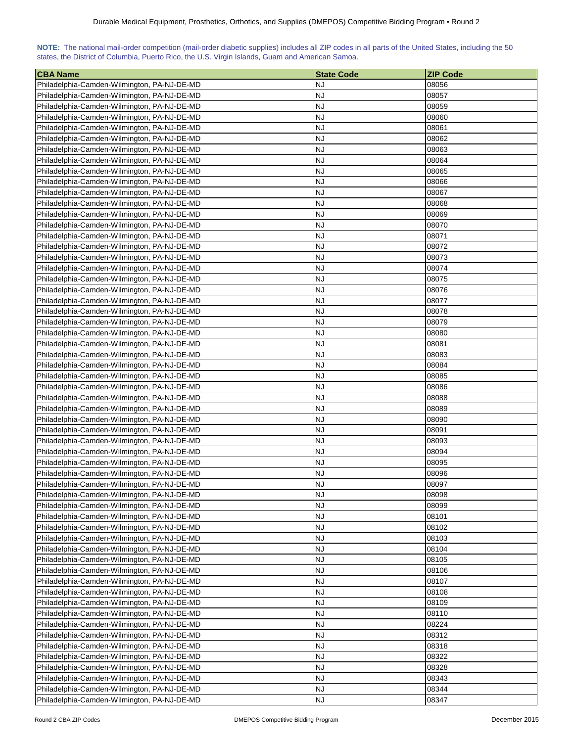| NOTE: The national mail-order competition (mail-order diabetic supplies) includes all ZIP codes in all parts of the United States, including the 50 |  |  |  |  |  |  |  |
|-----------------------------------------------------------------------------------------------------------------------------------------------------|--|--|--|--|--|--|--|
| states, the District of Columbia, Puerto Rico, the U.S. Virgin Islands, Guam and American Samoa.                                                    |  |  |  |  |  |  |  |

| <b>CBA Name</b>                             | <b>State Code</b> | <b>ZIP Code</b> |
|---------------------------------------------|-------------------|-----------------|
| Philadelphia-Camden-Wilmington, PA-NJ-DE-MD | NJ                | 08056           |
| Philadelphia-Camden-Wilmington, PA-NJ-DE-MD | <b>NJ</b>         | 08057           |
| Philadelphia-Camden-Wilmington, PA-NJ-DE-MD | <b>NJ</b>         | 08059           |
| Philadelphia-Camden-Wilmington, PA-NJ-DE-MD | <b>NJ</b>         | 08060           |
| Philadelphia-Camden-Wilmington, PA-NJ-DE-MD | <b>NJ</b>         | 08061           |
| Philadelphia-Camden-Wilmington, PA-NJ-DE-MD | NJ                | 08062           |
| Philadelphia-Camden-Wilmington, PA-NJ-DE-MD | <b>NJ</b>         | 08063           |
| Philadelphia-Camden-Wilmington, PA-NJ-DE-MD | <b>NJ</b>         | 08064           |
| Philadelphia-Camden-Wilmington, PA-NJ-DE-MD | <b>NJ</b>         | 08065           |
| Philadelphia-Camden-Wilmington, PA-NJ-DE-MD | <b>NJ</b>         | 08066           |
| Philadelphia-Camden-Wilmington, PA-NJ-DE-MD | <b>NJ</b>         | 08067           |
| Philadelphia-Camden-Wilmington, PA-NJ-DE-MD | <b>NJ</b>         | 08068           |
| Philadelphia-Camden-Wilmington, PA-NJ-DE-MD | <b>NJ</b>         | 08069           |
| Philadelphia-Camden-Wilmington, PA-NJ-DE-MD | <b>NJ</b>         | 08070           |
| Philadelphia-Camden-Wilmington, PA-NJ-DE-MD | <b>NJ</b>         | 08071           |
| Philadelphia-Camden-Wilmington, PA-NJ-DE-MD | <b>NJ</b>         | 08072           |
| Philadelphia-Camden-Wilmington, PA-NJ-DE-MD | <b>NJ</b>         | 08073           |
| Philadelphia-Camden-Wilmington, PA-NJ-DE-MD | <b>NJ</b>         | 08074           |
| Philadelphia-Camden-Wilmington, PA-NJ-DE-MD | <b>NJ</b>         | 08075           |
| Philadelphia-Camden-Wilmington, PA-NJ-DE-MD | <b>NJ</b>         | 08076           |
| Philadelphia-Camden-Wilmington, PA-NJ-DE-MD | <b>NJ</b>         | 08077           |
| Philadelphia-Camden-Wilmington, PA-NJ-DE-MD | <b>NJ</b>         | 08078           |
| Philadelphia-Camden-Wilmington, PA-NJ-DE-MD | <b>NJ</b>         | 08079           |
| Philadelphia-Camden-Wilmington, PA-NJ-DE-MD | <b>NJ</b>         | 08080           |
| Philadelphia-Camden-Wilmington, PA-NJ-DE-MD | <b>NJ</b>         | 08081           |
| Philadelphia-Camden-Wilmington, PA-NJ-DE-MD | <b>NJ</b>         | 08083           |
| Philadelphia-Camden-Wilmington, PA-NJ-DE-MD | <b>NJ</b>         | 08084           |
| Philadelphia-Camden-Wilmington, PA-NJ-DE-MD | <b>NJ</b>         | 08085           |
| Philadelphia-Camden-Wilmington, PA-NJ-DE-MD | <b>NJ</b>         | 08086           |
| Philadelphia-Camden-Wilmington, PA-NJ-DE-MD | <b>NJ</b>         | 08088           |
| Philadelphia-Camden-Wilmington, PA-NJ-DE-MD | <b>NJ</b>         | 08089           |
| Philadelphia-Camden-Wilmington, PA-NJ-DE-MD | <b>NJ</b>         | 08090           |
| Philadelphia-Camden-Wilmington, PA-NJ-DE-MD | <b>NJ</b>         | 08091           |
| Philadelphia-Camden-Wilmington, PA-NJ-DE-MD | <b>NJ</b>         | 08093           |
| Philadelphia-Camden-Wilmington, PA-NJ-DE-MD | <b>NJ</b>         | 08094           |
| Philadelphia-Camden-Wilmington, PA-NJ-DE-MD | <b>NJ</b>         | 08095           |
| Philadelphia-Camden-Wilmington, PA-NJ-DE-MD | <b>NJ</b>         | 08096           |
| Philadelphia-Camden-Wilmington, PA-NJ-DE-MD | <b>NJ</b>         | 08097           |
| Philadelphia-Camden-Wilmington, PA-NJ-DE-MD | <b>NJ</b>         | 08098           |
| Philadelphia-Camden-Wilmington, PA-NJ-DE-MD | <b>NJ</b>         | 08099           |
| Philadelphia-Camden-Wilmington, PA-NJ-DE-MD | <b>NJ</b>         | 08101           |
| Philadelphia-Camden-Wilmington, PA-NJ-DE-MD | <b>NJ</b>         | 08102           |
| Philadelphia-Camden-Wilmington, PA-NJ-DE-MD | <b>NJ</b>         | 08103           |
| Philadelphia-Camden-Wilmington, PA-NJ-DE-MD | <b>NJ</b>         | 08104           |
| Philadelphia-Camden-Wilmington, PA-NJ-DE-MD | <b>NJ</b>         | 08105           |
| Philadelphia-Camden-Wilmington, PA-NJ-DE-MD | NJ                | 08106           |
| Philadelphia-Camden-Wilmington, PA-NJ-DE-MD | <b>NJ</b>         | 08107           |
| Philadelphia-Camden-Wilmington, PA-NJ-DE-MD | <b>NJ</b>         | 08108           |
| Philadelphia-Camden-Wilmington, PA-NJ-DE-MD | NJ                | 08109           |
| Philadelphia-Camden-Wilmington, PA-NJ-DE-MD | <b>NJ</b>         | 08110           |
| Philadelphia-Camden-Wilmington, PA-NJ-DE-MD | <b>NJ</b>         | 08224           |
| Philadelphia-Camden-Wilmington, PA-NJ-DE-MD | <b>NJ</b>         | 08312           |
| Philadelphia-Camden-Wilmington, PA-NJ-DE-MD | <b>NJ</b>         | 08318           |
| Philadelphia-Camden-Wilmington, PA-NJ-DE-MD | <b>NJ</b>         | 08322           |
| Philadelphia-Camden-Wilmington, PA-NJ-DE-MD | <b>NJ</b>         | 08328           |
| Philadelphia-Camden-Wilmington, PA-NJ-DE-MD | <b>NJ</b>         | 08343           |
| Philadelphia-Camden-Wilmington, PA-NJ-DE-MD | <b>NJ</b>         | 08344           |
| Philadelphia-Camden-Wilmington, PA-NJ-DE-MD | <b>NJ</b>         | 08347           |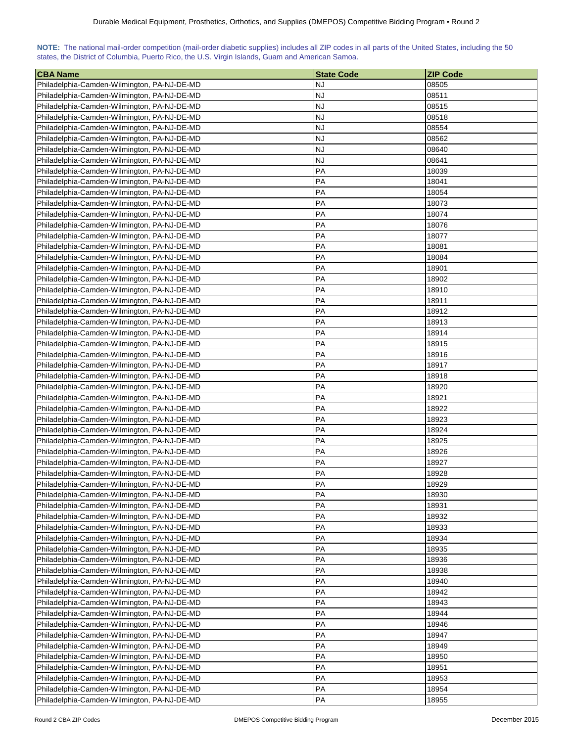| NOTE: The national mail-order competition (mail-order diabetic supplies) includes all ZIP codes in all parts of the United States, including the 50 |  |  |  |  |  |  |  |
|-----------------------------------------------------------------------------------------------------------------------------------------------------|--|--|--|--|--|--|--|
| states, the District of Columbia, Puerto Rico, the U.S. Virgin Islands, Guam and American Samoa.                                                    |  |  |  |  |  |  |  |

| <b>CBA Name</b>                             | <b>State Code</b> | <b>ZIP Code</b> |
|---------------------------------------------|-------------------|-----------------|
| Philadelphia-Camden-Wilmington, PA-NJ-DE-MD | NJ                | 08505           |
| Philadelphia-Camden-Wilmington, PA-NJ-DE-MD | <b>NJ</b>         | 08511           |
| Philadelphia-Camden-Wilmington, PA-NJ-DE-MD | <b>NJ</b>         | 08515           |
| Philadelphia-Camden-Wilmington, PA-NJ-DE-MD | <b>NJ</b>         | 08518           |
| Philadelphia-Camden-Wilmington, PA-NJ-DE-MD | <b>NJ</b>         | 08554           |
| Philadelphia-Camden-Wilmington, PA-NJ-DE-MD | <b>NJ</b>         | 08562           |
| Philadelphia-Camden-Wilmington, PA-NJ-DE-MD | <b>NJ</b>         | 08640           |
| Philadelphia-Camden-Wilmington, PA-NJ-DE-MD | <b>NJ</b>         | 08641           |
| Philadelphia-Camden-Wilmington, PA-NJ-DE-MD | PA                | 18039           |
| Philadelphia-Camden-Wilmington, PA-NJ-DE-MD | PA                | 18041           |
| Philadelphia-Camden-Wilmington, PA-NJ-DE-MD | PA                | 18054           |
| Philadelphia-Camden-Wilmington, PA-NJ-DE-MD | PA                | 18073           |
| Philadelphia-Camden-Wilmington, PA-NJ-DE-MD | PA                | 18074           |
| Philadelphia-Camden-Wilmington, PA-NJ-DE-MD | PA                | 18076           |
| Philadelphia-Camden-Wilmington, PA-NJ-DE-MD | PA                | 18077           |
| Philadelphia-Camden-Wilmington, PA-NJ-DE-MD | PA                | 18081           |
| Philadelphia-Camden-Wilmington, PA-NJ-DE-MD | PA                | 18084           |
| Philadelphia-Camden-Wilmington, PA-NJ-DE-MD | PA                | 18901           |
| Philadelphia-Camden-Wilmington, PA-NJ-DE-MD | PA                | 18902           |
| Philadelphia-Camden-Wilmington, PA-NJ-DE-MD | PA                | 18910           |
| Philadelphia-Camden-Wilmington, PA-NJ-DE-MD | PA                | 18911           |
| Philadelphia-Camden-Wilmington, PA-NJ-DE-MD | PA                | 18912           |
| Philadelphia-Camden-Wilmington, PA-NJ-DE-MD | PA                | 18913           |
| Philadelphia-Camden-Wilmington, PA-NJ-DE-MD | PA                | 18914           |
| Philadelphia-Camden-Wilmington, PA-NJ-DE-MD | PA                | 18915           |
| Philadelphia-Camden-Wilmington, PA-NJ-DE-MD | PA                | 18916           |
| Philadelphia-Camden-Wilmington, PA-NJ-DE-MD | PA                | 18917           |
| Philadelphia-Camden-Wilmington, PA-NJ-DE-MD | PA                | 18918           |
| Philadelphia-Camden-Wilmington, PA-NJ-DE-MD | PA                | 18920           |
| Philadelphia-Camden-Wilmington, PA-NJ-DE-MD | PA                | 18921           |
| Philadelphia-Camden-Wilmington, PA-NJ-DE-MD | PA                | 18922           |
| Philadelphia-Camden-Wilmington, PA-NJ-DE-MD | PA                | 18923           |
| Philadelphia-Camden-Wilmington, PA-NJ-DE-MD | PA                | 18924           |
| Philadelphia-Camden-Wilmington, PA-NJ-DE-MD | PA                | 18925           |
| Philadelphia-Camden-Wilmington, PA-NJ-DE-MD | PA                | 18926           |
| Philadelphia-Camden-Wilmington, PA-NJ-DE-MD | PA                | 18927           |
| Philadelphia-Camden-Wilmington, PA-NJ-DE-MD | PA                | 18928           |
| Philadelphia-Camden-Wilmington, PA-NJ-DE-MD | PA                | 18929           |
| Philadelphia-Camden-Wilmington, PA-NJ-DE-MD | PA                | 18930           |
| Philadelphia-Camden-Wilmington, PA-NJ-DE-MD | PA                | 18931           |
| Philadelphia-Camden-Wilmington, PA-NJ-DE-MD | PA                | 18932           |
| Philadelphia-Camden-Wilmington, PA-NJ-DE-MD | PA                | 18933           |
| Philadelphia-Camden-Wilmington, PA-NJ-DE-MD | PA                | 18934           |
| Philadelphia-Camden-Wilmington, PA-NJ-DE-MD | PA                | 18935           |
| Philadelphia-Camden-Wilmington, PA-NJ-DE-MD | PA                | 18936           |
| Philadelphia-Camden-Wilmington, PA-NJ-DE-MD | PA                | 18938           |
| Philadelphia-Camden-Wilmington, PA-NJ-DE-MD | PA                | 18940           |
| Philadelphia-Camden-Wilmington, PA-NJ-DE-MD | PA                | 18942           |
| Philadelphia-Camden-Wilmington, PA-NJ-DE-MD | PA                | 18943           |
| Philadelphia-Camden-Wilmington, PA-NJ-DE-MD | PA                | 18944           |
| Philadelphia-Camden-Wilmington, PA-NJ-DE-MD | PA                | 18946           |
| Philadelphia-Camden-Wilmington, PA-NJ-DE-MD | PA                | 18947           |
| Philadelphia-Camden-Wilmington, PA-NJ-DE-MD | PA                | 18949           |
| Philadelphia-Camden-Wilmington, PA-NJ-DE-MD | PA                | 18950           |
| Philadelphia-Camden-Wilmington, PA-NJ-DE-MD | PA                | 18951           |
| Philadelphia-Camden-Wilmington, PA-NJ-DE-MD | PA                | 18953           |
| Philadelphia-Camden-Wilmington, PA-NJ-DE-MD | PA                | 18954           |
| Philadelphia-Camden-Wilmington, PA-NJ-DE-MD | PA                | 18955           |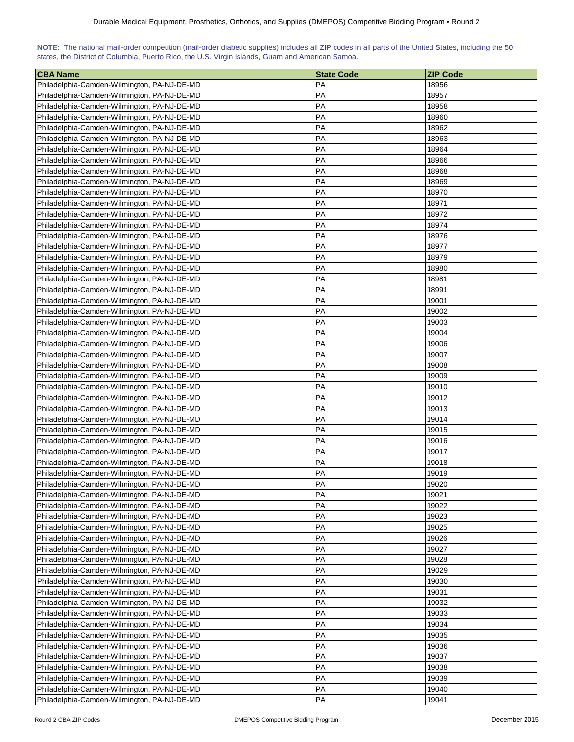| NOTE: The national mail-order competition (mail-order diabetic supplies) includes all ZIP codes in all parts of the United States, including the 50 |  |  |  |  |  |  |  |
|-----------------------------------------------------------------------------------------------------------------------------------------------------|--|--|--|--|--|--|--|
| states, the District of Columbia, Puerto Rico, the U.S. Virgin Islands, Guam and American Samoa.                                                    |  |  |  |  |  |  |  |

| <b>CBA Name</b>                             | <b>State Code</b> | <b>ZIP Code</b> |
|---------------------------------------------|-------------------|-----------------|
| Philadelphia-Camden-Wilmington, PA-NJ-DE-MD | PA                | 18956           |
| Philadelphia-Camden-Wilmington, PA-NJ-DE-MD | PA                | 18957           |
| Philadelphia-Camden-Wilmington, PA-NJ-DE-MD | PA                | 18958           |
| Philadelphia-Camden-Wilmington, PA-NJ-DE-MD | PA                | 18960           |
| Philadelphia-Camden-Wilmington, PA-NJ-DE-MD | PA                | 18962           |
| Philadelphia-Camden-Wilmington, PA-NJ-DE-MD | PA                | 18963           |
| Philadelphia-Camden-Wilmington, PA-NJ-DE-MD | PA                | 18964           |
| Philadelphia-Camden-Wilmington, PA-NJ-DE-MD | PA                | 18966           |
| Philadelphia-Camden-Wilmington, PA-NJ-DE-MD | PA                | 18968           |
| Philadelphia-Camden-Wilmington, PA-NJ-DE-MD | PA                | 18969           |
| Philadelphia-Camden-Wilmington, PA-NJ-DE-MD | PA                | 18970           |
| Philadelphia-Camden-Wilmington, PA-NJ-DE-MD | PA                | 18971           |
| Philadelphia-Camden-Wilmington, PA-NJ-DE-MD | PA                | 18972           |
| Philadelphia-Camden-Wilmington, PA-NJ-DE-MD | PA                | 18974           |
| Philadelphia-Camden-Wilmington, PA-NJ-DE-MD | PA                | 18976           |
| Philadelphia-Camden-Wilmington, PA-NJ-DE-MD | PA                | 18977           |
| Philadelphia-Camden-Wilmington, PA-NJ-DE-MD | PA                | 18979           |
| Philadelphia-Camden-Wilmington, PA-NJ-DE-MD | PA                | 18980           |
| Philadelphia-Camden-Wilmington, PA-NJ-DE-MD | PA                | 18981           |
| Philadelphia-Camden-Wilmington, PA-NJ-DE-MD | PA                | 18991           |
| Philadelphia-Camden-Wilmington, PA-NJ-DE-MD | PA                | 19001           |
| Philadelphia-Camden-Wilmington, PA-NJ-DE-MD | PA                | 19002           |
| Philadelphia-Camden-Wilmington, PA-NJ-DE-MD | PA                | 19003           |
| Philadelphia-Camden-Wilmington, PA-NJ-DE-MD | PA                | 19004           |
| Philadelphia-Camden-Wilmington, PA-NJ-DE-MD | PA                | 19006           |
| Philadelphia-Camden-Wilmington, PA-NJ-DE-MD | PA                | 19007           |
| Philadelphia-Camden-Wilmington, PA-NJ-DE-MD | PA                | 19008           |
| Philadelphia-Camden-Wilmington, PA-NJ-DE-MD | PA                | 19009           |
| Philadelphia-Camden-Wilmington, PA-NJ-DE-MD | PA                | 19010           |
| Philadelphia-Camden-Wilmington, PA-NJ-DE-MD | PA                | 19012           |
| Philadelphia-Camden-Wilmington, PA-NJ-DE-MD | PA                | 19013           |
| Philadelphia-Camden-Wilmington, PA-NJ-DE-MD | PA                | 19014           |
| Philadelphia-Camden-Wilmington, PA-NJ-DE-MD | PA                | 19015           |
| Philadelphia-Camden-Wilmington, PA-NJ-DE-MD | PA                | 19016           |
| Philadelphia-Camden-Wilmington, PA-NJ-DE-MD | PA                | 19017           |
| Philadelphia-Camden-Wilmington, PA-NJ-DE-MD | PA                | 19018           |
| Philadelphia-Camden-Wilmington, PA-NJ-DE-MD | PA                | 19019           |
| Philadelphia-Camden-Wilmington, PA-NJ-DE-MD | PA                | 19020           |
| Philadelphia-Camden-Wilmington, PA-NJ-DE-MD | PA                | 19021           |
| Philadelphia-Camden-Wilmington, PA-NJ-DE-MD | PA                | 19022           |
| Philadelphia-Camden-Wilmington, PA-NJ-DE-MD | PA                | 19023           |
| Philadelphia-Camden-Wilmington, PA-NJ-DE-MD | PA                | 19025           |
| Philadelphia-Camden-Wilmington, PA-NJ-DE-MD | PA                | 19026           |
| Philadelphia-Camden-Wilmington, PA-NJ-DE-MD | PA                | 19027           |
| Philadelphia-Camden-Wilmington, PA-NJ-DE-MD | PA                | 19028           |
| Philadelphia-Camden-Wilmington, PA-NJ-DE-MD | PA                | 19029           |
| Philadelphia-Camden-Wilmington, PA-NJ-DE-MD | PA                | 19030           |
| Philadelphia-Camden-Wilmington, PA-NJ-DE-MD | PA                | 19031           |
| Philadelphia-Camden-Wilmington, PA-NJ-DE-MD | PA                | 19032           |
| Philadelphia-Camden-Wilmington, PA-NJ-DE-MD | PA                | 19033           |
| Philadelphia-Camden-Wilmington, PA-NJ-DE-MD | PA                | 19034           |
| Philadelphia-Camden-Wilmington, PA-NJ-DE-MD | PA                | 19035           |
| Philadelphia-Camden-Wilmington, PA-NJ-DE-MD | PA                | 19036           |
| Philadelphia-Camden-Wilmington, PA-NJ-DE-MD | PA                | 19037           |
| Philadelphia-Camden-Wilmington, PA-NJ-DE-MD | PA                | 19038           |
| Philadelphia-Camden-Wilmington, PA-NJ-DE-MD | PA                | 19039           |
| Philadelphia-Camden-Wilmington, PA-NJ-DE-MD | PA                | 19040           |
| Philadelphia-Camden-Wilmington, PA-NJ-DE-MD | PA                | 19041           |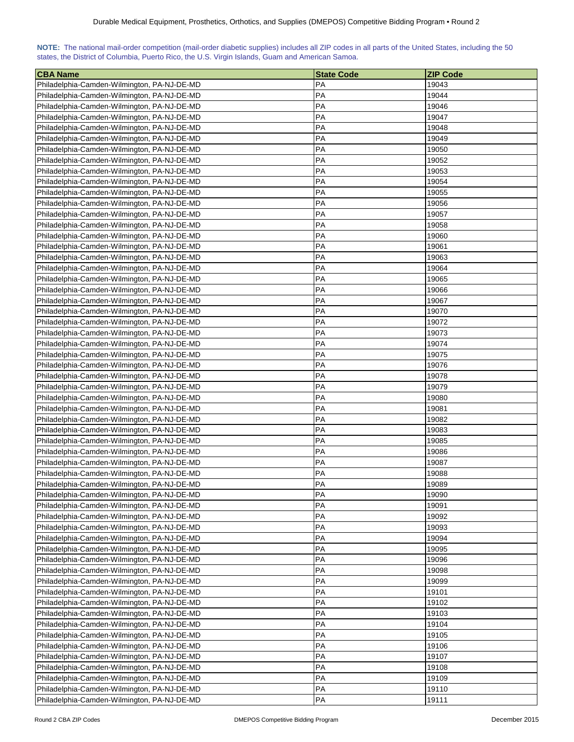| NOTE: The national mail-order competition (mail-order diabetic supplies) includes all ZIP codes in all parts of the United States, including the 50 |  |  |  |  |  |  |  |
|-----------------------------------------------------------------------------------------------------------------------------------------------------|--|--|--|--|--|--|--|
| states, the District of Columbia, Puerto Rico, the U.S. Virgin Islands, Guam and American Samoa.                                                    |  |  |  |  |  |  |  |

| <b>CBA Name</b>                                                                            | <b>State Code</b> | <b>ZIP Code</b> |
|--------------------------------------------------------------------------------------------|-------------------|-----------------|
| Philadelphia-Camden-Wilmington, PA-NJ-DE-MD                                                | PA                | 19043           |
| Philadelphia-Camden-Wilmington, PA-NJ-DE-MD                                                | PA                | 19044           |
| Philadelphia-Camden-Wilmington, PA-NJ-DE-MD                                                | PA                | 19046           |
| Philadelphia-Camden-Wilmington, PA-NJ-DE-MD                                                | PA                | 19047           |
| Philadelphia-Camden-Wilmington, PA-NJ-DE-MD                                                | PA                | 19048           |
| Philadelphia-Camden-Wilmington, PA-NJ-DE-MD                                                | PA                | 19049           |
| Philadelphia-Camden-Wilmington, PA-NJ-DE-MD                                                | PA                | 19050           |
| Philadelphia-Camden-Wilmington, PA-NJ-DE-MD                                                | PA                | 19052           |
| Philadelphia-Camden-Wilmington, PA-NJ-DE-MD                                                | PA                | 19053           |
| Philadelphia-Camden-Wilmington, PA-NJ-DE-MD                                                | PA                | 19054           |
| Philadelphia-Camden-Wilmington, PA-NJ-DE-MD                                                | PA                | 19055           |
| Philadelphia-Camden-Wilmington, PA-NJ-DE-MD                                                | PA                | 19056           |
| Philadelphia-Camden-Wilmington, PA-NJ-DE-MD                                                | PA                | 19057           |
| Philadelphia-Camden-Wilmington, PA-NJ-DE-MD                                                | <b>PA</b>         | 19058           |
| Philadelphia-Camden-Wilmington, PA-NJ-DE-MD                                                | PA                | 19060           |
| Philadelphia-Camden-Wilmington, PA-NJ-DE-MD                                                | PA                | 19061           |
| Philadelphia-Camden-Wilmington, PA-NJ-DE-MD                                                | PA                | 19063           |
| Philadelphia-Camden-Wilmington, PA-NJ-DE-MD                                                | PA                | 19064           |
| Philadelphia-Camden-Wilmington, PA-NJ-DE-MD                                                | PA                | 19065           |
| Philadelphia-Camden-Wilmington, PA-NJ-DE-MD                                                | PA                | 19066           |
| Philadelphia-Camden-Wilmington, PA-NJ-DE-MD                                                | PA                | 19067           |
| Philadelphia-Camden-Wilmington, PA-NJ-DE-MD                                                | PA                | 19070           |
|                                                                                            | PA                |                 |
| Philadelphia-Camden-Wilmington, PA-NJ-DE-MD<br>Philadelphia-Camden-Wilmington, PA-NJ-DE-MD | PA                | 19072<br>19073  |
|                                                                                            | PA                |                 |
| Philadelphia-Camden-Wilmington, PA-NJ-DE-MD                                                |                   | 19074           |
| Philadelphia-Camden-Wilmington, PA-NJ-DE-MD                                                | PA                | 19075           |
| Philadelphia-Camden-Wilmington, PA-NJ-DE-MD                                                | <b>PA</b>         | 19076           |
| Philadelphia-Camden-Wilmington, PA-NJ-DE-MD                                                | PA                | 19078           |
| Philadelphia-Camden-Wilmington, PA-NJ-DE-MD                                                | PA                | 19079           |
| Philadelphia-Camden-Wilmington, PA-NJ-DE-MD                                                | PA                | 19080           |
| Philadelphia-Camden-Wilmington, PA-NJ-DE-MD                                                | PA                | 19081           |
| Philadelphia-Camden-Wilmington, PA-NJ-DE-MD                                                | PA                | 19082           |
| Philadelphia-Camden-Wilmington, PA-NJ-DE-MD                                                | PA                | 19083           |
| Philadelphia-Camden-Wilmington, PA-NJ-DE-MD                                                | PA                | 19085           |
| Philadelphia-Camden-Wilmington, PA-NJ-DE-MD                                                | PA                | 19086           |
| Philadelphia-Camden-Wilmington, PA-NJ-DE-MD                                                | PA                | 19087           |
| Philadelphia-Camden-Wilmington, PA-NJ-DE-MD                                                | PA                | 19088           |
| Philadelphia-Camden-Wilmington, PA-NJ-DE-MD                                                | PA                | 19089           |
| Philadelphia-Camden-Wilmington, PA-NJ-DE-MD                                                | PA                | 19090           |
| Philadelphia-Camden-Wilmington, PA-NJ-DE-MD                                                | PA                | 19091           |
| Philadelphia-Camden-Wilmington, PA-NJ-DE-MD                                                | PA                | 19092           |
| Philadelphia-Camden-Wilmington, PA-NJ-DE-MD                                                | <b>PA</b>         | 19093           |
| Philadelphia-Camden-Wilmington, PA-NJ-DE-MD                                                | PA                | 19094           |
| Philadelphia-Camden-Wilmington, PA-NJ-DE-MD                                                | PA                | 19095           |
| Philadelphia-Camden-Wilmington, PA-NJ-DE-MD                                                | PA                | 19096           |
| Philadelphia-Camden-Wilmington, PA-NJ-DE-MD                                                | PA                | 19098           |
| Philadelphia-Camden-Wilmington, PA-NJ-DE-MD                                                | PA                | 19099           |
| Philadelphia-Camden-Wilmington, PA-NJ-DE-MD                                                | PA                | 19101           |
| Philadelphia-Camden-Wilmington, PA-NJ-DE-MD                                                | PA                | 19102           |
| Philadelphia-Camden-Wilmington, PA-NJ-DE-MD                                                | PA                | 19103           |
| Philadelphia-Camden-Wilmington, PA-NJ-DE-MD                                                | PA                | 19104           |
| Philadelphia-Camden-Wilmington, PA-NJ-DE-MD                                                | PA                | 19105           |
| Philadelphia-Camden-Wilmington, PA-NJ-DE-MD                                                | PA                | 19106           |
| Philadelphia-Camden-Wilmington, PA-NJ-DE-MD                                                | PA                | 19107           |
| Philadelphia-Camden-Wilmington, PA-NJ-DE-MD                                                | PA                | 19108           |
| Philadelphia-Camden-Wilmington, PA-NJ-DE-MD                                                | PA                | 19109           |
| Philadelphia-Camden-Wilmington, PA-NJ-DE-MD                                                | PA                | 19110           |
| Philadelphia-Camden-Wilmington, PA-NJ-DE-MD                                                | PA                | 19111           |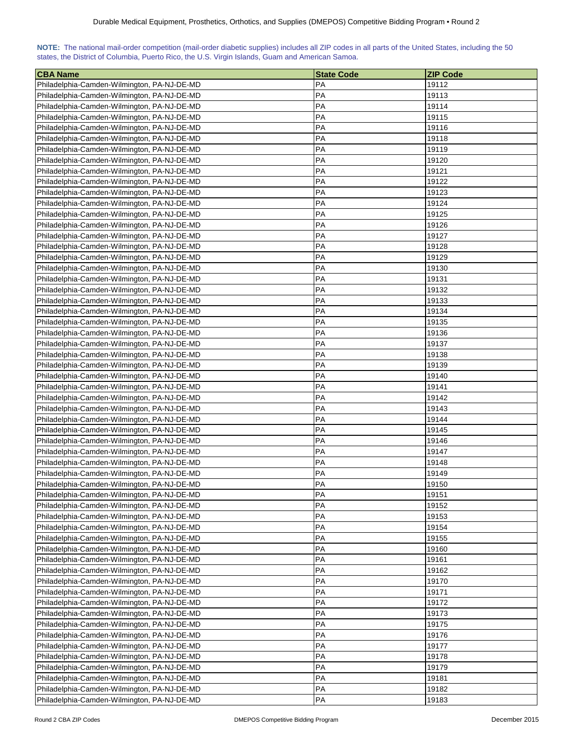| NOTE: The national mail-order competition (mail-order diabetic supplies) includes all ZIP codes in all parts of the United States, including the 50 |  |  |  |  |  |  |  |
|-----------------------------------------------------------------------------------------------------------------------------------------------------|--|--|--|--|--|--|--|
| states, the District of Columbia, Puerto Rico, the U.S. Virgin Islands, Guam and American Samoa.                                                    |  |  |  |  |  |  |  |

| <b>CBA Name</b>                                                                            | <b>State Code</b> | <b>ZIP Code</b> |
|--------------------------------------------------------------------------------------------|-------------------|-----------------|
| Philadelphia-Camden-Wilmington, PA-NJ-DE-MD                                                | PA                | 19112           |
| Philadelphia-Camden-Wilmington, PA-NJ-DE-MD                                                | PA                | 19113           |
| Philadelphia-Camden-Wilmington, PA-NJ-DE-MD                                                | PA                | 19114           |
| Philadelphia-Camden-Wilmington, PA-NJ-DE-MD                                                | PA                | 19115           |
| Philadelphia-Camden-Wilmington, PA-NJ-DE-MD                                                | PA                | 19116           |
| Philadelphia-Camden-Wilmington, PA-NJ-DE-MD                                                | PA                | 19118           |
| Philadelphia-Camden-Wilmington, PA-NJ-DE-MD                                                | PA                | 19119           |
| Philadelphia-Camden-Wilmington, PA-NJ-DE-MD                                                | PA                | 19120           |
| Philadelphia-Camden-Wilmington, PA-NJ-DE-MD                                                | PA                | 19121           |
| Philadelphia-Camden-Wilmington, PA-NJ-DE-MD                                                | PA                | 19122           |
| Philadelphia-Camden-Wilmington, PA-NJ-DE-MD                                                | PA                | 19123           |
| Philadelphia-Camden-Wilmington, PA-NJ-DE-MD                                                | PA                | 19124           |
| Philadelphia-Camden-Wilmington, PA-NJ-DE-MD                                                | PA                | 19125           |
| Philadelphia-Camden-Wilmington, PA-NJ-DE-MD                                                | PA                | 19126           |
| Philadelphia-Camden-Wilmington, PA-NJ-DE-MD                                                | PA                | 19127           |
| Philadelphia-Camden-Wilmington, PA-NJ-DE-MD                                                | PA                | 19128           |
| Philadelphia-Camden-Wilmington, PA-NJ-DE-MD                                                | PA                | 19129           |
| Philadelphia-Camden-Wilmington, PA-NJ-DE-MD                                                | PA                | 19130           |
| Philadelphia-Camden-Wilmington, PA-NJ-DE-MD                                                | PA                | 19131           |
| Philadelphia-Camden-Wilmington, PA-NJ-DE-MD                                                | PA                | 19132           |
| Philadelphia-Camden-Wilmington, PA-NJ-DE-MD                                                | PA                | 19133           |
| Philadelphia-Camden-Wilmington, PA-NJ-DE-MD                                                | PA                | 19134           |
|                                                                                            | PA                | 19135           |
| Philadelphia-Camden-Wilmington, PA-NJ-DE-MD                                                | PA                | 19136           |
| Philadelphia-Camden-Wilmington, PA-NJ-DE-MD                                                | PA                | 19137           |
| Philadelphia-Camden-Wilmington, PA-NJ-DE-MD<br>Philadelphia-Camden-Wilmington, PA-NJ-DE-MD | PA                | 19138           |
|                                                                                            |                   |                 |
| Philadelphia-Camden-Wilmington, PA-NJ-DE-MD                                                | PA                | 19139           |
| Philadelphia-Camden-Wilmington, PA-NJ-DE-MD                                                | PA                | 19140           |
| Philadelphia-Camden-Wilmington, PA-NJ-DE-MD                                                | PA<br>PA          | 19141           |
| Philadelphia-Camden-Wilmington, PA-NJ-DE-MD                                                | PA                | 19142<br>19143  |
| Philadelphia-Camden-Wilmington, PA-NJ-DE-MD                                                | PA                |                 |
| Philadelphia-Camden-Wilmington, PA-NJ-DE-MD                                                | PA                | 19144           |
| Philadelphia-Camden-Wilmington, PA-NJ-DE-MD                                                | PA                | 19145           |
| Philadelphia-Camden-Wilmington, PA-NJ-DE-MD                                                | PA                | 19146<br>19147  |
| Philadelphia-Camden-Wilmington, PA-NJ-DE-MD                                                |                   |                 |
| Philadelphia-Camden-Wilmington, PA-NJ-DE-MD                                                | PA                | 19148           |
| Philadelphia-Camden-Wilmington, PA-NJ-DE-MD                                                | PA                | 19149           |
| Philadelphia-Camden-Wilmington, PA-NJ-DE-MD                                                | PA                | 19150           |
| Philadelphia-Camden-Wilmington, PA-NJ-DE-MD                                                | PA                | 19151           |
| Philadelphia-Camden-Wilmington, PA-NJ-DE-MD                                                | PA                | 19152           |
| Philadelphia-Camden-Wilmington, PA-NJ-DE-MD                                                | PA                | 19153           |
| Philadelphia-Camden-Wilmington, PA-NJ-DE-MD                                                | PA                | 19154           |
| Philadelphia-Camden-Wilmington, PA-NJ-DE-MD                                                | PA                | 19155           |
| Philadelphia-Camden-Wilmington, PA-NJ-DE-MD                                                | PA                | 19160           |
| Philadelphia-Camden-Wilmington, PA-NJ-DE-MD                                                | PA                | 19161           |
| Philadelphia-Camden-Wilmington, PA-NJ-DE-MD                                                | PA                | 19162           |
| Philadelphia-Camden-Wilmington, PA-NJ-DE-MD                                                | PA                | 19170           |
| Philadelphia-Camden-Wilmington, PA-NJ-DE-MD                                                | PA                | 19171           |
| Philadelphia-Camden-Wilmington, PA-NJ-DE-MD                                                | PA                | 19172           |
| Philadelphia-Camden-Wilmington, PA-NJ-DE-MD                                                | PA                | 19173           |
| Philadelphia-Camden-Wilmington, PA-NJ-DE-MD                                                | PA                | 19175           |
| Philadelphia-Camden-Wilmington, PA-NJ-DE-MD                                                | PA                | 19176           |
| Philadelphia-Camden-Wilmington, PA-NJ-DE-MD                                                | PA                | 19177           |
| Philadelphia-Camden-Wilmington, PA-NJ-DE-MD                                                | PA                | 19178           |
| Philadelphia-Camden-Wilmington, PA-NJ-DE-MD                                                | PA                | 19179           |
| Philadelphia-Camden-Wilmington, PA-NJ-DE-MD                                                | PA                | 19181           |
| Philadelphia-Camden-Wilmington, PA-NJ-DE-MD                                                | PA                | 19182           |
| Philadelphia-Camden-Wilmington, PA-NJ-DE-MD                                                | PA                | 19183           |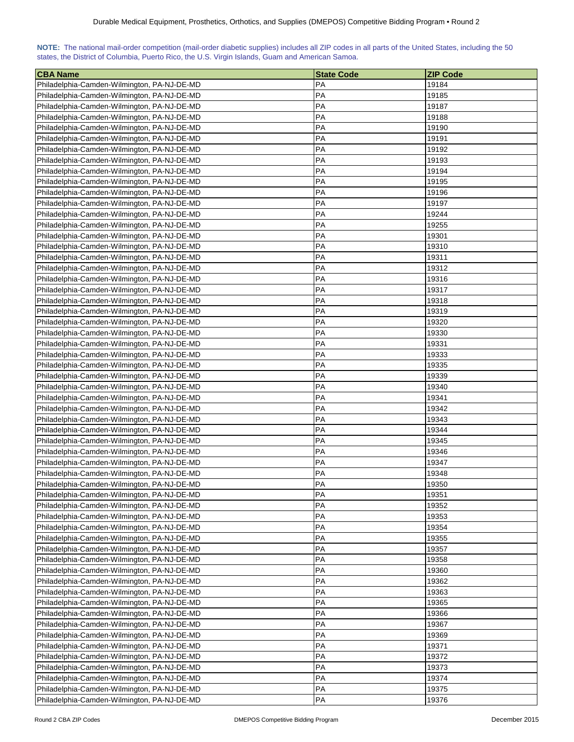| NOTE: The national mail-order competition (mail-order diabetic supplies) includes all ZIP codes in all parts of the United States, including the 50 |  |  |  |  |  |  |  |
|-----------------------------------------------------------------------------------------------------------------------------------------------------|--|--|--|--|--|--|--|
| states, the District of Columbia, Puerto Rico, the U.S. Virgin Islands, Guam and American Samoa.                                                    |  |  |  |  |  |  |  |

| <b>CBA Name</b>                             | <b>State Code</b> | <b>ZIP Code</b> |
|---------------------------------------------|-------------------|-----------------|
| Philadelphia-Camden-Wilmington, PA-NJ-DE-MD | PA                | 19184           |
| Philadelphia-Camden-Wilmington, PA-NJ-DE-MD | PA                | 19185           |
| Philadelphia-Camden-Wilmington, PA-NJ-DE-MD | PA                | 19187           |
| Philadelphia-Camden-Wilmington, PA-NJ-DE-MD | PA                | 19188           |
| Philadelphia-Camden-Wilmington, PA-NJ-DE-MD | PA                | 19190           |
| Philadelphia-Camden-Wilmington, PA-NJ-DE-MD | PA                | 19191           |
| Philadelphia-Camden-Wilmington, PA-NJ-DE-MD | PA                | 19192           |
| Philadelphia-Camden-Wilmington, PA-NJ-DE-MD | PA                | 19193           |
| Philadelphia-Camden-Wilmington, PA-NJ-DE-MD | PA                | 19194           |
| Philadelphia-Camden-Wilmington, PA-NJ-DE-MD | PA                | 19195           |
| Philadelphia-Camden-Wilmington, PA-NJ-DE-MD | PA                | 19196           |
| Philadelphia-Camden-Wilmington, PA-NJ-DE-MD | PA                | 19197           |
| Philadelphia-Camden-Wilmington, PA-NJ-DE-MD | PA                | 19244           |
| Philadelphia-Camden-Wilmington, PA-NJ-DE-MD | PA                | 19255           |
| Philadelphia-Camden-Wilmington, PA-NJ-DE-MD | PA                | 19301           |
| Philadelphia-Camden-Wilmington, PA-NJ-DE-MD | PA                | 19310           |
| Philadelphia-Camden-Wilmington, PA-NJ-DE-MD | PA                | 19311           |
| Philadelphia-Camden-Wilmington, PA-NJ-DE-MD | PA                | 19312           |
| Philadelphia-Camden-Wilmington, PA-NJ-DE-MD | PA                | 19316           |
| Philadelphia-Camden-Wilmington, PA-NJ-DE-MD | PA                | 19317           |
| Philadelphia-Camden-Wilmington, PA-NJ-DE-MD | PA                | 19318           |
| Philadelphia-Camden-Wilmington, PA-NJ-DE-MD | PA                | 19319           |
| Philadelphia-Camden-Wilmington, PA-NJ-DE-MD | PA                | 19320           |
| Philadelphia-Camden-Wilmington, PA-NJ-DE-MD | PA                | 19330           |
|                                             | PA                | 19331           |
| Philadelphia-Camden-Wilmington, PA-NJ-DE-MD |                   |                 |
| Philadelphia-Camden-Wilmington, PA-NJ-DE-MD | PA                | 19333           |
| Philadelphia-Camden-Wilmington, PA-NJ-DE-MD | PA                | 19335           |
| Philadelphia-Camden-Wilmington, PA-NJ-DE-MD | PA                | 19339           |
| Philadelphia-Camden-Wilmington, PA-NJ-DE-MD | PA                | 19340           |
| Philadelphia-Camden-Wilmington, PA-NJ-DE-MD | PA                | 19341           |
| Philadelphia-Camden-Wilmington, PA-NJ-DE-MD | PA                | 19342           |
| Philadelphia-Camden-Wilmington, PA-NJ-DE-MD | PA                | 19343           |
| Philadelphia-Camden-Wilmington, PA-NJ-DE-MD | PA                | 19344           |
| Philadelphia-Camden-Wilmington, PA-NJ-DE-MD | PA                | 19345           |
| Philadelphia-Camden-Wilmington, PA-NJ-DE-MD | PA                | 19346           |
| Philadelphia-Camden-Wilmington, PA-NJ-DE-MD | PA                | 19347           |
| Philadelphia-Camden-Wilmington, PA-NJ-DE-MD | PA                | 19348           |
| Philadelphia-Camden-Wilmington, PA-NJ-DE-MD | PA                | 19350           |
| Philadelphia-Camden-Wilmington, PA-NJ-DE-MD | PA                | 19351           |
| Philadelphia-Camden-Wilmington, PA-NJ-DE-MD | PA                | 19352           |
| Philadelphia-Camden-Wilmington, PA-NJ-DE-MD | PA                | 19353           |
| Philadelphia-Camden-Wilmington, PA-NJ-DE-MD | PA                | 19354           |
| Philadelphia-Camden-Wilmington, PA-NJ-DE-MD | PA                | 19355           |
| Philadelphia-Camden-Wilmington, PA-NJ-DE-MD | PA                | 19357           |
| Philadelphia-Camden-Wilmington, PA-NJ-DE-MD | PA                | 19358           |
| Philadelphia-Camden-Wilmington, PA-NJ-DE-MD | PA                | 19360           |
| Philadelphia-Camden-Wilmington, PA-NJ-DE-MD | PA                | 19362           |
| Philadelphia-Camden-Wilmington, PA-NJ-DE-MD | PA                | 19363           |
| Philadelphia-Camden-Wilmington, PA-NJ-DE-MD | PA                | 19365           |
| Philadelphia-Camden-Wilmington, PA-NJ-DE-MD | PA                | 19366           |
| Philadelphia-Camden-Wilmington, PA-NJ-DE-MD | PA                | 19367           |
| Philadelphia-Camden-Wilmington, PA-NJ-DE-MD | PA                | 19369           |
| Philadelphia-Camden-Wilmington, PA-NJ-DE-MD | PA                | 19371           |
| Philadelphia-Camden-Wilmington, PA-NJ-DE-MD | PA                | 19372           |
| Philadelphia-Camden-Wilmington, PA-NJ-DE-MD | PA                | 19373           |
| Philadelphia-Camden-Wilmington, PA-NJ-DE-MD | PA                | 19374           |
| Philadelphia-Camden-Wilmington, PA-NJ-DE-MD | PA                | 19375           |
| Philadelphia-Camden-Wilmington, PA-NJ-DE-MD | PA                | 19376           |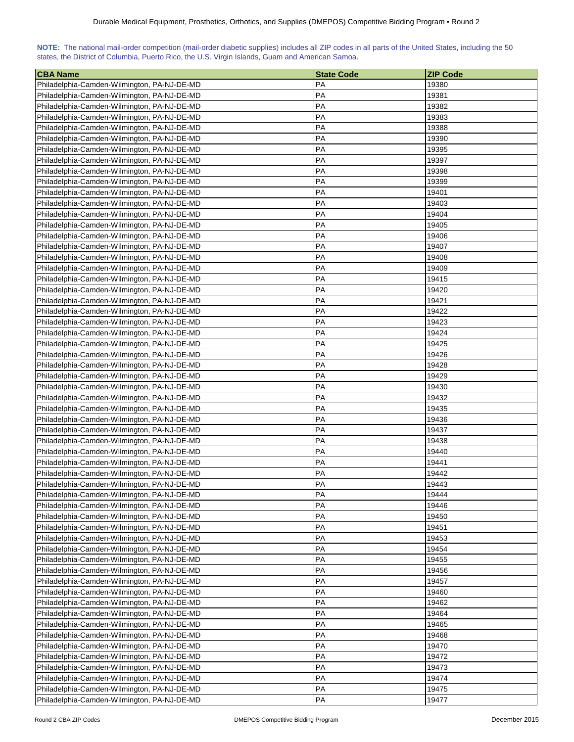| NOTE: The national mail-order competition (mail-order diabetic supplies) includes all ZIP codes in all parts of the United States, including the 50 |  |  |  |  |  |  |  |
|-----------------------------------------------------------------------------------------------------------------------------------------------------|--|--|--|--|--|--|--|
| states, the District of Columbia, Puerto Rico, the U.S. Virgin Islands, Guam and American Samoa.                                                    |  |  |  |  |  |  |  |

| <b>CBA Name</b>                             | <b>State Code</b> | <b>ZIP Code</b> |
|---------------------------------------------|-------------------|-----------------|
| Philadelphia-Camden-Wilmington, PA-NJ-DE-MD | PA                | 19380           |
| Philadelphia-Camden-Wilmington, PA-NJ-DE-MD | PA                | 19381           |
| Philadelphia-Camden-Wilmington, PA-NJ-DE-MD | PA                | 19382           |
| Philadelphia-Camden-Wilmington, PA-NJ-DE-MD | PA                | 19383           |
| Philadelphia-Camden-Wilmington, PA-NJ-DE-MD | PA                | 19388           |
| Philadelphia-Camden-Wilmington, PA-NJ-DE-MD | PA                | 19390           |
| Philadelphia-Camden-Wilmington, PA-NJ-DE-MD | PA                | 19395           |
| Philadelphia-Camden-Wilmington, PA-NJ-DE-MD | PA                | 19397           |
| Philadelphia-Camden-Wilmington, PA-NJ-DE-MD | PA                | 19398           |
| Philadelphia-Camden-Wilmington, PA-NJ-DE-MD | PA                | 19399           |
| Philadelphia-Camden-Wilmington, PA-NJ-DE-MD | PA                | 19401           |
| Philadelphia-Camden-Wilmington, PA-NJ-DE-MD | PA                | 19403           |
| Philadelphia-Camden-Wilmington, PA-NJ-DE-MD | PA                | 19404           |
| Philadelphia-Camden-Wilmington, PA-NJ-DE-MD | PA                | 19405           |
| Philadelphia-Camden-Wilmington, PA-NJ-DE-MD | PA                | 19406           |
| Philadelphia-Camden-Wilmington, PA-NJ-DE-MD | PA                | 19407           |
| Philadelphia-Camden-Wilmington, PA-NJ-DE-MD | PA                | 19408           |
| Philadelphia-Camden-Wilmington, PA-NJ-DE-MD | PA                | 19409           |
| Philadelphia-Camden-Wilmington, PA-NJ-DE-MD | PA                | 19415           |
| Philadelphia-Camden-Wilmington, PA-NJ-DE-MD | PA                | 19420           |
| Philadelphia-Camden-Wilmington, PA-NJ-DE-MD | PA                | 19421           |
| Philadelphia-Camden-Wilmington, PA-NJ-DE-MD | PA                | 19422           |
| Philadelphia-Camden-Wilmington, PA-NJ-DE-MD | PA                | 19423           |
| Philadelphia-Camden-Wilmington, PA-NJ-DE-MD | PA                | 19424           |
| Philadelphia-Camden-Wilmington, PA-NJ-DE-MD | PA                | 19425           |
| Philadelphia-Camden-Wilmington, PA-NJ-DE-MD | PA                | 19426           |
| Philadelphia-Camden-Wilmington, PA-NJ-DE-MD | PA                | 19428           |
| Philadelphia-Camden-Wilmington, PA-NJ-DE-MD | PA                | 19429           |
| Philadelphia-Camden-Wilmington, PA-NJ-DE-MD | PA                | 19430           |
| Philadelphia-Camden-Wilmington, PA-NJ-DE-MD | PA                | 19432           |
| Philadelphia-Camden-Wilmington, PA-NJ-DE-MD | PA                | 19435           |
| Philadelphia-Camden-Wilmington, PA-NJ-DE-MD | PA                | 19436           |
| Philadelphia-Camden-Wilmington, PA-NJ-DE-MD | PA                | 19437           |
| Philadelphia-Camden-Wilmington, PA-NJ-DE-MD | PA                | 19438           |
| Philadelphia-Camden-Wilmington, PA-NJ-DE-MD | PA                | 19440           |
| Philadelphia-Camden-Wilmington, PA-NJ-DE-MD | PA                | 19441           |
| Philadelphia-Camden-Wilmington, PA-NJ-DE-MD | PA                | 19442           |
| Philadelphia-Camden-Wilmington, PA-NJ-DE-MD | PA                | 19443           |
| Philadelphia-Camden-Wilmington, PA-NJ-DE-MD | PA                | 19444           |
| Philadelphia-Camden-Wilmington, PA-NJ-DE-MD | PA                | 19446           |
| Philadelphia-Camden-Wilmington, PA-NJ-DE-MD | PA                | 19450           |
| Philadelphia-Camden-Wilmington, PA-NJ-DE-MD | PA                | 19451           |
| Philadelphia-Camden-Wilmington, PA-NJ-DE-MD | PA                | 19453           |
| Philadelphia-Camden-Wilmington, PA-NJ-DE-MD | PA                | 19454           |
| Philadelphia-Camden-Wilmington, PA-NJ-DE-MD | PA                | 19455           |
| Philadelphia-Camden-Wilmington, PA-NJ-DE-MD | PA                | 19456           |
| Philadelphia-Camden-Wilmington, PA-NJ-DE-MD | PA                | 19457           |
| Philadelphia-Camden-Wilmington, PA-NJ-DE-MD | PA                | 19460           |
| Philadelphia-Camden-Wilmington, PA-NJ-DE-MD | PA                | 19462           |
| Philadelphia-Camden-Wilmington, PA-NJ-DE-MD | PA                | 19464           |
| Philadelphia-Camden-Wilmington, PA-NJ-DE-MD | PA                | 19465           |
| Philadelphia-Camden-Wilmington, PA-NJ-DE-MD | PA                | 19468           |
| Philadelphia-Camden-Wilmington, PA-NJ-DE-MD | PA                | 19470           |
| Philadelphia-Camden-Wilmington, PA-NJ-DE-MD | PA                | 19472           |
| Philadelphia-Camden-Wilmington, PA-NJ-DE-MD | PA                | 19473           |
| Philadelphia-Camden-Wilmington, PA-NJ-DE-MD | PA                | 19474           |
| Philadelphia-Camden-Wilmington, PA-NJ-DE-MD | PA                | 19475           |
| Philadelphia-Camden-Wilmington, PA-NJ-DE-MD | PA                | 19477           |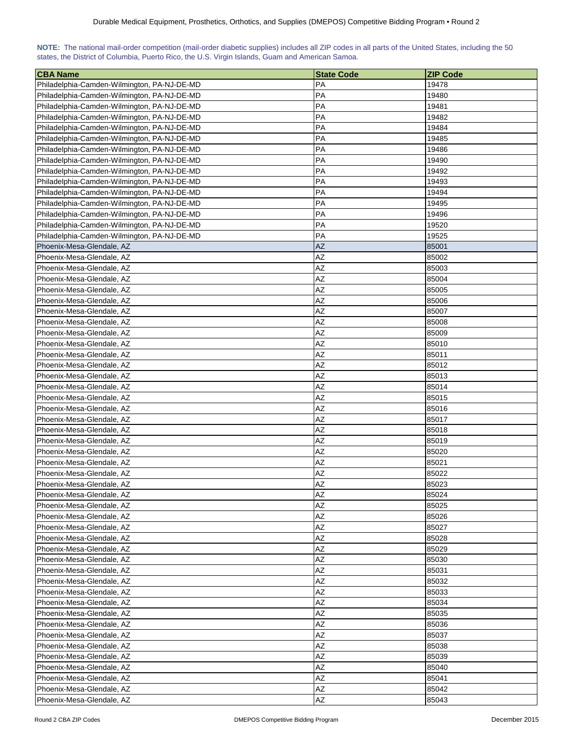|  | NOTE: The national mail-order competition (mail-order diabetic supplies) includes all ZIP codes in all parts of the United States, including the 50 |  |  |  |  |
|--|-----------------------------------------------------------------------------------------------------------------------------------------------------|--|--|--|--|
|  | states, the District of Columbia, Puerto Rico, the U.S. Virgin Islands, Guam and American Samoa.                                                    |  |  |  |  |

| <b>CBA Name</b>                             | <b>State Code</b> | <b>ZIP Code</b> |
|---------------------------------------------|-------------------|-----------------|
| Philadelphia-Camden-Wilmington, PA-NJ-DE-MD | <b>PA</b>         | 19478           |
| Philadelphia-Camden-Wilmington, PA-NJ-DE-MD | PA                | 19480           |
| Philadelphia-Camden-Wilmington, PA-NJ-DE-MD | PA                | 19481           |
| Philadelphia-Camden-Wilmington, PA-NJ-DE-MD | PA                | 19482           |
| Philadelphia-Camden-Wilmington, PA-NJ-DE-MD | PA                | 19484           |
| Philadelphia-Camden-Wilmington, PA-NJ-DE-MD | PA                | 19485           |
| Philadelphia-Camden-Wilmington, PA-NJ-DE-MD | PA                | 19486           |
| Philadelphia-Camden-Wilmington, PA-NJ-DE-MD | PA                | 19490           |
| Philadelphia-Camden-Wilmington, PA-NJ-DE-MD | PA                | 19492           |
| Philadelphia-Camden-Wilmington, PA-NJ-DE-MD | PA                | 19493           |
| Philadelphia-Camden-Wilmington, PA-NJ-DE-MD | PA                | 19494           |
| Philadelphia-Camden-Wilmington, PA-NJ-DE-MD | PA                | 19495           |
| Philadelphia-Camden-Wilmington, PA-NJ-DE-MD | <b>PA</b>         | 19496           |
| Philadelphia-Camden-Wilmington, PA-NJ-DE-MD | <b>PA</b>         | 19520           |
| Philadelphia-Camden-Wilmington, PA-NJ-DE-MD | PA                | 19525           |
| Phoenix-Mesa-Glendale, AZ                   | <b>AZ</b>         | 85001           |
| Phoenix-Mesa-Glendale, AZ                   | AZ                | 85002           |
| Phoenix-Mesa-Glendale, AZ                   | AZ                | 85003           |
| Phoenix-Mesa-Glendale, AZ                   | AΖ                | 85004           |
| Phoenix-Mesa-Glendale, AZ                   | AΖ                | 85005           |
| Phoenix-Mesa-Glendale, AZ                   | AZ                | 85006           |
| Phoenix-Mesa-Glendale, AZ                   | AZ                | 85007           |
| Phoenix-Mesa-Glendale, AZ                   | <b>AZ</b>         | 85008           |
| Phoenix-Mesa-Glendale, AZ                   | AZ                | 85009           |
| Phoenix-Mesa-Glendale, AZ                   | AZ                | 85010           |
| Phoenix-Mesa-Glendale, AZ                   | AΖ                | 85011           |
| Phoenix-Mesa-Glendale, AZ                   | AΖ                | 85012           |
| Phoenix-Mesa-Glendale, AZ                   | AZ                | 85013           |
| Phoenix-Mesa-Glendale, AZ                   | AΖ                | 85014           |
|                                             |                   |                 |
| Phoenix-Mesa-Glendale, AZ                   | AΖ<br>AZ          | 85015           |
| Phoenix-Mesa-Glendale, AZ                   |                   | 85016           |
| Phoenix-Mesa-Glendale, AZ                   | AΖ                | 85017           |
| Phoenix-Mesa-Glendale, AZ                   | AΖ                | 85018           |
| Phoenix-Mesa-Glendale, AZ                   | AZ<br>AZ          | 85019           |
| Phoenix-Mesa-Glendale, AZ                   |                   | 85020           |
| Phoenix-Mesa-Glendale, AZ                   | AZ                | 85021           |
| Phoenix-Mesa-Glendale, AZ                   | AZ                | 85022           |
| Phoenix-Mesa-Glendale, AZ                   | AZ                | 85023           |
| Phoenix-Mesa-Glendale, AZ                   | AZ                | 85024           |
| Phoenix-Mesa-Glendale, AZ                   | AZ                | 85025           |
| Phoenix-Mesa-Glendale, AZ                   | AZ                | 85026           |
| Phoenix-Mesa-Glendale, AZ                   | AΖ                | 85027           |
| Phoenix-Mesa-Glendale, AZ                   | ΑZ                | 85028           |
| Phoenix-Mesa-Glendale, AZ                   | AZ                | 85029           |
| Phoenix-Mesa-Glendale, AZ                   | AΖ                | 85030           |
| Phoenix-Mesa-Glendale, AZ                   | AZ                | 85031           |
| Phoenix-Mesa-Glendale, AZ                   | AZ                | 85032           |
| Phoenix-Mesa-Glendale, AZ                   | AZ                | 85033           |
| Phoenix-Mesa-Glendale, AZ                   | AZ                | 85034           |
| Phoenix-Mesa-Glendale, AZ                   | AZ                | 85035           |
| Phoenix-Mesa-Glendale, AZ                   | AΖ                | 85036           |
| Phoenix-Mesa-Glendale, AZ                   | AZ                | 85037           |
| Phoenix-Mesa-Glendale, AZ                   | AZ                | 85038           |
| Phoenix-Mesa-Glendale, AZ                   | AZ                | 85039           |
| Phoenix-Mesa-Glendale, AZ                   | AZ                | 85040           |
| Phoenix-Mesa-Glendale, AZ                   | AZ                | 85041           |
| Phoenix-Mesa-Glendale, AZ                   | AZ                | 85042           |
| Phoenix-Mesa-Glendale, AZ                   | AZ                | 85043           |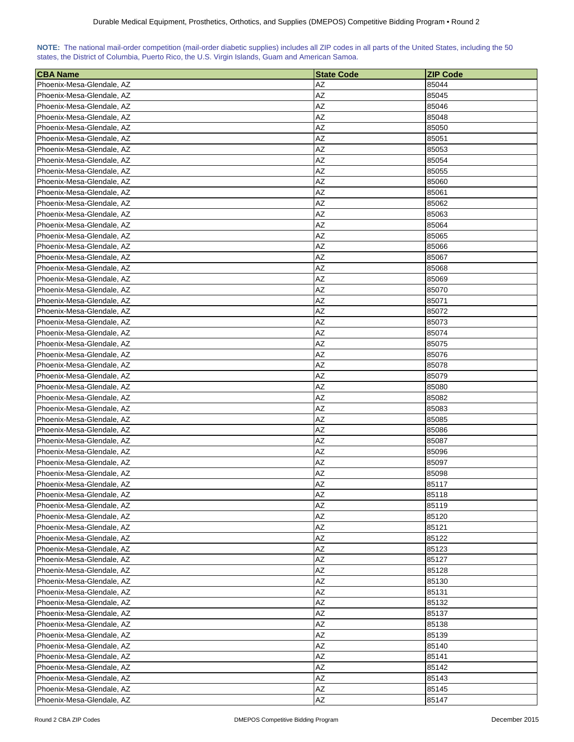| NOTE: The national mail-order competition (mail-order diabetic supplies) includes all ZIP codes in all parts of the United States, including the 50 |  |  |  |  |  |  |  |
|-----------------------------------------------------------------------------------------------------------------------------------------------------|--|--|--|--|--|--|--|
| states, the District of Columbia, Puerto Rico, the U.S. Virgin Islands, Guam and American Samoa.                                                    |  |  |  |  |  |  |  |

| <b>CBA Name</b>           | <b>State Code</b> | <b>ZIP Code</b> |
|---------------------------|-------------------|-----------------|
| Phoenix-Mesa-Glendale, AZ | AZ                | 85044           |
| Phoenix-Mesa-Glendale, AZ | AΖ                | 85045           |
| Phoenix-Mesa-Glendale, AZ | AΖ                | 85046           |
| Phoenix-Mesa-Glendale, AZ | AΖ                | 85048           |
| Phoenix-Mesa-Glendale, AZ | AΖ                | 85050           |
| Phoenix-Mesa-Glendale, AZ | AZ                | 85051           |
| Phoenix-Mesa-Glendale, AZ | AZ                | 85053           |
| Phoenix-Mesa-Glendale, AZ | AΖ                | 85054           |
| Phoenix-Mesa-Glendale, AZ | AZ                | 85055           |
| Phoenix-Mesa-Glendale, AZ | AZ                | 85060           |
| Phoenix-Mesa-Glendale, AZ | AZ                | 85061           |
| Phoenix-Mesa-Glendale, AZ | AΖ                | 85062           |
| Phoenix-Mesa-Glendale, AZ | AΖ                | 85063           |
| Phoenix-Mesa-Glendale, AZ | AΖ                | 85064           |
| Phoenix-Mesa-Glendale, AZ | AΖ                | 85065           |
| Phoenix-Mesa-Glendale, AZ | AΖ                | 85066           |
| Phoenix-Mesa-Glendale, AZ | AΖ                | 85067           |
| Phoenix-Mesa-Glendale, AZ | AΖ                | 85068           |
| Phoenix-Mesa-Glendale, AZ | AΖ                | 85069           |
| Phoenix-Mesa-Glendale, AZ | AΖ                | 85070           |
| Phoenix-Mesa-Glendale, AZ | AΖ                | 85071           |
| Phoenix-Mesa-Glendale, AZ | AZ                | 85072           |
| Phoenix-Mesa-Glendale, AZ | AZ                | 85073           |
| Phoenix-Mesa-Glendale, AZ | AZ                | 85074           |
| Phoenix-Mesa-Glendale, AZ | AZ                | 85075           |
| Phoenix-Mesa-Glendale, AZ | AZ                | 85076           |
| Phoenix-Mesa-Glendale, AZ | AΖ                | 85078           |
| Phoenix-Mesa-Glendale, AZ | AZ                | 85079           |
| Phoenix-Mesa-Glendale, AZ | AΖ                | 85080           |
| Phoenix-Mesa-Glendale, AZ | AΖ                | 85082           |
| Phoenix-Mesa-Glendale, AZ | AΖ                | 85083           |
| Phoenix-Mesa-Glendale, AZ | AZ                | 85085           |
| Phoenix-Mesa-Glendale, AZ | AΖ                | 85086           |
| Phoenix-Mesa-Glendale, AZ | AΖ                | 85087           |
| Phoenix-Mesa-Glendale, AZ | AZ                | 85096           |
| Phoenix-Mesa-Glendale, AZ | AΖ                | 85097           |
| Phoenix-Mesa-Glendale, AZ | AZ                | 85098           |
| Phoenix-Mesa-Glendale, AZ | AZ                | 85117           |
| Phoenix-Mesa-Glendale, AZ | AZ                | 85118           |
| Phoenix-Mesa-Glendale, AZ | AZ                | 85119           |
| Phoenix-Mesa-Glendale, AZ | AZ                | 85120           |
| Phoenix-Mesa-Glendale, AZ | AΖ                | 85121           |
| Phoenix-Mesa-Glendale, AZ | AZ                | 85122           |
| Phoenix-Mesa-Glendale, AZ | AZ                | 85123           |
| Phoenix-Mesa-Glendale, AZ | AZ                | 85127           |
| Phoenix-Mesa-Glendale, AZ | AΖ                | 85128           |
| Phoenix-Mesa-Glendale, AZ | AZ                | 85130           |
| Phoenix-Mesa-Glendale, AZ | AZ                | 85131           |
| Phoenix-Mesa-Glendale, AZ | AZ                | 85132           |
| Phoenix-Mesa-Glendale, AZ | AZ                | 85137           |
| Phoenix-Mesa-Glendale, AZ | AZ                | 85138           |
| Phoenix-Mesa-Glendale, AZ | AΖ                | 85139           |
| Phoenix-Mesa-Glendale, AZ | AZ                | 85140           |
| Phoenix-Mesa-Glendale, AZ | AΖ                | 85141           |
| Phoenix-Mesa-Glendale, AZ | AZ                | 85142           |
| Phoenix-Mesa-Glendale, AZ | AΖ                | 85143           |
| Phoenix-Mesa-Glendale, AZ | AZ                | 85145           |
| Phoenix-Mesa-Glendale, AZ | AZ                | 85147           |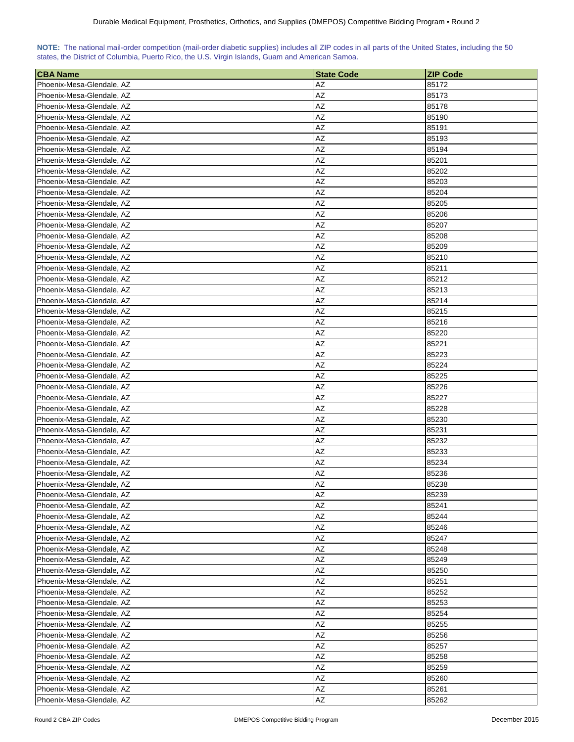| NOTE: The national mail-order competition (mail-order diabetic supplies) includes all ZIP codes in all parts of the United States, including the 50 |  |  |  |  |  |  |  |
|-----------------------------------------------------------------------------------------------------------------------------------------------------|--|--|--|--|--|--|--|
| states, the District of Columbia, Puerto Rico, the U.S. Virgin Islands, Guam and American Samoa.                                                    |  |  |  |  |  |  |  |

| <b>CBA Name</b>           | <b>State Code</b> | <b>ZIP Code</b> |
|---------------------------|-------------------|-----------------|
| Phoenix-Mesa-Glendale, AZ | AZ                | 85172           |
| Phoenix-Mesa-Glendale, AZ | AΖ                | 85173           |
| Phoenix-Mesa-Glendale, AZ | AΖ                | 85178           |
| Phoenix-Mesa-Glendale, AZ | AΖ                | 85190           |
| Phoenix-Mesa-Glendale, AZ | AΖ                | 85191           |
| Phoenix-Mesa-Glendale, AZ | AZ                | 85193           |
| Phoenix-Mesa-Glendale, AZ | AZ                | 85194           |
| Phoenix-Mesa-Glendale, AZ | AΖ                | 85201           |
| Phoenix-Mesa-Glendale, AZ | AZ                | 85202           |
| Phoenix-Mesa-Glendale, AZ | AZ                | 85203           |
| Phoenix-Mesa-Glendale, AZ | AZ                | 85204           |
| Phoenix-Mesa-Glendale, AZ | AΖ                | 85205           |
| Phoenix-Mesa-Glendale, AZ | AΖ                | 85206           |
| Phoenix-Mesa-Glendale, AZ | AΖ                | 85207           |
| Phoenix-Mesa-Glendale, AZ | AΖ                | 85208           |
| Phoenix-Mesa-Glendale, AZ | AΖ                | 85209           |
| Phoenix-Mesa-Glendale, AZ | AΖ                | 85210           |
| Phoenix-Mesa-Glendale, AZ | AΖ                | 85211           |
| Phoenix-Mesa-Glendale, AZ | AΖ                | 85212           |
| Phoenix-Mesa-Glendale, AZ | AΖ                | 85213           |
|                           | AΖ                |                 |
| Phoenix-Mesa-Glendale, AZ | AZ                | 85214           |
| Phoenix-Mesa-Glendale, AZ |                   | 85215           |
| Phoenix-Mesa-Glendale, AZ | AZ<br>AZ          | 85216           |
| Phoenix-Mesa-Glendale, AZ | AZ                | 85220           |
| Phoenix-Mesa-Glendale, AZ |                   | 85221           |
| Phoenix-Mesa-Glendale, AZ | AZ                | 85223           |
| Phoenix-Mesa-Glendale, AZ | AΖ                | 85224           |
| Phoenix-Mesa-Glendale, AZ | AZ                | 85225           |
| Phoenix-Mesa-Glendale, AZ | AΖ                | 85226           |
| Phoenix-Mesa-Glendale, AZ | AΖ                | 85227           |
| Phoenix-Mesa-Glendale, AZ | AΖ                | 85228           |
| Phoenix-Mesa-Glendale, AZ | AZ                | 85230           |
| Phoenix-Mesa-Glendale, AZ | AΖ                | 85231           |
| Phoenix-Mesa-Glendale, AZ | AΖ                | 85232           |
| Phoenix-Mesa-Glendale, AZ | AZ                | 85233           |
| Phoenix-Mesa-Glendale, AZ | AΖ                | 85234           |
| Phoenix-Mesa-Glendale, AZ | AZ                | 85236           |
| Phoenix-Mesa-Glendale, AZ | AZ                | 85238           |
| Phoenix-Mesa-Glendale, AZ | AZ                | 85239           |
| Phoenix-Mesa-Glendale, AZ | AZ                | 85241           |
| Phoenix-Mesa-Glendale, AZ | AZ                | 85244           |
| Phoenix-Mesa-Glendale, AZ | AΖ                | 85246           |
| Phoenix-Mesa-Glendale, AZ | AZ                | 85247           |
| Phoenix-Mesa-Glendale, AZ | AZ                | 85248           |
| Phoenix-Mesa-Glendale, AZ | AΖ                | 85249           |
| Phoenix-Mesa-Glendale, AZ | AΖ                | 85250           |
| Phoenix-Mesa-Glendale, AZ | AZ                | 85251           |
| Phoenix-Mesa-Glendale, AZ | AZ                | 85252           |
| Phoenix-Mesa-Glendale, AZ | AZ                | 85253           |
| Phoenix-Mesa-Glendale, AZ | AZ                | 85254           |
| Phoenix-Mesa-Glendale, AZ | AZ                | 85255           |
| Phoenix-Mesa-Glendale, AZ | AΖ                | 85256           |
| Phoenix-Mesa-Glendale, AZ | AZ                | 85257           |
| Phoenix-Mesa-Glendale, AZ | AΖ                | 85258           |
| Phoenix-Mesa-Glendale, AZ | AZ                | 85259           |
| Phoenix-Mesa-Glendale, AZ | AΖ                | 85260           |
| Phoenix-Mesa-Glendale, AZ | AZ                | 85261           |
| Phoenix-Mesa-Glendale, AZ | AZ                | 85262           |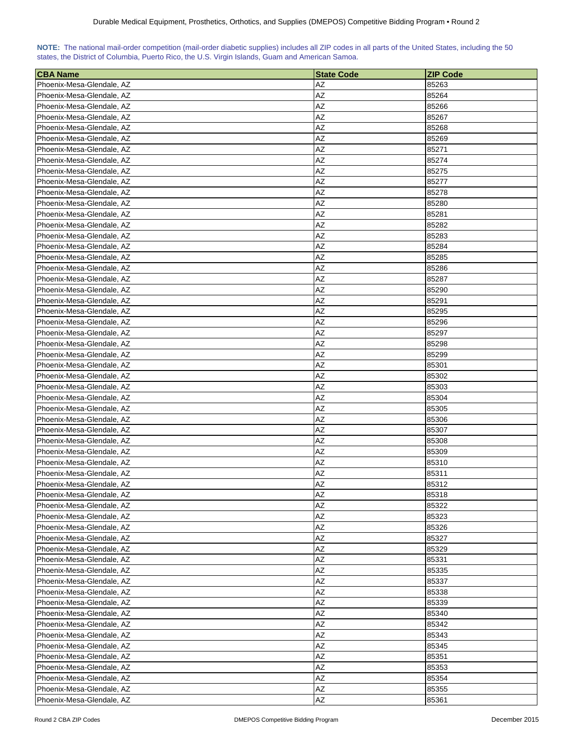| NOTE: The national mail-order competition (mail-order diabetic supplies) includes all ZIP codes in all parts of the United States, including the 50 |  |  |  |  |  |  |  |
|-----------------------------------------------------------------------------------------------------------------------------------------------------|--|--|--|--|--|--|--|
| states, the District of Columbia, Puerto Rico, the U.S. Virgin Islands, Guam and American Samoa.                                                    |  |  |  |  |  |  |  |

| <b>CBA Name</b>           | <b>State Code</b> | <b>ZIP Code</b> |
|---------------------------|-------------------|-----------------|
| Phoenix-Mesa-Glendale, AZ | AZ                | 85263           |
| Phoenix-Mesa-Glendale, AZ | AΖ                | 85264           |
| Phoenix-Mesa-Glendale, AZ | AΖ                | 85266           |
| Phoenix-Mesa-Glendale, AZ | AΖ                | 85267           |
| Phoenix-Mesa-Glendale, AZ | AΖ                | 85268           |
| Phoenix-Mesa-Glendale, AZ | AZ                | 85269           |
| Phoenix-Mesa-Glendale, AZ | AZ                | 85271           |
| Phoenix-Mesa-Glendale, AZ | AΖ                | 85274           |
| Phoenix-Mesa-Glendale, AZ | AZ                | 85275           |
| Phoenix-Mesa-Glendale, AZ | AZ                | 85277           |
| Phoenix-Mesa-Glendale, AZ | AZ                | 85278           |
| Phoenix-Mesa-Glendale, AZ | AΖ                | 85280           |
| Phoenix-Mesa-Glendale, AZ | AΖ                | 85281           |
| Phoenix-Mesa-Glendale, AZ | AΖ                | 85282           |
| Phoenix-Mesa-Glendale, AZ | AΖ                | 85283           |
| Phoenix-Mesa-Glendale, AZ | AΖ                | 85284           |
| Phoenix-Mesa-Glendale, AZ | AΖ                | 85285           |
| Phoenix-Mesa-Glendale, AZ | AΖ                | 85286           |
| Phoenix-Mesa-Glendale, AZ | AΖ                | 85287           |
| Phoenix-Mesa-Glendale, AZ | AΖ                | 85290           |
|                           | AΖ                |                 |
| Phoenix-Mesa-Glendale, AZ | AZ                | 85291           |
| Phoenix-Mesa-Glendale, AZ |                   | 85295           |
| Phoenix-Mesa-Glendale, AZ | AZ<br>AZ          | 85296           |
| Phoenix-Mesa-Glendale, AZ | AZ                | 85297           |
| Phoenix-Mesa-Glendale, AZ |                   | 85298           |
| Phoenix-Mesa-Glendale, AZ | AZ                | 85299           |
| Phoenix-Mesa-Glendale, AZ | AΖ                | 85301           |
| Phoenix-Mesa-Glendale, AZ | AZ                | 85302           |
| Phoenix-Mesa-Glendale, AZ | AΖ                | 85303           |
| Phoenix-Mesa-Glendale, AZ | AΖ                | 85304           |
| Phoenix-Mesa-Glendale, AZ | AΖ                | 85305           |
| Phoenix-Mesa-Glendale, AZ | AZ                | 85306           |
| Phoenix-Mesa-Glendale, AZ | AΖ                | 85307           |
| Phoenix-Mesa-Glendale, AZ | AΖ                | 85308           |
| Phoenix-Mesa-Glendale, AZ | AZ                | 85309           |
| Phoenix-Mesa-Glendale, AZ | AΖ                | 85310           |
| Phoenix-Mesa-Glendale, AZ | AZ                | 85311           |
| Phoenix-Mesa-Glendale, AZ | AZ                | 85312           |
| Phoenix-Mesa-Glendale, AZ | AZ                | 85318           |
| Phoenix-Mesa-Glendale, AZ | AZ                | 85322           |
| Phoenix-Mesa-Glendale, AZ | AZ                | 85323           |
| Phoenix-Mesa-Glendale, AZ | AΖ                | 85326           |
| Phoenix-Mesa-Glendale, AZ | AZ                | 85327           |
| Phoenix-Mesa-Glendale, AZ | AZ                | 85329           |
| Phoenix-Mesa-Glendale, AZ | AΖ                | 85331           |
| Phoenix-Mesa-Glendale, AZ | AΖ                | 85335           |
| Phoenix-Mesa-Glendale, AZ | AZ                | 85337           |
| Phoenix-Mesa-Glendale, AZ | AZ                | 85338           |
| Phoenix-Mesa-Glendale, AZ | AZ                | 85339           |
| Phoenix-Mesa-Glendale, AZ | AZ                | 85340           |
| Phoenix-Mesa-Glendale, AZ | AZ                | 85342           |
| Phoenix-Mesa-Glendale, AZ | AΖ                | 85343           |
| Phoenix-Mesa-Glendale, AZ | AZ                | 85345           |
| Phoenix-Mesa-Glendale, AZ | AΖ                | 85351           |
| Phoenix-Mesa-Glendale, AZ | AZ                | 85353           |
| Phoenix-Mesa-Glendale, AZ | AΖ                | 85354           |
| Phoenix-Mesa-Glendale, AZ | AZ                | 85355           |
| Phoenix-Mesa-Glendale, AZ | AZ                | 85361           |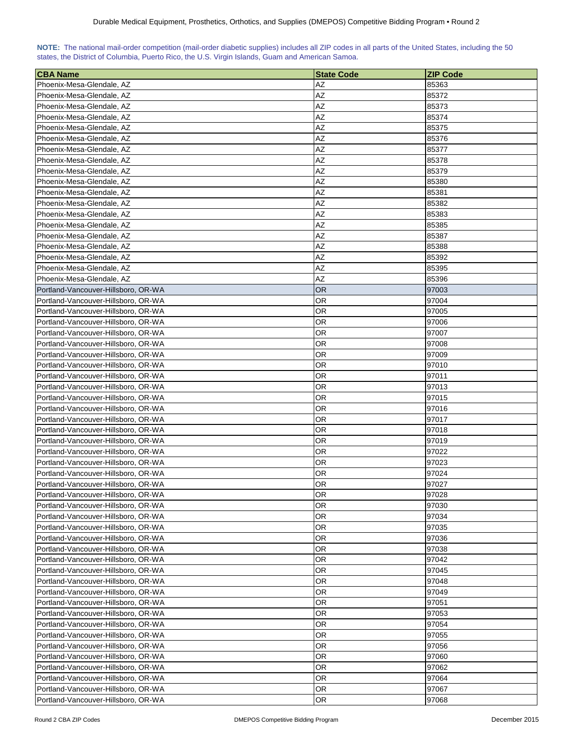| NOTE: The national mail-order competition (mail-order diabetic supplies) includes all ZIP codes in all parts of the United States, including the 50 |  |  |  |  |  |  |  |
|-----------------------------------------------------------------------------------------------------------------------------------------------------|--|--|--|--|--|--|--|
| states, the District of Columbia, Puerto Rico, the U.S. Virgin Islands, Guam and American Samoa.                                                    |  |  |  |  |  |  |  |

| <b>CBA Name</b>                                                            | <b>State Code</b> | <b>ZIP Code</b> |
|----------------------------------------------------------------------------|-------------------|-----------------|
| Phoenix-Mesa-Glendale, AZ                                                  | AZ                | 85363           |
| Phoenix-Mesa-Glendale, AZ                                                  | AZ                | 85372           |
| Phoenix-Mesa-Glendale, AZ                                                  | AΖ                | 85373           |
| Phoenix-Mesa-Glendale, AZ                                                  | AΖ                | 85374           |
| Phoenix-Mesa-Glendale, AZ                                                  | AΖ                | 85375           |
| Phoenix-Mesa-Glendale, AZ                                                  | AΖ                | 85376           |
| Phoenix-Mesa-Glendale, AZ                                                  | AΖ                | 85377           |
| Phoenix-Mesa-Glendale, AZ                                                  | AΖ                | 85378           |
| Phoenix-Mesa-Glendale, AZ                                                  | AZ                | 85379           |
| Phoenix-Mesa-Glendale, AZ                                                  | AZ                | 85380           |
| Phoenix-Mesa-Glendale, AZ                                                  | AZ                | 85381           |
| Phoenix-Mesa-Glendale, AZ                                                  | AΖ                | 85382           |
| Phoenix-Mesa-Glendale, AZ                                                  | <b>AZ</b>         | 85383           |
| Phoenix-Mesa-Glendale, AZ                                                  | AΖ                | 85385           |
| Phoenix-Mesa-Glendale, AZ                                                  | AΖ                | 85387           |
| Phoenix-Mesa-Glendale, AZ                                                  | AΖ                | 85388           |
| Phoenix-Mesa-Glendale, AZ                                                  | AΖ                | 85392           |
| Phoenix-Mesa-Glendale, AZ                                                  | AΖ                | 85395           |
| Phoenix-Mesa-Glendale, AZ                                                  | AZ                | 85396           |
| Portland-Vancouver-Hillsboro, OR-WA                                        | OR                | 97003           |
| Portland-Vancouver-Hillsboro, OR-WA                                        | OR                | 97004           |
| Portland-Vancouver-Hillsboro, OR-WA                                        | OR                | 97005           |
| Portland-Vancouver-Hillsboro, OR-WA                                        | OR                | 97006           |
| Portland-Vancouver-Hillsboro, OR-WA                                        | OR                | 97007           |
| Portland-Vancouver-Hillsboro, OR-WA                                        | OR                | 97008           |
| Portland-Vancouver-Hillsboro, OR-WA                                        | OR                | 97009           |
| Portland-Vancouver-Hillsboro, OR-WA                                        | OR                | 97010           |
| Portland-Vancouver-Hillsboro, OR-WA                                        | OR                | 97011           |
| Portland-Vancouver-Hillsboro, OR-WA                                        | OR                | 97013           |
| Portland-Vancouver-Hillsboro, OR-WA                                        | OR                | 97015           |
| Portland-Vancouver-Hillsboro, OR-WA                                        | OR.               | 97016           |
| Portland-Vancouver-Hillsboro, OR-WA                                        | OR                | 97017           |
| Portland-Vancouver-Hillsboro, OR-WA                                        | OR                | 97018           |
| Portland-Vancouver-Hillsboro, OR-WA                                        | OR                | 97019           |
| Portland-Vancouver-Hillsboro, OR-WA                                        | OR                | 97022           |
| Portland-Vancouver-Hillsboro, OR-WA                                        | OR                | 97023           |
| Portland-Vancouver-Hillsboro, OR-WA                                        | OR                | 97024           |
| Portland-Vancouver-Hillsboro, OR-WA                                        | OR                | 97027           |
| Portland-Vancouver-Hillsboro, OR-WA                                        | 0R                | 97028           |
| Portland-Vancouver-Hillsboro, OR-WA                                        | OR                | 97030           |
| Portland-Vancouver-Hillsboro, OR-WA                                        | OR                | 97034           |
| Portland-Vancouver-Hillsboro, OR-WA                                        | OR                | 97035           |
| Portland-Vancouver-Hillsboro, OR-WA                                        | OR                | 97036           |
| Portland-Vancouver-Hillsboro, OR-WA                                        | OR                | 97038           |
| Portland-Vancouver-Hillsboro, OR-WA                                        | OR                | 97042           |
| Portland-Vancouver-Hillsboro, OR-WA                                        | OR                | 97045           |
| Portland-Vancouver-Hillsboro, OR-WA                                        | <b>OR</b>         | 97048           |
| Portland-Vancouver-Hillsboro, OR-WA                                        | OR                | 97049           |
| Portland-Vancouver-Hillsboro, OR-WA                                        | <b>OR</b>         | 97051           |
| Portland-Vancouver-Hillsboro, OR-WA                                        | OR                | 97053           |
| Portland-Vancouver-Hillsboro, OR-WA                                        | OR                | 97054           |
|                                                                            | OR                | 97055           |
| Portland-Vancouver-Hillsboro, OR-WA<br>Portland-Vancouver-Hillsboro, OR-WA | <b>OR</b>         | 97056           |
| Portland-Vancouver-Hillsboro, OR-WA                                        | 0R                | 97060           |
| Portland-Vancouver-Hillsboro, OR-WA                                        |                   | 97062           |
| Portland-Vancouver-Hillsboro, OR-WA                                        | 0R<br>OR.         | 97064           |
| Portland-Vancouver-Hillsboro, OR-WA                                        | <b>OR</b>         | 97067           |
| Portland-Vancouver-Hillsboro, OR-WA                                        | OR                | 97068           |
|                                                                            |                   |                 |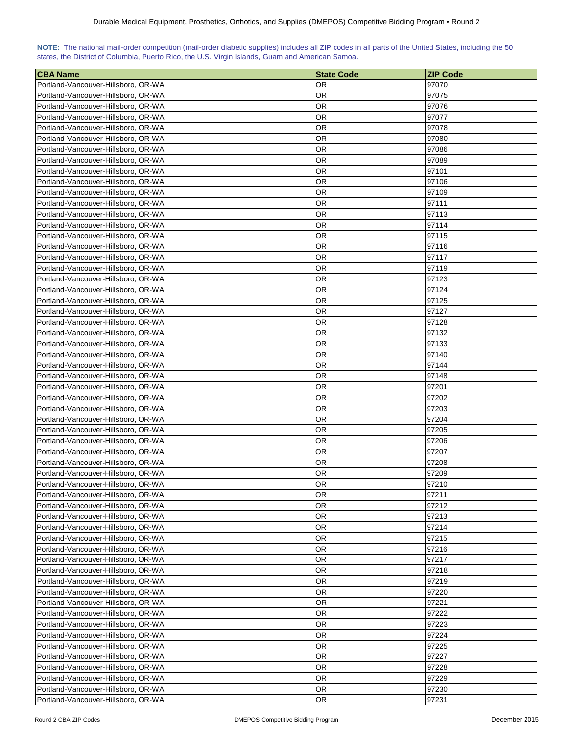| NOTE: The national mail-order competition (mail-order diabetic supplies) includes all ZIP codes in all parts of the United States, including the 50 |  |  |  |  |  |  |  |
|-----------------------------------------------------------------------------------------------------------------------------------------------------|--|--|--|--|--|--|--|
| states, the District of Columbia, Puerto Rico, the U.S. Virgin Islands, Guam and American Samoa.                                                    |  |  |  |  |  |  |  |

| 97070<br>Portland-Vancouver-Hillsboro, OR-WA<br>0R<br>0R<br>97075<br>Portland-Vancouver-Hillsboro, OR-WA<br>Portland-Vancouver-Hillsboro, OR-WA<br>OR<br>97076<br>Portland-Vancouver-Hillsboro, OR-WA<br>97077<br>OR<br>Portland-Vancouver-Hillsboro, OR-WA<br>OR.<br>97078<br>Portland-Vancouver-Hillsboro, OR-WA<br>OR.<br>97080<br>Portland-Vancouver-Hillsboro, OR-WA<br>OR<br>97086<br>Portland-Vancouver-Hillsboro, OR-WA<br>OR<br>97089<br>OR<br>Portland-Vancouver-Hillsboro, OR-WA<br>97101<br>ΟR<br>Portland-Vancouver-Hillsboro, OR-WA<br>97106<br>Portland-Vancouver-Hillsboro, OR-WA<br>OR<br>97109<br>97111<br>Portland-Vancouver-Hillsboro, OR-WA<br>OR<br>OR.<br>97113<br>Portland-Vancouver-Hillsboro, OR-WA<br>Portland-Vancouver-Hillsboro, OR-WA<br>OR<br>97114<br>OR<br>Portland-Vancouver-Hillsboro, OR-WA<br>97115<br>Portland-Vancouver-Hillsboro, OR-WA<br>OR<br>97116<br>Portland-Vancouver-Hillsboro, OR-WA<br>OR<br>97117<br>Portland-Vancouver-Hillsboro, OR-WA<br>OR<br>97119<br>OR<br>Portland-Vancouver-Hillsboro, OR-WA<br>97123<br>Portland-Vancouver-Hillsboro, OR-WA<br>OR<br>97124<br>Portland-Vancouver-Hillsboro, OR-WA<br>OR<br>97125<br>OR<br>97127<br>Portland-Vancouver-Hillsboro, OR-WA<br>OR<br>97128<br>Portland-Vancouver-Hillsboro, OR-WA<br>OR<br>97132<br>Portland-Vancouver-Hillsboro, OR-WA<br>OR<br>97133<br>Portland-Vancouver-Hillsboro, OR-WA<br>OR<br>97140<br>Portland-Vancouver-Hillsboro, OR-WA<br>OR<br>Portland-Vancouver-Hillsboro, OR-WA<br>97144<br>Portland-Vancouver-Hillsboro, OR-WA<br>OR<br>97148<br>Portland-Vancouver-Hillsboro, OR-WA<br>97201<br>OR<br>Portland-Vancouver-Hillsboro, OR-WA<br>OR.<br>97202<br>OR.<br>97203<br>Portland-Vancouver-Hillsboro, OR-WA<br>Portland-Vancouver-Hillsboro, OR-WA<br>OR.<br>97204<br>Portland-Vancouver-Hillsboro, OR-WA<br>OR.<br>97205<br>Portland-Vancouver-Hillsboro, OR-WA<br>OR<br>97206<br>OR<br>Portland-Vancouver-Hillsboro, OR-WA<br>97207<br>OR<br>Portland-Vancouver-Hillsboro, OR-WA<br>97208<br>Portland-Vancouver-Hillsboro, OR-WA<br>OR<br>97209<br><b>OR</b><br>97210<br>Portland-Vancouver-Hillsboro, OR-WA<br>0R<br>97211<br>Portland-Vancouver-Hillsboro, OR-WA<br>OR<br>97212<br>Portland-Vancouver-Hillsboro, OR-WA<br>Portland-Vancouver-Hillsboro, OR-WA<br>OR.<br>97213<br>Portland-Vancouver-Hillsboro, OR-WA<br>97214<br>OR.<br>Portland-Vancouver-Hillsboro, OR-WA<br>OR.<br>97215<br>OR.<br>97216<br>Portland-Vancouver-Hillsboro, OR-WA<br>OR<br>97217<br>Portland-Vancouver-Hillsboro, OR-WA<br>OR<br>Portland-Vancouver-Hillsboro, OR-WA<br>97218<br>OR<br>97219<br>Portland-Vancouver-Hillsboro, OR-WA<br>OR.<br>97220<br>Portland-Vancouver-Hillsboro, OR-WA<br><b>OR</b><br>97221<br>Portland-Vancouver-Hillsboro, OR-WA<br>OR<br>97222<br>Portland-Vancouver-Hillsboro, OR-WA<br>OR<br>97223<br>Portland-Vancouver-Hillsboro, OR-WA<br>OR.<br>97224<br>Portland-Vancouver-Hillsboro, OR-WA<br>OR.<br>97225<br>Portland-Vancouver-Hillsboro, OR-WA<br>Portland-Vancouver-Hillsboro, OR-WA<br>OR<br>97227<br>Portland-Vancouver-Hillsboro, OR-WA<br>97228<br>OR.<br>97229<br>Portland-Vancouver-Hillsboro, OR-WA<br>OR.<br>OR.<br>97230<br>Portland-Vancouver-Hillsboro, OR-WA<br>Portland-Vancouver-Hillsboro, OR-WA<br>OR.<br>97231 | <b>CBA Name</b> | <b>State Code</b> | <b>ZIP Code</b> |
|------------------------------------------------------------------------------------------------------------------------------------------------------------------------------------------------------------------------------------------------------------------------------------------------------------------------------------------------------------------------------------------------------------------------------------------------------------------------------------------------------------------------------------------------------------------------------------------------------------------------------------------------------------------------------------------------------------------------------------------------------------------------------------------------------------------------------------------------------------------------------------------------------------------------------------------------------------------------------------------------------------------------------------------------------------------------------------------------------------------------------------------------------------------------------------------------------------------------------------------------------------------------------------------------------------------------------------------------------------------------------------------------------------------------------------------------------------------------------------------------------------------------------------------------------------------------------------------------------------------------------------------------------------------------------------------------------------------------------------------------------------------------------------------------------------------------------------------------------------------------------------------------------------------------------------------------------------------------------------------------------------------------------------------------------------------------------------------------------------------------------------------------------------------------------------------------------------------------------------------------------------------------------------------------------------------------------------------------------------------------------------------------------------------------------------------------------------------------------------------------------------------------------------------------------------------------------------------------------------------------------------------------------------------------------------------------------------------------------------------------------------------------------------------------------------------------------------------------------------------------------------------------------------------------------------------------------------------------------------------------------------------------------------------------------------------------------------------------------------------------------------------------------------------------------------------------------------------------------------------------------------------------------------------|-----------------|-------------------|-----------------|
|                                                                                                                                                                                                                                                                                                                                                                                                                                                                                                                                                                                                                                                                                                                                                                                                                                                                                                                                                                                                                                                                                                                                                                                                                                                                                                                                                                                                                                                                                                                                                                                                                                                                                                                                                                                                                                                                                                                                                                                                                                                                                                                                                                                                                                                                                                                                                                                                                                                                                                                                                                                                                                                                                                                                                                                                                                                                                                                                                                                                                                                                                                                                                                                                                                                                                          |                 |                   |                 |
|                                                                                                                                                                                                                                                                                                                                                                                                                                                                                                                                                                                                                                                                                                                                                                                                                                                                                                                                                                                                                                                                                                                                                                                                                                                                                                                                                                                                                                                                                                                                                                                                                                                                                                                                                                                                                                                                                                                                                                                                                                                                                                                                                                                                                                                                                                                                                                                                                                                                                                                                                                                                                                                                                                                                                                                                                                                                                                                                                                                                                                                                                                                                                                                                                                                                                          |                 |                   |                 |
|                                                                                                                                                                                                                                                                                                                                                                                                                                                                                                                                                                                                                                                                                                                                                                                                                                                                                                                                                                                                                                                                                                                                                                                                                                                                                                                                                                                                                                                                                                                                                                                                                                                                                                                                                                                                                                                                                                                                                                                                                                                                                                                                                                                                                                                                                                                                                                                                                                                                                                                                                                                                                                                                                                                                                                                                                                                                                                                                                                                                                                                                                                                                                                                                                                                                                          |                 |                   |                 |
|                                                                                                                                                                                                                                                                                                                                                                                                                                                                                                                                                                                                                                                                                                                                                                                                                                                                                                                                                                                                                                                                                                                                                                                                                                                                                                                                                                                                                                                                                                                                                                                                                                                                                                                                                                                                                                                                                                                                                                                                                                                                                                                                                                                                                                                                                                                                                                                                                                                                                                                                                                                                                                                                                                                                                                                                                                                                                                                                                                                                                                                                                                                                                                                                                                                                                          |                 |                   |                 |
|                                                                                                                                                                                                                                                                                                                                                                                                                                                                                                                                                                                                                                                                                                                                                                                                                                                                                                                                                                                                                                                                                                                                                                                                                                                                                                                                                                                                                                                                                                                                                                                                                                                                                                                                                                                                                                                                                                                                                                                                                                                                                                                                                                                                                                                                                                                                                                                                                                                                                                                                                                                                                                                                                                                                                                                                                                                                                                                                                                                                                                                                                                                                                                                                                                                                                          |                 |                   |                 |
|                                                                                                                                                                                                                                                                                                                                                                                                                                                                                                                                                                                                                                                                                                                                                                                                                                                                                                                                                                                                                                                                                                                                                                                                                                                                                                                                                                                                                                                                                                                                                                                                                                                                                                                                                                                                                                                                                                                                                                                                                                                                                                                                                                                                                                                                                                                                                                                                                                                                                                                                                                                                                                                                                                                                                                                                                                                                                                                                                                                                                                                                                                                                                                                                                                                                                          |                 |                   |                 |
|                                                                                                                                                                                                                                                                                                                                                                                                                                                                                                                                                                                                                                                                                                                                                                                                                                                                                                                                                                                                                                                                                                                                                                                                                                                                                                                                                                                                                                                                                                                                                                                                                                                                                                                                                                                                                                                                                                                                                                                                                                                                                                                                                                                                                                                                                                                                                                                                                                                                                                                                                                                                                                                                                                                                                                                                                                                                                                                                                                                                                                                                                                                                                                                                                                                                                          |                 |                   |                 |
|                                                                                                                                                                                                                                                                                                                                                                                                                                                                                                                                                                                                                                                                                                                                                                                                                                                                                                                                                                                                                                                                                                                                                                                                                                                                                                                                                                                                                                                                                                                                                                                                                                                                                                                                                                                                                                                                                                                                                                                                                                                                                                                                                                                                                                                                                                                                                                                                                                                                                                                                                                                                                                                                                                                                                                                                                                                                                                                                                                                                                                                                                                                                                                                                                                                                                          |                 |                   |                 |
|                                                                                                                                                                                                                                                                                                                                                                                                                                                                                                                                                                                                                                                                                                                                                                                                                                                                                                                                                                                                                                                                                                                                                                                                                                                                                                                                                                                                                                                                                                                                                                                                                                                                                                                                                                                                                                                                                                                                                                                                                                                                                                                                                                                                                                                                                                                                                                                                                                                                                                                                                                                                                                                                                                                                                                                                                                                                                                                                                                                                                                                                                                                                                                                                                                                                                          |                 |                   |                 |
|                                                                                                                                                                                                                                                                                                                                                                                                                                                                                                                                                                                                                                                                                                                                                                                                                                                                                                                                                                                                                                                                                                                                                                                                                                                                                                                                                                                                                                                                                                                                                                                                                                                                                                                                                                                                                                                                                                                                                                                                                                                                                                                                                                                                                                                                                                                                                                                                                                                                                                                                                                                                                                                                                                                                                                                                                                                                                                                                                                                                                                                                                                                                                                                                                                                                                          |                 |                   |                 |
|                                                                                                                                                                                                                                                                                                                                                                                                                                                                                                                                                                                                                                                                                                                                                                                                                                                                                                                                                                                                                                                                                                                                                                                                                                                                                                                                                                                                                                                                                                                                                                                                                                                                                                                                                                                                                                                                                                                                                                                                                                                                                                                                                                                                                                                                                                                                                                                                                                                                                                                                                                                                                                                                                                                                                                                                                                                                                                                                                                                                                                                                                                                                                                                                                                                                                          |                 |                   |                 |
|                                                                                                                                                                                                                                                                                                                                                                                                                                                                                                                                                                                                                                                                                                                                                                                                                                                                                                                                                                                                                                                                                                                                                                                                                                                                                                                                                                                                                                                                                                                                                                                                                                                                                                                                                                                                                                                                                                                                                                                                                                                                                                                                                                                                                                                                                                                                                                                                                                                                                                                                                                                                                                                                                                                                                                                                                                                                                                                                                                                                                                                                                                                                                                                                                                                                                          |                 |                   |                 |
|                                                                                                                                                                                                                                                                                                                                                                                                                                                                                                                                                                                                                                                                                                                                                                                                                                                                                                                                                                                                                                                                                                                                                                                                                                                                                                                                                                                                                                                                                                                                                                                                                                                                                                                                                                                                                                                                                                                                                                                                                                                                                                                                                                                                                                                                                                                                                                                                                                                                                                                                                                                                                                                                                                                                                                                                                                                                                                                                                                                                                                                                                                                                                                                                                                                                                          |                 |                   |                 |
|                                                                                                                                                                                                                                                                                                                                                                                                                                                                                                                                                                                                                                                                                                                                                                                                                                                                                                                                                                                                                                                                                                                                                                                                                                                                                                                                                                                                                                                                                                                                                                                                                                                                                                                                                                                                                                                                                                                                                                                                                                                                                                                                                                                                                                                                                                                                                                                                                                                                                                                                                                                                                                                                                                                                                                                                                                                                                                                                                                                                                                                                                                                                                                                                                                                                                          |                 |                   |                 |
|                                                                                                                                                                                                                                                                                                                                                                                                                                                                                                                                                                                                                                                                                                                                                                                                                                                                                                                                                                                                                                                                                                                                                                                                                                                                                                                                                                                                                                                                                                                                                                                                                                                                                                                                                                                                                                                                                                                                                                                                                                                                                                                                                                                                                                                                                                                                                                                                                                                                                                                                                                                                                                                                                                                                                                                                                                                                                                                                                                                                                                                                                                                                                                                                                                                                                          |                 |                   |                 |
|                                                                                                                                                                                                                                                                                                                                                                                                                                                                                                                                                                                                                                                                                                                                                                                                                                                                                                                                                                                                                                                                                                                                                                                                                                                                                                                                                                                                                                                                                                                                                                                                                                                                                                                                                                                                                                                                                                                                                                                                                                                                                                                                                                                                                                                                                                                                                                                                                                                                                                                                                                                                                                                                                                                                                                                                                                                                                                                                                                                                                                                                                                                                                                                                                                                                                          |                 |                   |                 |
|                                                                                                                                                                                                                                                                                                                                                                                                                                                                                                                                                                                                                                                                                                                                                                                                                                                                                                                                                                                                                                                                                                                                                                                                                                                                                                                                                                                                                                                                                                                                                                                                                                                                                                                                                                                                                                                                                                                                                                                                                                                                                                                                                                                                                                                                                                                                                                                                                                                                                                                                                                                                                                                                                                                                                                                                                                                                                                                                                                                                                                                                                                                                                                                                                                                                                          |                 |                   |                 |
|                                                                                                                                                                                                                                                                                                                                                                                                                                                                                                                                                                                                                                                                                                                                                                                                                                                                                                                                                                                                                                                                                                                                                                                                                                                                                                                                                                                                                                                                                                                                                                                                                                                                                                                                                                                                                                                                                                                                                                                                                                                                                                                                                                                                                                                                                                                                                                                                                                                                                                                                                                                                                                                                                                                                                                                                                                                                                                                                                                                                                                                                                                                                                                                                                                                                                          |                 |                   |                 |
|                                                                                                                                                                                                                                                                                                                                                                                                                                                                                                                                                                                                                                                                                                                                                                                                                                                                                                                                                                                                                                                                                                                                                                                                                                                                                                                                                                                                                                                                                                                                                                                                                                                                                                                                                                                                                                                                                                                                                                                                                                                                                                                                                                                                                                                                                                                                                                                                                                                                                                                                                                                                                                                                                                                                                                                                                                                                                                                                                                                                                                                                                                                                                                                                                                                                                          |                 |                   |                 |
|                                                                                                                                                                                                                                                                                                                                                                                                                                                                                                                                                                                                                                                                                                                                                                                                                                                                                                                                                                                                                                                                                                                                                                                                                                                                                                                                                                                                                                                                                                                                                                                                                                                                                                                                                                                                                                                                                                                                                                                                                                                                                                                                                                                                                                                                                                                                                                                                                                                                                                                                                                                                                                                                                                                                                                                                                                                                                                                                                                                                                                                                                                                                                                                                                                                                                          |                 |                   |                 |
|                                                                                                                                                                                                                                                                                                                                                                                                                                                                                                                                                                                                                                                                                                                                                                                                                                                                                                                                                                                                                                                                                                                                                                                                                                                                                                                                                                                                                                                                                                                                                                                                                                                                                                                                                                                                                                                                                                                                                                                                                                                                                                                                                                                                                                                                                                                                                                                                                                                                                                                                                                                                                                                                                                                                                                                                                                                                                                                                                                                                                                                                                                                                                                                                                                                                                          |                 |                   |                 |
|                                                                                                                                                                                                                                                                                                                                                                                                                                                                                                                                                                                                                                                                                                                                                                                                                                                                                                                                                                                                                                                                                                                                                                                                                                                                                                                                                                                                                                                                                                                                                                                                                                                                                                                                                                                                                                                                                                                                                                                                                                                                                                                                                                                                                                                                                                                                                                                                                                                                                                                                                                                                                                                                                                                                                                                                                                                                                                                                                                                                                                                                                                                                                                                                                                                                                          |                 |                   |                 |
|                                                                                                                                                                                                                                                                                                                                                                                                                                                                                                                                                                                                                                                                                                                                                                                                                                                                                                                                                                                                                                                                                                                                                                                                                                                                                                                                                                                                                                                                                                                                                                                                                                                                                                                                                                                                                                                                                                                                                                                                                                                                                                                                                                                                                                                                                                                                                                                                                                                                                                                                                                                                                                                                                                                                                                                                                                                                                                                                                                                                                                                                                                                                                                                                                                                                                          |                 |                   |                 |
|                                                                                                                                                                                                                                                                                                                                                                                                                                                                                                                                                                                                                                                                                                                                                                                                                                                                                                                                                                                                                                                                                                                                                                                                                                                                                                                                                                                                                                                                                                                                                                                                                                                                                                                                                                                                                                                                                                                                                                                                                                                                                                                                                                                                                                                                                                                                                                                                                                                                                                                                                                                                                                                                                                                                                                                                                                                                                                                                                                                                                                                                                                                                                                                                                                                                                          |                 |                   |                 |
|                                                                                                                                                                                                                                                                                                                                                                                                                                                                                                                                                                                                                                                                                                                                                                                                                                                                                                                                                                                                                                                                                                                                                                                                                                                                                                                                                                                                                                                                                                                                                                                                                                                                                                                                                                                                                                                                                                                                                                                                                                                                                                                                                                                                                                                                                                                                                                                                                                                                                                                                                                                                                                                                                                                                                                                                                                                                                                                                                                                                                                                                                                                                                                                                                                                                                          |                 |                   |                 |
|                                                                                                                                                                                                                                                                                                                                                                                                                                                                                                                                                                                                                                                                                                                                                                                                                                                                                                                                                                                                                                                                                                                                                                                                                                                                                                                                                                                                                                                                                                                                                                                                                                                                                                                                                                                                                                                                                                                                                                                                                                                                                                                                                                                                                                                                                                                                                                                                                                                                                                                                                                                                                                                                                                                                                                                                                                                                                                                                                                                                                                                                                                                                                                                                                                                                                          |                 |                   |                 |
|                                                                                                                                                                                                                                                                                                                                                                                                                                                                                                                                                                                                                                                                                                                                                                                                                                                                                                                                                                                                                                                                                                                                                                                                                                                                                                                                                                                                                                                                                                                                                                                                                                                                                                                                                                                                                                                                                                                                                                                                                                                                                                                                                                                                                                                                                                                                                                                                                                                                                                                                                                                                                                                                                                                                                                                                                                                                                                                                                                                                                                                                                                                                                                                                                                                                                          |                 |                   |                 |
|                                                                                                                                                                                                                                                                                                                                                                                                                                                                                                                                                                                                                                                                                                                                                                                                                                                                                                                                                                                                                                                                                                                                                                                                                                                                                                                                                                                                                                                                                                                                                                                                                                                                                                                                                                                                                                                                                                                                                                                                                                                                                                                                                                                                                                                                                                                                                                                                                                                                                                                                                                                                                                                                                                                                                                                                                                                                                                                                                                                                                                                                                                                                                                                                                                                                                          |                 |                   |                 |
|                                                                                                                                                                                                                                                                                                                                                                                                                                                                                                                                                                                                                                                                                                                                                                                                                                                                                                                                                                                                                                                                                                                                                                                                                                                                                                                                                                                                                                                                                                                                                                                                                                                                                                                                                                                                                                                                                                                                                                                                                                                                                                                                                                                                                                                                                                                                                                                                                                                                                                                                                                                                                                                                                                                                                                                                                                                                                                                                                                                                                                                                                                                                                                                                                                                                                          |                 |                   |                 |
|                                                                                                                                                                                                                                                                                                                                                                                                                                                                                                                                                                                                                                                                                                                                                                                                                                                                                                                                                                                                                                                                                                                                                                                                                                                                                                                                                                                                                                                                                                                                                                                                                                                                                                                                                                                                                                                                                                                                                                                                                                                                                                                                                                                                                                                                                                                                                                                                                                                                                                                                                                                                                                                                                                                                                                                                                                                                                                                                                                                                                                                                                                                                                                                                                                                                                          |                 |                   |                 |
|                                                                                                                                                                                                                                                                                                                                                                                                                                                                                                                                                                                                                                                                                                                                                                                                                                                                                                                                                                                                                                                                                                                                                                                                                                                                                                                                                                                                                                                                                                                                                                                                                                                                                                                                                                                                                                                                                                                                                                                                                                                                                                                                                                                                                                                                                                                                                                                                                                                                                                                                                                                                                                                                                                                                                                                                                                                                                                                                                                                                                                                                                                                                                                                                                                                                                          |                 |                   |                 |
|                                                                                                                                                                                                                                                                                                                                                                                                                                                                                                                                                                                                                                                                                                                                                                                                                                                                                                                                                                                                                                                                                                                                                                                                                                                                                                                                                                                                                                                                                                                                                                                                                                                                                                                                                                                                                                                                                                                                                                                                                                                                                                                                                                                                                                                                                                                                                                                                                                                                                                                                                                                                                                                                                                                                                                                                                                                                                                                                                                                                                                                                                                                                                                                                                                                                                          |                 |                   |                 |
|                                                                                                                                                                                                                                                                                                                                                                                                                                                                                                                                                                                                                                                                                                                                                                                                                                                                                                                                                                                                                                                                                                                                                                                                                                                                                                                                                                                                                                                                                                                                                                                                                                                                                                                                                                                                                                                                                                                                                                                                                                                                                                                                                                                                                                                                                                                                                                                                                                                                                                                                                                                                                                                                                                                                                                                                                                                                                                                                                                                                                                                                                                                                                                                                                                                                                          |                 |                   |                 |
|                                                                                                                                                                                                                                                                                                                                                                                                                                                                                                                                                                                                                                                                                                                                                                                                                                                                                                                                                                                                                                                                                                                                                                                                                                                                                                                                                                                                                                                                                                                                                                                                                                                                                                                                                                                                                                                                                                                                                                                                                                                                                                                                                                                                                                                                                                                                                                                                                                                                                                                                                                                                                                                                                                                                                                                                                                                                                                                                                                                                                                                                                                                                                                                                                                                                                          |                 |                   |                 |
|                                                                                                                                                                                                                                                                                                                                                                                                                                                                                                                                                                                                                                                                                                                                                                                                                                                                                                                                                                                                                                                                                                                                                                                                                                                                                                                                                                                                                                                                                                                                                                                                                                                                                                                                                                                                                                                                                                                                                                                                                                                                                                                                                                                                                                                                                                                                                                                                                                                                                                                                                                                                                                                                                                                                                                                                                                                                                                                                                                                                                                                                                                                                                                                                                                                                                          |                 |                   |                 |
|                                                                                                                                                                                                                                                                                                                                                                                                                                                                                                                                                                                                                                                                                                                                                                                                                                                                                                                                                                                                                                                                                                                                                                                                                                                                                                                                                                                                                                                                                                                                                                                                                                                                                                                                                                                                                                                                                                                                                                                                                                                                                                                                                                                                                                                                                                                                                                                                                                                                                                                                                                                                                                                                                                                                                                                                                                                                                                                                                                                                                                                                                                                                                                                                                                                                                          |                 |                   |                 |
|                                                                                                                                                                                                                                                                                                                                                                                                                                                                                                                                                                                                                                                                                                                                                                                                                                                                                                                                                                                                                                                                                                                                                                                                                                                                                                                                                                                                                                                                                                                                                                                                                                                                                                                                                                                                                                                                                                                                                                                                                                                                                                                                                                                                                                                                                                                                                                                                                                                                                                                                                                                                                                                                                                                                                                                                                                                                                                                                                                                                                                                                                                                                                                                                                                                                                          |                 |                   |                 |
|                                                                                                                                                                                                                                                                                                                                                                                                                                                                                                                                                                                                                                                                                                                                                                                                                                                                                                                                                                                                                                                                                                                                                                                                                                                                                                                                                                                                                                                                                                                                                                                                                                                                                                                                                                                                                                                                                                                                                                                                                                                                                                                                                                                                                                                                                                                                                                                                                                                                                                                                                                                                                                                                                                                                                                                                                                                                                                                                                                                                                                                                                                                                                                                                                                                                                          |                 |                   |                 |
|                                                                                                                                                                                                                                                                                                                                                                                                                                                                                                                                                                                                                                                                                                                                                                                                                                                                                                                                                                                                                                                                                                                                                                                                                                                                                                                                                                                                                                                                                                                                                                                                                                                                                                                                                                                                                                                                                                                                                                                                                                                                                                                                                                                                                                                                                                                                                                                                                                                                                                                                                                                                                                                                                                                                                                                                                                                                                                                                                                                                                                                                                                                                                                                                                                                                                          |                 |                   |                 |
|                                                                                                                                                                                                                                                                                                                                                                                                                                                                                                                                                                                                                                                                                                                                                                                                                                                                                                                                                                                                                                                                                                                                                                                                                                                                                                                                                                                                                                                                                                                                                                                                                                                                                                                                                                                                                                                                                                                                                                                                                                                                                                                                                                                                                                                                                                                                                                                                                                                                                                                                                                                                                                                                                                                                                                                                                                                                                                                                                                                                                                                                                                                                                                                                                                                                                          |                 |                   |                 |
|                                                                                                                                                                                                                                                                                                                                                                                                                                                                                                                                                                                                                                                                                                                                                                                                                                                                                                                                                                                                                                                                                                                                                                                                                                                                                                                                                                                                                                                                                                                                                                                                                                                                                                                                                                                                                                                                                                                                                                                                                                                                                                                                                                                                                                                                                                                                                                                                                                                                                                                                                                                                                                                                                                                                                                                                                                                                                                                                                                                                                                                                                                                                                                                                                                                                                          |                 |                   |                 |
|                                                                                                                                                                                                                                                                                                                                                                                                                                                                                                                                                                                                                                                                                                                                                                                                                                                                                                                                                                                                                                                                                                                                                                                                                                                                                                                                                                                                                                                                                                                                                                                                                                                                                                                                                                                                                                                                                                                                                                                                                                                                                                                                                                                                                                                                                                                                                                                                                                                                                                                                                                                                                                                                                                                                                                                                                                                                                                                                                                                                                                                                                                                                                                                                                                                                                          |                 |                   |                 |
|                                                                                                                                                                                                                                                                                                                                                                                                                                                                                                                                                                                                                                                                                                                                                                                                                                                                                                                                                                                                                                                                                                                                                                                                                                                                                                                                                                                                                                                                                                                                                                                                                                                                                                                                                                                                                                                                                                                                                                                                                                                                                                                                                                                                                                                                                                                                                                                                                                                                                                                                                                                                                                                                                                                                                                                                                                                                                                                                                                                                                                                                                                                                                                                                                                                                                          |                 |                   |                 |
|                                                                                                                                                                                                                                                                                                                                                                                                                                                                                                                                                                                                                                                                                                                                                                                                                                                                                                                                                                                                                                                                                                                                                                                                                                                                                                                                                                                                                                                                                                                                                                                                                                                                                                                                                                                                                                                                                                                                                                                                                                                                                                                                                                                                                                                                                                                                                                                                                                                                                                                                                                                                                                                                                                                                                                                                                                                                                                                                                                                                                                                                                                                                                                                                                                                                                          |                 |                   |                 |
|                                                                                                                                                                                                                                                                                                                                                                                                                                                                                                                                                                                                                                                                                                                                                                                                                                                                                                                                                                                                                                                                                                                                                                                                                                                                                                                                                                                                                                                                                                                                                                                                                                                                                                                                                                                                                                                                                                                                                                                                                                                                                                                                                                                                                                                                                                                                                                                                                                                                                                                                                                                                                                                                                                                                                                                                                                                                                                                                                                                                                                                                                                                                                                                                                                                                                          |                 |                   |                 |
|                                                                                                                                                                                                                                                                                                                                                                                                                                                                                                                                                                                                                                                                                                                                                                                                                                                                                                                                                                                                                                                                                                                                                                                                                                                                                                                                                                                                                                                                                                                                                                                                                                                                                                                                                                                                                                                                                                                                                                                                                                                                                                                                                                                                                                                                                                                                                                                                                                                                                                                                                                                                                                                                                                                                                                                                                                                                                                                                                                                                                                                                                                                                                                                                                                                                                          |                 |                   |                 |
|                                                                                                                                                                                                                                                                                                                                                                                                                                                                                                                                                                                                                                                                                                                                                                                                                                                                                                                                                                                                                                                                                                                                                                                                                                                                                                                                                                                                                                                                                                                                                                                                                                                                                                                                                                                                                                                                                                                                                                                                                                                                                                                                                                                                                                                                                                                                                                                                                                                                                                                                                                                                                                                                                                                                                                                                                                                                                                                                                                                                                                                                                                                                                                                                                                                                                          |                 |                   |                 |
|                                                                                                                                                                                                                                                                                                                                                                                                                                                                                                                                                                                                                                                                                                                                                                                                                                                                                                                                                                                                                                                                                                                                                                                                                                                                                                                                                                                                                                                                                                                                                                                                                                                                                                                                                                                                                                                                                                                                                                                                                                                                                                                                                                                                                                                                                                                                                                                                                                                                                                                                                                                                                                                                                                                                                                                                                                                                                                                                                                                                                                                                                                                                                                                                                                                                                          |                 |                   |                 |
|                                                                                                                                                                                                                                                                                                                                                                                                                                                                                                                                                                                                                                                                                                                                                                                                                                                                                                                                                                                                                                                                                                                                                                                                                                                                                                                                                                                                                                                                                                                                                                                                                                                                                                                                                                                                                                                                                                                                                                                                                                                                                                                                                                                                                                                                                                                                                                                                                                                                                                                                                                                                                                                                                                                                                                                                                                                                                                                                                                                                                                                                                                                                                                                                                                                                                          |                 |                   |                 |
|                                                                                                                                                                                                                                                                                                                                                                                                                                                                                                                                                                                                                                                                                                                                                                                                                                                                                                                                                                                                                                                                                                                                                                                                                                                                                                                                                                                                                                                                                                                                                                                                                                                                                                                                                                                                                                                                                                                                                                                                                                                                                                                                                                                                                                                                                                                                                                                                                                                                                                                                                                                                                                                                                                                                                                                                                                                                                                                                                                                                                                                                                                                                                                                                                                                                                          |                 |                   |                 |
|                                                                                                                                                                                                                                                                                                                                                                                                                                                                                                                                                                                                                                                                                                                                                                                                                                                                                                                                                                                                                                                                                                                                                                                                                                                                                                                                                                                                                                                                                                                                                                                                                                                                                                                                                                                                                                                                                                                                                                                                                                                                                                                                                                                                                                                                                                                                                                                                                                                                                                                                                                                                                                                                                                                                                                                                                                                                                                                                                                                                                                                                                                                                                                                                                                                                                          |                 |                   |                 |
|                                                                                                                                                                                                                                                                                                                                                                                                                                                                                                                                                                                                                                                                                                                                                                                                                                                                                                                                                                                                                                                                                                                                                                                                                                                                                                                                                                                                                                                                                                                                                                                                                                                                                                                                                                                                                                                                                                                                                                                                                                                                                                                                                                                                                                                                                                                                                                                                                                                                                                                                                                                                                                                                                                                                                                                                                                                                                                                                                                                                                                                                                                                                                                                                                                                                                          |                 |                   |                 |
|                                                                                                                                                                                                                                                                                                                                                                                                                                                                                                                                                                                                                                                                                                                                                                                                                                                                                                                                                                                                                                                                                                                                                                                                                                                                                                                                                                                                                                                                                                                                                                                                                                                                                                                                                                                                                                                                                                                                                                                                                                                                                                                                                                                                                                                                                                                                                                                                                                                                                                                                                                                                                                                                                                                                                                                                                                                                                                                                                                                                                                                                                                                                                                                                                                                                                          |                 |                   |                 |
|                                                                                                                                                                                                                                                                                                                                                                                                                                                                                                                                                                                                                                                                                                                                                                                                                                                                                                                                                                                                                                                                                                                                                                                                                                                                                                                                                                                                                                                                                                                                                                                                                                                                                                                                                                                                                                                                                                                                                                                                                                                                                                                                                                                                                                                                                                                                                                                                                                                                                                                                                                                                                                                                                                                                                                                                                                                                                                                                                                                                                                                                                                                                                                                                                                                                                          |                 |                   |                 |
|                                                                                                                                                                                                                                                                                                                                                                                                                                                                                                                                                                                                                                                                                                                                                                                                                                                                                                                                                                                                                                                                                                                                                                                                                                                                                                                                                                                                                                                                                                                                                                                                                                                                                                                                                                                                                                                                                                                                                                                                                                                                                                                                                                                                                                                                                                                                                                                                                                                                                                                                                                                                                                                                                                                                                                                                                                                                                                                                                                                                                                                                                                                                                                                                                                                                                          |                 |                   |                 |
|                                                                                                                                                                                                                                                                                                                                                                                                                                                                                                                                                                                                                                                                                                                                                                                                                                                                                                                                                                                                                                                                                                                                                                                                                                                                                                                                                                                                                                                                                                                                                                                                                                                                                                                                                                                                                                                                                                                                                                                                                                                                                                                                                                                                                                                                                                                                                                                                                                                                                                                                                                                                                                                                                                                                                                                                                                                                                                                                                                                                                                                                                                                                                                                                                                                                                          |                 |                   |                 |
|                                                                                                                                                                                                                                                                                                                                                                                                                                                                                                                                                                                                                                                                                                                                                                                                                                                                                                                                                                                                                                                                                                                                                                                                                                                                                                                                                                                                                                                                                                                                                                                                                                                                                                                                                                                                                                                                                                                                                                                                                                                                                                                                                                                                                                                                                                                                                                                                                                                                                                                                                                                                                                                                                                                                                                                                                                                                                                                                                                                                                                                                                                                                                                                                                                                                                          |                 |                   |                 |
|                                                                                                                                                                                                                                                                                                                                                                                                                                                                                                                                                                                                                                                                                                                                                                                                                                                                                                                                                                                                                                                                                                                                                                                                                                                                                                                                                                                                                                                                                                                                                                                                                                                                                                                                                                                                                                                                                                                                                                                                                                                                                                                                                                                                                                                                                                                                                                                                                                                                                                                                                                                                                                                                                                                                                                                                                                                                                                                                                                                                                                                                                                                                                                                                                                                                                          |                 |                   |                 |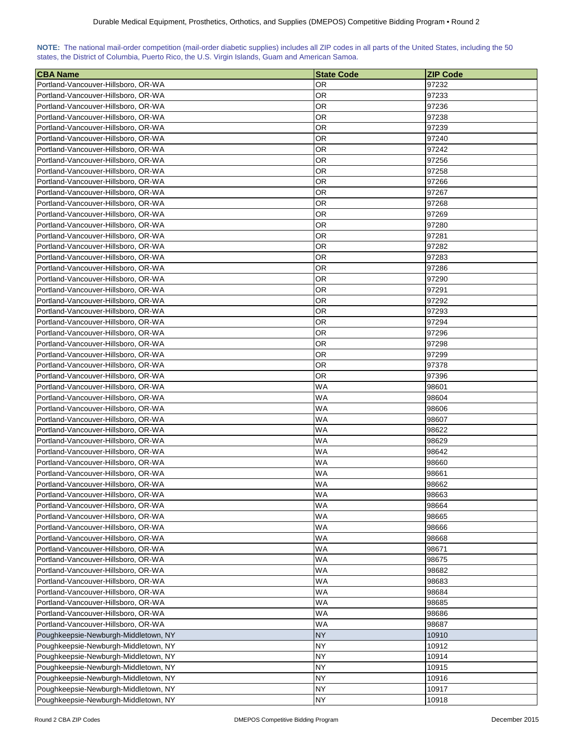| NOTE: The national mail-order competition (mail-order diabetic supplies) includes all ZIP codes in all parts of the United States, including the 50 |  |  |  |  |  |  |  |
|-----------------------------------------------------------------------------------------------------------------------------------------------------|--|--|--|--|--|--|--|
| states, the District of Columbia, Puerto Rico, the U.S. Virgin Islands, Guam and American Samoa.                                                    |  |  |  |  |  |  |  |

| <b>CBA Name</b>                      | <b>State Code</b> | ZIP Code |
|--------------------------------------|-------------------|----------|
| Portland-Vancouver-Hillsboro, OR-WA  | OR                | 97232    |
| Portland-Vancouver-Hillsboro, OR-WA  | OR                | 97233    |
| Portland-Vancouver-Hillsboro, OR-WA  | OR                | 97236    |
| Portland-Vancouver-Hillsboro, OR-WA  | OR                | 97238    |
| Portland-Vancouver-Hillsboro, OR-WA  | OR.               | 97239    |
| Portland-Vancouver-Hillsboro, OR-WA  | OR.               | 97240    |
| Portland-Vancouver-Hillsboro, OR-WA  | OR                | 97242    |
| Portland-Vancouver-Hillsboro, OR-WA  | OR                | 97256    |
| Portland-Vancouver-Hillsboro, OR-WA  | OR                | 97258    |
| Portland-Vancouver-Hillsboro, OR-WA  | OR                | 97266    |
| Portland-Vancouver-Hillsboro, OR-WA  | OR                | 97267    |
| Portland-Vancouver-Hillsboro, OR-WA  | OR                | 97268    |
| Portland-Vancouver-Hillsboro, OR-WA  | OR                | 97269    |
| Portland-Vancouver-Hillsboro, OR-WA  | OR                | 97280    |
| Portland-Vancouver-Hillsboro, OR-WA  | OR                | 97281    |
| Portland-Vancouver-Hillsboro, OR-WA  | OR                | 97282    |
| Portland-Vancouver-Hillsboro, OR-WA  | OR                | 97283    |
| Portland-Vancouver-Hillsboro, OR-WA  | OR                | 97286    |
| Portland-Vancouver-Hillsboro, OR-WA  | OR                | 97290    |
|                                      |                   |          |
| Portland-Vancouver-Hillsboro, OR-WA  | OR                | 97291    |
| Portland-Vancouver-Hillsboro, OR-WA  | OR                | 97292    |
| Portland-Vancouver-Hillsboro, OR-WA  | ΟR                | 97293    |
| Portland-Vancouver-Hillsboro, OR-WA  | OR                | 97294    |
| Portland-Vancouver-Hillsboro, OR-WA  | OR                | 97296    |
| Portland-Vancouver-Hillsboro, OR-WA  | OR                | 97298    |
| Portland-Vancouver-Hillsboro, OR-WA  | OR                | 97299    |
| Portland-Vancouver-Hillsboro, OR-WA  | OR                | 97378    |
| Portland-Vancouver-Hillsboro, OR-WA  | OR                | 97396    |
| Portland-Vancouver-Hillsboro, OR-WA  | WA                | 98601    |
| Portland-Vancouver-Hillsboro, OR-WA  | WA                | 98604    |
| Portland-Vancouver-Hillsboro, OR-WA  | WA                | 98606    |
| Portland-Vancouver-Hillsboro, OR-WA  | WA                | 98607    |
| Portland-Vancouver-Hillsboro, OR-WA  | WA                | 98622    |
| Portland-Vancouver-Hillsboro, OR-WA  | WA                | 98629    |
| Portland-Vancouver-Hillsboro, OR-WA  | WA                | 98642    |
| Portland-Vancouver-Hillsboro, OR-WA  | WA                | 98660    |
| Portland-Vancouver-Hillsboro, OR-WA  | WA                | 98661    |
| Portland-Vancouver-Hillsboro, OR-WA  | WA                | 98662    |
| Portland-Vancouver-Hillsboro, OR-WA  | <b>WA</b>         | 98663    |
| Portland-Vancouver-Hillsboro, OR-WA  | <b>WA</b>         | 98664    |
| Portland-Vancouver-Hillsboro, OR-WA  | <b>WA</b>         | 98665    |
| Portland-Vancouver-Hillsboro, OR-WA  | WA                | 98666    |
| Portland-Vancouver-Hillsboro, OR-WA  | WA                | 98668    |
| Portland-Vancouver-Hillsboro, OR-WA  | WA                | 98671    |
| Portland-Vancouver-Hillsboro, OR-WA  | WA                | 98675    |
| Portland-Vancouver-Hillsboro, OR-WA  | <b>WA</b>         | 98682    |
| Portland-Vancouver-Hillsboro, OR-WA  | WA                | 98683    |
| Portland-Vancouver-Hillsboro, OR-WA  | WA                | 98684    |
| Portland-Vancouver-Hillsboro, OR-WA  | WA                | 98685    |
| Portland-Vancouver-Hillsboro, OR-WA  | WA                | 98686    |
| Portland-Vancouver-Hillsboro, OR-WA  | WA                | 98687    |
| Poughkeepsie-Newburgh-Middletown, NY | <b>NY</b>         | 10910    |
| Poughkeepsie-Newburgh-Middletown, NY | NY                | 10912    |
| Poughkeepsie-Newburgh-Middletown, NY | <b>NY</b>         | 10914    |
| Poughkeepsie-Newburgh-Middletown, NY | NY.               | 10915    |
| Poughkeepsie-Newburgh-Middletown, NY | NY.               | 10916    |
| Poughkeepsie-Newburgh-Middletown, NY | <b>NY</b>         | 10917    |
| Poughkeepsie-Newburgh-Middletown, NY | <b>NY</b>         | 10918    |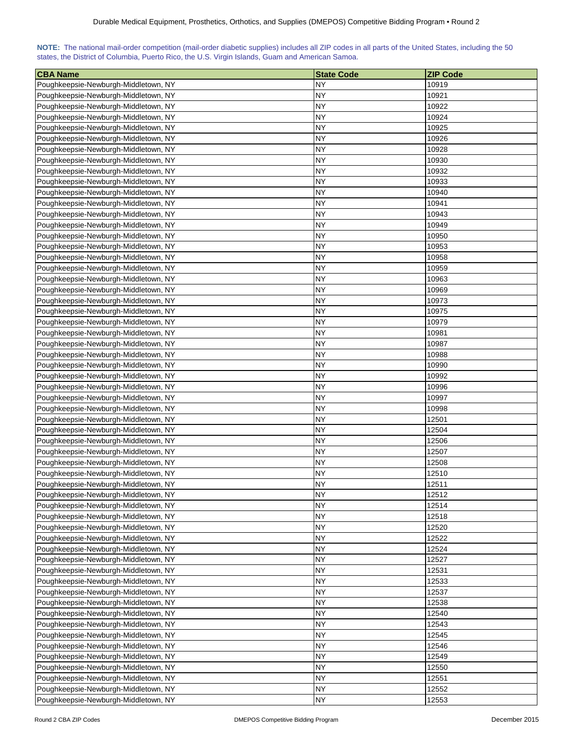| NOTE: The national mail-order competition (mail-order diabetic supplies) includes all ZIP codes in all parts of the United States, including the 50 |  |  |  |  |  |  |  |
|-----------------------------------------------------------------------------------------------------------------------------------------------------|--|--|--|--|--|--|--|
| states, the District of Columbia, Puerto Rico, the U.S. Virgin Islands, Guam and American Samoa.                                                    |  |  |  |  |  |  |  |

| <b>CBA Name</b>                                                              | <b>State Code</b> | <b>ZIP Code</b> |
|------------------------------------------------------------------------------|-------------------|-----------------|
| Poughkeepsie-Newburgh-Middletown, NY                                         | NY                | 10919           |
| Poughkeepsie-Newburgh-Middletown, NY                                         | NY                | 10921           |
| Poughkeepsie-Newburgh-Middletown, NY                                         | NY                | 10922           |
| Poughkeepsie-Newburgh-Middletown, NY                                         | NY                | 10924           |
| Poughkeepsie-Newburgh-Middletown, NY                                         | NY                | 10925           |
| Poughkeepsie-Newburgh-Middletown, NY                                         | NΥ                | 10926           |
| Poughkeepsie-Newburgh-Middletown, NY                                         | NΥ                | 10928           |
| Poughkeepsie-Newburgh-Middletown, NY                                         | ΝY                | 10930           |
| Poughkeepsie-Newburgh-Middletown, NY                                         | <b>NY</b>         | 10932           |
| Poughkeepsie-Newburgh-Middletown, NY                                         | NΥ                | 10933           |
| Poughkeepsie-Newburgh-Middletown, NY                                         | NΥ                | 10940           |
| Poughkeepsie-Newburgh-Middletown, NY                                         | NY                | 10941           |
| Poughkeepsie-Newburgh-Middletown, NY                                         | NY                | 10943           |
| Poughkeepsie-Newburgh-Middletown, NY                                         | NY                | 10949           |
| Poughkeepsie-Newburgh-Middletown, NY                                         | <b>NY</b>         | 10950           |
| Poughkeepsie-Newburgh-Middletown, NY                                         | NY                | 10953           |
| Poughkeepsie-Newburgh-Middletown, NY                                         | <b>NY</b>         | 10958           |
| Poughkeepsie-Newburgh-Middletown, NY                                         | NΥ                | 10959           |
| Poughkeepsie-Newburgh-Middletown, NY                                         | NΥ                | 10963           |
| Poughkeepsie-Newburgh-Middletown, NY                                         | NΥ                | 10969           |
| Poughkeepsie-Newburgh-Middletown, NY                                         | NΥ                | 10973           |
| Poughkeepsie-Newburgh-Middletown, NY                                         | <b>NY</b>         | 10975           |
| Poughkeepsie-Newburgh-Middletown, NY                                         | NY                | 10979           |
| Poughkeepsie-Newburgh-Middletown, NY                                         | NΥ                | 10981           |
| Poughkeepsie-Newburgh-Middletown, NY                                         | NY                | 10987           |
| Poughkeepsie-Newburgh-Middletown, NY                                         | NY                | 10988           |
|                                                                              | NY                | 10990           |
| Poughkeepsie-Newburgh-Middletown, NY                                         | NY                | 10992           |
| Poughkeepsie-Newburgh-Middletown, NY<br>Poughkeepsie-Newburgh-Middletown, NY | NΥ                | 10996           |
|                                                                              |                   |                 |
| Poughkeepsie-Newburgh-Middletown, NY                                         | NΥ<br>NΥ          | 10997<br>10998  |
| Poughkeepsie-Newburgh-Middletown, NY                                         | NΥ                |                 |
| Poughkeepsie-Newburgh-Middletown, NY                                         | NΥ                | 12501           |
| Poughkeepsie-Newburgh-Middletown, NY                                         | <b>NY</b>         | 12504<br>12506  |
| Poughkeepsie-Newburgh-Middletown, NY<br>Poughkeepsie-Newburgh-Middletown, NY | NY                | 12507           |
|                                                                              | <b>NY</b>         |                 |
| Poughkeepsie-Newburgh-Middletown, NY                                         | <b>NY</b>         | 12508           |
| Poughkeepsie-Newburgh-Middletown, NY                                         |                   | 12510           |
| Poughkeepsie-Newburgh-Middletown, NY                                         | NY<br><b>NY</b>   | 12511           |
| Poughkeepsie-Newburgh-Middletown, NY                                         |                   | 12512           |
| Poughkeepsie-Newburgh-Middletown, NY                                         | <b>NY</b>         | 12514           |
| Poughkeepsie-Newburgh-Middletown, NY                                         | <b>NY</b>         | 12518           |
| Poughkeepsie-Newburgh-Middletown, NY                                         | <b>NY</b>         | 12520           |
| Poughkeepsie-Newburgh-Middletown, NY                                         | <b>NY</b>         | 12522           |
| Poughkeepsie-Newburgh-Middletown, NY                                         | NY                | 12524           |
| Poughkeepsie-Newburgh-Middletown, NY                                         | NY                | 12527           |
| Poughkeepsie-Newburgh-Middletown, NY                                         | <b>NY</b>         | 12531           |
| Poughkeepsie-Newburgh-Middletown, NY                                         | NΥ                | 12533           |
| Poughkeepsie-Newburgh-Middletown, NY                                         | <b>NY</b>         | 12537           |
| Poughkeepsie-Newburgh-Middletown, NY                                         | <b>NY</b>         | 12538           |
| Poughkeepsie-Newburgh-Middletown, NY                                         | NΥ                | 12540           |
| Poughkeepsie-Newburgh-Middletown, NY                                         | NΥ                | 12543           |
| Poughkeepsie-Newburgh-Middletown, NY                                         | NΥ                | 12545           |
| Poughkeepsie-Newburgh-Middletown, NY                                         | <b>NY</b>         | 12546           |
| Poughkeepsie-Newburgh-Middletown, NY                                         | NΥ                | 12549           |
| Poughkeepsie-Newburgh-Middletown, NY                                         | NΥ                | 12550           |
| Poughkeepsie-Newburgh-Middletown, NY                                         | <b>NY</b>         | 12551           |
| Poughkeepsie-Newburgh-Middletown, NY                                         | NΥ                | 12552           |
| Poughkeepsie-Newburgh-Middletown, NY                                         | <b>NY</b>         | 12553           |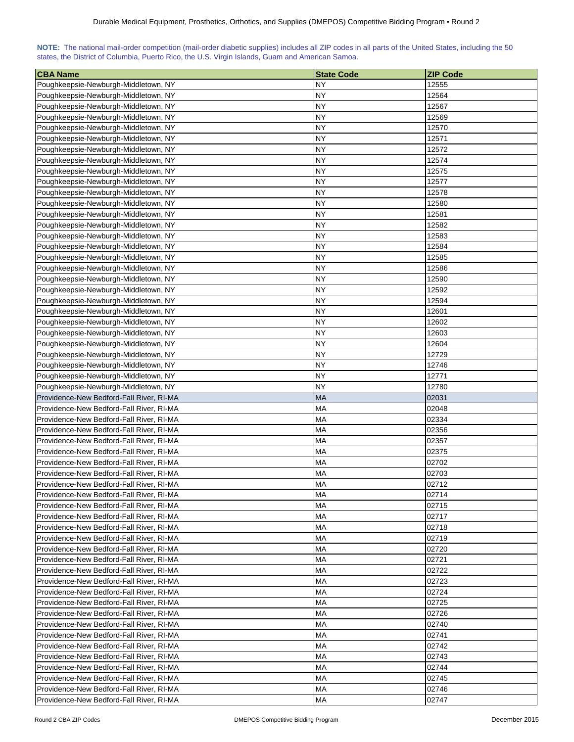| NOTE: The national mail-order competition (mail-order diabetic supplies) includes all ZIP codes in all parts of the United States, including the 50 |  |  |  |  |  |  |  |
|-----------------------------------------------------------------------------------------------------------------------------------------------------|--|--|--|--|--|--|--|
| states, the District of Columbia, Puerto Rico, the U.S. Virgin Islands, Guam and American Samoa.                                                    |  |  |  |  |  |  |  |

| <b>CBA Name</b>                          | <b>State Code</b> | <b>ZIP Code</b> |
|------------------------------------------|-------------------|-----------------|
| Poughkeepsie-Newburgh-Middletown, NY     | NY                | 12555           |
| Poughkeepsie-Newburgh-Middletown, NY     | NΥ                | 12564           |
| Poughkeepsie-Newburgh-Middletown, NY     | NY                | 12567           |
| Poughkeepsie-Newburgh-Middletown, NY     | NΥ                | 12569           |
| Poughkeepsie-Newburgh-Middletown, NY     | NY                | 12570           |
| Poughkeepsie-Newburgh-Middletown, NY     | NY                | 12571           |
| Poughkeepsie-Newburgh-Middletown, NY     | NY                | 12572           |
| Poughkeepsie-Newburgh-Middletown, NY     | <b>NY</b>         | 12574           |
| Poughkeepsie-Newburgh-Middletown, NY     | NY                | 12575           |
| Poughkeepsie-Newburgh-Middletown, NY     | NΥ                | 12577           |
| Poughkeepsie-Newburgh-Middletown, NY     | NY                | 12578           |
| Poughkeepsie-Newburgh-Middletown, NY     | <b>NY</b>         | 12580           |
| Poughkeepsie-Newburgh-Middletown, NY     | NΥ                | 12581           |
|                                          | <b>NY</b>         |                 |
| Poughkeepsie-Newburgh-Middletown, NY     |                   | 12582           |
| Poughkeepsie-Newburgh-Middletown, NY     | NY                | 12583           |
| Poughkeepsie-Newburgh-Middletown, NY     | NΥ                | 12584           |
| Poughkeepsie-Newburgh-Middletown, NY     | <b>NY</b>         | 12585           |
| Poughkeepsie-Newburgh-Middletown, NY     | <b>NY</b>         | 12586           |
| Poughkeepsie-Newburgh-Middletown, NY     | NY                | 12590           |
| Poughkeepsie-Newburgh-Middletown, NY     | <b>NY</b>         | 12592           |
| Poughkeepsie-Newburgh-Middletown, NY     | NΥ                | 12594           |
| Poughkeepsie-Newburgh-Middletown, NY     | NY                | 12601           |
| Poughkeepsie-Newburgh-Middletown, NY     | NY                | 12602           |
| Poughkeepsie-Newburgh-Middletown, NY     | NY                | 12603           |
| Poughkeepsie-Newburgh-Middletown, NY     | NY                | 12604           |
| Poughkeepsie-Newburgh-Middletown, NY     | <b>NY</b>         | 12729           |
| Poughkeepsie-Newburgh-Middletown, NY     | NΥ                | 12746           |
| Poughkeepsie-Newburgh-Middletown, NY     | <b>NY</b>         | 12771           |
| Poughkeepsie-Newburgh-Middletown, NY     | NΥ                | 12780           |
| Providence-New Bedford-Fall River, RI-MA | <b>MA</b>         | 02031           |
| Providence-New Bedford-Fall River, RI-MA | <b>MA</b>         | 02048           |
| Providence-New Bedford-Fall River, RI-MA | МA                | 02334           |
| Providence-New Bedford-Fall River, RI-MA | МA                | 02356           |
| Providence-New Bedford-Fall River, RI-MA | <b>MA</b>         | 02357           |
| Providence-New Bedford-Fall River, RI-MA | MA                | 02375           |
| Providence-New Bedford-Fall River, RI-MA | MA                | 02702           |
| Providence-New Bedford-Fall River, RI-MA | MA                | 02703           |
| Providence-New Bedford-Fall River, RI-MA | <b>MA</b>         | 02712           |
| Providence-New Bedford-Fall River, RI-MA | МA                | 02714           |
| Providence-New Bedford-Fall River, RI-MA | МA                | 02715           |
| Providence-New Bedford-Fall River, RI-MA | МA                | 02717           |
| Providence-New Bedford-Fall River, RI-MA | <b>MA</b>         | 02718           |
| Providence-New Bedford-Fall River, RI-MA | <b>MA</b>         | 02719           |
| Providence-New Bedford-Fall River, RI-MA | МA                | 02720           |
| Providence-New Bedford-Fall River, RI-MA | МA                | 02721           |
| Providence-New Bedford-Fall River, RI-MA | МA                | 02722           |
| Providence-New Bedford-Fall River, RI-MA | МA                | 02723           |
| Providence-New Bedford-Fall River, RI-MA | МA                | 02724           |
| Providence-New Bedford-Fall River, RI-MA | МA                | 02725           |
| Providence-New Bedford-Fall River, RI-MA | МA                | 02726           |
| Providence-New Bedford-Fall River, RI-MA | МA                | 02740           |
| Providence-New Bedford-Fall River, RI-MA | МA                | 02741           |
| Providence-New Bedford-Fall River, RI-MA | МA                | 02742           |
| Providence-New Bedford-Fall River, RI-MA | МA                | 02743           |
| Providence-New Bedford-Fall River, RI-MA | МA                | 02744           |
| Providence-New Bedford-Fall River, RI-MA | <b>MA</b>         | 02745           |
| Providence-New Bedford-Fall River, RI-MA | МA                | 02746           |
| Providence-New Bedford-Fall River, RI-MA | <b>MA</b>         | 02747           |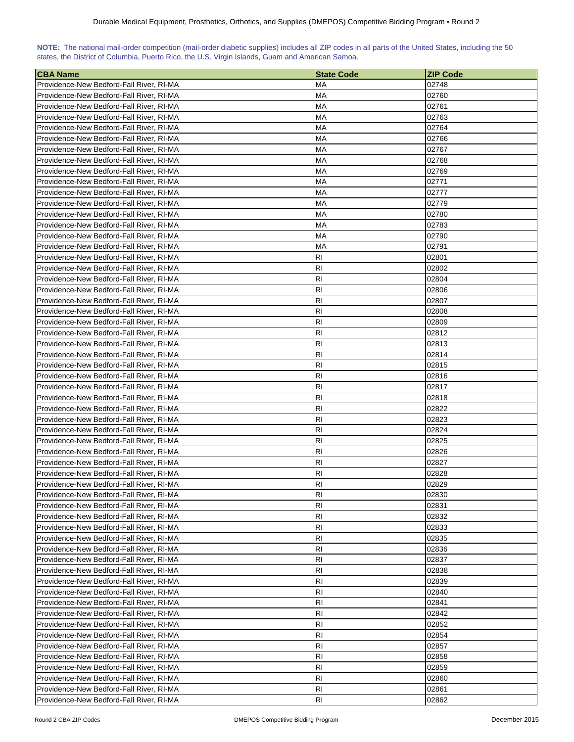| NOTE: The national mail-order competition (mail-order diabetic supplies) includes all ZIP codes in all parts of the United States, including the 50 |  |  |  |  |  |  |  |
|-----------------------------------------------------------------------------------------------------------------------------------------------------|--|--|--|--|--|--|--|
| states, the District of Columbia, Puerto Rico, the U.S. Virgin Islands, Guam and American Samoa.                                                    |  |  |  |  |  |  |  |

| <b>CBA Name</b>                          | <b>State Code</b> | <b>ZIP Code</b> |
|------------------------------------------|-------------------|-----------------|
| Providence-New Bedford-Fall River, RI-MA | МA                | 02748           |
| Providence-New Bedford-Fall River, RI-MA | MA                | 02760           |
| Providence-New Bedford-Fall River, RI-MA | MA                | 02761           |
| Providence-New Bedford-Fall River, RI-MA | MA                | 02763           |
| Providence-New Bedford-Fall River, RI-MA | МA                | 02764           |
| Providence-New Bedford-Fall River, RI-MA | МA                | 02766           |
| Providence-New Bedford-Fall River, RI-MA | МA                | 02767           |
| Providence-New Bedford-Fall River, RI-MA | МA                | 02768           |
| Providence-New Bedford-Fall River, RI-MA | МA                | 02769           |
| Providence-New Bedford-Fall River, RI-MA | MA                | 02771           |
| Providence-New Bedford-Fall River, RI-MA | МA                | 02777           |
| Providence-New Bedford-Fall River, RI-MA | МA                | 02779           |
| Providence-New Bedford-Fall River, RI-MA | MA                | 02780           |
| Providence-New Bedford-Fall River, RI-MA | MA                | 02783           |
| Providence-New Bedford-Fall River, RI-MA | МA                | 02790           |
| Providence-New Bedford-Fall River, RI-MA | МA                | 02791           |
| Providence-New Bedford-Fall River, RI-MA | RI                | 02801           |
| Providence-New Bedford-Fall River, RI-MA | RI                | 02802           |
| Providence-New Bedford-Fall River, RI-MA | R <sub>l</sub>    | 02804           |
| Providence-New Bedford-Fall River, RI-MA | RI                | 02806           |
| Providence-New Bedford-Fall River, RI-MA | R <sub>l</sub>    | 02807           |
| Providence-New Bedford-Fall River, RI-MA | R <sub>l</sub>    | 02808           |
| Providence-New Bedford-Fall River, RI-MA | <b>RI</b>         | 02809           |
| Providence-New Bedford-Fall River, RI-MA | R <sub>1</sub>    | 02812           |
|                                          | R <sub>1</sub>    | 02813           |
| Providence-New Bedford-Fall River, RI-MA |                   |                 |
| Providence-New Bedford-Fall River, RI-MA | R <sub>1</sub>    | 02814           |
| Providence-New Bedford-Fall River, RI-MA | RI                | 02815           |
| Providence-New Bedford-Fall River, RI-MA | RI                | 02816           |
| Providence-New Bedford-Fall River, RI-MA | RI                | 02817           |
| Providence-New Bedford-Fall River, RI-MA | R <sub>l</sub>    | 02818           |
| Providence-New Bedford-Fall River, RI-MA | RI                | 02822           |
| Providence-New Bedford-Fall River, RI-MA | R <sub>1</sub>    | 02823           |
| Providence-New Bedford-Fall River, RI-MA | RI                | 02824           |
| Providence-New Bedford-Fall River, RI-MA | RI                | 02825           |
| Providence-New Bedford-Fall River, RI-MA | R <sub>1</sub>    | 02826           |
| Providence-New Bedford-Fall River, RI-MA | R <sub>l</sub>    | 02827           |
| Providence-New Bedford-Fall River, RI-MA | R <sub>l</sub>    | 02828           |
| Providence-New Bedford-Fall River, RI-MA | R <sub>l</sub>    | 02829           |
| Providence-New Bedford-Fall River, RI-MA | R <sub>l</sub>    | 02830           |
| Providence-New Bedford-Fall River, RI-MA | RI                | 02831           |
| Providence-New Bedford-Fall River, RI-MA | R <sub>1</sub>    | 02832           |
| Providence-New Bedford-Fall River, RI-MA | R <sub>1</sub>    | 02833           |
| Providence-New Bedford-Fall River, RI-MA | RI                | 02835           |
| Providence-New Bedford-Fall River, RI-MA | R <sub>1</sub>    | 02836           |
| Providence-New Bedford-Fall River, RI-MA | R <sub>1</sub>    | 02837           |
| Providence-New Bedford-Fall River, RI-MA | R <sub>1</sub>    | 02838           |
| Providence-New Bedford-Fall River, RI-MA | R <sub>l</sub>    | 02839           |
| Providence-New Bedford-Fall River, RI-MA | R <sub>l</sub>    | 02840           |
| Providence-New Bedford-Fall River, RI-MA | R <sub>l</sub>    | 02841           |
| Providence-New Bedford-Fall River, RI-MA | R <sub>l</sub>    | 02842           |
| Providence-New Bedford-Fall River, RI-MA | RI                | 02852           |
| Providence-New Bedford-Fall River, RI-MA | RI                | 02854           |
| Providence-New Bedford-Fall River, RI-MA | RI                | 02857           |
| Providence-New Bedford-Fall River, RI-MA | R <sub>l</sub>    | 02858           |
| Providence-New Bedford-Fall River, RI-MA | R <sub>l</sub>    | 02859           |
| Providence-New Bedford-Fall River, RI-MA | R <sub>l</sub>    | 02860           |
| Providence-New Bedford-Fall River, RI-MA | RI                | 02861           |
| Providence-New Bedford-Fall River, RI-MA | RI                | 02862           |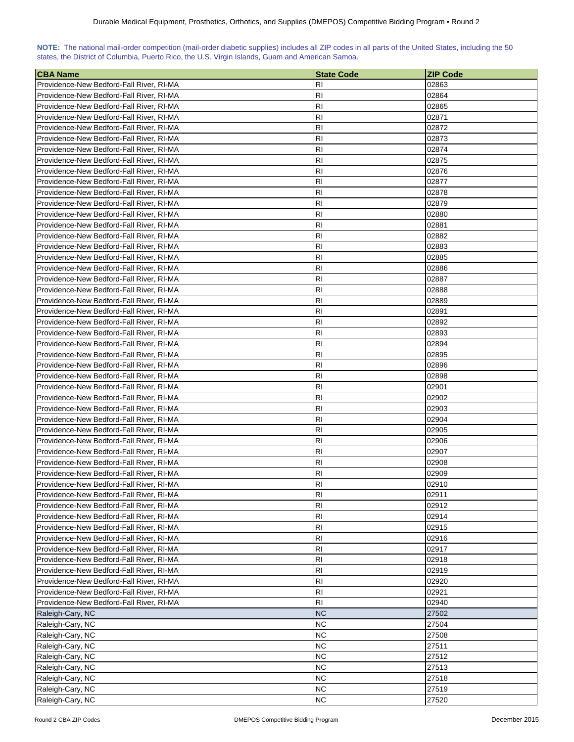| NOTE: The national mail-order competition (mail-order diabetic supplies) includes all ZIP codes in all parts of the United States, including the 50 |  |  |  |  |  |  |  |
|-----------------------------------------------------------------------------------------------------------------------------------------------------|--|--|--|--|--|--|--|
| states, the District of Columbia, Puerto Rico, the U.S. Virgin Islands, Guam and American Samoa.                                                    |  |  |  |  |  |  |  |

| <b>CBA Name</b>                          | <b>State Code</b> | <b>ZIP Code</b> |
|------------------------------------------|-------------------|-----------------|
| Providence-New Bedford-Fall River, RI-MA | RI                | 02863           |
| Providence-New Bedford-Fall River, RI-MA | <b>RI</b>         | 02864           |
| Providence-New Bedford-Fall River, RI-MA | <b>RI</b>         | 02865           |
| Providence-New Bedford-Fall River, RI-MA | <b>RI</b>         | 02871           |
| Providence-New Bedford-Fall River, RI-MA | R <sub>l</sub>    | 02872           |
| Providence-New Bedford-Fall River, RI-MA | <b>RI</b>         | 02873           |
| Providence-New Bedford-Fall River, RI-MA | <b>RI</b>         | 02874           |
| Providence-New Bedford-Fall River, RI-MA | RI                | 02875           |
| Providence-New Bedford-Fall River, RI-MA | <b>RI</b>         | 02876           |
| Providence-New Bedford-Fall River, RI-MA | <b>RI</b>         | 02877           |
| Providence-New Bedford-Fall River, RI-MA | R <sub>l</sub>    | 02878           |
| Providence-New Bedford-Fall River, RI-MA | <b>RI</b>         | 02879           |
| Providence-New Bedford-Fall River, RI-MA | R <sub>1</sub>    | 02880           |
| Providence-New Bedford-Fall River, RI-MA | <b>RI</b>         | 02881           |
| Providence-New Bedford-Fall River, RI-MA | R <sub>1</sub>    | 02882           |
| Providence-New Bedford-Fall River, RI-MA | R <sub>1</sub>    | 02883           |
| Providence-New Bedford-Fall River, RI-MA | <b>RI</b>         | 02885           |
| Providence-New Bedford-Fall River, RI-MA | <b>RI</b>         | 02886           |
| Providence-New Bedford-Fall River, RI-MA | R <sub>l</sub>    | 02887           |
| Providence-New Bedford-Fall River, RI-MA | <b>RI</b>         | 02888           |
| Providence-New Bedford-Fall River, RI-MA | <b>RI</b>         | 02889           |
| Providence-New Bedford-Fall River, RI-MA | R <sub>l</sub>    | 02891           |
| Providence-New Bedford-Fall River, RI-MA | R <sub>1</sub>    | 02892           |
| Providence-New Bedford-Fall River, RI-MA | R <sub>1</sub>    | 02893           |
|                                          | R <sub>1</sub>    | 02894           |
| Providence-New Bedford-Fall River, RI-MA | R <sub>1</sub>    |                 |
| Providence-New Bedford-Fall River, RI-MA |                   | 02895           |
| Providence-New Bedford-Fall River, RI-MA | <b>RI</b>         | 02896           |
| Providence-New Bedford-Fall River, RI-MA | <b>RI</b>         | 02898           |
| Providence-New Bedford-Fall River, RI-MA | <b>RI</b>         | 02901           |
| Providence-New Bedford-Fall River, RI-MA | <b>RI</b>         | 02902           |
| Providence-New Bedford-Fall River, RI-MA | <b>RI</b>         | 02903           |
| Providence-New Bedford-Fall River, RI-MA | R <sub>1</sub>    | 02904           |
| Providence-New Bedford-Fall River, RI-MA | <b>RI</b>         | 02905           |
| Providence-New Bedford-Fall River, RI-MA | R <sub>1</sub>    | 02906           |
| Providence-New Bedford-Fall River, RI-MA | <b>RI</b>         | 02907           |
| Providence-New Bedford-Fall River, RI-MA | R <sub>1</sub>    | 02908           |
| Providence-New Bedford-Fall River, RI-MA | R <sub>l</sub>    | 02909           |
| Providence-New Bedford-Fall River, RI-MA | R <sub>1</sub>    | 02910           |
| Providence-New Bedford-Fall River, RI-MA | R <sub>1</sub>    | 02911           |
| Providence-New Bedford-Fall River, RI-MA | R <sub>1</sub>    | 02912           |
| Providence-New Bedford-Fall River, RI-MA | R <sub>1</sub>    | 02914           |
| Providence-New Bedford-Fall River, RI-MA | R <sub>l</sub>    | 02915           |
| Providence-New Bedford-Fall River, RI-MA | R <sub>1</sub>    | 02916           |
| Providence-New Bedford-Fall River, RI-MA | R <sub>1</sub>    | 02917           |
| Providence-New Bedford-Fall River, RI-MA | R <sub>1</sub>    | 02918           |
| Providence-New Bedford-Fall River, RI-MA | RI                | 02919           |
| Providence-New Bedford-Fall River, RI-MA | R <sub>l</sub>    | 02920           |
| Providence-New Bedford-Fall River, RI-MA | R <sub>l</sub>    | 02921           |
| Providence-New Bedford-Fall River, RI-MA | R <sub>l</sub>    | 02940           |
| Raleigh-Cary, NC                         | <b>NC</b>         | 27502           |
| Raleigh-Cary, NC                         | <b>NC</b>         | 27504           |
| Raleigh-Cary, NC                         | <b>NC</b>         | 27508           |
| Raleigh-Cary, NC                         | <b>NC</b>         | 27511           |
| Raleigh-Cary, NC                         | <b>NC</b>         | 27512           |
| Raleigh-Cary, NC                         | <b>NC</b>         | 27513           |
| Raleigh-Cary, NC                         | <b>NC</b>         | 27518           |
| Raleigh-Cary, NC                         | <b>NC</b>         | 27519           |
| Raleigh-Cary, NC                         | <b>NC</b>         | 27520           |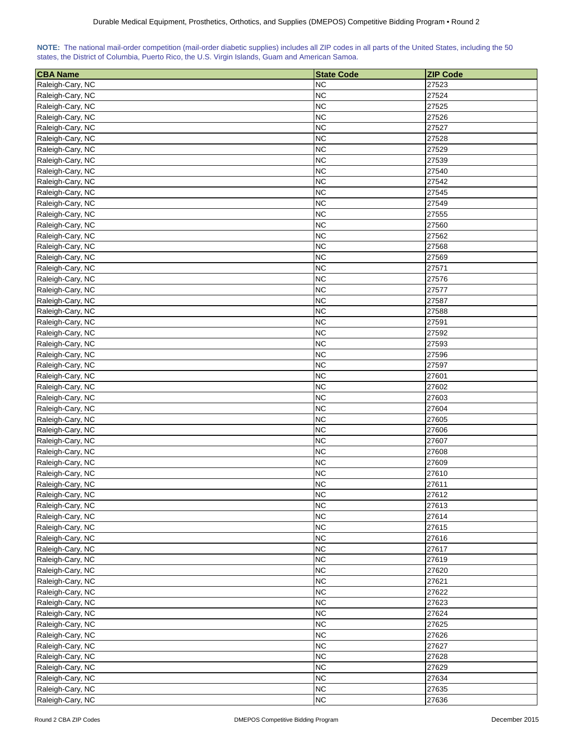| NOTE: The national mail-order competition (mail-order diabetic supplies) includes all ZIP codes in all parts of the United States, including the 50 |  |  |  |  |  |  |  |
|-----------------------------------------------------------------------------------------------------------------------------------------------------|--|--|--|--|--|--|--|
| states, the District of Columbia, Puerto Rico, the U.S. Virgin Islands, Guam and American Samoa.                                                    |  |  |  |  |  |  |  |

| <b>CBA Name</b>                      | <b>State Code</b> | <b>ZIP Code</b> |
|--------------------------------------|-------------------|-----------------|
| Raleigh-Cary, NC                     | <b>NC</b>         | 27523           |
| Raleigh-Cary, NC                     | <b>NC</b>         | 27524           |
| Raleigh-Cary, NC                     | <b>NC</b>         | 27525           |
| Raleigh-Cary, NC                     | <b>NC</b>         | 27526           |
| Raleigh-Cary, NC                     | <b>NC</b>         | 27527           |
| Raleigh-Cary, NC                     | <b>NC</b>         | 27528           |
| Raleigh-Cary, NC                     | <b>NC</b>         | 27529           |
| Raleigh-Cary, NC                     | <b>NC</b>         | 27539           |
| Raleigh-Cary, NC                     | <b>NC</b>         | 27540           |
| Raleigh-Cary, NC                     | <b>NC</b>         | 27542           |
| Raleigh-Cary, NC                     | NC                | 27545           |
| Raleigh-Cary, NC                     | <b>NC</b>         | 27549           |
| Raleigh-Cary, NC                     | <b>NC</b>         | 27555           |
| Raleigh-Cary, NC                     | <b>NC</b>         | 27560           |
| Raleigh-Cary, NC                     | <b>NC</b>         | 27562           |
| Raleigh-Cary, NC                     | <b>NC</b>         | 27568           |
| Raleigh-Cary, NC                     | NC                | 27569           |
| Raleigh-Cary, NC                     | <b>NC</b>         | 27571           |
| Raleigh-Cary, NC                     | <b>NC</b>         | 27576           |
| Raleigh-Cary, NC                     | <b>NC</b>         | 27577           |
| Raleigh-Cary, NC                     | <b>NC</b>         | 27587           |
| Raleigh-Cary, NC                     | NC                | 27588           |
| Raleigh-Cary, NC                     | NC                | 27591           |
| Raleigh-Cary, NC                     | NC                | 27592           |
| Raleigh-Cary, NC                     | <b>NC</b>         | 27593           |
| Raleigh-Cary, NC                     | <b>NC</b>         | 27596           |
|                                      | <b>NC</b>         | 27597           |
| Raleigh-Cary, NC<br>Raleigh-Cary, NC | <b>NC</b>         | 27601           |
|                                      | <b>NC</b>         | 27602           |
| Raleigh-Cary, NC                     | <b>NC</b>         | 27603           |
| Raleigh-Cary, NC                     |                   |                 |
| Raleigh-Cary, NC                     | <b>NC</b>         | 27604           |
| Raleigh-Cary, NC                     | <b>NC</b>         | 27605           |
| Raleigh-Cary, NC                     | <b>NC</b>         | 27606           |
| Raleigh-Cary, NC                     | <b>NC</b>         | 27607           |
| Raleigh-Cary, NC                     | <b>NC</b>         | 27608           |
| Raleigh-Cary, NC                     | <b>NC</b>         | 27609           |
| Raleigh-Cary, NC                     | <b>NC</b>         | 27610           |
| Raleigh-Cary, NC                     | <b>NC</b>         | 27611           |
| Raleigh-Cary, NC                     | <b>NC</b>         | 27612           |
| Raleigh-Cary, NC                     | <b>NC</b>         | 27613           |
| Raleigh-Cary, NC                     | <b>NC</b>         | 27614           |
| Raleigh-Cary, NC                     | NC                | 27615           |
| Raleigh-Cary, NC                     | <b>NC</b>         | 27616           |
| Raleigh-Cary, NC                     | <b>NC</b>         | 27617           |
| Raleigh-Cary, NC                     | <b>NC</b>         | 27619           |
| Raleigh-Cary, NC                     | <b>NC</b>         | 27620           |
| Raleigh-Cary, NC                     | $NC$              | 27621           |
| Raleigh-Cary, NC                     | NC                | 27622           |
| Raleigh-Cary, NC                     | <b>NC</b>         | 27623           |
| Raleigh-Cary, NC                     | <b>NC</b>         | 27624           |
| Raleigh-Cary, NC                     | <b>NC</b>         | 27625           |
| Raleigh-Cary, NC                     | <b>NC</b>         | 27626           |
| Raleigh-Cary, NC                     | <b>NC</b>         | 27627           |
| Raleigh-Cary, NC                     | <b>NC</b>         | 27628           |
| Raleigh-Cary, NC                     | <b>NC</b>         | 27629           |
| Raleigh-Cary, NC                     | <b>NC</b>         | 27634           |
| Raleigh-Cary, NC                     | <b>NC</b>         | 27635           |
| Raleigh-Cary, NC                     | <b>NC</b>         | 27636           |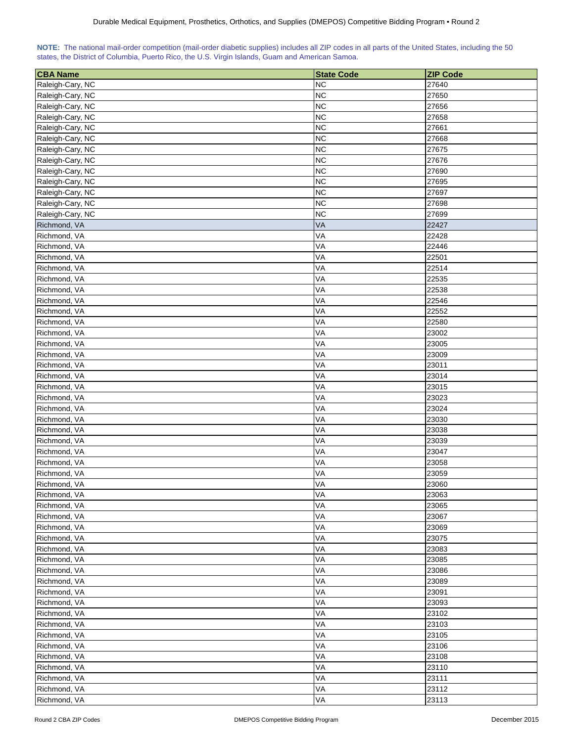| NOTE: The national mail-order competition (mail-order diabetic supplies) includes all ZIP codes in all parts of the United States, including the 50 |  |  |  |  |  |  |  |
|-----------------------------------------------------------------------------------------------------------------------------------------------------|--|--|--|--|--|--|--|
| states, the District of Columbia, Puerto Rico, the U.S. Virgin Islands, Guam and American Samoa.                                                    |  |  |  |  |  |  |  |

| <b>CBA Name</b>  | <b>State Code</b> | <b>ZIP Code</b> |
|------------------|-------------------|-----------------|
| Raleigh-Cary, NC | <b>NC</b>         | 27640           |
| Raleigh-Cary, NC | <b>NC</b>         | 27650           |
| Raleigh-Cary, NC | <b>NC</b>         | 27656           |
| Raleigh-Cary, NC | <b>NC</b>         | 27658           |
| Raleigh-Cary, NC | <b>NC</b>         | 27661           |
| Raleigh-Cary, NC | <b>NC</b>         | 27668           |
| Raleigh-Cary, NC | <b>NC</b>         | 27675           |
| Raleigh-Cary, NC | <b>NC</b>         | 27676           |
| Raleigh-Cary, NC | <b>NC</b>         | 27690           |
| Raleigh-Cary, NC | <b>NC</b>         | 27695           |
| Raleigh-Cary, NC | <b>NC</b>         | 27697           |
| Raleigh-Cary, NC | <b>NC</b>         | 27698           |
| Raleigh-Cary, NC | <b>NC</b>         | 27699           |
| Richmond, VA     | VA                | 22427           |
| Richmond, VA     | VA                | 22428           |
| Richmond, VA     | VA                | 22446           |
| Richmond, VA     | VA                | 22501           |
| Richmond, VA     | VA                | 22514           |
| Richmond, VA     | VA                | 22535           |
| Richmond, VA     | VA                | 22538           |
| Richmond, VA     | VA                | 22546           |
| Richmond, VA     | VA                | 22552           |
| Richmond, VA     | VA                | 22580           |
| Richmond, VA     | VA                | 23002           |
| Richmond, VA     | VA                | 23005           |
| Richmond, VA     | VA                | 23009           |
| Richmond, VA     | VA                | 23011           |
| Richmond, VA     | VA                | 23014           |
| Richmond, VA     | VA                | 23015           |
| Richmond, VA     | VA                | 23023           |
| Richmond, VA     | VA                | 23024           |
| Richmond, VA     | VA                | 23030           |
| Richmond, VA     | VA                | 23038           |
| Richmond, VA     | VA                | 23039           |
| Richmond, VA     | VA                | 23047           |
| Richmond, VA     | VA                | 23058           |
| Richmond, VA     | VA                | 23059           |
| Richmond, VA     | VA                | 23060           |
| Richmond, VA     | VA                | 23063           |
| Richmond, VA     | VA                | 23065           |
| Richmond, VA     | VA                | 23067           |
| Richmond, VA     | VA                | 23069           |
| Richmond, VA     | VA                | 23075           |
| Richmond, VA     | VA                | 23083           |
| Richmond, VA     | VA                | 23085           |
| Richmond, VA     | VA                | 23086           |
| Richmond, VA     | VA                | 23089           |
| Richmond, VA     | VA                | 23091           |
| Richmond, VA     | VA                | 23093           |
| Richmond, VA     | VA                | 23102           |
| Richmond, VA     | VA                | 23103           |
| Richmond, VA     | VA                | 23105           |
| Richmond, VA     | VA                | 23106           |
| Richmond, VA     | VA                | 23108           |
| Richmond, VA     | VA                | 23110           |
| Richmond, VA     | VA                | 23111           |
| Richmond, VA     | VA                | 23112           |
| Richmond, VA     | VA                | 23113           |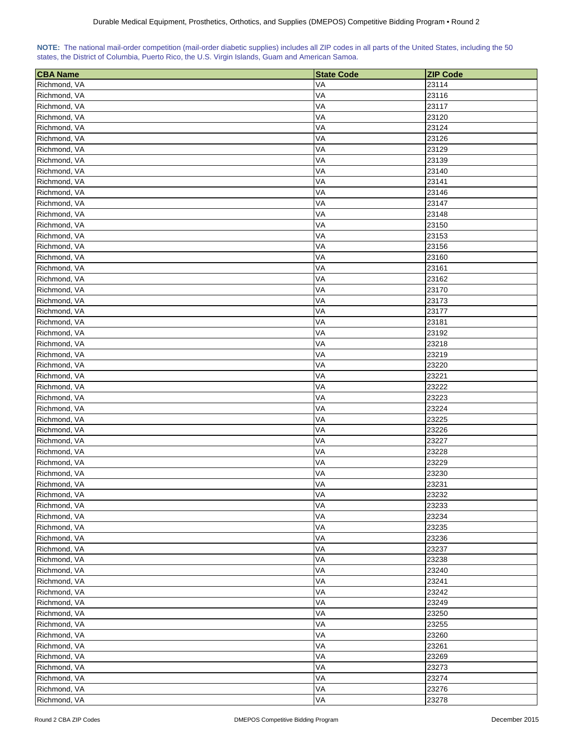|  | NOTE: The national mail-order competition (mail-order diabetic supplies) includes all ZIP codes in all parts of the United States, including the 50 |  |  |  |  |
|--|-----------------------------------------------------------------------------------------------------------------------------------------------------|--|--|--|--|
|  | states, the District of Columbia, Puerto Rico, the U.S. Virgin Islands, Guam and American Samoa.                                                    |  |  |  |  |

| <b>CBA Name</b> | <b>State Code</b> | <b>ZIP Code</b> |
|-----------------|-------------------|-----------------|
| Richmond, VA    | VA                | 23114           |
| Richmond, VA    | VA                | 23116           |
| Richmond, VA    | VA                | 23117           |
| Richmond, VA    | VA                | 23120           |
| Richmond, VA    | VA                | 23124           |
| Richmond, VA    | VA                | 23126           |
| Richmond, VA    | VA                | 23129           |
| Richmond, VA    | VA                | 23139           |
| Richmond, VA    | VA                | 23140           |
| Richmond, VA    | VA                | 23141           |
| Richmond, VA    | VA                | 23146           |
| Richmond, VA    | VA                | 23147           |
| Richmond, VA    | VA                | 23148           |
| Richmond, VA    | VA                | 23150           |
| Richmond, VA    | VA                | 23153           |
| Richmond, VA    | VA                | 23156           |
| Richmond, VA    | VA                | 23160           |
| Richmond, VA    | VA                | 23161           |
| Richmond, VA    | VA                | 23162           |
| Richmond, VA    | VA                | 23170           |
| Richmond, VA    | VA                | 23173           |
| Richmond, VA    | VA                | 23177           |
| Richmond, VA    | VA                | 23181           |
| Richmond, VA    | VA                | 23192           |
| Richmond, VA    | VA                | 23218           |
| Richmond, VA    | VA                | 23219           |
| Richmond, VA    | VA                | 23220           |
| Richmond, VA    | VA                | 23221           |
| Richmond, VA    | VA                | 23222           |
| Richmond, VA    | VA                | 23223           |
| Richmond, VA    | VA                | 23224           |
| Richmond, VA    | VA                | 23225           |
| Richmond, VA    | VA                | 23226           |
| Richmond, VA    | VA                | 23227           |
| Richmond, VA    | VA                | 23228           |
| Richmond, VA    | VA                | 23229           |
| Richmond, VA    | VA                | 23230           |
| Richmond, VA    | VA                | 23231           |
| Richmond, VA    | VA                | 23232           |
| Richmond, VA    | VA                | 23233           |
| Richmond, VA    | VA                | 23234           |
| Richmond, VA    | VA                | 23235           |
| Richmond, VA    | VA                | 23236           |
| Richmond, VA    | VA                | 23237           |
| Richmond, VA    | VA                | 23238           |
| Richmond, VA    | VA                | 23240           |
| Richmond, VA    | VA                | 23241           |
| Richmond, VA    | VA                | 23242           |
| Richmond, VA    | VA                | 23249           |
| Richmond, VA    | VA                | 23250           |
| Richmond, VA    | VA                | 23255           |
| Richmond, VA    | VA                | 23260           |
| Richmond, VA    | VA                | 23261           |
| Richmond, VA    | VA                | 23269           |
| Richmond, VA    | VA                | 23273           |
| Richmond, VA    | VA                | 23274           |
| Richmond, VA    | VA                | 23276           |
| Richmond, VA    | VA                | 23278           |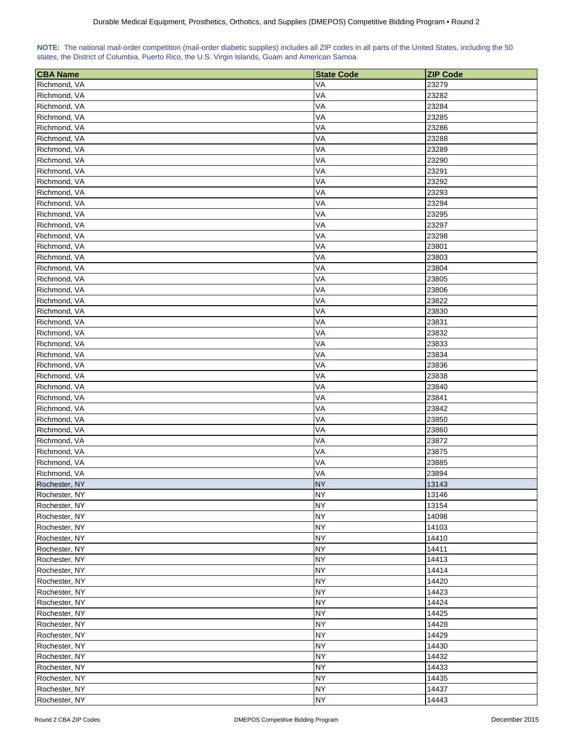|  | NOTE: The national mail-order competition (mail-order diabetic supplies) includes all ZIP codes in all parts of the United States, including the 50 |  |  |  |  |
|--|-----------------------------------------------------------------------------------------------------------------------------------------------------|--|--|--|--|
|  | states, the District of Columbia, Puerto Rico, the U.S. Virgin Islands, Guam and American Samoa.                                                    |  |  |  |  |

| <b>CBA Name</b> | <b>State Code</b> | <b>ZIP Code</b> |
|-----------------|-------------------|-----------------|
| Richmond, VA    | VA                | 23279           |
| Richmond, VA    | VA                | 23282           |
| Richmond, VA    | VA                | 23284           |
| Richmond, VA    | VA                | 23285           |
| Richmond, VA    | VA                | 23286           |
| Richmond, VA    | VA                | 23288           |
| Richmond, VA    | VA                | 23289           |
| Richmond, VA    | VA                | 23290           |
| Richmond, VA    | VA                | 23291           |
| Richmond, VA    | VA                | 23292           |
| Richmond, VA    | VA                | 23293           |
| Richmond, VA    | VA                | 23294           |
| Richmond, VA    | VA                | 23295           |
| Richmond, VA    | VA                | 23297           |
| Richmond, VA    | VA                | 23298           |
| Richmond, VA    | VA                | 23801           |
| Richmond, VA    | VA                | 23803           |
| Richmond, VA    | VA                | 23804           |
| Richmond, VA    | VA                | 23805           |
| Richmond, VA    | VA                | 23806           |
| Richmond, VA    | VA                | 23822           |
| Richmond, VA    | VA                | 23830           |
| Richmond, VA    | VA                | 23831           |
| Richmond, VA    | VA                | 23832           |
| Richmond, VA    | VA                | 23833           |
| Richmond, VA    | VA                | 23834           |
| Richmond, VA    | VA                | 23836           |
| Richmond, VA    | VA                | 23838           |
| Richmond, VA    | VA                | 23840           |
| Richmond, VA    | VA                | 23841           |
| Richmond, VA    | VA                | 23842           |
| Richmond, VA    | VA                | 23850           |
| Richmond, VA    | VA                | 23860           |
| Richmond, VA    | VA                | 23872           |
| Richmond, VA    | VA                | 23875           |
| Richmond, VA    | VA                | 23885           |
| Richmond, VA    | VA                | 23894           |
| Rochester, NY   | <b>NY</b>         | 13143           |
| Rochester, NY   | <b>NY</b>         | 13146           |
| Rochester, NY   | <b>NY</b>         | 13154           |
| Rochester, NY   | <b>NY</b>         | 14098           |
| Rochester, NY   | <b>NY</b>         | 14103           |
| Rochester, NY   | <b>NY</b>         | 14410           |
| Rochester, NY   | <b>NY</b>         | 14411           |
| Rochester, NY   | <b>NY</b>         | 14413           |
| Rochester, NY   | <b>NY</b>         | 14414           |
| Rochester, NY   | <b>NY</b>         | 14420           |
| Rochester, NY   | <b>NY</b>         | 14423           |
| Rochester, NY   | <b>NY</b>         | 14424           |
| Rochester, NY   | <b>NY</b>         | 14425           |
| Rochester, NY   | <b>NY</b>         | 14428           |
| Rochester, NY   | <b>NY</b>         | 14429           |
| Rochester, NY   | <b>NY</b>         | 14430           |
| Rochester, NY   | <b>NY</b>         | 14432           |
| Rochester, NY   | <b>NY</b>         | 14433           |
| Rochester, NY   | <b>NY</b>         | 14435           |
| Rochester, NY   | <b>NY</b>         | 14437           |
| Rochester, NY   | <b>NY</b>         | 14443           |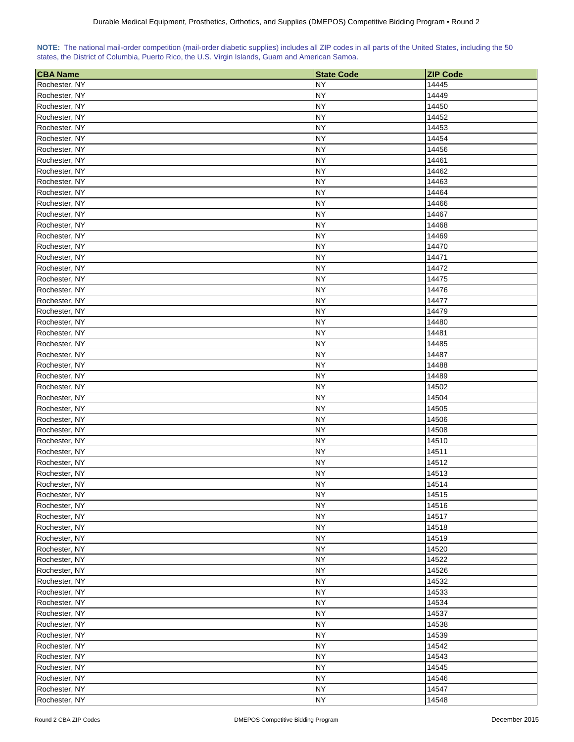| NOTE: The national mail-order competition (mail-order diabetic supplies) includes all ZIP codes in all parts of the United States, including the 50 |  |  |  |  |  |
|-----------------------------------------------------------------------------------------------------------------------------------------------------|--|--|--|--|--|
| states, the District of Columbia, Puerto Rico, the U.S. Virgin Islands, Guam and American Samoa.                                                    |  |  |  |  |  |

| <b>CBA Name</b> | <b>State Code</b> | <b>ZIP Code</b> |
|-----------------|-------------------|-----------------|
| Rochester, NY   | NΥ                | 14445           |
| Rochester, NY   | <b>NY</b>         | 14449           |
| Rochester, NY   | <b>NY</b>         | 14450           |
| Rochester, NY   | NΥ                | 14452           |
| Rochester, NY   | <b>NY</b>         | 14453           |
| Rochester, NY   | <b>NY</b>         | 14454           |
| Rochester, NY   | <b>NY</b>         | 14456           |
| Rochester, NY   | ΝY                | 14461           |
| Rochester, NY   | <b>NY</b>         | 14462           |
| Rochester, NY   | <b>NY</b>         | 14463           |
| Rochester, NY   | <b>NY</b>         | 14464           |
| Rochester, NY   | NΥ                | 14466           |
| Rochester, NY   | <b>NY</b>         | 14467           |
| Rochester, NY   | <b>NY</b>         | 14468           |
| Rochester, NY   | <b>NY</b>         | 14469           |
| Rochester, NY   | <b>NY</b>         | 14470           |
| Rochester, NY   | NY                | 14471           |
| Rochester, NY   | <b>NY</b>         | 14472           |
| Rochester, NY   | <b>NY</b>         | 14475           |
| Rochester, NY   | NY                | 14476           |
| Rochester, NY   | <b>NY</b>         | 14477           |
| Rochester, NY   | <b>NY</b>         | 14479           |
| Rochester, NY   | <b>NY</b>         | 14480           |
| Rochester, NY   | <b>NY</b>         | 14481           |
| Rochester, NY   | <b>NY</b>         | 14485           |
| Rochester, NY   | <b>NY</b>         | 14487           |
| Rochester, NY   | <b>NY</b>         | 14488           |
| Rochester, NY   | <b>NY</b>         | 14489           |
| Rochester, NY   | NY                | 14502           |
| Rochester, NY   | NY                | 14504           |
| Rochester, NY   | <b>NY</b>         | 14505           |
| Rochester, NY   | <b>NY</b>         | 14506           |
| Rochester, NY   | <b>NY</b>         | 14508           |
| Rochester, NY   | <b>NY</b>         | 14510           |
| Rochester, NY   | <b>NY</b>         | 14511           |
| Rochester, NY   | <b>NY</b>         | 14512           |
| Rochester, NY   | <b>NY</b>         | 14513           |
| Rochester, NY   | <b>NY</b>         | 14514           |
| Rochester, NY   | <b>NY</b>         | 14515           |
| Rochester, NY   | <b>NY</b>         | 14516           |
| Rochester, NY   | <b>NY</b>         | 14517           |
| Rochester, NY   | <b>NY</b>         | 14518           |
| Rochester, NY   | <b>NY</b>         | 14519           |
| Rochester, NY   | <b>NY</b>         | 14520           |
| Rochester, NY   | <b>NY</b>         | 14522           |
| Rochester, NY   | <b>NY</b>         | 14526           |
| Rochester, NY   | <b>NY</b>         | 14532           |
| Rochester, NY   | <b>NY</b>         | 14533           |
| Rochester, NY   | <b>NY</b>         | 14534           |
| Rochester, NY   | <b>NY</b>         | 14537           |
| Rochester, NY   | <b>NY</b>         | 14538           |
| Rochester, NY   | <b>NY</b>         | 14539           |
| Rochester, NY   | <b>NY</b>         | 14542           |
| Rochester, NY   | <b>NY</b>         | 14543           |
| Rochester, NY   | <b>NY</b>         | 14545           |
| Rochester, NY   | <b>NY</b>         | 14546           |
| Rochester, NY   | <b>NY</b>         | 14547           |
| Rochester, NY   | <b>NY</b>         | 14548           |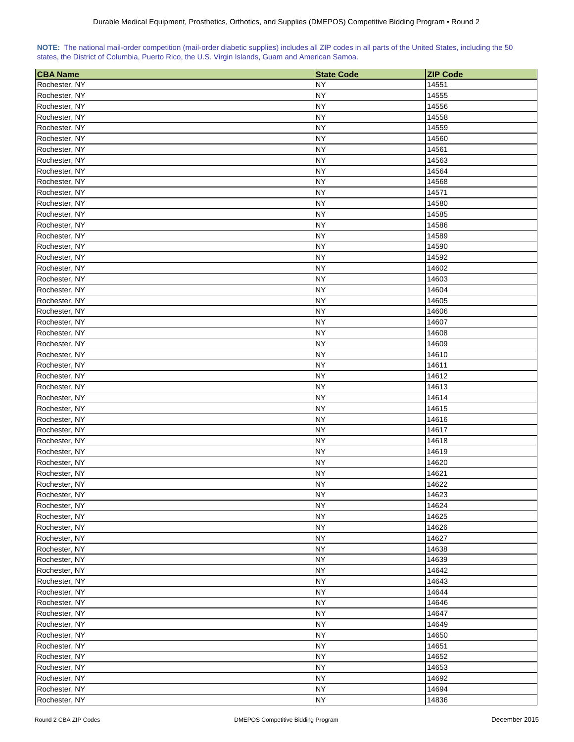|  | NOTE: The national mail-order competition (mail-order diabetic supplies) includes all ZIP codes in all parts of the United States, including the 50 |  |  |  |  |
|--|-----------------------------------------------------------------------------------------------------------------------------------------------------|--|--|--|--|
|  | states, the District of Columbia, Puerto Rico, the U.S. Virgin Islands, Guam and American Samoa.                                                    |  |  |  |  |

| <b>CBA Name</b>                | <b>State Code</b> | <b>ZIP Code</b> |
|--------------------------------|-------------------|-----------------|
| Rochester, NY                  | NΥ                | 14551           |
| Rochester, NY                  | <b>NY</b>         | 14555           |
| Rochester, NY                  | <b>NY</b>         | 14556           |
| Rochester, NY                  | <b>NY</b>         | 14558           |
| Rochester, NY                  | <b>NY</b>         | 14559           |
| Rochester, NY                  | <b>NY</b>         | 14560           |
| Rochester, NY                  | <b>NY</b>         | 14561           |
| Rochester, NY                  | <b>NY</b>         | 14563           |
| Rochester, NY                  | <b>NY</b>         | 14564           |
| Rochester, NY                  | <b>NY</b>         | 14568           |
| Rochester, NY                  | <b>NY</b>         | 14571           |
| Rochester, NY                  | <b>NY</b>         | 14580           |
| Rochester, NY                  | <b>NY</b>         | 14585           |
| Rochester, NY                  | <b>NY</b>         | 14586           |
| Rochester, NY                  | <b>NY</b>         | 14589           |
| Rochester, NY                  | <b>NY</b>         | 14590           |
| Rochester, NY                  | <b>NY</b>         | 14592           |
| Rochester, NY                  | <b>NY</b>         | 14602           |
| Rochester, NY                  | <b>NY</b>         | 14603           |
| Rochester, NY                  | <b>NY</b>         | 14604           |
| Rochester, NY                  | <b>NY</b>         | 14605           |
| Rochester, NY                  | <b>NY</b>         | 14606           |
| Rochester, NY                  | <b>NY</b>         | 14607           |
| Rochester, NY                  | <b>NY</b>         | 14608           |
| Rochester, NY                  | <b>NY</b>         | 14609           |
| Rochester, NY                  | <b>NY</b>         | 14610           |
| Rochester, NY                  | <b>NY</b>         | 14611           |
| Rochester, NY                  | <b>NY</b>         | 14612           |
| Rochester, NY                  | <b>NY</b>         | 14613           |
| Rochester, NY                  | NY                | 14614           |
| Rochester, NY                  | <b>NY</b>         | 14615           |
| Rochester, NY                  | <b>NY</b>         | 14616           |
| Rochester, NY                  | <b>NY</b>         | 14617           |
| Rochester, NY                  | <b>NY</b>         | 14618           |
| Rochester, NY                  | <b>NY</b>         | 14619           |
| Rochester, NY                  | <b>NY</b>         | 14620           |
| Rochester, NY                  | <b>NY</b>         | 14621           |
| Rochester, NY                  | <b>NY</b>         | 14622           |
| Rochester, NY                  | <b>NY</b>         | 14623           |
| Rochester, NY                  | <b>NY</b>         | 14624           |
| Rochester, NY                  | <b>NY</b>         | 14625           |
| Rochester, NY                  | <b>NY</b>         | 14626           |
| Rochester, NY                  | <b>NY</b>         | 14627           |
| Rochester, NY                  | <b>NY</b>         | 14638           |
| Rochester, NY                  | <b>NY</b>         | 14639           |
| Rochester, NY                  | <b>NY</b>         | 14642           |
| Rochester, NY                  | <b>NY</b>         | 14643           |
| Rochester, NY                  | <b>NY</b>         | 14644           |
| Rochester, NY                  | <b>NY</b>         | 14646           |
| Rochester, NY                  | <b>NY</b>         | 14647           |
| Rochester, NY                  | <b>NY</b>         | 14649           |
|                                | <b>NY</b>         | 14650           |
| Rochester, NY                  | <b>NY</b>         | 14651           |
| Rochester, NY                  | <b>NY</b>         | 14652           |
| Rochester, NY<br>Rochester, NY | <b>NY</b>         | 14653           |
| Rochester, NY                  | <b>NY</b>         | 14692           |
| Rochester, NY                  | <b>NY</b>         | 14694           |
| Rochester, NY                  | <b>NY</b>         | 14836           |
|                                |                   |                 |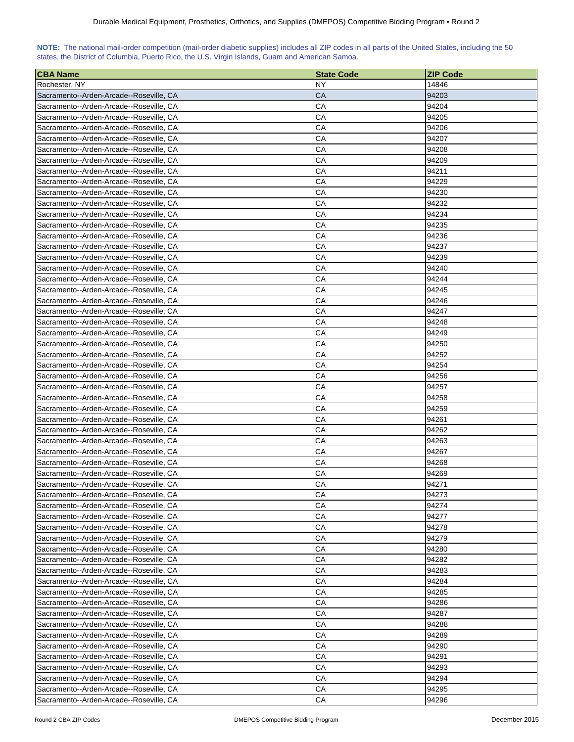## **NOTE:** The national mail-order competition (mail-order diabetic supplies) includes all ZIP codes in all parts of the United States, including the 50 states, the District of Columbia, Puerto Rico, the U.S. Virgin Islands, Guam and American Samoa.

| <b>CBA Name</b>                         | <b>State Code</b> | IZIP Code |
|-----------------------------------------|-------------------|-----------|
| Rochester, NY                           | NY.               | 14846     |
| Sacramento--Arden-Arcade--Roseville, CA | CA                | 94203     |
| Sacramento--Arden-Arcade--Roseville, CA | СA                | 94204     |
| Sacramento--Arden-Arcade--Roseville, CA | СA                | 94205     |
| Sacramento--Arden-Arcade--Roseville, CA | CА                | 94206     |
| Sacramento--Arden-Arcade--Roseville, CA | CА                | 94207     |
| Sacramento--Arden-Arcade--Roseville, CA | СA                | 94208     |
| Sacramento--Arden-Arcade--Roseville, CA | СA                | 94209     |
| Sacramento--Arden-Arcade--Roseville, CA | СA                | 94211     |
| Sacramento--Arden-Arcade--Roseville, CA | СA                | 94229     |
| Sacramento--Arden-Arcade--Roseville, CA | CА                | 94230     |
| Sacramento--Arden-Arcade--Roseville, CA | CА                | 94232     |
| Sacramento--Arden-Arcade--Roseville, CA | СA                | 94234     |
|                                         | CА                | 94235     |
| Sacramento--Arden-Arcade--Roseville, CA | СA                | 94236     |
| Sacramento--Arden-Arcade--Roseville, CA |                   |           |
| Sacramento--Arden-Arcade--Roseville, CA | СA                | 94237     |
| Sacramento--Arden-Arcade--Roseville, CA | СA                | 94239     |
| Sacramento--Arden-Arcade--Roseville, CA | CА                | 94240     |
| Sacramento--Arden-Arcade--Roseville, CA | CА                | 94244     |
| Sacramento--Arden-Arcade--Roseville, CA | CА                | 94245     |
| Sacramento--Arden-Arcade--Roseville, CA | CА                | 94246     |
| Sacramento--Arden-Arcade--Roseville, CA | СA                | 94247     |
| Sacramento--Arden-Arcade--Roseville, CA | CА                | 94248     |
| Sacramento--Arden-Arcade--Roseville, CA | CА                | 94249     |
| Sacramento--Arden-Arcade--Roseville, CA | СA                | 94250     |
| Sacramento--Arden-Arcade--Roseville, CA | CA                | 94252     |
| Sacramento--Arden-Arcade--Roseville, CA | СA                | 94254     |
| Sacramento--Arden-Arcade--Roseville, CA | CA                | 94256     |
| Sacramento--Arden-Arcade--Roseville, CA | CA                | 94257     |
| Sacramento--Arden-Arcade--Roseville, CA | СA                | 94258     |
| Sacramento--Arden-Arcade--Roseville, CA | СA                | 94259     |
| Sacramento--Arden-Arcade--Roseville, CA | СA                | 94261     |
| Sacramento--Arden-Arcade--Roseville, CA | СA                | 94262     |
| Sacramento--Arden-Arcade--Roseville, CA | CА                | 94263     |
| Sacramento--Arden-Arcade--Roseville, CA | CА                | 94267     |
| Sacramento--Arden-Arcade--Roseville, CA | СA                | 94268     |
| Sacramento--Arden-Arcade--Roseville, CA | CА                | 94269     |
| Sacramento--Arden-Arcade--Roseville, CA | СA                | 94271     |
| Sacramento--Arden-Arcade--Roseville, CA | CA                | 94273     |
| Sacramento--Arden-Arcade--Roseville, CA | CA                | 94274     |
| Sacramento--Arden-Arcade--Roseville, CA | CA                | 94277     |
| Sacramento--Arden-Arcade--Roseville, CA | СA                | 94278     |
| Sacramento--Arden-Arcade--Roseville, CA | СA                | 94279     |
| Sacramento--Arden-Arcade--Roseville, CA | СA                | 94280     |
| Sacramento--Arden-Arcade--Roseville, CA | CA                | 94282     |
| Sacramento--Arden-Arcade--Roseville, CA | CА                | 94283     |
| Sacramento--Arden-Arcade--Roseville, CA | CA                | 94284     |
| Sacramento--Arden-Arcade--Roseville, CA | СA                | 94285     |
| Sacramento--Arden-Arcade--Roseville, CA | СA                | 94286     |
| Sacramento--Arden-Arcade--Roseville, CA | CA                | 94287     |
| Sacramento--Arden-Arcade--Roseville, CA | CA                | 94288     |
| Sacramento--Arden-Arcade--Roseville, CA | СA                | 94289     |
| Sacramento--Arden-Arcade--Roseville, CA | CA                | 94290     |
| Sacramento--Arden-Arcade--Roseville, CA | CA                | 94291     |
| Sacramento--Arden-Arcade--Roseville, CA | СA                | 94293     |
| Sacramento--Arden-Arcade--Roseville, CA | СA                | 94294     |
| Sacramento--Arden-Arcade--Roseville, CA | CA                | 94295     |
| Sacramento--Arden-Arcade--Roseville, CA | CA                | 94296     |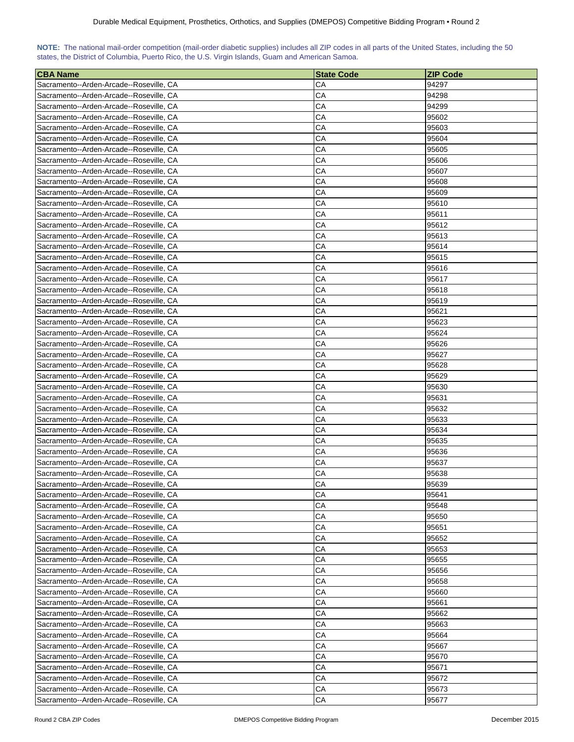| NOTE: The national mail-order competition (mail-order diabetic supplies) includes all ZIP codes in all parts of the United States, including the 50 |  |  |  |  |  |  |  |
|-----------------------------------------------------------------------------------------------------------------------------------------------------|--|--|--|--|--|--|--|
| states, the District of Columbia, Puerto Rico, the U.S. Virgin Islands, Guam and American Samoa.                                                    |  |  |  |  |  |  |  |

| <b>CBA Name</b>                                                                    | <b>State Code</b> | <b>ZIP Code</b> |
|------------------------------------------------------------------------------------|-------------------|-----------------|
| Sacramento--Arden-Arcade--Roseville, CA                                            | CА                | 94297           |
| Sacramento--Arden-Arcade--Roseville, CA                                            | CА                | 94298           |
| Sacramento--Arden-Arcade--Roseville, CA                                            | СA                | 94299           |
| Sacramento--Arden-Arcade--Roseville, CA                                            | СA                | 95602           |
| Sacramento--Arden-Arcade--Roseville, CA                                            | CА                | 95603           |
| Sacramento--Arden-Arcade--Roseville, CA                                            | СA                | 95604           |
| Sacramento--Arden-Arcade--Roseville, CA                                            | СA                | 95605           |
| Sacramento--Arden-Arcade--Roseville, CA                                            | СA                | 95606           |
| Sacramento--Arden-Arcade--Roseville, CA                                            | CA                | 95607           |
| Sacramento--Arden-Arcade--Roseville, CA                                            | СA                | 95608           |
| Sacramento--Arden-Arcade--Roseville, CA                                            | СA                | 95609           |
| Sacramento--Arden-Arcade--Roseville, CA                                            | СA                | 95610           |
| Sacramento--Arden-Arcade--Roseville, CA                                            | СA                | 95611           |
| Sacramento--Arden-Arcade--Roseville, CA                                            | CА                | 95612           |
| Sacramento--Arden-Arcade--Roseville, CA                                            | СA                | 95613           |
| Sacramento--Arden-Arcade--Roseville, CA                                            | CА                | 95614           |
| Sacramento--Arden-Arcade--Roseville, CA                                            | СA                | 95615           |
| Sacramento--Arden-Arcade--Roseville, CA                                            | CA                | 95616           |
| Sacramento--Arden-Arcade--Roseville, CA                                            | СA                | 95617           |
| Sacramento--Arden-Arcade--Roseville, CA                                            | CА                | 95618           |
| Sacramento--Arden-Arcade--Roseville, CA                                            | CA                | 95619           |
| Sacramento--Arden-Arcade--Roseville, CA                                            | СA                | 95621           |
|                                                                                    | СA                | 95623           |
| Sacramento--Arden-Arcade--Roseville, CA                                            | CА                | 95624           |
| Sacramento--Arden-Arcade--Roseville, CA                                            | СA                | 95626           |
| Sacramento--Arden-Arcade--Roseville, CA                                            | СA                | 95627           |
| Sacramento--Arden-Arcade--Roseville, CA                                            |                   |                 |
| Sacramento--Arden-Arcade--Roseville, CA                                            | СA                | 95628           |
| Sacramento--Arden-Arcade--Roseville, CA                                            | СA                | 95629           |
| Sacramento--Arden-Arcade--Roseville, CA                                            | CА                | 95630           |
| Sacramento--Arden-Arcade--Roseville, CA<br>Sacramento--Arden-Arcade--Roseville, CA | CA<br>CА          | 95631<br>95632  |
|                                                                                    | CА                | 95633           |
| Sacramento--Arden-Arcade--Roseville, CA<br>Sacramento--Arden-Arcade--Roseville, CA | СA                | 95634           |
| Sacramento--Arden-Arcade--Roseville, CA                                            | CA                | 95635           |
| Sacramento--Arden-Arcade--Roseville, CA                                            | СA                | 95636           |
| Sacramento--Arden-Arcade--Roseville, CA                                            | СA                | 95637           |
| Sacramento--Arden-Arcade--Roseville, CA                                            | CA                | 95638           |
|                                                                                    | СA                | 95639           |
| Sacramento--Arden-Arcade--Roseville, CA                                            | CA                | 95641           |
| Sacramento--Arden-Arcade--Roseville, CA<br>Sacramento--Arden-Arcade--Roseville, CA | CA                | 95648           |
| Sacramento--Arden-Arcade--Roseville, CA                                            | CA                | 95650           |
| Sacramento--Arden-Arcade--Roseville, CA                                            | СA                | 95651           |
|                                                                                    | СA                |                 |
| Sacramento--Arden-Arcade--Roseville, CA                                            |                   | 95652           |
| Sacramento--Arden-Arcade--Roseville, CA                                            | СA                | 95653           |
| Sacramento--Arden-Arcade--Roseville, CA                                            | СA                | 95655           |
| Sacramento--Arden-Arcade--Roseville, CA                                            | CA                | 95656           |
| Sacramento--Arden-Arcade--Roseville, CA                                            | СA<br>CA          | 95658           |
| Sacramento--Arden-Arcade--Roseville, CA                                            |                   | 95660           |
| Sacramento--Arden-Arcade--Roseville, CA                                            | CA                | 95661           |
| Sacramento--Arden-Arcade--Roseville, CA                                            | CA                | 95662           |
| Sacramento--Arden-Arcade--Roseville, CA                                            | СA                | 95663           |
| Sacramento--Arden-Arcade--Roseville, CA                                            | СA                | 95664           |
| Sacramento--Arden-Arcade--Roseville, CA                                            | CA                | 95667           |
| Sacramento--Arden-Arcade--Roseville, CA                                            | CА                | 95670           |
| Sacramento--Arden-Arcade--Roseville, CA                                            | CA                | 95671           |
| Sacramento--Arden-Arcade--Roseville, CA                                            | СA                | 95672           |
| Sacramento--Arden-Arcade--Roseville, CA                                            | СA                | 95673           |
| Sacramento--Arden-Arcade--Roseville, CA                                            | CA                | 95677           |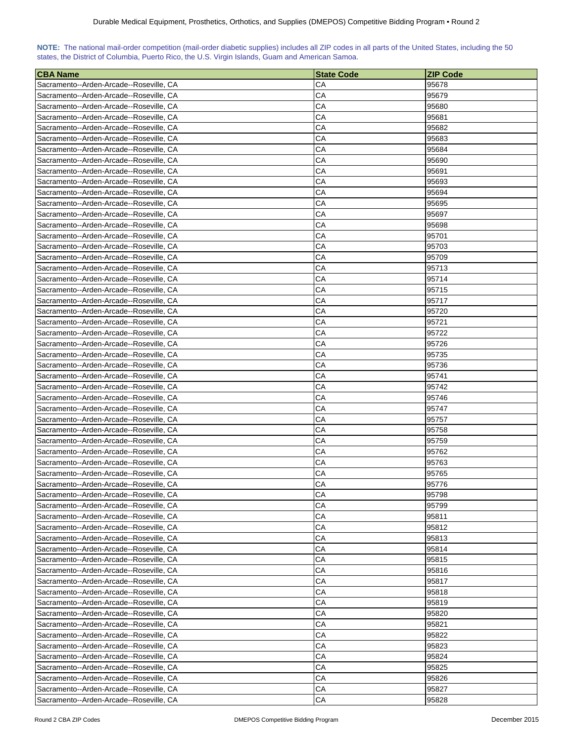| NOTE: The national mail-order competition (mail-order diabetic supplies) includes all ZIP codes in all parts of the United States, including the 50 |  |  |  |  |  |  |  |
|-----------------------------------------------------------------------------------------------------------------------------------------------------|--|--|--|--|--|--|--|
| states, the District of Columbia, Puerto Rico, the U.S. Virgin Islands, Guam and American Samoa.                                                    |  |  |  |  |  |  |  |

| <b>CBA Name</b>                                                                    | <b>State Code</b> | <b>ZIP Code</b> |
|------------------------------------------------------------------------------------|-------------------|-----------------|
| Sacramento--Arden-Arcade--Roseville, CA                                            | CА                | 95678           |
| Sacramento--Arden-Arcade--Roseville, CA                                            | СA                | 95679           |
| Sacramento--Arden-Arcade--Roseville, CA                                            | СA                | 95680           |
| Sacramento--Arden-Arcade--Roseville, CA                                            | CА                | 95681           |
| Sacramento--Arden-Arcade--Roseville, CA                                            | CА                | 95682           |
| Sacramento--Arden-Arcade--Roseville, CA                                            | СA                | 95683           |
| Sacramento--Arden-Arcade--Roseville, CA                                            | CA                | 95684           |
| Sacramento--Arden-Arcade--Roseville, CA                                            | CА                | 95690           |
| Sacramento--Arden-Arcade--Roseville, CA                                            | СA                | 95691           |
| Sacramento--Arden-Arcade--Roseville, CA                                            | СA                | 95693           |
| Sacramento--Arden-Arcade--Roseville, CA                                            | СA                | 95694           |
| Sacramento--Arden-Arcade--Roseville, CA                                            | СA                | 95695           |
| Sacramento--Arden-Arcade--Roseville, CA                                            | СA                | 95697           |
| Sacramento--Arden-Arcade--Roseville, CA                                            | СA                | 95698           |
| Sacramento--Arden-Arcade--Roseville, CA                                            | CА                | 95701           |
| Sacramento--Arden-Arcade--Roseville, CA                                            | СA                | 95703           |
| Sacramento--Arden-Arcade--Roseville, CA                                            | CА                | 95709           |
| Sacramento--Arden-Arcade--Roseville, CA                                            | СA                | 95713           |
| Sacramento--Arden-Arcade--Roseville, CA                                            | CA                | 95714           |
| Sacramento--Arden-Arcade--Roseville, CA                                            | CА                | 95715           |
| Sacramento--Arden-Arcade--Roseville, CA                                            | СA                | 95717           |
| Sacramento--Arden-Arcade--Roseville, CA                                            | СA                | 95720           |
| Sacramento--Arden-Arcade--Roseville, CA                                            | СA                | 95721           |
| Sacramento--Arden-Arcade--Roseville, CA                                            | CA                | 95722           |
| Sacramento--Arden-Arcade--Roseville, CA                                            | CA                | 95726           |
| Sacramento--Arden-Arcade--Roseville, CA                                            | СA                | 95735           |
|                                                                                    | СA                | 95736           |
| Sacramento--Arden-Arcade--Roseville, CA<br>Sacramento--Arden-Arcade--Roseville, CA | CА                | 95741           |
|                                                                                    | CА                | 95742           |
| Sacramento--Arden-Arcade--Roseville, CA<br>Sacramento--Arden-Arcade--Roseville, CA | CА                | 95746           |
| Sacramento--Arden-Arcade--Roseville, CA                                            | CА                | 95747           |
| Sacramento--Arden-Arcade--Roseville, CA                                            | СA                | 95757           |
| Sacramento--Arden-Arcade--Roseville, CA                                            | СA                | 95758           |
| Sacramento--Arden-Arcade--Roseville, CA                                            | СA                | 95759           |
| Sacramento--Arden-Arcade--Roseville, CA                                            | CA                | 95762           |
|                                                                                    | CA                | 95763           |
| Sacramento--Arden-Arcade--Roseville, CA                                            |                   |                 |
| Sacramento--Arden-Arcade--Roseville, CA                                            | CA<br>CA          | 95765           |
| Sacramento--Arden-Arcade--Roseville, CA                                            |                   | 95776           |
| Sacramento--Arden-Arcade--Roseville, CA                                            | CA                | 95798           |
| Sacramento--Arden-Arcade--Roseville, CA                                            | CA                | 95799           |
| Sacramento--Arden-Arcade--Roseville, CA                                            | CA                | 95811           |
| Sacramento--Arden-Arcade--Roseville, CA                                            | СA                | 95812           |
| Sacramento--Arden-Arcade--Roseville, CA                                            | СA                | 95813           |
| Sacramento--Arden-Arcade--Roseville, CA                                            | СA                | 95814           |
| Sacramento--Arden-Arcade--Roseville, CA                                            | СA<br>CA          | 95815           |
| Sacramento--Arden-Arcade--Roseville, CA                                            |                   | 95816           |
| Sacramento--Arden-Arcade--Roseville, CA                                            | CA<br>CA          | 95817           |
| Sacramento--Arden-Arcade--Roseville, CA                                            |                   | 95818           |
| Sacramento--Arden-Arcade--Roseville, CA                                            | CA                | 95819           |
| Sacramento--Arden-Arcade--Roseville, CA                                            | CA                | 95820           |
| Sacramento--Arden-Arcade--Roseville, CA                                            | СA                | 95821           |
| Sacramento--Arden-Arcade--Roseville, CA                                            | СA                | 95822           |
| Sacramento--Arden-Arcade--Roseville, CA                                            | CA                | 95823           |
| Sacramento--Arden-Arcade--Roseville, CA                                            | CA                | 95824           |
| Sacramento--Arden-Arcade--Roseville, CA                                            | CА                | 95825           |
| Sacramento--Arden-Arcade--Roseville, CA                                            | CA                | 95826           |
| Sacramento--Arden-Arcade--Roseville, CA                                            | CA                | 95827           |
| Sacramento--Arden-Arcade--Roseville, CA                                            | CA                | 95828           |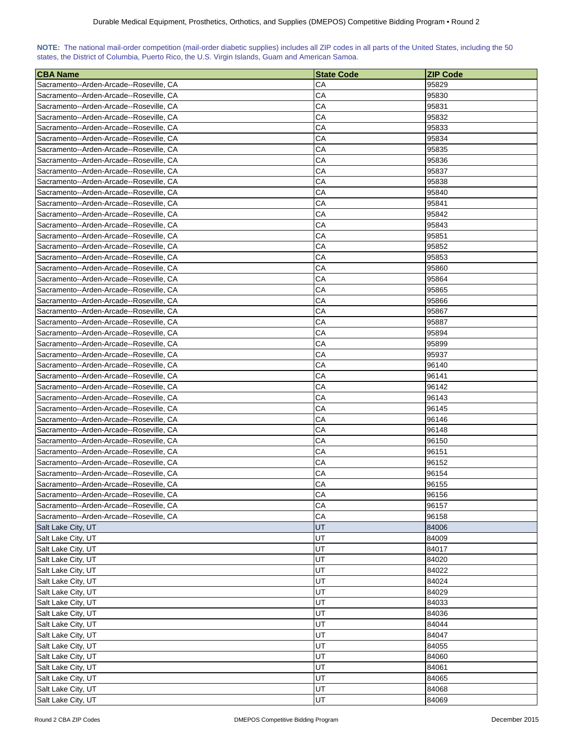| NOTE: The national mail-order competition (mail-order diabetic supplies) includes all ZIP codes in all parts of the United States, including the 50 |  |  |  |  |
|-----------------------------------------------------------------------------------------------------------------------------------------------------|--|--|--|--|
| states, the District of Columbia, Puerto Rico, the U.S. Virgin Islands, Guam and American Samoa.                                                    |  |  |  |  |

| CА<br>95829<br>Sacramento--Arden-Arcade--Roseville, CA<br>CА<br>Sacramento--Arden-Arcade--Roseville, CA<br>95830<br>CА<br>95831<br>Sacramento--Arden-Arcade--Roseville, CA<br>CА<br>Sacramento--Arden-Arcade--Roseville, CA<br>95832<br>CА<br>Sacramento--Arden-Arcade--Roseville, CA<br>95833<br>CА<br>95834<br>Sacramento--Arden-Arcade--Roseville, CA<br>СA<br>95835<br>Sacramento--Arden-Arcade--Roseville, CA<br>CА<br>Sacramento--Arden-Arcade--Roseville, CA<br>95836<br>CА<br>95837<br>Sacramento--Arden-Arcade--Roseville, CA<br>CА<br>95838<br>Sacramento--Arden-Arcade--Roseville, CA<br>CА<br>Sacramento--Arden-Arcade--Roseville, CA<br>95840<br>СA<br>Sacramento--Arden-Arcade--Roseville, CA<br>95841<br>Sacramento--Arden-Arcade--Roseville, CA<br>CА<br>95842<br>CА<br>Sacramento--Arden-Arcade--Roseville, CA<br>95843<br>CА<br>95851<br>Sacramento--Arden-Arcade--Roseville, CA<br>СA<br>95852<br>Sacramento--Arden-Arcade--Roseville, CA<br>CА<br>Sacramento--Arden-Arcade--Roseville, CA<br>95853<br>СA<br>Sacramento--Arden-Arcade--Roseville, CA<br>95860<br>CА<br>95864<br>Sacramento--Arden-Arcade--Roseville, CA<br>CА<br>95865<br>Sacramento--Arden-Arcade--Roseville, CA<br>CА<br>95866<br>Sacramento--Arden-Arcade--Roseville, CA<br>CА<br>95867<br>Sacramento--Arden-Arcade--Roseville, CA<br>CА<br>95887<br>Sacramento--Arden-Arcade--Roseville, CA<br>CА<br>95894<br>Sacramento--Arden-Arcade--Roseville, CA<br>Sacramento--Arden-Arcade--Roseville, CA<br>CА<br>95899<br>СA<br>Sacramento--Arden-Arcade--Roseville, CA<br>95937<br>CА<br>Sacramento--Arden-Arcade--Roseville, CA<br>96140<br>СA<br>96141<br>Sacramento--Arden-Arcade--Roseville, CA<br>CА<br>Sacramento--Arden-Arcade--Roseville, CA<br>96142<br>CА<br>Sacramento--Arden-Arcade--Roseville, CA<br>96143<br>СA<br>Sacramento--Arden-Arcade--Roseville, CA<br>96145<br>CА<br>96146<br>Sacramento--Arden-Arcade--Roseville, CA<br>CА<br>Sacramento--Arden-Arcade--Roseville, CA<br>96148<br>СA<br>96150<br>Sacramento--Arden-Arcade--Roseville, CA<br>СA<br>96151<br>Sacramento--Arden-Arcade--Roseville, CA<br>CА<br>96152<br>Sacramento--Arden-Arcade--Roseville, CA<br>CA<br>Sacramento--Arden-Arcade--Roseville, CA<br>96154<br>CA<br>96155<br>Sacramento--Arden-Arcade--Roseville, CA<br>CA<br>Sacramento--Arden-Arcade--Roseville, CA<br>96156<br>CA<br>Sacramento--Arden-Arcade--Roseville, CA<br>96157<br>CA<br>Sacramento--Arden-Arcade--Roseville, CA<br>96158<br>UT<br>Salt Lake City, UT<br>84006<br>UT<br>Salt Lake City, UT<br>84009<br>UT<br>84017<br>Salt Lake City, UT<br>UT<br>84020<br>Salt Lake City, UT<br>UT<br>84022<br>Salt Lake City, UT<br>UT<br>84024<br>Salt Lake City, UT<br>UT<br>84029<br>Salt Lake City, UT<br>UT<br>84033<br>Salt Lake City, UT<br>UT<br>Salt Lake City, UT<br>84036<br>UT<br>Salt Lake City, UT<br>84044<br>UT<br>Salt Lake City, UT<br>84047<br>UT<br>84055<br>Salt Lake City, UT<br>UT<br>Salt Lake City, UT<br>84060<br>UT<br>Salt Lake City, UT<br>84061<br>UT<br>84065<br>Salt Lake City, UT | <b>CBA Name</b>    | <b>State Code</b> | <b>ZIP Code</b> |
|---------------------------------------------------------------------------------------------------------------------------------------------------------------------------------------------------------------------------------------------------------------------------------------------------------------------------------------------------------------------------------------------------------------------------------------------------------------------------------------------------------------------------------------------------------------------------------------------------------------------------------------------------------------------------------------------------------------------------------------------------------------------------------------------------------------------------------------------------------------------------------------------------------------------------------------------------------------------------------------------------------------------------------------------------------------------------------------------------------------------------------------------------------------------------------------------------------------------------------------------------------------------------------------------------------------------------------------------------------------------------------------------------------------------------------------------------------------------------------------------------------------------------------------------------------------------------------------------------------------------------------------------------------------------------------------------------------------------------------------------------------------------------------------------------------------------------------------------------------------------------------------------------------------------------------------------------------------------------------------------------------------------------------------------------------------------------------------------------------------------------------------------------------------------------------------------------------------------------------------------------------------------------------------------------------------------------------------------------------------------------------------------------------------------------------------------------------------------------------------------------------------------------------------------------------------------------------------------------------------------------------------------------------------------------------------------------------------------------------------------------------------------------------------------------------------------------------------------------------------------------------------------------------------------------------------------------------------------------------------------------------------------------------------------------|--------------------|-------------------|-----------------|
|                                                                                                                                                                                                                                                                                                                                                                                                                                                                                                                                                                                                                                                                                                                                                                                                                                                                                                                                                                                                                                                                                                                                                                                                                                                                                                                                                                                                                                                                                                                                                                                                                                                                                                                                                                                                                                                                                                                                                                                                                                                                                                                                                                                                                                                                                                                                                                                                                                                                                                                                                                                                                                                                                                                                                                                                                                                                                                                                                                                                                                                   |                    |                   |                 |
|                                                                                                                                                                                                                                                                                                                                                                                                                                                                                                                                                                                                                                                                                                                                                                                                                                                                                                                                                                                                                                                                                                                                                                                                                                                                                                                                                                                                                                                                                                                                                                                                                                                                                                                                                                                                                                                                                                                                                                                                                                                                                                                                                                                                                                                                                                                                                                                                                                                                                                                                                                                                                                                                                                                                                                                                                                                                                                                                                                                                                                                   |                    |                   |                 |
|                                                                                                                                                                                                                                                                                                                                                                                                                                                                                                                                                                                                                                                                                                                                                                                                                                                                                                                                                                                                                                                                                                                                                                                                                                                                                                                                                                                                                                                                                                                                                                                                                                                                                                                                                                                                                                                                                                                                                                                                                                                                                                                                                                                                                                                                                                                                                                                                                                                                                                                                                                                                                                                                                                                                                                                                                                                                                                                                                                                                                                                   |                    |                   |                 |
|                                                                                                                                                                                                                                                                                                                                                                                                                                                                                                                                                                                                                                                                                                                                                                                                                                                                                                                                                                                                                                                                                                                                                                                                                                                                                                                                                                                                                                                                                                                                                                                                                                                                                                                                                                                                                                                                                                                                                                                                                                                                                                                                                                                                                                                                                                                                                                                                                                                                                                                                                                                                                                                                                                                                                                                                                                                                                                                                                                                                                                                   |                    |                   |                 |
|                                                                                                                                                                                                                                                                                                                                                                                                                                                                                                                                                                                                                                                                                                                                                                                                                                                                                                                                                                                                                                                                                                                                                                                                                                                                                                                                                                                                                                                                                                                                                                                                                                                                                                                                                                                                                                                                                                                                                                                                                                                                                                                                                                                                                                                                                                                                                                                                                                                                                                                                                                                                                                                                                                                                                                                                                                                                                                                                                                                                                                                   |                    |                   |                 |
|                                                                                                                                                                                                                                                                                                                                                                                                                                                                                                                                                                                                                                                                                                                                                                                                                                                                                                                                                                                                                                                                                                                                                                                                                                                                                                                                                                                                                                                                                                                                                                                                                                                                                                                                                                                                                                                                                                                                                                                                                                                                                                                                                                                                                                                                                                                                                                                                                                                                                                                                                                                                                                                                                                                                                                                                                                                                                                                                                                                                                                                   |                    |                   |                 |
|                                                                                                                                                                                                                                                                                                                                                                                                                                                                                                                                                                                                                                                                                                                                                                                                                                                                                                                                                                                                                                                                                                                                                                                                                                                                                                                                                                                                                                                                                                                                                                                                                                                                                                                                                                                                                                                                                                                                                                                                                                                                                                                                                                                                                                                                                                                                                                                                                                                                                                                                                                                                                                                                                                                                                                                                                                                                                                                                                                                                                                                   |                    |                   |                 |
|                                                                                                                                                                                                                                                                                                                                                                                                                                                                                                                                                                                                                                                                                                                                                                                                                                                                                                                                                                                                                                                                                                                                                                                                                                                                                                                                                                                                                                                                                                                                                                                                                                                                                                                                                                                                                                                                                                                                                                                                                                                                                                                                                                                                                                                                                                                                                                                                                                                                                                                                                                                                                                                                                                                                                                                                                                                                                                                                                                                                                                                   |                    |                   |                 |
|                                                                                                                                                                                                                                                                                                                                                                                                                                                                                                                                                                                                                                                                                                                                                                                                                                                                                                                                                                                                                                                                                                                                                                                                                                                                                                                                                                                                                                                                                                                                                                                                                                                                                                                                                                                                                                                                                                                                                                                                                                                                                                                                                                                                                                                                                                                                                                                                                                                                                                                                                                                                                                                                                                                                                                                                                                                                                                                                                                                                                                                   |                    |                   |                 |
|                                                                                                                                                                                                                                                                                                                                                                                                                                                                                                                                                                                                                                                                                                                                                                                                                                                                                                                                                                                                                                                                                                                                                                                                                                                                                                                                                                                                                                                                                                                                                                                                                                                                                                                                                                                                                                                                                                                                                                                                                                                                                                                                                                                                                                                                                                                                                                                                                                                                                                                                                                                                                                                                                                                                                                                                                                                                                                                                                                                                                                                   |                    |                   |                 |
|                                                                                                                                                                                                                                                                                                                                                                                                                                                                                                                                                                                                                                                                                                                                                                                                                                                                                                                                                                                                                                                                                                                                                                                                                                                                                                                                                                                                                                                                                                                                                                                                                                                                                                                                                                                                                                                                                                                                                                                                                                                                                                                                                                                                                                                                                                                                                                                                                                                                                                                                                                                                                                                                                                                                                                                                                                                                                                                                                                                                                                                   |                    |                   |                 |
|                                                                                                                                                                                                                                                                                                                                                                                                                                                                                                                                                                                                                                                                                                                                                                                                                                                                                                                                                                                                                                                                                                                                                                                                                                                                                                                                                                                                                                                                                                                                                                                                                                                                                                                                                                                                                                                                                                                                                                                                                                                                                                                                                                                                                                                                                                                                                                                                                                                                                                                                                                                                                                                                                                                                                                                                                                                                                                                                                                                                                                                   |                    |                   |                 |
|                                                                                                                                                                                                                                                                                                                                                                                                                                                                                                                                                                                                                                                                                                                                                                                                                                                                                                                                                                                                                                                                                                                                                                                                                                                                                                                                                                                                                                                                                                                                                                                                                                                                                                                                                                                                                                                                                                                                                                                                                                                                                                                                                                                                                                                                                                                                                                                                                                                                                                                                                                                                                                                                                                                                                                                                                                                                                                                                                                                                                                                   |                    |                   |                 |
|                                                                                                                                                                                                                                                                                                                                                                                                                                                                                                                                                                                                                                                                                                                                                                                                                                                                                                                                                                                                                                                                                                                                                                                                                                                                                                                                                                                                                                                                                                                                                                                                                                                                                                                                                                                                                                                                                                                                                                                                                                                                                                                                                                                                                                                                                                                                                                                                                                                                                                                                                                                                                                                                                                                                                                                                                                                                                                                                                                                                                                                   |                    |                   |                 |
|                                                                                                                                                                                                                                                                                                                                                                                                                                                                                                                                                                                                                                                                                                                                                                                                                                                                                                                                                                                                                                                                                                                                                                                                                                                                                                                                                                                                                                                                                                                                                                                                                                                                                                                                                                                                                                                                                                                                                                                                                                                                                                                                                                                                                                                                                                                                                                                                                                                                                                                                                                                                                                                                                                                                                                                                                                                                                                                                                                                                                                                   |                    |                   |                 |
|                                                                                                                                                                                                                                                                                                                                                                                                                                                                                                                                                                                                                                                                                                                                                                                                                                                                                                                                                                                                                                                                                                                                                                                                                                                                                                                                                                                                                                                                                                                                                                                                                                                                                                                                                                                                                                                                                                                                                                                                                                                                                                                                                                                                                                                                                                                                                                                                                                                                                                                                                                                                                                                                                                                                                                                                                                                                                                                                                                                                                                                   |                    |                   |                 |
|                                                                                                                                                                                                                                                                                                                                                                                                                                                                                                                                                                                                                                                                                                                                                                                                                                                                                                                                                                                                                                                                                                                                                                                                                                                                                                                                                                                                                                                                                                                                                                                                                                                                                                                                                                                                                                                                                                                                                                                                                                                                                                                                                                                                                                                                                                                                                                                                                                                                                                                                                                                                                                                                                                                                                                                                                                                                                                                                                                                                                                                   |                    |                   |                 |
|                                                                                                                                                                                                                                                                                                                                                                                                                                                                                                                                                                                                                                                                                                                                                                                                                                                                                                                                                                                                                                                                                                                                                                                                                                                                                                                                                                                                                                                                                                                                                                                                                                                                                                                                                                                                                                                                                                                                                                                                                                                                                                                                                                                                                                                                                                                                                                                                                                                                                                                                                                                                                                                                                                                                                                                                                                                                                                                                                                                                                                                   |                    |                   |                 |
|                                                                                                                                                                                                                                                                                                                                                                                                                                                                                                                                                                                                                                                                                                                                                                                                                                                                                                                                                                                                                                                                                                                                                                                                                                                                                                                                                                                                                                                                                                                                                                                                                                                                                                                                                                                                                                                                                                                                                                                                                                                                                                                                                                                                                                                                                                                                                                                                                                                                                                                                                                                                                                                                                                                                                                                                                                                                                                                                                                                                                                                   |                    |                   |                 |
|                                                                                                                                                                                                                                                                                                                                                                                                                                                                                                                                                                                                                                                                                                                                                                                                                                                                                                                                                                                                                                                                                                                                                                                                                                                                                                                                                                                                                                                                                                                                                                                                                                                                                                                                                                                                                                                                                                                                                                                                                                                                                                                                                                                                                                                                                                                                                                                                                                                                                                                                                                                                                                                                                                                                                                                                                                                                                                                                                                                                                                                   |                    |                   |                 |
|                                                                                                                                                                                                                                                                                                                                                                                                                                                                                                                                                                                                                                                                                                                                                                                                                                                                                                                                                                                                                                                                                                                                                                                                                                                                                                                                                                                                                                                                                                                                                                                                                                                                                                                                                                                                                                                                                                                                                                                                                                                                                                                                                                                                                                                                                                                                                                                                                                                                                                                                                                                                                                                                                                                                                                                                                                                                                                                                                                                                                                                   |                    |                   |                 |
|                                                                                                                                                                                                                                                                                                                                                                                                                                                                                                                                                                                                                                                                                                                                                                                                                                                                                                                                                                                                                                                                                                                                                                                                                                                                                                                                                                                                                                                                                                                                                                                                                                                                                                                                                                                                                                                                                                                                                                                                                                                                                                                                                                                                                                                                                                                                                                                                                                                                                                                                                                                                                                                                                                                                                                                                                                                                                                                                                                                                                                                   |                    |                   |                 |
|                                                                                                                                                                                                                                                                                                                                                                                                                                                                                                                                                                                                                                                                                                                                                                                                                                                                                                                                                                                                                                                                                                                                                                                                                                                                                                                                                                                                                                                                                                                                                                                                                                                                                                                                                                                                                                                                                                                                                                                                                                                                                                                                                                                                                                                                                                                                                                                                                                                                                                                                                                                                                                                                                                                                                                                                                                                                                                                                                                                                                                                   |                    |                   |                 |
|                                                                                                                                                                                                                                                                                                                                                                                                                                                                                                                                                                                                                                                                                                                                                                                                                                                                                                                                                                                                                                                                                                                                                                                                                                                                                                                                                                                                                                                                                                                                                                                                                                                                                                                                                                                                                                                                                                                                                                                                                                                                                                                                                                                                                                                                                                                                                                                                                                                                                                                                                                                                                                                                                                                                                                                                                                                                                                                                                                                                                                                   |                    |                   |                 |
|                                                                                                                                                                                                                                                                                                                                                                                                                                                                                                                                                                                                                                                                                                                                                                                                                                                                                                                                                                                                                                                                                                                                                                                                                                                                                                                                                                                                                                                                                                                                                                                                                                                                                                                                                                                                                                                                                                                                                                                                                                                                                                                                                                                                                                                                                                                                                                                                                                                                                                                                                                                                                                                                                                                                                                                                                                                                                                                                                                                                                                                   |                    |                   |                 |
|                                                                                                                                                                                                                                                                                                                                                                                                                                                                                                                                                                                                                                                                                                                                                                                                                                                                                                                                                                                                                                                                                                                                                                                                                                                                                                                                                                                                                                                                                                                                                                                                                                                                                                                                                                                                                                                                                                                                                                                                                                                                                                                                                                                                                                                                                                                                                                                                                                                                                                                                                                                                                                                                                                                                                                                                                                                                                                                                                                                                                                                   |                    |                   |                 |
|                                                                                                                                                                                                                                                                                                                                                                                                                                                                                                                                                                                                                                                                                                                                                                                                                                                                                                                                                                                                                                                                                                                                                                                                                                                                                                                                                                                                                                                                                                                                                                                                                                                                                                                                                                                                                                                                                                                                                                                                                                                                                                                                                                                                                                                                                                                                                                                                                                                                                                                                                                                                                                                                                                                                                                                                                                                                                                                                                                                                                                                   |                    |                   |                 |
|                                                                                                                                                                                                                                                                                                                                                                                                                                                                                                                                                                                                                                                                                                                                                                                                                                                                                                                                                                                                                                                                                                                                                                                                                                                                                                                                                                                                                                                                                                                                                                                                                                                                                                                                                                                                                                                                                                                                                                                                                                                                                                                                                                                                                                                                                                                                                                                                                                                                                                                                                                                                                                                                                                                                                                                                                                                                                                                                                                                                                                                   |                    |                   |                 |
|                                                                                                                                                                                                                                                                                                                                                                                                                                                                                                                                                                                                                                                                                                                                                                                                                                                                                                                                                                                                                                                                                                                                                                                                                                                                                                                                                                                                                                                                                                                                                                                                                                                                                                                                                                                                                                                                                                                                                                                                                                                                                                                                                                                                                                                                                                                                                                                                                                                                                                                                                                                                                                                                                                                                                                                                                                                                                                                                                                                                                                                   |                    |                   |                 |
|                                                                                                                                                                                                                                                                                                                                                                                                                                                                                                                                                                                                                                                                                                                                                                                                                                                                                                                                                                                                                                                                                                                                                                                                                                                                                                                                                                                                                                                                                                                                                                                                                                                                                                                                                                                                                                                                                                                                                                                                                                                                                                                                                                                                                                                                                                                                                                                                                                                                                                                                                                                                                                                                                                                                                                                                                                                                                                                                                                                                                                                   |                    |                   |                 |
|                                                                                                                                                                                                                                                                                                                                                                                                                                                                                                                                                                                                                                                                                                                                                                                                                                                                                                                                                                                                                                                                                                                                                                                                                                                                                                                                                                                                                                                                                                                                                                                                                                                                                                                                                                                                                                                                                                                                                                                                                                                                                                                                                                                                                                                                                                                                                                                                                                                                                                                                                                                                                                                                                                                                                                                                                                                                                                                                                                                                                                                   |                    |                   |                 |
|                                                                                                                                                                                                                                                                                                                                                                                                                                                                                                                                                                                                                                                                                                                                                                                                                                                                                                                                                                                                                                                                                                                                                                                                                                                                                                                                                                                                                                                                                                                                                                                                                                                                                                                                                                                                                                                                                                                                                                                                                                                                                                                                                                                                                                                                                                                                                                                                                                                                                                                                                                                                                                                                                                                                                                                                                                                                                                                                                                                                                                                   |                    |                   |                 |
|                                                                                                                                                                                                                                                                                                                                                                                                                                                                                                                                                                                                                                                                                                                                                                                                                                                                                                                                                                                                                                                                                                                                                                                                                                                                                                                                                                                                                                                                                                                                                                                                                                                                                                                                                                                                                                                                                                                                                                                                                                                                                                                                                                                                                                                                                                                                                                                                                                                                                                                                                                                                                                                                                                                                                                                                                                                                                                                                                                                                                                                   |                    |                   |                 |
|                                                                                                                                                                                                                                                                                                                                                                                                                                                                                                                                                                                                                                                                                                                                                                                                                                                                                                                                                                                                                                                                                                                                                                                                                                                                                                                                                                                                                                                                                                                                                                                                                                                                                                                                                                                                                                                                                                                                                                                                                                                                                                                                                                                                                                                                                                                                                                                                                                                                                                                                                                                                                                                                                                                                                                                                                                                                                                                                                                                                                                                   |                    |                   |                 |
|                                                                                                                                                                                                                                                                                                                                                                                                                                                                                                                                                                                                                                                                                                                                                                                                                                                                                                                                                                                                                                                                                                                                                                                                                                                                                                                                                                                                                                                                                                                                                                                                                                                                                                                                                                                                                                                                                                                                                                                                                                                                                                                                                                                                                                                                                                                                                                                                                                                                                                                                                                                                                                                                                                                                                                                                                                                                                                                                                                                                                                                   |                    |                   |                 |
|                                                                                                                                                                                                                                                                                                                                                                                                                                                                                                                                                                                                                                                                                                                                                                                                                                                                                                                                                                                                                                                                                                                                                                                                                                                                                                                                                                                                                                                                                                                                                                                                                                                                                                                                                                                                                                                                                                                                                                                                                                                                                                                                                                                                                                                                                                                                                                                                                                                                                                                                                                                                                                                                                                                                                                                                                                                                                                                                                                                                                                                   |                    |                   |                 |
|                                                                                                                                                                                                                                                                                                                                                                                                                                                                                                                                                                                                                                                                                                                                                                                                                                                                                                                                                                                                                                                                                                                                                                                                                                                                                                                                                                                                                                                                                                                                                                                                                                                                                                                                                                                                                                                                                                                                                                                                                                                                                                                                                                                                                                                                                                                                                                                                                                                                                                                                                                                                                                                                                                                                                                                                                                                                                                                                                                                                                                                   |                    |                   |                 |
|                                                                                                                                                                                                                                                                                                                                                                                                                                                                                                                                                                                                                                                                                                                                                                                                                                                                                                                                                                                                                                                                                                                                                                                                                                                                                                                                                                                                                                                                                                                                                                                                                                                                                                                                                                                                                                                                                                                                                                                                                                                                                                                                                                                                                                                                                                                                                                                                                                                                                                                                                                                                                                                                                                                                                                                                                                                                                                                                                                                                                                                   |                    |                   |                 |
|                                                                                                                                                                                                                                                                                                                                                                                                                                                                                                                                                                                                                                                                                                                                                                                                                                                                                                                                                                                                                                                                                                                                                                                                                                                                                                                                                                                                                                                                                                                                                                                                                                                                                                                                                                                                                                                                                                                                                                                                                                                                                                                                                                                                                                                                                                                                                                                                                                                                                                                                                                                                                                                                                                                                                                                                                                                                                                                                                                                                                                                   |                    |                   |                 |
|                                                                                                                                                                                                                                                                                                                                                                                                                                                                                                                                                                                                                                                                                                                                                                                                                                                                                                                                                                                                                                                                                                                                                                                                                                                                                                                                                                                                                                                                                                                                                                                                                                                                                                                                                                                                                                                                                                                                                                                                                                                                                                                                                                                                                                                                                                                                                                                                                                                                                                                                                                                                                                                                                                                                                                                                                                                                                                                                                                                                                                                   |                    |                   |                 |
|                                                                                                                                                                                                                                                                                                                                                                                                                                                                                                                                                                                                                                                                                                                                                                                                                                                                                                                                                                                                                                                                                                                                                                                                                                                                                                                                                                                                                                                                                                                                                                                                                                                                                                                                                                                                                                                                                                                                                                                                                                                                                                                                                                                                                                                                                                                                                                                                                                                                                                                                                                                                                                                                                                                                                                                                                                                                                                                                                                                                                                                   |                    |                   |                 |
|                                                                                                                                                                                                                                                                                                                                                                                                                                                                                                                                                                                                                                                                                                                                                                                                                                                                                                                                                                                                                                                                                                                                                                                                                                                                                                                                                                                                                                                                                                                                                                                                                                                                                                                                                                                                                                                                                                                                                                                                                                                                                                                                                                                                                                                                                                                                                                                                                                                                                                                                                                                                                                                                                                                                                                                                                                                                                                                                                                                                                                                   |                    |                   |                 |
|                                                                                                                                                                                                                                                                                                                                                                                                                                                                                                                                                                                                                                                                                                                                                                                                                                                                                                                                                                                                                                                                                                                                                                                                                                                                                                                                                                                                                                                                                                                                                                                                                                                                                                                                                                                                                                                                                                                                                                                                                                                                                                                                                                                                                                                                                                                                                                                                                                                                                                                                                                                                                                                                                                                                                                                                                                                                                                                                                                                                                                                   |                    |                   |                 |
|                                                                                                                                                                                                                                                                                                                                                                                                                                                                                                                                                                                                                                                                                                                                                                                                                                                                                                                                                                                                                                                                                                                                                                                                                                                                                                                                                                                                                                                                                                                                                                                                                                                                                                                                                                                                                                                                                                                                                                                                                                                                                                                                                                                                                                                                                                                                                                                                                                                                                                                                                                                                                                                                                                                                                                                                                                                                                                                                                                                                                                                   |                    |                   |                 |
|                                                                                                                                                                                                                                                                                                                                                                                                                                                                                                                                                                                                                                                                                                                                                                                                                                                                                                                                                                                                                                                                                                                                                                                                                                                                                                                                                                                                                                                                                                                                                                                                                                                                                                                                                                                                                                                                                                                                                                                                                                                                                                                                                                                                                                                                                                                                                                                                                                                                                                                                                                                                                                                                                                                                                                                                                                                                                                                                                                                                                                                   |                    |                   |                 |
|                                                                                                                                                                                                                                                                                                                                                                                                                                                                                                                                                                                                                                                                                                                                                                                                                                                                                                                                                                                                                                                                                                                                                                                                                                                                                                                                                                                                                                                                                                                                                                                                                                                                                                                                                                                                                                                                                                                                                                                                                                                                                                                                                                                                                                                                                                                                                                                                                                                                                                                                                                                                                                                                                                                                                                                                                                                                                                                                                                                                                                                   |                    |                   |                 |
|                                                                                                                                                                                                                                                                                                                                                                                                                                                                                                                                                                                                                                                                                                                                                                                                                                                                                                                                                                                                                                                                                                                                                                                                                                                                                                                                                                                                                                                                                                                                                                                                                                                                                                                                                                                                                                                                                                                                                                                                                                                                                                                                                                                                                                                                                                                                                                                                                                                                                                                                                                                                                                                                                                                                                                                                                                                                                                                                                                                                                                                   |                    |                   |                 |
|                                                                                                                                                                                                                                                                                                                                                                                                                                                                                                                                                                                                                                                                                                                                                                                                                                                                                                                                                                                                                                                                                                                                                                                                                                                                                                                                                                                                                                                                                                                                                                                                                                                                                                                                                                                                                                                                                                                                                                                                                                                                                                                                                                                                                                                                                                                                                                                                                                                                                                                                                                                                                                                                                                                                                                                                                                                                                                                                                                                                                                                   |                    |                   |                 |
|                                                                                                                                                                                                                                                                                                                                                                                                                                                                                                                                                                                                                                                                                                                                                                                                                                                                                                                                                                                                                                                                                                                                                                                                                                                                                                                                                                                                                                                                                                                                                                                                                                                                                                                                                                                                                                                                                                                                                                                                                                                                                                                                                                                                                                                                                                                                                                                                                                                                                                                                                                                                                                                                                                                                                                                                                                                                                                                                                                                                                                                   |                    |                   |                 |
|                                                                                                                                                                                                                                                                                                                                                                                                                                                                                                                                                                                                                                                                                                                                                                                                                                                                                                                                                                                                                                                                                                                                                                                                                                                                                                                                                                                                                                                                                                                                                                                                                                                                                                                                                                                                                                                                                                                                                                                                                                                                                                                                                                                                                                                                                                                                                                                                                                                                                                                                                                                                                                                                                                                                                                                                                                                                                                                                                                                                                                                   |                    |                   |                 |
|                                                                                                                                                                                                                                                                                                                                                                                                                                                                                                                                                                                                                                                                                                                                                                                                                                                                                                                                                                                                                                                                                                                                                                                                                                                                                                                                                                                                                                                                                                                                                                                                                                                                                                                                                                                                                                                                                                                                                                                                                                                                                                                                                                                                                                                                                                                                                                                                                                                                                                                                                                                                                                                                                                                                                                                                                                                                                                                                                                                                                                                   |                    |                   |                 |
|                                                                                                                                                                                                                                                                                                                                                                                                                                                                                                                                                                                                                                                                                                                                                                                                                                                                                                                                                                                                                                                                                                                                                                                                                                                                                                                                                                                                                                                                                                                                                                                                                                                                                                                                                                                                                                                                                                                                                                                                                                                                                                                                                                                                                                                                                                                                                                                                                                                                                                                                                                                                                                                                                                                                                                                                                                                                                                                                                                                                                                                   |                    |                   |                 |
|                                                                                                                                                                                                                                                                                                                                                                                                                                                                                                                                                                                                                                                                                                                                                                                                                                                                                                                                                                                                                                                                                                                                                                                                                                                                                                                                                                                                                                                                                                                                                                                                                                                                                                                                                                                                                                                                                                                                                                                                                                                                                                                                                                                                                                                                                                                                                                                                                                                                                                                                                                                                                                                                                                                                                                                                                                                                                                                                                                                                                                                   |                    |                   |                 |
|                                                                                                                                                                                                                                                                                                                                                                                                                                                                                                                                                                                                                                                                                                                                                                                                                                                                                                                                                                                                                                                                                                                                                                                                                                                                                                                                                                                                                                                                                                                                                                                                                                                                                                                                                                                                                                                                                                                                                                                                                                                                                                                                                                                                                                                                                                                                                                                                                                                                                                                                                                                                                                                                                                                                                                                                                                                                                                                                                                                                                                                   |                    |                   |                 |
|                                                                                                                                                                                                                                                                                                                                                                                                                                                                                                                                                                                                                                                                                                                                                                                                                                                                                                                                                                                                                                                                                                                                                                                                                                                                                                                                                                                                                                                                                                                                                                                                                                                                                                                                                                                                                                                                                                                                                                                                                                                                                                                                                                                                                                                                                                                                                                                                                                                                                                                                                                                                                                                                                                                                                                                                                                                                                                                                                                                                                                                   |                    |                   |                 |
|                                                                                                                                                                                                                                                                                                                                                                                                                                                                                                                                                                                                                                                                                                                                                                                                                                                                                                                                                                                                                                                                                                                                                                                                                                                                                                                                                                                                                                                                                                                                                                                                                                                                                                                                                                                                                                                                                                                                                                                                                                                                                                                                                                                                                                                                                                                                                                                                                                                                                                                                                                                                                                                                                                                                                                                                                                                                                                                                                                                                                                                   |                    |                   |                 |
| UT<br>84068                                                                                                                                                                                                                                                                                                                                                                                                                                                                                                                                                                                                                                                                                                                                                                                                                                                                                                                                                                                                                                                                                                                                                                                                                                                                                                                                                                                                                                                                                                                                                                                                                                                                                                                                                                                                                                                                                                                                                                                                                                                                                                                                                                                                                                                                                                                                                                                                                                                                                                                                                                                                                                                                                                                                                                                                                                                                                                                                                                                                                                       | Salt Lake City, UT |                   |                 |
| UT<br>84069                                                                                                                                                                                                                                                                                                                                                                                                                                                                                                                                                                                                                                                                                                                                                                                                                                                                                                                                                                                                                                                                                                                                                                                                                                                                                                                                                                                                                                                                                                                                                                                                                                                                                                                                                                                                                                                                                                                                                                                                                                                                                                                                                                                                                                                                                                                                                                                                                                                                                                                                                                                                                                                                                                                                                                                                                                                                                                                                                                                                                                       | Salt Lake City, UT |                   |                 |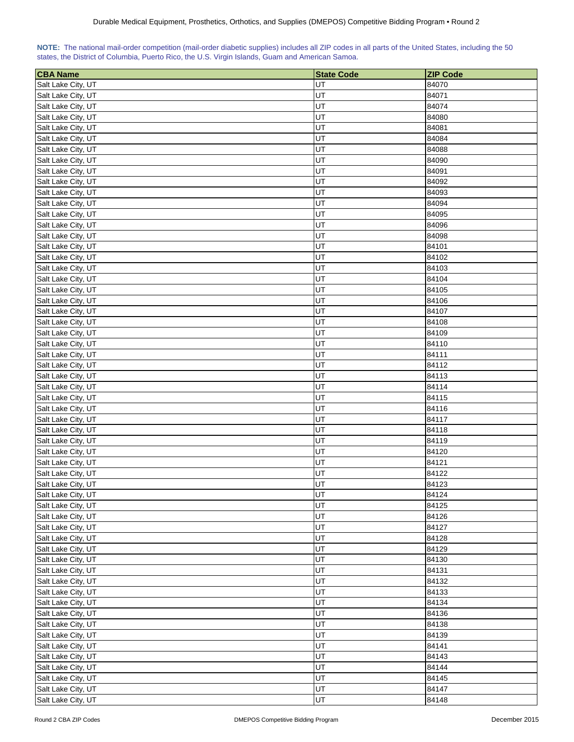| NOTE: The national mail-order competition (mail-order diabetic supplies) includes all ZIP codes in all parts of the United States, including the 50 |  |  |  |  |
|-----------------------------------------------------------------------------------------------------------------------------------------------------|--|--|--|--|
| states, the District of Columbia, Puerto Rico, the U.S. Virgin Islands, Guam and American Samoa.                                                    |  |  |  |  |

| <b>CBA Name</b>                          | <b>State Code</b> | <b>ZIP Code</b> |
|------------------------------------------|-------------------|-----------------|
| Salt Lake City, UT                       | UT                | 84070           |
| Salt Lake City, UT                       | UT                | 84071           |
| Salt Lake City, UT                       | UT                | 84074           |
| Salt Lake City, UT                       | UT                | 84080           |
| Salt Lake City, UT                       | UT                | 84081           |
| Salt Lake City, UT                       | UT                | 84084           |
| Salt Lake City, UT                       | UT                | 84088           |
| Salt Lake City, UT                       | UT                | 84090           |
| Salt Lake City, UT                       | UT                | 84091           |
| Salt Lake City, UT                       | UT                | 84092           |
| Salt Lake City, UT                       | UT                | 84093           |
| Salt Lake City, UT                       | UT                | 84094           |
| Salt Lake City, UT                       | UT                | 84095           |
| Salt Lake City, UT                       | UT                | 84096           |
| Salt Lake City, UT                       | UT                | 84098           |
| Salt Lake City, UT                       | UT                | 84101           |
| Salt Lake City, UT                       | UT                | 84102           |
| Salt Lake City, UT                       | UT                | 84103           |
| Salt Lake City, UT                       | UT                | 84104           |
| Salt Lake City, UT                       | UT                | 84105           |
| Salt Lake City, UT                       | UT                | 84106           |
| Salt Lake City, UT                       | UT                | 84107           |
| Salt Lake City, UT                       | UT                | 84108           |
| Salt Lake City, UT                       | UT                | 84109           |
| Salt Lake City, UT                       | UT                | 84110           |
| Salt Lake City, UT                       | UT                | 84111           |
|                                          | UT                | 84112           |
| Salt Lake City, UT<br>Salt Lake City, UT | UT                | 84113           |
| Salt Lake City, UT                       | UT                | 84114           |
| Salt Lake City, UT                       | UT                | 84115           |
| Salt Lake City, UT                       | UT                | 84116           |
| Salt Lake City, UT                       | UT                | 84117           |
| Salt Lake City, UT                       | UT                | 84118           |
| Salt Lake City, UT                       | UT                | 84119           |
| Salt Lake City, UT                       | UT                | 84120           |
| Salt Lake City, UT                       | UT                | 84121           |
| Salt Lake City, UT                       | UT                | 84122           |
| Salt Lake City, UT                       | UT                | 84123           |
| Salt Lake City, UT                       | UT                | 84124           |
| Salt Lake City, UT                       | UT                | 84125           |
| Salt Lake City, UT                       | UT                | 84126           |
| Salt Lake City, UT                       | UT                | 84127           |
| Salt Lake City, UT                       | UT                | 84128           |
| Salt Lake City, UT                       | UT                | 84129           |
| Salt Lake City, UT                       | UT                | 84130           |
| Salt Lake City, UT                       | UT                | 84131           |
| Salt Lake City, UT                       | UT                | 84132           |
| Salt Lake City, UT                       | UT                | 84133           |
| Salt Lake City, UT                       | UT                | 84134           |
| Salt Lake City, UT                       | UT                | 84136           |
| Salt Lake City, UT                       | UT                | 84138           |
| Salt Lake City, UT                       | UT                | 84139           |
| Salt Lake City, UT                       | UT                | 84141           |
| Salt Lake City, UT                       | UT                | 84143           |
| Salt Lake City, UT                       | UT                | 84144           |
| Salt Lake City, UT                       | UT                | 84145           |
| Salt Lake City, UT                       | UT                | 84147           |
| Salt Lake City, UT                       | UT                | 84148           |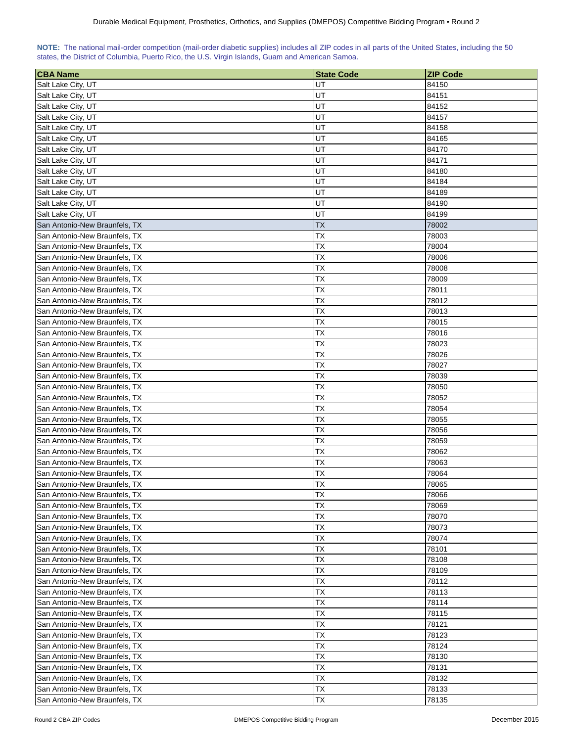## **NOTE:** The national mail-order competition (mail-order diabetic supplies) includes all ZIP codes in all parts of the United States, including the 50 states, the District of Columbia, Puerto Rico, the U.S. Virgin Islands, Guam and American Samoa.

| <b>CBA Name</b>                | <b>State Code</b> | <b>ZIP Code</b> |
|--------------------------------|-------------------|-----------------|
| Salt Lake City, UT             | UT                | 84150           |
| Salt Lake City, UT             | UT                | 84151           |
| Salt Lake City, UT             | UT                | 84152           |
| Salt Lake City, UT             | UT                | 84157           |
| Salt Lake City, UT             | UT                | 84158           |
| Salt Lake City, UT             | UT                | 84165           |
| Salt Lake City, UT             | UT                | 84170           |
| Salt Lake City, UT             | UT                | 84171           |
| Salt Lake City, UT             | UT                | 84180           |
| Salt Lake City, UT             | UT                | 84184           |
| Salt Lake City, UT             | UT                | 84189           |
| Salt Lake City, UT             | UT                | 84190           |
| Salt Lake City, UT             | UT                | 84199           |
| San Antonio-New Braunfels, TX  | TХ                | 78002           |
| San Antonio-New Braunfels, TX  | TX                | 78003           |
| San Antonio-New Braunfels, TX  | TX                | 78004           |
| San Antonio-New Braunfels, TX  | ТX                | 78006           |
| San Antonio-New Braunfels, TX  | ТX                |                 |
|                                |                   | 78008           |
| San Antonio-New Braunfels, TX  | ТX                | 78009           |
| San Antonio-New Braunfels, TX  | ТX                | 78011           |
| San Antonio-New Braunfels, TX  | ТX                | 78012           |
| San Antonio-New Braunfels, TX  | ТX                | 78013           |
| San Antonio-New Braunfels, TX  | ТX                | 78015           |
| San Antonio-New Braunfels, TX  | <b>TX</b>         | 78016           |
| San Antonio-New Braunfels, TX  | <b>TX</b>         | 78023           |
| San Antonio-New Braunfels, TX  | ТX                | 78026           |
| San Antonio-New Braunfels, TX  | ТX                | 78027           |
| San Antonio-New Braunfels, TX  | ТX                | 78039           |
| San Antonio-New Braunfels, TX  | ТX                | 78050           |
| San Antonio-New Braunfels, TX  | ТX                | 78052           |
| San Antonio-New Braunfels, TX  | ТX                | 78054           |
| San Antonio-New Braunfels, TX  | ТX                | 78055           |
| San Antonio-New Braunfels, TX  | ТX                | 78056           |
| San Antonio-New Braunfels, TX  | ТX                | 78059           |
| San Antonio-New Braunfels, TX  | ТX                | 78062           |
| San Antonio-New Braunfels, TX  | ТX                | 78063           |
| San Antonio-New Braunfels, TX  | TX                | 78064           |
| lSan Antonio-New Braunfels. TX | <b>TX</b>         | 78065           |
| San Antonio-New Braunfels, TX  | ТX                | 78066           |
| San Antonio-New Braunfels, TX  | ТX                | 78069           |
| San Antonio-New Braunfels, TX  | <b>TX</b>         | 78070           |
| San Antonio-New Braunfels, TX  | TХ                | 78073           |
| San Antonio-New Braunfels, TX  | ТX                | 78074           |
| San Antonio-New Braunfels, TX  | TХ                | 78101           |
| San Antonio-New Braunfels, TX  | ТX                | 78108           |
| San Antonio-New Braunfels, TX  | ТX                | 78109           |
| San Antonio-New Braunfels, TX  | ТX                | 78112           |
| San Antonio-New Braunfels, TX  | ТX                | 78113           |
| San Antonio-New Braunfels, TX  | TX                | 78114           |
| San Antonio-New Braunfels, TX  | TX                | 78115           |
| San Antonio-New Braunfels, TX  | ТX                | 78121           |
| San Antonio-New Braunfels, TX  | ТX                | 78123           |
| San Antonio-New Braunfels, TX  | <b>TX</b>         | 78124           |
| San Antonio-New Braunfels, TX  | <b>TX</b>         | 78130           |
| San Antonio-New Braunfels, TX  | ТX                | 78131           |
| San Antonio-New Braunfels, TX  | <b>TX</b>         | 78132           |
| San Antonio-New Braunfels, TX  | ТX                | 78133           |
| San Antonio-New Braunfels, TX  | TX                | 78135           |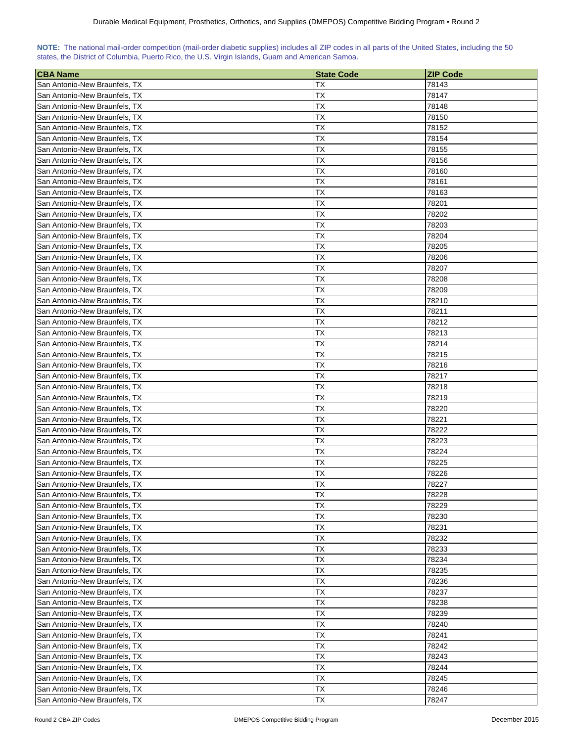| NOTE: The national mail-order competition (mail-order diabetic supplies) includes all ZIP codes in all parts of the United States, including the 50 |  |  |  |  |
|-----------------------------------------------------------------------------------------------------------------------------------------------------|--|--|--|--|
| states, the District of Columbia, Puerto Rico, the U.S. Virgin Islands, Guam and American Samoa.                                                    |  |  |  |  |

| <b>CBA Name</b>               | <b>State Code</b> | <b>ZIP Code</b> |
|-------------------------------|-------------------|-----------------|
| San Antonio-New Braunfels, TX | ТX                | 78143           |
| San Antonio-New Braunfels, TX | ТX                | 78147           |
| San Antonio-New Braunfels, TX | ТX                | 78148           |
| San Antonio-New Braunfels, TX | ТX                | 78150           |
| San Antonio-New Braunfels, TX | ТX                | 78152           |
| San Antonio-New Braunfels, TX | ТX                | 78154           |
| San Antonio-New Braunfels, TX | ТX                | 78155           |
| San Antonio-New Braunfels, TX | ТX                | 78156           |
| San Antonio-New Braunfels, TX | ТX                | 78160           |
| San Antonio-New Braunfels, TX | ТX                | 78161           |
| San Antonio-New Braunfels, TX | ТX                | 78163           |
| San Antonio-New Braunfels, TX | ТX                | 78201           |
| San Antonio-New Braunfels, TX | ТX                | 78202           |
| San Antonio-New Braunfels, TX | ТX                | 78203           |
| San Antonio-New Braunfels, TX | ТX                | 78204           |
| San Antonio-New Braunfels, TX | ТX                | 78205           |
| San Antonio-New Braunfels, TX | ТX                | 78206           |
| San Antonio-New Braunfels, TX | ТX                | 78207           |
| San Antonio-New Braunfels, TX | ТX                | 78208           |
| San Antonio-New Braunfels, TX | ТX                | 78209           |
| San Antonio-New Braunfels, TX | ТX                | 78210           |
| San Antonio-New Braunfels, TX | ТX                | 78211           |
| San Antonio-New Braunfels, TX | TX                | 78212           |
| San Antonio-New Braunfels, TX | ТX                | 78213           |
| San Antonio-New Braunfels, TX | ТX                | 78214           |
| San Antonio-New Braunfels, TX | ТX                | 78215           |
| San Antonio-New Braunfels, TX | ТX                | 78216           |
| San Antonio-New Braunfels, TX | ТX                | 78217           |
| San Antonio-New Braunfels, TX | ТX                | 78218           |
| San Antonio-New Braunfels, TX | ТX                | 78219           |
| San Antonio-New Braunfels, TX | ТX                | 78220           |
| San Antonio-New Braunfels, TX | ТX                | 78221           |
| San Antonio-New Braunfels, TX | ТX                | 78222           |
| San Antonio-New Braunfels, TX | ТX                | 78223           |
| San Antonio-New Braunfels, TX | ТX                | 78224           |
| San Antonio-New Braunfels, TX | ТX                | 78225           |
| San Antonio-New Braunfels, TX | ТX                | 78226           |
| San Antonio-New Braunfels, TX | ТX                | 78227           |
| San Antonio-New Braunfels, TX | <b>TX</b>         | 78228           |
| San Antonio-New Braunfels, TX | ТX                | 78229           |
| San Antonio-New Braunfels, TX | ТX                | 78230           |
| San Antonio-New Braunfels, TX | ТX                | 78231           |
| San Antonio-New Braunfels, TX | ТX                | 78232           |
| San Antonio-New Braunfels, TX | ТX                | 78233           |
| San Antonio-New Braunfels, TX | ТX                | 78234           |
| San Antonio-New Braunfels, TX | ТX                | 78235           |
| San Antonio-New Braunfels, TX | ТX                | 78236           |
| San Antonio-New Braunfels, TX | ТX                | 78237           |
| San Antonio-New Braunfels, TX | ТX                | 78238           |
| San Antonio-New Braunfels, TX | ТX                | 78239           |
| San Antonio-New Braunfels, TX | ТX                | 78240           |
| San Antonio-New Braunfels, TX | ТX                | 78241           |
| San Antonio-New Braunfels, TX | ТX                | 78242           |
| San Antonio-New Braunfels, TX | ТX                | 78243           |
| San Antonio-New Braunfels, TX | TХ                | 78244           |
| San Antonio-New Braunfels, TX | ТX                | 78245           |
| San Antonio-New Braunfels, TX | ТX                | 78246           |
| San Antonio-New Braunfels, TX | ТX                | 78247           |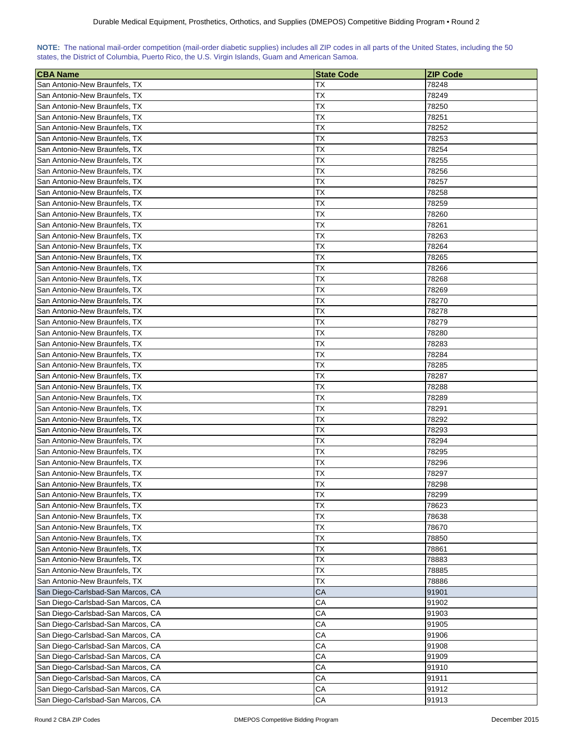| NOTE: The national mail-order competition (mail-order diabetic supplies) includes all ZIP codes in all parts of the United States, including the 50 |  |  |  |  |  |  |  |
|-----------------------------------------------------------------------------------------------------------------------------------------------------|--|--|--|--|--|--|--|
| states, the District of Columbia, Puerto Rico, the U.S. Virgin Islands, Guam and American Samoa.                                                    |  |  |  |  |  |  |  |

| <b>CBA Name</b>                   | <b>State Code</b> | <b>ZIP Code</b> |
|-----------------------------------|-------------------|-----------------|
| San Antonio-New Braunfels, TX     | ТX                | 78248           |
| San Antonio-New Braunfels, TX     | ТX                | 78249           |
| San Antonio-New Braunfels, TX     | ТX                | 78250           |
| San Antonio-New Braunfels, TX     | ТX                | 78251           |
| San Antonio-New Braunfels, TX     | ТX                | 78252           |
| San Antonio-New Braunfels, TX     | TХ                | 78253           |
| San Antonio-New Braunfels, TX     | ТX                | 78254           |
| San Antonio-New Braunfels, TX     | ТX                | 78255           |
| San Antonio-New Braunfels, TX     | ТX                | 78256           |
| San Antonio-New Braunfels, TX     | ТX                | 78257           |
| San Antonio-New Braunfels, TX     | ТX                | 78258           |
| San Antonio-New Braunfels, TX     | ТX                | 78259           |
| San Antonio-New Braunfels, TX     | ТX                | 78260           |
| San Antonio-New Braunfels, TX     | ТX                | 78261           |
| San Antonio-New Braunfels, TX     | ТX                | 78263           |
| San Antonio-New Braunfels, TX     | ТX                | 78264           |
| San Antonio-New Braunfels, TX     | ТX                | 78265           |
| San Antonio-New Braunfels, TX     | TХ                | 78266           |
| San Antonio-New Braunfels, TX     | ТX                | 78268           |
| San Antonio-New Braunfels, TX     | ТX                | 78269           |
| San Antonio-New Braunfels, TX     | ТX                | 78270           |
| San Antonio-New Braunfels, TX     | ТX                | 78278           |
| San Antonio-New Braunfels, TX     | ТX                | 78279           |
| San Antonio-New Braunfels, TX     | ТX                | 78280           |
| San Antonio-New Braunfels, TX     | ТX                | 78283           |
| San Antonio-New Braunfels, TX     | ТX                | 78284           |
| San Antonio-New Braunfels, TX     | ТX                | 78285           |
| San Antonio-New Braunfels, TX     | ТX                | 78287           |
| San Antonio-New Braunfels, TX     | ТX                | 78288           |
| San Antonio-New Braunfels, TX     | ТX                | 78289           |
| San Antonio-New Braunfels, TX     | TХ                | 78291           |
| San Antonio-New Braunfels, TX     | ТX                | 78292           |
| San Antonio-New Braunfels, TX     | ТX                | 78293           |
| San Antonio-New Braunfels, TX     | ТX                | 78294           |
| San Antonio-New Braunfels, TX     | ТX                | 78295           |
| San Antonio-New Braunfels, TX     | ТX                | 78296           |
| San Antonio-New Braunfels, TX     | ТX                | 78297           |
| San Antonio-New Braunfels, TX     | ТX                | 78298           |
| San Antonio-New Braunfels, TX     | <b>TX</b>         | 78299           |
| San Antonio-New Braunfels, TX     | ТX                | 78623           |
| San Antonio-New Braunfels, TX     | <b>TX</b>         | 78638           |
| San Antonio-New Braunfels, TX     | TX                | 78670           |
| San Antonio-New Braunfels, TX     | ТX                | 78850           |
| San Antonio-New Braunfels, TX     | TX                | 78861           |
| San Antonio-New Braunfels, TX     | ТX                | 78883           |
| San Antonio-New Braunfels, TX     | ТX                | 78885           |
| San Antonio-New Braunfels, TX     | <b>TX</b>         | 78886           |
| San Diego-Carlsbad-San Marcos, CA | CA                | 91901           |
| San Diego-Carlsbad-San Marcos, CA | CA                | 91902           |
| San Diego-Carlsbad-San Marcos, CA | CA                | 91903           |
| San Diego-Carlsbad-San Marcos, CA | CА                | 91905           |
| San Diego-Carlsbad-San Marcos, CA | CА                | 91906           |
| San Diego-Carlsbad-San Marcos, CA | CA                | 91908           |
| San Diego-Carlsbad-San Marcos, CA | СA                | 91909           |
| San Diego-Carlsbad-San Marcos, CA | CA                | 91910           |
| San Diego-Carlsbad-San Marcos, CA | CA                | 91911           |
| San Diego-Carlsbad-San Marcos, CA | CA                | 91912           |
| San Diego-Carlsbad-San Marcos, CA | ${\sf CA}$        | 91913           |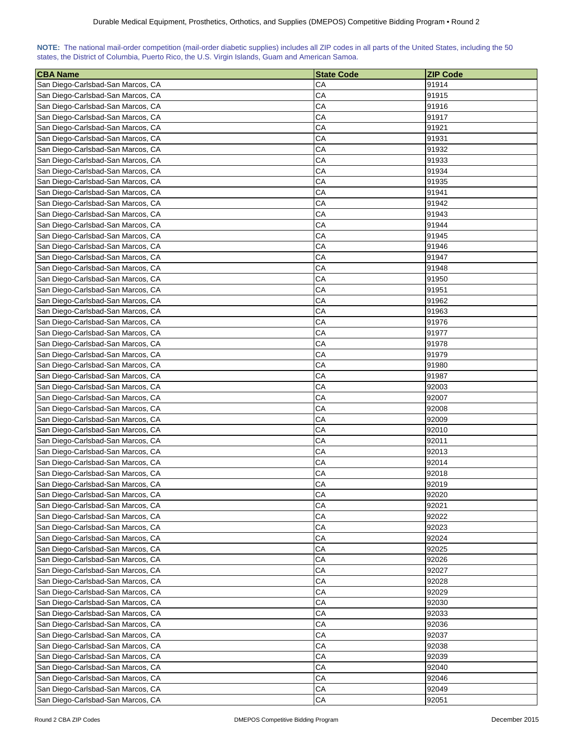| NOTE: The national mail-order competition (mail-order diabetic supplies) includes all ZIP codes in all parts of the United States, including the 50 |  |  |  |  |  |  |  |
|-----------------------------------------------------------------------------------------------------------------------------------------------------|--|--|--|--|--|--|--|
| states, the District of Columbia, Puerto Rico, the U.S. Virgin Islands, Guam and American Samoa.                                                    |  |  |  |  |  |  |  |

| 91914<br>San Diego-Carlsbad-San Marcos, CA<br>CА<br>CA<br>San Diego-Carlsbad-San Marcos, CA<br>91915<br>San Diego-Carlsbad-San Marcos, CA<br>CA<br>91916<br>San Diego-Carlsbad-San Marcos, CA<br>CA<br>91917<br>San Diego-Carlsbad-San Marcos, CA<br>CА<br>91921<br>CA<br>San Diego-Carlsbad-San Marcos, CA<br>91931<br>CA<br>San Diego-Carlsbad-San Marcos, CA<br>91932<br>CA<br>San Diego-Carlsbad-San Marcos, CA<br>91933<br>CA<br>San Diego-Carlsbad-San Marcos, CA<br>91934<br>CA<br>San Diego-Carlsbad-San Marcos, CA<br>91935<br>San Diego-Carlsbad-San Marcos, CA<br>CА<br>91941<br>San Diego-Carlsbad-San Marcos, CA<br>CA<br>91942<br>CA<br>San Diego-Carlsbad-San Marcos, CA<br>91943<br>91944<br>San Diego-Carlsbad-San Marcos, CA<br>CА<br>San Diego-Carlsbad-San Marcos, CA<br>CA<br>91945<br>San Diego-Carlsbad-San Marcos, CA<br>CА<br>91946<br>San Diego-Carlsbad-San Marcos, CA<br>CА<br>91947<br>CA<br>San Diego-Carlsbad-San Marcos, CA<br>91948<br>CA<br>San Diego-Carlsbad-San Marcos, CA<br>91950<br>CA<br>San Diego-Carlsbad-San Marcos, CA<br>91951<br>CA<br>San Diego-Carlsbad-San Marcos, CA<br>91962<br>San Diego-Carlsbad-San Marcos, CA<br>CA<br>91963<br>CA<br>San Diego-Carlsbad-San Marcos, CA<br>91976<br>San Diego-Carlsbad-San Marcos, CA<br>CА<br>91977<br>CA<br>91978<br>San Diego-Carlsbad-San Marcos, CA<br>CA<br>San Diego-Carlsbad-San Marcos, CA<br>91979<br>91980<br>San Diego-Carlsbad-San Marcos, CA<br>СA<br>San Diego-Carlsbad-San Marcos, CA<br>CA<br>91987<br>San Diego-Carlsbad-San Marcos, CA<br>CA<br>92003<br>San Diego-Carlsbad-San Marcos, CA<br>СA<br>92007<br>CA<br>San Diego-Carlsbad-San Marcos, CA<br>92008<br>CA<br>San Diego-Carlsbad-San Marcos, CA<br>92009<br>СA<br>San Diego-Carlsbad-San Marcos, CA<br>92010<br>CA<br>San Diego-Carlsbad-San Marcos, CA<br>92011<br>CA<br>San Diego-Carlsbad-San Marcos, CA<br>92013<br>CA<br>92014<br>San Diego-Carlsbad-San Marcos, CA<br>San Diego-Carlsbad-San Marcos, CA<br>CA<br>92018<br>CA<br>San Diego-Carlsbad-San Marcos, CA<br>92019<br>CA<br>San Diego-Carlsbad-San Marcos, CA<br>92020<br>CA<br>San Diego-Carlsbad-San Marcos, CA<br>92021<br>San Diego-Carlsbad-San Marcos, CA<br>CA<br>92022<br>CA<br>San Diego-Carlsbad-San Marcos, CA<br>92023<br>San Diego-Carlsbad-San Marcos, CA<br>CA<br>92024<br>San Diego-Carlsbad-San Marcos, CA<br>CA<br>92025<br>CA<br>San Diego-Carlsbad-San Marcos, CA<br>92026<br>CA<br>San Diego-Carlsbad-San Marcos, CA<br>92027<br>CA<br>San Diego-Carlsbad-San Marcos, CA<br>92028<br>CA<br>92029<br>San Diego-Carlsbad-San Marcos, CA<br>San Diego-Carlsbad-San Marcos, CA<br>СA<br>92030<br>San Diego-Carlsbad-San Marcos, CA<br>CА<br>92033<br>San Diego-Carlsbad-San Marcos, CA<br>CА<br>92036<br>San Diego-Carlsbad-San Marcos, CA<br>СA<br>92037<br>San Diego-Carlsbad-San Marcos, CA<br>CА<br>92038<br>San Diego-Carlsbad-San Marcos, CA<br>CА<br>92039<br>San Diego-Carlsbad-San Marcos, CA<br>СA<br>92040<br>San Diego-Carlsbad-San Marcos, CA<br>CА<br>92046<br>San Diego-Carlsbad-San Marcos, CA<br>СA<br>92049 | <b>CBA Name</b>                   | <b>State Code</b> | <b>ZIP Code</b> |
|----------------------------------------------------------------------------------------------------------------------------------------------------------------------------------------------------------------------------------------------------------------------------------------------------------------------------------------------------------------------------------------------------------------------------------------------------------------------------------------------------------------------------------------------------------------------------------------------------------------------------------------------------------------------------------------------------------------------------------------------------------------------------------------------------------------------------------------------------------------------------------------------------------------------------------------------------------------------------------------------------------------------------------------------------------------------------------------------------------------------------------------------------------------------------------------------------------------------------------------------------------------------------------------------------------------------------------------------------------------------------------------------------------------------------------------------------------------------------------------------------------------------------------------------------------------------------------------------------------------------------------------------------------------------------------------------------------------------------------------------------------------------------------------------------------------------------------------------------------------------------------------------------------------------------------------------------------------------------------------------------------------------------------------------------------------------------------------------------------------------------------------------------------------------------------------------------------------------------------------------------------------------------------------------------------------------------------------------------------------------------------------------------------------------------------------------------------------------------------------------------------------------------------------------------------------------------------------------------------------------------------------------------------------------------------------------------------------------------------------------------------------------------------------------------------------------------------------------------------------------------------------------------------------------------------------------------------------------------------------------------------------------------------------------------------------------------------|-----------------------------------|-------------------|-----------------|
|                                                                                                                                                                                                                                                                                                                                                                                                                                                                                                                                                                                                                                                                                                                                                                                                                                                                                                                                                                                                                                                                                                                                                                                                                                                                                                                                                                                                                                                                                                                                                                                                                                                                                                                                                                                                                                                                                                                                                                                                                                                                                                                                                                                                                                                                                                                                                                                                                                                                                                                                                                                                                                                                                                                                                                                                                                                                                                                                                                                                                                                                                  |                                   |                   |                 |
|                                                                                                                                                                                                                                                                                                                                                                                                                                                                                                                                                                                                                                                                                                                                                                                                                                                                                                                                                                                                                                                                                                                                                                                                                                                                                                                                                                                                                                                                                                                                                                                                                                                                                                                                                                                                                                                                                                                                                                                                                                                                                                                                                                                                                                                                                                                                                                                                                                                                                                                                                                                                                                                                                                                                                                                                                                                                                                                                                                                                                                                                                  |                                   |                   |                 |
|                                                                                                                                                                                                                                                                                                                                                                                                                                                                                                                                                                                                                                                                                                                                                                                                                                                                                                                                                                                                                                                                                                                                                                                                                                                                                                                                                                                                                                                                                                                                                                                                                                                                                                                                                                                                                                                                                                                                                                                                                                                                                                                                                                                                                                                                                                                                                                                                                                                                                                                                                                                                                                                                                                                                                                                                                                                                                                                                                                                                                                                                                  |                                   |                   |                 |
|                                                                                                                                                                                                                                                                                                                                                                                                                                                                                                                                                                                                                                                                                                                                                                                                                                                                                                                                                                                                                                                                                                                                                                                                                                                                                                                                                                                                                                                                                                                                                                                                                                                                                                                                                                                                                                                                                                                                                                                                                                                                                                                                                                                                                                                                                                                                                                                                                                                                                                                                                                                                                                                                                                                                                                                                                                                                                                                                                                                                                                                                                  |                                   |                   |                 |
|                                                                                                                                                                                                                                                                                                                                                                                                                                                                                                                                                                                                                                                                                                                                                                                                                                                                                                                                                                                                                                                                                                                                                                                                                                                                                                                                                                                                                                                                                                                                                                                                                                                                                                                                                                                                                                                                                                                                                                                                                                                                                                                                                                                                                                                                                                                                                                                                                                                                                                                                                                                                                                                                                                                                                                                                                                                                                                                                                                                                                                                                                  |                                   |                   |                 |
|                                                                                                                                                                                                                                                                                                                                                                                                                                                                                                                                                                                                                                                                                                                                                                                                                                                                                                                                                                                                                                                                                                                                                                                                                                                                                                                                                                                                                                                                                                                                                                                                                                                                                                                                                                                                                                                                                                                                                                                                                                                                                                                                                                                                                                                                                                                                                                                                                                                                                                                                                                                                                                                                                                                                                                                                                                                                                                                                                                                                                                                                                  |                                   |                   |                 |
|                                                                                                                                                                                                                                                                                                                                                                                                                                                                                                                                                                                                                                                                                                                                                                                                                                                                                                                                                                                                                                                                                                                                                                                                                                                                                                                                                                                                                                                                                                                                                                                                                                                                                                                                                                                                                                                                                                                                                                                                                                                                                                                                                                                                                                                                                                                                                                                                                                                                                                                                                                                                                                                                                                                                                                                                                                                                                                                                                                                                                                                                                  |                                   |                   |                 |
|                                                                                                                                                                                                                                                                                                                                                                                                                                                                                                                                                                                                                                                                                                                                                                                                                                                                                                                                                                                                                                                                                                                                                                                                                                                                                                                                                                                                                                                                                                                                                                                                                                                                                                                                                                                                                                                                                                                                                                                                                                                                                                                                                                                                                                                                                                                                                                                                                                                                                                                                                                                                                                                                                                                                                                                                                                                                                                                                                                                                                                                                                  |                                   |                   |                 |
|                                                                                                                                                                                                                                                                                                                                                                                                                                                                                                                                                                                                                                                                                                                                                                                                                                                                                                                                                                                                                                                                                                                                                                                                                                                                                                                                                                                                                                                                                                                                                                                                                                                                                                                                                                                                                                                                                                                                                                                                                                                                                                                                                                                                                                                                                                                                                                                                                                                                                                                                                                                                                                                                                                                                                                                                                                                                                                                                                                                                                                                                                  |                                   |                   |                 |
|                                                                                                                                                                                                                                                                                                                                                                                                                                                                                                                                                                                                                                                                                                                                                                                                                                                                                                                                                                                                                                                                                                                                                                                                                                                                                                                                                                                                                                                                                                                                                                                                                                                                                                                                                                                                                                                                                                                                                                                                                                                                                                                                                                                                                                                                                                                                                                                                                                                                                                                                                                                                                                                                                                                                                                                                                                                                                                                                                                                                                                                                                  |                                   |                   |                 |
|                                                                                                                                                                                                                                                                                                                                                                                                                                                                                                                                                                                                                                                                                                                                                                                                                                                                                                                                                                                                                                                                                                                                                                                                                                                                                                                                                                                                                                                                                                                                                                                                                                                                                                                                                                                                                                                                                                                                                                                                                                                                                                                                                                                                                                                                                                                                                                                                                                                                                                                                                                                                                                                                                                                                                                                                                                                                                                                                                                                                                                                                                  |                                   |                   |                 |
|                                                                                                                                                                                                                                                                                                                                                                                                                                                                                                                                                                                                                                                                                                                                                                                                                                                                                                                                                                                                                                                                                                                                                                                                                                                                                                                                                                                                                                                                                                                                                                                                                                                                                                                                                                                                                                                                                                                                                                                                                                                                                                                                                                                                                                                                                                                                                                                                                                                                                                                                                                                                                                                                                                                                                                                                                                                                                                                                                                                                                                                                                  |                                   |                   |                 |
|                                                                                                                                                                                                                                                                                                                                                                                                                                                                                                                                                                                                                                                                                                                                                                                                                                                                                                                                                                                                                                                                                                                                                                                                                                                                                                                                                                                                                                                                                                                                                                                                                                                                                                                                                                                                                                                                                                                                                                                                                                                                                                                                                                                                                                                                                                                                                                                                                                                                                                                                                                                                                                                                                                                                                                                                                                                                                                                                                                                                                                                                                  |                                   |                   |                 |
|                                                                                                                                                                                                                                                                                                                                                                                                                                                                                                                                                                                                                                                                                                                                                                                                                                                                                                                                                                                                                                                                                                                                                                                                                                                                                                                                                                                                                                                                                                                                                                                                                                                                                                                                                                                                                                                                                                                                                                                                                                                                                                                                                                                                                                                                                                                                                                                                                                                                                                                                                                                                                                                                                                                                                                                                                                                                                                                                                                                                                                                                                  |                                   |                   |                 |
|                                                                                                                                                                                                                                                                                                                                                                                                                                                                                                                                                                                                                                                                                                                                                                                                                                                                                                                                                                                                                                                                                                                                                                                                                                                                                                                                                                                                                                                                                                                                                                                                                                                                                                                                                                                                                                                                                                                                                                                                                                                                                                                                                                                                                                                                                                                                                                                                                                                                                                                                                                                                                                                                                                                                                                                                                                                                                                                                                                                                                                                                                  |                                   |                   |                 |
|                                                                                                                                                                                                                                                                                                                                                                                                                                                                                                                                                                                                                                                                                                                                                                                                                                                                                                                                                                                                                                                                                                                                                                                                                                                                                                                                                                                                                                                                                                                                                                                                                                                                                                                                                                                                                                                                                                                                                                                                                                                                                                                                                                                                                                                                                                                                                                                                                                                                                                                                                                                                                                                                                                                                                                                                                                                                                                                                                                                                                                                                                  |                                   |                   |                 |
|                                                                                                                                                                                                                                                                                                                                                                                                                                                                                                                                                                                                                                                                                                                                                                                                                                                                                                                                                                                                                                                                                                                                                                                                                                                                                                                                                                                                                                                                                                                                                                                                                                                                                                                                                                                                                                                                                                                                                                                                                                                                                                                                                                                                                                                                                                                                                                                                                                                                                                                                                                                                                                                                                                                                                                                                                                                                                                                                                                                                                                                                                  |                                   |                   |                 |
|                                                                                                                                                                                                                                                                                                                                                                                                                                                                                                                                                                                                                                                                                                                                                                                                                                                                                                                                                                                                                                                                                                                                                                                                                                                                                                                                                                                                                                                                                                                                                                                                                                                                                                                                                                                                                                                                                                                                                                                                                                                                                                                                                                                                                                                                                                                                                                                                                                                                                                                                                                                                                                                                                                                                                                                                                                                                                                                                                                                                                                                                                  |                                   |                   |                 |
|                                                                                                                                                                                                                                                                                                                                                                                                                                                                                                                                                                                                                                                                                                                                                                                                                                                                                                                                                                                                                                                                                                                                                                                                                                                                                                                                                                                                                                                                                                                                                                                                                                                                                                                                                                                                                                                                                                                                                                                                                                                                                                                                                                                                                                                                                                                                                                                                                                                                                                                                                                                                                                                                                                                                                                                                                                                                                                                                                                                                                                                                                  |                                   |                   |                 |
|                                                                                                                                                                                                                                                                                                                                                                                                                                                                                                                                                                                                                                                                                                                                                                                                                                                                                                                                                                                                                                                                                                                                                                                                                                                                                                                                                                                                                                                                                                                                                                                                                                                                                                                                                                                                                                                                                                                                                                                                                                                                                                                                                                                                                                                                                                                                                                                                                                                                                                                                                                                                                                                                                                                                                                                                                                                                                                                                                                                                                                                                                  |                                   |                   |                 |
|                                                                                                                                                                                                                                                                                                                                                                                                                                                                                                                                                                                                                                                                                                                                                                                                                                                                                                                                                                                                                                                                                                                                                                                                                                                                                                                                                                                                                                                                                                                                                                                                                                                                                                                                                                                                                                                                                                                                                                                                                                                                                                                                                                                                                                                                                                                                                                                                                                                                                                                                                                                                                                                                                                                                                                                                                                                                                                                                                                                                                                                                                  |                                   |                   |                 |
|                                                                                                                                                                                                                                                                                                                                                                                                                                                                                                                                                                                                                                                                                                                                                                                                                                                                                                                                                                                                                                                                                                                                                                                                                                                                                                                                                                                                                                                                                                                                                                                                                                                                                                                                                                                                                                                                                                                                                                                                                                                                                                                                                                                                                                                                                                                                                                                                                                                                                                                                                                                                                                                                                                                                                                                                                                                                                                                                                                                                                                                                                  |                                   |                   |                 |
|                                                                                                                                                                                                                                                                                                                                                                                                                                                                                                                                                                                                                                                                                                                                                                                                                                                                                                                                                                                                                                                                                                                                                                                                                                                                                                                                                                                                                                                                                                                                                                                                                                                                                                                                                                                                                                                                                                                                                                                                                                                                                                                                                                                                                                                                                                                                                                                                                                                                                                                                                                                                                                                                                                                                                                                                                                                                                                                                                                                                                                                                                  |                                   |                   |                 |
|                                                                                                                                                                                                                                                                                                                                                                                                                                                                                                                                                                                                                                                                                                                                                                                                                                                                                                                                                                                                                                                                                                                                                                                                                                                                                                                                                                                                                                                                                                                                                                                                                                                                                                                                                                                                                                                                                                                                                                                                                                                                                                                                                                                                                                                                                                                                                                                                                                                                                                                                                                                                                                                                                                                                                                                                                                                                                                                                                                                                                                                                                  |                                   |                   |                 |
|                                                                                                                                                                                                                                                                                                                                                                                                                                                                                                                                                                                                                                                                                                                                                                                                                                                                                                                                                                                                                                                                                                                                                                                                                                                                                                                                                                                                                                                                                                                                                                                                                                                                                                                                                                                                                                                                                                                                                                                                                                                                                                                                                                                                                                                                                                                                                                                                                                                                                                                                                                                                                                                                                                                                                                                                                                                                                                                                                                                                                                                                                  |                                   |                   |                 |
|                                                                                                                                                                                                                                                                                                                                                                                                                                                                                                                                                                                                                                                                                                                                                                                                                                                                                                                                                                                                                                                                                                                                                                                                                                                                                                                                                                                                                                                                                                                                                                                                                                                                                                                                                                                                                                                                                                                                                                                                                                                                                                                                                                                                                                                                                                                                                                                                                                                                                                                                                                                                                                                                                                                                                                                                                                                                                                                                                                                                                                                                                  |                                   |                   |                 |
|                                                                                                                                                                                                                                                                                                                                                                                                                                                                                                                                                                                                                                                                                                                                                                                                                                                                                                                                                                                                                                                                                                                                                                                                                                                                                                                                                                                                                                                                                                                                                                                                                                                                                                                                                                                                                                                                                                                                                                                                                                                                                                                                                                                                                                                                                                                                                                                                                                                                                                                                                                                                                                                                                                                                                                                                                                                                                                                                                                                                                                                                                  |                                   |                   |                 |
|                                                                                                                                                                                                                                                                                                                                                                                                                                                                                                                                                                                                                                                                                                                                                                                                                                                                                                                                                                                                                                                                                                                                                                                                                                                                                                                                                                                                                                                                                                                                                                                                                                                                                                                                                                                                                                                                                                                                                                                                                                                                                                                                                                                                                                                                                                                                                                                                                                                                                                                                                                                                                                                                                                                                                                                                                                                                                                                                                                                                                                                                                  |                                   |                   |                 |
|                                                                                                                                                                                                                                                                                                                                                                                                                                                                                                                                                                                                                                                                                                                                                                                                                                                                                                                                                                                                                                                                                                                                                                                                                                                                                                                                                                                                                                                                                                                                                                                                                                                                                                                                                                                                                                                                                                                                                                                                                                                                                                                                                                                                                                                                                                                                                                                                                                                                                                                                                                                                                                                                                                                                                                                                                                                                                                                                                                                                                                                                                  |                                   |                   |                 |
|                                                                                                                                                                                                                                                                                                                                                                                                                                                                                                                                                                                                                                                                                                                                                                                                                                                                                                                                                                                                                                                                                                                                                                                                                                                                                                                                                                                                                                                                                                                                                                                                                                                                                                                                                                                                                                                                                                                                                                                                                                                                                                                                                                                                                                                                                                                                                                                                                                                                                                                                                                                                                                                                                                                                                                                                                                                                                                                                                                                                                                                                                  |                                   |                   |                 |
|                                                                                                                                                                                                                                                                                                                                                                                                                                                                                                                                                                                                                                                                                                                                                                                                                                                                                                                                                                                                                                                                                                                                                                                                                                                                                                                                                                                                                                                                                                                                                                                                                                                                                                                                                                                                                                                                                                                                                                                                                                                                                                                                                                                                                                                                                                                                                                                                                                                                                                                                                                                                                                                                                                                                                                                                                                                                                                                                                                                                                                                                                  |                                   |                   |                 |
|                                                                                                                                                                                                                                                                                                                                                                                                                                                                                                                                                                                                                                                                                                                                                                                                                                                                                                                                                                                                                                                                                                                                                                                                                                                                                                                                                                                                                                                                                                                                                                                                                                                                                                                                                                                                                                                                                                                                                                                                                                                                                                                                                                                                                                                                                                                                                                                                                                                                                                                                                                                                                                                                                                                                                                                                                                                                                                                                                                                                                                                                                  |                                   |                   |                 |
|                                                                                                                                                                                                                                                                                                                                                                                                                                                                                                                                                                                                                                                                                                                                                                                                                                                                                                                                                                                                                                                                                                                                                                                                                                                                                                                                                                                                                                                                                                                                                                                                                                                                                                                                                                                                                                                                                                                                                                                                                                                                                                                                                                                                                                                                                                                                                                                                                                                                                                                                                                                                                                                                                                                                                                                                                                                                                                                                                                                                                                                                                  |                                   |                   |                 |
|                                                                                                                                                                                                                                                                                                                                                                                                                                                                                                                                                                                                                                                                                                                                                                                                                                                                                                                                                                                                                                                                                                                                                                                                                                                                                                                                                                                                                                                                                                                                                                                                                                                                                                                                                                                                                                                                                                                                                                                                                                                                                                                                                                                                                                                                                                                                                                                                                                                                                                                                                                                                                                                                                                                                                                                                                                                                                                                                                                                                                                                                                  |                                   |                   |                 |
|                                                                                                                                                                                                                                                                                                                                                                                                                                                                                                                                                                                                                                                                                                                                                                                                                                                                                                                                                                                                                                                                                                                                                                                                                                                                                                                                                                                                                                                                                                                                                                                                                                                                                                                                                                                                                                                                                                                                                                                                                                                                                                                                                                                                                                                                                                                                                                                                                                                                                                                                                                                                                                                                                                                                                                                                                                                                                                                                                                                                                                                                                  |                                   |                   |                 |
|                                                                                                                                                                                                                                                                                                                                                                                                                                                                                                                                                                                                                                                                                                                                                                                                                                                                                                                                                                                                                                                                                                                                                                                                                                                                                                                                                                                                                                                                                                                                                                                                                                                                                                                                                                                                                                                                                                                                                                                                                                                                                                                                                                                                                                                                                                                                                                                                                                                                                                                                                                                                                                                                                                                                                                                                                                                                                                                                                                                                                                                                                  |                                   |                   |                 |
|                                                                                                                                                                                                                                                                                                                                                                                                                                                                                                                                                                                                                                                                                                                                                                                                                                                                                                                                                                                                                                                                                                                                                                                                                                                                                                                                                                                                                                                                                                                                                                                                                                                                                                                                                                                                                                                                                                                                                                                                                                                                                                                                                                                                                                                                                                                                                                                                                                                                                                                                                                                                                                                                                                                                                                                                                                                                                                                                                                                                                                                                                  |                                   |                   |                 |
|                                                                                                                                                                                                                                                                                                                                                                                                                                                                                                                                                                                                                                                                                                                                                                                                                                                                                                                                                                                                                                                                                                                                                                                                                                                                                                                                                                                                                                                                                                                                                                                                                                                                                                                                                                                                                                                                                                                                                                                                                                                                                                                                                                                                                                                                                                                                                                                                                                                                                                                                                                                                                                                                                                                                                                                                                                                                                                                                                                                                                                                                                  |                                   |                   |                 |
|                                                                                                                                                                                                                                                                                                                                                                                                                                                                                                                                                                                                                                                                                                                                                                                                                                                                                                                                                                                                                                                                                                                                                                                                                                                                                                                                                                                                                                                                                                                                                                                                                                                                                                                                                                                                                                                                                                                                                                                                                                                                                                                                                                                                                                                                                                                                                                                                                                                                                                                                                                                                                                                                                                                                                                                                                                                                                                                                                                                                                                                                                  |                                   |                   |                 |
|                                                                                                                                                                                                                                                                                                                                                                                                                                                                                                                                                                                                                                                                                                                                                                                                                                                                                                                                                                                                                                                                                                                                                                                                                                                                                                                                                                                                                                                                                                                                                                                                                                                                                                                                                                                                                                                                                                                                                                                                                                                                                                                                                                                                                                                                                                                                                                                                                                                                                                                                                                                                                                                                                                                                                                                                                                                                                                                                                                                                                                                                                  |                                   |                   |                 |
|                                                                                                                                                                                                                                                                                                                                                                                                                                                                                                                                                                                                                                                                                                                                                                                                                                                                                                                                                                                                                                                                                                                                                                                                                                                                                                                                                                                                                                                                                                                                                                                                                                                                                                                                                                                                                                                                                                                                                                                                                                                                                                                                                                                                                                                                                                                                                                                                                                                                                                                                                                                                                                                                                                                                                                                                                                                                                                                                                                                                                                                                                  |                                   |                   |                 |
|                                                                                                                                                                                                                                                                                                                                                                                                                                                                                                                                                                                                                                                                                                                                                                                                                                                                                                                                                                                                                                                                                                                                                                                                                                                                                                                                                                                                                                                                                                                                                                                                                                                                                                                                                                                                                                                                                                                                                                                                                                                                                                                                                                                                                                                                                                                                                                                                                                                                                                                                                                                                                                                                                                                                                                                                                                                                                                                                                                                                                                                                                  |                                   |                   |                 |
|                                                                                                                                                                                                                                                                                                                                                                                                                                                                                                                                                                                                                                                                                                                                                                                                                                                                                                                                                                                                                                                                                                                                                                                                                                                                                                                                                                                                                                                                                                                                                                                                                                                                                                                                                                                                                                                                                                                                                                                                                                                                                                                                                                                                                                                                                                                                                                                                                                                                                                                                                                                                                                                                                                                                                                                                                                                                                                                                                                                                                                                                                  |                                   |                   |                 |
|                                                                                                                                                                                                                                                                                                                                                                                                                                                                                                                                                                                                                                                                                                                                                                                                                                                                                                                                                                                                                                                                                                                                                                                                                                                                                                                                                                                                                                                                                                                                                                                                                                                                                                                                                                                                                                                                                                                                                                                                                                                                                                                                                                                                                                                                                                                                                                                                                                                                                                                                                                                                                                                                                                                                                                                                                                                                                                                                                                                                                                                                                  |                                   |                   |                 |
|                                                                                                                                                                                                                                                                                                                                                                                                                                                                                                                                                                                                                                                                                                                                                                                                                                                                                                                                                                                                                                                                                                                                                                                                                                                                                                                                                                                                                                                                                                                                                                                                                                                                                                                                                                                                                                                                                                                                                                                                                                                                                                                                                                                                                                                                                                                                                                                                                                                                                                                                                                                                                                                                                                                                                                                                                                                                                                                                                                                                                                                                                  |                                   |                   |                 |
|                                                                                                                                                                                                                                                                                                                                                                                                                                                                                                                                                                                                                                                                                                                                                                                                                                                                                                                                                                                                                                                                                                                                                                                                                                                                                                                                                                                                                                                                                                                                                                                                                                                                                                                                                                                                                                                                                                                                                                                                                                                                                                                                                                                                                                                                                                                                                                                                                                                                                                                                                                                                                                                                                                                                                                                                                                                                                                                                                                                                                                                                                  |                                   |                   |                 |
|                                                                                                                                                                                                                                                                                                                                                                                                                                                                                                                                                                                                                                                                                                                                                                                                                                                                                                                                                                                                                                                                                                                                                                                                                                                                                                                                                                                                                                                                                                                                                                                                                                                                                                                                                                                                                                                                                                                                                                                                                                                                                                                                                                                                                                                                                                                                                                                                                                                                                                                                                                                                                                                                                                                                                                                                                                                                                                                                                                                                                                                                                  |                                   |                   |                 |
|                                                                                                                                                                                                                                                                                                                                                                                                                                                                                                                                                                                                                                                                                                                                                                                                                                                                                                                                                                                                                                                                                                                                                                                                                                                                                                                                                                                                                                                                                                                                                                                                                                                                                                                                                                                                                                                                                                                                                                                                                                                                                                                                                                                                                                                                                                                                                                                                                                                                                                                                                                                                                                                                                                                                                                                                                                                                                                                                                                                                                                                                                  |                                   |                   |                 |
|                                                                                                                                                                                                                                                                                                                                                                                                                                                                                                                                                                                                                                                                                                                                                                                                                                                                                                                                                                                                                                                                                                                                                                                                                                                                                                                                                                                                                                                                                                                                                                                                                                                                                                                                                                                                                                                                                                                                                                                                                                                                                                                                                                                                                                                                                                                                                                                                                                                                                                                                                                                                                                                                                                                                                                                                                                                                                                                                                                                                                                                                                  |                                   |                   |                 |
|                                                                                                                                                                                                                                                                                                                                                                                                                                                                                                                                                                                                                                                                                                                                                                                                                                                                                                                                                                                                                                                                                                                                                                                                                                                                                                                                                                                                                                                                                                                                                                                                                                                                                                                                                                                                                                                                                                                                                                                                                                                                                                                                                                                                                                                                                                                                                                                                                                                                                                                                                                                                                                                                                                                                                                                                                                                                                                                                                                                                                                                                                  |                                   |                   |                 |
|                                                                                                                                                                                                                                                                                                                                                                                                                                                                                                                                                                                                                                                                                                                                                                                                                                                                                                                                                                                                                                                                                                                                                                                                                                                                                                                                                                                                                                                                                                                                                                                                                                                                                                                                                                                                                                                                                                                                                                                                                                                                                                                                                                                                                                                                                                                                                                                                                                                                                                                                                                                                                                                                                                                                                                                                                                                                                                                                                                                                                                                                                  |                                   |                   |                 |
|                                                                                                                                                                                                                                                                                                                                                                                                                                                                                                                                                                                                                                                                                                                                                                                                                                                                                                                                                                                                                                                                                                                                                                                                                                                                                                                                                                                                                                                                                                                                                                                                                                                                                                                                                                                                                                                                                                                                                                                                                                                                                                                                                                                                                                                                                                                                                                                                                                                                                                                                                                                                                                                                                                                                                                                                                                                                                                                                                                                                                                                                                  |                                   |                   |                 |
|                                                                                                                                                                                                                                                                                                                                                                                                                                                                                                                                                                                                                                                                                                                                                                                                                                                                                                                                                                                                                                                                                                                                                                                                                                                                                                                                                                                                                                                                                                                                                                                                                                                                                                                                                                                                                                                                                                                                                                                                                                                                                                                                                                                                                                                                                                                                                                                                                                                                                                                                                                                                                                                                                                                                                                                                                                                                                                                                                                                                                                                                                  |                                   |                   |                 |
|                                                                                                                                                                                                                                                                                                                                                                                                                                                                                                                                                                                                                                                                                                                                                                                                                                                                                                                                                                                                                                                                                                                                                                                                                                                                                                                                                                                                                                                                                                                                                                                                                                                                                                                                                                                                                                                                                                                                                                                                                                                                                                                                                                                                                                                                                                                                                                                                                                                                                                                                                                                                                                                                                                                                                                                                                                                                                                                                                                                                                                                                                  |                                   |                   |                 |
|                                                                                                                                                                                                                                                                                                                                                                                                                                                                                                                                                                                                                                                                                                                                                                                                                                                                                                                                                                                                                                                                                                                                                                                                                                                                                                                                                                                                                                                                                                                                                                                                                                                                                                                                                                                                                                                                                                                                                                                                                                                                                                                                                                                                                                                                                                                                                                                                                                                                                                                                                                                                                                                                                                                                                                                                                                                                                                                                                                                                                                                                                  |                                   |                   |                 |
|                                                                                                                                                                                                                                                                                                                                                                                                                                                                                                                                                                                                                                                                                                                                                                                                                                                                                                                                                                                                                                                                                                                                                                                                                                                                                                                                                                                                                                                                                                                                                                                                                                                                                                                                                                                                                                                                                                                                                                                                                                                                                                                                                                                                                                                                                                                                                                                                                                                                                                                                                                                                                                                                                                                                                                                                                                                                                                                                                                                                                                                                                  |                                   |                   |                 |
|                                                                                                                                                                                                                                                                                                                                                                                                                                                                                                                                                                                                                                                                                                                                                                                                                                                                                                                                                                                                                                                                                                                                                                                                                                                                                                                                                                                                                                                                                                                                                                                                                                                                                                                                                                                                                                                                                                                                                                                                                                                                                                                                                                                                                                                                                                                                                                                                                                                                                                                                                                                                                                                                                                                                                                                                                                                                                                                                                                                                                                                                                  |                                   |                   |                 |
|                                                                                                                                                                                                                                                                                                                                                                                                                                                                                                                                                                                                                                                                                                                                                                                                                                                                                                                                                                                                                                                                                                                                                                                                                                                                                                                                                                                                                                                                                                                                                                                                                                                                                                                                                                                                                                                                                                                                                                                                                                                                                                                                                                                                                                                                                                                                                                                                                                                                                                                                                                                                                                                                                                                                                                                                                                                                                                                                                                                                                                                                                  | San Diego-Carlsbad-San Marcos, CA | СA                | 92051           |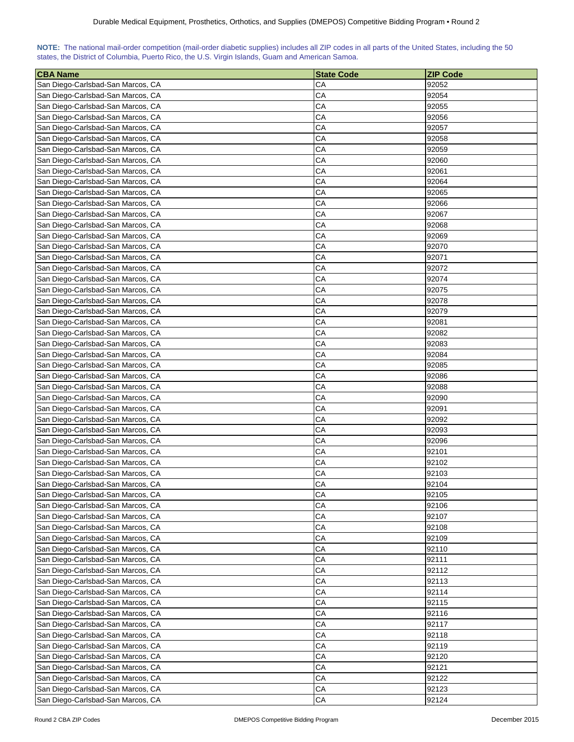| NOTE: The national mail-order competition (mail-order diabetic supplies) includes all ZIP codes in all parts of the United States, including the 50 |  |  |  |  |  |  |  |
|-----------------------------------------------------------------------------------------------------------------------------------------------------|--|--|--|--|--|--|--|
| states, the District of Columbia, Puerto Rico, the U.S. Virgin Islands, Guam and American Samoa.                                                    |  |  |  |  |  |  |  |

| <b>CBA Name</b>                   | <b>State Code</b> | <b>ZIP Code</b> |
|-----------------------------------|-------------------|-----------------|
| San Diego-Carlsbad-San Marcos, CA | CА                | 92052           |
| San Diego-Carlsbad-San Marcos, CA | CA                | 92054           |
| San Diego-Carlsbad-San Marcos, CA | CА                | 92055           |
| San Diego-Carlsbad-San Marcos, CA | CА                | 92056           |
| San Diego-Carlsbad-San Marcos, CA | CА                | 92057           |
| San Diego-Carlsbad-San Marcos, CA | CА                | 92058           |
| San Diego-Carlsbad-San Marcos, CA | CA                | 92059           |
| San Diego-Carlsbad-San Marcos, CA | CA                | 92060           |
| San Diego-Carlsbad-San Marcos, CA | CA                | 92061           |
| San Diego-Carlsbad-San Marcos, CA | CA                | 92064           |
| San Diego-Carlsbad-San Marcos, CA | CA                | 92065           |
| San Diego-Carlsbad-San Marcos, CA | CА                | 92066           |
| San Diego-Carlsbad-San Marcos, CA | CA                | 92067           |
| San Diego-Carlsbad-San Marcos, CA | CА                | 92068           |
| San Diego-Carlsbad-San Marcos, CA | CА                | 92069           |
| San Diego-Carlsbad-San Marcos, CA | CA                | 92070           |
| San Diego-Carlsbad-San Marcos, CA | CА                | 92071           |
| San Diego-Carlsbad-San Marcos, CA | CА                | 92072           |
| San Diego-Carlsbad-San Marcos, CA | CA                | 92074           |
| San Diego-Carlsbad-San Marcos, CA | CА                | 92075           |
| San Diego-Carlsbad-San Marcos, CA | CA                | 92078           |
| San Diego-Carlsbad-San Marcos, CA | CA                | 92079           |
| San Diego-Carlsbad-San Marcos, CA | CA                | 92081           |
| San Diego-Carlsbad-San Marcos, CA | CA                | 92082           |
| San Diego-Carlsbad-San Marcos, CA | CA                | 92083           |
| San Diego-Carlsbad-San Marcos, CA | CA                | 92084           |
| San Diego-Carlsbad-San Marcos, CA | CA                | 92085           |
| San Diego-Carlsbad-San Marcos, CA | СA                | 92086           |
| San Diego-Carlsbad-San Marcos, CA | CА                | 92088           |
| San Diego-Carlsbad-San Marcos, CA | CA                | 92090           |
| San Diego-Carlsbad-San Marcos, CA | CА                | 92091           |
| San Diego-Carlsbad-San Marcos, CA | CA                | 92092           |
| San Diego-Carlsbad-San Marcos, CA | CA                | 92093           |
| San Diego-Carlsbad-San Marcos, CA | CA                | 92096           |
| San Diego-Carlsbad-San Marcos, CA | CA                | 92101           |
| San Diego-Carlsbad-San Marcos, CA | CA                | 92102           |
| San Diego-Carlsbad-San Marcos, CA | СA                | 92103           |
| San Diego-Carlsbad-San Marcos, CA | CA                | 92104           |
| San Diego-Carlsbad-San Marcos, CA | CA                | 92105           |
| San Diego-Carlsbad-San Marcos, CA | CA                | 92106           |
| San Diego-Carlsbad-San Marcos, CA | CA                | 92107           |
| San Diego-Carlsbad-San Marcos, CA | CA                | 92108           |
| San Diego-Carlsbad-San Marcos, CA | CA                | 92109           |
| San Diego-Carlsbad-San Marcos, CA | CA                | 92110           |
| San Diego-Carlsbad-San Marcos, CA | CA                | 92111           |
| San Diego-Carlsbad-San Marcos, CA | CA                | 92112           |
| San Diego-Carlsbad-San Marcos, CA | CA                | 92113           |
| San Diego-Carlsbad-San Marcos, CA | CA                | 92114           |
| San Diego-Carlsbad-San Marcos, CA | CA                | 92115           |
| San Diego-Carlsbad-San Marcos, CA | CA                | 92116           |
| San Diego-Carlsbad-San Marcos, CA | CА                | 92117           |
| San Diego-Carlsbad-San Marcos, CA | CА                | 92118           |
| San Diego-Carlsbad-San Marcos, CA | CA                | 92119           |
| San Diego-Carlsbad-San Marcos, CA | CА                | 92120           |
| San Diego-Carlsbad-San Marcos, CA | CА                | 92121           |
| San Diego-Carlsbad-San Marcos, CA | СA                | 92122           |
| San Diego-Carlsbad-San Marcos, CA | СA                | 92123           |
| San Diego-Carlsbad-San Marcos, CA | ${\sf CA}$        | 92124           |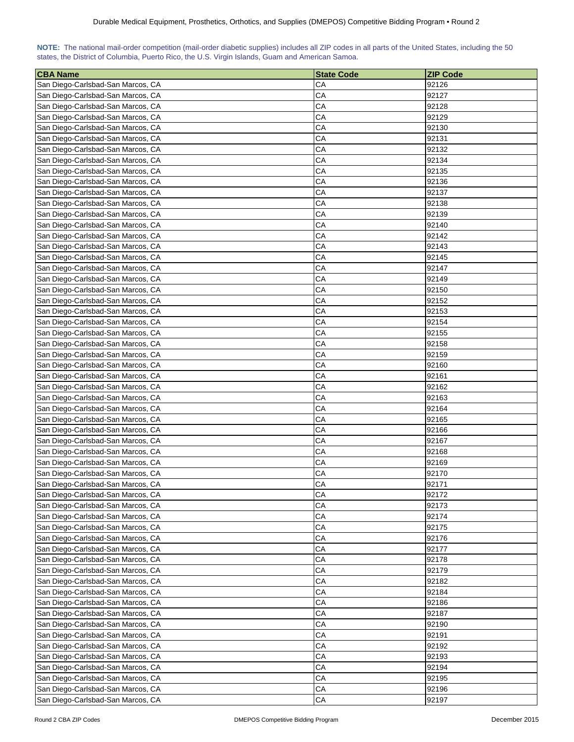| NOTE: The national mail-order competition (mail-order diabetic supplies) includes all ZIP codes in all parts of the United States, including the 50 |  |  |  |  |  |  |  |
|-----------------------------------------------------------------------------------------------------------------------------------------------------|--|--|--|--|--|--|--|
| states, the District of Columbia, Puerto Rico, the U.S. Virgin Islands, Guam and American Samoa.                                                    |  |  |  |  |  |  |  |

| <b>CBA Name</b>                                                        | <b>State Code</b> | <b>ZIP Code</b> |
|------------------------------------------------------------------------|-------------------|-----------------|
| San Diego-Carlsbad-San Marcos, CA                                      | CА                | 92126           |
| San Diego-Carlsbad-San Marcos, CA                                      | CA                | 92127           |
| San Diego-Carlsbad-San Marcos, CA                                      | CA                | 92128           |
| San Diego-Carlsbad-San Marcos, CA                                      | CA                | 92129           |
| San Diego-Carlsbad-San Marcos, CA                                      | CА                | 92130           |
| San Diego-Carlsbad-San Marcos, CA                                      | CA                | 92131           |
| San Diego-Carlsbad-San Marcos, CA                                      | CA                | 92132           |
| San Diego-Carlsbad-San Marcos, CA                                      | CA                | 92134           |
| San Diego-Carlsbad-San Marcos, CA                                      | CA                | 92135           |
| San Diego-Carlsbad-San Marcos, CA                                      | CA                | 92136           |
| San Diego-Carlsbad-San Marcos, CA                                      | CA                | 92137           |
| San Diego-Carlsbad-San Marcos, CA                                      | CA                | 92138           |
| San Diego-Carlsbad-San Marcos, CA                                      | CA                | 92139           |
| San Diego-Carlsbad-San Marcos, CA                                      | CA                | 92140           |
| San Diego-Carlsbad-San Marcos, CA                                      | CA                | 92142           |
| San Diego-Carlsbad-San Marcos, CA                                      | CА                | 92143           |
| San Diego-Carlsbad-San Marcos, CA                                      | CA                | 92145           |
| San Diego-Carlsbad-San Marcos, CA                                      | CA                | 92147           |
| San Diego-Carlsbad-San Marcos, CA                                      | CA                | 92149           |
| San Diego-Carlsbad-San Marcos, CA                                      | CA                | 92150           |
| San Diego-Carlsbad-San Marcos, CA                                      | CA                | 92152           |
| San Diego-Carlsbad-San Marcos, CA                                      | CA                | 92153           |
|                                                                        | CA                | 92154           |
| San Diego-Carlsbad-San Marcos, CA                                      | CA                |                 |
| San Diego-Carlsbad-San Marcos, CA                                      | CA                | 92155<br>92158  |
| San Diego-Carlsbad-San Marcos, CA                                      | CA                |                 |
| San Diego-Carlsbad-San Marcos, CA                                      |                   | 92159           |
| San Diego-Carlsbad-San Marcos, CA                                      | CA                | 92160           |
| San Diego-Carlsbad-San Marcos, CA                                      | CA                | 92161           |
| San Diego-Carlsbad-San Marcos, CA                                      | CA                | 92162           |
| San Diego-Carlsbad-San Marcos, CA<br>San Diego-Carlsbad-San Marcos, CA | CA<br>CA          | 92163<br>92164  |
|                                                                        | CA                |                 |
| San Diego-Carlsbad-San Marcos, CA<br>San Diego-Carlsbad-San Marcos, CA | СA                | 92165           |
| San Diego-Carlsbad-San Marcos, CA                                      | CA                | 92166<br>92167  |
| San Diego-Carlsbad-San Marcos, CA                                      | CA                | 92168           |
| San Diego-Carlsbad-San Marcos, CA                                      | CA                | 92169           |
| San Diego-Carlsbad-San Marcos, CA                                      | CA                | 92170           |
| San Diego-Carlsbad-San Marcos, CA                                      | CA                | 92171           |
| San Diego-Carlsbad-San Marcos, CA                                      | CA                | 92172           |
| San Diego-Carlsbad-San Marcos, CA                                      | CA                | 92173           |
| San Diego-Carlsbad-San Marcos, CA                                      | CA                | 92174           |
| San Diego-Carlsbad-San Marcos, CA                                      | CA                | 92175           |
|                                                                        | CA                | 92176           |
| San Diego-Carlsbad-San Marcos, CA                                      |                   |                 |
| San Diego-Carlsbad-San Marcos, CA<br>San Diego-Carlsbad-San Marcos, CA | CA<br>CA          | 92177<br>92178  |
| San Diego-Carlsbad-San Marcos, CA                                      | CA                | 92179           |
| San Diego-Carlsbad-San Marcos, CA                                      | CA                | 92182           |
| San Diego-Carlsbad-San Marcos, CA                                      | CA                | 92184           |
| San Diego-Carlsbad-San Marcos, CA                                      | СA                | 92186           |
|                                                                        |                   |                 |
| San Diego-Carlsbad-San Marcos, CA                                      | CА                | 92187           |
| San Diego-Carlsbad-San Marcos, CA                                      | CА                | 92190           |
| San Diego-Carlsbad-San Marcos, CA                                      | СA                | 92191<br>92192  |
| San Diego-Carlsbad-San Marcos, CA                                      | CА                | 92193           |
| San Diego-Carlsbad-San Marcos, CA                                      | CА                |                 |
| San Diego-Carlsbad-San Marcos, CA                                      | СA<br>CА          | 92194<br>92195  |
| San Diego-Carlsbad-San Marcos, CA<br>San Diego-Carlsbad-San Marcos, CA | СA                | 92196           |
| San Diego-Carlsbad-San Marcos, CA                                      | СA                | 92197           |
|                                                                        |                   |                 |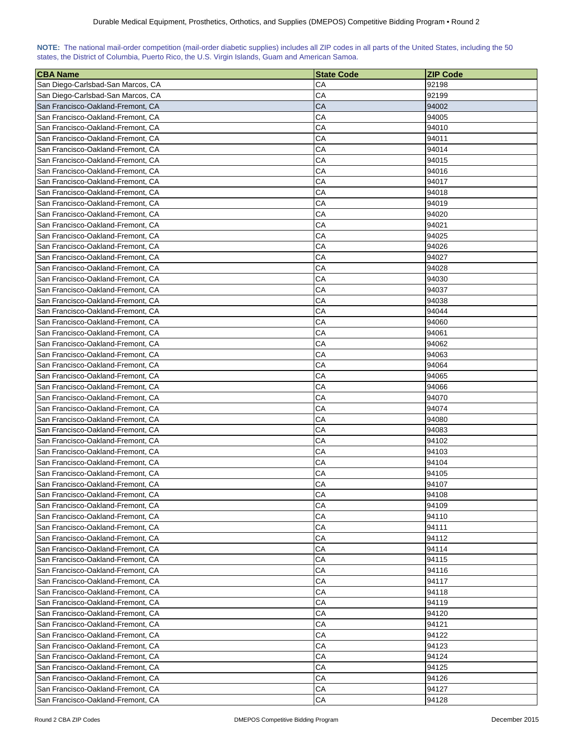| NOTE: The national mail-order competition (mail-order diabetic supplies) includes all ZIP codes in all parts of the United States, including the 50 |  |  |  |  |  |  |  |
|-----------------------------------------------------------------------------------------------------------------------------------------------------|--|--|--|--|--|--|--|
| states, the District of Columbia, Puerto Rico, the U.S. Virgin Islands, Guam and American Samoa.                                                    |  |  |  |  |  |  |  |

| <b>CBA Name</b>                   | <b>State Code</b> | <b>ZIP Code</b> |
|-----------------------------------|-------------------|-----------------|
| San Diego-Carlsbad-San Marcos, CA | CА                | 92198           |
| San Diego-Carlsbad-San Marcos, CA | CA                | 92199           |
| San Francisco-Oakland-Fremont, CA | CA                | 94002           |
| San Francisco-Oakland-Fremont, CA | CА                | 94005           |
| San Francisco-Oakland-Fremont, CA | CA                | 94010           |
| San Francisco-Oakland-Fremont, CA | CА                | 94011           |
| San Francisco-Oakland-Fremont, CA | CA                | 94014           |
| San Francisco-Oakland-Fremont, CA | CА                | 94015           |
| San Francisco-Oakland-Fremont, CA | CА                | 94016           |
| San Francisco-Oakland-Fremont, CA | CA                | 94017           |
| San Francisco-Oakland-Fremont, CA | CA                | 94018           |
| San Francisco-Oakland-Fremont, CA | CA                | 94019           |
| San Francisco-Oakland-Fremont, CA | CA                | 94020           |
| San Francisco-Oakland-Fremont, CA | CA                | 94021           |
| San Francisco-Oakland-Fremont, CA | СA                | 94025           |
| San Francisco-Oakland-Fremont, CA | СA                | 94026           |
| San Francisco-Oakland-Fremont, CA | CА                | 94027           |
| San Francisco-Oakland-Fremont, CA | CА                | 94028           |
| San Francisco-Oakland-Fremont, CA | CA                | 94030           |
| San Francisco-Oakland-Fremont, CA | CА                | 94037           |
| San Francisco-Oakland-Fremont, CA | CА                | 94038           |
| San Francisco-Oakland-Fremont, CA | CA                | 94044           |
| San Francisco-Oakland-Fremont, CA | CA                | 94060           |
| San Francisco-Oakland-Fremont, CA | CA                | 94061           |
| San Francisco-Oakland-Fremont, CA | CA                | 94062           |
| San Francisco-Oakland-Fremont, CA | CA                | 94063           |
| San Francisco-Oakland-Fremont, CA | CA                | 94064           |
| San Francisco-Oakland-Fremont, CA | СA                | 94065           |
| San Francisco-Oakland-Fremont, CA | СA                | 94066           |
| San Francisco-Oakland-Fremont, CA | CA                | 94070           |
| San Francisco-Oakland-Fremont, CA | СA                | 94074           |
| San Francisco-Oakland-Fremont, CA | CA                | 94080           |
| San Francisco-Oakland-Fremont, CA | СA                | 94083           |
| San Francisco-Oakland-Fremont, CA | СA                | 94102           |
| San Francisco-Oakland-Fremont, CA | CA                | 94103           |
| San Francisco-Oakland-Fremont, CA | CA                | 94104           |
| San Francisco-Oakland-Fremont, CA | CA                | 94105           |
| San Francisco-Oakland-Fremont, CA | CA                | 94107           |
| San Francisco-Oakland-Fremont, CA | CA                | 94108           |
| San Francisco-Oakland-Fremont, CA | CА                | 94109           |
| San Francisco-Oakland-Fremont, CA | CA                | 94110           |
| San Francisco-Oakland-Fremont, CA | CА                | 94111           |
| San Francisco-Oakland-Fremont, CA | CA                | 94112           |
| San Francisco-Oakland-Fremont, CA | CA                | 94114           |
| San Francisco-Oakland-Fremont, CA | СA                | 94115           |
| San Francisco-Oakland-Fremont, CA | CA                | 94116           |
| San Francisco-Oakland-Fremont, CA | CA                | 94117           |
| San Francisco-Oakland-Fremont, CA | CA                | 94118           |
| San Francisco-Oakland-Fremont, CA | CA                | 94119           |
| San Francisco-Oakland-Fremont, CA | CA                | 94120           |
| San Francisco-Oakland-Fremont, CA | CА                | 94121           |
| San Francisco-Oakland-Fremont, CA | CА                | 94122           |
| San Francisco-Oakland-Fremont, CA | CA                | 94123           |
| San Francisco-Oakland-Fremont, CA | СA                | 94124           |
| San Francisco-Oakland-Fremont, CA | СA                | 94125           |
| San Francisco-Oakland-Fremont, CA | СA                | 94126           |
| San Francisco-Oakland-Fremont, CA | CA                | 94127           |
| San Francisco-Oakland-Fremont, CA | CA                | 94128           |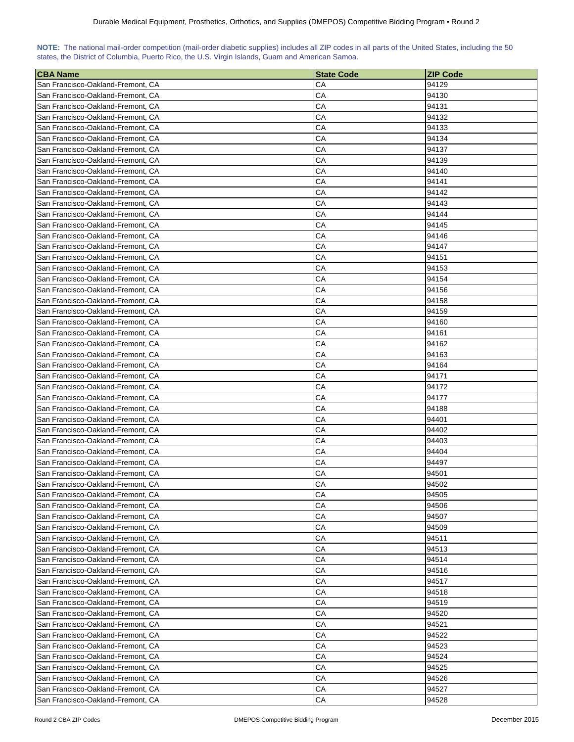| NOTE: The national mail-order competition (mail-order diabetic supplies) includes all ZIP codes in all parts of the United States, including the 50 |  |  |  |  |  |  |  |
|-----------------------------------------------------------------------------------------------------------------------------------------------------|--|--|--|--|--|--|--|
| states, the District of Columbia, Puerto Rico, the U.S. Virgin Islands, Guam and American Samoa.                                                    |  |  |  |  |  |  |  |

| <b>CBA Name</b>                                                        | <b>State Code</b> | <b>ZIP Code</b> |
|------------------------------------------------------------------------|-------------------|-----------------|
| San Francisco-Oakland-Fremont, CA                                      | CА                | 94129           |
| San Francisco-Oakland-Fremont, CA                                      | СA                | 94130           |
| San Francisco-Oakland-Fremont, CA                                      | CА                | 94131           |
| San Francisco-Oakland-Fremont, CA                                      | CА                | 94132           |
| San Francisco-Oakland-Fremont, CA                                      | CА                | 94133           |
| San Francisco-Oakland-Fremont, CA                                      | CA                | 94134           |
| San Francisco-Oakland-Fremont, CA                                      | CА                | 94137           |
| San Francisco-Oakland-Fremont, CA                                      | СA                | 94139           |
| San Francisco-Oakland-Fremont, CA                                      | CA                | 94140           |
| San Francisco-Oakland-Fremont, CA                                      | CА                | 94141           |
| San Francisco-Oakland-Fremont, CA                                      | CА                | 94142           |
| San Francisco-Oakland-Fremont, CA                                      | СA                | 94143           |
| San Francisco-Oakland-Fremont, CA                                      | СA                | 94144           |
| San Francisco-Oakland-Fremont, CA                                      | CА                | 94145           |
| San Francisco-Oakland-Fremont, CA                                      | СA                | 94146           |
| San Francisco-Oakland-Fremont, CA                                      | СA                | 94147           |
| San Francisco-Oakland-Fremont, CA                                      | СA                | 94151           |
| San Francisco-Oakland-Fremont, CA                                      | CA                | 94153           |
| San Francisco-Oakland-Fremont, CA                                      | CA                | 94154           |
| San Francisco-Oakland-Fremont, CA                                      | CА                | 94156           |
| San Francisco-Oakland-Fremont, CA                                      | СA                | 94158           |
| San Francisco-Oakland-Fremont, CA                                      | CА                | 94159           |
| San Francisco-Oakland-Fremont, CA                                      | CA                | 94160           |
|                                                                        | CА                | 94161           |
| San Francisco-Oakland-Fremont, CA<br>San Francisco-Oakland-Fremont, CA | СA                | 94162           |
| San Francisco-Oakland-Fremont, CA                                      | СA                | 94163           |
|                                                                        |                   |                 |
| San Francisco-Oakland-Fremont, CA                                      | CА<br>СA          | 94164<br>94171  |
| San Francisco-Oakland-Fremont, CA                                      |                   |                 |
| San Francisco-Oakland-Fremont, CA                                      | СA                | 94172           |
| San Francisco-Oakland-Fremont, CA<br>San Francisco-Oakland-Fremont, CA | CA<br>СA          | 94177<br>94188  |
| San Francisco-Oakland-Fremont, CA                                      | CА                |                 |
|                                                                        | CА                | 94401           |
| San Francisco-Oakland-Fremont, CA<br>San Francisco-Oakland-Fremont, CA | CA                | 94402<br>94403  |
| San Francisco-Oakland-Fremont, CA                                      | CA                | 94404           |
| San Francisco-Oakland-Fremont, CA                                      | СA                | 94497           |
| San Francisco-Oakland-Fremont, CA                                      | CA                | 94501           |
| San Francisco-Oakland-Fremont, CA                                      | CA                |                 |
|                                                                        |                   | 94502           |
| San Francisco-Oakland-Fremont, CA                                      | CA                | 94505           |
| San Francisco-Oakland-Fremont, CA                                      | CA                | 94506           |
| San Francisco-Oakland-Fremont, CA                                      | CA                | 94507           |
| San Francisco-Oakland-Fremont, CA                                      | СA                | 94509           |
| San Francisco-Oakland-Fremont, CA                                      | СA                | 94511           |
| San Francisco-Oakland-Fremont, CA                                      | CА                | 94513           |
| San Francisco-Oakland-Fremont, CA                                      | CА                | 94514           |
| San Francisco-Oakland-Fremont, CA                                      | CА                | 94516           |
| San Francisco-Oakland-Fremont, CA                                      | CA                | 94517           |
| San Francisco-Oakland-Fremont, CA                                      | CA                | 94518           |
| San Francisco-Oakland-Fremont, CA                                      | CA                | 94519           |
| San Francisco-Oakland-Fremont, CA                                      | CA                | 94520           |
| San Francisco-Oakland-Fremont, CA                                      | СA                | 94521           |
| San Francisco-Oakland-Fremont, CA                                      | CA                | 94522           |
| San Francisco-Oakland-Fremont, CA                                      | СA                | 94523           |
| San Francisco-Oakland-Fremont, CA                                      | СA                | 94524           |
| San Francisco-Oakland-Fremont, CA                                      | CA                | 94525           |
| San Francisco-Oakland-Fremont, CA                                      | СA                | 94526           |
| San Francisco-Oakland-Fremont, CA                                      | СA                | 94527           |
| San Francisco-Oakland-Fremont, CA                                      | CA                | 94528           |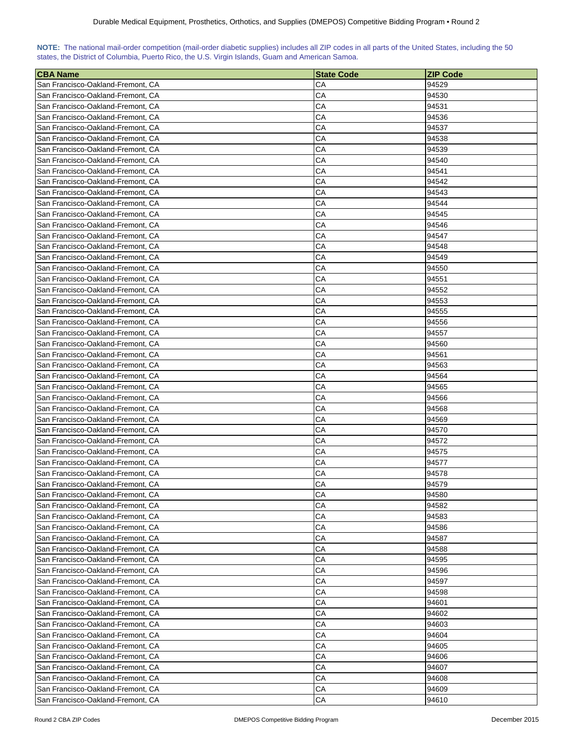| NOTE: The national mail-order competition (mail-order diabetic supplies) includes all ZIP codes in all parts of the United States, including the 50 |  |  |  |  |  |  |  |
|-----------------------------------------------------------------------------------------------------------------------------------------------------|--|--|--|--|--|--|--|
| states, the District of Columbia, Puerto Rico, the U.S. Virgin Islands, Guam and American Samoa.                                                    |  |  |  |  |  |  |  |

| <b>CBA Name</b>                                                        | <b>State Code</b> | <b>ZIP Code</b> |
|------------------------------------------------------------------------|-------------------|-----------------|
| San Francisco-Oakland-Fremont, CA                                      | CА                | 94529           |
| San Francisco-Oakland-Fremont, CA                                      | СA                | 94530           |
| San Francisco-Oakland-Fremont, CA                                      | CА                | 94531           |
| San Francisco-Oakland-Fremont, CA                                      | CА                | 94536           |
| San Francisco-Oakland-Fremont, CA                                      | CА                | 94537           |
| San Francisco-Oakland-Fremont, CA                                      | CA                | 94538           |
| San Francisco-Oakland-Fremont, CA                                      | CА                | 94539           |
| San Francisco-Oakland-Fremont, CA                                      | CА                | 94540           |
| San Francisco-Oakland-Fremont, CA                                      | CA                | 94541           |
| San Francisco-Oakland-Fremont, CA                                      | CА                | 94542           |
| San Francisco-Oakland-Fremont, CA                                      | CА                | 94543           |
| San Francisco-Oakland-Fremont, CA                                      | СA                | 94544           |
| San Francisco-Oakland-Fremont, CA                                      | СA                | 94545           |
| San Francisco-Oakland-Fremont, CA                                      | CА                | 94546           |
| San Francisco-Oakland-Fremont, CA                                      | СA                | 94547           |
| San Francisco-Oakland-Fremont, CA                                      | СA                | 94548           |
| San Francisco-Oakland-Fremont, CA                                      | СA                | 94549           |
| San Francisco-Oakland-Fremont, CA                                      | CA                | 94550           |
| San Francisco-Oakland-Fremont, CA                                      | CA                | 94551           |
| San Francisco-Oakland-Fremont, CA                                      | CА                | 94552           |
| San Francisco-Oakland-Fremont, CA                                      | СA                | 94553           |
| San Francisco-Oakland-Fremont, CA                                      | CА                | 94555           |
| San Francisco-Oakland-Fremont, CA                                      | CA                | 94556           |
|                                                                        | CА                | 94557           |
| San Francisco-Oakland-Fremont, CA<br>San Francisco-Oakland-Fremont, CA | СA                | 94560           |
| San Francisco-Oakland-Fremont, CA                                      | СA                | 94561           |
|                                                                        |                   |                 |
| San Francisco-Oakland-Fremont, CA                                      | CА<br>СA          | 94563           |
| San Francisco-Oakland-Fremont, CA                                      | СA                | 94564           |
| San Francisco-Oakland-Fremont, CA                                      | CA                | 94565           |
| San Francisco-Oakland-Fremont, CA<br>San Francisco-Oakland-Fremont, CA | СA                | 94566<br>94568  |
| San Francisco-Oakland-Fremont, CA                                      | CА                | 94569           |
| San Francisco-Oakland-Fremont, CA                                      | CА                | 94570           |
| San Francisco-Oakland-Fremont, CA                                      | CA                | 94572           |
| San Francisco-Oakland-Fremont, CA                                      | CA                | 94575           |
| San Francisco-Oakland-Fremont, CA                                      | СA                | 94577           |
| San Francisco-Oakland-Fremont, CA                                      | CA                | 94578           |
| San Francisco-Oakland-Fremont, CA                                      | CA                | 94579           |
| San Francisco-Oakland-Fremont, CA                                      | CA                | 94580           |
|                                                                        | CA                | 94582           |
| San Francisco-Oakland-Fremont, CA<br>San Francisco-Oakland-Fremont, CA | CA                | 94583           |
| San Francisco-Oakland-Fremont, CA                                      | CA                | 94586           |
|                                                                        | СA                | 94587           |
| San Francisco-Oakland-Fremont, CA                                      |                   |                 |
| San Francisco-Oakland-Fremont, CA                                      | CА                | 94588           |
| San Francisco-Oakland-Fremont, CA                                      | CА<br>СA          | 94595           |
| San Francisco-Oakland-Fremont, CA                                      | CA                | 94596           |
| San Francisco-Oakland-Fremont, CA                                      | CA                | 94597           |
| San Francisco-Oakland-Fremont, CA                                      |                   | 94598           |
| San Francisco-Oakland-Fremont, CA                                      | CA                | 94601           |
| San Francisco-Oakland-Fremont, CA                                      | CA                | 94602           |
| San Francisco-Oakland-Fremont, CA                                      | СA                | 94603           |
| San Francisco-Oakland-Fremont, CA                                      | CA                | 94604           |
| San Francisco-Oakland-Fremont, CA                                      | СA                | 94605           |
| San Francisco-Oakland-Fremont, CA                                      | СA                | 94606           |
| San Francisco-Oakland-Fremont, CA                                      | CA                | 94607           |
| San Francisco-Oakland-Fremont, CA                                      | СA                | 94608           |
| San Francisco-Oakland-Fremont, CA                                      | СA<br>CA          | 94609           |
| San Francisco-Oakland-Fremont, CA                                      |                   | 94610           |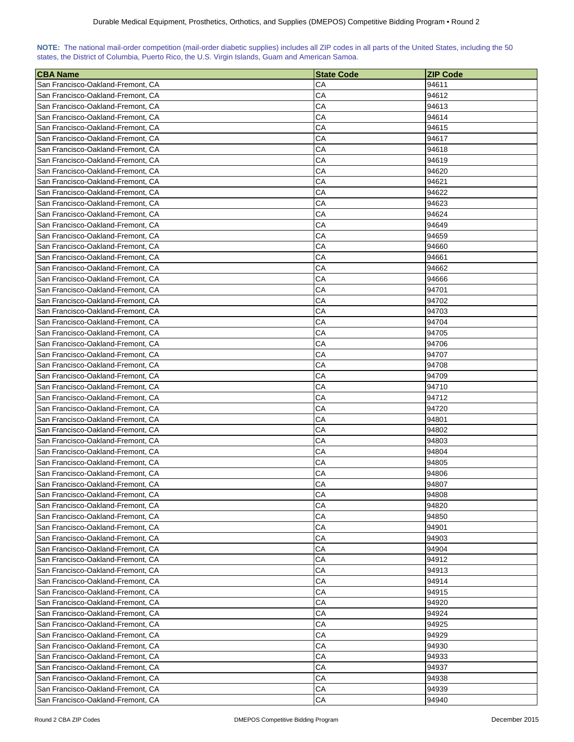| NOTE: The national mail-order competition (mail-order diabetic supplies) includes all ZIP codes in all parts of the United States, including the 50 |  |  |  |  |  |  |  |
|-----------------------------------------------------------------------------------------------------------------------------------------------------|--|--|--|--|--|--|--|
| states, the District of Columbia, Puerto Rico, the U.S. Virgin Islands, Guam and American Samoa.                                                    |  |  |  |  |  |  |  |

| <b>CBA Name</b>                   | <b>State Code</b> | <b>ZIP Code</b> |
|-----------------------------------|-------------------|-----------------|
| San Francisco-Oakland-Fremont, CA | CА                | 94611           |
| San Francisco-Oakland-Fremont, CA | СA                | 94612           |
| San Francisco-Oakland-Fremont, CA | СA                | 94613           |
| San Francisco-Oakland-Fremont, CA | СA                | 94614           |
| San Francisco-Oakland-Fremont, CA | СA                | 94615           |
| San Francisco-Oakland-Fremont, CA | CA                | 94617           |
| San Francisco-Oakland-Fremont, CA | СA                | 94618           |
| San Francisco-Oakland-Fremont, CA | CА                | 94619           |
| San Francisco-Oakland-Fremont, CA | CA                | 94620           |
| San Francisco-Oakland-Fremont, CA | CА                | 94621           |
| San Francisco-Oakland-Fremont, CA | CА                | 94622           |
| San Francisco-Oakland-Fremont, CA | СA                | 94623           |
| San Francisco-Oakland-Fremont, CA | СA                | 94624           |
| San Francisco-Oakland-Fremont, CA | СA                | 94649           |
| San Francisco-Oakland-Fremont, CA | СA                | 94659           |
| San Francisco-Oakland-Fremont, CA | СA                | 94660           |
| San Francisco-Oakland-Fremont, CA | СA                | 94661           |
| San Francisco-Oakland-Fremont, CA | CA                | 94662           |
| San Francisco-Oakland-Fremont, CA | CA                | 94666           |
| San Francisco-Oakland-Fremont, CA | CА                | 94701           |
| San Francisco-Oakland-Fremont, CA | СA                | 94702           |
| San Francisco-Oakland-Fremont, CA | CА                | 94703           |
| San Francisco-Oakland-Fremont, CA | CA                | 94704           |
| San Francisco-Oakland-Fremont, CA | CA                | 94705           |
| San Francisco-Oakland-Fremont, CA | СA                | 94706           |
| San Francisco-Oakland-Fremont, CA | СA                | 94707           |
| San Francisco-Oakland-Fremont, CA | СA                | 94708           |
| San Francisco-Oakland-Fremont, CA | СA                | 94709           |
| San Francisco-Oakland-Fremont, CA | СA                | 94710           |
| San Francisco-Oakland-Fremont, CA | CA                | 94712           |
| San Francisco-Oakland-Fremont, CA | СA                | 94720           |
| San Francisco-Oakland-Fremont, CA | СA                | 94801           |
| San Francisco-Oakland-Fremont, CA | CА                | 94802           |
| San Francisco-Oakland-Fremont, CA | CA                | 94803           |
| San Francisco-Oakland-Fremont, CA | CA                | 94804           |
| San Francisco-Oakland-Fremont, CA | СA                | 94805           |
| San Francisco-Oakland-Fremont, CA | CA                | 94806           |
| San Francisco-Oakland-Fremont, CA | CA                | 94807           |
| San Francisco-Oakland-Fremont, CA | CA                | 94808           |
| San Francisco-Oakland-Fremont, CA | CA                | 94820           |
| San Francisco-Oakland-Fremont, CA | CA                | 94850           |
| San Francisco-Oakland-Fremont, CA | CA                | 94901           |
| San Francisco-Oakland-Fremont, CA | СA                | 94903           |
| San Francisco-Oakland-Fremont, CA | CА                | 94904           |
| San Francisco-Oakland-Fremont, CA | CА                | 94912           |
| San Francisco-Oakland-Fremont, CA | CА                | 94913           |
| San Francisco-Oakland-Fremont, CA | CA                | 94914           |
| San Francisco-Oakland-Fremont, CA | CA                | 94915           |
| San Francisco-Oakland-Fremont, CA | CA                | 94920           |
| San Francisco-Oakland-Fremont, CA | CA                | 94924           |
| San Francisco-Oakland-Fremont, CA | СA                | 94925           |
| San Francisco-Oakland-Fremont, CA | CA                | 94929           |
| San Francisco-Oakland-Fremont, CA | СA                | 94930           |
| San Francisco-Oakland-Fremont, CA | СA                | 94933           |
| San Francisco-Oakland-Fremont, CA | CA                | 94937           |
| San Francisco-Oakland-Fremont, CA | СA                | 94938           |
| San Francisco-Oakland-Fremont, CA | СA                | 94939           |
| San Francisco-Oakland-Fremont, CA | CA                | 94940           |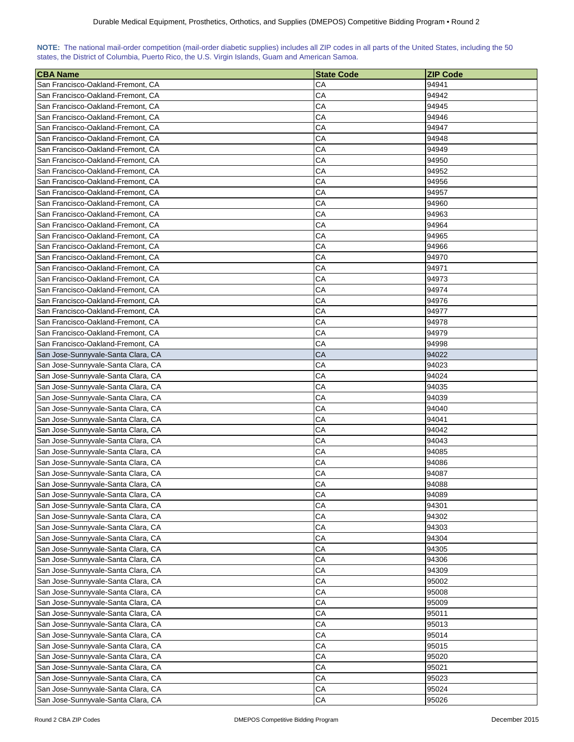| NOTE: The national mail-order competition (mail-order diabetic supplies) includes all ZIP codes in all parts of the United States, including the 50 |  |  |  |  |  |  |  |
|-----------------------------------------------------------------------------------------------------------------------------------------------------|--|--|--|--|--|--|--|
| states, the District of Columbia, Puerto Rico, the U.S. Virgin Islands, Guam and American Samoa.                                                    |  |  |  |  |  |  |  |

| <b>CBA Name</b>                    | <b>State Code</b> | <b>ZIP Code</b> |
|------------------------------------|-------------------|-----------------|
| San Francisco-Oakland-Fremont, CA  | CА                | 94941           |
| San Francisco-Oakland-Fremont, CA  | CА                | 94942           |
| San Francisco-Oakland-Fremont, CA  | CA                | 94945           |
| San Francisco-Oakland-Fremont, CA  | CA                | 94946           |
| San Francisco-Oakland-Fremont, CA  | CA                | 94947           |
| San Francisco-Oakland-Fremont, CA  | CA                | 94948           |
| San Francisco-Oakland-Fremont, CA  | CA                | 94949           |
| San Francisco-Oakland-Fremont, CA  |                   | 94950           |
| San Francisco-Oakland-Fremont, CA  | СA<br>CA          | 94952           |
|                                    | CA                |                 |
| San Francisco-Oakland-Fremont, CA  |                   | 94956           |
| San Francisco-Oakland-Fremont, CA  | CA                | 94957           |
| San Francisco-Oakland-Fremont, CA  | CA                | 94960           |
| San Francisco-Oakland-Fremont, CA  | CA                | 94963           |
| San Francisco-Oakland-Fremont, CA  | CA                | 94964           |
| San Francisco-Oakland-Fremont, CA  | CA                | 94965           |
| San Francisco-Oakland-Fremont, CA  | CA                | 94966           |
| San Francisco-Oakland-Fremont, CA  | CA                | 94970           |
| San Francisco-Oakland-Fremont, CA  | CA                | 94971           |
| San Francisco-Oakland-Fremont, CA  | CA                | 94973           |
| San Francisco-Oakland-Fremont, CA  | CA                | 94974           |
| San Francisco-Oakland-Fremont, CA  | CA                | 94976           |
| San Francisco-Oakland-Fremont, CA  | CA                | 94977           |
| San Francisco-Oakland-Fremont, CA  | CA                | 94978           |
| San Francisco-Oakland-Fremont, CA  | CA                | 94979           |
| San Francisco-Oakland-Fremont, CA  | CA                | 94998           |
| San Jose-Sunnyvale-Santa Clara, CA | CA                | 94022           |
| San Jose-Sunnyvale-Santa Clara, CA | CA                | 94023           |
| San Jose-Sunnyvale-Santa Clara, CA | CA                | 94024           |
| San Jose-Sunnyvale-Santa Clara, CA | CA                | 94035           |
| San Jose-Sunnyvale-Santa Clara, CA | CA                | 94039           |
| San Jose-Sunnyvale-Santa Clara, CA | CA                | 94040           |
| San Jose-Sunnyvale-Santa Clara, CA | CA                | 94041           |
| San Jose-Sunnyvale-Santa Clara, CA | CA                | 94042           |
| San Jose-Sunnyvale-Santa Clara, CA | CA                | 94043           |
| San Jose-Sunnyvale-Santa Clara, CA | CA                | 94085           |
| San Jose-Sunnyvale-Santa Clara, CA | CA                | 94086           |
| San Jose-Sunnyvale-Santa Clara, CA | CA                | 94087           |
| San Jose-Sunnyvale-Santa Clara, CA | CA                | 94088           |
| San Jose-Sunnyvale-Santa Clara, CA | CA                | 94089           |
| San Jose-Sunnyvale-Santa Clara, CA | CA                | 94301           |
| San Jose-Sunnyvale-Santa Clara, CA | CA                | 94302           |
| San Jose-Sunnyvale-Santa Clara, CA | CA                | 94303           |
| San Jose-Sunnyvale-Santa Clara, CA | CA                | 94304           |
| San Jose-Sunnyvale-Santa Clara, CA | CA                | 94305           |
| San Jose-Sunnyvale-Santa Clara, CA | CA                | 94306           |
| San Jose-Sunnyvale-Santa Clara, CA | ${\sf CA}$        | 94309           |
| San Jose-Sunnyvale-Santa Clara, CA | CA                | 95002           |
| San Jose-Sunnyvale-Santa Clara, CA | CА                | 95008           |
| San Jose-Sunnyvale-Santa Clara, CA | CA                | 95009           |
| San Jose-Sunnyvale-Santa Clara, CA | CA                | 95011           |
| San Jose-Sunnyvale-Santa Clara, CA | СA                | 95013           |
| San Jose-Sunnyvale-Santa Clara, CA | CA                | 95014           |
| San Jose-Sunnyvale-Santa Clara, CA | CA                | 95015           |
| San Jose-Sunnyvale-Santa Clara, CA | СA                | 95020           |
| San Jose-Sunnyvale-Santa Clara, CA | СA                | 95021           |
| San Jose-Sunnyvale-Santa Clara, CA | CA                | 95023           |
| San Jose-Sunnyvale-Santa Clara, CA | CA                | 95024           |
| San Jose-Sunnyvale-Santa Clara, CA | CA                | 95026           |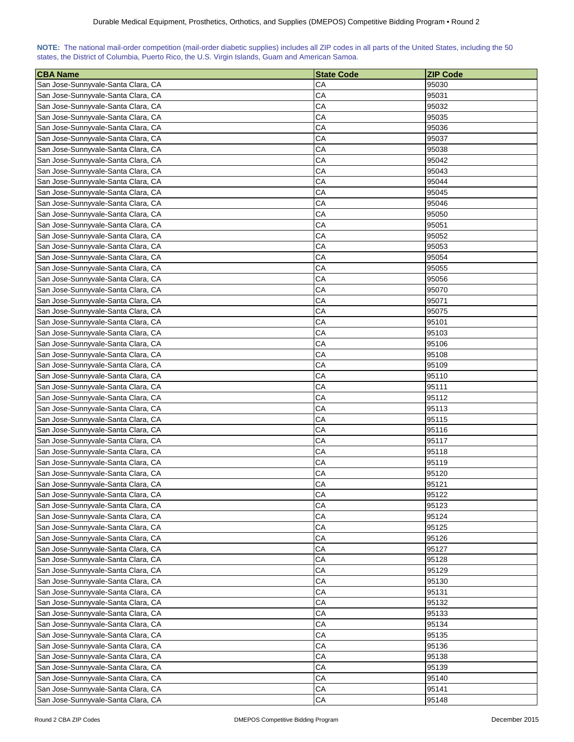| NOTE: The national mail-order competition (mail-order diabetic supplies) includes all ZIP codes in all parts of the United States, including the 50 |  |  |  |  |  |  |  |
|-----------------------------------------------------------------------------------------------------------------------------------------------------|--|--|--|--|--|--|--|
| states, the District of Columbia, Puerto Rico, the U.S. Virgin Islands, Guam and American Samoa.                                                    |  |  |  |  |  |  |  |

| <b>CBA Name</b>                    | <b>State Code</b> | <b>ZIP Code</b> |
|------------------------------------|-------------------|-----------------|
| San Jose-Sunnyvale-Santa Clara, CA | CA                | 95030           |
| San Jose-Sunnyvale-Santa Clara, CA | CA                | 95031           |
| San Jose-Sunnyvale-Santa Clara, CA | CA                | 95032           |
| San Jose-Sunnyvale-Santa Clara, CA | CA                | 95035           |
| San Jose-Sunnyvale-Santa Clara, CA | CA                | 95036           |
| San Jose-Sunnyvale-Santa Clara, CA | CA                | 95037           |
| San Jose-Sunnyvale-Santa Clara, CA | CA                | 95038           |
| San Jose-Sunnyvale-Santa Clara, CA | CA                | 95042           |
| San Jose-Sunnyvale-Santa Clara, CA | CA                | 95043           |
| San Jose-Sunnyvale-Santa Clara, CA | CA                | 95044           |
| San Jose-Sunnyvale-Santa Clara, CA | CA                | 95045           |
| San Jose-Sunnyvale-Santa Clara, CA | CA                | 95046           |
| San Jose-Sunnyvale-Santa Clara, CA | CA                | 95050           |
| San Jose-Sunnyvale-Santa Clara, CA | CA                | 95051           |
| San Jose-Sunnyvale-Santa Clara, CA | CA                | 95052           |
| San Jose-Sunnyvale-Santa Clara, CA | CA                | 95053           |
| San Jose-Sunnyvale-Santa Clara, CA | CA                | 95054           |
| San Jose-Sunnyvale-Santa Clara, CA | CA                | 95055           |
| San Jose-Sunnyvale-Santa Clara, CA | CA                | 95056           |
| San Jose-Sunnyvale-Santa Clara, CA | CA                | 95070           |
| San Jose-Sunnyvale-Santa Clara, CA | CA                | 95071           |
| San Jose-Sunnyvale-Santa Clara, CA | CA                | 95075           |
| San Jose-Sunnyvale-Santa Clara, CA | CA                | 95101           |
| San Jose-Sunnyvale-Santa Clara, CA | CA                | 95103           |
| San Jose-Sunnyvale-Santa Clara, CA | CA                | 95106           |
| San Jose-Sunnyvale-Santa Clara, CA | CA                | 95108           |
| San Jose-Sunnyvale-Santa Clara, CA | CA                | 95109           |
| San Jose-Sunnyvale-Santa Clara, CA | CA                | 95110           |
| San Jose-Sunnyvale-Santa Clara, CA | CA                | 95111           |
| San Jose-Sunnyvale-Santa Clara, CA | CA                | 95112           |
| San Jose-Sunnyvale-Santa Clara, CA | CA                | 95113           |
| San Jose-Sunnyvale-Santa Clara, CA | CA                | 95115           |
| San Jose-Sunnyvale-Santa Clara, CA | CA                | 95116           |
| San Jose-Sunnyvale-Santa Clara, CA | CA                | 95117           |
| San Jose-Sunnyvale-Santa Clara, CA | CA                | 95118           |
| San Jose-Sunnyvale-Santa Clara, CA | CA                | 95119           |
| San Jose-Sunnyvale-Santa Clara, CA | CA                | 95120           |
| San Jose-Sunnyvale-Santa Clara, CA | CA                | 95121           |
| San Jose-Sunnyvale-Santa Clara, CA | CA                | 95122           |
| San Jose-Sunnyvale-Santa Clara, CA | CA                | 95123           |
| San Jose-Sunnyvale-Santa Clara, CA | CA                | 95124           |
| San Jose-Sunnyvale-Santa Clara, CA | CA                | 95125           |
| San Jose-Sunnyvale-Santa Clara, CA | CA                | 95126           |
| San Jose-Sunnyvale-Santa Clara, CA | CA                | 95127           |
| San Jose-Sunnyvale-Santa Clara, CA | CA                | 95128           |
| San Jose-Sunnyvale-Santa Clara, CA | CA                | 95129           |
| San Jose-Sunnyvale-Santa Clara, CA | CA                | 95130           |
| San Jose-Sunnyvale-Santa Clara, CA | CA                | 95131           |
| San Jose-Sunnyvale-Santa Clara, CA | CA                | 95132           |
| San Jose-Sunnyvale-Santa Clara, CA | CA                | 95133           |
| San Jose-Sunnyvale-Santa Clara, CA | CA                | 95134           |
| San Jose-Sunnyvale-Santa Clara, CA | CA                | 95135           |
| San Jose-Sunnyvale-Santa Clara, CA | CA                | 95136           |
| San Jose-Sunnyvale-Santa Clara, CA | CA                | 95138           |
| San Jose-Sunnyvale-Santa Clara, CA | CA                | 95139           |
| San Jose-Sunnyvale-Santa Clara, CA | CA                | 95140           |
| San Jose-Sunnyvale-Santa Clara, CA | CA                | 95141           |
| San Jose-Sunnyvale-Santa Clara, CA | CA                | 95148           |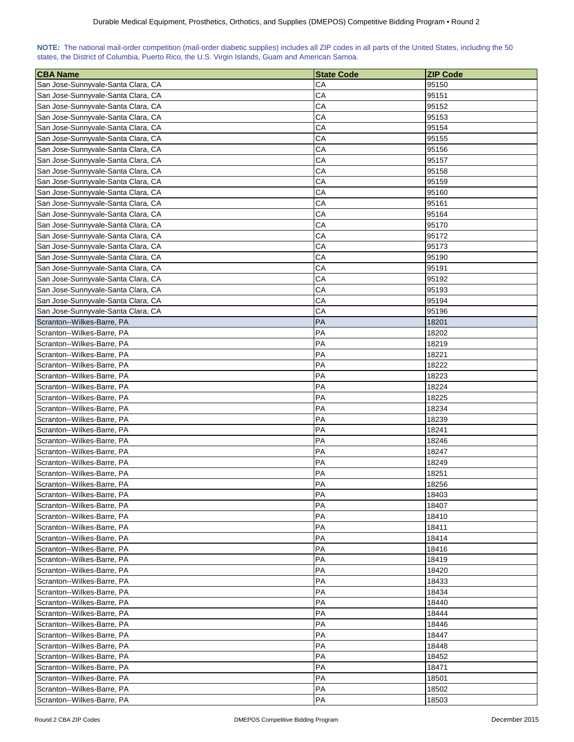| NOTE: The national mail-order competition (mail-order diabetic supplies) includes all ZIP codes in all parts of the United States, including the 50 |  |  |  |  |
|-----------------------------------------------------------------------------------------------------------------------------------------------------|--|--|--|--|
| states, the District of Columbia, Puerto Rico, the U.S. Virgin Islands, Guam and American Samoa.                                                    |  |  |  |  |

| <b>CBA Name</b>                                           | <b>State Code</b> | <b>ZIP Code</b> |
|-----------------------------------------------------------|-------------------|-----------------|
| San Jose-Sunnyvale-Santa Clara, CA                        | CA                | 95150           |
| San Jose-Sunnyvale-Santa Clara, CA                        | CA                | 95151           |
| San Jose-Sunnyvale-Santa Clara, CA                        | CA                | 95152           |
| San Jose-Sunnyvale-Santa Clara, CA                        | CA                | 95153           |
| San Jose-Sunnyvale-Santa Clara, CA                        | CA                | 95154           |
| San Jose-Sunnyvale-Santa Clara, CA                        | CA                | 95155           |
| San Jose-Sunnyvale-Santa Clara, CA                        | CA                | 95156           |
| San Jose-Sunnyvale-Santa Clara, CA                        | CA                | 95157           |
| San Jose-Sunnyvale-Santa Clara, CA                        | CA                | 95158           |
| San Jose-Sunnyvale-Santa Clara, CA                        | CA                | 95159           |
| San Jose-Sunnyvale-Santa Clara, CA                        | CA                | 95160           |
| San Jose-Sunnyvale-Santa Clara, CA                        | CA                | 95161           |
| San Jose-Sunnyvale-Santa Clara, CA                        | CA                | 95164           |
| San Jose-Sunnyvale-Santa Clara, CA                        | CA                | 95170           |
| San Jose-Sunnyvale-Santa Clara, CA                        | CA                | 95172           |
| San Jose-Sunnyvale-Santa Clara, CA                        | CA                | 95173           |
| San Jose-Sunnyvale-Santa Clara, CA                        | CA                | 95190           |
| San Jose-Sunnyvale-Santa Clara, CA                        | CA                | 95191           |
| San Jose-Sunnyvale-Santa Clara, CA                        | CA                | 95192           |
| San Jose-Sunnyvale-Santa Clara, CA                        | CA                | 95193           |
| San Jose-Sunnyvale-Santa Clara, CA                        | CA                | 95194           |
| San Jose-Sunnyvale-Santa Clara, CA                        | CA                | 95196           |
| Scranton--Wilkes-Barre, PA                                | PA                | 18201           |
| Scranton--Wilkes-Barre, PA                                | PA                | 18202           |
| Scranton--Wilkes-Barre, PA                                | PA                | 18219           |
| Scranton--Wilkes-Barre, PA                                | PA                | 18221           |
| Scranton--Wilkes-Barre, PA                                | PA                | 18222           |
| Scranton--Wilkes-Barre, PA                                | PA                | 18223           |
| Scranton--Wilkes-Barre, PA                                | PA                | 18224           |
| Scranton--Wilkes-Barre, PA                                | PA                | 18225           |
| Scranton--Wilkes-Barre, PA                                | PA                | 18234           |
| Scranton--Wilkes-Barre, PA                                | PA                | 18239           |
| Scranton--Wilkes-Barre, PA                                | PA                | 18241           |
| Scranton--Wilkes-Barre, PA                                | PA                | 18246           |
| Scranton--Wilkes-Barre, PA                                | PA                | 18247           |
| Scranton--Wilkes-Barre, PA                                | PA                | 18249           |
| Scranton--Wilkes-Barre, PA                                | PA                | 18251           |
| Scranton--Wilkes-Barre, PA                                | PA                | 18256           |
| Scranton--Wilkes-Barre, PA                                | PA                | 18403           |
| Scranton--Wilkes-Barre, PA                                | PA                | 18407           |
| Scranton--Wilkes-Barre, PA                                | PA                | 18410           |
| Scranton--Wilkes-Barre, PA                                | PA                | 18411           |
| Scranton--Wilkes-Barre, PA                                | PA                | 18414           |
| Scranton--Wilkes-Barre, PA                                | PA                | 18416           |
|                                                           | PA                |                 |
| Scranton--Wilkes-Barre, PA<br> Scranton--Wilkes-Barre, PA | PA                | 18419<br>18420  |
| Scranton--Wilkes-Barre, PA                                | PA                | 18433           |
| Scranton--Wilkes-Barre, PA                                | PA                | 18434           |
|                                                           | PA                | 18440           |
| Scranton--Wilkes-Barre, PA<br>Scranton--Wilkes-Barre, PA  | PA                | 18444           |
|                                                           | PA                | 18446           |
| Scranton--Wilkes-Barre, PA                                | PA                | 18447           |
| Scranton--Wilkes-Barre, PA                                |                   |                 |
| Scranton--Wilkes-Barre, PA                                | PA                | 18448           |
| Scranton--Wilkes-Barre, PA                                | PA                | 18452           |
| Scranton--Wilkes-Barre, PA                                | PA<br>PA          | 18471<br>18501  |
| Scranton--Wilkes-Barre, PA                                | PA                |                 |
| Scranton--Wilkes-Barre, PA<br>Scranton--Wilkes-Barre, PA  | PA                | 18502<br>18503  |
|                                                           |                   |                 |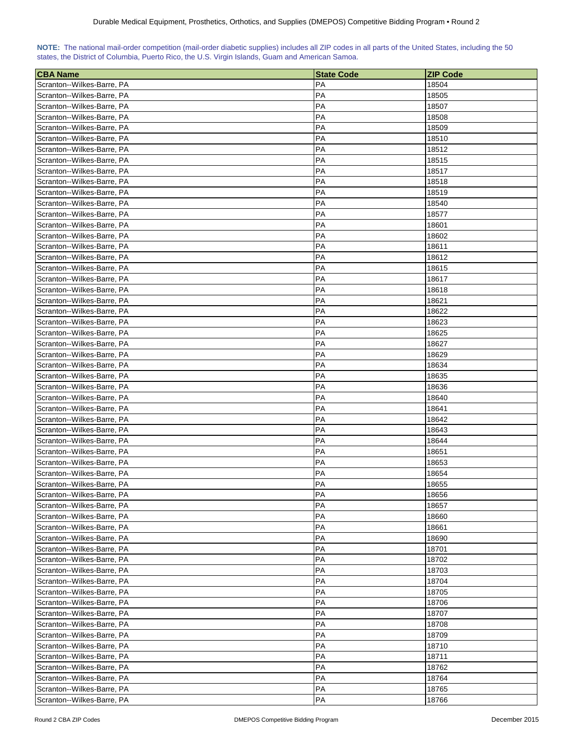| NOTE: The national mail-order competition (mail-order diabetic supplies) includes all ZIP codes in all parts of the United States, including the 50 |  |  |  |  |  |  |  |
|-----------------------------------------------------------------------------------------------------------------------------------------------------|--|--|--|--|--|--|--|
| states, the District of Columbia, Puerto Rico, the U.S. Virgin Islands, Guam and American Samoa.                                                    |  |  |  |  |  |  |  |

| <b>CBA Name</b>            | <b>State Code</b> | <b>ZIP Code</b> |
|----------------------------|-------------------|-----------------|
| Scranton--Wilkes-Barre, PA | <b>PA</b>         | 18504           |
| Scranton--Wilkes-Barre, PA | PA                | 18505           |
| Scranton--Wilkes-Barre, PA | PA                | 18507           |
| Scranton--Wilkes-Barre, PA | PA                | 18508           |
| Scranton--Wilkes-Barre, PA | PA                | 18509           |
| Scranton--Wilkes-Barre, PA | PA                | 18510           |
| Scranton--Wilkes-Barre, PA | PA                | 18512           |
| Scranton--Wilkes-Barre, PA | PA                | 18515           |
| Scranton--Wilkes-Barre, PA | PA                | 18517           |
| Scranton--Wilkes-Barre, PA | PA                | 18518           |
| Scranton--Wilkes-Barre, PA | PA                | 18519           |
| Scranton--Wilkes-Barre, PA | PA                | 18540           |
| Scranton--Wilkes-Barre, PA | PA                | 18577           |
| Scranton--Wilkes-Barre, PA | PA                | 18601           |
| Scranton--Wilkes-Barre, PA | PA                | 18602           |
| Scranton--Wilkes-Barre, PA | PA                | 18611           |
| Scranton--Wilkes-Barre, PA | PA                | 18612           |
| Scranton--Wilkes-Barre, PA | PA                | 18615           |
| Scranton--Wilkes-Barre, PA | PA                | 18617           |
| Scranton--Wilkes-Barre, PA | PA                | 18618           |
| Scranton--Wilkes-Barre, PA | PA                | 18621           |
| Scranton--Wilkes-Barre, PA | PA                | 18622           |
| Scranton--Wilkes-Barre, PA | PA                | 18623           |
| Scranton--Wilkes-Barre, PA | PA                | 18625           |
| Scranton--Wilkes-Barre, PA | PA                | 18627           |
| Scranton--Wilkes-Barre, PA | <b>PA</b>         | 18629           |
| Scranton--Wilkes-Barre, PA | PA                | 18634           |
| Scranton--Wilkes-Barre, PA | PA                | 18635           |
| Scranton--Wilkes-Barre, PA | PA                | 18636           |
| Scranton--Wilkes-Barre, PA | PA                | 18640           |
| Scranton--Wilkes-Barre, PA | PA                | 18641           |
| Scranton--Wilkes-Barre, PA | PA                | 18642           |
| Scranton--Wilkes-Barre, PA | PA                | 18643           |
| Scranton--Wilkes-Barre, PA | PA                | 18644           |
| Scranton--Wilkes-Barre, PA | PA                | 18651           |
| Scranton--Wilkes-Barre, PA | PA                | 18653           |
| Scranton--Wilkes-Barre, PA | PA                | 18654           |
| Scranton--Wilkes-Barre, PA | PA                | 18655           |
| Scranton--Wilkes-Barre, PA | PA                | 18656           |
| Scranton--Wilkes-Barre, PA | PA                | 18657           |
| Scranton--Wilkes-Barre, PA | PA                | 18660           |
| Scranton--Wilkes-Barre, PA | PA                | 18661           |
| Scranton--Wilkes-Barre, PA | PA                | 18690           |
| Scranton--Wilkes-Barre, PA | PA                | 18701           |
| Scranton--Wilkes-Barre, PA | PA                | 18702           |
| Scranton--Wilkes-Barre, PA | PA                | 18703           |
| Scranton--Wilkes-Barre, PA | PA                | 18704           |
| Scranton--Wilkes-Barre, PA | PA                | 18705           |
| Scranton--Wilkes-Barre, PA | PA                | 18706           |
| Scranton--Wilkes-Barre, PA | PA                | 18707           |
| Scranton--Wilkes-Barre, PA | PA                | 18708           |
| Scranton--Wilkes-Barre, PA | PA                | 18709           |
| Scranton--Wilkes-Barre, PA | PA                | 18710           |
| Scranton--Wilkes-Barre, PA | PA                | 18711           |
| Scranton--Wilkes-Barre, PA | PA                | 18762           |
| Scranton--Wilkes-Barre, PA | PA                | 18764           |
| Scranton--Wilkes-Barre, PA | PA                | 18765           |
| Scranton--Wilkes-Barre, PA | PA                | 18766           |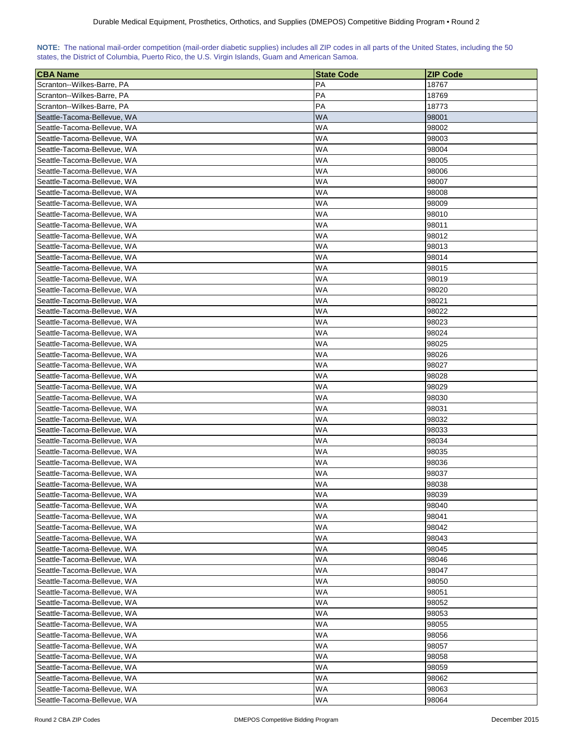| NOTE: The national mail-order competition (mail-order diabetic supplies) includes all ZIP codes in all parts of the United States, including the 50 |  |  |  |  |  |  |  |
|-----------------------------------------------------------------------------------------------------------------------------------------------------|--|--|--|--|--|--|--|
| states, the District of Columbia, Puerto Rico, the U.S. Virgin Islands, Guam and American Samoa.                                                    |  |  |  |  |  |  |  |

| <b>CBA Name</b>             | <b>State Code</b> | <b>IZIP Code</b> |
|-----------------------------|-------------------|------------------|
| Scranton--Wilkes-Barre, PA  | PA                | 18767            |
| Scranton--Wilkes-Barre, PA  | PA                | 18769            |
| Scranton--Wilkes-Barre, PA  | PA                | 18773            |
| Seattle-Tacoma-Bellevue, WA | WA                | 98001            |
| Seattle-Tacoma-Bellevue, WA | WA                | 98002            |
| Seattle-Tacoma-Bellevue, WA | WA                | 98003            |
| Seattle-Tacoma-Bellevue, WA | WA                | 98004            |
| Seattle-Tacoma-Bellevue, WA | WA                | 98005            |
| Seattle-Tacoma-Bellevue, WA | WA                | 98006            |
| Seattle-Tacoma-Bellevue, WA | WA                | 98007            |
| Seattle-Tacoma-Bellevue, WA | WA                | 98008            |
| Seattle-Tacoma-Bellevue, WA | WA                | 98009            |
| Seattle-Tacoma-Bellevue, WA | WA                | 98010            |
| Seattle-Tacoma-Bellevue, WA | WA                | 98011            |
| Seattle-Tacoma-Bellevue, WA | WA                | 98012            |
| Seattle-Tacoma-Bellevue, WA | WA                | 98013            |
| Seattle-Tacoma-Bellevue, WA | WA                | 98014            |
| Seattle-Tacoma-Bellevue, WA | WA                | 98015            |
| Seattle-Tacoma-Bellevue, WA | WA                | 98019            |
| Seattle-Tacoma-Bellevue, WA | WA                | 98020            |
| Seattle-Tacoma-Bellevue, WA | WA                | 98021            |
| Seattle-Tacoma-Bellevue, WA | WA                | 98022            |
| Seattle-Tacoma-Bellevue, WA | WA                | 98023            |
| Seattle-Tacoma-Bellevue, WA | WA                | 98024            |
| Seattle-Tacoma-Bellevue, WA | WA                | 98025            |
| Seattle-Tacoma-Bellevue, WA | WA                | 98026            |
| Seattle-Tacoma-Bellevue, WA | WA                | 98027            |
| Seattle-Tacoma-Bellevue, WA | WA                | 98028            |
| Seattle-Tacoma-Bellevue, WA | WA                | 98029            |
| Seattle-Tacoma-Bellevue, WA | WA                | 98030            |
| Seattle-Tacoma-Bellevue, WA | WA                | 98031            |
| Seattle-Tacoma-Bellevue, WA | WA                | 98032            |
| Seattle-Tacoma-Bellevue, WA | WA                | 98033            |
| Seattle-Tacoma-Bellevue, WA | WA                | 98034            |
| Seattle-Tacoma-Bellevue, WA | WA                | 98035            |
| Seattle-Tacoma-Bellevue, WA | WA                | 98036            |
| Seattle-Tacoma-Bellevue, WA | WA                | 98037            |
| Seattle-Tacoma-Bellevue, WA | WA                | 98038            |
| Seattle-Tacoma-Bellevue, WA | WA                | 98039            |
| Seattle-Tacoma-Bellevue, WA | WA                | 98040            |
| Seattle-Tacoma-Bellevue, WA | WA                | 98041            |
| Seattle-Tacoma-Bellevue, WA | WA                | 98042            |
| Seattle-Tacoma-Bellevue, WA | WA                | 98043            |
| Seattle-Tacoma-Bellevue, WA | WA                | 98045            |
| Seattle-Tacoma-Bellevue, WA | WA                | 98046            |
| Seattle-Tacoma-Bellevue, WA | WA                | 98047            |
| Seattle-Tacoma-Bellevue, WA | WA                | 98050            |
| Seattle-Tacoma-Bellevue, WA | WA                | 98051            |
| Seattle-Tacoma-Bellevue, WA | WA                | 98052            |
| Seattle-Tacoma-Bellevue, WA | WA                | 98053            |
| Seattle-Tacoma-Bellevue, WA | WA                | 98055            |
| Seattle-Tacoma-Bellevue, WA | WA                | 98056            |
| Seattle-Tacoma-Bellevue, WA | WA                | 98057            |
| Seattle-Tacoma-Bellevue, WA | WA                | 98058            |
| Seattle-Tacoma-Bellevue, WA | WA                | 98059            |
| Seattle-Tacoma-Bellevue, WA | WA                | 98062            |
| Seattle-Tacoma-Bellevue, WA | WA                | 98063            |
| Seattle-Tacoma-Bellevue, WA | WA                | 98064            |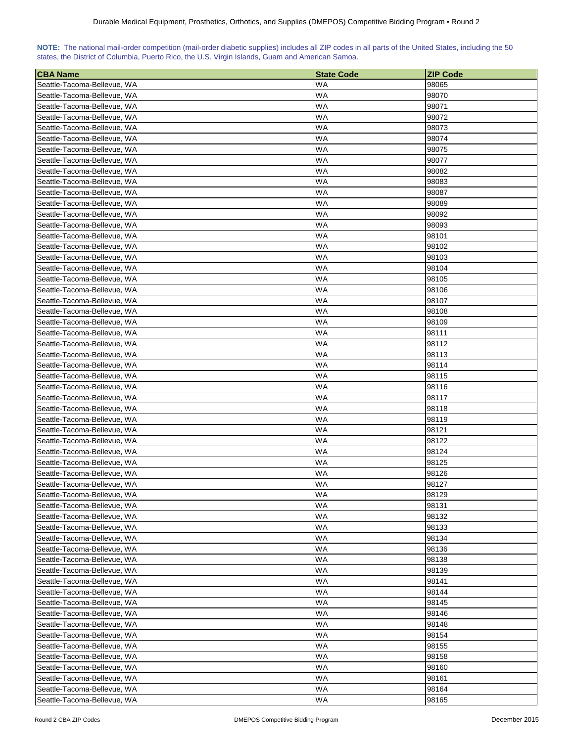| NOTE: The national mail-order competition (mail-order diabetic supplies) includes all ZIP codes in all parts of the United States, including the 50 |  |  |  |  |  |  |  |
|-----------------------------------------------------------------------------------------------------------------------------------------------------|--|--|--|--|--|--|--|
| states, the District of Columbia, Puerto Rico, the U.S. Virgin Islands, Guam and American Samoa.                                                    |  |  |  |  |  |  |  |

| <b>CBA Name</b>                                            | <b>State Code</b> | <b>ZIP Code</b> |
|------------------------------------------------------------|-------------------|-----------------|
| Seattle-Tacoma-Bellevue, WA                                | WA                | 98065           |
| Seattle-Tacoma-Bellevue, WA                                | WA                | 98070           |
| Seattle-Tacoma-Bellevue, WA                                | WA                | 98071           |
| Seattle-Tacoma-Bellevue, WA                                | WA                | 98072           |
| Seattle-Tacoma-Bellevue, WA                                | WA                | 98073           |
| Seattle-Tacoma-Bellevue, WA                                | WA                | 98074           |
| Seattle-Tacoma-Bellevue, WA                                | WA                | 98075           |
| Seattle-Tacoma-Bellevue, WA                                | WA                | 98077           |
| Seattle-Tacoma-Bellevue, WA                                | WA                | 98082           |
| Seattle-Tacoma-Bellevue, WA                                | WA                | 98083           |
| Seattle-Tacoma-Bellevue, WA                                | WA                | 98087           |
| Seattle-Tacoma-Bellevue, WA                                | WA                | 98089           |
| Seattle-Tacoma-Bellevue, WA                                | WA                | 98092           |
| Seattle-Tacoma-Bellevue, WA                                | WA                | 98093           |
| Seattle-Tacoma-Bellevue, WA                                | WA                | 98101           |
| Seattle-Tacoma-Bellevue, WA                                | WA                | 98102           |
| Seattle-Tacoma-Bellevue, WA                                | WA                | 98103           |
| Seattle-Tacoma-Bellevue, WA                                | WA                | 98104           |
| Seattle-Tacoma-Bellevue, WA                                | WA                | 98105           |
|                                                            | WA                | 98106           |
| Seattle-Tacoma-Bellevue, WA                                |                   |                 |
| Seattle-Tacoma-Bellevue, WA                                | WA                | 98107           |
| Seattle-Tacoma-Bellevue, WA                                | WA                | 98108           |
| Seattle-Tacoma-Bellevue, WA                                | WA                | 98109           |
| Seattle-Tacoma-Bellevue, WA                                | WA                | 98111           |
| Seattle-Tacoma-Bellevue, WA                                | WA                | 98112           |
| Seattle-Tacoma-Bellevue, WA                                | WA                | 98113           |
| Seattle-Tacoma-Bellevue, WA                                | WA                | 98114           |
| Seattle-Tacoma-Bellevue, WA                                | WA                | 98115           |
| Seattle-Tacoma-Bellevue, WA                                | WA                | 98116           |
| Seattle-Tacoma-Bellevue, WA                                | WA                | 98117           |
| Seattle-Tacoma-Bellevue, WA                                | WA                | 98118           |
| Seattle-Tacoma-Bellevue, WA                                | WA                | 98119           |
| Seattle-Tacoma-Bellevue, WA                                | WA                | 98121           |
| Seattle-Tacoma-Bellevue, WA                                | WA                | 98122           |
| Seattle-Tacoma-Bellevue, WA                                | WA                | 98124           |
| Seattle-Tacoma-Bellevue, WA                                | WA                | 98125           |
| Seattle-Tacoma-Bellevue, WA                                | WA                | 98126           |
| Seattle-Tacoma-Bellevue, WA                                | WA                | 98127           |
| Seattle-Tacoma-Bellevue, WA                                | WA                | 98129           |
| Seattle-Tacoma-Bellevue, WA                                | WA                | 98131           |
| Seattle-Tacoma-Bellevue, WA                                | WA                | 98132           |
| Seattle-Tacoma-Bellevue, WA                                | WA                | 98133           |
| Seattle-Tacoma-Bellevue, WA                                | WA                | 98134           |
| Seattle-Tacoma-Bellevue, WA                                | WA.               | 98136           |
| Seattle-Tacoma-Bellevue, WA                                | WA                | 98138           |
| Seattle-Tacoma-Bellevue, WA                                | WA                | 98139           |
|                                                            |                   |                 |
| Seattle-Tacoma-Bellevue, WA<br>Seattle-Tacoma-Bellevue, WA | WA                | 98141           |
|                                                            | WA                | 98144           |
| Seattle-Tacoma-Bellevue, WA                                | WA                | 98145           |
| Seattle-Tacoma-Bellevue, WA                                | WA                | 98146           |
| Seattle-Tacoma-Bellevue, WA                                | <b>WA</b>         | 98148           |
| Seattle-Tacoma-Bellevue, WA                                | WA                | 98154           |
| Seattle-Tacoma-Bellevue, WA                                | <b>WA</b>         | 98155           |
| Seattle-Tacoma-Bellevue, WA                                | <b>WA</b>         | 98158           |
| Seattle-Tacoma-Bellevue, WA                                | WA                | 98160           |
| Seattle-Tacoma-Bellevue, WA                                | WA                | 98161           |
| Seattle-Tacoma-Bellevue, WA                                | WA                | 98164           |
| Seattle-Tacoma-Bellevue, WA                                | WA                | 98165           |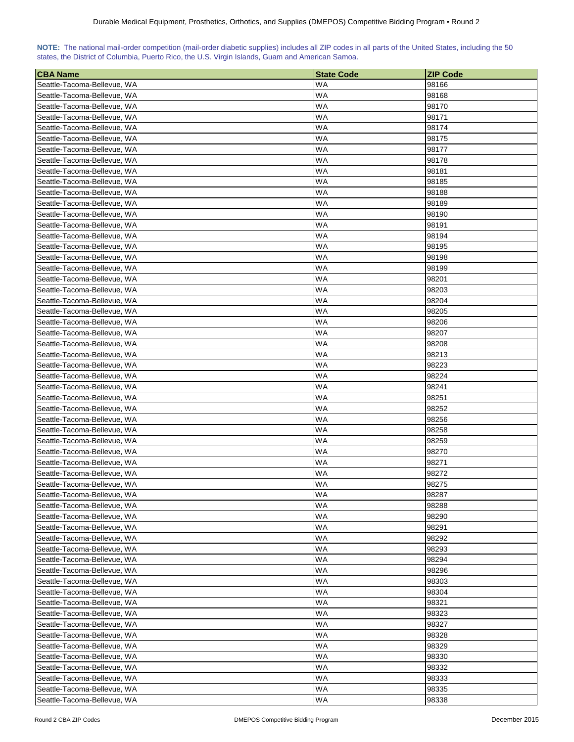| NOTE: The national mail-order competition (mail-order diabetic supplies) includes all ZIP codes in all parts of the United States, including the 50 |  |  |  |  |  |  |  |
|-----------------------------------------------------------------------------------------------------------------------------------------------------|--|--|--|--|--|--|--|
| states, the District of Columbia, Puerto Rico, the U.S. Virgin Islands, Guam and American Samoa.                                                    |  |  |  |  |  |  |  |

| <b>CBA Name</b>             | <b>State Code</b> | <b>ZIP Code</b> |
|-----------------------------|-------------------|-----------------|
| Seattle-Tacoma-Bellevue, WA | WA                | 98166           |
| Seattle-Tacoma-Bellevue, WA | WA                | 98168           |
| Seattle-Tacoma-Bellevue, WA | WA                | 98170           |
| Seattle-Tacoma-Bellevue, WA | WA                | 98171           |
| Seattle-Tacoma-Bellevue, WA | WA                | 98174           |
| Seattle-Tacoma-Bellevue, WA | WA                | 98175           |
| Seattle-Tacoma-Bellevue, WA | WA                | 98177           |
| Seattle-Tacoma-Bellevue, WA | WA                | 98178           |
| Seattle-Tacoma-Bellevue, WA | WA                | 98181           |
| Seattle-Tacoma-Bellevue, WA | WA                | 98185           |
| Seattle-Tacoma-Bellevue, WA | WA                | 98188           |
| Seattle-Tacoma-Bellevue, WA | WA                | 98189           |
| Seattle-Tacoma-Bellevue, WA | WA                | 98190           |
| Seattle-Tacoma-Bellevue, WA | WA                | 98191           |
| Seattle-Tacoma-Bellevue, WA | WA                | 98194           |
| Seattle-Tacoma-Bellevue, WA | WA                | 98195           |
| Seattle-Tacoma-Bellevue, WA | WA                | 98198           |
| Seattle-Tacoma-Bellevue, WA | WA                | 98199           |
| Seattle-Tacoma-Bellevue, WA | WA                | 98201           |
| Seattle-Tacoma-Bellevue, WA | WA                | 98203           |
| Seattle-Tacoma-Bellevue, WA | WA                | 98204           |
|                             |                   |                 |
| Seattle-Tacoma-Bellevue, WA | WA                | 98205           |
| Seattle-Tacoma-Bellevue, WA | WA                | 98206           |
| Seattle-Tacoma-Bellevue, WA | WA                | 98207           |
| Seattle-Tacoma-Bellevue, WA | WA                | 98208           |
| Seattle-Tacoma-Bellevue, WA | WA                | 98213           |
| Seattle-Tacoma-Bellevue, WA | WA                | 98223           |
| Seattle-Tacoma-Bellevue, WA | WA                | 98224           |
| Seattle-Tacoma-Bellevue, WA | WA                | 98241           |
| Seattle-Tacoma-Bellevue, WA | WA                | 98251           |
| Seattle-Tacoma-Bellevue, WA | WA                | 98252           |
| Seattle-Tacoma-Bellevue, WA | WA                | 98256           |
| Seattle-Tacoma-Bellevue, WA | WA                | 98258           |
| Seattle-Tacoma-Bellevue, WA | WA                | 98259           |
| Seattle-Tacoma-Bellevue, WA | WA                | 98270           |
| Seattle-Tacoma-Bellevue, WA | WA                | 98271           |
| Seattle-Tacoma-Bellevue, WA | WA                | 98272           |
| Seattle-Tacoma-Bellevue, WA | WA                | 98275           |
| Seattle-Tacoma-Bellevue, WA | WA                | 98287           |
| Seattle-Tacoma-Bellevue, WA | WA                | 98288           |
| Seattle-Tacoma-Bellevue, WA | WA                | 98290           |
| Seattle-Tacoma-Bellevue, WA | WA                | 98291           |
| Seattle-Tacoma-Bellevue, WA | WA                | 98292           |
| Seattle-Tacoma-Bellevue, WA | WA.               | 98293           |
| Seattle-Tacoma-Bellevue, WA | WA                | 98294           |
| Seattle-Tacoma-Bellevue, WA | WA                | 98296           |
| Seattle-Tacoma-Bellevue, WA | WA                | 98303           |
| Seattle-Tacoma-Bellevue, WA | WA                | 98304           |
| Seattle-Tacoma-Bellevue, WA | WA                | 98321           |
| Seattle-Tacoma-Bellevue, WA | WA                | 98323           |
| Seattle-Tacoma-Bellevue, WA | <b>WA</b>         | 98327           |
| Seattle-Tacoma-Bellevue, WA | WA                | 98328           |
| Seattle-Tacoma-Bellevue, WA | <b>WA</b>         | 98329           |
| Seattle-Tacoma-Bellevue, WA | <b>WA</b>         | 98330           |
| Seattle-Tacoma-Bellevue, WA | WA                | 98332           |
| Seattle-Tacoma-Bellevue, WA | WA                | 98333           |
| Seattle-Tacoma-Bellevue, WA | WA.               | 98335           |
| Seattle-Tacoma-Bellevue, WA | WA                | 98338           |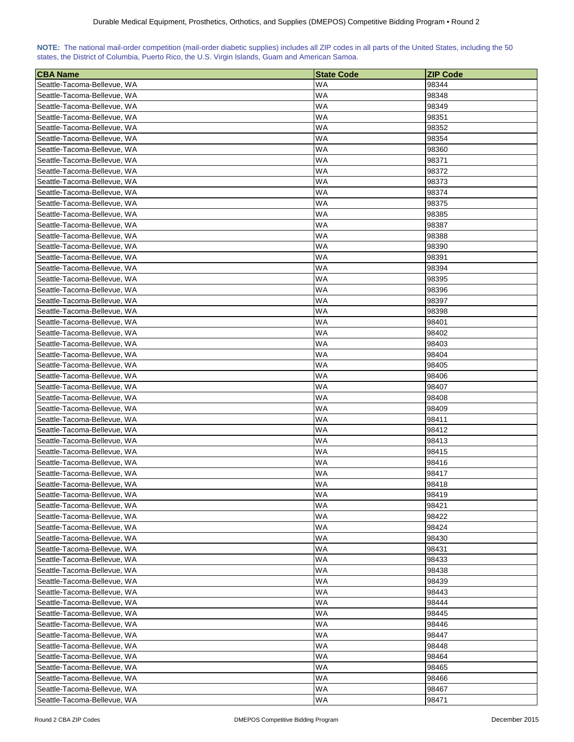| NOTE: The national mail-order competition (mail-order diabetic supplies) includes all ZIP codes in all parts of the United States, including the 50 |  |  |  |  |  |  |  |
|-----------------------------------------------------------------------------------------------------------------------------------------------------|--|--|--|--|--|--|--|
| states, the District of Columbia, Puerto Rico, the U.S. Virgin Islands, Guam and American Samoa.                                                    |  |  |  |  |  |  |  |

| <b>CBA Name</b>                                            | <b>State Code</b> | <b>ZIP Code</b> |
|------------------------------------------------------------|-------------------|-----------------|
| Seattle-Tacoma-Bellevue, WA                                | WA                | 98344           |
| Seattle-Tacoma-Bellevue, WA                                | WA                | 98348           |
| Seattle-Tacoma-Bellevue, WA                                | WA                | 98349           |
| Seattle-Tacoma-Bellevue, WA                                | WA                | 98351           |
| Seattle-Tacoma-Bellevue, WA                                | WA                | 98352           |
| Seattle-Tacoma-Bellevue, WA                                | WA                | 98354           |
| Seattle-Tacoma-Bellevue, WA                                | WA                | 98360           |
| Seattle-Tacoma-Bellevue, WA                                | WA                | 98371           |
| Seattle-Tacoma-Bellevue, WA                                | WA                | 98372           |
| Seattle-Tacoma-Bellevue, WA                                | WA                | 98373           |
| Seattle-Tacoma-Bellevue, WA                                | WA                | 98374           |
| Seattle-Tacoma-Bellevue, WA                                | WA                | 98375           |
| Seattle-Tacoma-Bellevue, WA                                | WA                | 98385           |
| Seattle-Tacoma-Bellevue, WA                                | WA                | 98387           |
| Seattle-Tacoma-Bellevue, WA                                | WA                | 98388           |
| Seattle-Tacoma-Bellevue, WA                                | WA                | 98390           |
| Seattle-Tacoma-Bellevue, WA                                | WA                | 98391           |
| Seattle-Tacoma-Bellevue, WA                                | WA                | 98394           |
| Seattle-Tacoma-Bellevue, WA                                | WA                | 98395           |
| Seattle-Tacoma-Bellevue, WA                                | WA                | 98396           |
| Seattle-Tacoma-Bellevue, WA                                | WA                | 98397           |
| Seattle-Tacoma-Bellevue, WA                                | WA                | 98398           |
| Seattle-Tacoma-Bellevue, WA                                | WA                | 98401           |
| Seattle-Tacoma-Bellevue, WA                                | WA                | 98402           |
| Seattle-Tacoma-Bellevue, WA                                | WA                | 98403           |
| Seattle-Tacoma-Bellevue, WA                                | WA                | 98404           |
|                                                            | WA                |                 |
| Seattle-Tacoma-Bellevue, WA                                |                   | 98405           |
| Seattle-Tacoma-Bellevue, WA                                | WA<br>WA          | 98406<br>98407  |
| Seattle-Tacoma-Bellevue, WA<br>Seattle-Tacoma-Bellevue, WA | WA                | 98408           |
| Seattle-Tacoma-Bellevue, WA                                | WA                | 98409           |
| Seattle-Tacoma-Bellevue, WA                                | WA                | 98411           |
| Seattle-Tacoma-Bellevue, WA                                | WA                | 98412           |
| Seattle-Tacoma-Bellevue, WA                                | WA                | 98413           |
|                                                            | WA                | 98415           |
| Seattle-Tacoma-Bellevue, WA<br>Seattle-Tacoma-Bellevue, WA | WA                |                 |
|                                                            |                   | 98416           |
| Seattle-Tacoma-Bellevue, WA                                | WA<br>WA          | 98417           |
| Seattle-Tacoma-Bellevue, WA                                | WA                | 98418<br>98419  |
| Seattle-Tacoma-Bellevue, WA                                |                   |                 |
| Seattle-Tacoma-Bellevue, WA<br>Seattle-Tacoma-Bellevue, WA | WA                | 98421           |
|                                                            | WA                | 98422<br>98424  |
| Seattle-Tacoma-Bellevue, WA                                | WA                |                 |
| Seattle-Tacoma-Bellevue, WA                                | WA                | 98430           |
| Seattle-Tacoma-Bellevue, WA                                | WA.               | 98431           |
| Seattle-Tacoma-Bellevue, WA                                | WA                | 98433           |
| Seattle-Tacoma-Bellevue, WA                                | WA                | 98438           |
| Seattle-Tacoma-Bellevue, WA                                | <b>WA</b>         | 98439           |
| Seattle-Tacoma-Bellevue, WA                                | WA                | 98443           |
| Seattle-Tacoma-Bellevue, WA                                | WA                | 98444           |
| Seattle-Tacoma-Bellevue, WA                                | WA                | 98445           |
| Seattle-Tacoma-Bellevue, WA                                | <b>WA</b>         | 98446           |
| Seattle-Tacoma-Bellevue, WA                                | WA                | 98447           |
| Seattle-Tacoma-Bellevue, WA                                | <b>WA</b>         | 98448           |
| Seattle-Tacoma-Bellevue, WA                                | <b>WA</b>         | 98464           |
| Seattle-Tacoma-Bellevue, WA                                | WA                | 98465           |
| Seattle-Tacoma-Bellevue, WA                                | WA                | 98466           |
| Seattle-Tacoma-Bellevue, WA                                | WA.               | 98467           |
| Seattle-Tacoma-Bellevue, WA                                | WA                | 98471           |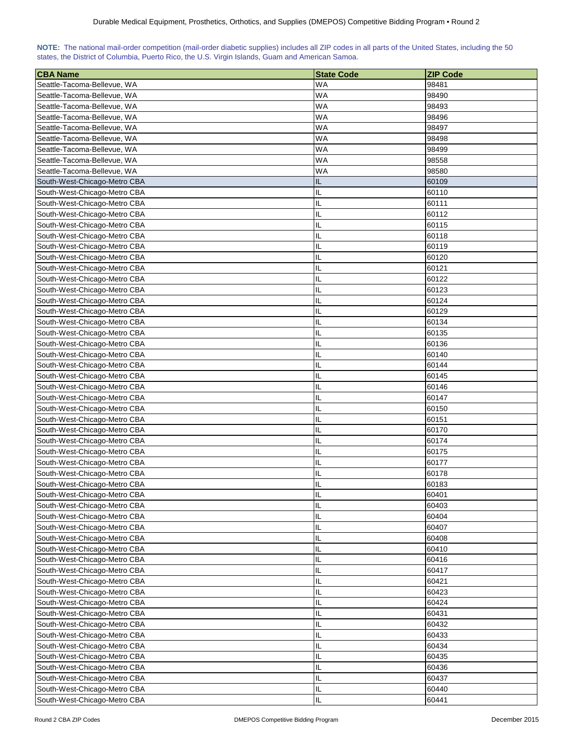| NOTE: The national mail-order competition (mail-order diabetic supplies) includes all ZIP codes in all parts of the United States, including the 50 |  |  |  |  |  |  |  |
|-----------------------------------------------------------------------------------------------------------------------------------------------------|--|--|--|--|--|--|--|
| states, the District of Columbia, Puerto Rico, the U.S. Virgin Islands, Guam and American Samoa.                                                    |  |  |  |  |  |  |  |

| <b>CBA Name</b>              | <b>State Code</b> | <b>ZIP Code</b> |
|------------------------------|-------------------|-----------------|
| Seattle-Tacoma-Bellevue, WA  | <b>WA</b>         | 98481           |
| Seattle-Tacoma-Bellevue, WA  | <b>WA</b>         | 98490           |
| Seattle-Tacoma-Bellevue, WA  | <b>WA</b>         | 98493           |
| Seattle-Tacoma-Bellevue, WA  | <b>WA</b>         | 98496           |
| Seattle-Tacoma-Bellevue, WA  | <b>WA</b>         | 98497           |
| Seattle-Tacoma-Bellevue, WA  | <b>WA</b>         | 98498           |
| Seattle-Tacoma-Bellevue, WA  | <b>WA</b>         | 98499           |
| Seattle-Tacoma-Bellevue, WA  | WA                | 98558           |
| Seattle-Tacoma-Bellevue, WA  | WA                | 98580           |
| South-West-Chicago-Metro CBA | IL                | 60109           |
| South-West-Chicago-Metro CBA | IL                | 60110           |
| South-West-Chicago-Metro CBA | IL                | 60111           |
| South-West-Chicago-Metro CBA | IL                | 60112           |
| South-West-Chicago-Metro CBA | IL                | 60115           |
| South-West-Chicago-Metro CBA | IL                | 60118           |
| South-West-Chicago-Metro CBA | IL                | 60119           |
| South-West-Chicago-Metro CBA | IL                | 60120           |
| South-West-Chicago-Metro CBA | IL                | 60121           |
| South-West-Chicago-Metro CBA | IL                | 60122           |
| South-West-Chicago-Metro CBA | IL                | 60123           |
| South-West-Chicago-Metro CBA | IL                | 60124           |
| South-West-Chicago-Metro CBA | IL                | 60129           |
| South-West-Chicago-Metro CBA | IL                |                 |
| South-West-Chicago-Metro CBA | IL                | 60134<br>60135  |
|                              |                   |                 |
| South-West-Chicago-Metro CBA | IL                | 60136           |
| South-West-Chicago-Metro CBA | IL                | 60140           |
| South-West-Chicago-Metro CBA | IL                | 60144           |
| South-West-Chicago-Metro CBA | IL                | 60145           |
| South-West-Chicago-Metro CBA | IL                | 60146           |
| South-West-Chicago-Metro CBA | IL                | 60147           |
| South-West-Chicago-Metro CBA | IL                | 60150           |
| South-West-Chicago-Metro CBA | IL                | 60151           |
| South-West-Chicago-Metro CBA | IL                | 60170           |
| South-West-Chicago-Metro CBA | IL                | 60174           |
| South-West-Chicago-Metro CBA | IL                | 60175           |
| South-West-Chicago-Metro CBA | IL                | 60177           |
| South-West-Chicago-Metro CBA | IL                | 60178           |
| South-West-Chicago-Metro CBA | IL                | 60183           |
| South-West-Chicago-Metro CBA | IL                | 60401           |
| South-West-Chicago-Metro CBA | IL                | 60403           |
| South-West-Chicago-Metro CBA | IL                | 60404           |
| South-West-Chicago-Metro CBA | IL                | 60407           |
| South-West-Chicago-Metro CBA | IL                | 60408           |
| South-West-Chicago-Metro CBA | IL                | 60410           |
| South-West-Chicago-Metro CBA | IL                | 60416           |
| South-West-Chicago-Metro CBA | IL                | 60417           |
| South-West-Chicago-Metro CBA | IL                | 60421           |
| South-West-Chicago-Metro CBA | IL                | 60423           |
| South-West-Chicago-Metro CBA | IL                | 60424           |
| South-West-Chicago-Metro CBA | IL                | 60431           |
| South-West-Chicago-Metro CBA | IL                | 60432           |
| South-West-Chicago-Metro CBA | IL                | 60433           |
| South-West-Chicago-Metro CBA | IL                | 60434           |
| South-West-Chicago-Metro CBA | IL                | 60435           |
| South-West-Chicago-Metro CBA | IL                | 60436           |
| South-West-Chicago-Metro CBA | IL                | 60437           |
| South-West-Chicago-Metro CBA | IL                | 60440           |
| South-West-Chicago-Metro CBA | IL                | 60441           |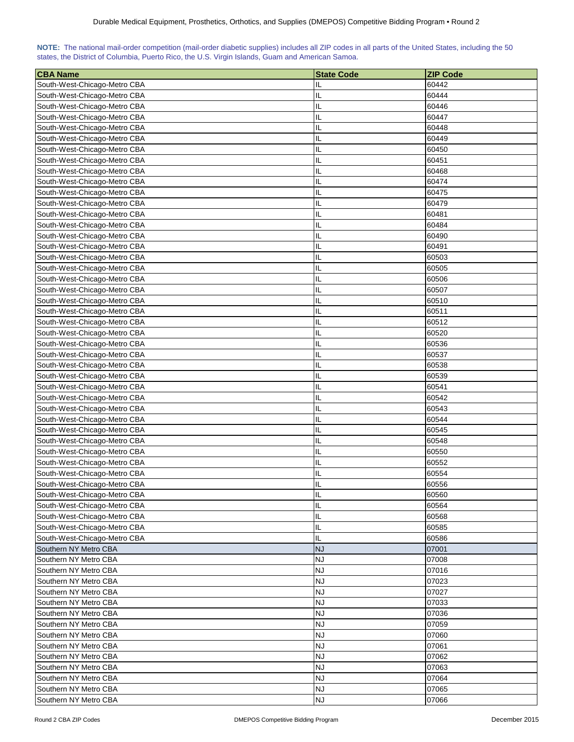| NOTE: The national mail-order competition (mail-order diabetic supplies) includes all ZIP codes in all parts of the United States, including the 50 |  |  |  |  |  |  |  |
|-----------------------------------------------------------------------------------------------------------------------------------------------------|--|--|--|--|--|--|--|
| states, the District of Columbia, Puerto Rico, the U.S. Virgin Islands, Guam and American Samoa.                                                    |  |  |  |  |  |  |  |

| <b>CBA Name</b>              | <b>State Code</b> | <b>ZIP Code</b> |
|------------------------------|-------------------|-----------------|
| South-West-Chicago-Metro CBA | IL                | 60442           |
| South-West-Chicago-Metro CBA | IL                | 60444           |
| South-West-Chicago-Metro CBA | IL                | 60446           |
| South-West-Chicago-Metro CBA | IL                | 60447           |
| South-West-Chicago-Metro CBA | IL                | 60448           |
| South-West-Chicago-Metro CBA | IL                | 60449           |
| South-West-Chicago-Metro CBA | IL                | 60450           |
| South-West-Chicago-Metro CBA | IL                | 60451           |
| South-West-Chicago-Metro CBA | IL                | 60468           |
| South-West-Chicago-Metro CBA | IL                | 60474           |
| South-West-Chicago-Metro CBA | IL                | 60475           |
| South-West-Chicago-Metro CBA | IL                | 60479           |
|                              |                   | 60481           |
| South-West-Chicago-Metro CBA | IL                |                 |
| South-West-Chicago-Metro CBA | IL                | 60484           |
| South-West-Chicago-Metro CBA | IL                | 60490           |
| South-West-Chicago-Metro CBA | IL                | 60491           |
| South-West-Chicago-Metro CBA | IL                | 60503           |
| South-West-Chicago-Metro CBA | IL                | 60505           |
| South-West-Chicago-Metro CBA | IL                | 60506           |
| South-West-Chicago-Metro CBA | IL                | 60507           |
| South-West-Chicago-Metro CBA | IL                | 60510           |
| South-West-Chicago-Metro CBA | IL                | 60511           |
| South-West-Chicago-Metro CBA | IL                | 60512           |
| South-West-Chicago-Metro CBA | IL                | 60520           |
| South-West-Chicago-Metro CBA | IL                | 60536           |
| South-West-Chicago-Metro CBA | IL                | 60537           |
| South-West-Chicago-Metro CBA | IL                | 60538           |
| South-West-Chicago-Metro CBA | IL                | 60539           |
| South-West-Chicago-Metro CBA | IL                | 60541           |
| South-West-Chicago-Metro CBA | IL                | 60542           |
| South-West-Chicago-Metro CBA | IL                | 60543           |
| South-West-Chicago-Metro CBA | IL                | 60544           |
| South-West-Chicago-Metro CBA | IL                | 60545           |
| South-West-Chicago-Metro CBA | IL                | 60548           |
| South-West-Chicago-Metro CBA | IL                | 60550           |
| South-West-Chicago-Metro CBA | IL                | 60552           |
| South-West-Chicago-Metro CBA | IL                | 60554           |
| South-West-Chicago-Metro CBA | П                 | 60556           |
| South-West-Chicago-Metro CBA | IL                | 60560           |
| South-West-Chicago-Metro CBA | IL                | 60564           |
| South-West-Chicago-Metro CBA | IL                | 60568           |
| South-West-Chicago-Metro CBA | IL                | 60585           |
| South-West-Chicago-Metro CBA | IL.               | 60586           |
| Southern NY Metro CBA        | <b>NJ</b>         | 07001           |
| Southern NY Metro CBA        | <b>NJ</b>         | 07008           |
| Southern NY Metro CBA        | <b>NJ</b>         | 07016           |
| Southern NY Metro CBA        | NJ                | 07023           |
| Southern NY Metro CBA        | <b>NJ</b>         | 07027           |
| Southern NY Metro CBA        | NJ                | 07033           |
| Southern NY Metro CBA        | <b>NJ</b>         | 07036           |
| Southern NY Metro CBA        | <b>NJ</b>         | 07059           |
| Southern NY Metro CBA        | NJ                | 07060           |
| Southern NY Metro CBA        | NJ                | 07061           |
| Southern NY Metro CBA        | NJ                | 07062           |
| Southern NY Metro CBA        | <b>NJ</b>         | 07063           |
| Southern NY Metro CBA        | <b>NJ</b>         | 07064           |
| Southern NY Metro CBA        | <b>NJ</b>         | 07065           |
| Southern NY Metro CBA        | <b>NJ</b>         | 07066           |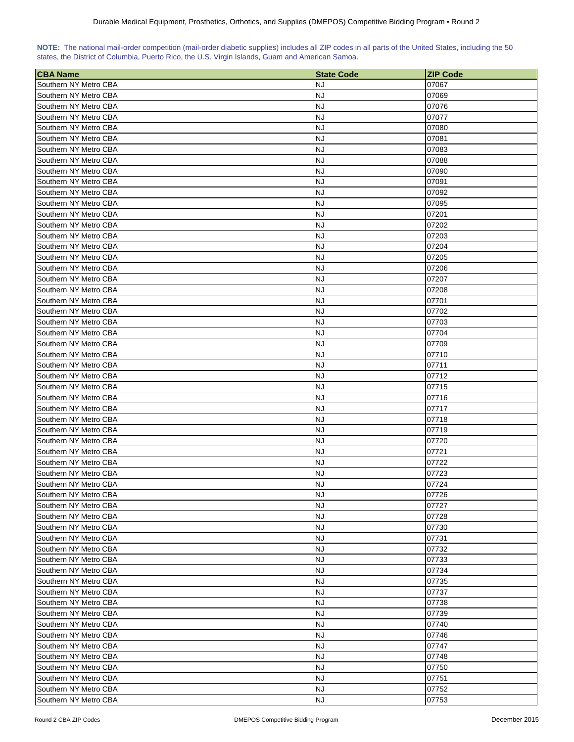| NOTE: The national mail-order competition (mail-order diabetic supplies) includes all ZIP codes in all parts of the United States, including the 50 |  |  |  |  |  |  |
|-----------------------------------------------------------------------------------------------------------------------------------------------------|--|--|--|--|--|--|
| states, the District of Columbia, Puerto Rico, the U.S. Virgin Islands, Guam and American Samoa.                                                    |  |  |  |  |  |  |

| <b>CBA</b> Name       | <b>State Code</b> | <b>ZIP Code</b> |
|-----------------------|-------------------|-----------------|
| Southern NY Metro CBA | NJ                | 07067           |
| Southern NY Metro CBA | NJ                | 07069           |
| Southern NY Metro CBA | <b>NJ</b>         | 07076           |
| Southern NY Metro CBA | <b>NJ</b>         | 07077           |
| Southern NY Metro CBA | <b>NJ</b>         | 07080           |
| Southern NY Metro CBA | <b>NJ</b>         | 07081           |
| Southern NY Metro CBA | NJ                | 07083           |
| Southern NY Metro CBA | NJ                | 07088           |
| Southern NY Metro CBA | NJ                | 07090           |
| Southern NY Metro CBA | NJ                | 07091           |
| Southern NY Metro CBA | NJ                | 07092           |
| Southern NY Metro CBA | NJ                | 07095           |
| Southern NY Metro CBA | NJ                | 07201           |
| Southern NY Metro CBA | NJ                | 07202           |
| Southern NY Metro CBA | NJ                | 07203           |
| Southern NY Metro CBA | NJ                | 07204           |
| Southern NY Metro CBA | <b>NJ</b>         | 07205           |
| Southern NY Metro CBA | NJ                | 07206           |
| Southern NY Metro CBA | NJ                | 07207           |
| Southern NY Metro CBA | <b>NJ</b>         | 07208           |
| Southern NY Metro CBA | NJ                | 07701           |
|                       |                   |                 |
| Southern NY Metro CBA | NJ                | 07702           |
| Southern NY Metro CBA | <b>NJ</b>         | 07703           |
| Southern NY Metro CBA | NJ                | 07704           |
| Southern NY Metro CBA | NJ                | 07709           |
| Southern NY Metro CBA | NJ                | 07710           |
| Southern NY Metro CBA | NJ                | 07711           |
| Southern NY Metro CBA | <b>NJ</b>         | 07712           |
| Southern NY Metro CBA | <b>NJ</b>         | 07715           |
| Southern NY Metro CBA | NJ                | 07716           |
| Southern NY Metro CBA | <b>NJ</b>         | 07717           |
| Southern NY Metro CBA | NJ                | 07718           |
| Southern NY Metro CBA | NJ                | 07719           |
| Southern NY Metro CBA | NJ                | 07720           |
| Southern NY Metro CBA | NJ                | 07721           |
| Southern NY Metro CBA | NJ                | 07722           |
| Southern NY Metro CBA | NJ                | 07723           |
| Southern NY Metro CBA | <b>NJ</b>         | 07724           |
| Southern NY Metro CBA | <b>NJ</b>         | 07726           |
| Southern NY Metro CBA | NJ                | 07727           |
| Southern NY Metro CBA | <b>NJ</b>         | 07728           |
| Southern NY Metro CBA | <b>NJ</b>         | 07730           |
| Southern NY Metro CBA | NJ                | 07731           |
| Southern NY Metro CBA | <b>NJ</b>         | 07732           |
| Southern NY Metro CBA | NJ                | 07733           |
| Southern NY Metro CBA | NJ                | 07734           |
| Southern NY Metro CBA | <b>NJ</b>         | 07735           |
| Southern NY Metro CBA | <b>NJ</b>         | 07737           |
| Southern NY Metro CBA | NJ                | 07738           |
| Southern NY Metro CBA | NJ                | 07739           |
| Southern NY Metro CBA |                   |                 |
| Southern NY Metro CBA | NJ<br>NJ          | 07740           |
|                       |                   | 07746           |
| Southern NY Metro CBA | <b>NJ</b>         | 07747           |
| Southern NY Metro CBA | <b>NJ</b>         | 07748           |
| Southern NY Metro CBA | <b>NJ</b>         | 07750           |
| Southern NY Metro CBA | <b>NJ</b>         | 07751           |
| Southern NY Metro CBA | <b>NJ</b>         | 07752           |
| Southern NY Metro CBA | NJ                | 07753           |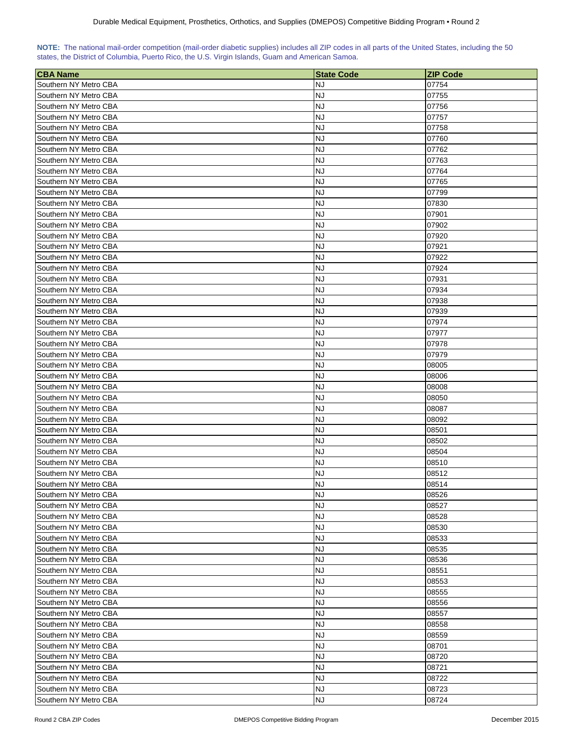| NOTE: The national mail-order competition (mail-order diabetic supplies) includes all ZIP codes in all parts of the United States, including the 50 |  |  |  |  |  |  |
|-----------------------------------------------------------------------------------------------------------------------------------------------------|--|--|--|--|--|--|
| states, the District of Columbia, Puerto Rico, the U.S. Virgin Islands, Guam and American Samoa.                                                    |  |  |  |  |  |  |

| <b>CBA Name</b>       | <b>State Code</b> | <b>ZIP Code</b> |
|-----------------------|-------------------|-----------------|
| Southern NY Metro CBA | NJ                | 07754           |
| Southern NY Metro CBA | NJ                | 07755           |
| Southern NY Metro CBA | NJ                | 07756           |
| Southern NY Metro CBA | <b>NJ</b>         | 07757           |
| Southern NY Metro CBA | <b>NJ</b>         | 07758           |
| Southern NY Metro CBA | NJ                | 07760           |
| Southern NY Metro CBA | NJ                | 07762           |
| Southern NY Metro CBA | NJ                | 07763           |
| Southern NY Metro CBA | NJ                | 07764           |
| Southern NY Metro CBA | NJ                | 07765           |
| Southern NY Metro CBA | NJ                | 07799           |
| Southern NY Metro CBA | NJ                | 07830           |
| Southern NY Metro CBA | NJ                | 07901           |
| Southern NY Metro CBA | NJ                | 07902           |
| Southern NY Metro CBA | NJ                | 07920           |
| Southern NY Metro CBA | <b>NJ</b>         | 07921           |
| Southern NY Metro CBA | <b>NJ</b>         | 07922           |
| Southern NY Metro CBA | NJ                | 07924           |
|                       | NJ                |                 |
| Southern NY Metro CBA |                   | 07931           |
| Southern NY Metro CBA | NJ                | 07934           |
| Southern NY Metro CBA | NJ                | 07938           |
| Southern NY Metro CBA | NJ                | 07939           |
| Southern NY Metro CBA | NJ                | 07974           |
| Southern NY Metro CBA | NJ                | 07977           |
| Southern NY Metro CBA | NJ                | 07978           |
| Southern NY Metro CBA | NJ                | 07979           |
| Southern NY Metro CBA | <b>NJ</b>         | 08005           |
| Southern NY Metro CBA | <b>NJ</b>         | 08006           |
| Southern NY Metro CBA | NJ                | 08008           |
| Southern NY Metro CBA | NJ                | 08050           |
| Southern NY Metro CBA | NJ                | 08087           |
| Southern NY Metro CBA | NJ                | 08092           |
| Southern NY Metro CBA | NJ                | 08501           |
| Southern NY Metro CBA | NJ                | 08502           |
| Southern NY Metro CBA | NJ                | 08504           |
| Southern NY Metro CBA | NJ                | 08510           |
| Southern NY Metro CBA | <b>NJ</b>         | 08512           |
| Southern NY Metro CBA | <b>NJ</b>         | 08514           |
| Southern NY Metro CBA | <b>NJ</b>         | 08526           |
| Southern NY Metro CBA | <b>NJ</b>         | 08527           |
| Southern NY Metro CBA | <b>NJ</b>         | 08528           |
| Southern NY Metro CBA | <b>NJ</b>         | 08530           |
| Southern NY Metro CBA | <b>NJ</b>         | 08533           |
| Southern NY Metro CBA | <b>NJ</b>         | 08535           |
| Southern NY Metro CBA | NJ                | 08536           |
| Southern NY Metro CBA | <b>NJ</b>         | 08551           |
| Southern NY Metro CBA | <b>NJ</b>         | 08553           |
| Southern NY Metro CBA | <b>NJ</b>         | 08555           |
| Southern NY Metro CBA |                   |                 |
|                       | NJ                | 08556           |
| Southern NY Metro CBA | NJ                | 08557           |
| Southern NY Metro CBA | NJ                | 08558           |
| Southern NY Metro CBA | <b>NJ</b>         | 08559           |
| Southern NY Metro CBA | NJ                | 08701           |
| Southern NY Metro CBA | <b>NJ</b>         | 08720           |
| Southern NY Metro CBA | <b>NJ</b>         | 08721           |
| Southern NY Metro CBA | NJ                | 08722           |
| Southern NY Metro CBA | <b>NJ</b>         | 08723           |
| Southern NY Metro CBA | <b>NJ</b>         | 08724           |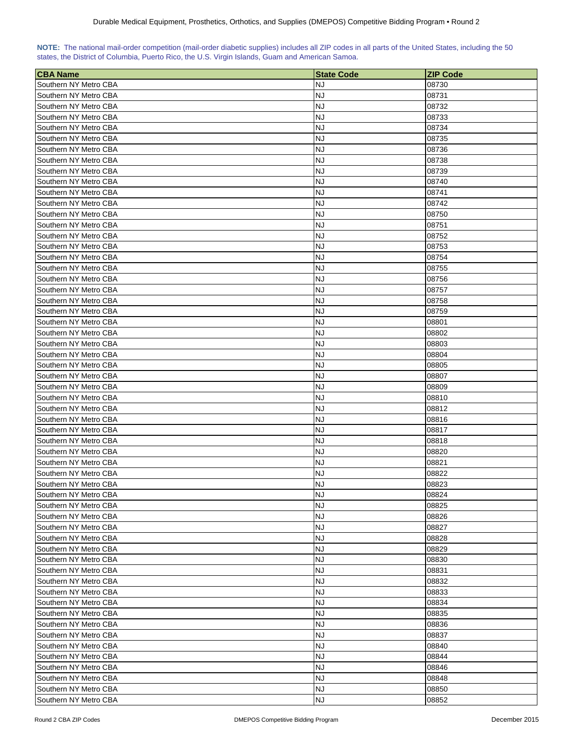| NOTE: The national mail-order competition (mail-order diabetic supplies) includes all ZIP codes in all parts of the United States, including the 50 |  |  |  |  |  |  |
|-----------------------------------------------------------------------------------------------------------------------------------------------------|--|--|--|--|--|--|
| states, the District of Columbia, Puerto Rico, the U.S. Virgin Islands, Guam and American Samoa.                                                    |  |  |  |  |  |  |

| NJ<br>08730<br>NJ<br>08731<br>NJ<br>08732<br><b>NJ</b><br>08733<br>NJ<br>08734<br>NJ<br>08735<br>Southern NY Metro CBA<br>NJ<br>08736<br>Southern NY Metro CBA<br>NJ<br>08738<br>NJ<br>08739<br>NJ<br>Southern NY Metro CBA<br>08740<br>NJ<br>Southern NY Metro CBA<br>08741<br>NJ<br>Southern NY Metro CBA<br>08742<br>Southern NY Metro CBA<br>NJ<br>08750<br>Southern NY Metro CBA<br>NJ<br>08751<br>Southern NY Metro CBA<br>NJ<br>08752<br>Southern NY Metro CBA<br>NJ<br>08753<br><b>NJ</b><br>Southern NY Metro CBA<br>08754<br>NJ<br>Southern NY Metro CBA<br>08755<br>NJ<br>Southern NY Metro CBA<br>08756<br>Southern NY Metro CBA<br>NJ<br>08757<br>NJ<br>Southern NY Metro CBA<br>08758<br>NJ<br>Southern NY Metro CBA<br>08759<br>NJ<br>Southern NY Metro CBA<br>08801<br>NJ<br>Southern NY Metro CBA<br>08802<br>NJ<br>08803<br>Southern NY Metro CBA<br>NJ<br>Southern NY Metro CBA<br>08804<br><b>NJ</b><br>Southern NY Metro CBA<br>08805<br>Southern NY Metro CBA<br><b>NJ</b><br>08807<br>Southern NY Metro CBA<br>NJ<br>08809<br>Southern NY Metro CBA<br>NJ<br>08810<br>NJ<br>Southern NY Metro CBA<br>08812<br>Southern NY Metro CBA<br>NJ<br>08816<br>Southern NY Metro CBA<br>NJ<br>08817<br>Southern NY Metro CBA<br>NJ<br>08818<br>NJ<br>Southern NY Metro CBA<br>08820<br>NJ<br>Southern NY Metro CBA<br>08821<br>Southern NY Metro CBA<br><b>NJ</b><br>08822<br><b>NJ</b><br>Southern NY Metro CBA<br>08823<br>Southern NY Metro CBA<br><b>NJ</b><br>08824<br>Southern NY Metro CBA<br><b>NJ</b><br>08825<br>Southern NY Metro CBA<br><b>NJ</b><br>08826<br>Southern NY Metro CBA<br><b>NJ</b><br>08827<br>Southern NY Metro CBA<br><b>NJ</b><br>08828<br>Southern NY Metro CBA<br><b>NJ</b><br>08829<br>Southern NY Metro CBA<br>NJ<br>08830<br><b>NJ</b><br>Southern NY Metro CBA<br>08831<br><b>NJ</b><br>Southern NY Metro CBA<br>08832<br><b>NJ</b><br>Southern NY Metro CBA<br>08833<br>Southern NY Metro CBA<br>NJ<br>08834<br>Southern NY Metro CBA<br>NJ<br>08835<br>Southern NY Metro CBA<br>NJ<br>08836<br><b>NJ</b><br>Southern NY Metro CBA<br>08837<br>Southern NY Metro CBA<br>NJ<br>08840<br><b>NJ</b><br>Southern NY Metro CBA<br>08844<br><b>NJ</b><br>Southern NY Metro CBA<br>08846<br>Southern NY Metro CBA<br>NJ<br>08848<br><b>NJ</b><br>Southern NY Metro CBA<br>08850<br><b>NJ</b><br>Southern NY Metro CBA<br>08852 | <b>CBA Name</b>       | <b>State Code</b> | <b>ZIP Code</b> |
|---------------------------------------------------------------------------------------------------------------------------------------------------------------------------------------------------------------------------------------------------------------------------------------------------------------------------------------------------------------------------------------------------------------------------------------------------------------------------------------------------------------------------------------------------------------------------------------------------------------------------------------------------------------------------------------------------------------------------------------------------------------------------------------------------------------------------------------------------------------------------------------------------------------------------------------------------------------------------------------------------------------------------------------------------------------------------------------------------------------------------------------------------------------------------------------------------------------------------------------------------------------------------------------------------------------------------------------------------------------------------------------------------------------------------------------------------------------------------------------------------------------------------------------------------------------------------------------------------------------------------------------------------------------------------------------------------------------------------------------------------------------------------------------------------------------------------------------------------------------------------------------------------------------------------------------------------------------------------------------------------------------------------------------------------------------------------------------------------------------------------------------------------------------------------------------------------------------------------------------------------------------------------------------------------------------------------------------------------------------------------|-----------------------|-------------------|-----------------|
|                                                                                                                                                                                                                                                                                                                                                                                                                                                                                                                                                                                                                                                                                                                                                                                                                                                                                                                                                                                                                                                                                                                                                                                                                                                                                                                                                                                                                                                                                                                                                                                                                                                                                                                                                                                                                                                                                                                                                                                                                                                                                                                                                                                                                                                                                                                                                                           | Southern NY Metro CBA |                   |                 |
|                                                                                                                                                                                                                                                                                                                                                                                                                                                                                                                                                                                                                                                                                                                                                                                                                                                                                                                                                                                                                                                                                                                                                                                                                                                                                                                                                                                                                                                                                                                                                                                                                                                                                                                                                                                                                                                                                                                                                                                                                                                                                                                                                                                                                                                                                                                                                                           | Southern NY Metro CBA |                   |                 |
|                                                                                                                                                                                                                                                                                                                                                                                                                                                                                                                                                                                                                                                                                                                                                                                                                                                                                                                                                                                                                                                                                                                                                                                                                                                                                                                                                                                                                                                                                                                                                                                                                                                                                                                                                                                                                                                                                                                                                                                                                                                                                                                                                                                                                                                                                                                                                                           | Southern NY Metro CBA |                   |                 |
|                                                                                                                                                                                                                                                                                                                                                                                                                                                                                                                                                                                                                                                                                                                                                                                                                                                                                                                                                                                                                                                                                                                                                                                                                                                                                                                                                                                                                                                                                                                                                                                                                                                                                                                                                                                                                                                                                                                                                                                                                                                                                                                                                                                                                                                                                                                                                                           | Southern NY Metro CBA |                   |                 |
|                                                                                                                                                                                                                                                                                                                                                                                                                                                                                                                                                                                                                                                                                                                                                                                                                                                                                                                                                                                                                                                                                                                                                                                                                                                                                                                                                                                                                                                                                                                                                                                                                                                                                                                                                                                                                                                                                                                                                                                                                                                                                                                                                                                                                                                                                                                                                                           | Southern NY Metro CBA |                   |                 |
|                                                                                                                                                                                                                                                                                                                                                                                                                                                                                                                                                                                                                                                                                                                                                                                                                                                                                                                                                                                                                                                                                                                                                                                                                                                                                                                                                                                                                                                                                                                                                                                                                                                                                                                                                                                                                                                                                                                                                                                                                                                                                                                                                                                                                                                                                                                                                                           | Southern NY Metro CBA |                   |                 |
|                                                                                                                                                                                                                                                                                                                                                                                                                                                                                                                                                                                                                                                                                                                                                                                                                                                                                                                                                                                                                                                                                                                                                                                                                                                                                                                                                                                                                                                                                                                                                                                                                                                                                                                                                                                                                                                                                                                                                                                                                                                                                                                                                                                                                                                                                                                                                                           |                       |                   |                 |
|                                                                                                                                                                                                                                                                                                                                                                                                                                                                                                                                                                                                                                                                                                                                                                                                                                                                                                                                                                                                                                                                                                                                                                                                                                                                                                                                                                                                                                                                                                                                                                                                                                                                                                                                                                                                                                                                                                                                                                                                                                                                                                                                                                                                                                                                                                                                                                           |                       |                   |                 |
|                                                                                                                                                                                                                                                                                                                                                                                                                                                                                                                                                                                                                                                                                                                                                                                                                                                                                                                                                                                                                                                                                                                                                                                                                                                                                                                                                                                                                                                                                                                                                                                                                                                                                                                                                                                                                                                                                                                                                                                                                                                                                                                                                                                                                                                                                                                                                                           | Southern NY Metro CBA |                   |                 |
|                                                                                                                                                                                                                                                                                                                                                                                                                                                                                                                                                                                                                                                                                                                                                                                                                                                                                                                                                                                                                                                                                                                                                                                                                                                                                                                                                                                                                                                                                                                                                                                                                                                                                                                                                                                                                                                                                                                                                                                                                                                                                                                                                                                                                                                                                                                                                                           |                       |                   |                 |
|                                                                                                                                                                                                                                                                                                                                                                                                                                                                                                                                                                                                                                                                                                                                                                                                                                                                                                                                                                                                                                                                                                                                                                                                                                                                                                                                                                                                                                                                                                                                                                                                                                                                                                                                                                                                                                                                                                                                                                                                                                                                                                                                                                                                                                                                                                                                                                           |                       |                   |                 |
|                                                                                                                                                                                                                                                                                                                                                                                                                                                                                                                                                                                                                                                                                                                                                                                                                                                                                                                                                                                                                                                                                                                                                                                                                                                                                                                                                                                                                                                                                                                                                                                                                                                                                                                                                                                                                                                                                                                                                                                                                                                                                                                                                                                                                                                                                                                                                                           |                       |                   |                 |
|                                                                                                                                                                                                                                                                                                                                                                                                                                                                                                                                                                                                                                                                                                                                                                                                                                                                                                                                                                                                                                                                                                                                                                                                                                                                                                                                                                                                                                                                                                                                                                                                                                                                                                                                                                                                                                                                                                                                                                                                                                                                                                                                                                                                                                                                                                                                                                           |                       |                   |                 |
|                                                                                                                                                                                                                                                                                                                                                                                                                                                                                                                                                                                                                                                                                                                                                                                                                                                                                                                                                                                                                                                                                                                                                                                                                                                                                                                                                                                                                                                                                                                                                                                                                                                                                                                                                                                                                                                                                                                                                                                                                                                                                                                                                                                                                                                                                                                                                                           |                       |                   |                 |
|                                                                                                                                                                                                                                                                                                                                                                                                                                                                                                                                                                                                                                                                                                                                                                                                                                                                                                                                                                                                                                                                                                                                                                                                                                                                                                                                                                                                                                                                                                                                                                                                                                                                                                                                                                                                                                                                                                                                                                                                                                                                                                                                                                                                                                                                                                                                                                           |                       |                   |                 |
|                                                                                                                                                                                                                                                                                                                                                                                                                                                                                                                                                                                                                                                                                                                                                                                                                                                                                                                                                                                                                                                                                                                                                                                                                                                                                                                                                                                                                                                                                                                                                                                                                                                                                                                                                                                                                                                                                                                                                                                                                                                                                                                                                                                                                                                                                                                                                                           |                       |                   |                 |
|                                                                                                                                                                                                                                                                                                                                                                                                                                                                                                                                                                                                                                                                                                                                                                                                                                                                                                                                                                                                                                                                                                                                                                                                                                                                                                                                                                                                                                                                                                                                                                                                                                                                                                                                                                                                                                                                                                                                                                                                                                                                                                                                                                                                                                                                                                                                                                           |                       |                   |                 |
|                                                                                                                                                                                                                                                                                                                                                                                                                                                                                                                                                                                                                                                                                                                                                                                                                                                                                                                                                                                                                                                                                                                                                                                                                                                                                                                                                                                                                                                                                                                                                                                                                                                                                                                                                                                                                                                                                                                                                                                                                                                                                                                                                                                                                                                                                                                                                                           |                       |                   |                 |
|                                                                                                                                                                                                                                                                                                                                                                                                                                                                                                                                                                                                                                                                                                                                                                                                                                                                                                                                                                                                                                                                                                                                                                                                                                                                                                                                                                                                                                                                                                                                                                                                                                                                                                                                                                                                                                                                                                                                                                                                                                                                                                                                                                                                                                                                                                                                                                           |                       |                   |                 |
|                                                                                                                                                                                                                                                                                                                                                                                                                                                                                                                                                                                                                                                                                                                                                                                                                                                                                                                                                                                                                                                                                                                                                                                                                                                                                                                                                                                                                                                                                                                                                                                                                                                                                                                                                                                                                                                                                                                                                                                                                                                                                                                                                                                                                                                                                                                                                                           |                       |                   |                 |
|                                                                                                                                                                                                                                                                                                                                                                                                                                                                                                                                                                                                                                                                                                                                                                                                                                                                                                                                                                                                                                                                                                                                                                                                                                                                                                                                                                                                                                                                                                                                                                                                                                                                                                                                                                                                                                                                                                                                                                                                                                                                                                                                                                                                                                                                                                                                                                           |                       |                   |                 |
|                                                                                                                                                                                                                                                                                                                                                                                                                                                                                                                                                                                                                                                                                                                                                                                                                                                                                                                                                                                                                                                                                                                                                                                                                                                                                                                                                                                                                                                                                                                                                                                                                                                                                                                                                                                                                                                                                                                                                                                                                                                                                                                                                                                                                                                                                                                                                                           |                       |                   |                 |
|                                                                                                                                                                                                                                                                                                                                                                                                                                                                                                                                                                                                                                                                                                                                                                                                                                                                                                                                                                                                                                                                                                                                                                                                                                                                                                                                                                                                                                                                                                                                                                                                                                                                                                                                                                                                                                                                                                                                                                                                                                                                                                                                                                                                                                                                                                                                                                           |                       |                   |                 |
|                                                                                                                                                                                                                                                                                                                                                                                                                                                                                                                                                                                                                                                                                                                                                                                                                                                                                                                                                                                                                                                                                                                                                                                                                                                                                                                                                                                                                                                                                                                                                                                                                                                                                                                                                                                                                                                                                                                                                                                                                                                                                                                                                                                                                                                                                                                                                                           |                       |                   |                 |
|                                                                                                                                                                                                                                                                                                                                                                                                                                                                                                                                                                                                                                                                                                                                                                                                                                                                                                                                                                                                                                                                                                                                                                                                                                                                                                                                                                                                                                                                                                                                                                                                                                                                                                                                                                                                                                                                                                                                                                                                                                                                                                                                                                                                                                                                                                                                                                           |                       |                   |                 |
|                                                                                                                                                                                                                                                                                                                                                                                                                                                                                                                                                                                                                                                                                                                                                                                                                                                                                                                                                                                                                                                                                                                                                                                                                                                                                                                                                                                                                                                                                                                                                                                                                                                                                                                                                                                                                                                                                                                                                                                                                                                                                                                                                                                                                                                                                                                                                                           |                       |                   |                 |
|                                                                                                                                                                                                                                                                                                                                                                                                                                                                                                                                                                                                                                                                                                                                                                                                                                                                                                                                                                                                                                                                                                                                                                                                                                                                                                                                                                                                                                                                                                                                                                                                                                                                                                                                                                                                                                                                                                                                                                                                                                                                                                                                                                                                                                                                                                                                                                           |                       |                   |                 |
|                                                                                                                                                                                                                                                                                                                                                                                                                                                                                                                                                                                                                                                                                                                                                                                                                                                                                                                                                                                                                                                                                                                                                                                                                                                                                                                                                                                                                                                                                                                                                                                                                                                                                                                                                                                                                                                                                                                                                                                                                                                                                                                                                                                                                                                                                                                                                                           |                       |                   |                 |
|                                                                                                                                                                                                                                                                                                                                                                                                                                                                                                                                                                                                                                                                                                                                                                                                                                                                                                                                                                                                                                                                                                                                                                                                                                                                                                                                                                                                                                                                                                                                                                                                                                                                                                                                                                                                                                                                                                                                                                                                                                                                                                                                                                                                                                                                                                                                                                           |                       |                   |                 |
|                                                                                                                                                                                                                                                                                                                                                                                                                                                                                                                                                                                                                                                                                                                                                                                                                                                                                                                                                                                                                                                                                                                                                                                                                                                                                                                                                                                                                                                                                                                                                                                                                                                                                                                                                                                                                                                                                                                                                                                                                                                                                                                                                                                                                                                                                                                                                                           |                       |                   |                 |
|                                                                                                                                                                                                                                                                                                                                                                                                                                                                                                                                                                                                                                                                                                                                                                                                                                                                                                                                                                                                                                                                                                                                                                                                                                                                                                                                                                                                                                                                                                                                                                                                                                                                                                                                                                                                                                                                                                                                                                                                                                                                                                                                                                                                                                                                                                                                                                           |                       |                   |                 |
|                                                                                                                                                                                                                                                                                                                                                                                                                                                                                                                                                                                                                                                                                                                                                                                                                                                                                                                                                                                                                                                                                                                                                                                                                                                                                                                                                                                                                                                                                                                                                                                                                                                                                                                                                                                                                                                                                                                                                                                                                                                                                                                                                                                                                                                                                                                                                                           |                       |                   |                 |
|                                                                                                                                                                                                                                                                                                                                                                                                                                                                                                                                                                                                                                                                                                                                                                                                                                                                                                                                                                                                                                                                                                                                                                                                                                                                                                                                                                                                                                                                                                                                                                                                                                                                                                                                                                                                                                                                                                                                                                                                                                                                                                                                                                                                                                                                                                                                                                           |                       |                   |                 |
|                                                                                                                                                                                                                                                                                                                                                                                                                                                                                                                                                                                                                                                                                                                                                                                                                                                                                                                                                                                                                                                                                                                                                                                                                                                                                                                                                                                                                                                                                                                                                                                                                                                                                                                                                                                                                                                                                                                                                                                                                                                                                                                                                                                                                                                                                                                                                                           |                       |                   |                 |
|                                                                                                                                                                                                                                                                                                                                                                                                                                                                                                                                                                                                                                                                                                                                                                                                                                                                                                                                                                                                                                                                                                                                                                                                                                                                                                                                                                                                                                                                                                                                                                                                                                                                                                                                                                                                                                                                                                                                                                                                                                                                                                                                                                                                                                                                                                                                                                           |                       |                   |                 |
|                                                                                                                                                                                                                                                                                                                                                                                                                                                                                                                                                                                                                                                                                                                                                                                                                                                                                                                                                                                                                                                                                                                                                                                                                                                                                                                                                                                                                                                                                                                                                                                                                                                                                                                                                                                                                                                                                                                                                                                                                                                                                                                                                                                                                                                                                                                                                                           |                       |                   |                 |
|                                                                                                                                                                                                                                                                                                                                                                                                                                                                                                                                                                                                                                                                                                                                                                                                                                                                                                                                                                                                                                                                                                                                                                                                                                                                                                                                                                                                                                                                                                                                                                                                                                                                                                                                                                                                                                                                                                                                                                                                                                                                                                                                                                                                                                                                                                                                                                           |                       |                   |                 |
|                                                                                                                                                                                                                                                                                                                                                                                                                                                                                                                                                                                                                                                                                                                                                                                                                                                                                                                                                                                                                                                                                                                                                                                                                                                                                                                                                                                                                                                                                                                                                                                                                                                                                                                                                                                                                                                                                                                                                                                                                                                                                                                                                                                                                                                                                                                                                                           |                       |                   |                 |
|                                                                                                                                                                                                                                                                                                                                                                                                                                                                                                                                                                                                                                                                                                                                                                                                                                                                                                                                                                                                                                                                                                                                                                                                                                                                                                                                                                                                                                                                                                                                                                                                                                                                                                                                                                                                                                                                                                                                                                                                                                                                                                                                                                                                                                                                                                                                                                           |                       |                   |                 |
|                                                                                                                                                                                                                                                                                                                                                                                                                                                                                                                                                                                                                                                                                                                                                                                                                                                                                                                                                                                                                                                                                                                                                                                                                                                                                                                                                                                                                                                                                                                                                                                                                                                                                                                                                                                                                                                                                                                                                                                                                                                                                                                                                                                                                                                                                                                                                                           |                       |                   |                 |
|                                                                                                                                                                                                                                                                                                                                                                                                                                                                                                                                                                                                                                                                                                                                                                                                                                                                                                                                                                                                                                                                                                                                                                                                                                                                                                                                                                                                                                                                                                                                                                                                                                                                                                                                                                                                                                                                                                                                                                                                                                                                                                                                                                                                                                                                                                                                                                           |                       |                   |                 |
|                                                                                                                                                                                                                                                                                                                                                                                                                                                                                                                                                                                                                                                                                                                                                                                                                                                                                                                                                                                                                                                                                                                                                                                                                                                                                                                                                                                                                                                                                                                                                                                                                                                                                                                                                                                                                                                                                                                                                                                                                                                                                                                                                                                                                                                                                                                                                                           |                       |                   |                 |
|                                                                                                                                                                                                                                                                                                                                                                                                                                                                                                                                                                                                                                                                                                                                                                                                                                                                                                                                                                                                                                                                                                                                                                                                                                                                                                                                                                                                                                                                                                                                                                                                                                                                                                                                                                                                                                                                                                                                                                                                                                                                                                                                                                                                                                                                                                                                                                           |                       |                   |                 |
|                                                                                                                                                                                                                                                                                                                                                                                                                                                                                                                                                                                                                                                                                                                                                                                                                                                                                                                                                                                                                                                                                                                                                                                                                                                                                                                                                                                                                                                                                                                                                                                                                                                                                                                                                                                                                                                                                                                                                                                                                                                                                                                                                                                                                                                                                                                                                                           |                       |                   |                 |
|                                                                                                                                                                                                                                                                                                                                                                                                                                                                                                                                                                                                                                                                                                                                                                                                                                                                                                                                                                                                                                                                                                                                                                                                                                                                                                                                                                                                                                                                                                                                                                                                                                                                                                                                                                                                                                                                                                                                                                                                                                                                                                                                                                                                                                                                                                                                                                           |                       |                   |                 |
|                                                                                                                                                                                                                                                                                                                                                                                                                                                                                                                                                                                                                                                                                                                                                                                                                                                                                                                                                                                                                                                                                                                                                                                                                                                                                                                                                                                                                                                                                                                                                                                                                                                                                                                                                                                                                                                                                                                                                                                                                                                                                                                                                                                                                                                                                                                                                                           |                       |                   |                 |
|                                                                                                                                                                                                                                                                                                                                                                                                                                                                                                                                                                                                                                                                                                                                                                                                                                                                                                                                                                                                                                                                                                                                                                                                                                                                                                                                                                                                                                                                                                                                                                                                                                                                                                                                                                                                                                                                                                                                                                                                                                                                                                                                                                                                                                                                                                                                                                           |                       |                   |                 |
|                                                                                                                                                                                                                                                                                                                                                                                                                                                                                                                                                                                                                                                                                                                                                                                                                                                                                                                                                                                                                                                                                                                                                                                                                                                                                                                                                                                                                                                                                                                                                                                                                                                                                                                                                                                                                                                                                                                                                                                                                                                                                                                                                                                                                                                                                                                                                                           |                       |                   |                 |
|                                                                                                                                                                                                                                                                                                                                                                                                                                                                                                                                                                                                                                                                                                                                                                                                                                                                                                                                                                                                                                                                                                                                                                                                                                                                                                                                                                                                                                                                                                                                                                                                                                                                                                                                                                                                                                                                                                                                                                                                                                                                                                                                                                                                                                                                                                                                                                           |                       |                   |                 |
|                                                                                                                                                                                                                                                                                                                                                                                                                                                                                                                                                                                                                                                                                                                                                                                                                                                                                                                                                                                                                                                                                                                                                                                                                                                                                                                                                                                                                                                                                                                                                                                                                                                                                                                                                                                                                                                                                                                                                                                                                                                                                                                                                                                                                                                                                                                                                                           |                       |                   |                 |
|                                                                                                                                                                                                                                                                                                                                                                                                                                                                                                                                                                                                                                                                                                                                                                                                                                                                                                                                                                                                                                                                                                                                                                                                                                                                                                                                                                                                                                                                                                                                                                                                                                                                                                                                                                                                                                                                                                                                                                                                                                                                                                                                                                                                                                                                                                                                                                           |                       |                   |                 |
|                                                                                                                                                                                                                                                                                                                                                                                                                                                                                                                                                                                                                                                                                                                                                                                                                                                                                                                                                                                                                                                                                                                                                                                                                                                                                                                                                                                                                                                                                                                                                                                                                                                                                                                                                                                                                                                                                                                                                                                                                                                                                                                                                                                                                                                                                                                                                                           |                       |                   |                 |
|                                                                                                                                                                                                                                                                                                                                                                                                                                                                                                                                                                                                                                                                                                                                                                                                                                                                                                                                                                                                                                                                                                                                                                                                                                                                                                                                                                                                                                                                                                                                                                                                                                                                                                                                                                                                                                                                                                                                                                                                                                                                                                                                                                                                                                                                                                                                                                           |                       |                   |                 |
|                                                                                                                                                                                                                                                                                                                                                                                                                                                                                                                                                                                                                                                                                                                                                                                                                                                                                                                                                                                                                                                                                                                                                                                                                                                                                                                                                                                                                                                                                                                                                                                                                                                                                                                                                                                                                                                                                                                                                                                                                                                                                                                                                                                                                                                                                                                                                                           |                       |                   |                 |
|                                                                                                                                                                                                                                                                                                                                                                                                                                                                                                                                                                                                                                                                                                                                                                                                                                                                                                                                                                                                                                                                                                                                                                                                                                                                                                                                                                                                                                                                                                                                                                                                                                                                                                                                                                                                                                                                                                                                                                                                                                                                                                                                                                                                                                                                                                                                                                           |                       |                   |                 |
|                                                                                                                                                                                                                                                                                                                                                                                                                                                                                                                                                                                                                                                                                                                                                                                                                                                                                                                                                                                                                                                                                                                                                                                                                                                                                                                                                                                                                                                                                                                                                                                                                                                                                                                                                                                                                                                                                                                                                                                                                                                                                                                                                                                                                                                                                                                                                                           |                       |                   |                 |
|                                                                                                                                                                                                                                                                                                                                                                                                                                                                                                                                                                                                                                                                                                                                                                                                                                                                                                                                                                                                                                                                                                                                                                                                                                                                                                                                                                                                                                                                                                                                                                                                                                                                                                                                                                                                                                                                                                                                                                                                                                                                                                                                                                                                                                                                                                                                                                           |                       |                   |                 |
|                                                                                                                                                                                                                                                                                                                                                                                                                                                                                                                                                                                                                                                                                                                                                                                                                                                                                                                                                                                                                                                                                                                                                                                                                                                                                                                                                                                                                                                                                                                                                                                                                                                                                                                                                                                                                                                                                                                                                                                                                                                                                                                                                                                                                                                                                                                                                                           |                       |                   |                 |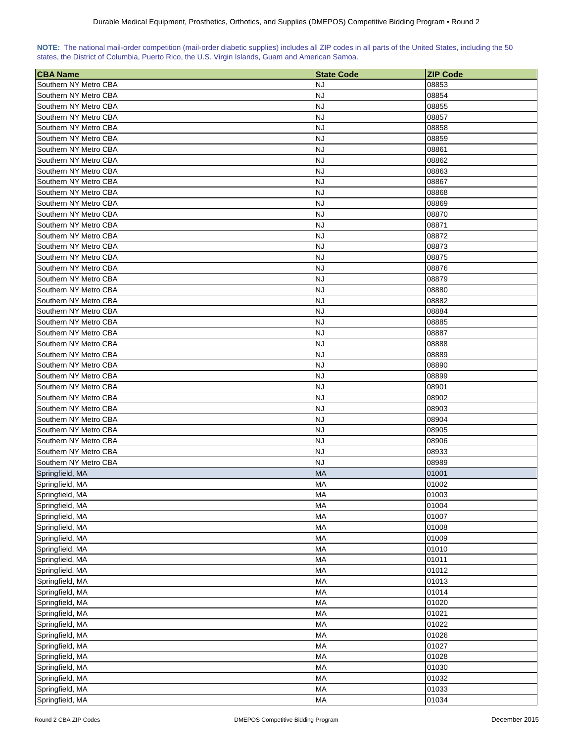|  | NOTE: The national mail-order competition (mail-order diabetic supplies) includes all ZIP codes in all parts of the United States, including the 50 |  |  |  |  |
|--|-----------------------------------------------------------------------------------------------------------------------------------------------------|--|--|--|--|
|  | states, the District of Columbia, Puerto Rico, the U.S. Virgin Islands, Guam and American Samoa.                                                    |  |  |  |  |

| <b>CBA Name</b>                                | <b>State Code</b> | <b>ZIP Code</b> |
|------------------------------------------------|-------------------|-----------------|
| Southern NY Metro CBA                          | NJ                | 08853           |
| Southern NY Metro CBA                          | <b>NJ</b>         | 08854           |
| Southern NY Metro CBA                          | <b>NJ</b>         | 08855           |
| Southern NY Metro CBA                          | <b>NJ</b>         | 08857           |
| Southern NY Metro CBA                          | <b>NJ</b>         | 08858           |
| Southern NY Metro CBA                          | NJ                | 08859           |
| Southern NY Metro CBA                          | <b>NJ</b>         | 08861           |
| Southern NY Metro CBA                          | NJ                | 08862           |
| Southern NY Metro CBA                          | <b>NJ</b>         | 08863           |
| Southern NY Metro CBA                          | <b>NJ</b>         | 08867           |
| Southern NY Metro CBA                          | <b>NJ</b>         | 08868           |
| Southern NY Metro CBA                          | NJ                | 08869           |
| Southern NY Metro CBA                          | <b>NJ</b>         | 08870           |
| Southern NY Metro CBA                          | <b>NJ</b>         | 08871           |
| Southern NY Metro CBA                          | <b>NJ</b>         | 08872           |
| Southern NY Metro CBA                          | <b>NJ</b>         | 08873           |
| Southern NY Metro CBA                          | <b>NJ</b>         | 08875           |
| Southern NY Metro CBA                          | NJ                | 08876           |
| Southern NY Metro CBA                          | NJ                | 08879           |
| Southern NY Metro CBA                          | NJ                | 08880           |
| Southern NY Metro CBA                          | <b>NJ</b>         | 08882           |
| Southern NY Metro CBA                          | <b>NJ</b>         | 08884           |
| Southern NY Metro CBA                          | <b>NJ</b>         | 08885           |
| Southern NY Metro CBA                          | <b>NJ</b>         | 08887           |
| Southern NY Metro CBA                          | <b>NJ</b>         | 08888           |
| Southern NY Metro CBA                          | NJ                | 08889           |
|                                                |                   |                 |
| Southern NY Metro CBA<br>Southern NY Metro CBA | NJ<br><b>NJ</b>   | 08890<br>08899  |
| Southern NY Metro CBA                          | <b>NJ</b>         | 08901           |
| Southern NY Metro CBA                          | <b>NJ</b>         | 08902           |
| Southern NY Metro CBA                          | NJ                | 08903           |
| Southern NY Metro CBA                          | <b>NJ</b>         | 08904           |
| Southern NY Metro CBA                          | NJ                | 08905           |
| Southern NY Metro CBA                          | NJ                | 08906           |
| Southern NY Metro CBA                          | <b>NJ</b>         | 08933           |
| Southern NY Metro CBA                          | <b>NJ</b>         | 08989           |
| Springfield, MA                                | <b>MA</b>         | 01001           |
| Springfield, MA                                | <b>MA</b>         | 01002           |
| Springfield, MA                                | MA                | 01003           |
| Springfield, MA                                | <b>MA</b>         | 01004           |
| Springfield, MA                                | MA                | 01007           |
| Springfield, MA                                | MA                | 01008           |
| Springfield, MA                                | MA                | 01009           |
| Springfield, MA                                | MA                | 01010           |
| Springfield, MA                                | <b>MA</b>         | 01011           |
| Springfield, MA                                | MA                | 01012           |
| Springfield, MA                                | MA                | 01013           |
| Springfield, MA                                | MA                | 01014           |
| Springfield, MA                                | MA                | 01020           |
| Springfield, MA                                | <b>MA</b>         | 01021           |
| Springfield, MA                                | <b>MA</b>         | 01022           |
| Springfield, MA                                | <b>MA</b>         | 01026           |
| Springfield, MA                                | <b>MA</b>         | 01027           |
| Springfield, MA                                | <b>MA</b>         | 01028           |
| Springfield, MA                                | MA                | 01030           |
| Springfield, MA                                | MA                | 01032           |
| Springfield, MA                                | MA                | 01033           |
| Springfield, MA                                | MA                | 01034           |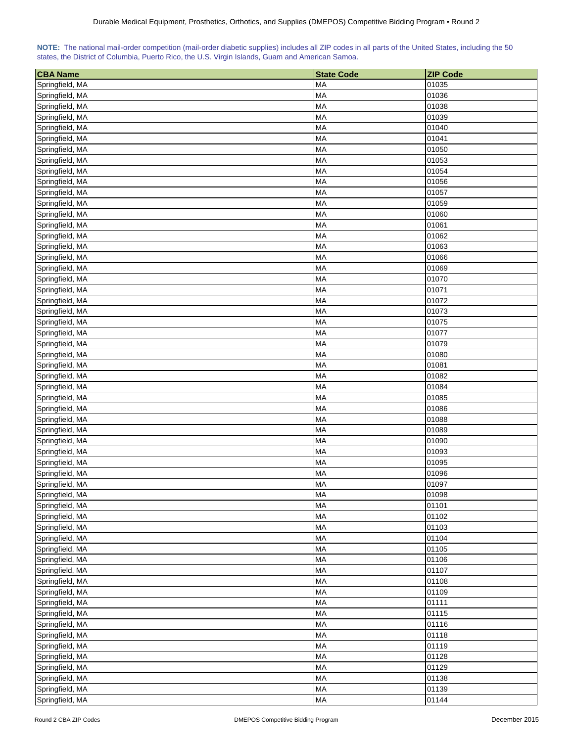|  | NOTE: The national mail-order competition (mail-order diabetic supplies) includes all ZIP codes in all parts of the United States, including the 50 |  |  |  |  |
|--|-----------------------------------------------------------------------------------------------------------------------------------------------------|--|--|--|--|
|  | states, the District of Columbia, Puerto Rico, the U.S. Virgin Islands, Guam and American Samoa.                                                    |  |  |  |  |

| <b>CBA Name</b> | <b>State Code</b> | <b>ZIP Code</b> |
|-----------------|-------------------|-----------------|
| Springfield, MA | MA                | 01035           |
| Springfield, MA | <b>MA</b>         | 01036           |
| Springfield, MA | <b>MA</b>         | 01038           |
| Springfield, MA | MA                | 01039           |
| Springfield, MA | <b>MA</b>         | 01040           |
| Springfield, MA | MA                | 01041           |
| Springfield, MA | MA                | 01050           |
| Springfield, MA | MA                | 01053           |
| Springfield, MA | <b>MA</b>         | 01054           |
| Springfield, MA | MA                | 01056           |
| Springfield, MA | MA                | 01057           |
| Springfield, MA | <b>MA</b>         | 01059           |
| Springfield, MA | <b>MA</b>         | 01060           |
| Springfield, MA | <b>MA</b>         | 01061           |
| Springfield, MA | <b>MA</b>         | 01062           |
| Springfield, MA | <b>MA</b>         | 01063           |
| Springfield, MA | MA                | 01066           |
| Springfield, MA | <b>MA</b>         | 01069           |
| Springfield, MA | MA                | 01070           |
| Springfield, MA | MA                | 01071           |
| Springfield, MA | MA                | 01072           |
| Springfield, MA | MA                | 01073           |
| Springfield, MA | <b>MA</b>         | 01075           |
| Springfield, MA | MA                | 01077           |
| Springfield, MA | <b>MA</b>         | 01079           |
| Springfield, MA | <b>MA</b>         | 01080           |
| Springfield, MA | MA                | 01081           |
| Springfield, MA | <b>MA</b>         | 01082           |
| Springfield, MA | MA                | 01084           |
| Springfield, MA | MA                | 01085           |
| Springfield, MA | MA                | 01086           |
| Springfield, MA | MA                | 01088           |
| Springfield, MA | MA                | 01089           |
| Springfield, MA | <b>MA</b>         | 01090           |
| Springfield, MA | <b>MA</b>         | 01093           |
| Springfield, MA | <b>MA</b>         | 01095           |
| Springfield, MA | <b>MA</b>         | 01096           |
| Springfield, MA | <b>MA</b>         | 01097           |
| Springfield, MA | <b>MA</b>         | 01098           |
| Springfield, MA | <b>MA</b>         | 01101           |
| Springfield, MA | <b>MA</b>         | 01102           |
| Springfield, MA | <b>MA</b>         | 01103           |
| Springfield, MA | MA                | 01104           |
| Springfield, MA | MA                | 01105           |
| Springfield, MA | MA                | 01106           |
| Springfield, MA | <b>MA</b>         | 01107           |
| Springfield, MA | <b>MA</b>         | 01108           |
| Springfield, MA | MA                | 01109           |
| Springfield, MA | MA                | 01111           |
| Springfield, MA | <b>MA</b>         | 01115           |
| Springfield, MA | <b>MA</b>         | 01116           |
| Springfield, MA | <b>MA</b>         | 01118           |
| Springfield, MA | <b>MA</b>         | 01119           |
| Springfield, MA | <b>MA</b>         | 01128           |
| Springfield, MA | <b>MA</b>         | 01129           |
| Springfield, MA | <b>MA</b>         | 01138           |
| Springfield, MA | <b>MA</b>         | 01139           |
| Springfield, MA | <b>MA</b>         | 01144           |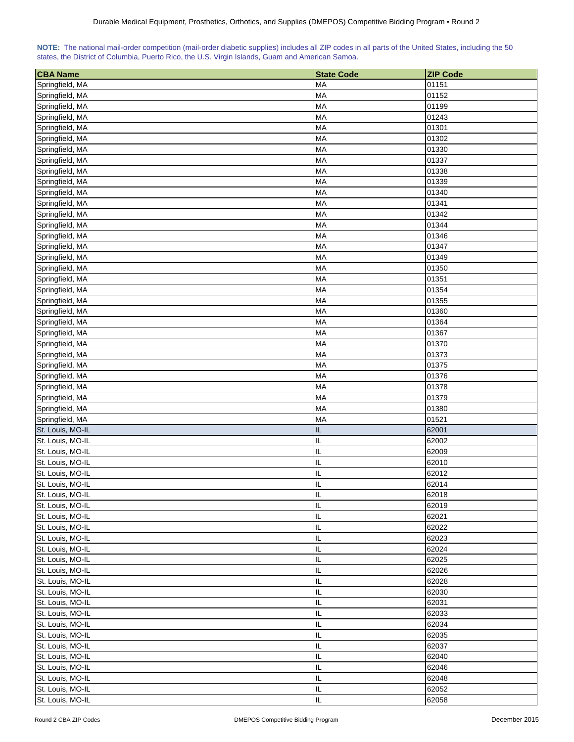|  | NOTE: The national mail-order competition (mail-order diabetic supplies) includes all ZIP codes in all parts of the United States, including the 50 |  |  |  |  |
|--|-----------------------------------------------------------------------------------------------------------------------------------------------------|--|--|--|--|
|  | states, the District of Columbia, Puerto Rico, the U.S. Virgin Islands, Guam and American Samoa.                                                    |  |  |  |  |

| <b>CBA Name</b>                      | <b>State Code</b>      | <b>ZIP Code</b> |
|--------------------------------------|------------------------|-----------------|
| Springfield, MA                      | MA                     | 01151           |
| Springfield, MA                      | MA                     | 01152           |
| Springfield, MA                      | MA                     | 01199           |
| Springfield, MA                      | MA                     | 01243           |
| Springfield, MA                      | <b>MA</b>              | 01301           |
| Springfield, MA                      | MA                     | 01302           |
| Springfield, MA                      | MA                     | 01330           |
| Springfield, MA                      | MA                     | 01337           |
| Springfield, MA                      | MA                     | 01338           |
| Springfield, MA                      | MA                     | 01339           |
| Springfield, MA                      | MA                     | 01340           |
| Springfield, MA                      | <b>MA</b>              | 01341           |
| Springfield, MA                      | MA                     | 01342           |
| Springfield, MA                      | <b>MA</b>              | 01344           |
| Springfield, MA                      | <b>MA</b>              | 01346           |
| Springfield, MA                      | <b>MA</b>              | 01347           |
| Springfield, MA                      | <b>MA</b>              | 01349           |
| Springfield, MA                      | MA                     | 01350           |
| Springfield, MA                      | MA                     | 01351           |
| Springfield, MA                      | <b>MA</b>              | 01354           |
| Springfield, MA                      | MA                     | 01355           |
| Springfield, MA                      | MA                     | 01360           |
| Springfield, MA                      | MA                     | 01364           |
| Springfield, MA                      | <b>MA</b>              | 01367           |
| Springfield, MA                      | MA                     | 01370           |
| Springfield, MA                      | MA                     | 01373           |
|                                      | <b>MA</b>              |                 |
| Springfield, MA                      | <b>MA</b>              | 01375           |
| Springfield, MA                      | <b>MA</b>              | 01376           |
| Springfield, MA                      |                        | 01378           |
| Springfield, MA                      | <b>MA</b><br><b>MA</b> | 01379<br>01380  |
| Springfield, MA                      |                        |                 |
| Springfield, MA                      | MA                     | 01521           |
| St. Louis, MO-IL                     | IL                     | 62001           |
| St. Louis, MO-IL<br>St. Louis, MO-IL | IL<br>IL               | 62002           |
| St. Louis, MO-IL                     | IL                     | 62009<br>62010  |
| St. Louis, MO-IL                     | IL                     | 62012           |
|                                      | IL                     |                 |
| St. Louis, MO-IL                     | IL                     | 62014<br>62018  |
| St. Louis, MO-IL<br>St. Louis, MO-IL | IL                     | 62019           |
| St. Louis, MO-IL                     |                        |                 |
| St. Louis, MO-IL                     | IL<br>IL               | 62021<br>62022  |
| St. Louis, MO-IL                     | IL                     | 62023           |
|                                      |                        |                 |
| St. Louis, MO-IL                     | IL                     | 62024           |
| St. Louis, MO-IL                     | IL                     | 62025           |
| St. Louis, MO-IL                     | $\sf IL$               | 62026           |
| St. Louis, MO-IL                     | IL                     | 62028           |
| St. Louis, MO-IL                     | IL                     | 62030           |
| St. Louis, MO-IL                     | IL                     | 62031           |
| St. Louis, MO-IL                     | IL                     | 62033           |
| St. Louis, MO-IL                     | IL                     | 62034           |
| St. Louis, MO-IL                     | IL                     | 62035           |
| St. Louis, MO-IL                     | IL                     | 62037           |
| St. Louis, MO-IL                     | IL                     | 62040           |
| St. Louis, MO-IL                     | IL                     | 62046           |
| St. Louis, MO-IL                     | IL                     | 62048           |
| St. Louis, MO-IL                     | $\sf IL$               | 62052           |
| St. Louis, MO-IL                     | IL                     | 62058           |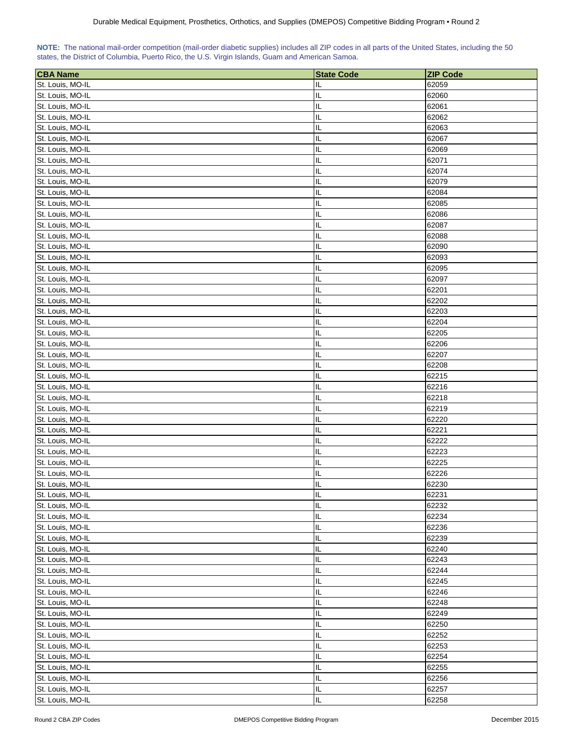| NOTE: The national mail-order competition (mail-order diabetic supplies) includes all ZIP codes in all parts of the United States, including the 50 |  |  |  |  |  |  |
|-----------------------------------------------------------------------------------------------------------------------------------------------------|--|--|--|--|--|--|
| states, the District of Columbia, Puerto Rico, the U.S. Virgin Islands, Guam and American Samoa.                                                    |  |  |  |  |  |  |

| <b>CBA Name</b>  | <b>State Code</b> | <b>ZIP Code</b> |
|------------------|-------------------|-----------------|
| St. Louis, MO-IL | IL                | 62059           |
| St. Louis, MO-IL | IL                | 62060           |
| St. Louis, MO-IL | IL                | 62061           |
| St. Louis, MO-IL | IL                | 62062           |
| St. Louis, MO-IL | IL                | 62063           |
| St. Louis, MO-IL | IL                | 62067           |
| St. Louis, MO-IL | IL                | 62069           |
| St. Louis, MO-IL | IL                | 62071           |
| St. Louis, MO-IL | IL                | 62074           |
| St. Louis, MO-IL | IL                | 62079           |
|                  | IL                | 62084           |
| St. Louis, MO-IL |                   |                 |
| St. Louis, MO-IL | IL                | 62085           |
| St. Louis, MO-IL | IL                | 62086           |
| St. Louis, MO-IL | IL                | 62087           |
| St. Louis, MO-IL | IL                | 62088           |
| St. Louis, MO-IL | IL                | 62090           |
| St. Louis, MO-IL | IL                | 62093           |
| St. Louis, MO-IL | IL                | 62095           |
| St. Louis, MO-IL | IL                | 62097           |
| St. Louis, MO-IL | IL                | 62201           |
| St. Louis, MO-IL | IL                | 62202           |
| St. Louis, MO-IL | IL                | 62203           |
| St. Louis, MO-IL | IL                | 62204           |
| St. Louis, MO-IL | IL                | 62205           |
| St. Louis, MO-IL | IL                | 62206           |
| St. Louis, MO-IL | IL                | 62207           |
| St. Louis, MO-IL | IL                | 62208           |
| St. Louis, MO-IL | IL                | 62215           |
| St. Louis, MO-IL | IL                | 62216           |
| St. Louis, MO-IL | IL                | 62218           |
| St. Louis, MO-IL | IL                | 62219           |
| St. Louis, MO-IL | IL                | 62220           |
| St. Louis, MO-IL | IL                | 62221           |
| St. Louis, MO-IL | IL                | 62222           |
| St. Louis, MO-IL | IL                | 62223           |
| St. Louis, MO-IL | IL                | 62225           |
| St. Louis, MO-IL | IL<br>Ш           | 62226           |
| St. Louis, MO-IL |                   | 62230           |
| St. Louis, MO-IL | IL                | 62231           |
| St. Louis, MO-IL | IL                | 62232           |
| St. Louis, MO-IL | IL                | 62234           |
| St. Louis, MO-IL | IL                | 62236           |
| St. Louis, MO-IL | IL                | 62239           |
| St. Louis, MO-IL | IL                | 62240           |
| St. Louis, MO-IL | IL                | 62243           |
| St. Louis, MO-IL | IL                | 62244           |
| St. Louis, MO-IL | IL                | 62245           |
| St. Louis, MO-IL | IL                | 62246           |
| St. Louis, MO-IL | IL                | 62248           |
| St. Louis, MO-IL | IL                | 62249           |
| St. Louis, MO-IL | IL                | 62250           |
| St. Louis, MO-IL | IL                | 62252           |
| St. Louis, MO-IL | IL                | 62253           |
| St. Louis, MO-IL | IL.               | 62254           |
| St. Louis, MO-IL | IL                | 62255           |
| St. Louis, MO-IL | IL.               | 62256           |
| St. Louis, MO-IL | IL.               | 62257           |
| St. Louis, MO-IL | IL                | 62258           |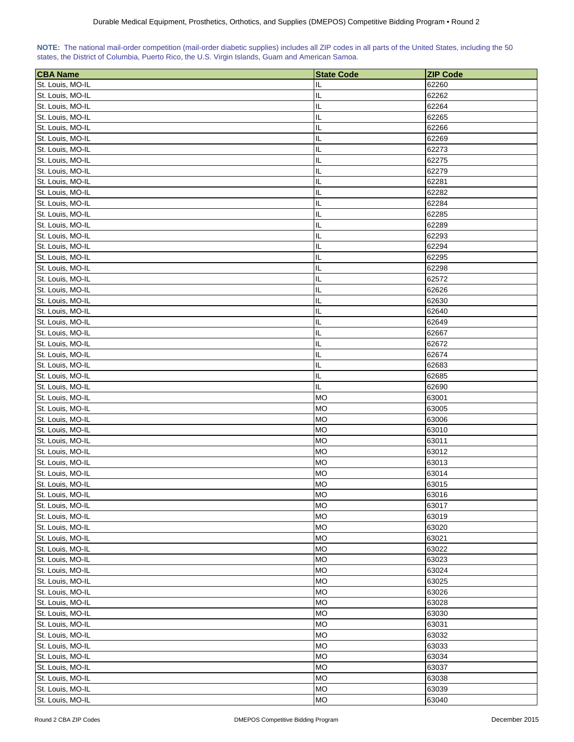| NOTE: The national mail-order competition (mail-order diabetic supplies) includes all ZIP codes in all parts of the United States, including the 50 |  |  |  |  |  |  |
|-----------------------------------------------------------------------------------------------------------------------------------------------------|--|--|--|--|--|--|
| states, the District of Columbia, Puerto Rico, the U.S. Virgin Islands, Guam and American Samoa.                                                    |  |  |  |  |  |  |

| <b>CBA Name</b>  | <b>State Code</b> | <b>ZIP Code</b> |
|------------------|-------------------|-----------------|
| St. Louis, MO-IL | IL                | 62260           |
| St. Louis, MO-IL | IL                | 62262           |
| St. Louis, MO-IL | IL                | 62264           |
| St. Louis, MO-IL | IL                | 62265           |
| St. Louis, MO-IL | IL                | 62266           |
| St. Louis, MO-IL | IL                | 62269           |
| St. Louis, MO-IL | IL                | 62273           |
|                  | IL                |                 |
| St. Louis, MO-IL | IL                | 62275<br>62279  |
| St. Louis, MO-IL |                   |                 |
| St. Louis, MO-IL | IL                | 62281           |
| St. Louis, MO-IL | IL                | 62282           |
| St. Louis, MO-IL | IL                | 62284           |
| St. Louis, MO-IL | IL                | 62285           |
| St. Louis, MO-IL | IL                | 62289           |
| St. Louis, MO-IL | IL                | 62293           |
| St. Louis, MO-IL | IL                | 62294           |
| St. Louis, MO-IL | IL                | 62295           |
| St. Louis, MO-IL | IL                | 62298           |
| St. Louis, MO-IL | IL                | 62572           |
| St. Louis, MO-IL | IL                | 62626           |
| St. Louis, MO-IL | IL                | 62630           |
| St. Louis, MO-IL | IL                | 62640           |
| St. Louis, MO-IL | IL                | 62649           |
| St. Louis, MO-IL | IL                | 62667           |
| St. Louis, MO-IL | IL                | 62672           |
| St. Louis, MO-IL | IL                | 62674           |
| St. Louis, MO-IL | IL                | 62683           |
| St. Louis, MO-IL | IL                | 62685           |
| St. Louis, MO-IL | IL.               | 62690           |
| St. Louis, MO-IL | <b>MO</b>         | 63001           |
| St. Louis, MO-IL | <b>MO</b>         | 63005           |
| St. Louis, MO-IL | <b>MO</b>         | 63006           |
| St. Louis, MO-IL | <b>MO</b>         | 63010           |
| St. Louis, MO-IL | <b>MO</b>         | 63011           |
| St. Louis, MO-IL | <b>MO</b>         | 63012           |
| St. Louis, MO-IL | <b>MO</b>         | 63013           |
| St. Louis, MO-IL | <b>MO</b>         | 63014           |
| St. Louis, MO-IL | <b>MO</b>         | 63015           |
| St. Louis, MO-IL | <b>MO</b>         | 63016           |
| St. Louis, MO-IL | <b>MO</b>         | 63017           |
| St. Louis, MO-IL | <b>MO</b>         | 63019           |
| St. Louis, MO-IL | <b>MO</b>         | 63020           |
| St. Louis, MO-IL | <b>MO</b>         | 63021           |
| St. Louis, MO-IL | <b>MO</b>         | 63022           |
| St. Louis, MO-IL | <b>MO</b>         | 63023           |
| St. Louis, MO-IL | <b>MO</b>         | 63024           |
| St. Louis, MO-IL | <b>MO</b>         | 63025           |
| St. Louis, MO-IL | <b>MO</b>         | 63026           |
| St. Louis, MO-IL | <b>MO</b>         | 63028           |
| St. Louis, MO-IL | <b>MO</b>         | 63030           |
| St. Louis, MO-IL | <b>MO</b>         | 63031           |
| St. Louis, MO-IL | <b>MO</b>         | 63032           |
| St. Louis, MO-IL | <b>MO</b>         | 63033           |
| St. Louis, MO-IL | МO                | 63034           |
| St. Louis, MO-IL | <b>MO</b>         | 63037           |
| St. Louis, MO-IL | <b>MO</b>         | 63038           |
| St. Louis, MO-IL | <b>MO</b>         | 63039           |
| St. Louis, MO-IL | MO                | 63040           |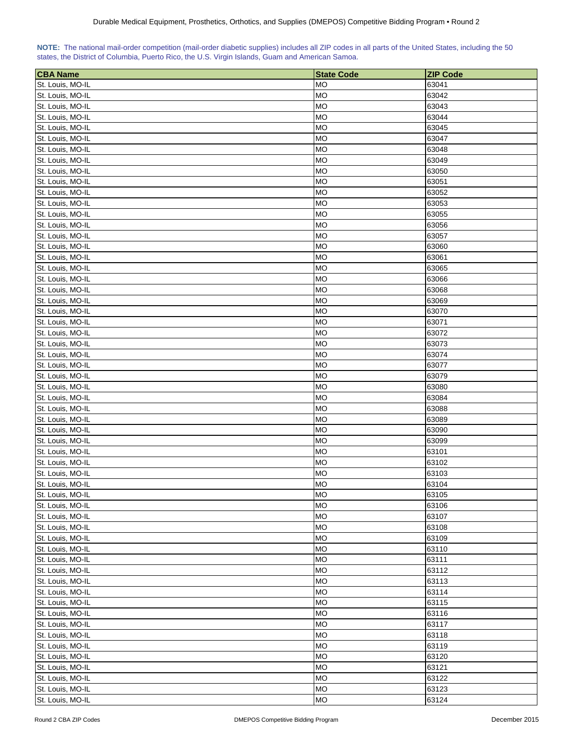| NOTE: The national mail-order competition (mail-order diabetic supplies) includes all ZIP codes in all parts of the United States, including the 50 |  |  |  |  |  |  |  |
|-----------------------------------------------------------------------------------------------------------------------------------------------------|--|--|--|--|--|--|--|
| states, the District of Columbia, Puerto Rico, the U.S. Virgin Islands, Guam and American Samoa.                                                    |  |  |  |  |  |  |  |

| <b>CBA Name</b>                      | <b>State Code</b> | <b>ZIP Code</b> |
|--------------------------------------|-------------------|-----------------|
| St. Louis, MO-IL                     | <b>MO</b>         | 63041           |
| St. Louis, MO-IL                     | <b>MO</b>         | 63042           |
| St. Louis, MO-IL                     | <b>MO</b>         | 63043           |
| St. Louis, MO-IL                     | <b>MO</b>         | 63044           |
| St. Louis, MO-IL                     | <b>MO</b>         | 63045           |
| St. Louis, MO-IL                     | <b>MO</b>         | 63047           |
| St. Louis, MO-IL                     | <b>MO</b>         | 63048           |
| St. Louis, MO-IL                     | <b>MO</b>         | 63049           |
| St. Louis, MO-IL                     | <b>MO</b>         | 63050           |
| St. Louis, MO-IL                     | <b>MO</b>         | 63051           |
| St. Louis, MO-IL                     | <b>MO</b>         | 63052           |
| St. Louis, MO-IL                     | <b>MO</b>         | 63053           |
| St. Louis, MO-IL                     | <b>MO</b>         | 63055           |
| St. Louis, MO-IL                     | <b>MO</b>         | 63056           |
| St. Louis, MO-IL                     | <b>MO</b>         | 63057           |
| St. Louis, MO-IL                     | <b>MO</b>         | 63060           |
| St. Louis, MO-IL                     | <b>MO</b>         | 63061           |
| St. Louis, MO-IL                     | <b>MO</b>         | 63065           |
| St. Louis, MO-IL                     | <b>MO</b>         | 63066           |
| St. Louis, MO-IL                     | <b>MO</b>         | 63068           |
| St. Louis, MO-IL                     | <b>MO</b>         | 63069           |
| St. Louis, MO-IL                     | <b>MO</b>         | 63070           |
| St. Louis, MO-IL                     | <b>MO</b>         | 63071           |
| St. Louis, MO-IL                     | MO                | 63072           |
| St. Louis, MO-IL                     | <b>MO</b>         | 63073           |
| St. Louis, MO-IL                     | <b>MO</b>         | 63074           |
|                                      | MO                | 63077           |
| St. Louis, MO-IL<br>St. Louis, MO-IL | <b>MO</b>         | 63079           |
| St. Louis, MO-IL                     | MO                | 63080           |
|                                      | MO                | 63084           |
| St. Louis, MO-IL<br>St. Louis, MO-IL | <b>MO</b>         | 63088           |
| St. Louis, MO-IL                     | <b>MO</b>         | 63089           |
| St. Louis, MO-IL                     | <b>MO</b>         | 63090           |
| St. Louis, MO-IL                     | <b>MO</b>         | 63099           |
| St. Louis, MO-IL                     | <b>MO</b>         | 63101           |
| St. Louis, MO-IL                     | <b>MO</b>         | 63102           |
| St. Louis, MO-IL                     | MO                | 63103           |
| St. Louis, MO-IL                     | <b>MO</b>         | 63104           |
| St. Louis, MO-IL                     | <b>MO</b>         | 63105           |
| St. Louis, MO-IL                     | <b>MO</b>         | 63106           |
| St. Louis, MO-IL                     | <b>MO</b>         | 63107           |
| St. Louis, MO-IL                     | <b>MO</b>         | 63108           |
| St. Louis, MO-IL                     | <b>MO</b>         | 63109           |
| St. Louis, MO-IL                     | <b>MO</b>         | 63110           |
| St. Louis, MO-IL                     | <b>MO</b>         | 63111           |
| St. Louis, MO-IL                     | <b>MO</b>         | 63112           |
| St. Louis, MO-IL                     | <b>MO</b>         | 63113           |
| St. Louis, MO-IL                     | <b>MO</b>         | 63114           |
| St. Louis, MO-IL                     | <b>MO</b>         | 63115           |
| St. Louis, MO-IL                     | <b>MO</b>         | 63116           |
| St. Louis, MO-IL                     | <b>MO</b>         | 63117           |
| St. Louis, MO-IL                     | <b>MO</b>         | 63118           |
| St. Louis, MO-IL                     | <b>MO</b>         | 63119           |
| St. Louis, MO-IL                     | <b>MO</b>         | 63120           |
| St. Louis, MO-IL                     | <b>MO</b>         | 63121           |
| St. Louis, MO-IL                     | <b>MO</b>         | 63122           |
| St. Louis, MO-IL                     | <b>MO</b>         | 63123           |
| St. Louis, MO-IL                     | <b>MO</b>         | 63124           |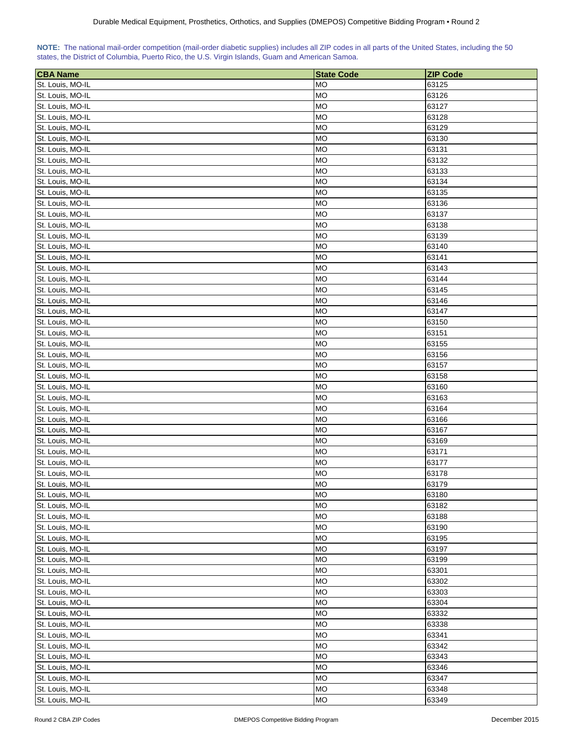| NOTE: The national mail-order competition (mail-order diabetic supplies) includes all ZIP codes in all parts of the United States, including the 50 |  |  |  |  |  |  |
|-----------------------------------------------------------------------------------------------------------------------------------------------------|--|--|--|--|--|--|
| states, the District of Columbia, Puerto Rico, the U.S. Virgin Islands, Guam and American Samoa.                                                    |  |  |  |  |  |  |

| 63125<br><b>MO</b><br><b>MO</b><br>63126<br><b>MO</b><br>63127<br><b>MO</b><br>63128<br><b>MO</b><br>63129<br><b>MO</b><br>63130<br>St. Louis, MO-IL<br><b>MO</b><br>63131<br>St. Louis, MO-IL<br><b>MO</b><br>63132<br><b>MO</b><br>St. Louis, MO-IL<br>63133<br><b>MO</b><br>St. Louis, MO-IL<br>63134<br><b>MO</b><br>63135<br>St. Louis, MO-IL<br><b>MO</b><br>63136<br>St. Louis, MO-IL<br>St. Louis, MO-IL<br><b>MO</b><br>63137<br>St. Louis, MO-IL<br><b>MO</b><br>63138<br>St. Louis, MO-IL<br><b>MO</b><br>63139<br>St. Louis, MO-IL<br><b>MO</b><br>63140<br>St. Louis, MO-IL<br><b>MO</b><br>63141<br>St. Louis, MO-IL<br><b>MO</b><br>63143<br>St. Louis, MO-IL<br><b>MO</b><br>63144<br>St. Louis, MO-IL<br><b>MO</b><br>63145<br><b>MO</b><br>St. Louis, MO-IL<br>63146<br><b>MO</b><br>St. Louis, MO-IL<br>63147<br><b>MO</b><br>St. Louis, MO-IL<br>63150<br><b>MO</b><br>St. Louis, MO-IL<br>63151<br>St. Louis, MO-IL<br><b>MO</b><br>63155<br>St. Louis, MO-IL<br><b>MO</b><br>63156<br>St. Louis, MO-IL<br>MO<br>63157<br>St. Louis, MO-IL<br><b>MO</b><br>63158<br>St. Louis, MO-IL<br>MO<br>63160<br>St. Louis, MO-IL<br>MO<br>63163<br>St. Louis, MO-IL<br><b>MO</b><br>63164<br>St. Louis, MO-IL<br><b>MO</b><br>63166<br>St. Louis, MO-IL<br><b>MO</b><br>63167<br><b>MO</b><br>St. Louis, MO-IL<br>63169<br><b>MO</b><br>St. Louis, MO-IL<br>63171<br><b>MO</b><br>63177<br>St. Louis, MO-IL<br>St. Louis, MO-IL<br>MO<br>63178<br>St. Louis, MO-IL<br><b>MO</b><br>63179<br>St. Louis, MO-IL<br><b>MO</b><br>63180<br>St. Louis, MO-IL<br><b>MO</b><br>63182<br>St. Louis, MO-IL<br><b>MO</b><br>63188<br>St. Louis, MO-IL<br><b>MO</b><br>63190<br>St. Louis, MO-IL<br><b>MO</b><br>63195<br>St. Louis, MO-IL<br><b>MO</b><br>63197<br>St. Louis, MO-IL<br><b>MO</b><br>63199<br>St. Louis, MO-IL<br><b>MO</b><br>63301<br><b>MO</b><br>St. Louis, MO-IL<br>63302<br><b>MO</b><br>St. Louis, MO-IL<br>63303<br>St. Louis, MO-IL<br><b>MO</b><br>63304<br>St. Louis, MO-IL<br><b>MO</b><br>63332<br>St. Louis, MO-IL<br><b>MO</b><br>63338<br>St. Louis, MO-IL<br><b>MO</b><br>63341<br>St. Louis, MO-IL<br><b>MO</b><br>63342<br>St. Louis, MO-IL<br><b>MO</b><br>63343<br>St. Louis, MO-IL<br><b>MO</b><br>63346<br>St. Louis, MO-IL<br><b>MO</b><br>63347<br>St. Louis, MO-IL<br><b>MO</b><br>63348 | <b>CBA Name</b>  | <b>State Code</b> | <b>ZIP Code</b> |
|------------------------------------------------------------------------------------------------------------------------------------------------------------------------------------------------------------------------------------------------------------------------------------------------------------------------------------------------------------------------------------------------------------------------------------------------------------------------------------------------------------------------------------------------------------------------------------------------------------------------------------------------------------------------------------------------------------------------------------------------------------------------------------------------------------------------------------------------------------------------------------------------------------------------------------------------------------------------------------------------------------------------------------------------------------------------------------------------------------------------------------------------------------------------------------------------------------------------------------------------------------------------------------------------------------------------------------------------------------------------------------------------------------------------------------------------------------------------------------------------------------------------------------------------------------------------------------------------------------------------------------------------------------------------------------------------------------------------------------------------------------------------------------------------------------------------------------------------------------------------------------------------------------------------------------------------------------------------------------------------------------------------------------------------------------------------------------------------------------------------------------------------------------------------------------------------------------------------------------------------------------------------------------------------------------------------------------|------------------|-------------------|-----------------|
|                                                                                                                                                                                                                                                                                                                                                                                                                                                                                                                                                                                                                                                                                                                                                                                                                                                                                                                                                                                                                                                                                                                                                                                                                                                                                                                                                                                                                                                                                                                                                                                                                                                                                                                                                                                                                                                                                                                                                                                                                                                                                                                                                                                                                                                                                                                                    | St. Louis, MO-IL |                   |                 |
|                                                                                                                                                                                                                                                                                                                                                                                                                                                                                                                                                                                                                                                                                                                                                                                                                                                                                                                                                                                                                                                                                                                                                                                                                                                                                                                                                                                                                                                                                                                                                                                                                                                                                                                                                                                                                                                                                                                                                                                                                                                                                                                                                                                                                                                                                                                                    | St. Louis, MO-IL |                   |                 |
|                                                                                                                                                                                                                                                                                                                                                                                                                                                                                                                                                                                                                                                                                                                                                                                                                                                                                                                                                                                                                                                                                                                                                                                                                                                                                                                                                                                                                                                                                                                                                                                                                                                                                                                                                                                                                                                                                                                                                                                                                                                                                                                                                                                                                                                                                                                                    | St. Louis, MO-IL |                   |                 |
|                                                                                                                                                                                                                                                                                                                                                                                                                                                                                                                                                                                                                                                                                                                                                                                                                                                                                                                                                                                                                                                                                                                                                                                                                                                                                                                                                                                                                                                                                                                                                                                                                                                                                                                                                                                                                                                                                                                                                                                                                                                                                                                                                                                                                                                                                                                                    | St. Louis, MO-IL |                   |                 |
|                                                                                                                                                                                                                                                                                                                                                                                                                                                                                                                                                                                                                                                                                                                                                                                                                                                                                                                                                                                                                                                                                                                                                                                                                                                                                                                                                                                                                                                                                                                                                                                                                                                                                                                                                                                                                                                                                                                                                                                                                                                                                                                                                                                                                                                                                                                                    | St. Louis, MO-IL |                   |                 |
|                                                                                                                                                                                                                                                                                                                                                                                                                                                                                                                                                                                                                                                                                                                                                                                                                                                                                                                                                                                                                                                                                                                                                                                                                                                                                                                                                                                                                                                                                                                                                                                                                                                                                                                                                                                                                                                                                                                                                                                                                                                                                                                                                                                                                                                                                                                                    | St. Louis, MO-IL |                   |                 |
|                                                                                                                                                                                                                                                                                                                                                                                                                                                                                                                                                                                                                                                                                                                                                                                                                                                                                                                                                                                                                                                                                                                                                                                                                                                                                                                                                                                                                                                                                                                                                                                                                                                                                                                                                                                                                                                                                                                                                                                                                                                                                                                                                                                                                                                                                                                                    |                  |                   |                 |
|                                                                                                                                                                                                                                                                                                                                                                                                                                                                                                                                                                                                                                                                                                                                                                                                                                                                                                                                                                                                                                                                                                                                                                                                                                                                                                                                                                                                                                                                                                                                                                                                                                                                                                                                                                                                                                                                                                                                                                                                                                                                                                                                                                                                                                                                                                                                    |                  |                   |                 |
|                                                                                                                                                                                                                                                                                                                                                                                                                                                                                                                                                                                                                                                                                                                                                                                                                                                                                                                                                                                                                                                                                                                                                                                                                                                                                                                                                                                                                                                                                                                                                                                                                                                                                                                                                                                                                                                                                                                                                                                                                                                                                                                                                                                                                                                                                                                                    |                  |                   |                 |
|                                                                                                                                                                                                                                                                                                                                                                                                                                                                                                                                                                                                                                                                                                                                                                                                                                                                                                                                                                                                                                                                                                                                                                                                                                                                                                                                                                                                                                                                                                                                                                                                                                                                                                                                                                                                                                                                                                                                                                                                                                                                                                                                                                                                                                                                                                                                    |                  |                   |                 |
|                                                                                                                                                                                                                                                                                                                                                                                                                                                                                                                                                                                                                                                                                                                                                                                                                                                                                                                                                                                                                                                                                                                                                                                                                                                                                                                                                                                                                                                                                                                                                                                                                                                                                                                                                                                                                                                                                                                                                                                                                                                                                                                                                                                                                                                                                                                                    |                  |                   |                 |
|                                                                                                                                                                                                                                                                                                                                                                                                                                                                                                                                                                                                                                                                                                                                                                                                                                                                                                                                                                                                                                                                                                                                                                                                                                                                                                                                                                                                                                                                                                                                                                                                                                                                                                                                                                                                                                                                                                                                                                                                                                                                                                                                                                                                                                                                                                                                    |                  |                   |                 |
|                                                                                                                                                                                                                                                                                                                                                                                                                                                                                                                                                                                                                                                                                                                                                                                                                                                                                                                                                                                                                                                                                                                                                                                                                                                                                                                                                                                                                                                                                                                                                                                                                                                                                                                                                                                                                                                                                                                                                                                                                                                                                                                                                                                                                                                                                                                                    |                  |                   |                 |
|                                                                                                                                                                                                                                                                                                                                                                                                                                                                                                                                                                                                                                                                                                                                                                                                                                                                                                                                                                                                                                                                                                                                                                                                                                                                                                                                                                                                                                                                                                                                                                                                                                                                                                                                                                                                                                                                                                                                                                                                                                                                                                                                                                                                                                                                                                                                    |                  |                   |                 |
|                                                                                                                                                                                                                                                                                                                                                                                                                                                                                                                                                                                                                                                                                                                                                                                                                                                                                                                                                                                                                                                                                                                                                                                                                                                                                                                                                                                                                                                                                                                                                                                                                                                                                                                                                                                                                                                                                                                                                                                                                                                                                                                                                                                                                                                                                                                                    |                  |                   |                 |
|                                                                                                                                                                                                                                                                                                                                                                                                                                                                                                                                                                                                                                                                                                                                                                                                                                                                                                                                                                                                                                                                                                                                                                                                                                                                                                                                                                                                                                                                                                                                                                                                                                                                                                                                                                                                                                                                                                                                                                                                                                                                                                                                                                                                                                                                                                                                    |                  |                   |                 |
|                                                                                                                                                                                                                                                                                                                                                                                                                                                                                                                                                                                                                                                                                                                                                                                                                                                                                                                                                                                                                                                                                                                                                                                                                                                                                                                                                                                                                                                                                                                                                                                                                                                                                                                                                                                                                                                                                                                                                                                                                                                                                                                                                                                                                                                                                                                                    |                  |                   |                 |
|                                                                                                                                                                                                                                                                                                                                                                                                                                                                                                                                                                                                                                                                                                                                                                                                                                                                                                                                                                                                                                                                                                                                                                                                                                                                                                                                                                                                                                                                                                                                                                                                                                                                                                                                                                                                                                                                                                                                                                                                                                                                                                                                                                                                                                                                                                                                    |                  |                   |                 |
|                                                                                                                                                                                                                                                                                                                                                                                                                                                                                                                                                                                                                                                                                                                                                                                                                                                                                                                                                                                                                                                                                                                                                                                                                                                                                                                                                                                                                                                                                                                                                                                                                                                                                                                                                                                                                                                                                                                                                                                                                                                                                                                                                                                                                                                                                                                                    |                  |                   |                 |
|                                                                                                                                                                                                                                                                                                                                                                                                                                                                                                                                                                                                                                                                                                                                                                                                                                                                                                                                                                                                                                                                                                                                                                                                                                                                                                                                                                                                                                                                                                                                                                                                                                                                                                                                                                                                                                                                                                                                                                                                                                                                                                                                                                                                                                                                                                                                    |                  |                   |                 |
|                                                                                                                                                                                                                                                                                                                                                                                                                                                                                                                                                                                                                                                                                                                                                                                                                                                                                                                                                                                                                                                                                                                                                                                                                                                                                                                                                                                                                                                                                                                                                                                                                                                                                                                                                                                                                                                                                                                                                                                                                                                                                                                                                                                                                                                                                                                                    |                  |                   |                 |
|                                                                                                                                                                                                                                                                                                                                                                                                                                                                                                                                                                                                                                                                                                                                                                                                                                                                                                                                                                                                                                                                                                                                                                                                                                                                                                                                                                                                                                                                                                                                                                                                                                                                                                                                                                                                                                                                                                                                                                                                                                                                                                                                                                                                                                                                                                                                    |                  |                   |                 |
|                                                                                                                                                                                                                                                                                                                                                                                                                                                                                                                                                                                                                                                                                                                                                                                                                                                                                                                                                                                                                                                                                                                                                                                                                                                                                                                                                                                                                                                                                                                                                                                                                                                                                                                                                                                                                                                                                                                                                                                                                                                                                                                                                                                                                                                                                                                                    |                  |                   |                 |
|                                                                                                                                                                                                                                                                                                                                                                                                                                                                                                                                                                                                                                                                                                                                                                                                                                                                                                                                                                                                                                                                                                                                                                                                                                                                                                                                                                                                                                                                                                                                                                                                                                                                                                                                                                                                                                                                                                                                                                                                                                                                                                                                                                                                                                                                                                                                    |                  |                   |                 |
|                                                                                                                                                                                                                                                                                                                                                                                                                                                                                                                                                                                                                                                                                                                                                                                                                                                                                                                                                                                                                                                                                                                                                                                                                                                                                                                                                                                                                                                                                                                                                                                                                                                                                                                                                                                                                                                                                                                                                                                                                                                                                                                                                                                                                                                                                                                                    |                  |                   |                 |
|                                                                                                                                                                                                                                                                                                                                                                                                                                                                                                                                                                                                                                                                                                                                                                                                                                                                                                                                                                                                                                                                                                                                                                                                                                                                                                                                                                                                                                                                                                                                                                                                                                                                                                                                                                                                                                                                                                                                                                                                                                                                                                                                                                                                                                                                                                                                    |                  |                   |                 |
|                                                                                                                                                                                                                                                                                                                                                                                                                                                                                                                                                                                                                                                                                                                                                                                                                                                                                                                                                                                                                                                                                                                                                                                                                                                                                                                                                                                                                                                                                                                                                                                                                                                                                                                                                                                                                                                                                                                                                                                                                                                                                                                                                                                                                                                                                                                                    |                  |                   |                 |
|                                                                                                                                                                                                                                                                                                                                                                                                                                                                                                                                                                                                                                                                                                                                                                                                                                                                                                                                                                                                                                                                                                                                                                                                                                                                                                                                                                                                                                                                                                                                                                                                                                                                                                                                                                                                                                                                                                                                                                                                                                                                                                                                                                                                                                                                                                                                    |                  |                   |                 |
|                                                                                                                                                                                                                                                                                                                                                                                                                                                                                                                                                                                                                                                                                                                                                                                                                                                                                                                                                                                                                                                                                                                                                                                                                                                                                                                                                                                                                                                                                                                                                                                                                                                                                                                                                                                                                                                                                                                                                                                                                                                                                                                                                                                                                                                                                                                                    |                  |                   |                 |
|                                                                                                                                                                                                                                                                                                                                                                                                                                                                                                                                                                                                                                                                                                                                                                                                                                                                                                                                                                                                                                                                                                                                                                                                                                                                                                                                                                                                                                                                                                                                                                                                                                                                                                                                                                                                                                                                                                                                                                                                                                                                                                                                                                                                                                                                                                                                    |                  |                   |                 |
|                                                                                                                                                                                                                                                                                                                                                                                                                                                                                                                                                                                                                                                                                                                                                                                                                                                                                                                                                                                                                                                                                                                                                                                                                                                                                                                                                                                                                                                                                                                                                                                                                                                                                                                                                                                                                                                                                                                                                                                                                                                                                                                                                                                                                                                                                                                                    |                  |                   |                 |
|                                                                                                                                                                                                                                                                                                                                                                                                                                                                                                                                                                                                                                                                                                                                                                                                                                                                                                                                                                                                                                                                                                                                                                                                                                                                                                                                                                                                                                                                                                                                                                                                                                                                                                                                                                                                                                                                                                                                                                                                                                                                                                                                                                                                                                                                                                                                    |                  |                   |                 |
|                                                                                                                                                                                                                                                                                                                                                                                                                                                                                                                                                                                                                                                                                                                                                                                                                                                                                                                                                                                                                                                                                                                                                                                                                                                                                                                                                                                                                                                                                                                                                                                                                                                                                                                                                                                                                                                                                                                                                                                                                                                                                                                                                                                                                                                                                                                                    |                  |                   |                 |
|                                                                                                                                                                                                                                                                                                                                                                                                                                                                                                                                                                                                                                                                                                                                                                                                                                                                                                                                                                                                                                                                                                                                                                                                                                                                                                                                                                                                                                                                                                                                                                                                                                                                                                                                                                                                                                                                                                                                                                                                                                                                                                                                                                                                                                                                                                                                    |                  |                   |                 |
|                                                                                                                                                                                                                                                                                                                                                                                                                                                                                                                                                                                                                                                                                                                                                                                                                                                                                                                                                                                                                                                                                                                                                                                                                                                                                                                                                                                                                                                                                                                                                                                                                                                                                                                                                                                                                                                                                                                                                                                                                                                                                                                                                                                                                                                                                                                                    |                  |                   |                 |
|                                                                                                                                                                                                                                                                                                                                                                                                                                                                                                                                                                                                                                                                                                                                                                                                                                                                                                                                                                                                                                                                                                                                                                                                                                                                                                                                                                                                                                                                                                                                                                                                                                                                                                                                                                                                                                                                                                                                                                                                                                                                                                                                                                                                                                                                                                                                    |                  |                   |                 |
|                                                                                                                                                                                                                                                                                                                                                                                                                                                                                                                                                                                                                                                                                                                                                                                                                                                                                                                                                                                                                                                                                                                                                                                                                                                                                                                                                                                                                                                                                                                                                                                                                                                                                                                                                                                                                                                                                                                                                                                                                                                                                                                                                                                                                                                                                                                                    |                  |                   |                 |
|                                                                                                                                                                                                                                                                                                                                                                                                                                                                                                                                                                                                                                                                                                                                                                                                                                                                                                                                                                                                                                                                                                                                                                                                                                                                                                                                                                                                                                                                                                                                                                                                                                                                                                                                                                                                                                                                                                                                                                                                                                                                                                                                                                                                                                                                                                                                    |                  |                   |                 |
|                                                                                                                                                                                                                                                                                                                                                                                                                                                                                                                                                                                                                                                                                                                                                                                                                                                                                                                                                                                                                                                                                                                                                                                                                                                                                                                                                                                                                                                                                                                                                                                                                                                                                                                                                                                                                                                                                                                                                                                                                                                                                                                                                                                                                                                                                                                                    |                  |                   |                 |
|                                                                                                                                                                                                                                                                                                                                                                                                                                                                                                                                                                                                                                                                                                                                                                                                                                                                                                                                                                                                                                                                                                                                                                                                                                                                                                                                                                                                                                                                                                                                                                                                                                                                                                                                                                                                                                                                                                                                                                                                                                                                                                                                                                                                                                                                                                                                    |                  |                   |                 |
|                                                                                                                                                                                                                                                                                                                                                                                                                                                                                                                                                                                                                                                                                                                                                                                                                                                                                                                                                                                                                                                                                                                                                                                                                                                                                                                                                                                                                                                                                                                                                                                                                                                                                                                                                                                                                                                                                                                                                                                                                                                                                                                                                                                                                                                                                                                                    |                  |                   |                 |
|                                                                                                                                                                                                                                                                                                                                                                                                                                                                                                                                                                                                                                                                                                                                                                                                                                                                                                                                                                                                                                                                                                                                                                                                                                                                                                                                                                                                                                                                                                                                                                                                                                                                                                                                                                                                                                                                                                                                                                                                                                                                                                                                                                                                                                                                                                                                    |                  |                   |                 |
|                                                                                                                                                                                                                                                                                                                                                                                                                                                                                                                                                                                                                                                                                                                                                                                                                                                                                                                                                                                                                                                                                                                                                                                                                                                                                                                                                                                                                                                                                                                                                                                                                                                                                                                                                                                                                                                                                                                                                                                                                                                                                                                                                                                                                                                                                                                                    |                  |                   |                 |
|                                                                                                                                                                                                                                                                                                                                                                                                                                                                                                                                                                                                                                                                                                                                                                                                                                                                                                                                                                                                                                                                                                                                                                                                                                                                                                                                                                                                                                                                                                                                                                                                                                                                                                                                                                                                                                                                                                                                                                                                                                                                                                                                                                                                                                                                                                                                    |                  |                   |                 |
|                                                                                                                                                                                                                                                                                                                                                                                                                                                                                                                                                                                                                                                                                                                                                                                                                                                                                                                                                                                                                                                                                                                                                                                                                                                                                                                                                                                                                                                                                                                                                                                                                                                                                                                                                                                                                                                                                                                                                                                                                                                                                                                                                                                                                                                                                                                                    |                  |                   |                 |
|                                                                                                                                                                                                                                                                                                                                                                                                                                                                                                                                                                                                                                                                                                                                                                                                                                                                                                                                                                                                                                                                                                                                                                                                                                                                                                                                                                                                                                                                                                                                                                                                                                                                                                                                                                                                                                                                                                                                                                                                                                                                                                                                                                                                                                                                                                                                    |                  |                   |                 |
|                                                                                                                                                                                                                                                                                                                                                                                                                                                                                                                                                                                                                                                                                                                                                                                                                                                                                                                                                                                                                                                                                                                                                                                                                                                                                                                                                                                                                                                                                                                                                                                                                                                                                                                                                                                                                                                                                                                                                                                                                                                                                                                                                                                                                                                                                                                                    |                  |                   |                 |
|                                                                                                                                                                                                                                                                                                                                                                                                                                                                                                                                                                                                                                                                                                                                                                                                                                                                                                                                                                                                                                                                                                                                                                                                                                                                                                                                                                                                                                                                                                                                                                                                                                                                                                                                                                                                                                                                                                                                                                                                                                                                                                                                                                                                                                                                                                                                    |                  |                   |                 |
|                                                                                                                                                                                                                                                                                                                                                                                                                                                                                                                                                                                                                                                                                                                                                                                                                                                                                                                                                                                                                                                                                                                                                                                                                                                                                                                                                                                                                                                                                                                                                                                                                                                                                                                                                                                                                                                                                                                                                                                                                                                                                                                                                                                                                                                                                                                                    |                  |                   |                 |
|                                                                                                                                                                                                                                                                                                                                                                                                                                                                                                                                                                                                                                                                                                                                                                                                                                                                                                                                                                                                                                                                                                                                                                                                                                                                                                                                                                                                                                                                                                                                                                                                                                                                                                                                                                                                                                                                                                                                                                                                                                                                                                                                                                                                                                                                                                                                    |                  |                   |                 |
|                                                                                                                                                                                                                                                                                                                                                                                                                                                                                                                                                                                                                                                                                                                                                                                                                                                                                                                                                                                                                                                                                                                                                                                                                                                                                                                                                                                                                                                                                                                                                                                                                                                                                                                                                                                                                                                                                                                                                                                                                                                                                                                                                                                                                                                                                                                                    |                  |                   |                 |
|                                                                                                                                                                                                                                                                                                                                                                                                                                                                                                                                                                                                                                                                                                                                                                                                                                                                                                                                                                                                                                                                                                                                                                                                                                                                                                                                                                                                                                                                                                                                                                                                                                                                                                                                                                                                                                                                                                                                                                                                                                                                                                                                                                                                                                                                                                                                    |                  |                   |                 |
|                                                                                                                                                                                                                                                                                                                                                                                                                                                                                                                                                                                                                                                                                                                                                                                                                                                                                                                                                                                                                                                                                                                                                                                                                                                                                                                                                                                                                                                                                                                                                                                                                                                                                                                                                                                                                                                                                                                                                                                                                                                                                                                                                                                                                                                                                                                                    |                  |                   |                 |
|                                                                                                                                                                                                                                                                                                                                                                                                                                                                                                                                                                                                                                                                                                                                                                                                                                                                                                                                                                                                                                                                                                                                                                                                                                                                                                                                                                                                                                                                                                                                                                                                                                                                                                                                                                                                                                                                                                                                                                                                                                                                                                                                                                                                                                                                                                                                    |                  |                   |                 |
|                                                                                                                                                                                                                                                                                                                                                                                                                                                                                                                                                                                                                                                                                                                                                                                                                                                                                                                                                                                                                                                                                                                                                                                                                                                                                                                                                                                                                                                                                                                                                                                                                                                                                                                                                                                                                                                                                                                                                                                                                                                                                                                                                                                                                                                                                                                                    |                  |                   |                 |
|                                                                                                                                                                                                                                                                                                                                                                                                                                                                                                                                                                                                                                                                                                                                                                                                                                                                                                                                                                                                                                                                                                                                                                                                                                                                                                                                                                                                                                                                                                                                                                                                                                                                                                                                                                                                                                                                                                                                                                                                                                                                                                                                                                                                                                                                                                                                    |                  |                   |                 |
|                                                                                                                                                                                                                                                                                                                                                                                                                                                                                                                                                                                                                                                                                                                                                                                                                                                                                                                                                                                                                                                                                                                                                                                                                                                                                                                                                                                                                                                                                                                                                                                                                                                                                                                                                                                                                                                                                                                                                                                                                                                                                                                                                                                                                                                                                                                                    |                  |                   |                 |
|                                                                                                                                                                                                                                                                                                                                                                                                                                                                                                                                                                                                                                                                                                                                                                                                                                                                                                                                                                                                                                                                                                                                                                                                                                                                                                                                                                                                                                                                                                                                                                                                                                                                                                                                                                                                                                                                                                                                                                                                                                                                                                                                                                                                                                                                                                                                    | St. Louis, MO-IL | <b>MO</b>         | 63349           |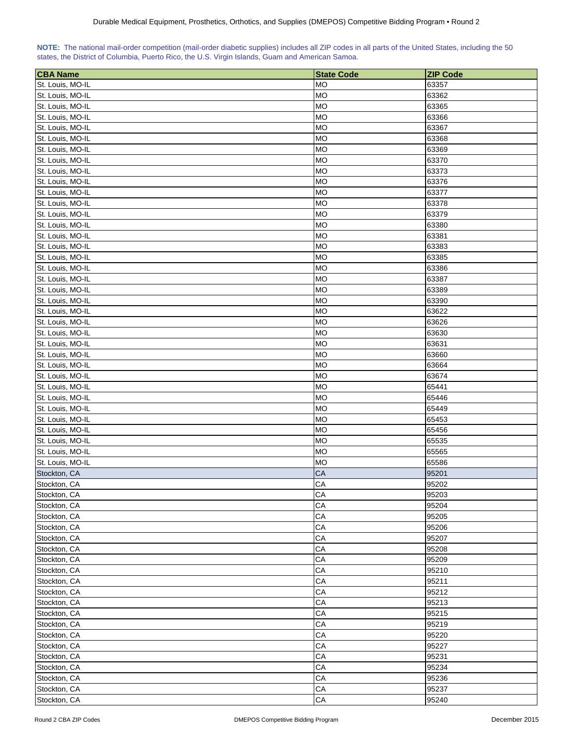| NOTE: The national mail-order competition (mail-order diabetic supplies) includes all ZIP codes in all parts of the United States, including the 50 |  |  |  |  |  |  |  |
|-----------------------------------------------------------------------------------------------------------------------------------------------------|--|--|--|--|--|--|--|
| states, the District of Columbia, Puerto Rico, the U.S. Virgin Islands, Guam and American Samoa.                                                    |  |  |  |  |  |  |  |

| <b>CBA Name</b>                      | <b>State Code</b> | <b>ZIP Code</b> |
|--------------------------------------|-------------------|-----------------|
| St. Louis, MO-IL                     | <b>MO</b>         | 63357           |
| St. Louis, MO-IL                     | <b>MO</b>         | 63362           |
| St. Louis, MO-IL                     | <b>MO</b>         | 63365           |
| St. Louis, MO-IL                     | <b>MO</b>         | 63366           |
| St. Louis, MO-IL                     | <b>MO</b>         | 63367           |
| St. Louis, MO-IL                     | <b>MO</b>         | 63368           |
| St. Louis, MO-IL                     | <b>MO</b>         | 63369           |
| St. Louis, MO-IL                     | <b>MO</b>         | 63370           |
| St. Louis, MO-IL                     | <b>MO</b>         | 63373           |
| St. Louis, MO-IL                     | <b>MO</b>         | 63376           |
| St. Louis, MO-IL                     | <b>MO</b>         | 63377           |
| St. Louis, MO-IL                     | <b>MO</b>         | 63378           |
| St. Louis, MO-IL                     | <b>MO</b>         | 63379           |
| St. Louis, MO-IL                     | <b>MO</b>         | 63380           |
| St. Louis, MO-IL                     | <b>MO</b>         | 63381           |
| St. Louis, MO-IL                     | <b>MO</b>         | 63383           |
| St. Louis, MO-IL                     | <b>MO</b>         | 63385           |
| St. Louis, MO-IL                     | <b>MO</b>         | 63386           |
| St. Louis, MO-IL                     | <b>MO</b>         | 63387           |
| St. Louis, MO-IL                     | <b>MO</b>         | 63389           |
| St. Louis, MO-IL                     | <b>MO</b>         | 63390           |
| St. Louis, MO-IL                     | <b>MO</b>         | 63622           |
|                                      | <b>MO</b>         |                 |
| St. Louis, MO-IL<br>St. Louis, MO-IL | <b>MO</b>         | 63626<br>63630  |
|                                      |                   |                 |
| St. Louis, MO-IL                     | <b>MO</b>         | 63631           |
| St. Louis, MO-IL                     | <b>MO</b>         | 63660           |
| St. Louis, MO-IL                     | MO                | 63664           |
| St. Louis, MO-IL                     | <b>MO</b>         | 63674           |
| St. Louis, MO-IL                     | <b>MO</b>         | 65441           |
| St. Louis, MO-IL                     | MO                | 65446           |
| St. Louis, MO-IL                     | <b>MO</b>         | 65449           |
| St. Louis, MO-IL                     | <b>MO</b>         | 65453           |
| St. Louis, MO-IL                     | <b>MO</b>         | 65456           |
| St. Louis, MO-IL                     | <b>MO</b>         | 65535           |
| St. Louis, MO-IL                     | <b>MO</b>         | 65565           |
| St. Louis, MO-IL                     | <b>MO</b>         | 65586           |
| Stockton, CA                         | CA                | 95201           |
| Stockton, CA                         | CA                | 95202           |
| Stockton, CA                         | CA                | 95203           |
| Stockton, CA                         | CA                | 95204           |
| Stockton, CA                         | CA                | 95205           |
| Stockton, CA                         | CA                | 95206           |
| Stockton, CA                         | CA                | 95207           |
| Stockton, CA                         | CA                | 95208           |
| Stockton, CA                         | CA                | 95209           |
| Stockton, CA                         | CA                | 95210           |
| Stockton, CA                         | CA                | 95211           |
| Stockton, CA                         | CA                | 95212           |
| Stockton, CA                         | СA                | 95213           |
| Stockton, CA                         | CA                | 95215           |
| Stockton, CA                         | CA                | 95219           |
| Stockton, CA                         | CA                | 95220           |
| Stockton, CA                         | CA                | 95227           |
| Stockton, CA                         | CA                | 95231           |
| Stockton, CA                         | CA                | 95234           |
| Stockton, CA                         | CA                | 95236           |
| Stockton, CA                         | CA                | 95237           |
| Stockton, CA                         | CA                | 95240           |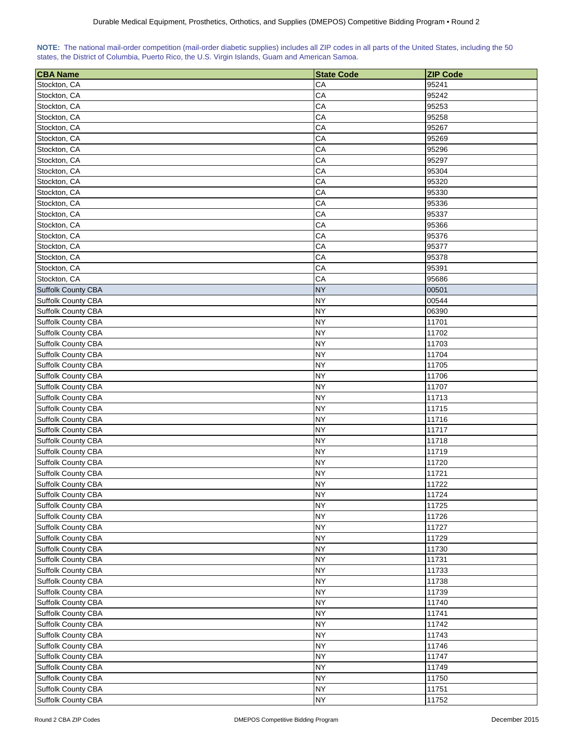| NOTE: The national mail-order competition (mail-order diabetic supplies) includes all ZIP codes in all parts of the United States, including the 50 |  |  |  |  |  |  |
|-----------------------------------------------------------------------------------------------------------------------------------------------------|--|--|--|--|--|--|
| states, the District of Columbia, Puerto Rico, the U.S. Virgin Islands, Guam and American Samoa.                                                    |  |  |  |  |  |  |

| <b>CBA Name</b>           | <b>State Code</b> | <b>ZIP Code</b> |
|---------------------------|-------------------|-----------------|
| Stockton, CA              | CA                | 95241           |
| Stockton, CA              | CA                | 95242           |
| Stockton, CA              | CA                | 95253           |
| Stockton, CA              | CA                | 95258           |
| Stockton, CA              | CA                | 95267           |
| Stockton, CA              | CA                | 95269           |
| Stockton, CA              | CA                | 95296           |
| Stockton, CA              | CA                | 95297           |
| Stockton, CA              | CA                | 95304           |
| Stockton, CA              | CA                | 95320           |
| Stockton, CA              | CA                | 95330           |
|                           |                   | 95336           |
| Stockton, CA              | CA                |                 |
| Stockton, CA              | CA                | 95337           |
| Stockton, CA              | CA                | 95366           |
| Stockton, CA              | CA                | 95376           |
| Stockton, CA              | CA                | 95377           |
| Stockton, CA              | CA                | 95378           |
| Stockton, CA              | CA                | 95391           |
| Stockton, CA              | CA                | 95686           |
| <b>Suffolk County CBA</b> | <b>NY</b>         | 00501           |
| Suffolk County CBA        | <b>NY</b>         | 00544           |
| Suffolk County CBA        | <b>NY</b>         | 06390           |
| Suffolk County CBA        | <b>NY</b>         | 11701           |
| Suffolk County CBA        | <b>NY</b>         | 11702           |
| Suffolk County CBA        | <b>NY</b>         | 11703           |
| Suffolk County CBA        | <b>NY</b>         | 11704           |
| Suffolk County CBA        | <b>NY</b>         | 11705           |
| Suffolk County CBA        | <b>NY</b>         | 11706           |
| Suffolk County CBA        | <b>NY</b>         | 11707           |
| Suffolk County CBA        | <b>NY</b>         | 11713           |
| Suffolk County CBA        | NY                | 11715           |
| Suffolk County CBA        | <b>NY</b>         | 11716           |
| Suffolk County CBA        | <b>NY</b>         | 11717           |
| Suffolk County CBA        | <b>NY</b>         | 11718           |
|                           | <b>NY</b>         |                 |
| Suffolk County CBA        |                   | 11719           |
| Suffolk County CBA        | <b>NY</b>         | 11720           |
| Suffolk County CBA        | <b>NY</b>         | 11721           |
| Suffolk County CBA        | <b>NY</b>         | 11722           |
| Suffolk County CBA        | <b>NY</b>         | 11724           |
| Suffolk County CBA        | <b>NY</b>         | 11725           |
| Suffolk County CBA        | <b>NY</b>         | 11726           |
| Suffolk County CBA        | <b>NY</b>         | 11727           |
| Suffolk County CBA        | <b>NY</b>         | 11729           |
| Suffolk County CBA        | <b>NY</b>         | 11730           |
| Suffolk County CBA        | <b>NY</b>         | 11731           |
| Suffolk County CBA        | <b>NY</b>         | 11733           |
| Suffolk County CBA        | <b>NY</b>         | 11738           |
| Suffolk County CBA        | <b>NY</b>         | 11739           |
| Suffolk County CBA        | <b>NY</b>         | 11740           |
| Suffolk County CBA        | <b>NY</b>         | 11741           |
| Suffolk County CBA        | <b>NY</b>         | 11742           |
| Suffolk County CBA        | <b>NY</b>         | 11743           |
| Suffolk County CBA        | <b>NY</b>         | 11746           |
| Suffolk County CBA        | <b>NY</b>         | 11747           |
| Suffolk County CBA        | <b>NY</b>         | 11749           |
| Suffolk County CBA        | <b>NY</b>         | 11750           |
| Suffolk County CBA        | <b>NY</b>         | 11751           |
| Suffolk County CBA        | <b>NY</b>         |                 |
|                           |                   | 11752           |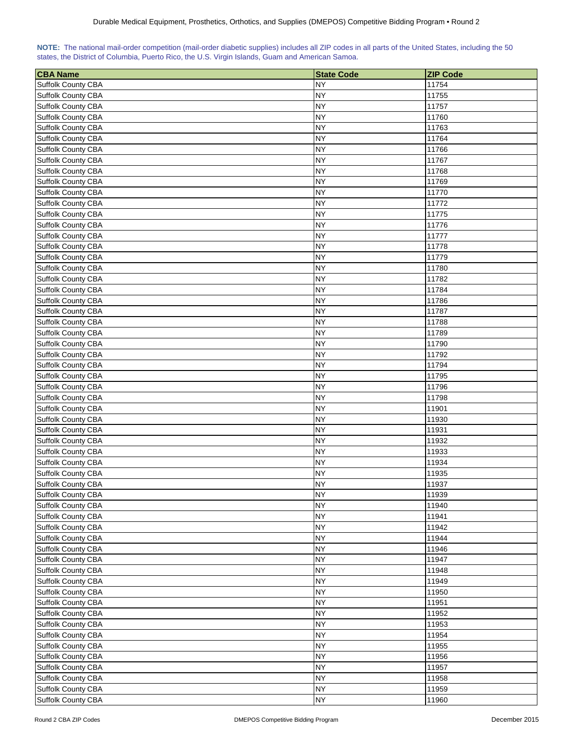| NOTE: The national mail-order competition (mail-order diabetic supplies) includes all ZIP codes in all parts of the United States, including the 50 |  |  |  |  |  |  |
|-----------------------------------------------------------------------------------------------------------------------------------------------------|--|--|--|--|--|--|
| states, the District of Columbia, Puerto Rico, the U.S. Virgin Islands, Guam and American Samoa.                                                    |  |  |  |  |  |  |

| <b>CBA Name</b>                          | <b>State Code</b> | <b>ZIP Code</b> |
|------------------------------------------|-------------------|-----------------|
| Suffolk County CBA                       | <b>NY</b>         | 11754           |
| Suffolk County CBA                       | <b>NY</b>         | 11755           |
| Suffolk County CBA                       | <b>NY</b>         | 11757           |
| Suffolk County CBA                       | <b>NY</b>         | 11760           |
| <b>Suffolk County CBA</b>                | <b>NY</b>         | 11763           |
| <b>Suffolk County CBA</b>                | NY                | 11764           |
| <b>Suffolk County CBA</b>                | <b>NY</b>         | 11766           |
| <b>Suffolk County CBA</b>                | <b>NY</b>         | 11767           |
| Suffolk County CBA                       | <b>NY</b>         | 11768           |
| Suffolk County CBA                       | <b>NY</b>         | 11769           |
| Suffolk County CBA                       | <b>NY</b>         | 11770           |
| <b>Suffolk County CBA</b>                | <b>NY</b>         | 11772           |
| Suffolk County CBA                       | <b>NY</b>         | 11775           |
| Suffolk County CBA                       | <b>NY</b>         | 11776           |
| <b>Suffolk County CBA</b>                | <b>NY</b>         | 11777           |
| Suffolk County CBA                       | <b>NY</b>         | 11778           |
| Suffolk County CBA                       | <b>NY</b>         | 11779           |
| Suffolk County CBA                       | <b>NY</b>         | 11780           |
| Suffolk County CBA                       | <b>NY</b>         | 11782           |
| Suffolk County CBA                       | NΥ                | 11784           |
| Suffolk County CBA                       | <b>NY</b>         | 11786           |
| Suffolk County CBA                       | <b>NY</b>         | 11787           |
|                                          | <b>NY</b>         | 11788           |
| Suffolk County CBA<br>Suffolk County CBA | <b>NY</b>         |                 |
|                                          | <b>NY</b>         | 11789           |
| Suffolk County CBA                       | <b>NY</b>         | 11790<br>11792  |
| Suffolk County CBA                       |                   |                 |
| Suffolk County CBA                       | <b>NY</b>         | 11794           |
| Suffolk County CBA                       | <b>NY</b>         | 11795           |
| Suffolk County CBA                       | <b>NY</b>         | 11796           |
| Suffolk County CBA                       | <b>NY</b>         | 11798           |
| Suffolk County CBA                       | NΥ                | 11901           |
| Suffolk County CBA                       | <b>NY</b>         | 11930           |
| Suffolk County CBA                       | NΥ                | 11931           |
| Suffolk County CBA                       | <b>NY</b>         | 11932           |
| Suffolk County CBA                       | <b>NY</b>         | 11933           |
| Suffolk County CBA                       | <b>NY</b>         | 11934           |
| Suffolk County CBA                       | <b>NY</b>         | 11935           |
| Suffolk County CBA                       | <b>NY</b>         | 11937           |
| Suffolk County CBA                       | <b>NY</b>         | 11939           |
| Suffolk County CBA                       | <b>NY</b>         | 11940           |
| Suffolk County CBA                       | <b>NY</b>         | 11941           |
| Suffolk County CBA                       | <b>NY</b>         | 11942           |
| Suffolk County CBA                       | <b>NY</b>         | 11944           |
| Suffolk County CBA                       | <b>NY</b>         | 11946           |
| Suffolk County CBA                       | NΥ                | 11947           |
| Suffolk County CBA                       | <b>NY</b>         | 11948           |
| Suffolk County CBA                       | <b>NY</b>         | 11949           |
| Suffolk County CBA                       | <b>NY</b>         | 11950           |
| Suffolk County CBA                       | <b>NY</b>         | 11951           |
| Suffolk County CBA                       | <b>NY</b>         | 11952           |
| Suffolk County CBA                       | <b>NY</b>         | 11953           |
| Suffolk County CBA                       | <b>NY</b>         | 11954           |
| Suffolk County CBA                       | <b>NY</b>         | 11955           |
| Suffolk County CBA                       | <b>NY</b>         | 11956           |
| Suffolk County CBA                       | <b>NY</b>         | 11957           |
| Suffolk County CBA                       | <b>NY</b>         | 11958           |
| Suffolk County CBA                       | <b>NY</b>         | 11959           |
| Suffolk County CBA                       | <b>NY</b>         | 11960           |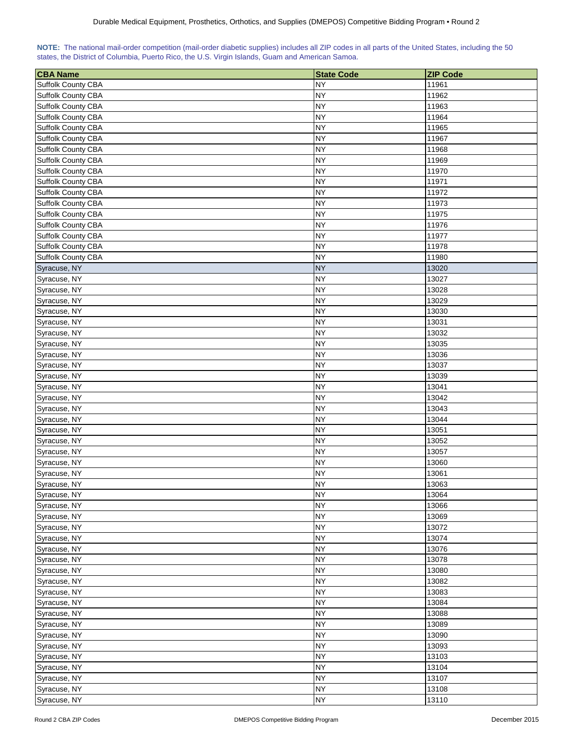| NOTE: The national mail-order competition (mail-order diabetic supplies) includes all ZIP codes in all parts of the United States, including the 50 |  |  |  |  |  |  |
|-----------------------------------------------------------------------------------------------------------------------------------------------------|--|--|--|--|--|--|
| states, the District of Columbia, Puerto Rico, the U.S. Virgin Islands, Guam and American Samoa.                                                    |  |  |  |  |  |  |

| <b>CBA</b> Name           | <b>State Code</b>      | <b>ZIP Code</b> |
|---------------------------|------------------------|-----------------|
| <b>Suffolk County CBA</b> | <b>NY</b>              | 11961           |
| Suffolk County CBA        | <b>NY</b>              | 11962           |
| Suffolk County CBA        | <b>NY</b>              | 11963           |
| Suffolk County CBA        | <b>NY</b>              | 11964           |
| Suffolk County CBA        | <b>NY</b>              | 11965           |
| Suffolk County CBA        | <b>NY</b>              | 11967           |
| Suffolk County CBA        | NY                     | 11968           |
| Suffolk County CBA        | NY                     | 11969           |
| Suffolk County CBA        | <b>NY</b>              | 11970           |
| Suffolk County CBA        | <b>NY</b>              | 11971           |
| Suffolk County CBA        | <b>NY</b>              | 11972           |
| Suffolk County CBA        | <b>NY</b>              | 11973           |
| Suffolk County CBA        | NY                     | 11975           |
| Suffolk County CBA        | <b>NY</b>              | 11976           |
| Suffolk County CBA        | NY                     | 11977           |
| Suffolk County CBA        | <b>NY</b>              | 11978           |
| Suffolk County CBA        | <b>NY</b>              | 11980           |
| Syracuse, NY              | <b>NY</b>              | 13020           |
| Syracuse, NY              | <b>NY</b>              | 13027           |
| Syracuse, NY              | <b>NY</b>              | 13028           |
| Syracuse, NY              | <b>NY</b>              | 13029           |
| Syracuse, NY              | <b>NY</b>              | 13030           |
| Syracuse, NY              | <b>NY</b>              | 13031           |
| Syracuse, NY              | <b>NY</b>              | 13032           |
| Syracuse, NY              | <b>NY</b>              | 13035           |
| Syracuse, NY              | <b>NY</b>              | 13036           |
|                           |                        |                 |
| Syracuse, NY              | NY<br><b>NY</b>        | 13037           |
| Syracuse, NY              | <b>NY</b>              | 13039           |
| Syracuse, NY              |                        | 13041           |
| Syracuse, NY              | <b>NY</b><br><b>NY</b> | 13042           |
| Syracuse, NY              |                        | 13043           |
| Syracuse, NY              | NΥ                     | 13044           |
| Syracuse, NY              | NΥ                     | 13051           |
| Syracuse, NY              | NY                     | 13052           |
| Syracuse, NY              | <b>NY</b>              | 13057           |
| Syracuse, NY              | <b>NY</b>              | 13060           |
| Syracuse, NY              | <b>NY</b>              | 13061           |
| Syracuse, NY              | <b>NY</b>              | 13063           |
| Syracuse, NY              | <b>NY</b>              | 13064           |
| Syracuse, NY              | <b>NY</b>              | 13066           |
| Syracuse, NY              | <b>NY</b>              | 13069           |
| Syracuse, NY              | <b>NY</b>              | 13072           |
| Syracuse, NY              | <b>NY</b>              | 13074           |
| Syracuse, NY              | <b>NY</b>              | 13076           |
| Syracuse, NY              | <b>NY</b>              | 13078           |
| Syracuse, NY              | NY                     | 13080           |
| Syracuse, NY              | <b>NY</b>              | 13082           |
| Syracuse, NY              | <b>NY</b>              | 13083           |
| Syracuse, NY              | <b>NY</b>              | 13084           |
| Syracuse, NY              | <b>NY</b>              | 13088           |
| Syracuse, NY              | <b>NY</b>              | 13089           |
| Syracuse, NY              | <b>NY</b>              | 13090           |
| Syracuse, NY              | <b>NY</b>              | 13093           |
| Syracuse, NY              | <b>NY</b>              | 13103           |
| Syracuse, NY              | <b>NY</b>              | 13104           |
| Syracuse, NY              | <b>NY</b>              | 13107           |
| Syracuse, NY              | <b>NY</b>              | 13108           |
| Syracuse, NY              | <b>NY</b>              | 13110           |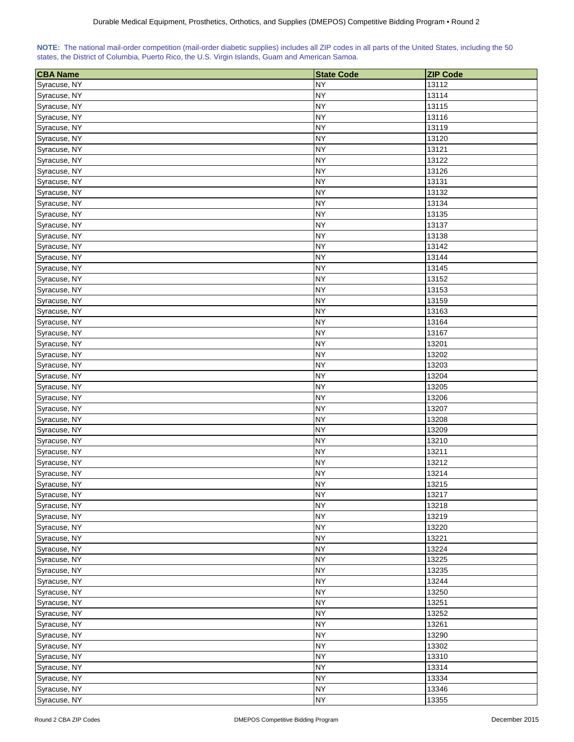| NOTE: The national mail-order competition (mail-order diabetic supplies) includes all ZIP codes in all parts of the United States, including the 50 |  |  |  |  |  |  |
|-----------------------------------------------------------------------------------------------------------------------------------------------------|--|--|--|--|--|--|
| states, the District of Columbia, Puerto Rico, the U.S. Virgin Islands, Guam and American Samoa.                                                    |  |  |  |  |  |  |

| <b>CBA Name</b> | <b>State Code</b> | <b>ZIP Code</b> |
|-----------------|-------------------|-----------------|
| Syracuse, NY    | NY                | 13112           |
| Syracuse, NY    | <b>NY</b>         | 13114           |
| Syracuse, NY    | <b>NY</b>         | 13115           |
| Syracuse, NY    | <b>NY</b>         | 13116           |
| Syracuse, NY    | NY.               | 13119           |
| Syracuse, NY    | <b>NY</b>         | 13120           |
| Syracuse, NY    | <b>NY</b>         | 13121           |
| Syracuse, NY    | <b>NY</b>         | 13122           |
| Syracuse, NY    | <b>NY</b>         | 13126           |
| Syracuse, NY    | <b>NY</b>         | 13131           |
| Syracuse, NY    | <b>NY</b>         | 13132           |
| Syracuse, NY    | <b>NY</b>         | 13134           |
| Syracuse, NY    | <b>NY</b>         | 13135           |
| Syracuse, NY    | <b>NY</b>         | 13137           |
| Syracuse, NY    | <b>NY</b>         | 13138           |
| Syracuse, NY    | <b>NY</b>         | 13142           |
| Syracuse, NY    | <b>NY</b>         | 13144           |
| Syracuse, NY    | <b>NY</b>         | 13145           |
| Syracuse, NY    | <b>NY</b>         | 13152           |
| Syracuse, NY    | <b>NY</b>         | 13153           |
| Syracuse, NY    | <b>NY</b>         | 13159           |
| Syracuse, NY    | <b>NY</b>         | 13163           |
| Syracuse, NY    | <b>NY</b>         | 13164           |
| Syracuse, NY    | <b>NY</b>         | 13167           |
| Syracuse, NY    | <b>NY</b>         | 13201           |
| Syracuse, NY    | <b>NY</b>         | 13202           |
| Syracuse, NY    | <b>NY</b>         | 13203           |
| Syracuse, NY    | <b>NY</b>         | 13204           |
| Syracuse, NY    | <b>NY</b>         | 13205           |
| Syracuse, NY    | <b>NY</b>         | 13206           |
| Syracuse, NY    | <b>NY</b>         | 13207           |
| Syracuse, NY    | <b>NY</b>         | 13208           |
| Syracuse, NY    | <b>NY</b>         | 13209           |
| Syracuse, NY    | <b>NY</b>         | 13210           |
| Syracuse, NY    | <b>NY</b>         | 13211           |
| Syracuse, NY    | <b>NY</b>         | 13212           |
| Syracuse, NY    | <b>NY</b>         | 13214           |
| Syracuse, NY    | <b>NY</b>         | 13215           |
| Syracuse, NY    | <b>NY</b>         | 13217           |
| Syracuse, NY    | <b>NY</b>         | 13218           |
| Syracuse, NY    | <b>NY</b>         | 13219           |
| Syracuse, NY    | <b>NY</b>         | 13220           |
| Syracuse, NY    | <b>NY</b>         | 13221           |
| Syracuse, NY    | <b>NY</b>         | 13224           |
| Syracuse, NY    | <b>NY</b>         | 13225           |
| Syracuse, NY    | <b>NY</b>         | 13235           |
| Syracuse, NY    | <b>NY</b>         | 13244           |
| Syracuse, NY    | <b>NY</b>         | 13250           |
| Syracuse, NY    | <b>NY</b>         | 13251           |
| Syracuse, NY    | <b>NY</b>         | 13252           |
| Syracuse, NY    | <b>NY</b>         | 13261           |
| Syracuse, NY    | <b>NY</b>         | 13290           |
| Syracuse, NY    | <b>NY</b>         | 13302           |
| Syracuse, NY    | <b>NY</b>         | 13310           |
| Syracuse, NY    | <b>NY</b>         | 13314           |
| Syracuse, NY    | <b>NY</b>         | 13334           |
| Syracuse, NY    | <b>NY</b>         | 13346           |
| Syracuse, NY    | <b>NY</b>         | 13355           |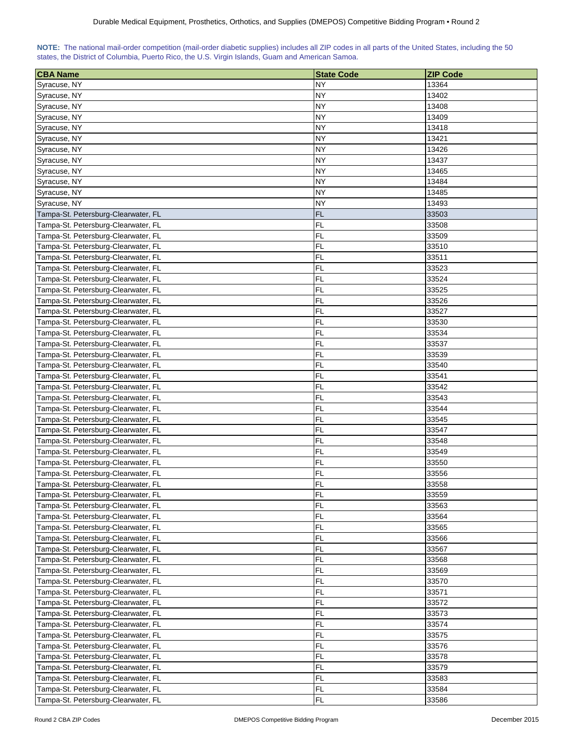|  |  | NOTE: The national mail-order competition (mail-order diabetic supplies) includes all ZIP codes in all parts of the United States, including the 50 |  |  |
|--|--|-----------------------------------------------------------------------------------------------------------------------------------------------------|--|--|
|  |  | states, the District of Columbia, Puerto Rico, the U.S. Virgin Islands, Guam and American Samoa.                                                    |  |  |

| <b>CBA Name</b>                     | <b>State Code</b>      | <b>ZIP Code</b> |
|-------------------------------------|------------------------|-----------------|
| Syracuse, NY                        | <b>NY</b>              | 13364           |
| Syracuse, NY                        | <b>NY</b>              | 13402           |
| Syracuse, NY                        | <b>NY</b>              | 13408           |
| Syracuse, NY                        | <b>NY</b>              | 13409           |
| Syracuse, NY                        | <b>NY</b>              | 13418           |
| Syracuse, NY                        | <b>NY</b>              | 13421           |
| Syracuse, NY                        | NΥ                     | 13426           |
| Syracuse, NY                        | NY                     | 13437           |
| Syracuse, NY                        | <b>NY</b>              | 13465           |
| Syracuse, NY                        | <b>NY</b>              | 13484           |
| Syracuse, NY                        | <b>NY</b>              | 13485           |
| Syracuse, NY                        | <b>NY</b>              | 13493           |
| Tampa-St. Petersburg-Clearwater, FL | <b>FL</b>              | 33503           |
| Tampa-St. Petersburg-Clearwater, FL | <b>FL</b>              | 33508           |
| Tampa-St. Petersburg-Clearwater, FL | <b>FL</b>              | 33509           |
| Tampa-St. Petersburg-Clearwater, FL | <b>FL</b>              | 33510           |
| Tampa-St. Petersburg-Clearwater, FL | <b>FL</b>              | 33511           |
| Tampa-St. Petersburg-Clearwater, FL | <b>FL</b>              | 33523           |
| Tampa-St. Petersburg-Clearwater, FL | <b>FL</b>              | 33524           |
| Tampa-St. Petersburg-Clearwater, FL | <b>FL</b>              | 33525           |
| Tampa-St. Petersburg-Clearwater, FL | <b>FL</b>              | 33526           |
| Tampa-St. Petersburg-Clearwater, FL | <b>FL</b>              | 33527           |
|                                     | <b>FL</b>              |                 |
| Tampa-St. Petersburg-Clearwater, FL | <b>FL</b>              | 33530<br>33534  |
| Tampa-St. Petersburg-Clearwater, FL | <b>FL</b>              |                 |
| Tampa-St. Petersburg-Clearwater, FL | FL                     | 33537<br>33539  |
| Tampa-St. Petersburg-Clearwater, FL |                        |                 |
| Tampa-St. Petersburg-Clearwater, FL | FL                     | 33540           |
| Tampa-St. Petersburg-Clearwater, FL | FL                     | 33541           |
| Tampa-St. Petersburg-Clearwater, FL | FL                     | 33542           |
| Tampa-St. Petersburg-Clearwater, FL | <b>FL</b><br><b>FL</b> | 33543<br>33544  |
| Tampa-St. Petersburg-Clearwater, FL |                        |                 |
| Tampa-St. Petersburg-Clearwater, FL | <b>FL</b>              | 33545           |
| Tampa-St. Petersburg-Clearwater, FL | <b>FL</b><br><b>FL</b> | 33547           |
| Tampa-St. Petersburg-Clearwater, FL | <b>FL</b>              | 33548           |
| Tampa-St. Petersburg-Clearwater, FL |                        | 33549           |
| Tampa-St. Petersburg-Clearwater, FL | <b>FL</b>              | 33550           |
| Tampa-St. Petersburg-Clearwater, FL | <b>FL</b>              | 33556           |
| Tampa-St. Petersburg-Clearwater, FL | FL                     | 33558           |
| Tampa-St. Petersburg-Clearwater, FL | FL                     | 33559           |
| Tampa-St. Petersburg-Clearwater, FL | FL                     | 33563           |
| Tampa-St. Petersburg-Clearwater, FL | FL                     | 33564           |
| Tampa-St. Petersburg-Clearwater, FL | FL                     | 33565           |
| Tampa-St. Petersburg-Clearwater, FL | FL                     | 33566           |
| Tampa-St. Petersburg-Clearwater, FL | FL                     | 33567           |
| Tampa-St. Petersburg-Clearwater, FL | FL                     | 33568           |
| Tampa-St. Petersburg-Clearwater, FL | FL                     | 33569           |
| Tampa-St. Petersburg-Clearwater, FL | <b>FL</b>              | 33570           |
| Tampa-St. Petersburg-Clearwater, FL | <b>FL</b>              | 33571           |
| Tampa-St. Petersburg-Clearwater, FL | <b>FL</b>              | 33572           |
| Tampa-St. Petersburg-Clearwater, FL | <b>FL</b>              | 33573           |
| Tampa-St. Petersburg-Clearwater, FL | <b>FL</b>              | 33574           |
| Tampa-St. Petersburg-Clearwater, FL | <b>FL</b>              | 33575           |
| Tampa-St. Petersburg-Clearwater, FL | FL                     | 33576           |
| Tampa-St. Petersburg-Clearwater, FL | FL                     | 33578           |
| Tampa-St. Petersburg-Clearwater, FL | <b>FL</b>              | 33579           |
| Tampa-St. Petersburg-Clearwater, FL | <b>FL</b>              | 33583           |
| Tampa-St. Petersburg-Clearwater, FL | FL                     | 33584           |
| Tampa-St. Petersburg-Clearwater, FL | FL                     | 33586           |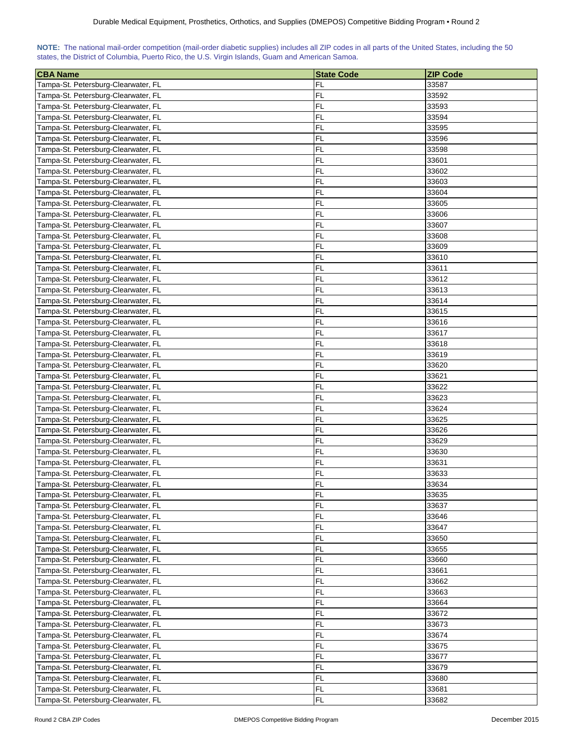| NOTE: The national mail-order competition (mail-order diabetic supplies) includes all ZIP codes in all parts of the United States, including the 50 |  |  |  |  |  |  |  |
|-----------------------------------------------------------------------------------------------------------------------------------------------------|--|--|--|--|--|--|--|
| states, the District of Columbia, Puerto Rico, the U.S. Virgin Islands, Guam and American Samoa.                                                    |  |  |  |  |  |  |  |

| <b>CBA Name</b>                     | <b>State Code</b> | <b>ZIP Code</b> |
|-------------------------------------|-------------------|-----------------|
| Tampa-St. Petersburg-Clearwater, FL | FL                | 33587           |
| Tampa-St. Petersburg-Clearwater, FL | FL                | 33592           |
| Tampa-St. Petersburg-Clearwater, FL | FL                | 33593           |
| Tampa-St. Petersburg-Clearwater, FL | FL                | 33594           |
| Tampa-St. Petersburg-Clearwater, FL | FL                | 33595           |
| Tampa-St. Petersburg-Clearwater, FL | FL                | 33596           |
| Tampa-St. Petersburg-Clearwater, FL | FL                | 33598           |
| Tampa-St. Petersburg-Clearwater, FL | FL                | 33601           |
| Tampa-St. Petersburg-Clearwater, FL | FL                | 33602           |
| Tampa-St. Petersburg-Clearwater, FL | FL                | 33603           |
| Tampa-St. Petersburg-Clearwater, FL | FL                | 33604           |
| Tampa-St. Petersburg-Clearwater, FL | FL                | 33605           |
| Tampa-St. Petersburg-Clearwater, FL | FL                | 33606           |
| Tampa-St. Petersburg-Clearwater, FL | FL                | 33607           |
| Tampa-St. Petersburg-Clearwater, FL | <b>FL</b>         | 33608           |
| Tampa-St. Petersburg-Clearwater, FL | FL                | 33609           |
| Tampa-St. Petersburg-Clearwater, FL | FL                | 33610           |
| Tampa-St. Petersburg-Clearwater, FL | FL                | 33611           |
| Tampa-St. Petersburg-Clearwater, FL | FL                | 33612           |
| Tampa-St. Petersburg-Clearwater, FL | FL                | 33613           |
| Tampa-St. Petersburg-Clearwater, FL | <b>FL</b>         | 33614           |
| Tampa-St. Petersburg-Clearwater, FL | FL                | 33615           |
| Tampa-St. Petersburg-Clearwater, FL | FL                | 33616           |
| Tampa-St. Petersburg-Clearwater, FL | FL                | 33617           |
| Tampa-St. Petersburg-Clearwater, FL | <b>FL</b>         | 33618           |
| Tampa-St. Petersburg-Clearwater, FL | FL                | 33619           |
| Tampa-St. Petersburg-Clearwater, FL | FL                | 33620           |
| Tampa-St. Petersburg-Clearwater, FL | FL                | 33621           |
| Tampa-St. Petersburg-Clearwater, FL | FL                | 33622           |
| Tampa-St. Petersburg-Clearwater, FL | FL                | 33623           |
| Tampa-St. Petersburg-Clearwater, FL | FL                | 33624           |
| Tampa-St. Petersburg-Clearwater, FL | FL                | 33625           |
| Tampa-St. Petersburg-Clearwater, FL | FL                | 33626           |
| Tampa-St. Petersburg-Clearwater, FL | FL                | 33629           |
| Tampa-St. Petersburg-Clearwater, FL | FL                | 33630           |
| Tampa-St. Petersburg-Clearwater, FL | FL                | 33631           |
| Tampa-St. Petersburg-Clearwater, FL | <b>FL</b>         | 33633           |
| Tampa-St. Petersburg-Clearwater, FL | FL                | 33634           |
| Tampa-St. Petersburg-Clearwater, FL | <b>FL</b>         | 33635           |
| Tampa-St. Petersburg-Clearwater, FL | <b>FL</b>         | 33637           |
| Tampa-St. Petersburg-Clearwater, FL | FL                | 33646           |
| Tampa-St. Petersburg-Clearwater, FL | <b>FL</b>         | 33647           |
| Tampa-St. Petersburg-Clearwater, FL | FL                | 33650           |
| Tampa-St. Petersburg-Clearwater, FL | FL                | 33655           |
| Tampa-St. Petersburg-Clearwater, FL | <b>FL</b>         | 33660           |
| Tampa-St. Petersburg-Clearwater, FL | FL                | 33661           |
| Tampa-St. Petersburg-Clearwater, FL | FL                | 33662           |
| Tampa-St. Petersburg-Clearwater, FL | FL                | 33663           |
| Tampa-St. Petersburg-Clearwater, FL | <b>FL</b>         | 33664           |
| Tampa-St. Petersburg-Clearwater, FL | <b>FL</b>         | 33672           |
| Tampa-St. Petersburg-Clearwater, FL | FL                | 33673           |
| Tampa-St. Petersburg-Clearwater, FL | FL                | 33674           |
| Tampa-St. Petersburg-Clearwater, FL | FL                | 33675           |
| Tampa-St. Petersburg-Clearwater, FL | FL                | 33677           |
| Tampa-St. Petersburg-Clearwater, FL | <b>FL</b>         | 33679           |
| Tampa-St. Petersburg-Clearwater, FL | FL                | 33680           |
| Tampa-St. Petersburg-Clearwater, FL | <b>FL</b>         | 33681           |
| Tampa-St. Petersburg-Clearwater, FL | <b>FL</b>         | 33682           |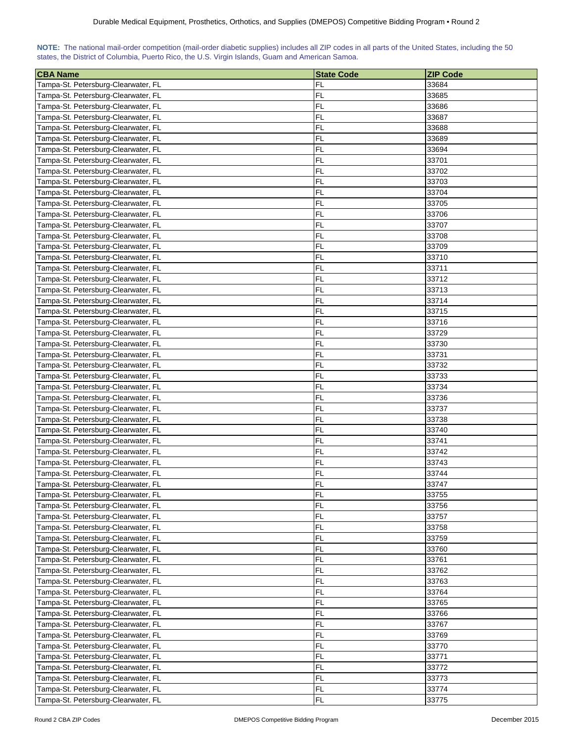| NOTE: The national mail-order competition (mail-order diabetic supplies) includes all ZIP codes in all parts of the United States, including the 50 |  |  |  |  |  |  |  |
|-----------------------------------------------------------------------------------------------------------------------------------------------------|--|--|--|--|--|--|--|
| states, the District of Columbia, Puerto Rico, the U.S. Virgin Islands, Guam and American Samoa.                                                    |  |  |  |  |  |  |  |

| <b>CBA Name</b>                     | <b>State Code</b> | <b>ZIP Code</b> |
|-------------------------------------|-------------------|-----------------|
| Tampa-St. Petersburg-Clearwater, FL | FL                | 33684           |
| Tampa-St. Petersburg-Clearwater, FL | FL                | 33685           |
| Tampa-St. Petersburg-Clearwater, FL | FL                | 33686           |
| Tampa-St. Petersburg-Clearwater, FL | FL                | 33687           |
| Tampa-St. Petersburg-Clearwater, FL | FL                | 33688           |
| Tampa-St. Petersburg-Clearwater, FL | FL                | 33689           |
| Tampa-St. Petersburg-Clearwater, FL | FL                | 33694           |
| Tampa-St. Petersburg-Clearwater, FL | FL                | 33701           |
| Tampa-St. Petersburg-Clearwater, FL | FL                | 33702           |
| Tampa-St. Petersburg-Clearwater, FL | FL                | 33703           |
| Tampa-St. Petersburg-Clearwater, FL | FL                | 33704           |
| Tampa-St. Petersburg-Clearwater, FL | FL                | 33705           |
| Tampa-St. Petersburg-Clearwater, FL | FL                | 33706           |
| Tampa-St. Petersburg-Clearwater, FL | FL                | 33707           |
| Tampa-St. Petersburg-Clearwater, FL | <b>FL</b>         | 33708           |
| Tampa-St. Petersburg-Clearwater, FL | FL                | 33709           |
| Tampa-St. Petersburg-Clearwater, FL | FL                | 33710           |
| Tampa-St. Petersburg-Clearwater, FL | FL                | 33711           |
| Tampa-St. Petersburg-Clearwater, FL | FL                | 33712           |
| Tampa-St. Petersburg-Clearwater, FL | FL                | 33713           |
| Tampa-St. Petersburg-Clearwater, FL | <b>FL</b>         | 33714           |
| Tampa-St. Petersburg-Clearwater, FL | FL                | 33715           |
| Tampa-St. Petersburg-Clearwater, FL | FL                | 33716           |
| Tampa-St. Petersburg-Clearwater, FL | FL                | 33729           |
| Tampa-St. Petersburg-Clearwater, FL | <b>FL</b>         | 33730           |
| Tampa-St. Petersburg-Clearwater, FL | FL                | 33731           |
| Tampa-St. Petersburg-Clearwater, FL | FL                | 33732           |
| Tampa-St. Petersburg-Clearwater, FL | FL                | 33733           |
| Tampa-St. Petersburg-Clearwater, FL | FL                | 33734           |
| Tampa-St. Petersburg-Clearwater, FL | FL                | 33736           |
| Tampa-St. Petersburg-Clearwater, FL | FL                | 33737           |
| Tampa-St. Petersburg-Clearwater, FL | FL                | 33738           |
| Tampa-St. Petersburg-Clearwater, FL | FL                | 33740           |
| Tampa-St. Petersburg-Clearwater, FL | FL                | 33741           |
| Tampa-St. Petersburg-Clearwater, FL | FL                | 33742           |
| Tampa-St. Petersburg-Clearwater, FL | FL                | 33743           |
| Tampa-St. Petersburg-Clearwater, FL | <b>FL</b>         | 33744           |
| Tampa-St. Petersburg-Clearwater, FL | FL                | 33747           |
| Tampa-St. Petersburg-Clearwater, FL | <b>FL</b>         | 33755           |
| Tampa-St. Petersburg-Clearwater, FL | <b>FL</b>         | 33756           |
| Tampa-St. Petersburg-Clearwater, FL | FL                | 33757           |
| Tampa-St. Petersburg-Clearwater, FL | <b>FL</b>         | 33758           |
| Tampa-St. Petersburg-Clearwater, FL | FL                | 33759           |
| Tampa-St. Petersburg-Clearwater, FL | FL                | 33760           |
| Tampa-St. Petersburg-Clearwater, FL | <b>FL</b>         | 33761           |
| Tampa-St. Petersburg-Clearwater, FL | FL                | 33762           |
| Tampa-St. Petersburg-Clearwater, FL | FL                | 33763           |
| Tampa-St. Petersburg-Clearwater, FL | FL                | 33764           |
| Tampa-St. Petersburg-Clearwater, FL | FL                | 33765           |
| Tampa-St. Petersburg-Clearwater, FL | FL                | 33766           |
| Tampa-St. Petersburg-Clearwater, FL | FL                | 33767           |
| Tampa-St. Petersburg-Clearwater, FL | FL                | 33769           |
| Tampa-St. Petersburg-Clearwater, FL | FL                | 33770           |
| Tampa-St. Petersburg-Clearwater, FL | FL                | 33771           |
| Tampa-St. Petersburg-Clearwater, FL | FL                | 33772           |
| Tampa-St. Petersburg-Clearwater, FL | FL                | 33773           |
| Tampa-St. Petersburg-Clearwater, FL | FL                | 33774           |
| Tampa-St. Petersburg-Clearwater, FL | <b>FL</b>         | 33775           |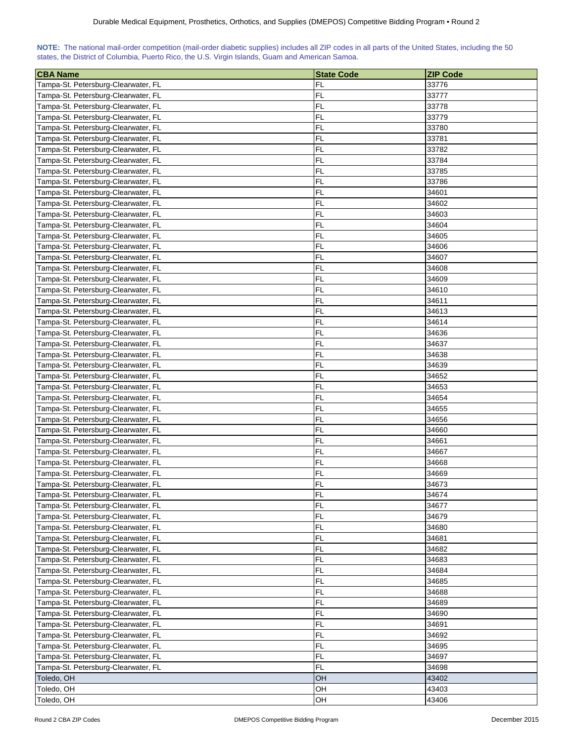| NOTE: The national mail-order competition (mail-order diabetic supplies) includes all ZIP codes in all parts of the United States, including the 50 |  |  |  |  |  |  |  |
|-----------------------------------------------------------------------------------------------------------------------------------------------------|--|--|--|--|--|--|--|
| states, the District of Columbia, Puerto Rico, the U.S. Virgin Islands, Guam and American Samoa.                                                    |  |  |  |  |  |  |  |

| <b>CBA Name</b>                                                            | <b>State Code</b> | <b>ZIP Code</b> |
|----------------------------------------------------------------------------|-------------------|-----------------|
| Tampa-St. Petersburg-Clearwater, FL                                        | FL                | 33776           |
| Tampa-St. Petersburg-Clearwater, FL                                        | FL                | 33777           |
| Tampa-St. Petersburg-Clearwater, FL                                        | FL                | 33778           |
| Tampa-St. Petersburg-Clearwater, FL                                        | FL                | 33779           |
| Tampa-St. Petersburg-Clearwater, FL                                        | FL                | 33780           |
| Tampa-St. Petersburg-Clearwater, FL                                        | FL                | 33781           |
| Tampa-St. Petersburg-Clearwater, FL                                        | FL                | 33782           |
| Tampa-St. Petersburg-Clearwater, FL                                        | FL                | 33784           |
| Tampa-St. Petersburg-Clearwater, FL                                        | FL                | 33785           |
| Tampa-St. Petersburg-Clearwater, FL                                        | FL                | 33786           |
| Tampa-St. Petersburg-Clearwater, FL                                        | FL                | 34601           |
| Tampa-St. Petersburg-Clearwater, FL                                        | FL                | 34602           |
| Tampa-St. Petersburg-Clearwater, FL                                        | FL                | 34603           |
| Tampa-St. Petersburg-Clearwater, FL                                        | FL                | 34604           |
| Tampa-St. Petersburg-Clearwater, FL                                        | FL                | 34605           |
| Tampa-St. Petersburg-Clearwater, FL                                        | FL                | 34606           |
| Tampa-St. Petersburg-Clearwater, FL                                        | FL                | 34607           |
| Tampa-St. Petersburg-Clearwater, FL                                        | FL                | 34608           |
| Tampa-St. Petersburg-Clearwater, FL                                        | FL                | 34609           |
| Tampa-St. Petersburg-Clearwater, FL                                        | FL                | 34610           |
| Tampa-St. Petersburg-Clearwater, FL                                        | <b>FL</b>         | 34611           |
| Tampa-St. Petersburg-Clearwater, FL                                        | FL                | 34613           |
| Tampa-St. Petersburg-Clearwater, FL                                        | FL                | 34614           |
| Tampa-St. Petersburg-Clearwater, FL                                        | FL                | 34636           |
| Tampa-St. Petersburg-Clearwater, FL                                        | <b>FL</b>         | 34637           |
| Tampa-St. Petersburg-Clearwater, FL                                        | FL                | 34638           |
| Tampa-St. Petersburg-Clearwater, FL                                        | FL                | 34639           |
| Tampa-St. Petersburg-Clearwater, FL                                        | FL                | 34652           |
| Tampa-St. Petersburg-Clearwater, FL                                        | FL                | 34653           |
| Tampa-St. Petersburg-Clearwater, FL                                        | FL                | 34654           |
| Tampa-St. Petersburg-Clearwater, FL                                        | FL                | 34655           |
| Tampa-St. Petersburg-Clearwater, FL                                        | FL                | 34656           |
| Tampa-St. Petersburg-Clearwater, FL                                        | FL                | 34660           |
| Tampa-St. Petersburg-Clearwater, FL                                        | FL                | 34661           |
| Tampa-St. Petersburg-Clearwater, FL                                        | FL                | 34667           |
| Tampa-St. Petersburg-Clearwater, FL                                        | FL                | 34668           |
| Tampa-St. Petersburg-Clearwater, FL                                        | <b>FL</b>         | 34669           |
| Tampa-St. Petersburg-Clearwater, FL                                        | FL                | 34673           |
| Tampa-St. Petersburg-Clearwater, FL                                        | <b>FL</b>         | 34674           |
| Tampa-St. Petersburg-Clearwater, FL                                        | <b>FL</b>         | 34677           |
| Tampa-St. Petersburg-Clearwater, FL                                        | FL                | 34679           |
| Tampa-St. Petersburg-Clearwater, FL                                        | FL                | 34680           |
| Tampa-St. Petersburg-Clearwater, FL                                        | FL                | 34681           |
| Tampa-St. Petersburg-Clearwater, FL                                        | FL                | 34682           |
| Tampa-St. Petersburg-Clearwater, FL                                        | <b>FL</b>         | 34683           |
| Tampa-St. Petersburg-Clearwater, FL                                        | <b>FL</b>         | 34684           |
| Tampa-St. Petersburg-Clearwater, FL                                        | FL.               | 34685           |
| Tampa-St. Petersburg-Clearwater, FL                                        | FL.               | 34688           |
| Tampa-St. Petersburg-Clearwater, FL                                        | FL                | 34689           |
| Tampa-St. Petersburg-Clearwater, FL                                        | FL                | 34690           |
| Tampa-St. Petersburg-Clearwater, FL                                        | FL                | 34691           |
|                                                                            | FL                |                 |
| Tampa-St. Petersburg-Clearwater, FL<br>Tampa-St. Petersburg-Clearwater, FL | FL                | 34692<br>34695  |
|                                                                            | FL                | 34697           |
| Tampa-St. Petersburg-Clearwater, FL                                        | <b>FL</b>         | 34698           |
| Tampa-St. Petersburg-Clearwater, FL<br>Toledo, OH                          | OH                | 43402           |
| Toledo, OH                                                                 | OH                | 43403           |
| Toledo, OH                                                                 | OH                | 43406           |
|                                                                            |                   |                 |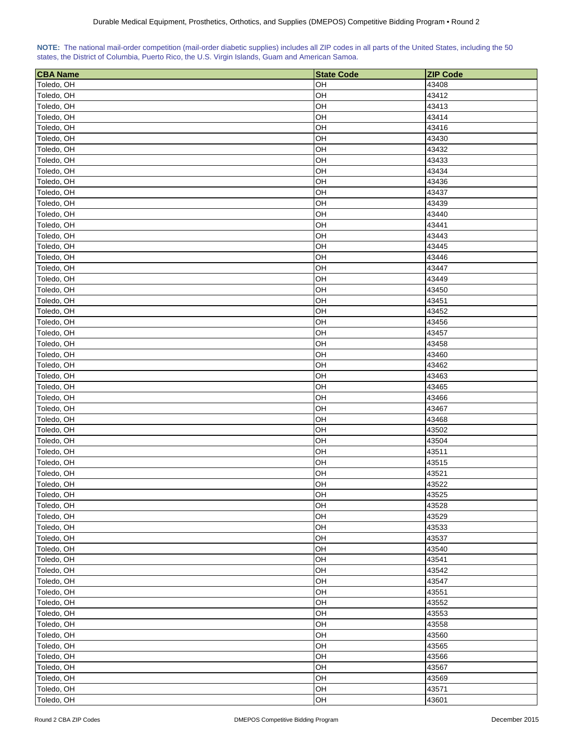| NOTE: The national mail-order competition (mail-order diabetic supplies) includes all ZIP codes in all parts of the United States, including the 50 |  |  |  |  |  |  |
|-----------------------------------------------------------------------------------------------------------------------------------------------------|--|--|--|--|--|--|
| states, the District of Columbia, Puerto Rico, the U.S. Virgin Islands, Guam and American Samoa.                                                    |  |  |  |  |  |  |

| <b>CBA Name</b> | <b>State Code</b> | <b>ZIP Code</b> |
|-----------------|-------------------|-----------------|
| Toledo, OH      | OН                | 43408           |
| Toledo, OH      | OH                | 43412           |
| Toledo, OH      | OH                | 43413           |
| Toledo, OH      | OH                | 43414           |
| Toledo, OH      | OH                | 43416           |
| Toledo, OH      | OH                | 43430           |
| Toledo, OH      | OH                | 43432           |
| Toledo, OH      | OH                | 43433           |
| Toledo, OH      | OH                | 43434           |
| Toledo, OH      | OH                | 43436           |
| Toledo, OH      | OH                | 43437           |
| Toledo, OH      | OH                | 43439           |
| Toledo, OH      | OH                | 43440           |
| Toledo, OH      | OH                | 43441           |
| Toledo, OH      | OH                | 43443           |
| Toledo, OH      | OH                | 43445           |
| Toledo, OH      | OH                | 43446           |
| Toledo, OH      | OH                | 43447           |
| Toledo, OH      | OH                | 43449           |
| Toledo, OH      | OH                | 43450           |
| Toledo, OH      | OH                | 43451           |
| Toledo, OH      | OH                | 43452           |
| Toledo, OH      | OH                | 43456           |
| Toledo, OH      | OH                | 43457           |
| Toledo, OH      | OH                | 43458           |
| Toledo, OH      | OH                | 43460           |
| Toledo, OH      | OH                | 43462           |
| Toledo, OH      | OH                | 43463           |
| Toledo, OH      | OH                | 43465           |
| Toledo, OH      | OH                | 43466           |
| Toledo, OH      | OH                | 43467           |
| Toledo, OH      | OH                | 43468           |
| Toledo, OH      | OH                | 43502           |
| Toledo, OH      | OH                | 43504           |
| Toledo, OH      | OH                | 43511           |
| Toledo, OH      | OH                | 43515           |
| Toledo, OH      | OH                | 43521           |
| Toledo, OH      | OH                | 43522           |
| Toledo, OH      | OH                | 43525           |
| Toledo, OH      | OH                | 43528           |
| Toledo, OH      | OH                | 43529           |
| Toledo, OH      | OH                | 43533           |
| Toledo, OH      | OH                | 43537           |
| Toledo, OH      | OH                | 43540           |
| Toledo, OH      | OH                | 43541           |
| Toledo, OH      | OH                | 43542           |
| Toledo, OH      | OH                | 43547           |
| Toledo, OH      | OH                | 43551           |
| Toledo, OH      | OH                | 43552           |
| Toledo, OH      | OH                | 43553           |
| Toledo, OH      | OH                | 43558           |
| Toledo, OH      | OH                | 43560           |
| Toledo, OH      | OH                | 43565           |
| Toledo, OH      | OH                | 43566           |
| Toledo, OH      | OH                | 43567           |
| Toledo, OH      | OH                | 43569           |
| Toledo, OH      | OH                | 43571           |
| Toledo, OH      | OH                | 43601           |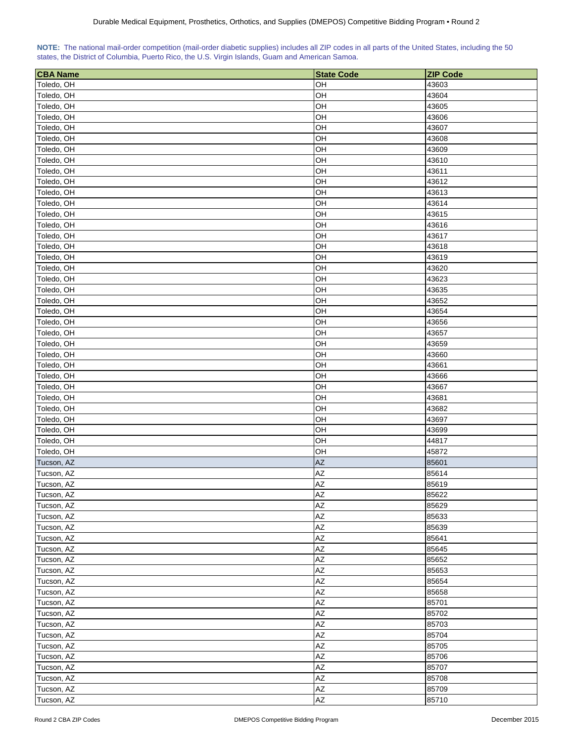| NOTE: The national mail-order competition (mail-order diabetic supplies) includes all ZIP codes in all parts of the United States, including the 50 |  |  |  |  |  |
|-----------------------------------------------------------------------------------------------------------------------------------------------------|--|--|--|--|--|
| states, the District of Columbia, Puerto Rico, the U.S. Virgin Islands, Guam and American Samoa.                                                    |  |  |  |  |  |

| <b>CBA Name</b> | <b>State Code</b> | <b>ZIP Code</b> |
|-----------------|-------------------|-----------------|
| Toledo, OH      | OH                | 43603           |
| Toledo, OH      | OH                | 43604           |
| Toledo, OH      | OH                | 43605           |
| Toledo, OH      | OH                | 43606           |
| Toledo, OH      | OH                | 43607           |
| Toledo, OH      | OH                | 43608           |
| Toledo, OH      | OH                | 43609           |
| Toledo, OH      | OH                | 43610           |
| Toledo, OH      | OH                | 43611           |
| Toledo, OH      | OH                | 43612           |
| Toledo, OH      | OH                | 43613           |
| Toledo, OH      | OH                | 43614           |
| Toledo, OH      | OH                | 43615           |
| Toledo, OH      | OH                | 43616           |
| Toledo, OH      | OH                | 43617           |
| Toledo, OH      | OH                | 43618           |
| Toledo, OH      | OH                | 43619           |
| Toledo, OH      | OH                | 43620           |
| Toledo, OH      | OH                | 43623           |
| Toledo, OH      | OH                | 43635           |
| Toledo, OH      | OH                | 43652           |
| Toledo, OH      | OH                | 43654           |
| Toledo, OH      | OH                | 43656           |
| Toledo, OH      | OH                | 43657           |
| Toledo, OH      | OH                | 43659           |
| Toledo, OH      | OH                | 43660           |
| Toledo, OH      | OH                | 43661           |
| Toledo, OH      | OH                | 43666           |
| Toledo, OH      | OH                | 43667           |
| Toledo, OH      | OH                | 43681           |
| Toledo, OH      | OH                | 43682           |
| Toledo, OH      | OH                | 43697           |
| Toledo, OH      | OH                | 43699           |
| Toledo, OH      | OH                | 44817           |
| Toledo, OH      | OH                | 45872           |
| Tucson, AZ      | <b>AZ</b>         | 85601           |
| Tucson, AZ      | AZ                | 85614           |
| Tucson, AZ      | AZ                | 85619           |
| Tucson, AZ      | <b>AZ</b>         | 85622           |
| Tucson, AZ      | AZ                | 85629           |
| Tucson, AZ      | AZ                | 85633           |
| Tucson, AZ      | AZ                | 85639           |
| Tucson, AZ      | AZ                | 85641           |
| Tucson, AZ      | AZ                | 85645           |
| Tucson, AZ      | AZ                | 85652           |
| Tucson, AZ      | AZ                | 85653           |
| Tucson, AZ      | AZ                | 85654           |
| Tucson, AZ      | AZ                | 85658           |
| Tucson, AZ      | AZ                | 85701           |
| Tucson, AZ      | AZ                | 85702           |
| Tucson, AZ      | AZ                | 85703           |
| Tucson, AZ      | AZ                | 85704           |
| Tucson, AZ      | AZ                | 85705           |
| Tucson, AZ      | AZ                | 85706           |
| Tucson, AZ      | ΑZ                | 85707           |
| Tucson, AZ      | AZ                | 85708           |
| Tucson, AZ      | AZ                | 85709           |
| Tucson, AZ      | AZ                | 85710           |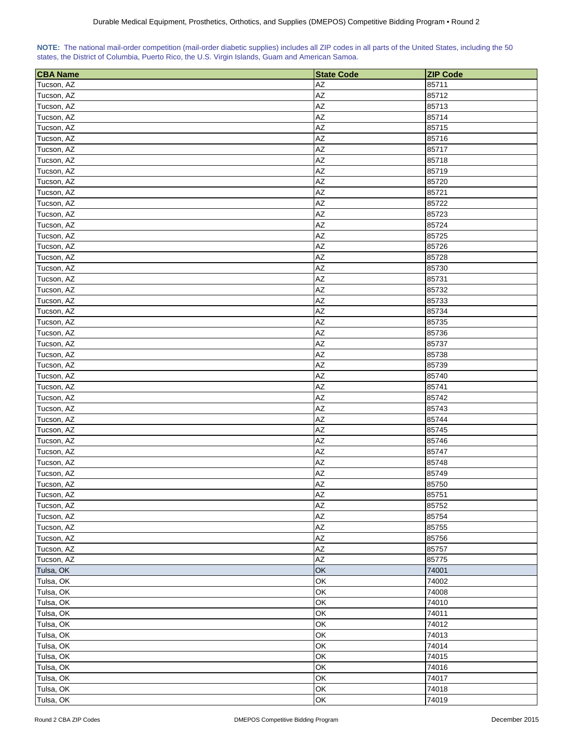| NOTE: The national mail-order competition (mail-order diabetic supplies) includes all ZIP codes in all parts of the United States, including the 50 |  |  |  |  |  |
|-----------------------------------------------------------------------------------------------------------------------------------------------------|--|--|--|--|--|
| states, the District of Columbia, Puerto Rico, the U.S. Virgin Islands, Guam and American Samoa.                                                    |  |  |  |  |  |

| <b>CBA Name</b> | <b>State Code</b>      | <b>ZIP Code</b> |
|-----------------|------------------------|-----------------|
| Tucson, AZ      | AZ                     | 85711           |
| Tucson, AZ      | AZ                     | 85712           |
| Tucson, AZ      | AZ                     | 85713           |
| Tucson, AZ      | AZ                     | 85714           |
| Tucson, AZ      | AZ                     | 85715           |
| Tucson, AZ      | $\mathsf{A}\mathsf{Z}$ | 85716           |
| Tucson, AZ      | $\mathsf{A}\mathsf{Z}$ | 85717           |
| Tucson, AZ      | AZ                     | 85718           |
| Tucson, AZ      | AZ                     | 85719           |
| Tucson, AZ      | AZ                     | 85720           |
| Tucson, AZ      | AZ                     | 85721           |
| Tucson, AZ      | AZ                     | 85722           |
| Tucson, AZ      | AZ                     | 85723           |
| Tucson, AZ      | AZ                     | 85724           |
| Tucson, AZ      | AZ                     | 85725           |
| Tucson, AZ      | AZ                     | 85726           |
| Tucson, AZ      | AZ                     | 85728           |
| Tucson, AZ      | AZ                     | 85730           |
| Tucson, AZ      | AZ                     | 85731           |
| Tucson, AZ      | AZ                     | 85732           |
| Tucson, AZ      | AZ                     | 85733           |
| Tucson, AZ      | AZ                     | 85734           |
| Tucson, AZ      | AZ                     | 85735           |
| Tucson, AZ      | AZ                     | 85736           |
| Tucson, AZ      | AZ                     | 85737           |
| Tucson, AZ      | AZ                     | 85738           |
| Tucson, AZ      | AZ                     | 85739           |
| Tucson, AZ      | AZ                     | 85740           |
| Tucson, AZ      | AZ                     | 85741           |
| Tucson, AZ      | AZ                     | 85742           |
| Tucson, AZ      | AZ                     | 85743           |
| Tucson, AZ      | AZ                     | 85744           |
| Tucson, AZ      | AZ                     | 85745           |
| Tucson, AZ      | AZ                     | 85746           |
| Tucson, AZ      | AZ                     | 85747           |
| Tucson, AZ      | AZ                     | 85748           |
| Tucson, AZ      | AZ                     | 85749           |
| Tucson, AZ      | AZ                     | 85750           |
| Tucson, AZ      | AZ                     | 85751           |
| Tucson, AZ      | AZ                     | 85752           |
| Tucson, AZ      | AZ                     | 85754           |
| Tucson, AZ      | AZ                     | 85755           |
| Tucson, AZ      | AZ                     | 85756           |
| Tucson, AZ      | AZ                     | 85757           |
| Tucson, AZ      | AZ                     | 85775           |
| Tulsa, OK       | OK                     | 74001           |
| Tulsa, OK       | OK                     | 74002           |
| Tulsa, OK       | OK                     | 74008           |
| Tulsa, OK       | OK                     | 74010           |
| Tulsa, OK       | OK                     | 74011           |
| Tulsa, OK       | OK                     | 74012           |
| Tulsa, OK       | OK                     | 74013           |
| Tulsa, OK       | OK                     | 74014           |
| Tulsa, OK       | OK                     | 74015           |
| Tulsa, OK       | OK                     | 74016           |
| Tulsa, OK       | OK                     | 74017           |
| Tulsa, OK       | OK                     | 74018           |
| Tulsa, OK       | OK                     | 74019           |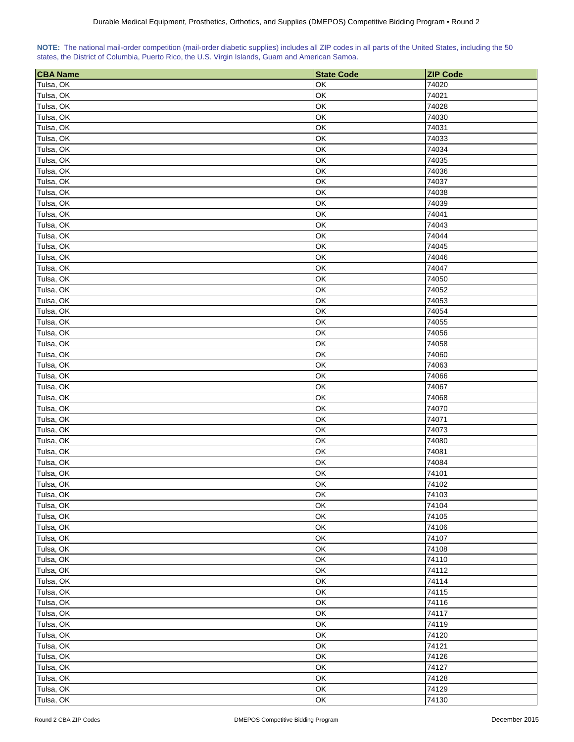| NOTE: The national mail-order competition (mail-order diabetic supplies) includes all ZIP codes in all parts of the United States, including the 50 |  |  |  |  |  |
|-----------------------------------------------------------------------------------------------------------------------------------------------------|--|--|--|--|--|
| states, the District of Columbia, Puerto Rico, the U.S. Virgin Islands, Guam and American Samoa.                                                    |  |  |  |  |  |

| <b>CBA Name</b>        | <b>State Code</b> | <b>ZIP Code</b> |
|------------------------|-------------------|-----------------|
| Tulsa, OK              | OK                | 74020           |
| Tulsa, OK              | OK                | 74021           |
| Tulsa, OK              | OK                | 74028           |
| Tulsa, OK              | OK                | 74030           |
| Tulsa, OK              | OK                | 74031           |
| Tulsa, OK              | OK                | 74033           |
| Tulsa, OK              | OK                | 74034           |
| Tulsa, OK              | OK                | 74035           |
| Tulsa, OK              | OK                | 74036           |
| Tulsa, OK              | OK                | 74037           |
| Tulsa, OK              | OK                | 74038           |
| Tulsa, OK              | OK                | 74039           |
| Tulsa, OK              | OK                | 74041           |
| Tulsa, OK              | OK                | 74043           |
| Tulsa, OK              | OK                | 74044           |
| Tulsa, OK              | OK                | 74045           |
| Tulsa, OK              | OK                | 74046           |
| Tulsa, OK              | OK                | 74047           |
|                        | OK                | 74050           |
| Tulsa, OK<br>Tulsa, OK | OK                | 74052           |
|                        |                   |                 |
| Tulsa, OK              | OK                | 74053           |
| Tulsa, OK              | OK                | 74054           |
| Tulsa, OK              | OK                | 74055           |
| Tulsa, OK              | OK                | 74056           |
| Tulsa, OK              | OK                | 74058           |
| Tulsa, OK              | OK                | 74060           |
| Tulsa, OK              | OK                | 74063           |
| Tulsa, OK              | OK                | 74066           |
| Tulsa, OK              | OK                | 74067           |
| Tulsa, OK              | OK                | 74068           |
| Tulsa, OK              | OK                | 74070           |
| Tulsa, OK              | OK                | 74071           |
| Tulsa, OK              | OK                | 74073           |
| Tulsa, OK              | OK                | 74080           |
| Tulsa, OK              | OK                | 74081           |
| Tulsa, OK              | OK                | 74084           |
| Tulsa, OK              | OK                | 74101           |
| Tulsa, OK              | OK<br>OK          | 74102           |
| Tulsa, OK              |                   | 74103           |
| Tulsa, OK              | OK                | 74104           |
| Tulsa, OK              | OK                | 74105           |
| Tulsa, OK              | OK                | 74106           |
| Tulsa, OK              | OK                | 74107           |
| Tulsa, OK              | OK                | 74108           |
| Tulsa, OK              | OK                | 74110           |
| Tulsa, OK              | OK                | 74112           |
| Tulsa, OK              | OK                | 74114           |
| Tulsa, OK              | OK                | 74115           |
| Tulsa, OK              | OK                | 74116           |
| Tulsa, OK              | OK                | 74117           |
| Tulsa, OK              | OK                | 74119           |
| Tulsa, OK              | OK                | 74120           |
| Tulsa, OK              | OK                | 74121           |
| Tulsa, OK              | OK                | 74126           |
| Tulsa, OK              | OK                | 74127           |
| Tulsa, OK              | OK                | 74128           |
| Tulsa, OK              | OK                | 74129           |
| Tulsa, OK              | OK                | 74130           |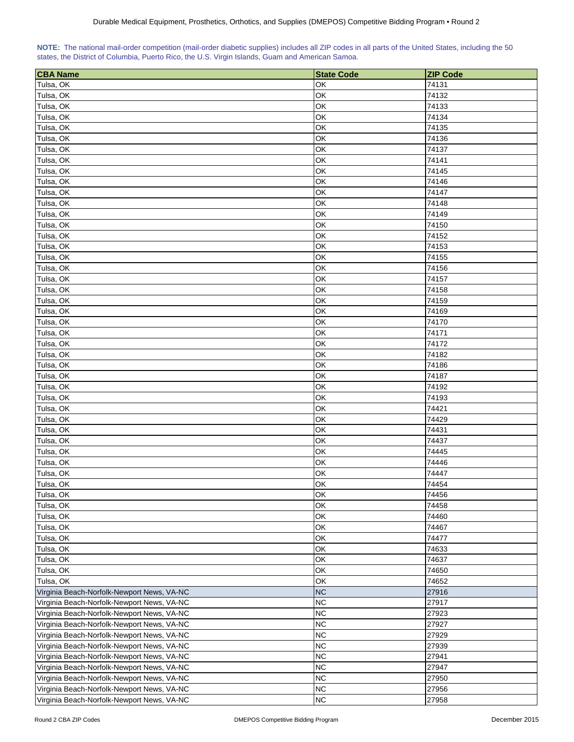| NOTE: The national mail-order competition (mail-order diabetic supplies) includes all ZIP codes in all parts of the United States, including the 50 |  |  |  |  |  |  |
|-----------------------------------------------------------------------------------------------------------------------------------------------------|--|--|--|--|--|--|
| states, the District of Columbia, Puerto Rico, the U.S. Virgin Islands, Guam and American Samoa.                                                    |  |  |  |  |  |  |

| <b>CBA Name</b>                            | <b>State Code</b> | <b>ZIP Code</b> |
|--------------------------------------------|-------------------|-----------------|
| Tulsa, OK                                  | OK                | 74131           |
| Tulsa, OK                                  | OK                | 74132           |
| Tulsa, OK                                  | OK                | 74133           |
| Tulsa, OK                                  | OK                | 74134           |
| Tulsa, OK                                  | OK                | 74135           |
| Tulsa, OK                                  | OK                | 74136           |
| Tulsa, OK                                  | OK                | 74137           |
| Tulsa, OK                                  | OK                | 74141           |
| Tulsa, OK                                  | OK                | 74145           |
| Tulsa, OK                                  | OK                | 74146           |
| Tulsa, OK                                  | OK                | 74147           |
| Tulsa, OK                                  | OK                | 74148           |
| Tulsa, OK                                  | OK                | 74149           |
| Tulsa, OK                                  | OK                | 74150           |
| Tulsa, OK                                  | OK                | 74152           |
| Tulsa, OK                                  | OK                | 74153           |
| Tulsa, OK                                  | OK                | 74155           |
| Tulsa, OK                                  | OK                | 74156           |
| Tulsa, OK                                  | OK                | 74157           |
| Tulsa, OK                                  | OK                | 74158           |
|                                            | OK                | 74159           |
| Tulsa, OK                                  |                   |                 |
| Tulsa, OK                                  | OK                | 74169           |
| Tulsa, OK                                  | OK                | 74170           |
| Tulsa, OK                                  | OK                | 74171           |
| Tulsa, OK                                  | OK                | 74172           |
| Tulsa, OK                                  | OK                | 74182           |
| Tulsa, OK                                  | OK                | 74186           |
| Tulsa, OK                                  | OK                | 74187           |
| Tulsa, OK                                  | OK                | 74192           |
| Tulsa, OK                                  | OK                | 74193           |
| Tulsa, OK                                  | OK                | 74421           |
| Tulsa, OK                                  | OK                | 74429           |
| Tulsa, OK                                  | OK                | 74431           |
| Tulsa, OK                                  | OK                | 74437           |
| Tulsa, OK                                  | OK                | 74445           |
| Tulsa, OK                                  | OK                | 74446           |
| Tulsa, OK                                  | OK                | 74447           |
| Tulsa, OK                                  | OK                | 74454           |
| Tulsa, OK                                  | OK                | 74456           |
| Tulsa, OK                                  | OK                | 74458           |
| Tulsa, OK                                  | OK                | 74460           |
| Tulsa, OK                                  | OK                | 74467           |
| Tulsa, OK                                  | OK                | 74477           |
| Tulsa, OK                                  | OK                | 74633           |
| Tulsa, OK                                  | OK                | 74637           |
| Tulsa, OK                                  | OK                | 74650           |
| Tulsa, OK                                  | OK                | 74652           |
| Virginia Beach-Norfolk-Newport News, VA-NC | <b>NC</b>         | 27916           |
| Virginia Beach-Norfolk-Newport News, VA-NC | <b>NC</b>         | 27917           |
| Virginia Beach-Norfolk-Newport News, VA-NC | <b>NC</b>         | 27923           |
| Virginia Beach-Norfolk-Newport News, VA-NC | <b>NC</b>         | 27927           |
| Virginia Beach-Norfolk-Newport News, VA-NC | <b>NC</b>         | 27929           |
| Virginia Beach-Norfolk-Newport News, VA-NC | <b>NC</b>         | 27939           |
| Virginia Beach-Norfolk-Newport News, VA-NC | <b>NC</b>         | 27941           |
| Virginia Beach-Norfolk-Newport News, VA-NC | <b>NC</b>         | 27947           |
| Virginia Beach-Norfolk-Newport News, VA-NC | <b>NC</b>         | 27950           |
| Virginia Beach-Norfolk-Newport News, VA-NC | <b>NC</b>         | 27956           |
| Virginia Beach-Norfolk-Newport News, VA-NC | <b>NC</b>         | 27958           |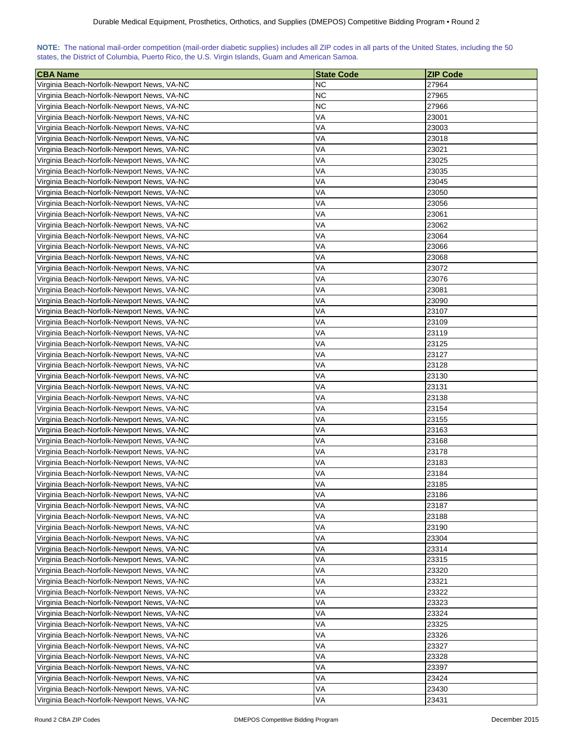| NOTE: The national mail-order competition (mail-order diabetic supplies) includes all ZIP codes in all parts of the United States, including the 50 |  |  |  |  |  |  |  |
|-----------------------------------------------------------------------------------------------------------------------------------------------------|--|--|--|--|--|--|--|
| states, the District of Columbia, Puerto Rico, the U.S. Virgin Islands, Guam and American Samoa.                                                    |  |  |  |  |  |  |  |

| <b>CBA Name</b>                                                                          | <b>State Code</b> | <b>ZIP Code</b> |
|------------------------------------------------------------------------------------------|-------------------|-----------------|
| Virginia Beach-Norfolk-Newport News, VA-NC                                               | ΝC                | 27964           |
| Virginia Beach-Norfolk-Newport News, VA-NC                                               | <b>NC</b>         | 27965           |
| Virginia Beach-Norfolk-Newport News, VA-NC                                               | ΝC                | 27966           |
| Virginia Beach-Norfolk-Newport News, VA-NC                                               | VA                | 23001           |
| Virginia Beach-Norfolk-Newport News, VA-NC                                               | VA                | 23003           |
| Virginia Beach-Norfolk-Newport News, VA-NC                                               | VA                | 23018           |
| Virginia Beach-Norfolk-Newport News, VA-NC                                               | VA                | 23021           |
| Virginia Beach-Norfolk-Newport News, VA-NC                                               | VA                | 23025           |
| Virginia Beach-Norfolk-Newport News, VA-NC                                               | VA                | 23035           |
| Virginia Beach-Norfolk-Newport News, VA-NC                                               | VA                | 23045           |
| Virginia Beach-Norfolk-Newport News, VA-NC                                               | VA                | 23050           |
| Virginia Beach-Norfolk-Newport News, VA-NC                                               | VA                | 23056           |
| Virginia Beach-Norfolk-Newport News, VA-NC                                               | VA                | 23061           |
| Virginia Beach-Norfolk-Newport News, VA-NC                                               | VA                | 23062           |
| Virginia Beach-Norfolk-Newport News, VA-NC                                               | VA                | 23064           |
| Virginia Beach-Norfolk-Newport News, VA-NC                                               | VA                | 23066           |
| Virginia Beach-Norfolk-Newport News, VA-NC                                               | VA                | 23068           |
| Virginia Beach-Norfolk-Newport News, VA-NC                                               | VA                | 23072           |
| Virginia Beach-Norfolk-Newport News, VA-NC                                               | VA                | 23076           |
| Virginia Beach-Norfolk-Newport News, VA-NC                                               | VA                | 23081           |
| Virginia Beach-Norfolk-Newport News, VA-NC                                               | VA                | 23090           |
| Virginia Beach-Norfolk-Newport News, VA-NC                                               | VA                | 23107           |
|                                                                                          | VA                | 23109           |
| Virginia Beach-Norfolk-Newport News, VA-NC<br>Virginia Beach-Norfolk-Newport News, VA-NC | VA                | 23119           |
|                                                                                          | VA                | 23125           |
| Virginia Beach-Norfolk-Newport News, VA-NC                                               |                   | 23127           |
| Virginia Beach-Norfolk-Newport News, VA-NC                                               | VA                |                 |
| Virginia Beach-Norfolk-Newport News, VA-NC                                               | VA                | 23128           |
| Virginia Beach-Norfolk-Newport News, VA-NC                                               | VA                | 23130           |
| Virginia Beach-Norfolk-Newport News, VA-NC                                               | VA                | 23131           |
| Virginia Beach-Norfolk-Newport News, VA-NC                                               | VA                | 23138           |
| Virginia Beach-Norfolk-Newport News, VA-NC                                               | VA                | 23154           |
| Virginia Beach-Norfolk-Newport News, VA-NC                                               | VA                | 23155           |
| Virginia Beach-Norfolk-Newport News, VA-NC                                               | VA                | 23163           |
| Virginia Beach-Norfolk-Newport News, VA-NC                                               | VA                | 23168           |
| Virginia Beach-Norfolk-Newport News, VA-NC                                               | VA                | 23178           |
| Virginia Beach-Norfolk-Newport News, VA-NC                                               | VA                | 23183           |
| Virginia Beach-Norfolk-Newport News, VA-NC                                               | VA                | 23184           |
| Virginia Beach-Norfolk-Newport News, VA-NC                                               | VA                | 23185           |
| Virginia Beach-Norfolk-Newport News, VA-NC                                               | VA                | 23186           |
| Virginia Beach-Norfolk-Newport News, VA-NC                                               | VA                | 23187           |
| Virginia Beach-Norfolk-Newport News, VA-NC                                               | VA                | 23188           |
| Virginia Beach-Norfolk-Newport News, VA-NC                                               | VA                | 23190           |
| Virginia Beach-Norfolk-Newport News, VA-NC                                               | VA                | 23304           |
| Virginia Beach-Norfolk-Newport News, VA-NC                                               | VA                | 23314           |
| Virginia Beach-Norfolk-Newport News, VA-NC                                               | VA                | 23315           |
| Virginia Beach-Norfolk-Newport News, VA-NC                                               | VA                | 23320           |
| Virginia Beach-Norfolk-Newport News, VA-NC                                               | VA                | 23321           |
| Virginia Beach-Norfolk-Newport News, VA-NC                                               | VA                | 23322           |
| Virginia Beach-Norfolk-Newport News, VA-NC                                               | VA                | 23323           |
| Virginia Beach-Norfolk-Newport News, VA-NC                                               | VA                | 23324           |
| Virginia Beach-Norfolk-Newport News, VA-NC                                               | VA                | 23325           |
| Virginia Beach-Norfolk-Newport News, VA-NC                                               | VA                | 23326           |
| Virginia Beach-Norfolk-Newport News, VA-NC                                               | VA                | 23327           |
| Virginia Beach-Norfolk-Newport News, VA-NC                                               | VA                | 23328           |
| Virginia Beach-Norfolk-Newport News, VA-NC                                               | VA                | 23397           |
| Virginia Beach-Norfolk-Newport News, VA-NC                                               | VA                | 23424           |
| Virginia Beach-Norfolk-Newport News, VA-NC                                               | VA                | 23430           |
| Virginia Beach-Norfolk-Newport News, VA-NC                                               | VA                | 23431           |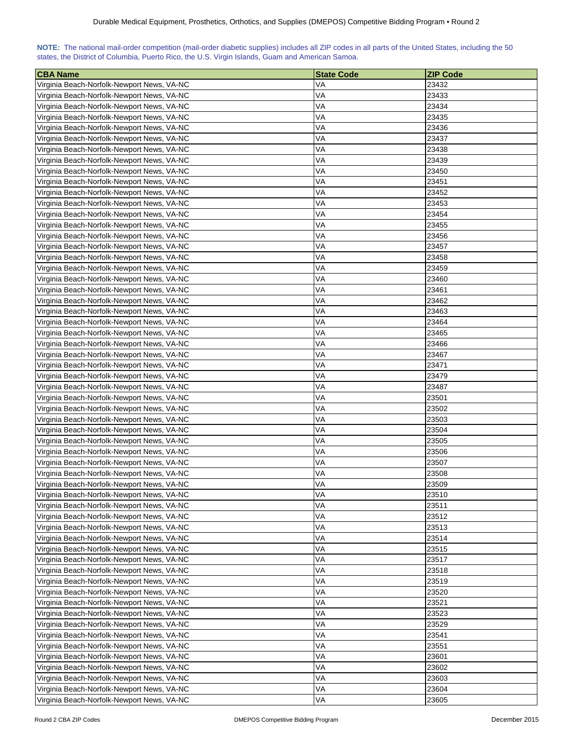| NOTE: The national mail-order competition (mail-order diabetic supplies) includes all ZIP codes in all parts of the United States, including the 50 |  |  |  |  |  |  |  |
|-----------------------------------------------------------------------------------------------------------------------------------------------------|--|--|--|--|--|--|--|
| states, the District of Columbia, Puerto Rico, the U.S. Virgin Islands, Guam and American Samoa.                                                    |  |  |  |  |  |  |  |

| <b>CBA Name</b>                            | <b>State Code</b> | <b>ZIP Code</b> |
|--------------------------------------------|-------------------|-----------------|
| Virginia Beach-Norfolk-Newport News, VA-NC | VA                | 23432           |
| Virginia Beach-Norfolk-Newport News, VA-NC | VA                | 23433           |
| Virginia Beach-Norfolk-Newport News, VA-NC | VA                | 23434           |
| Virginia Beach-Norfolk-Newport News, VA-NC | VA                | 23435           |
| Virginia Beach-Norfolk-Newport News, VA-NC | VA                | 23436           |
| Virginia Beach-Norfolk-Newport News, VA-NC | VA                | 23437           |
| Virginia Beach-Norfolk-Newport News, VA-NC | VA                | 23438           |
| Virginia Beach-Norfolk-Newport News, VA-NC | VA                | 23439           |
| Virginia Beach-Norfolk-Newport News, VA-NC | VA                | 23450           |
| Virginia Beach-Norfolk-Newport News, VA-NC | VA                | 23451           |
| Virginia Beach-Norfolk-Newport News, VA-NC | VA                | 23452           |
| Virginia Beach-Norfolk-Newport News, VA-NC | VA                | 23453           |
| Virginia Beach-Norfolk-Newport News, VA-NC | VA                | 23454           |
| Virginia Beach-Norfolk-Newport News, VA-NC | VA                | 23455           |
| Virginia Beach-Norfolk-Newport News, VA-NC | VA                | 23456           |
| Virginia Beach-Norfolk-Newport News, VA-NC | VA                | 23457           |
| Virginia Beach-Norfolk-Newport News, VA-NC | VA                | 23458           |
| Virginia Beach-Norfolk-Newport News, VA-NC | VA                | 23459           |
| Virginia Beach-Norfolk-Newport News, VA-NC | VA                | 23460           |
| Virginia Beach-Norfolk-Newport News, VA-NC | VA                | 23461           |
| Virginia Beach-Norfolk-Newport News, VA-NC | VA                | 23462           |
|                                            | VA                |                 |
| Virginia Beach-Norfolk-Newport News, VA-NC |                   | 23463           |
| Virginia Beach-Norfolk-Newport News, VA-NC | VA                | 23464           |
| Virginia Beach-Norfolk-Newport News, VA-NC | VA                | 23465           |
| Virginia Beach-Norfolk-Newport News, VA-NC | VA                | 23466           |
| Virginia Beach-Norfolk-Newport News, VA-NC | VA                | 23467           |
| Virginia Beach-Norfolk-Newport News, VA-NC | VA                | 23471           |
| Virginia Beach-Norfolk-Newport News, VA-NC | VA                | 23479           |
| Virginia Beach-Norfolk-Newport News, VA-NC | VA                | 23487           |
| Virginia Beach-Norfolk-Newport News, VA-NC | VA                | 23501           |
| Virginia Beach-Norfolk-Newport News, VA-NC | VA                | 23502           |
| Virginia Beach-Norfolk-Newport News, VA-NC | VA                | 23503           |
| Virginia Beach-Norfolk-Newport News, VA-NC | VA                | 23504           |
| Virginia Beach-Norfolk-Newport News, VA-NC | VA                | 23505           |
| Virginia Beach-Norfolk-Newport News, VA-NC | VA                | 23506           |
| Virginia Beach-Norfolk-Newport News, VA-NC | VA                | 23507           |
| Virginia Beach-Norfolk-Newport News, VA-NC | VA                | 23508           |
| Virginia Beach-Norfolk-Newport News, VA-NC | VA                | 23509           |
| Virginia Beach-Norfolk-Newport News, VA-NC | VA                | 23510           |
| Virginia Beach-Norfolk-Newport News, VA-NC | VA                | 23511           |
| Virginia Beach-Norfolk-Newport News, VA-NC | VA                | 23512           |
| Virginia Beach-Norfolk-Newport News, VA-NC | VA                | 23513           |
| Virginia Beach-Norfolk-Newport News, VA-NC | VA                | 23514           |
| Virginia Beach-Norfolk-Newport News, VA-NC | VA                | 23515           |
| Virginia Beach-Norfolk-Newport News, VA-NC | VA                | 23517           |
| Virginia Beach-Norfolk-Newport News, VA-NC | VA                | 23518           |
| Virginia Beach-Norfolk-Newport News, VA-NC | VA                | 23519           |
| Virginia Beach-Norfolk-Newport News, VA-NC | VA                | 23520           |
| Virginia Beach-Norfolk-Newport News, VA-NC | VA                | 23521           |
| Virginia Beach-Norfolk-Newport News, VA-NC | VA                | 23523           |
| Virginia Beach-Norfolk-Newport News, VA-NC | VA                | 23529           |
| Virginia Beach-Norfolk-Newport News, VA-NC | VA                | 23541           |
| Virginia Beach-Norfolk-Newport News, VA-NC | VA                | 23551           |
| Virginia Beach-Norfolk-Newport News, VA-NC | VA                | 23601           |
| Virginia Beach-Norfolk-Newport News, VA-NC | VA                | 23602           |
| Virginia Beach-Norfolk-Newport News, VA-NC | VA                | 23603           |
| Virginia Beach-Norfolk-Newport News, VA-NC | VA                | 23604           |
| Virginia Beach-Norfolk-Newport News, VA-NC | VA                | 23605           |
|                                            |                   |                 |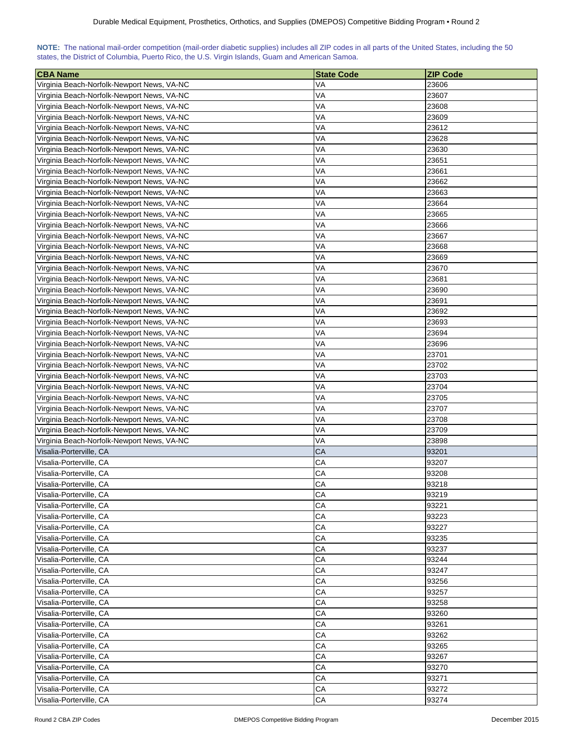| NOTE: The national mail-order competition (mail-order diabetic supplies) includes all ZIP codes in all parts of the United States, including the 50 |  |  |  |  |  |  |  |
|-----------------------------------------------------------------------------------------------------------------------------------------------------|--|--|--|--|--|--|--|
| states, the District of Columbia, Puerto Rico, the U.S. Virgin Islands, Guam and American Samoa.                                                    |  |  |  |  |  |  |  |

| <b>CBA Name</b>                            | <b>State Code</b> | <b>ZIP Code</b> |
|--------------------------------------------|-------------------|-----------------|
| Virginia Beach-Norfolk-Newport News, VA-NC | VA                | 23606           |
| Virginia Beach-Norfolk-Newport News, VA-NC | VA                | 23607           |
| Virginia Beach-Norfolk-Newport News, VA-NC | VA                | 23608           |
| Virginia Beach-Norfolk-Newport News, VA-NC | VA                | 23609           |
| Virginia Beach-Norfolk-Newport News, VA-NC | VA                | 23612           |
| Virginia Beach-Norfolk-Newport News, VA-NC | VA                | 23628           |
| Virginia Beach-Norfolk-Newport News, VA-NC | VA                | 23630           |
| Virginia Beach-Norfolk-Newport News, VA-NC | VA                | 23651           |
| Virginia Beach-Norfolk-Newport News, VA-NC | VA                | 23661           |
| Virginia Beach-Norfolk-Newport News, VA-NC | VA                | 23662           |
| Virginia Beach-Norfolk-Newport News, VA-NC | VA                | 23663           |
| Virginia Beach-Norfolk-Newport News, VA-NC | VA                | 23664           |
| Virginia Beach-Norfolk-Newport News, VA-NC | VA                | 23665           |
| Virginia Beach-Norfolk-Newport News, VA-NC | VA                | 23666           |
| Virginia Beach-Norfolk-Newport News, VA-NC | VA                | 23667           |
| Virginia Beach-Norfolk-Newport News, VA-NC | VA                | 23668           |
| Virginia Beach-Norfolk-Newport News, VA-NC | VA                | 23669           |
| Virginia Beach-Norfolk-Newport News, VA-NC | VA                | 23670           |
| Virginia Beach-Norfolk-Newport News, VA-NC | VA                | 23681           |
| Virginia Beach-Norfolk-Newport News, VA-NC | VA                | 23690           |
| Virginia Beach-Norfolk-Newport News, VA-NC | VA                | 23691           |
| Virginia Beach-Norfolk-Newport News, VA-NC | VA                | 23692           |
|                                            |                   |                 |
| Virginia Beach-Norfolk-Newport News, VA-NC | VA<br>VA          | 23693<br>23694  |
| Virginia Beach-Norfolk-Newport News, VA-NC |                   |                 |
| Virginia Beach-Norfolk-Newport News, VA-NC | VA                | 23696           |
| Virginia Beach-Norfolk-Newport News, VA-NC | VA                | 23701           |
| Virginia Beach-Norfolk-Newport News, VA-NC | VA                | 23702           |
| Virginia Beach-Norfolk-Newport News, VA-NC | VA                | 23703           |
| Virginia Beach-Norfolk-Newport News, VA-NC | VA                | 23704           |
| Virginia Beach-Norfolk-Newport News, VA-NC | VA                | 23705           |
| Virginia Beach-Norfolk-Newport News, VA-NC | VA                | 23707           |
| Virginia Beach-Norfolk-Newport News, VA-NC | VA                | 23708           |
| Virginia Beach-Norfolk-Newport News, VA-NC | VA                | 23709           |
| Virginia Beach-Norfolk-Newport News, VA-NC | VA                | 23898           |
| Visalia-Porterville, CA                    | CA                | 93201           |
| Visalia-Porterville, CA                    | CA                | 93207           |
| Visalia-Porterville, CA                    | СA                | 93208           |
| Visalia-Porterville, CA                    | CA                | 93218           |
| Visalia-Porterville, CA                    | CA                | 93219           |
| Visalia-Porterville, CA                    | CA                | 93221           |
| Visalia-Porterville, CA                    | CA                | 93223           |
| Visalia-Porterville, CA                    | СA                | 93227           |
| Visalia-Porterville, CA                    | CA                | 93235           |
| Visalia-Porterville, CA                    | CA                | 93237           |
| Visalia-Porterville, CA                    | CA                | 93244           |
| Visalia-Porterville, CA                    | CA                | 93247           |
| Visalia-Porterville, CA                    | CA                | 93256           |
| Visalia-Porterville, CA                    | CA                | 93257           |
| Visalia-Porterville, CA                    | CA                | 93258           |
| Visalia-Porterville, CA                    | CA                | 93260           |
| Visalia-Porterville, CA                    | CA                | 93261           |
| Visalia-Porterville, CA                    | CA                | 93262           |
| Visalia-Porterville, CA                    | CA                | 93265           |
| Visalia-Porterville, CA                    | CA                | 93267           |
|                                            | CA                |                 |
| Visalia-Porterville, CA                    |                   | 93270           |
| Visalia-Porterville, CA                    | СA                | 93271           |
| Visalia-Porterville, CA                    | CA                | 93272           |
| Visalia-Porterville, CA                    | CA                | 93274           |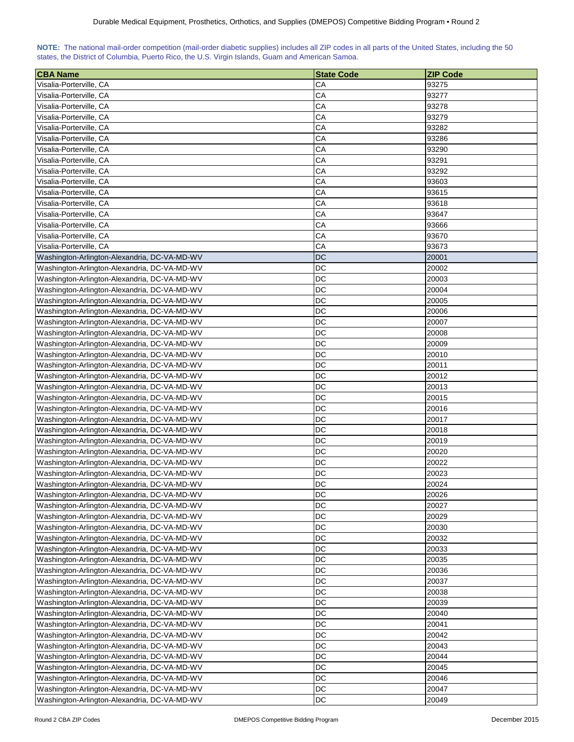## **NOTE:** The national mail-order competition (mail-order diabetic supplies) includes all ZIP codes in all parts of the United States, including the 50 states, the District of Columbia, Puerto Rico, the U.S. Virgin Islands, Guam and American Samoa.

| <b>CBA Name</b>                              | <b>State Code</b> | <b>ZIP Code</b> |
|----------------------------------------------|-------------------|-----------------|
| Visalia-Porterville, CA                      | СA                | 93275           |
| Visalia-Porterville, CA                      | CA                | 93277           |
| Visalia-Porterville, CA                      | CA                | 93278           |
| Visalia-Porterville, CA                      | CA                | 93279           |
| Visalia-Porterville, CA                      | CA                | 93282           |
| Visalia-Porterville, CA                      | CA                | 93286           |
| Visalia-Porterville, CA                      | CA                | 93290           |
| Visalia-Porterville, CA                      | CA                | 93291           |
| Visalia-Porterville, CA                      | CA                | 93292           |
| Visalia-Porterville, CA                      | CA                | 93603           |
| Visalia-Porterville, CA                      | CA                | 93615           |
| Visalia-Porterville, CA                      | CA                | 93618           |
| Visalia-Porterville, CA                      | CA                | 93647           |
| Visalia-Porterville, CA                      | CA                | 93666           |
| Visalia-Porterville, CA                      | CA                | 93670           |
| Visalia-Porterville, CA                      | CA                | 93673           |
| Washington-Arlington-Alexandria, DC-VA-MD-WV | DC                | 20001           |
|                                              | DC                | 20002           |
| Washington-Arlington-Alexandria, DC-VA-MD-WV | DC                |                 |
| Washington-Arlington-Alexandria, DC-VA-MD-WV | <b>DC</b>         | 20003           |
| Washington-Arlington-Alexandria, DC-VA-MD-WV |                   | 20004           |
| Washington-Arlington-Alexandria, DC-VA-MD-WV | DC                | 20005           |
| Washington-Arlington-Alexandria, DC-VA-MD-WV | DC                | 20006           |
| Washington-Arlington-Alexandria, DC-VA-MD-WV | <b>DC</b>         | 20007           |
| Washington-Arlington-Alexandria, DC-VA-MD-WV | DC                | 20008           |
| Washington-Arlington-Alexandria, DC-VA-MD-WV | DC                | 20009           |
| Washington-Arlington-Alexandria, DC-VA-MD-WV | DC                | 20010           |
| Washington-Arlington-Alexandria, DC-VA-MD-WV | DC                | 20011           |
| Washington-Arlington-Alexandria, DC-VA-MD-WV | DC                | 20012           |
| Washington-Arlington-Alexandria, DC-VA-MD-WV | DC                | 20013           |
| Washington-Arlington-Alexandria, DC-VA-MD-WV | DC<br>DC          | 20015           |
| Washington-Arlington-Alexandria, DC-VA-MD-WV |                   | 20016           |
| Washington-Arlington-Alexandria, DC-VA-MD-WV | DC                | 20017           |
| Washington-Arlington-Alexandria, DC-VA-MD-WV | DC                | 20018           |
| Washington-Arlington-Alexandria, DC-VA-MD-WV | DC                | 20019           |
| Washington-Arlington-Alexandria, DC-VA-MD-WV | DC                | 20020           |
| Washington-Arlington-Alexandria, DC-VA-MD-WV | DC                | 20022           |
| Washington-Arlington-Alexandria, DC-VA-MD-WV | <b>DC</b>         | 20023           |
| Washington-Arlington-Alexandria, DC-VA-MD-WV | DC                | 20024           |
| Washington-Arlington-Alexandria, DC-VA-MD-WV | DC                | 20026           |
| Washington-Arlington-Alexandria, DC-VA-MD-WV | DC                | 20027           |
| Washington-Arlington-Alexandria, DC-VA-MD-WV | DC                | 20029           |
| Washington-Arlington-Alexandria, DC-VA-MD-WV | DC                | 20030           |
| Washington-Arlington-Alexandria, DC-VA-MD-WV | DC                | 20032           |
| Washington-Arlington-Alexandria, DC-VA-MD-WV | DC                | 20033           |
| Washington-Arlington-Alexandria, DC-VA-MD-WV | DC                | 20035           |
| Washington-Arlington-Alexandria, DC-VA-MD-WV | DC                | 20036           |
| Washington-Arlington-Alexandria, DC-VA-MD-WV | DC                | 20037           |
| Washington-Arlington-Alexandria, DC-VA-MD-WV | DC                | 20038           |
| Washington-Arlington-Alexandria, DC-VA-MD-WV | DC                | 20039           |
| Washington-Arlington-Alexandria, DC-VA-MD-WV | DC                | 20040           |
| Washington-Arlington-Alexandria, DC-VA-MD-WV | <b>DC</b>         | 20041           |
| Washington-Arlington-Alexandria, DC-VA-MD-WV | <b>DC</b>         | 20042           |
| Washington-Arlington-Alexandria, DC-VA-MD-WV | <b>DC</b>         | 20043           |
| Washington-Arlington-Alexandria, DC-VA-MD-WV | <b>DC</b>         | 20044           |
| Washington-Arlington-Alexandria, DC-VA-MD-WV | DC                | 20045           |
| Washington-Arlington-Alexandria, DC-VA-MD-WV | DC                | 20046           |
| Washington-Arlington-Alexandria, DC-VA-MD-WV | <b>DC</b>         | 20047           |
| Washington-Arlington-Alexandria, DC-VA-MD-WV | DC                | 20049           |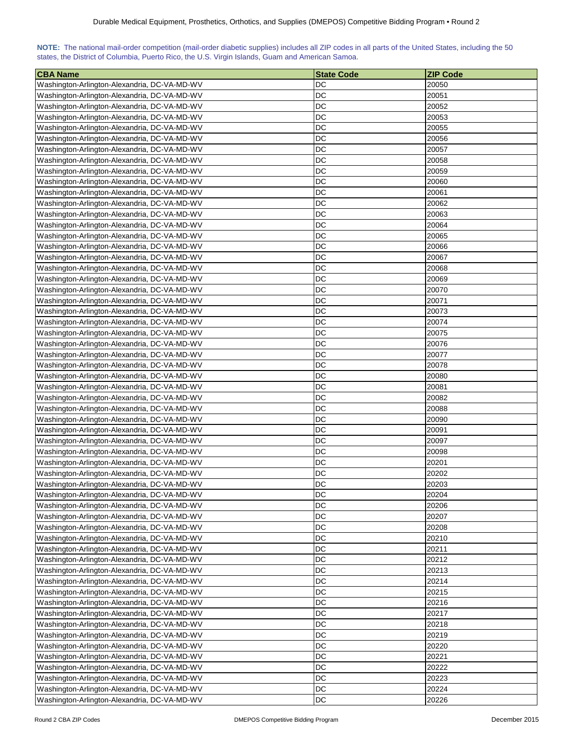| NOTE: The national mail-order competition (mail-order diabetic supplies) includes all ZIP codes in all parts of the United States, including the 50 |  |  |  |  |  |  |  |
|-----------------------------------------------------------------------------------------------------------------------------------------------------|--|--|--|--|--|--|--|
| states, the District of Columbia, Puerto Rico, the U.S. Virgin Islands, Guam and American Samoa.                                                    |  |  |  |  |  |  |  |

| <b>CBA Name</b>                                                                              | <b>State Code</b> | <b>ZIP Code</b> |
|----------------------------------------------------------------------------------------------|-------------------|-----------------|
| Washington-Arlington-Alexandria, DC-VA-MD-WV                                                 | DC                | 20050           |
| Washington-Arlington-Alexandria, DC-VA-MD-WV                                                 | DC                | 20051           |
| Washington-Arlington-Alexandria, DC-VA-MD-WV                                                 | DC                | 20052           |
| Washington-Arlington-Alexandria, DC-VA-MD-WV                                                 | DC                | 20053           |
| Washington-Arlington-Alexandria, DC-VA-MD-WV                                                 | DC                | 20055           |
| Washington-Arlington-Alexandria, DC-VA-MD-WV                                                 | DC                | 20056           |
| Washington-Arlington-Alexandria, DC-VA-MD-WV                                                 | DC                | 20057           |
| Washington-Arlington-Alexandria, DC-VA-MD-WV                                                 | DC                | 20058           |
| Washington-Arlington-Alexandria, DC-VA-MD-WV                                                 | DC                | 20059           |
| Washington-Arlington-Alexandria, DC-VA-MD-WV                                                 | DC                | 20060           |
| Washington-Arlington-Alexandria, DC-VA-MD-WV                                                 | DC                | 20061           |
| Washington-Arlington-Alexandria, DC-VA-MD-WV                                                 | DC                | 20062           |
| Washington-Arlington-Alexandria, DC-VA-MD-WV                                                 | DC                | 20063           |
| Washington-Arlington-Alexandria, DC-VA-MD-WV                                                 | <b>DC</b>         | 20064           |
| Washington-Arlington-Alexandria, DC-VA-MD-WV                                                 | DC                | 20065           |
| Washington-Arlington-Alexandria, DC-VA-MD-WV                                                 | DC                | 20066           |
| Washington-Arlington-Alexandria, DC-VA-MD-WV                                                 | DC                | 20067           |
| Washington-Arlington-Alexandria, DC-VA-MD-WV                                                 | DC                | 20068           |
| Washington-Arlington-Alexandria, DC-VA-MD-WV                                                 | DC                | 20069           |
| Washington-Arlington-Alexandria, DC-VA-MD-WV                                                 | DC                | 20070           |
|                                                                                              | <b>DC</b>         |                 |
| Washington-Arlington-Alexandria, DC-VA-MD-WV<br>Washington-Arlington-Alexandria, DC-VA-MD-WV | DC                | 20071<br>20073  |
|                                                                                              | DC                |                 |
| Washington-Arlington-Alexandria, DC-VA-MD-WV                                                 | DC                | 20074<br>20075  |
| Washington-Arlington-Alexandria, DC-VA-MD-WV                                                 | <b>DC</b>         | 20076           |
| Washington-Arlington-Alexandria, DC-VA-MD-WV                                                 | <b>DC</b>         | 20077           |
| Washington-Arlington-Alexandria, DC-VA-MD-WV                                                 | DC                |                 |
| Washington-Arlington-Alexandria, DC-VA-MD-WV                                                 | DC                | 20078<br>20080  |
| Washington-Arlington-Alexandria, DC-VA-MD-WV                                                 | DC                | 20081           |
| Washington-Arlington-Alexandria, DC-VA-MD-WV<br>Washington-Arlington-Alexandria, DC-VA-MD-WV | DC                | 20082           |
| Washington-Arlington-Alexandria, DC-VA-MD-WV                                                 | DC                | 20088           |
| Washington-Arlington-Alexandria, DC-VA-MD-WV                                                 | DC                | 20090           |
| Washington-Arlington-Alexandria, DC-VA-MD-WV                                                 | DC                | 20091           |
| Washington-Arlington-Alexandria, DC-VA-MD-WV                                                 | DC                | 20097           |
| Washington-Arlington-Alexandria, DC-VA-MD-WV                                                 | DC                | 20098           |
| Washington-Arlington-Alexandria, DC-VA-MD-WV                                                 | DC                | 20201           |
| Washington-Arlington-Alexandria, DC-VA-MD-WV                                                 | DC                | 20202           |
| Washington-Arlington-Alexandria, DC-VA-MD-WV                                                 | DC                | 20203           |
| Washington-Arlington-Alexandria, DC-VA-MD-WV                                                 | DC                | 20204           |
| Washington-Arlington-Alexandria, DC-VA-MD-WV                                                 | DC                | 20206           |
| Washington-Arlington-Alexandria, DC-VA-MD-WV                                                 | DC                | 20207           |
| Washington-Arlington-Alexandria, DC-VA-MD-WV                                                 | <b>DC</b>         | 20208           |
| Washington-Arlington-Alexandria, DC-VA-MD-WV                                                 | DC                | 20210           |
| Washington-Arlington-Alexandria, DC-VA-MD-WV                                                 | DC                | 20211           |
| Washington-Arlington-Alexandria, DC-VA-MD-WV                                                 | DC                | 20212           |
| Washington-Arlington-Alexandria, DC-VA-MD-WV                                                 | DC                | 20213           |
| Washington-Arlington-Alexandria, DC-VA-MD-WV                                                 | <b>DC</b>         | 20214           |
| Washington-Arlington-Alexandria, DC-VA-MD-WV                                                 | DC                | 20215           |
| Washington-Arlington-Alexandria, DC-VA-MD-WV                                                 | DC                | 20216           |
| Washington-Arlington-Alexandria, DC-VA-MD-WV                                                 | <b>DC</b>         | 20217           |
| Washington-Arlington-Alexandria, DC-VA-MD-WV                                                 | <b>DC</b>         | 20218           |
| Washington-Arlington-Alexandria, DC-VA-MD-WV                                                 | <b>DC</b>         | 20219           |
| Washington-Arlington-Alexandria, DC-VA-MD-WV                                                 | <b>DC</b>         | 20220           |
| Washington-Arlington-Alexandria, DC-VA-MD-WV                                                 | <b>DC</b>         | 20221           |
| Washington-Arlington-Alexandria, DC-VA-MD-WV                                                 | <b>DC</b>         | 20222           |
| Washington-Arlington-Alexandria, DC-VA-MD-WV                                                 | DC                | 20223           |
| Washington-Arlington-Alexandria, DC-VA-MD-WV                                                 | DC                | 20224           |
| Washington-Arlington-Alexandria, DC-VA-MD-WV                                                 | DC                | 20226           |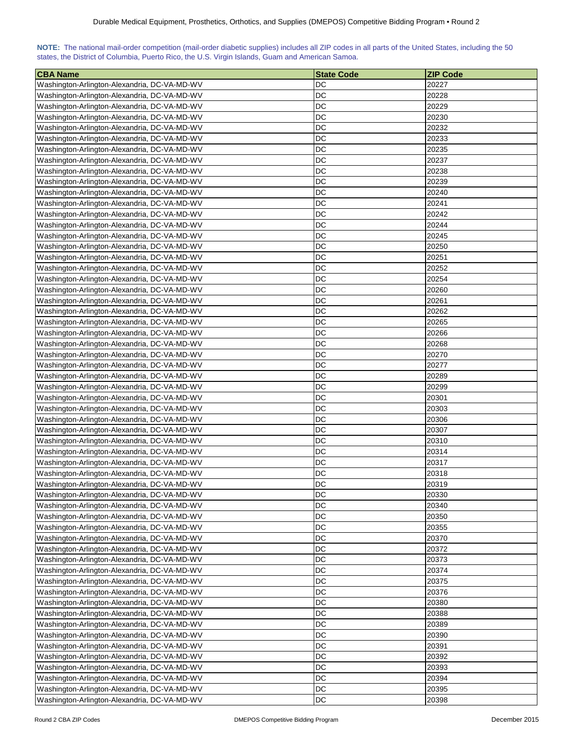| NOTE: The national mail-order competition (mail-order diabetic supplies) includes all ZIP codes in all parts of the United States, including the 50 |  |  |  |  |  |  |  |
|-----------------------------------------------------------------------------------------------------------------------------------------------------|--|--|--|--|--|--|--|
| states, the District of Columbia, Puerto Rico, the U.S. Virgin Islands, Guam and American Samoa.                                                    |  |  |  |  |  |  |  |

| <b>CBA Name</b>                              | <b>State Code</b> | <b>ZIP Code</b> |
|----------------------------------------------|-------------------|-----------------|
| Washington-Arlington-Alexandria, DC-VA-MD-WV | DC                | 20227           |
| Washington-Arlington-Alexandria, DC-VA-MD-WV | DC                | 20228           |
| Washington-Arlington-Alexandria, DC-VA-MD-WV | DC                | 20229           |
| Washington-Arlington-Alexandria, DC-VA-MD-WV | DC                | 20230           |
| Washington-Arlington-Alexandria, DC-VA-MD-WV | DC                | 20232           |
| Washington-Arlington-Alexandria, DC-VA-MD-WV | DC                | 20233           |
| Washington-Arlington-Alexandria, DC-VA-MD-WV | DC                | 20235           |
| Washington-Arlington-Alexandria, DC-VA-MD-WV | DC                | 20237           |
| Washington-Arlington-Alexandria, DC-VA-MD-WV | DC                | 20238           |
| Washington-Arlington-Alexandria, DC-VA-MD-WV | DC                | 20239           |
| Washington-Arlington-Alexandria, DC-VA-MD-WV | DC                | 20240           |
| Washington-Arlington-Alexandria, DC-VA-MD-WV | DC                | 20241           |
| Washington-Arlington-Alexandria, DC-VA-MD-WV | DC                | 20242           |
| Washington-Arlington-Alexandria, DC-VA-MD-WV | <b>DC</b>         | 20244           |
| Washington-Arlington-Alexandria, DC-VA-MD-WV | DC                | 20245           |
| Washington-Arlington-Alexandria, DC-VA-MD-WV | DC                | 20250           |
| Washington-Arlington-Alexandria, DC-VA-MD-WV | DC                | 20251           |
| Washington-Arlington-Alexandria, DC-VA-MD-WV | DC                | 20252           |
| Washington-Arlington-Alexandria, DC-VA-MD-WV | DC                | 20254           |
| Washington-Arlington-Alexandria, DC-VA-MD-WV | DC                | 20260           |
| Washington-Arlington-Alexandria, DC-VA-MD-WV | <b>DC</b>         | 20261           |
| Washington-Arlington-Alexandria, DC-VA-MD-WV | DC                | 20262           |
| Washington-Arlington-Alexandria, DC-VA-MD-WV | DC                | 20265           |
| Washington-Arlington-Alexandria, DC-VA-MD-WV | DC                | 20266           |
| Washington-Arlington-Alexandria, DC-VA-MD-WV | <b>DC</b>         | 20268           |
| Washington-Arlington-Alexandria, DC-VA-MD-WV | <b>DC</b>         | 20270           |
| Washington-Arlington-Alexandria, DC-VA-MD-WV | DC                | 20277           |
| Washington-Arlington-Alexandria, DC-VA-MD-WV | DC                | 20289           |
| Washington-Arlington-Alexandria, DC-VA-MD-WV | DC                | 20299           |
| Washington-Arlington-Alexandria, DC-VA-MD-WV | DC                | 20301           |
| Washington-Arlington-Alexandria, DC-VA-MD-WV | DC                | 20303           |
| Washington-Arlington-Alexandria, DC-VA-MD-WV | DC                | 20306           |
| Washington-Arlington-Alexandria, DC-VA-MD-WV | DC                | 20307           |
| Washington-Arlington-Alexandria, DC-VA-MD-WV | DC                | 20310           |
| Washington-Arlington-Alexandria, DC-VA-MD-WV | DC                | 20314           |
| Washington-Arlington-Alexandria, DC-VA-MD-WV | DC                | 20317           |
| Washington-Arlington-Alexandria, DC-VA-MD-WV | DC                | 20318           |
| Washington-Arlington-Alexandria, DC-VA-MD-WV | DC                | 20319           |
| Washington-Arlington-Alexandria, DC-VA-MD-WV | DC                | 20330           |
| Washington-Arlington-Alexandria, DC-VA-MD-WV | DC                | 20340           |
| Washington-Arlington-Alexandria, DC-VA-MD-WV | DC                | 20350           |
| Washington-Arlington-Alexandria, DC-VA-MD-WV | <b>DC</b>         | 20355           |
| Washington-Arlington-Alexandria, DC-VA-MD-WV | DC                | 20370           |
| Washington-Arlington-Alexandria, DC-VA-MD-WV | DC                | 20372           |
| Washington-Arlington-Alexandria, DC-VA-MD-WV | DC                | 20373           |
| Washington-Arlington-Alexandria, DC-VA-MD-WV | DC                | 20374           |
| Washington-Arlington-Alexandria, DC-VA-MD-WV | <b>DC</b>         | 20375           |
| Washington-Arlington-Alexandria, DC-VA-MD-WV | DC                | 20376           |
| Washington-Arlington-Alexandria, DC-VA-MD-WV | DC                | 20380           |
| Washington-Arlington-Alexandria, DC-VA-MD-WV | <b>DC</b>         | 20388           |
| Washington-Arlington-Alexandria, DC-VA-MD-WV | <b>DC</b>         | 20389           |
| Washington-Arlington-Alexandria, DC-VA-MD-WV | <b>DC</b>         | 20390           |
| Washington-Arlington-Alexandria, DC-VA-MD-WV | <b>DC</b>         | 20391           |
| Washington-Arlington-Alexandria, DC-VA-MD-WV | <b>DC</b>         | 20392           |
| Washington-Arlington-Alexandria, DC-VA-MD-WV | <b>DC</b>         | 20393           |
| Washington-Arlington-Alexandria, DC-VA-MD-WV | DC                | 20394           |
| Washington-Arlington-Alexandria, DC-VA-MD-WV | DC                | 20395           |
| Washington-Arlington-Alexandria, DC-VA-MD-WV | DC                | 20398           |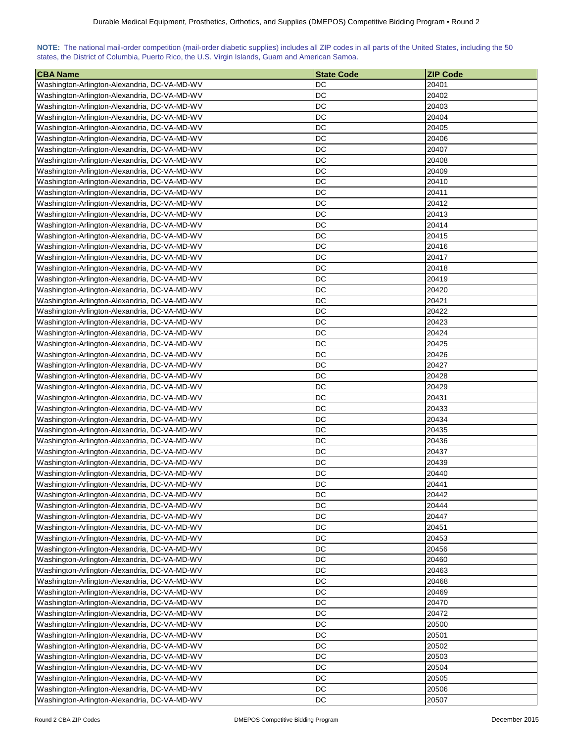|                                                                                                  |  |  |  |  | NOTE: The national mail-order competition (mail-order diabetic supplies) includes all ZIP codes in all parts of the United States, including the 50 |
|--------------------------------------------------------------------------------------------------|--|--|--|--|-----------------------------------------------------------------------------------------------------------------------------------------------------|
| states, the District of Columbia, Puerto Rico, the U.S. Virgin Islands, Guam and American Samoa. |  |  |  |  |                                                                                                                                                     |

| <b>CBA Name</b>                              | <b>State Code</b> | <b>ZIP Code</b> |
|----------------------------------------------|-------------------|-----------------|
| Washington-Arlington-Alexandria, DC-VA-MD-WV | DC                | 20401           |
| Washington-Arlington-Alexandria, DC-VA-MD-WV | <b>DC</b>         | 20402           |
| Washington-Arlington-Alexandria, DC-VA-MD-WV | <b>DC</b>         | 20403           |
| Washington-Arlington-Alexandria, DC-VA-MD-WV | <b>DC</b>         | 20404           |
| Washington-Arlington-Alexandria, DC-VA-MD-WV | DC                | 20405           |
| Washington-Arlington-Alexandria, DC-VA-MD-WV | DC                | 20406           |
| Washington-Arlington-Alexandria, DC-VA-MD-WV | DC                | 20407           |
| Washington-Arlington-Alexandria, DC-VA-MD-WV | DC                | 20408           |
| Washington-Arlington-Alexandria, DC-VA-MD-WV | <b>DC</b>         | 20409           |
| Washington-Arlington-Alexandria, DC-VA-MD-WV | <b>DC</b>         | 20410           |
| Washington-Arlington-Alexandria, DC-VA-MD-WV | DC                | 20411           |
| Washington-Arlington-Alexandria, DC-VA-MD-WV | DC                | 20412           |
| Washington-Arlington-Alexandria, DC-VA-MD-WV | <b>DC</b>         | 20413           |
| Washington-Arlington-Alexandria, DC-VA-MD-WV | <b>DC</b>         | 20414           |
| Washington-Arlington-Alexandria, DC-VA-MD-WV | <b>DC</b>         | 20415           |
| Washington-Arlington-Alexandria, DC-VA-MD-WV | DC                | 20416           |
| Washington-Arlington-Alexandria, DC-VA-MD-WV | DC                | 20417           |
| Washington-Arlington-Alexandria, DC-VA-MD-WV | DC                | 20418           |
| Washington-Arlington-Alexandria, DC-VA-MD-WV | DC                | 20419           |
| Washington-Arlington-Alexandria, DC-VA-MD-WV | DC                | 20420           |
| Washington-Arlington-Alexandria, DC-VA-MD-WV | DC                | 20421           |
| Washington-Arlington-Alexandria, DC-VA-MD-WV | <b>DC</b>         | 20422           |
| Washington-Arlington-Alexandria, DC-VA-MD-WV | <b>DC</b>         | 20423           |
|                                              | DC                | 20424           |
| Washington-Arlington-Alexandria, DC-VA-MD-WV | <b>DC</b>         | 20425           |
| Washington-Arlington-Alexandria, DC-VA-MD-WV | <b>DC</b>         | 20426           |
| Washington-Arlington-Alexandria, DC-VA-MD-WV |                   |                 |
| Washington-Arlington-Alexandria, DC-VA-MD-WV | <b>DC</b>         | 20427           |
| Washington-Arlington-Alexandria, DC-VA-MD-WV | <b>DC</b>         | 20428           |
| Washington-Arlington-Alexandria, DC-VA-MD-WV | <b>DC</b>         | 20429           |
| Washington-Arlington-Alexandria, DC-VA-MD-WV | DC                | 20431           |
| Washington-Arlington-Alexandria, DC-VA-MD-WV | DC                | 20433           |
| Washington-Arlington-Alexandria, DC-VA-MD-WV | DC                | 20434           |
| Washington-Arlington-Alexandria, DC-VA-MD-WV | DC                | 20435           |
| Washington-Arlington-Alexandria, DC-VA-MD-WV | DC                | 20436           |
| Washington-Arlington-Alexandria, DC-VA-MD-WV | <b>DC</b>         | 20437           |
| Washington-Arlington-Alexandria, DC-VA-MD-WV | DC                | 20439           |
| Washington-Arlington-Alexandria, DC-VA-MD-WV | <b>DC</b>         | 20440           |
| Washington-Arlington-Alexandria, DC-VA-MD-WV | <b>DC</b>         | 20441           |
| Washington-Arlington-Alexandria, DC-VA-MD-WV | DC                | 20442           |
| Washington-Arlington-Alexandria, DC-VA-MD-WV | DC                | 20444           |
| Washington-Arlington-Alexandria, DC-VA-MD-WV | DC                | 20447           |
| Washington-Arlington-Alexandria, DC-VA-MD-WV | DC                | 20451           |
| Washington-Arlington-Alexandria, DC-VA-MD-WV | DC                | 20453           |
| Washington-Arlington-Alexandria, DC-VA-MD-WV | DC                | 20456           |
| Washington-Arlington-Alexandria, DC-VA-MD-WV | DC                | 20460           |
| Washington-Arlington-Alexandria, DC-VA-MD-WV | DC                | 20463           |
| Washington-Arlington-Alexandria, DC-VA-MD-WV | DC                | 20468           |
| Washington-Arlington-Alexandria, DC-VA-MD-WV | <b>DC</b>         | 20469           |
| Washington-Arlington-Alexandria, DC-VA-MD-WV | DC                | 20470           |
| Washington-Arlington-Alexandria, DC-VA-MD-WV | DC                | 20472           |
| Washington-Arlington-Alexandria, DC-VA-MD-WV | <b>DC</b>         | 20500           |
| Washington-Arlington-Alexandria, DC-VA-MD-WV | <b>DC</b>         | 20501           |
| Washington-Arlington-Alexandria, DC-VA-MD-WV | DC                | 20502           |
| Washington-Arlington-Alexandria, DC-VA-MD-WV | DC                | 20503           |
| Washington-Arlington-Alexandria, DC-VA-MD-WV | <b>DC</b>         | 20504           |
| Washington-Arlington-Alexandria, DC-VA-MD-WV | <b>DC</b>         | 20505           |
| Washington-Arlington-Alexandria, DC-VA-MD-WV | <b>DC</b>         | 20506           |
| Washington-Arlington-Alexandria, DC-VA-MD-WV | DC                | 20507           |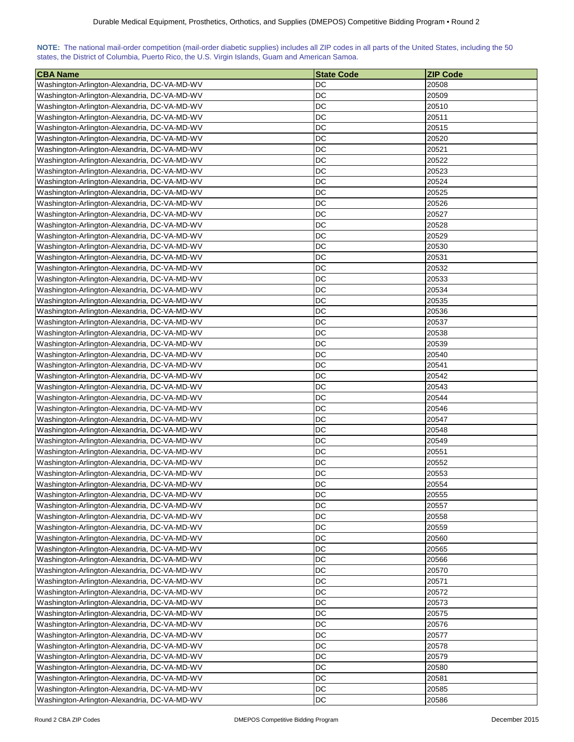| NOTE: The national mail-order competition (mail-order diabetic supplies) includes all ZIP codes in all parts of the United States, including the 50 |  |  |  |  |  |  |  |
|-----------------------------------------------------------------------------------------------------------------------------------------------------|--|--|--|--|--|--|--|
| states, the District of Columbia, Puerto Rico, the U.S. Virgin Islands, Guam and American Samoa.                                                    |  |  |  |  |  |  |  |

| <b>CBA Name</b>                                                                              | <b>State Code</b> | <b>ZIP Code</b> |
|----------------------------------------------------------------------------------------------|-------------------|-----------------|
| Washington-Arlington-Alexandria, DC-VA-MD-WV                                                 | DC                | 20508           |
| Washington-Arlington-Alexandria, DC-VA-MD-WV                                                 | DC                | 20509           |
| Washington-Arlington-Alexandria, DC-VA-MD-WV                                                 | DC                | 20510           |
| Washington-Arlington-Alexandria, DC-VA-MD-WV                                                 | DC                | 20511           |
| Washington-Arlington-Alexandria, DC-VA-MD-WV                                                 | DC                | 20515           |
| Washington-Arlington-Alexandria, DC-VA-MD-WV                                                 | DC                | 20520           |
| Washington-Arlington-Alexandria, DC-VA-MD-WV                                                 | DC                | 20521           |
| Washington-Arlington-Alexandria, DC-VA-MD-WV                                                 | DC                | 20522           |
| Washington-Arlington-Alexandria, DC-VA-MD-WV                                                 | DC                | 20523           |
| Washington-Arlington-Alexandria, DC-VA-MD-WV                                                 | DC                | 20524           |
| Washington-Arlington-Alexandria, DC-VA-MD-WV                                                 | DC                | 20525           |
| Washington-Arlington-Alexandria, DC-VA-MD-WV                                                 | DC                | 20526           |
| Washington-Arlington-Alexandria, DC-VA-MD-WV                                                 | DC                | 20527           |
| Washington-Arlington-Alexandria, DC-VA-MD-WV                                                 | <b>DC</b>         | 20528           |
| Washington-Arlington-Alexandria, DC-VA-MD-WV                                                 | DC                | 20529           |
| Washington-Arlington-Alexandria, DC-VA-MD-WV                                                 | DC                | 20530           |
| Washington-Arlington-Alexandria, DC-VA-MD-WV                                                 | DC                | 20531           |
| Washington-Arlington-Alexandria, DC-VA-MD-WV                                                 | DC                | 20532           |
| Washington-Arlington-Alexandria, DC-VA-MD-WV                                                 | DC                | 20533           |
| Washington-Arlington-Alexandria, DC-VA-MD-WV                                                 | DC                | 20534           |
|                                                                                              | <b>DC</b>         | 20535           |
| Washington-Arlington-Alexandria, DC-VA-MD-WV                                                 | DC                |                 |
| Washington-Arlington-Alexandria, DC-VA-MD-WV                                                 | DC                | 20536<br>20537  |
| Washington-Arlington-Alexandria, DC-VA-MD-WV                                                 | <b>DC</b>         |                 |
| Washington-Arlington-Alexandria, DC-VA-MD-WV                                                 | <b>DC</b>         | 20538<br>20539  |
| Washington-Arlington-Alexandria, DC-VA-MD-WV                                                 | <b>DC</b>         | 20540           |
| Washington-Arlington-Alexandria, DC-VA-MD-WV                                                 | DC                |                 |
| Washington-Arlington-Alexandria, DC-VA-MD-WV                                                 | DC                | 20541<br>20542  |
| Washington-Arlington-Alexandria, DC-VA-MD-WV                                                 | DC                | 20543           |
| Washington-Arlington-Alexandria, DC-VA-MD-WV<br>Washington-Arlington-Alexandria, DC-VA-MD-WV | DC                | 20544           |
| Washington-Arlington-Alexandria, DC-VA-MD-WV                                                 | DC                | 20546           |
| Washington-Arlington-Alexandria, DC-VA-MD-WV                                                 | DC                | 20547           |
| Washington-Arlington-Alexandria, DC-VA-MD-WV                                                 | DC                | 20548           |
| Washington-Arlington-Alexandria, DC-VA-MD-WV                                                 | DC                | 20549           |
| Washington-Arlington-Alexandria, DC-VA-MD-WV                                                 | DC                | 20551           |
| Washington-Arlington-Alexandria, DC-VA-MD-WV                                                 | DC                | 20552           |
| Washington-Arlington-Alexandria, DC-VA-MD-WV                                                 | DC                | 20553           |
| Washington-Arlington-Alexandria, DC-VA-MD-WV                                                 | DC                | 20554           |
| Washington-Arlington-Alexandria, DC-VA-MD-WV                                                 | DC                | 20555           |
| Washington-Arlington-Alexandria, DC-VA-MD-WV                                                 | DC                | 20557           |
| Washington-Arlington-Alexandria, DC-VA-MD-WV                                                 | DC                | 20558           |
| Washington-Arlington-Alexandria, DC-VA-MD-WV                                                 | DC                | 20559           |
| Washington-Arlington-Alexandria, DC-VA-MD-WV                                                 | DC                | 20560           |
| Washington-Arlington-Alexandria, DC-VA-MD-WV                                                 | DC                | 20565           |
| Washington-Arlington-Alexandria, DC-VA-MD-WV                                                 | DC                | 20566           |
| Washington-Arlington-Alexandria, DC-VA-MD-WV                                                 | DC                | 20570           |
| Washington-Arlington-Alexandria, DC-VA-MD-WV                                                 | <b>DC</b>         | 20571           |
| Washington-Arlington-Alexandria, DC-VA-MD-WV                                                 | DC                | 20572           |
| Washington-Arlington-Alexandria, DC-VA-MD-WV                                                 | DC                | 20573           |
| Washington-Arlington-Alexandria, DC-VA-MD-WV                                                 | <b>DC</b>         | 20575           |
| Washington-Arlington-Alexandria, DC-VA-MD-WV                                                 | <b>DC</b>         | 20576           |
| Washington-Arlington-Alexandria, DC-VA-MD-WV                                                 | <b>DC</b>         | 20577           |
| Washington-Arlington-Alexandria, DC-VA-MD-WV                                                 | <b>DC</b>         | 20578           |
| Washington-Arlington-Alexandria, DC-VA-MD-WV                                                 | <b>DC</b>         | 20579           |
| Washington-Arlington-Alexandria, DC-VA-MD-WV                                                 | <b>DC</b>         | 20580           |
| Washington-Arlington-Alexandria, DC-VA-MD-WV                                                 | DC                | 20581           |
| Washington-Arlington-Alexandria, DC-VA-MD-WV                                                 | DC                | 20585           |
| Washington-Arlington-Alexandria, DC-VA-MD-WV                                                 | DC                | 20586           |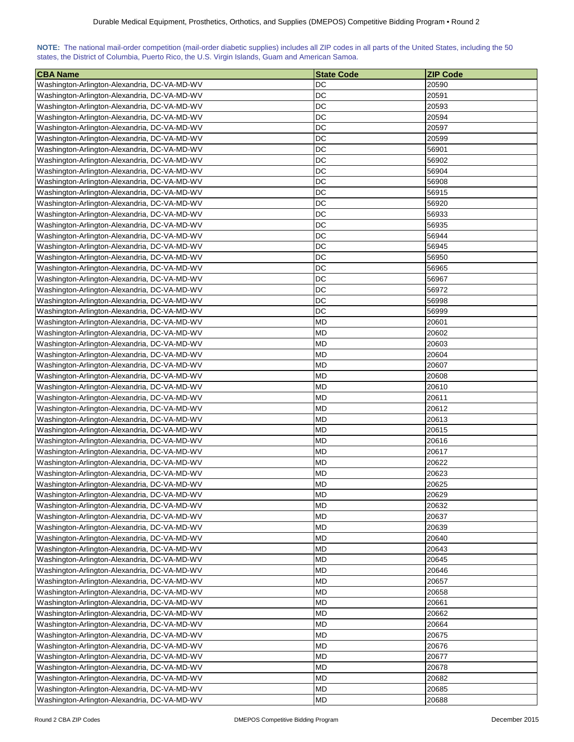| NOTE: The national mail-order competition (mail-order diabetic supplies) includes all ZIP codes in all parts of the United States, including the 50 |  |  |  |  |  |  |  |
|-----------------------------------------------------------------------------------------------------------------------------------------------------|--|--|--|--|--|--|--|
| states, the District of Columbia, Puerto Rico, the U.S. Virgin Islands, Guam and American Samoa.                                                    |  |  |  |  |  |  |  |

| <b>CBA Name</b>                              | <b>State Code</b> | <b>ZIP Code</b> |
|----------------------------------------------|-------------------|-----------------|
| Washington-Arlington-Alexandria, DC-VA-MD-WV | DC                | 20590           |
| Washington-Arlington-Alexandria, DC-VA-MD-WV | DC                | 20591           |
| Washington-Arlington-Alexandria, DC-VA-MD-WV | DC                | 20593           |
| Washington-Arlington-Alexandria, DC-VA-MD-WV | DC                | 20594           |
| Washington-Arlington-Alexandria, DC-VA-MD-WV | DC                | 20597           |
| Washington-Arlington-Alexandria, DC-VA-MD-WV | DC                | 20599           |
| Washington-Arlington-Alexandria, DC-VA-MD-WV | DC                | 56901           |
| Washington-Arlington-Alexandria, DC-VA-MD-WV | DC                | 56902           |
| Washington-Arlington-Alexandria, DC-VA-MD-WV | DC                | 56904           |
| Washington-Arlington-Alexandria, DC-VA-MD-WV | DC                | 56908           |
| Washington-Arlington-Alexandria, DC-VA-MD-WV | DC                | 56915           |
| Washington-Arlington-Alexandria, DC-VA-MD-WV | DC                | 56920           |
| Washington-Arlington-Alexandria, DC-VA-MD-WV | DC                | 56933           |
| Washington-Arlington-Alexandria, DC-VA-MD-WV | <b>DC</b>         | 56935           |
| Washington-Arlington-Alexandria, DC-VA-MD-WV | DC                | 56944           |
| Washington-Arlington-Alexandria, DC-VA-MD-WV | DC                | 56945           |
| Washington-Arlington-Alexandria, DC-VA-MD-WV | DC                | 56950           |
| Washington-Arlington-Alexandria, DC-VA-MD-WV | DC                | 56965           |
| Washington-Arlington-Alexandria, DC-VA-MD-WV | DC                | 56967           |
| Washington-Arlington-Alexandria, DC-VA-MD-WV | DC                | 56972           |
| Washington-Arlington-Alexandria, DC-VA-MD-WV | <b>DC</b>         | 56998           |
| Washington-Arlington-Alexandria, DC-VA-MD-WV | DC                | 56999           |
| Washington-Arlington-Alexandria, DC-VA-MD-WV | <b>MD</b>         | 20601           |
| Washington-Arlington-Alexandria, DC-VA-MD-WV | <b>MD</b>         | 20602           |
| Washington-Arlington-Alexandria, DC-VA-MD-WV | <b>MD</b>         | 20603           |
| Washington-Arlington-Alexandria, DC-VA-MD-WV | <b>MD</b>         | 20604           |
| Washington-Arlington-Alexandria, DC-VA-MD-WV | <b>MD</b>         | 20607           |
| Washington-Arlington-Alexandria, DC-VA-MD-WV | <b>MD</b>         | 20608           |
| Washington-Arlington-Alexandria, DC-VA-MD-WV | <b>MD</b>         | 20610           |
| Washington-Arlington-Alexandria, DC-VA-MD-WV | MD                | 20611           |
| Washington-Arlington-Alexandria, DC-VA-MD-WV | MD                | 20612           |
| Washington-Arlington-Alexandria, DC-VA-MD-WV | <b>MD</b>         | 20613           |
| Washington-Arlington-Alexandria, DC-VA-MD-WV | MD                | 20615           |
| Washington-Arlington-Alexandria, DC-VA-MD-WV | MD                | 20616           |
| Washington-Arlington-Alexandria, DC-VA-MD-WV | <b>MD</b>         | 20617           |
| Washington-Arlington-Alexandria, DC-VA-MD-WV | <b>MD</b>         | 20622           |
| Washington-Arlington-Alexandria, DC-VA-MD-WV | MD                | 20623           |
| Washington-Arlington-Alexandria, DC-VA-MD-WV | <b>MD</b>         | 20625           |
| Washington-Arlington-Alexandria, DC-VA-MD-WV | <b>MD</b>         | 20629           |
| Washington-Arlington-Alexandria, DC-VA-MD-WV | <b>MD</b>         | 20632           |
| Washington-Arlington-Alexandria, DC-VA-MD-WV | <b>MD</b>         | 20637           |
| Washington-Arlington-Alexandria, DC-VA-MD-WV | <b>MD</b>         | 20639           |
| Washington-Arlington-Alexandria, DC-VA-MD-WV | <b>MD</b>         | 20640           |
| Washington-Arlington-Alexandria, DC-VA-MD-WV | <b>MD</b>         | 20643           |
| Washington-Arlington-Alexandria, DC-VA-MD-WV | MD                | 20645           |
| Washington-Arlington-Alexandria, DC-VA-MD-WV | <b>MD</b>         | 20646           |
| Washington-Arlington-Alexandria, DC-VA-MD-WV | <b>MD</b>         | 20657           |
| Washington-Arlington-Alexandria, DC-VA-MD-WV | <b>MD</b>         | 20658           |
| Washington-Arlington-Alexandria, DC-VA-MD-WV | <b>MD</b>         | 20661           |
| Washington-Arlington-Alexandria, DC-VA-MD-WV | <b>MD</b>         | 20662           |
| Washington-Arlington-Alexandria, DC-VA-MD-WV | <b>MD</b>         | 20664           |
| Washington-Arlington-Alexandria, DC-VA-MD-WV | <b>MD</b>         | 20675           |
| Washington-Arlington-Alexandria, DC-VA-MD-WV | <b>MD</b>         | 20676           |
| Washington-Arlington-Alexandria, DC-VA-MD-WV | <b>MD</b>         | 20677           |
| Washington-Arlington-Alexandria, DC-VA-MD-WV | <b>MD</b>         | 20678           |
| Washington-Arlington-Alexandria, DC-VA-MD-WV | MD                | 20682           |
| Washington-Arlington-Alexandria, DC-VA-MD-WV | <b>MD</b>         | 20685           |
| Washington-Arlington-Alexandria, DC-VA-MD-WV | <b>MD</b>         | 20688           |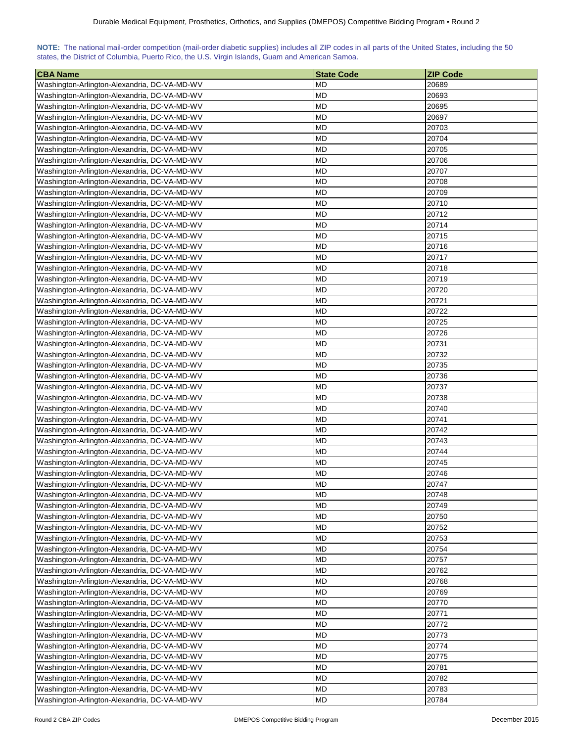| NOTE: The national mail-order competition (mail-order diabetic supplies) includes all ZIP codes in all parts of the United States, including the 50 |  |  |  |  |  |  |  |
|-----------------------------------------------------------------------------------------------------------------------------------------------------|--|--|--|--|--|--|--|
| states, the District of Columbia, Puerto Rico, the U.S. Virgin Islands, Guam and American Samoa.                                                    |  |  |  |  |  |  |  |

| <b>CBA Name</b>                                                                              | <b>State Code</b> | <b>ZIP Code</b> |
|----------------------------------------------------------------------------------------------|-------------------|-----------------|
| Washington-Arlington-Alexandria, DC-VA-MD-WV                                                 | MD                | 20689           |
| Washington-Arlington-Alexandria, DC-VA-MD-WV                                                 | <b>MD</b>         | 20693           |
| Washington-Arlington-Alexandria, DC-VA-MD-WV                                                 | <b>MD</b>         | 20695           |
| Washington-Arlington-Alexandria, DC-VA-MD-WV                                                 | <b>MD</b>         | 20697           |
| Washington-Arlington-Alexandria, DC-VA-MD-WV                                                 | <b>MD</b>         | 20703           |
| Washington-Arlington-Alexandria, DC-VA-MD-WV                                                 | <b>MD</b>         | 20704           |
| Washington-Arlington-Alexandria, DC-VA-MD-WV                                                 | MD                | 20705           |
| Washington-Arlington-Alexandria, DC-VA-MD-WV                                                 | <b>MD</b>         | 20706           |
| Washington-Arlington-Alexandria, DC-VA-MD-WV                                                 | <b>MD</b>         | 20707           |
| Washington-Arlington-Alexandria, DC-VA-MD-WV                                                 | <b>MD</b>         | 20708           |
| Washington-Arlington-Alexandria, DC-VA-MD-WV                                                 | <b>MD</b>         | 20709           |
| Washington-Arlington-Alexandria, DC-VA-MD-WV                                                 | <b>MD</b>         | 20710           |
| Washington-Arlington-Alexandria, DC-VA-MD-WV                                                 | <b>MD</b>         | 20712           |
| Washington-Arlington-Alexandria, DC-VA-MD-WV                                                 | <b>MD</b>         | 20714           |
| Washington-Arlington-Alexandria, DC-VA-MD-WV                                                 | <b>MD</b>         | 20715           |
| Washington-Arlington-Alexandria, DC-VA-MD-WV                                                 | <b>MD</b>         | 20716           |
| Washington-Arlington-Alexandria, DC-VA-MD-WV                                                 | <b>MD</b>         | 20717           |
| Washington-Arlington-Alexandria, DC-VA-MD-WV                                                 | MD                | 20718           |
| Washington-Arlington-Alexandria, DC-VA-MD-WV                                                 | <b>MD</b>         | 20719           |
| Washington-Arlington-Alexandria, DC-VA-MD-WV                                                 | MD                | 20720           |
| Washington-Arlington-Alexandria, DC-VA-MD-WV                                                 | <b>MD</b>         | 20721           |
| Washington-Arlington-Alexandria, DC-VA-MD-WV                                                 | <b>MD</b>         | 20722           |
| Washington-Arlington-Alexandria, DC-VA-MD-WV                                                 | <b>MD</b>         | 20725           |
| Washington-Arlington-Alexandria, DC-VA-MD-WV                                                 | <b>MD</b>         | 20726           |
| Washington-Arlington-Alexandria, DC-VA-MD-WV                                                 | MD                | 20731           |
| Washington-Arlington-Alexandria, DC-VA-MD-WV                                                 | <b>MD</b>         | 20732           |
|                                                                                              | <b>MD</b>         | 20735           |
| Washington-Arlington-Alexandria, DC-VA-MD-WV                                                 | <b>MD</b>         | 20736           |
| Washington-Arlington-Alexandria, DC-VA-MD-WV                                                 | <b>MD</b>         | 20737           |
| Washington-Arlington-Alexandria, DC-VA-MD-WV                                                 | <b>MD</b>         | 20738           |
| Washington-Arlington-Alexandria, DC-VA-MD-WV<br>Washington-Arlington-Alexandria, DC-VA-MD-WV | MD                | 20740           |
| Washington-Arlington-Alexandria, DC-VA-MD-WV                                                 | MD                | 20741           |
| Washington-Arlington-Alexandria, DC-VA-MD-WV                                                 | <b>MD</b>         | 20742           |
| Washington-Arlington-Alexandria, DC-VA-MD-WV                                                 | MD                | 20743           |
| Washington-Arlington-Alexandria, DC-VA-MD-WV                                                 | <b>MD</b>         | 20744           |
| Washington-Arlington-Alexandria, DC-VA-MD-WV                                                 | <b>MD</b>         | 20745           |
| Washington-Arlington-Alexandria, DC-VA-MD-WV                                                 | MD                | 20746           |
|                                                                                              | <b>MD</b>         | 20747           |
| Washington-Arlington-Alexandria, DC-VA-MD-WV<br>Washington-Arlington-Alexandria, DC-VA-MD-WV | <b>MD</b>         | 20748           |
| Washington-Arlington-Alexandria, DC-VA-MD-WV                                                 | <b>MD</b>         | 20749           |
| Washington-Arlington-Alexandria, DC-VA-MD-WV                                                 | <b>MD</b>         | 20750           |
| Washington-Arlington-Alexandria, DC-VA-MD-WV                                                 | <b>MD</b>         | 20752           |
| Washington-Arlington-Alexandria, DC-VA-MD-WV                                                 | <b>MD</b>         | 20753           |
| Washington-Arlington-Alexandria, DC-VA-MD-WV                                                 | <b>MD</b>         | 20754           |
| Washington-Arlington-Alexandria, DC-VA-MD-WV                                                 | <b>MD</b>         | 20757           |
| Washington-Arlington-Alexandria, DC-VA-MD-WV                                                 | MD                | 20762           |
| Washington-Arlington-Alexandria, DC-VA-MD-WV                                                 | <b>MD</b>         | 20768           |
| Washington-Arlington-Alexandria, DC-VA-MD-WV                                                 | <b>MD</b>         | 20769           |
| Washington-Arlington-Alexandria, DC-VA-MD-WV                                                 | <b>MD</b>         | 20770           |
| Washington-Arlington-Alexandria, DC-VA-MD-WV                                                 | <b>MD</b>         | 20771           |
| Washington-Arlington-Alexandria, DC-VA-MD-WV                                                 | <b>MD</b>         | 20772           |
| Washington-Arlington-Alexandria, DC-VA-MD-WV                                                 | <b>MD</b>         | 20773           |
| Washington-Arlington-Alexandria, DC-VA-MD-WV                                                 | <b>MD</b>         | 20774           |
| Washington-Arlington-Alexandria, DC-VA-MD-WV                                                 | <b>MD</b>         | 20775           |
| Washington-Arlington-Alexandria, DC-VA-MD-WV                                                 | <b>MD</b>         | 20781           |
| Washington-Arlington-Alexandria, DC-VA-MD-WV                                                 | MD                | 20782           |
| Washington-Arlington-Alexandria, DC-VA-MD-WV                                                 | <b>MD</b>         | 20783           |
| Washington-Arlington-Alexandria, DC-VA-MD-WV                                                 | <b>MD</b>         | 20784           |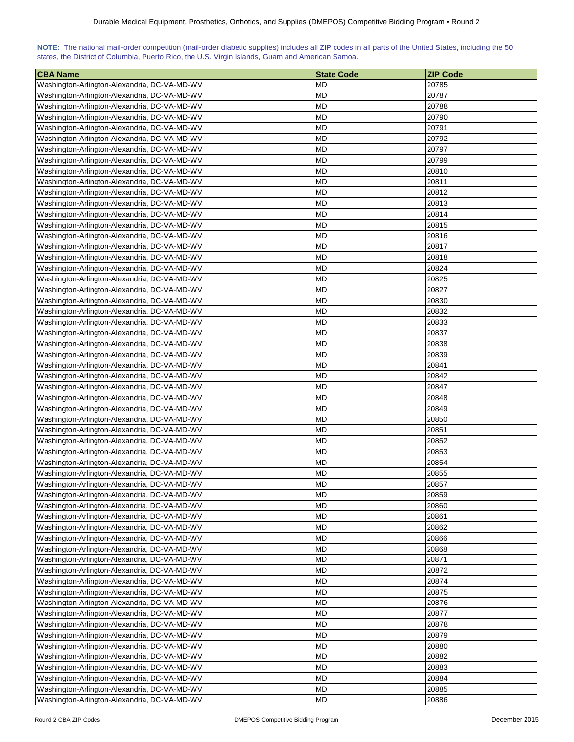|  | NOTE: The national mail-order competition (mail-order diabetic supplies) includes all ZIP codes in all parts of the United States, including the 50 |  |  |  |  |
|--|-----------------------------------------------------------------------------------------------------------------------------------------------------|--|--|--|--|
|  | states, the District of Columbia, Puerto Rico, the U.S. Virgin Islands, Guam and American Samoa.                                                    |  |  |  |  |

| <b>CBA Name</b>                              | <b>State Code</b> | <b>ZIP Code</b> |
|----------------------------------------------|-------------------|-----------------|
| Washington-Arlington-Alexandria, DC-VA-MD-WV | <b>MD</b>         | 20785           |
| Washington-Arlington-Alexandria, DC-VA-MD-WV | <b>MD</b>         | 20787           |
| Washington-Arlington-Alexandria, DC-VA-MD-WV | <b>MD</b>         | 20788           |
| Washington-Arlington-Alexandria, DC-VA-MD-WV | <b>MD</b>         | 20790           |
| Washington-Arlington-Alexandria, DC-VA-MD-WV | <b>MD</b>         | 20791           |
| Washington-Arlington-Alexandria, DC-VA-MD-WV | MD                | 20792           |
| Washington-Arlington-Alexandria, DC-VA-MD-WV | MD                | 20797           |
| Washington-Arlington-Alexandria, DC-VA-MD-WV | MD                | 20799           |
| Washington-Arlington-Alexandria, DC-VA-MD-WV | <b>MD</b>         | 20810           |
| Washington-Arlington-Alexandria, DC-VA-MD-WV | <b>MD</b>         | 20811           |
| Washington-Arlington-Alexandria, DC-VA-MD-WV | <b>MD</b>         | 20812           |
| Washington-Arlington-Alexandria, DC-VA-MD-WV | <b>MD</b>         | 20813           |
| Washington-Arlington-Alexandria, DC-VA-MD-WV | <b>MD</b>         | 20814           |
| Washington-Arlington-Alexandria, DC-VA-MD-WV | <b>MD</b>         | 20815           |
| Washington-Arlington-Alexandria, DC-VA-MD-WV | <b>MD</b>         | 20816           |
| Washington-Arlington-Alexandria, DC-VA-MD-WV | <b>MD</b>         | 20817           |
| Washington-Arlington-Alexandria, DC-VA-MD-WV | <b>MD</b>         | 20818           |
| Washington-Arlington-Alexandria, DC-VA-MD-WV | MD                | 20824           |
| Washington-Arlington-Alexandria, DC-VA-MD-WV | MD                | 20825           |
| Washington-Arlington-Alexandria, DC-VA-MD-WV | MD                | 20827           |
| Washington-Arlington-Alexandria, DC-VA-MD-WV | <b>MD</b>         | 20830           |
| Washington-Arlington-Alexandria, DC-VA-MD-WV | <b>MD</b>         | 20832           |
| Washington-Arlington-Alexandria, DC-VA-MD-WV | <b>MD</b>         | 20833           |
| Washington-Arlington-Alexandria, DC-VA-MD-WV | <b>MD</b>         | 20837           |
|                                              | <b>MD</b>         | 20838           |
| Washington-Arlington-Alexandria, DC-VA-MD-WV |                   |                 |
| Washington-Arlington-Alexandria, DC-VA-MD-WV | <b>MD</b>         | 20839           |
| Washington-Arlington-Alexandria, DC-VA-MD-WV | <b>MD</b>         | 20841           |
| Washington-Arlington-Alexandria, DC-VA-MD-WV | <b>MD</b>         | 20842           |
| Washington-Arlington-Alexandria, DC-VA-MD-WV | <b>MD</b>         | 20847           |
| Washington-Arlington-Alexandria, DC-VA-MD-WV | MD                | 20848           |
| Washington-Arlington-Alexandria, DC-VA-MD-WV | MD                | 20849           |
| Washington-Arlington-Alexandria, DC-VA-MD-WV | <b>MD</b>         | 20850           |
| Washington-Arlington-Alexandria, DC-VA-MD-WV | MD                | 20851           |
| Washington-Arlington-Alexandria, DC-VA-MD-WV | MD                | 20852           |
| Washington-Arlington-Alexandria, DC-VA-MD-WV | <b>MD</b>         | 20853           |
| Washington-Arlington-Alexandria, DC-VA-MD-WV | <b>MD</b>         | 20854           |
| Washington-Arlington-Alexandria, DC-VA-MD-WV | MD                | 20855           |
| Washington-Arlington-Alexandria, DC-VA-MD-WV | <b>MD</b>         | 20857           |
| Washington-Arlington-Alexandria, DC-VA-MD-WV | <b>MD</b>         | 20859           |
| Washington-Arlington-Alexandria, DC-VA-MD-WV | <b>MD</b>         | 20860           |
| Washington-Arlington-Alexandria, DC-VA-MD-WV | <b>MD</b>         | 20861           |
| Washington-Arlington-Alexandria, DC-VA-MD-WV | <b>MD</b>         | 20862           |
| Washington-Arlington-Alexandria, DC-VA-MD-WV | <b>MD</b>         | 20866           |
| Washington-Arlington-Alexandria, DC-VA-MD-WV | <b>MD</b>         | 20868           |
| Washington-Arlington-Alexandria, DC-VA-MD-WV | MD                | 20871           |
| Washington-Arlington-Alexandria, DC-VA-MD-WV | <b>MD</b>         | 20872           |
| Washington-Arlington-Alexandria, DC-VA-MD-WV | <b>MD</b>         | 20874           |
| Washington-Arlington-Alexandria, DC-VA-MD-WV | <b>MD</b>         | 20875           |
| Washington-Arlington-Alexandria, DC-VA-MD-WV | <b>MD</b>         | 20876           |
| Washington-Arlington-Alexandria, DC-VA-MD-WV | <b>MD</b>         | 20877           |
| Washington-Arlington-Alexandria, DC-VA-MD-WV | <b>MD</b>         | 20878           |
| Washington-Arlington-Alexandria, DC-VA-MD-WV | <b>MD</b>         | 20879           |
| Washington-Arlington-Alexandria, DC-VA-MD-WV | <b>MD</b>         | 20880           |
| Washington-Arlington-Alexandria, DC-VA-MD-WV | <b>MD</b>         | 20882           |
| Washington-Arlington-Alexandria, DC-VA-MD-WV | <b>MD</b>         | 20883           |
| Washington-Arlington-Alexandria, DC-VA-MD-WV | MD                | 20884           |
| Washington-Arlington-Alexandria, DC-VA-MD-WV | <b>MD</b>         | 20885           |
| Washington-Arlington-Alexandria, DC-VA-MD-WV | <b>MD</b>         | 20886           |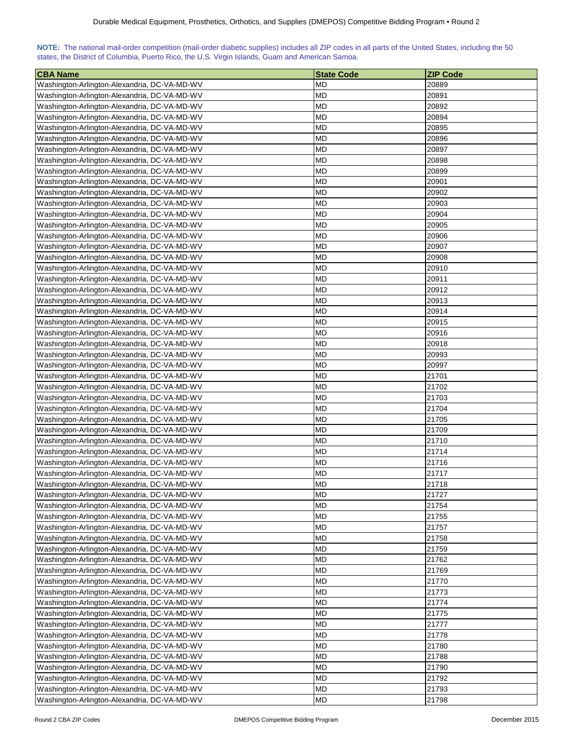| NOTE: The national mail-order competition (mail-order diabetic supplies) includes all ZIP codes in all parts of the United States, including the 50 |  |  |  |  |  |  |  |
|-----------------------------------------------------------------------------------------------------------------------------------------------------|--|--|--|--|--|--|--|
| states, the District of Columbia, Puerto Rico, the U.S. Virgin Islands, Guam and American Samoa.                                                    |  |  |  |  |  |  |  |

| <b>CBA Name</b>                              | <b>State Code</b> | <b>ZIP Code</b> |
|----------------------------------------------|-------------------|-----------------|
| Washington-Arlington-Alexandria, DC-VA-MD-WV | <b>MD</b>         | 20889           |
| Washington-Arlington-Alexandria, DC-VA-MD-WV | <b>MD</b>         | 20891           |
| Washington-Arlington-Alexandria, DC-VA-MD-WV | <b>MD</b>         | 20892           |
| Washington-Arlington-Alexandria, DC-VA-MD-WV | <b>MD</b>         | 20894           |
| Washington-Arlington-Alexandria, DC-VA-MD-WV | <b>MD</b>         | 20895           |
| Washington-Arlington-Alexandria, DC-VA-MD-WV | MD                | 20896           |
| Washington-Arlington-Alexandria, DC-VA-MD-WV | MD                | 20897           |
| Washington-Arlington-Alexandria, DC-VA-MD-WV | MD                | 20898           |
| Washington-Arlington-Alexandria, DC-VA-MD-WV | <b>MD</b>         | 20899           |
| Washington-Arlington-Alexandria, DC-VA-MD-WV | <b>MD</b>         | 20901           |
| Washington-Arlington-Alexandria, DC-VA-MD-WV | <b>MD</b>         | 20902           |
| Washington-Arlington-Alexandria, DC-VA-MD-WV | <b>MD</b>         | 20903           |
| Washington-Arlington-Alexandria, DC-VA-MD-WV | <b>MD</b>         | 20904           |
| Washington-Arlington-Alexandria, DC-VA-MD-WV | <b>MD</b>         | 20905           |
| Washington-Arlington-Alexandria, DC-VA-MD-WV | <b>MD</b>         | 20906           |
| Washington-Arlington-Alexandria, DC-VA-MD-WV | <b>MD</b>         | 20907           |
| Washington-Arlington-Alexandria, DC-VA-MD-WV | <b>MD</b>         | 20908           |
| Washington-Arlington-Alexandria, DC-VA-MD-WV | MD                | 20910           |
| Washington-Arlington-Alexandria, DC-VA-MD-WV | MD                | 20911           |
| Washington-Arlington-Alexandria, DC-VA-MD-WV | MD                | 20912           |
| Washington-Arlington-Alexandria, DC-VA-MD-WV | MD                | 20913           |
| Washington-Arlington-Alexandria, DC-VA-MD-WV | <b>MD</b>         | 20914           |
| Washington-Arlington-Alexandria, DC-VA-MD-WV | <b>MD</b>         | 20915           |
| Washington-Arlington-Alexandria, DC-VA-MD-WV | <b>MD</b>         | 20916           |
|                                              | <b>MD</b>         | 20918           |
| Washington-Arlington-Alexandria, DC-VA-MD-WV |                   |                 |
| Washington-Arlington-Alexandria, DC-VA-MD-WV | <b>MD</b>         | 20993           |
| Washington-Arlington-Alexandria, DC-VA-MD-WV | <b>MD</b>         | 20997           |
| Washington-Arlington-Alexandria, DC-VA-MD-WV | <b>MD</b>         | 21701           |
| Washington-Arlington-Alexandria, DC-VA-MD-WV | <b>MD</b>         | 21702           |
| Washington-Arlington-Alexandria, DC-VA-MD-WV | MD                | 21703           |
| Washington-Arlington-Alexandria, DC-VA-MD-WV | MD                | 21704           |
| Washington-Arlington-Alexandria, DC-VA-MD-WV | <b>MD</b>         | 21705           |
| Washington-Arlington-Alexandria, DC-VA-MD-WV | MD                | 21709           |
| Washington-Arlington-Alexandria, DC-VA-MD-WV | MD                | 21710           |
| Washington-Arlington-Alexandria, DC-VA-MD-WV | <b>MD</b>         | 21714           |
| Washington-Arlington-Alexandria, DC-VA-MD-WV | <b>MD</b>         | 21716           |
| Washington-Arlington-Alexandria, DC-VA-MD-WV | MD                | 21717           |
| Washington-Arlington-Alexandria, DC-VA-MD-WV | <b>MD</b>         | 21718           |
| Washington-Arlington-Alexandria, DC-VA-MD-WV | <b>MD</b>         | 21727           |
| Washington-Arlington-Alexandria, DC-VA-MD-WV | <b>MD</b>         | 21754           |
| Washington-Arlington-Alexandria, DC-VA-MD-WV | <b>MD</b>         | 21755           |
| Washington-Arlington-Alexandria, DC-VA-MD-WV | <b>MD</b>         | 21757           |
| Washington-Arlington-Alexandria, DC-VA-MD-WV | MD                | 21758           |
| Washington-Arlington-Alexandria, DC-VA-MD-WV | <b>MD</b>         | 21759           |
| Washington-Arlington-Alexandria, DC-VA-MD-WV | MD                | 21762           |
| Washington-Arlington-Alexandria, DC-VA-MD-WV | MD                | 21769           |
| Washington-Arlington-Alexandria, DC-VA-MD-WV | <b>MD</b>         | 21770           |
| Washington-Arlington-Alexandria, DC-VA-MD-WV | <b>MD</b>         | 21773           |
| Washington-Arlington-Alexandria, DC-VA-MD-WV | <b>MD</b>         | 21774           |
| Washington-Arlington-Alexandria, DC-VA-MD-WV | <b>MD</b>         | 21775           |
| Washington-Arlington-Alexandria, DC-VA-MD-WV | <b>MD</b>         | 21777           |
| Washington-Arlington-Alexandria, DC-VA-MD-WV | <b>MD</b>         | 21778           |
| Washington-Arlington-Alexandria, DC-VA-MD-WV | <b>MD</b>         | 21780           |
| Washington-Arlington-Alexandria, DC-VA-MD-WV | <b>MD</b>         | 21788           |
| Washington-Arlington-Alexandria, DC-VA-MD-WV | <b>MD</b>         | 21790           |
| Washington-Arlington-Alexandria, DC-VA-MD-WV | MD                | 21792           |
| Washington-Arlington-Alexandria, DC-VA-MD-WV | <b>MD</b>         | 21793           |
| Washington-Arlington-Alexandria, DC-VA-MD-WV | <b>MD</b>         | 21798           |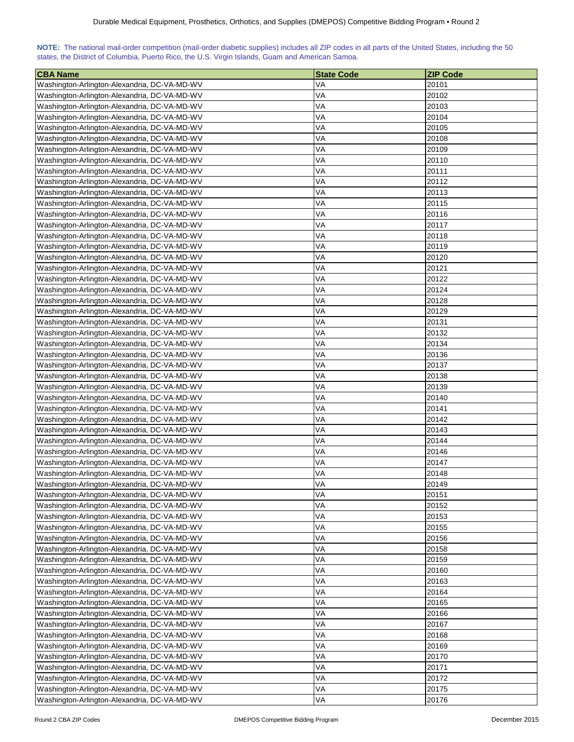| NOTE: The national mail-order competition (mail-order diabetic supplies) includes all ZIP codes in all parts of the United States, including the 50 |  |  |  |  |  |  |  |
|-----------------------------------------------------------------------------------------------------------------------------------------------------|--|--|--|--|--|--|--|
| states, the District of Columbia, Puerto Rico, the U.S. Virgin Islands, Guam and American Samoa.                                                    |  |  |  |  |  |  |  |

| <b>CBA Name</b>                              | <b>State Code</b> | <b>ZIP Code</b> |
|----------------------------------------------|-------------------|-----------------|
| Washington-Arlington-Alexandria, DC-VA-MD-WV | VA                | 20101           |
| Washington-Arlington-Alexandria, DC-VA-MD-WV | VA                | 20102           |
| Washington-Arlington-Alexandria, DC-VA-MD-WV | VA                | 20103           |
| Washington-Arlington-Alexandria, DC-VA-MD-WV | VA                | 20104           |
| Washington-Arlington-Alexandria, DC-VA-MD-WV | VA                | 20105           |
| Washington-Arlington-Alexandria, DC-VA-MD-WV | VA                | 20108           |
| Washington-Arlington-Alexandria, DC-VA-MD-WV | VA                | 20109           |
| Washington-Arlington-Alexandria, DC-VA-MD-WV | VA                | 20110           |
| Washington-Arlington-Alexandria, DC-VA-MD-WV | VA                | 20111           |
| Washington-Arlington-Alexandria, DC-VA-MD-WV | VA                | 20112           |
| Washington-Arlington-Alexandria, DC-VA-MD-WV | VA                | 20113           |
| Washington-Arlington-Alexandria, DC-VA-MD-WV | VA                | 20115           |
| Washington-Arlington-Alexandria, DC-VA-MD-WV | VA                | 20116           |
| Washington-Arlington-Alexandria, DC-VA-MD-WV | VA                | 20117           |
| Washington-Arlington-Alexandria, DC-VA-MD-WV | VA                | 20118           |
| Washington-Arlington-Alexandria, DC-VA-MD-WV | VA                | 20119           |
| Washington-Arlington-Alexandria, DC-VA-MD-WV | VA                | 20120           |
| Washington-Arlington-Alexandria, DC-VA-MD-WV | VA                | 20121           |
| Washington-Arlington-Alexandria, DC-VA-MD-WV | VA                | 20122           |
| Washington-Arlington-Alexandria, DC-VA-MD-WV | VA                | 20124           |
| Washington-Arlington-Alexandria, DC-VA-MD-WV | VA                | 20128           |
|                                              | VA                |                 |
| Washington-Arlington-Alexandria, DC-VA-MD-WV |                   | 20129           |
| Washington-Arlington-Alexandria, DC-VA-MD-WV | VA                | 20131           |
| Washington-Arlington-Alexandria, DC-VA-MD-WV | VA                | 20132           |
| Washington-Arlington-Alexandria, DC-VA-MD-WV | VA                | 20134           |
| Washington-Arlington-Alexandria, DC-VA-MD-WV | VA                | 20136           |
| Washington-Arlington-Alexandria, DC-VA-MD-WV | VA                | 20137           |
| Washington-Arlington-Alexandria, DC-VA-MD-WV | VA                | 20138           |
| Washington-Arlington-Alexandria, DC-VA-MD-WV | VA                | 20139           |
| Washington-Arlington-Alexandria, DC-VA-MD-WV | VA                | 20140           |
| Washington-Arlington-Alexandria, DC-VA-MD-WV | VA                | 20141           |
| Washington-Arlington-Alexandria, DC-VA-MD-WV | VA                | 20142           |
| Washington-Arlington-Alexandria, DC-VA-MD-WV | VA                | 20143           |
| Washington-Arlington-Alexandria, DC-VA-MD-WV | VA                | 20144           |
| Washington-Arlington-Alexandria, DC-VA-MD-WV | VA                | 20146           |
| Washington-Arlington-Alexandria, DC-VA-MD-WV | VA                | 20147           |
| Washington-Arlington-Alexandria, DC-VA-MD-WV | VA                | 20148           |
| Washington-Arlington-Alexandria, DC-VA-MD-WV | VA                | 20149           |
| Washington-Arlington-Alexandria, DC-VA-MD-WV | VA                | 20151           |
| Washington-Arlington-Alexandria, DC-VA-MD-WV | VA                | 20152           |
| Washington-Arlington-Alexandria, DC-VA-MD-WV | VA                | 20153           |
| Washington-Arlington-Alexandria, DC-VA-MD-WV | VA                | 20155           |
| Washington-Arlington-Alexandria, DC-VA-MD-WV | VA                | 20156           |
| Washington-Arlington-Alexandria, DC-VA-MD-WV | VA                | 20158           |
| Washington-Arlington-Alexandria, DC-VA-MD-WV | VA                | 20159           |
| Washington-Arlington-Alexandria, DC-VA-MD-WV | VA                | 20160           |
| Washington-Arlington-Alexandria, DC-VA-MD-WV | VA                | 20163           |
| Washington-Arlington-Alexandria, DC-VA-MD-WV | VA                | 20164           |
| Washington-Arlington-Alexandria, DC-VA-MD-WV | VA                | 20165           |
| Washington-Arlington-Alexandria, DC-VA-MD-WV | VA                | 20166           |
| Washington-Arlington-Alexandria, DC-VA-MD-WV | VA                | 20167           |
| Washington-Arlington-Alexandria, DC-VA-MD-WV | VA                | 20168           |
| Washington-Arlington-Alexandria, DC-VA-MD-WV | VA                | 20169           |
| Washington-Arlington-Alexandria, DC-VA-MD-WV | VA                | 20170           |
| Washington-Arlington-Alexandria, DC-VA-MD-WV | VA                | 20171           |
| Washington-Arlington-Alexandria, DC-VA-MD-WV | VA                | 20172           |
| Washington-Arlington-Alexandria, DC-VA-MD-WV | VA                | 20175           |
| Washington-Arlington-Alexandria, DC-VA-MD-WV | VA                | 20176           |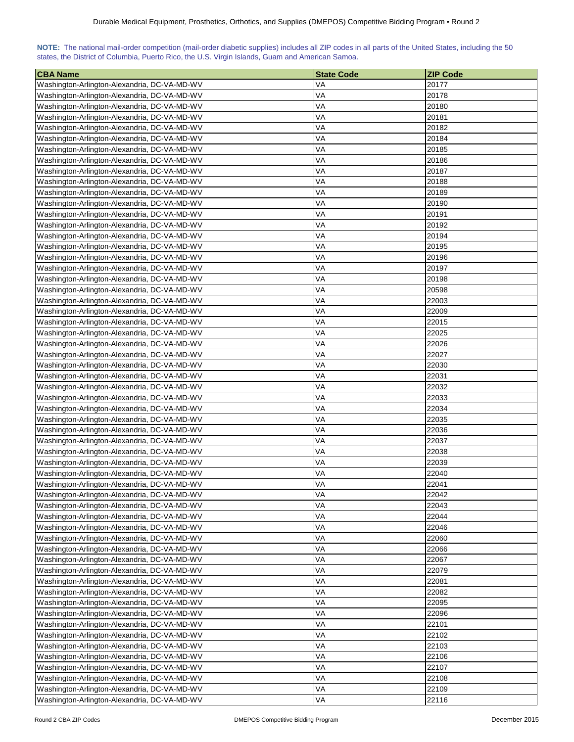| NOTE: The national mail-order competition (mail-order diabetic supplies) includes all ZIP codes in all parts of the United States, including the 50 |  |  |  |  |  |  |  |
|-----------------------------------------------------------------------------------------------------------------------------------------------------|--|--|--|--|--|--|--|
| states, the District of Columbia, Puerto Rico, the U.S. Virgin Islands, Guam and American Samoa.                                                    |  |  |  |  |  |  |  |

| <b>CBA Name</b>                              | <b>State Code</b> | <b>ZIP Code</b> |
|----------------------------------------------|-------------------|-----------------|
| Washington-Arlington-Alexandria, DC-VA-MD-WV | VA                | 20177           |
| Washington-Arlington-Alexandria, DC-VA-MD-WV | VA                | 20178           |
| Washington-Arlington-Alexandria, DC-VA-MD-WV | VA                | 20180           |
| Washington-Arlington-Alexandria, DC-VA-MD-WV | VA                | 20181           |
| Washington-Arlington-Alexandria, DC-VA-MD-WV | VA                | 20182           |
| Washington-Arlington-Alexandria, DC-VA-MD-WV | VA                | 20184           |
| Washington-Arlington-Alexandria, DC-VA-MD-WV | VA                | 20185           |
| Washington-Arlington-Alexandria, DC-VA-MD-WV | VA                | 20186           |
| Washington-Arlington-Alexandria, DC-VA-MD-WV | VA                | 20187           |
| Washington-Arlington-Alexandria, DC-VA-MD-WV | VA                | 20188           |
| Washington-Arlington-Alexandria, DC-VA-MD-WV | VA                | 20189           |
| Washington-Arlington-Alexandria, DC-VA-MD-WV | VA                | 20190           |
| Washington-Arlington-Alexandria, DC-VA-MD-WV | VA                | 20191           |
| Washington-Arlington-Alexandria, DC-VA-MD-WV | VA                | 20192           |
| Washington-Arlington-Alexandria, DC-VA-MD-WV | VA                | 20194           |
| Washington-Arlington-Alexandria, DC-VA-MD-WV | VA                | 20195           |
| Washington-Arlington-Alexandria, DC-VA-MD-WV | VA                | 20196           |
| Washington-Arlington-Alexandria, DC-VA-MD-WV | VA                | 20197           |
| Washington-Arlington-Alexandria, DC-VA-MD-WV | VA                | 20198           |
| Washington-Arlington-Alexandria, DC-VA-MD-WV | VA                | 20598           |
| Washington-Arlington-Alexandria, DC-VA-MD-WV | VA                | 22003           |
| Washington-Arlington-Alexandria, DC-VA-MD-WV | VA                | 22009           |
| Washington-Arlington-Alexandria, DC-VA-MD-WV | VA                | 22015           |
| Washington-Arlington-Alexandria, DC-VA-MD-WV | VA                | 22025           |
|                                              | VA                | 22026           |
| Washington-Arlington-Alexandria, DC-VA-MD-WV |                   |                 |
| Washington-Arlington-Alexandria, DC-VA-MD-WV | VA                | 22027           |
| Washington-Arlington-Alexandria, DC-VA-MD-WV | VA                | 22030           |
| Washington-Arlington-Alexandria, DC-VA-MD-WV | VA                | 22031           |
| Washington-Arlington-Alexandria, DC-VA-MD-WV | VA                | 22032           |
| Washington-Arlington-Alexandria, DC-VA-MD-WV | VA                | 22033           |
| Washington-Arlington-Alexandria, DC-VA-MD-WV | VA                | 22034           |
| Washington-Arlington-Alexandria, DC-VA-MD-WV | VA                | 22035           |
| Washington-Arlington-Alexandria, DC-VA-MD-WV | VA                | 22036           |
| Washington-Arlington-Alexandria, DC-VA-MD-WV | VA                | 22037           |
| Washington-Arlington-Alexandria, DC-VA-MD-WV | VA                | 22038           |
| Washington-Arlington-Alexandria, DC-VA-MD-WV | VA                | 22039           |
| Washington-Arlington-Alexandria, DC-VA-MD-WV | VA                | 22040           |
| Washington-Arlington-Alexandria, DC-VA-MD-WV | VA                | 22041           |
| Washington-Arlington-Alexandria, DC-VA-MD-WV | VA                | 22042           |
| Washington-Arlington-Alexandria, DC-VA-MD-WV | VA                | 22043           |
| Washington-Arlington-Alexandria, DC-VA-MD-WV | VA                | 22044           |
| Washington-Arlington-Alexandria, DC-VA-MD-WV | VA                | 22046           |
| Washington-Arlington-Alexandria, DC-VA-MD-WV | VA                | 22060           |
| Washington-Arlington-Alexandria, DC-VA-MD-WV | VA                | 22066           |
| Washington-Arlington-Alexandria, DC-VA-MD-WV | VA                | 22067           |
| Washington-Arlington-Alexandria, DC-VA-MD-WV | VA                | 22079           |
| Washington-Arlington-Alexandria, DC-VA-MD-WV | VA                | 22081           |
| Washington-Arlington-Alexandria, DC-VA-MD-WV | VA                | 22082           |
| Washington-Arlington-Alexandria, DC-VA-MD-WV | VA                | 22095           |
| Washington-Arlington-Alexandria, DC-VA-MD-WV | VA                | 22096           |
| Washington-Arlington-Alexandria, DC-VA-MD-WV | VA                | 22101           |
| Washington-Arlington-Alexandria, DC-VA-MD-WV | VA                | 22102           |
| Washington-Arlington-Alexandria, DC-VA-MD-WV | VA                | 22103           |
| Washington-Arlington-Alexandria, DC-VA-MD-WV | VA                | 22106           |
| Washington-Arlington-Alexandria, DC-VA-MD-WV | VA                | 22107           |
| Washington-Arlington-Alexandria, DC-VA-MD-WV | VA                | 22108           |
| Washington-Arlington-Alexandria, DC-VA-MD-WV | VA                | 22109           |
| Washington-Arlington-Alexandria, DC-VA-MD-WV | VA                | 22116           |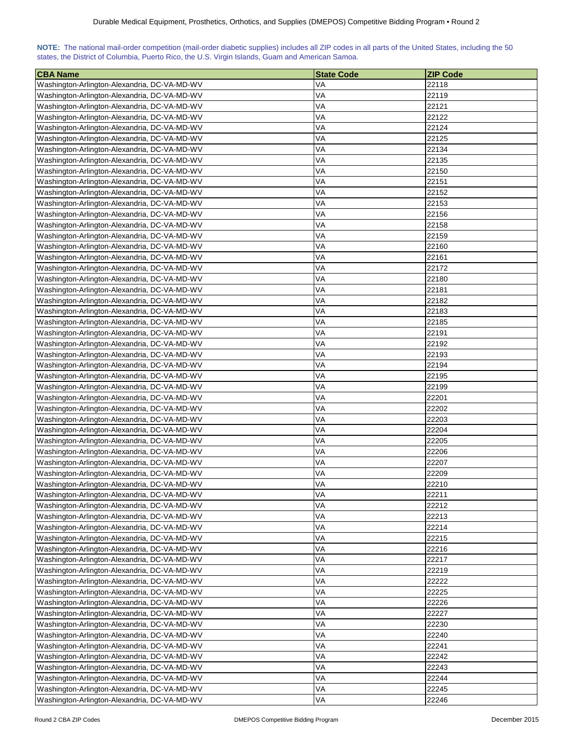| NOTE: The national mail-order competition (mail-order diabetic supplies) includes all ZIP codes in all parts of the United States, including the 50 |  |  |  |  |  |  |  |
|-----------------------------------------------------------------------------------------------------------------------------------------------------|--|--|--|--|--|--|--|
| states, the District of Columbia, Puerto Rico, the U.S. Virgin Islands, Guam and American Samoa.                                                    |  |  |  |  |  |  |  |

| <b>CBA Name</b>                              | <b>State Code</b> | <b>ZIP Code</b> |
|----------------------------------------------|-------------------|-----------------|
| Washington-Arlington-Alexandria, DC-VA-MD-WV | VA                | 22118           |
| Washington-Arlington-Alexandria, DC-VA-MD-WV | VA                | 22119           |
| Washington-Arlington-Alexandria, DC-VA-MD-WV | VA                | 22121           |
| Washington-Arlington-Alexandria, DC-VA-MD-WV | VA                | 22122           |
| Washington-Arlington-Alexandria, DC-VA-MD-WV | VA                | 22124           |
| Washington-Arlington-Alexandria, DC-VA-MD-WV | VA                | 22125           |
| Washington-Arlington-Alexandria, DC-VA-MD-WV | VA                | 22134           |
| Washington-Arlington-Alexandria, DC-VA-MD-WV | VA                | 22135           |
| Washington-Arlington-Alexandria, DC-VA-MD-WV | VA                | 22150           |
| Washington-Arlington-Alexandria, DC-VA-MD-WV | VA                | 22151           |
| Washington-Arlington-Alexandria, DC-VA-MD-WV | VA                | 22152           |
| Washington-Arlington-Alexandria, DC-VA-MD-WV | VA                | 22153           |
| Washington-Arlington-Alexandria, DC-VA-MD-WV | VA                | 22156           |
| Washington-Arlington-Alexandria, DC-VA-MD-WV | VA                | 22158           |
| Washington-Arlington-Alexandria, DC-VA-MD-WV | VA                | 22159           |
| Washington-Arlington-Alexandria, DC-VA-MD-WV | VA                | 22160           |
| Washington-Arlington-Alexandria, DC-VA-MD-WV | VA                | 22161           |
| Washington-Arlington-Alexandria, DC-VA-MD-WV | VA                | 22172           |
| Washington-Arlington-Alexandria, DC-VA-MD-WV | VA                | 22180           |
| Washington-Arlington-Alexandria, DC-VA-MD-WV | VA                | 22181           |
| Washington-Arlington-Alexandria, DC-VA-MD-WV | VA                | 22182           |
| Washington-Arlington-Alexandria, DC-VA-MD-WV | VA                | 22183           |
|                                              | VA                | 22185           |
| Washington-Arlington-Alexandria, DC-VA-MD-WV | VA                | 22191           |
| Washington-Arlington-Alexandria, DC-VA-MD-WV | VA                | 22192           |
| Washington-Arlington-Alexandria, DC-VA-MD-WV |                   |                 |
| Washington-Arlington-Alexandria, DC-VA-MD-WV | VA                | 22193           |
| Washington-Arlington-Alexandria, DC-VA-MD-WV | VA                | 22194           |
| Washington-Arlington-Alexandria, DC-VA-MD-WV | VA                | 22195           |
| Washington-Arlington-Alexandria, DC-VA-MD-WV | VA                | 22199           |
| Washington-Arlington-Alexandria, DC-VA-MD-WV | VA                | 22201           |
| Washington-Arlington-Alexandria, DC-VA-MD-WV | VA                | 22202           |
| Washington-Arlington-Alexandria, DC-VA-MD-WV | VA                | 22203           |
| Washington-Arlington-Alexandria, DC-VA-MD-WV | VA                | 22204           |
| Washington-Arlington-Alexandria, DC-VA-MD-WV | VA                | 22205           |
| Washington-Arlington-Alexandria, DC-VA-MD-WV | VA                | 22206           |
| Washington-Arlington-Alexandria, DC-VA-MD-WV | VA                | 22207           |
| Washington-Arlington-Alexandria, DC-VA-MD-WV | VA                | 22209           |
| Washington-Arlington-Alexandria, DC-VA-MD-WV | VA                | 22210           |
| Washington-Arlington-Alexandria, DC-VA-MD-WV | VA                | 22211           |
| Washington-Arlington-Alexandria, DC-VA-MD-WV | VA                | 22212           |
| Washington-Arlington-Alexandria, DC-VA-MD-WV | VA                | 22213           |
| Washington-Arlington-Alexandria, DC-VA-MD-WV | VA                | 22214           |
| Washington-Arlington-Alexandria, DC-VA-MD-WV | VA                | 22215           |
| Washington-Arlington-Alexandria, DC-VA-MD-WV | VA                | 22216           |
| Washington-Arlington-Alexandria, DC-VA-MD-WV | VA                | 22217           |
| Washington-Arlington-Alexandria, DC-VA-MD-WV | VA                | 22219           |
| Washington-Arlington-Alexandria, DC-VA-MD-WV | VA                | 22222           |
| Washington-Arlington-Alexandria, DC-VA-MD-WV | VA                | 22225           |
| Washington-Arlington-Alexandria, DC-VA-MD-WV | VA                | 22226           |
| Washington-Arlington-Alexandria, DC-VA-MD-WV | VA                | 22227           |
| Washington-Arlington-Alexandria, DC-VA-MD-WV | VA                | 22230           |
| Washington-Arlington-Alexandria, DC-VA-MD-WV | VA                | 22240           |
| Washington-Arlington-Alexandria, DC-VA-MD-WV | VA                | 22241           |
| Washington-Arlington-Alexandria, DC-VA-MD-WV | VA                | 22242           |
| Washington-Arlington-Alexandria, DC-VA-MD-WV | VA                | 22243           |
| Washington-Arlington-Alexandria, DC-VA-MD-WV | VA                | 22244           |
| Washington-Arlington-Alexandria, DC-VA-MD-WV | VA                | 22245           |
| Washington-Arlington-Alexandria, DC-VA-MD-WV | VA                | 22246           |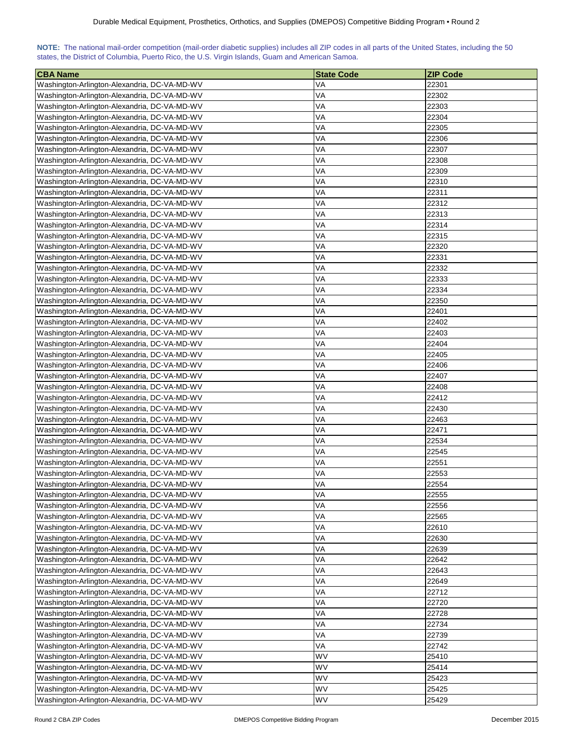|  | NOTE: The national mail-order competition (mail-order diabetic supplies) includes all ZIP codes in all parts of the United States, including the 50 |  |  |  |  |
|--|-----------------------------------------------------------------------------------------------------------------------------------------------------|--|--|--|--|
|  | states, the District of Columbia, Puerto Rico, the U.S. Virgin Islands, Guam and American Samoa.                                                    |  |  |  |  |

| <b>CBA Name</b>                              | <b>State Code</b> | <b>ZIP Code</b> |
|----------------------------------------------|-------------------|-----------------|
| Washington-Arlington-Alexandria, DC-VA-MD-WV | VA                | 22301           |
| Washington-Arlington-Alexandria, DC-VA-MD-WV | VA                | 22302           |
| Washington-Arlington-Alexandria, DC-VA-MD-WV | VA                | 22303           |
| Washington-Arlington-Alexandria, DC-VA-MD-WV | VA                | 22304           |
| Washington-Arlington-Alexandria, DC-VA-MD-WV | VA                | 22305           |
| Washington-Arlington-Alexandria, DC-VA-MD-WV | VA                | 22306           |
| Washington-Arlington-Alexandria, DC-VA-MD-WV | VA                | 22307           |
| Washington-Arlington-Alexandria, DC-VA-MD-WV | VA                | 22308           |
| Washington-Arlington-Alexandria, DC-VA-MD-WV | VA                | 22309           |
| Washington-Arlington-Alexandria, DC-VA-MD-WV | VA                | 22310           |
| Washington-Arlington-Alexandria, DC-VA-MD-WV | VA                | 22311           |
| Washington-Arlington-Alexandria, DC-VA-MD-WV | VA                | 22312           |
| Washington-Arlington-Alexandria, DC-VA-MD-WV | VA                | 22313           |
| Washington-Arlington-Alexandria, DC-VA-MD-WV | VA                | 22314           |
| Washington-Arlington-Alexandria, DC-VA-MD-WV | VA                | 22315           |
| Washington-Arlington-Alexandria, DC-VA-MD-WV | VA                | 22320           |
| Washington-Arlington-Alexandria, DC-VA-MD-WV | VA                | 22331           |
| Washington-Arlington-Alexandria, DC-VA-MD-WV | VA                | 22332           |
| Washington-Arlington-Alexandria, DC-VA-MD-WV | VA                | 22333           |
| Washington-Arlington-Alexandria, DC-VA-MD-WV | VA                | 22334           |
| Washington-Arlington-Alexandria, DC-VA-MD-WV | VA                | 22350           |
| Washington-Arlington-Alexandria, DC-VA-MD-WV | VA                | 22401           |
| Washington-Arlington-Alexandria, DC-VA-MD-WV | VA                | 22402           |
| Washington-Arlington-Alexandria, DC-VA-MD-WV | VA                | 22403           |
|                                              | VA                | 22404           |
| Washington-Arlington-Alexandria, DC-VA-MD-WV |                   |                 |
| Washington-Arlington-Alexandria, DC-VA-MD-WV | VA                | 22405           |
| Washington-Arlington-Alexandria, DC-VA-MD-WV | VA                | 22406           |
| Washington-Arlington-Alexandria, DC-VA-MD-WV | VA                | 22407           |
| Washington-Arlington-Alexandria, DC-VA-MD-WV | VA                | 22408           |
| Washington-Arlington-Alexandria, DC-VA-MD-WV | VA                | 22412           |
| Washington-Arlington-Alexandria, DC-VA-MD-WV | VA                | 22430           |
| Washington-Arlington-Alexandria, DC-VA-MD-WV | VA                | 22463           |
| Washington-Arlington-Alexandria, DC-VA-MD-WV | VA                | 22471           |
| Washington-Arlington-Alexandria, DC-VA-MD-WV | VA                | 22534           |
| Washington-Arlington-Alexandria, DC-VA-MD-WV | VA                | 22545           |
| Washington-Arlington-Alexandria, DC-VA-MD-WV | VA                | 22551           |
| Washington-Arlington-Alexandria, DC-VA-MD-WV | VA                | 22553           |
| Washington-Arlington-Alexandria, DC-VA-MD-WV | VA                | 22554           |
| Washington-Arlington-Alexandria, DC-VA-MD-WV | VA                | 22555           |
| Washington-Arlington-Alexandria, DC-VA-MD-WV | VA                | 22556           |
| Washington-Arlington-Alexandria, DC-VA-MD-WV | VA                | 22565           |
| Washington-Arlington-Alexandria, DC-VA-MD-WV | VA                | 22610           |
| Washington-Arlington-Alexandria, DC-VA-MD-WV | VA                | 22630           |
| Washington-Arlington-Alexandria, DC-VA-MD-WV | VA                | 22639           |
| Washington-Arlington-Alexandria, DC-VA-MD-WV | VA                | 22642           |
| Washington-Arlington-Alexandria, DC-VA-MD-WV | VA                | 22643           |
| Washington-Arlington-Alexandria, DC-VA-MD-WV | VA                | 22649           |
| Washington-Arlington-Alexandria, DC-VA-MD-WV | VA                | 22712           |
| Washington-Arlington-Alexandria, DC-VA-MD-WV | VA                | 22720           |
| Washington-Arlington-Alexandria, DC-VA-MD-WV | VA                | 22728           |
| Washington-Arlington-Alexandria, DC-VA-MD-WV | VA                | 22734           |
| Washington-Arlington-Alexandria, DC-VA-MD-WV | VA                | 22739           |
| Washington-Arlington-Alexandria, DC-VA-MD-WV | VA                | 22742           |
| Washington-Arlington-Alexandria, DC-VA-MD-WV | WV                | 25410           |
| Washington-Arlington-Alexandria, DC-VA-MD-WV | WV                | 25414           |
| Washington-Arlington-Alexandria, DC-VA-MD-WV | <b>WV</b>         | 25423           |
| Washington-Arlington-Alexandria, DC-VA-MD-WV | <b>WV</b>         | 25425           |
| Washington-Arlington-Alexandria, DC-VA-MD-WV | WV                | 25429           |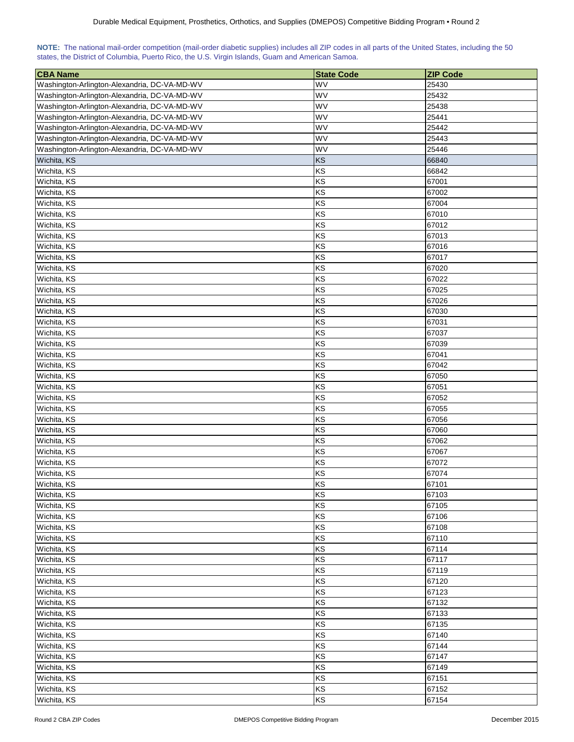|                                                                                                  |  |  |  |  | NOTE: The national mail-order competition (mail-order diabetic supplies) includes all ZIP codes in all parts of the United States, including the 50 |
|--------------------------------------------------------------------------------------------------|--|--|--|--|-----------------------------------------------------------------------------------------------------------------------------------------------------|
| states, the District of Columbia, Puerto Rico, the U.S. Virgin Islands, Guam and American Samoa. |  |  |  |  |                                                                                                                                                     |

| <b>CBA Name</b>                              | <b>State Code</b> | <b>ZIP Code</b> |
|----------------------------------------------|-------------------|-----------------|
| Washington-Arlington-Alexandria, DC-VA-MD-WV | WV                | 25430           |
| Washington-Arlington-Alexandria, DC-VA-MD-WV | WV                | 25432           |
| Washington-Arlington-Alexandria, DC-VA-MD-WV | WV                | 25438           |
| Washington-Arlington-Alexandria, DC-VA-MD-WV | WV                | 25441           |
| Washington-Arlington-Alexandria, DC-VA-MD-WV | WV                | 25442           |
| Washington-Arlington-Alexandria, DC-VA-MD-WV | WV                | 25443           |
| Washington-Arlington-Alexandria, DC-VA-MD-WV | WV                | 25446           |
| Wichita, KS                                  | KS                | 66840           |
| Wichita, KS                                  | KS                | 66842           |
| Wichita, KS                                  | KS                | 67001           |
| Wichita, KS                                  | KS                | 67002           |
| Wichita, KS                                  | KS                | 67004           |
| Wichita, KS                                  | KS                | 67010           |
| Wichita, KS                                  | KS                | 67012           |
| Wichita, KS                                  | KS                | 67013           |
| Wichita, KS                                  | KS                | 67016           |
| Wichita, KS                                  | KS                | 67017           |
| Wichita, KS                                  | KS                | 67020           |
| Wichita, KS                                  | KS                | 67022           |
| Wichita, KS                                  | KS                | 67025           |
| Wichita, KS                                  | KS                | 67026           |
| Wichita, KS                                  | KS                | 67030           |
| Wichita, KS                                  | KS                | 67031           |
| Wichita, KS                                  | KS                | 67037           |
|                                              | KS                |                 |
| Wichita, KS                                  |                   | 67039<br>67041  |
| Wichita, KS                                  | KS                |                 |
| Wichita, KS                                  | KS                | 67042           |
| Wichita, KS                                  | KS                | 67050           |
| Wichita, KS                                  | KS                | 67051           |
| Wichita, KS                                  | KS                | 67052           |
| Wichita, KS                                  | KS                | 67055           |
| Wichita, KS                                  | KS                | 67056           |
| Wichita, KS                                  | KS                | 67060           |
| Wichita, KS                                  | KS                | 67062           |
| Wichita, KS                                  | KS                | 67067           |
| Wichita, KS                                  | KS                | 67072           |
| Wichita, KS                                  | KS                | 67074           |
| Wichita, KS                                  | KS                | 67101           |
| Wichita, KS                                  | KS                | 67103           |
| Wichita, KS                                  | KS                | 67105           |
| Wichita, KS                                  | KS                | 67106           |
| Wichita, KS                                  | KS                | 67108           |
| Wichita, KS                                  | KS                | 67110           |
| Wichita, KS                                  | KS                | 67114           |
| Wichita, KS                                  | KS                | 67117           |
| Wichita, KS                                  | KS                | 67119           |
| Wichita, KS                                  | KS                | 67120           |
| Wichita, KS                                  | KS                | 67123           |
| Wichita, KS                                  | KS                | 67132           |
| Wichita, KS                                  | KS                | 67133           |
| Wichita, KS                                  | KS                | 67135           |
| Wichita, KS                                  | KS                | 67140           |
| Wichita, KS                                  | KS                | 67144           |
| Wichita, KS                                  | KS                | 67147           |
| Wichita, KS                                  | KS                | 67149           |
| Wichita, KS                                  | KS                | 67151           |
| Wichita, KS                                  | KS                | 67152           |
| Wichita, KS                                  | KS                | 67154           |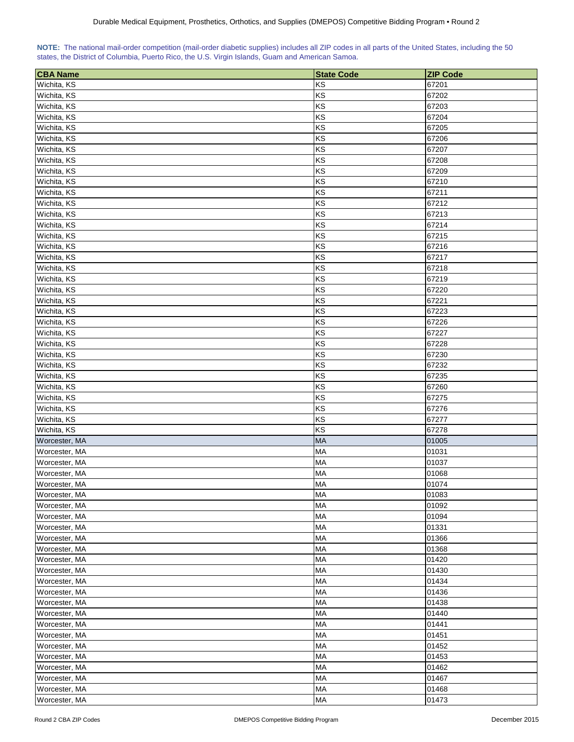| NOTE: The national mail-order competition (mail-order diabetic supplies) includes all ZIP codes in all parts of the United States, including the 50 |  |  |  |  |  |
|-----------------------------------------------------------------------------------------------------------------------------------------------------|--|--|--|--|--|
| states, the District of Columbia, Puerto Rico, the U.S. Virgin Islands, Guam and American Samoa.                                                    |  |  |  |  |  |

| <b>CBA Name</b> | <b>State Code</b> | <b>ZIP Code</b> |
|-----------------|-------------------|-----------------|
| Wichita, KS     | KS                | 67201           |
| Wichita, KS     | KS                | 67202           |
| Wichita, KS     | KS                | 67203           |
| Wichita, KS     | KS                | 67204           |
| Wichita, KS     | KS                | 67205           |
| Wichita, KS     | KS                | 67206           |
| Wichita, KS     | KS                | 67207           |
| Wichita, KS     | KS                | 67208           |
| Wichita, KS     | KS                | 67209           |
| Wichita, KS     | KS                | 67210           |
| Wichita, KS     | KS                | 67211           |
| Wichita, KS     | KS                | 67212           |
| Wichita, KS     | KS                | 67213           |
| Wichita, KS     | KS                | 67214           |
| Wichita, KS     | KS                | 67215           |
| Wichita, KS     | KS                | 67216           |
| Wichita, KS     | KS                | 67217           |
| Wichita, KS     | KS                | 67218           |
| Wichita, KS     | KS                | 67219           |
| Wichita, KS     | KS                | 67220           |
| Wichita, KS     | KS                | 67221           |
| Wichita, KS     | KS                | 67223           |
| Wichita, KS     | KS                | 67226           |
| Wichita, KS     | KS                | 67227           |
| Wichita, KS     | KS                | 67228           |
| Wichita, KS     | KS                | 67230           |
| Wichita, KS     | KS                | 67232           |
| Wichita, KS     | KS                | 67235           |
| Wichita, KS     | KS                | 67260           |
| Wichita, KS     | KS                | 67275           |
| Wichita, KS     | KS                | 67276           |
| Wichita, KS     | KS                | 67277           |
| Wichita, KS     | KS                | 67278           |
| Worcester, MA   | <b>MA</b>         | 01005           |
| Worcester, MA   | MA                | 01031           |
| Worcester, MA   | MA                | 01037           |
| Worcester, MA   | MA                | 01068           |
| Worcester, MA   | MA                | 01074           |
| Worcester, MA   | <b>MA</b>         | 01083           |
| Worcester, MA   | MA                | 01092           |
| Worcester, MA   | MA                | 01094           |
| Worcester, MA   | MA                | 01331           |
| Worcester, MA   | <b>MA</b>         | 01366           |
| Worcester, MA   | <b>MA</b>         | 01368           |
| Worcester, MA   | MA                | 01420           |
| Worcester, MA   | MA                | 01430           |
| Worcester, MA   | MA                | 01434           |
| Worcester, MA   | MA                | 01436           |
| Worcester, MA   | MA                | 01438           |
| Worcester, MA   | MA                | 01440           |
| Worcester, MA   | MA                | 01441           |
| Worcester, MA   | MA                | 01451           |
| Worcester, MA   | <b>MA</b>         | 01452           |
| Worcester, MA   | MA                | 01453           |
| Worcester, MA   | <b>MA</b>         | 01462           |
| Worcester, MA   | MA                | 01467           |
| Worcester, MA   | MA                | 01468           |
| Worcester, MA   | MA                | 01473           |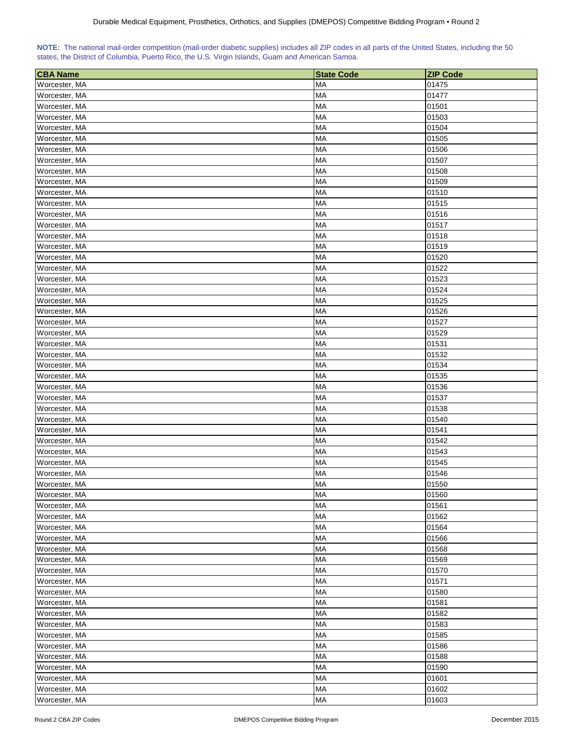|  | NOTE: The national mail-order competition (mail-order diabetic supplies) includes all ZIP codes in all parts of the United States, including the 50 |  |  |  |  |
|--|-----------------------------------------------------------------------------------------------------------------------------------------------------|--|--|--|--|
|  | states, the District of Columbia, Puerto Rico, the U.S. Virgin Islands, Guam and American Samoa.                                                    |  |  |  |  |

| <b>CBA Name</b> | <b>State Code</b> | <b>ZIP Code</b> |
|-----------------|-------------------|-----------------|
| Worcester, MA   | MA                | 01475           |
| Worcester, MA   | MA                | 01477           |
| Worcester, MA   | MA                | 01501           |
| Worcester, MA   | MA                | 01503           |
| Worcester, MA   | МA                | 01504           |
| Worcester, MA   | МA                | 01505           |
| Worcester, MA   | MA                | 01506           |
| Worcester, MA   | MA                | 01507           |
| Worcester, MA   | <b>MA</b>         | 01508           |
| Worcester, MA   | MA                | 01509           |
| Worcester, MA   | MA                | 01510           |
| Worcester, MA   | MA                | 01515           |
| Worcester, MA   | MA                | 01516           |
| Worcester, MA   | MA                | 01517           |
| Worcester, MA   | <b>MA</b>         | 01518           |
| Worcester, MA   | <b>MA</b>         | 01519           |
| Worcester, MA   | MA                | 01520           |
| Worcester, MA   | MA                | 01522           |
| Worcester, MA   | MA                | 01523           |
| Worcester, MA   | MA                | 01524           |
| Worcester, MA   | MA                | 01525           |
| Worcester, MA   | MA                | 01526           |
| Worcester, MA   | MA                | 01527           |
| Worcester, MA   | <b>MA</b>         | 01529           |
| Worcester, MA   | <b>MA</b>         | 01531           |
| Worcester, MA   | <b>MA</b>         | 01532           |
| Worcester, MA   | MA                | 01534           |
| Worcester, MA   | MA                | 01535           |
| Worcester, MA   | MA                | 01536           |
| Worcester, MA   | MA                | 01537           |
| Worcester, MA   | MA                | 01538           |
| Worcester, MA   | MA                | 01540           |
| Worcester, MA   | <b>MA</b>         | 01541           |
| Worcester, MA   | <b>MA</b>         | 01542           |
| Worcester, MA   | <b>MA</b>         | 01543           |
| Worcester, MA   | <b>MA</b>         | 01545           |
| Worcester, MA   | MA                | 01546           |
| Worcester, MA   | <b>MA</b>         | 01550           |
| Worcester, MA   | MA                | 01560           |
| Worcester, MA   | MA                | 01561           |
| Worcester, MA   | MA                | 01562           |
| Worcester, MA   | <b>MA</b>         | 01564           |
| Worcester, MA   | <b>MA</b>         | 01566           |
| Worcester, MA   | MA                | 01568           |
| Worcester, MA   | <b>MA</b>         | 01569           |
| Worcester, MA   | <b>MA</b>         | 01570           |
| Worcester, MA   | <b>MA</b>         | 01571           |
| Worcester, MA   | MA                | 01580           |
| Worcester, MA   | MA                | 01581           |
| Worcester, MA   | MA                | 01582           |
| Worcester, MA   | МA                | 01583           |
| Worcester, MA   | MA                | 01585           |
| Worcester, MA   | <b>MA</b>         | 01586           |
| Worcester, MA   | MA                | 01588           |
| Worcester, MA   | MA                | 01590           |
| Worcester, MA   | <b>MA</b>         | 01601           |
| Worcester, MA   | <b>MA</b>         | 01602           |
| Worcester, MA   | MA                | 01603           |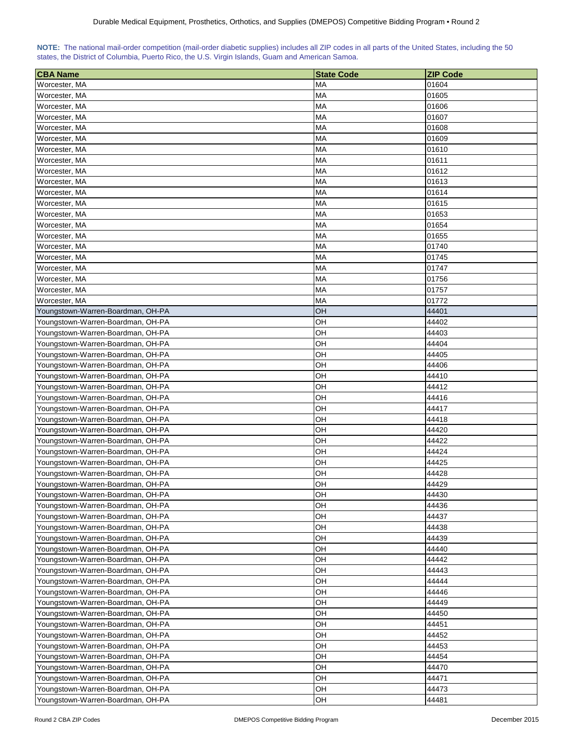| NOTE: The national mail-order competition (mail-order diabetic supplies) includes all ZIP codes in all parts of the United States, including the 50 |  |  |  |  |  |  |  |
|-----------------------------------------------------------------------------------------------------------------------------------------------------|--|--|--|--|--|--|--|
| states, the District of Columbia, Puerto Rico, the U.S. Virgin Islands, Guam and American Samoa.                                                    |  |  |  |  |  |  |  |

| <b>CBA Name</b>                   | <b>State Code</b> | <b>ZIP Code</b> |
|-----------------------------------|-------------------|-----------------|
| Worcester, MA                     | MA                | 01604           |
| Worcester, MA                     | MA                | 01605           |
| Worcester, MA                     | <b>MA</b>         | 01606           |
| Worcester, MA                     | MA                | 01607           |
| Worcester, MA                     | MA                | 01608           |
| Worcester, MA                     | <b>MA</b>         | 01609           |
| Worcester, MA                     | <b>MA</b>         | 01610           |
| Worcester, MA                     | MA                | 01611           |
| Worcester, MA                     | <b>MA</b>         | 01612           |
| Worcester, MA                     | MA                | 01613           |
| Worcester, MA                     | MA                | 01614           |
| Worcester, MA                     | MA                | 01615           |
| Worcester, MA                     | MA                | 01653           |
| Worcester, MA                     | <b>MA</b>         | 01654           |
| Worcester, MA                     | <b>MA</b>         | 01655           |
| Worcester, MA                     | <b>MA</b>         | 01740           |
| Worcester, MA                     | MA                | 01745           |
| Worcester, MA                     | MA                | 01747           |
| Worcester, MA                     | MA                | 01756           |
| Worcester, MA                     | MA                | 01757           |
| Worcester, MA                     | <b>MA</b>         | 01772           |
| Youngstown-Warren-Boardman, OH-PA | OH                | 44401           |
| Youngstown-Warren-Boardman, OH-PA | OН                | 44402           |
| Youngstown-Warren-Boardman, OH-PA | OН                | 44403           |
| Youngstown-Warren-Boardman, OH-PA | OH                | 44404           |
| Youngstown-Warren-Boardman, OH-PA | OH                | 44405           |
| Youngstown-Warren-Boardman, OH-PA | OH                | 44406           |
| Youngstown-Warren-Boardman, OH-PA | OH                | 44410           |
| Youngstown-Warren-Boardman, OH-PA | OН                | 44412           |
| Youngstown-Warren-Boardman, OH-PA | OН                | 44416           |
| Youngstown-Warren-Boardman, OH-PA | OН                | 44417           |
| Youngstown-Warren-Boardman, OH-PA | OН                | 44418           |
| Youngstown-Warren-Boardman, OH-PA | OН                | 44420           |
| Youngstown-Warren-Boardman, OH-PA | OH                | 44422           |
| Youngstown-Warren-Boardman, OH-PA | OН                | 44424           |
| Youngstown-Warren-Boardman, OH-PA | OH                | 44425           |
| Youngstown-Warren-Boardman, OH-PA | OH                | 44428           |
| Youngstown-Warren-Boardman, OH-PA | OH                | 44429           |
| Youngstown-Warren-Boardman, OH-PA | <b>OH</b>         | 44430           |
| Youngstown-Warren-Boardman, OH-PA | OH                | 44436           |
| Youngstown-Warren-Boardman, OH-PA | OН                | 44437           |
| Youngstown-Warren-Boardman, OH-PA | OH                | 44438           |
| Youngstown-Warren-Boardman, OH-PA | OH                | 44439           |
| Youngstown-Warren-Boardman, OH-PA | OH                | 44440           |
| Youngstown-Warren-Boardman, OH-PA | OН                | 44442           |
| Youngstown-Warren-Boardman, OH-PA | OH                | 44443           |
| Youngstown-Warren-Boardman, OH-PA | OН                | 44444           |
| Youngstown-Warren-Boardman, OH-PA | OH                | 44446           |
| Youngstown-Warren-Boardman, OH-PA | OH                | 44449           |
| Youngstown-Warren-Boardman, OH-PA | OH                | 44450           |
| Youngstown-Warren-Boardman, OH-PA | OH                | 44451           |
| Youngstown-Warren-Boardman, OH-PA | OH                | 44452           |
| Youngstown-Warren-Boardman, OH-PA | OH                | 44453           |
|                                   |                   | 44454           |
| Youngstown-Warren-Boardman, OH-PA | OН                |                 |
| Youngstown-Warren-Boardman, OH-PA | OH                | 44470           |
| Youngstown-Warren-Boardman, OH-PA | OH                | 44471           |
| Youngstown-Warren-Boardman, OH-PA | OH                | 44473           |
| Youngstown-Warren-Boardman, OH-PA | OH                | 44481           |